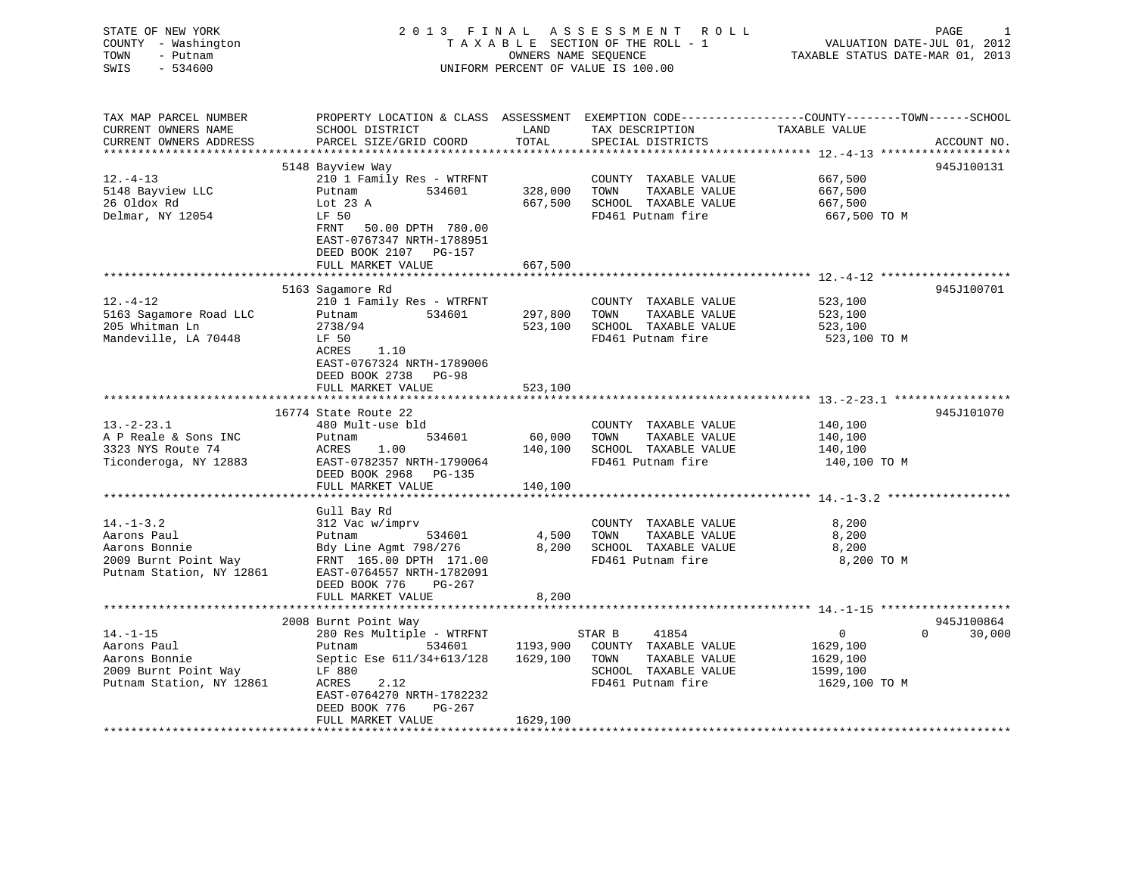| STATE OF NEW YORK                       | 2013 FINAL                                                                                       |                      | PAGE                                          |                                                                 |                    |
|-----------------------------------------|--------------------------------------------------------------------------------------------------|----------------------|-----------------------------------------------|-----------------------------------------------------------------|--------------------|
| COUNTY - Washington<br>- Putnam<br>TOWN |                                                                                                  | OWNERS NAME SEOUENCE | TAXABLE SECTION OF THE ROLL - 1               | VALUATION DATE-JUL 01, 2012<br>TAXABLE STATUS DATE-MAR 01, 2013 |                    |
| SWIS<br>$-534600$                       |                                                                                                  |                      | UNIFORM PERCENT OF VALUE IS 100.00            |                                                                 |                    |
|                                         |                                                                                                  |                      |                                               |                                                                 |                    |
|                                         |                                                                                                  |                      |                                               |                                                                 |                    |
| TAX MAP PARCEL NUMBER                   | PROPERTY LOCATION & CLASS ASSESSMENT EXEMPTION CODE----------------COUNTY-------TOWN------SCHOOL |                      |                                               |                                                                 |                    |
| CURRENT OWNERS NAME                     | SCHOOL DISTRICT                                                                                  | LAND                 | TAX DESCRIPTION                               | TAXABLE VALUE                                                   |                    |
| CURRENT OWNERS ADDRESS                  | PARCEL SIZE/GRID COORD                                                                           | TOTAL                | SPECIAL DISTRICTS                             |                                                                 | ACCOUNT NO.        |
| **********************                  | ****************************                                                                     |                      |                                               |                                                                 | ************       |
|                                         | 5148 Bayview Way                                                                                 |                      |                                               |                                                                 | 945J100131         |
| $12. - 4 - 13$                          | 210 1 Family Res - WTRFNT                                                                        |                      | COUNTY TAXABLE VALUE                          | 667,500                                                         |                    |
| 5148 Bayview LLC                        | Putnam<br>534601                                                                                 | 328,000              | TOWN<br>TAXABLE VALUE                         | 667,500                                                         |                    |
| 26 Oldox Rd                             | Lot $23$ A                                                                                       | 667,500              | SCHOOL TAXABLE VALUE                          | 667,500                                                         |                    |
| Delmar, NY 12054                        | LF 50                                                                                            |                      | FD461 Putnam fire                             | 667,500 TO M                                                    |                    |
|                                         | FRNT 50.00 DPTH 780.00                                                                           |                      |                                               |                                                                 |                    |
|                                         | EAST-0767347 NRTH-1788951                                                                        |                      |                                               |                                                                 |                    |
|                                         | DEED BOOK 2107 PG-157                                                                            |                      |                                               |                                                                 |                    |
|                                         | FULL MARKET VALUE                                                                                | 667,500              |                                               |                                                                 |                    |
|                                         |                                                                                                  |                      |                                               |                                                                 |                    |
| $12. - 4 - 12$                          | 5163 Sagamore Rd<br>210 1 Family Res - WTRFNT                                                    |                      |                                               |                                                                 | 945J100701         |
| 5163 Sagamore Road LLC                  | Putnam<br>534601                                                                                 | 297,800              | COUNTY TAXABLE VALUE<br>TOWN<br>TAXABLE VALUE | 523,100<br>523,100                                              |                    |
| 205 Whitman Ln                          | 2738/94                                                                                          | 523,100              | SCHOOL TAXABLE VALUE                          | 523,100                                                         |                    |
| Mandeville, LA 70448                    | LF 50                                                                                            |                      | FD461 Putnam fire                             | 523,100 TO M                                                    |                    |
|                                         | ACRES<br>1.10                                                                                    |                      |                                               |                                                                 |                    |
|                                         | EAST-0767324 NRTH-1789006                                                                        |                      |                                               |                                                                 |                    |
|                                         | DEED BOOK 2738 PG-98                                                                             |                      |                                               |                                                                 |                    |
|                                         | FULL MARKET VALUE                                                                                | 523,100              |                                               |                                                                 |                    |
|                                         | ***************************                                                                      |                      |                                               |                                                                 |                    |
|                                         | 16774 State Route 22                                                                             |                      |                                               |                                                                 | 945J101070         |
| $13. -2 - 23.1$                         | 480 Mult-use bld                                                                                 |                      | COUNTY TAXABLE VALUE                          | 140,100                                                         |                    |
| A P Reale & Sons INC                    | 534601<br>Putnam                                                                                 | 60,000               | TAXABLE VALUE<br>TOWN                         | 140,100                                                         |                    |
| 3323 NYS Route 74                       | ACRES<br>1.00                                                                                    | 140,100              | SCHOOL TAXABLE VALUE                          | 140,100                                                         |                    |
| Ticonderoga, NY 12883                   | EAST-0782357 NRTH-1790064                                                                        |                      | FD461 Putnam fire                             | 140,100 TO M                                                    |                    |
|                                         | DEED BOOK 2968 PG-135                                                                            |                      |                                               |                                                                 |                    |
|                                         | FULL MARKET VALUE                                                                                | 140,100              |                                               |                                                                 |                    |
|                                         |                                                                                                  | ***********          |                                               |                                                                 |                    |
| $14. - 1 - 3.2$                         | Gull Bay Rd<br>312 Vac w/imprv                                                                   |                      |                                               | 8,200                                                           |                    |
| Aarons Paul                             | Putnam<br>534601                                                                                 | 4,500                | COUNTY TAXABLE VALUE<br>TOWN<br>TAXABLE VALUE | 8,200                                                           |                    |
| Aarons Bonnie                           | Bdy Line Agmt 798/276                                                                            | 8,200                | SCHOOL TAXABLE VALUE                          | 8,200                                                           |                    |
| 2009 Burnt Point Way                    | FRNT 165.00 DPTH 171.00                                                                          |                      | FD461 Putnam fire                             | 8,200 TO M                                                      |                    |
| Putnam Station, NY 12861                | EAST-0764557 NRTH-1782091                                                                        |                      |                                               |                                                                 |                    |
|                                         | DEED BOOK 776<br>PG-267                                                                          |                      |                                               |                                                                 |                    |
|                                         | FULL MARKET VALUE                                                                                | 8,200                |                                               |                                                                 |                    |
|                                         |                                                                                                  |                      |                                               |                                                                 |                    |
|                                         | 2008 Burnt Point Way                                                                             |                      |                                               |                                                                 | 945J100864         |
| $14. - 1 - 15$                          | 280 Res Multiple - WTRFNT                                                                        |                      | STAR B<br>41854                               | $\mathbf{0}$                                                    | 30,000<br>$\Omega$ |
| Aarons Paul                             | Putnam<br>534601                                                                                 | 1193,900             | COUNTY TAXABLE VALUE                          | 1629,100                                                        |                    |
| Aarons Bonnie                           | Septic Ese 611/34+613/128                                                                        | 1629,100             | TOWN<br>TAXABLE VALUE                         | 1629,100                                                        |                    |
| 2009 Burnt Point Way                    | LF 880                                                                                           |                      | SCHOOL TAXABLE VALUE                          | 1599,100                                                        |                    |
| Putnam Station, NY 12861                | ACRES<br>2.12                                                                                    |                      | FD461 Putnam fire                             | 1629,100 TO M                                                   |                    |
|                                         | EAST-0764270 NRTH-1782232                                                                        |                      |                                               |                                                                 |                    |
|                                         | DEED BOOK 776<br>PG-267                                                                          |                      |                                               |                                                                 |                    |
|                                         | FULL MARKET VALUE                                                                                | 1629,100             |                                               |                                                                 |                    |
|                                         |                                                                                                  |                      |                                               |                                                                 |                    |
|                                         |                                                                                                  |                      |                                               |                                                                 |                    |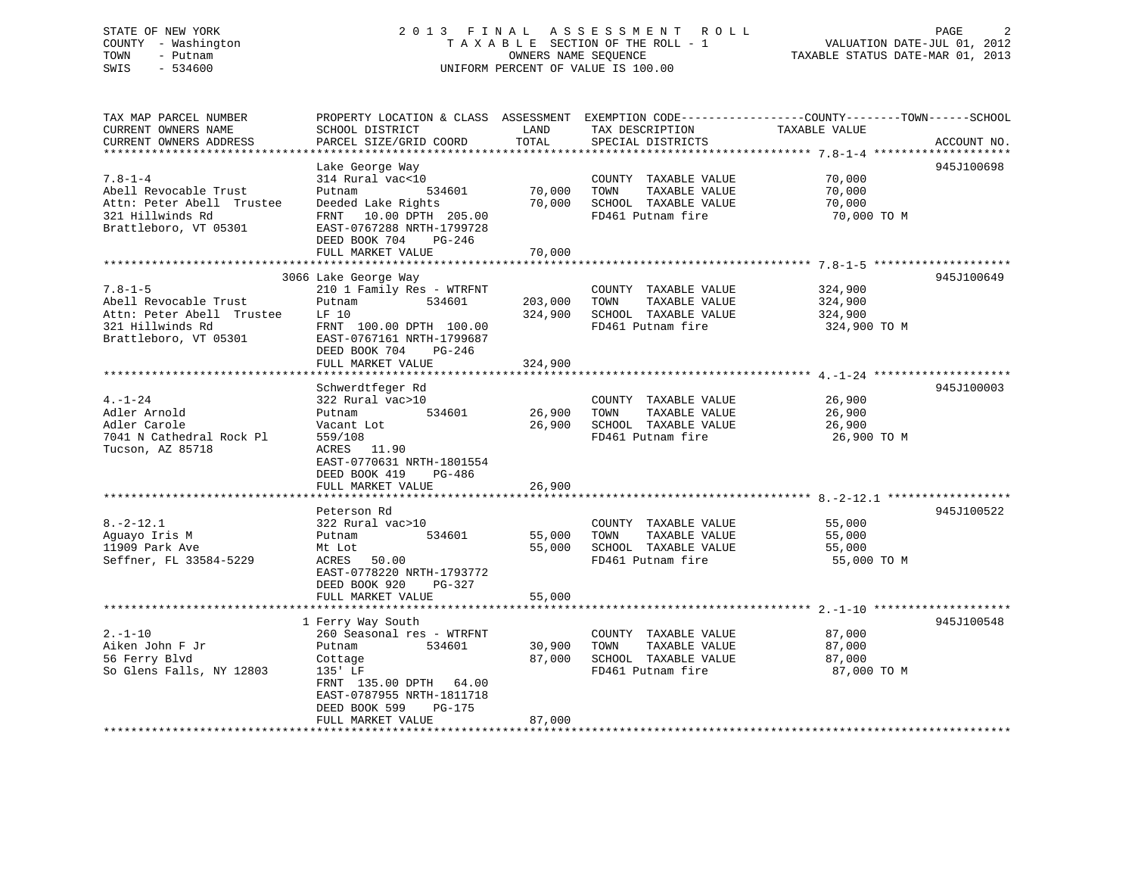# STATE OF NEW YORK 2 0 1 3 F I N A L A S S E S S M E N T R O L L PAGE 2 COUNTY - Washington T A X A B L E SECTION OF THE ROLL - 1 VALUATION DATE-JUL 01, 2012 TOWN - Putnam OWNERS NAME SEQUENCE TAXABLE STATUS DATE-MAR 01, 2013 SWIS - 534600 UNIFORM PERCENT OF VALUE IS 100.00

| TAX MAP PARCEL NUMBER<br>CURRENT OWNERS NAME<br>CURRENT OWNERS ADDRESS                                           | PROPERTY LOCATION & CLASS ASSESSMENT EXEMPTION CODE---------------COUNTY-------TOWN-----SCHOOL<br>SCHOOL DISTRICT<br>PARCEL SIZE/GRID COORD                                                     | LAND<br>TOTAL                 | TAX DESCRIPTION<br>SPECIAL DISTRICTS                                                              | TAXABLE VALUE                                 | ACCOUNT NO. |
|------------------------------------------------------------------------------------------------------------------|-------------------------------------------------------------------------------------------------------------------------------------------------------------------------------------------------|-------------------------------|---------------------------------------------------------------------------------------------------|-----------------------------------------------|-------------|
|                                                                                                                  |                                                                                                                                                                                                 |                               |                                                                                                   |                                               |             |
| $7.8 - 1 - 4$<br>Abell Revocable Trust<br>Attn: Peter Abell Trustee<br>321 Hillwinds Rd<br>Brattleboro, VT 05301 | Lake George Way<br>314 Rural vac<10<br>Putnam<br>534601<br>Deeded Lake Rights<br>FRNT 10.00 DPTH 205.00<br>EAST-0767288 NRTH-1799728<br>DEED BOOK 704<br>PG-246<br>FULL MARKET VALUE            | 70,000<br>70,000<br>70,000    | COUNTY TAXABLE VALUE<br>TOWN<br>TAXABLE VALUE<br>SCHOOL TAXABLE VALUE<br>FD461 Putnam fire        | 70,000<br>70,000<br>70,000<br>70,000 TO M     | 945J100698  |
|                                                                                                                  |                                                                                                                                                                                                 |                               |                                                                                                   |                                               |             |
| $7.8 - 1 - 5$<br>Abell Revocable Trust<br>Attn: Peter Abell Trustee<br>321 Hillwinds Rd<br>Brattleboro, VT 05301 | 3066 Lake George Way<br>210 1 Family Res - WTRFNT<br>534601<br>Putnam<br>LF 10<br>FRNT 100.00 DPTH 100.00<br>EAST-0767161 NRTH-1799687<br>DEED BOOK 704<br>$PG-246$<br>FULL MARKET VALUE        | 203,000<br>324,900<br>324,900 | COUNTY TAXABLE VALUE<br>TAXABLE VALUE<br>TOWN<br>SCHOOL TAXABLE VALUE<br>FD461 Putnam fire        | 324,900<br>324,900<br>324,900<br>324,900 TO M | 945J100649  |
|                                                                                                                  | Schwerdtfeger Rd                                                                                                                                                                                |                               |                                                                                                   |                                               | 945J100003  |
| $4. - 1 - 24$<br>Adler Arnold<br>Adler Carole<br>7041 N Cathedral Rock Pl<br>Tucson, AZ 85718                    | 322 Rural vac>10<br>Putnam<br>534601<br>Vacant Lot<br>559/108<br>ACRES 11.90<br>EAST-0770631 NRTH-1801554<br>DEED BOOK 419<br>PG-486<br>FULL MARKET VALUE                                       | 26,900<br>26,900              | COUNTY TAXABLE VALUE<br>TOWN<br>TAXABLE VALUE<br>26,900 SCHOOL TAXABLE VALUE<br>FD461 Putnam fire | 26,900<br>26,900<br>26,900<br>26,900 TO M     |             |
|                                                                                                                  | Peterson Rd                                                                                                                                                                                     |                               |                                                                                                   |                                               | 945J100522  |
| $8. - 2 - 12.1$<br>Aquayo Iris M<br>11909 Park Ave<br>Seffner, FL 33584-5229                                     | 322 Rural vac>10<br>534601<br>Putnam<br>Mt Lot<br>50.00<br>ACRES<br>EAST-0778220 NRTH-1793772<br>DEED BOOK 920<br>PG-327                                                                        | 55,000<br>55,000              | COUNTY TAXABLE VALUE<br>TAXABLE VALUE<br>TOWN<br>SCHOOL TAXABLE VALUE<br>FD461 Putnam fire        | 55,000<br>55,000<br>55,000<br>55,000 TO M     |             |
|                                                                                                                  | FULL MARKET VALUE                                                                                                                                                                               | 55,000                        |                                                                                                   |                                               |             |
|                                                                                                                  |                                                                                                                                                                                                 |                               |                                                                                                   |                                               |             |
| $2. - 1 - 10$<br>Aiken John F Jr<br>56 Ferry Blvd<br>So Glens Falls, NY 12803                                    | 1 Ferry Way South<br>260 Seasonal res - WTRFNT<br>Putnam<br>534601<br>Cottage<br>135' LF<br>FRNT 135.00 DPTH 64.00<br>EAST-0787955 NRTH-1811718<br>DEED BOOK 599<br>PG-175<br>FULL MARKET VALUE | 30,900<br>87,000<br>87,000    | COUNTY TAXABLE VALUE<br>TAXABLE VALUE<br>TOWN<br>SCHOOL TAXABLE VALUE<br>FD461 Putnam fire        | 87,000<br>87,000<br>87,000<br>87,000 TO M     | 945J100548  |
|                                                                                                                  |                                                                                                                                                                                                 |                               |                                                                                                   |                                               |             |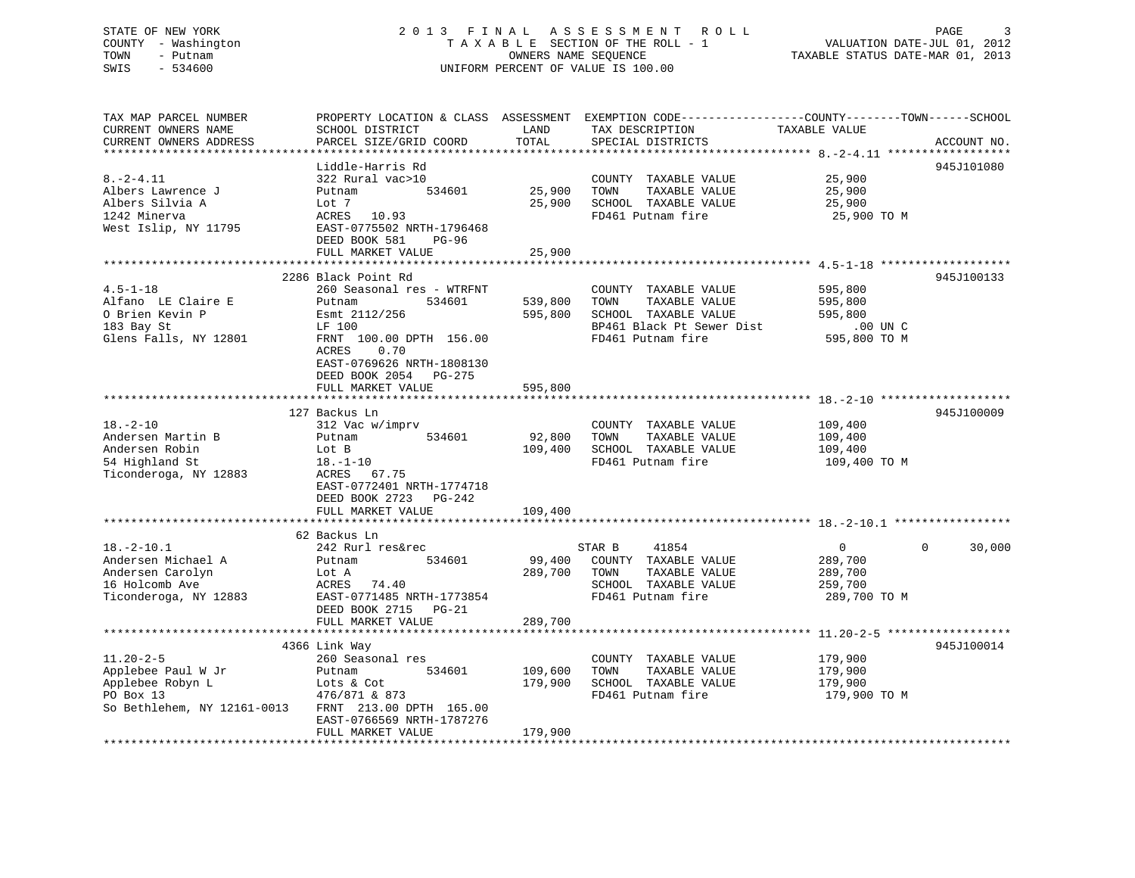# STATE OF NEW YORK 2 0 1 3 F I N A L A S S E S S M E N T R O L L PAGE 3 COUNTY - Washington T A X A B L E SECTION OF THE ROLL - 1 VALUATION DATE-JUL 01, 2012 TOWN - Putnam OWNERS NAME SEQUENCE TAXABLE STATUS DATE-MAR 01, 2013 SWIS - 534600 UNIFORM PERCENT OF VALUE IS 100.00

TAX MAP PARCEL NUMBER PROPERTY LOCATION & CLASS ASSESSMENT EXEMPTION CODE------------------COUNTY--------TOWN------SCHOOL CURRENT OWNERS NAME SCHOOL DISTRICT THE LAND TAX DESCRIPTION TAXABLE VALUE CURRENT OWNERS ADDRESS PARCEL SIZE/GRID COORD TOTAL SPECIAL DISTRICTS ACCOUNT NO. \*\*\*\*\*\*\*\*\*\*\*\*\*\*\*\*\*\*\*\*\*\*\*\*\*\*\*\*\*\*\*\*\*\*\*\*\*\*\*\*\*\*\*\*\*\*\*\*\*\*\*\*\*\*\*\*\*\*\*\*\*\*\*\*\*\*\*\*\*\*\*\*\*\*\*\*\*\*\*\*\*\*\*\*\*\*\*\*\*\*\*\*\*\*\*\*\*\*\*\*\*\*\* 8.-2-4.11 \*\*\*\*\*\*\*\*\*\*\*\*\*\*\*\*\*\* Liddle-Harris Rd 945J1010808.-2-4.11 322 Rural vac>10 COUNTY TAXABLE VALUE 25,900 Albers Lawrence J Putnam 534601 25,900 TOWN TAXABLE VALUE 25,900 Albers Silvia A Lot 7 25,900 SCHOOL TAXABLE VALUE 25,900 1242 Minerva ACRES 10.93 FD461 Putnam fire 25,900 TO M West Islip, NY 11795 EAST-0775502 NRTH-1796468 DEED BOOK 581 PG-96FULL MARKET VALUE 25,900 \*\*\*\*\*\*\*\*\*\*\*\*\*\*\*\*\*\*\*\*\*\*\*\*\*\*\*\*\*\*\*\*\*\*\*\*\*\*\*\*\*\*\*\*\*\*\*\*\*\*\*\*\*\*\*\*\*\*\*\*\*\*\*\*\*\*\*\*\*\*\*\*\*\*\*\*\*\*\*\*\*\*\*\*\*\*\*\*\*\*\*\*\*\*\*\*\*\*\*\*\*\*\* 4.5-1-18 \*\*\*\*\*\*\*\*\*\*\*\*\*\*\*\*\*\*\* 2286 Black Point Rd 945J1001334.5-1-18 260 Seasonal res - WTRFNT COUNTY TAXABLE VALUE 595,800 Alfano LE Claire E Putnam 534601 539,800 TOWN TAXABLE VALUE 595,800 O Brien Kevin P Esmt 2112/256 595,800 SCHOOL TAXABLE VALUE 595,800 183 Bay St LF 100 BP461 Black Pt Sewer Dist .00 UN C A FOR THE SERVICE SERVICE TO MANUSCRIPT THE SERVICE OF THE SERVICE SERVICE SERVICE SERVICE SERVICE SERVICE SERVICE SERVICE SERVICE SERVICE SERVICE SERVICE SERVICE SERVICE SERVICE SERVICE SERVICE SERVICE SERVICE SERVICE SER ACRES 0.70 EAST-0769626 NRTH-1808130 DEED BOOK 2054 PG-275FULL MARKET VALUE 595,800 \*\*\*\*\*\*\*\*\*\*\*\*\*\*\*\*\*\*\*\*\*\*\*\*\*\*\*\*\*\*\*\*\*\*\*\*\*\*\*\*\*\*\*\*\*\*\*\*\*\*\*\*\*\*\*\*\*\*\*\*\*\*\*\*\*\*\*\*\*\*\*\*\*\*\*\*\*\*\*\*\*\*\*\*\*\*\*\*\*\*\*\*\*\*\*\*\*\*\*\*\*\*\* 18.-2-10 \*\*\*\*\*\*\*\*\*\*\*\*\*\*\*\*\*\*\* 127 Backus Ln 945J10000918.-2-10 312 Vac w/imprv COUNTY TAXABLE VALUE 109,400 Andersen Martin B Putnam 534601 92,800 TOWN TAXABLE VALUE 109,400 Andersen Robin Lot B 109,400 SCHOOL TAXABLE VALUE 109,400 31 Andersen Robin<br>
54 Highland St 18.-1-10<br>
Ticonderoga, NY 12883 ACRES 67.75<br>
Ticonderoga, NY 12883 ACRES 67.75 Ticonderoga, NY 12883 EAST-0772401 NRTH-1774718 DEED BOOK 2723 PG-242FULL MARKET VALUE 109,400 \*\*\*\*\*\*\*\*\*\*\*\*\*\*\*\*\*\*\*\*\*\*\*\*\*\*\*\*\*\*\*\*\*\*\*\*\*\*\*\*\*\*\*\*\*\*\*\*\*\*\*\*\*\*\*\*\*\*\*\*\*\*\*\*\*\*\*\*\*\*\*\*\*\*\*\*\*\*\*\*\*\*\*\*\*\*\*\*\*\*\*\*\*\*\*\*\*\*\*\*\*\*\* 18.-2-10.1 \*\*\*\*\*\*\*\*\*\*\*\*\*\*\*\*\* 62 Backus Ln 18.-2-10.1 242 Rurl res&rec STAR B 41854 0 0 30,000 Andersen Michael A Putnam 534601 99,400 COUNTY TAXABLE VALUE 289,700 Andersen Carolyn Lot A 289,700 TOWN TAXABLE VALUE 289,700 16 Holcomb Ave ACRES 74.40 SCHOOL TAXABLE VALUE 259,700 Ticonderoga, NY 12883 EAST-0771485 NRTH-1773854 FD461 Putnam fire 289,700 TO M DEED BOOK 2715 PG-21FULL MARKET VALUE 289,700 \*\*\*\*\*\*\*\*\*\*\*\*\*\*\*\*\*\*\*\*\*\*\*\*\*\*\*\*\*\*\*\*\*\*\*\*\*\*\*\*\*\*\*\*\*\*\*\*\*\*\*\*\*\*\*\*\*\*\*\*\*\*\*\*\*\*\*\*\*\*\*\*\*\*\*\*\*\*\*\*\*\*\*\*\*\*\*\*\*\*\*\*\*\*\*\*\*\*\*\*\*\*\* 11.20-2-5 \*\*\*\*\*\*\*\*\*\*\*\*\*\*\*\*\*\* 4366 Link Way 945J100014 11.20-2-5 260 Seasonal res COUNTY TAXABLE VALUE 179,900 Applebee Paul W Jr Putnam 534601 109,600 TOWN TAXABLE VALUE 179,900 Applebee Robyn L Lots & Cot 179,900 SCHOOL TAXABLE VALUE 179,900 PO Box 13 476/871 & 873 FD461 Putnam fire 179,900 TO M So Bethlehem, NY 12161-0013 FRNT 213.00 DPTH 165.00 EAST-0766569 NRTH-1787276

\*\*\*\*\*\*\*\*\*\*\*\*\*\*\*\*\*\*\*\*\*\*\*\*\*\*\*\*\*\*\*\*\*\*\*\*\*\*\*\*\*\*\*\*\*\*\*\*\*\*\*\*\*\*\*\*\*\*\*\*\*\*\*\*\*\*\*\*\*\*\*\*\*\*\*\*\*\*\*\*\*\*\*\*\*\*\*\*\*\*\*\*\*\*\*\*\*\*\*\*\*\*\*\*\*\*\*\*\*\*\*\*\*\*\*\*\*\*\*\*\*\*\*\*\*\*\*\*\*\*\*\*

FULL MARKET VALUE 179,900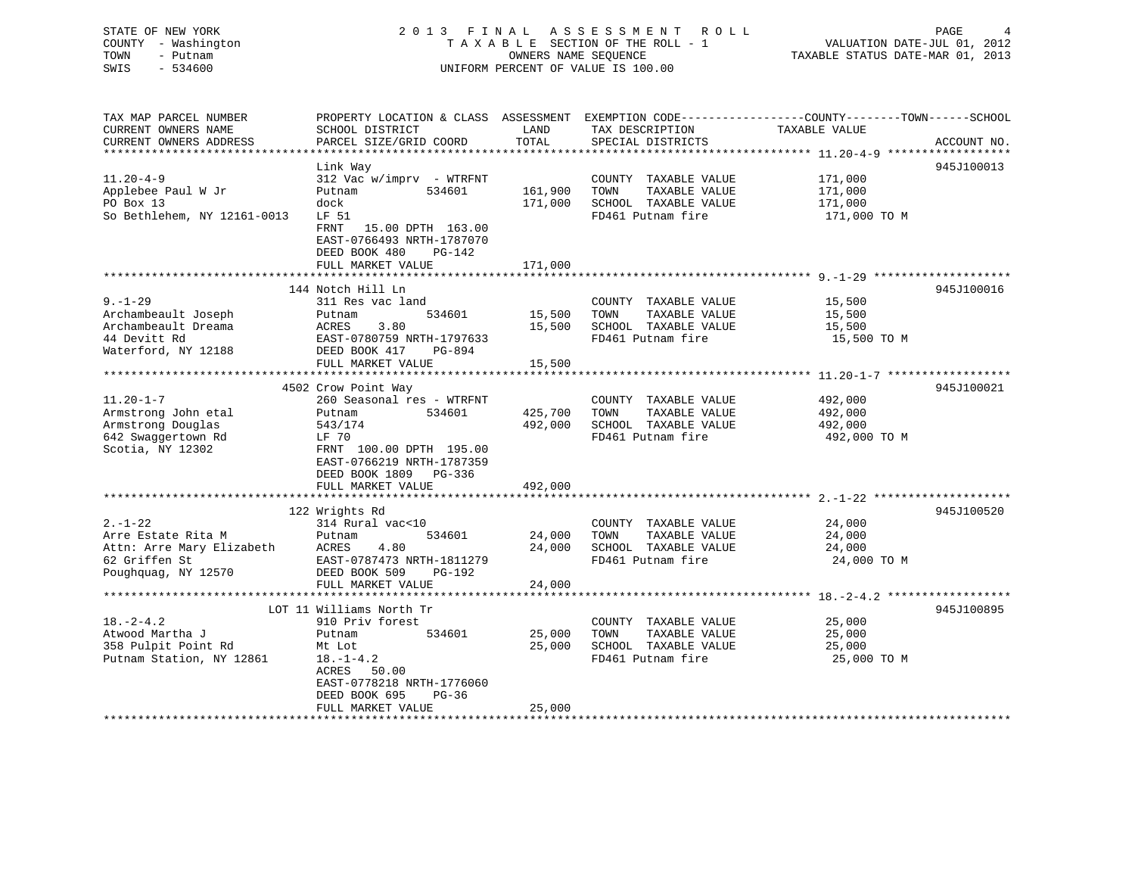STATE OF NEW YORK 2 0 1 3 F I N A L A S S E S S M E N T R O L L PAGE 4 COUNTY - Washington T A X A B L E SECTION OF THE ROLL - 1 VALUATION DATE-JUL 01, 2012 TOWN - Putnam OWNERS NAME SEQUENCE TAXABLE STATUS DATE-MAR 01, 2013 SWIS - 534600 UNIFORM PERCENT OF VALUE IS 100.00UNIFORM PERCENT OF VALUE IS 100.00 TAX MAP PARCEL NUMBER PROPERTY LOCATION & CLASS ASSESSMENT EXEMPTION CODE------------------COUNTY--------TOWN------SCHOOL CURRENT OWNERS NAME SCHOOL DISTRICT LAND TAX DESCRIPTION TAXABLE VALUE

| CURRENT OWNERS ADDRESS      | PARCEL SIZE/GRID COORD     | TOTAL   | SPECIAL DISTRICTS     |              | ACCOUNT NO. |
|-----------------------------|----------------------------|---------|-----------------------|--------------|-------------|
|                             |                            |         |                       |              |             |
|                             | Link Way                   |         |                       |              | 945J100013  |
| $11.20 - 4 - 9$             | $312$ Vac w/imprv - WTRFNT |         | COUNTY TAXABLE VALUE  | 171,000      |             |
| Applebee Paul W Jr          | 534601<br>Putnam           | 161,900 | TAXABLE VALUE<br>TOWN | 171,000      |             |
| PO Box 13                   | dock                       | 171,000 | SCHOOL TAXABLE VALUE  | 171,000      |             |
| So Bethlehem, NY 12161-0013 | LF 51                      |         | FD461 Putnam fire     | 171,000 TO M |             |
|                             | 15.00 DPTH 163.00<br>FRNT  |         |                       |              |             |
|                             | EAST-0766493 NRTH-1787070  |         |                       |              |             |
|                             | DEED BOOK 480<br>PG-142    |         |                       |              |             |
|                             | FULL MARKET VALUE          | 171,000 |                       |              |             |
|                             |                            |         |                       |              |             |
|                             | 144 Notch Hill Ln          |         |                       |              | 945J100016  |
| $9. - 1 - 29$               | 311 Res vac land           |         | COUNTY TAXABLE VALUE  | 15,500       |             |
| Archambeault Joseph         | 534601<br>Putnam           | 15,500  | TOWN<br>TAXABLE VALUE | 15,500       |             |
| Archambeault Dreama         | 3.80<br>ACRES              | 15,500  | SCHOOL TAXABLE VALUE  | 15,500       |             |
| 44 Devitt Rd                | EAST-0780759 NRTH-1797633  |         | FD461 Putnam fire     | 15,500 TO M  |             |
| Waterford, NY 12188         | DEED BOOK 417              |         |                       |              |             |
|                             | PG-894                     |         |                       |              |             |
|                             | FULL MARKET VALUE          | 15,500  |                       |              |             |
|                             |                            |         |                       |              |             |
|                             | 4502 Crow Point Way        |         |                       |              | 945J100021  |
| $11.20 - 1 - 7$             | 260 Seasonal res - WTRFNT  |         | COUNTY TAXABLE VALUE  | 492,000      |             |
| Armstrong John etal         | 534601<br>Putnam           | 425,700 | TOWN<br>TAXABLE VALUE | 492,000      |             |
| Armstrong Douglas           | 543/174                    | 492,000 | SCHOOL TAXABLE VALUE  | 492,000      |             |
| 642 Swaggertown Rd          | LF 70                      |         | FD461 Putnam fire     | 492,000 TO M |             |
| Scotia, NY 12302            | FRNT 100.00 DPTH 195.00    |         |                       |              |             |
|                             | EAST-0766219 NRTH-1787359  |         |                       |              |             |
|                             | DEED BOOK 1809 PG-336      |         |                       |              |             |
|                             | FULL MARKET VALUE          | 492,000 |                       |              |             |
|                             |                            |         |                       |              |             |
|                             | 122 Wrights Rd             |         |                       |              | 945J100520  |
| $2 - 1 - 22$                | 314 Rural vac<10           |         | COUNTY TAXABLE VALUE  | 24,000       |             |
| Arre Estate Rita M          | 534601<br>Putnam           | 24,000  | TAXABLE VALUE<br>TOWN | 24,000       |             |
| Attn: Arre Mary Elizabeth   | 4.80<br>ACRES              | 24,000  | SCHOOL TAXABLE VALUE  | 24,000       |             |
| 62 Griffen St               | EAST-0787473 NRTH-1811279  |         | FD461 Putnam fire     | 24,000 TO M  |             |
| Poughquag, NY 12570         | DEED BOOK 509<br>PG-192    |         |                       |              |             |
|                             | FULL MARKET VALUE          | 24,000  |                       |              |             |
|                             |                            |         |                       |              |             |
|                             | LOT 11 Williams North Tr   |         |                       |              | 945J100895  |
| $18. - 2 - 4.2$             | 910 Priv forest            |         | COUNTY TAXABLE VALUE  | 25,000       |             |
| Atwood Martha J             | 534601<br>Putnam           | 25,000  | TAXABLE VALUE<br>TOWN | 25,000       |             |
| 358 Pulpit Point Rd         | Mt Lot                     | 25,000  | SCHOOL TAXABLE VALUE  | 25,000       |             |
| Putnam Station, NY 12861    | $18. - 1 - 4.2$            |         | FD461 Putnam fire     | 25,000 TO M  |             |
|                             | ACRES<br>50.00             |         |                       |              |             |
|                             | EAST-0778218 NRTH-1776060  |         |                       |              |             |
|                             |                            |         |                       |              |             |
|                             | DEED BOOK 695<br>$PG-36$   |         |                       |              |             |
|                             | FULL MARKET VALUE          | 25,000  |                       |              |             |
|                             |                            |         |                       |              |             |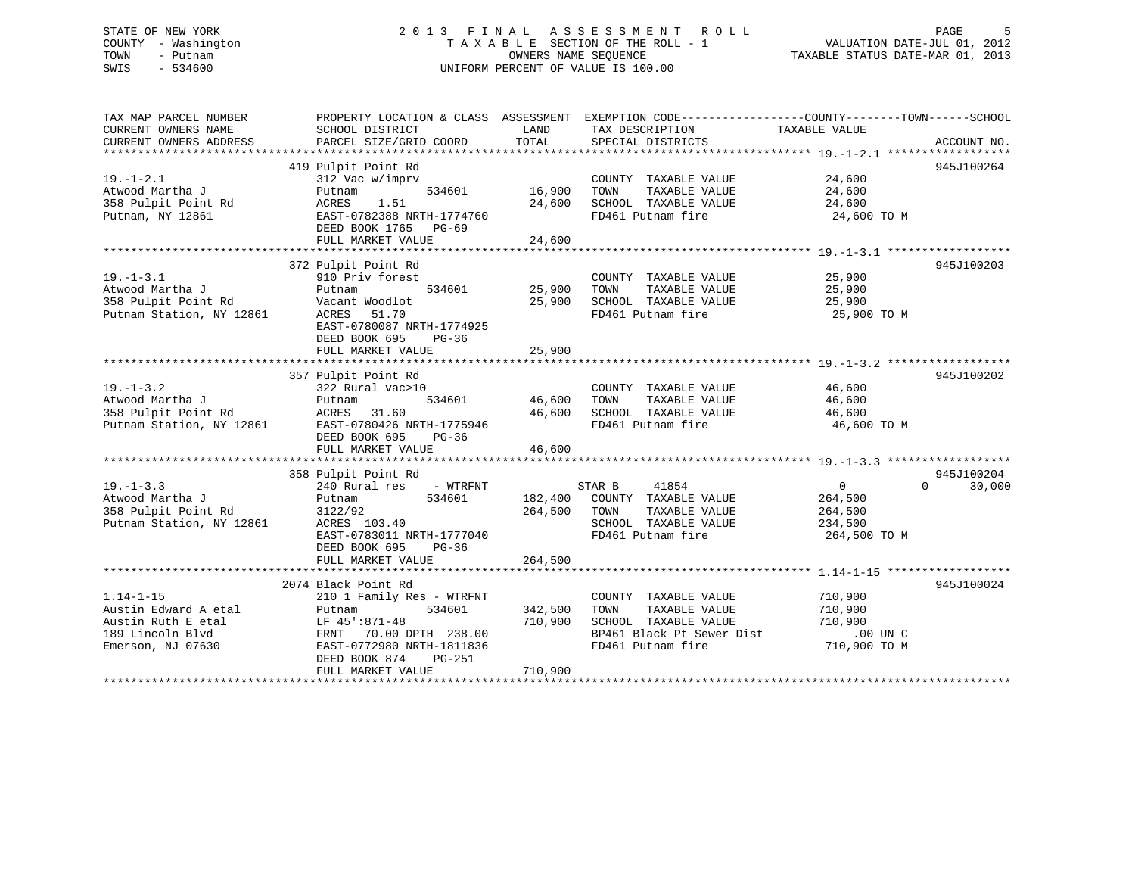# STATE OF NEW YORK 2 0 1 3 F I N A L A S S E S S M E N T R O L L PAGE 5 COUNTY - Washington T A X A B L E SECTION OF THE ROLL - 1 VALUATION DATE-JUL 01, 2012 TOWN - Putnam OWNERS NAME SEQUENCE TAXABLE STATUS DATE-MAR 01, 2013 SWIS - 534600 UNIFORM PERCENT OF VALUE IS 100.00

| 419 Pulpit Point Rd<br>945J100264<br>$19. - 1 - 2.1$<br>312 Vac w/imprv<br>COUNTY TAXABLE VALUE<br>$\frac{24,600}{24}$<br>16,900<br>Atwood Martha J<br>534601<br>TAXABLE VALUE<br>24,600<br>Putnam<br>TOWN<br>358 Pulpit Point Rd<br>24,600<br>ACRES<br>1.51<br>SCHOOL TAXABLE VALUE<br>24,600<br>Putnam, NY 12861<br>EAST-0782388 NRTH-1774760<br>FD461 Putnam fire<br>24,600 TO M<br>DEED BOOK 1765 PG-69<br>372 Pulpit Point Rd<br>945J100203<br>$19. - 1 - 3.1$<br>25,900<br>910 Priv forest<br>COUNTY TAXABLE VALUE<br>Atwood Martha J<br>534601<br>25,900<br>TAXABLE VALUE<br>25,900<br>Putnam<br>TOWN<br>358 Pulpit Point Rd<br>Vacant Woodlot<br>25,900<br>SCHOOL TAXABLE VALUE<br>25,900<br>Putnam Station, NY 12861<br>FD461 Putnam fire<br>ACRES 51.70<br>25,900 TO M<br>EAST-0780087 NRTH-1774925<br>DEED BOOK 695<br>$PG-36$<br>FULL MARKET VALUE<br>25,900<br>945J100202<br>357 Pulpit Point Rd<br>$19. - 1 - 3.2$<br>322 Rural vac>10<br>COUNTY TAXABLE VALUE 46,600<br>TAXABLE VALUE<br>Atwood Martha J<br>534601<br>46,600 TOWN<br>46,600<br>Putnam<br>2861<br>46,600 SCHOOL TAXABLE VALUE 46,600<br>358 Pulpit Point Rd<br>ACRES 31.60<br>Putnam Station, NY 12861<br>FD461 Putnam fire<br>46,600 TO M<br>EAST-0780426 NRTH-1775946<br>DEED BOOK 695<br>$PG-36$<br>46,600<br>FULL MARKET VALUE<br>945J100204<br>358 Pulpit Point Rd<br>30,000<br>$19. - 1 - 3.3$<br>240 Rural res - WTRFNT<br>STAR B 41854<br>$0 \qquad \qquad$<br>$\Omega$<br>Atwood Martha J<br>534601<br>182,400 COUNTY TAXABLE VALUE<br>264,500<br>Putnam<br>264,500 TOWN<br>358 Pulpit Point Rd<br>3122/92<br>TAXABLE VALUE<br>264,500<br>Putnam Station, NY 12861<br>ACRES 103.40<br>SCHOOL TAXABLE VALUE<br>234,500<br>EAST-0783011 NRTH-1777040<br>FD461 Putnam fire<br>264,500 TO M<br>DEED BOOK 695<br>$PG-36$<br>264,500<br>FULL MARKET VALUE<br>2074 Black Point Rd<br>945J100024<br>710,900<br>$1.14 - 1 - 15$<br>210 1 Family Res - WTRFNT<br>COUNTY TAXABLE VALUE<br>Austin Edward A etal<br>342,500<br>TAXABLE VALUE<br>534601<br>TOWN<br>710,900<br>Putnam<br>Austin Ruth E etal<br>710,900<br>SCHOOL TAXABLE VALUE<br>710,900<br>LF 45':871-48<br>FRNT - 70.00 DPTH - 238.00<br>EAST-0772980 NRTH-1811836<br>BP461 Black Pt Sewer Dist<br>189 Lincoln Blvd<br>$.00$ UN C<br>710,900 TO M<br>Emerson, NJ 07630<br>FD461 Putnam fire<br>EAST-0772980 NRTH-1811836<br>DEED BOOK 874<br>PG-251<br>710,900<br>FULL MARKET VALUE | TAX MAP PARCEL NUMBER<br>CURRENT OWNERS NAME<br>CURRENT OWNERS ADDRESS | PROPERTY LOCATION & CLASS ASSESSMENT EXEMPTION CODE---------------COUNTY-------TOWN-----SCHOOL<br>SCHOOL DISTRICT<br>PARCEL SIZE/GRID COORD | LAND<br>TOTAL | TAX DESCRIPTION<br>SPECIAL DISTRICTS | TAXABLE VALUE | ACCOUNT NO. |
|--------------------------------------------------------------------------------------------------------------------------------------------------------------------------------------------------------------------------------------------------------------------------------------------------------------------------------------------------------------------------------------------------------------------------------------------------------------------------------------------------------------------------------------------------------------------------------------------------------------------------------------------------------------------------------------------------------------------------------------------------------------------------------------------------------------------------------------------------------------------------------------------------------------------------------------------------------------------------------------------------------------------------------------------------------------------------------------------------------------------------------------------------------------------------------------------------------------------------------------------------------------------------------------------------------------------------------------------------------------------------------------------------------------------------------------------------------------------------------------------------------------------------------------------------------------------------------------------------------------------------------------------------------------------------------------------------------------------------------------------------------------------------------------------------------------------------------------------------------------------------------------------------------------------------------------------------------------------------------------------------------------------------------------------------------------------------------------------------------------------------------------------------------------------------------------------------------------------------------------------------------------------------------------------------------------------------------------------------------------------------------------------------------------------------------|------------------------------------------------------------------------|---------------------------------------------------------------------------------------------------------------------------------------------|---------------|--------------------------------------|---------------|-------------|
|                                                                                                                                                                                                                                                                                                                                                                                                                                                                                                                                                                                                                                                                                                                                                                                                                                                                                                                                                                                                                                                                                                                                                                                                                                                                                                                                                                                                                                                                                                                                                                                                                                                                                                                                                                                                                                                                                                                                                                                                                                                                                                                                                                                                                                                                                                                                                                                                                                |                                                                        |                                                                                                                                             |               |                                      |               |             |
|                                                                                                                                                                                                                                                                                                                                                                                                                                                                                                                                                                                                                                                                                                                                                                                                                                                                                                                                                                                                                                                                                                                                                                                                                                                                                                                                                                                                                                                                                                                                                                                                                                                                                                                                                                                                                                                                                                                                                                                                                                                                                                                                                                                                                                                                                                                                                                                                                                |                                                                        |                                                                                                                                             |               |                                      |               |             |
|                                                                                                                                                                                                                                                                                                                                                                                                                                                                                                                                                                                                                                                                                                                                                                                                                                                                                                                                                                                                                                                                                                                                                                                                                                                                                                                                                                                                                                                                                                                                                                                                                                                                                                                                                                                                                                                                                                                                                                                                                                                                                                                                                                                                                                                                                                                                                                                                                                |                                                                        |                                                                                                                                             |               |                                      |               |             |
|                                                                                                                                                                                                                                                                                                                                                                                                                                                                                                                                                                                                                                                                                                                                                                                                                                                                                                                                                                                                                                                                                                                                                                                                                                                                                                                                                                                                                                                                                                                                                                                                                                                                                                                                                                                                                                                                                                                                                                                                                                                                                                                                                                                                                                                                                                                                                                                                                                |                                                                        |                                                                                                                                             |               |                                      |               |             |
|                                                                                                                                                                                                                                                                                                                                                                                                                                                                                                                                                                                                                                                                                                                                                                                                                                                                                                                                                                                                                                                                                                                                                                                                                                                                                                                                                                                                                                                                                                                                                                                                                                                                                                                                                                                                                                                                                                                                                                                                                                                                                                                                                                                                                                                                                                                                                                                                                                |                                                                        |                                                                                                                                             |               |                                      |               |             |
|                                                                                                                                                                                                                                                                                                                                                                                                                                                                                                                                                                                                                                                                                                                                                                                                                                                                                                                                                                                                                                                                                                                                                                                                                                                                                                                                                                                                                                                                                                                                                                                                                                                                                                                                                                                                                                                                                                                                                                                                                                                                                                                                                                                                                                                                                                                                                                                                                                |                                                                        |                                                                                                                                             |               |                                      |               |             |
|                                                                                                                                                                                                                                                                                                                                                                                                                                                                                                                                                                                                                                                                                                                                                                                                                                                                                                                                                                                                                                                                                                                                                                                                                                                                                                                                                                                                                                                                                                                                                                                                                                                                                                                                                                                                                                                                                                                                                                                                                                                                                                                                                                                                                                                                                                                                                                                                                                |                                                                        |                                                                                                                                             |               |                                      |               |             |
|                                                                                                                                                                                                                                                                                                                                                                                                                                                                                                                                                                                                                                                                                                                                                                                                                                                                                                                                                                                                                                                                                                                                                                                                                                                                                                                                                                                                                                                                                                                                                                                                                                                                                                                                                                                                                                                                                                                                                                                                                                                                                                                                                                                                                                                                                                                                                                                                                                |                                                                        |                                                                                                                                             |               |                                      |               |             |
|                                                                                                                                                                                                                                                                                                                                                                                                                                                                                                                                                                                                                                                                                                                                                                                                                                                                                                                                                                                                                                                                                                                                                                                                                                                                                                                                                                                                                                                                                                                                                                                                                                                                                                                                                                                                                                                                                                                                                                                                                                                                                                                                                                                                                                                                                                                                                                                                                                |                                                                        |                                                                                                                                             |               |                                      |               |             |
|                                                                                                                                                                                                                                                                                                                                                                                                                                                                                                                                                                                                                                                                                                                                                                                                                                                                                                                                                                                                                                                                                                                                                                                                                                                                                                                                                                                                                                                                                                                                                                                                                                                                                                                                                                                                                                                                                                                                                                                                                                                                                                                                                                                                                                                                                                                                                                                                                                |                                                                        |                                                                                                                                             |               |                                      |               |             |
|                                                                                                                                                                                                                                                                                                                                                                                                                                                                                                                                                                                                                                                                                                                                                                                                                                                                                                                                                                                                                                                                                                                                                                                                                                                                                                                                                                                                                                                                                                                                                                                                                                                                                                                                                                                                                                                                                                                                                                                                                                                                                                                                                                                                                                                                                                                                                                                                                                |                                                                        |                                                                                                                                             |               |                                      |               |             |
|                                                                                                                                                                                                                                                                                                                                                                                                                                                                                                                                                                                                                                                                                                                                                                                                                                                                                                                                                                                                                                                                                                                                                                                                                                                                                                                                                                                                                                                                                                                                                                                                                                                                                                                                                                                                                                                                                                                                                                                                                                                                                                                                                                                                                                                                                                                                                                                                                                |                                                                        |                                                                                                                                             |               |                                      |               |             |
|                                                                                                                                                                                                                                                                                                                                                                                                                                                                                                                                                                                                                                                                                                                                                                                                                                                                                                                                                                                                                                                                                                                                                                                                                                                                                                                                                                                                                                                                                                                                                                                                                                                                                                                                                                                                                                                                                                                                                                                                                                                                                                                                                                                                                                                                                                                                                                                                                                |                                                                        |                                                                                                                                             |               |                                      |               |             |
|                                                                                                                                                                                                                                                                                                                                                                                                                                                                                                                                                                                                                                                                                                                                                                                                                                                                                                                                                                                                                                                                                                                                                                                                                                                                                                                                                                                                                                                                                                                                                                                                                                                                                                                                                                                                                                                                                                                                                                                                                                                                                                                                                                                                                                                                                                                                                                                                                                |                                                                        |                                                                                                                                             |               |                                      |               |             |
|                                                                                                                                                                                                                                                                                                                                                                                                                                                                                                                                                                                                                                                                                                                                                                                                                                                                                                                                                                                                                                                                                                                                                                                                                                                                                                                                                                                                                                                                                                                                                                                                                                                                                                                                                                                                                                                                                                                                                                                                                                                                                                                                                                                                                                                                                                                                                                                                                                |                                                                        |                                                                                                                                             |               |                                      |               |             |
|                                                                                                                                                                                                                                                                                                                                                                                                                                                                                                                                                                                                                                                                                                                                                                                                                                                                                                                                                                                                                                                                                                                                                                                                                                                                                                                                                                                                                                                                                                                                                                                                                                                                                                                                                                                                                                                                                                                                                                                                                                                                                                                                                                                                                                                                                                                                                                                                                                |                                                                        |                                                                                                                                             |               |                                      |               |             |
|                                                                                                                                                                                                                                                                                                                                                                                                                                                                                                                                                                                                                                                                                                                                                                                                                                                                                                                                                                                                                                                                                                                                                                                                                                                                                                                                                                                                                                                                                                                                                                                                                                                                                                                                                                                                                                                                                                                                                                                                                                                                                                                                                                                                                                                                                                                                                                                                                                |                                                                        |                                                                                                                                             |               |                                      |               |             |
|                                                                                                                                                                                                                                                                                                                                                                                                                                                                                                                                                                                                                                                                                                                                                                                                                                                                                                                                                                                                                                                                                                                                                                                                                                                                                                                                                                                                                                                                                                                                                                                                                                                                                                                                                                                                                                                                                                                                                                                                                                                                                                                                                                                                                                                                                                                                                                                                                                |                                                                        |                                                                                                                                             |               |                                      |               |             |
|                                                                                                                                                                                                                                                                                                                                                                                                                                                                                                                                                                                                                                                                                                                                                                                                                                                                                                                                                                                                                                                                                                                                                                                                                                                                                                                                                                                                                                                                                                                                                                                                                                                                                                                                                                                                                                                                                                                                                                                                                                                                                                                                                                                                                                                                                                                                                                                                                                |                                                                        |                                                                                                                                             |               |                                      |               |             |
|                                                                                                                                                                                                                                                                                                                                                                                                                                                                                                                                                                                                                                                                                                                                                                                                                                                                                                                                                                                                                                                                                                                                                                                                                                                                                                                                                                                                                                                                                                                                                                                                                                                                                                                                                                                                                                                                                                                                                                                                                                                                                                                                                                                                                                                                                                                                                                                                                                |                                                                        |                                                                                                                                             |               |                                      |               |             |
|                                                                                                                                                                                                                                                                                                                                                                                                                                                                                                                                                                                                                                                                                                                                                                                                                                                                                                                                                                                                                                                                                                                                                                                                                                                                                                                                                                                                                                                                                                                                                                                                                                                                                                                                                                                                                                                                                                                                                                                                                                                                                                                                                                                                                                                                                                                                                                                                                                |                                                                        |                                                                                                                                             |               |                                      |               |             |
|                                                                                                                                                                                                                                                                                                                                                                                                                                                                                                                                                                                                                                                                                                                                                                                                                                                                                                                                                                                                                                                                                                                                                                                                                                                                                                                                                                                                                                                                                                                                                                                                                                                                                                                                                                                                                                                                                                                                                                                                                                                                                                                                                                                                                                                                                                                                                                                                                                |                                                                        |                                                                                                                                             |               |                                      |               |             |
|                                                                                                                                                                                                                                                                                                                                                                                                                                                                                                                                                                                                                                                                                                                                                                                                                                                                                                                                                                                                                                                                                                                                                                                                                                                                                                                                                                                                                                                                                                                                                                                                                                                                                                                                                                                                                                                                                                                                                                                                                                                                                                                                                                                                                                                                                                                                                                                                                                |                                                                        |                                                                                                                                             |               |                                      |               |             |
|                                                                                                                                                                                                                                                                                                                                                                                                                                                                                                                                                                                                                                                                                                                                                                                                                                                                                                                                                                                                                                                                                                                                                                                                                                                                                                                                                                                                                                                                                                                                                                                                                                                                                                                                                                                                                                                                                                                                                                                                                                                                                                                                                                                                                                                                                                                                                                                                                                |                                                                        |                                                                                                                                             |               |                                      |               |             |
|                                                                                                                                                                                                                                                                                                                                                                                                                                                                                                                                                                                                                                                                                                                                                                                                                                                                                                                                                                                                                                                                                                                                                                                                                                                                                                                                                                                                                                                                                                                                                                                                                                                                                                                                                                                                                                                                                                                                                                                                                                                                                                                                                                                                                                                                                                                                                                                                                                |                                                                        |                                                                                                                                             |               |                                      |               |             |
|                                                                                                                                                                                                                                                                                                                                                                                                                                                                                                                                                                                                                                                                                                                                                                                                                                                                                                                                                                                                                                                                                                                                                                                                                                                                                                                                                                                                                                                                                                                                                                                                                                                                                                                                                                                                                                                                                                                                                                                                                                                                                                                                                                                                                                                                                                                                                                                                                                |                                                                        |                                                                                                                                             |               |                                      |               |             |
|                                                                                                                                                                                                                                                                                                                                                                                                                                                                                                                                                                                                                                                                                                                                                                                                                                                                                                                                                                                                                                                                                                                                                                                                                                                                                                                                                                                                                                                                                                                                                                                                                                                                                                                                                                                                                                                                                                                                                                                                                                                                                                                                                                                                                                                                                                                                                                                                                                |                                                                        |                                                                                                                                             |               |                                      |               |             |
|                                                                                                                                                                                                                                                                                                                                                                                                                                                                                                                                                                                                                                                                                                                                                                                                                                                                                                                                                                                                                                                                                                                                                                                                                                                                                                                                                                                                                                                                                                                                                                                                                                                                                                                                                                                                                                                                                                                                                                                                                                                                                                                                                                                                                                                                                                                                                                                                                                |                                                                        |                                                                                                                                             |               |                                      |               |             |
|                                                                                                                                                                                                                                                                                                                                                                                                                                                                                                                                                                                                                                                                                                                                                                                                                                                                                                                                                                                                                                                                                                                                                                                                                                                                                                                                                                                                                                                                                                                                                                                                                                                                                                                                                                                                                                                                                                                                                                                                                                                                                                                                                                                                                                                                                                                                                                                                                                |                                                                        |                                                                                                                                             |               |                                      |               |             |
|                                                                                                                                                                                                                                                                                                                                                                                                                                                                                                                                                                                                                                                                                                                                                                                                                                                                                                                                                                                                                                                                                                                                                                                                                                                                                                                                                                                                                                                                                                                                                                                                                                                                                                                                                                                                                                                                                                                                                                                                                                                                                                                                                                                                                                                                                                                                                                                                                                |                                                                        |                                                                                                                                             |               |                                      |               |             |
|                                                                                                                                                                                                                                                                                                                                                                                                                                                                                                                                                                                                                                                                                                                                                                                                                                                                                                                                                                                                                                                                                                                                                                                                                                                                                                                                                                                                                                                                                                                                                                                                                                                                                                                                                                                                                                                                                                                                                                                                                                                                                                                                                                                                                                                                                                                                                                                                                                |                                                                        |                                                                                                                                             |               |                                      |               |             |
|                                                                                                                                                                                                                                                                                                                                                                                                                                                                                                                                                                                                                                                                                                                                                                                                                                                                                                                                                                                                                                                                                                                                                                                                                                                                                                                                                                                                                                                                                                                                                                                                                                                                                                                                                                                                                                                                                                                                                                                                                                                                                                                                                                                                                                                                                                                                                                                                                                |                                                                        |                                                                                                                                             |               |                                      |               |             |
|                                                                                                                                                                                                                                                                                                                                                                                                                                                                                                                                                                                                                                                                                                                                                                                                                                                                                                                                                                                                                                                                                                                                                                                                                                                                                                                                                                                                                                                                                                                                                                                                                                                                                                                                                                                                                                                                                                                                                                                                                                                                                                                                                                                                                                                                                                                                                                                                                                |                                                                        |                                                                                                                                             |               |                                      |               |             |
|                                                                                                                                                                                                                                                                                                                                                                                                                                                                                                                                                                                                                                                                                                                                                                                                                                                                                                                                                                                                                                                                                                                                                                                                                                                                                                                                                                                                                                                                                                                                                                                                                                                                                                                                                                                                                                                                                                                                                                                                                                                                                                                                                                                                                                                                                                                                                                                                                                |                                                                        |                                                                                                                                             |               |                                      |               |             |
|                                                                                                                                                                                                                                                                                                                                                                                                                                                                                                                                                                                                                                                                                                                                                                                                                                                                                                                                                                                                                                                                                                                                                                                                                                                                                                                                                                                                                                                                                                                                                                                                                                                                                                                                                                                                                                                                                                                                                                                                                                                                                                                                                                                                                                                                                                                                                                                                                                |                                                                        |                                                                                                                                             |               |                                      |               |             |
|                                                                                                                                                                                                                                                                                                                                                                                                                                                                                                                                                                                                                                                                                                                                                                                                                                                                                                                                                                                                                                                                                                                                                                                                                                                                                                                                                                                                                                                                                                                                                                                                                                                                                                                                                                                                                                                                                                                                                                                                                                                                                                                                                                                                                                                                                                                                                                                                                                |                                                                        |                                                                                                                                             |               |                                      |               |             |
|                                                                                                                                                                                                                                                                                                                                                                                                                                                                                                                                                                                                                                                                                                                                                                                                                                                                                                                                                                                                                                                                                                                                                                                                                                                                                                                                                                                                                                                                                                                                                                                                                                                                                                                                                                                                                                                                                                                                                                                                                                                                                                                                                                                                                                                                                                                                                                                                                                |                                                                        |                                                                                                                                             |               |                                      |               |             |
|                                                                                                                                                                                                                                                                                                                                                                                                                                                                                                                                                                                                                                                                                                                                                                                                                                                                                                                                                                                                                                                                                                                                                                                                                                                                                                                                                                                                                                                                                                                                                                                                                                                                                                                                                                                                                                                                                                                                                                                                                                                                                                                                                                                                                                                                                                                                                                                                                                |                                                                        |                                                                                                                                             |               |                                      |               |             |
|                                                                                                                                                                                                                                                                                                                                                                                                                                                                                                                                                                                                                                                                                                                                                                                                                                                                                                                                                                                                                                                                                                                                                                                                                                                                                                                                                                                                                                                                                                                                                                                                                                                                                                                                                                                                                                                                                                                                                                                                                                                                                                                                                                                                                                                                                                                                                                                                                                |                                                                        |                                                                                                                                             |               |                                      |               |             |
|                                                                                                                                                                                                                                                                                                                                                                                                                                                                                                                                                                                                                                                                                                                                                                                                                                                                                                                                                                                                                                                                                                                                                                                                                                                                                                                                                                                                                                                                                                                                                                                                                                                                                                                                                                                                                                                                                                                                                                                                                                                                                                                                                                                                                                                                                                                                                                                                                                |                                                                        |                                                                                                                                             |               |                                      |               |             |
|                                                                                                                                                                                                                                                                                                                                                                                                                                                                                                                                                                                                                                                                                                                                                                                                                                                                                                                                                                                                                                                                                                                                                                                                                                                                                                                                                                                                                                                                                                                                                                                                                                                                                                                                                                                                                                                                                                                                                                                                                                                                                                                                                                                                                                                                                                                                                                                                                                |                                                                        |                                                                                                                                             |               |                                      |               |             |
|                                                                                                                                                                                                                                                                                                                                                                                                                                                                                                                                                                                                                                                                                                                                                                                                                                                                                                                                                                                                                                                                                                                                                                                                                                                                                                                                                                                                                                                                                                                                                                                                                                                                                                                                                                                                                                                                                                                                                                                                                                                                                                                                                                                                                                                                                                                                                                                                                                |                                                                        |                                                                                                                                             |               |                                      |               |             |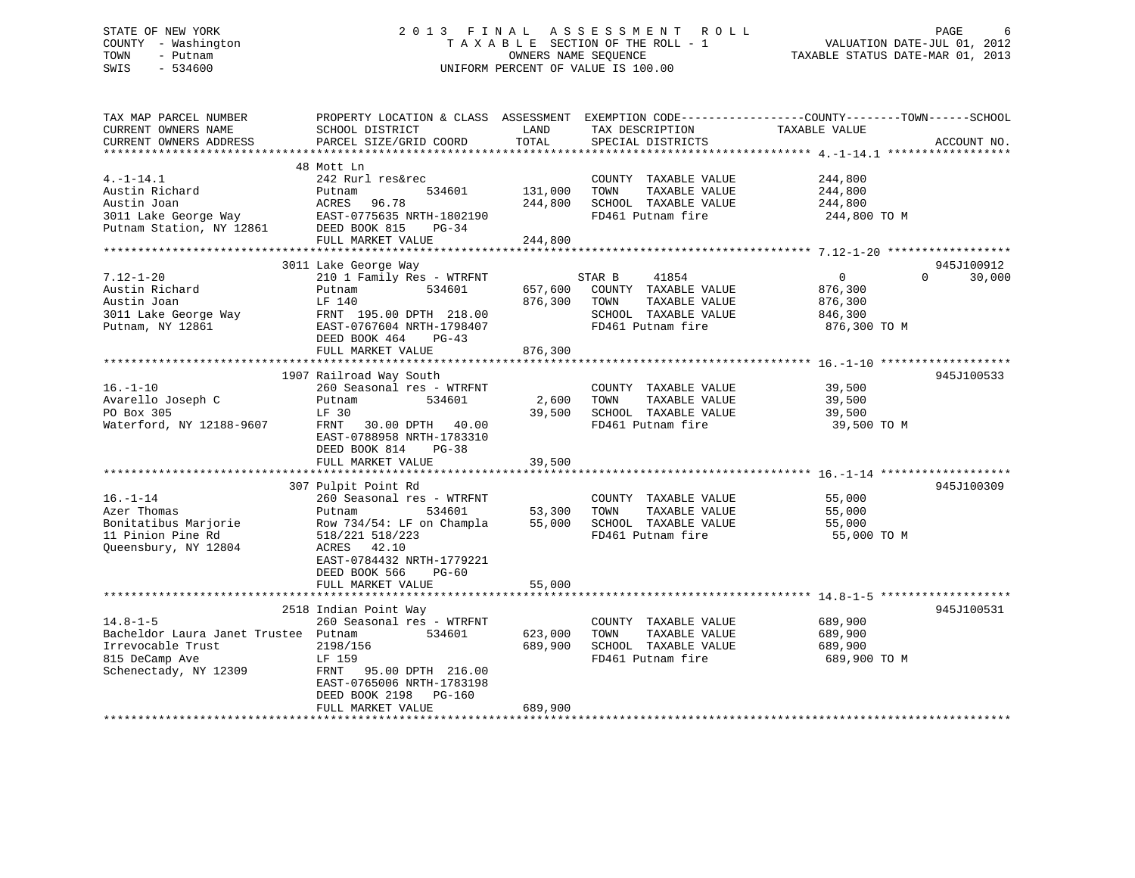# STATE OF NEW YORK 2 0 1 3 F I N A L A S S E S S M E N T R O L L PAGE 6 COUNTY - Washington T A X A B L E SECTION OF THE ROLL - 1 VALUATION DATE-JUL 01, 2012 TOWN - Putnam OWNERS NAME SEQUENCE TAXABLE STATUS DATE-MAR 01, 2013 SWIS - 534600 UNIFORM PERCENT OF VALUE IS 100.00

| TAX MAP PARCEL NUMBER<br>CURRENT OWNERS NAME<br>CURRENT OWNERS ADDRESS                                                 | PROPERTY LOCATION & CLASS ASSESSMENT<br>SCHOOL DISTRICT<br>PARCEL SIZE/GRID COORD                                                                                                          | LAND<br>TOTAL                 | TAX DESCRIPTION<br>SPECIAL DISTRICTS                                                                          | EXEMPTION CODE-----------------COUNTY-------TOWN------SCHOOL<br>TAXABLE VALUE | ACCOUNT NO.          |
|------------------------------------------------------------------------------------------------------------------------|--------------------------------------------------------------------------------------------------------------------------------------------------------------------------------------------|-------------------------------|---------------------------------------------------------------------------------------------------------------|-------------------------------------------------------------------------------|----------------------|
| $4. -1 - 14.1$<br>Austin Richard<br>Austin Joan<br>3011 Lake George Way<br>Putnam Station, NY 12861                    | 48 Mott Ln<br>242 Rurl res&rec<br>534601<br>Putnam<br>ACRES<br>96.78<br>EAST-0775635 NRTH-1802190<br>DEED BOOK 815<br>$PG-34$<br>FULL MARKET VALUE                                         | 131,000<br>244,800<br>244,800 | COUNTY TAXABLE VALUE<br>TAXABLE VALUE<br>TOWN<br>SCHOOL TAXABLE VALUE<br>FD461 Putnam fire                    | 244,800<br>244,800<br>244,800<br>244,800 TO M                                 |                      |
|                                                                                                                        |                                                                                                                                                                                            |                               |                                                                                                               |                                                                               |                      |
| $7.12 - 1 - 20$<br>Austin Richard<br>Austin Joan<br>3011 Lake George Way FRNT 195.00 DPTH 218.00<br>Putnam, NY 12861   | 3011 Lake George Way<br>210 1 Family Res - WTRFNT<br>Putnam<br>534601<br>LF 140<br>EAST-0767604 NRTH-1798407<br>DEED BOOK 464<br>PG-43                                                     | 657,600<br>876,300            | STAR B<br>41854<br>COUNTY TAXABLE VALUE<br>TOWN<br>TAXABLE VALUE<br>SCHOOL TAXABLE VALUE<br>FD461 Putnam fire | $\overline{0}$<br>$\Omega$<br>876,300<br>876,300<br>846,300<br>876,300 ТО М   | 945J100912<br>30,000 |
|                                                                                                                        | FULL MARKET VALUE                                                                                                                                                                          | 876,300                       |                                                                                                               |                                                                               |                      |
|                                                                                                                        |                                                                                                                                                                                            |                               |                                                                                                               |                                                                               |                      |
| $16. - 1 - 10$<br>Avarello Joseph C<br>PO Box 305<br>Waterford, NY 12188-9607                                          | 1907 Railroad Way South<br>260 Seasonal res - WTRFNT<br>534601<br>Putnam<br>LF 30<br>30.00 DPTH 40.00<br>FRNT<br>EAST-0788958 NRTH-1783310<br>DEED BOOK 814 PG-38<br>FULL MARKET VALUE     | 2,600<br>39,500<br>39,500     | COUNTY TAXABLE VALUE<br>TAXABLE VALUE<br>TOWN<br>SCHOOL TAXABLE VALUE<br>FD461 Putnam fire                    | 39,500<br>39,500<br>39,500<br>39,500 TO M                                     | 945J100533           |
|                                                                                                                        | 307 Pulpit Point Rd                                                                                                                                                                        |                               |                                                                                                               |                                                                               | 945J100309           |
| $16. - 1 - 14$<br>Azer Thomas<br>Bonitatibus Marjorie<br>11 Pinion Pine Rd<br>Queensbury, NY 12804                     | 260 Seasonal res - WTRFNT<br>Putnam<br>534601<br>Row 734/54: LF on Champla<br>518/221 518/223<br>ACRES 42.10<br>EAST-0784432 NRTH-1779221<br>DEED BOOK 566<br>$PG-60$                      | 53,300<br>55,000              | COUNTY TAXABLE VALUE<br>TAXABLE VALUE<br>TOWN<br>SCHOOL TAXABLE VALUE<br>FD461 Putnam fire                    | 55,000<br>55,000<br>55,000<br>55,000 TO M                                     |                      |
|                                                                                                                        | FULL MARKET VALUE                                                                                                                                                                          | 55,000                        |                                                                                                               |                                                                               |                      |
|                                                                                                                        |                                                                                                                                                                                            |                               |                                                                                                               |                                                                               |                      |
| $14.8 - 1 - 5$<br>Bacheldor Laura Janet Trustee Putnam<br>Irrevocable Trust<br>815 DeCamp Ave<br>Schenectady, NY 12309 | 2518 Indian Point Way<br>260 Seasonal res - WTRFNT<br>534601<br>2198/156<br>LF 159<br>FRNT 95.00 DPTH 216.00<br>EAST-0765006 NRTH-1783198<br>DEED BOOK 2198<br>PG-160<br>FULL MARKET VALUE | 623,000<br>689,900<br>689,900 | COUNTY TAXABLE VALUE<br>TAXABLE VALUE<br>TOWN<br>SCHOOL TAXABLE VALUE<br>FD461 Putnam fire                    | 689,900<br>689,900<br>689,900<br>689,900 TO M                                 | 945J100531           |
|                                                                                                                        |                                                                                                                                                                                            |                               |                                                                                                               |                                                                               |                      |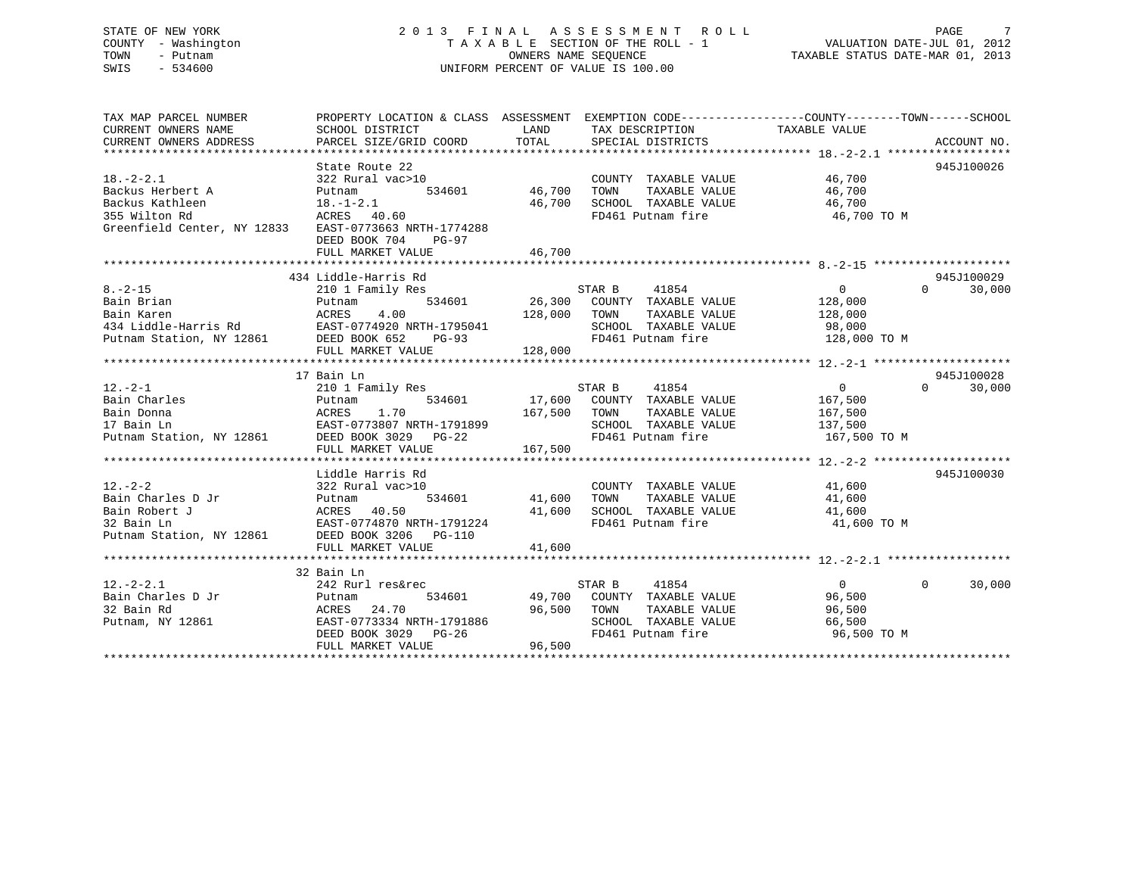# STATE OF NEW YORK 2 0 1 3 F I N A L A S S E S S M E N T R O L L PAGE 7 COUNTY - Washington T A X A B L E SECTION OF THE ROLL - 1 VALUATION DATE-JUL 01, 2012 TOWN - Putnam OWNERS NAME SEQUENCE TAXABLE STATUS DATE-MAR 01, 2013 SWIS - 534600 UNIFORM PERCENT OF VALUE IS 100.00

| TAX MAP PARCEL NUMBER<br>CURRENT OWNERS NAME<br>CURRENT OWNERS ADDRESS                                                                                                                                                                                      | PROPERTY LOCATION & CLASS ASSESSMENT EXEMPTION CODE----------------COUNTY-------TOWN------SCHOOL<br>SCHOOL DISTRICT                                                                                                               | LAND                    | TAX DESCRIPTION TAXABLE VALUE                                                                                                                           |                                               |                                  |
|-------------------------------------------------------------------------------------------------------------------------------------------------------------------------------------------------------------------------------------------------------------|-----------------------------------------------------------------------------------------------------------------------------------------------------------------------------------------------------------------------------------|-------------------------|---------------------------------------------------------------------------------------------------------------------------------------------------------|-----------------------------------------------|----------------------------------|
| $18. - 2 - 2.1$                                                                                                                                                                                                                                             | State Route 22<br>322 Rural vac>10<br>534601 46,700<br>DEED BOOK 704 PG-97<br>FULL MARKET VALUE                                                                                                                                   | 46,700<br>46,700        | COUNTY TAXABLE VALUE 46,700<br>TOWN<br>SCHOOL TAXABLE VALUE<br>FD461 Putnam fire                                                                        | TAXABLE VALUE 46,700<br>46,700<br>46,700 TO M | 945J100026                       |
| $8. - 2 - 15$<br>0.00 COUNTY TAXABLE VALUE 128,000<br>Bain Karen Maren 2011 - 128,000 COUNTY TAXABLE VALUE 128,000<br>344 Liddle-Harris Rd EAST-0774920 NRTH-1795041 SCHOOL TAXABLE VALUE 98,000<br>28,000 FOUL MARKET VALUE 128,000 FOULD MARKET VAL       | 434 Liddle-Harris Rd<br>Enddle-Harris Ku (1854)<br>2010 I Family Res (1854) STAR B (1854) (1864) STAR B (26,300 COUNTY TAXABLE VALUE (186,000 POUTAIN TAXABLE VALUE (186,000 POUTAIN TAXABLE VALUE (186,000 POUTAIN TAXABLE VALUE |                         |                                                                                                                                                         | $\overline{0}$                                | 945J100029<br>$\Omega$<br>30,000 |
| $12. -2 - 1$<br>$12.-2-1 \hspace{2.5cm} 210 \hspace{.1cm} 1 \hspace{.1cm} F$ Bain Charles $\hspace{1.5cm}$ Putnam<br>Bain Donna                                                                                                                             | 17 Bain Ln<br>ACRES 1.70<br>EAST-0773807 NRTH-1791899<br>FULL MARKET VALUE                                                                                                                                                        | 167,500 TOWN<br>167,500 |                                                                                                                                                         | TAXABLE VALUE 167,500                         | 945J100028<br>$\Omega$<br>30,000 |
| 12.-2-2<br>Bain Charles D Jr<br>Bain Robert J<br>22 Rural vac>10<br>23 Rural vac>10<br>23 Rural vac>10<br>534601<br>41<br>23 Bain Ln<br>23 Bain Ln<br>EAST-0774870 NRTH-1791224<br>Putnam Station, NY 12861<br>28 Bain Ln<br>28 Bain Ln<br>28 Bain Ln<br>28 | Liddle Harris Rd<br>534601 41,600 TOWN<br>FULL MARKET VALUE                                                                                                                                                                       | 41,600                  | COUNTY TAXABLE VALUE 41,600<br>41,600 TOWN TAXABLE VALUE 41,600<br>41,600 SCHOOL TAXABLE VALUE 41,600<br>FD461 Putnam fire                              | 41,600 TO M                                   | 945J100030                       |
|                                                                                                                                                                                                                                                             | 32 Bain Ln                                                                                                                                                                                                                        |                         |                                                                                                                                                         |                                               |                                  |
| $12. - 2 - 2.1$                                                                                                                                                                                                                                             | 242 Rurl res&rec<br>534601                                                                                                                                                                                                        |                         | STAR B<br>41854<br>49,700 COUNTY TAXABLE VALUE<br>22.200 COUNTY TAXABLE VALUE<br>TAXABLE VALUE<br>SCHOOL TAXABLE VALUE<br>FD461 Putnam fire 96,500 TO M | $\overline{0}$<br>96,500<br>96,500<br>66,500  | $\overline{0}$<br>30,000         |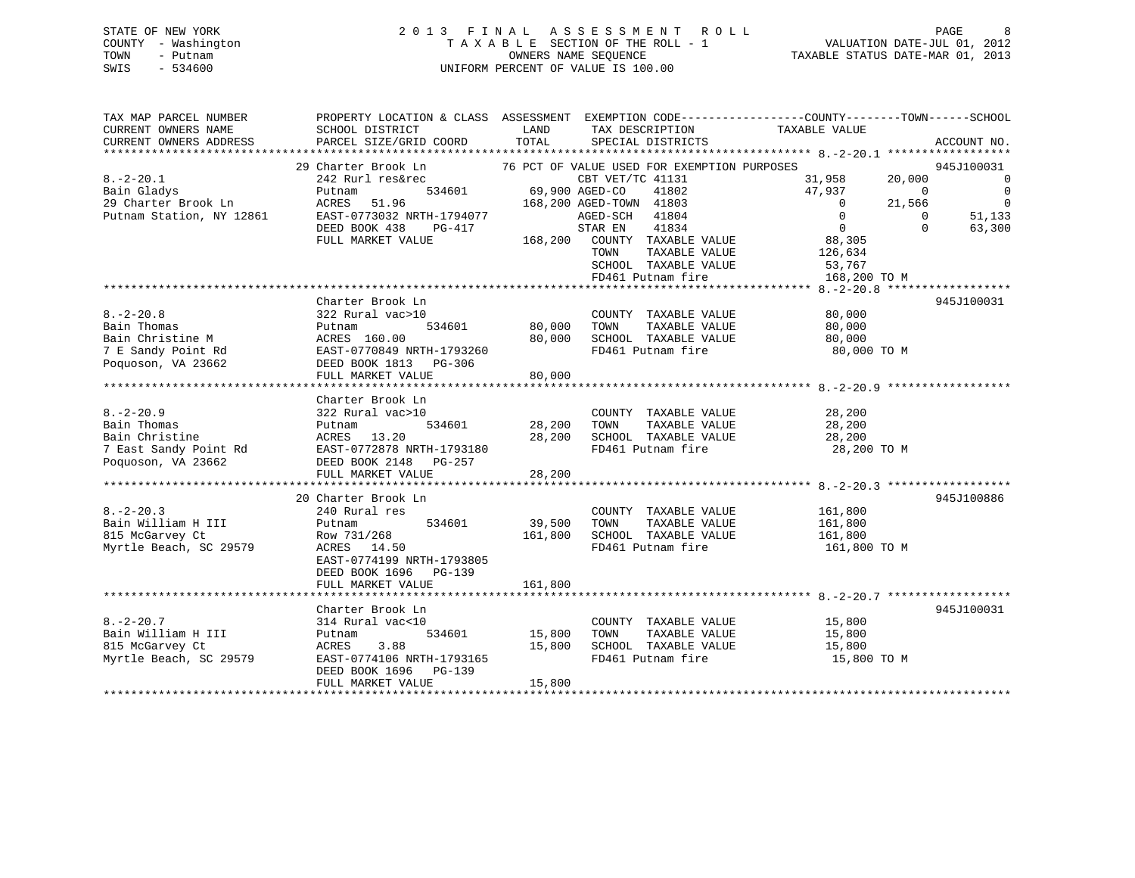# STATE OF NEW YORK 2 0 1 3 F I N A L A S S E S S M E N T R O L L PAGE 8 COUNTY - Washington T A X A B L E SECTION OF THE ROLL - 1 VALUATION DATE-JUL 01, 2012 TOWN - Putnam OWNERS NAME SEQUENCE TAXABLE STATUS DATE-MAR 01, 2013 SWIS - 534600 UNIFORM PERCENT OF VALUE IS 100.00

| TAX MAP PARCEL NUMBER                                                                      | PROPERTY LOCATION & CLASS ASSESSMENT EXEMPTION CODE---------------COUNTY-------TOWN------SCHOOL |                                                                           |                                                                                                                                             |                          |                                        |                                            |
|--------------------------------------------------------------------------------------------|-------------------------------------------------------------------------------------------------|---------------------------------------------------------------------------|---------------------------------------------------------------------------------------------------------------------------------------------|--------------------------|----------------------------------------|--------------------------------------------|
| CURRENT OWNERS NAME                                                                        | SCHOOL DISTRICT                                                                                 | LAND                                                                      | TAX DESCRIPTION                                                                                                                             | TAXABLE VALUE            |                                        |                                            |
| CURRENT OWNERS ADDRESS                                                                     | PARCEL SIZE/GRID COORD                                                                          | TOTAL                                                                     | SPECIAL DISTRICTS                                                                                                                           |                          |                                        | ACCOUNT NO.                                |
|                                                                                            |                                                                                                 |                                                                           |                                                                                                                                             |                          |                                        |                                            |
|                                                                                            | 29 Charter Brook Ln 76 PCT OF VALUE USED FOR EXEMPTION PURPOSES                                 |                                                                           |                                                                                                                                             |                          |                                        | 945J100031                                 |
| $8. -2 - 20.1$                                                                             | 242 Rurl res&rec                                                                                | $\begin{array}{ccccc} \texttt{CBT VET/TC} \\ \texttt{534601} \end{array}$ | CBT VET/TC 41131                                                                                                                            | 31,958                   | 20,000                                 | $\overline{\phantom{0}}$                   |
| Bain Gladys<br>29 Charter Brook Ln                                                         | Putnam<br>ACRES<br>51.96                                                                        |                                                                           | 41802<br>168,200 AGED-TOWN 41803                                                                                                            | 47,937<br>$\overline{0}$ | $\begin{array}{c}0\\21,566\end{array}$ | $\overline{0}$<br>$\overline{\phantom{0}}$ |
| Putnam Station, NY 12861                                                                   | EAST-0773032 NRTH-1794077                                                                       |                                                                           | AGED-SCH<br>41804                                                                                                                           | $\overline{0}$           | $\Omega$                               | 51,133                                     |
|                                                                                            | DEED BOOK 438 PG-417                                                                            |                                                                           | STAR EN<br>41834                                                                                                                            | $\overline{0}$           | $\Omega$                               | 63,300                                     |
|                                                                                            | FULL MARKET VALUE                                                                               |                                                                           | 168,200 COUNTY TAXABLE VALUE                                                                                                                | 88,305                   |                                        |                                            |
|                                                                                            |                                                                                                 |                                                                           | TOWN<br>TAXABLE VALUE                                                                                                                       |                          |                                        |                                            |
|                                                                                            |                                                                                                 |                                                                           | SCHOOL TAXABLE VALUE                                                                                                                        | 126,634<br>53,767        |                                        |                                            |
|                                                                                            |                                                                                                 |                                                                           | FD461 Putnam fire                                                                                                                           | 168,200 TO M             |                                        |                                            |
|                                                                                            |                                                                                                 |                                                                           |                                                                                                                                             |                          |                                        |                                            |
|                                                                                            | Charter Brook Ln                                                                                |                                                                           |                                                                                                                                             |                          |                                        | 945J100031                                 |
| $8. -2 - 20.8$                                                                             | 322 Rural vac>10                                                                                |                                                                           | COUNTY TAXABLE VALUE                                                                                                                        | 80,000                   |                                        |                                            |
| Bain Thomas                                                                                | Putnam                                                                                          | 534601 80,000                                                             | TOWN<br>TAXABLE VALUE                                                                                                                       | 80,000                   |                                        |                                            |
| Bain Christine M                                                                           | ACRES 160.00<br>EAST-0770849 NRTH-1793260                                                       | 80,000                                                                    | SCHOOL TAXABLE VALUE                                                                                                                        | 80,000                   |                                        |                                            |
| 7 E Sandy Point Rd                                                                         |                                                                                                 |                                                                           | FD461 Putnam fire                                                                                                                           | 80,000 TO M              |                                        |                                            |
| Poquoson, VA 23662                                                                         | DEED BOOK 1813 PG-306                                                                           |                                                                           |                                                                                                                                             |                          |                                        |                                            |
|                                                                                            | FULL MARKET VALUE                                                                               | 80,000                                                                    |                                                                                                                                             |                          |                                        |                                            |
|                                                                                            |                                                                                                 |                                                                           |                                                                                                                                             |                          |                                        |                                            |
|                                                                                            | Charter Brook Ln                                                                                |                                                                           |                                                                                                                                             |                          |                                        |                                            |
| $8. - 2 - 20.9$                                                                            | 322 Rural vac>10                                                                                |                                                                           | COUNTY TAXABLE VALUE 28,200                                                                                                                 |                          |                                        |                                            |
| Bain Thomas<br>Bain Christine                                                              | 534601<br>Putnam<br>ACRES 13.20                                                                 | 28,200                                                                    | $\begin{tabular}{lllllllllll} 28,200 & TOWN & TAXABLE VALUE & & & 28,200 \\ 28,200 & SCH OOL & TAXABLE VALUE & & & 28,200 \\ \end{tabular}$ |                          |                                        |                                            |
|                                                                                            |                                                                                                 |                                                                           | FD461 Putnam fire 28,200 TO M                                                                                                               |                          |                                        |                                            |
| 7 East Sandy Point Rd<br>Poquoson, VA 23662<br>DEED BOOK 2148 PG-257<br>Poquoson, VA 23662 | DEED BOOK 2148 PG-257                                                                           |                                                                           |                                                                                                                                             |                          |                                        |                                            |
|                                                                                            | FULL MARKET VALUE                                                                               | 28,200                                                                    |                                                                                                                                             |                          |                                        |                                            |
|                                                                                            |                                                                                                 |                                                                           |                                                                                                                                             |                          |                                        |                                            |
|                                                                                            | 20 Charter Brook Ln                                                                             |                                                                           |                                                                                                                                             |                          |                                        | 945J100886                                 |
| $8. - 2 - 20.3$                                                                            | 240 Rural res                                                                                   |                                                                           | COUNTY TAXABLE VALUE                                                                                                                        | 161,800                  |                                        |                                            |
| Bain William H III                                                                         | 534601<br>Putnam                                                                                | 39,500                                                                    | TOWN                                                                                                                                        | TAXABLE VALUE 161,800    |                                        |                                            |
| 815 McGarvey Ct                                                                            | Row 731/268                                                                                     |                                                                           | 161,800 SCHOOL TAXABLE VALUE 161,800                                                                                                        |                          |                                        |                                            |
| Myrtle Beach, SC 29579                                                                     | ACRES 14.50                                                                                     |                                                                           | FD461 Putnam fire                                                                                                                           | 161,800 TO M             |                                        |                                            |
|                                                                                            | EAST-0774199 NRTH-1793805                                                                       |                                                                           |                                                                                                                                             |                          |                                        |                                            |
|                                                                                            | DEED BOOK 1696 PG-139                                                                           |                                                                           |                                                                                                                                             |                          |                                        |                                            |
|                                                                                            | FULL MARKET VALUE                                                                               | 161,800                                                                   |                                                                                                                                             |                          |                                        |                                            |
|                                                                                            |                                                                                                 |                                                                           |                                                                                                                                             |                          |                                        |                                            |
|                                                                                            | Charter Brook Ln                                                                                |                                                                           |                                                                                                                                             |                          |                                        | 945J100031                                 |
| $8. - 2 - 20.7$                                                                            | 314 Rural vac<10                                                                                |                                                                           | COUNTY TAXABLE VALUE                                                                                                                        | 15,800<br>15,800         |                                        |                                            |
| Bain William H III                                                                         | Putnam                                                                                          | 534601 15,800                                                             | TAXABLE VALUE<br>TOWN                                                                                                                       |                          |                                        |                                            |
| 815 McGarvey Ct                                                                            | 3.88<br>ACRES                                                                                   | 15,800                                                                    | SCHOOL TAXABLE VALUE                                                                                                                        | 15,800                   |                                        |                                            |
| Myrtle Beach, SC 29579                                                                     | EAST-0774106 NRTH-1793165                                                                       |                                                                           | FD461 Putnam fire                                                                                                                           | 15,800 TO M              |                                        |                                            |
|                                                                                            | DEED BOOK 1696 PG-139<br>FULL MARKET VALUE                                                      | 15,800                                                                    |                                                                                                                                             |                          |                                        |                                            |
|                                                                                            |                                                                                                 |                                                                           |                                                                                                                                             |                          |                                        |                                            |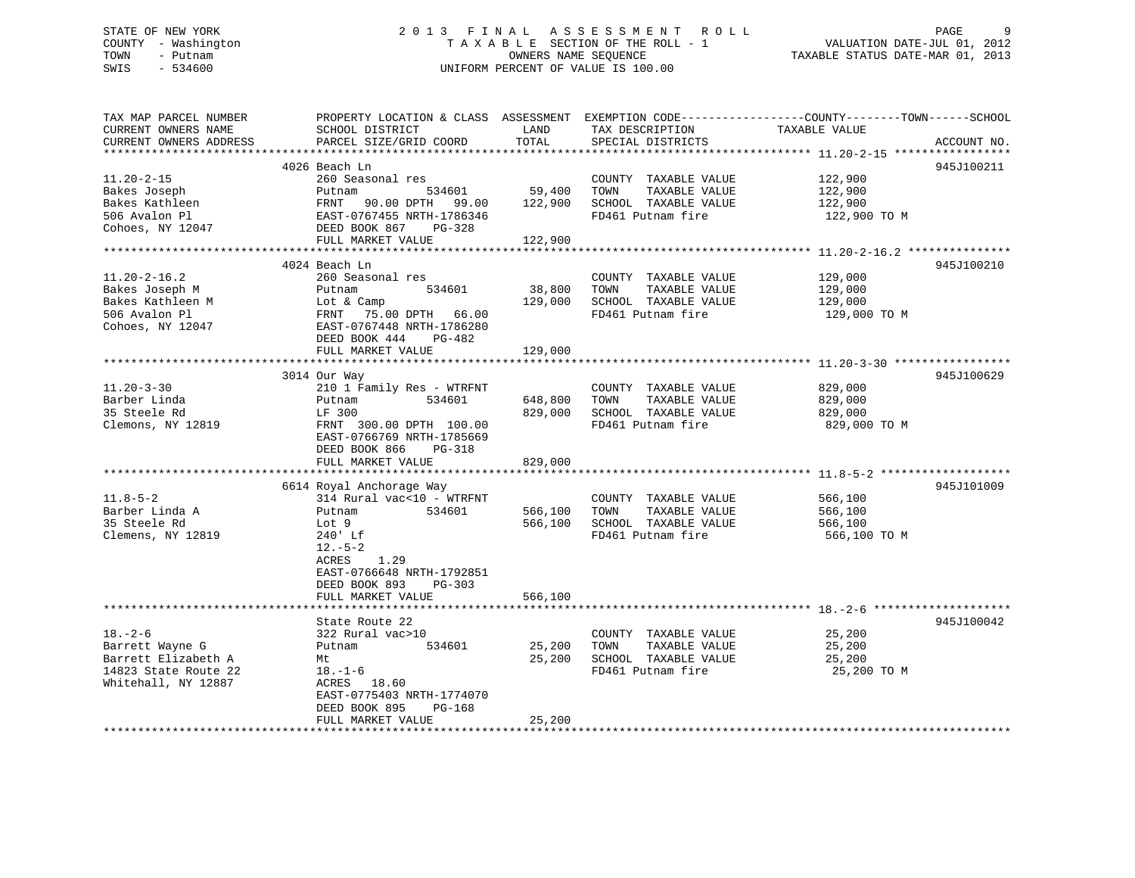# STATE OF NEW YORK GALL 2013 FINAL ASSESSMENT ROLL CHARGE 9 COUNTY - Washington  $T A X A B L E$  SECTION OF THE ROLL - 1<br>TOWN - Putnam data of the COUNTERS NAME SEQUENCE SWIS - 534600 UNIFORM PERCENT OF VALUE IS 100.00

TAXABLE STATUS DATE-MAR 01, 2013

| TAX MAP PARCEL NUMBER<br>CURRENT OWNERS NAME | PROPERTY LOCATION & CLASS ASSESSMENT EXEMPTION CODE---------------COUNTY-------TOWN-----SCHOOL<br>SCHOOL DISTRICT | LAND    | TAX DESCRIPTION       | TAXABLE VALUE |             |
|----------------------------------------------|-------------------------------------------------------------------------------------------------------------------|---------|-----------------------|---------------|-------------|
| CURRENT OWNERS ADDRESS                       | PARCEL SIZE/GRID COORD                                                                                            | TOTAL   | SPECIAL DISTRICTS     |               | ACCOUNT NO. |
|                                              | 4026 Beach Ln                                                                                                     |         |                       |               | 945J100211  |
| $11.20 - 2 - 15$                             | 260 Seasonal res                                                                                                  |         | COUNTY TAXABLE VALUE  | 122,900       |             |
| Bakes Joseph                                 | 534601<br>Putnam                                                                                                  | 59,400  | TOWN<br>TAXABLE VALUE | 122,900       |             |
| Bakes Kathleen                               | FRNT<br>90.00 DPTH 99.00                                                                                          | 122,900 | SCHOOL TAXABLE VALUE  | 122,900       |             |
| 506 Avalon Pl                                | EAST-0767455 NRTH-1786346                                                                                         |         | FD461 Putnam fire     | 122,900 TO M  |             |
| Cohoes, NY 12047                             | DEED BOOK 867<br>PG-328                                                                                           |         |                       |               |             |
|                                              | FULL MARKET VALUE                                                                                                 | 122,900 |                       |               |             |
|                                              | 4024 Beach Ln                                                                                                     |         |                       |               | 945J100210  |
| $11.20 - 2 - 16.2$                           | 260 Seasonal res                                                                                                  |         | COUNTY TAXABLE VALUE  | 129,000       |             |
| Bakes Joseph M                               | 534601<br>Putnam                                                                                                  | 38,800  | TOWN<br>TAXABLE VALUE | 129,000       |             |
| Bakes Kathleen M                             | Lot & Camp                                                                                                        | 129,000 | SCHOOL TAXABLE VALUE  | 129,000       |             |
| 506 Avalon Pl                                | FRNT<br>75.00 DPTH 66.00                                                                                          |         | FD461 Putnam fire     | 129,000 TO M  |             |
| Cohoes, NY 12047                             | EAST-0767448 NRTH-1786280                                                                                         |         |                       |               |             |
|                                              | DEED BOOK 444<br>$PG-482$                                                                                         |         |                       |               |             |
|                                              | FULL MARKET VALUE                                                                                                 | 129,000 |                       |               |             |
|                                              |                                                                                                                   |         |                       |               |             |
|                                              | 3014 Our Way                                                                                                      |         |                       |               | 945J100629  |
| $11.20 - 3 - 30$                             | 210 1 Family Res - WTRFNT                                                                                         |         | COUNTY TAXABLE VALUE  | 829,000       |             |
| Barber Linda                                 | 534601<br>Putnam                                                                                                  | 648,800 | TAXABLE VALUE<br>TOWN | 829,000       |             |
| 35 Steele Rd                                 | LF 300                                                                                                            | 829,000 | SCHOOL TAXABLE VALUE  | 829,000       |             |
| Clemons, NY 12819                            | FRNT 300.00 DPTH 100.00                                                                                           |         | FD461 Putnam fire     | 829,000 TO M  |             |
|                                              | EAST-0766769 NRTH-1785669                                                                                         |         |                       |               |             |
|                                              | DEED BOOK 866<br>PG-318                                                                                           |         |                       |               |             |
|                                              | FULL MARKET VALUE                                                                                                 | 829,000 |                       |               |             |
|                                              |                                                                                                                   |         |                       |               |             |
|                                              | 6614 Royal Anchorage Way                                                                                          |         |                       |               | 945J101009  |
| $11.8 - 5 - 2$                               | 314 Rural vac<10 - WTRFNT                                                                                         |         | COUNTY TAXABLE VALUE  | 566,100       |             |
| Barber Linda A                               | 534601<br>Putnam                                                                                                  | 566,100 | TOWN<br>TAXABLE VALUE | 566,100       |             |
| 35 Steele Rd                                 | Lot 9                                                                                                             | 566,100 | SCHOOL TAXABLE VALUE  | 566,100       |             |
| Clemens, NY 12819                            | 240' Lf                                                                                                           |         | FD461 Putnam fire     | 566,100 TO M  |             |
|                                              | $12.-5-2$                                                                                                         |         |                       |               |             |
|                                              | <b>ACRES</b><br>1.29                                                                                              |         |                       |               |             |
|                                              | EAST-0766648 NRTH-1792851                                                                                         |         |                       |               |             |
|                                              | DEED BOOK 893<br>PG-303                                                                                           |         |                       |               |             |
|                                              | FULL MARKET VALUE                                                                                                 | 566,100 |                       |               |             |
|                                              | State Route 22                                                                                                    |         |                       |               | 945J100042  |
| $18. - 2 - 6$                                | 322 Rural vac>10                                                                                                  |         | COUNTY TAXABLE VALUE  | 25,200        |             |
| Barrett Wayne G                              | 534601<br>Putnam                                                                                                  | 25,200  | TAXABLE VALUE<br>TOWN | 25,200        |             |
| Barrett Elizabeth A                          | Mt                                                                                                                | 25,200  | SCHOOL TAXABLE VALUE  | 25,200        |             |
| 14823 State Route 22                         | $18. - 1 - 6$                                                                                                     |         | FD461 Putnam fire     | 25,200 TO M   |             |
| Whitehall, NY 12887                          | ACRES 18.60                                                                                                       |         |                       |               |             |
|                                              | EAST-0775403 NRTH-1774070                                                                                         |         |                       |               |             |
|                                              | DEED BOOK 895<br>$PG-168$                                                                                         |         |                       |               |             |
|                                              | FULL MARKET VALUE                                                                                                 | 25,200  |                       |               |             |
|                                              |                                                                                                                   |         |                       |               |             |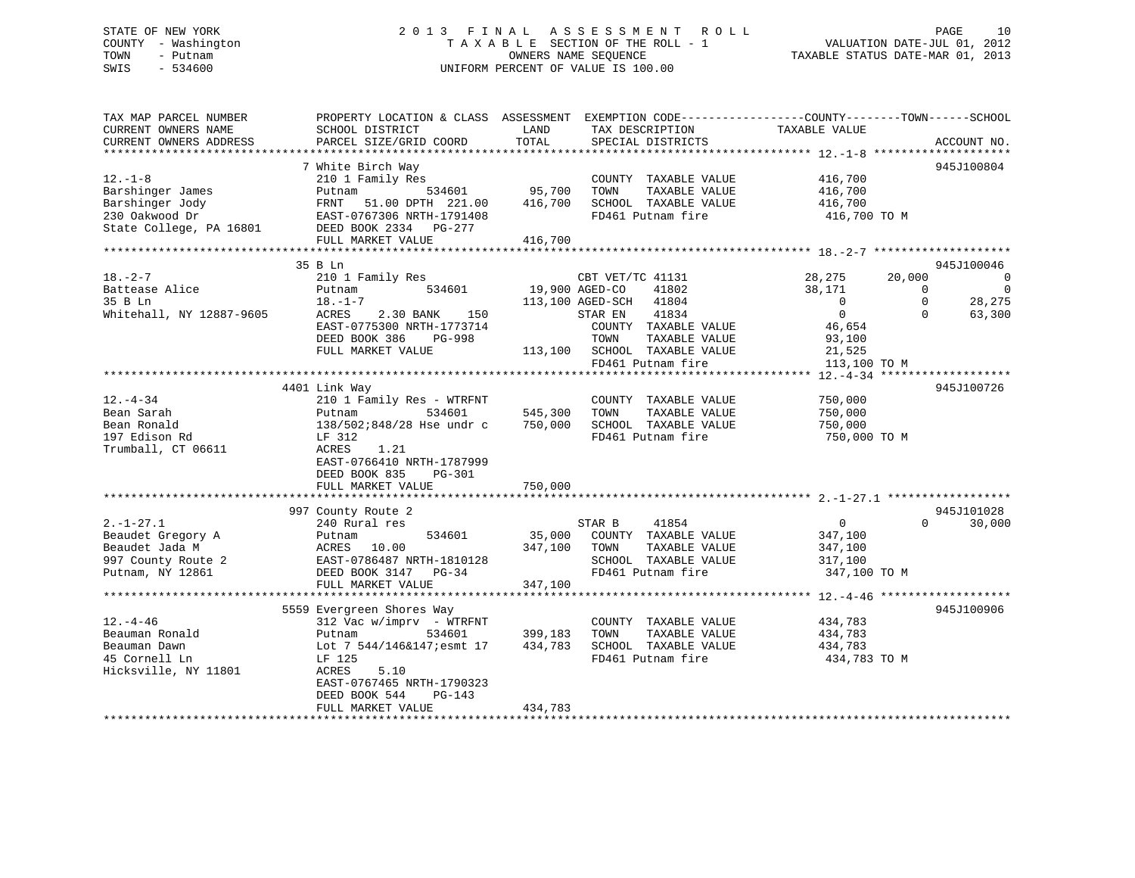# STATE OF NEW YORK 2 0 1 3 F I N A L A S S E S S M E N T R O L L PAGE 10 COUNTY - Washington T A X A B L E SECTION OF THE ROLL - 1 VALUATION DATE-JUL 01, 2012 TOWN - Putnam OWNERS NAME SEQUENCE TAXABLE STATUS DATE-MAR 01, 2013 SWIS - 534600 UNIFORM PERCENT OF VALUE IS 100.00

| TAX MAP PARCEL NUMBER    | PROPERTY LOCATION & CLASS ASSESSMENT EXEMPTION CODE---------------COUNTY-------TOWN-----SCHOOL |                |                              |                           |                                      |
|--------------------------|------------------------------------------------------------------------------------------------|----------------|------------------------------|---------------------------|--------------------------------------|
| CURRENT OWNERS NAME      | SCHOOL DISTRICT                                                                                | LAND           | TAX DESCRIPTION              | TAXABLE VALUE             |                                      |
| CURRENT OWNERS ADDRESS   | PARCEL SIZE/GRID COORD                                                                         | TOTAL          | SPECIAL DISTRICTS            |                           | ACCOUNT NO.                          |
|                          |                                                                                                |                |                              |                           |                                      |
|                          | 7 White Birch Way                                                                              |                |                              |                           | 945J100804                           |
| $12.-1-8$                | 210 1 Family Res                                                                               |                | COUNTY TAXABLE VALUE         | 416,700                   |                                      |
| Barshinger James         | 534601<br>Putnam                                                                               | 95,700         | TOWN<br>TAXABLE VALUE        | 416,700                   |                                      |
| Barshinger Jody          | FRNT<br>51.00 DPTH 221.00                                                                      | 416,700        | SCHOOL TAXABLE VALUE         | 416,700                   |                                      |
| 230 Oakwood Dr           | EAST-0767306 NRTH-1791408                                                                      |                | FD461 Putnam fire            | 416,700 TO M              |                                      |
| State College, PA 16801  | DEED BOOK 2334 PG-277                                                                          |                |                              |                           |                                      |
|                          | FULL MARKET VALUE                                                                              | 416,700        |                              |                           |                                      |
|                          |                                                                                                |                |                              |                           |                                      |
|                          | 35 B Ln                                                                                        |                |                              |                           | 945J100046                           |
| $18. - 2 - 7$            | 210 1 Family Res                                                                               |                | CBT VET/TC 41131             | 28,275<br>20,000          | 0                                    |
| Battease Alice           | 534601<br>Putnam                                                                               | 19,900 AGED-CO | 41802                        | 38,171                    | $\overline{\phantom{0}}$<br>$\Omega$ |
| 35 B Ln                  | $18. - 1 - 7$                                                                                  |                | 113,100 AGED-SCH 41804       | $\overline{0}$            | 28,275<br>$\Omega$                   |
| Whitehall, NY 12887-9605 | ACRES<br>2.30 BANK 150                                                                         |                | STAR EN<br>41834             | $\overline{0}$            | 63,300<br>$\Omega$                   |
|                          | EAST-0775300 NRTH-1773714                                                                      |                | COUNTY TAXABLE VALUE         | 46,654                    |                                      |
|                          | DEED BOOK 386<br>PG-998                                                                        |                | TOWN<br>TAXABLE VALUE        | 93,100                    |                                      |
|                          | FULL MARKET VALUE                                                                              |                | 113,100 SCHOOL TAXABLE VALUE | 21,525                    |                                      |
|                          |                                                                                                |                | FD461 Putnam fire            | 113,100 TO M              |                                      |
|                          |                                                                                                |                |                              | **************** 12.-4-34 | *******************                  |
|                          | 4401 Link Way                                                                                  |                |                              |                           | 945J100726                           |
| 12.-4-34                 | 210 1 Family Res - WTRFNT                                                                      |                | COUNTY TAXABLE VALUE         | 750,000                   |                                      |
| Bean Sarah               | Putnam<br>534601                                                                               | 545,300        | TAXABLE VALUE<br>TOWN        | 750,000                   |                                      |
| Bean Ronald              | 138/502;848/28 Hse undr c                                                                      | 750,000        | SCHOOL TAXABLE VALUE         | 750,000                   |                                      |
| 197 Edison Rd            | LF 312                                                                                         |                | FD461 Putnam fire            | 750,000 TO M              |                                      |
| Trumball, CT 06611       | 1.21<br>ACRES                                                                                  |                |                              |                           |                                      |
|                          | EAST-0766410 NRTH-1787999                                                                      |                |                              |                           |                                      |
|                          | DEED BOOK 835<br>$PG-301$                                                                      |                |                              |                           |                                      |
|                          | FULL MARKET VALUE                                                                              | 750,000        |                              |                           |                                      |
|                          |                                                                                                |                |                              |                           |                                      |
|                          | 997 County Route 2                                                                             |                |                              |                           | 945J101028                           |
| $2. - 1 - 27.1$          | 240 Rural res                                                                                  |                | 41854<br>STAR B              | $\overline{0}$            | $\Omega$<br>30,000                   |
| Beaudet Gregory A        | 534601<br>Putnam                                                                               | 35,000         | COUNTY TAXABLE VALUE         | 347,100                   |                                      |
| Beaudet Jada M           | ACRES 10.00                                                                                    | 347,100        | TAXABLE VALUE<br>TOWN        | 347,100                   |                                      |
| 997 County Route 2       | EAST-0786487 NRTH-1810128                                                                      |                | SCHOOL TAXABLE VALUE         | 317,100                   |                                      |
| Putnam, NY 12861         | DEED BOOK 3147 PG-34                                                                           |                | FD461 Putnam fire            | 347,100 TO M              |                                      |
|                          | FULL MARKET VALUE                                                                              | 347,100        |                              |                           |                                      |
|                          |                                                                                                |                |                              |                           |                                      |
|                          | 5559 Evergreen Shores Way                                                                      |                |                              |                           | 945J100906                           |
| $12. - 4 - 46$           | $312$ Vac w/imprv - WTRFNT                                                                     |                | COUNTY TAXABLE VALUE         | 434,783                   |                                      |
| Beauman Ronald           | 534601<br>Putnam                                                                               | 399,183        | TOWN<br>TAXABLE VALUE        | 434,783                   |                                      |
| Beauman Dawn             | Lot 7 544/146&147; esmt 17                                                                     | 434,783        | SCHOOL TAXABLE VALUE         | 434,783                   |                                      |
| 45 Cornell Ln            | LF 125                                                                                         |                | FD461 Putnam fire            | 434,783 TO M              |                                      |
| Hicksville, NY 11801     | 5.10<br>ACRES                                                                                  |                |                              |                           |                                      |
|                          | EAST-0767465 NRTH-1790323                                                                      |                |                              |                           |                                      |
|                          | DEED BOOK 544<br>PG-143                                                                        |                |                              |                           |                                      |
|                          | FULL MARKET VALUE                                                                              | 434,783        |                              |                           |                                      |
|                          |                                                                                                |                |                              |                           |                                      |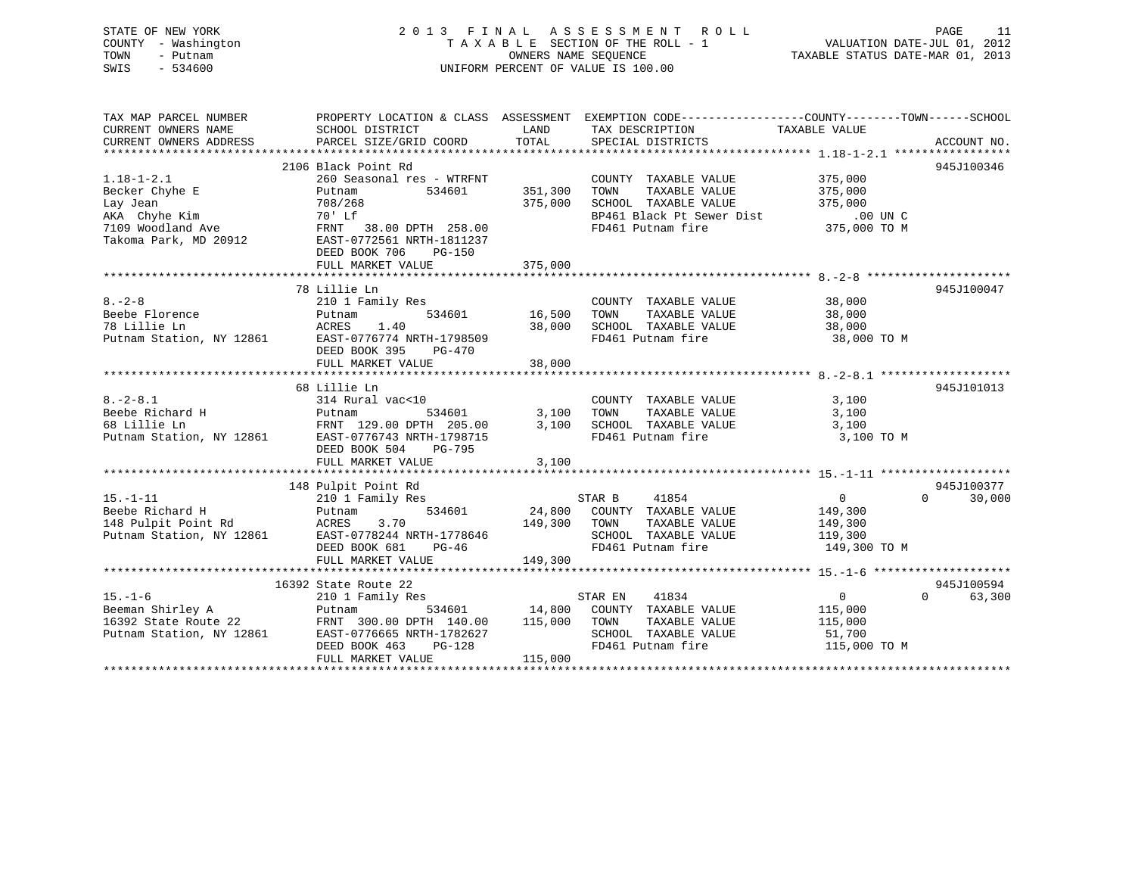# STATE OF NEW YORK 2 0 1 3 F I N A L A S S E S S M E N T R O L L PAGE 11 COUNTY - Washington T A X A B L E SECTION OF THE ROLL - 1 VALUATION DATE-JUL 01, 2012 TOWN - Putnam OWNERS NAME SEQUENCE TAXABLE STATUS DATE-MAR 01, 2013 SWIS - 534600 UNIFORM PERCENT OF VALUE IS 100.00

| TAX MAP PARCEL NUMBER<br>CURRENT OWNERS NAME<br>CURRENT OWNERS ADDRESS                                        | PROPERTY LOCATION & CLASS ASSESSMENT EXEMPTION CODE---------------COUNTY-------TOWN------SCHOOL<br>SCHOOL DISTRICT<br>PARCEL SIZE/GRID COORD                                                     | LAND<br>TOTAL                     | TAX DESCRIPTION TAXABLE VALUE<br>SPECIAL DISTRICTS                                                                          |                                                                 | ACCOUNT NO.                      |
|---------------------------------------------------------------------------------------------------------------|--------------------------------------------------------------------------------------------------------------------------------------------------------------------------------------------------|-----------------------------------|-----------------------------------------------------------------------------------------------------------------------------|-----------------------------------------------------------------|----------------------------------|
| $1.18 - 1 - 2.1$<br>Becker Chyhe E<br>Lay Jean<br>AKA Chyhe Kim<br>7109 Woodland Ave<br>Takoma Park, MD 20912 | 2106 Black Point Rd<br>260 Seasonal res - WTRFNT<br>Putnam<br>534601<br>708/268<br>70' Lf<br>FRNT 38.00 DPTH 258.00<br>EAST-0772561 NRTH-1811237<br>DEED BOOK 706<br>PG-150<br>FULL MARKET VALUE | 351,300<br>375,000<br>375,000     | COUNTY TAXABLE VALUE<br>TOWN<br>TAXABLE VALUE<br>SCHOOL TAXABLE VALUE<br>BP461 Black Pt Sewer Dist<br>FD461 Putnam fire     | 375,000<br>375,000<br>375,000<br>.00 UN C<br>375,000 TO M       | 945J100346                       |
| $8 - 2 - 8$<br>Beebe Florence<br>78 Lillie Ln<br>Putnam Station, NY 12861 EAST-0776774 NRTH-1798509           | 78 Lillie Ln<br>210 1 Family Res<br>Putnam<br>ACRES<br>1.40<br>DEED BOOK 395<br>PG-470<br>FULL MARKET VALUE                                                                                      | 534601 16,500<br>38,000<br>38,000 | COUNTY TAXABLE VALUE<br>TOWN<br>TAXABLE VALUE<br>SCHOOL TAXABLE VALUE<br>FD461 Putnam fire                                  | 38,000<br>38,000<br>38,000<br>38,000 TO M                       | 945J100047                       |
| $8. - 2 - 8.1$<br>Beebe Richard H<br>68 Lillie Ln<br>Putnam Station, NY 12861                                 | 68 Lillie Ln<br>314 Rural vac<10<br>534601<br>Putnam<br>FRNT 129.00 DPTH 205.00<br>EAST-0776743 NRTH-1798715<br>DEED BOOK 504<br>PG-795<br>FULL MARKET VALUE                                     | 3,100<br>3,100<br>3,100           | COUNTY TAXABLE VALUE<br>TOWN<br>TAXABLE VALUE<br>SCHOOL TAXABLE VALUE<br>FD461 Putnam fire                                  | 3,100<br>3,100<br>3,100<br>3,100 TO M                           | 945J101013                       |
|                                                                                                               |                                                                                                                                                                                                  |                                   |                                                                                                                             |                                                                 |                                  |
| $15. - 1 - 11$<br>Putnam<br>Beebe Richard H<br>148 Pulpit Point Rd<br>Putnam Station, NY 12861                | 148 Pulpit Point Rd<br>210 1 Family Res<br>3.70<br>ACRES<br>EAST-0778244 NRTH-1778646<br>DEED BOOK 681<br>PG-46<br>FULL MARKET VALUE                                                             | 149,300<br>149,300                | STAR B<br>41854<br>534601 24,800 COUNTY TAXABLE VALUE<br>TOWN<br>TAXABLE VALUE<br>SCHOOL TAXABLE VALUE<br>FD461 Putnam fire | $\overline{0}$<br>149,300<br>149,300<br>119,300<br>149,300 TO M | 945J100377<br>$\Omega$<br>30,000 |
|                                                                                                               |                                                                                                                                                                                                  |                                   |                                                                                                                             |                                                                 |                                  |
| $15. - 1 - 6$<br>Beeman Shirley A<br>16392 State Route 22<br>Putnam Station, NY 12861                         | 16392 State Route 22<br>210 1 Family Res<br>Putnam<br>FRNT 300.00 DPTH 140.00<br>EAST-0776665 NRTH-1782627<br>DEED BOOK 463<br>$PG-128$<br>FULL MARKET VALUE                                     | 115,000 TOWN<br>115,000           | 41834<br>STAR EN<br>534601 14,800 COUNTY TAXABLE VALUE<br>TAXABLE VALUE<br>SCHOOL TAXABLE VALUE<br>FD461 Putnam fire        | $\overline{0}$<br>115,000<br>115,000<br>51,700<br>115,000 TO M  | 945J100594<br>$\Omega$<br>63,300 |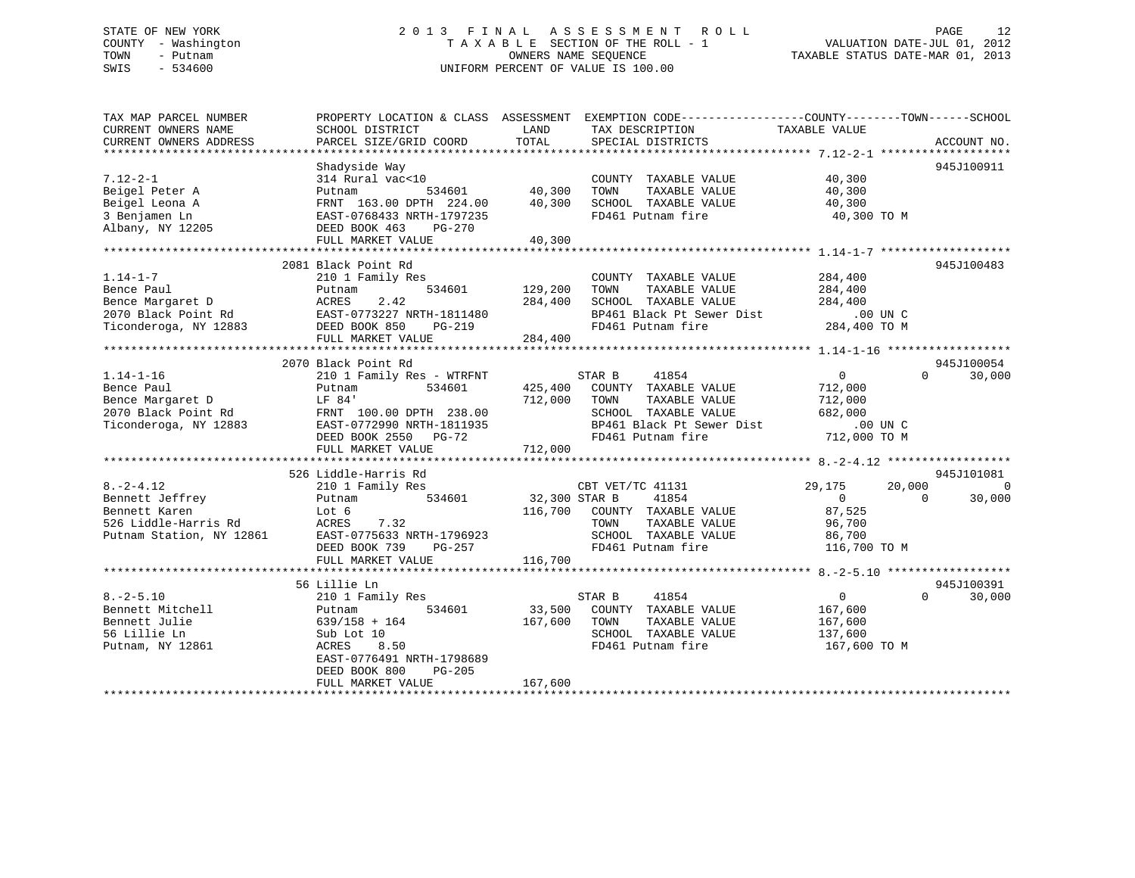# STATE OF NEW YORK 2 0 1 3 F I N A L A S S E S S M E N T R O L L PAGE 12 COUNTY - Washington T A X A B L E SECTION OF THE ROLL - 1 VALUATION DATE-JUL 01, 2012 TOWN - Putnam OWNERS NAME SEQUENCE TAXABLE STATUS DATE-MAR 01, 2013 SWIS - 534600 UNIFORM PERCENT OF VALUE IS 100.00

| TAX MAP PARCEL NUMBER<br>CURRENT OWNERS NAME<br>CURRENT OWNERS ADDRESS                                                                               | PROPERTY LOCATION & CLASS ASSESSMENT<br>SCHOOL DISTRICT<br>PARCEL SIZE/GRID COORD                                                                                         | LAND<br>TAX DESCRIPTION<br>TOTAL<br>SPECIAL DISTRICTS                                                                                                                                                 | EXEMPTION CODE-----------------COUNTY-------TOWN------SCHOOL<br>TAXABLE VALUE<br>ACCOUNT NO.                          |
|------------------------------------------------------------------------------------------------------------------------------------------------------|---------------------------------------------------------------------------------------------------------------------------------------------------------------------------|-------------------------------------------------------------------------------------------------------------------------------------------------------------------------------------------------------|-----------------------------------------------------------------------------------------------------------------------|
|                                                                                                                                                      | Shadyside Way                                                                                                                                                             |                                                                                                                                                                                                       | 945J100911                                                                                                            |
| $7.12 - 2 - 1$<br>Beigel Peter A<br>Beigel Leona A<br>3 Benjamen Ln<br>Albany, NY 12205                                                              | 314 Rural vac<10<br>Putnam<br>FRNT 163.00 DPTH 224.00<br>EAST-0768433 NRTH-1797235<br>DEED BOOK 463<br>PG-270<br>FULL MARKET VALUE                                        | COUNTY TAXABLE VALUE<br>534601 40,300<br>TAXABLE VALUE<br>TOWN<br>40,300<br>SCHOOL TAXABLE VALUE<br>FD461 Putnam fire<br>40,300                                                                       | 40,300<br>40,300<br>40,300<br>40,300 TO M                                                                             |
|                                                                                                                                                      | 2081 Black Point Rd                                                                                                                                                       |                                                                                                                                                                                                       | 945J100483                                                                                                            |
| $1.14 - 1 - 7$<br>Bence Paul<br>Bence Margaret D<br>2070 Black Point Pd<br>2070 Black Point Rd EAST-0773227 N<br>Ticonderoga, NY 12883 DEED BOOK 850 | 210 1 Family Res<br>534601<br>Putnam<br>2.42<br>ACRES<br>EAST-0773227 NRTH-1811480<br>PG-219<br>RTH-1811480<br>FULL MARKET VALUE                                          | COUNTY TAXABLE VALUE<br>TAXABLE VALUE<br>129,200<br>TOWN<br>SCHOOL TAXABLE VALUE<br>284,400<br>BP461 Black Pt Sewer Dist .00 UN C<br>FD461 Putnam fire 284,400 TO M<br>284,400                        | 284,400<br>284,400<br>284,400                                                                                         |
|                                                                                                                                                      |                                                                                                                                                                           |                                                                                                                                                                                                       |                                                                                                                       |
| $1.14 - 1 - 16$<br>Bence Paul<br>Bence Margaret D<br>2070 Black Point Rd<br>Ticonderoga, NY 12883                                                    | 2070 Black Point Rd<br>210 1 Family Res - WTRFNT<br>Putnam<br>LF 84'<br>FRNT 100.00 DPTH 238.00<br>EAST-0772990 NRTH-1811935<br>DEED BOOK 2550 PG-72<br>FULL MARKET VALUE | STAR B<br>41854<br>534601 425,400 COUNTY TAXABLE VALUE<br>712,000<br>TOWN<br>TAXABLE VALUE<br>SCHOOL TAXABLE VALUE<br>BP461 Black Pt Sewer Dist .00 UN C<br>FD461 Putnam fire 712,000 TO M<br>712,000 | 945J100054<br>0<br>$\Omega$<br>30,000<br>712,000<br>712,000<br>682,000                                                |
|                                                                                                                                                      | 526 Liddle-Harris Rd                                                                                                                                                      |                                                                                                                                                                                                       | 945J101081                                                                                                            |
| $8. -2 - 4.12$<br>Bennett Jeffrey<br>Bennett Karen<br>526 Liddle-Harris Rd<br>Putnam Station, NY 12861                                               | 210 1 Family Res<br>534601<br>Putnam<br>Lot 6<br>ACRES<br>7.32<br>EAST-0775633 NRTH-1796923<br>DEED BOOK 739 PG-257<br>FULL MARKET VALUE                                  | CBT VET/TC 41131<br>32,300 STAR B<br>41854<br>116,700 COUNTY TAXABLE VALUE<br>TOWN<br>TAXABLE VALUE<br>SCHOOL TAXABLE VALUE<br>FD461 Putnam fire<br>116,700                                           | 29,175<br>20,000<br>$\mathbf 0$<br>$\overline{0}$<br>$\Omega$<br>30,000<br>87,525<br>96,700<br>86,700<br>116,700 TO M |
|                                                                                                                                                      | 56 Lillie Ln                                                                                                                                                              |                                                                                                                                                                                                       | 945J100391                                                                                                            |
| $8. - 2 - 5.10$<br>Bennett Mitchell<br>Bennett Julie<br>56 Lillie Ln<br>Putnam, NY 12861                                                             | 210 1 Family Res<br>534601<br>Putnam<br>$639/158 + 164$<br>Sub Lot 10<br>ACRES<br>8.50<br>EAST-0776491 NRTH-1798689<br>DEED BOOK 800<br>PG-205                            | STAR B<br>41854<br>33,500 COUNTY TAXABLE VALUE<br>167,600<br>TOWN<br>TAXABLE VALUE<br>SCHOOL TAXABLE VALUE<br>FD461 Putnam fire                                                                       | $\overline{0}$<br>$\Omega$<br>30,000<br>167,600<br>167,600<br>137,600<br>167,600 TO M                                 |
|                                                                                                                                                      | FULL MARKET VALUE                                                                                                                                                         | 167,600                                                                                                                                                                                               |                                                                                                                       |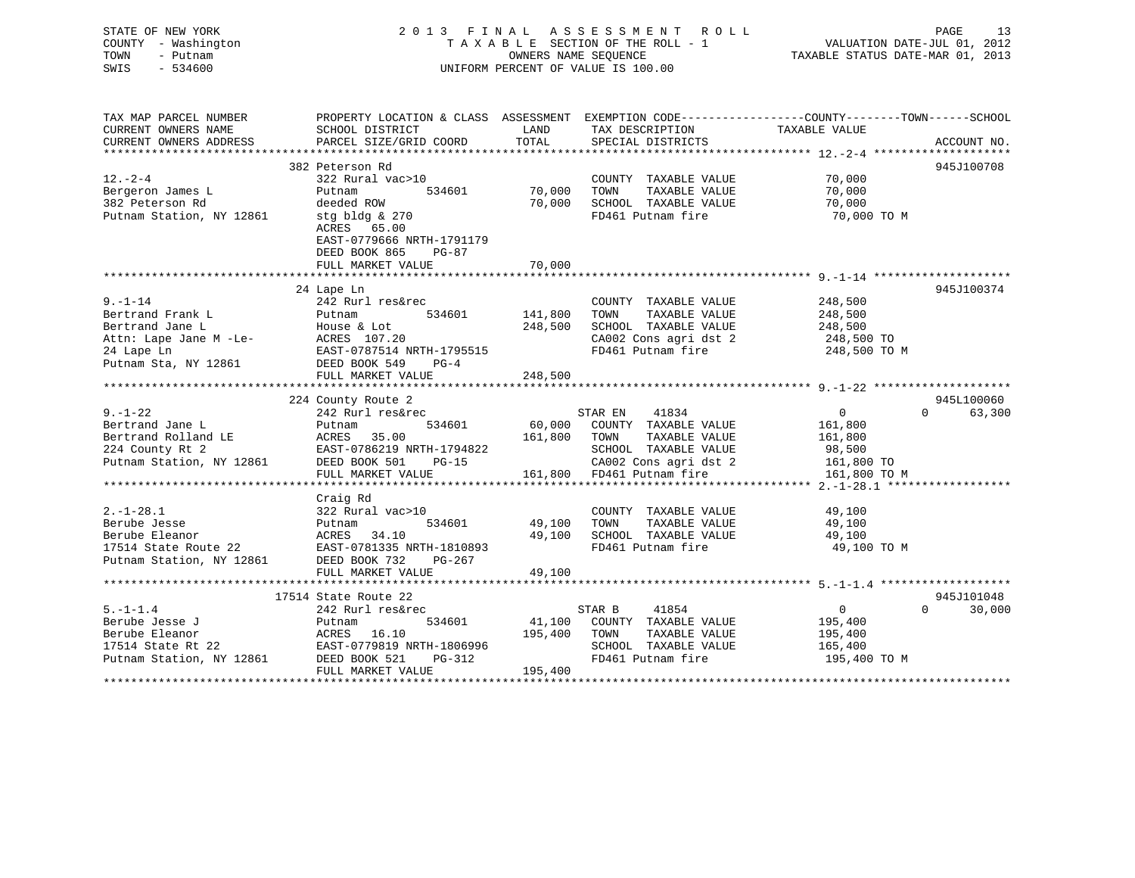| STATE OF NEW YORK<br>COUNTY - Washington<br>TOWN<br>- Putnam<br>SWIS<br>$-534600$ |                                              |                       | 2013 FINAL ASSESSMENT ROLL<br>TAXABLE SECTION OF THE ROLL - 1<br>OWNERS NAME SEQUENCE<br>UNIFORM PERCENT OF VALUE IS 100.00 | PAGE 13<br>VALUATION DATE-JUL 01, 2012<br>TAXABLE STATUE DATE 11-<br>TAXABLE STATUS DATE-MAR 01, 2013             |             |
|-----------------------------------------------------------------------------------|----------------------------------------------|-----------------------|-----------------------------------------------------------------------------------------------------------------------------|-------------------------------------------------------------------------------------------------------------------|-------------|
| TAX MAP PARCEL NUMBER<br>CURRENT OWNERS NAME                                      |                                              | LAND                  |                                                                                                                             | PROPERTY LOCATION & CLASS ASSESSMENT EXEMPTION CODE----------------COUNTY-------TOWN------SCHOOL<br>TAXABLE VALUE |             |
| CURRENT OWNERS ADDRESS                                                            | SCHOOL DISTRICT<br>PARCEL SIZE/GRID COORD    | TOTAL                 | TAX DESCRIPTION<br>SPECIAL DISTRICTS                                                                                        |                                                                                                                   | ACCOUNT NO. |
|                                                                                   |                                              |                       |                                                                                                                             | **************** 12. -2-4 ***************                                                                         |             |
|                                                                                   | 382 Peterson Rd                              |                       |                                                                                                                             |                                                                                                                   | 945J100708  |
| $12 - 2 - 4$                                                                      | 322 Rural vac>10                             |                       | COUNTY TAXABLE VALUE                                                                                                        | 70,000                                                                                                            |             |
| Bergeron James L                                                                  | Putnam<br>534601                             | 70,000                | TOWN<br>TAXABLE VALUE                                                                                                       | 70,000                                                                                                            |             |
| 382 Peterson Rd                                                                   | deeded ROW                                   | 70,000                | SCHOOL TAXABLE VALUE                                                                                                        | 70,000                                                                                                            |             |
| Putnam Station, NY 12861                                                          | stg bldg & 270<br>ACRES 65.00                |                       | FD461 Putnam fire                                                                                                           | 70,000 TO M                                                                                                       |             |
|                                                                                   | EAST-0779666 NRTH-1791179                    |                       |                                                                                                                             |                                                                                                                   |             |
|                                                                                   | DEED BOOK 865<br>PG-87                       |                       |                                                                                                                             |                                                                                                                   |             |
|                                                                                   | FULL MARKET VALUE                            | 70,000                |                                                                                                                             |                                                                                                                   |             |
|                                                                                   |                                              |                       |                                                                                                                             |                                                                                                                   |             |
|                                                                                   | 24 Lape Ln                                   |                       |                                                                                                                             |                                                                                                                   | 945J100374  |
| $9. - 1 - 14$                                                                     | 242 Rurl res&rec                             |                       | COUNTY TAXABLE VALUE                                                                                                        | 248,500                                                                                                           |             |
| Bertrand Frank L<br>Bertrand Jane L                                               | Putnam<br>534601                             | 141,800<br>248,500    | TOWN<br>TAXABLE VALUE<br>SCHOOL TAXABLE VALUE                                                                               | 248,500<br>248,500                                                                                                |             |
| Attn: Lape Jane M -Le-                                                            | House & Lot<br>ACRES 107.20                  |                       | CA002 Cons agri dst 2                                                                                                       | 248,500 TO                                                                                                        |             |
| 24 Lape Ln                                                                        | EAST-0787514 NRTH-1795515                    |                       | FD461 Putnam fire                                                                                                           | 248,500 TO M                                                                                                      |             |
| Putnam Sta, NY 12861                                                              | DEED BOOK 549<br>$PG-4$                      |                       |                                                                                                                             |                                                                                                                   |             |
|                                                                                   | FULL MARKET VALUE                            | 248,500               |                                                                                                                             |                                                                                                                   |             |
|                                                                                   |                                              |                       |                                                                                                                             |                                                                                                                   |             |
|                                                                                   | 224 County Route 2                           |                       |                                                                                                                             |                                                                                                                   | 945L100060  |
| $9. - 1 - 22$                                                                     | 242 Rurl res&rec                             |                       | 41834<br>STAR EN                                                                                                            | $\overline{0}$<br>$\Omega$                                                                                        | 63,300      |
| Bertrand Jane L                                                                   | Putnam<br>534601                             | 60,000                | COUNTY TAXABLE VALUE                                                                                                        | 161,800                                                                                                           |             |
| Bertrand Rolland LE<br>224 County Rt 2                                            | ACRES 35.00<br>EAST-0786219 NRTH-1794822     | 161,800               | TOWN<br>TAXABLE VALUE<br>SCHOOL TAXABLE VALUE                                                                               | 161,800<br>98,500                                                                                                 |             |
| Putnam Station, NY 12861                                                          | DEED BOOK 501 PG-15                          |                       | CA002 Cons agri dst 2                                                                                                       | 161,800 TO                                                                                                        |             |
|                                                                                   | FULL MARKET VALUE                            | 161,800               | FD461 Putnam fire                                                                                                           | 161,800 TO M                                                                                                      |             |
|                                                                                   | *******************                          | ********************* |                                                                                                                             | ***************** 2.-1-28.1 *******************                                                                   |             |
|                                                                                   | Craig Rd                                     |                       |                                                                                                                             |                                                                                                                   |             |
| $2. - 1 - 28.1$                                                                   | 322 Rural vac>10                             |                       | COUNTY TAXABLE VALUE                                                                                                        | 49,100                                                                                                            |             |
| Berube Jesse                                                                      | 534601<br>Putnam                             | 49,100                | TAXABLE VALUE<br>TOWN                                                                                                       | 49,100                                                                                                            |             |
| Berube Eleanor                                                                    | ACRES 34.10                                  | 49,100                | SCHOOL TAXABLE VALUE                                                                                                        | 49,100                                                                                                            |             |
| 17514 State Route 22                                                              | EAST-0781335 NRTH-1810893                    |                       | FD461 Putnam fire                                                                                                           | 49,100 TO M                                                                                                       |             |
| Putnam Station, NY 12861                                                          | DEED BOOK 732<br>PG-267<br>FULL MARKET VALUE | 49,100                |                                                                                                                             |                                                                                                                   |             |
|                                                                                   |                                              |                       |                                                                                                                             |                                                                                                                   |             |
|                                                                                   | 17514 State Route 22                         |                       |                                                                                                                             |                                                                                                                   | 945J101048  |
| $5. - 1 - 1.4$                                                                    | 242 Rurl res&rec                             |                       | STAR B<br>41854                                                                                                             | $\overline{0}$<br>$\Omega$                                                                                        | 30,000      |
| Berube Jesse J                                                                    | Putnam<br>534601                             | 41,100                | COUNTY TAXABLE VALUE                                                                                                        | 195,400                                                                                                           |             |
| Berube Eleanor                                                                    | ACRES 16.10                                  | 195,400               | TOWN<br>TAXABLE VALUE                                                                                                       | 195,400                                                                                                           |             |
| 17514 State Rt 22                                                                 | EAST-0779819 NRTH-1806996                    |                       | SCHOOL TAXABLE VALUE                                                                                                        | 165,400                                                                                                           |             |
| Putnam Station, NY 12861                                                          | DEED BOOK 521<br>PG-312                      |                       | FD461 Putnam fire                                                                                                           | 195,400 TO M                                                                                                      |             |
| * * * * * * * * * * * * * * * *                                                   | FULL MARKET VALUE                            | 195,400               |                                                                                                                             |                                                                                                                   |             |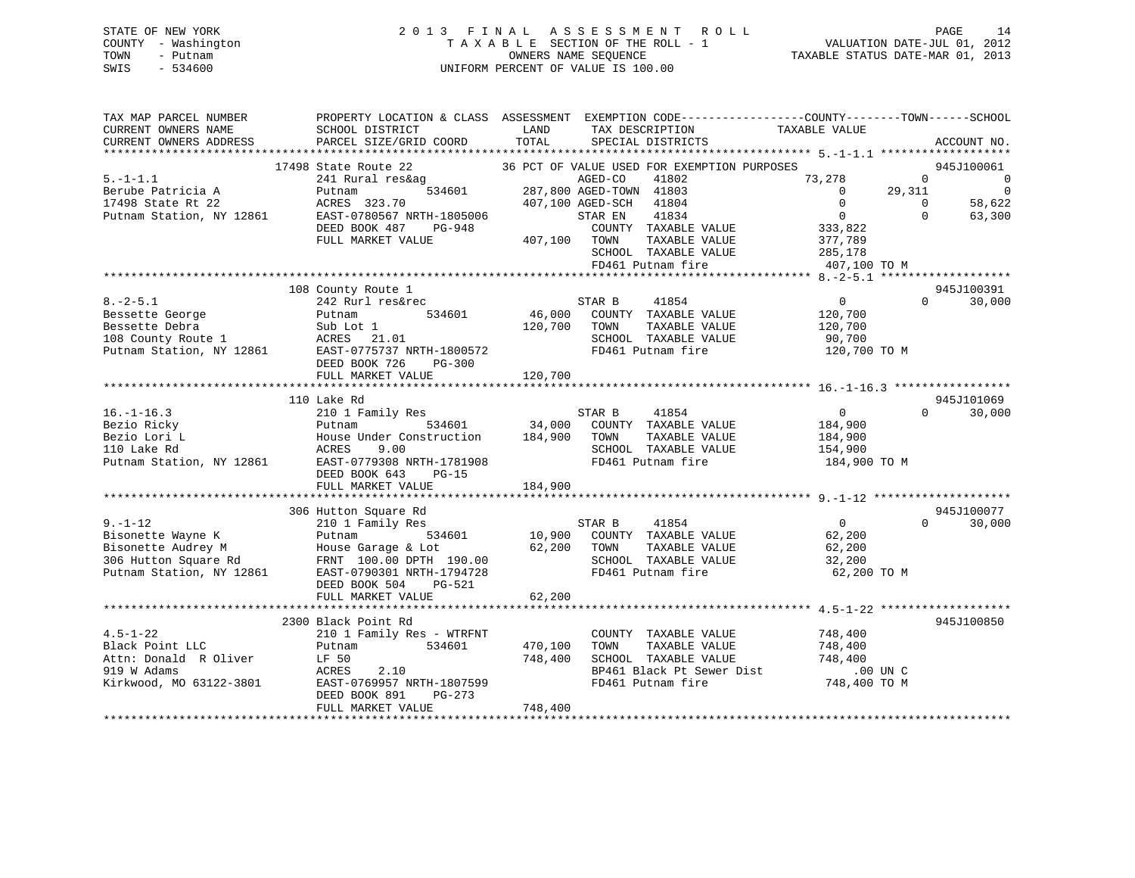# STATE OF NEW YORK 2 0 1 3 F I N A L A S S E S S M E N T R O L L PAGE 14 COUNTY - Washington T A X A B L E SECTION OF THE ROLL - 1 VALUATION DATE-JUL 01, 2012 TOWN - Putnam OWNERS NAME SEQUENCE TAXABLE STATUS DATE-MAR 01, 2013 SWIS - 534600 UNIFORM PERCENT OF VALUE IS 100.00

| TAX MAP PARCEL NUMBER<br>CURRENT OWNERS NAME<br>CURRENT OWNERS ADDRESS | SCHOOL DISTRICT<br>PARCEL SIZE/GRID COORD | LAND<br>TAX DESCRIPTION<br>TOTAL<br>SPECIAL DISTRICTS | PROPERTY LOCATION & CLASS ASSESSMENT EXEMPTION CODE---------------COUNTY-------TOWN-----SCHOOL<br>TAXABLE VALUE | ACCOUNT NO.                                    |
|------------------------------------------------------------------------|-------------------------------------------|-------------------------------------------------------|-----------------------------------------------------------------------------------------------------------------|------------------------------------------------|
|                                                                        |                                           |                                                       |                                                                                                                 |                                                |
|                                                                        | 17498 State Route 22                      | 36 PCT OF VALUE USED FOR EXEMPTION PURPOSES           |                                                                                                                 | 945J100061                                     |
| $5. - 1 - 1.1$                                                         | 241 Rural res&ag                          | AGED-CO<br>41802<br>287,800 AGED-TOWN 41803           | 73,278                                                                                                          | $\circ$<br>- 0                                 |
| Berube Patricia A<br>17498 State Rt 22                                 | 534601<br>Putnam<br>ACRES 323.70          | 407,100 AGED-SCH 41804                                | $\overline{0}$<br>$\Omega$                                                                                      | 29,311<br>$\overline{0}$<br>$\Omega$<br>58,622 |
| Putnam Station, NY 12861                                               | EAST-0780567 NRTH-1805006                 | 41834<br>STAR EN                                      | $\overline{0}$                                                                                                  | $\Omega$<br>63,300                             |
|                                                                        | DEED BOOK 487<br>PG-948                   | COUNTY TAXABLE VALUE                                  | 333,822                                                                                                         |                                                |
|                                                                        | FULL MARKET VALUE                         | 407,100 TOWN                                          | TAXABLE VALUE<br>377,789                                                                                        |                                                |
|                                                                        |                                           | SCHOOL TAXABLE VALUE                                  | 285,178                                                                                                         |                                                |
|                                                                        |                                           | FD461 Putnam fire                                     | 407,100 TO M                                                                                                    |                                                |
|                                                                        |                                           |                                                       |                                                                                                                 |                                                |
|                                                                        | 108 County Route 1                        |                                                       |                                                                                                                 | 945J100391                                     |
| $8. -2 - 5.1$                                                          | 242 Rurl res&rec                          | STAR B<br>41854                                       | $\Omega$                                                                                                        | $\Omega$<br>30,000                             |
| Bessette George                                                        | 534601<br>Putnam                          | 46,000<br>COUNTY TAXABLE VALUE                        | 120,700                                                                                                         |                                                |
| Bessette Debra                                                         | Sub Lot 1                                 | 120,700<br>TOWN                                       | TAXABLE VALUE<br>120,700                                                                                        |                                                |
| Besselle Deal<br>108 County Route 1<br>10861 November 19861            | ACRES 21.01                               | SCHOOL TAXABLE VALUE                                  | 90,700                                                                                                          |                                                |
| Putnam Station, NY 12861                                               | EAST-0775737 NRTH-1800572                 | FD461 Putnam fire                                     | 120,700 TO M                                                                                                    |                                                |
|                                                                        | DEED BOOK 726<br><b>PG-300</b>            |                                                       |                                                                                                                 |                                                |
|                                                                        | FULL MARKET VALUE                         | 120,700                                               |                                                                                                                 |                                                |
|                                                                        |                                           |                                                       |                                                                                                                 |                                                |
|                                                                        | 110 Lake Rd                               |                                                       |                                                                                                                 | 945J101069                                     |
| $16. - 1 - 16.3$                                                       | 210 1 Family Res                          | STAR B<br>41854                                       | $0 \qquad \qquad$                                                                                               | 30,000<br>$\Omega$                             |
| Bezio Ricky                                                            | 534601<br>Putnam                          | 34,000 COUNTY TAXABLE VALUE                           | 184,900                                                                                                         |                                                |
| Bezio Lori L                                                           | House Under Construction                  | 184,900 TOWN                                          | TAXABLE VALUE<br>184,900                                                                                        |                                                |
| 110 Lake Rd                                                            | ACRES<br>9.00                             | SCHOOL TAXABLE VALUE                                  | 154,900                                                                                                         |                                                |
| Putnam Station, NY 12861                                               | EAST-0779308 NRTH-1781908                 | FD461 Putnam fire                                     | 184,900 TO M                                                                                                    |                                                |
|                                                                        | DEED BOOK 643<br>$PG-15$                  |                                                       |                                                                                                                 |                                                |
|                                                                        | FULL MARKET VALUE                         | 184,900                                               |                                                                                                                 |                                                |
|                                                                        | 306 Hutton Square Rd                      |                                                       |                                                                                                                 | 945J100077                                     |
| $9. - 1 - 12$                                                          | 210 1 Family Res                          | STAR B<br>41854                                       | $\overline{0}$                                                                                                  | $\Omega$<br>30,000                             |
| Bisonette Wayne K                                                      | 534601<br>Putnam                          | 10,900 COUNTY TAXABLE VALUE                           | 62,200                                                                                                          |                                                |
| Bisonette Audrey M                                                     | House Garage & Lot                        | 62,200 TOWN                                           | TAXABLE VALUE<br>62,200                                                                                         |                                                |
| 306 Hutton Square Rd                                                   | FRNT 100.00 DPTH 190.00                   | SCHOOL TAXABLE VALUE                                  | 32,200                                                                                                          |                                                |
| Putnam Station, NY 12861                                               | EAST-0790301 NRTH-1794728                 | FD461 Putnam fire                                     | 62,200 TO M                                                                                                     |                                                |
|                                                                        | DEED BOOK 504<br>PG-521                   |                                                       |                                                                                                                 |                                                |
|                                                                        | FULL MARKET VALUE                         | 62,200                                                |                                                                                                                 |                                                |
|                                                                        |                                           |                                                       |                                                                                                                 |                                                |
|                                                                        | 2300 Black Point Rd                       |                                                       |                                                                                                                 | 945J100850                                     |
| $4.5 - 1 - 22$                                                         | 210 1 Family Res - WTRFNT                 | COUNTY TAXABLE VALUE                                  | 748,400                                                                                                         |                                                |
| Black Point LLC                                                        | 534601<br>Putnam                          | 470,100<br>TOWN                                       | TAXABLE VALUE<br>748,400                                                                                        |                                                |
| Attn: Donald R Oliver                                                  | LF 50                                     | 748,400<br>SCHOOL TAXABLE VALUE                       | 748,400                                                                                                         |                                                |
| 919 W Adams                                                            | 2.10<br>ACRES                             |                                                       | BP461 Black Pt Sewer Dist<br>$.00$ UN $C$                                                                       |                                                |
| Kirkwood, MO 63122-3801                                                | EAST-0769957 NRTH-1807599                 | FD461 Putnam fire                                     | 748,400 TO M                                                                                                    |                                                |
|                                                                        | DEED BOOK 891<br>PG-273                   |                                                       |                                                                                                                 |                                                |
|                                                                        | FULL MARKET VALUE                         | 748,400                                               |                                                                                                                 |                                                |
|                                                                        |                                           |                                                       |                                                                                                                 |                                                |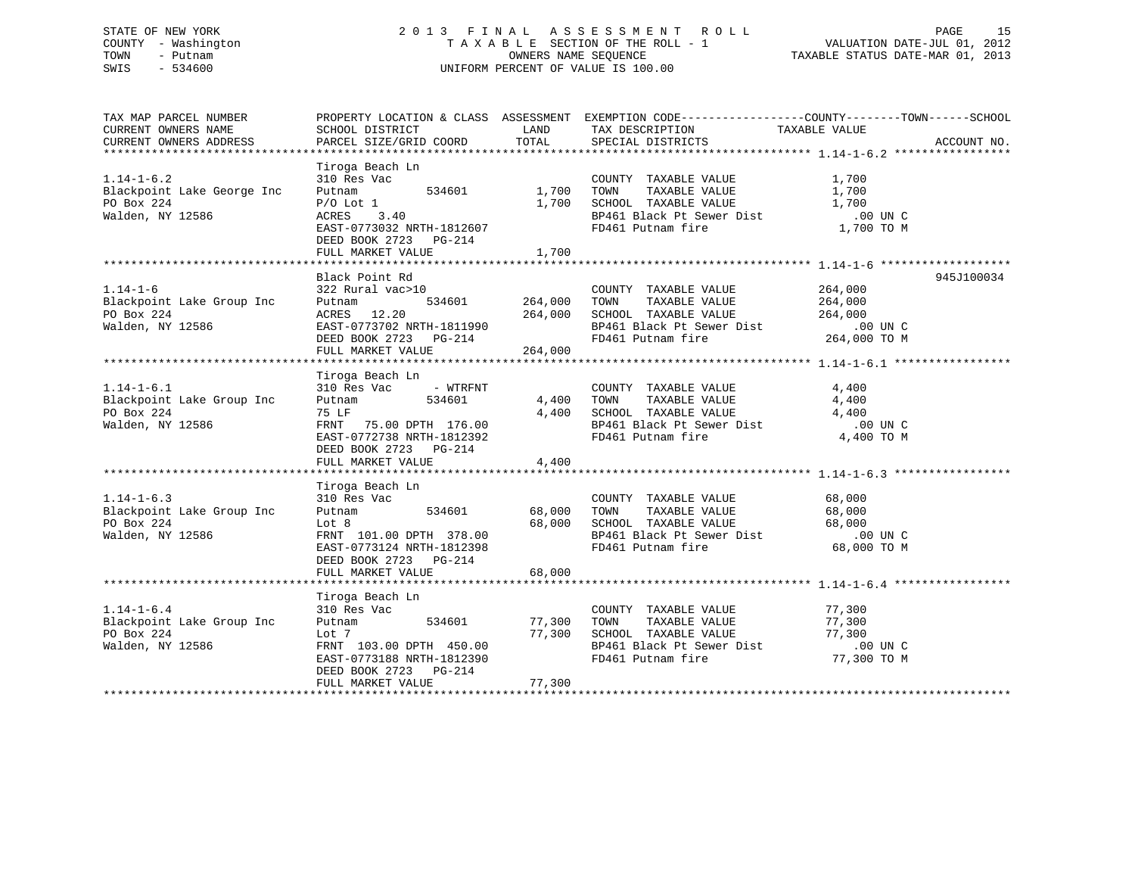# STATE OF NEW YORK 2 0 1 3 F I N A L A S S E S S M E N T R O L L PAGE 15 COUNTY - Washington T A X A B L E SECTION OF THE ROLL - 1 VALUATION DATE-JUL 01, 2012 TOWN - Putnam OWNERS NAME SEQUENCE TAXABLE STATUS DATE-MAR 01, 2013 SWIS - 534600 UNIFORM PERCENT OF VALUE IS 100.00

| TAX MAP PARCEL NUMBER<br>CURRENT OWNERS NAME<br>CURRENT OWNERS ADDRESS                                            | SCHOOL DISTRICT<br>PARCEL SIZE/GRID COORD                                                                                                                                     | LAND<br>TOTAL              | TAX DESCRIPTION<br>SPECIAL DISTRICTS                                                                                                                                                  | PROPERTY LOCATION & CLASS ASSESSMENT EXEMPTION CODE----------------COUNTY-------TOWN------SCHOOL<br>TAXABLE VALUE<br>ACCOUNT NO. |  |
|-------------------------------------------------------------------------------------------------------------------|-------------------------------------------------------------------------------------------------------------------------------------------------------------------------------|----------------------------|---------------------------------------------------------------------------------------------------------------------------------------------------------------------------------------|----------------------------------------------------------------------------------------------------------------------------------|--|
| $1.14 - 1 - 6.2$<br>Blackpoint Lake George Inc<br>PO Box 224<br>Walden, NY 12586                                  | Tiroga Beach Ln<br>310 Res Vac<br>534601<br>Putnam<br>$P/O$ Lot $1$<br>$\frac{1}{3}$ . 40<br>ACRES<br>EAST-0773032 NRTH-1812607<br>DEED BOOK 2723 PG-214<br>FULL MARKET VALUE | 1,700<br>1,700<br>1,700    | COUNTY TAXABLE VALUE<br>TOWN<br>TAXABLE VALUE<br>SCHOOL TAXABLE VALUE<br>BP461 Black Pt Sewer Dist .00 UN C<br>FD461 Putnam fire 1,700 TO M                                           | 1,700<br>1,700<br>1,700                                                                                                          |  |
| $1.14 - 1 - 6$<br>Blackpoint Lake Group Inc<br>PO Box 224<br>Walden, NY 12586                                     | Black Point Rd<br>322 Rural vac>10<br>Putnam<br>ACRES 12.20 264,000<br>EAST-0773702 NRTH-1811990 264,000<br>DEED BOOK 2723 PG-214<br>FULL MARKET VALUE                        | 534601 264,000<br>264,000  | COUNTY TAXABLE VALUE<br>TAXABLE VALUE 264,000<br>TOWN<br>SCHOOL TAXABLE VALUE<br>SCHOOL TAXABLE VALUE 264,000<br>BP461 Black Pt Sewer Dist .00 UN C<br>FD461 Putnam fire 264,000 TO M | 945J100034<br>264,000                                                                                                            |  |
| $1.14 - 1 - 6.1$<br>----------<br>Blackpoint Lake Group Inc<br>PO Box 224<br>Walden, NY 12586<br>Walden, NY 12586 | Tiroga Beach Ln<br>310 Res Vac<br>- WTRFNT<br>Putnam<br>534601<br>75 LF<br>FRNT 75.00 DPTH 176.00<br>EAST-0772738 NRTH-1812392<br>DEED BOOK 2723 PG-214<br>FULL MARKET VALUE  | 4,400 TOWN<br>4,400        | COUNTY TAXABLE VALUE<br>TAXABLE VALUE<br>4,400 SCHOOL TAXABLE VALUE<br>BP461 Black Pt Sewer Dist<br>FD461 Putnam fire                                                                 | 4,400<br>4,400<br>4,400<br>.00 UN C<br>4,400 TO M                                                                                |  |
| $1.14 - 1 - 6.3$<br>Blackpoint Lake Group Inc<br>PO Box 224<br>Walden, NY 12586                                   | Tiroga Beach Ln<br>310 Res Vac<br>534601<br>Putnam<br>Lot 8<br>FRNT 101.00 DPTH 378.00<br>EAST-0773124 NRTH-1812398<br>DEED BOOK 2723 PG-214<br>FULL MARKET VALUE             | 68,000<br>68,000<br>68,000 | COUNTY TAXABLE VALUE<br>TAXABLE VALUE<br>TOWN<br>SCHOOL TAXABLE VALUE<br>BP461 Black Pt Sewer Dist .00 UN C<br>FD461 Putnam fire 68,000 TO M                                          | 68,000<br>68,000<br>68,000                                                                                                       |  |
| $1.14 - 1 - 6.4$<br>Blackpoint Lake Group Inc<br>PO Box 224<br>Walden, NY 12586                                   | Tiroga Beach Ln<br>310 Res Vac<br>534601<br>Putnam<br>Lot 7<br>FRNT 103.00 DPTH 450.00<br>EAST-0773188 NRTH-1812390<br>DEED BOOK 2723 PG-214<br>FULL MARKET VALUE             | 77,300<br>77,300<br>77,300 | COUNTY TAXABLE VALUE<br>TAXABLE VALUE<br>TOWN<br>SCHOOL TAXABLE VALUE<br>BP461 Black Pt Sewer Dist<br>FD461 Putnam fire<br>FD461 Putnam fire                                          | 77,300<br>77,300<br>77,300<br>$.00$ UN C<br>77,300 TO M<br>*************************************                                 |  |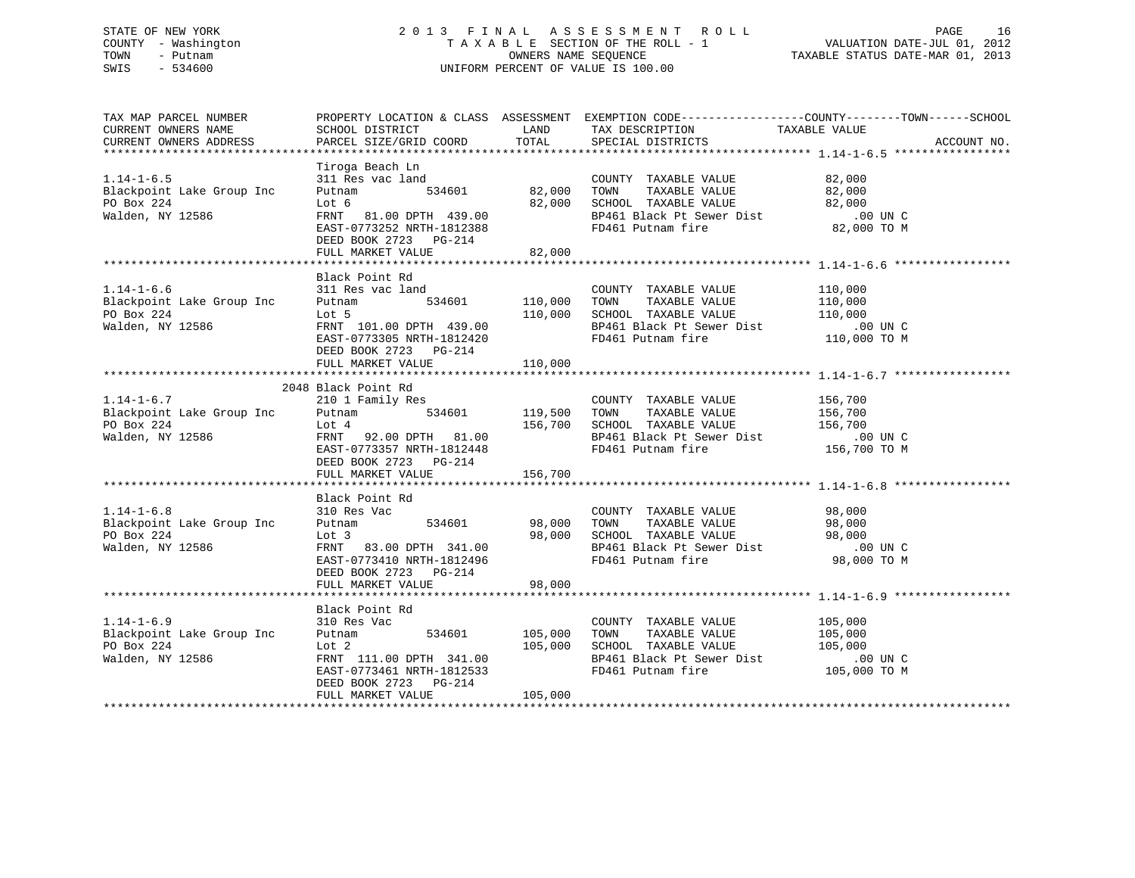# STATE OF NEW YORK 2 0 1 3 F I N A L A S S E S S M E N T R O L L PAGE 16 COUNTY - Washington T A X A B L E SECTION OF THE ROLL - 1 VALUATION DATE-JUL 01, 2012 TOWN - Putnam OWNERS NAME SEQUENCE TAXABLE STATUS DATE-MAR 01, 2013 SWIS - 534600 UNIFORM PERCENT OF VALUE IS 100.00

| TAX MAP PARCEL NUMBER<br>CURRENT OWNERS NAME<br>CURRENT OWNERS ADDRESS                              |                                                                                                                                                                                    |                |                                                                                                                                                                                                                                                                                                                                                                                     | PROPERTY LOCATION & CLASS ASSESSMENT EXEMPTION CODE----------------COUNTY-------TOWN------SCHOOL<br>ACCOUNT NO. |
|-----------------------------------------------------------------------------------------------------|------------------------------------------------------------------------------------------------------------------------------------------------------------------------------------|----------------|-------------------------------------------------------------------------------------------------------------------------------------------------------------------------------------------------------------------------------------------------------------------------------------------------------------------------------------------------------------------------------------|-----------------------------------------------------------------------------------------------------------------|
| $1.14 - 1 - 6.5$<br>Blackpoint Lake Group Inc<br>PO Box 224<br>Walden, NY 12586                     | Lot 6 82,000 SCHOOL TAXABLE VALUE<br>FRNT 81.00 DPTH 439.00 BP461 Black Pt Sewer Dist<br>EAST-0773252 NRTH-1812388 FD461 Putnam fire<br>DEED BOOK 2723 PG-214<br>FULL MARKET VALUE | 82,000         | COUNTY TAXABLE VALUE 82,000<br>CONNI TAXABLE VALUE<br>TOWN TAXABLE VALUE 82,000<br>SCHOOL TAXABLE VALUE 82,000<br>BP461 Black Pt Sewer Dist 00 UN C<br>FD461 Putnam fire 82,000 TO M<br>FD461 Putnam fire                                                                                                                                                                           |                                                                                                                 |
| $1.14 - 1 - 6.6$<br>Blackpoint Lake Group Inc<br>PO Box 224<br>PO Box 224<br>Walden, NY 12586       | Black Point Rd<br>311 Res vac land<br>DEED BOOK 2723 PG-214<br>FULL MARKET VALUE                                                                                                   | 110,000        | COUNTY TAXABLE VALUE 110,000<br>Putnam 534601 110,000 TOWN TAXABLE VALUE 110,000<br>Lot 5 110,000 SCHOOL TAXABLE VALUE 110,000<br>FRNT 101.00 DPTH 439.00 BP461 Black Pt Sewer Dist 00 UN C<br>EAST-0773305 NRTH-1812420 FD461 Putnam fire 110,000 TO M                                                                                                                             |                                                                                                                 |
|                                                                                                     | 2048 Black Point Rd<br>DEED BOOK 2723 PG-214<br>FULL MARKET VALUE                                                                                                                  | 156,700        |                                                                                                                                                                                                                                                                                                                                                                                     |                                                                                                                 |
| 1.14-1-6.8 310 Res<br>Blackpoint Lake Group Inc Putnam<br>PO Box 224 Lot 3<br>Walden, NY 12586 FRNT | Black Point Rd<br>Vac COUNTY<br>534601 98,000 TOWN<br>310 Res Vac<br>FULL MARKET VALUE                                                                                             | 98,000         | COUNTY TAXABLE VALUE 98,000                                                                                                                                                                                                                                                                                                                                                         |                                                                                                                 |
| $1.14 - 1 - 6.9$<br>Blackpoint Lake Group Inc Putnam<br>PO Box 224<br>Walden, NY 12586              | Black Point Rd<br>310 Res Vac<br>EAST-0773401 INCREASED BOOK 2723 PG-214<br>CONFIDER CONTRACT CONTRACT CONTRACT DESCRIPTION                                                        | 534601 105,000 | COUNTY TAXABLE VALUE 105,000<br>TAXABLE VALUE 105,000<br>TOWN<br>Lot 2<br>FRNT 111.00 DPTH 341.00<br>EAST-0773461 NRTH-1812533<br>DEED BOOK 2723<br>$\frac{105,000}{275}$<br>EAST-0773461 NRTH-1812533<br>DEED BOOK 2723<br>$\frac{105,000}{275}$<br>FD461 Putnam fire<br>TOWN INANABLE VALUE<br>SCHOOL TAXABLE VALUE 105,000<br>BP461 Black Pt Sewer Dist .00 UN C<br>105,000 TO M |                                                                                                                 |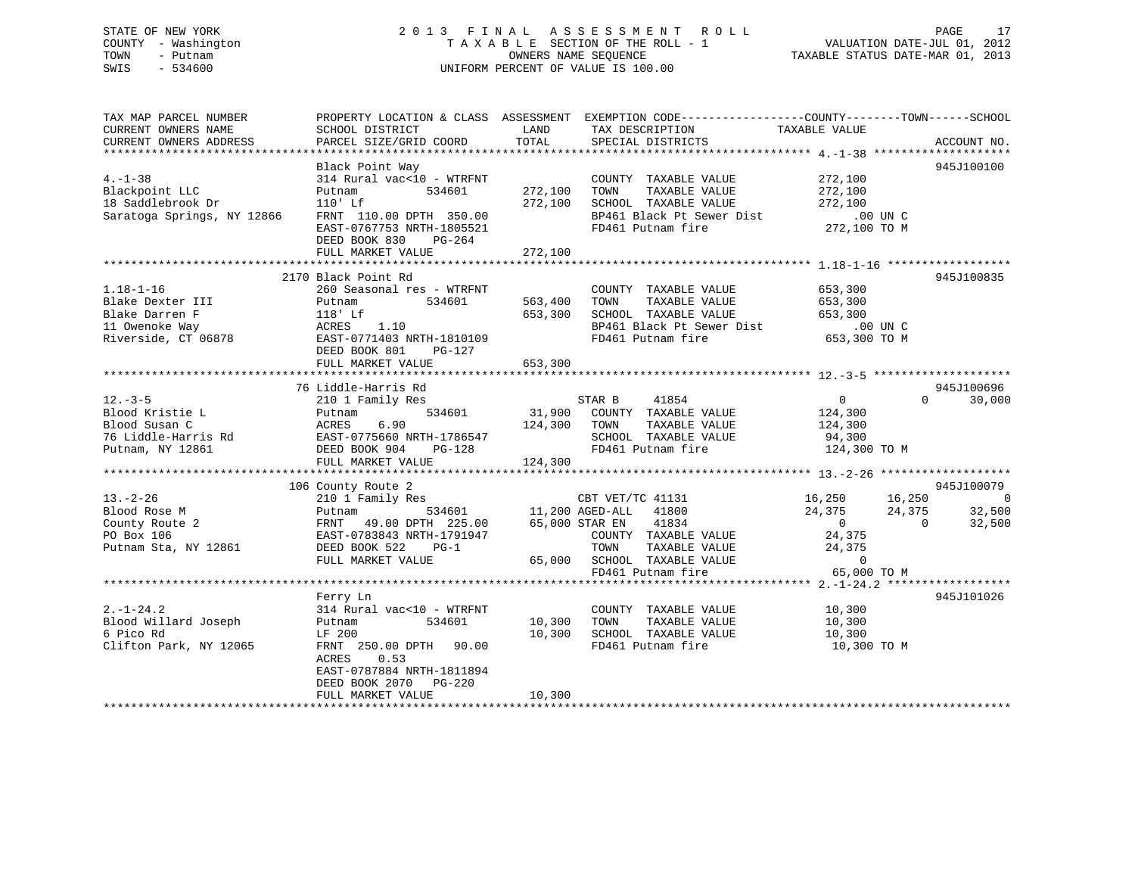# STATE OF NEW YORK 2 0 1 3 F I N A L A S S E S S M E N T R O L L PAGE 17COUNTY - Washington  $T A X A B L E$  SECTION OF THE ROLL - 1<br>TOWN - Putnam data of the COUNTERS NAME SEQUENCE SWIS - 534600 UNIFORM PERCENT OF VALUE IS 100.00

TAXABLE STATUS DATE-MAR 01, 2013

| TAX MAP PARCEL NUMBER                                                                                                                                     |                                                                                                                                                                                                                                                        |         | PROPERTY LOCATION & CLASS ASSESSMENT EXEMPTION CODE----------------COUNTY-------TOWN------SCHOOL                    |                                          |                    |
|-----------------------------------------------------------------------------------------------------------------------------------------------------------|--------------------------------------------------------------------------------------------------------------------------------------------------------------------------------------------------------------------------------------------------------|---------|---------------------------------------------------------------------------------------------------------------------|------------------------------------------|--------------------|
| CURRENT OWNERS NAME                                                                                                                                       | SCHOOL DISTRICT                                                                                                                                                                                                                                        | LAND    | TAX DESCRIPTION                                                                                                     | TAXABLE VALUE                            |                    |
| CURRENT OWNERS ADDRESS                                                                                                                                    | PARCEL SIZE/GRID COORD                                                                                                                                                                                                                                 | TOTAL   | SPECIAL DISTRICTS                                                                                                   |                                          | ACCOUNT NO.        |
|                                                                                                                                                           |                                                                                                                                                                                                                                                        |         |                                                                                                                     |                                          |                    |
|                                                                                                                                                           | Black Point Way                                                                                                                                                                                                                                        |         |                                                                                                                     |                                          | 945J100100         |
| $4. - 1 - 38$                                                                                                                                             | 314 Rural $\text{vac}$ <10 - WTRFNT COUNTY<br>Putnam 534601 272,100 TOWN                                                                                                                                                                               |         | COUNTY TAXABLE VALUE 272,100                                                                                        |                                          |                    |
| +.-1-38<br>Blackpoint LLC                                                                                                                                 |                                                                                                                                                                                                                                                        |         | TAXABLE VALUE                                                                                                       | 272,100                                  |                    |
| 18 Saddlebrook Dr                                                                                                                                         | $110'$ Lf                                                                                                                                                                                                                                              |         |                                                                                                                     |                                          |                    |
|                                                                                                                                                           | Saratoga Springs, NY 12866 FRNT 110.00 DPTH 350.00                                                                                                                                                                                                     |         | 272,100 SCHOOL TAXABLE VALUE 1.1.12 272,100<br>BP461 Black Pt Sewer Dist 100 UN C<br>FD461 Putnam fire 272,100 TO M |                                          |                    |
|                                                                                                                                                           | EAST-0767753 NRTH-1805521                                                                                                                                                                                                                              |         |                                                                                                                     |                                          |                    |
|                                                                                                                                                           | DEED BOOK 830 PG-264                                                                                                                                                                                                                                   |         |                                                                                                                     |                                          |                    |
|                                                                                                                                                           | FULL MARKET VALUE                                                                                                                                                                                                                                      | 272,100 |                                                                                                                     |                                          |                    |
|                                                                                                                                                           |                                                                                                                                                                                                                                                        |         |                                                                                                                     |                                          |                    |
| 1.18-1-16<br>Blake Dexter III Putnam<br>Plake Darren F 118' Lf<br>$\text{ACRES}$ 1.10<br>Plake Darren F ACRES 1.10<br>PAST-0771403 NRTH-1810105<br>DG-127 |                                                                                                                                                                                                                                                        |         |                                                                                                                     |                                          | 945J100835         |
|                                                                                                                                                           | 260 Seasonal res - WTRFNT                                                                                                                                                                                                                              |         | COUNTY TAXABLE VALUE 653,300                                                                                        |                                          |                    |
|                                                                                                                                                           | 534601 563,400 TOWN                                                                                                                                                                                                                                    |         | TAXABLE VALUE 653,300                                                                                               |                                          |                    |
|                                                                                                                                                           |                                                                                                                                                                                                                                                        | 653,300 |                                                                                                                     |                                          |                    |
|                                                                                                                                                           |                                                                                                                                                                                                                                                        |         | SCHOOL TAXABLE VALUE 653,300<br>BP461 Black Pt Sewer Dist .00 UN C                                                  |                                          |                    |
|                                                                                                                                                           |                                                                                                                                                                                                                                                        |         | FD461 Putnam fire                                                                                                   | 653,300 TO M                             |                    |
|                                                                                                                                                           | EAST-0771403 NRTH-1810109                                                                                                                                                                                                                              |         |                                                                                                                     |                                          |                    |
|                                                                                                                                                           | DEED BOOK 801 PG-127                                                                                                                                                                                                                                   |         |                                                                                                                     |                                          |                    |
|                                                                                                                                                           | FULL MARKET VALUE                                                                                                                                                                                                                                      | 653,300 |                                                                                                                     |                                          |                    |
|                                                                                                                                                           |                                                                                                                                                                                                                                                        |         |                                                                                                                     |                                          |                    |
|                                                                                                                                                           | 76 Liddle-Harris Rd                                                                                                                                                                                                                                    |         |                                                                                                                     |                                          | 945J100696         |
| $12. - 3 - 5$                                                                                                                                             | 210 1 Family Res                                                                                                                                                                                                                                       |         | s<br>534601 531,900 COUNTY TAXABLE VALUE 124,300<br>534601 31,900 COUNTY TAXABLE VALUE 124,300                      | $\overline{0}$                           | $\Omega$<br>30,000 |
|                                                                                                                                                           | 12.-3-5<br>Blood Kristie L<br>Blood Susan C<br>To Liddle-Harris Rd<br>Putnam, NY 12861<br>Putnam, NY 12861<br>Putnam, NY 12861<br>Putnam, NY 12861<br>Putnam, NY 12861<br>Putnam, NY 12861<br>Putnam, NY 12861<br>Putnam, NY 12861<br>Putnam, NY 12861 |         |                                                                                                                     |                                          |                    |
|                                                                                                                                                           |                                                                                                                                                                                                                                                        |         | 124,300 TOWN<br>TAXABLE VALUE                                                                                       | 124,300                                  |                    |
|                                                                                                                                                           |                                                                                                                                                                                                                                                        |         | SCHOOL TAXABLE VALUE 94,300                                                                                         |                                          |                    |
|                                                                                                                                                           |                                                                                                                                                                                                                                                        |         | FD461 Putnam fire                                                                                                   | 124,300 TO M                             |                    |
|                                                                                                                                                           |                                                                                                                                                                                                                                                        |         |                                                                                                                     |                                          |                    |
|                                                                                                                                                           |                                                                                                                                                                                                                                                        |         |                                                                                                                     |                                          |                    |
|                                                                                                                                                           | 106 County Route 2                                                                                                                                                                                                                                     |         |                                                                                                                     |                                          | 945J100079         |
| $13. - 2 - 26$                                                                                                                                            |                                                                                                                                                                                                                                                        |         |                                                                                                                     | $16,250$ $16,250$<br>$24,375$ $24,375$ 0 | $\sim$ 0           |
| Blood Rose M                                                                                                                                              | Putnam<br>FRNT 49.00 DPTH 225.00<br>EAST-0783843 NRTH-1791947<br>PRED BOOK 522 PG-1                                                                                                                                                                    |         |                                                                                                                     |                                          | 32,500             |
| County Route 2<br>PO Box 106                                                                                                                              | FRNT 49.00 DPTH 225.00                                                                                                                                                                                                                                 |         | 65,000 STAR EN 41834                                                                                                |                                          | 32,500             |
|                                                                                                                                                           |                                                                                                                                                                                                                                                        |         | COUNTY TAXABLE VALUE                                                                                                | 24,375                                   |                    |
| Putnam Sta, NY 12861                                                                                                                                      |                                                                                                                                                                                                                                                        |         |                                                                                                                     |                                          |                    |
|                                                                                                                                                           |                                                                                                                                                                                                                                                        |         |                                                                                                                     |                                          |                    |
|                                                                                                                                                           |                                                                                                                                                                                                                                                        |         | TOWN TAXABLE VALUE $24,375$<br>65,000 SCHOOL TAXABLE VALUE 0<br>FD461 Putnam fire 65,000 TO M                       |                                          |                    |
|                                                                                                                                                           |                                                                                                                                                                                                                                                        |         |                                                                                                                     |                                          |                    |
|                                                                                                                                                           | Ferry Ln                                                                                                                                                                                                                                               |         |                                                                                                                     |                                          | 945J101026         |
| $2. - 1 - 24.2$                                                                                                                                           | 314 Rural vac<10 - WTRFNT                                                                                                                                                                                                                              |         | COUNTY TAXABLE VALUE 10,300                                                                                         |                                          |                    |
| Blood Willard Joseph Putnam                                                                                                                               | 534601 10,300 TOWN                                                                                                                                                                                                                                     |         | TAXABLE VALUE 10,300                                                                                                |                                          |                    |
| 6 Pico Rd                                                                                                                                                 | LF 200                                                                                                                                                                                                                                                 |         | 10,300 SCHOOL TAXABLE VALUE                                                                                         | 10,300                                   |                    |
| Clifton Park, NY 12065                                                                                                                                    | FRNT 250.00 DPTH 90.00                                                                                                                                                                                                                                 |         | FD461 Putnam fire                                                                                                   | 10,300 TO M                              |                    |
|                                                                                                                                                           | ACRES 0.53                                                                                                                                                                                                                                             |         |                                                                                                                     |                                          |                    |
|                                                                                                                                                           | EAST-0787884 NRTH-1811894                                                                                                                                                                                                                              |         |                                                                                                                     |                                          |                    |
|                                                                                                                                                           | DEED BOOK 2070 PG-220                                                                                                                                                                                                                                  |         |                                                                                                                     |                                          |                    |
|                                                                                                                                                           | FULL MARKET VALUE                                                                                                                                                                                                                                      | 10,300  |                                                                                                                     |                                          |                    |
|                                                                                                                                                           |                                                                                                                                                                                                                                                        |         |                                                                                                                     |                                          |                    |
|                                                                                                                                                           |                                                                                                                                                                                                                                                        |         |                                                                                                                     |                                          |                    |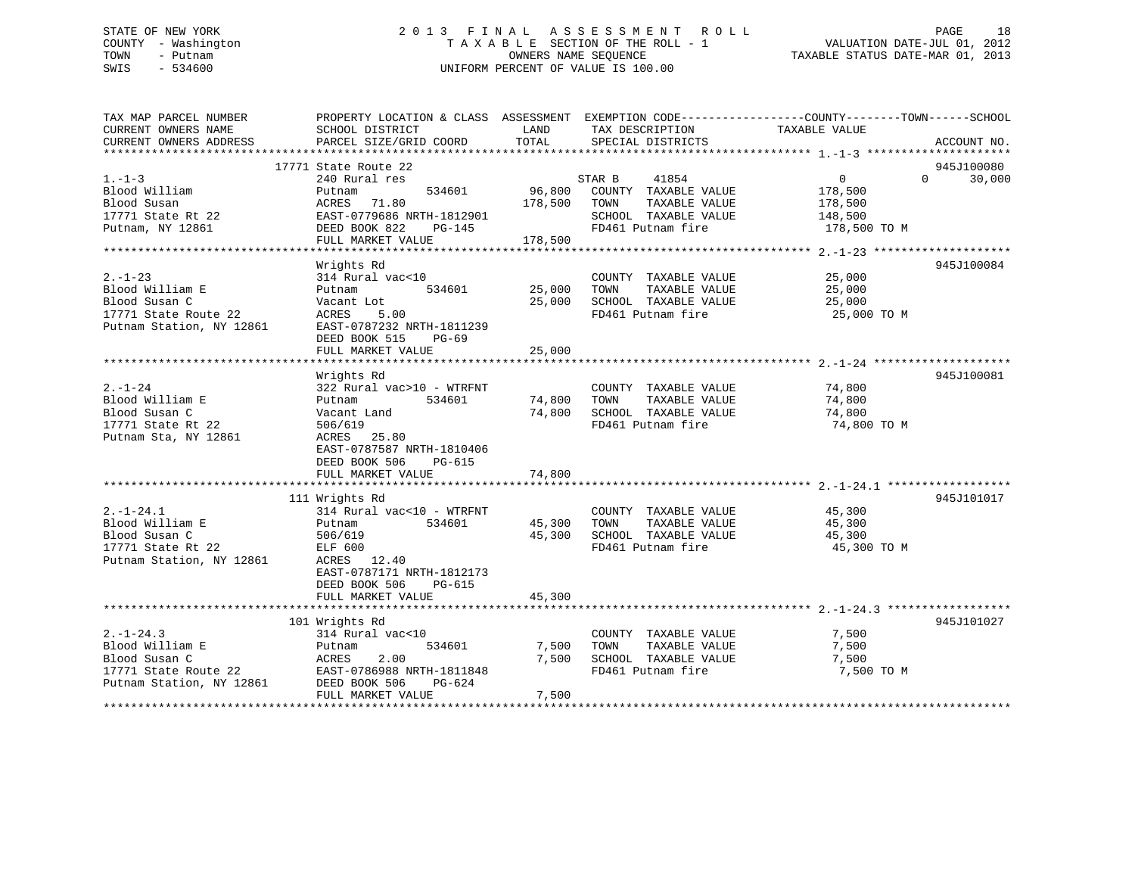# STATE OF NEW YORK 2 0 1 3 F I N A L A S S E S S M E N T R O L L PAGE 18 COUNTY - Washington T A X A B L E SECTION OF THE ROLL - 1 VALUATION DATE-JUL 01, 2012 TOWN - Putnam OWNERS NAME SEQUENCE TAXABLE STATUS DATE-MAR 01, 2013 SWIS - 534600 UNIFORM PERCENT OF VALUE IS 100.00

| TAX MAP PARCEL NUMBER<br>CURRENT OWNERS NAME<br>CURRENT OWNERS ADDRESS                                                      | PROPERTY LOCATION & CLASS ASSESSMENT EXEMPTION CODE---------------COUNTY-------TOWN-----SCHOOL<br>SCHOOL DISTRICT<br>PARCEL SIZE/GRID COORD                                       | LAND<br>TOTAL           | TAX DESCRIPTION<br>SPECIAL DISTRICTS                                                                                | TAXABLE VALUE                                                      | ACCOUNT NO.                      |
|-----------------------------------------------------------------------------------------------------------------------------|-----------------------------------------------------------------------------------------------------------------------------------------------------------------------------------|-------------------------|---------------------------------------------------------------------------------------------------------------------|--------------------------------------------------------------------|----------------------------------|
| $1. -1 - 3$<br>Blood William<br>Blood Susan<br>17771 State Rt 22<br>Putnam, NY 12861                                        | 17771 State Route 22<br>240 Rural res<br>Putnam<br>ACRES 71.80<br>EAST-0779686 NRTH-1812901<br>DEED BOOK 822<br>PG-145<br>FULL MARKET VALUE                                       | 178,500 TOWN<br>178,500 | 41854<br>STAR B<br>534601 96,800 COUNTY TAXABLE VALUE<br>TAXABLE VALUE<br>SCHOOL TAXABLE VALUE<br>FD461 Putnam fire | $0 \qquad \qquad$<br>178,500<br>178,500<br>148,500<br>178,500 TO M | 945J100080<br>$\Omega$<br>30,000 |
| $2. - 1 - 23$<br>Blood William E<br>Blood Susan C<br>17771 State Route 22<br>Putnam Station, NY 12861                       | Wrights Rd<br>314 Rural vac<10<br>Putnam<br>534601<br>Vacant Lot<br>ACRES<br>5.00<br>EAST-0787232 NRTH-1811239<br>DEED BOOK 515 PG-69<br>FULL MARKET VALUE                        | 25,000 TOWN<br>25,000   | COUNTY TAXABLE VALUE<br>TAXABLE VALUE<br>25,000 SCHOOL TAXABLE VALUE<br>FD461 Putnam fire                           | $\frac{25}{25}$ ,000<br>25,000<br>25,000 TO M                      | 945J100084                       |
| $2. - 1 - 24$<br>Blood William E<br>Blood Susan C<br>17771 State Rt 22<br>Putnam Sta, NY 12861                              | Wrights Rd<br>322 Rural vac>10 - WTRFNT<br>534601<br>Putnam<br>Vacant Land<br>506/619<br>ACRES 25.80<br>EAST-0787587 NRTH-1810406<br>DEED BOOK 506<br>PG-615<br>FULL MARKET VALUE | 74,800 TOWN<br>74,800   | COUNTY TAXABLE VALUE<br>TAXABLE VALUE<br>74,800 SCHOOL TAXABLE VALUE<br>FD461 Putnam fire                           | 74,800<br>74,800<br>74,800<br>74,800 TO M                          | 945J100081                       |
| $2. -1 - 24.1$<br>Blood William E<br>Blood Susan C<br>17771 State Rt 22<br>Putnam Station, NY 12861                         | 111 Wrights Rd<br>314 Rural vac<10 - WTRFNT<br>534601<br>Putnam<br>506/619<br>ELF 600<br>ACRES 12.40<br>EAST-0787171 NRTH-1812173<br>DEED BOOK 506<br>PG-615<br>FULL MARKET VALUE | 45,300                  | COUNTY TAXABLE VALUE<br>TAXABLE VALUE<br>45,300 TOWN<br>45,300 SCHOOL TAXABLE VALUE 45,300<br>FD461 Putnam fire     | 45,300<br>45,300<br>45,300 TO M                                    | 945J101017                       |
| $2. -1 - 24.3$<br>Blood William E<br>Blood Susan C<br>17771 State Route 22<br>Putnam Station. NY 12861 DEED BOOK 506 PG-624 | 101 Wrights Rd<br>314 Rural vac<10<br>534601<br>Putnam<br>ACRES<br>2.00<br>FULL MARKET VALUE                                                                                      | 7,500<br>7,500<br>7,500 | COUNTY TAXABLE VALUE<br>TOWN<br>TAXABLE VALUE<br>SCHOOL TAXABLE VALUE<br>FD461 Putnam fire                          | 7,500<br>7,500<br>7,500<br>7,500 TO M                              | 945J101027                       |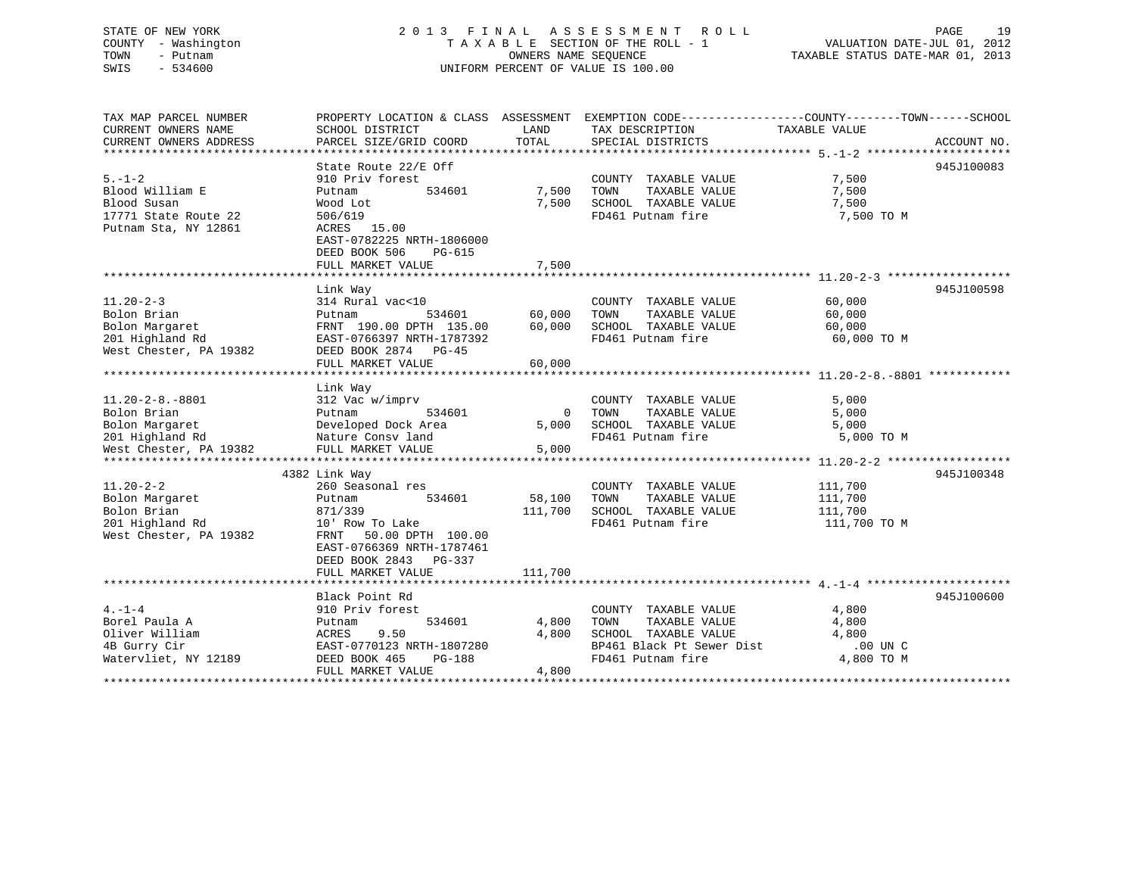# STATE OF NEW YORK 2 0 1 3 F I N A L A S S E S S M E N T R O L L PAGE 19 COUNTY - Washington T A X A B L E SECTION OF THE ROLL - 1 VALUATION DATE-JUL 01, 2012 TOWN - Putnam **CONNERS NAME SEQUENCE** TAXABLE STATUS DATE-MAR 01, 2013 SWIS - 534600 UNIFORM PERCENT OF VALUE IS 100.00

| TAX MAP PARCEL NUMBER   | PROPERTY LOCATION & CLASS ASSESSMENT EXEMPTION CODE----------------COUNTY-------TOWN------SCHOOL |                |                           |               |             |
|-------------------------|--------------------------------------------------------------------------------------------------|----------------|---------------------------|---------------|-------------|
| CURRENT OWNERS NAME     | SCHOOL DISTRICT                                                                                  | LAND           | TAX DESCRIPTION           | TAXABLE VALUE |             |
| CURRENT OWNERS ADDRESS  | PARCEL SIZE/GRID COORD                                                                           | TOTAL          | SPECIAL DISTRICTS         |               | ACCOUNT NO. |
|                         |                                                                                                  |                |                           |               |             |
|                         | State Route 22/E Off                                                                             |                |                           |               | 945J100083  |
| $5. - 1 - 2$            | 910 Priv forest                                                                                  |                | COUNTY TAXABLE VALUE      | 7,500         |             |
| Blood William E         | 534601<br>Putnam                                                                                 | 7,500          | TOWN<br>TAXABLE VALUE     | 7,500         |             |
| Blood Susan             | Wood Lot                                                                                         | 7,500          | SCHOOL TAXABLE VALUE      | 7,500         |             |
| 17771 State Route 22    | 506/619                                                                                          |                | FD461 Putnam fire         | 7,500 TO M    |             |
| Putnam Sta, NY 12861    | ACRES 15.00                                                                                      |                |                           |               |             |
|                         | EAST-0782225 NRTH-1806000                                                                        |                |                           |               |             |
|                         |                                                                                                  |                |                           |               |             |
|                         | DEED BOOK 506<br>PG-615                                                                          |                |                           |               |             |
|                         | FULL MARKET VALUE                                                                                | 7,500          |                           |               |             |
|                         |                                                                                                  |                |                           |               |             |
|                         | Link Way                                                                                         |                |                           |               | 945J100598  |
| $11.20 - 2 - 3$         | 314 Rural vac<10                                                                                 |                | COUNTY TAXABLE VALUE      | 60,000        |             |
| Bolon Brian             | Putnam                                                                                           | 534601 60,000  | TOWN<br>TAXABLE VALUE     | 60,000        |             |
| Bolon Margaret          | FRNT 190.00 DPTH 135.00 60,000                                                                   |                | SCHOOL TAXABLE VALUE      | 60,000        |             |
| 201 Highland Rd         | EAST-0766397 NRTH-1787392                                                                        |                | FD461 Putnam fire         | 60,000 TO M   |             |
| West Chester, PA 19382  | DEED BOOK 2874 PG-45                                                                             |                |                           |               |             |
|                         | FULL MARKET VALUE                                                                                | 60,000         |                           |               |             |
|                         |                                                                                                  |                |                           |               |             |
|                         | Link Way                                                                                         |                |                           |               |             |
| $11.20 - 2 - 8. - 8801$ | 312 Vac w/imprv                                                                                  |                | COUNTY TAXABLE VALUE      | 5,000         |             |
| Bolon Brian             | 534601<br>Putnam                                                                                 | $\overline{0}$ | TOWN<br>TAXABLE VALUE     | 5,000         |             |
| Bolon Margaret          | Developed Dock Area                                                                              | 5,000          | SCHOOL TAXABLE VALUE      | 5,000         |             |
| 201 Highland Rd         | Nature Consv land                                                                                |                | FD461 Putnam fire         | 5,000 TO M    |             |
| West Chester, PA 19382  | FULL MARKET VALUE                                                                                | 5,000          |                           |               |             |
|                         |                                                                                                  |                |                           |               |             |
|                         | 4382 Link Way                                                                                    |                |                           |               | 945J100348  |
| $11.20 - 2 - 2$         | 260 Seasonal res                                                                                 |                | COUNTY TAXABLE VALUE      | 111,700       |             |
| Bolon Margaret          | 534601<br>Putnam                                                                                 | 58,100         | TOWN<br>TAXABLE VALUE     | 111,700       |             |
| Bolon Brian             | 871/339                                                                                          | 111,700        | SCHOOL TAXABLE VALUE      | 111,700       |             |
| 201 Highland Rd         | 10' Row To Lake                                                                                  |                | FD461 Putnam fire         | 111,700 TO M  |             |
| West Chester, PA 19382  | FRNT 50.00 DPTH 100.00                                                                           |                |                           |               |             |
|                         |                                                                                                  |                |                           |               |             |
|                         | EAST-0766369 NRTH-1787461                                                                        |                |                           |               |             |
|                         | DEED BOOK 2843 PG-337                                                                            |                |                           |               |             |
|                         | FULL MARKET VALUE                                                                                | 111,700        |                           |               |             |
|                         |                                                                                                  |                |                           |               |             |
|                         | Black Point Rd                                                                                   |                |                           |               | 945J100600  |
| $4. -1 - 4$             | 910 Priv forest                                                                                  |                | COUNTY TAXABLE VALUE      | 4,800         |             |
| Borel Paula A           | 534601<br>Putnam                                                                                 | 4,800          | TOWN<br>TAXABLE VALUE     | 4,800         |             |
| Oliver William          | ACRES<br>9.50                                                                                    | 4,800          | SCHOOL TAXABLE VALUE      | 4,800         |             |
| 4B Gurry Cir            | EAST-0770123 NRTH-1807280                                                                        |                | BP461 Black Pt Sewer Dist | .00 UN C      |             |
| Watervliet, NY 12189    | DEED BOOK 465<br>PG-188                                                                          |                | FD461 Putnam fire         | 4,800 TO M    |             |
|                         | FULL MARKET VALUE                                                                                | 4,800          |                           |               |             |
|                         |                                                                                                  |                |                           |               |             |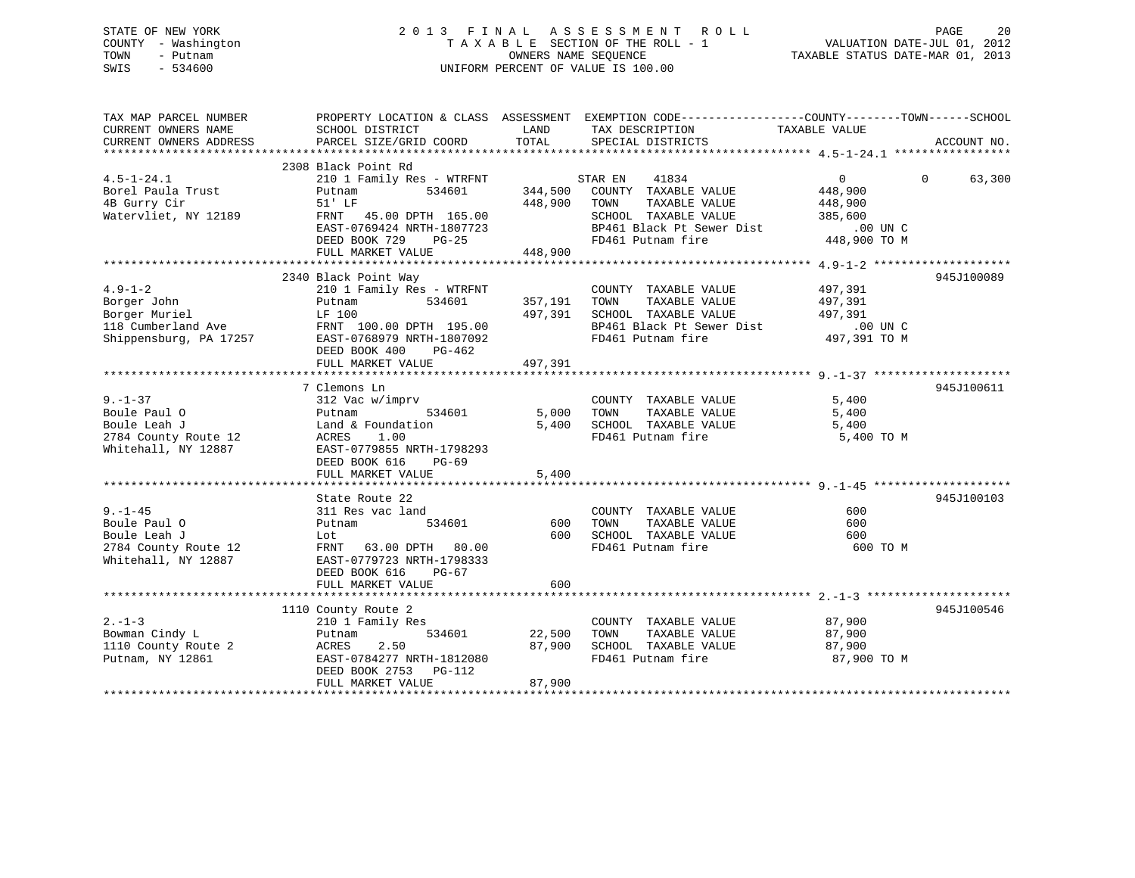# STATE OF NEW YORK 2 0 1 3 F I N A L A S S E S S M E N T R O L L PAGE 20 COUNTY - Washington T A X A B L E SECTION OF THE ROLL - 1 VALUATION DATE-JUL 01, 2012 TOWN - Putnam OWNERS NAME SEQUENCE TAXABLE STATUS DATE-MAR 01, 2013 SWIS - 534600 UNIFORM PERCENT OF VALUE IS 100.00

| TAX MAP PARCEL NUMBER<br>CURRENT OWNERS NAME<br>CURRENT OWNERS ADDRESS | SCHOOL DISTRICT<br>PARCEL SIZE/GRID COORD            | LAND<br>TOTAL | PROPERTY LOCATION & CLASS ASSESSMENT EXEMPTION CODE----------------COUNTY-------TOWN------SCHOOL<br>TAX DESCRIPTION TAXABLE VALUE<br>SPECIAL DISTRICTS |                | ACCOUNT NO.        |
|------------------------------------------------------------------------|------------------------------------------------------|---------------|--------------------------------------------------------------------------------------------------------------------------------------------------------|----------------|--------------------|
|                                                                        |                                                      |               |                                                                                                                                                        |                |                    |
|                                                                        | 2308 Black Point Rd                                  |               |                                                                                                                                                        |                |                    |
| $4.5 - 1 - 24.1$                                                       | 210 1 Family Res - WTRFNT                            |               | STAR EN<br>41834                                                                                                                                       | $\overline{0}$ | $\Omega$<br>63,300 |
| Borel Paula Trust                                                      | 534601<br>Putnam                                     | 344,500       | COUNTY TAXABLE VALUE                                                                                                                                   | 448,900        |                    |
| 4B Gurry Cir                                                           | 51' LF                                               | 448,900 TOWN  | TAXABLE VALUE                                                                                                                                          | 448,900        |                    |
| Watervliet, NY 12189                                                   | FRNT 45.00 DPTH 165.00                               |               | SCHOOL TAXABLE VALUE                                                                                                                                   | 385,600        |                    |
|                                                                        | $\texttt{EAST-0769424} \texttt{NRFH-1807723}$        |               | BP461 Black Pt Sewer Dist                                                                                                                              | .00 UN C       |                    |
|                                                                        | DEED BOOK 729 PG-25                                  |               | FD461 Putnam fire                                                                                                                                      | 448,900 TO M   |                    |
|                                                                        | FULL MARKET VALUE                                    | 448,900       |                                                                                                                                                        |                |                    |
|                                                                        |                                                      |               |                                                                                                                                                        |                |                    |
|                                                                        | 2340 Black Point Way                                 |               |                                                                                                                                                        |                | 945J100089         |
| $4.9 - 1 - 2$                                                          | 210 1 Family Res - WTRFNT                            |               | COUNTY TAXABLE VALUE                                                                                                                                   | 497,391        |                    |
| Borger John                                                            | 534601<br>Putnam                                     | 357,191       | TAXABLE VALUE<br>TOWN                                                                                                                                  | 497,391        |                    |
| Borger Muriel                                                          | LF 100                                               | 497,391       | SCHOOL TAXABLE VALUE                                                                                                                                   | 497,391        |                    |
| 118 Cumberland Ave                                                     |                                                      |               |                                                                                                                                                        | $.00$ UN C     |                    |
| Shippensburg, PA 17257                                                 | FRNT 100.00 DPTH 195.00<br>EAST-0768979 NRTH-1807092 |               | BP461 Black Pt Sewer Dist<br>FD461 Putnam fire                                                                                                         |                |                    |
|                                                                        | DEED BOOK 400<br>PG-462                              |               |                                                                                                                                                        | 497,391 TO M   |                    |
|                                                                        |                                                      | 497,391       |                                                                                                                                                        |                |                    |
|                                                                        | FULL MARKET VALUE                                    |               |                                                                                                                                                        |                |                    |
|                                                                        |                                                      |               |                                                                                                                                                        |                | 945J100611         |
|                                                                        | 7 Clemons Ln                                         |               |                                                                                                                                                        |                |                    |
| $9. - 1 - 37$                                                          | 312 Vac w/imprv<br>534601                            |               | COUNTY TAXABLE VALUE                                                                                                                                   | 5,400          |                    |
| Boule Paul O                                                           | Putnam                                               | 5,000         | TOWN<br>TAXABLE VALUE                                                                                                                                  | 5,400          |                    |
| Boule Leah J                                                           | Land & Foundation                                    | 5,400         | SCHOOL TAXABLE VALUE                                                                                                                                   | 5,400          |                    |
| 2784 County Route 12                                                   | ACRES 1.00                                           |               | FD461 Putnam fire                                                                                                                                      | 5,400 TO M     |                    |
| Whitehall, NY 12887                                                    | EAST-0779855 NRTH-1798293                            |               |                                                                                                                                                        |                |                    |
|                                                                        | DEED BOOK 616<br>PG-69                               |               |                                                                                                                                                        |                |                    |
|                                                                        | FULL MARKET VALUE                                    | 5,400         |                                                                                                                                                        |                |                    |
|                                                                        |                                                      |               |                                                                                                                                                        |                |                    |
|                                                                        | State Route 22                                       |               |                                                                                                                                                        |                | 945J100103         |
| $9 - 1 - 45$                                                           | 311 Res vac land                                     |               | COUNTY TAXABLE VALUE                                                                                                                                   | 600            |                    |
| Boule Paul O                                                           | 534601<br>Putnam                                     | 600           | TAXABLE VALUE<br>TOWN                                                                                                                                  | 600            |                    |
| Boule Leah J                                                           | Lot                                                  | 600           | SCHOOL TAXABLE VALUE                                                                                                                                   | 600            |                    |
| 2784 County Route 12                                                   | FRNT 63.00 DPTH 80.00                                |               | FD461 Putnam fire                                                                                                                                      | 600 TO M       |                    |
| Whitehall, NY 12887                                                    | EAST-0779723 NRTH-1798333                            |               |                                                                                                                                                        |                |                    |
|                                                                        | DEED BOOK 616<br>$PG-67$                             |               |                                                                                                                                                        |                |                    |
|                                                                        | FULL MARKET VALUE                                    | 600           |                                                                                                                                                        |                |                    |
|                                                                        |                                                      |               |                                                                                                                                                        |                |                    |
|                                                                        | 1110 County Route 2                                  |               |                                                                                                                                                        |                | 945J100546         |
| $2 - 1 - 3$                                                            | 210 1 Family Res                                     |               | COUNTY TAXABLE VALUE                                                                                                                                   | 87,900         |                    |
| Bowman Cindy L                                                         | 534601<br>Putnam                                     | 22,500        | TAXABLE VALUE<br>TOWN                                                                                                                                  | 87,900         |                    |
| 1110 County Route 2                                                    | ACRES<br>2.50                                        | 87,900        | SCHOOL TAXABLE VALUE                                                                                                                                   | 87,900         |                    |
| Putnam, NY 12861                                                       | EAST-0784277 NRTH-1812080                            |               | FD461 Putnam fire                                                                                                                                      | 87,900 TO M    |                    |
|                                                                        | DEED BOOK 2753 PG-112                                |               |                                                                                                                                                        |                |                    |
|                                                                        | FULL MARKET VALUE                                    | 87,900        |                                                                                                                                                        |                |                    |
|                                                                        |                                                      |               |                                                                                                                                                        |                |                    |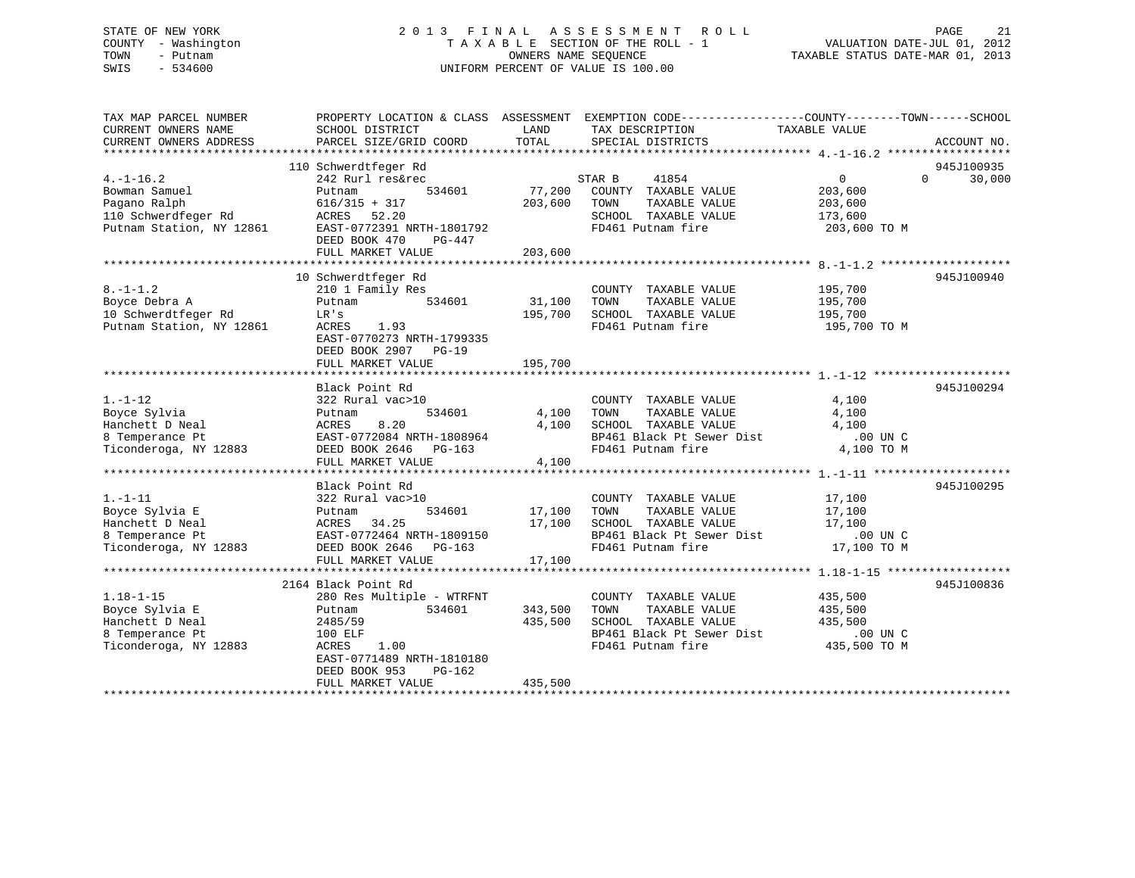# STATE OF NEW YORK 2 0 1 3 F I N A L A S S E S S M E N T R O L L PAGE 21 COUNTY - Washington T A X A B L E SECTION OF THE ROLL - 1 VALUATION DATE-JUL 01, 2012 TOWN - Putnam OWNERS NAME SEQUENCE TAXABLE STATUS DATE-MAR 01, 2013 SWIS - 534600 UNIFORM PERCENT OF VALUE IS 100.00

| TAX MAP PARCEL NUMBER<br>CURRENT OWNERS NAME<br>CURRENT OWNERS ADDRESS                             | SCHOOL DISTRICT<br>PARCEL SIZE/GRID COORD                                                                                                                                                | LAND<br>TOTAL                 | PROPERTY LOCATION & CLASS ASSESSMENT EXEMPTION CODE---------------COUNTY-------TOWN-----SCHOOL<br>TAX DESCRIPTION<br>SPECIAL DISTRICTS          | TAXABLE VALUE                                                      | ACCOUNT NO.                      |
|----------------------------------------------------------------------------------------------------|------------------------------------------------------------------------------------------------------------------------------------------------------------------------------------------|-------------------------------|-------------------------------------------------------------------------------------------------------------------------------------------------|--------------------------------------------------------------------|----------------------------------|
| $4. -1 - 16.2$<br>Bowman Samuel<br>Pagano Ralph<br>110 Schwerdfeger Rd<br>Putnam Station, NY 12861 | 110 Schwerdtfeger Rd<br>242 Rurl res&rec<br>534601<br>Putnam<br>$616/315 + 317$<br>ACRES 52.20<br>EAST-0772391 NRTH-1801792<br>DEED BOOK 470<br>PG-447<br>FULL MARKET VALUE              | 77,200<br>203,600<br>203,600  | STAR B<br>41854<br>COUNTY TAXABLE VALUE<br>TOWN<br>TAXABLE VALUE<br>SCHOOL TAXABLE VALUE<br>FD461 Putnam fire                                   | $0 \qquad \qquad$<br>203,600<br>203,600<br>173,600<br>203,600 TO M | 945J100935<br>30,000<br>$\Omega$ |
| $8. - 1 - 1.2$<br>Boyce Debra A<br>10 Schwerdtfeger Rd<br>Putnam Station, NY 12861                 | 10 Schwerdtfeger Rd<br>210 1 Family Res<br>534601<br>Putnam<br>LR's<br>ACRES<br>1.93<br>EAST-0770273 NRTH-1799335<br>DEED BOOK 2907 PG-19<br>FULL MARKET VALUE                           | 31,100<br>195,700<br>195,700  | COUNTY TAXABLE VALUE<br>TOWN<br>TAXABLE VALUE<br>SCHOOL TAXABLE VALUE<br>FD461 Putnam fire                                                      | 195,700<br>195,700<br>195,700<br>195,700 TO M                      | 945J100940                       |
| $1. - 1 - 12$<br>Boyce Sylvia<br>Hanchett D Neal<br>8 Temperance Pt<br>Ticonderoga, NY 12883       | Black Point Rd<br>322 Rural vac>10<br>534601<br>Putnam<br>ACRES<br>8.20<br>EAST-0772084 NRTH-1808964<br>DEED BOOK 2646 PG-163<br>FULL MARKET VALUE                                       | 4,100<br>4,100<br>4,100       | COUNTY TAXABLE VALUE<br>TAXABLE VALUE<br>TOWN<br>SCHOOL TAXABLE VALUE<br>SCHOOL TAXABLE VALUE<br>BP461 Black Pt Sewer Dist<br>FD461 Putnam fire | 4,100<br>4,100<br>4,100<br>.00 UN C<br>4,100 TO M                  | 945J100294                       |
| $1. - 1 - 11$<br>Boyce Sylvia E<br>Hanchett D Neal<br>8 Temperance Pt<br>Ticonderoga, NY 12883     | Black Point Rd<br>322 Rural vac>10<br>534601<br>Putnam<br>34.25<br>ACRES<br>EAST-0772464 NRTH-1809150<br>DEED BOOK 2646 PG-163<br>FULL MARKET VALUE                                      | 17,100<br>17,100<br>17,100    | COUNTY TAXABLE VALUE<br>TAXABLE VALUE<br>TOWN<br>SCHOOL TAXABLE VALUE<br>BP461 Black Pt Sewer Dist<br>FD461 Putnam fire                         | 17,100<br>17,100<br>17,100<br>$.00$ UN C<br>17,100 TO M            | 945J100295                       |
| $1.18 - 1 - 15$<br>Boyce Sylvia E<br>Hanchett D Neal<br>8 Temperance Pt<br>Ticonderoga, NY 12883   | 2164 Black Point Rd<br>280 Res Multiple - WTRFNT<br>534601<br>Putnam<br>2485/59<br>100 ELF<br>ACRES<br>1.00<br>EAST-0771489 NRTH-1810180<br>DEED BOOK 953<br>PG-162<br>FULL MARKET VALUE | 343,500<br>435,500<br>435,500 | COUNTY TAXABLE VALUE<br>TAXABLE VALUE<br>TOWN<br>SCHOOL TAXABLE VALUE<br>BP461 Black Pt Sewer Dist<br>FD461 Putnam fire                         | 435,500<br>435,500<br>435,500<br>$.00$ UN $C$<br>435,500 TO M      | 945J100836                       |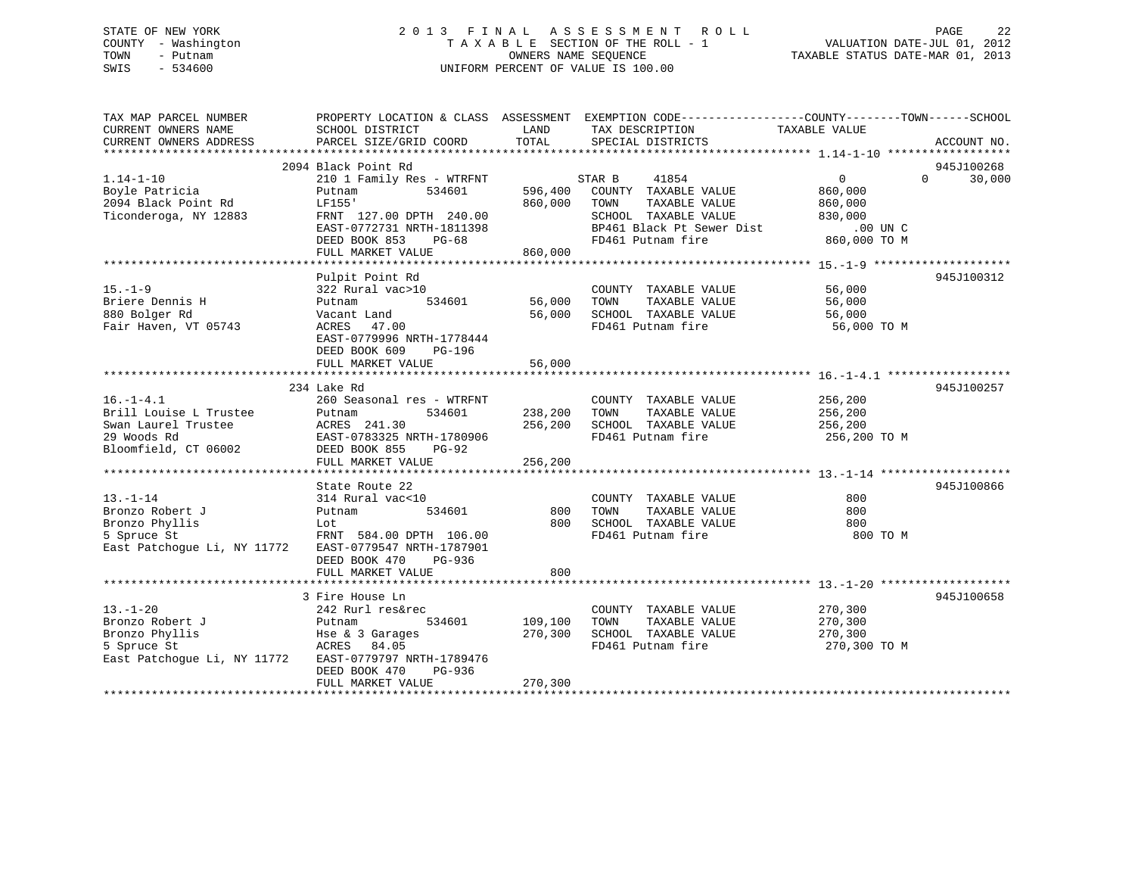# STATE OF NEW YORK 2 0 1 3 F I N A L A S S E S S M E N T R O L L PAGE 22 COUNTY - Washington T A X A B L E SECTION OF THE ROLL - 1 VALUATION DATE-JUL 01, 2012 TOWN - Putnam OWNERS NAME SEQUENCE TAXABLE STATUS DATE-MAR 01, 2013 SWIS - 534600 UNIFORM PERCENT OF VALUE IS 100.00

| TAX MAP PARCEL NUMBER<br>CURRENT OWNERS NAME<br>CURRENT OWNERS ADDRESS                                  | SCHOOL DISTRICT<br>PARCEL SIZE/GRID COORD                                                                                                                                               | LAND<br>TOTAL                      | PROPERTY LOCATION & CLASS ASSESSMENT EXEMPTION CODE----------------COUNTY-------TOWN------SCHOOL<br>TAX DESCRIPTION<br>SPECIAL DISTRICTS                           | TAXABLE VALUE                                   | ACCOUNT NO.                      |
|---------------------------------------------------------------------------------------------------------|-----------------------------------------------------------------------------------------------------------------------------------------------------------------------------------------|------------------------------------|--------------------------------------------------------------------------------------------------------------------------------------------------------------------|-------------------------------------------------|----------------------------------|
| $1.14 - 1 - 10$<br>Boyle Patricia<br>2094 Black Point Rd<br>Ticonderoga, NY 12883                       | 2094 Black Point Rd<br>210 1 Family Res - WTRFNT<br>534601<br>Putnam<br>LF155'<br>FRNT 127.00 DPTH 240.00<br>EAST-0772731 NRTH-1811398<br>DEED BOOK 853<br>$PG-68$<br>FULL MARKET VALUE | 596,400<br>860,000 TOWN<br>860,000 | STAR B<br>41854<br>COUNTY TAXABLE VALUE<br>TAXABLE VALUE<br>SCHOOL TAXABLE VALUE<br>DUN C<br>BP461 Black Pt Sewer Dist .00 UN C<br>PD461 Dutnam fire  860,000 TO M | $\overline{0}$<br>860,000<br>860,000<br>830,000 | 945J100268<br>$\Omega$<br>30,000 |
| $15. - 1 - 9$<br>Briere Dennis H<br>880 Bolger Rd<br>Fair Haven, VT 05743                               | Pulpit Point Rd<br>322 Rural vac>10<br>Putnam<br>Vacant Land<br>47.00<br>ACRES<br>EAST-0779996 NRTH-1778444<br>DEED BOOK 609<br>PG-196<br>FULL MARKET VALUE                             | 534601 56,000<br>56,000<br>56,000  | COUNTY TAXABLE VALUE<br>TAXABLE VALUE<br>TOWN<br>SCHOOL TAXABLE VALUE<br>FD461 Putnam fire                                                                         | 56,000<br>56,000<br>56,000<br>56,000 TO M       | 945J100312                       |
| $16. - 1 - 4.1$<br>Brill Louise L Trustee<br>Swan Laurel Trustee<br>29 Woods Rd<br>Bloomfield, CT 06002 | 234 Lake Rd<br>260 Seasonal res - WTRFNT<br>534601<br>Putnam<br>ACRES 241.30 256,200<br>EAST-0783325 NRTH-1780906<br>DEED BOOK 855<br>PG-92<br>FULL MARKET VALUE                        | 238,200<br>256,200                 | COUNTY TAXABLE VALUE<br>TOWN<br>TAXABLE VALUE<br>SCHOOL TAXABLE VALUE 256,200<br>FD461 Putnam fire                                                                 | 256,200<br>256,200<br>256,200 TO M              | 945J100257                       |
| $13. - 1 - 14$<br>Bronzo Robert J<br>Bronzo Phyllis<br>5 Spruce St<br>East Patchogue Li, NY 11772       | State Route 22<br>314 Rural vac<10<br>534601<br>Putnam<br>Lot<br>FRNT 584.00 DPTH 106.00<br>EAST-0779547 NRTH-1787901<br>DEED BOOK 470<br>PG-936<br>FULL MARKET VALUE                   | 800<br>800<br>800                  | COUNTY TAXABLE VALUE<br>TOWN<br>TAXABLE VALUE<br>SCHOOL TAXABLE VALUE<br>FD461 Putnam fire                                                                         | 800<br>800<br>800<br>800 TO M                   | 945J100866                       |
| $13. - 1 - 20$<br>Bronzo Robert J<br>Bronzo Phyllis<br>5 Spruce St<br>East Patchoque Li, NY 11772       | 3 Fire House Ln<br>242 Rurl res&rec<br>Putnam<br>534601<br>Hse & 3 Garages<br>ACRES 84.05<br>EAST-0779797 NRTH-1789476<br>DEED BOOK 470<br>PG-936<br>FULL MARKET VALUE                  | 109,100<br>270,300<br>270,300      | COUNTY TAXABLE VALUE<br>TAXABLE VALUE<br>TOWN<br>SCHOOL TAXABLE VALUE<br>FD461 Putnam fire                                                                         | 270,300<br>270,300<br>270,300<br>270,300 TO M   | 945J100658                       |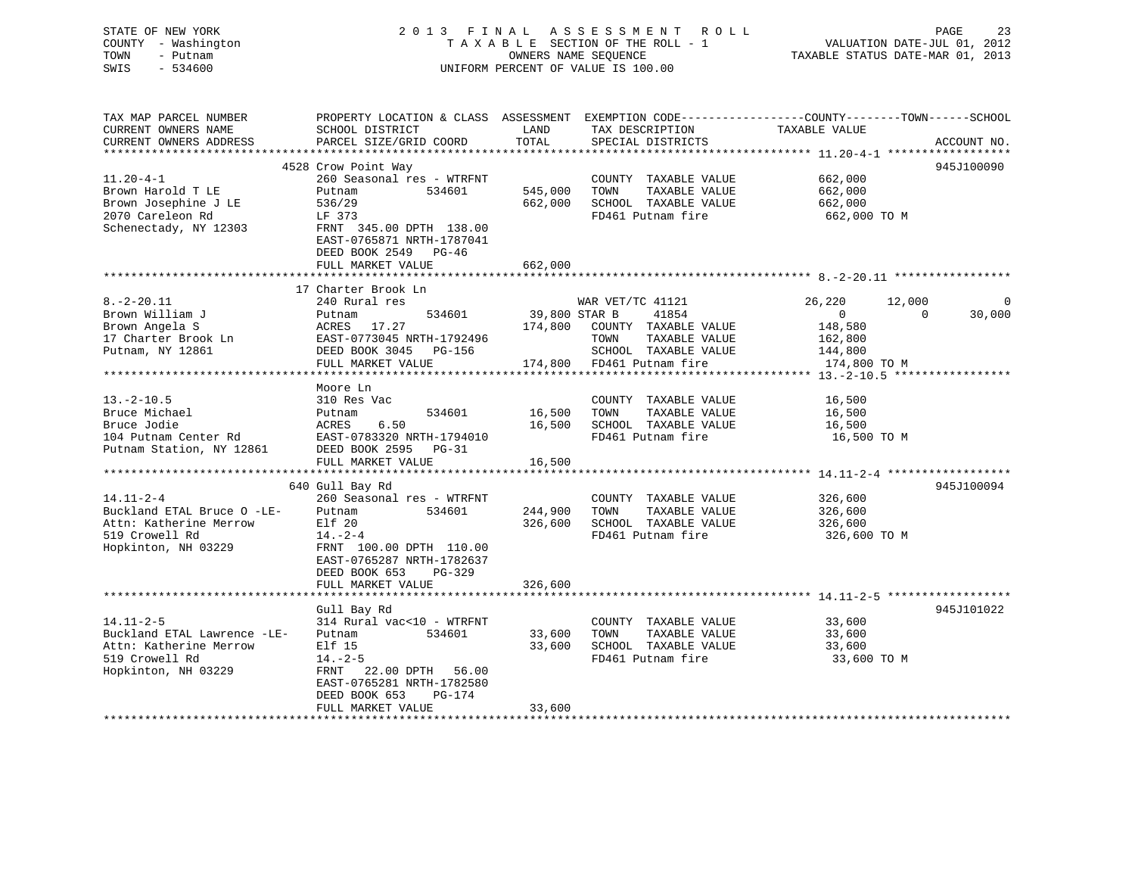# STATE OF NEW YORK 2 0 1 3 F I N A L A S S E S S M E N T R O L L PAGE 23 COUNTY - Washington T A X A B L E SECTION OF THE ROLL - 1 VALUATION DATE-JUL 01, 2012 TOWN - Putnam OWNERS NAME SEQUENCE TAXABLE STATUS DATE-MAR 01, 2013 SWIS - 534600 UNIFORM PERCENT OF VALUE IS 100.00

| TAX MAP PARCEL NUMBER       | PROPERTY LOCATION & CLASS ASSESSMENT      |                         |                                           | EXEMPTION CODE-----------------COUNTY-------TOWN------SCHOOL |             |
|-----------------------------|-------------------------------------------|-------------------------|-------------------------------------------|--------------------------------------------------------------|-------------|
| CURRENT OWNERS NAME         | SCHOOL DISTRICT                           | LAND                    | TAX DESCRIPTION                           | TAXABLE VALUE                                                |             |
| CURRENT OWNERS ADDRESS      | PARCEL SIZE/GRID COORD                    | TOTAL                   | SPECIAL DISTRICTS                         |                                                              | ACCOUNT NO. |
|                             |                                           |                         |                                           |                                                              |             |
|                             | 4528 Crow Point Way                       |                         |                                           |                                                              | 945J100090  |
| $11.20 - 4 - 1$             | 260 Seasonal res - WTRFNT                 |                         | COUNTY TAXABLE VALUE                      | 662,000                                                      |             |
| Brown Harold T LE           | 534601<br>Putnam                          | 545,000                 | TAXABLE VALUE<br>TOWN                     | 662,000                                                      |             |
| Brown Josephine J LE        | 536/29                                    | 662,000                 | SCHOOL TAXABLE VALUE                      | 662,000                                                      |             |
| 2070 Careleon Rd            | LF 373                                    |                         | FD461 Putnam fire                         | 662,000 TO M                                                 |             |
| Schenectady, NY 12303       | FRNT 345.00 DPTH 138.00                   |                         |                                           |                                                              |             |
|                             | EAST-0765871 NRTH-1787041                 |                         |                                           |                                                              |             |
|                             | DEED BOOK 2549 PG-46                      |                         |                                           |                                                              |             |
|                             | FULL MARKET VALUE                         | 662,000                 |                                           |                                                              |             |
|                             |                                           |                         |                                           |                                                              |             |
|                             | 17 Charter Brook Ln                       |                         |                                           |                                                              |             |
| $8. - 2 - 20.11$            | 240 Rural res                             |                         | WAR VET/TC 41121                          | 26,220<br>12,000                                             | 0           |
| Brown William J             | 534601<br>Putnam                          | 39,800 STAR B           | 41854                                     | $\mathbf{0}$<br>$\Omega$                                     | 30,000      |
| Brown Angela S              | 17.27<br>ACRES                            | 174,800                 | COUNTY TAXABLE VALUE                      | 148,580                                                      |             |
| 17 Charter Brook Ln         | EAST-0773045 NRTH-1792496                 |                         | TAXABLE VALUE<br>TOWN                     | 162,800                                                      |             |
| Putnam, NY 12861            | DEED BOOK 3045 PG-156                     |                         | SCHOOL TAXABLE VALUE                      | 144,800                                                      |             |
|                             | FULL MARKET VALUE                         | 174,800                 | FD461 Putnam fire                         | 174,800 TO M                                                 |             |
|                             |                                           |                         |                                           |                                                              |             |
|                             | Moore Ln                                  |                         |                                           |                                                              |             |
| $13. - 2 - 10.5$            | 310 Res Vac                               |                         | COUNTY TAXABLE VALUE                      | 16,500                                                       |             |
| Bruce Michael               | 534601<br>Putnam                          | 16,500                  | TAXABLE VALUE<br>TOWN                     | 16,500                                                       |             |
| Bruce Jodie                 | ACRES<br>6.50                             | 16,500                  | SCHOOL TAXABLE VALUE<br>FD461 Putnam fire | 16,500                                                       |             |
| 104 Putnam Center Rd        | EAST-0783320 NRTH-1794010                 |                         |                                           | 16,500 TO M                                                  |             |
| Putnam Station, NY 12861    | DEED BOOK 2595 PG-31<br>FULL MARKET VALUE | 16,500                  |                                           |                                                              |             |
|                             |                                           |                         |                                           |                                                              |             |
|                             | 640 Gull Bay Rd                           |                         |                                           |                                                              | 945J100094  |
| $14.11 - 2 - 4$             | 260 Seasonal res - WTRFNT                 |                         | COUNTY TAXABLE VALUE                      | 326,600                                                      |             |
| Buckland ETAL Bruce O -LE-  | 534601<br>Putnam                          | 244,900                 | TOWN<br>TAXABLE VALUE                     | 326,600                                                      |             |
| Attn: Katherine Merrow      | Elf 20                                    | 326,600                 | SCHOOL TAXABLE VALUE                      | 326,600                                                      |             |
| 519 Crowell Rd              | $14. - 2 - 4$                             |                         | FD461 Putnam fire                         | 326,600 TO M                                                 |             |
| Hopkinton, NH 03229         | FRNT 100.00 DPTH 110.00                   |                         |                                           |                                                              |             |
|                             | EAST-0765287 NRTH-1782637                 |                         |                                           |                                                              |             |
|                             | DEED BOOK 653<br>$PG-329$                 |                         |                                           |                                                              |             |
|                             | FULL MARKET VALUE                         | 326,600                 |                                           |                                                              |             |
|                             | *********************                     | * * * * * * * * * * * * |                                           |                                                              |             |
|                             | Gull Bay Rd                               |                         |                                           |                                                              | 945J101022  |
| $14.11 - 2 - 5$             | 314 Rural vac<10 - WTRFNT                 |                         | COUNTY TAXABLE VALUE                      | 33,600                                                       |             |
| Buckland ETAL Lawrence -LE- | 534601<br>Putnam                          | 33,600                  | TOWN<br>TAXABLE VALUE                     | 33,600                                                       |             |
| Attn: Katherine Merrow      | Elf 15                                    | 33,600                  | SCHOOL TAXABLE VALUE                      | 33,600                                                       |             |
| 519 Crowell Rd              | $14. - 2 - 5$                             |                         | FD461 Putnam fire                         | 33,600 TO M                                                  |             |
| Hopkinton, NH 03229         | FRNT<br>22.00 DPTH 56.00                  |                         |                                           |                                                              |             |
|                             | EAST-0765281 NRTH-1782580                 |                         |                                           |                                                              |             |
|                             | DEED BOOK 653<br>PG-174                   |                         |                                           |                                                              |             |
|                             | FULL MARKET VALUE                         | 33,600                  |                                           |                                                              |             |
|                             |                                           |                         |                                           |                                                              |             |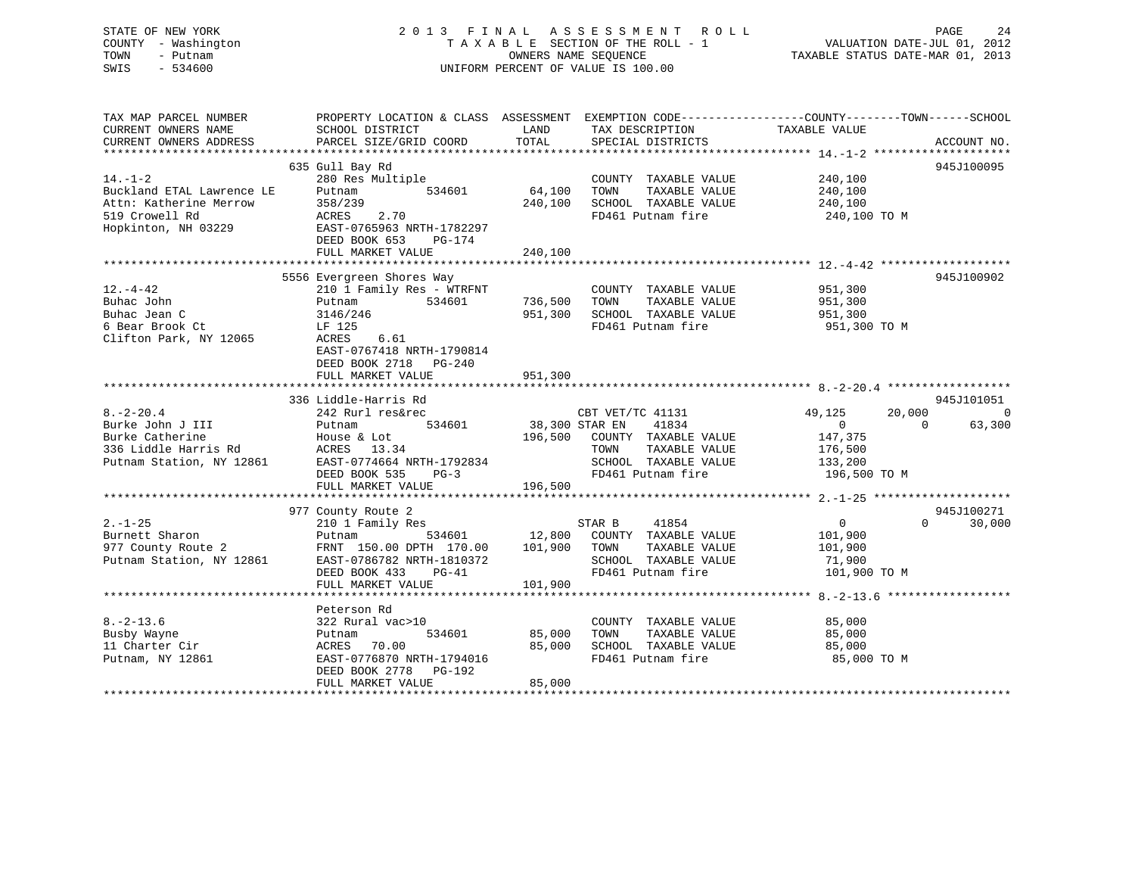# STATE OF NEW YORK 2 0 1 3 F I N A L A S S E S S M E N T R O L L PAGE 24 COUNTY - Washington T A X A B L E SECTION OF THE ROLL - 1 VALUATION DATE-JUL 01, 2012 TOWN - Putnam OWNERS NAME SEQUENCE TAXABLE STATUS DATE-MAR 01, 2013 SWIS - 534600 UNIFORM PERCENT OF VALUE IS 100.00

| TAX MAP PARCEL NUMBER<br>CURRENT OWNERS NAME<br>CURRENT OWNERS ADDRESS                                        | SCHOOL DISTRICT<br>PARCEL SIZE/GRID COORD                                                                                                                               | PROPERTY LOCATION & CLASS ASSESSMENT EXEMPTION CODE----------------COUNTY-------TOWN------SCHOOL<br>LAND<br>TAX DESCRIPTION<br>TOTAL<br>SPECIAL DISTRICTS    | TAXABLE VALUE<br>ACCOUNT NO.                                                                                                              |
|---------------------------------------------------------------------------------------------------------------|-------------------------------------------------------------------------------------------------------------------------------------------------------------------------|--------------------------------------------------------------------------------------------------------------------------------------------------------------|-------------------------------------------------------------------------------------------------------------------------------------------|
| $14. - 1 - 2$<br>Buckland ETAL Lawrence LE<br>Attn: Katherine Merrow<br>519 Crowell Rd<br>Hopkinton, NH 03229 | 635 Gull Bay Rd<br>280 Res Multiple<br>534601<br>Putnam<br>358/239<br>2.70<br>ACRES<br>EAST-0765963 NRTH-1782297<br>DEED BOOK 653<br>PG-174<br>FULL MARKET VALUE        | COUNTY TAXABLE VALUE<br>64,100<br>TAXABLE VALUE<br>TOWN<br>240,100<br>SCHOOL TAXABLE VALUE<br>FD461 Putnam fire<br>240,100                                   | 945J100095<br>240,100<br>240,100<br>240,100<br>240,100 TO M                                                                               |
| $12. - 4 - 42$<br>Buhac John<br>Buhac Jean C<br>6 Bear Brook Ct<br>Clifton Park, NY 12065                     | 5556 Evergreen Shores Way<br>210 1 Family Res - WTRFNT<br>534601<br>Putnam<br>3146/246<br>LF 125<br>6.61<br>ACRES<br>EAST-0767418 NRTH-1790814<br>DEED BOOK 2718 PG-240 | COUNTY TAXABLE VALUE<br>736,500<br>TAXABLE VALUE<br>TOWN<br>SCHOOL TAXABLE VALUE<br>951,300<br>FD461 Putnam fire                                             | 945J100902<br>951,300<br>951,300<br>951,300<br>951,300 TO M                                                                               |
|                                                                                                               | FULL MARKET VALUE                                                                                                                                                       | 951,300                                                                                                                                                      |                                                                                                                                           |
| $8. - 2 - 20.4$<br>Burke John J III<br>Burke Catherine<br>336 Liddle Harris Rd<br>Putnam Station, NY 12861    | 336 Liddle-Harris Rd<br>242 Rurl res&rec<br>534601<br>Putnam<br>House & Lot<br>ACRES 13.34<br>EAST-0774664 NRTH-1792834<br>DEED BOOK 535<br>$PG-3$<br>FULL MARKET VALUE | CBT VET/TC 41131<br>38,300 STAR EN<br>41834<br>196,500 COUNTY TAXABLE VALUE<br>TOWN<br>TAXABLE VALUE<br>SCHOOL TAXABLE VALUE<br>FD461 Putnam fire<br>196,500 | 945J101051<br>20,000<br>49,125<br>$\overline{0}$<br>$\Omega$<br>63,300<br>$\overline{0}$<br>147,375<br>176,500<br>133,200<br>196,500 TO M |
| $2. - 1 - 25$<br>Burnett Sharon<br>977 County Route 2<br>Putnam Station, NY 12861                             | 977 County Route 2<br>210 1 Family Res<br>534601<br>Putnam<br>FRNT 150.00 DPTH 170.00<br>EAST-0786782 NRTH-1810372<br>DEED BOOK 433<br>$PG-41$<br>FULL MARKET VALUE     | STAR B<br>41854<br>12,800 COUNTY TAXABLE VALUE<br>101,900<br>TAXABLE VALUE<br>TOWN<br>SCHOOL TAXABLE VALUE<br>FD461 Putnam fire<br>101,900                   | 945J100271<br>$0 \qquad \qquad$<br>$\Omega$<br>30,000<br>101,900<br>101,900<br>71,900<br>101,900 TO M                                     |
| $8. - 2 - 13.6$<br>Busby Wayne<br>11 Charter Cir<br>Putnam, NY 12861                                          | Peterson Rd<br>322 Rural vac>10<br>534601<br>Putnam<br>ACRES 70.00<br>EAST-0776870 NRTH-1794016<br>DEED BOOK 2778 PG-192<br>FULL MARKET VALUE                           | COUNTY TAXABLE VALUE<br>85,000<br>TOWN<br>TAXABLE VALUE<br>85,000<br>SCHOOL TAXABLE VALUE<br>FD461 Putnam fire<br>85,000                                     | 85,000<br>85,000<br>85,000<br>85,000 TO M                                                                                                 |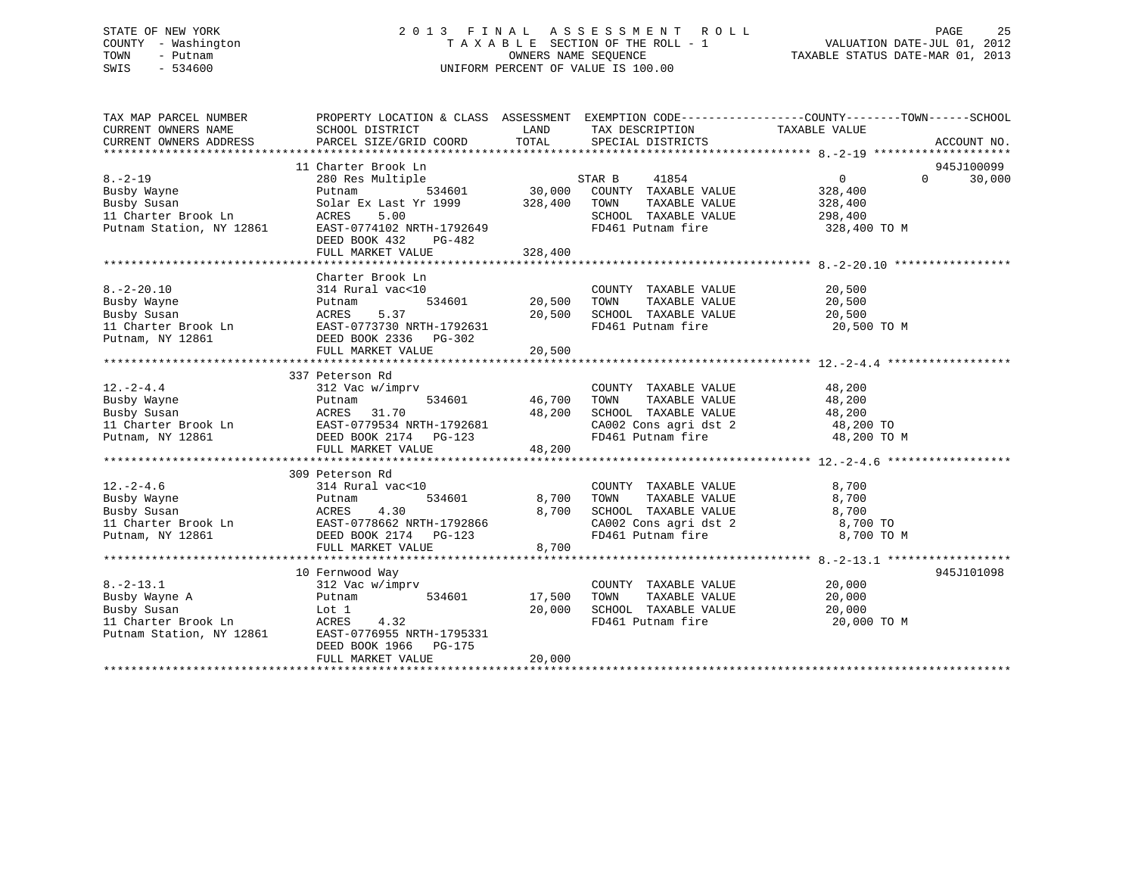# STATE OF NEW YORK 2 0 1 3 F I N A L A S S E S S M E N T R O L L PAGE 25 COUNTY - Washington T A X A B L E SECTION OF THE ROLL - 1 VALUATION DATE-JUL 01, 2012 TOWN - Putnam OWNERS NAME SEQUENCE TAXABLE STATUS DATE-MAR 01, 2013 SWIS - 534600 UNIFORM PERCENT OF VALUE IS 100.00

| TAX MAP PARCEL NUMBER                           | PROPERTY LOCATION & CLASS ASSESSMENT EXEMPTION CODE---------------COUNTY-------TOWN-----SCHOOL                                                                                        |               |                                                                                                                                                                                                                   |                |          |             |
|-------------------------------------------------|---------------------------------------------------------------------------------------------------------------------------------------------------------------------------------------|---------------|-------------------------------------------------------------------------------------------------------------------------------------------------------------------------------------------------------------------|----------------|----------|-------------|
| CURRENT OWNERS NAME                             | SCHOOL DISTRICT                                                                                                                                                                       | LAND          | TAX DESCRIPTION                                                                                                                                                                                                   | TAXABLE VALUE  |          |             |
| CURRENT OWNERS ADDRESS                          | PARCEL SIZE/GRID COORD                                                                                                                                                                | TOTAL         | SPECIAL DISTRICTS                                                                                                                                                                                                 |                |          | ACCOUNT NO. |
|                                                 |                                                                                                                                                                                       |               |                                                                                                                                                                                                                   |                |          |             |
|                                                 | 11 Charter Brook Ln                                                                                                                                                                   |               |                                                                                                                                                                                                                   |                |          | 945J100099  |
| $8. - 2 - 19$                                   | 280 Res Multiple                                                                                                                                                                      |               |                                                                                                                                                                                                                   | $\overline{0}$ | $\Omega$ | 30,000      |
| Busby Wayne                                     | Putnam                                                                                                                                                                                |               |                                                                                                                                                                                                                   | 328,400        |          |             |
| Busby Susan                                     | Solar Ex Last Yr 1999 328,400                                                                                                                                                         |               | TAXABLE VALUE<br>TOWN                                                                                                                                                                                             | 328,400        |          |             |
| 11 Charter Brook Ln                             | ACRES 5.00<br>EAST-0774102 NRTH-1792649                                                                                                                                               |               | SCHOOL TAXABLE VALUE                                                                                                                                                                                              | 298,400        |          |             |
| II CHATTET Brook Ln<br>Putnam Station, NY 12861 |                                                                                                                                                                                       |               | FD461 Putnam fire                                                                                                                                                                                                 | 328,400 TO M   |          |             |
|                                                 | DEED BOOK 432<br>PG-482                                                                                                                                                               |               |                                                                                                                                                                                                                   |                |          |             |
|                                                 | FULL MARKET VALUE                                                                                                                                                                     | 328,400       |                                                                                                                                                                                                                   |                |          |             |
|                                                 |                                                                                                                                                                                       |               |                                                                                                                                                                                                                   |                |          |             |
|                                                 | Charter Brook Ln                                                                                                                                                                      |               |                                                                                                                                                                                                                   |                |          |             |
| $8. - 2 - 20.10$                                | 314 Rural vac<10                                                                                                                                                                      |               | COUNTY TAXABLE VALUE                                                                                                                                                                                              | 20,500         |          |             |
| Busby Wayne                                     | Putnam                                                                                                                                                                                | 534601 20,500 | TAXABLE VALUE<br>TOWN                                                                                                                                                                                             | 20,500         |          |             |
| Busby Susan                                     | ACRES 5.37<br>EAST-0773730 NRTH-1792631                                                                                                                                               | 20,500        | SCHOOL TAXABLE VALUE                                                                                                                                                                                              | 20,500         |          |             |
| 11 Charter Brook Ln                             |                                                                                                                                                                                       |               | FD461 Putnam fire                                                                                                                                                                                                 | 20,500 TO M    |          |             |
| Putnam, NY 12861                                | DEED BOOK 2336 PG-302                                                                                                                                                                 |               |                                                                                                                                                                                                                   |                |          |             |
|                                                 | FULL MARKET VALUE                                                                                                                                                                     | 20,500        |                                                                                                                                                                                                                   |                |          |             |
|                                                 |                                                                                                                                                                                       |               |                                                                                                                                                                                                                   |                |          |             |
|                                                 | 337 Peterson Rd                                                                                                                                                                       |               |                                                                                                                                                                                                                   |                |          |             |
| $12. -2 - 4.4$                                  | 312 Vac w/imprv                                                                                                                                                                       |               | COUNTY TAXABLE VALUE                                                                                                                                                                                              | 48,200         |          |             |
|                                                 |                                                                                                                                                                                       |               | TAXABLE VALUE<br>TOWN                                                                                                                                                                                             | 48,200         |          |             |
|                                                 |                                                                                                                                                                                       |               |                                                                                                                                                                                                                   |                |          |             |
|                                                 |                                                                                                                                                                                       |               |                                                                                                                                                                                                                   |                |          |             |
|                                                 | Putnam 534601 46,700<br>Busby Wayne Putnam 534601 46,700<br>Busby Susan ACRES 31.70 48,200<br>11 Charter Brook Ln EAST-0779534 NRTH-1792681<br>Putnam, NY 12861 DEED BOOK 2174 PG-123 |               | SCHOOL TAXABLE VALUE $\begin{array}{ccc} 48,200\ \text{CA}002\ \text{Cons}\ \text{agri}\ \text{dst}\ 2 \end{array}$ $\begin{array}{ccc} 48,200\ \text{TO} & \text{TO} \ 48,200\ \text{TO} & \text{M} \end{array}$ |                |          |             |
|                                                 | FULL MARKET VALUE                                                                                                                                                                     | 48,200        |                                                                                                                                                                                                                   |                |          |             |
|                                                 |                                                                                                                                                                                       |               |                                                                                                                                                                                                                   |                |          |             |
|                                                 | 309 Peterson Rd                                                                                                                                                                       |               |                                                                                                                                                                                                                   |                |          |             |
| $12. - 2 - 4.6$                                 | 314 Rural vac<10                                                                                                                                                                      |               | COUNTY TAXABLE VALUE                                                                                                                                                                                              | 8,700          |          |             |
|                                                 |                                                                                                                                                                                       | 534601 8,700  | TAXABLE VALUE<br>TOWN                                                                                                                                                                                             | 8,700          |          |             |
|                                                 |                                                                                                                                                                                       | 8,700         |                                                                                                                                                                                                                   |                |          |             |
|                                                 |                                                                                                                                                                                       |               |                                                                                                                                                                                                                   |                |          |             |
|                                                 | Eusby Wayne<br>Busby Susan<br>Busby Susan<br>11 Charter Brook Ln<br>Putnam, NY 12861<br>Putnam, NY 12861<br>Putnam, NY 12861<br>Putnam, NY 12861<br>Putnam, NY 12861                  |               | CHOOL TAXABLE VALUE 8,700<br>CA002 Cons agri dst 2 8,700 TO<br>FD461 Putnam fire 8,700 TO                                                                                                                         | 8,700 TO M     |          |             |
|                                                 | FULL MARKET VALUE                                                                                                                                                                     | 8,700         |                                                                                                                                                                                                                   |                |          |             |
|                                                 |                                                                                                                                                                                       |               |                                                                                                                                                                                                                   |                |          |             |
|                                                 | 10 Fernwood Way                                                                                                                                                                       |               |                                                                                                                                                                                                                   |                |          | 945J101098  |
| $8. - 2 - 13.1$                                 | 312 Vac w/imprv                                                                                                                                                                       |               | COUNTY TAXABLE VALUE                                                                                                                                                                                              | 20,000         |          |             |
| Busby Wayne A                                   | Putnam<br>534601                                                                                                                                                                      | 17,500        | TAXABLE VALUE<br>TOWN                                                                                                                                                                                             | 20,000         |          |             |
| Busby Susan                                     | Lot 1<br>ACRES 4.32<br>2861 EAST-0776955 NRTH-1795331                                                                                                                                 | 20,000        | SCHOOL TAXABLE VALUE                                                                                                                                                                                              | 20,000         |          |             |
| 11 Charter Brook Ln                             |                                                                                                                                                                                       |               | FD461 Putnam fire                                                                                                                                                                                                 | 20,000 TO M    |          |             |
| Putnam Station, NY 12861                        |                                                                                                                                                                                       |               |                                                                                                                                                                                                                   |                |          |             |
|                                                 | DEED BOOK 1966<br>PG-175                                                                                                                                                              |               |                                                                                                                                                                                                                   |                |          |             |
|                                                 | FULL MARKET VALUE                                                                                                                                                                     | 20,000        |                                                                                                                                                                                                                   |                |          |             |
|                                                 |                                                                                                                                                                                       |               |                                                                                                                                                                                                                   |                |          |             |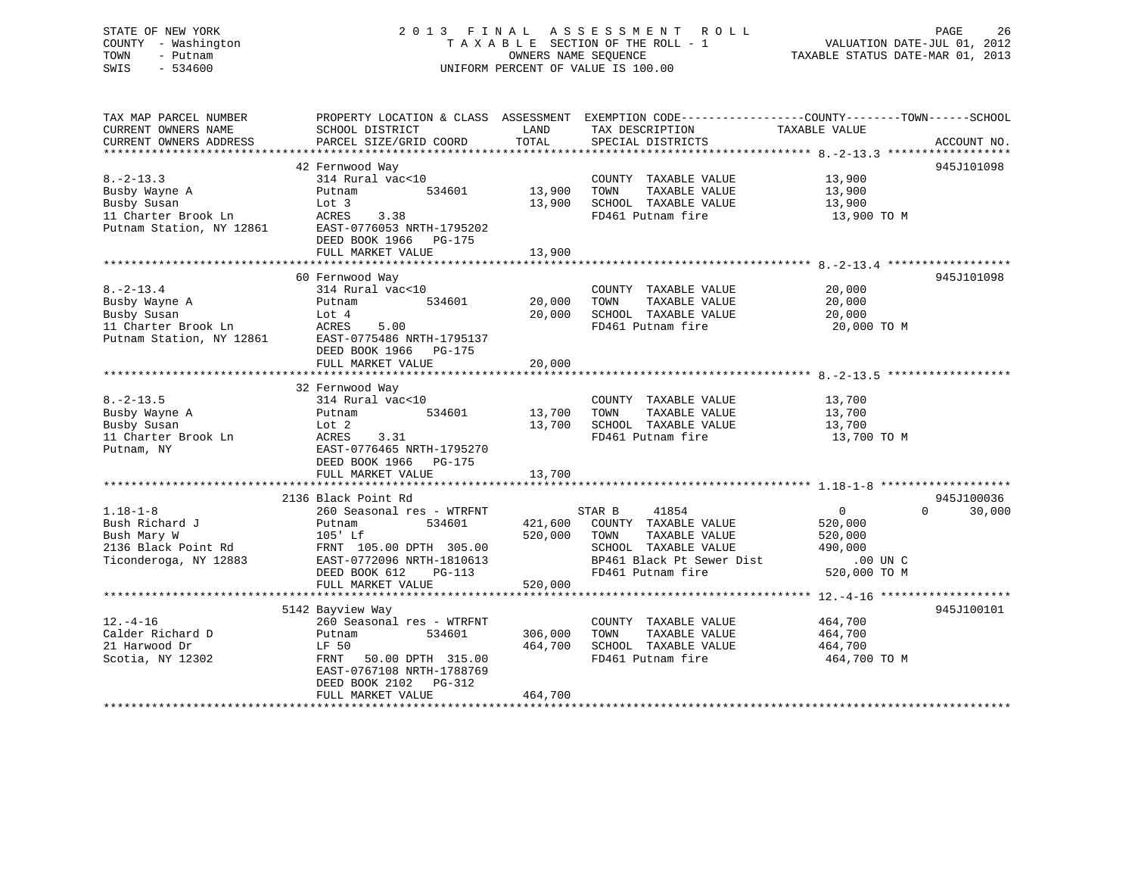# STATE OF NEW YORK 2 0 1 3 F I N A L A S S E S S M E N T R O L L PAGE 26 COUNTY - Washington T A X A B L E SECTION OF THE ROLL - 1 VALUATION DATE-JUL 01, 2012 TOWN - Putnam **CONNERS NAME SEQUENCE** TAXABLE STATUS DATE-MAR 01, 2013 SWIS - 534600 UNIFORM PERCENT OF VALUE IS 100.00

| TAX MAP PARCEL NUMBER<br>CURRENT OWNERS NAME<br>CURRENT OWNERS ADDRESS                             | PROPERTY LOCATION & CLASS ASSESSMENT<br>SCHOOL DISTRICT<br>PARCEL SIZE/GRID COORD                                                                                             | LAND<br>TOTAL                 | TAX DESCRIPTION<br>SPECIAL DISTRICTS                                                                                                       | EXEMPTION CODE-----------------COUNTY-------TOWN------SCHOOL<br>TAXABLE VALUE<br>ACCOUNT NO.      |
|----------------------------------------------------------------------------------------------------|-------------------------------------------------------------------------------------------------------------------------------------------------------------------------------|-------------------------------|--------------------------------------------------------------------------------------------------------------------------------------------|---------------------------------------------------------------------------------------------------|
| $8. -2 - 13.3$<br>Busby Wayne A<br>Busby Susan<br>11 Charter Brook Ln<br>Putnam Station, NY 12861  | 42 Fernwood Way<br>314 Rural vac<10<br>534601<br>Putnam<br>Lot 3<br><b>ACRES</b><br>3.38<br>EAST-0776053 NRTH-1795202<br>DEED BOOK 1966<br><b>PG-175</b><br>FULL MARKET VALUE | 13,900<br>13,900<br>13,900    | COUNTY TAXABLE VALUE<br>TOWN<br>TAXABLE VALUE<br>SCHOOL TAXABLE VALUE<br>FD461 Putnam fire                                                 | 945J101098<br>13,900<br>13,900<br>13,900<br>13,900 TO M                                           |
|                                                                                                    | 60 Fernwood Way                                                                                                                                                               |                               |                                                                                                                                            | 945J101098                                                                                        |
| $8. - 2 - 13.4$<br>Busby Wayne A<br>Busby Susan<br>11 Charter Brook Ln<br>Putnam Station, NY 12861 | 314 Rural vac<10<br>534601<br>Putnam<br>Lot 4<br>ACRES<br>5.00<br>EAST-0775486 NRTH-1795137<br>DEED BOOK 1966<br>PG-175                                                       | 20,000<br>20,000              | COUNTY TAXABLE VALUE<br>TOWN<br>TAXABLE VALUE<br>SCHOOL TAXABLE VALUE<br>FD461 Putnam fire                                                 | 20,000<br>20,000<br>20,000<br>20,000 TO M                                                         |
|                                                                                                    | FULL MARKET VALUE                                                                                                                                                             | 20,000                        |                                                                                                                                            |                                                                                                   |
|                                                                                                    | 32 Fernwood Way                                                                                                                                                               |                               |                                                                                                                                            |                                                                                                   |
| $8. - 2 - 13.5$<br>Busby Wayne A<br>Busby Susan<br>11 Charter Brook Ln<br>Putnam, NY               | 314 Rural vac<10<br>534601<br>Putnam<br>Lot 2<br>3.31<br>ACRES<br>EAST-0776465 NRTH-1795270<br>DEED BOOK 1966<br>PG-175                                                       | 13,700<br>13,700              | COUNTY TAXABLE VALUE<br>TOWN<br>TAXABLE VALUE<br>SCHOOL TAXABLE VALUE<br>FD461 Putnam fire                                                 | 13,700<br>13,700<br>13,700<br>13,700 TO M                                                         |
|                                                                                                    | FULL MARKET VALUE                                                                                                                                                             | 13,700                        |                                                                                                                                            |                                                                                                   |
|                                                                                                    | 2136 Black Point Rd                                                                                                                                                           |                               |                                                                                                                                            | 945J100036                                                                                        |
| $1.18 - 1 - 8$<br>Bush Richard J<br>Bush Mary W<br>2136 Black Point Rd<br>Ticonderoga, NY 12883    | 260 Seasonal res - WTRFNT<br>534601<br>Putnam<br>$105'$ Lf<br>FRNT 105.00 DPTH 305.00<br>EAST-0772096 NRTH-1810613<br>DEED BOOK 612<br>$PG-113$<br>FULL MARKET VALUE          | 421,600<br>520,000<br>520,000 | STAR B<br>41854<br>COUNTY TAXABLE VALUE<br>TAXABLE VALUE<br>TOWN<br>SCHOOL TAXABLE VALUE<br>BP461 Black Pt Sewer Dist<br>FD461 Putnam fire | $\Omega$<br>$\mathbf{0}$<br>30,000<br>520,000<br>520,000<br>490,000<br>$.00$ UN C<br>520,000 TO M |
|                                                                                                    | 5142 Bayview Way                                                                                                                                                              |                               |                                                                                                                                            | 945J100101                                                                                        |
| $12. - 4 - 16$<br>Calder Richard D<br>21 Harwood Dr<br>Scotia, NY 12302                            | 260 Seasonal res - WTRFNT<br>534601<br>Putnam<br>LF 50<br>FRNT<br>50.00 DPTH 315.00<br>EAST-0767108 NRTH-1788769<br>DEED BOOK 2102<br>PG-312<br>FULL MARKET VALUE             | 306,000<br>464,700<br>464,700 | COUNTY TAXABLE VALUE<br>TAXABLE VALUE<br>TOWN<br>SCHOOL TAXABLE VALUE<br>FD461 Putnam fire                                                 | 464,700<br>464,700<br>464,700<br>464,700 TO M                                                     |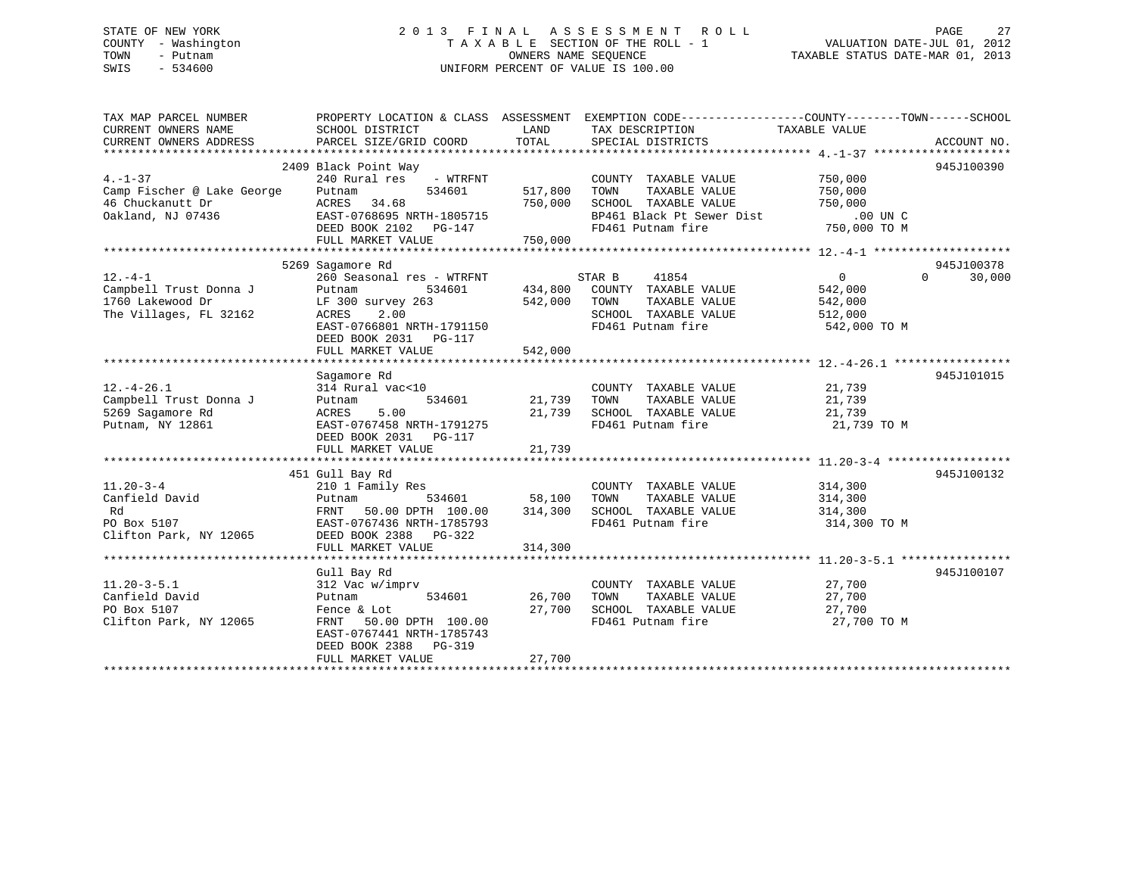# STATE OF NEW YORK 2 0 1 3 F I N A L A S S E S S M E N T R O L L PAGE 27 COUNTY - Washington T A X A B L E SECTION OF THE ROLL - 1 VALUATION DATE-JUL 01, 2012 TOWN - Putnam OWNERS NAME SEQUENCE TAXABLE STATUS DATE-MAR 01, 2013 SWIS - 534600 UNIFORM PERCENT OF VALUE IS 100.00

| TAX MAP PARCEL NUMBER<br>CURRENT OWNERS NAME<br>CURRENT OWNERS ADDRESS | PROPERTY LOCATION & CLASS ASSESSMENT<br>SCHOOL DISTRICT<br>PARCEL SIZE/GRID COORD | LAND<br>TOTAL | EXEMPTION CODE-----------------COUNTY-------TOWN------SCHOOL<br>TAX DESCRIPTION<br>SPECIAL DISTRICTS | TAXABLE VALUE  | ACCOUNT NO.        |
|------------------------------------------------------------------------|-----------------------------------------------------------------------------------|---------------|------------------------------------------------------------------------------------------------------|----------------|--------------------|
|                                                                        |                                                                                   |               |                                                                                                      |                |                    |
|                                                                        | 2409 Black Point Way                                                              |               |                                                                                                      |                | 945J100390         |
| $4. - 1 - 37$                                                          | 240 Rural res<br>- WTRFNT                                                         |               | COUNTY TAXABLE VALUE                                                                                 | 750,000        |                    |
| Camp Fischer @ Lake George                                             | Putnam<br>534601                                                                  | 517,800       | TAXABLE VALUE<br>TOWN                                                                                | 750,000        |                    |
| 46 Chuckanutt Dr                                                       | 34.68<br>ACRES                                                                    | 750,000       | SCHOOL TAXABLE VALUE                                                                                 | 750,000        |                    |
| Oakland, NJ 07436                                                      | EAST-0768695 NRTH-1805715                                                         |               | BP461 Black Pt Sewer Dist                                                                            | $.00$ UN $C$   |                    |
|                                                                        | DEED BOOK 2102 PG-147                                                             |               | FD461 Putnam fire                                                                                    | 750,000 TO M   |                    |
|                                                                        | FULL MARKET VALUE                                                                 | 750,000       |                                                                                                      |                |                    |
|                                                                        |                                                                                   |               |                                                                                                      |                |                    |
|                                                                        | 5269 Sagamore Rd                                                                  |               |                                                                                                      |                | 945J100378         |
| $12. -4 - 1$                                                           | 260 Seasonal res - WTRFNT                                                         |               | STAR B<br>41854                                                                                      | $\overline{0}$ | $\Omega$<br>30,000 |
| Campbell Trust Donna J                                                 | 534601<br>Putnam                                                                  | 434,800       | COUNTY TAXABLE VALUE                                                                                 | 542,000        |                    |
| 1760 Lakewood Dr                                                       | $LF$ 300 survey 263                                                               | 542,000       | TAXABLE VALUE<br>TOWN                                                                                | 542,000        |                    |
| The Villages, FL 32162                                                 | ACRES<br>2.00                                                                     |               | SCHOOL TAXABLE VALUE                                                                                 | 512,000        |                    |
|                                                                        | EAST-0766801 NRTH-1791150                                                         |               | FD461 Putnam fire                                                                                    | 542,000 TO M   |                    |
|                                                                        | DEED BOOK 2031 PG-117                                                             |               |                                                                                                      |                |                    |
|                                                                        | FULL MARKET VALUE                                                                 | 542,000       |                                                                                                      |                |                    |
|                                                                        |                                                                                   |               |                                                                                                      |                |                    |
|                                                                        | Sagamore Rd                                                                       |               |                                                                                                      |                | 945J101015         |
| $12. - 4 - 26.1$                                                       | 314 Rural vac<10                                                                  |               |                                                                                                      | 21,739         |                    |
|                                                                        |                                                                                   |               | COUNTY TAXABLE VALUE                                                                                 |                |                    |
| Campbell Trust Donna J                                                 | 534601<br>Putnam                                                                  | 21,739        | TOWN<br>TAXABLE VALUE                                                                                | 21,739         |                    |
| 5269 Sagamore Rd                                                       | 5.00<br>ACRES                                                                     | 21,739        | SCHOOL TAXABLE VALUE                                                                                 | 21,739         |                    |
| Putnam, NY 12861                                                       | EAST-0767458 NRTH-1791275                                                         |               | FD461 Putnam fire                                                                                    | 21,739 TO M    |                    |
|                                                                        | DEED BOOK 2031    PG-117                                                          |               |                                                                                                      |                |                    |
|                                                                        | FULL MARKET VALUE                                                                 | 21,739        |                                                                                                      |                |                    |
|                                                                        |                                                                                   |               |                                                                                                      |                |                    |
|                                                                        | 451 Gull Bay Rd                                                                   |               |                                                                                                      |                | 945J100132         |
| $11.20 - 3 - 4$                                                        | 210 1 Family Res                                                                  |               | COUNTY TAXABLE VALUE                                                                                 | 314,300        |                    |
| Canfield David                                                         | 534601<br>Putnam                                                                  | 58,100        | TAXABLE VALUE<br>TOWN                                                                                | 314,300        |                    |
| Rd                                                                     | FRNT<br>50.00 DPTH 100.00                                                         | 314,300       | SCHOOL TAXABLE VALUE                                                                                 | 314,300        |                    |
| PO Box 5107                                                            | EAST-0767436 NRTH-1785793                                                         |               | FD461 Putnam fire                                                                                    | 314,300 TO M   |                    |
| Clifton Park, NY 12065                                                 | DEED BOOK 2388<br>PG-322                                                          |               |                                                                                                      |                |                    |
|                                                                        | FULL MARKET VALUE                                                                 | 314,300       |                                                                                                      |                |                    |
|                                                                        |                                                                                   |               |                                                                                                      |                |                    |
|                                                                        | Gull Bay Rd                                                                       |               |                                                                                                      |                | 945J100107         |
| $11.20 - 3 - 5.1$                                                      | 312 Vac w/imprv                                                                   |               | COUNTY TAXABLE VALUE                                                                                 | 27,700         |                    |
| Canfield David                                                         | Putnam<br>534601                                                                  | 26,700        | TOWN<br>TAXABLE VALUE                                                                                | 27,700         |                    |
| PO Box 5107                                                            | Fence & Lot                                                                       | 27,700        | SCHOOL TAXABLE VALUE                                                                                 | 27,700         |                    |
| Clifton Park, NY 12065                                                 | FRNT 50.00 DPTH 100.00                                                            |               | FD461 Putnam fire                                                                                    | 27,700 TO M    |                    |
|                                                                        | EAST-0767441 NRTH-1785743                                                         |               |                                                                                                      |                |                    |
|                                                                        | DEED BOOK 2388 PG-319                                                             |               |                                                                                                      |                |                    |
|                                                                        | FULL MARKET VALUE                                                                 | 27,700        |                                                                                                      |                |                    |
|                                                                        |                                                                                   |               |                                                                                                      |                |                    |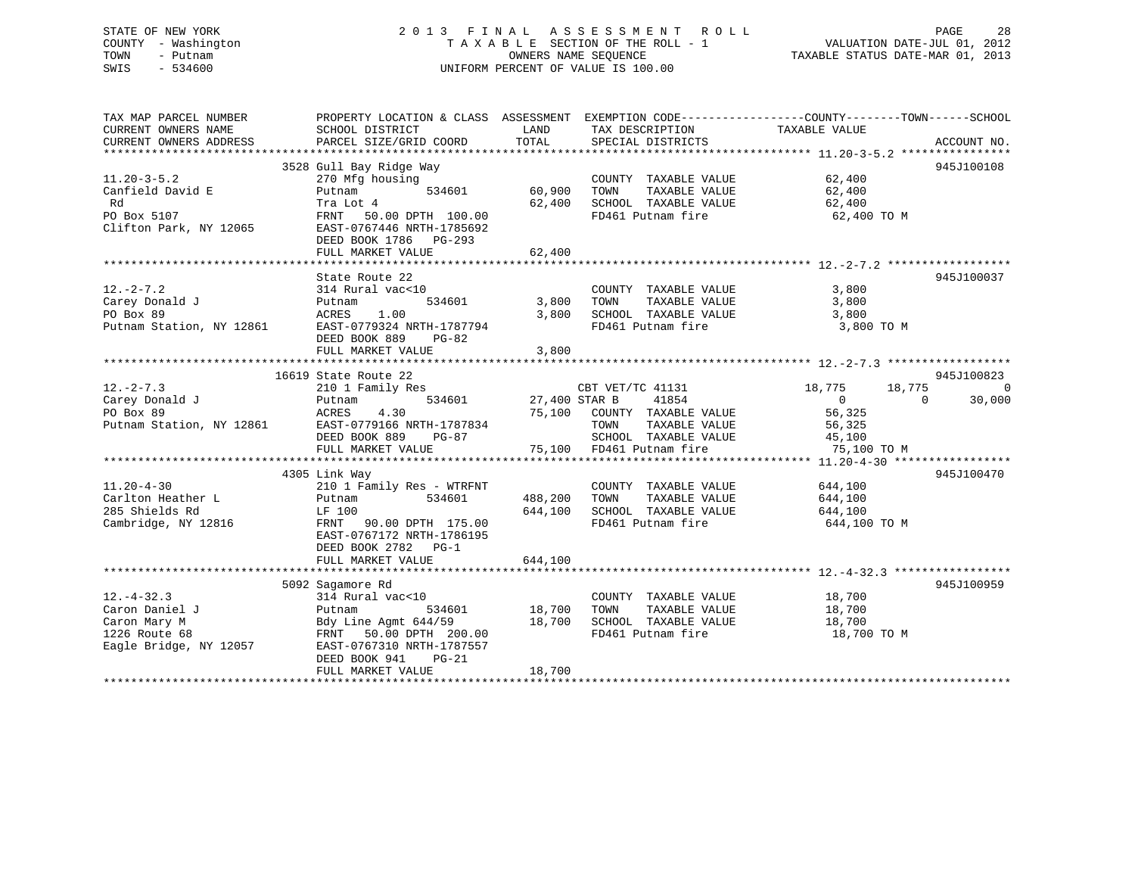# STATE OF NEW YORK 2 0 1 3 F I N A L A S S E S S M E N T R O L L PAGE 28 COUNTY - Washington T A X A B L E SECTION OF THE ROLL - 1 VALUATION DATE-JUL 01, 2012 TOWN - Putnam OWNERS NAME SEQUENCE TAXABLE STATUS DATE-MAR 01, 2013 SWIS - 534600 UNIFORM PERCENT OF VALUE IS 100.00

TAX MAP PARCEL NUMBER PROPERTY LOCATION & CLASS ASSESSMENT EXEMPTION CODE------------------COUNTY--------TOWN------SCHOOL CURRENT OWNERS NAME SCHOOL DISTRICT THE LAND TAX DESCRIPTION TAXABLE VALUE CURRENT OWNERS ADDRESS PARCEL SIZE/GRID COORD TOTAL SPECIAL DISTRICTS ACCOUNT NO. \*\*\*\*\*\*\*\*\*\*\*\*\*\*\*\*\*\*\*\*\*\*\*\*\*\*\*\*\*\*\*\*\*\*\*\*\*\*\*\*\*\*\*\*\*\*\*\*\*\*\*\*\*\*\*\*\*\*\*\*\*\*\*\*\*\*\*\*\*\*\*\*\*\*\*\*\*\*\*\*\*\*\*\*\*\*\*\*\*\*\*\*\*\*\*\*\*\*\*\*\*\*\* 11.20-3-5.2 \*\*\*\*\*\*\*\*\*\*\*\*\*\*\*\* 3528 Gull Bay Ridge Way 945J100108 11.20-3-5.2 270 Mfg housing COUNTY TAXABLE VALUE 62,400 Canfield David E Putnam 534601 60,900 TOWN TAXABLE VALUE 62,400 Rd Tra Lot 4 62,400 SCHOOL TAXABLE VALUE 62,400 PO Box 5107 FRNT 50.00 DPTH 100.00 CA, TOO SCROOL IMANDLE VALUE 100.00 CA, 400 TO M Clifton Park, NY 12065 EAST-0767446 NRTH-1785692 DEED BOOK 1786 PG-293 FULL MARKET VALUE 62,400 \*\*\*\*\*\*\*\*\*\*\*\*\*\*\*\*\*\*\*\*\*\*\*\*\*\*\*\*\*\*\*\*\*\*\*\*\*\*\*\*\*\*\*\*\*\*\*\*\*\*\*\*\*\*\*\*\*\*\*\*\*\*\*\*\*\*\*\*\*\*\*\*\*\*\*\*\*\*\*\*\*\*\*\*\*\*\*\*\*\*\*\*\*\*\*\*\*\*\*\*\*\*\* 12.-2-7.2 \*\*\*\*\*\*\*\*\*\*\*\*\*\*\*\*\*\*State Route 22 945J100037 12.-2-7.2 314 Rural vac<10 COUNTY TAXABLE VALUE 3,800 Carey Donald J Putnam 534601 3,800 TOWN TAXABLE VALUE 3,800 PO Box 89 ACRES 1.00 3,800 SCHOOL TAXABLE VALUE 3,800 Putnam Station, NY 12861 EAST-0779324 NRTH-1787794 FD461 Putnam fire 3,800 TO M DEED BOOK 889 PG-82DEED BOOK 887 - 100 - 200 - 3,800<br>FULL MARKET VALUE - 100 - 3,800 - 3,900 - 3,900 \*\*\*\*\*\*\*\*\*\*\*\*\*\*\*\*\*\*\*\*\*\*\*\*\*\*\*\*\*\*\*\*\*\*\*\*\*\*\*\*\*\*\*\*\*\*\*\*\*\*\*\*\*\*\*\*\*\*\*\*\*\*\*\*\*\*\*\*\*\*\*\*\*\*\*\*\*\*\*\*\*\*\*\*\*\*\*\*\*\*\*\*\*\*\*\*\*\*\*\*\*\*\* 12.-2-7.3 \*\*\*\*\*\*\*\*\*\*\*\*\*\*\*\*\*\*945J100823 16619 State Route 22 و16619 State Route 22<br>18,775 18,775 18,775 18,775 18,775 18,775 ما 210 Emily Res (28T VET/TC 41131 Carey Donald J Putnam 534601 27,400 STAR B 41854 0 0 30,000 PO Box 89 ACRES 4.30 75,100 COUNTY TAXABLE VALUE 56,325 PUTBUX 02<br>Putnam Station, NY 12861 EAST-0779166 NRTH-1787834 TOWN TAXABLE VALUE 56,325<br>45,100 SCHOOL TAXABLE VALUE 45,100 DEED BOOK 889 PG-87 SCHOOL TAXABLE VALUE 45,100 FULL MARKET VALUE 75,100 FD461 Putnam fire 75,100 TO M \*\*\*\*\*\*\*\*\*\*\*\*\*\*\*\*\*\*\*\*\*\*\*\*\*\*\*\*\*\*\*\*\*\*\*\*\*\*\*\*\*\*\*\*\*\*\*\*\*\*\*\*\*\*\*\*\*\*\*\*\*\*\*\*\*\*\*\*\*\*\*\*\*\*\*\*\*\*\*\*\*\*\*\*\*\*\*\*\*\*\*\*\*\*\*\*\*\*\*\*\*\*\* 11.20-4-30 \*\*\*\*\*\*\*\*\*\*\*\*\*\*\*\*\* 4305 Link Way 945J100470 11.20-4-30 210 1 Family Res - WTRFNT COUNTY TAXABLE VALUE 644,100 Carlton Heather L Putnam 534601 488,200 TOWN TAXABLE VALUE 644,100 285 Shields Rd LF 100 644,100 SCHOOL TAXABLE VALUE 644,100 Cambridge, NY 12816 FRNT 90.00 DPTH 175.00 FD461 Putnam fire 644,100 TO M EAST-0767172 NRTH-1786195 DEED BOOK 2782 PG-1FULL MARKET VALUE 644,100 \*\*\*\*\*\*\*\*\*\*\*\*\*\*\*\*\*\*\*\*\*\*\*\*\*\*\*\*\*\*\*\*\*\*\*\*\*\*\*\*\*\*\*\*\*\*\*\*\*\*\*\*\*\*\*\*\*\*\*\*\*\*\*\*\*\*\*\*\*\*\*\*\*\*\*\*\*\*\*\*\*\*\*\*\*\*\*\*\*\*\*\*\*\*\*\*\*\*\*\*\*\*\* 12.-4-32.3 \*\*\*\*\*\*\*\*\*\*\*\*\*\*\*\*\* 5092 Sagamore Rd 945J100959 12.-4-32.3 314 Rural vac<10 COUNTY TAXABLE VALUE 18,700 Caron Daniel J Putnam 534601 18,700 TOWN TAXABLE VALUE 18,700 Caron Mary M Bdy Line Agmt 644/59 18,700 SCHOOL TAXABLE VALUE 18,700 1226 Route 68 FRNT 50.00 DPTH 200.00 FD461 Putnam fire 18,700 TO M Eagle Bridge, NY 12057 EAST-0767310 NRTH-1787557 DEED BOOK 941 PG-21 FULL MARKET VALUE 18,700 \*\*\*\*\*\*\*\*\*\*\*\*\*\*\*\*\*\*\*\*\*\*\*\*\*\*\*\*\*\*\*\*\*\*\*\*\*\*\*\*\*\*\*\*\*\*\*\*\*\*\*\*\*\*\*\*\*\*\*\*\*\*\*\*\*\*\*\*\*\*\*\*\*\*\*\*\*\*\*\*\*\*\*\*\*\*\*\*\*\*\*\*\*\*\*\*\*\*\*\*\*\*\*\*\*\*\*\*\*\*\*\*\*\*\*\*\*\*\*\*\*\*\*\*\*\*\*\*\*\*\*\*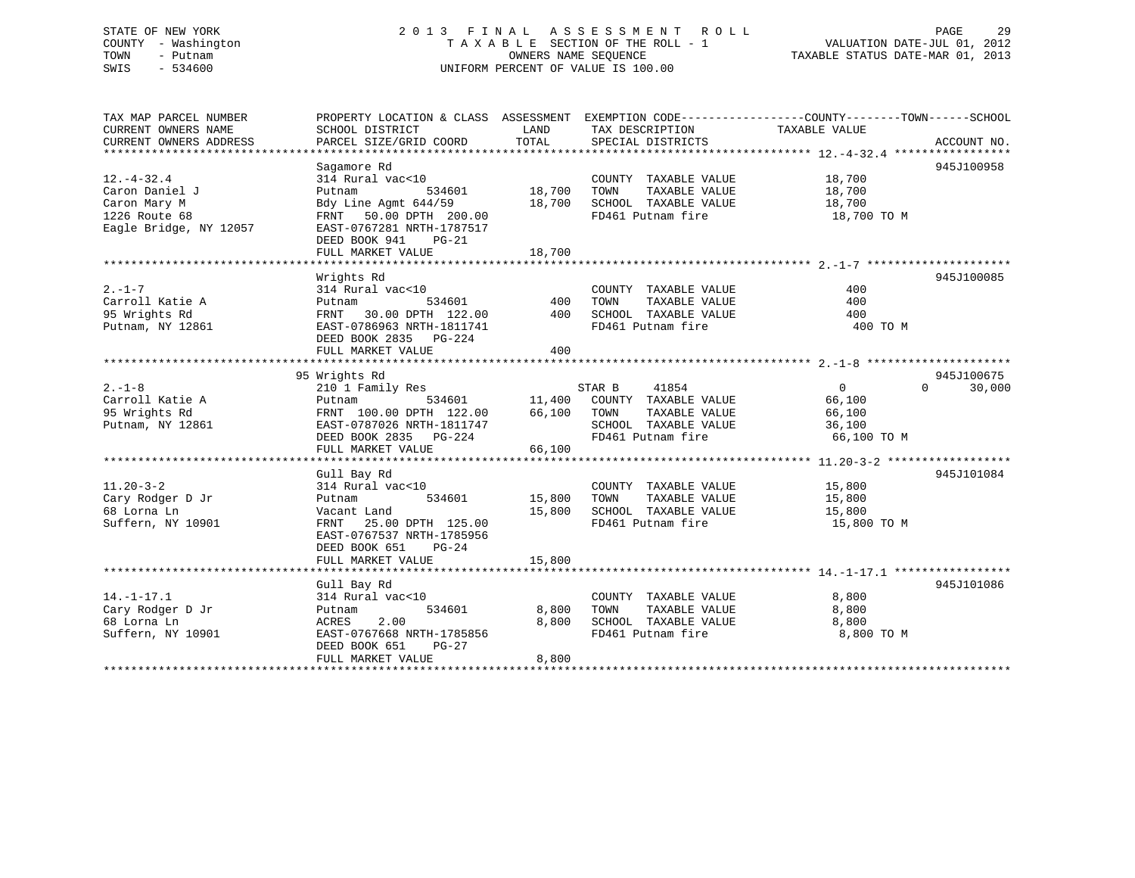# STATE OF NEW YORK 2 0 1 3 F I N A L A S S E S S M E N T R O L L PAGE 29 COUNTY - Washington T A X A B L E SECTION OF THE ROLL - 1 VALUATION DATE-JUL 01, 2012 TOWN - Putnam **CONNERS NAME SEQUENCE** TAXABLE STATUS DATE-MAR 01, 2013 SWIS - 534600 UNIFORM PERCENT OF VALUE IS 100.00

| Sagamore Rd<br>945J100958<br>314 Rural vac<10<br>COUNTY TAXABLE VALUE<br>18,700<br>Putnam<br>534601<br>18,700<br>TAXABLE VALUE<br>TOWN<br>18,700<br>18,700<br>SCHOOL TAXABLE VALUE<br>Bdy Line Agmt 644/59<br>18,700<br>FD461 Putnam fire<br>1226 Route 68<br>FRNT 50.00 DPTH 200.00<br>18,700 TO M<br>Eagle Bridge, NY 12057<br>EAST-0767281 NRTH-1787517<br>DEED BOOK 941<br>$PG-21$<br>18,700<br>FULL MARKET VALUE<br>Wrights Rd<br>945J100085<br>$2. -1 - 7$<br>314 Rural vac<10<br>COUNTY TAXABLE VALUE<br>400<br>534601<br>400<br>Carroll Katie A<br>TOWN<br>TAXABLE VALUE<br>400<br>Putnam<br>95 Wrights Rd<br>FRNT 30.00 DPTH 122.00 400<br>SCHOOL TAXABLE VALUE<br>400<br>FD461 Putnam fire<br>Putnam, NY 12861<br>EAST-0786963 NRTH-1811741<br>400 TO M<br>DEED BOOK 2835 PG-224<br>400<br>FULL MARKET VALUE<br>95 Wrights Rd<br>945J100675<br>$2. - 1 - 8$<br>210 1 Family Res<br>STAR B<br>41854<br>0<br>$\Omega$<br>30,000<br>Carroll Katie A<br>534601 11,400<br>COUNTY TAXABLE VALUE<br>66,100<br>Putnam<br>95 Wrights Rd<br>FRNT 100.00 DPTH 122.00 66,100<br>TOWN<br>TAXABLE VALUE<br>66,100<br>EAST-0787026 NRTH-1811747<br>SCHOOL TAXABLE VALUE<br>36,100<br>DEED BOOK 2835 PG-224<br>FD461 Putnam fire<br>66,100 TO M<br>66,100<br>FULL MARKET VALUE<br>945J101084<br>Gull Bay Rd<br>314 Rural vac<10<br>COUNTY TAXABLE VALUE<br>15,800<br>15,800<br>Cary Rodger D Jr<br>534601<br>TOWN<br>TAXABLE VALUE<br>15,800<br>Putnam<br>15,800<br>SCHOOL TAXABLE VALUE 15,800<br>68 Lorna Ln<br>Vacant Land<br>Suffern, NY 10901<br>FD461 Putnam fire<br>FRNT 25.00 DPTH 125.00<br>15,800 TO M<br>EAST-0767537 NRTH-1785956<br>DEED BOOK 651<br>PG-24<br>15,800<br>FULL MARKET VALUE<br>945J101086<br>Gull Bay Rd<br>314 Rural vac<10<br>$14. - 1 - 17.1$<br>COUNTY TAXABLE VALUE<br>8,800<br>Cary Rodger D Jr<br>534601<br>8,800<br>TAXABLE VALUE<br>8,800<br>TOWN<br>Putnam<br>8,800<br>SCHOOL TAXABLE VALUE<br>68 Lorna Ln<br>ACRES<br>2.00<br>8,800<br>Suffern, NY 10901<br>EAST-0767668 NRTH-1785856<br>8,800 TO M<br>FD461 Putnam fire<br>DEED BOOK 651<br>PG-27 | TAX MAP PARCEL NUMBER<br>CURRENT OWNERS NAME<br>CURRENT OWNERS ADDRESS | PROPERTY LOCATION & CLASS ASSESSMENT<br>SCHOOL DISTRICT<br>PARCEL SIZE/GRID COORD | LAND<br>TOTAL | TAX DESCRIPTION TAXABLE VALUE<br>SPECIAL DISTRICTS | EXEMPTION CODE-----------------COUNTY-------TOWN------SCHOOL<br>ACCOUNT NO. |  |
|------------------------------------------------------------------------------------------------------------------------------------------------------------------------------------------------------------------------------------------------------------------------------------------------------------------------------------------------------------------------------------------------------------------------------------------------------------------------------------------------------------------------------------------------------------------------------------------------------------------------------------------------------------------------------------------------------------------------------------------------------------------------------------------------------------------------------------------------------------------------------------------------------------------------------------------------------------------------------------------------------------------------------------------------------------------------------------------------------------------------------------------------------------------------------------------------------------------------------------------------------------------------------------------------------------------------------------------------------------------------------------------------------------------------------------------------------------------------------------------------------------------------------------------------------------------------------------------------------------------------------------------------------------------------------------------------------------------------------------------------------------------------------------------------------------------------------------------------------------------------------------------------------------------------------------------------------------------------------------------------------------------------------------------------------------------------------------|------------------------------------------------------------------------|-----------------------------------------------------------------------------------|---------------|----------------------------------------------------|-----------------------------------------------------------------------------|--|
|                                                                                                                                                                                                                                                                                                                                                                                                                                                                                                                                                                                                                                                                                                                                                                                                                                                                                                                                                                                                                                                                                                                                                                                                                                                                                                                                                                                                                                                                                                                                                                                                                                                                                                                                                                                                                                                                                                                                                                                                                                                                                    |                                                                        |                                                                                   |               |                                                    |                                                                             |  |
|                                                                                                                                                                                                                                                                                                                                                                                                                                                                                                                                                                                                                                                                                                                                                                                                                                                                                                                                                                                                                                                                                                                                                                                                                                                                                                                                                                                                                                                                                                                                                                                                                                                                                                                                                                                                                                                                                                                                                                                                                                                                                    |                                                                        |                                                                                   |               |                                                    |                                                                             |  |
|                                                                                                                                                                                                                                                                                                                                                                                                                                                                                                                                                                                                                                                                                                                                                                                                                                                                                                                                                                                                                                                                                                                                                                                                                                                                                                                                                                                                                                                                                                                                                                                                                                                                                                                                                                                                                                                                                                                                                                                                                                                                                    | $12. - 4 - 32.4$                                                       |                                                                                   |               |                                                    |                                                                             |  |
|                                                                                                                                                                                                                                                                                                                                                                                                                                                                                                                                                                                                                                                                                                                                                                                                                                                                                                                                                                                                                                                                                                                                                                                                                                                                                                                                                                                                                                                                                                                                                                                                                                                                                                                                                                                                                                                                                                                                                                                                                                                                                    | Caron Daniel J                                                         |                                                                                   |               |                                                    |                                                                             |  |
|                                                                                                                                                                                                                                                                                                                                                                                                                                                                                                                                                                                                                                                                                                                                                                                                                                                                                                                                                                                                                                                                                                                                                                                                                                                                                                                                                                                                                                                                                                                                                                                                                                                                                                                                                                                                                                                                                                                                                                                                                                                                                    | Caron Mary M                                                           |                                                                                   |               |                                                    |                                                                             |  |
|                                                                                                                                                                                                                                                                                                                                                                                                                                                                                                                                                                                                                                                                                                                                                                                                                                                                                                                                                                                                                                                                                                                                                                                                                                                                                                                                                                                                                                                                                                                                                                                                                                                                                                                                                                                                                                                                                                                                                                                                                                                                                    |                                                                        |                                                                                   |               |                                                    |                                                                             |  |
|                                                                                                                                                                                                                                                                                                                                                                                                                                                                                                                                                                                                                                                                                                                                                                                                                                                                                                                                                                                                                                                                                                                                                                                                                                                                                                                                                                                                                                                                                                                                                                                                                                                                                                                                                                                                                                                                                                                                                                                                                                                                                    |                                                                        |                                                                                   |               |                                                    |                                                                             |  |
|                                                                                                                                                                                                                                                                                                                                                                                                                                                                                                                                                                                                                                                                                                                                                                                                                                                                                                                                                                                                                                                                                                                                                                                                                                                                                                                                                                                                                                                                                                                                                                                                                                                                                                                                                                                                                                                                                                                                                                                                                                                                                    |                                                                        |                                                                                   |               |                                                    |                                                                             |  |
|                                                                                                                                                                                                                                                                                                                                                                                                                                                                                                                                                                                                                                                                                                                                                                                                                                                                                                                                                                                                                                                                                                                                                                                                                                                                                                                                                                                                                                                                                                                                                                                                                                                                                                                                                                                                                                                                                                                                                                                                                                                                                    |                                                                        |                                                                                   |               |                                                    |                                                                             |  |
|                                                                                                                                                                                                                                                                                                                                                                                                                                                                                                                                                                                                                                                                                                                                                                                                                                                                                                                                                                                                                                                                                                                                                                                                                                                                                                                                                                                                                                                                                                                                                                                                                                                                                                                                                                                                                                                                                                                                                                                                                                                                                    |                                                                        |                                                                                   |               |                                                    |                                                                             |  |
|                                                                                                                                                                                                                                                                                                                                                                                                                                                                                                                                                                                                                                                                                                                                                                                                                                                                                                                                                                                                                                                                                                                                                                                                                                                                                                                                                                                                                                                                                                                                                                                                                                                                                                                                                                                                                                                                                                                                                                                                                                                                                    |                                                                        |                                                                                   |               |                                                    |                                                                             |  |
|                                                                                                                                                                                                                                                                                                                                                                                                                                                                                                                                                                                                                                                                                                                                                                                                                                                                                                                                                                                                                                                                                                                                                                                                                                                                                                                                                                                                                                                                                                                                                                                                                                                                                                                                                                                                                                                                                                                                                                                                                                                                                    |                                                                        |                                                                                   |               |                                                    |                                                                             |  |
|                                                                                                                                                                                                                                                                                                                                                                                                                                                                                                                                                                                                                                                                                                                                                                                                                                                                                                                                                                                                                                                                                                                                                                                                                                                                                                                                                                                                                                                                                                                                                                                                                                                                                                                                                                                                                                                                                                                                                                                                                                                                                    |                                                                        |                                                                                   |               |                                                    |                                                                             |  |
|                                                                                                                                                                                                                                                                                                                                                                                                                                                                                                                                                                                                                                                                                                                                                                                                                                                                                                                                                                                                                                                                                                                                                                                                                                                                                                                                                                                                                                                                                                                                                                                                                                                                                                                                                                                                                                                                                                                                                                                                                                                                                    |                                                                        |                                                                                   |               |                                                    |                                                                             |  |
|                                                                                                                                                                                                                                                                                                                                                                                                                                                                                                                                                                                                                                                                                                                                                                                                                                                                                                                                                                                                                                                                                                                                                                                                                                                                                                                                                                                                                                                                                                                                                                                                                                                                                                                                                                                                                                                                                                                                                                                                                                                                                    |                                                                        |                                                                                   |               |                                                    |                                                                             |  |
|                                                                                                                                                                                                                                                                                                                                                                                                                                                                                                                                                                                                                                                                                                                                                                                                                                                                                                                                                                                                                                                                                                                                                                                                                                                                                                                                                                                                                                                                                                                                                                                                                                                                                                                                                                                                                                                                                                                                                                                                                                                                                    |                                                                        |                                                                                   |               |                                                    |                                                                             |  |
|                                                                                                                                                                                                                                                                                                                                                                                                                                                                                                                                                                                                                                                                                                                                                                                                                                                                                                                                                                                                                                                                                                                                                                                                                                                                                                                                                                                                                                                                                                                                                                                                                                                                                                                                                                                                                                                                                                                                                                                                                                                                                    |                                                                        |                                                                                   |               |                                                    |                                                                             |  |
|                                                                                                                                                                                                                                                                                                                                                                                                                                                                                                                                                                                                                                                                                                                                                                                                                                                                                                                                                                                                                                                                                                                                                                                                                                                                                                                                                                                                                                                                                                                                                                                                                                                                                                                                                                                                                                                                                                                                                                                                                                                                                    |                                                                        |                                                                                   |               |                                                    |                                                                             |  |
|                                                                                                                                                                                                                                                                                                                                                                                                                                                                                                                                                                                                                                                                                                                                                                                                                                                                                                                                                                                                                                                                                                                                                                                                                                                                                                                                                                                                                                                                                                                                                                                                                                                                                                                                                                                                                                                                                                                                                                                                                                                                                    |                                                                        |                                                                                   |               |                                                    |                                                                             |  |
|                                                                                                                                                                                                                                                                                                                                                                                                                                                                                                                                                                                                                                                                                                                                                                                                                                                                                                                                                                                                                                                                                                                                                                                                                                                                                                                                                                                                                                                                                                                                                                                                                                                                                                                                                                                                                                                                                                                                                                                                                                                                                    |                                                                        |                                                                                   |               |                                                    |                                                                             |  |
|                                                                                                                                                                                                                                                                                                                                                                                                                                                                                                                                                                                                                                                                                                                                                                                                                                                                                                                                                                                                                                                                                                                                                                                                                                                                                                                                                                                                                                                                                                                                                                                                                                                                                                                                                                                                                                                                                                                                                                                                                                                                                    |                                                                        |                                                                                   |               |                                                    |                                                                             |  |
|                                                                                                                                                                                                                                                                                                                                                                                                                                                                                                                                                                                                                                                                                                                                                                                                                                                                                                                                                                                                                                                                                                                                                                                                                                                                                                                                                                                                                                                                                                                                                                                                                                                                                                                                                                                                                                                                                                                                                                                                                                                                                    |                                                                        |                                                                                   |               |                                                    |                                                                             |  |
|                                                                                                                                                                                                                                                                                                                                                                                                                                                                                                                                                                                                                                                                                                                                                                                                                                                                                                                                                                                                                                                                                                                                                                                                                                                                                                                                                                                                                                                                                                                                                                                                                                                                                                                                                                                                                                                                                                                                                                                                                                                                                    |                                                                        |                                                                                   |               |                                                    |                                                                             |  |
|                                                                                                                                                                                                                                                                                                                                                                                                                                                                                                                                                                                                                                                                                                                                                                                                                                                                                                                                                                                                                                                                                                                                                                                                                                                                                                                                                                                                                                                                                                                                                                                                                                                                                                                                                                                                                                                                                                                                                                                                                                                                                    | Putnam, NY 12861                                                       |                                                                                   |               |                                                    |                                                                             |  |
|                                                                                                                                                                                                                                                                                                                                                                                                                                                                                                                                                                                                                                                                                                                                                                                                                                                                                                                                                                                                                                                                                                                                                                                                                                                                                                                                                                                                                                                                                                                                                                                                                                                                                                                                                                                                                                                                                                                                                                                                                                                                                    |                                                                        |                                                                                   |               |                                                    |                                                                             |  |
|                                                                                                                                                                                                                                                                                                                                                                                                                                                                                                                                                                                                                                                                                                                                                                                                                                                                                                                                                                                                                                                                                                                                                                                                                                                                                                                                                                                                                                                                                                                                                                                                                                                                                                                                                                                                                                                                                                                                                                                                                                                                                    |                                                                        |                                                                                   |               |                                                    |                                                                             |  |
|                                                                                                                                                                                                                                                                                                                                                                                                                                                                                                                                                                                                                                                                                                                                                                                                                                                                                                                                                                                                                                                                                                                                                                                                                                                                                                                                                                                                                                                                                                                                                                                                                                                                                                                                                                                                                                                                                                                                                                                                                                                                                    |                                                                        |                                                                                   |               |                                                    |                                                                             |  |
|                                                                                                                                                                                                                                                                                                                                                                                                                                                                                                                                                                                                                                                                                                                                                                                                                                                                                                                                                                                                                                                                                                                                                                                                                                                                                                                                                                                                                                                                                                                                                                                                                                                                                                                                                                                                                                                                                                                                                                                                                                                                                    |                                                                        |                                                                                   |               |                                                    |                                                                             |  |
|                                                                                                                                                                                                                                                                                                                                                                                                                                                                                                                                                                                                                                                                                                                                                                                                                                                                                                                                                                                                                                                                                                                                                                                                                                                                                                                                                                                                                                                                                                                                                                                                                                                                                                                                                                                                                                                                                                                                                                                                                                                                                    | $11.20 - 3 - 2$                                                        |                                                                                   |               |                                                    |                                                                             |  |
|                                                                                                                                                                                                                                                                                                                                                                                                                                                                                                                                                                                                                                                                                                                                                                                                                                                                                                                                                                                                                                                                                                                                                                                                                                                                                                                                                                                                                                                                                                                                                                                                                                                                                                                                                                                                                                                                                                                                                                                                                                                                                    |                                                                        |                                                                                   |               |                                                    |                                                                             |  |
|                                                                                                                                                                                                                                                                                                                                                                                                                                                                                                                                                                                                                                                                                                                                                                                                                                                                                                                                                                                                                                                                                                                                                                                                                                                                                                                                                                                                                                                                                                                                                                                                                                                                                                                                                                                                                                                                                                                                                                                                                                                                                    |                                                                        |                                                                                   |               |                                                    |                                                                             |  |
|                                                                                                                                                                                                                                                                                                                                                                                                                                                                                                                                                                                                                                                                                                                                                                                                                                                                                                                                                                                                                                                                                                                                                                                                                                                                                                                                                                                                                                                                                                                                                                                                                                                                                                                                                                                                                                                                                                                                                                                                                                                                                    |                                                                        |                                                                                   |               |                                                    |                                                                             |  |
|                                                                                                                                                                                                                                                                                                                                                                                                                                                                                                                                                                                                                                                                                                                                                                                                                                                                                                                                                                                                                                                                                                                                                                                                                                                                                                                                                                                                                                                                                                                                                                                                                                                                                                                                                                                                                                                                                                                                                                                                                                                                                    |                                                                        |                                                                                   |               |                                                    |                                                                             |  |
|                                                                                                                                                                                                                                                                                                                                                                                                                                                                                                                                                                                                                                                                                                                                                                                                                                                                                                                                                                                                                                                                                                                                                                                                                                                                                                                                                                                                                                                                                                                                                                                                                                                                                                                                                                                                                                                                                                                                                                                                                                                                                    |                                                                        |                                                                                   |               |                                                    |                                                                             |  |
|                                                                                                                                                                                                                                                                                                                                                                                                                                                                                                                                                                                                                                                                                                                                                                                                                                                                                                                                                                                                                                                                                                                                                                                                                                                                                                                                                                                                                                                                                                                                                                                                                                                                                                                                                                                                                                                                                                                                                                                                                                                                                    |                                                                        |                                                                                   |               |                                                    |                                                                             |  |
|                                                                                                                                                                                                                                                                                                                                                                                                                                                                                                                                                                                                                                                                                                                                                                                                                                                                                                                                                                                                                                                                                                                                                                                                                                                                                                                                                                                                                                                                                                                                                                                                                                                                                                                                                                                                                                                                                                                                                                                                                                                                                    |                                                                        |                                                                                   |               |                                                    |                                                                             |  |
|                                                                                                                                                                                                                                                                                                                                                                                                                                                                                                                                                                                                                                                                                                                                                                                                                                                                                                                                                                                                                                                                                                                                                                                                                                                                                                                                                                                                                                                                                                                                                                                                                                                                                                                                                                                                                                                                                                                                                                                                                                                                                    |                                                                        |                                                                                   |               |                                                    |                                                                             |  |
|                                                                                                                                                                                                                                                                                                                                                                                                                                                                                                                                                                                                                                                                                                                                                                                                                                                                                                                                                                                                                                                                                                                                                                                                                                                                                                                                                                                                                                                                                                                                                                                                                                                                                                                                                                                                                                                                                                                                                                                                                                                                                    |                                                                        |                                                                                   |               |                                                    |                                                                             |  |
|                                                                                                                                                                                                                                                                                                                                                                                                                                                                                                                                                                                                                                                                                                                                                                                                                                                                                                                                                                                                                                                                                                                                                                                                                                                                                                                                                                                                                                                                                                                                                                                                                                                                                                                                                                                                                                                                                                                                                                                                                                                                                    |                                                                        |                                                                                   |               |                                                    |                                                                             |  |
|                                                                                                                                                                                                                                                                                                                                                                                                                                                                                                                                                                                                                                                                                                                                                                                                                                                                                                                                                                                                                                                                                                                                                                                                                                                                                                                                                                                                                                                                                                                                                                                                                                                                                                                                                                                                                                                                                                                                                                                                                                                                                    |                                                                        |                                                                                   |               |                                                    |                                                                             |  |
|                                                                                                                                                                                                                                                                                                                                                                                                                                                                                                                                                                                                                                                                                                                                                                                                                                                                                                                                                                                                                                                                                                                                                                                                                                                                                                                                                                                                                                                                                                                                                                                                                                                                                                                                                                                                                                                                                                                                                                                                                                                                                    |                                                                        |                                                                                   |               |                                                    |                                                                             |  |
|                                                                                                                                                                                                                                                                                                                                                                                                                                                                                                                                                                                                                                                                                                                                                                                                                                                                                                                                                                                                                                                                                                                                                                                                                                                                                                                                                                                                                                                                                                                                                                                                                                                                                                                                                                                                                                                                                                                                                                                                                                                                                    |                                                                        |                                                                                   |               |                                                    |                                                                             |  |
|                                                                                                                                                                                                                                                                                                                                                                                                                                                                                                                                                                                                                                                                                                                                                                                                                                                                                                                                                                                                                                                                                                                                                                                                                                                                                                                                                                                                                                                                                                                                                                                                                                                                                                                                                                                                                                                                                                                                                                                                                                                                                    |                                                                        |                                                                                   |               |                                                    |                                                                             |  |
|                                                                                                                                                                                                                                                                                                                                                                                                                                                                                                                                                                                                                                                                                                                                                                                                                                                                                                                                                                                                                                                                                                                                                                                                                                                                                                                                                                                                                                                                                                                                                                                                                                                                                                                                                                                                                                                                                                                                                                                                                                                                                    |                                                                        | FULL MARKET VALUE                                                                 | 8,800         |                                                    |                                                                             |  |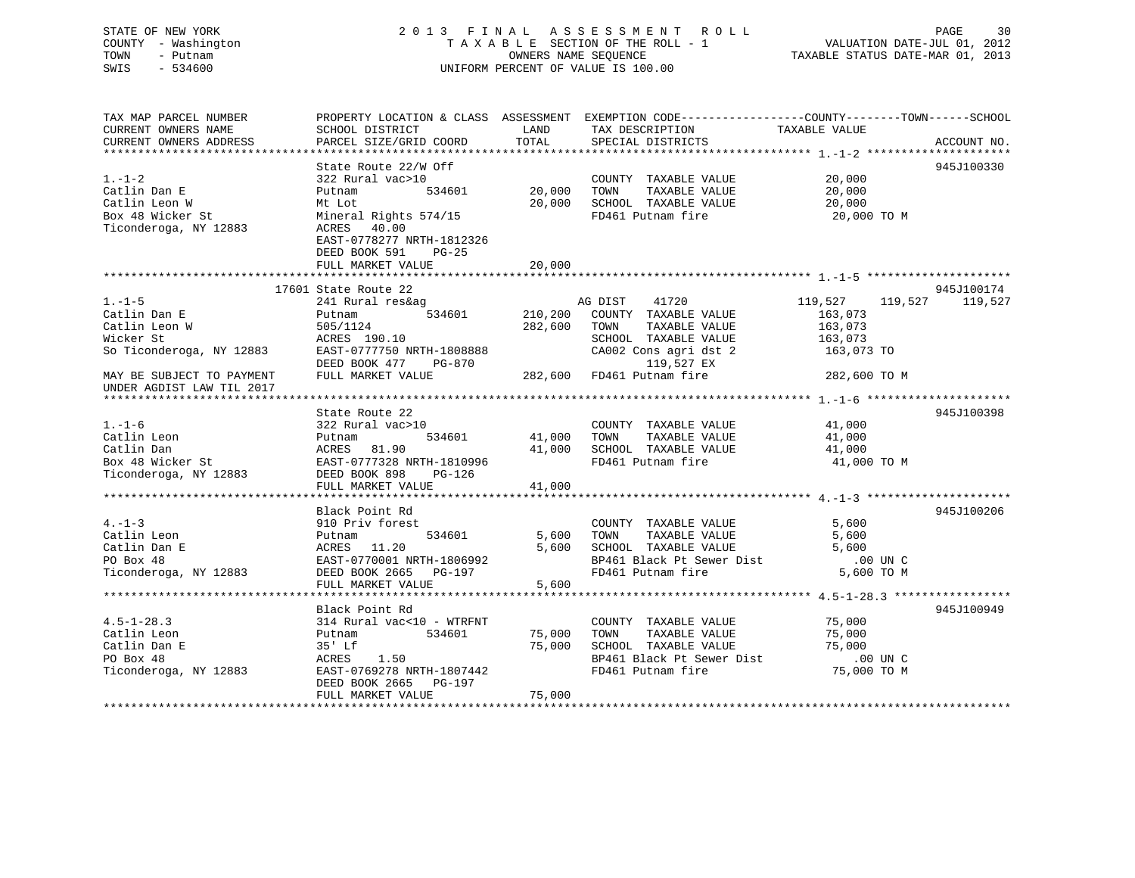# STATE OF NEW YORK 2 0 1 3 F I N A L A S S E S S M E N T R O L L PAGE 30 COUNTY - Washington T A X A B L E SECTION OF THE ROLL - 1 VALUATION DATE-JUL 01, 2012 TOWN - Putnam OWNERS NAME SEQUENCE TAXABLE STATUS DATE-MAR 01, 2013 SWIS - 534600 UNIFORM PERCENT OF VALUE IS 100.00

TAX MAP PARCEL NUMBER PROPERTY LOCATION & CLASS ASSESSMENT EXEMPTION CODE------------------COUNTY--------TOWN------SCHOOL

CURRENT OWNERS NAME SCHOOL DISTRICT LAND TAX DESCRIPTION TAXABLE VALUE

CURRENT OWNERS ADDRESS PARCEL SIZE/GRID COORD TOTAL SPECIAL DISTRICTS ACCOUNT NO. \*\*\*\*\*\*\*\*\*\*\*\*\*\*\*\*\*\*\*\*\*\*\*\*\*\*\*\*\*\*\*\*\*\*\*\*\*\*\*\*\*\*\*\*\*\*\*\*\*\*\*\*\*\*\*\*\*\*\*\*\*\*\*\*\*\*\*\*\*\*\*\*\*\*\*\*\*\*\*\*\*\*\*\*\*\*\*\*\*\*\*\*\*\*\*\*\*\*\*\*\*\*\* 1.-1-2 \*\*\*\*\*\*\*\*\*\*\*\*\*\*\*\*\*\*\*\*\*State Route 22/W Off 945J100330 1.-1-2 322 Rural vac>10 COUNTY TAXABLE VALUE 20,000 Catlin Dan E Putnam 534601 20,000 TOWN TAXABLE VALUE 20,000 Catlin Leon W Mt Lot 20,000 SCHOOL TAXABLE VALUE 20,000 Callin Leon W 20 - The Callin Leon Music Callin Leon W 20,000 Music Mineral Rights 574/15 20,000 CHOOL TAXABLE VALUE<br>Box 48 Wicker St 20,000 TO Muneral Rights 574/15 20,000 TO M 20,000 TO M Ticonderoga, NY 12883 ACRES 40.00 EAST-0778277 NRTH-1812326 DEED BOOK 591 PG-25 FULL MARKET VALUE 20,000 \*\*\*\*\*\*\*\*\*\*\*\*\*\*\*\*\*\*\*\*\*\*\*\*\*\*\*\*\*\*\*\*\*\*\*\*\*\*\*\*\*\*\*\*\*\*\*\*\*\*\*\*\*\*\*\*\*\*\*\*\*\*\*\*\*\*\*\*\*\*\*\*\*\*\*\*\*\*\*\*\*\*\*\*\*\*\*\*\*\*\*\*\*\*\*\*\*\*\*\*\*\*\* 1.-1-5 \*\*\*\*\*\*\*\*\*\*\*\*\*\*\*\*\*\*\*\*\* 17601 State Route 22 945J1001741.-1-5 241 Rural res&ag AG DIST 41720 119,527 119,527 119,527 Catlin Dan E Putnam 534601 210,200 COUNTY TAXABLE VALUE 163,073 Catlin Leon W 505/1124 282,600 TOWN TAXABLE VALUE 163,073 Wicker St ACRES 190.10 SCHOOL TAXABLE VALUE 163,073 So Town TAXABLE VALUE 163,073<br>
So Ticonderoga, NY 12883 EAST-0777750 NRTH-1808888 CA002 Cons agri dst 2 163,073<br>
So Ticonderoga, NY 12883 EAST-0777750 NRTH-1808888 CA002 Cons agri dst 2 163,073 TO<br>
DEED BOOK 477 PG-870 119 DEED BOOK 477 PG-870 119,527 EX MAY BE SUBJECT TO PAYMENT FULL MARKET VALUE 282,600 FD461 Putnam fire 282,600 TO M UNDER AGDIST LAW TIL 2017 \*\*\*\*\*\*\*\*\*\*\*\*\*\*\*\*\*\*\*\*\*\*\*\*\*\*\*\*\*\*\*\*\*\*\*\*\*\*\*\*\*\*\*\*\*\*\*\*\*\*\*\*\*\*\*\*\*\*\*\*\*\*\*\*\*\*\*\*\*\*\*\*\*\*\*\*\*\*\*\*\*\*\*\*\*\*\*\*\*\*\*\*\*\*\*\*\*\*\*\*\*\*\* 1.-1-6 \*\*\*\*\*\*\*\*\*\*\*\*\*\*\*\*\*\*\*\*\* State Route 22 945J1003981.-1-6 322 Rural vac>10 COUNTY TAXABLE VALUE 41,000 Catlin Leon Putnam 534601 41,000 TOWN TAXABLE VALUE 41,000 Catlin Dan ACRES 81.90 41,000 SCHOOL TAXABLE VALUE 41,000 Box 48 Wicker St EAST-0777328 NRTH-1810996 FD461 Putnam fire 41,000 TO M Ticonderoga, NY 12883 DEED BOOK 898 PG-126  $\begin{array}{lll} \text{EAST}-0777320 & \text{NINIM} & \text{---} \\ \text{DEED BOOK} & 898 & \text{PG}-126 & \\ & - & \text{---} \\ \end{array}$  41,000 \*\*\*\*\*\*\*\*\*\*\*\*\*\*\*\*\*\*\*\*\*\*\*\*\*\*\*\*\*\*\*\*\*\*\*\*\*\*\*\*\*\*\*\*\*\*\*\*\*\*\*\*\*\*\*\*\*\*\*\*\*\*\*\*\*\*\*\*\*\*\*\*\*\*\*\*\*\*\*\*\*\*\*\*\*\*\*\*\*\*\*\*\*\*\*\*\*\*\*\*\*\*\* 4.-1-3 \*\*\*\*\*\*\*\*\*\*\*\*\*\*\*\*\*\*\*\*\* Black Point Rd 945J1002064.-1-3 910 Priv forest COUNTY TAXABLE VALUE 5,600 Catlin Leon Putnam 534601 5,600 TOWN TAXABLE VALUE 5,600 Catlin Dan E ACRES 11.20 5,600 SCHOOL TAXABLE VALUE 5,600 PO Box 48 EAST-0770001 NRTH-1806992 BP461 Black Pt Sewer Dist .00 UN CTiconderoga, NY 12883 DEED BOOK 2665 PG-197 FD461 Putnam fire 5,600 TO M<br>FULL MARKET VALUE 5,600 5,600 FULL MARKET VALUE \*\*\*\*\*\*\*\*\*\*\*\*\*\*\*\*\*\*\*\*\*\*\*\*\*\*\*\*\*\*\*\*\*\*\*\*\*\*\*\*\*\*\*\*\*\*\*\*\*\*\*\*\*\*\*\*\*\*\*\*\*\*\*\*\*\*\*\*\*\*\*\*\*\*\*\*\*\*\*\*\*\*\*\*\*\*\*\*\*\*\*\*\*\*\*\*\*\*\*\*\*\*\* 4.5-1-28.3 \*\*\*\*\*\*\*\*\*\*\*\*\*\*\*\*\* Black Point Rd 945J1009494.5-1-28.3 314 Rural vac<10 - WTRFNT COUNTY TAXABLE VALUE 75,000 Catlin Leon Putnam 534601 75,000 TOWN TAXABLE VALUE 75,000 Catlin Dan E 35' Lf 75,000 SCHOOL TAXABLE VALUE 75,000 PO Box 48 ACRES 1.50 BP461 Black Pt Sewer Dist .00 UN C75,000 TO M Ticonderoga, NY 12883 EAST-0769278 NRTH-1807442 FD461 Putnam fire 75,000 TO M DEED BOOK 2665 PG-197 FULL MARKET VALUE 75,000 \*\*\*\*\*\*\*\*\*\*\*\*\*\*\*\*\*\*\*\*\*\*\*\*\*\*\*\*\*\*\*\*\*\*\*\*\*\*\*\*\*\*\*\*\*\*\*\*\*\*\*\*\*\*\*\*\*\*\*\*\*\*\*\*\*\*\*\*\*\*\*\*\*\*\*\*\*\*\*\*\*\*\*\*\*\*\*\*\*\*\*\*\*\*\*\*\*\*\*\*\*\*\*\*\*\*\*\*\*\*\*\*\*\*\*\*\*\*\*\*\*\*\*\*\*\*\*\*\*\*\*\*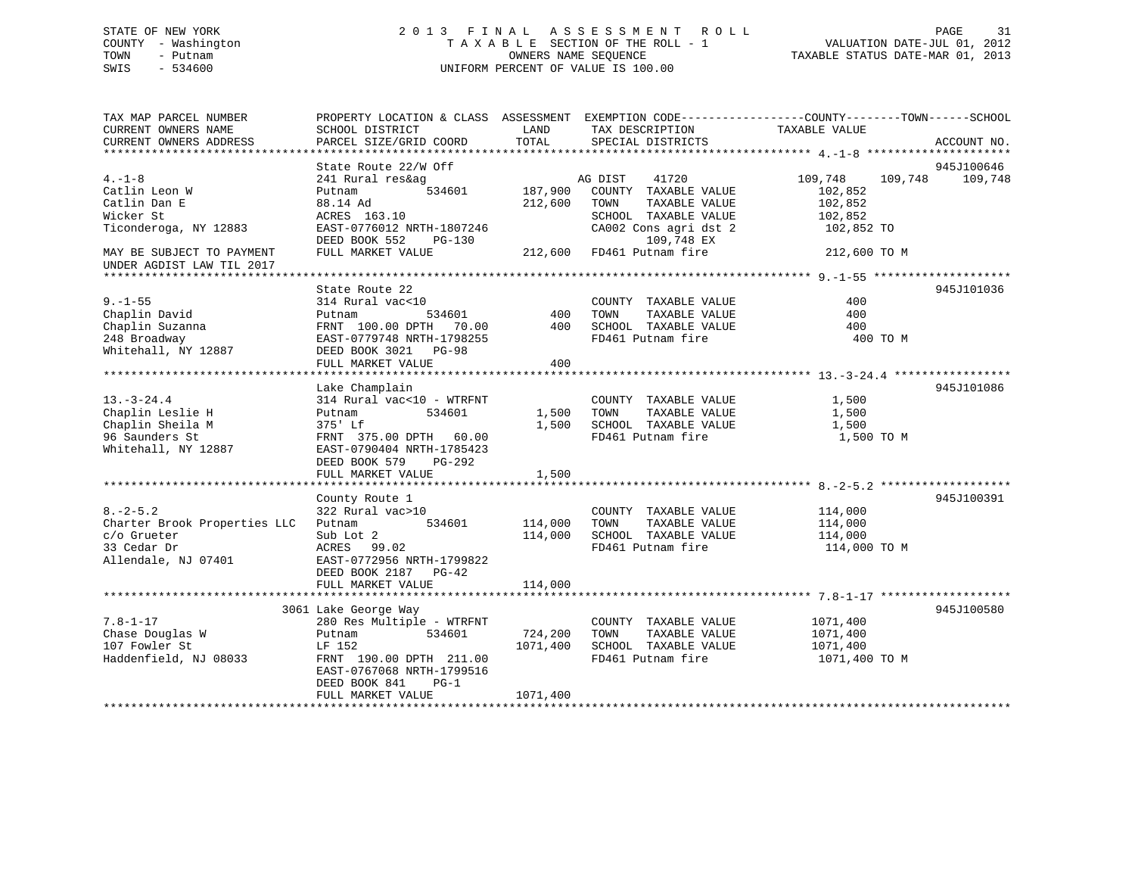# STATE OF NEW YORK 2 0 1 3 F I N A L A S S E S S M E N T R O L L PAGE 31 COUNTY - Washington T A X A B L E SECTION OF THE ROLL - 1 VALUATION DATE-JUL 01, 2012 TOWN - Putnam OWNERS NAME SEQUENCE TAXABLE STATUS DATE-MAR 01, 2013 SWIS - 534600 UNIFORM PERCENT OF VALUE IS 100.00

| TAX MAP PARCEL NUMBER<br>CURRENT OWNERS NAME<br>CURRENT OWNERS ADDRESS                              | PROPERTY LOCATION & CLASS ASSESSMENT EXEMPTION CODE----------------COUNTY-------TOWN-----SCHOOL<br>SCHOOL DISTRICT<br>PARCEL SIZE/GRID COORD                                            | LAND<br>TOTAL                   | TAX DESCRIPTION<br>SPECIAL DISTRICTS                                                                                             | TAXABLE VALUE                                                     | ACCOUNT NO.           |
|-----------------------------------------------------------------------------------------------------|-----------------------------------------------------------------------------------------------------------------------------------------------------------------------------------------|---------------------------------|----------------------------------------------------------------------------------------------------------------------------------|-------------------------------------------------------------------|-----------------------|
|                                                                                                     |                                                                                                                                                                                         |                                 |                                                                                                                                  |                                                                   |                       |
| $4. -1 - 8$<br>Catlin Leon W<br>Catlin Dan E<br>Wicker St<br>Ticonderoga, NY 12883                  | State Route 22/W Off<br>241 Rural res&ag<br>534601<br>Putnam<br>88.14 Ad<br>ACRES 163.10<br>EAST-0776012 NRTH-1807246<br>DEED BOOK 552<br>$PG-130$                                      | 187,900<br>212,600              | AG DIST<br>41720<br>COUNTY TAXABLE VALUE<br>TAXABLE VALUE<br>TOWN<br>SCHOOL TAXABLE VALUE<br>CA002 Cons agri dst 2<br>109,748 EX | 109,748<br>109,748<br>102,852<br>102,852<br>102,852<br>102,852 TO | 945J100646<br>109,748 |
| MAY BE SUBJECT TO PAYMENT<br>UNDER AGDIST LAW TIL 2017                                              | FULL MARKET VALUE                                                                                                                                                                       | 212,600                         | FD461 Putnam fire                                                                                                                | 212,600 TO M                                                      |                       |
| $9. - 1 - 55$<br>Chaplin David<br>Chaplin Suzanna<br>248 Broadway<br>Whitehall, NY 12887            | State Route 22<br>314 Rural vac<10<br>Putnam<br>534601<br>FRNT 100.00 DPTH 70.00<br>EAST-0779748 NRTH-1798255<br>DEED BOOK 3021<br><b>PG-98</b><br>FULL MARKET VALUE                    | 400<br>400<br>400               | COUNTY TAXABLE VALUE<br>TOWN<br>TAXABLE VALUE<br>SCHOOL TAXABLE VALUE<br>FD461 Putnam fire                                       | 400<br>400<br>400<br>400 TO M                                     | 945J101036            |
| $13. - 3 - 24.4$<br>Chaplin Leslie H<br>Chaplin Sheila M<br>96 Saunders St<br>Whitehall, NY 12887   | Lake Champlain<br>314 Rural vac<10 - WTRFNT<br>534601<br>Putnam<br>375' Lf<br>FRNT 375.00 DPTH 60.00<br>EAST-0790404 NRTH-1785423<br>DEED BOOK 579<br>PG-292                            | 1,500<br>1,500                  | COUNTY TAXABLE VALUE<br>TOWN<br>TAXABLE VALUE<br>SCHOOL TAXABLE VALUE<br>FD461 Putnam fire                                       | 1,500<br>1,500<br>1,500<br>1,500 TO M                             | 945J101086            |
|                                                                                                     | FULL MARKET VALUE                                                                                                                                                                       | 1,500                           |                                                                                                                                  |                                                                   |                       |
| $8. - 2 - 5.2$<br>Charter Brook Properties LLC<br>c/o Grueter<br>33 Cedar Dr<br>Allendale, NJ 07401 | County Route 1<br>322 Rural vac>10<br>534601<br>Putnam<br>Sub Lot 2<br>ACRES<br>99.02<br>EAST-0772956 NRTH-1799822<br>DEED BOOK 2187 PG-42<br>FULL MARKET VALUE                         | 114,000<br>114,000<br>114,000   | COUNTY TAXABLE VALUE<br>TAXABLE VALUE<br>TOWN<br>SCHOOL TAXABLE VALUE<br>FD461 Putnam fire                                       | 114,000<br>114,000<br>114,000<br>114,000 TO M                     | 945J100391            |
|                                                                                                     |                                                                                                                                                                                         |                                 |                                                                                                                                  |                                                                   |                       |
| $7.8 - 1 - 17$<br>Chase Douglas W<br>107 Fowler St<br>Haddenfield, NJ 08033                         | 3061 Lake George Way<br>280 Res Multiple - WTRFNT<br>Putnam<br>534601<br>LF 152<br>FRNT 190.00 DPTH 211.00<br>EAST-0767068 NRTH-1799516<br>DEED BOOK 841<br>$PG-1$<br>FULL MARKET VALUE | 724,200<br>1071,400<br>1071,400 | COUNTY TAXABLE VALUE<br>TAXABLE VALUE<br>TOWN<br>SCHOOL TAXABLE VALUE<br>FD461 Putnam fire                                       | 1071,400<br>1071,400<br>1071,400<br>1071,400 TO M                 | 945J100580            |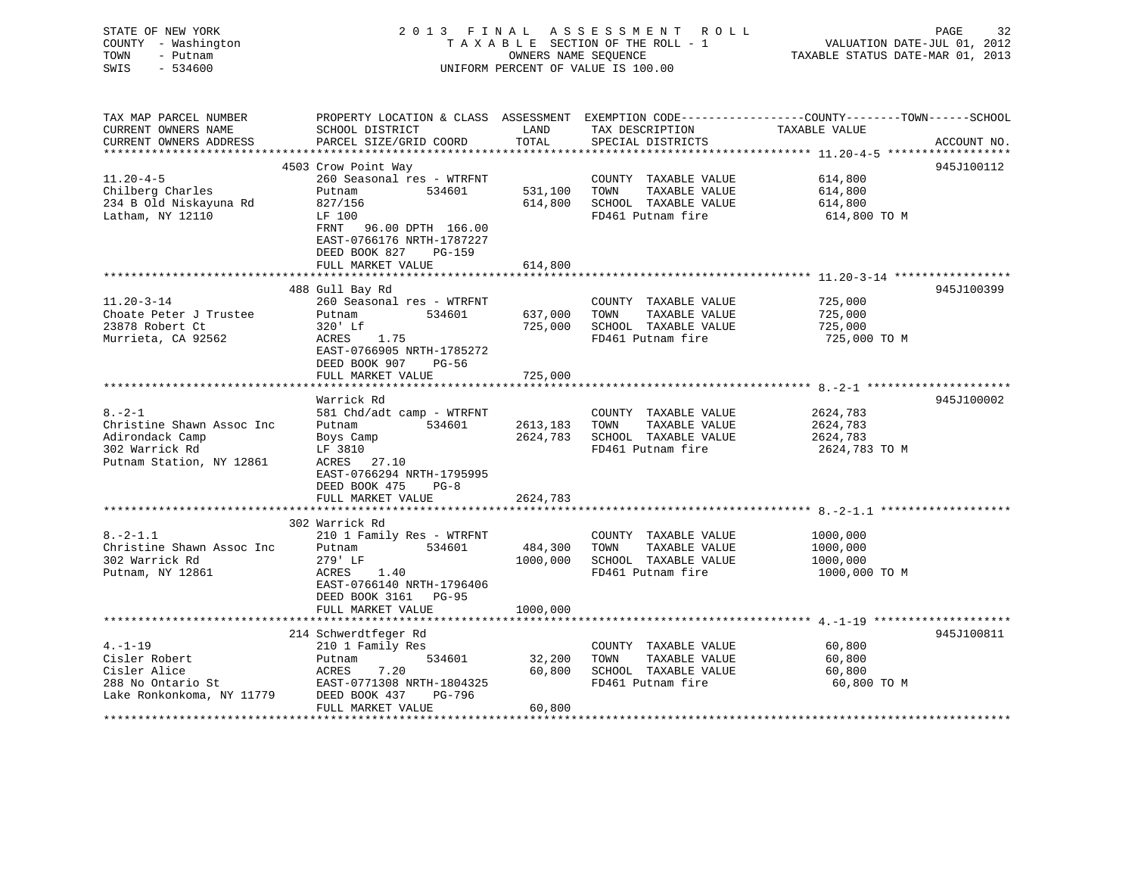| STATE OF NEW YORK<br>COUNTY - Washington<br>TOWN<br>- Putnam<br>$-534600$<br>SWIS |                                                                                |                  | 2013 FINAL ASSESSMENT ROLL<br>TAXABLE SECTION OF THE ROLL - 1<br>OWNERS NAME SEQUENCE<br>UNIFORM PERCENT OF VALUE IS 100.00 | PAGE<br>32<br>VALUATION DATE-JUL 01, 2012<br>TAXABLE STATUS DATE-MAR 01, 2013                                                    |
|-----------------------------------------------------------------------------------|--------------------------------------------------------------------------------|------------------|-----------------------------------------------------------------------------------------------------------------------------|----------------------------------------------------------------------------------------------------------------------------------|
| TAX MAP PARCEL NUMBER<br>CURRENT OWNERS NAME<br>CURRENT OWNERS ADDRESS            | SCHOOL DISTRICT<br>PARCEL SIZE/GRID COORD                                      | LAND<br>TOTAL    | TAX DESCRIPTION<br>SPECIAL DISTRICTS                                                                                        | PROPERTY LOCATION & CLASS ASSESSMENT EXEMPTION CODE----------------COUNTY-------TOWN------SCHOOL<br>TAXABLE VALUE<br>ACCOUNT NO. |
|                                                                                   |                                                                                |                  |                                                                                                                             |                                                                                                                                  |
|                                                                                   | 4503 Crow Point Way                                                            |                  |                                                                                                                             | 945J100112                                                                                                                       |
| $11.20 - 4 - 5$<br>Chilberg Charles                                               | 260 Seasonal res - WTRFNT<br>Putnam<br>534601                                  | 531,100          | COUNTY TAXABLE VALUE<br>TOWN<br>TAXABLE VALUE                                                                               | 614,800<br>614,800                                                                                                               |
| 234 B Old Niskayuna Rd                                                            | 827/156                                                                        | 614,800          | SCHOOL TAXABLE VALUE                                                                                                        | 614,800                                                                                                                          |
| Latham, NY 12110                                                                  | LF 100                                                                         |                  | FD461 Putnam fire                                                                                                           | 614,800 TO M                                                                                                                     |
|                                                                                   | FRNT 96.00 DPTH 166.00<br>EAST-0766176 NRTH-1787227<br>DEED BOOK 827<br>PG-159 |                  |                                                                                                                             |                                                                                                                                  |
|                                                                                   | FULL MARKET VALUE                                                              | 614,800          |                                                                                                                             |                                                                                                                                  |
|                                                                                   |                                                                                |                  |                                                                                                                             | 945J100399                                                                                                                       |
| $11.20 - 3 - 14$                                                                  | 488 Gull Bay Rd<br>260 Seasonal res - WTRFNT                                   |                  | COUNTY TAXABLE VALUE                                                                                                        | 725,000                                                                                                                          |
| Choate Peter J Trustee                                                            | Putnam<br>534601                                                               | 637,000          | TAXABLE VALUE<br>TOWN                                                                                                       | 725,000                                                                                                                          |
| 23878 Robert Ct                                                                   | 320' Lf                                                                        | 725,000          | SCHOOL TAXABLE VALUE                                                                                                        | 725,000                                                                                                                          |
| Murrieta, CA 92562                                                                | ACRES<br>1.75                                                                  |                  | FD461 Putnam fire                                                                                                           | 725,000 TO M                                                                                                                     |
|                                                                                   | EAST-0766905 NRTH-1785272                                                      |                  |                                                                                                                             |                                                                                                                                  |
|                                                                                   | DEED BOOK 907<br>PG-56                                                         |                  |                                                                                                                             |                                                                                                                                  |
|                                                                                   | FULL MARKET VALUE                                                              | 725,000          |                                                                                                                             |                                                                                                                                  |
|                                                                                   |                                                                                |                  |                                                                                                                             |                                                                                                                                  |
|                                                                                   | Warrick Rd                                                                     |                  |                                                                                                                             | 945J100002                                                                                                                       |
| $8. - 2 - 1$                                                                      | 581 Chd/adt camp - WTRFNT                                                      |                  | COUNTY TAXABLE VALUE                                                                                                        | 2624,783                                                                                                                         |
| Christine Shawn Assoc Inc                                                         | 534601<br>Putnam                                                               | 2613,183         | TOWN<br>TAXABLE VALUE                                                                                                       | 2624,783                                                                                                                         |
| Adirondack Camp                                                                   | Boys Camp                                                                      | 2624,783         | SCHOOL TAXABLE VALUE                                                                                                        | 2624,783                                                                                                                         |
| 302 Warrick Rd                                                                    | LF 3810                                                                        |                  | FD461 Putnam fire                                                                                                           | 2624,783 TO M                                                                                                                    |
| Putnam Station, NY 12861                                                          | ACRES 27.10                                                                    |                  |                                                                                                                             |                                                                                                                                  |
|                                                                                   | EAST-0766294 NRTH-1795995                                                      |                  |                                                                                                                             |                                                                                                                                  |
|                                                                                   | DEED BOOK 475<br>$PG-8$<br>FULL MARKET VALUE                                   |                  |                                                                                                                             |                                                                                                                                  |
|                                                                                   |                                                                                | 2624,783         |                                                                                                                             |                                                                                                                                  |
|                                                                                   | 302 Warrick Rd                                                                 |                  |                                                                                                                             |                                                                                                                                  |
| $8. -2 - 1.1$                                                                     | 210 1 Family Res - WTRFNT                                                      |                  | COUNTY TAXABLE VALUE                                                                                                        | 1000,000                                                                                                                         |
| Christine Shawn Assoc Inc                                                         | Putnam<br>534601                                                               | 484,300          | TAXABLE VALUE<br>TOWN                                                                                                       | 1000,000                                                                                                                         |
| 302 Warrick Rd                                                                    | 279' LF                                                                        | 1000,000         | SCHOOL TAXABLE VALUE                                                                                                        | 1000,000                                                                                                                         |
| Putnam, NY 12861                                                                  | ACRES<br>1.40                                                                  |                  | FD461 Putnam fire                                                                                                           | 1000,000 TO M                                                                                                                    |
|                                                                                   | EAST-0766140 NRTH-1796406                                                      |                  |                                                                                                                             |                                                                                                                                  |
|                                                                                   | DEED BOOK 3161 PG-95                                                           |                  |                                                                                                                             |                                                                                                                                  |
|                                                                                   | FULL MARKET VALUE                                                              | 1000,000         |                                                                                                                             |                                                                                                                                  |
|                                                                                   |                                                                                | **********       |                                                                                                                             |                                                                                                                                  |
|                                                                                   | 214 Schwerdtfeger Rd                                                           |                  |                                                                                                                             | 945J100811                                                                                                                       |
| $4. - 1 - 19$<br>Cisler Robert                                                    | 210 1 Family Res<br>534601                                                     |                  | COUNTY TAXABLE VALUE<br>TOWN<br>TAXABLE VALUE                                                                               | 60,800<br>60,800                                                                                                                 |
| Cisler Alice                                                                      | Putnam<br>ACRES<br>7.20                                                        | 32,200<br>60,800 | SCHOOL TAXABLE VALUE                                                                                                        | 60,800                                                                                                                           |
| 288 No Ontario St                                                                 | EAST-0771308 NRTH-1804325                                                      |                  | FD461 Putnam fire                                                                                                           | 60,800 TO M                                                                                                                      |
| Lake Ronkonkoma, NY 11779                                                         | DEED BOOK 437<br>PG-796                                                        |                  |                                                                                                                             |                                                                                                                                  |
|                                                                                   | סוו ואזו יחס שם גזו וחוס                                                       | GO QOO           |                                                                                                                             |                                                                                                                                  |

FULL MARKET VALUE 60,800 \*\*\*\*\*\*\*\*\*\*\*\*\*\*\*\*\*\*\*\*\*\*\*\*\*\*\*\*\*\*\*\*\*\*\*\*\*\*\*\*\*\*\*\*\*\*\*\*\*\*\*\*\*\*\*\*\*\*\*\*\*\*\*\*\*\*\*\*\*\*\*\*\*\*\*\*\*\*\*\*\*\*\*\*\*\*\*\*\*\*\*\*\*\*\*\*\*\*\*\*\*\*\*\*\*\*\*\*\*\*\*\*\*\*\*\*\*\*\*\*\*\*\*\*\*\*\*\*\*\*\*\*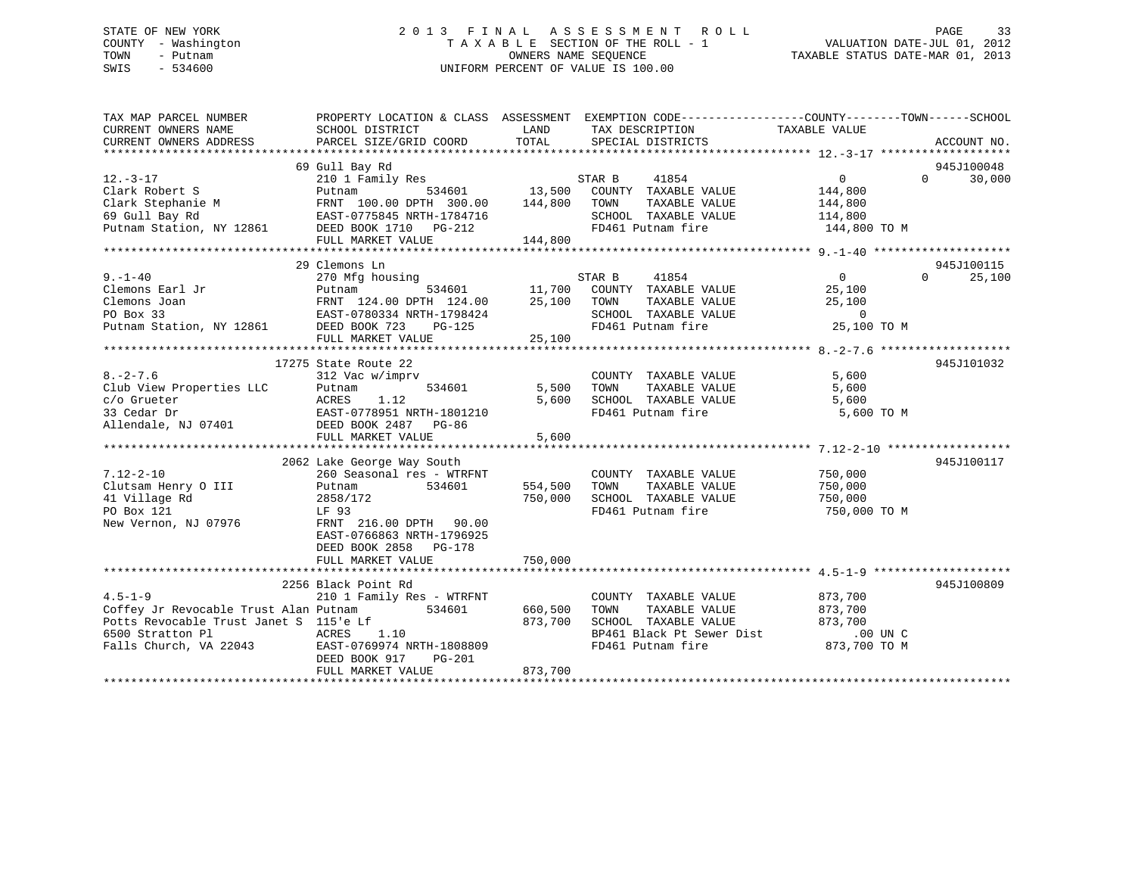# STATE OF NEW YORK 2 0 1 3 F I N A L A S S E S S M E N T R O L L PAGE 33 COUNTY - Washington T A X A B L E SECTION OF THE ROLL - 1 VALUATION DATE-JUL 01, 2012 TOWN - Putnam OWNERS NAME SEQUENCE TAXABLE STATUS DATE-MAR 01, 2013 SWIS - 534600 UNIFORM PERCENT OF VALUE IS 100.00

| TAX MAP PARCEL NUMBER<br>CURRENT OWNERS NAME                                                                                                          | PROPERTY LOCATION & CLASS ASSESSMENT EXEMPTION CODE----------------COUNTY-------TOWN------SCHOOL<br>SCHOOL DISTRICT | LAND    | TAX DESCRIPTION                                            | TAXABLE VALUE  |                    |
|-------------------------------------------------------------------------------------------------------------------------------------------------------|---------------------------------------------------------------------------------------------------------------------|---------|------------------------------------------------------------|----------------|--------------------|
| CURRENT OWNERS ADDRESS                                                                                                                                | PARCEL SIZE/GRID COORD                                                                                              | TOTAL   | SPECIAL DISTRICTS                                          |                | ACCOUNT NO.        |
|                                                                                                                                                       |                                                                                                                     |         |                                                            |                |                    |
|                                                                                                                                                       | 69 Gull Bay Rd                                                                                                      |         |                                                            |                | 945J100048         |
| $12. - 3 - 17$                                                                                                                                        | 210 1 Family Res 534601 534601 534601 13,500                                                                        |         | STAR B<br>41854                                            | $\overline{0}$ | 30,000<br>$\Omega$ |
| Clark Robert S                                                                                                                                        |                                                                                                                     |         | COUNTY TAXABLE VALUE                                       | 144,800        |                    |
|                                                                                                                                                       |                                                                                                                     |         | TOWN<br>TAXABLE VALUE                                      | 144,800        |                    |
| Clark Stephanie M<br>69 Gull Bay Rd<br>FRNT 100.00 DPTH 300.00 144,800<br>FAST-0775845 NRTH-1784716<br>Putnam Station, NY 12861 DEED BOOK 1710 PG-212 |                                                                                                                     |         | SCHOOL TAXABLE VALUE                                       | 114,800        |                    |
|                                                                                                                                                       |                                                                                                                     |         | FD461 Putnam fire                                          | 144,800 TO M   |                    |
|                                                                                                                                                       | FULL MARKET VALUE                                                                                                   | 144,800 |                                                            |                |                    |
|                                                                                                                                                       |                                                                                                                     |         |                                                            |                |                    |
|                                                                                                                                                       | 29 Clemons Ln                                                                                                       |         |                                                            |                | 945J100115         |
| $9. - 1 - 40$                                                                                                                                         | 270 Mfg housing                                                                                                     |         | STAR B<br>41854                                            | $\overline{0}$ | $\Omega$<br>25,100 |
| Clemons Earl Jr                                                                                                                                       | 534601 11,700<br>Jr Putnam 534601<br>FRNT 124.00 DPTH 124.00<br>EAST-0780334 NRTH-1798424                           |         | COUNTY TAXABLE VALUE                                       | 25,100         |                    |
| Clemons Joan                                                                                                                                          |                                                                                                                     | 25,100  | TOWN       TAXABLE  VALUE<br>SCHOOL    TAXABLE  VALUE      | 25,100         |                    |
| PO Box 33                                                                                                                                             |                                                                                                                     |         |                                                            | $\overline{0}$ |                    |
| Putnam Station, NY 12861 DEED BOOK 723                                                                                                                | PG-125                                                                                                              |         | FD461 Putnam fire                                          | 25,100 TO M    |                    |
|                                                                                                                                                       | FULL MARKET VALUE                                                                                                   | 25,100  |                                                            |                |                    |
|                                                                                                                                                       |                                                                                                                     |         |                                                            |                |                    |
|                                                                                                                                                       | 17275 State Route 22                                                                                                |         |                                                            |                | 945J101032         |
| $8. - 2 - 7.6$                                                                                                                                        | 312 Vac w/imprv                                                                                                     |         | COUNTY TAXABLE VALUE                                       | 5,600          |                    |
| Club View Properties LLC                                                                                                                              | 534601<br>Putnam                                                                                                    | 5,500   | TOWN<br>TAXABLE VALUE                                      | 5,600          |                    |
| c/o Grueter                                                                                                                                           | 1.12<br>ACRES 1.12<br>EAST-0778951 NRTH-1801210<br>DEED BOOK 2487 PG-86                                             | 5,600   | SCHOOL TAXABLE VALUE 5,600<br>FD461 Putnam fire 5,600 TO M |                |                    |
| 33 Cedar Dr                                                                                                                                           |                                                                                                                     |         |                                                            |                |                    |
| Allendale, NJ 07401                                                                                                                                   |                                                                                                                     |         |                                                            |                |                    |
|                                                                                                                                                       | FULL MARKET VALUE                                                                                                   | 5,600   |                                                            |                |                    |
|                                                                                                                                                       |                                                                                                                     |         |                                                            |                |                    |
|                                                                                                                                                       | 2062 Lake George Way South                                                                                          |         |                                                            |                | 945J100117         |
| $7.12 - 2 - 10$                                                                                                                                       | 260 Seasonal res - WTRFNT                                                                                           |         | COUNTY TAXABLE VALUE                                       | 750,000        |                    |
| Clutsam Henry O III                                                                                                                                   | Putnam<br>534601                                                                                                    | 554,500 | TAXABLE VALUE<br>TOWN                                      | 750,000        |                    |
| 41 Village Rd                                                                                                                                         | 2858/172                                                                                                            | 750,000 | SCHOOL TAXABLE VALUE                                       | 750,000        |                    |
| PO Box 121                                                                                                                                            | LF 93                                                                                                               |         | FD461 Putnam fire                                          | 750,000 TO M   |                    |
| New Vernon, NJ 07976                                                                                                                                  | FRNT 216.00 DPTH 90.00                                                                                              |         |                                                            |                |                    |
|                                                                                                                                                       | EAST-0766863 NRTH-1796925                                                                                           |         |                                                            |                |                    |
|                                                                                                                                                       | DEED BOOK 2858 PG-178                                                                                               |         |                                                            |                |                    |
|                                                                                                                                                       | FULL MARKET VALUE                                                                                                   | 750,000 |                                                            |                |                    |
|                                                                                                                                                       |                                                                                                                     |         |                                                            |                |                    |
|                                                                                                                                                       | 2256 Black Point Rd                                                                                                 |         |                                                            |                | 945J100809         |
| $4.5 - 1 - 9$                                                                                                                                         | 210 1 Family Res - WTRFNT                                                                                           |         | COUNTY TAXABLE VALUE                                       | 873,700        |                    |
| Coffey Jr Revocable Trust Alan Putnam                                                                                                                 | 534601                                                                                                              | 660,500 | TOWN<br>TAXABLE VALUE                                      | 873,700        |                    |
| Potts Revocable Trust Janet S 115'e Lf                                                                                                                |                                                                                                                     | 873,700 | SCHOOL TAXABLE VALUE                                       | 873,700        |                    |
| 6500 Stratton Pl                                                                                                                                      | ACRES 1.10                                                                                                          |         | BP461 Black Pt Sewer Dist                                  | $.00$ UN C     |                    |
| Falls Church, VA 22043 EAST-0769974 NRTH-1808809                                                                                                      |                                                                                                                     |         | FD461 Putnam fire                                          | 873,700 TO M   |                    |
|                                                                                                                                                       | DEED BOOK 917<br>PG-201                                                                                             |         |                                                            |                |                    |
|                                                                                                                                                       | FULL MARKET VALUE                                                                                                   | 873,700 |                                                            |                |                    |
|                                                                                                                                                       |                                                                                                                     |         |                                                            |                |                    |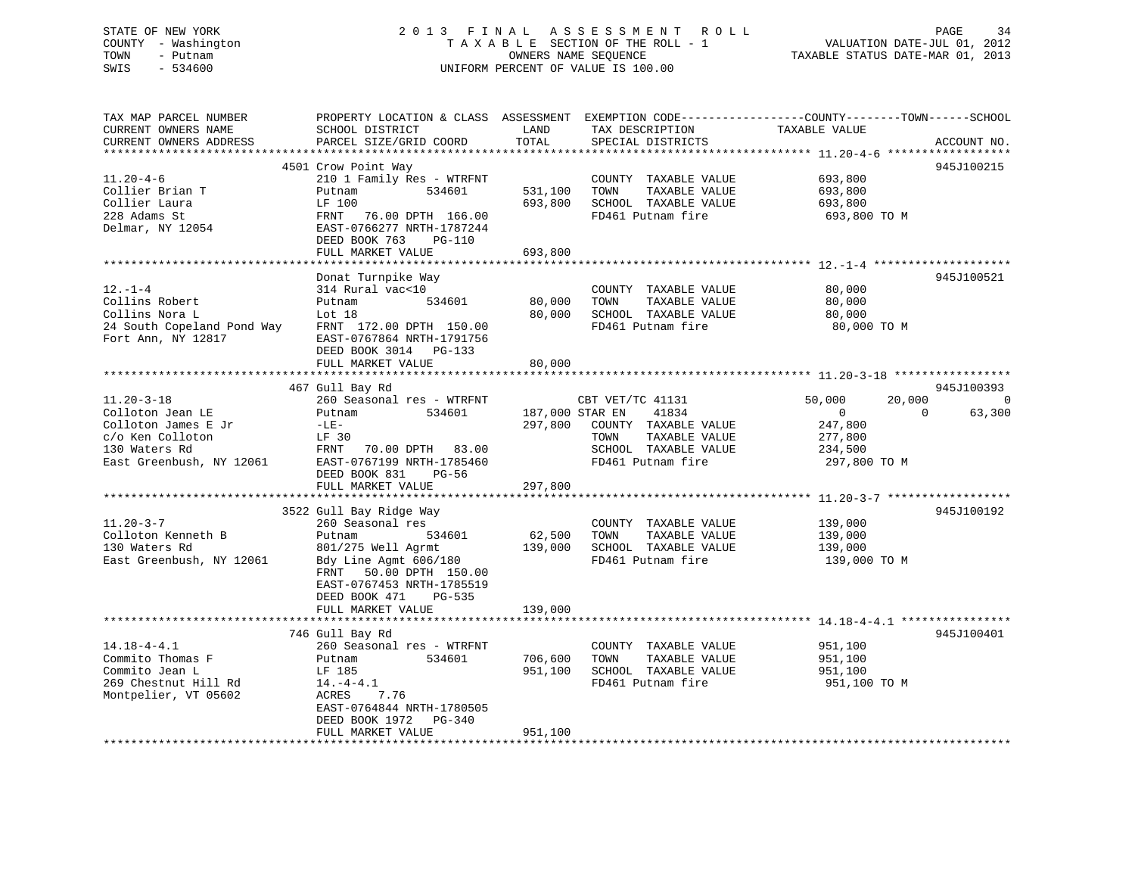# STATE OF NEW YORK 2 0 1 3 F I N A L A S S E S S M E N T R O L L PAGE 34 COUNTY - Washington T A X A B L E SECTION OF THE ROLL - 1 VALUATION DATE-JUL 01, 2012 TOWN - Putnam **CONNERS NAME SEQUENCE** TAXABLE STATUS DATE-MAR 01, 2013 SWIS - 534600 UNIFORM PERCENT OF VALUE IS 100.00

| TAX MAP PARCEL NUMBER<br>CURRENT OWNERS NAME<br>CURRENT OWNERS ADDRESS<br>***********************                            | SCHOOL DISTRICT<br>PARCEL SIZE/GRID COORD                                                                                                                                                       | LAND<br>TOTAL                         | TAX DESCRIPTION<br>SPECIAL DISTRICTS                                                                                    | PROPERTY LOCATION & CLASS ASSESSMENT EXEMPTION CODE---------------COUNTY-------TOWN-----SCHOOL<br>TAXABLE VALUE<br>ACCOUNT NO. |
|------------------------------------------------------------------------------------------------------------------------------|-------------------------------------------------------------------------------------------------------------------------------------------------------------------------------------------------|---------------------------------------|-------------------------------------------------------------------------------------------------------------------------|--------------------------------------------------------------------------------------------------------------------------------|
| $11.20 - 4 - 6$<br>Collier Brian T<br>Collier Laura<br>228 Adams St<br>Delmar, NY 12054                                      | 4501 Crow Point Way<br>210 1 Family Res - WTRFNT<br>534601<br>Putnam<br>LF 100<br>FRNT<br>76.00 DPTH 166.00<br>EAST-0766277 NRTH-1787244<br>DEED BOOK 763<br>PG-110<br>FULL MARKET VALUE        | 531,100<br>693,800<br>693,800         | COUNTY TAXABLE VALUE<br>TOWN<br>TAXABLE VALUE<br>SCHOOL TAXABLE VALUE<br>FD461 Putnam fire                              | 945J100215<br>693,800<br>693,800<br>693,800<br>693,800 TO M                                                                    |
|                                                                                                                              |                                                                                                                                                                                                 |                                       |                                                                                                                         |                                                                                                                                |
| $12. - 1 - 4$<br>Collins Robert<br>Collins Nora L<br>24 South Copeland Pond Way<br>Fort Ann, NY 12817                        | Donat Turnpike Way<br>314 Rural vac<10<br>534601<br>Putnam<br>Lot 18<br>FRNT 172.00 DPTH 150.00<br>EAST-0767864 NRTH-1791756<br>DEED BOOK 3014 PG-133                                           | 80,000<br>80,000                      | COUNTY TAXABLE VALUE<br>TOWN<br>TAXABLE VALUE<br>SCHOOL TAXABLE VALUE<br>FD461 Putnam fire                              | 945J100521<br>80,000<br>80,000<br>80,000<br>80,000 TO M                                                                        |
|                                                                                                                              | FULL MARKET VALUE                                                                                                                                                                               | 80,000                                |                                                                                                                         |                                                                                                                                |
|                                                                                                                              |                                                                                                                                                                                                 |                                       |                                                                                                                         |                                                                                                                                |
|                                                                                                                              | 467 Gull Bay Rd                                                                                                                                                                                 |                                       |                                                                                                                         | 945J100393                                                                                                                     |
| $11.20 - 3 - 18$<br>Colloton Jean LE<br>Colloton James E Jr<br>c/o Ken Colloton<br>130 Waters Rd<br>East Greenbush, NY 12061 | 260 Seasonal res - WTRFNT<br>Putnam<br>534601<br>$-LE-$<br>LF 30<br>FRNT 70.00 DPTH 83.00<br>EAST-0767199 NRTH-1785460<br>DEED BOOK 831<br>$PG-56$<br>FULL MARKET VALUE                         | 187,000 STAR EN<br>297,800<br>297,800 | CBT VET/TC 41131<br>41834<br>COUNTY TAXABLE VALUE<br>TAXABLE VALUE<br>TOWN<br>SCHOOL TAXABLE VALUE<br>FD461 Putnam fire | 50,000<br>20,000<br>$\Omega$<br>63,300<br>$\Omega$<br>$\Omega$<br>247,800<br>277,800<br>234,500<br>297,800 TO M                |
|                                                                                                                              | 3522 Gull Bay Ridge Way                                                                                                                                                                         |                                       |                                                                                                                         | 945J100192                                                                                                                     |
| $11.20 - 3 - 7$<br>Colloton Kenneth B<br>130 Waters Rd<br>East Greenbush, NY 12061                                           | 260 Seasonal res<br>534601<br>Putnam<br>801/275 Well Agrmt<br>Bdy Line Agmt 606/180<br>50.00 DPTH 150.00<br>FRNT<br>EAST-0767453 NRTH-1785519<br>DEED BOOK 471<br>PG-535                        | 62,500<br>139,000                     | COUNTY TAXABLE VALUE<br>TOWN<br>TAXABLE VALUE<br>SCHOOL TAXABLE VALUE<br>FD461 Putnam fire                              | 139,000<br>139,000<br>139,000<br>139,000 TO M                                                                                  |
|                                                                                                                              | FULL MARKET VALUE                                                                                                                                                                               | 139,000                               |                                                                                                                         |                                                                                                                                |
|                                                                                                                              |                                                                                                                                                                                                 |                                       |                                                                                                                         |                                                                                                                                |
| $14.18 - 4 - 4.1$<br>Commito Thomas F<br>Commito Jean L<br>269 Chestnut Hill Rd<br>Montpelier, VT 05602                      | 746 Gull Bay Rd<br>260 Seasonal res - WTRFNT<br>534601<br>Putnam<br>LF 185<br>$14.-4-4.1$<br><b>ACRES</b><br>7.76<br>EAST-0764844 NRTH-1780505<br>DEED BOOK 1972<br>PG-340<br>FULL MARKET VALUE | 706,600<br>951,100<br>951,100         | COUNTY TAXABLE VALUE<br>TOWN<br>TAXABLE VALUE<br>SCHOOL TAXABLE VALUE<br>FD461 Putnam fire                              | 945J100401<br>951,100<br>951,100<br>951,100<br>951,100 TO M                                                                    |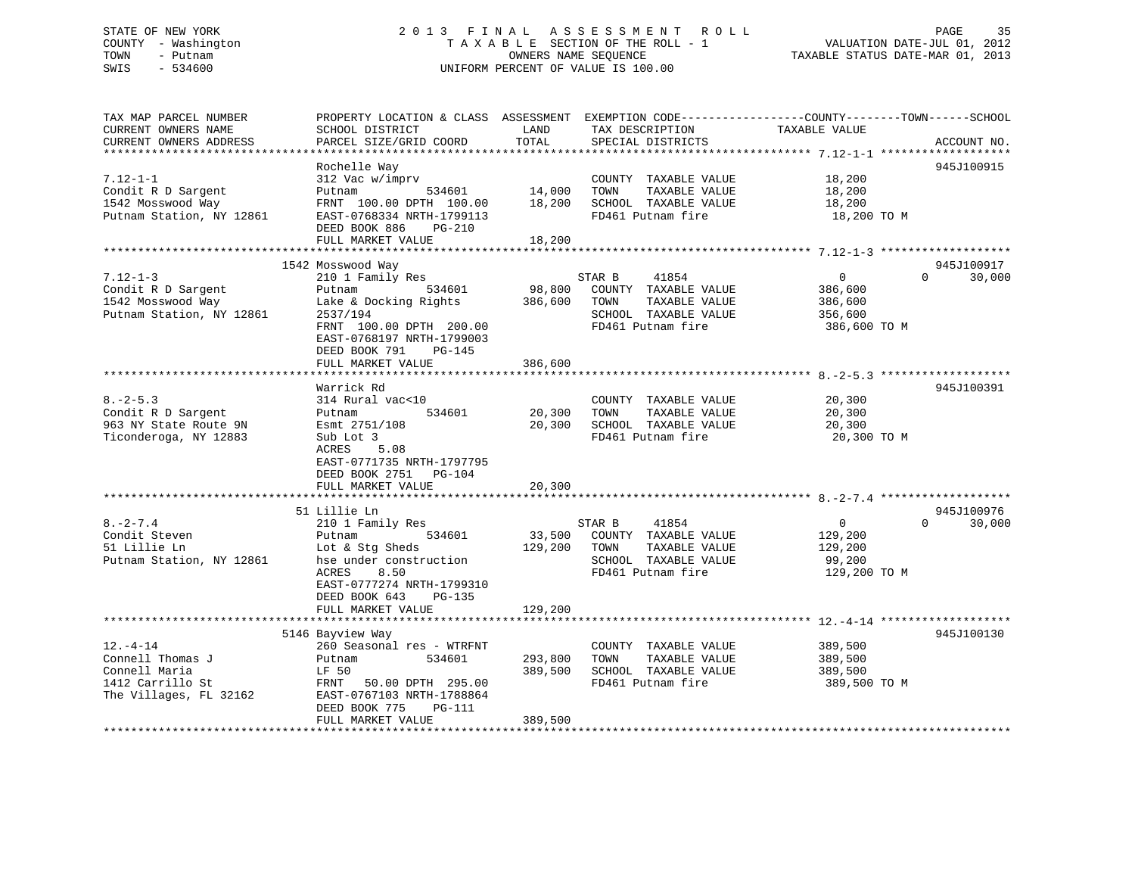# STATE OF NEW YORK 2 0 1 3 F I N A L A S S E S S M E N T R O L L PAGE 35 COUNTY - Washington T A X A B L E SECTION OF THE ROLL - 1 VALUATION DATE-JUL 01, 2012 TOWN - Putnam OWNERS NAME SEQUENCE TAXABLE STATUS DATE-MAR 01, 2013 SWIS - 534600 UNIFORM PERCENT OF VALUE IS 100.00

| TAX MAP PARCEL NUMBER<br>CURRENT OWNERS NAME<br>CURRENT OWNERS ADDRESS                            | PROPERTY LOCATION & CLASS ASSESSMENT EXEMPTION CODE---------------COUNTY-------TOWN-----SCHOOL<br>SCHOOL DISTRICT<br>PARCEL SIZE/GRID COORD                    | LAND<br>TOTAL              | TAX DESCRIPTION<br>SPECIAL DISTRICTS                                                                          | TAXABLE VALUE                                                   | ACCOUNT NO.                      |
|---------------------------------------------------------------------------------------------------|----------------------------------------------------------------------------------------------------------------------------------------------------------------|----------------------------|---------------------------------------------------------------------------------------------------------------|-----------------------------------------------------------------|----------------------------------|
|                                                                                                   |                                                                                                                                                                |                            |                                                                                                               |                                                                 |                                  |
| $7.12 - 1 - 1$<br>Condit R D Sargent<br>1542 Mosswood Way<br>Putnam Station, NY 12861             | Rochelle Way<br>312 Vac w/imprv<br>Putnam<br>534601<br>FRNT 100.00 DPTH 100.00<br>EAST-0768334 NRTH-1799113<br>DEED BOOK 886<br>$PG-210$                       | 14,000<br>18,200           | COUNTY TAXABLE VALUE<br>TOWN<br>TAXABLE VALUE<br>SCHOOL TAXABLE VALUE<br>FD461 Putnam fire                    | 18,200<br>18,200<br>18,200<br>18,200 TO M                       | 945J100915                       |
|                                                                                                   | FULL MARKET VALUE                                                                                                                                              | 18,200                     |                                                                                                               |                                                                 |                                  |
|                                                                                                   | *************************                                                                                                                                      | ************               |                                                                                                               |                                                                 |                                  |
|                                                                                                   | 1542 Mosswood Way                                                                                                                                              |                            |                                                                                                               |                                                                 | 945J100917                       |
| $7.12 - 1 - 3$<br>Condit R D Sargent<br>1542 Mosswood Way<br>Putnam Station, NY 12861             | 210 1 Family Res<br>Putnam<br>534601<br>Lake & Docking Rights<br>2537/194<br>FRNT 100.00 DPTH 200.00<br>EAST-0768197 NRTH-1799003<br>DEED BOOK 791<br>PG-145   | 98,800<br>386,600          | STAR B<br>41854<br>COUNTY TAXABLE VALUE<br>TOWN<br>TAXABLE VALUE<br>SCHOOL TAXABLE VALUE<br>FD461 Putnam fire | $\overline{0}$<br>386,600<br>386,600<br>356,600<br>386,600 TO M | $\Omega$<br>30,000               |
|                                                                                                   | FULL MARKET VALUE                                                                                                                                              | 386,600                    |                                                                                                               |                                                                 |                                  |
|                                                                                                   | Warrick Rd                                                                                                                                                     |                            |                                                                                                               |                                                                 | 945J100391                       |
| $8. - 2 - 5.3$<br>Condit R D Sargent<br>963 NY State Route 9N<br>Ticonderoga, NY 12883            | 314 Rural vac<10<br>534601<br>Putnam<br>Esmt 2751/108<br>Sub Lot 3<br>ACRES<br>5.08<br>EAST-0771735 NRTH-1797795<br>DEED BOOK 2751 PG-104<br>FULL MARKET VALUE | 20,300<br>20,300<br>20,300 | COUNTY TAXABLE VALUE<br>TOWN<br>TAXABLE VALUE<br>SCHOOL TAXABLE VALUE<br>FD461 Putnam fire                    | 20,300<br>20,300<br>20,300<br>20,300 TO M                       |                                  |
|                                                                                                   |                                                                                                                                                                |                            |                                                                                                               |                                                                 |                                  |
| $8. -2 - 7.4$<br>Condit Steven<br>51 Lillie Ln<br>Putnam Station, NY 12861                        | 51 Lillie Ln<br>210 1 Family Res<br>534601<br>Putnam<br>Lot & Stg Sheds<br>hse under construction<br>ACRES<br>8.50<br>EAST-0777274 NRTH-1799310                | 33,500<br>129,200          | STAR B<br>41854<br>COUNTY TAXABLE VALUE<br>TOWN<br>TAXABLE VALUE<br>SCHOOL TAXABLE VALUE<br>FD461 Putnam fire | $\overline{0}$<br>129,200<br>129,200<br>99,200<br>129,200 TO M  | 945J100976<br>30,000<br>$\Omega$ |
|                                                                                                   | DEED BOOK 643<br>PG-135<br>FULL MARKET VALUE                                                                                                                   | 129,200                    |                                                                                                               |                                                                 |                                  |
|                                                                                                   | 5146 Bayview Way                                                                                                                                               |                            |                                                                                                               |                                                                 | 945J100130                       |
| $12. - 4 - 14$<br>Connell Thomas J<br>Connell Maria<br>1412 Carrillo St<br>The Villages, FL 32162 | 260 Seasonal res - WTRFNT<br>534601<br>Putnam<br>LF 50<br>FRNT 50.00 DPTH 295.00<br>EAST-0767103 NRTH-1788864<br>DEED BOOK 775<br>PG-111                       | 293,800<br>389,500         | COUNTY TAXABLE VALUE<br>TAXABLE VALUE<br>TOWN<br>SCHOOL TAXABLE VALUE<br>FD461 Putnam fire                    | 389,500<br>389,500<br>389,500<br>389,500 TO M                   |                                  |
|                                                                                                   | FULL MARKET VALUE                                                                                                                                              | 389,500                    |                                                                                                               |                                                                 |                                  |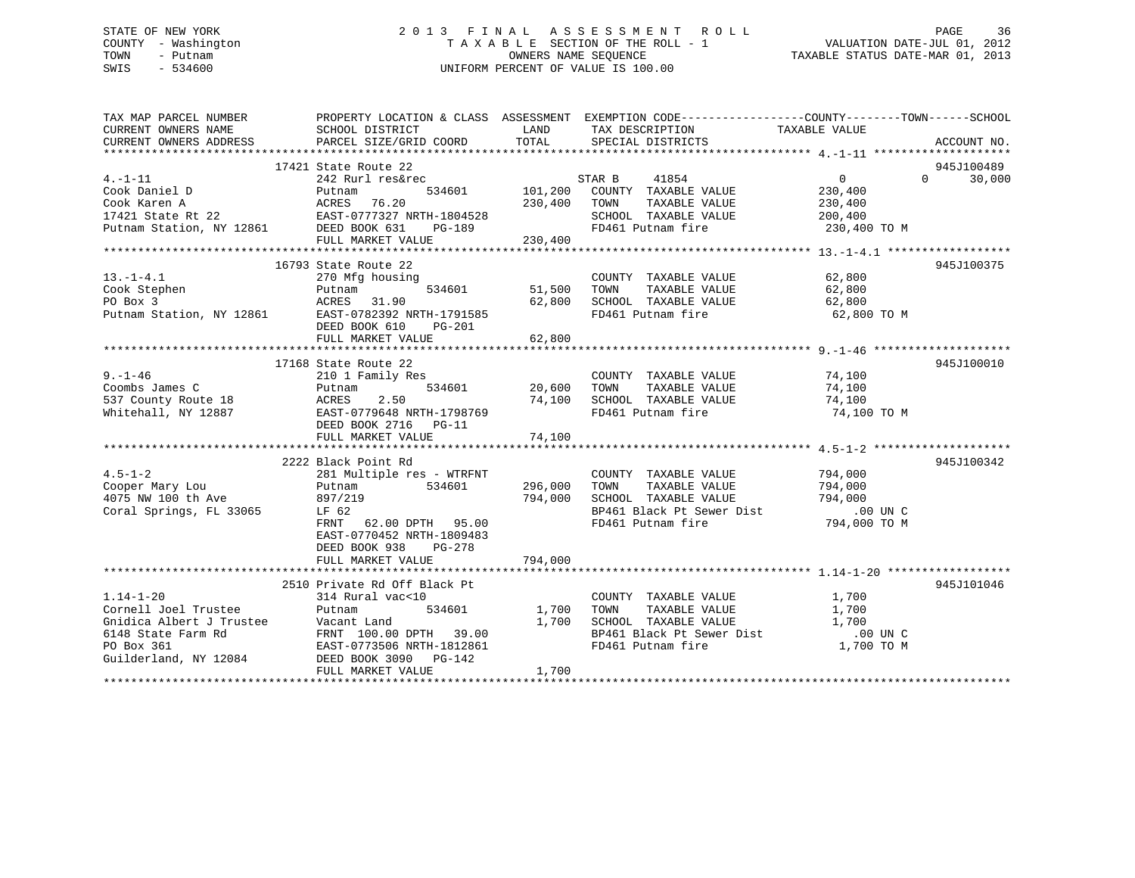# STATE OF NEW YORK 2 0 1 3 F I N A L A S S E S S M E N T R O L L PAGE 36 COUNTY - Washington T A X A B L E SECTION OF THE ROLL - 1 VALUATION DATE-JUL 01, 2012 TOWN - Putnam **CONNERS NAME SEQUENCE** TAXABLE STATUS DATE-MAR 01, 2013 SWIS - 534600 UNIFORM PERCENT OF VALUE IS 100.00

| TAX MAP PARCEL NUMBER<br>CURRENT OWNERS NAME                    | PROPERTY LOCATION & CLASS ASSESSMENT EXEMPTION CODE----------------COUNTY-------TOWN-----SCHOOL<br>SCHOOL DISTRICT | LAND          | TAX DESCRIPTION                                | TAXABLE VALUE            |                    |
|-----------------------------------------------------------------|--------------------------------------------------------------------------------------------------------------------|---------------|------------------------------------------------|--------------------------|--------------------|
| CURRENT OWNERS ADDRESS                                          | PARCEL SIZE/GRID COORD                                                                                             | TOTAL         | SPECIAL DISTRICTS                              |                          | ACCOUNT NO.        |
|                                                                 | 17421 State Route 22                                                                                               |               |                                                |                          | 945J100489         |
| $4. -1 - 11$                                                    | 242 Rurl res&rec                                                                                                   |               | 41854<br>STAR B                                | 0                        | $\Omega$<br>30,000 |
| Cook Daniel D                                                   | 534601<br>Putnam                                                                                                   | 101,200       | COUNTY TAXABLE VALUE                           | 230,400                  |                    |
|                                                                 | 76.20                                                                                                              | 230,400       | TOWN<br>TAXABLE VALUE                          | 230,400                  |                    |
|                                                                 |                                                                                                                    |               | SCHOOL TAXABLE VALUE                           | 200,400                  |                    |
|                                                                 | $PG-189$                                                                                                           |               | FD461 Putnam fire                              | 230,400 TO M             |                    |
|                                                                 | FULL MARKET VALUE                                                                                                  | 230,400       |                                                |                          |                    |
|                                                                 |                                                                                                                    |               |                                                |                          |                    |
|                                                                 | 16793 State Route 22                                                                                               |               |                                                |                          | 945J100375         |
| $13.-1-4.1$                                                     | 270 Mfg housing                                                                                                    |               | COUNTY TAXABLE VALUE                           | 62,800                   |                    |
| Cook Stephen                                                    | Putnam                                                                                                             | 534601 51,500 | TAXABLE VALUE<br>TOWN                          | 62,800                   |                    |
| PO Box 3                                                        | ACRES 31.90                                                                                                        | 62,800        | SCHOOL TAXABLE VALUE                           | 62,800                   |                    |
|                                                                 | Putnam Station, NY 12861 EAST-0782392 NRTH-1791585                                                                 |               | FD461 Putnam fire                              | 62,800 TO M              |                    |
|                                                                 | DEED BOOK 610<br>PG-201                                                                                            |               |                                                |                          |                    |
|                                                                 | FULL MARKET VALUE                                                                                                  | 62,800        |                                                |                          |                    |
|                                                                 | 17168 State Route 22                                                                                               |               |                                                |                          | 945J100010         |
| $9. - 1 - 46$                                                   | 210 1 Family Res                                                                                                   |               | COUNTY TAXABLE VALUE 74,100                    |                          |                    |
| Coombs James C                                                  | 534601<br>Putnam                                                                                                   | 20,600        | TOWN<br>TAXABLE VALUE                          | 74,100                   |                    |
| 537 County Route 18                                             | 2.50<br>ACRES                                                                                                      | 74,100        | SCHOOL TAXABLE VALUE                           | 74,100                   |                    |
| Whitehall, NY 12887                                             | EAST-0779648 NRTH-1798769                                                                                          |               | FD461 Putnam fire                              | 74,100 TO M              |                    |
|                                                                 | DEED BOOK 2716 PG-11                                                                                               |               |                                                |                          |                    |
|                                                                 | FULL MARKET VALUE                                                                                                  | 74,100        |                                                |                          |                    |
|                                                                 |                                                                                                                    |               |                                                |                          |                    |
|                                                                 | 2222 Black Point Rd                                                                                                |               |                                                |                          | 945J100342         |
| $4.5 - 1 - 2$                                                   | 281 Multiple res - WTRFNT                                                                                          |               | COUNTY TAXABLE VALUE                           | 794,000                  |                    |
| Cooper Mary Lou                                                 | Putnam<br>534601                                                                                                   | 296,000       | TAXABLE VALUE<br>TOWN                          | 794,000                  |                    |
| 4075 NW 100 th Ave                                              | 897/219                                                                                                            | 794,000       | SCHOOL TAXABLE VALUE                           | 794,000                  |                    |
| Coral Springs, FL 33065                                         | LF 62                                                                                                              |               | BP461 Black Pt Sewer Dist                      | 00 UN C.<br>794,000 TO M |                    |
|                                                                 | FRNT 62.00 DPTH 95.00                                                                                              |               | FD461 Putnam fire                              |                          |                    |
|                                                                 | EAST-0770452 NRTH-1809483                                                                                          |               |                                                |                          |                    |
|                                                                 | DEED BOOK 938<br>PG-278                                                                                            |               |                                                |                          |                    |
|                                                                 | FULL MARKET VALUE                                                                                                  | 794,000       |                                                |                          |                    |
|                                                                 |                                                                                                                    |               |                                                |                          |                    |
|                                                                 | 2510 Private Rd Off Black Pt                                                                                       |               |                                                |                          | 945J101046         |
| $1.14 - 1 - 20$                                                 | 314 Rural vac<10                                                                                                   |               | COUNTY TAXABLE VALUE                           | 1,700                    |                    |
| Cornell Joel Trustee                                            | 534601<br>Putnam                                                                                                   | 1,700         | TAXABLE VALUE<br>TOWN                          | 1,700                    |                    |
| Gnidica Albert J Trustee<br>6148 State Farm Rd<br>52. Part of J | Vacant Land                                                                                                        | 1,700         | SCHOOL TAXABLE VALUE                           | 1,700                    |                    |
|                                                                 | FRNT 100.00 DPTH 39.00                                                                                             |               | BP461 Black Pt Sewer Dist<br>FD461 Putnam fire | .00 UN C                 |                    |
| PO Box 361<br>Guilderland, NY 12084                             | EAST-0773506 NRTH-1812861<br>DEED BOOK 3090 PG-142                                                                 |               |                                                | 1,700 TO M               |                    |
|                                                                 | FULL MARKET VALUE                                                                                                  | 1,700         |                                                |                          |                    |
|                                                                 |                                                                                                                    |               |                                                |                          |                    |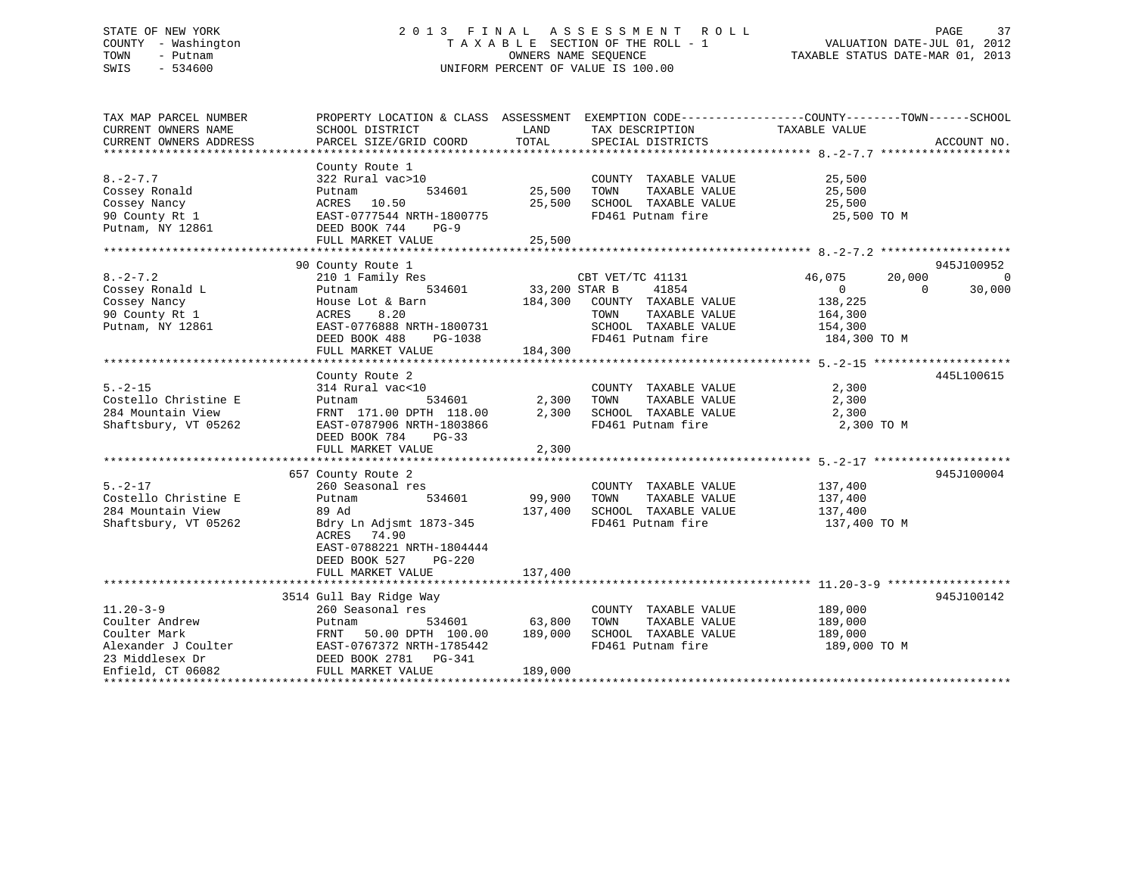## STATE OF NEW YORK 2 0 1 3 F I N A L A S S E S S M E N T R O L L PAGE 37 COUNTY - Washington T A X A B L E SECTION OF THE ROLL - 1 VALUATION DATE-JUL 01, 2012 TOWN - Putnam OWNERS NAME SEQUENCE TAXABLE STATUS DATE-MAR 01, 2013 SWIS - 534600 UNIFORM PERCENT OF VALUE IS 100.00

| TAX MAP PARCEL NUMBER<br>CURRENT OWNERS NAME<br>CURRENT OWNERS ADDRESS                 | PROPERTY LOCATION & CLASS ASSESSMENT EXEMPTION CODE---------------COUNTY-------TOWN-----SCHOOL<br>SCHOOL DISTRICT<br>PARCEL SIZE/GRID COORD                                                                                                                                                                                        | LAND<br>TOTAL                              | TAX DESCRIPTION<br>SPECIAL DISTRICTS                                                                                                    | TAXABLE VALUE                                                            | ACCOUNT NO.                                        |
|----------------------------------------------------------------------------------------|------------------------------------------------------------------------------------------------------------------------------------------------------------------------------------------------------------------------------------------------------------------------------------------------------------------------------------|--------------------------------------------|-----------------------------------------------------------------------------------------------------------------------------------------|--------------------------------------------------------------------------|----------------------------------------------------|
| $8. -2 - 7.7$<br>Cossey Ronald<br>Cossey Nancy<br>90 County Rt 1<br>Putnam, NY 12861   | County Route 1<br>322 Rural vac>10<br>534601<br>Putnam<br>ACRES 10.50<br>EAST-0777544 NRTH-1800775<br>DEED BOOK 744 PG-9<br>FULL MARKET VALUE                                                                                                                                                                                      | 25,500 TOWN<br>25,500<br>25,500            | COUNTY TAXABLE VALUE<br>TAXABLE VALUE<br>SCHOOL TAXABLE VALUE<br>FD461 Putnam fire                                                      | 25,500<br>25,500<br>25,500<br>25,500 TO M                                |                                                    |
|                                                                                        |                                                                                                                                                                                                                                                                                                                                    |                                            |                                                                                                                                         |                                                                          |                                                    |
| $8. -2 - 7.2$<br>Cossey Ronald L<br>Cossey Nancy<br>90 County Rt 1<br>Putnam, NY 12861 | 90 County Route 1<br>210 1 Family Res<br>Putnam<br>House Lot & Barn<br>8.20<br>ACRES<br>EAST-0776888 NRTH-1800731<br>DEED BOOK 488<br>PG-1038<br>FULL MARKET VALUE                                                                                                                                                                 | EXT VET<br>534601 33,200 STAR B<br>184,300 | CBT VET/TC 41131<br>41854<br>184,300 COUNTY TAXABLE VALUE<br>TAXABLE VALUE<br>TOWN<br>SCHOOL TAXABLE VALUE 154,300<br>FD461 Putnam fire | 46,075<br>20,000<br>$\overline{0}$<br>138,225<br>164,300<br>184,300 TO M | 945J100952<br>$\overline{0}$<br>$\Omega$<br>30,000 |
|                                                                                        |                                                                                                                                                                                                                                                                                                                                    |                                            |                                                                                                                                         |                                                                          |                                                    |
| $5. -2 - 15$<br>Costello Christine E<br>284 Mountain View<br>Shaftsbury, VT 05262      | County Route 2<br>314 Rural vac<10<br>Putnam<br>FRNT 171.00 DPTH 118.00<br>EAST-0787906 NRTH-1803866<br>DEED BOOK 784<br>$PG-33$<br>FULL MARKET VALUE                                                                                                                                                                              | 534601 2,300<br>2,300<br>2,300             | COUNTY TAXABLE VALUE<br>TOWN<br>TAXABLE VALUE<br>SCHOOL TAXABLE VALUE 2,300<br>FD461 Putnam fire                                        | 2,300<br>2,300<br>2,300 TO M                                             | 445L100615                                         |
| $5. -2 - 17$<br>Costello Christine E<br>284 Mountain View<br>Shaftsbury, VT 05262      | 657 County Route 2<br>260 Seasonal res<br>Putnam<br>89 Ad<br>Bdry Ln Adjsmt 1873-345<br>ACRES 74.90<br>EAST-0788221 NRTH-1804444<br>DEED BOOK 527<br>$PG-220$<br>FULL MARKET VALUE                                                                                                                                                 | 534601 99,900<br>137,400<br>137,400        | COUNTY TAXABLE VALUE<br>TOWN<br>TAXABLE VALUE<br>SCHOOL TAXABLE VALUE<br>FD461 Putnam fire                                              | 137,400<br>137,400<br>137,400<br>137,400 TO M                            | 945J100004                                         |
|                                                                                        |                                                                                                                                                                                                                                                                                                                                    |                                            |                                                                                                                                         |                                                                          |                                                    |
| $11.20 - 3 - 9$<br>Coulter Andrew                                                      | 3514 Gull Bay Ridge Way<br>260 Seasonal res<br>534601 63,800<br>Putnam<br>FRNT 50.00 DPTH 100.00 189,000<br>Coulter Mark<br>Coulter Mark<br>Alexander J Coulter<br>23 Middlesex Dr<br>EAST-0767372 NRTH-1785442<br>23 Middlesex Dr<br>EAST-0767372 NRTH-1785442<br>DEED BOOK 2781 PG-341<br>FILL MARKET VALUE<br>FILL MARKET VALUE | 189,000                                    | COUNTY TAXABLE VALUE<br>TAXABLE VALUE<br>TOWN<br>SCHOOL TAXABLE VALUE<br>FD461 Putnam fire                                              | 189,000<br>189,000<br>189,000<br>189,000 TO M                            | 945J100142                                         |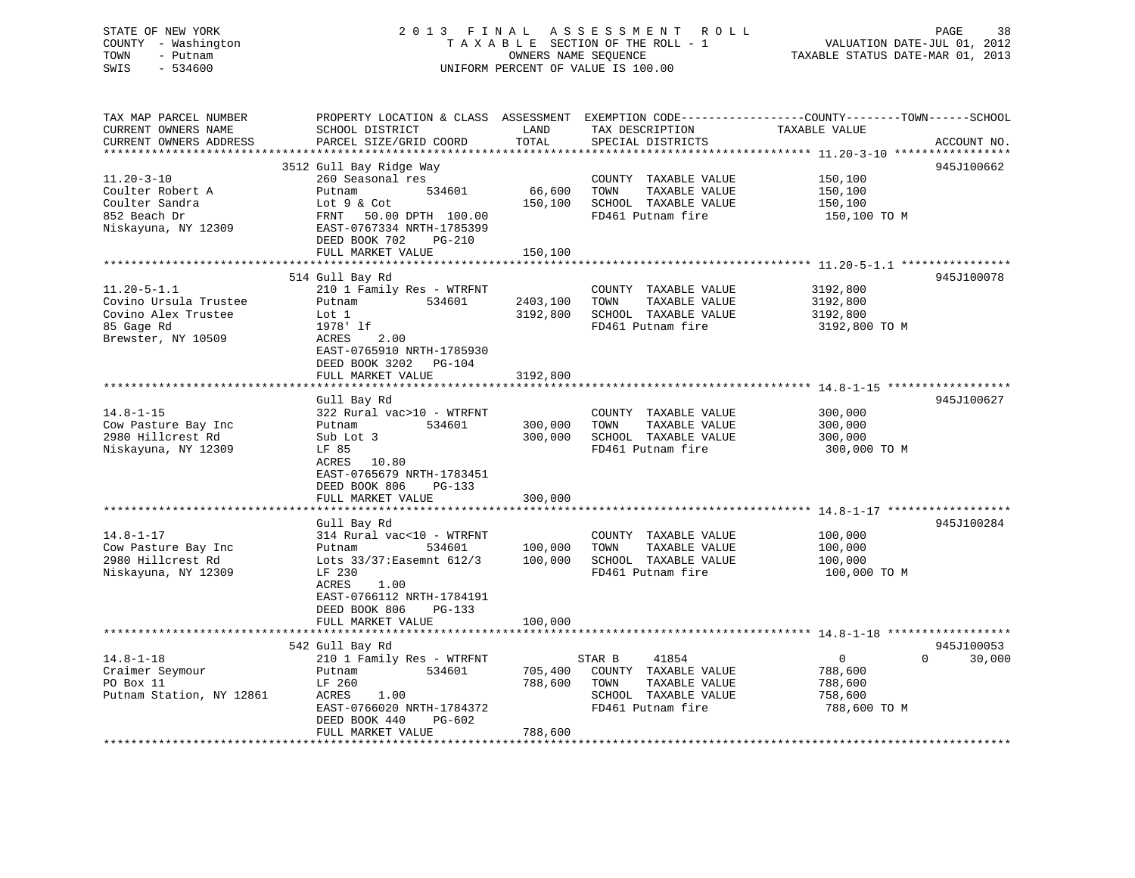## STATE OF NEW YORK 2 0 1 3 F I N A L A S S E S S M E N T R O L L PAGE 38 COUNTY - Washington T A X A B L E SECTION OF THE ROLL - 1 VALUATION DATE-JUL 01, 2012 TOWN - Putnam **CONNERS NAME SEQUENCE** TAXABLE STATUS DATE-MAR 01, 2013 SWIS - 534600 UNIFORM PERCENT OF VALUE IS 100.00

| TAX MAP PARCEL NUMBER<br>CURRENT OWNERS NAME | PROPERTY LOCATION & CLASS ASSESSMENT<br>SCHOOL DISTRICT | LAND                          | TAX DESCRIPTION       | EXEMPTION CODE-----------------COUNTY-------TOWN------SCHOOL<br>TAXABLE VALUE |             |
|----------------------------------------------|---------------------------------------------------------|-------------------------------|-----------------------|-------------------------------------------------------------------------------|-------------|
| CURRENT OWNERS ADDRESS                       | PARCEL SIZE/GRID COORD                                  | TOTAL                         | SPECIAL DISTRICTS     |                                                                               | ACCOUNT NO. |
|                                              | ***********************                                 | * * * * * * * * * * * * * * * |                       |                                                                               |             |
|                                              | 3512 Gull Bay Ridge Way                                 |                               |                       |                                                                               | 945J100662  |
| $11.20 - 3 - 10$                             | 260 Seasonal res                                        |                               | COUNTY TAXABLE VALUE  | 150,100                                                                       |             |
| Coulter Robert A                             | 534601<br>Putnam                                        | 66,600                        | TAXABLE VALUE<br>TOWN | 150,100                                                                       |             |
| Coulter Sandra                               | Lot 9 & Cot                                             | 150,100                       | SCHOOL TAXABLE VALUE  | 150,100                                                                       |             |
| 852 Beach Dr                                 | FRNT<br>50.00 DPTH 100.00                               |                               | FD461 Putnam fire     | 150,100 то м                                                                  |             |
| Niskayuna, NY 12309                          | EAST-0767334 NRTH-1785399<br>DEED BOOK 702<br>$PG-210$  |                               |                       |                                                                               |             |
|                                              | FULL MARKET VALUE                                       | 150,100                       |                       |                                                                               |             |
|                                              |                                                         |                               |                       |                                                                               |             |
|                                              | 514 Gull Bay Rd                                         |                               |                       |                                                                               | 945J100078  |
| $11.20 - 5 - 1.1$                            | 210 1 Family Res - WTRFNT                               |                               | COUNTY TAXABLE VALUE  | 3192,800                                                                      |             |
| Covino Ursula Trustee                        | 534601<br>Putnam                                        | 2403,100                      | TOWN<br>TAXABLE VALUE | 3192,800                                                                      |             |
| Covino Alex Trustee                          | Lot 1                                                   | 3192,800                      | SCHOOL TAXABLE VALUE  | 3192,800                                                                      |             |
| 85 Gage Rd                                   | 1978' lf                                                |                               | FD461 Putnam fire     | 3192,800 TO M                                                                 |             |
| Brewster, NY 10509                           | ACRES<br>2.00                                           |                               |                       |                                                                               |             |
|                                              | EAST-0765910 NRTH-1785930                               |                               |                       |                                                                               |             |
|                                              | DEED BOOK 3202 PG-104                                   |                               |                       |                                                                               |             |
|                                              | FULL MARKET VALUE                                       | 3192,800                      |                       |                                                                               |             |
|                                              |                                                         |                               |                       |                                                                               |             |
|                                              | Gull Bay Rd                                             |                               |                       |                                                                               | 945J100627  |
| $14.8 - 1 - 15$                              | 322 Rural vac>10 - WTRFNT                               |                               | COUNTY TAXABLE VALUE  | 300,000                                                                       |             |
| Cow Pasture Bay Inc                          | 534601<br>Putnam                                        | 300,000                       | TAXABLE VALUE<br>TOWN | 300,000                                                                       |             |
| 2980 Hillcrest Rd                            | Sub Lot 3                                               | 300,000                       | SCHOOL TAXABLE VALUE  | 300,000                                                                       |             |
| Niskayuna, NY 12309                          | LF 85                                                   |                               | FD461 Putnam fire     | 300,000 TO M                                                                  |             |
|                                              | ACRES 10.80                                             |                               |                       |                                                                               |             |
|                                              | EAST-0765679 NRTH-1783451                               |                               |                       |                                                                               |             |
|                                              | DEED BOOK 806<br>PG-133                                 |                               |                       |                                                                               |             |
|                                              | FULL MARKET VALUE                                       | 300,000                       |                       |                                                                               |             |
|                                              |                                                         |                               |                       |                                                                               | 945J100284  |
| $14.8 - 1 - 17$                              | Gull Bay Rd<br>314 Rural vac<10 - WTRFNT                |                               | COUNTY TAXABLE VALUE  | 100,000                                                                       |             |
| Cow Pasture Bay Inc                          | Putnam<br>534601                                        | 100,000                       | TOWN<br>TAXABLE VALUE | 100,000                                                                       |             |
| 2980 Hillcrest Rd                            | Lots 33/37: Easemnt 612/3                               | 100,000                       | SCHOOL TAXABLE VALUE  | 100,000                                                                       |             |
| Niskayuna, NY 12309                          | LF 230                                                  |                               | FD461 Putnam fire     | 100,000 TO M                                                                  |             |
|                                              | 1.00<br><b>ACRES</b>                                    |                               |                       |                                                                               |             |
|                                              | EAST-0766112 NRTH-1784191                               |                               |                       |                                                                               |             |
|                                              | DEED BOOK 806<br>PG-133                                 |                               |                       |                                                                               |             |
|                                              | FULL MARKET VALUE                                       | 100,000                       |                       |                                                                               |             |
|                                              |                                                         | ***********                   |                       |                                                                               |             |
|                                              | 542 Gull Bay Rd                                         |                               |                       |                                                                               | 945J100053  |
| $14.8 - 1 - 18$                              | 210 1 Family Res - WTRFNT                               |                               | STAR B<br>41854       | $\overline{0}$<br>$\Omega$                                                    | 30,000      |
| Craimer Seymour                              | 534601<br>Putnam                                        | 705,400                       | COUNTY TAXABLE VALUE  | 788,600                                                                       |             |
| PO Box 11                                    | LF 260                                                  | 788,600                       | TAXABLE VALUE<br>TOWN | 788,600                                                                       |             |
| Putnam Station, NY 12861                     | ACRES<br>1.00                                           |                               | SCHOOL TAXABLE VALUE  | 758,600                                                                       |             |
|                                              | EAST-0766020 NRTH-1784372                               |                               | FD461 Putnam fire     | 788,600 TO M                                                                  |             |
|                                              | DEED BOOK 440<br>PG-602                                 |                               |                       |                                                                               |             |
|                                              | FULL MARKET VALUE                                       | 788,600                       |                       |                                                                               |             |
|                                              |                                                         |                               |                       |                                                                               |             |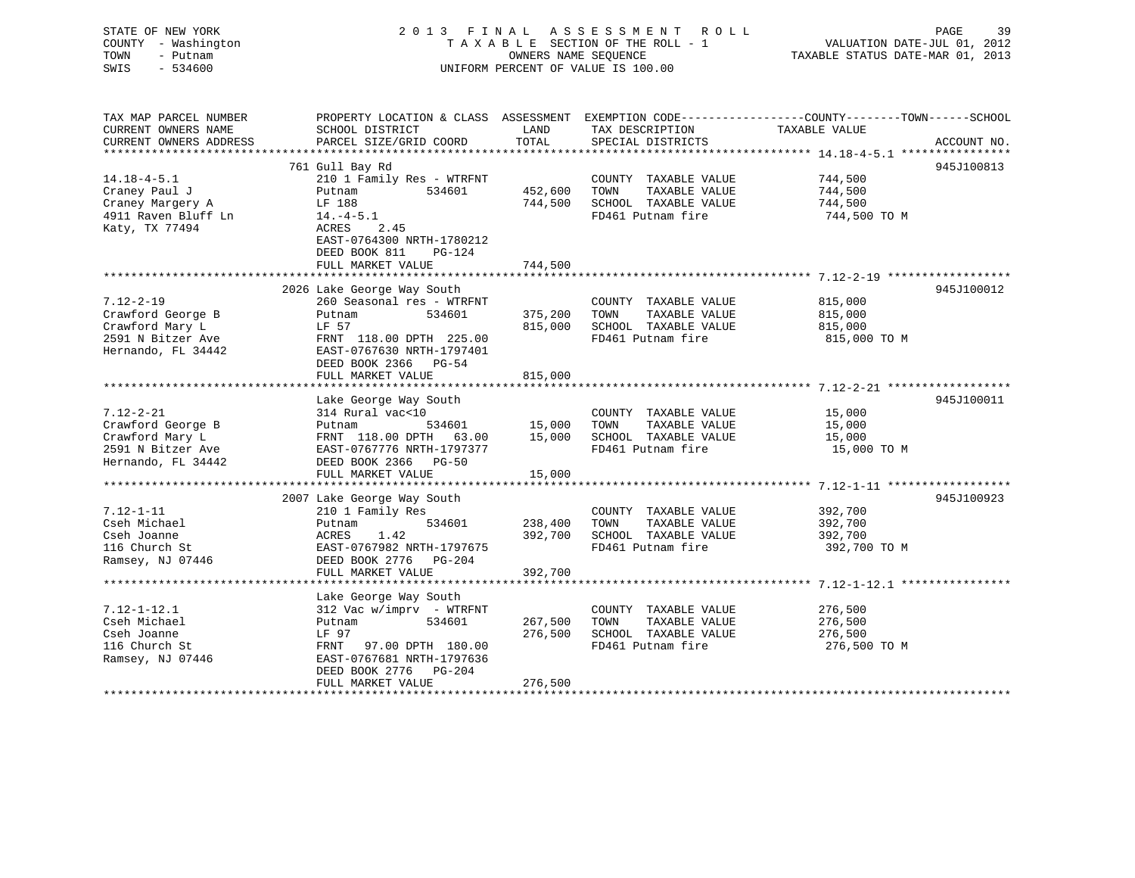| STATE OF NEW YORK                     | 2 0 1 3<br>FINAL                                     | PAGE<br>39                         |                                               |                                                                                                  |
|---------------------------------------|------------------------------------------------------|------------------------------------|-----------------------------------------------|--------------------------------------------------------------------------------------------------|
| COUNTY - Washington                   | TAXABLE SECTION OF THE ROLL - 1                      | VALUATION DATE-JUL 01, 2012        |                                               |                                                                                                  |
| - Putnam<br>TOWN<br>SWIS<br>$-534600$ |                                                      | TAXABLE STATUS DATE-MAR 01, 2013   |                                               |                                                                                                  |
|                                       |                                                      | UNIFORM PERCENT OF VALUE IS 100.00 |                                               |                                                                                                  |
| TAX MAP PARCEL NUMBER                 |                                                      |                                    |                                               | PROPERTY LOCATION & CLASS ASSESSMENT EXEMPTION CODE----------------COUNTY-------TOWN------SCHOOL |
| CURRENT OWNERS NAME                   | SCHOOL DISTRICT                                      | LAND                               | TAX DESCRIPTION                               | TAXABLE VALUE                                                                                    |
| CURRENT OWNERS ADDRESS                | PARCEL SIZE/GRID COORD                               | TOTAL                              | SPECIAL DISTRICTS                             | ACCOUNT NO.                                                                                      |
| ***********************               |                                                      |                                    |                                               |                                                                                                  |
|                                       | 761 Gull Bay Rd                                      |                                    |                                               | 945J100813                                                                                       |
| $14.18 - 4 - 5.1$                     | 210 1 Family Res - WTRFNT                            |                                    | COUNTY TAXABLE VALUE                          | 744,500                                                                                          |
| Craney Paul J                         | 534601<br>Putnam                                     | 452,600                            | TOWN<br>TAXABLE VALUE                         | 744,500                                                                                          |
| Craney Margery A                      | LF 188                                               | 744,500                            | SCHOOL TAXABLE VALUE                          | 744,500                                                                                          |
| 4911 Raven Bluff Ln                   | $14.-4-5.1$                                          |                                    | FD461 Putnam fire                             | 744,500 TO M                                                                                     |
| Katy, TX 77494                        | ACRES<br>2.45                                        |                                    |                                               |                                                                                                  |
|                                       | EAST-0764300 NRTH-1780212<br>DEED BOOK 811<br>PG-124 |                                    |                                               |                                                                                                  |
|                                       | FULL MARKET VALUE                                    | 744,500                            |                                               |                                                                                                  |
|                                       |                                                      |                                    |                                               |                                                                                                  |
|                                       | 2026 Lake George Way South                           |                                    |                                               | 945J100012                                                                                       |
| $7.12 - 2 - 19$                       | 260 Seasonal res - WTRFNT                            |                                    | COUNTY TAXABLE VALUE                          | 815,000                                                                                          |
| Crawford George B                     | Putnam<br>534601                                     | 375,200                            | TOWN<br>TAXABLE VALUE                         | 815,000                                                                                          |
| Crawford Mary L                       | LF 57                                                | 815,000                            | SCHOOL TAXABLE VALUE                          | 815,000                                                                                          |
| 2591 N Bitzer Ave                     | FRNT 118.00 DPTH 225.00                              |                                    | FD461 Putnam fire                             | 815,000 TO M                                                                                     |
| Hernando, FL 34442                    | EAST-0767630 NRTH-1797401                            |                                    |                                               |                                                                                                  |
|                                       | DEED BOOK 2366 PG-54                                 |                                    |                                               |                                                                                                  |
|                                       | FULL MARKET VALUE                                    | 815,000                            |                                               |                                                                                                  |
|                                       |                                                      |                                    |                                               |                                                                                                  |
|                                       | Lake George Way South                                |                                    |                                               | 945J100011                                                                                       |
| $7.12 - 2 - 21$                       | 314 Rural vac<10                                     |                                    | COUNTY TAXABLE VALUE                          | 15,000                                                                                           |
| Crawford George B                     | Putnam<br>534601                                     | 15,000                             | TOWN<br>TAXABLE VALUE                         | 15,000                                                                                           |
| Crawford Mary L                       | FRNT 118.00 DPTH 63.00                               | 15,000                             | SCHOOL TAXABLE VALUE                          | 15,000                                                                                           |
| 2591 N Bitzer Ave                     | EAST-0767776 NRTH-1797377                            |                                    | FD461 Putnam fire                             | 15,000 TO M                                                                                      |
| Hernando, FL 34442                    | DEED BOOK 2366 PG-50                                 |                                    |                                               |                                                                                                  |
|                                       | FULL MARKET VALUE                                    | 15,000                             |                                               |                                                                                                  |
|                                       |                                                      |                                    |                                               |                                                                                                  |
|                                       | 2007 Lake George Way South                           |                                    |                                               | 945J100923                                                                                       |
| $7.12 - 1 - 11$                       | 210 1 Family Res                                     |                                    | COUNTY TAXABLE VALUE                          | 392,700                                                                                          |
| Cseh Michael<br>Cseh Joanne           | 534601<br>Putnam<br>1.42<br>ACRES                    | 238,400<br>392,700                 | TAXABLE VALUE<br>TOWN<br>SCHOOL TAXABLE VALUE | 392,700<br>392,700                                                                               |
| 116 Church St                         | EAST-0767982 NRTH-1797675                            |                                    | FD461 Putnam fire                             | 392,700 TO M                                                                                     |
| Ramsey, NJ 07446                      | DEED BOOK 2776 PG-204                                |                                    |                                               |                                                                                                  |
|                                       | FULL MARKET VALUE                                    | 392,700                            |                                               |                                                                                                  |
|                                       |                                                      |                                    |                                               |                                                                                                  |
|                                       | Lake George Way South                                |                                    |                                               |                                                                                                  |
| $7.12 - 1 - 12.1$                     | $312$ Vac w/imprv - WTRFNT                           |                                    | COUNTY TAXABLE VALUE                          | 276,500                                                                                          |
|                                       | 534601<br>Putnam                                     | 267,500                            | TOWN<br>TAXABLE VALUE                         | 276,500                                                                                          |
|                                       | LF 97                                                | 276,500                            | SCHOOL TAXABLE VALUE                          | 276,500                                                                                          |
| Cseh Michael                          |                                                      |                                    |                                               |                                                                                                  |
| Cseh Joanne                           |                                                      |                                    | FD461 Putnam fire                             |                                                                                                  |
| 116 Church St                         | FRNT 97.00 DPTH 180.00<br>EAST-0767681 NRTH-1797636  |                                    |                                               | 276,500 TO M                                                                                     |
| Ramsey, NJ 07446                      | DEED BOOK 2776 PG-204                                |                                    |                                               |                                                                                                  |
|                                       | FULL MARKET VALUE                                    | 276,500                            |                                               |                                                                                                  |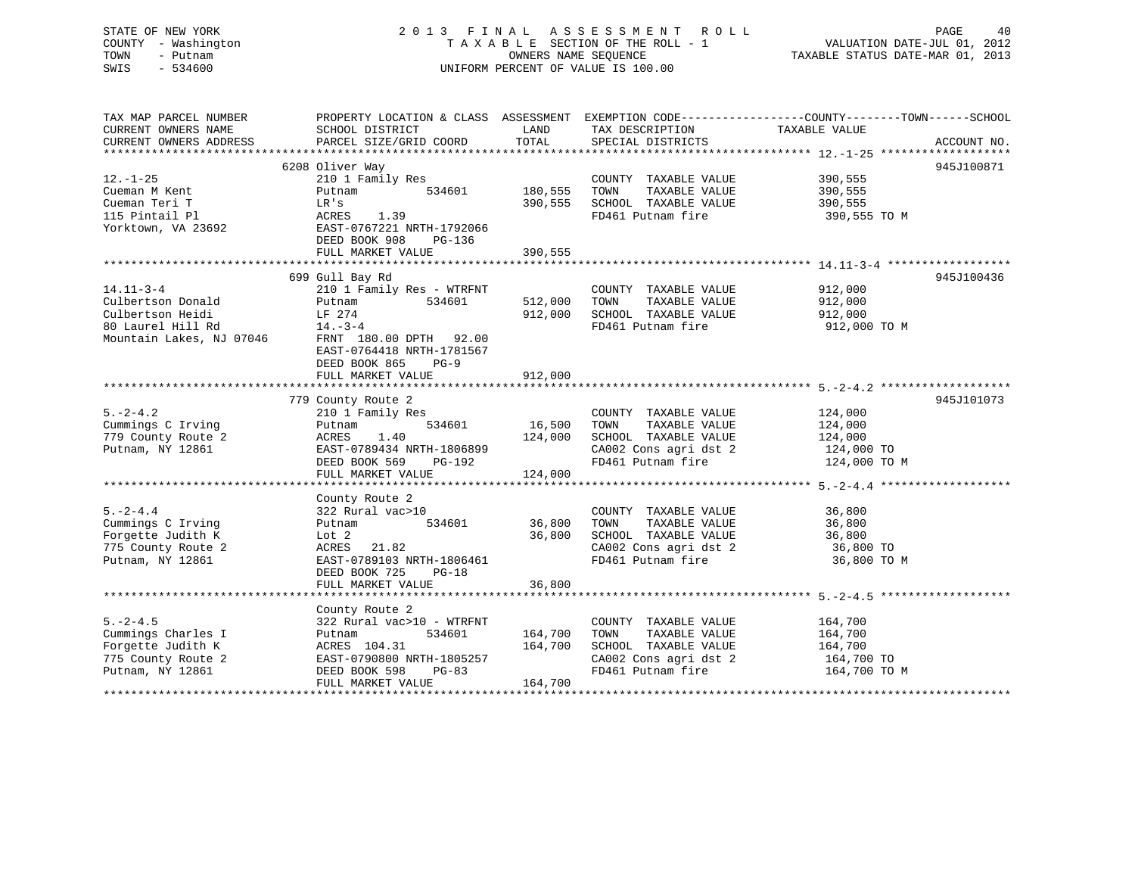## STATE OF NEW YORK 2 0 1 3 F I N A L A S S E S S M E N T R O L L PAGE 40 COUNTY - Washington T A X A B L E SECTION OF THE ROLL - 1 VALUATION DATE-JUL 01, 2012 TOWN - Putnam OWNERS NAME SEQUENCE TAXABLE STATUS DATE-MAR 01, 2013 SWIS - 534600 UNIFORM PERCENT OF VALUE IS 100.00

| TAX MAP PARCEL NUMBER                  |                               |               |                                            | PROPERTY LOCATION & CLASS ASSESSMENT EXEMPTION CODE----------------COUNTY-------TOWN------SCHOOL |
|----------------------------------------|-------------------------------|---------------|--------------------------------------------|--------------------------------------------------------------------------------------------------|
| CURRENT OWNERS NAME                    | SCHOOL DISTRICT               | LAND          | TAX DESCRIPTION TAXABLE VALUE              |                                                                                                  |
| CURRENT OWNERS ADDRESS                 | PARCEL SIZE/GRID COORD        | TOTAL         | SPECIAL DISTRICTS                          | ACCOUNT NO.                                                                                      |
|                                        |                               |               |                                            |                                                                                                  |
|                                        | 6208 Oliver Way               |               |                                            | 945J100871                                                                                       |
| $12. - 1 - 25$                         | 210 1 Family Res              |               | COUNTY TAXABLE VALUE                       | 390,555                                                                                          |
| Cueman M Kent                          | 534601<br>Putnam              | 180,555       | TOWN<br>TAXABLE VALUE                      | 390,555                                                                                          |
| Cueman Teri T                          | LR's                          | 390,555       | SCHOOL TAXABLE VALUE                       | 390,555                                                                                          |
| 115 Pintail Pl                         | 1.39<br>ACRES                 |               | FD461 Putnam fire                          | 390,555 TO M                                                                                     |
| Yorktown, VA 23692                     | EAST-0767221 NRTH-1792066     |               |                                            |                                                                                                  |
|                                        | DEED BOOK 908<br>PG-136       |               |                                            |                                                                                                  |
|                                        | FULL MARKET VALUE             | 390,555       |                                            |                                                                                                  |
|                                        |                               |               |                                            |                                                                                                  |
|                                        | 699 Gull Bay Rd               |               |                                            | 945J100436                                                                                       |
| $14.11 - 3 - 4$                        | 210 1 Family Res - WTRFNT     |               | COUNTY TAXABLE VALUE                       | 912,000                                                                                          |
| Culbertson Donald                      | 534601<br>Putnam              | 512,000       | TOWN<br>TAXABLE VALUE                      | 912,000                                                                                          |
| Culbertson Heidi                       | LF 274                        | 912,000       | SCHOOL TAXABLE VALUE                       | 912,000                                                                                          |
| 80 Laurel Hill Rd                      | $14. - 3 - 4$                 |               | FD461 Putnam fire                          | 912,000 TO M                                                                                     |
| Mountain Lakes, NJ 07046               | FRNT 180.00 DPTH 92.00        |               |                                            |                                                                                                  |
|                                        | EAST-0764418 NRTH-1781567     |               |                                            |                                                                                                  |
|                                        | DEED BOOK 865<br>$PG-9$       |               |                                            |                                                                                                  |
|                                        | FULL MARKET VALUE             | 912,000       |                                            |                                                                                                  |
|                                        |                               |               |                                            |                                                                                                  |
|                                        | 779 County Route 2            |               |                                            | 945J101073                                                                                       |
| $5. -2 - 4.2$                          | 210 1 Family Res              |               | COUNTY TAXABLE VALUE                       | 124,000                                                                                          |
| Cummings C Irving                      | 534601<br>Putnam              | 16,500        | TOWN<br>TAXABLE VALUE                      | 124,000                                                                                          |
| 779 County Route 2                     | ACRES<br>1.40                 | 124,000       | SCHOOL TAXABLE VALUE                       | 124,000                                                                                          |
| Putnam, NY 12861                       | EAST-0789434 NRTH-1806899     |               | CA002 Cons agri dst 2                      | 124,000 TO                                                                                       |
|                                        | DEED BOOK 569<br>PG-192       |               | FD461 Putnam fire                          | 124,000 TO M                                                                                     |
|                                        | FULL MARKET VALUE             | 124,000       |                                            |                                                                                                  |
|                                        |                               |               |                                            |                                                                                                  |
| $5. -2 - 4.4$                          | County Route 2                |               |                                            |                                                                                                  |
|                                        | 322 Rural vac>10              |               | COUNTY TAXABLE VALUE                       | 36,800                                                                                           |
| Cummings C Irving                      | Putnam                        | 534601 36,800 | TAXABLE VALUE<br>TOWN                      | 36,800                                                                                           |
| Forgette Judith K                      | Lot 2<br>ACRES 21.82          | 36,800        | SCHOOL TAXABLE VALUE                       | 36,800                                                                                           |
| 775 County Route 2<br>Putnam, NY 12861 | EAST-0789103 NRTH-1806461     |               | CA002 Cons agri dst 2<br>FD461 Putnam fire | 36,800 TO<br>36,800 TO M                                                                         |
|                                        | DEED BOOK 725<br>$PG-18$      |               |                                            |                                                                                                  |
|                                        | FULL MARKET VALUE             | 36,800        |                                            |                                                                                                  |
|                                        |                               |               |                                            |                                                                                                  |
|                                        | County Route 2                |               |                                            |                                                                                                  |
| $5. -2 - 4.5$                          | 322 Rural vac>10 - WTRFNT     |               | COUNTY TAXABLE VALUE                       | 164,700                                                                                          |
| Cummings Charles I                     | 534601<br>Putnam              | 164,700       | TOWN<br>TAXABLE VALUE                      | 164,700                                                                                          |
| Forgette Judith K                      | ACRES 104.31                  | 164,700       | SCHOOL TAXABLE VALUE                       | 164,700                                                                                          |
| 775 County Route 2                     | EAST-0790800 NRTH-1805257     |               | CA002 Cons agri dst 2                      | 164,700 TO                                                                                       |
| Putnam, NY 12861                       | DEED BOOK 598<br><b>PG-83</b> |               | FD461 Putnam fire                          | 164,700 TO M                                                                                     |
|                                        | FULL MARKET VALUE             | 164,700       |                                            |                                                                                                  |
|                                        |                               |               |                                            |                                                                                                  |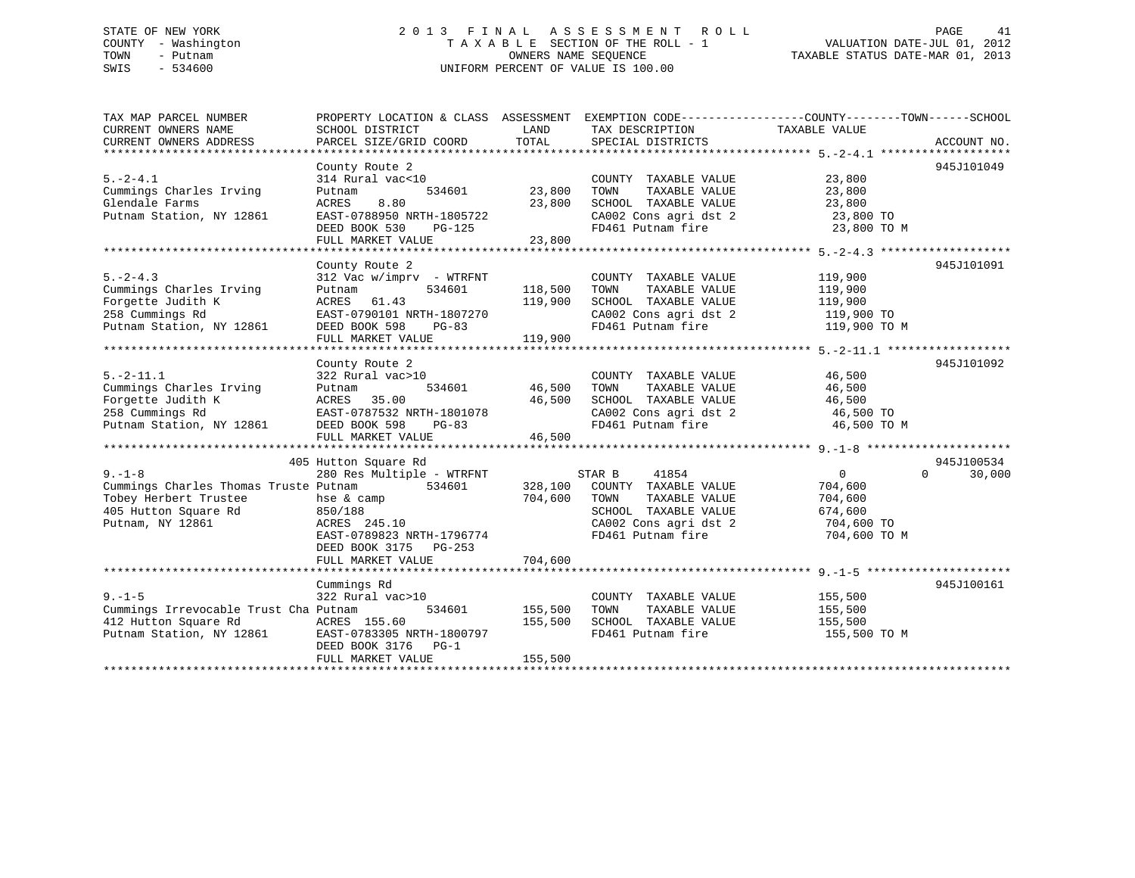## STATE OF NEW YORK 2 0 1 3 F I N A L A S S E S S M E N T R O L L PAGE 41 COUNTY - Washington T A X A B L E SECTION OF THE ROLL - 1 VALUATION DATE-JUL 01, 2012 TOWN - Putnam OWNERS NAME SEQUENCE TAXABLE STATUS DATE-MAR 01, 2013 SWIS - 534600 UNIFORM PERCENT OF VALUE IS 100.00

| TAX MAP PARCEL NUMBER<br>CURRENT OWNERS NAME | PROPERTY LOCATION & CLASS ASSESSMENT<br>SCHOOL DISTRICT | LAND    | EXEMPTION CODE-----------------COUNTY-------TOWN------SCHOOL<br>TAX DESCRIPTION | TAXABLE VALUE            |                    |
|----------------------------------------------|---------------------------------------------------------|---------|---------------------------------------------------------------------------------|--------------------------|--------------------|
| CURRENT OWNERS ADDRESS                       | PARCEL SIZE/GRID COORD                                  | TOTAL   | SPECIAL DISTRICTS                                                               |                          | ACCOUNT NO.        |
|                                              |                                                         |         |                                                                                 |                          |                    |
|                                              | County Route 2                                          |         |                                                                                 |                          | 945J101049         |
| $5. -2 - 4.1$                                | 314 Rural vac<10                                        |         | COUNTY TAXABLE VALUE                                                            | 23,800                   |                    |
| Cummings Charles Irving<br>Glendale Farms    | 534601<br>Putnam                                        | 23,800  | TOWN<br>TAXABLE VALUE                                                           | 23,800                   |                    |
| Putnam Station, NY 12861                     | ACRES<br>8.80                                           | 23,800  | SCHOOL TAXABLE VALUE<br>CA002 Cons agri dst 2                                   | 23,800                   |                    |
|                                              | EAST-0788950 NRTH-1805722<br>DEED BOOK 530              |         | FD461 Putnam fire                                                               | 23,800 TO<br>23,800 TO M |                    |
|                                              | PG-125<br>FULL MARKET VALUE                             | 23,800  |                                                                                 |                          |                    |
|                                              |                                                         |         |                                                                                 |                          |                    |
|                                              | County Route 2                                          |         |                                                                                 |                          | 945J101091         |
| $5. -2 - 4.3$                                | $312$ Vac w/imprv - WTRFNT                              |         | COUNTY TAXABLE VALUE                                                            | 119,900                  |                    |
| Cummings Charles Irving                      | 534601<br>Putnam                                        | 118,500 | TOWN<br>TAXABLE VALUE                                                           | 119,900                  |                    |
| Forgette Judith K                            | ACRES<br>61.43                                          | 119,900 | SCHOOL TAXABLE VALUE                                                            | 119,900                  |                    |
| 258 Cummings Rd                              | EAST-0790101 NRTH-1807270                               |         | CA002 Cons agri dst 2                                                           | 119,900 TO               |                    |
| Putnam Station, NY 12861                     | DEED BOOK 598<br>$PG-83$                                |         | FD461 Putnam fire                                                               | 119,900 TO M             |                    |
|                                              | FULL MARKET VALUE                                       | 119,900 |                                                                                 |                          |                    |
|                                              |                                                         |         |                                                                                 |                          |                    |
|                                              | County Route 2                                          |         |                                                                                 |                          | 945J101092         |
| $5. -2 - 11.1$                               | 322 Rural vac>10                                        |         | COUNTY TAXABLE VALUE                                                            | 46,500                   |                    |
| Cummings Charles Irving                      | 534601<br>Putnam                                        | 46,500  | TAXABLE VALUE<br>TOWN                                                           | 46,500                   |                    |
| Forgette Judith K                            | 35.00<br>ACRES                                          | 46,500  | SCHOOL TAXABLE VALUE                                                            | 46,500                   |                    |
| 258 Cummings Rd                              | EAST-0787532 NRTH-1801078                               |         | CA002 Cons agri dst 2                                                           | 46,500 TO                |                    |
| Putnam Station, NY 12861                     | DEED BOOK 598<br>PG-83                                  |         | FD461 Putnam fire                                                               | 46,500 TO M              |                    |
|                                              | FULL MARKET VALUE                                       | 46,500  |                                                                                 |                          |                    |
|                                              |                                                         |         |                                                                                 |                          |                    |
|                                              | 405 Hutton Square Rd                                    |         |                                                                                 |                          | 945J100534         |
| $9 - 1 - 8$                                  | 280 Res Multiple - WTRFNT                               |         | 41854<br>STAR B                                                                 | $\overline{0}$           | $\Omega$<br>30,000 |
| Cummings Charles Thomas Truste Putnam        | 534601                                                  | 328,100 | COUNTY TAXABLE VALUE                                                            | 704,600                  |                    |
| Tobey Herbert Trustee                        | hse & camp                                              | 704,600 | TAXABLE VALUE<br>TOWN                                                           | 704,600                  |                    |
| 405 Hutton Square Rd                         | 850/188                                                 |         | SCHOOL TAXABLE VALUE                                                            | 674,600                  |                    |
| Putnam, NY 12861                             | ACRES 245.10                                            |         | CA002 Cons agri dst 2                                                           | 704,600 TO               |                    |
|                                              | EAST-0789823 NRTH-1796774                               |         | FD461 Putnam fire                                                               | 704,600 TO M             |                    |
|                                              | DEED BOOK 3175<br>PG-253                                |         |                                                                                 |                          |                    |
|                                              | FULL MARKET VALUE                                       | 704,600 |                                                                                 |                          |                    |
|                                              |                                                         |         |                                                                                 |                          |                    |
|                                              | Cummings Rd                                             |         |                                                                                 |                          | 945J100161         |
| $9. - 1 - 5$                                 | 322 Rural vac>10                                        |         | COUNTY TAXABLE VALUE                                                            | 155,500                  |                    |
| Cummings Irrevocable Trust Cha Putnam        | 534601                                                  | 155,500 | TAXABLE VALUE<br>TOWN                                                           | 155,500                  |                    |
| 412 Hutton Square Rd                         | ACRES 155.60                                            | 155,500 | SCHOOL TAXABLE VALUE                                                            | 155,500                  |                    |
| Putnam Station, NY 12861                     | EAST-0783305 NRTH-1800797                               |         | FD461 Putnam fire                                                               | 155,500 TO M             |                    |
|                                              | DEED BOOK 3176<br>PG-1                                  |         |                                                                                 |                          |                    |
|                                              | FULL MARKET VALUE                                       | 155,500 |                                                                                 |                          |                    |
|                                              |                                                         |         |                                                                                 |                          |                    |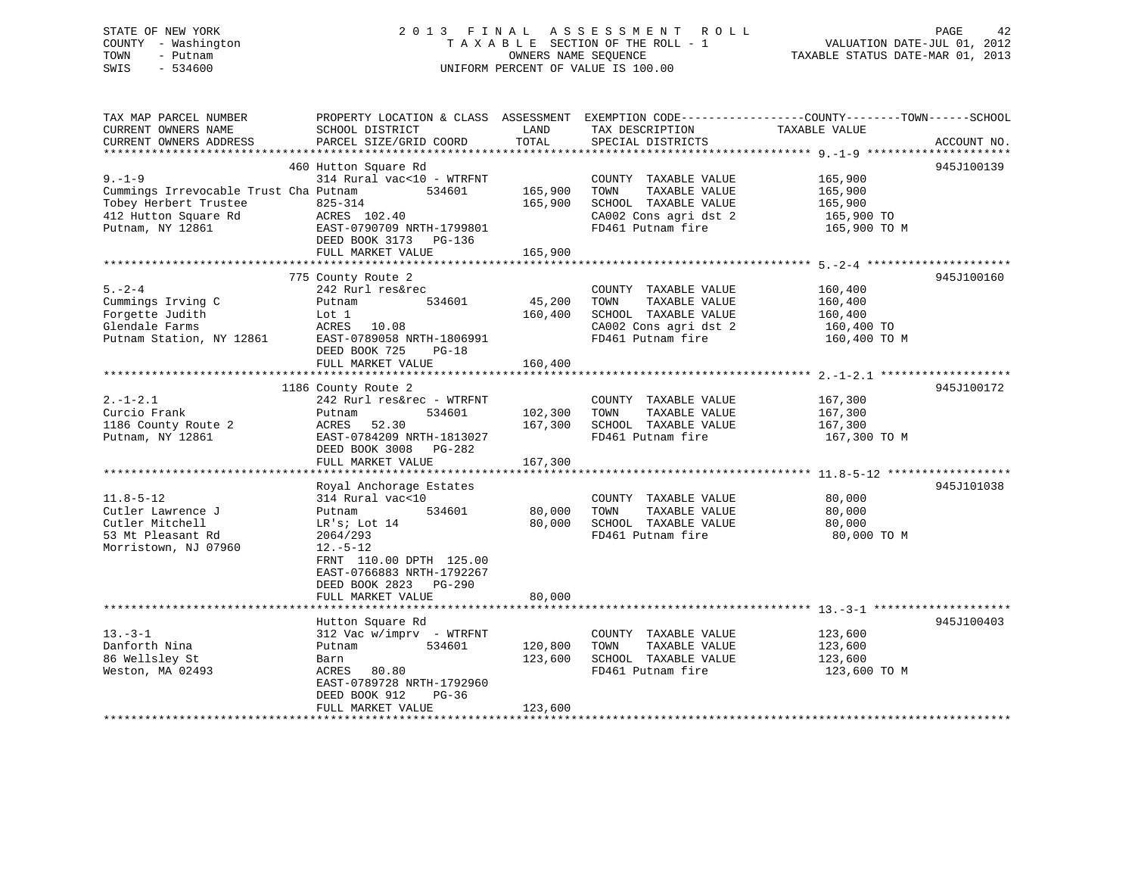## STATE OF NEW YORK 2 0 1 3 F I N A L A S S E S S M E N T R O L L PAGE 42 COUNTY - Washington T A X A B L E SECTION OF THE ROLL - 1 VALUATION DATE-JUL 01, 2012 TOWN - Putnam OWNERS NAME SEQUENCE TAXABLE STATUS DATE-MAR 01, 2013 SWIS - 534600 UNIFORM PERCENT OF VALUE IS 100.00

| TAX MAP PARCEL NUMBER<br>CURRENT OWNERS NAME<br>CURRENT OWNERS ADDRESS                                                    | PROPERTY LOCATION & CLASS ASSESSMENT<br>SCHOOL DISTRICT<br>PARCEL SIZE/GRID COORD                                                                                                                                  | LAND<br>TOTAL                 | EXEMPTION CODE-----------------COUNTY-------TOWN------SCHOOL<br>TAX DESCRIPTION<br>SPECIAL DISTRICTS                | TAXABLE VALUE                                               | ACCOUNT NO. |
|---------------------------------------------------------------------------------------------------------------------------|--------------------------------------------------------------------------------------------------------------------------------------------------------------------------------------------------------------------|-------------------------------|---------------------------------------------------------------------------------------------------------------------|-------------------------------------------------------------|-------------|
| $9 - 1 - 9$<br>Cummings Irrevocable Trust Cha Putnam<br>Tobey Herbert Trustee<br>412 Hutton Square Rd<br>Putnam, NY 12861 | 460 Hutton Square Rd<br>314 Rural vac<10 - WTRFNT<br>534601<br>825-314<br>ACRES 102.40<br>EAST-0790709 NRTH-1799801<br>DEED BOOK 3173 PG-136<br>FULL MARKET VALUE                                                  | 165,900<br>165,900<br>165,900 | COUNTY TAXABLE VALUE<br>TOWN<br>TAXABLE VALUE<br>SCHOOL TAXABLE VALUE<br>CA002 Cons agri dst 2<br>FD461 Putnam fire | 165,900<br>165,900<br>165,900<br>165,900 TO<br>165,900 TO M | 945J100139  |
| $5. - 2 - 4$<br>Cummings Irving C<br>Forgette Judith<br>Glendale Farms<br>Putnam Station, NY 12861                        | 775 County Route 2<br>242 Rurl res&rec<br>534601<br>Putnam<br>Lot 1<br>ACRES 10.08<br>EAST-0789058 NRTH-1806991<br>DEED BOOK 725<br>$PG-18$<br>FULL MARKET VALUE                                                   | 45,200<br>160,400<br>160,400  | COUNTY TAXABLE VALUE<br>TOWN<br>TAXABLE VALUE<br>SCHOOL TAXABLE VALUE<br>CA002 Cons agri dst 2<br>FD461 Putnam fire | 160,400<br>160,400<br>160,400<br>160,400 TO<br>160,400 TO M | 945J100160  |
| $2. -1 - 2.1$<br>Curcio Frank<br>1186 County Route 2<br>Putnam, NY 12861                                                  | 1186 County Route 2<br>242 Rurl res&rec - WTRFNT<br>534601<br>Putnam<br>52.30<br>ACRES<br>EAST-0784209 NRTH-1813027<br>DEED BOOK 3008 PG-282<br>FULL MARKET VALUE                                                  | 102,300<br>167,300<br>167,300 | COUNTY TAXABLE VALUE<br>TAXABLE VALUE<br>TOWN<br>SCHOOL TAXABLE VALUE<br>FD461 Putnam fire                          | 167,300<br>167,300<br>167,300<br>167,300 TO M               | 945J100172  |
| $11.8 - 5 - 12$<br>Cutler Lawrence J<br>Cutler Mitchell<br>53 Mt Pleasant Rd<br>Morristown, NJ 07960                      | Royal Anchorage Estates<br>314 Rural vac<10<br>534601<br>Putnam<br>LR's; Lot 14<br>2064/293<br>$12.-5-12$<br>FRNT 110.00 DPTH 125.00<br>EAST-0766883 NRTH-1792267<br>DEED BOOK 2823<br>PG-290<br>FULL MARKET VALUE | 80,000<br>80,000<br>80,000    | COUNTY TAXABLE VALUE<br>TAXABLE VALUE<br>TOWN<br>SCHOOL TAXABLE VALUE<br>FD461 Putnam fire                          | 80,000<br>80,000<br>80,000<br>80,000 TO M                   | 945J101038  |
| $13 - 3 - 1$<br>Danforth Nina<br>86 Wellsley St<br>Weston, MA 02493                                                       | Hutton Square Rd<br>$312$ Vac w/imprv - WTRFNT<br>534601<br>Putnam<br>Barn<br>80.80<br>ACRES<br>EAST-0789728 NRTH-1792960<br>DEED BOOK 912<br>$PG-36$<br>FULL MARKET VALUE<br>******************************       | 120,800<br>123,600<br>123,600 | COUNTY TAXABLE VALUE<br>TOWN<br>TAXABLE VALUE<br>SCHOOL TAXABLE VALUE<br>FD461 Putnam fire                          | 123,600<br>123,600<br>123,600<br>123,600 TO M               | 945J100403  |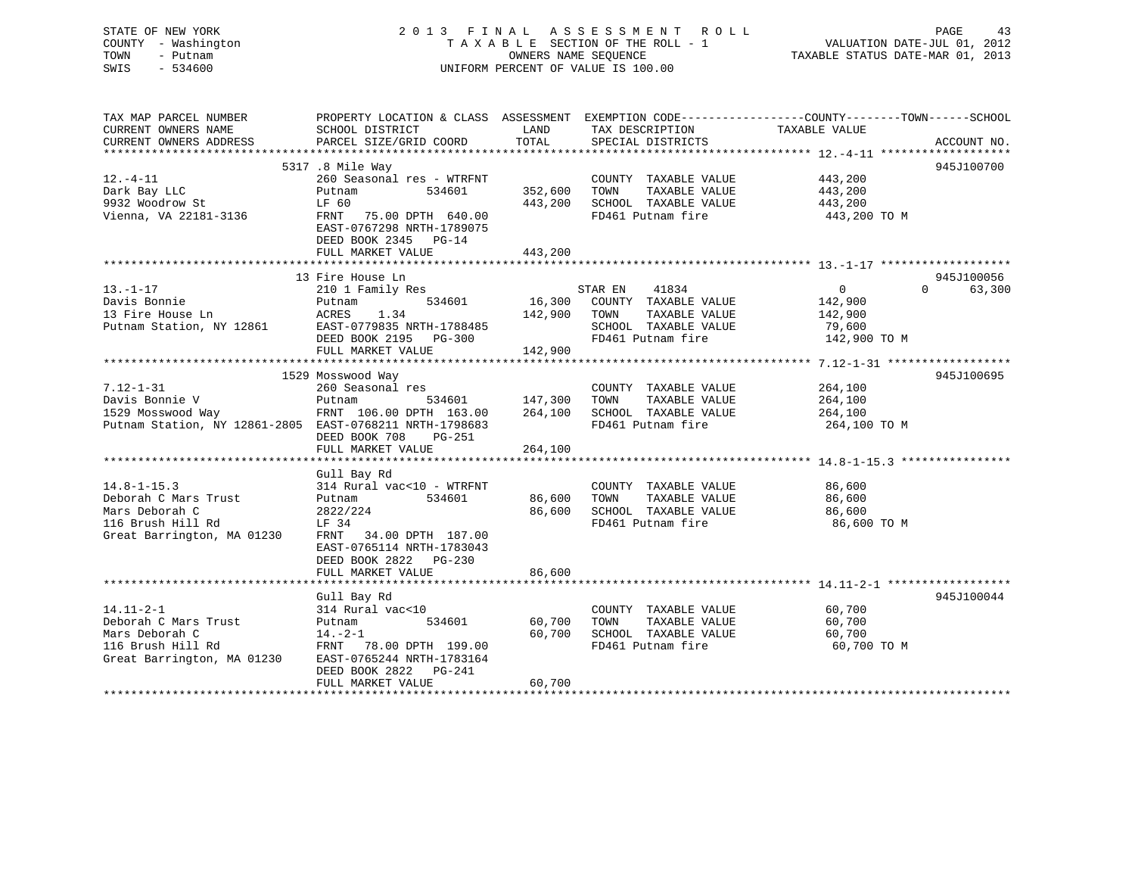| STATE OF NEW YORK<br>COUNTY - Washington<br>TOWN<br>- Putnam<br>$-534600$<br>SWIS                                                                                         | 2013 FINAL ASSESSMENT ROLL<br>TAXABLE SECTION OF THE ROLL - 1<br>OWNERS NAME SEQUENCE<br>TAXABLE STATUS DATE-MAR 01, 2013<br>UNIFORM PERCENT OF VALUE IS 100.00 |                                                                                         |                                                                                                    |                                                   | PAGE<br>43                    |
|---------------------------------------------------------------------------------------------------------------------------------------------------------------------------|-----------------------------------------------------------------------------------------------------------------------------------------------------------------|-----------------------------------------------------------------------------------------|----------------------------------------------------------------------------------------------------|---------------------------------------------------|-------------------------------|
| TAX MAP PARCEL NUMBER THE PROPERTY LOCATION & CLASS ASSESSMENT EXEMPTION CODE---------------COUNTY-------TOWN-----SCHOOL<br>CURRENT OWNERS NAME<br>CURRENT OWNERS ADDRESS | SCHOOL DISTRICT                                                                                                                                                 | <b>EXAMPLE THE STATE OF STATE OF STATE OF STATE OF STATE OF STATE OF STATE OF STATE</b> | TAX DESCRIPTION TAXABLE VALUE                                                                      |                                                   |                               |
| $12.-4-11$<br>Dark Bay LLC<br>9932 Woodrow St<br>Vienna, VA 22181-3136                                                                                                    | 5317 .8 Mile Way<br>260 Seasonal res - WTRFNT<br>Putnam<br>534601<br>LF 60<br>FRNT 75.00 DPTH 640.00                                                            | 352,600 TOWN                                                                            | COUNTY TAXABLE VALUE 443,200<br>TAXABLE VALUE<br>443,200 SCHOOL TAXABLE VALUE<br>FD461 Putnam fire | 443,200<br>443,200<br>443,200 TO M                | 945J100700                    |
|                                                                                                                                                                           | EAST-0767298 NRTH-1789075<br>DEED BOOK 2345 PG-14<br>FULL MARKET VALUE                                                                                          | 443,200                                                                                 |                                                                                                    |                                                   |                               |
| $13. - 1 - 17$<br>Davis Bonnie<br>13 Fire House Ln                       ACRES     1.34<br>Putnam Station, NY 12861           EAST-0779835 NRTH-1788485                   | 13 Fire House Ln<br>Fire House Ln<br>210 1 Family Res<br>Putnam<br>FULL MARKET VALUE                                                                            | $142,900$ TOWN<br>142,900                                                               | 41834<br>STAR EN<br>534601 16,300 COUNTY TAXABLE VALUE<br>TAXABLE VALUE<br>SCHOOL TAXABLE VALUE    | 0<br>142,900<br>142,900<br>79,600<br>142,900 TO M | 945J100056<br>$0 \t\t 63,300$ |
| $7.12 - 1 - 31$<br>Putnam Station, NY 12861-2805 EAST-0768211 NRTH-1798683                                                                                                | 1529 Mosswood Way<br>260 Seasonal res<br>DEED BOOK 708<br>PG-251<br>FULL MARKET VALUE                                                                           | 534601 147,300<br>264,100                                                               | COUNTY TAXABLE VALUE<br>TOWN<br>TAXABLE VALUE<br>264,100 SCHOOL TAXABLE VALUE<br>FD461 Putnam fire | 264,100<br>264,100<br>264,100<br>264,100 TO M     | 945J100695                    |
| 14.8-1-15.3<br>Deborah C Mars Trust<br>"Cro Deborah C<br>LF 34<br>116 Brush Hill Rd<br>Great Barrington, MA 01230                                                         | Gull Bay Rd<br>314 Rural vac<10 - WTRFNT<br>534601<br>Putnam<br>2822/224<br>FRNT 34.00 DPTH 187.00<br>EAST-0765114 NRTH-1783043<br>DEED BOOK 2822 PG-230        | 86,600                                                                                  | COUNTY TAXABLE VALUE<br>86,600 TOWN<br>TAXABLE VALUE<br>SCHOOL TAXABLE VALUE<br>FD461 Putnam fire  | 86,600<br>86,600<br>86,600<br>86,600 TO M         |                               |

|                            | DEED BOOK 2822 PG-230     |                   |        |        |                   |             |            |
|----------------------------|---------------------------|-------------------|--------|--------|-------------------|-------------|------------|
|                            | FULL MARKET VALUE         |                   | 86,600 |        |                   |             |            |
|                            |                           |                   |        |        |                   |             |            |
|                            | Gull Bay Rd               |                   |        |        |                   |             | 945J100044 |
| $14.11 - 2 - 1$            | 314 Rural vac<10          |                   |        | COUNTY | TAXABLE VALUE     | 60,700      |            |
| Deborah C Mars Trust       | Putnam                    | 534601            | 60,700 | TOWN   | TAXABLE VALUE     | 60,700      |            |
| Mars Deborah C             | $14. -2 - 1$              |                   | 60,700 | SCHOOL | TAXABLE VALUE     | 60,700      |            |
| 116 Brush Hill Rd          | FRNT                      | 78.00 DPTH 199.00 |        |        | FD461 Putnam fire | 60,700 TO M |            |
| Great Barrington, MA 01230 | EAST-0765244 NRTH-1783164 |                   |        |        |                   |             |            |
|                            | DEED BOOK 2822 PG-241     |                   |        |        |                   |             |            |
|                            | FULL MARKET VALUE         |                   | 60,700 |        |                   |             |            |
|                            |                           |                   |        |        |                   |             |            |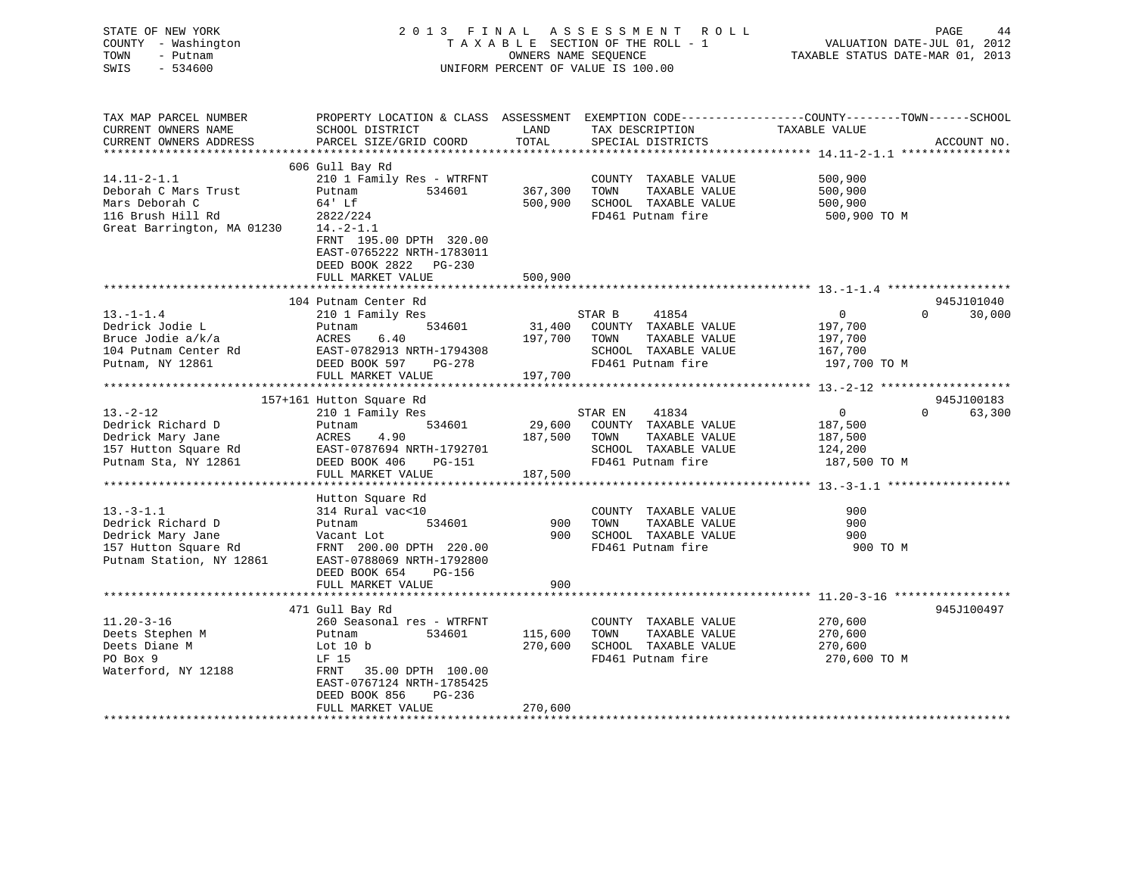| STATE OF NEW YORK<br>- Washington<br>COUNTY<br>TOWN<br>- Putnam<br>$-534600$<br>SWIS |                                                                        |                             | 2013 FINAL ASSESSMENT ROLL<br>TAXABLE SECTION OF THE ROLL - 1<br>OWNERS NAME SEOUENCE<br>UNIFORM PERCENT OF VALUE IS 100.00 | TAXABLE STATUS DATE-MAR 01, 2013                                               | PAGE<br>VALUATION DATE-JUL 01, 2012 | 44 |
|--------------------------------------------------------------------------------------|------------------------------------------------------------------------|-----------------------------|-----------------------------------------------------------------------------------------------------------------------------|--------------------------------------------------------------------------------|-------------------------------------|----|
| TAX MAP PARCEL NUMBER<br>CURRENT OWNERS NAME<br>CURRENT OWNERS ADDRESS               | PROPERTY LOCATION & CLASS<br>SCHOOL DISTRICT<br>PARCEL SIZE/GRID COORD | ASSESSMENT<br>LAND<br>TOTAL | TAX DESCRIPTION<br>SPECIAL DISTRICTS                                                                                        | EXEMPTION CODE-----------------COUNTY--------TOWN------SCHOOL<br>TAXABLE VALUE | ACCOUNT NO.                         |    |

|                            |                           |         |         |                      | ************ 14.11-2-1.1 ***************** |                    |
|----------------------------|---------------------------|---------|---------|----------------------|--------------------------------------------|--------------------|
|                            | 606 Gull Bay Rd           |         |         |                      |                                            |                    |
| $14.11 - 2 - 1.1$          | 210 1 Family Res - WTRFNT |         |         | COUNTY TAXABLE VALUE | 500,900                                    |                    |
| Deborah C Mars Trust       | 534601<br>Putnam          | 367,300 | TOWN    | TAXABLE VALUE        | 500,900                                    |                    |
| Mars Deborah C             | 64' Lf                    | 500,900 |         | SCHOOL TAXABLE VALUE | 500,900                                    |                    |
| 116 Brush Hill Rd          | 2822/224                  |         |         | FD461 Putnam fire    | 500,900 TO M                               |                    |
| Great Barrington, MA 01230 | $14.-2-1.1$               |         |         |                      |                                            |                    |
|                            | FRNT 195.00 DPTH 320.00   |         |         |                      |                                            |                    |
|                            | EAST-0765222 NRTH-1783011 |         |         |                      |                                            |                    |
|                            | DEED BOOK 2822 PG-230     |         |         |                      |                                            |                    |
|                            | FULL MARKET VALUE         | 500,900 |         |                      |                                            |                    |
|                            |                           |         |         |                      |                                            |                    |
|                            | 104 Putnam Center Rd      |         |         |                      |                                            | 945J101040         |
| $13. - 1 - 1.4$            | 210 1 Family Res          |         | STAR B  | 41854                | $\overline{0}$                             | $\Omega$<br>30,000 |
| Dedrick Jodie L            | 534601<br>Putnam          | 31,400  |         | COUNTY TAXABLE VALUE | 197,700                                    |                    |
| Bruce Jodie a/k/a          | 6.40<br>ACRES             | 197,700 | TOWN    | TAXABLE VALUE        | 197,700                                    |                    |
| 104 Putnam Center Rd       | EAST-0782913 NRTH-1794308 |         |         | SCHOOL TAXABLE VALUE | 167,700                                    |                    |
| Putnam, NY 12861           | DEED BOOK 597<br>PG-278   |         |         | FD461 Putnam fire    | 197,700 TO M                               |                    |
|                            | FULL MARKET VALUE         | 197,700 |         |                      |                                            |                    |
|                            |                           |         |         |                      |                                            |                    |
|                            | 157+161 Hutton Square Rd  |         |         |                      |                                            | 945J100183         |
| $13 - 2 - 12$              | 210 1 Family Res          |         | STAR EN | 41834                | $\overline{0}$                             | $\Omega$<br>63,300 |
| Dedrick Richard D          | 534601<br>Putnam          | 29,600  |         | COUNTY TAXABLE VALUE | 187,500                                    |                    |
| Dedrick Mary Jane          | 4.90<br>ACRES             | 187,500 | TOWN    | TAXABLE VALUE        | 187,500                                    |                    |
| 157 Hutton Square Rd       | EAST-0787694 NRTH-1792701 |         |         | SCHOOL TAXABLE VALUE | 124,200                                    |                    |
| Putnam Sta, NY 12861       | DEED BOOK 406<br>PG-151   |         |         | FD461 Putnam fire    | 187,500 TO M                               |                    |
|                            | FULL MARKET VALUE         | 187,500 |         |                      |                                            |                    |
|                            |                           |         |         |                      |                                            |                    |
|                            | Hutton Square Rd          |         |         |                      |                                            |                    |
| $13. - 3 - 1.1$            | 314 Rural vac<10          |         |         | COUNTY TAXABLE VALUE | 900                                        |                    |
| Dedrick Richard D          | Putnam<br>534601          | 900     | TOWN    | TAXABLE VALUE        | 900                                        |                    |
| Dedrick Mary Jane          | Vacant Lot                | 900     |         | SCHOOL TAXABLE VALUE | 900                                        |                    |
| 157 Hutton Square Rd       | FRNT 200.00 DPTH 220.00   |         |         | FD461 Putnam fire    | 900 TO M                                   |                    |
| Putnam Station, NY 12861   | EAST-0788069 NRTH-1792800 |         |         |                      |                                            |                    |
|                            | DEED BOOK 654<br>PG-156   |         |         |                      |                                            |                    |
|                            | FULL MARKET VALUE         | 900     |         |                      |                                            |                    |
|                            |                           |         |         |                      |                                            |                    |
|                            | 471 Gull Bay Rd           |         |         |                      |                                            | 945J100497         |
| $11.20 - 3 - 16$           | 260 Seasonal res - WTRFNT |         |         | COUNTY TAXABLE VALUE | 270,600                                    |                    |
| Deets Stephen M            | 534601<br>Putnam          | 115,600 | TOWN    | TAXABLE VALUE        | 270,600                                    |                    |
| Deets Diane M              | Lot $10 b$                | 270,600 |         | SCHOOL TAXABLE VALUE | 270,600                                    |                    |
| PO Box 9                   | LF 15                     |         |         | FD461 Putnam fire    | 270,600 TO M                               |                    |
| Waterford, NY 12188        | FRNT<br>35.00 DPTH 100.00 |         |         |                      |                                            |                    |
|                            | EAST-0767124 NRTH-1785425 |         |         |                      |                                            |                    |
|                            | DEED BOOK 856<br>$PG-236$ |         |         |                      |                                            |                    |
|                            | FULL MARKET VALUE         | 270,600 |         |                      |                                            |                    |
|                            | ***********************   |         |         |                      |                                            |                    |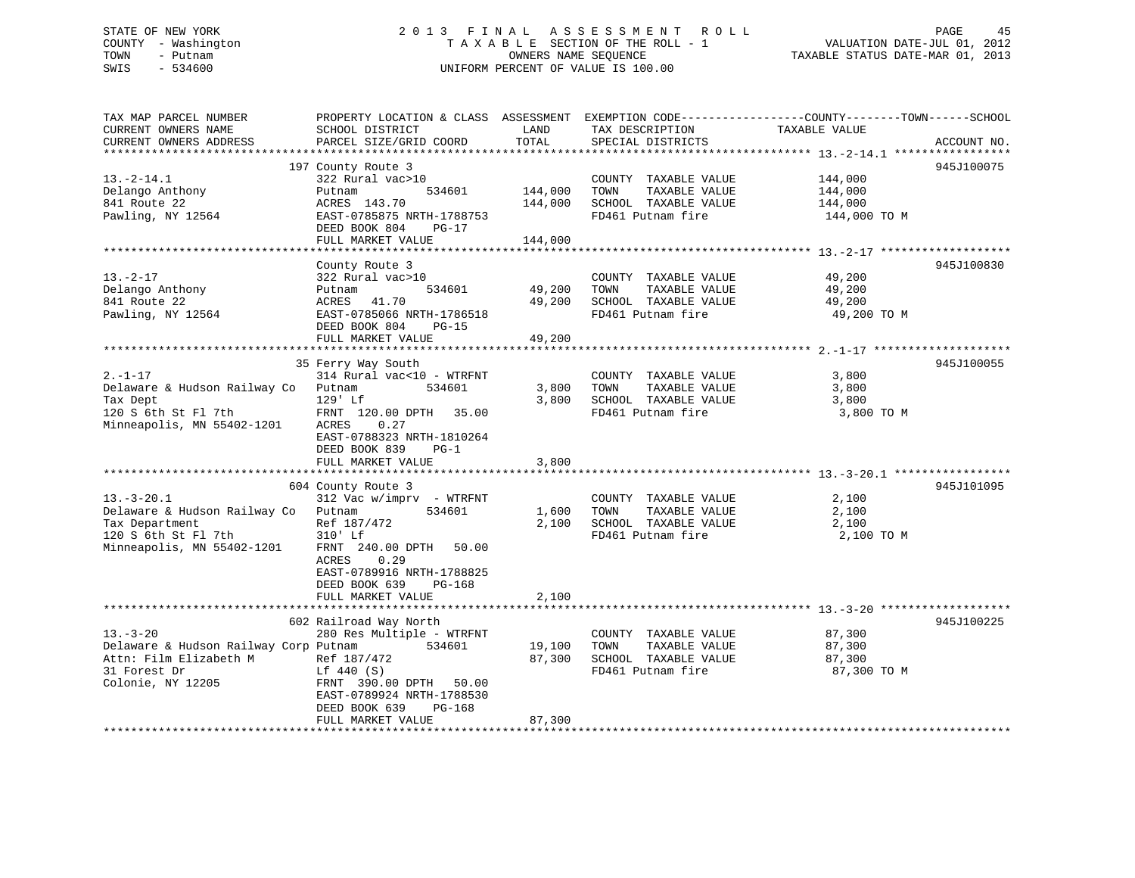# STATE OF NEW YORK 2 0 1 3 F I N A L A S S E S S M E N T R O L L PAGE 45COUNTY - Washington  $T A X A B L E$  SECTION OF THE ROLL - 1<br>TOWN - Putnam data of the COUNTERS NAME SEQUENCE SWIS - 534600 UNIFORM PERCENT OF VALUE IS 100.00

TAXABLE STATUS DATE-MAR 01, 2013

| TAX MAP PARCEL NUMBER<br>CURRENT OWNERS NAME<br>CURRENT OWNERS ADDRESS                                                                                                           | PROPERTY LOCATION & CLASS ASSESSMENT EXEMPTION CODE----------------COUNTY-------TOWN------SCHOOL<br>SCHOOL DISTRICT<br>PARCEL SIZE/GRID COORD                                                                                                                              | LAND<br>TOTAL                             | TAX DESCRIPTION<br>SPECIAL DISTRICTS                                                                                                                                | TAXABLE VALUE                                                    | ACCOUNT NO. |
|----------------------------------------------------------------------------------------------------------------------------------------------------------------------------------|----------------------------------------------------------------------------------------------------------------------------------------------------------------------------------------------------------------------------------------------------------------------------|-------------------------------------------|---------------------------------------------------------------------------------------------------------------------------------------------------------------------|------------------------------------------------------------------|-------------|
| ***********************                                                                                                                                                          |                                                                                                                                                                                                                                                                            |                                           |                                                                                                                                                                     |                                                                  |             |
| $13.-2-14.1$<br>Delango Anthony<br>841 Route 22<br>Pawling, NY 12564                                                                                                             | 197 County Route 3<br>322 Rural vac>10<br>Putnam<br>534601<br>ACRES 143.70<br>EAST-0785875 NRTH-1788753<br>DEED BOOK 804<br>$PG-17$                                                                                                                                        | 144,000<br>144,000                        | COUNTY TAXABLE VALUE<br>TOWN<br>TAXABLE VALUE<br>SCHOOL TAXABLE VALUE<br>FD461 Putnam fire                                                                          | 144,000<br>144,000<br>144,000<br>144,000 TO M                    | 945J100075  |
|                                                                                                                                                                                  | FULL MARKET VALUE                                                                                                                                                                                                                                                          | 144,000                                   |                                                                                                                                                                     |                                                                  |             |
| $13. - 2 - 17$<br>Delango Anthony<br>841 Route 22<br>Pawling, NY 12564                                                                                                           | County Route 3<br>322 Rural vac>10<br>534601<br>Putnam<br>ACRES<br>41.70<br>EAST-0785066 NRTH-1786518<br>DEED BOOK 804<br>$PG-15$<br>FULL MARKET VALUE                                                                                                                     | 49,200<br>49,200<br>49,200                | COUNTY TAXABLE VALUE<br>TAXABLE VALUE<br>TOWN<br>SCHOOL TAXABLE VALUE<br>FD461 Putnam fire                                                                          | 49,200<br>49,200<br>49,200<br>49,200 TO M                        | 945J100830  |
|                                                                                                                                                                                  | 35 Ferry Way South                                                                                                                                                                                                                                                         |                                           |                                                                                                                                                                     |                                                                  | 945J100055  |
| $2. - 1 - 17$<br>Delaware & Hudson Railway Co<br>Tax Dept<br>120 S 6th St Fl 7th<br>Minneapolis, MN 55402-1201<br>$13.-3-20.1$<br>Delaware & Hudson Railway Co<br>Tax Department | 314 Rural vac<10 - WTRFNT<br>534601<br>Putnam<br>129' Lf<br>FRNT 120.00 DPTH<br>35.00<br>ACRES<br>0.27<br>EAST-0788323 NRTH-1810264<br>DEED BOOK 839<br>$PG-1$<br>FULL MARKET VALUE<br>604 County Route 3<br>$312$ Vac w/imprv - WTRFNT<br>534601<br>Putnam<br>Ref 187/472 | 3,800<br>3,800<br>3,800<br>1,600<br>2,100 | COUNTY TAXABLE VALUE<br>TAXABLE VALUE<br>TOWN<br>SCHOOL TAXABLE VALUE<br>FD461 Putnam fire<br>COUNTY TAXABLE VALUE<br>TOWN<br>TAXABLE VALUE<br>SCHOOL TAXABLE VALUE | 3,800<br>3,800<br>3,800<br>3,800 TO M<br>2,100<br>2,100<br>2,100 | 945J101095  |
| 120 S 6th St Fl 7th<br>Minneapolis, MN 55402-1201                                                                                                                                | 310' Lf<br>FRNT 240.00 DPTH<br>50.00<br>ACRES<br>0.29<br>EAST-0789916 NRTH-1788825<br>DEED BOOK 639<br>PG-168<br>FULL MARKET VALUE                                                                                                                                         | 2,100                                     | FD461 Putnam fire                                                                                                                                                   | 2,100 TO M                                                       |             |
| $13. - 3 - 20$<br>Delaware & Hudson Railway Corp Putnam<br>Attn: Film Elizabeth M<br>31 Forest Dr<br>Colonie, NY 12205                                                           | 602 Railroad Way North<br>280 Res Multiple - WTRFNT<br>534601<br>Ref 187/472<br>Lf 440 (S)<br>FRNT 390.00 DPTH<br>50.00<br>EAST-0789924 NRTH-1788530<br>DEED BOOK 639<br>PG-168<br>FULL MARKET VALUE                                                                       | 19,100<br>87,300<br>87,300                | COUNTY TAXABLE VALUE<br>TOWN<br>TAXABLE VALUE<br>SCHOOL TAXABLE VALUE<br>FD461 Putnam fire                                                                          | 87,300<br>87,300<br>87,300<br>87,300 TO M                        | 945J100225  |
|                                                                                                                                                                                  |                                                                                                                                                                                                                                                                            |                                           | ****************************                                                                                                                                        |                                                                  |             |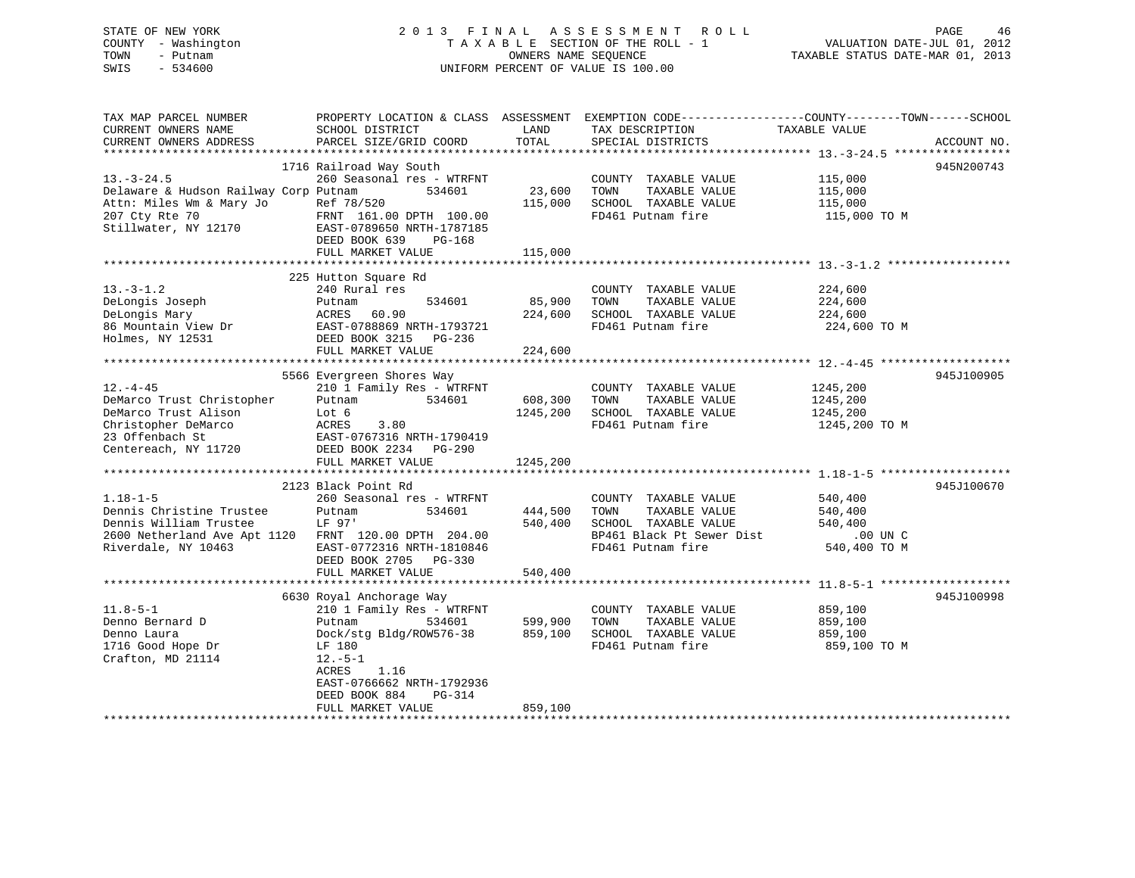| STATE OF NEW YORK<br>- Washington<br>COUNTY<br>TOWN<br>- Putnam<br>SWIS<br>$-534600$                                                   |                                                                                                 |                             | 2013 FINAL ASSESSMENT ROLL<br>TAXABLE SECTION OF THE ROLL - 1<br>OWNERS NAME SEQUENCE<br>UNIFORM PERCENT OF VALUE IS 100.00 | 46<br>PAGE<br>VALUATION DATE-JUL 01, 2012<br>TAXABLE STATUS DATE-MAR 01, 2013                 |
|----------------------------------------------------------------------------------------------------------------------------------------|-------------------------------------------------------------------------------------------------|-----------------------------|-----------------------------------------------------------------------------------------------------------------------------|-----------------------------------------------------------------------------------------------|
| TAX MAP PARCEL NUMBER<br>CURRENT OWNERS NAME<br>CURRENT OWNERS ADDRESS                                                                 | PROPERTY LOCATION & CLASS<br>SCHOOL DISTRICT<br>PARCEL SIZE/GRID COORD                          | ASSESSMENT<br>LAND<br>TOTAL | TAX DESCRIPTION<br>SPECIAL DISTRICTS                                                                                        | EXEMPTION CODE-----------------COUNTY--------TOWN------SCHOOL<br>TAXABLE VALUE<br>ACCOUNT NO. |
|                                                                                                                                        | 1716 Railroad Way South                                                                         |                             |                                                                                                                             | 945N200743                                                                                    |
| $13. - 3 - 24.5$<br>Delaware & Hudson Railway Corp Putnam 534601<br>Attn: Miles Wm & Mary Jo<br>207 Cty Rte 70<br>Stillwater, NY 12170 | 260 Seasonal res - WTRFNT<br>Ref 78/520<br>FRNT 161.00 DPTH 100.00<br>EAST-0789650 NRTH-1787185 | 23,600<br>115,000           | COUNTY<br>TAXABLE VALUE<br>TOWN<br>TAXABLE VALUE<br>TAXABLE VALUE<br>SCHOOL<br>FD461 Putnam fire                            | 115,000<br>115,000<br>115,000<br>115,000 TO M                                                 |

DEED BOOK 639 PG-168

FULL MARKET VALUE 115,000

| $13. - 3 - 1.2$<br>DeLongis Joseph<br>DeLongis Mary<br>86 Mountain View Dr<br>Holmes, NY 12531                                                      | 225 Hutton Square Rd<br>240 Rural res<br>534601<br>Putnam<br>ACRES<br>60.90<br>EAST-0788869 NRTH-1793721<br>DEED BOOK 3215 PG-236<br>FULL MARKET VALUE                                                             | 85,900<br>224,600<br>224,600    | COUNTY TAXABLE VALUE<br>TOWN<br>TAXABLE VALUE<br>SCHOOL TAXABLE VALUE<br>FD461 Putnam fire                              | 224,600<br>224,600<br>224,600<br>224,600 TO M               |            |
|-----------------------------------------------------------------------------------------------------------------------------------------------------|--------------------------------------------------------------------------------------------------------------------------------------------------------------------------------------------------------------------|---------------------------------|-------------------------------------------------------------------------------------------------------------------------|-------------------------------------------------------------|------------|
| $12. - 4 - 45$<br>DeMarco Trust Christopher<br>DeMarco Trust Alison<br>Christopher DeMarco<br>23 Offenbach St<br>Centereach, NY 11720               | 5566 Evergreen Shores Way<br>210 1 Family Res - WTRFNT<br>534601<br>Putnam<br>Lot 6<br>ACRES<br>3.80<br>EAST-0767316 NRTH-1790419<br>DEED BOOK 2234 PG-290<br>FULL MARKET VALUE                                    | 608,300<br>1245,200<br>1245,200 | COUNTY TAXABLE VALUE<br>TOWN<br>TAXABLE VALUE<br>SCHOOL TAXABLE VALUE<br>FD461 Putnam fire                              | 1245,200<br>1245,200<br>1245,200<br>1245,200 TO M           | 945J100905 |
|                                                                                                                                                     |                                                                                                                                                                                                                    |                                 |                                                                                                                         |                                                             |            |
| $1.18 - 1 - 5$<br>Dennis Christine Trustee<br>Dennis William Trustee<br>2600 Netherland Ave Apt 1120 FRNT 120.00 DPTH 204.00<br>Riverdale, NY 10463 | 2123 Black Point Rd<br>260 Seasonal res - WTRFNT<br>534601<br>Putnam<br>LF 97'<br>EAST-0772316 NRTH-1810846<br>DEED BOOK 2705 PG-330                                                                               | 444,500<br>540,400              | COUNTY TAXABLE VALUE<br>TOWN<br>TAXABLE VALUE<br>SCHOOL TAXABLE VALUE<br>BP461 Black Pt Sewer Dist<br>FD461 Putnam fire | 540,400<br>540,400<br>540,400<br>$.00$ UN C<br>540,400 TO M | 945J100670 |
|                                                                                                                                                     | FULL MARKET VALUE                                                                                                                                                                                                  | 540,400                         |                                                                                                                         |                                                             |            |
| $11.8 - 5 - 1$<br>Denno Bernard D<br>Denno Laura<br>1716 Good Hope Dr<br>Crafton, MD 21114                                                          | 6630 Royal Anchorage Way<br>210 1 Family Res - WTRFNT<br>534601<br>Putnam<br>Dock/stg Bldg/ROW576-38<br>LF 180<br>$12.-5-1$<br><b>ACRES</b><br>1.16<br>EAST-0766662 NRTH-1792936<br>DEED BOOK 884<br><b>PG-314</b> | 599,900<br>859,100              | COUNTY TAXABLE VALUE<br>TOWN<br>TAXABLE VALUE<br>SCHOOL TAXABLE VALUE<br>FD461 Putnam fire                              | 859,100<br>859,100<br>859,100<br>859,100 TO M               | 945J100998 |
|                                                                                                                                                     | FULL MARKET VALUE                                                                                                                                                                                                  | 859,100                         |                                                                                                                         |                                                             |            |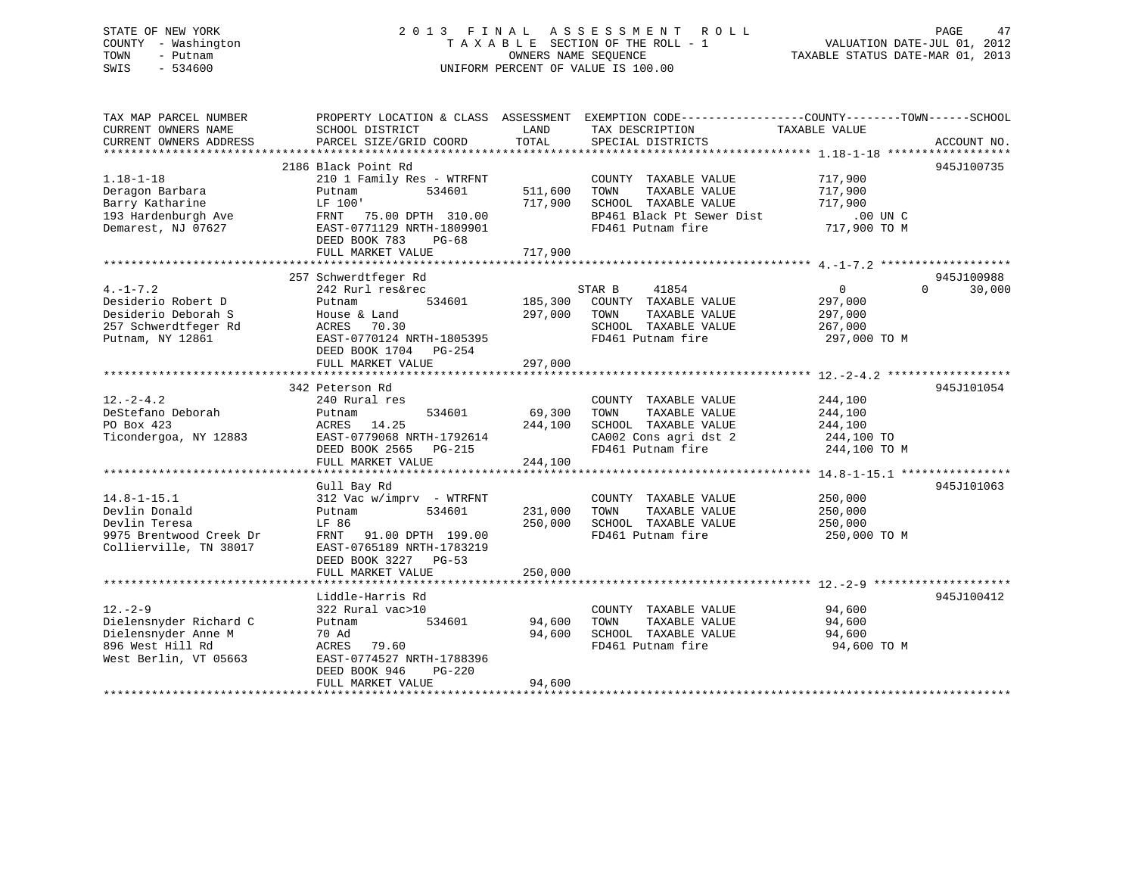## STATE OF NEW YORK 2 0 1 3 F I N A L A S S E S S M E N T R O L L PAGE 47 COUNTY - Washington T A X A B L E SECTION OF THE ROLL - 1 VALUATION DATE-JUL 01, 2012 TOWN - Putnam **CONNERS NAME SEQUENCE** TAXABLE STATUS DATE-MAR 01, 2013 SWIS - 534600 UNIFORM PERCENT OF VALUE IS 100.00

| TAX MAP PARCEL NUMBER<br>CURRENT OWNERS NAME                                                                | PROPERTY LOCATION & CLASS ASSESSMENT<br>SCHOOL DISTRICT                                                                                                          | LAND                          | EXEMPTION CODE-----------------COUNTY-------TOWN------SCHOOL<br>TAX DESCRIPTION                                         | TAXABLE VALUE                                                   |                    |
|-------------------------------------------------------------------------------------------------------------|------------------------------------------------------------------------------------------------------------------------------------------------------------------|-------------------------------|-------------------------------------------------------------------------------------------------------------------------|-----------------------------------------------------------------|--------------------|
| CURRENT OWNERS ADDRESS                                                                                      | PARCEL SIZE/GRID COORD                                                                                                                                           | TOTAL                         | SPECIAL DISTRICTS                                                                                                       |                                                                 | ACCOUNT NO.        |
|                                                                                                             | 2186 Black Point Rd                                                                                                                                              |                               |                                                                                                                         |                                                                 | 945J100735         |
| $1.18 - 1 - 18$<br>Deragon Barbara<br>Barry Katharine<br>193 Hardenburgh Ave<br>Demarest, NJ 07627          | 210 1 Family Res - WTRFNT<br>534601<br>Putnam<br>LF 100'<br>FRNT 75.00 DPTH 310.00<br>EAST-0771129 NRTH-1809901<br>DEED BOOK 783<br>$PG-68$<br>FULL MARKET VALUE | 511,600<br>717,900<br>717,900 | COUNTY TAXABLE VALUE<br>TOWN<br>TAXABLE VALUE<br>SCHOOL TAXABLE VALUE<br>BP461 Black Pt Sewer Dist<br>FD461 Putnam fire | 717,900<br>717,900<br>717,900<br>$.00$ UN $C$<br>717,900 TO M   |                    |
|                                                                                                             | 257 Schwerdtfeger Rd                                                                                                                                             |                               |                                                                                                                         |                                                                 | 945J100988         |
| $4. -1 - 7.2$<br>Desiderio Robert D<br>Desiderio Deborah S<br>257 Schwerdtfeger Rd<br>Putnam, NY 12861      | 242 Rurl res&rec<br>534601<br>Putnam<br>House & Land<br>ACRES<br>70.30<br>EAST-0770124 NRTH-1805395<br>DEED BOOK 1704 PG-254<br>FULL MARKET VALUE                | 185,300<br>297,000<br>297,000 | STAR B<br>41854<br>COUNTY TAXABLE VALUE<br>TOWN<br>TAXABLE VALUE<br>SCHOOL TAXABLE VALUE<br>FD461 Putnam fire           | $\overline{0}$<br>297,000<br>297,000<br>267,000<br>297,000 TO M | $\Omega$<br>30,000 |
|                                                                                                             |                                                                                                                                                                  |                               |                                                                                                                         |                                                                 |                    |
| $12. - 2 - 4.2$<br>DeStefano Deborah<br>PO Box 423<br>Ticondergoa, NY 12883                                 | 342 Peterson Rd<br>240 Rural res<br>534601<br>Putnam<br>ACRES 14.25<br>EAST-0779068 NRTH-1792614<br>DEED BOOK 2565 PG-215<br>FULL MARKET VALUE                   | 69,300<br>244,100<br>244,100  | COUNTY TAXABLE VALUE<br>TOWN<br>TAXABLE VALUE<br>SCHOOL TAXABLE VALUE<br>CA002 Cons agri dst 2<br>FD461 Putnam fire     | 244,100<br>244,100<br>244,100<br>244,100 TO<br>244,100 TO M     | 945J101054         |
|                                                                                                             | Gull Bay Rd                                                                                                                                                      |                               |                                                                                                                         |                                                                 | 945J101063         |
| $14.8 - 1 - 15.1$<br>Devlin Donald<br>Devlin Teresa<br>9975 Brentwood Creek Dr<br>Collierville, TN 38017    | 312 Vac w/imprv - WTRFNT<br>534601<br>Putnam<br>LF 86<br>FRNT 91.00 DPTH 199.00<br>EAST-0765189 NRTH-1783219<br>DEED BOOK 3227 PG-53<br>FULL MARKET VALUE        | 231,000<br>250,000<br>250,000 | COUNTY TAXABLE VALUE<br>TAXABLE VALUE<br>TOWN<br>SCHOOL TAXABLE VALUE<br>FD461 Putnam fire                              | 250,000<br>250,000<br>250,000<br>250,000 TO M                   |                    |
|                                                                                                             |                                                                                                                                                                  |                               |                                                                                                                         |                                                                 |                    |
| $12. - 2 - 9$<br>Dielensnyder Richard C<br>Dielensnyder Anne M<br>896 West Hill Rd<br>West Berlin, VT 05663 | Liddle-Harris Rd<br>322 Rural vac>10<br>534601<br>Putnam<br>70 Ad<br>ACRES 79.60<br>EAST-0774527 NRTH-1788396<br>DEED BOOK 946<br>PG-220<br>FULL MARKET VALUE    | 94,600<br>94,600<br>94,600    | COUNTY TAXABLE VALUE<br>TOWN<br>TAXABLE VALUE<br>SCHOOL TAXABLE VALUE<br>FD461 Putnam fire                              | 94,600<br>94,600<br>94,600<br>94,600 TO M                       | 945J100412         |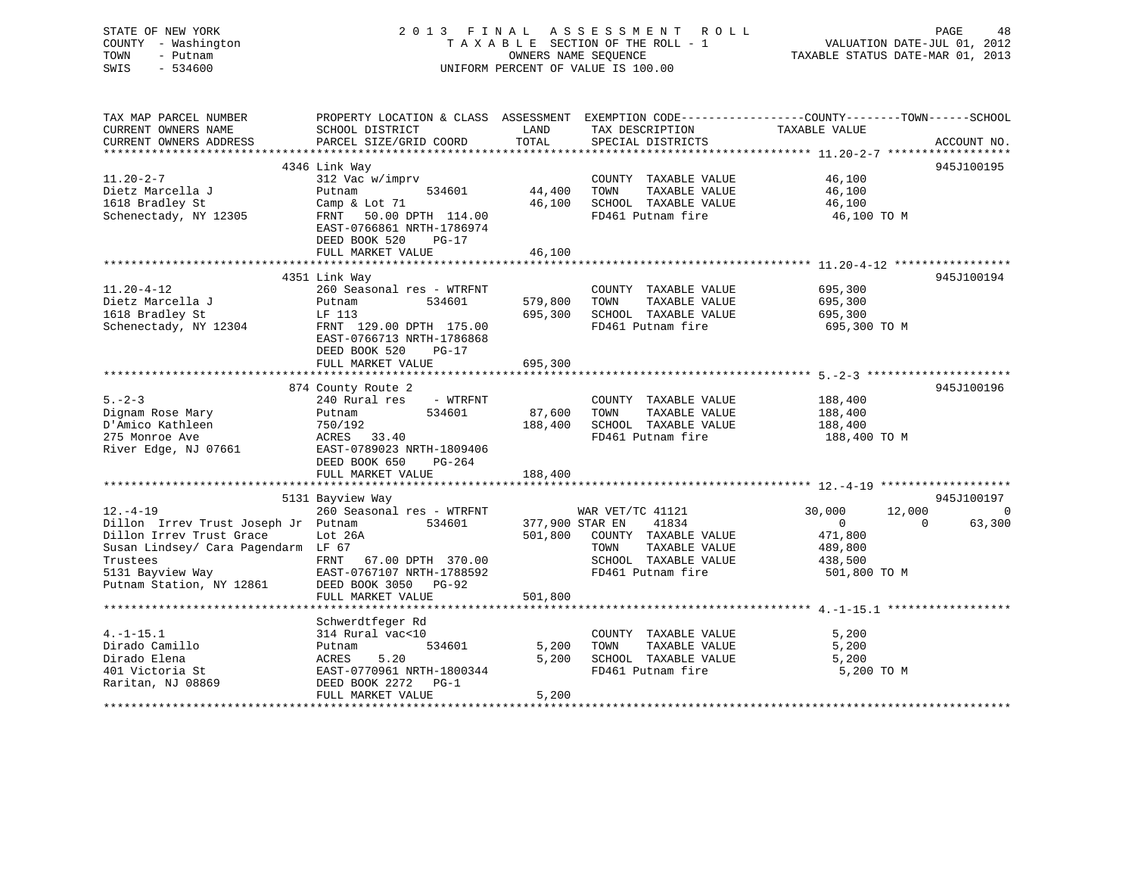## STATE OF NEW YORK 2 0 1 3 F I N A L A S S E S S M E N T R O L L PAGE 48 COUNTY - Washington T A X A B L E SECTION OF THE ROLL - 1 VALUATION DATE-JUL 01, 2012 TOWN - Putnam **CONNERS NAME SEQUENCE** TAXABLE STATUS DATE-MAR 01, 2013 SWIS - 534600 UNIFORM PERCENT OF VALUE IS 100.00

| TAX MAP PARCEL NUMBER<br>CURRENT OWNERS NAME | SCHOOL DISTRICT                                     | LAND             | TAX DESCRIPTION                               | PROPERTY LOCATION & CLASS ASSESSMENT EXEMPTION CODE----------------COUNTY-------TOWN------SCHOOL<br>TAXABLE VALUE |
|----------------------------------------------|-----------------------------------------------------|------------------|-----------------------------------------------|-------------------------------------------------------------------------------------------------------------------|
| CURRENT OWNERS ADDRESS                       | PARCEL SIZE/GRID COORD                              | TOTAL            | SPECIAL DISTRICTS                             | ACCOUNT NO.                                                                                                       |
|                                              |                                                     |                  |                                               |                                                                                                                   |
|                                              | 4346 Link Way                                       |                  |                                               | 945J100195                                                                                                        |
| $11.20 - 2 - 7$                              | 312 Vac w/imprv                                     |                  | COUNTY TAXABLE VALUE                          | 46,100                                                                                                            |
| Dietz Marcella J<br>1618 Bradley St          | Putnam<br>534601                                    | 44,400<br>46,100 | TOWN<br>TAXABLE VALUE<br>SCHOOL TAXABLE VALUE | 46,100                                                                                                            |
| Schenectady, NY 12305                        | Camp & Lot 71                                       |                  | FD461 Putnam fire                             | 46,100                                                                                                            |
|                                              | FRNT 50.00 DPTH 114.00<br>EAST-0766861 NRTH-1786974 |                  |                                               | 46,100 TO M                                                                                                       |
|                                              | DEED BOOK 520<br>$PG-17$                            |                  |                                               |                                                                                                                   |
|                                              | FULL MARKET VALUE                                   | 46,100           |                                               |                                                                                                                   |
|                                              |                                                     |                  |                                               |                                                                                                                   |
|                                              | 4351 Link Way                                       |                  |                                               | 945J100194                                                                                                        |
| $11.20 - 4 - 12$                             | 260 Seasonal res - WTRFNT                           |                  | COUNTY TAXABLE VALUE                          | 695,300                                                                                                           |
| Dietz Marcella J                             | Putnam<br>534601                                    | 579,800          | TOWN<br>TAXABLE VALUE                         | 695,300                                                                                                           |
| 1618 Bradley St                              | LF 113                                              | 695,300          | SCHOOL TAXABLE VALUE                          | 695,300                                                                                                           |
| Schenectady, NY 12304                        | FRNT 129.00 DPTH 175.00                             |                  | FD461 Putnam fire                             | 695,300 TO M                                                                                                      |
|                                              | EAST-0766713 NRTH-1786868                           |                  |                                               |                                                                                                                   |
|                                              | DEED BOOK 520<br>PG-17                              |                  |                                               |                                                                                                                   |
|                                              | FULL MARKET VALUE                                   | 695,300          |                                               |                                                                                                                   |
|                                              |                                                     |                  |                                               |                                                                                                                   |
|                                              | 874 County Route 2                                  |                  |                                               | 945J100196                                                                                                        |
| $5. - 2 - 3$                                 | 240 Rural res<br>- WTRFNT                           |                  | COUNTY TAXABLE VALUE                          | 188,400                                                                                                           |
| Dignam Rose Mary                             | 534601<br>Putnam                                    | 87,600           | TOWN<br>TAXABLE VALUE                         | 188,400                                                                                                           |
| D'Amico Kathleen                             | 750/192                                             | 188,400          | SCHOOL TAXABLE VALUE                          | 188,400                                                                                                           |
| 275 Monroe Ave                               | ACRES 33.40                                         |                  | FD461 Putnam fire                             | 188,400 TO M                                                                                                      |
| River Edge, NJ 07661                         | EAST-0789023 NRTH-1809406                           |                  |                                               |                                                                                                                   |
|                                              | DEED BOOK 650<br>PG-264                             |                  |                                               |                                                                                                                   |
|                                              | FULL MARKET VALUE                                   | 188,400          |                                               |                                                                                                                   |
|                                              |                                                     |                  |                                               |                                                                                                                   |
|                                              | 5131 Bayview Way                                    |                  |                                               | 945J100197                                                                                                        |
| $12. - 4 - 19$                               | 260 Seasonal res - WTRFNT                           |                  | WAR VET/TC 41121                              | 30,000<br>12,000<br>$\overline{0}$                                                                                |
| Dillon Irrev Trust Joseph Jr Putnam          | 534601                                              | 377,900 STAR EN  | 41834                                         | 63,300<br>$\overline{0}$<br>$\Omega$                                                                              |
| Dillon Irrev Trust Grace                     | Lot 26A                                             | 501,800          | COUNTY TAXABLE VALUE                          | 471,800                                                                                                           |
| Susan Lindsey/ Cara Pagendarm LF 67          |                                                     |                  | TOWN<br>TAXABLE VALUE                         | 489,800                                                                                                           |
| Trustees                                     | FRNT<br>67.00 DPTH 370.00                           |                  | SCHOOL TAXABLE VALUE                          | 438,500                                                                                                           |
| 5131 Bayview Way                             | EAST-0767107 NRTH-1788592                           |                  | FD461 Putnam fire                             | 501,800 TO M                                                                                                      |
| Putnam Station, NY 12861                     | DEED BOOK 3050 PG-92                                |                  |                                               |                                                                                                                   |
|                                              | FULL MARKET VALUE                                   | 501,800          |                                               |                                                                                                                   |
|                                              |                                                     |                  |                                               |                                                                                                                   |
| $4. -1 - 15.1$                               | Schwerdtfeger Rd<br>314 Rural vac<10                |                  | COUNTY TAXABLE VALUE                          | 5,200                                                                                                             |
| Dirado Camillo                               | 534601<br>Putnam                                    | 5,200            | TAXABLE VALUE<br>TOWN                         | 5,200                                                                                                             |
| Dirado Elena                                 | 5.20<br>ACRES                                       | 5,200            | SCHOOL TAXABLE VALUE                          | 5,200                                                                                                             |
| 401 Victoria St                              | EAST-0770961 NRTH-1800344                           |                  | FD461 Putnam fire                             | 5,200 TO M                                                                                                        |
| Raritan, NJ 08869                            | DEED BOOK 2272 PG-1                                 |                  |                                               |                                                                                                                   |
|                                              | FULL MARKET VALUE                                   | 5,200            |                                               |                                                                                                                   |
|                                              |                                                     |                  |                                               |                                                                                                                   |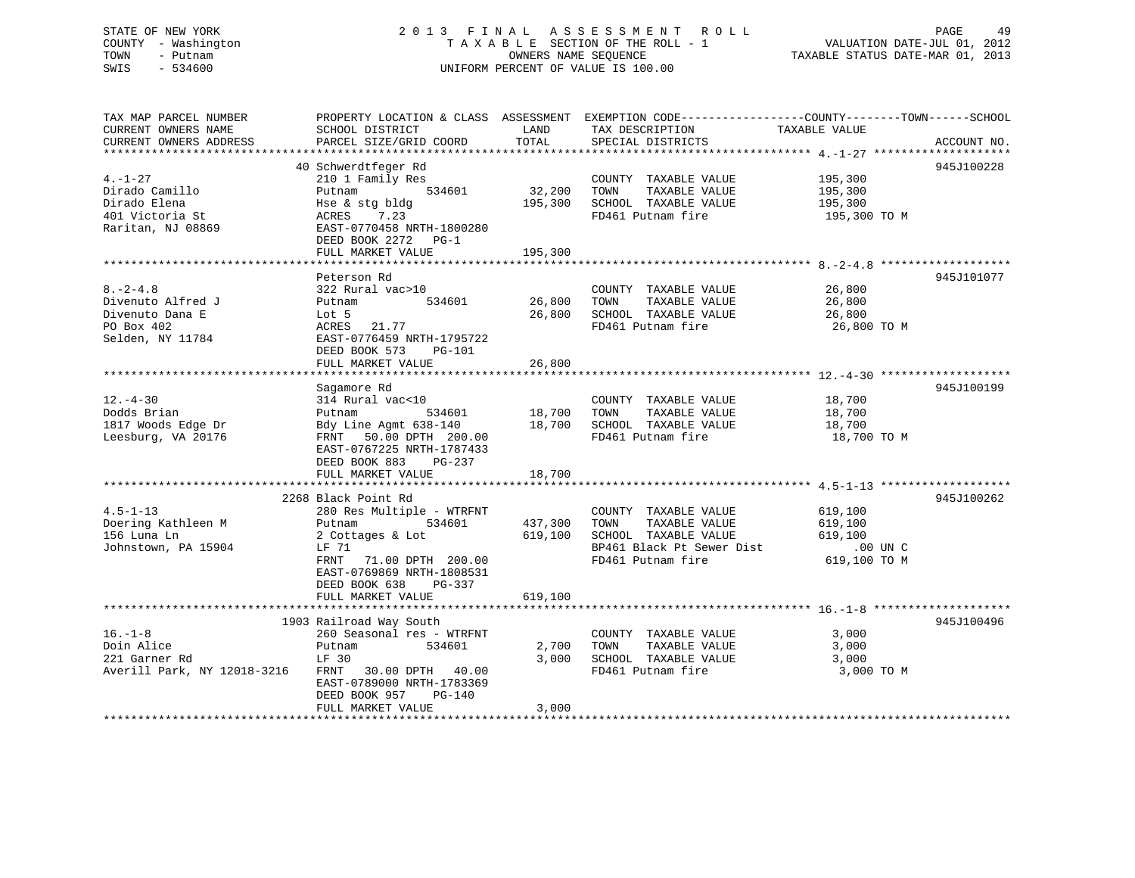## STATE OF NEW YORK 2 0 1 3 F I N A L A S S E S S M E N T R O L L PAGE 49 COUNTY - Washington T A X A B L E SECTION OF THE ROLL - 1 VALUATION DATE-JUL 01, 2012 TOWN - Putnam OWNERS NAME SEQUENCE TAXABLE STATUS DATE-MAR 01, 2013 SWIS - 534600 UNIFORM PERCENT OF VALUE IS 100.00

| TAX MAP PARCEL NUMBER       | PROPERTY LOCATION & CLASS ASSESSMENT EXEMPTION CODE----------------COUNTY-------TOWN------SCHOOL                                         |         |                                                                      |               |             |
|-----------------------------|------------------------------------------------------------------------------------------------------------------------------------------|---------|----------------------------------------------------------------------|---------------|-------------|
| CURRENT OWNERS NAME         | SCHOOL DISTRICT                                                                                                                          | LAND    | TAX DESCRIPTION                                                      | TAXABLE VALUE |             |
| CURRENT OWNERS ADDRESS      | PARCEL SIZE/GRID COORD                                                                                                                   | TOTAL   | SPECIAL DISTRICTS                                                    |               | ACCOUNT NO. |
|                             |                                                                                                                                          |         |                                                                      |               |             |
|                             | 40 Schwerdtfeger Rd                                                                                                                      |         |                                                                      |               | 945J100228  |
| $4. -1 - 27$                | 210 1 Family Res                                                                                                                         |         | COUNTY TAXABLE VALUE                                                 | 195,300       |             |
| Dirado Camillo              | $534601$ 32,200<br>Putnam                                                                                                                |         | TOWN<br>TAXABLE VALUE                                                | 195,300       |             |
| Dirado Elena                | Hse & stg bldg                                                                                                                           | 195,300 | SCHOOL TAXABLE VALUE                                                 | 195,300       |             |
| 401 Victoria St             | ACRES 7.23                                                                                                                               |         | FD461 Putnam fire                                                    | 195,300 TO M  |             |
| Raritan, NJ 08869           | EAST-0770458 NRTH-1800280                                                                                                                |         |                                                                      |               |             |
|                             | DEED BOOK 2272 PG-1                                                                                                                      |         |                                                                      |               |             |
|                             | FULL MARKET VALUE                                                                                                                        | 195,300 |                                                                      |               |             |
|                             |                                                                                                                                          |         |                                                                      |               |             |
|                             | Peterson Rd                                                                                                                              |         |                                                                      |               | 945J101077  |
| $8. -2 - 4.8$               |                                                                                                                                          |         |                                                                      |               |             |
|                             | 322 Rural vac>10<br>Putnam 534601 26,800                                                                                                 |         | COUNTY TAXABLE VALUE                                                 | 26,800        |             |
| Divenuto Alfred J           |                                                                                                                                          |         | TOWN<br>TAXABLE VALUE                                                | 26,800        |             |
| Divenuto Dana E             | Lot 5                                                                                                                                    | 26,800  | SCHOOL TAXABLE VALUE                                                 | 26,800        |             |
| PO Box 402                  | ACRES<br>21.77                                                                                                                           |         | FD461 Putnam fire                                                    | 26,800 TO M   |             |
| Selden, NY 11784            | EAST-0776459 NRTH-1795722                                                                                                                |         |                                                                      |               |             |
|                             | DEED BOOK 573 PG-101                                                                                                                     |         |                                                                      |               |             |
|                             | FULL MARKET VALUE                                                                                                                        | 26,800  |                                                                      |               |             |
|                             |                                                                                                                                          |         |                                                                      |               |             |
|                             | Sagamore Rd                                                                                                                              |         |                                                                      |               | 945J100199  |
| $12. - 4 - 30$              | 314 Rural vac<10                                                                                                                         |         | COUNTY TAXABLE VALUE 18,700                                          |               |             |
| Dodds Brian                 |                                                                                                                                          |         | TOWN TAXABLE VALUE                                                   | 18,700        |             |
| 1817 Woods Edge Dr          | Putnam 534601 18,700 TOWN TAXABLE VALUE<br>Bdy Line Agmt 638-140 18,700 SCHOOL TAXABLE VALUE<br>FRNT 50.00 DPTH 200.00 FD461 Putnam fire |         |                                                                      | 18,700        |             |
| Leesburg, VA 20176          |                                                                                                                                          |         | FD461 Putnam fire 18,700 TO M                                        |               |             |
|                             | EAST-0767225 NRTH-1787433                                                                                                                |         |                                                                      |               |             |
|                             | DEED BOOK 883 PG-237                                                                                                                     |         |                                                                      |               |             |
|                             | FULL MARKET VALUE                                                                                                                        | 18,700  |                                                                      |               |             |
|                             |                                                                                                                                          |         |                                                                      |               |             |
|                             | 2268 Black Point Rd                                                                                                                      |         |                                                                      |               | 945J100262  |
| $4.5 - 1 - 13$              |                                                                                                                                          |         | COUNTY TAXABLE VALUE 619,100                                         |               |             |
| Doering Kathleen M          | 280 Res Multiple - WTRFNT<br>Putnam 534601 437,300<br>Putnam                                                                             |         | TOWN TAXABLE VALUE                                                   | 619,100       |             |
| 156 Luna Ln                 | 2 Cottages & Lot 619,100                                                                                                                 |         | SCHOOL TAXABLE VALUE 619,100                                         |               |             |
| Johnstown, PA 15904         | LF 71                                                                                                                                    |         |                                                                      |               |             |
|                             | FRNT<br>71.00 DPTH 200.00                                                                                                                |         | BP461 Black Pt Sewer Dist .00 UN C<br>FD461 Putnam fire 619,100 TO M |               |             |
|                             | EAST-0769869 NRTH-1808531                                                                                                                |         |                                                                      |               |             |
|                             | DEED BOOK 638<br>PG-337                                                                                                                  |         |                                                                      |               |             |
|                             | FULL MARKET VALUE                                                                                                                        | 619,100 |                                                                      |               |             |
|                             |                                                                                                                                          |         |                                                                      |               |             |
|                             | 1903 Railroad Way South                                                                                                                  |         |                                                                      |               | 945J100496  |
| $16. - 1 - 8$               | 260 Seasonal res - WTRFNT                                                                                                                |         |                                                                      | 3,000         |             |
| Doin Alice                  | Putnam<br>534601                                                                                                                         | 2,700   | COUNTY TAXABLE VALUE<br>TAXABLE VALUE<br>TOWN                        | 3,000         |             |
| 221 Garner Rd               | LF 30                                                                                                                                    | 3,000   | SCHOOL TAXABLE VALUE                                                 | 3,000         |             |
|                             |                                                                                                                                          |         |                                                                      |               |             |
| Averill Park, NY 12018-3216 | FRNT 30.00 DPTH 40.00                                                                                                                    |         | FD461 Putnam fire                                                    | 3,000 TO M    |             |
|                             | EAST-0789000 NRTH-1783369                                                                                                                |         |                                                                      |               |             |
|                             | DEED BOOK 957 PG-140                                                                                                                     |         |                                                                      |               |             |
|                             | FULL MARKET VALUE                                                                                                                        | 3,000   |                                                                      |               |             |
|                             |                                                                                                                                          |         |                                                                      |               |             |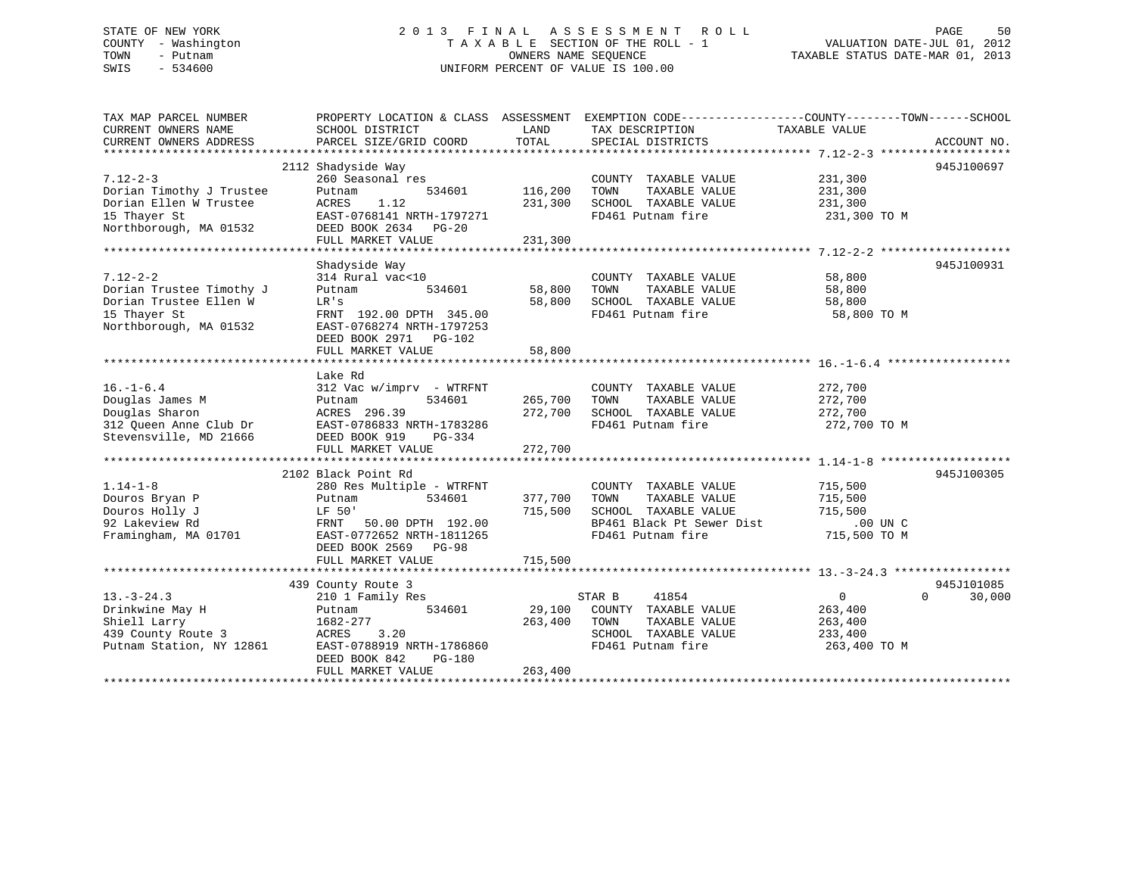## STATE OF NEW YORK 2 0 1 3 F I N A L A S S E S S M E N T R O L L PAGE 50 COUNTY - Washington T A X A B L E SECTION OF THE ROLL - 1 VALUATION DATE-JUL 01, 2012 TOWN - Putnam OWNERS NAME SEQUENCE TAXABLE STATUS DATE-MAR 01, 2013 SWIS - 534600 UNIFORM PERCENT OF VALUE IS 100.00

| TAX MAP PARCEL NUMBER<br>CURRENT OWNERS NAME<br>CURRENT OWNERS ADDRESS | SCHOOL DISTRICT<br>PARCEL SIZE/GRID COORD                               | LAND<br>TOTAL | PROPERTY LOCATION & CLASS ASSESSMENT EXEMPTION CODE---------------COUNTY-------TOWN-----SCHOOL<br>TAX DESCRIPTION<br>SPECIAL DISTRICTS | TAXABLE VALUE           | ACCOUNT NO.        |
|------------------------------------------------------------------------|-------------------------------------------------------------------------|---------------|----------------------------------------------------------------------------------------------------------------------------------------|-------------------------|--------------------|
|                                                                        |                                                                         |               |                                                                                                                                        |                         |                    |
|                                                                        | 2112 Shadyside Way                                                      |               |                                                                                                                                        |                         | 945J100697         |
| $7.12 - 2 - 3$<br>Dorian Timothy J Trustee                             | 260 Seasonal res<br>534601<br>Putnam                                    | 116,200       | COUNTY TAXABLE VALUE<br>TAXABLE VALUE<br>TOWN                                                                                          | 231,300<br>231,300      |                    |
| Dorian Ellen W Trustee<br>15 Thayer St                                 | 1.12<br>ACRES<br>EAST-0768141 NRTH-1797271                              | 231,300       | SCHOOL TAXABLE VALUE<br>FD461 Putnam fire                                                                                              | 231,300<br>231,300 TO M |                    |
| Northborough, MA 01532                                                 | DEED BOOK 2634 PG-20<br>FULL MARKET VALUE                               | 231,300       |                                                                                                                                        |                         |                    |
|                                                                        |                                                                         |               |                                                                                                                                        |                         |                    |
|                                                                        | Shadyside Way                                                           |               |                                                                                                                                        |                         | 945J100931         |
| $7.12 - 2 - 2$<br>Dorian Trustee Timothy J                             | 314 Rural vac<10<br>534601<br>Putnam                                    | 58,800        | COUNTY TAXABLE VALUE<br>TOWN<br>TAXABLE VALUE                                                                                          | 58,800<br>58,800        |                    |
| Dorian Trustee Ellen W<br>15 Thayer St                                 | LR's<br>FRNT 192.00 DPTH 345.00                                         | 58,800        | SCHOOL TAXABLE VALUE<br>FD461 Putnam fire                                                                                              | 58,800<br>58,800 TO M   |                    |
| Northborough, MA 01532                                                 | EAST-0768274 NRTH-1797253<br>DEED BOOK 2971 PG-102<br>FULL MARKET VALUE | 58,800        |                                                                                                                                        |                         |                    |
|                                                                        |                                                                         |               |                                                                                                                                        |                         |                    |
|                                                                        | Lake Rd                                                                 |               |                                                                                                                                        |                         |                    |
| $16. - 1 - 6.4$                                                        | 312 Vac w/imprv - WTRFNT                                                |               | COUNTY TAXABLE VALUE                                                                                                                   | 272,700                 |                    |
| Douglas James M                                                        | 534601<br>Putnam                                                        | 265,700       | TOWN<br>TAXABLE VALUE                                                                                                                  | 272,700                 |                    |
| Douglas Sharon                                                         | ACRES 296.39                                                            | 272,700       | SCHOOL TAXABLE VALUE                                                                                                                   | 272,700                 |                    |
| 312 Oueen Anne Club Dr                                                 | EAST-0786833 NRTH-1783286                                               |               | FD461 Putnam fire                                                                                                                      | 272,700 TO M            |                    |
| Stevensville, MD 21666                                                 | DEED BOOK 919<br>PG-334<br>FULL MARKET VALUE                            | 272,700       |                                                                                                                                        |                         |                    |
|                                                                        |                                                                         |               |                                                                                                                                        |                         |                    |
|                                                                        | 2102 Black Point Rd                                                     |               |                                                                                                                                        |                         | 945J100305         |
| $1.14 - 1 - 8$                                                         | 280 Res Multiple - WTRFNT                                               |               | COUNTY TAXABLE VALUE                                                                                                                   | 715,500                 |                    |
| Douros Bryan P                                                         | 534601<br>Putnam                                                        | 377,700       | TOWN<br>TAXABLE VALUE                                                                                                                  | 715,500                 |                    |
| Douros Holly J                                                         | LF 50'                                                                  | 715,500       | SCHOOL TAXABLE VALUE                                                                                                                   | 715,500                 |                    |
| 92 Lakeview Rd                                                         | 50.00 DPTH 192.00<br>FRNT                                               |               | BP461 Black Pt Sewer Dist                                                                                                              | $.00$ UN $C$            |                    |
| Framingham, MA 01701                                                   | EAST-0772652 NRTH-1811265<br>DEED BOOK 2569 PG-98                       |               | FD461 Putnam fire                                                                                                                      | 715,500 TO M            |                    |
|                                                                        | FULL MARKET VALUE                                                       | 715,500       |                                                                                                                                        |                         |                    |
|                                                                        | 439 County Route 3                                                      |               |                                                                                                                                        |                         | 945J101085         |
| $13. - 3 - 24.3$                                                       | 210 1 Family Res                                                        |               | STAR B<br>41854                                                                                                                        | $\Omega$                | $\Omega$<br>30,000 |
| Drinkwine May H                                                        | 534601<br>Putnam                                                        | 29,100        | COUNTY TAXABLE VALUE                                                                                                                   | 263,400                 |                    |
| Shiell Larry<br>439 County Route 3                                     | 1682-277<br>ACRES                                                       | 263,400       | TAXABLE VALUE<br>TOWN                                                                                                                  | 263,400                 |                    |
| Putnam Station, NY 12861                                               | 3.20<br>EAST-0788919 NRTH-1786860                                       |               | SCHOOL TAXABLE VALUE<br>FD461 Putnam fire                                                                                              | 233,400                 |                    |
|                                                                        | DEED BOOK 842<br>PG-180<br>FULL MARKET VALUE                            | 263,400       |                                                                                                                                        | 263,400 TO M            |                    |
|                                                                        |                                                                         |               |                                                                                                                                        |                         |                    |
|                                                                        |                                                                         |               |                                                                                                                                        |                         |                    |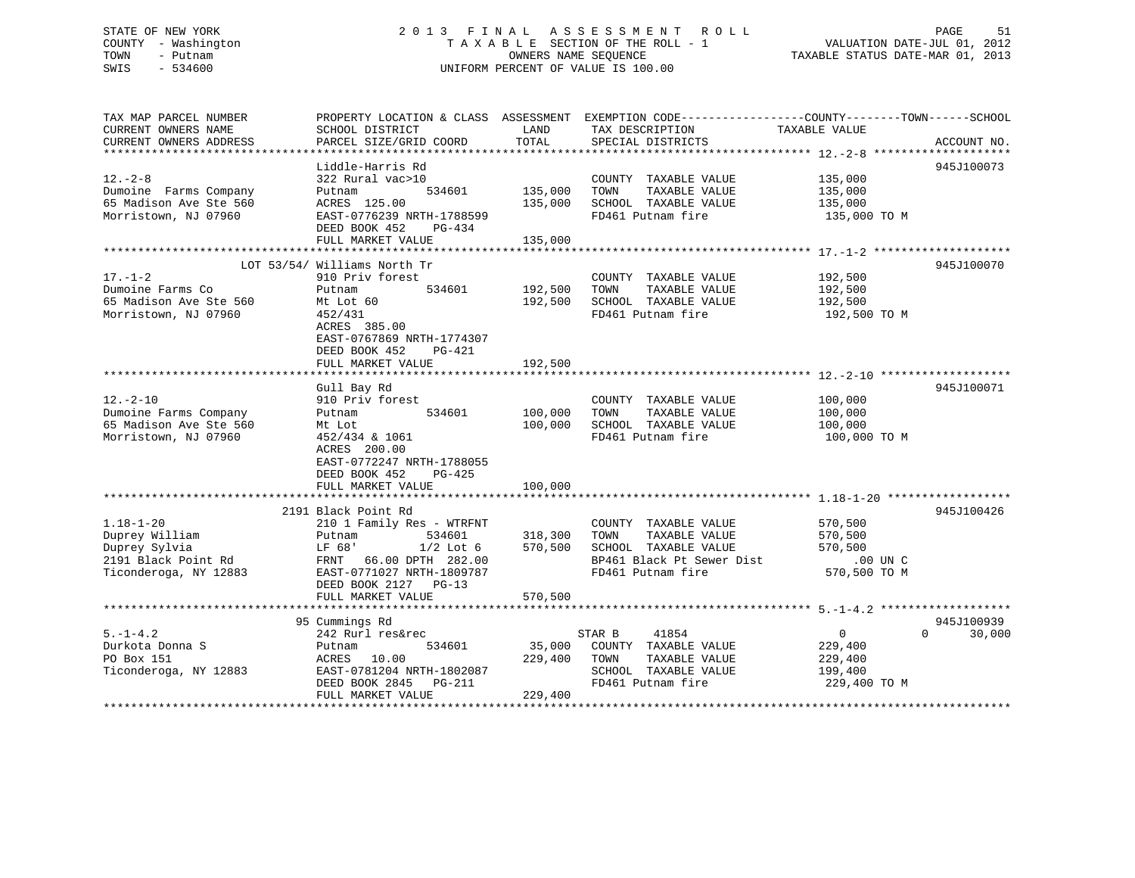## STATE OF NEW YORK 2 0 1 3 F I N A L A S S E S S M E N T R O L L PAGE 51 COUNTY - Washington T A X A B L E SECTION OF THE ROLL - 1 VALUATION DATE-JUL 01, 2012 TOWN - Putnam OWNERS NAME SEQUENCE TAXABLE STATUS DATE-MAR 01, 2013 SWIS - 534600 UNIFORM PERCENT OF VALUE IS 100.00

TAX MAP PARCEL NUMBER PROPERTY LOCATION & CLASS ASSESSMENT EXEMPTION CODE------------------COUNTY--------TOWN------SCHOOL CURRENT OWNERS NAME SCHOOL DISTRICT THE LAND TAX DESCRIPTION TAXABLE VALUE CURRENT OWNERS ADDRESS PARCEL SIZE/GRID COORD TOTAL SPECIAL DISTRICTS ACCOUNT NO. \*\*\*\*\*\*\*\*\*\*\*\*\*\*\*\*\*\*\*\*\*\*\*\*\*\*\*\*\*\*\*\*\*\*\*\*\*\*\*\*\*\*\*\*\*\*\*\*\*\*\*\*\*\*\*\*\*\*\*\*\*\*\*\*\*\*\*\*\*\*\*\*\*\*\*\*\*\*\*\*\*\*\*\*\*\*\*\*\*\*\*\*\*\*\*\*\*\*\*\*\*\*\* 12.-2-8 \*\*\*\*\*\*\*\*\*\*\*\*\*\*\*\*\*\*\*\* Liddle-Harris Rd 945J10007312.-2-8 322 Rural vac>10 COUNTY TAXABLE VALUE 135,000 Dumoine Farms Company Putnam 534601 135,000 TOWN TAXABLE VALUE 135,000 65 Madison Ave Ste 560 ACRES 125.00 135,000 SCHOOL TAXABLE VALUE 135,000 Morristown, NJ 07960 EAST-0776239 NRTH-1788599 FD461 Putnam fire 135,000 TO M DEED BOOK 452 PG-434 FULL MARKET VALUE 135,000 \*\*\*\*\*\*\*\*\*\*\*\*\*\*\*\*\*\*\*\*\*\*\*\*\*\*\*\*\*\*\*\*\*\*\*\*\*\*\*\*\*\*\*\*\*\*\*\*\*\*\*\*\*\*\*\*\*\*\*\*\*\*\*\*\*\*\*\*\*\*\*\*\*\*\*\*\*\*\*\*\*\*\*\*\*\*\*\*\*\*\*\*\*\*\*\*\*\*\*\*\*\*\* 17.-1-2 \*\*\*\*\*\*\*\*\*\*\*\*\*\*\*\*\*\*\*\* LOT 53/54/ Williams North Tr 945J100070 17.-1-2 910 Priv forest COUNTY TAXABLE VALUE 192,500 Dumoine Farms Co Putnam 534601 192,500 TOWN TAXABLE VALUE 192,500 65 Madison Ave Ste 560 Mt Lot 60 192,500 SCHOOL TAXABLE VALUE 192,500 Morristown, NJ 07960 452/431 FD461 Putnam fire 192,500 TO M ACRES 385.00 EAST-0767869 NRTH-1774307 DEED BOOK 452 PG-421FULL MARKET VALUE 192,500 \*\*\*\*\*\*\*\*\*\*\*\*\*\*\*\*\*\*\*\*\*\*\*\*\*\*\*\*\*\*\*\*\*\*\*\*\*\*\*\*\*\*\*\*\*\*\*\*\*\*\*\*\*\*\*\*\*\*\*\*\*\*\*\*\*\*\*\*\*\*\*\*\*\*\*\*\*\*\*\*\*\*\*\*\*\*\*\*\*\*\*\*\*\*\*\*\*\*\*\*\*\*\* 12.-2-10 \*\*\*\*\*\*\*\*\*\*\*\*\*\*\*\*\*\*\* Gull Bay Rd 945J100071 12.-2-10 910 Priv forest COUNTY TAXABLE VALUE 100,000 Dumoine Farms Company Putnam 534601 100,000 TOWN TAXABLE VALUE 100,000 65 Madison Ave Ste 560 Mt Lot 100,000 SCHOOL TAXABLE VALUE 100,000 Morristown, NJ 07960 452/434 & 1061 FD461 Putnam fire 100,000 TO M ACRES 200.00 EAST-0772247 NRTH-1788055 DEED BOOK 452 PG-425 FULL MARKET VALUE 100,000 \*\*\*\*\*\*\*\*\*\*\*\*\*\*\*\*\*\*\*\*\*\*\*\*\*\*\*\*\*\*\*\*\*\*\*\*\*\*\*\*\*\*\*\*\*\*\*\*\*\*\*\*\*\*\*\*\*\*\*\*\*\*\*\*\*\*\*\*\*\*\*\*\*\*\*\*\*\*\*\*\*\*\*\*\*\*\*\*\*\*\*\*\*\*\*\*\*\*\*\*\*\*\* 1.18-1-20 \*\*\*\*\*\*\*\*\*\*\*\*\*\*\*\*\*\* 2191 Black Point Rd 945J1004261.18-1-20 210 1 Family Res - WTRFNT COUNTY TAXABLE VALUE 570,500 Duprey William Putnam 534601 318,300 TOWN TAXABLE VALUE 570,500 Duprey Sylvia LF 68' 1/2 Lot 6 570,500 SCHOOL TAXABLE VALUE 570,500 2191 Black Point Rd FRNT 66.00 DPTH 282.00 BP461 Black Pt Sewer Dist .00 UN C  $570,500$  TO M Ticonderoga, NY 12883 EAST-0771027 NRTH-1809787 FD461 Putnam fire DEED BOOK 2127 PG-13FULL MARKET VALUE 570,500 \*\*\*\*\*\*\*\*\*\*\*\*\*\*\*\*\*\*\*\*\*\*\*\*\*\*\*\*\*\*\*\*\*\*\*\*\*\*\*\*\*\*\*\*\*\*\*\*\*\*\*\*\*\*\*\*\*\*\*\*\*\*\*\*\*\*\*\*\*\*\*\*\*\*\*\*\*\*\*\*\*\*\*\*\*\*\*\*\*\*\*\*\*\*\*\*\*\*\*\*\*\*\* 5.-1-4.2 \*\*\*\*\*\*\*\*\*\*\*\*\*\*\*\*\*\*\* 95 Cummings Rd 945J100939 5.-1-4.2 242 Rurl res&rec STAR B 41854 0 0 30,000 Durkota Donna S Putnam 534601 35,000 COUNTY TAXABLE VALUE 229,400 PO Box 151 ACRES 10.00 229,400 TOWN TAXABLE VALUE 229,400 Ticonderoga, NY 12883 EAST-0781204 NRTH-1802087 SCHOOL TAXABLE VALUE 199,400 DEED BOOK 2845 PG-211 FD461 Putnam fire 229,400 TO M DEED BOOK 2845 PG-211<br>FULL MARKET VALUE 229,400 \*\*\*\*\*\*\*\*\*\*\*\*\*\*\*\*\*\*\*\*\*\*\*\*\*\*\*\*\*\*\*\*\*\*\*\*\*\*\*\*\*\*\*\*\*\*\*\*\*\*\*\*\*\*\*\*\*\*\*\*\*\*\*\*\*\*\*\*\*\*\*\*\*\*\*\*\*\*\*\*\*\*\*\*\*\*\*\*\*\*\*\*\*\*\*\*\*\*\*\*\*\*\*\*\*\*\*\*\*\*\*\*\*\*\*\*\*\*\*\*\*\*\*\*\*\*\*\*\*\*\*\*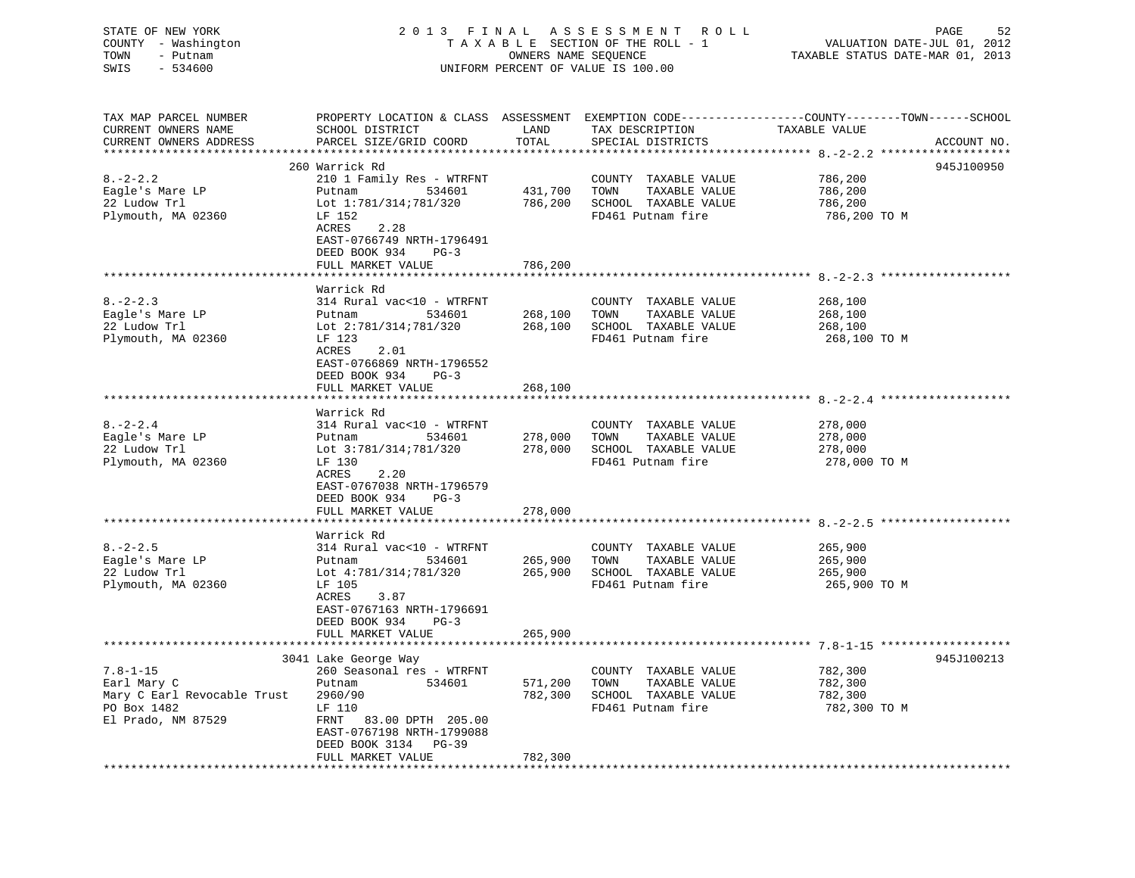STATE OF NEW YORK 2 0 1 3 F I N A L A S S E S S M E N T R O L L PAGE 52 COUNTY - Washington T A X A B L E SECTION OF THE ROLL - 1 VALUATION DATE-JUL 01, 2012 TOWN - Putnam **CONNERS NAME SEQUENCE** TAXABLE STATUS DATE-MAR 01, 2013 SWIS - 534600 UNIFORM PERCENT OF VALUE IS 100.00

| TAX MAP PARCEL NUMBER<br>CURRENT OWNERS NAME<br>CURRENT OWNERS ADDRESS | SCHOOL DISTRICT<br>PARCEL SIZE/GRID COORD | LAND<br>TOTAL | TAX DESCRIPTION<br>SPECIAL DISTRICTS | PROPERTY LOCATION & CLASS ASSESSMENT EXEMPTION CODE----------------COUNTY-------TOWN------SCHOOL<br>TAXABLE VALUE<br>ACCOUNT NO. |
|------------------------------------------------------------------------|-------------------------------------------|---------------|--------------------------------------|----------------------------------------------------------------------------------------------------------------------------------|
| **********************                                                 |                                           |               |                                      |                                                                                                                                  |
|                                                                        | 260 Warrick Rd                            |               |                                      | 945J100950                                                                                                                       |
| $8. - 2 - 2.2$                                                         | 210 1 Family Res - WTRFNT                 |               | COUNTY TAXABLE VALUE                 | 786,200                                                                                                                          |
| Eagle's Mare LP                                                        | 534601<br>Putnam                          | 431,700       | TOWN<br>TAXABLE VALUE                | 786,200                                                                                                                          |
| 22 Ludow Trl                                                           | Lot 1:781/314;781/320                     | 786,200       | SCHOOL TAXABLE VALUE                 | 786,200                                                                                                                          |
| Plymouth, MA 02360                                                     | LF 152                                    |               | FD461 Putnam fire                    | 786,200 ТО М                                                                                                                     |
|                                                                        | 2.28<br>ACRES                             |               |                                      |                                                                                                                                  |
|                                                                        | EAST-0766749 NRTH-1796491                 |               |                                      |                                                                                                                                  |
|                                                                        | DEED BOOK 934<br>$PG-3$                   |               |                                      |                                                                                                                                  |
|                                                                        | FULL MARKET VALUE                         | 786,200       |                                      |                                                                                                                                  |
|                                                                        |                                           |               |                                      |                                                                                                                                  |
|                                                                        | Warrick Rd                                |               |                                      |                                                                                                                                  |
| $8. - 2 - 2.3$                                                         | 314 Rural vac<10 - WTRFNT                 |               | COUNTY TAXABLE VALUE                 | 268,100                                                                                                                          |
| Eagle's Mare LP                                                        | Putnam<br>534601                          | 268,100       | TOWN<br>TAXABLE VALUE                | 268,100                                                                                                                          |
| 22 Ludow Trl                                                           | Lot 2:781/314;781/320                     | 268,100       | SCHOOL TAXABLE VALUE                 | 268,100                                                                                                                          |
| Plymouth, MA 02360                                                     | LF 123                                    |               | FD461 Putnam fire                    | 268,100 TO M                                                                                                                     |
|                                                                        | ACRES<br>2.01                             |               |                                      |                                                                                                                                  |
|                                                                        | EAST-0766869 NRTH-1796552                 |               |                                      |                                                                                                                                  |
|                                                                        | DEED BOOK 934<br>$PG-3$                   |               |                                      |                                                                                                                                  |
|                                                                        | FULL MARKET VALUE                         | 268,100       |                                      |                                                                                                                                  |
|                                                                        |                                           |               |                                      |                                                                                                                                  |
|                                                                        | Warrick Rd                                |               |                                      |                                                                                                                                  |
| $8. - 2 - 2.4$                                                         | 314 Rural vac<10 - WTRFNT                 |               | COUNTY TAXABLE VALUE                 | 278,000                                                                                                                          |
| Eagle's Mare LP                                                        | Putnam<br>534601                          | 278,000       | TOWN<br>TAXABLE VALUE                | 278,000                                                                                                                          |
| 22 Ludow Trl                                                           | Lot 3:781/314;781/320                     | 278,000       | SCHOOL TAXABLE VALUE                 | 278,000                                                                                                                          |
| Plymouth, MA 02360                                                     | LF 130                                    |               | FD461 Putnam fire                    | 278,000 TO M                                                                                                                     |
|                                                                        | ACRES<br>2.20                             |               |                                      |                                                                                                                                  |
|                                                                        | EAST-0767038 NRTH-1796579                 |               |                                      |                                                                                                                                  |
|                                                                        | DEED BOOK 934<br>$PG-3$                   |               |                                      |                                                                                                                                  |
|                                                                        | FULL MARKET VALUE                         | 278,000       |                                      |                                                                                                                                  |
|                                                                        |                                           |               |                                      |                                                                                                                                  |
|                                                                        | Warrick Rd                                |               |                                      |                                                                                                                                  |
| $8. - 2 - 2.5$                                                         | 314 Rural vac<10 - WTRFNT                 |               | COUNTY TAXABLE VALUE                 | 265,900                                                                                                                          |
| Eagle's Mare LP                                                        | Putnam<br>534601                          | 265,900       | TOWN<br>TAXABLE VALUE                | 265,900                                                                                                                          |
| 22 Ludow Trl                                                           | Lot 4:781/314;781/320                     | 265,900       | SCHOOL TAXABLE VALUE                 | 265,900                                                                                                                          |
| Plymouth, MA 02360                                                     | LF 105                                    |               | FD461 Putnam fire                    | 265,900 TO M                                                                                                                     |
|                                                                        | ACRES<br>3.87                             |               |                                      |                                                                                                                                  |
|                                                                        | EAST-0767163 NRTH-1796691                 |               |                                      |                                                                                                                                  |
|                                                                        | DEED BOOK 934<br>$PG-3$                   |               |                                      |                                                                                                                                  |
|                                                                        | FULL MARKET VALUE                         | 265,900       |                                      |                                                                                                                                  |
|                                                                        |                                           |               |                                      |                                                                                                                                  |
|                                                                        | 3041 Lake George Way                      |               |                                      | 945J100213                                                                                                                       |
| $7.8 - 1 - 15$                                                         | 260 Seasonal res - WTRFNT                 |               | COUNTY TAXABLE VALUE                 | 782,300                                                                                                                          |
| Earl Mary C                                                            | 534601<br>Putnam                          | 571,200       | TAXABLE VALUE<br>TOWN                | 782,300                                                                                                                          |
| Mary C Earl Revocable Trust                                            | 2960/90                                   | 782,300       | SCHOOL TAXABLE VALUE                 | 782,300                                                                                                                          |
| PO Box 1482                                                            | LF 110                                    |               | FD461 Putnam fire                    | 782,300 TO M                                                                                                                     |
| El Prado, NM 87529                                                     | FRNT 83.00 DPTH 205.00                    |               |                                      |                                                                                                                                  |
|                                                                        | EAST-0767198 NRTH-1799088                 |               |                                      |                                                                                                                                  |
|                                                                        | DEED BOOK 3134 PG-39                      |               |                                      |                                                                                                                                  |
|                                                                        | FULL MARKET VALUE                         | 782,300       |                                      |                                                                                                                                  |
| *******************                                                    |                                           |               |                                      |                                                                                                                                  |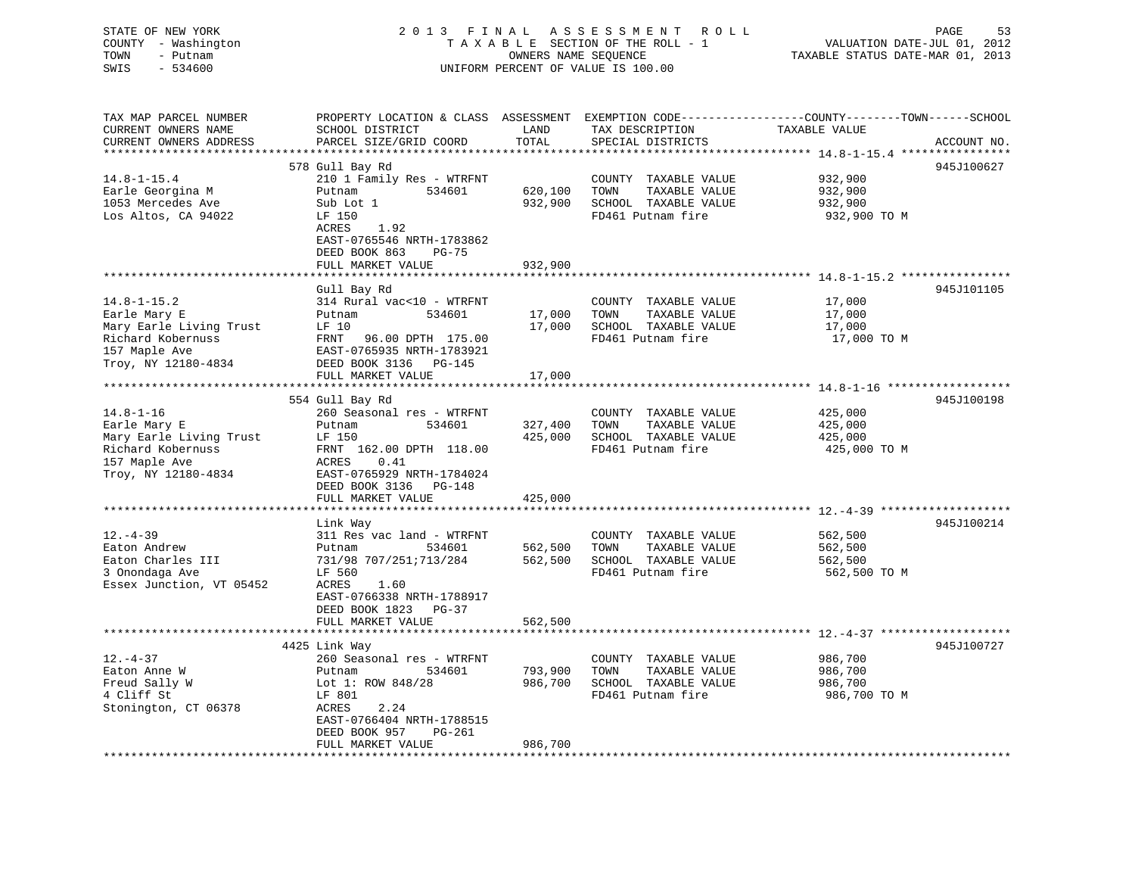| STATE OF NEW YORK<br>COUNTY - Washington<br>TOWN<br>- Putnam<br>SWIS<br>$-534600$                                         | 2013 FINAL                                                                                                                                                                                                    |                                          | A S S E S S M E N T<br><b>ROLL</b><br>TAXABLE SECTION OF THE ROLL - 1<br>OWNERS NAME SEQUENCE<br>UNIFORM PERCENT OF VALUE IS 100.00 | PAGE<br>53<br>VALUATION DATE-JUL 01, 2012<br>TAXABLE STATUS DATE-MAR 01, 2013                                                                                                  |
|---------------------------------------------------------------------------------------------------------------------------|---------------------------------------------------------------------------------------------------------------------------------------------------------------------------------------------------------------|------------------------------------------|-------------------------------------------------------------------------------------------------------------------------------------|--------------------------------------------------------------------------------------------------------------------------------------------------------------------------------|
| TAX MAP PARCEL NUMBER<br>CURRENT OWNERS NAME<br>CURRENT OWNERS ADDRESS<br>****************                                | SCHOOL DISTRICT<br>PARCEL SIZE/GRID COORD                                                                                                                                                                     | LAND<br>TOTAL<br>********                | TAX DESCRIPTION<br>SPECIAL DISTRICTS                                                                                                | PROPERTY LOCATION & CLASS ASSESSMENT EXEMPTION CODE----------------COUNTY-------TOWN------SCHOOL<br>TAXABLE VALUE<br>ACCOUNT NO.<br>********* 14.8-1-15.4 *****<br>*********** |
| $14.8 - 1 - 15.4$<br>Earle Georgina M<br>1053 Mercedes Ave<br>Los Altos, CA 94022                                         | 578 Gull Bay Rd<br>210 1 Family Res - WTRFNT<br>Putnam<br>534601<br>Sub Lot 1<br>LF 150<br>ACRES<br>1.92<br>EAST-0765546 NRTH-1783862<br>DEED BOOK 863<br>PG-75<br>FULL MARKET VALUE                          | 620,100<br>932,900<br>932,900            | COUNTY TAXABLE VALUE<br>TOWN<br>TAXABLE VALUE<br>SCHOOL TAXABLE VALUE<br>FD461 Putnam fire                                          | 945J100627<br>932,900<br>932,900<br>932,900<br>932,900 TO M                                                                                                                    |
| $14.8 - 1 - 15.2$<br>Earle Mary E<br>Mary Earle Living Trust<br>Richard Kobernuss<br>157 Maple Ave<br>Troy, NY 12180-4834 | Gull Bay Rd<br>314 Rural vac<10 - WTRFNT<br>534601<br>Putnam<br>LF 10<br>FRNT<br>96.00 DPTH 175.00<br>EAST-0765935 NRTH-1783921<br>DEED BOOK 3136 PG-145                                                      | 17,000<br>17,000                         | COUNTY TAXABLE VALUE<br>TOWN<br>TAXABLE VALUE<br>SCHOOL TAXABLE VALUE<br>FD461 Putnam fire                                          | 945J101105<br>17,000<br>17,000<br>17,000<br>17,000 TO M                                                                                                                        |
| $14.8 - 1 - 16$<br>Earle Mary E<br>Mary Earle Living Trust<br>Richard Kobernuss<br>157 Maple Ave<br>Troy, NY 12180-4834   | FULL MARKET VALUE<br>554 Gull Bay Rd<br>260 Seasonal res - WTRFNT<br>Putnam<br>534601<br>LF 150<br>FRNT 162.00 DPTH 118.00<br>ACRES<br>0.41<br>EAST-0765929 NRTH-1784024<br>DEED BOOK 3136 PG-148             | 17,000<br>327,400<br>425,000             | COUNTY TAXABLE VALUE<br>TOWN<br>TAXABLE VALUE<br>SCHOOL TAXABLE VALUE<br>FD461 Putnam fire                                          | 945J100198<br>425,000<br>425,000<br>425,000<br>425,000 TO M                                                                                                                    |
| $12. - 4 - 39$<br>Eaton Andrew<br>Eaton Charles III<br>3 Onondaga Ave<br>Essex Junction, VT 05452                         | FULL MARKET VALUE<br>Link Way<br>311 Res vac land - WTRFNT<br>534601<br>Putnam<br>731/98 707/251;713/284<br>LF 560<br>ACRES<br>1.60<br>EAST-0766338 NRTH-1788917<br>DEED BOOK 1823 PG-37<br>FULL MARKET VALUE | 425,000<br>562,500<br>562,500<br>562,500 | COUNTY TAXABLE VALUE<br>TOWN<br>TAXABLE VALUE<br>SCHOOL TAXABLE VALUE<br>FD461 Putnam fire                                          | 945J100214<br>562,500<br>562,500<br>562,500<br>562,500 TO M                                                                                                                    |
| $12. - 4 - 37$<br>Eaton Anne W<br>Freud Sally W<br>4 Cliff St<br>Stonington, CT 06378                                     | 4425 Link Way<br>260 Seasonal res - WTRFNT<br>534601<br>Putnam<br>Lot 1: ROW 848/28<br>LF 801<br>ACRES<br>2.24<br>EAST-0766404 NRTH-1788515<br>DEED BOOK 957<br>PG-261                                        | 793,900<br>986,700                       | COUNTY TAXABLE VALUE<br>TOWN<br>TAXABLE VALUE<br>SCHOOL TAXABLE VALUE<br>FD461 Putnam fire                                          | $12. -4 - 37$ ********<br>945J100727<br>986,700<br>986,700<br>986,700<br>986,700 TO M                                                                                          |
| ******************************                                                                                            | FULL MARKET VALUE<br>* * * * * * * * * * * * * * * * * * * *                                                                                                                                                  | 986,700<br>************                  |                                                                                                                                     |                                                                                                                                                                                |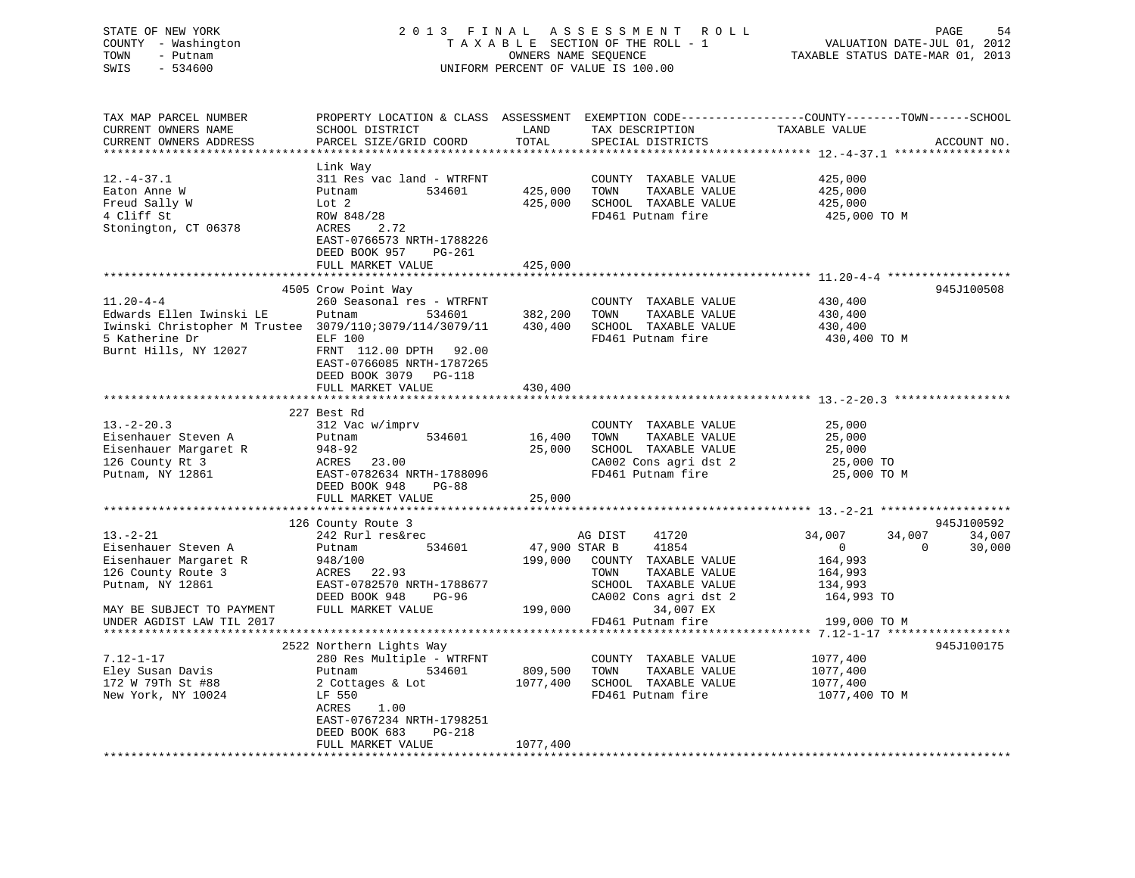| STATE OF NEW YORK<br>COUNTY - Washington<br>TOWN<br>- Putnam<br>$-534600$<br>SWIS                                                                 | 2013 FINAL                                                                                                                                                                                                                          |                                     | A S S E S S M E N T<br>R O L L<br>TAXABLE SECTION OF THE ROLL - 1<br>OWNERS NAME SEQUENCE<br>UNIFORM PERCENT OF VALUE IS 100.00          | VALUATION DATE-JUL 01, 2012<br>TAXABLE STATUS DATE-MAR 01, 2013                               | PAGE<br>54       |
|---------------------------------------------------------------------------------------------------------------------------------------------------|-------------------------------------------------------------------------------------------------------------------------------------------------------------------------------------------------------------------------------------|-------------------------------------|------------------------------------------------------------------------------------------------------------------------------------------|-----------------------------------------------------------------------------------------------|------------------|
| TAX MAP PARCEL NUMBER<br>CURRENT OWNERS NAME<br>CURRENT OWNERS ADDRESS<br>***********************                                                 | PROPERTY LOCATION & CLASS ASSESSMENT EXEMPTION CODE----------------COUNTY-------TOWN-----SCHOOL<br>SCHOOL DISTRICT<br>PARCEL SIZE/GRID COORD                                                                                        | LAND<br>TOTAL                       | TAX DESCRIPTION<br>SPECIAL DISTRICTS                                                                                                     | TAXABLE VALUE                                                                                 | ACCOUNT NO.      |
| $12.-4-37.1$<br>Eaton Anne W<br>Freud Sally W<br>4 Cliff St<br>Stonington, CT 06378                                                               | Link Way<br>311 Res vac land - WTRFNT<br>Putnam<br>534601<br>Lot 2<br>ROW 848/28<br>2.72<br>ACRES<br>EAST-0766573 NRTH-1788226<br>DEED BOOK 957<br>PG-261<br>FULL MARKET VALUE                                                      | 425,000<br>425,000<br>425,000       | COUNTY TAXABLE VALUE<br>TOWN<br>TAXABLE VALUE<br>SCHOOL TAXABLE VALUE<br>FD461 Putnam fire                                               | 425,000<br>425,000<br>425,000<br>425,000 TO M                                                 |                  |
|                                                                                                                                                   |                                                                                                                                                                                                                                     |                                     |                                                                                                                                          |                                                                                               |                  |
| $11.20 - 4 - 4$<br>Edwards Ellen Iwinski LE<br>Iwinski Christopher M Trustee 3079/110;3079/114/3079/11<br>5 Katherine Dr<br>Burnt Hills, NY 12027 | 4505 Crow Point Way<br>260 Seasonal res - WTRFNT<br>534601<br>Putnam<br><b>ELF 100</b><br>FRNT 112.00 DPTH 92.00<br>EAST-0766085 NRTH-1787265<br>DEED BOOK 3079 PG-118                                                              | 382,200<br>430,400                  | COUNTY TAXABLE VALUE<br>TOWN<br>TAXABLE VALUE<br>SCHOOL TAXABLE VALUE<br>FD461 Putnam fire                                               | 430,400<br>430,400<br>430,400<br>430,400 TO M                                                 | 945J100508       |
|                                                                                                                                                   | FULL MARKET VALUE                                                                                                                                                                                                                   | 430,400                             |                                                                                                                                          |                                                                                               |                  |
|                                                                                                                                                   | *************************                                                                                                                                                                                                           | ********************                |                                                                                                                                          |                                                                                               |                  |
| $13 - 2 - 20.3$<br>Eisenhauer Steven A<br>Eisenhauer Margaret R<br>126 County Rt 3<br>Putnam, NY 12861                                            | 227 Best Rd<br>312 Vac w/imprv<br>534601<br>Putnam<br>$948 - 92$<br>ACRES 23.00<br>EAST-0782634 NRTH-1788096<br>DEED BOOK 948<br><b>PG-88</b>                                                                                       | 16,400<br>25,000                    | COUNTY TAXABLE VALUE<br>TOWN<br>TAXABLE VALUE<br>SCHOOL TAXABLE VALUE<br>CA002 Cons agri dst 2<br>FD461 Putnam fire                      | 25,000<br>25,000<br>25,000<br>25,000 TO<br>25,000 TO M                                        |                  |
|                                                                                                                                                   | FULL MARKET VALUE                                                                                                                                                                                                                   | 25,000                              |                                                                                                                                          |                                                                                               |                  |
|                                                                                                                                                   | 126 County Route 3                                                                                                                                                                                                                  |                                     |                                                                                                                                          |                                                                                               | 945J100592       |
| $13. - 2 - 21$<br>Eisenhauer Steven A<br>Eisenhauer Margaret R<br>126 County Route 3<br>Putnam, NY 12861<br>MAY BE SUBJECT TO PAYMENT             | 242 Rurl res&rec<br>Putnam<br>534601<br>948/100<br>ACRES 22.93<br>EAST-0782570 NRTH-1788677<br>DEED BOOK 948<br>PG-96<br>FULL MARKET VALUE                                                                                          | 47,900 STAR B<br>199,000<br>199,000 | AG DIST<br>41720<br>41854<br>COUNTY TAXABLE VALUE<br>TOWN<br>TAXABLE VALUE<br>SCHOOL TAXABLE VALUE<br>CA002 Cons agri dst 2<br>34,007 EX | 34,007<br>34,007<br>$\mathbf 0$<br>$\mathbf 0$<br>164,993<br>164,993<br>134,993<br>164,993 TO | 34,007<br>30,000 |
| UNDER AGDIST LAW TIL 2017                                                                                                                         |                                                                                                                                                                                                                                     |                                     | FD461 Putnam fire                                                                                                                        | 199,000 TO M                                                                                  |                  |
|                                                                                                                                                   |                                                                                                                                                                                                                                     |                                     |                                                                                                                                          |                                                                                               |                  |
| $7.12 - 1 - 17$<br>Eley Susan Davis<br>172 W 79Th St #88<br>New York, NY 10024                                                                    | 2522 Northern Lights Way<br>280 Res Multiple - WTRFNT<br>534601<br>Putnam<br>2 Cottages & Lot<br>LF 550<br>1.00<br>ACRES<br>EAST-0767234 NRTH-1798251<br><b>PG-218</b><br>DEED BOOK 683<br>FULL MARKET VALUE<br>******************* | 809,500<br>1077,400<br>1077,400     | COUNTY TAXABLE VALUE<br>TOWN<br>TAXABLE VALUE<br>SCHOOL TAXABLE VALUE<br>FD461 Putnam fire                                               | 1077,400<br>1077,400<br>1077,400<br>1077,400 TO M                                             | 945J100175       |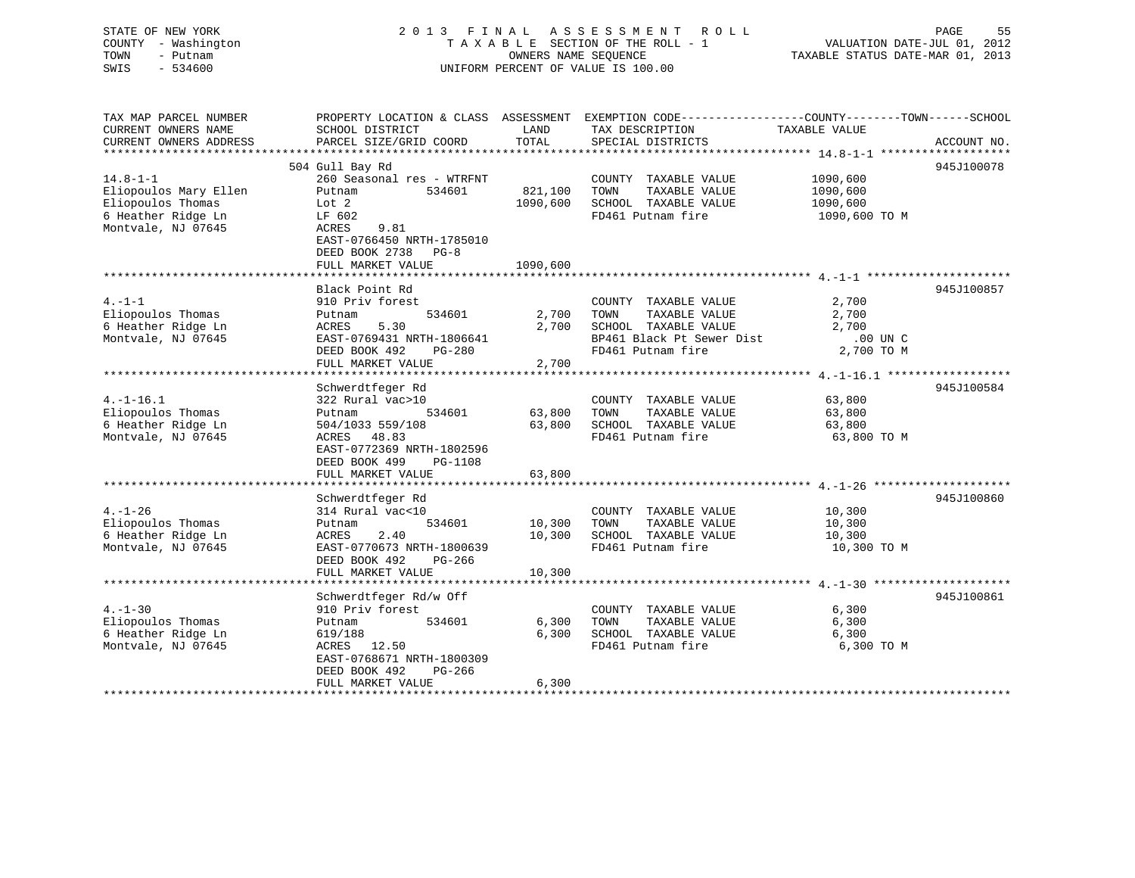## STATE OF NEW YORK 2 0 1 3 F I N A L A S S E S S M E N T R O L L PAGE 55 COUNTY - Washington T A X A B L E SECTION OF THE ROLL - 1 VALUATION DATE-JUL 01, 2012 TOWN - Putnam OWNERS NAME SEQUENCE TAXABLE STATUS DATE-MAR 01, 2013 SWIS - 534600 UNIFORM PERCENT OF VALUE IS 100.00

| TAX MAP PARCEL NUMBER<br>CURRENT OWNERS NAME<br>CURRENT OWNERS ADDRESS                                   | PROPERTY LOCATION & CLASS ASSESSMENT<br>SCHOOL DISTRICT<br>PARCEL SIZE/GRID COORD                                                                                                                | LAND<br>TOTAL                   | EXEMPTION CODE-----------------COUNTY-------TOWN------SCHOOL<br>TAX DESCRIPTION<br>SPECIAL DISTRICTS                    | TAXABLE VALUE                                         | ACCOUNT NO. |
|----------------------------------------------------------------------------------------------------------|--------------------------------------------------------------------------------------------------------------------------------------------------------------------------------------------------|---------------------------------|-------------------------------------------------------------------------------------------------------------------------|-------------------------------------------------------|-------------|
| $14.8 - 1 - 1$<br>Eliopoulos Mary Ellen<br>Eliopoulos Thomas<br>6 Heather Ridge Ln<br>Montvale, NJ 07645 | 504 Gull Bay Rd<br>260 Seasonal res - WTRFNT<br>Putnam<br>534601<br>Lot 2<br>LF 602<br>ACRES<br>9.81<br>EAST-0766450 NRTH-1785010<br>DEED BOOK 2738<br>$PG-8$<br>FULL MARKET VALUE               | 821,100<br>1090,600<br>1090,600 | COUNTY TAXABLE VALUE<br>TAXABLE VALUE<br>TOWN<br>SCHOOL TAXABLE VALUE<br>FD461 Putnam fire                              | 1090,600<br>1090,600<br>1090,600<br>1090,600 TO M     | 945J100078  |
| $4. -1 -1$<br>Eliopoulos Thomas<br>6 Heather Ridge Ln<br>Montvale, NJ 07645                              | Black Point Rd<br>910 Priv forest<br>534601<br>Putnam<br>5.30<br>ACRES<br>EAST-0769431 NRTH-1806641<br>DEED BOOK 492<br>$PG-280$<br>FULL MARKET VALUE                                            | 2,700<br>2,700<br>2,700         | COUNTY TAXABLE VALUE<br>TAXABLE VALUE<br>TOWN<br>SCHOOL TAXABLE VALUE<br>BP461 Black Pt Sewer Dist<br>FD461 Putnam fire | 2,700<br>2,700<br>2,700<br>$.00$ UN $C$<br>2,700 TO M | 945J100857  |
| $4. -1 - 16.1$<br>Eliopoulos Thomas<br>6 Heather Ridge Ln<br>Montvale, NJ 07645                          | Schwerdtfeger Rd<br>322 Rural vac>10<br>534601<br>Putnam<br>504/1033 559/108<br>48.83<br>ACRES<br>EAST-0772369 NRTH-1802596<br>DEED BOOK 499<br>PG-1108<br>FULL MARKET VALUE                     | 63,800<br>63,800<br>63,800      | COUNTY TAXABLE VALUE<br>TOWN<br>TAXABLE VALUE<br>SCHOOL TAXABLE VALUE<br>FD461 Putnam fire                              | 63,800<br>63,800<br>63,800<br>63,800 TO M             | 945J100584  |
| $4. - 1 - 26$<br>Eliopoulos Thomas<br>6 Heather Ridge Ln<br>Montvale, NJ 07645                           | Schwerdtfeger Rd<br>314 Rural vac<10<br>Putnam<br>534601<br>2.40<br>ACRES<br>EAST-0770673 NRTH-1800639<br>DEED BOOK 492<br>PG-266<br>FULL MARKET VALUE                                           | 10,300<br>10,300<br>10,300      | COUNTY TAXABLE VALUE<br>TAXABLE VALUE<br>TOWN<br>SCHOOL TAXABLE VALUE<br>FD461 Putnam fire                              | 10,300<br>10,300<br>10,300<br>10,300 TO M             | 945J100860  |
| $4. -1 - 30$<br>Eliopoulos Thomas<br>6 Heather Ridge Ln<br>Montvale, NJ 07645                            | Schwerdtfeger Rd/w Off<br>910 Priv forest<br>534601<br>Putnam<br>619/188<br>ACRES<br>12.50<br>EAST-0768671 NRTH-1800309<br>PG-266<br>DEED BOOK 492<br>FULL MARKET VALUE<br>********************* | 6,300<br>6,300<br>6,300         | COUNTY TAXABLE VALUE<br>TAXABLE VALUE<br>TOWN<br>SCHOOL TAXABLE VALUE<br>FD461 Putnam fire                              | 6,300<br>6,300<br>6,300<br>6,300 TO M                 | 945J100861  |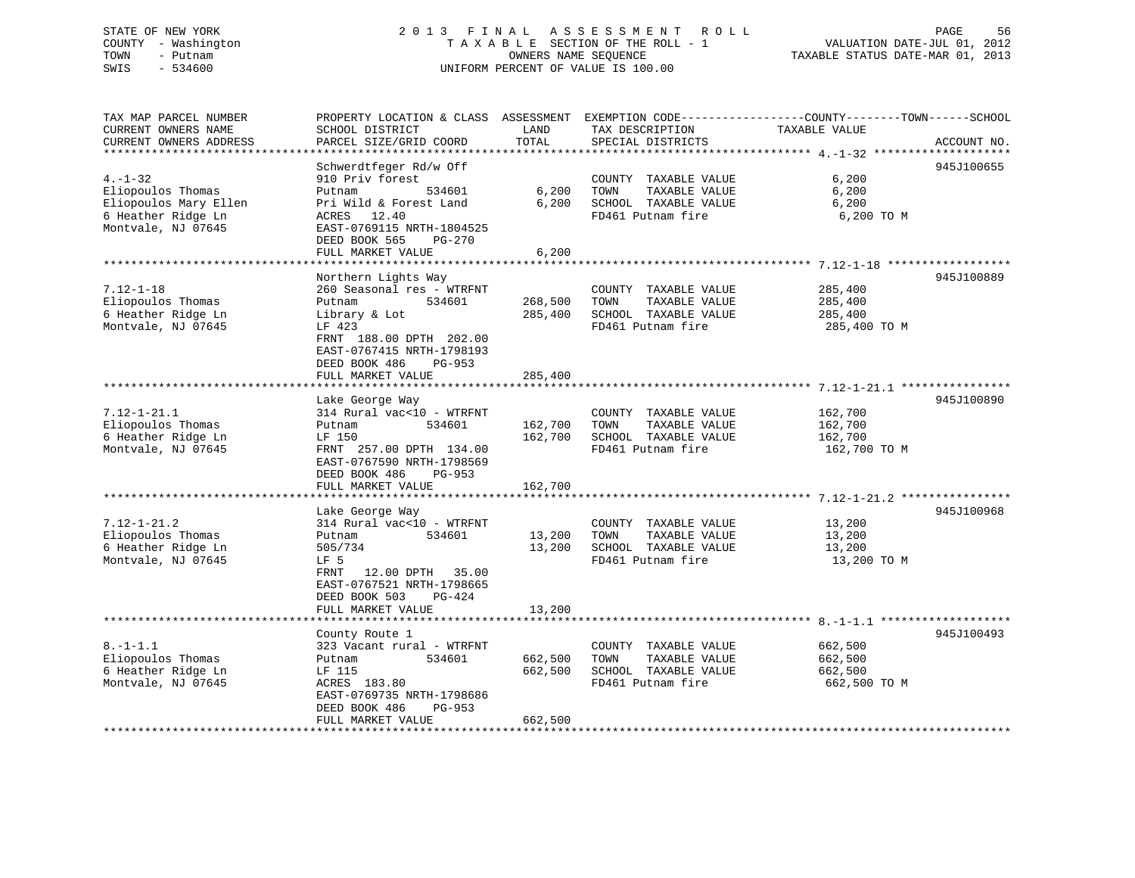## STATE OF NEW YORK 2 0 1 3 F I N A L A S S E S S M E N T R O L L PAGE 56 COUNTY - Washington T A X A B L E SECTION OF THE ROLL - 1 VALUATION DATE-JUL 01, 2012 TOWN - Putnam OWNERS NAME SEQUENCE TAXABLE STATUS DATE-MAR 01, 2013 SWIS - 534600 UNIFORM PERCENT OF VALUE IS 100.00

| TAX MAP PARCEL NUMBER<br>CURRENT OWNERS NAME | PROPERTY LOCATION & CLASS ASSESSMENT EXEMPTION CODE----------------COUNTY-------TOWN------SCHOOL<br>SCHOOL DISTRICT | LAND    | TAX DESCRIPTION                           | TAXABLE VALUE         |             |
|----------------------------------------------|---------------------------------------------------------------------------------------------------------------------|---------|-------------------------------------------|-----------------------|-------------|
| CURRENT OWNERS ADDRESS                       | PARCEL SIZE/GRID COORD                                                                                              | TOTAL   | SPECIAL DISTRICTS                         |                       | ACCOUNT NO. |
| *************************                    |                                                                                                                     |         |                                           |                       |             |
| $4. - 1 - 32$                                | Schwerdtfeger Rd/w Off<br>910 Priv forest                                                                           |         | COUNTY TAXABLE VALUE                      | 6,200                 | 945J100655  |
| Eliopoulos Thomas                            | 534601<br>Putnam                                                                                                    | 6,200   | TAXABLE VALUE<br>TOWN                     | 6,200                 |             |
| Eliopoulos Mary Ellen<br>6 Heather Ridge Ln  | Pri Wild & Forest Land<br>ACRES<br>12.40                                                                            | 6,200   | SCHOOL TAXABLE VALUE<br>FD461 Putnam fire | 6,200<br>6,200 TO M   |             |
| Montvale, NJ 07645                           | EAST-0769115 NRTH-1804525<br>DEED BOOK 565<br>PG-270                                                                |         |                                           |                       |             |
|                                              | FULL MARKET VALUE                                                                                                   | 6,200   |                                           |                       |             |
|                                              | Northern Lights Way                                                                                                 |         |                                           |                       | 945J100889  |
| $7.12 - 1 - 18$                              | 260 Seasonal res - WTRFNT                                                                                           |         | COUNTY TAXABLE VALUE                      | 285,400               |             |
| Eliopoulos Thomas                            | Putnam<br>534601                                                                                                    | 268,500 | TAXABLE VALUE<br>TOWN                     | 285,400               |             |
| 6 Heather Ridge Ln                           | Library & Lot                                                                                                       | 285,400 | SCHOOL TAXABLE VALUE                      | 285,400               |             |
| Montvale, NJ 07645                           | LF 423                                                                                                              |         | FD461 Putnam fire                         | 285,400 TO M          |             |
|                                              | FRNT 188.00 DPTH 202.00<br>EAST-0767415 NRTH-1798193<br>DEED BOOK 486<br>$PG-953$                                   |         |                                           |                       |             |
|                                              | FULL MARKET VALUE                                                                                                   | 285,400 |                                           |                       |             |
|                                              |                                                                                                                     |         |                                           |                       | 945J100890  |
| $7.12 - 1 - 21.1$                            | Lake George Way<br>314 Rural vac<10 - WTRFNT                                                                        |         | COUNTY TAXABLE VALUE                      | 162,700               |             |
| Eliopoulos Thomas                            | 534601<br>Putnam                                                                                                    | 162,700 | TAXABLE VALUE<br>TOWN                     | 162,700               |             |
| 6 Heather Ridge Ln                           | LF 150                                                                                                              | 162,700 | SCHOOL TAXABLE VALUE                      | 162,700               |             |
| Montvale, NJ 07645                           | FRNT 257.00 DPTH 134.00<br>EAST-0767590 NRTH-1798569<br>DEED BOOK 486<br>PG-953                                     |         | FD461 Putnam fire                         | 162,700 TO M          |             |
|                                              | FULL MARKET VALUE                                                                                                   | 162,700 |                                           |                       |             |
|                                              |                                                                                                                     |         |                                           |                       |             |
|                                              | Lake George Way                                                                                                     |         |                                           |                       | 945J100968  |
| $7.12 - 1 - 21.2$                            | 314 Rural vac<10 - WTRFNT                                                                                           |         | COUNTY TAXABLE VALUE                      | 13,200                |             |
| Eliopoulos Thomas<br>6 Heather Ridge Ln      | Putnam<br>534601                                                                                                    | 13,200  | TAXABLE VALUE<br>TOWN                     | 13,200                |             |
| Montvale, NJ 07645                           | 505/734<br>LF <sub>5</sub>                                                                                          | 13,200  | SCHOOL TAXABLE VALUE<br>FD461 Putnam fire | 13,200<br>13,200 TO M |             |
|                                              | FRNT<br>12.00 DPTH<br>35.00<br>EAST-0767521 NRTH-1798665<br>DEED BOOK 503<br>$PG-424$                               |         |                                           |                       |             |
|                                              | FULL MARKET VALUE                                                                                                   | 13,200  |                                           |                       |             |
|                                              | County Route 1                                                                                                      |         |                                           |                       | 945J100493  |
| $8. - 1 - 1.1$                               | 323 Vacant rural - WTRFNT                                                                                           |         | COUNTY TAXABLE VALUE                      | 662,500               |             |
| Eliopoulos Thomas                            | 534601<br>Putnam                                                                                                    | 662,500 | TOWN<br>TAXABLE VALUE                     | 662,500               |             |
| 6 Heather Ridge Ln                           | LF 115                                                                                                              | 662,500 | SCHOOL TAXABLE VALUE                      | 662,500               |             |
| Montvale, NJ 07645                           | ACRES 183.80                                                                                                        |         | FD461 Putnam fire                         | 662,500 TO M          |             |
|                                              | EAST-0769735 NRTH-1798686                                                                                           |         |                                           |                       |             |
|                                              | DEED BOOK 486<br>$PG-953$                                                                                           |         |                                           |                       |             |
|                                              | FULL MARKET VALUE                                                                                                   | 662,500 |                                           |                       |             |
|                                              |                                                                                                                     |         |                                           |                       |             |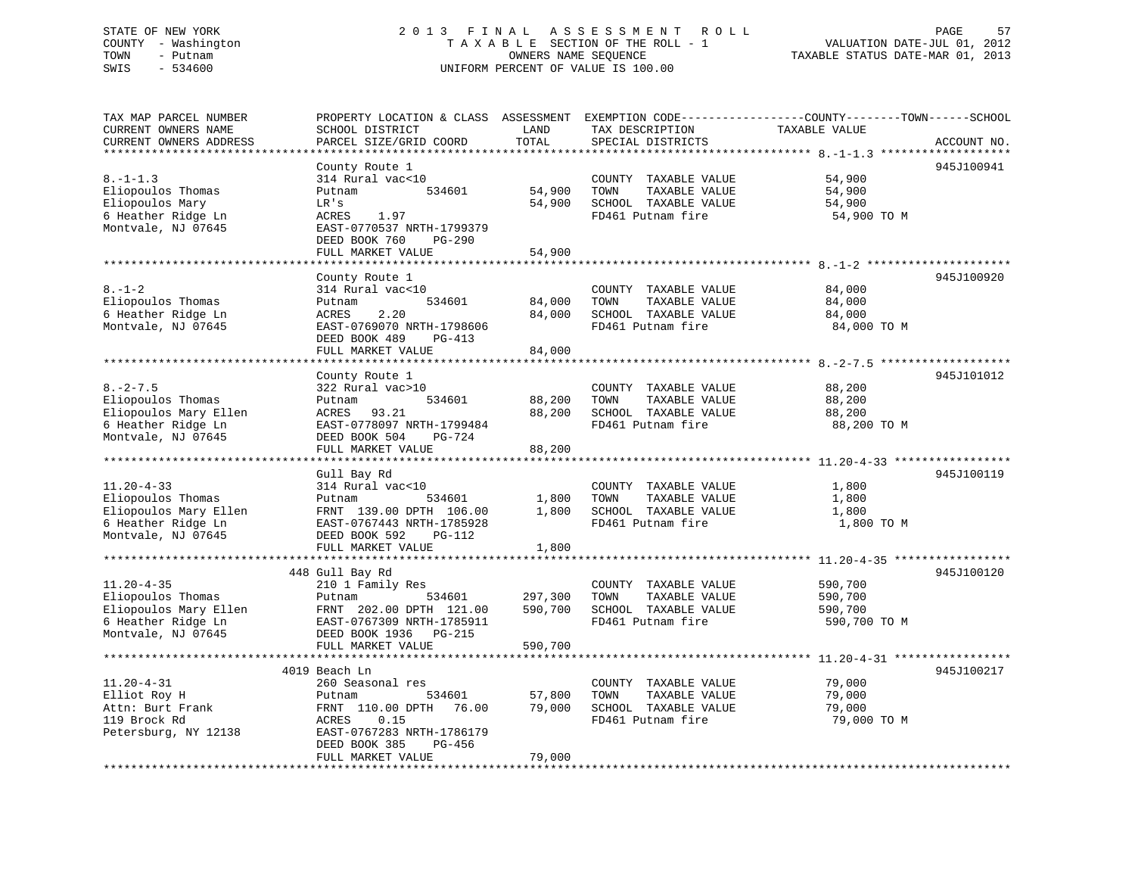## STATE OF NEW YORK 2 0 1 3 F I N A L A S S E S S M E N T R O L L PAGE 57 COUNTY - Washington T A X A B L E SECTION OF THE ROLL - 1 VALUATION DATE-JUL 01, 2012 TOWN - Putnam OWNERS NAME SEQUENCE TAXABLE STATUS DATE-MAR 01, 2013 SWIS - 534600 UNIFORM PERCENT OF VALUE IS 100.00

| TAX MAP PARCEL NUMBER<br>CURRENT OWNERS NAME<br>CURRENT OWNERS ADDRESS | PROPERTY LOCATION & CLASS ASSESSMENT<br>SCHOOL DISTRICT<br>PARCEL SIZE/GRID COORD | LAND<br>TOTAL | TAX DESCRIPTION<br>SPECIAL DISTRICTS | EXEMPTION CODE-----------------COUNTY-------TOWN------SCHOOL<br>TAXABLE VALUE | ACCOUNT NO.  |
|------------------------------------------------------------------------|-----------------------------------------------------------------------------------|---------------|--------------------------------------|-------------------------------------------------------------------------------|--------------|
| ***********************                                                |                                                                                   |               |                                      |                                                                               |              |
|                                                                        | County Route 1                                                                    |               |                                      |                                                                               | 945J100941   |
| $8. - 1 - 1.3$                                                         | 314 Rural vac<10                                                                  |               | COUNTY TAXABLE VALUE                 | 54,900                                                                        |              |
| Eliopoulos Thomas                                                      | 534601<br>Putnam                                                                  | 54,900        | TAXABLE VALUE<br>TOWN                | 54,900                                                                        |              |
| Eliopoulos Mary                                                        | LR's                                                                              | 54,900        | SCHOOL TAXABLE VALUE                 | 54,900                                                                        |              |
| 6 Heather Ridge Ln                                                     | ACRES<br>1.97                                                                     |               | FD461 Putnam fire                    | 54,900 TO M                                                                   |              |
| Montvale, NJ 07645                                                     | EAST-0770537 NRTH-1799379                                                         |               |                                      |                                                                               |              |
|                                                                        | DEED BOOK 760<br>PG-290                                                           |               |                                      |                                                                               |              |
|                                                                        | FULL MARKET VALUE                                                                 | 54,900        |                                      |                                                                               |              |
|                                                                        | County Route 1                                                                    |               |                                      |                                                                               | 945J100920   |
| $8. - 1 - 2$                                                           | 314 Rural vac<10                                                                  |               | COUNTY TAXABLE VALUE                 | 84,000                                                                        |              |
| Eliopoulos Thomas                                                      | 534601<br>Putnam                                                                  | 84,000        | TOWN<br>TAXABLE VALUE                | 84,000                                                                        |              |
| 6 Heather Ridge Ln                                                     | 2.20<br>ACRES                                                                     | 84,000        | SCHOOL TAXABLE VALUE                 | 84,000                                                                        |              |
| Montvale, NJ 07645                                                     | EAST-0769070 NRTH-1798606                                                         |               | FD461 Putnam fire                    | 84,000 TO M                                                                   |              |
|                                                                        | DEED BOOK 489<br>PG-413                                                           |               |                                      |                                                                               |              |
|                                                                        | FULL MARKET VALUE                                                                 | 84,000        |                                      |                                                                               |              |
|                                                                        |                                                                                   |               |                                      |                                                                               | ************ |
|                                                                        | County Route 1                                                                    |               |                                      |                                                                               | 945J101012   |
| $8. - 2 - 7.5$                                                         | 322 Rural vac>10                                                                  |               | COUNTY TAXABLE VALUE                 | 88,200                                                                        |              |
| Eliopoulos Thomas                                                      | 534601<br>Putnam                                                                  | 88,200        | TAXABLE VALUE<br>TOWN                | 88,200                                                                        |              |
| Eliopoulos Mary Ellen                                                  | ACRES<br>93.21                                                                    | 88,200        | SCHOOL TAXABLE VALUE                 | 88,200                                                                        |              |
| 6 Heather Ridge Ln                                                     | EAST-0778097 NRTH-1799484                                                         |               | FD461 Putnam fire                    | 88,200 TO M                                                                   |              |
| Montvale, NJ 07645                                                     | DEED BOOK 504<br><b>PG-724</b>                                                    |               |                                      |                                                                               |              |
|                                                                        | FULL MARKET VALUE                                                                 | 88,200        |                                      |                                                                               |              |
|                                                                        |                                                                                   |               |                                      | *********************** 11.20-4-33 *****                                      |              |
|                                                                        | Gull Bay Rd                                                                       |               |                                      |                                                                               | 945J100119   |
| $11.20 - 4 - 33$                                                       | 314 Rural vac<10                                                                  |               | COUNTY TAXABLE VALUE                 | 1,800                                                                         |              |
| Eliopoulos Thomas                                                      | Putnam<br>534601                                                                  | 1,800         | TOWN<br>TAXABLE VALUE                | 1,800                                                                         |              |
| Eliopoulos Mary Ellen                                                  | FRNT 139.00 DPTH 106.00                                                           | 1,800         | SCHOOL TAXABLE VALUE                 | 1,800                                                                         |              |
| 6 Heather Ridge Ln                                                     | EAST-0767443 NRTH-1785928                                                         |               | FD461 Putnam fire                    | 1,800 TO M                                                                    |              |
| Montvale, NJ 07645                                                     | DEED BOOK 592<br>PG-112                                                           |               |                                      |                                                                               |              |
|                                                                        | FULL MARKET VALUE                                                                 | 1,800         |                                      |                                                                               |              |
|                                                                        |                                                                                   |               |                                      |                                                                               |              |
|                                                                        | 448 Gull Bay Rd                                                                   |               |                                      |                                                                               | 945J100120   |
| $11.20 - 4 - 35$                                                       | 210 1 Family Res                                                                  |               | COUNTY TAXABLE VALUE                 | 590,700                                                                       |              |
| Eliopoulos Thomas                                                      | 534601<br>Putnam                                                                  | 297,300       | TAXABLE VALUE<br>TOWN                | 590,700                                                                       |              |
| Eliopoulos Mary Ellen                                                  | FRNT 202.00 DPTH 121.00                                                           | 590,700       | SCHOOL TAXABLE VALUE                 | 590,700                                                                       |              |
| 6 Heather Ridge Ln                                                     | EAST-0767309 NRTH-1785911                                                         |               | FD461 Putnam fire                    | 590,700 TO M                                                                  |              |
| Montvale, NJ 07645                                                     | DEED BOOK 1936 PG-215                                                             |               |                                      |                                                                               |              |
|                                                                        | FULL MARKET VALUE                                                                 | 590,700       |                                      |                                                                               |              |
|                                                                        | *************************                                                         |               |                                      | ************************************* 11.20-4-31 *******************          |              |
|                                                                        | 4019 Beach Ln                                                                     |               |                                      |                                                                               | 945J100217   |
| $11.20 - 4 - 31$                                                       | 260 Seasonal res                                                                  |               | COUNTY TAXABLE VALUE                 | 79,000                                                                        |              |
| Elliot Roy H                                                           | 534601<br>Putnam                                                                  | 57,800        | TOWN<br>TAXABLE VALUE                | 79,000                                                                        |              |
| Attn: Burt Frank                                                       | FRNT 110.00 DPTH<br>76.00                                                         | 79,000        | SCHOOL TAXABLE VALUE                 | 79,000                                                                        |              |
| 119 Brock Rd                                                           | 0.15<br>ACRES                                                                     |               | FD461 Putnam fire                    | 79,000 TO M                                                                   |              |
| Petersburg, NY 12138                                                   | EAST-0767283 NRTH-1786179                                                         |               |                                      |                                                                               |              |
|                                                                        | DEED BOOK 385<br>PG-456                                                           |               |                                      |                                                                               |              |
|                                                                        | FULL MARKET VALUE                                                                 | 79,000        |                                      |                                                                               |              |
|                                                                        |                                                                                   |               |                                      |                                                                               |              |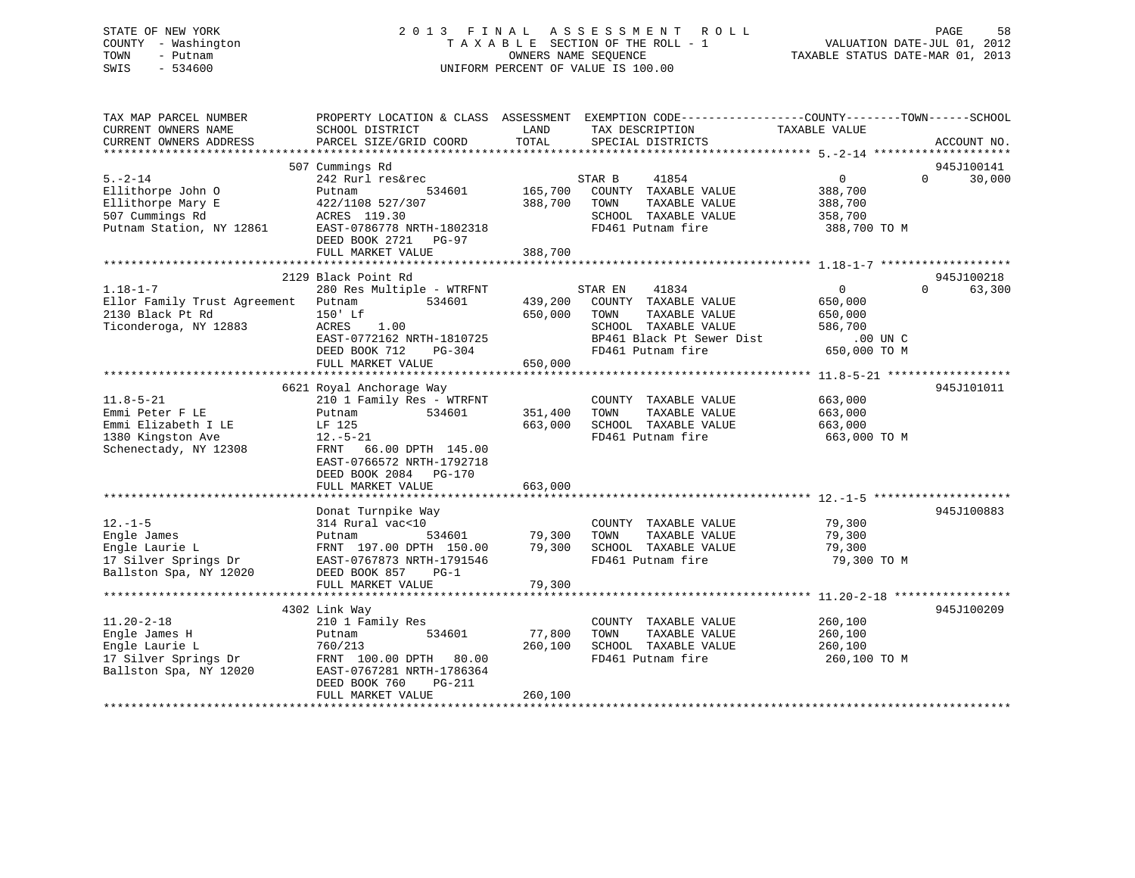## STATE OF NEW YORK 2 0 1 3 F I N A L A S S E S S M E N T R O L L PAGE 58 COUNTY - Washington T A X A B L E SECTION OF THE ROLL - 1 VALUATION DATE-JUL 01, 2012 TOWN - Putnam **CONNERS NAME SEQUENCE** TAXABLE STATUS DATE-MAR 01, 2013 SWIS - 534600 UNIFORM PERCENT OF VALUE IS 100.00

| TAX MAP PARCEL NUMBER<br>CURRENT OWNERS NAME<br>CURRENT OWNERS ADDRESS                                  | PROPERTY LOCATION & CLASS ASSESSMENT EXEMPTION CODE----------------COUNTY-------TOWN------SCHOOL<br>SCHOOL DISTRICT<br>PARCEL SIZE/GRID COORD                                        | LAND<br>TOTAL                 | TAX DESCRIPTION<br>SPECIAL DISTRICTS                                                                                                        | TAXABLE VALUE                                                               | ACCOUNT NO.                      |
|---------------------------------------------------------------------------------------------------------|--------------------------------------------------------------------------------------------------------------------------------------------------------------------------------------|-------------------------------|---------------------------------------------------------------------------------------------------------------------------------------------|-----------------------------------------------------------------------------|----------------------------------|
|                                                                                                         |                                                                                                                                                                                      |                               |                                                                                                                                             |                                                                             |                                  |
|                                                                                                         | 507 Cummings Rd                                                                                                                                                                      |                               |                                                                                                                                             |                                                                             | 945J100141                       |
| $5. - 2 - 14$<br>Ellithorpe John O<br>Ellithorpe Mary E<br>507 Cummings Rd<br>Putnam Station, NY 12861  | 242 Rurl res&rec<br>534601<br>Putnam<br>422/1108 527/307<br>ACRES 119.30<br>EAST-0786778 NRTH-1802318<br>DEED BOOK 2721<br>$PG-97$<br>FULL MARKET VALUE                              | 165,700<br>388,700<br>388,700 | 41854<br>STAR B<br>COUNTY TAXABLE VALUE<br>TOWN<br>TAXABLE VALUE<br>SCHOOL TAXABLE VALUE<br>FD461 Putnam fire                               | 0<br>388,700<br>388,700<br>358,700<br>388,700 TO M                          | $\Omega$<br>30,000               |
|                                                                                                         |                                                                                                                                                                                      |                               |                                                                                                                                             |                                                                             |                                  |
| $1.18 - 1 - 7$<br>Ellor Family Trust Agreement<br>2130 Black Pt Rd<br>Ticonderoga, NY 12883             | 2129 Black Point Rd<br>280 Res Multiple - WTRFNT<br>534601<br>Putnam<br>150' Lf<br>ACRES<br>1.00<br>EAST-0772162 NRTH-1810725<br>DEED BOOK 712<br>PG-304<br>FULL MARKET VALUE        | 439,200<br>650,000<br>650,000 | 41834<br>STAR EN<br>COUNTY TAXABLE VALUE<br>TOWN<br>TAXABLE VALUE<br>SCHOOL TAXABLE VALUE<br>BP461 Black Pt Sewer Dist<br>FD461 Putnam fire | $\overline{0}$<br>650,000<br>650,000<br>586,700<br>.00 UN C<br>650,000 TO M | 945J100218<br>63,300<br>$\Omega$ |
|                                                                                                         |                                                                                                                                                                                      |                               |                                                                                                                                             |                                                                             |                                  |
| $11.8 - 5 - 21$<br>Emmi Peter F LE<br>Emmi Elizabeth I LE<br>1380 Kingston Ave<br>Schenectady, NY 12308 | 6621 Royal Anchorage Way<br>210 1 Family Res - WTRFNT<br>534601<br>Putnam<br>LF 125<br>$12.-5-21$<br>66.00 DPTH 145.00<br>FRNT<br>EAST-0766572 NRTH-1792718<br>DEED BOOK 2084 PG-170 | 351,400<br>663,000            | COUNTY TAXABLE VALUE<br>TOWN<br>TAXABLE VALUE<br>SCHOOL TAXABLE VALUE<br>FD461 Putnam fire                                                  | 663,000<br>663,000<br>663,000<br>663,000 TO M                               | 945J101011                       |
|                                                                                                         | FULL MARKET VALUE                                                                                                                                                                    | 663,000                       |                                                                                                                                             |                                                                             |                                  |
| $12. - 1 - 5$<br>Engle James<br>Engle Laurie L<br>17 Silver Springs Dr<br>Ballston Spa, NY 12020        | Donat Turnpike Way<br>314 Rural vac<10<br>534601<br>Putnam<br>FRNT 197.00 DPTH 150.00<br>EAST-0767873 NRTH-1791546<br>DEED BOOK 857<br>$PG-1$                                        | 79,300<br>79,300              | COUNTY TAXABLE VALUE<br>TOWN<br>TAXABLE VALUE<br>SCHOOL TAXABLE VALUE<br>FD461 Putnam fire                                                  | 79,300<br>79,300<br>79,300<br>79,300 TO M                                   | 945J100883                       |
|                                                                                                         | FULL MARKET VALUE                                                                                                                                                                    | 79,300                        |                                                                                                                                             |                                                                             |                                  |
|                                                                                                         |                                                                                                                                                                                      |                               |                                                                                                                                             |                                                                             |                                  |
| $11.20 - 2 - 18$<br>Engle James H<br>Engle Laurie L<br>17 Silver Springs Dr<br>Ballston Spa, NY 12020   | 4302 Link Way<br>210 1 Family Res<br>534601<br>Putnam<br>760/213<br>FRNT 100.00 DPTH<br>80.00<br>EAST-0767281 NRTH-1786364<br>DEED BOOK 760<br>PG-211<br>FULL MARKET VALUE           | 77,800<br>260,100<br>260,100  | COUNTY TAXABLE VALUE<br>TAXABLE VALUE<br>TOWN<br>SCHOOL TAXABLE VALUE<br>FD461 Putnam fire                                                  | 260,100<br>260,100<br>260,100<br>260,100 TO M                               | 945J100209                       |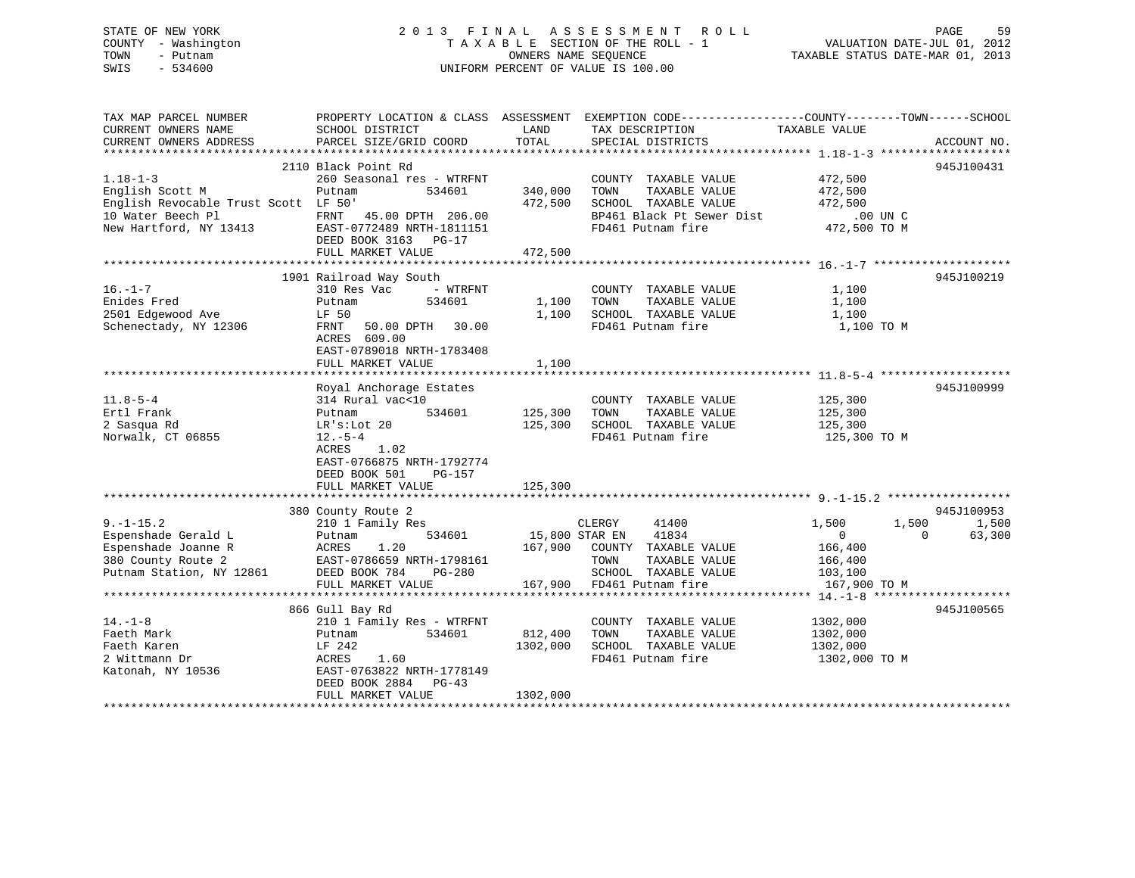## STATE OF NEW YORK 2 0 1 3 F I N A L A S S E S S M E N T R O L L PAGE 59 COUNTY - Washington T A X A B L E SECTION OF THE ROLL - 1 VALUATION DATE-JUL 01, 2012 TOWN - Putnam **CONNERS NAME SEQUENCE** TAXABLE STATUS DATE-MAR 01, 2013 SWIS - 534600 UNIFORM PERCENT OF VALUE IS 100.00

| TAX MAP PARCEL NUMBER                | PROPERTY LOCATION & CLASS ASSESSMENT EXEMPTION CODE---------------COUNTY-------TOWN-----SCHOOL |                |                              |                          |             |
|--------------------------------------|------------------------------------------------------------------------------------------------|----------------|------------------------------|--------------------------|-------------|
| CURRENT OWNERS NAME                  | SCHOOL DISTRICT                                                                                | LAND           | TAX DESCRIPTION              | TAXABLE VALUE            |             |
| CURRENT OWNERS ADDRESS               | PARCEL SIZE/GRID COORD                                                                         | TOTAL          | SPECIAL DISTRICTS            |                          | ACCOUNT NO. |
|                                      |                                                                                                |                |                              |                          |             |
|                                      | 2110 Black Point Rd                                                                            |                |                              |                          | 945J100431  |
| $1.18 - 1 - 3$                       | 260 Seasonal res - WTRFNT                                                                      |                | COUNTY TAXABLE VALUE         | 472,500                  |             |
| English Scott M                      | Putnam<br>534601                                                                               | 340,000        | TOWN<br>TAXABLE VALUE        | 472,500                  |             |
| English Revocable Trust Scott LF 50' |                                                                                                | 472,500        | SCHOOL TAXABLE VALUE         | 472,500                  |             |
| 10 Water Beech Pl                    | FRNT 45.00 DPTH 206.00                                                                         |                | BP461 Black Pt Sewer Dist    | $.00$ UN C               |             |
| New Hartford, NY 13413               | EAST-0772489 NRTH-1811151                                                                      |                | FD461 Putnam fire            | $472,500$ TO M           |             |
|                                      | DEED BOOK 3163 PG-17                                                                           |                |                              |                          |             |
|                                      | FULL MARKET VALUE                                                                              | 472,500        |                              |                          |             |
|                                      |                                                                                                |                |                              |                          |             |
|                                      | 1901 Railroad Way South                                                                        |                |                              |                          | 945J100219  |
| $16. - 1 - 7$                        | 310 Res Vac<br>- WTRFNT                                                                        |                | COUNTY TAXABLE VALUE         | 1,100                    |             |
| Enides Fred                          | Putnam<br>534601                                                                               | 1,100          | TAXABLE VALUE<br>TOWN        | 1,100                    |             |
| 2501 Edgewood Ave                    | LF 50                                                                                          | 1,100          | SCHOOL TAXABLE VALUE         | 1,100                    |             |
| Schenectady, NY 12306                | FRNT 50.00 DPTH 30.00                                                                          |                | FD461 Putnam fire            | 1,100 TO M               |             |
|                                      | ACRES 609.00                                                                                   |                |                              |                          |             |
|                                      | EAST-0789018 NRTH-1783408                                                                      |                |                              |                          |             |
|                                      | FULL MARKET VALUE                                                                              | 1,100          |                              |                          |             |
|                                      |                                                                                                |                |                              |                          |             |
|                                      | Royal Anchorage Estates                                                                        |                |                              |                          | 945J100999  |
| $11.8 - 5 - 4$                       | 314 Rural vac<10                                                                               |                | COUNTY TAXABLE VALUE         | 125,300                  |             |
| Ertl Frank                           | 534601<br>Putnam                                                                               | 125,300        | TOWN<br>TAXABLE VALUE        | 125,300                  |             |
| 2 Sasqua Rd                          | $LR's: Lot$ 20                                                                                 | 125,300        | SCHOOL TAXABLE VALUE         | 125,300                  |             |
| Norwalk, CT 06855                    | $12.-5-4$                                                                                      |                | FD461 Putnam fire            | 125,300 TO M             |             |
|                                      | 1.02<br>ACRES                                                                                  |                |                              |                          |             |
|                                      | EAST-0766875 NRTH-1792774                                                                      |                |                              |                          |             |
|                                      | DEED BOOK 501<br>PG-157                                                                        |                |                              |                          |             |
|                                      | FULL MARKET VALUE                                                                              | 125,300        |                              |                          |             |
|                                      |                                                                                                |                |                              |                          |             |
|                                      | 380 County Route 2                                                                             |                |                              |                          | 945J100953  |
| $9. - 1 - 15.2$                      | 210 1 Family Res                                                                               |                | CLERGY<br>41400              | 1,500<br>1,500           | 1,500       |
| Espenshade Gerald L                  | 534601<br>Putnam                                                                               | 15,800 STAR EN | 41834                        | $\mathbf{0}$<br>$\Omega$ | 63,300      |
| Espenshade Joanne R                  | 1.20<br>ACRES                                                                                  |                | 167,900 COUNTY TAXABLE VALUE | 166,400                  |             |
| 380 County Route 2                   | EAST-0786659 NRTH-1798161                                                                      |                | TOWN<br>TAXABLE VALUE        | 166,400                  |             |
| Putnam Station, NY 12861             | DEED BOOK 784<br>PG-280                                                                        |                | SCHOOL TAXABLE VALUE         | 103,100                  |             |
|                                      | FULL MARKET VALUE                                                                              |                | 167,900 FD461 Putnam fire    | 167,900 TO M             |             |
|                                      |                                                                                                |                |                              |                          |             |
|                                      | 866 Gull Bay Rd                                                                                |                |                              |                          | 945J100565  |
| $14. - 1 - 8$                        | 210 1 Family Res - WTRFNT                                                                      |                | COUNTY TAXABLE VALUE         | 1302,000                 |             |
| Faeth Mark                           | 534601<br>Putnam                                                                               | 812,400        | TOWN<br>TAXABLE VALUE        | 1302,000                 |             |
| Faeth Karen                          | LF 242                                                                                         | 1302,000       | SCHOOL TAXABLE VALUE         | 1302,000                 |             |
| 2 Wittmann Dr                        | ACRES<br>1.60                                                                                  |                | FD461 Putnam fire            | 1302,000 TO M            |             |
| Katonah, NY 10536                    | EAST-0763822 NRTH-1778149                                                                      |                |                              |                          |             |
|                                      | DEED BOOK 2884 PG-43                                                                           |                |                              |                          |             |
|                                      | FULL MARKET VALUE                                                                              | 1302,000       |                              |                          |             |
|                                      |                                                                                                |                |                              |                          |             |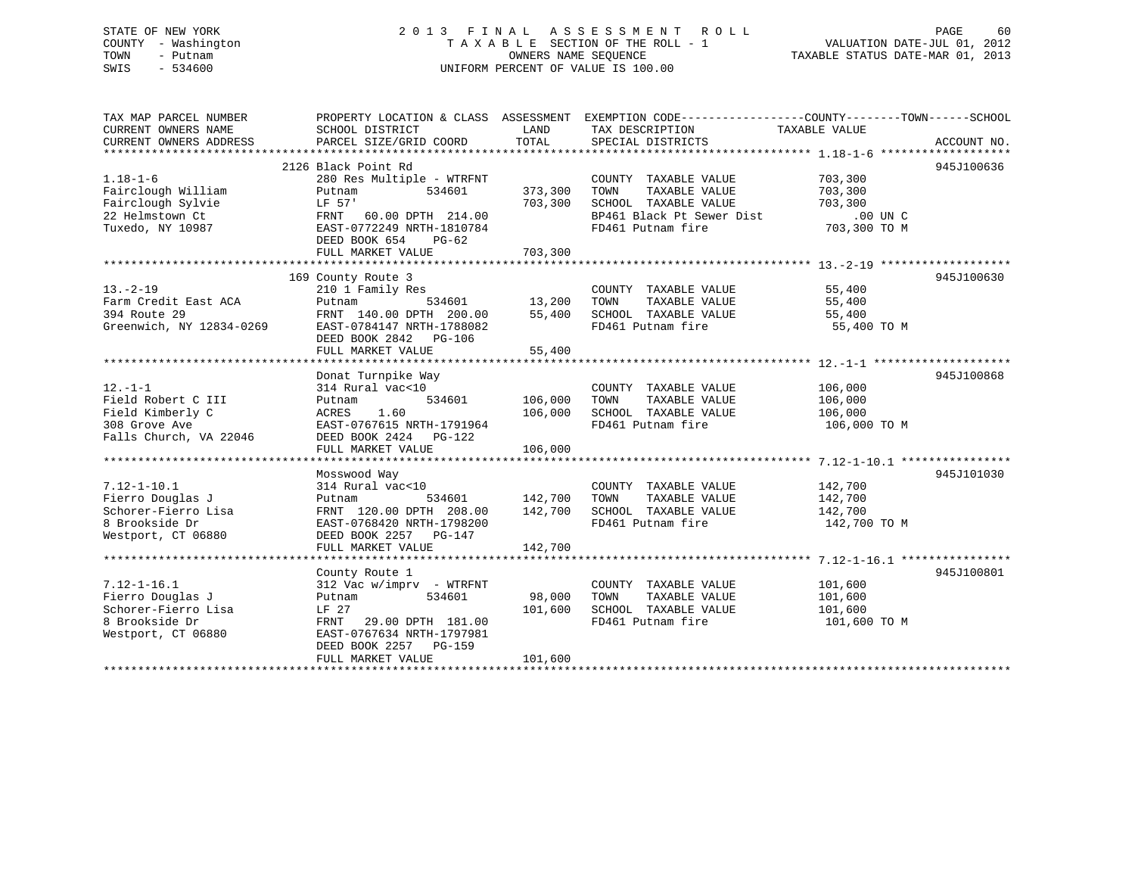## STATE OF NEW YORK 2 0 1 3 F I N A L A S S E S S M E N T R O L L PAGE 60 COUNTY - Washington T A X A B L E SECTION OF THE ROLL - 1 VALUATION DATE-JUL 01, 2012 TOWN - Putnam OWNERS NAME SEQUENCE TAXABLE STATUS DATE-MAR 01, 2013 SWIS - 534600 UNIFORM PERCENT OF VALUE IS 100.00

TAX MAP PARCEL NUMBER PROPERTY LOCATION & CLASS ASSESSMENT EXEMPTION CODE------------------COUNTY--------TOWN------SCHOOL CURRENT OWNERS NAME SCHOOL DISTRICT THE LAND TAX DESCRIPTION TAXABLE VALUE CURRENT OWNERS ADDRESS PARCEL SIZE/GRID COORD TOTAL SPECIAL DISTRICTS ACCOUNT NO. \*\*\*\*\*\*\*\*\*\*\*\*\*\*\*\*\*\*\*\*\*\*\*\*\*\*\*\*\*\*\*\*\*\*\*\*\*\*\*\*\*\*\*\*\*\*\*\*\*\*\*\*\*\*\*\*\*\*\*\*\*\*\*\*\*\*\*\*\*\*\*\*\*\*\*\*\*\*\*\*\*\*\*\*\*\*\*\*\*\*\*\*\*\*\*\*\*\*\*\*\*\*\* 1.18-1-6 \*\*\*\*\*\*\*\*\*\*\*\*\*\*\*\*\*\*\* 2126 Black Point Rd 945J1006361.18-1-6 280 Res Multiple - WTRFNT COUNTY TAXABLE VALUE 703,300 Fairclough William Putnam 534601 373,300 TOWN TAXABLE VALUE 703,300 Fairclough Sylvie LF 57' 703,300 SCHOOL TAXABLE VALUE 703,300 22 Helmstown Ct FRNT 60.00 DPTH 214.00 BP461 Black Pt Sewer Dist .00 UN CTuxedo, NY 10987 EAST-0772249 NRTH-1810784 FD461 Putnam fire 703,300 TO M DEED BOOK 654 PG-62FULL MARKET VALUE 703,300 \*\*\*\*\*\*\*\*\*\*\*\*\*\*\*\*\*\*\*\*\*\*\*\*\*\*\*\*\*\*\*\*\*\*\*\*\*\*\*\*\*\*\*\*\*\*\*\*\*\*\*\*\*\*\*\*\*\*\*\*\*\*\*\*\*\*\*\*\*\*\*\*\*\*\*\*\*\*\*\*\*\*\*\*\*\*\*\*\*\*\*\*\*\*\*\*\*\*\*\*\*\*\* 13.-2-19 \*\*\*\*\*\*\*\*\*\*\*\*\*\*\*\*\*\*\* 169 County Route 3 945J100630 13.-2-19 210 1 Family Res COUNTY TAXABLE VALUE 55,400 Farm Credit East ACA Putnam 534601 13,200 TOWN TAXABLE VALUE 55,400 394 Route 29 FRNT 140.00 DPTH 200.00 55,400 SCHOOL TAXABLE VALUE 55,400 Greenwich, NY 12834-0269 EAST-0784147 NRTH-1788082 FD461 Putnam fire 55,400 TO M DEED BOOK 2842 PG-106 FULL MARKET VALUE 55,400 \*\*\*\*\*\*\*\*\*\*\*\*\*\*\*\*\*\*\*\*\*\*\*\*\*\*\*\*\*\*\*\*\*\*\*\*\*\*\*\*\*\*\*\*\*\*\*\*\*\*\*\*\*\*\*\*\*\*\*\*\*\*\*\*\*\*\*\*\*\*\*\*\*\*\*\*\*\*\*\*\*\*\*\*\*\*\*\*\*\*\*\*\*\*\*\*\*\*\*\*\*\*\* 12.-1-1 \*\*\*\*\*\*\*\*\*\*\*\*\*\*\*\*\*\*\*\* Donat Turnpike Way 945J100868 12.-1-1 314 Rural vac<10 COUNTY TAXABLE VALUE 106,000 Field Robert C III Putnam 534601 106,000 TOWN TAXABLE VALUE 106,000 Field Kimberly C ACRES 1.60 106,000 SCHOOL TAXABLE VALUE 106,000 308 Grove Ave EAST-0767615 NRTH-1791964 FD461 Putnam fire 106,000 TO M Falls Church, VA 22046 DEED BOOK 2424 PG-122 FULL MARKET VALUE 106,000 \*\*\*\*\*\*\*\*\*\*\*\*\*\*\*\*\*\*\*\*\*\*\*\*\*\*\*\*\*\*\*\*\*\*\*\*\*\*\*\*\*\*\*\*\*\*\*\*\*\*\*\*\*\*\*\*\*\*\*\*\*\*\*\*\*\*\*\*\*\*\*\*\*\*\*\*\*\*\*\*\*\*\*\*\*\*\*\*\*\*\*\*\*\*\*\*\*\*\*\*\*\*\* 7.12-1-10.1 \*\*\*\*\*\*\*\*\*\*\*\*\*\*\*\* Mosswood Way 945J101030 7.12-1-10.1 314 Rural vac<10 COUNTY TAXABLE VALUE 142,700 Fierro Douglas J Putnam 534601 142,700 TOWN TAXABLE VALUE 142,700 Fierro Douglas January (12,700 142,700 1000 142,700 1000 142,700 1000 142,700 142,700 142,700 142,700 142,700<br>Schorer-Fierro Lisa 142,700 DPTH 208.00 142,700 SCHOOL TAXABLE VALUE 142,700 8 Brookside Dr EAST-0768420 NRTH-1798200 FD461 Putnam fire 142,700 TO M Westport, CT 06880 DEED BOOK 2257 PG-147 FULL MARKET VALUE 142,700 \*\*\*\*\*\*\*\*\*\*\*\*\*\*\*\*\*\*\*\*\*\*\*\*\*\*\*\*\*\*\*\*\*\*\*\*\*\*\*\*\*\*\*\*\*\*\*\*\*\*\*\*\*\*\*\*\*\*\*\*\*\*\*\*\*\*\*\*\*\*\*\*\*\*\*\*\*\*\*\*\*\*\*\*\*\*\*\*\*\*\*\*\*\*\*\*\*\*\*\*\*\*\* 7.12-1-16.1 \*\*\*\*\*\*\*\*\*\*\*\*\*\*\*\*County Route 1 945J100801<br>312 Vac w/imprv - WTRFNT 634601 98,000 TOWN TAXABLE VALUE 101,600<br>- 101.600 101.600 101.600 - 101.600 101.600 7.12-1-16.1 312 Vac w/imprv - WTRFNT COUNTY TAXABLE VALUE 101,600 Fierro Douglas J Putnam 534601 98,000 TOWN TAXABLE VALUE 101,600 Schorer-Fierro Lisa LF 27 101,600 SCHOOL TAXABLE VALUE 101,600 8 Brookside Dr FRNT 29.00 DPTH 181.00 FD461 Putnam fire 101,600 TO M Westport, CT 06880 EAST-0767634 NRTH-1797981 DEED BOOK 2257 PG-159 FULL MARKET VALUE 101,600 \*\*\*\*\*\*\*\*\*\*\*\*\*\*\*\*\*\*\*\*\*\*\*\*\*\*\*\*\*\*\*\*\*\*\*\*\*\*\*\*\*\*\*\*\*\*\*\*\*\*\*\*\*\*\*\*\*\*\*\*\*\*\*\*\*\*\*\*\*\*\*\*\*\*\*\*\*\*\*\*\*\*\*\*\*\*\*\*\*\*\*\*\*\*\*\*\*\*\*\*\*\*\*\*\*\*\*\*\*\*\*\*\*\*\*\*\*\*\*\*\*\*\*\*\*\*\*\*\*\*\*\*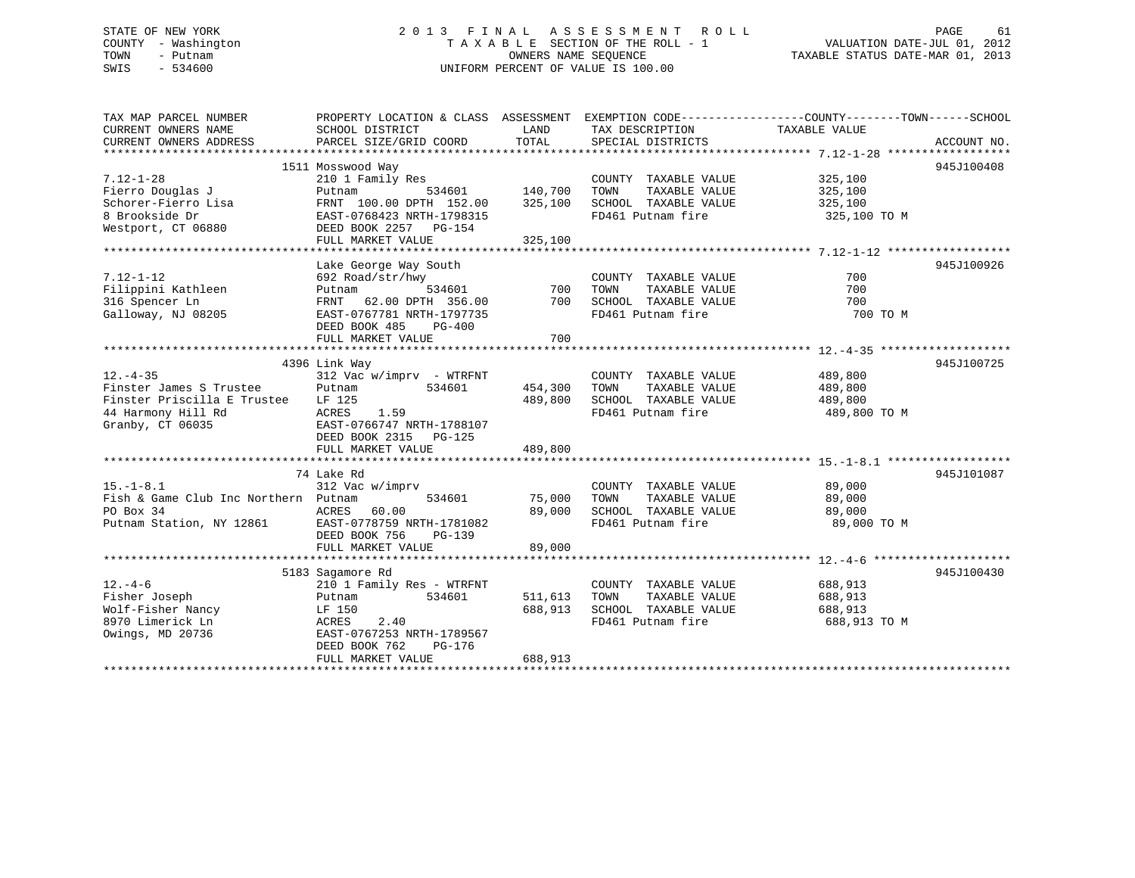## STATE OF NEW YORK 2 0 1 3 F I N A L A S S E S S M E N T R O L L PAGE 61 COUNTY - Washington T A X A B L E SECTION OF THE ROLL - 1 VALUATION DATE-JUL 01, 2012 TOWN - Putnam **CONNERS NAME SEQUENCE** TAXABLE STATUS DATE-MAR 01, 2013 SWIS - 534600 UNIFORM PERCENT OF VALUE IS 100.00

| TAX MAP PARCEL NUMBER                |                                            |            |                                           | PROPERTY LOCATION & CLASS ASSESSMENT EXEMPTION CODE----------------COUNTY-------TOWN------SCHOOL |             |
|--------------------------------------|--------------------------------------------|------------|-------------------------------------------|--------------------------------------------------------------------------------------------------|-------------|
| CURRENT OWNERS NAME                  | SCHOOL DISTRICT                            | LAND       | TAX DESCRIPTION                           | TAXABLE VALUE                                                                                    |             |
| CURRENT OWNERS ADDRESS               | PARCEL SIZE/GRID COORD                     | TOTAL      | SPECIAL DISTRICTS                         |                                                                                                  | ACCOUNT NO. |
|                                      |                                            |            |                                           |                                                                                                  |             |
|                                      | 1511 Mosswood Way                          |            |                                           |                                                                                                  | 945J100408  |
| $7.12 - 1 - 28$                      | 210 1 Family Res                           |            | COUNTY TAXABLE VALUE                      | 325,100                                                                                          |             |
| Fierro Douglas J                     | 534601<br>Putnam                           | 140,700    | TOWN<br>TAXABLE VALUE                     | 325,100                                                                                          |             |
| Schorer-Fierro Lisa                  | FRNT 100.00 DPTH 152.00                    | 325,100    | SCHOOL TAXABLE VALUE                      | 325,100                                                                                          |             |
| 8 Brookside Dr                       | EAST-0768423 NRTH-1798315                  |            | FD461 Putnam fire                         | 325,100 TO M                                                                                     |             |
| Westport, CT 06880                   | DEED BOOK 2257 PG-154                      |            |                                           |                                                                                                  |             |
|                                      | FULL MARKET VALUE                          | 325,100    |                                           |                                                                                                  |             |
|                                      |                                            |            |                                           |                                                                                                  |             |
|                                      | Lake George Way South                      |            |                                           |                                                                                                  | 945J100926  |
| $7.12 - 1 - 12$                      | 692 Road/str/hwy                           |            | COUNTY TAXABLE VALUE                      | 700                                                                                              |             |
| Filippini Kathleen                   | 534601<br>Putnam                           | 700<br>700 | TOWN<br>TAXABLE VALUE                     | 700                                                                                              |             |
| 316 Spencer Ln                       | FRNT 62.00 DPTH 356.00                     |            | SCHOOL TAXABLE VALUE<br>FD461 Putnam fire | 700<br>700 TO M                                                                                  |             |
| Galloway, NJ 08205                   | EAST-0767781 NRTH-1797735<br>DEED BOOK 485 |            |                                           |                                                                                                  |             |
|                                      | $PG-400$<br>FULL MARKET VALUE              | 700        |                                           |                                                                                                  |             |
|                                      |                                            |            |                                           |                                                                                                  |             |
|                                      | 4396 Link Way                              |            |                                           |                                                                                                  | 945J100725  |
| $12. - 4 - 35$                       | $312$ Vac w/imprv - WTRFNT                 |            | COUNTY TAXABLE VALUE                      | 489,800                                                                                          |             |
| Finster James S Trustee              | 534601<br>Putnam                           | 454,300    | TOWN<br>TAXABLE VALUE                     | 489,800                                                                                          |             |
| Finster Priscilla E Trustee          | LF 125                                     | 489,800    | SCHOOL TAXABLE VALUE                      | 489,800                                                                                          |             |
| 44 Harmony Hill Rd                   | ACRES<br>1.59                              |            | FD461 Putnam fire                         | 489,800 TO M                                                                                     |             |
| Granby, CT 06035                     | EAST-0766747 NRTH-1788107                  |            |                                           |                                                                                                  |             |
|                                      | DEED BOOK 2315 PG-125                      |            |                                           |                                                                                                  |             |
|                                      | FULL MARKET VALUE                          | 489,800    |                                           |                                                                                                  |             |
|                                      |                                            |            |                                           |                                                                                                  |             |
|                                      | 74 Lake Rd                                 |            |                                           |                                                                                                  | 945J101087  |
| $15. - 1 - 8.1$                      | 312 Vac w/imprv                            |            | COUNTY TAXABLE VALUE                      | 89,000                                                                                           |             |
| Fish & Game Club Inc Northern Putnam | 534601                                     | 75,000     | TOWN<br>TAXABLE VALUE                     | 89,000                                                                                           |             |
| PO Box 34                            | ACRES<br>60.00                             | 89,000     | SCHOOL TAXABLE VALUE                      | 89,000                                                                                           |             |
| Putnam Station, NY 12861             | EAST-0778759 NRTH-1781082                  |            | FD461 Putnam fire                         | 89,000 TO M                                                                                      |             |
|                                      | DEED BOOK 756<br>PG-139                    |            |                                           |                                                                                                  |             |
|                                      | FULL MARKET VALUE                          | 89,000     |                                           |                                                                                                  |             |
|                                      |                                            |            |                                           |                                                                                                  |             |
|                                      | 5183 Sagamore Rd                           |            |                                           |                                                                                                  | 945J100430  |
| $12. - 4 - 6$                        | 210 1 Family Res - WTRFNT                  |            | COUNTY TAXABLE VALUE                      | 688,913                                                                                          |             |
| Fisher Joseph                        | 534601<br>Putnam                           | 511,613    | TAXABLE VALUE<br>TOWN                     | 688,913                                                                                          |             |
| Wolf-Fisher Nancy                    | LF 150                                     | 688,913    | SCHOOL TAXABLE VALUE                      | 688,913                                                                                          |             |
| 8970 Limerick Ln                     | 2.40<br>ACRES                              |            | FD461 Putnam fire                         | 688,913 TO M                                                                                     |             |
| Owings, MD 20736                     | EAST-0767253 NRTH-1789567                  |            |                                           |                                                                                                  |             |
|                                      | DEED BOOK 762<br>PG-176                    |            |                                           |                                                                                                  |             |
|                                      | FULL MARKET VALUE                          | 688,913    |                                           |                                                                                                  |             |
|                                      |                                            |            |                                           |                                                                                                  |             |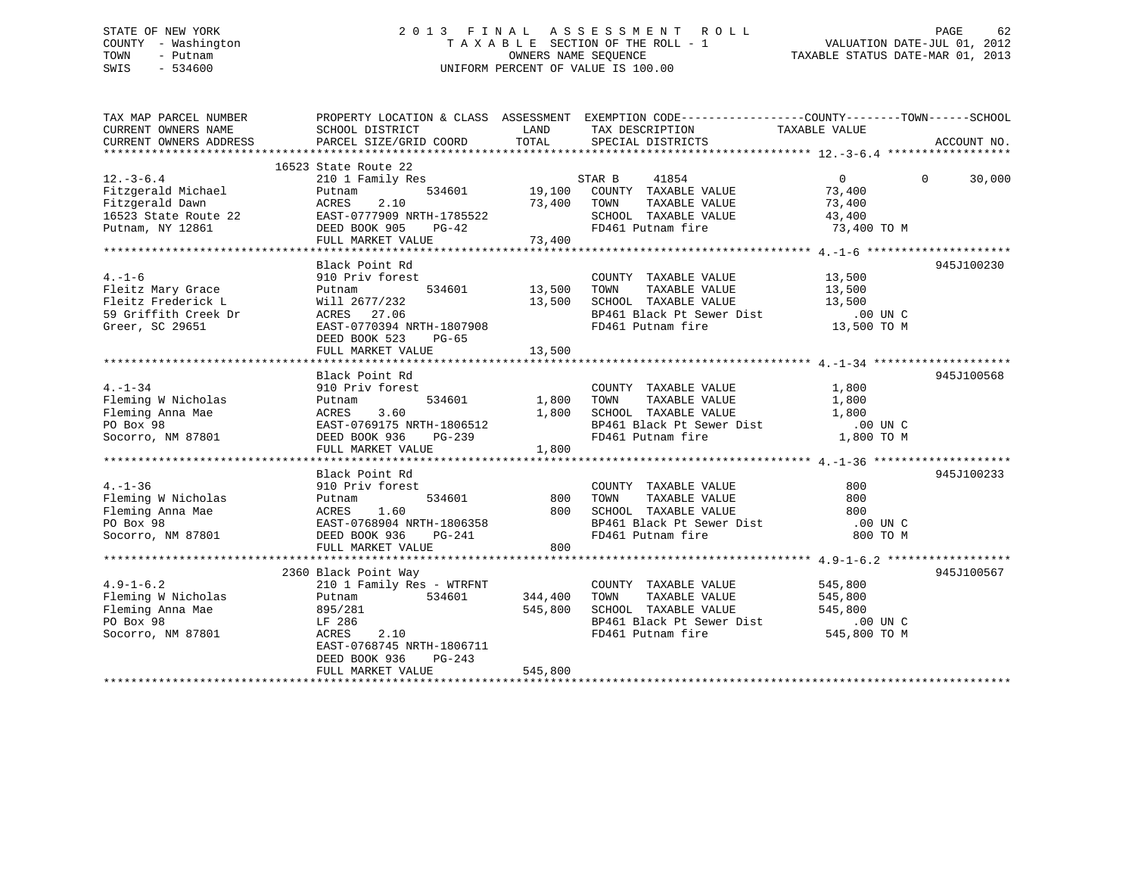## STATE OF NEW YORK 2 0 1 3 F I N A L A S S E S S M E N T R O L L PAGE 62 COUNTY - Washington T A X A B L E SECTION OF THE ROLL - 1 VALUATION DATE-JUL 01, 2012 TOWN - Putnam OWNERS NAME SEQUENCE TAXABLE STATUS DATE-MAR 01, 2013 SWIS - 534600 UNIFORM PERCENT OF VALUE IS 100.00

| TAX MAP PARCEL NUMBER                                                                                                                                                                                                                                                             |                                   |         | PROPERTY LOCATION & CLASS ASSESSMENT EXEMPTION CODE-----------------COUNTY-------TOWN------SCHOOL             |                |                    |
|-----------------------------------------------------------------------------------------------------------------------------------------------------------------------------------------------------------------------------------------------------------------------------------|-----------------------------------|---------|---------------------------------------------------------------------------------------------------------------|----------------|--------------------|
|                                                                                                                                                                                                                                                                                   |                                   |         |                                                                                                               |                |                    |
|                                                                                                                                                                                                                                                                                   | 16523 State Route 22              |         |                                                                                                               |                |                    |
| 12.-3-6.4 16523 State Route 22<br>Pitzgerald Michael 210 1 Family Res<br>Fitzgerald Dawn ACRES 2.10 16523 State Route 22<br>16523 State Route 22 EAST-0777909 NRTH-1785522 5000 SCHOOL TAXABLE VALUE 73,400<br>Putnam, NY 12861 DEED B                                            |                                   |         |                                                                                                               | $\overline{0}$ | $\Omega$<br>30,000 |
|                                                                                                                                                                                                                                                                                   |                                   |         |                                                                                                               |                |                    |
|                                                                                                                                                                                                                                                                                   |                                   |         |                                                                                                               |                |                    |
|                                                                                                                                                                                                                                                                                   |                                   |         |                                                                                                               |                |                    |
|                                                                                                                                                                                                                                                                                   |                                   |         |                                                                                                               |                |                    |
|                                                                                                                                                                                                                                                                                   | FULL MARKET VALUE 73,400          |         |                                                                                                               |                |                    |
|                                                                                                                                                                                                                                                                                   |                                   |         |                                                                                                               |                |                    |
|                                                                                                                                                                                                                                                                                   | Black Point Rd                    |         |                                                                                                               |                | 945J100230         |
| $4. - 1 - 6$                                                                                                                                                                                                                                                                      | 910 Priv forest                   |         | COUNTY TAXABLE VALUE 13,500<br>Fitnest<br>534601 13,500 TOWN TAXABLE VALUE 13,500 TOWN TAXABLE VALUE 13,500   |                |                    |
|                                                                                                                                                                                                                                                                                   |                                   |         |                                                                                                               |                |                    |
|                                                                                                                                                                                                                                                                                   |                                   |         |                                                                                                               |                |                    |
| 4.-1-6<br>Fleitz Mary Grace<br>Fleitz Frederick L<br>59 Griffith Creek Dr<br>2677/232<br>59 Griffith Creek Dr<br>27.06                                                                                                                                                            |                                   |         |                                                                                                               |                |                    |
| Greer, SC 29651                                                                                                                                                                                                                                                                   | EAST-0770394 NRTH-1807908         |         | 13,500 SCHOOL TAXABLE VALUE 13,500<br>BP461 Black Pt Sewer Dist 13,500 DP461 Putnam fire 1807908 PRTH-1807908 |                |                    |
|                                                                                                                                                                                                                                                                                   | DEED BOOK 523 PG-65               |         |                                                                                                               |                |                    |
|                                                                                                                                                                                                                                                                                   | FULL MARKET VALUE                 | 13,500  |                                                                                                               |                |                    |
|                                                                                                                                                                                                                                                                                   |                                   |         |                                                                                                               |                |                    |
|                                                                                                                                                                                                                                                                                   | Black Point Rd                    |         |                                                                                                               |                | 945J100568         |
|                                                                                                                                                                                                                                                                                   |                                   |         |                                                                                                               |                |                    |
|                                                                                                                                                                                                                                                                                   |                                   |         |                                                                                                               |                |                    |
|                                                                                                                                                                                                                                                                                   |                                   |         |                                                                                                               |                |                    |
|                                                                                                                                                                                                                                                                                   |                                   |         |                                                                                                               |                |                    |
| $\begin{tabular}{lccccccc} 4.-1-34 & 210 Priv forest & 534601 & 534601 & 534601 & 534601 & 534601 & 534601 & 534601 & 534601 & 534601 & 534601 & 534601 & 534601 & 534601 & 534601 & 534601 & 534601 & 534601 & 534601 & 534601 & 534601 & 534601 & 534601 & 534601 & 534601 & 5$ |                                   |         |                                                                                                               |                |                    |
|                                                                                                                                                                                                                                                                                   | FULL MARKET VALUE                 | 1,800   |                                                                                                               |                |                    |
|                                                                                                                                                                                                                                                                                   |                                   |         |                                                                                                               |                |                    |
|                                                                                                                                                                                                                                                                                   | Black Point Rd<br>910 Priv forest |         |                                                                                                               |                | 945J100233         |
|                                                                                                                                                                                                                                                                                   |                                   |         |                                                                                                               |                |                    |
|                                                                                                                                                                                                                                                                                   |                                   |         |                                                                                                               |                |                    |
|                                                                                                                                                                                                                                                                                   |                                   |         |                                                                                                               |                |                    |
|                                                                                                                                                                                                                                                                                   |                                   |         |                                                                                                               |                |                    |
|                                                                                                                                                                                                                                                                                   |                                   |         |                                                                                                               |                |                    |
|                                                                                                                                                                                                                                                                                   |                                   |         |                                                                                                               |                |                    |
|                                                                                                                                                                                                                                                                                   |                                   |         |                                                                                                               |                |                    |
|                                                                                                                                                                                                                                                                                   | 2360 Black Point Way              |         |                                                                                                               |                | 945J100567         |
| $4.9 - 1 - 6.2$                                                                                                                                                                                                                                                                   | 210 1 Family Res - WTRFNT         |         | COUNTY TAXABLE VALUE 545,800                                                                                  |                |                    |
| $4.9-1-6.2$ 210 1 F<br>Fleming W Nicholas Putnam                                                                                                                                                                                                                                  | 534601 344,400 TOWN               |         | TAXABLE VALUE 545,800                                                                                         |                |                    |
|                                                                                                                                                                                                                                                                                   |                                   |         |                                                                                                               |                |                    |
|                                                                                                                                                                                                                                                                                   | 895/281<br>LF 286<br>ACRES 2.10   |         | 545,800 SCHOOL TAXABLE VALUE 545,800<br>BP461 Black Pt Sewer Dist .00 UN C                                    |                |                    |
| Fleming Anna Mae $895/281$<br>PO Box 98 LF 286<br>Socorro, NM 87801 ACRES                                                                                                                                                                                                         |                                   |         | FD461 Putnam fire 545,800 TO M                                                                                |                |                    |
|                                                                                                                                                                                                                                                                                   | EAST-0768745 NRTH-1806711         |         |                                                                                                               |                |                    |
|                                                                                                                                                                                                                                                                                   | DEED BOOK 936<br>$PG-243$         |         |                                                                                                               |                |                    |
|                                                                                                                                                                                                                                                                                   | FULL MARKET VALUE                 | 545,800 |                                                                                                               |                |                    |
|                                                                                                                                                                                                                                                                                   |                                   |         |                                                                                                               |                |                    |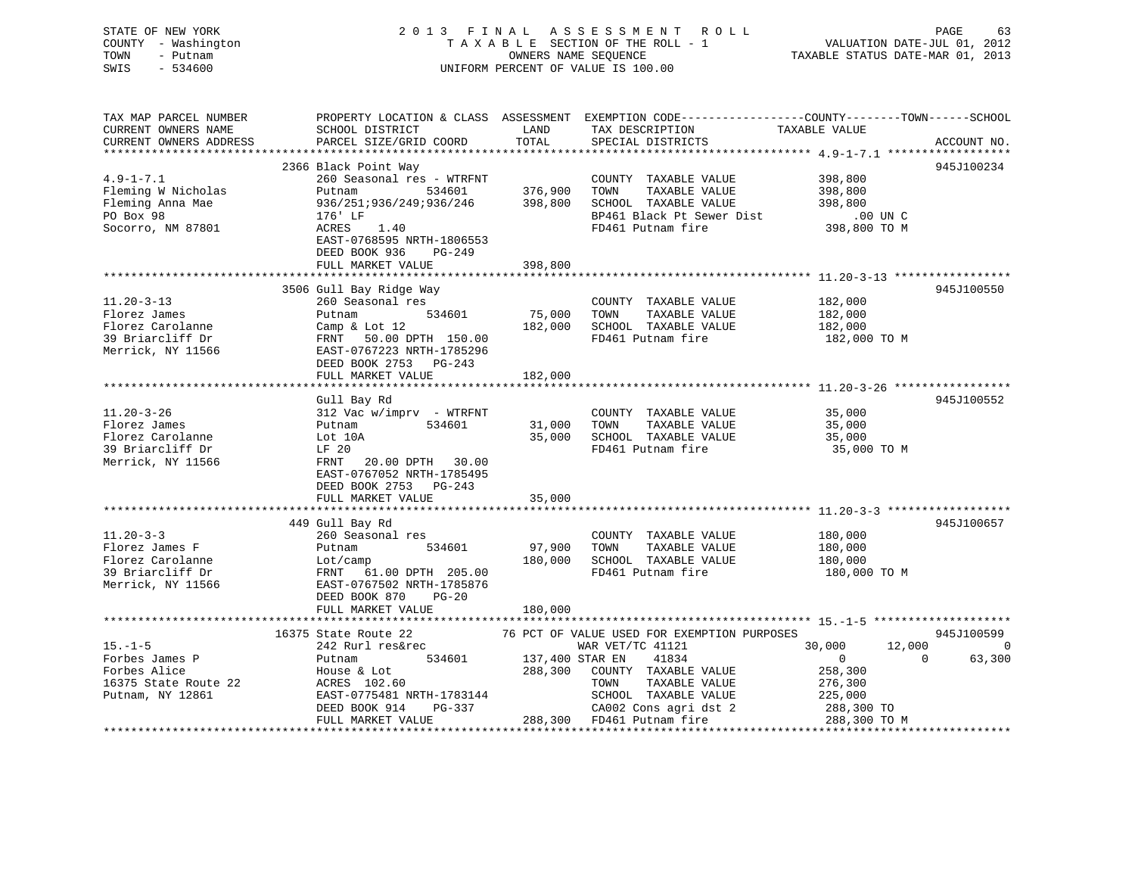| STATE OF NEW YORK<br>COUNTY - Washington<br>TOWN<br>- Putnam<br>SWIS<br>$-534600$             |                                                                                                                                                                        |                            | 2013 FINAL ASSESSMENT<br><b>ROLL</b><br>TAXABLE SECTION OF THE ROLL - 1<br>OWNERS NAME SEQUENCE<br>UNIFORM PERCENT OF VALUE IS 100.00                                      | PAGE<br>63<br>VALUATION DATE-JUL 01, 2012<br>TAXABLE STATUS DATE-MAR 01, 2013                                                                   |
|-----------------------------------------------------------------------------------------------|------------------------------------------------------------------------------------------------------------------------------------------------------------------------|----------------------------|----------------------------------------------------------------------------------------------------------------------------------------------------------------------------|-------------------------------------------------------------------------------------------------------------------------------------------------|
| TAX MAP PARCEL NUMBER<br>CURRENT OWNERS NAME<br>CURRENT OWNERS ADDRESS                        | SCHOOL DISTRICT<br>PARCEL SIZE/GRID COORD                                                                                                                              | LAND<br>TOTAL              | TAX DESCRIPTION<br>SPECIAL DISTRICTS                                                                                                                                       | PROPERTY LOCATION & CLASS ASSESSMENT EXEMPTION CODE-----------------COUNTY-------TOWN-----SCHOOL<br>TAXABLE VALUE<br>ACCOUNT NO.                |
|                                                                                               | 2366 Black Point Way                                                                                                                                                   |                            |                                                                                                                                                                            | 945J100234                                                                                                                                      |
| $4.9 - 1 - 7.1$<br>Fleming W Nicholas<br>Fleming Anna Mae<br>PO Box 98<br>Socorro, NM 87801   | 260 Seasonal res - WTRFNT<br>Putnam<br>534601<br>936/251;936/249;936/246<br>176' LF<br>ACRES<br>1.40<br>EAST-0768595 NRTH-1806553<br>DEED BOOK 936<br>PG-249           | 376,900<br>398,800         | COUNTY TAXABLE VALUE<br>TOWN<br>TAXABLE VALUE<br>SCHOOL TAXABLE VALUE<br>BP461 Black Pt Sewer Dist<br>FD461 Putnam fire                                                    | 398,800<br>398,800<br>398,800<br>.00 UN C<br>398,800 TO M                                                                                       |
|                                                                                               | FULL MARKET VALUE                                                                                                                                                      | 398,800                    |                                                                                                                                                                            |                                                                                                                                                 |
|                                                                                               |                                                                                                                                                                        |                            |                                                                                                                                                                            |                                                                                                                                                 |
| $11.20 - 3 - 13$<br>Florez James<br>Florez Carolanne<br>39 Briarcliff Dr<br>Merrick, NY 11566 | 3506 Gull Bay Ridge Way<br>260 Seasonal res<br>Putnam<br>534601<br>Camp & Lot 12<br>FRNT 50.00 DPTH 150.00<br>EAST-0767223 NRTH-1785296<br>DEED BOOK 2753 PG-243       | 75,000<br>182,000          | COUNTY TAXABLE VALUE<br>TOWN<br>TAXABLE VALUE<br>SCHOOL TAXABLE VALUE<br>FD461 Putnam fire                                                                                 | 945J100550<br>182,000<br>182,000<br>182,000<br>182,000 TO M                                                                                     |
|                                                                                               | FULL MARKET VALUE                                                                                                                                                      | 182,000                    |                                                                                                                                                                            |                                                                                                                                                 |
|                                                                                               |                                                                                                                                                                        |                            |                                                                                                                                                                            |                                                                                                                                                 |
| $11.20 - 3 - 26$<br>Florez James<br>Florez Carolanne<br>39 Briarcliff Dr<br>Merrick, NY 11566 | Gull Bay Rd<br>$312$ Vac w/imprv - WTRFNT<br>534601<br>Putnam<br>Lot 10A<br>LF 20<br>FRNT<br>20.00 DPTH<br>30.00<br>EAST-0767052 NRTH-1785495<br>DEED BOOK 2753 PG-243 | 31,000<br>35,000           | COUNTY TAXABLE VALUE<br>TOWN<br>TAXABLE VALUE<br>SCHOOL TAXABLE VALUE<br>FD461 Putnam fire                                                                                 | 945J100552<br>35,000<br>35,000<br>35,000<br>35,000 TO M                                                                                         |
|                                                                                               | FULL MARKET VALUE                                                                                                                                                      | 35,000                     |                                                                                                                                                                            |                                                                                                                                                 |
| $11.20 - 3 - 3$<br>Florez James F<br>Florez Carolanne<br>39 Briarcliff Dr                     | 449 Gull Bay Rd<br>260 Seasonal res<br>Putnam<br>534601<br>Lot/camp<br>FRNT 61.00 DPTH 205.00                                                                          | 97,900<br>180,000          | COUNTY TAXABLE VALUE<br>TAXABLE VALUE<br>TOWN<br>SCHOOL TAXABLE VALUE<br>FD461 Putnam fire                                                                                 | 945J100657<br>180,000<br>180,000<br>180,000<br>180,000 TO M                                                                                     |
| Merrick, NY 11566                                                                             | EAST-0767502 NRTH-1785876<br>DEED BOOK 870<br>$PG-20$<br>FULL MARKET VALUE                                                                                             | 180,000                    |                                                                                                                                                                            |                                                                                                                                                 |
|                                                                                               |                                                                                                                                                                        |                            |                                                                                                                                                                            |                                                                                                                                                 |
| $15. - 1 - 5$<br>Forbes James P<br>Forbes Alice<br>16375 State Route 22<br>Putnam, NY 12861   | 16375 State Route 22<br>242 Rurl res&rec<br>534601<br>Putnam<br>House & Lot<br>ACRES 102.60<br>EAST-0775481 NRTH-1783144<br>DEED BOOK 914<br>PG-337                    | 137,400 STAR EN<br>288,300 | 76 PCT OF VALUE USED FOR EXEMPTION PURPOSES<br>WAR VET/TC 41121<br>41834<br>COUNTY TAXABLE VALUE<br>TOWN<br>TAXABLE VALUE<br>SCHOOL TAXABLE VALUE<br>CA002 Cons agri dst 2 | 945J100599<br>30,000<br>12,000<br>$\overline{\phantom{0}}$<br>$\Omega$<br>63,300<br>$\mathbf{0}$<br>258,300<br>276,300<br>225,000<br>288,300 TO |

FULL MARKET VALUE 288,300 FD461 Putnam fire 288,300 TO M

\*\*\*\*\*\*\*\*\*\*\*\*\*\*\*\*\*\*\*\*\*\*\*\*\*\*\*\*\*\*\*\*\*\*\*\*\*\*\*\*\*\*\*\*\*\*\*\*\*\*\*\*\*\*\*\*\*\*\*\*\*\*\*\*\*\*\*\*\*\*\*\*\*\*\*\*\*\*\*\*\*\*\*\*\*\*\*\*\*\*\*\*\*\*\*\*\*\*\*\*\*\*\*\*\*\*\*\*\*\*\*\*\*\*\*\*\*\*\*\*\*\*\*\*\*\*\*\*\*\*\*\*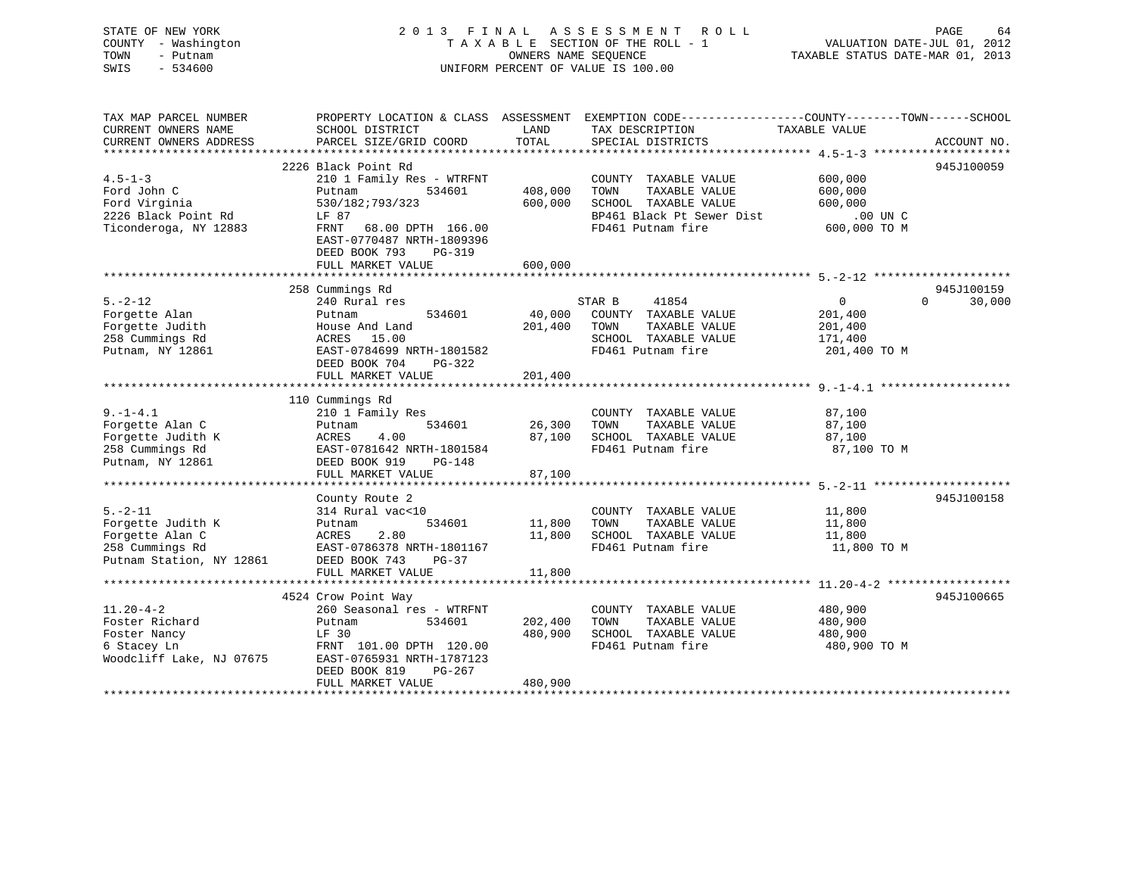| STATE OF NEW YORK<br>COUNTY - Washington<br>TOWN<br>- Putnam<br>SWIS - 534600                                                                                                                                                                                                                                                                                                                                                                                |                                                                                                                                           |         | OWNERS NAME SEQUENCE TAXABLE STATUS DATE-MAR 01, 2013<br>UNIFORM PERCENT OF VALUE IS 100.00         |                                      |                                  |
|--------------------------------------------------------------------------------------------------------------------------------------------------------------------------------------------------------------------------------------------------------------------------------------------------------------------------------------------------------------------------------------------------------------------------------------------------------------|-------------------------------------------------------------------------------------------------------------------------------------------|---------|-----------------------------------------------------------------------------------------------------|--------------------------------------|----------------------------------|
| TAX MAP PARCEL NUMBER THE PROPERTY LOCATION & CLASS ASSESSMENT EXEMPTION CODE---------------COUNTY--------TOWN------SCHOOL<br>CURRENT OWNERS NAME SCHOOL DISTRICT                                                                                                                                                                                                                                                                                            |                                                                                                                                           |         | LAND TAX DESCRIPTION TAXABLE VALUE                                                                  |                                      |                                  |
| $\begin{minipage}{0.5cm} \begin{minipage}{0.5cm} \begin{minipage}{0.5cm} \begin{minipage}{0.5cm} \begin{minipage}{0.5cm} \begin{minipage}{0.5cm} \begin{minipage}{0.5cm} \begin{minipage}{0.5cm} \begin{minipage}{0.5cm} \begin{minipage}{0.5cm} \begin{minipage}{0.5cm} \begin{minipage}{0.5cm} \begin{minipage}{0.5cm} \begin{minipage}{0.5cm} \begin{minipage}{0.5cm} \begin{minipage}{0.5cm} \begin{minipage}{0.5cm} \begin{minipage}{0.5cm} \begin{min$ |                                                                                                                                           |         |                                                                                                     |                                      |                                  |
|                                                                                                                                                                                                                                                                                                                                                                                                                                                              |                                                                                                                                           |         |                                                                                                     |                                      |                                  |
|                                                                                                                                                                                                                                                                                                                                                                                                                                                              | 2226 Black Point Rd<br>210 1 Family Res - WTRFNT<br>EAST-0770487 NRTH-1809396<br>DEED BOOK 793<br>PG-319<br>FULL MARKET VALUE 600,000     |         |                                                                                                     |                                      | 945J100059                       |
|                                                                                                                                                                                                                                                                                                                                                                                                                                                              |                                                                                                                                           |         |                                                                                                     |                                      |                                  |
| $5. -2 - 12$<br>Putnam, NY 12861                                                                                                                                                                                                                                                                                                                                                                                                                             | 258 Cummings Rd<br>240 Rural res<br>EAST-0784699 NRTH-1801582 FD461 Putnam fire 201,400 TO M<br>DEED BOOK 704 PG-322<br>FULL MARKET VALUE | 201,400 | STAR B 41854<br>534601 40,000 COUNTY TAXABLE VALUE 201,400<br>TAXABLE VALUE<br>SCHOOL TAXABLE VALUE | $\overline{0}$<br>201,400<br>171,400 | 945J100159<br>$\Omega$<br>30,000 |
|                                                                                                                                                                                                                                                                                                                                                                                                                                                              |                                                                                                                                           |         |                                                                                                     |                                      |                                  |
|                                                                                                                                                                                                                                                                                                                                                                                                                                                              | 110 Cumminas Rd                                                                                                                           |         |                                                                                                     |                                      |                                  |

|                                        | 110 Cummings Rd           |         |                         |              |            |
|----------------------------------------|---------------------------|---------|-------------------------|--------------|------------|
| $9 - 1 - 4.1$                          | 210 1 Family Res          |         | COUNTY<br>TAXABLE VALUE | 87,100       |            |
| Forgette Alan C                        | 534601 26,300<br>Putnam   |         | TOWN<br>TAXABLE VALUE   | 87,100       |            |
| Forgette Judith K                      | ACRES 4.00                | 87,100  | SCHOOL TAXABLE VALUE    | 87,100       |            |
|                                        |                           |         | FD461 Putnam fire       | 87,100 TO M  |            |
|                                        |                           |         |                         |              |            |
|                                        |                           |         |                         |              |            |
|                                        |                           |         |                         |              |            |
|                                        | County Route 2            |         |                         |              | 945J100158 |
| $5. - 2 - 11$                          | 314 Rural vac<10          |         | COUNTY<br>TAXABLE VALUE | 11,800       |            |
| Forgette Judith K                      | 534601 11,800<br>Putnam   |         | TAXABLE VALUE<br>TOWN   | 11,800       |            |
| Forgette Alan C                        | ACRES 2.80                | 11,800  | SCHOOL TAXABLE VALUE    | 11,800       |            |
| 258 Cummings Rd                        | EAST-0786378 NRTH-1801167 |         | FD461 Putnam fire       | 11,800 TO M  |            |
| Putnam Station, NY 12861 DEED BOOK 743 | PG-37                     |         |                         |              |            |
|                                        | FULL MARKET VALUE         | 11,800  |                         |              |            |
|                                        |                           |         |                         |              |            |
|                                        | 4524 Crow Point Way       |         |                         |              | 945J100665 |
| $11.20 - 4 - 2$                        | 260 Seasonal res - WTRFNT |         | COUNTY TAXABLE VALUE    | 480,900      |            |
| Foster Richard                         | 534601<br>Putnam          | 202,400 | TOWN<br>TAXABLE VALUE   | 480,900      |            |
| LF 30<br>Foster Nancy                  |                           | 480,900 | SCHOOL TAXABLE VALUE    | 480,900      |            |
| 6 Stacey Ln                            | FRNT 101.00 DPTH 120.00   |         | FD461 Putnam fire       | 480,900 TO M |            |
| Woodcliff Lake, NJ 07675               | EAST-0765931 NRTH-1787123 |         |                         |              |            |
|                                        | DEED BOOK 819<br>PG-267   |         |                         |              |            |
|                                        | FULL MARKET VALUE         | 480,900 |                         |              |            |
|                                        |                           |         |                         |              |            |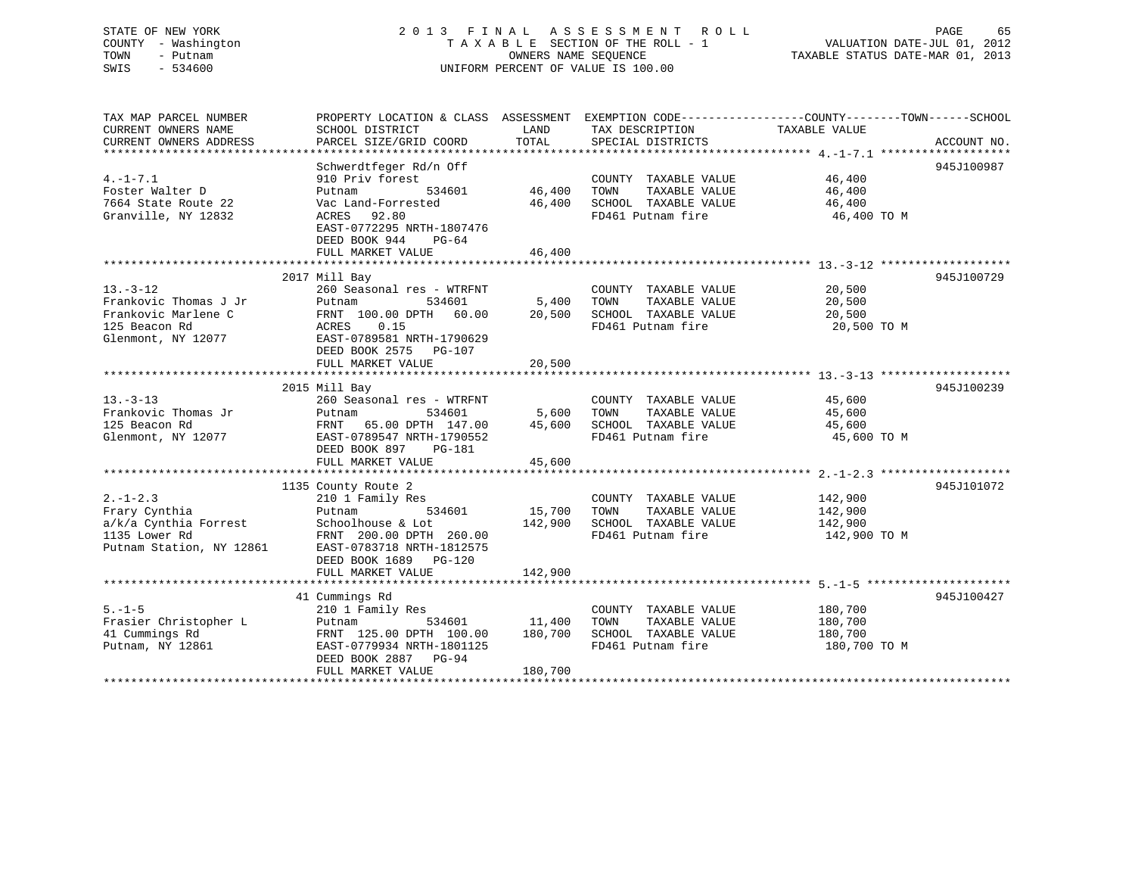## STATE OF NEW YORK 2 0 1 3 F I N A L A S S E S S M E N T R O L L PAGE 65 COUNTY - Washington T A X A B L E SECTION OF THE ROLL - 1 VALUATION DATE-JUL 01, 2012 TOWN - Putnam OWNERS NAME SEQUENCE TAXABLE STATUS DATE-MAR 01, 2013 SWIS - 534600 UNIFORM PERCENT OF VALUE IS 100.00

| TAX MAP PARCEL NUMBER<br>CURRENT OWNERS NAME | PROPERTY LOCATION & CLASS ASSESSMENT EXEMPTION CODE----------------COUNTY-------TOWN------SCHOOL<br>SCHOOL DISTRICT | LAND          | TAX DESCRIPTION                       | TAXABLE VALUE |             |
|----------------------------------------------|---------------------------------------------------------------------------------------------------------------------|---------------|---------------------------------------|---------------|-------------|
| CURRENT OWNERS ADDRESS                       | PARCEL SIZE/GRID COORD                                                                                              | TOTAL         | SPECIAL DISTRICTS                     |               | ACCOUNT NO. |
|                                              | Schwerdtfeger Rd/n Off                                                                                              |               |                                       |               | 945J100987  |
| $4. -1 - 7.1$                                | 910 Priv forest                                                                                                     |               | COUNTY TAXABLE VALUE                  | 46,400        |             |
| Foster Walter D                              | 534601<br>Putnam                                                                                                    | 46,400        | TOWN<br>TAXABLE VALUE                 | 46,400        |             |
| 7664 State Route 22                          | Vac Land-Forrested                                                                                                  |               | 46,400 SCHOOL TAXABLE VALUE           | 46,400        |             |
| Granville, NY 12832                          | ACRES 92.80<br>EAST-0772295 NRTH-1807476<br>DEED BOOK 944 PG-64                                                     |               | FD461 Putnam fire                     | 46,400 TO M   |             |
|                                              | FULL MARKET VALUE                                                                                                   | 46,400        |                                       |               |             |
|                                              |                                                                                                                     |               |                                       |               |             |
|                                              | 2017 Mill Bay                                                                                                       |               |                                       |               | 945J100729  |
| $13. - 3 - 12$                               | 260 Seasonal res - WTRFNT                                                                                           |               | COUNTY TAXABLE VALUE                  | 20,500        |             |
| Frankovic Thomas J Jr                        | Putnam<br>534601                                                                                                    | 5,400         | TOWN<br>TAXABLE VALUE                 | 20,500        |             |
| Frankovic Marlene C                          | FRNT 100.00 DPTH 60.00                                                                                              | 20,500        | SCHOOL TAXABLE VALUE                  | 20,500        |             |
| 125 Beacon Rd                                | ACRES<br>0.15                                                                                                       |               | FD461 Putnam fire                     | 20,500 TO M   |             |
| Glenmont, NY 12077                           | EAST-0789581 NRTH-1790629                                                                                           |               |                                       |               |             |
|                                              | DEED BOOK 2575 PG-107                                                                                               |               |                                       |               |             |
|                                              | FULL MARKET VALUE                                                                                                   | 20,500        |                                       |               |             |
|                                              |                                                                                                                     |               |                                       |               |             |
|                                              | 2015 Mill Bay                                                                                                       |               |                                       |               | 945J100239  |
| $13 - 3 - 13$                                | 260 Seasonal res - WTRFNT                                                                                           |               | COUNTY TAXABLE VALUE                  | 45,600        |             |
| Frankovic Thomas Jr                          | 534601<br>Putnam                                                                                                    | 5,600         | TOWN<br>TAXABLE VALUE                 | 45,600        |             |
| 125 Beacon Rd                                | FRNT 65.00 DPTH 147.00                                                                                              | 45,600        | SCHOOL TAXABLE VALUE                  | 45,600        |             |
| Glenmont, NY 12077                           | EAST-0789547 NRTH-1790552                                                                                           |               | FD461 Putnam fire                     | 45,600 TO M   |             |
|                                              | DEED BOOK 897<br>PG-181                                                                                             |               |                                       |               |             |
|                                              | FULL MARKET VALUE                                                                                                   | 45,600        |                                       |               |             |
|                                              |                                                                                                                     |               |                                       |               | 945J101072  |
| $2. -1 - 2.3$                                | 1135 County Route 2<br>210 1 Family Res                                                                             |               |                                       | 142,900       |             |
| Frary Cynthia                                | 534601<br>Putnam                                                                                                    | 15,700 TOWN   | COUNTY TAXABLE VALUE<br>TAXABLE VALUE | 142,900       |             |
| a/k/a Cynthia Forrest                        | Schoolhouse & Lot                                                                                                   |               | 142,900 SCHOOL TAXABLE VALUE          | 142,900       |             |
| 1135 Lower Rd                                | FRNT 200.00 DPTH 260.00                                                                                             |               | FD461 Putnam fire                     | 142,900 TO M  |             |
| Putnam Station, NY 12861                     | EAST-0783718 NRTH-1812575                                                                                           |               |                                       |               |             |
|                                              | DEED BOOK 1689 PG-120                                                                                               |               |                                       |               |             |
|                                              | FULL MARKET VALUE                                                                                                   | 142,900       |                                       |               |             |
|                                              |                                                                                                                     |               |                                       |               |             |
|                                              | 41 Cummings Rd                                                                                                      |               |                                       |               | 945J100427  |
| $5 - 1 - 5$                                  | 210 1 Family Res                                                                                                    |               | COUNTY TAXABLE VALUE                  | 180,700       |             |
| Frasier Christopher L                        | Putnam                                                                                                              | 534601 11,400 | TAXABLE VALUE<br>TOWN                 | 180,700       |             |
| 41 Cummings Rd                               | FRNT 125.00 DPTH 100.00 180,700                                                                                     |               | SCHOOL TAXABLE VALUE                  | 180,700       |             |
| Putnam, NY 12861                             | EAST-0779934 NRTH-1801125                                                                                           |               | FD461 Putnam fire                     | 180,700 TO M  |             |
|                                              | DEED BOOK 2887 PG-94                                                                                                |               |                                       |               |             |
|                                              | FULL MARKET VALUE                                                                                                   | 180,700       |                                       |               |             |
|                                              |                                                                                                                     |               |                                       |               |             |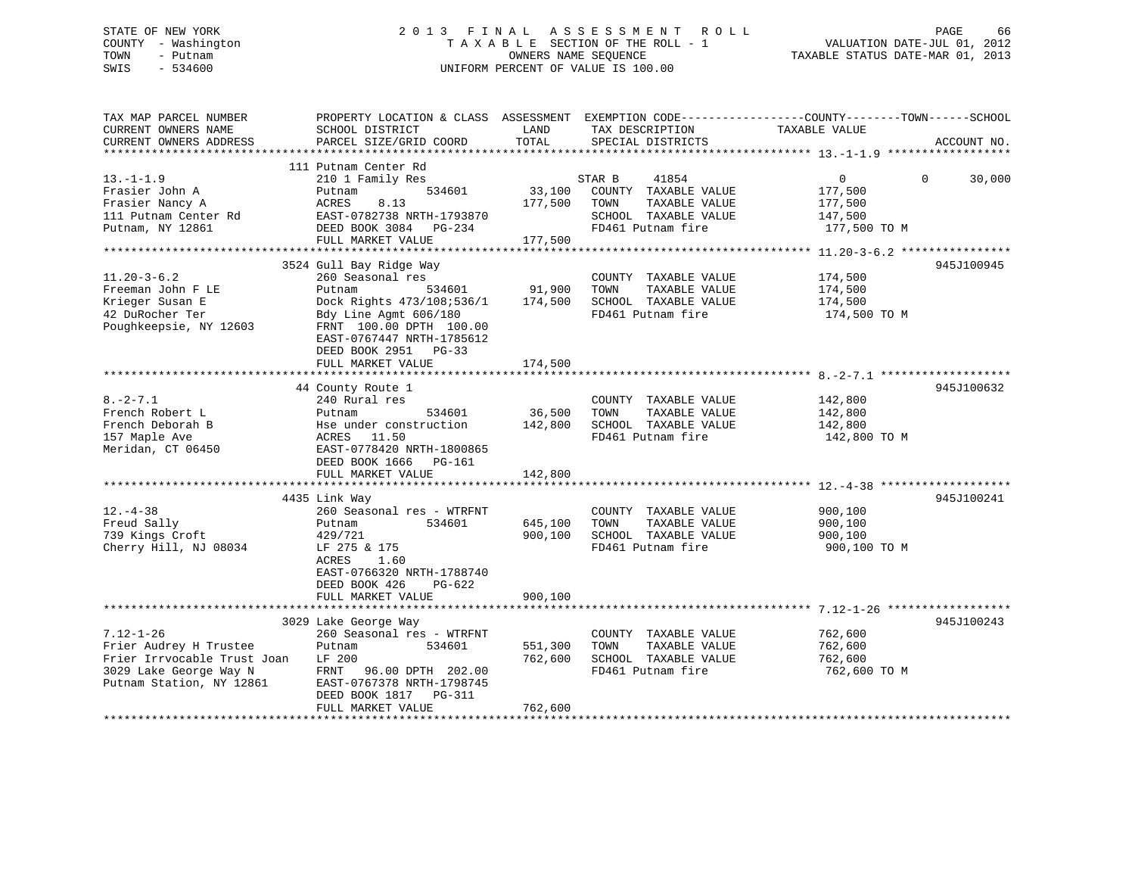## STATE OF NEW YORK 2 0 1 3 F I N A L A S S E S S M E N T R O L L PAGE 66 COUNTY - Washington T A X A B L E SECTION OF THE ROLL - 1 VALUATION DATE-JUL 01, 2012 TOWN - Putnam OWNERS NAME SEQUENCE TAXABLE STATUS DATE-MAR 01, 2013 SWIS - 534600 UNIFORM PERCENT OF VALUE IS 100.00

| TAX MAP PARCEL NUMBER<br>CURRENT OWNERS NAME<br>CURRENT OWNERS ADDRESS                                                         | PROPERTY LOCATION & CLASS ASSESSMENT<br>SCHOOL DISTRICT<br>PARCEL SIZE/GRID COORD                                                                                                                     | LAND<br>TOTAL                 | TAX DESCRIPTION<br>SPECIAL DISTRICTS                                                                          | EXEMPTION CODE-----------------COUNTY-------TOWN------SCHOOL<br>TAXABLE VALUE | ACCOUNT NO.        |
|--------------------------------------------------------------------------------------------------------------------------------|-------------------------------------------------------------------------------------------------------------------------------------------------------------------------------------------------------|-------------------------------|---------------------------------------------------------------------------------------------------------------|-------------------------------------------------------------------------------|--------------------|
|                                                                                                                                |                                                                                                                                                                                                       |                               |                                                                                                               |                                                                               |                    |
| $13.-1-1.9$<br>Frasier John A<br>Frasier Nancy A<br>111 Putnam Center Rd<br>Putnam, NY 12861                                   | 111 Putnam Center Rd<br>210 1 Family Res<br>534601<br>Putnam<br>ACRES<br>8.13<br>EAST-0782738 NRTH-1793870<br>DEED BOOK 3084 PG-234<br>FULL MARKET VALUE                                              | 33,100<br>177,500<br>177,500  | STAR B<br>41854<br>COUNTY TAXABLE VALUE<br>TOWN<br>TAXABLE VALUE<br>SCHOOL TAXABLE VALUE<br>FD461 Putnam fire | $\overline{0}$<br>177,500<br>177,500<br>147,500<br>177,500 TO M               | 30,000<br>$\Omega$ |
|                                                                                                                                |                                                                                                                                                                                                       |                               |                                                                                                               |                                                                               |                    |
| $11.20 - 3 - 6.2$<br>Freeman John F LE<br>Krieger Susan E<br>42 DuRocher Ter<br>Poughkeepsie, NY 12603                         | 3524 Gull Bay Ridge Way<br>260 Seasonal res<br>Putnam<br>534601<br>Dock Rights 473/108;536/1<br>Bdy Line Agmt 606/180<br>FRNT 100.00 DPTH 100.00<br>EAST-0767447 NRTH-1785612<br>DEED BOOK 2951 PG-33 | 91,900<br>174,500             | COUNTY TAXABLE VALUE<br>TOWN<br>TAXABLE VALUE<br>SCHOOL TAXABLE VALUE<br>FD461 Putnam fire                    | 174,500<br>174,500<br>174,500<br>174,500 TO M                                 | 945J100945         |
|                                                                                                                                | FULL MARKET VALUE                                                                                                                                                                                     | 174,500                       |                                                                                                               |                                                                               |                    |
| $8. -2 - 7.1$                                                                                                                  | 44 County Route 1<br>240 Rural res                                                                                                                                                                    |                               | COUNTY TAXABLE VALUE                                                                                          | 142,800                                                                       | 945J100632         |
| French Robert L<br>French Deborah B<br>157 Maple Ave<br>Meridan, CT 06450                                                      | 534601<br>Putnam<br>Hse under construction<br>ACRES 11.50<br>EAST-0778420 NRTH-1800865<br>DEED BOOK 1666 PG-161                                                                                       | 36,500<br>142,800             | TAXABLE VALUE<br>TOWN<br>SCHOOL TAXABLE VALUE<br>FD461 Putnam fire                                            | 142,800<br>142,800<br>142,800 TO M                                            |                    |
|                                                                                                                                | FULL MARKET VALUE                                                                                                                                                                                     | 142,800                       |                                                                                                               |                                                                               |                    |
|                                                                                                                                | 4435 Link Way                                                                                                                                                                                         |                               |                                                                                                               |                                                                               | 945J100241         |
| $12. - 4 - 38$<br>Freud Sally<br>739 Kings Croft<br>Cherry Hill, NJ 08034                                                      | 260 Seasonal res - WTRFNT<br>Putnam<br>534601<br>429/721<br>LF 275 & 175<br>ACRES<br>1.60<br>EAST-0766320 NRTH-1788740<br>DEED BOOK 426<br>PG-622                                                     | 645,100<br>900,100            | COUNTY TAXABLE VALUE<br>TAXABLE VALUE<br>TOWN<br>SCHOOL TAXABLE VALUE<br>FD461 Putnam fire                    | 900,100<br>900,100<br>900,100<br>900,100 TO M                                 |                    |
|                                                                                                                                | FULL MARKET VALUE                                                                                                                                                                                     | 900,100                       |                                                                                                               |                                                                               |                    |
|                                                                                                                                |                                                                                                                                                                                                       |                               |                                                                                                               |                                                                               |                    |
| $7.12 - 1 - 26$<br>Frier Audrey H Trustee<br>Frier Irrvocable Trust Joan<br>3029 Lake George Way N<br>Putnam Station, NY 12861 | 3029 Lake George Way<br>260 Seasonal res - WTRFNT<br>Putnam<br>534601<br>LF 200<br>FRNT<br>96.00 DPTH 202.00<br>EAST-0767378 NRTH-1798745<br>DEED BOOK 1817 PG-311<br>FULL MARKET VALUE               | 551,300<br>762,600<br>762,600 | COUNTY TAXABLE VALUE<br>TOWN<br>TAXABLE VALUE<br>SCHOOL TAXABLE VALUE<br>FD461 Putnam fire                    | 762,600<br>762,600<br>762,600<br>762,600 TO M                                 | 945J100243         |
|                                                                                                                                |                                                                                                                                                                                                       |                               |                                                                                                               |                                                                               |                    |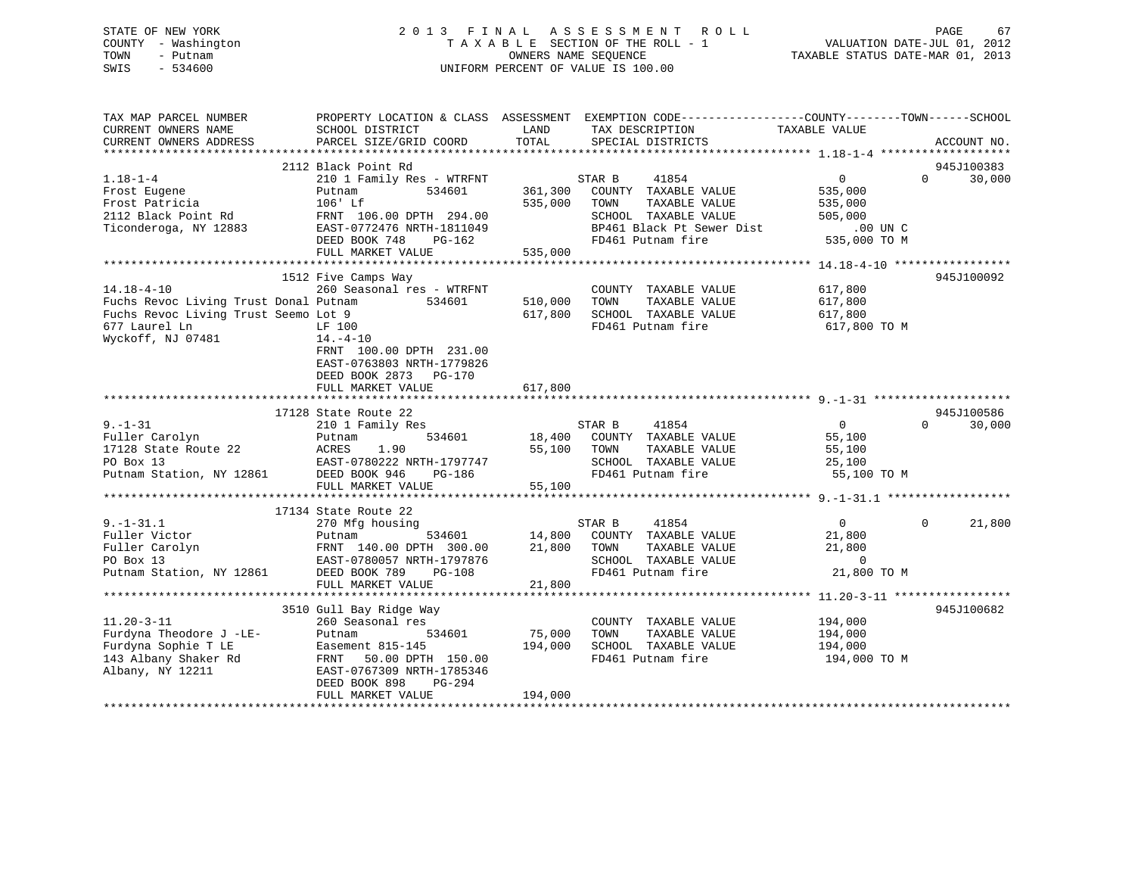## STATE OF NEW YORK 2 0 1 3 F I N A L A S S E S S M E N T R O L L PAGE 67 COUNTY - Washington T A X A B L E SECTION OF THE ROLL - 1 VALUATION DATE-JUL 01, 2012 TOWN - Putnam OWNERS NAME SEQUENCE TAXABLE STATUS DATE-MAR 01, 2013 SWIS - 534600 UNIFORM PERCENT OF VALUE IS 100.00

| TAX MAP PARCEL NUMBER<br>CURRENT OWNERS NAME<br>CURRENT OWNERS ADDRESS                                             | SCHOOL DISTRICT<br>PARCEL SIZE/GRID COORD                                                                            | LAND<br>TOTAL      | PROPERTY LOCATION & CLASS ASSESSMENT EXEMPTION CODE----------------COUNTY-------TOWN-----SCHOOL<br>TAX DESCRIPTION<br>SPECIAL DISTRICTS | TAXABLE VALUE                                 | ACCOUNT NO.        |
|--------------------------------------------------------------------------------------------------------------------|----------------------------------------------------------------------------------------------------------------------|--------------------|-----------------------------------------------------------------------------------------------------------------------------------------|-----------------------------------------------|--------------------|
|                                                                                                                    |                                                                                                                      |                    |                                                                                                                                         |                                               |                    |
|                                                                                                                    | 2112 Black Point Rd                                                                                                  |                    |                                                                                                                                         |                                               | 945J100383         |
| $1.18 - 1 - 4$<br>Frost Eugene<br>Frost Patricia                                                                   | 210 1 Family Res - WTRFNT<br>534601<br>Putnam<br>106' Lf                                                             | 361,300<br>535,000 | 41854<br>STAR B<br>COUNTY TAXABLE VALUE<br>TOWN<br>TAXABLE VALUE                                                                        | $\overline{0}$<br>535,000<br>535,000          | 30,000<br>$\Omega$ |
| 2112 Black Point Rd<br>Ticonderoga, NY 12883                                                                       | FRNT 106.00 DPTH 294.00<br>EAST-0772476 NRTH-1811049                                                                 |                    | SCHOOL TAXABLE VALUE<br>BP461 Black Pt Sewer Dist<br>FD461 Putnam fire                                                                  | 505,000<br>$.00$ UN C<br>535,000 TO M         |                    |
|                                                                                                                    | DEED BOOK 748<br>PG-162<br>FULL MARKET VALUE                                                                         | 535,000            |                                                                                                                                         |                                               |                    |
|                                                                                                                    |                                                                                                                      |                    |                                                                                                                                         |                                               | 945J100092         |
| $14.18 - 4 - 10$<br>Fuchs Revoc Living Trust Donal Putnam<br>Fuchs Revoc Living Trust Seemo Lot 9<br>677 Laurel Ln | 1512 Five Camps Way<br>260 Seasonal res - WTRFNT<br>534601<br>LF 100                                                 | 510,000<br>617,800 | COUNTY TAXABLE VALUE<br>TOWN<br>TAXABLE VALUE<br>SCHOOL TAXABLE VALUE<br>FD461 Putnam fire                                              | 617,800<br>617,800<br>617,800<br>617,800 TO M |                    |
| Wyckoff, NJ 07481                                                                                                  | $14. - 4 - 10$<br>FRNT 100.00 DPTH 231.00<br>EAST-0763803 NRTH-1779826<br>DEED BOOK 2873 PG-170<br>FULL MARKET VALUE | 617,800            |                                                                                                                                         |                                               |                    |
|                                                                                                                    |                                                                                                                      |                    |                                                                                                                                         |                                               |                    |
|                                                                                                                    | 17128 State Route 22                                                                                                 |                    |                                                                                                                                         |                                               | 945J100586         |
| $9. - 1 - 31$                                                                                                      | 210 1 Family Res                                                                                                     |                    | STAR B<br>41854                                                                                                                         | $\Omega$                                      | $\Omega$<br>30,000 |
| Fuller Carolyn<br>17128 State Route 22                                                                             | 534601<br>Putnam<br>ACRES<br>1.90                                                                                    | 18,400<br>55,100   | COUNTY TAXABLE VALUE<br>TOWN<br>TAXABLE VALUE                                                                                           | 55,100<br>55,100                              |                    |
| PO Box 13                                                                                                          | EAST-0780222 NRTH-1797747                                                                                            |                    | SCHOOL TAXABLE VALUE                                                                                                                    | 25,100                                        |                    |
| Putnam Station, NY 12861                                                                                           | DEED BOOK 946<br>PG-186                                                                                              |                    | FD461 Putnam fire                                                                                                                       | 55,100 TO M                                   |                    |
|                                                                                                                    | FULL MARKET VALUE                                                                                                    | 55,100             |                                                                                                                                         |                                               |                    |
|                                                                                                                    |                                                                                                                      |                    |                                                                                                                                         |                                               |                    |
| $9. - 1 - 31.1$                                                                                                    | 17134 State Route 22<br>270 Mfg housing                                                                              |                    | STAR B<br>41854                                                                                                                         | $\overline{0}$                                | 21,800<br>$\Omega$ |
| Fuller Victor                                                                                                      | 534601<br>Putnam                                                                                                     | 14,800             | COUNTY TAXABLE VALUE                                                                                                                    | 21,800                                        |                    |
| Fuller Carolyn                                                                                                     | FRNT 140.00 DPTH 300.00                                                                                              | 21,800             | TOWN<br>TAXABLE VALUE                                                                                                                   | 21,800                                        |                    |
| PO Box 13                                                                                                          | EAST-0780057 NRTH-1797876                                                                                            |                    | SCHOOL TAXABLE VALUE                                                                                                                    | $\sim$ 0                                      |                    |
| Putnam Station, NY 12861                                                                                           | DEED BOOK 789<br>$PG-108$                                                                                            |                    | FD461 Putnam fire                                                                                                                       | 21,800 TO M                                   |                    |
|                                                                                                                    | FULL MARKET VALUE                                                                                                    | 21,800             |                                                                                                                                         |                                               |                    |
|                                                                                                                    | 3510 Gull Bay Ridge Way                                                                                              |                    |                                                                                                                                         |                                               | 945J100682         |
| $11.20 - 3 - 11$                                                                                                   | 260 Seasonal res                                                                                                     |                    | COUNTY TAXABLE VALUE                                                                                                                    | 194,000                                       |                    |
| Furdyna Theodore J -LE-                                                                                            | 534601<br>Putnam                                                                                                     | 75,000             | TAXABLE VALUE<br>TOWN                                                                                                                   | 194,000                                       |                    |
| Furdyna Sophie T LE                                                                                                | Easement 815-145                                                                                                     | 194,000            | SCHOOL TAXABLE VALUE                                                                                                                    | 194,000                                       |                    |
| 143 Albany Shaker Rd<br>Albany, NY 12211                                                                           | FRNT<br>50.00 DPTH 150.00<br>EAST-0767309 NRTH-1785346<br>PG-294<br>DEED BOOK 898                                    |                    | FD461 Putnam fire                                                                                                                       | 194,000 TO M                                  |                    |
|                                                                                                                    | FULL MARKET VALUE                                                                                                    | 194,000            |                                                                                                                                         |                                               |                    |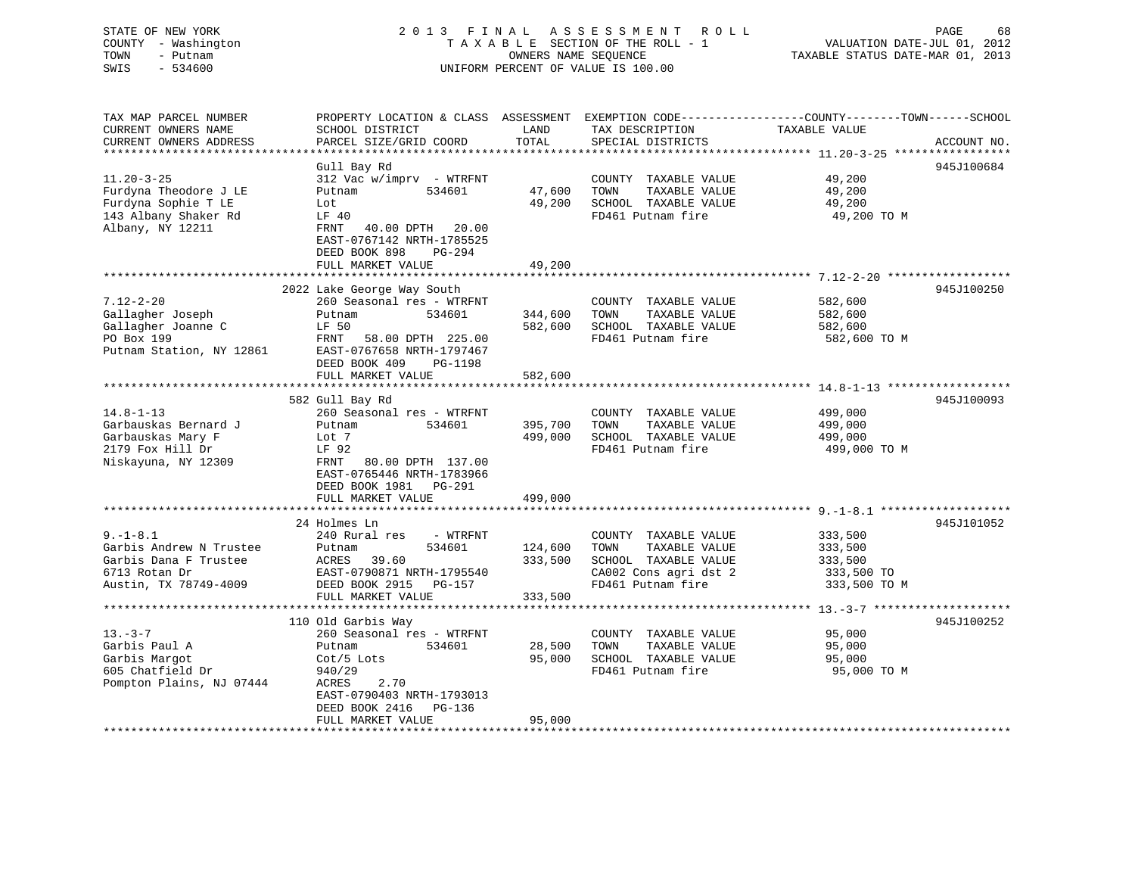# STATE OF NEW YORK GO A LOCK CONTROLL A S S E S S M E N T R O L LOCK CONTROLL CONTROLL CONTROLL CONTROLL CONTROLL COUNTY - Washington  $T A X A B L E$  SECTION OF THE ROLL - 1<br>TOWN - Putnam data of the COUNTERS NAME SEQUENCE SWIS - 534600 UNIFORM PERCENT OF VALUE IS 100.00

VALUATION DATE-JUL 01, 2012

TAXABLE STATUS DATE-MAR 01, 2013

| TAX MAP PARCEL NUMBER<br>CURRENT OWNERS NAME<br>CURRENT OWNERS ADDRESS                                       | PROPERTY LOCATION & CLASS ASSESSMENT<br>SCHOOL DISTRICT<br>PARCEL SIZE/GRID COORD                                                                                          | LAND<br>TOTAL                 | TAX DESCRIPTION<br>SPECIAL DISTRICTS                                                                                | EXEMPTION CODE-----------------COUNTY-------TOWN------SCHOOL<br>TAXABLE VALUE | ACCOUNT NO. |
|--------------------------------------------------------------------------------------------------------------|----------------------------------------------------------------------------------------------------------------------------------------------------------------------------|-------------------------------|---------------------------------------------------------------------------------------------------------------------|-------------------------------------------------------------------------------|-------------|
| *********************                                                                                        |                                                                                                                                                                            |                               |                                                                                                                     |                                                                               |             |
| $11.20 - 3 - 25$<br>Furdyna Theodore J LE<br>Furdyna Sophie T LE<br>143 Albany Shaker Rd<br>Albany, NY 12211 | Gull Bay Rd<br>312 Vac w/imprv - WTRFNT<br>Putnam<br>534601<br>Lot<br>LF 40<br>FRNT<br>40.00 DPTH 20.00                                                                    | 47,600<br>49,200              | COUNTY TAXABLE VALUE<br>TOWN<br>TAXABLE VALUE<br>SCHOOL TAXABLE VALUE<br>FD461 Putnam fire                          | 49,200<br>49,200<br>49,200<br>49,200 TO M                                     | 945J100684  |
|                                                                                                              | EAST-0767142 NRTH-1785525<br>DEED BOOK 898<br>PG-294<br>FULL MARKET VALUE                                                                                                  | 49,200                        |                                                                                                                     |                                                                               |             |
|                                                                                                              |                                                                                                                                                                            |                               |                                                                                                                     |                                                                               |             |
| $7.12 - 2 - 20$<br>Gallagher Joseph<br>Gallagher Joanne C<br>PO Box 199<br>Putnam Station, NY 12861          | 2022 Lake George Way South<br>260 Seasonal res - WTRFNT<br>534601<br>Putnam<br>LF 50<br>FRNT<br>58.00 DPTH 225.00<br>EAST-0767658 NRTH-1797467<br>DEED BOOK 409<br>PG-1198 | 344,600<br>582,600            | COUNTY TAXABLE VALUE<br>TAXABLE VALUE<br>TOWN<br>SCHOOL TAXABLE VALUE<br>FD461 Putnam fire                          | 582,600<br>582,600<br>582,600<br>582,600 TO M                                 | 945J100250  |
|                                                                                                              | FULL MARKET VALUE                                                                                                                                                          | 582,600                       |                                                                                                                     |                                                                               |             |
|                                                                                                              | **********************                                                                                                                                                     |                               |                                                                                                                     | ********************* 14.8-1-13 *******************                           |             |
| $14.8 - 1 - 13$<br>Garbauskas Bernard J<br>Garbauskas Mary F<br>2179 Fox Hill Dr<br>Niskayuna, NY 12309      | 582 Gull Bay Rd<br>260 Seasonal res - WTRFNT<br>Putnam<br>534601<br>Lot 7<br>LF 92<br>FRNT<br>80.00 DPTH 137.00<br>EAST-0765446 NRTH-1783966<br>DEED BOOK 1981<br>PG-291   | 395,700<br>499,000            | COUNTY TAXABLE VALUE<br>TOWN<br>TAXABLE VALUE<br>SCHOOL TAXABLE VALUE<br>FD461 Putnam fire                          | 499,000<br>499,000<br>499,000<br>499,000 TO M                                 | 945J100093  |
|                                                                                                              | FULL MARKET VALUE                                                                                                                                                          | 499,000                       |                                                                                                                     |                                                                               |             |
|                                                                                                              | 24 Holmes Ln                                                                                                                                                               |                               |                                                                                                                     |                                                                               | 945J101052  |
| $9. - 1 - 8.1$<br>Garbis Andrew N Trustee<br>Garbis Dana F Trustee<br>6713 Rotan Dr<br>Austin, TX 78749-4009 | 240 Rural res<br>- WTRFNT<br>534601<br>Putnam<br>ACRES<br>39.60<br>EAST-0790871 NRTH-1795540<br>DEED BOOK 2915<br>PG-157<br>FULL MARKET VALUE                              | 124,600<br>333,500<br>333,500 | COUNTY TAXABLE VALUE<br>TAXABLE VALUE<br>TOWN<br>SCHOOL TAXABLE VALUE<br>CA002 Cons agri dst 2<br>FD461 Putnam fire | 333,500<br>333,500<br>333,500<br>333,500 TO<br>333,500 TO M                   |             |
|                                                                                                              | 110 Old Garbis Way                                                                                                                                                         |                               |                                                                                                                     |                                                                               | 945J100252  |
| $13. - 3 - 7$<br>Garbis Paul A<br>Garbis Margot<br>605 Chatfield Dr<br>Pompton Plains, NJ 07444              | 260 Seasonal res - WTRFNT<br>534601<br>Putnam<br>$Cot/5$ Lots<br>940/29<br>ACRES<br>2.70<br>EAST-0790403 NRTH-1793013                                                      | 28,500<br>95,000              | COUNTY TAXABLE VALUE<br>TOWN<br>TAXABLE VALUE<br>SCHOOL TAXABLE VALUE<br>FD461 Putnam fire                          | 95,000<br>95,000<br>95,000<br>95,000 TO M                                     |             |
|                                                                                                              | DEED BOOK 2416<br>PG-136<br>FULL MARKET VALUE                                                                                                                              | 95,000                        |                                                                                                                     |                                                                               |             |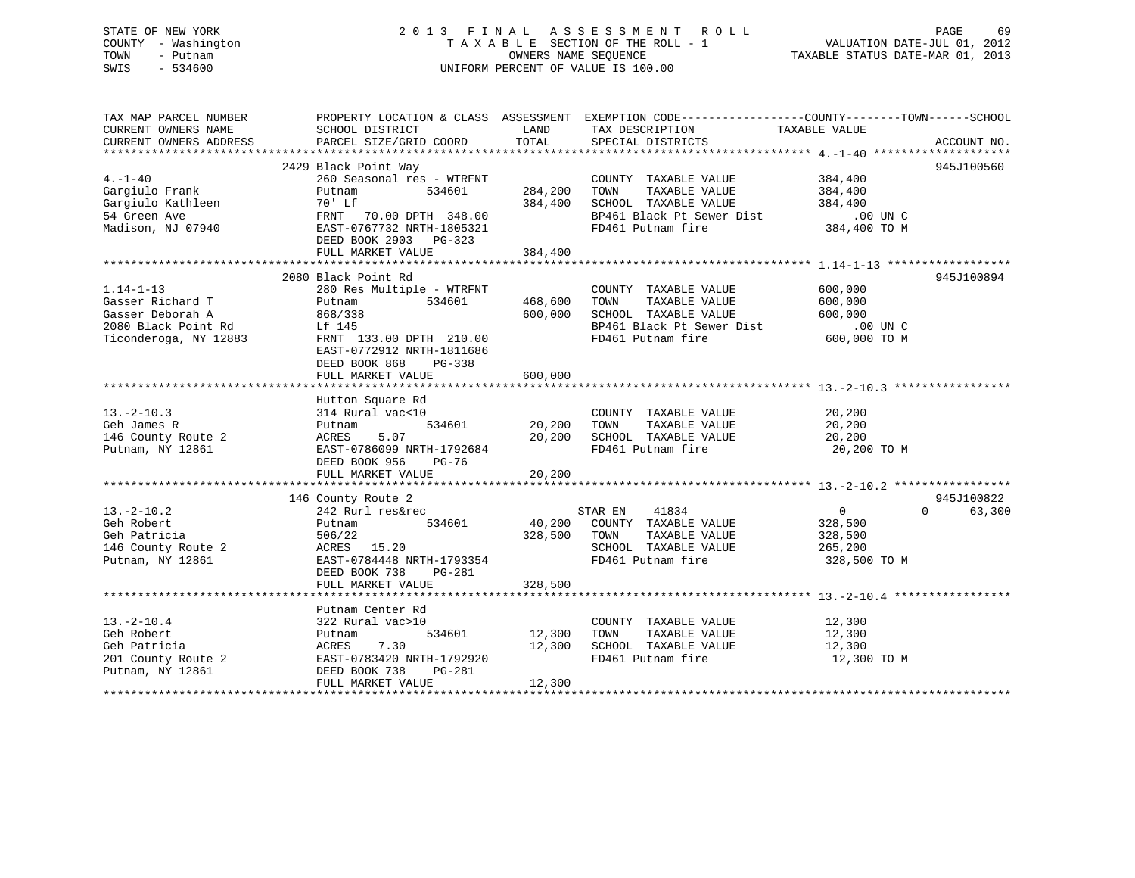## STATE OF NEW YORK 2 0 1 3 F I N A L A S S E S S M E N T R O L L PAGE 69 COUNTY - Washington T A X A B L E SECTION OF THE ROLL - 1 VALUATION DATE-JUL 01, 2012 TOWN - Putnam OWNERS NAME SEQUENCE TAXABLE STATUS DATE-MAR 01, 2013 SWIS - 534600 UNIFORM PERCENT OF VALUE IS 100.00

| TAX MAP PARCEL NUMBER                  |                                            |                    | PROPERTY LOCATION & CLASS ASSESSMENT EXEMPTION CODE---------------COUNTY-------TOWN------SCHOOL                                                                        |                  |                    |
|----------------------------------------|--------------------------------------------|--------------------|------------------------------------------------------------------------------------------------------------------------------------------------------------------------|------------------|--------------------|
| CURRENT OWNERS NAME                    | SCHOOL DISTRICT                            | LAND               | TAX DESCRIPTION TAXABLE VALUE                                                                                                                                          |                  |                    |
|                                        |                                            |                    |                                                                                                                                                                        |                  |                    |
|                                        |                                            |                    |                                                                                                                                                                        |                  |                    |
|                                        | 2429 Black Point Way                       |                    |                                                                                                                                                                        |                  | 945J100560         |
| $4. -1 - 40$                           |                                            |                    | COUNTY TAXABLE VALUE 384,400                                                                                                                                           |                  |                    |
| Gargiulo Frank                         |                                            |                    |                                                                                                                                                                        | 384,400          |                    |
|                                        |                                            |                    |                                                                                                                                                                        |                  |                    |
|                                        |                                            |                    |                                                                                                                                                                        |                  |                    |
|                                        |                                            |                    | BP461 Black Pt Sewer Dist .00 UN C<br>FD461 Putnam fire 384,400 TO M<br>FD461 Putnam fire                                                                              |                  |                    |
|                                        | DEED BOOK 2903 PG-323                      |                    |                                                                                                                                                                        |                  |                    |
|                                        | FULL MARKET VALUE                          | 384,400            |                                                                                                                                                                        |                  |                    |
|                                        |                                            |                    |                                                                                                                                                                        |                  |                    |
|                                        | 2080 Black Point Rd                        |                    |                                                                                                                                                                        |                  | 945J100894         |
| $1.14 - 1 - 13$                        |                                            |                    | COUNTY TAXABLE VALUE 600,000                                                                                                                                           |                  |                    |
| Gasser Richard T                       | 280 Res Multiple - WTRFNT<br>Putnam 534601 |                    |                                                                                                                                                                        |                  |                    |
|                                        | Putnam<br>868/338                          |                    | 468,600 TOWN TAXABLE VALUE 600,000<br>600,000 SCHOOL TAXABLE VALUE 600,000                                                                                             |                  |                    |
| Gasser Deborah A                       |                                            |                    |                                                                                                                                                                        |                  |                    |
|                                        |                                            |                    | BP461 Black Pt Sewer Dist 00 UN C<br>FD461 Putnam fire 600,000 TO M                                                                                                    |                  |                    |
|                                        |                                            |                    |                                                                                                                                                                        |                  |                    |
|                                        | EAST-0772912 NRTH-1811686                  |                    |                                                                                                                                                                        |                  |                    |
|                                        | DEED BOOK 868<br>PG-338                    |                    |                                                                                                                                                                        |                  |                    |
|                                        | FULL MARKET VALUE                          | 600,000            |                                                                                                                                                                        |                  |                    |
|                                        |                                            |                    |                                                                                                                                                                        |                  |                    |
|                                        | Hutton Square Rd                           |                    |                                                                                                                                                                        |                  |                    |
| $13.-2-10.3$                           | 314 Rural vac<10                           |                    | 0 COUNTY TAXABLE VALUE<br>534601 20,200 TOWN TAXABLE VALUE<br>COUNTY TAXABLE VALUE 20,200                                                                              |                  |                    |
|                                        | Putnam                                     |                    |                                                                                                                                                                        | 20,200           |                    |
| 146 County Route 2<br>Putnam, NY 12861 | 5.07<br>ACRES                              |                    | 20,200 SCHOOL TAXABLE VALUE 20,200                                                                                                                                     |                  |                    |
|                                        | EAST-0786099 NRTH-1792684                  |                    | FD461 Putnam fire 20,200 TO M                                                                                                                                          |                  |                    |
|                                        | DEED BOOK 956 PG-76                        |                    |                                                                                                                                                                        |                  |                    |
|                                        |                                            |                    |                                                                                                                                                                        |                  |                    |
|                                        |                                            |                    |                                                                                                                                                                        |                  |                    |
|                                        | 146 County Route 2                         |                    |                                                                                                                                                                        |                  | 945J100822         |
| $13.-2-10.2$                           |                                            |                    |                                                                                                                                                                        | $\overline{a}$   | $\Omega$<br>63,300 |
| Geh Robert                             | Putnam                                     |                    | 534601 40,200 COUNTY TAXABLE VALUE 328,500                                                                                                                             |                  |                    |
|                                        |                                            |                    | $328,500 \qquad \qquad \text{TONN} \qquad \qquad \text{TAXABLE VALUE} \qquad \qquad 328,500 \\ \text{SCHOOL} \qquad \qquad \text{TAXABLE VALUE} \qquad \qquad 265,200$ |                  |                    |
|                                        |                                            |                    |                                                                                                                                                                        |                  |                    |
| Putnam, NY 12861                       | EAST-0784448 NRTH-1793354                  |                    | FD461 Putnam fire 328,500 TO M                                                                                                                                         |                  |                    |
|                                        | DEED BOOK 738<br>PG-281                    |                    |                                                                                                                                                                        |                  |                    |
|                                        | FULL MARKET VALUE                          | 328,500            |                                                                                                                                                                        |                  |                    |
|                                        |                                            |                    |                                                                                                                                                                        |                  |                    |
|                                        | Putnam Center Rd                           |                    |                                                                                                                                                                        |                  |                    |
| $13.-2-10.4$                           | 322 Rural vac>10                           |                    | COUNTY TAXABLE VALUE                                                                                                                                                   |                  |                    |
| Geh Robert                             | Putnam                                     | 534601 12,300 TOWN | TAXABLE VALUE                                                                                                                                                          | 12,300<br>12,300 |                    |
|                                        |                                            |                    |                                                                                                                                                                        |                  |                    |
|                                        |                                            |                    | 12,300 SCHOOL TAXABLE VALUE 12,300<br>RTH-1792920 FD461 Putnam fire 12,300                                                                                             | 12,300 TO M      |                    |
|                                        |                                            |                    |                                                                                                                                                                        |                  |                    |
|                                        |                                            |                    |                                                                                                                                                                        |                  |                    |
|                                        | FULL MARKET VALUE                          | 12,300             |                                                                                                                                                                        |                  |                    |
|                                        |                                            |                    |                                                                                                                                                                        |                  |                    |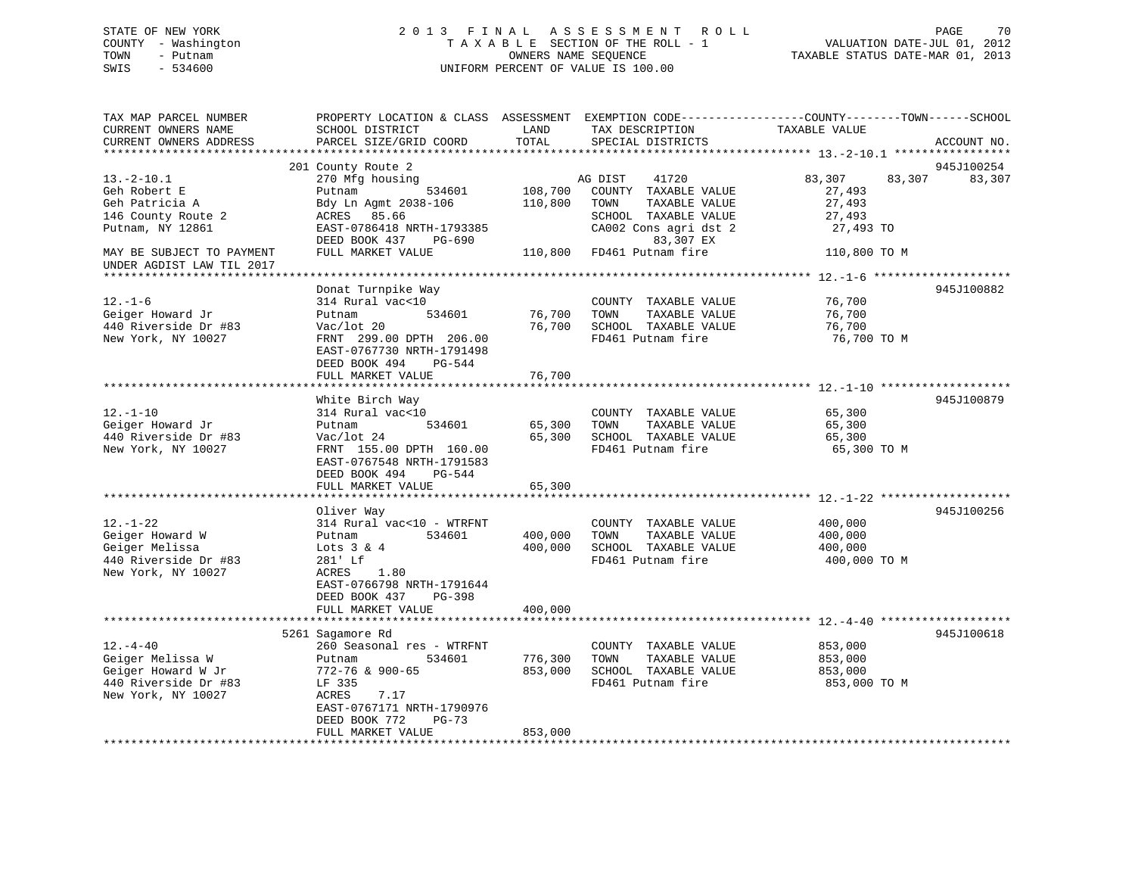## STATE OF NEW YORK 2 0 1 3 F I N A L A S S E S S M E N T R O L L PAGE 70 COUNTY - Washington T A X A B L E SECTION OF THE ROLL - 1 VALUATION DATE-JUL 01, 2012 TOWN - Putnam OWNERS NAME SEQUENCE TAXABLE STATUS DATE-MAR 01, 2013 SWIS - 534600 UNIFORM PERCENT OF VALUE IS 100.00

| TAX MAP PARCEL NUMBER<br>CURRENT OWNERS NAME | PROPERTY LOCATION & CLASS ASSESSMENT<br>SCHOOL DISTRICT | LAND               | TAX DESCRIPTION                               | EXEMPTION CODE-----------------COUNTY-------TOWN------SCHOOL<br>TAXABLE VALUE |             |
|----------------------------------------------|---------------------------------------------------------|--------------------|-----------------------------------------------|-------------------------------------------------------------------------------|-------------|
| CURRENT OWNERS ADDRESS                       | PARCEL SIZE/GRID COORD                                  | TOTAL              | SPECIAL DISTRICTS                             |                                                                               | ACCOUNT NO. |
|                                              |                                                         |                    |                                               |                                                                               |             |
|                                              | 201 County Route 2                                      |                    |                                               |                                                                               | 945J100254  |
| $13.-2-10.1$                                 | 270 Mfg housing                                         |                    | AG DIST<br>41720                              | 83,307<br>83,307                                                              | 83,307      |
| Geh Robert E                                 | 534601<br>Putnam                                        | 108,700            | COUNTY TAXABLE VALUE                          | 27,493                                                                        |             |
| Geh Patricia A                               | Bdy Ln Agmt 2038-106                                    | 110,800            | TAXABLE VALUE<br>TOWN                         | 27,493                                                                        |             |
| 146 County Route 2                           | ACRES 85.66                                             |                    | SCHOOL TAXABLE VALUE                          | 27,493                                                                        |             |
| Putnam, NY 12861                             | EAST-0786418 NRTH-1793385                               |                    | CA002 Cons agri dst 2                         | 27,493 TO                                                                     |             |
| MAY BE SUBJECT TO PAYMENT                    | DEED BOOK 437<br>PG-690<br>FULL MARKET VALUE            | 110,800            | 83,307 EX<br>FD461 Putnam fire                | 110,800 TO M                                                                  |             |
| UNDER AGDIST LAW TIL 2017                    |                                                         |                    |                                               |                                                                               |             |
|                                              |                                                         |                    |                                               |                                                                               |             |
|                                              | Donat Turnpike Way                                      |                    |                                               |                                                                               | 945J100882  |
| $12. - 1 - 6$                                | 314 Rural vac<10                                        |                    | COUNTY TAXABLE VALUE                          | 76,700                                                                        |             |
| Geiger Howard Jr                             | 534601<br>Putnam                                        | 76,700             | TOWN<br>TAXABLE VALUE                         | 76,700                                                                        |             |
| 440 Riverside Dr #83<br>New York, NY 10027   | Vac/lot 20<br>FRNT 299.00 DPTH 206.00                   | 76,700             | SCHOOL TAXABLE VALUE<br>FD461 Putnam fire     | 76,700                                                                        |             |
|                                              | EAST-0767730 NRTH-1791498                               |                    |                                               | 76,700 TO M                                                                   |             |
|                                              | DEED BOOK 494<br>PG-544                                 |                    |                                               |                                                                               |             |
|                                              | FULL MARKET VALUE                                       | 76,700             |                                               |                                                                               |             |
|                                              | **********************                                  |                    |                                               |                                                                               |             |
|                                              | White Birch Way                                         |                    |                                               |                                                                               | 945J100879  |
| $12. - 1 - 10$                               | 314 Rural vac<10                                        |                    | COUNTY TAXABLE VALUE                          | 65,300                                                                        |             |
| Geiger Howard Jr                             | Putnam<br>534601                                        | 65,300             | TAXABLE VALUE<br>TOWN                         | 65,300                                                                        |             |
| 440 Riverside Dr #83                         | Vac/lot 24                                              | 65,300             | SCHOOL TAXABLE VALUE                          | 65,300                                                                        |             |
| New York, NY 10027                           | FRNT 155.00 DPTH 160.00                                 |                    | FD461 Putnam fire                             | 65,300 TO M                                                                   |             |
|                                              | EAST-0767548 NRTH-1791583                               |                    |                                               |                                                                               |             |
|                                              | DEED BOOK 494<br>PG-544                                 |                    |                                               |                                                                               |             |
|                                              | FULL MARKET VALUE                                       | 65,300             |                                               |                                                                               |             |
|                                              |                                                         |                    |                                               |                                                                               |             |
|                                              | Oliver Way                                              |                    |                                               |                                                                               | 945J100256  |
| $12. - 1 - 22$                               | 314 Rural vac<10 - WTRFNT<br>534601                     |                    | COUNTY TAXABLE VALUE                          | 400,000                                                                       |             |
| Geiger Howard W<br>Geiger Melissa            | Putnam                                                  | 400,000<br>400,000 | TOWN<br>TAXABLE VALUE<br>SCHOOL TAXABLE VALUE | 400,000<br>400,000                                                            |             |
| 440 Riverside Dr #83                         | Lots $3 \& 4$<br>281' Lf                                |                    | FD461 Putnam fire                             | 400,000 TO M                                                                  |             |
| New York, NY 10027                           | 1.80<br>ACRES                                           |                    |                                               |                                                                               |             |
|                                              | EAST-0766798 NRTH-1791644                               |                    |                                               |                                                                               |             |
|                                              | DEED BOOK 437<br>$PG-398$                               |                    |                                               |                                                                               |             |
|                                              | FULL MARKET VALUE                                       | 400,000            |                                               |                                                                               |             |
|                                              |                                                         |                    |                                               |                                                                               |             |
|                                              | 5261 Sagamore Rd                                        |                    |                                               |                                                                               | 945J100618  |
| $12. - 4 - 40$                               | 260 Seasonal res - WTRFNT                               |                    | COUNTY TAXABLE VALUE                          | 853,000                                                                       |             |
| Geiger Melissa W                             | 534601<br>Putnam                                        | 776,300            | TOWN<br>TAXABLE VALUE                         | 853,000                                                                       |             |
| Geiger Howard W Jr                           | 772-76 & 900-65                                         | 853,000            | SCHOOL TAXABLE VALUE                          | 853,000                                                                       |             |
| 440 Riverside Dr #83                         | LF 335                                                  |                    | FD461 Putnam fire                             | 853,000 TO M                                                                  |             |
| New York, NY 10027                           | ACRES<br>7.17                                           |                    |                                               |                                                                               |             |
|                                              | EAST-0767171 NRTH-1790976                               |                    |                                               |                                                                               |             |
|                                              | DEED BOOK 772<br>$PG-73$                                |                    |                                               |                                                                               |             |
|                                              | FULL MARKET VALUE                                       | 853,000            |                                               |                                                                               |             |
|                                              |                                                         |                    |                                               |                                                                               |             |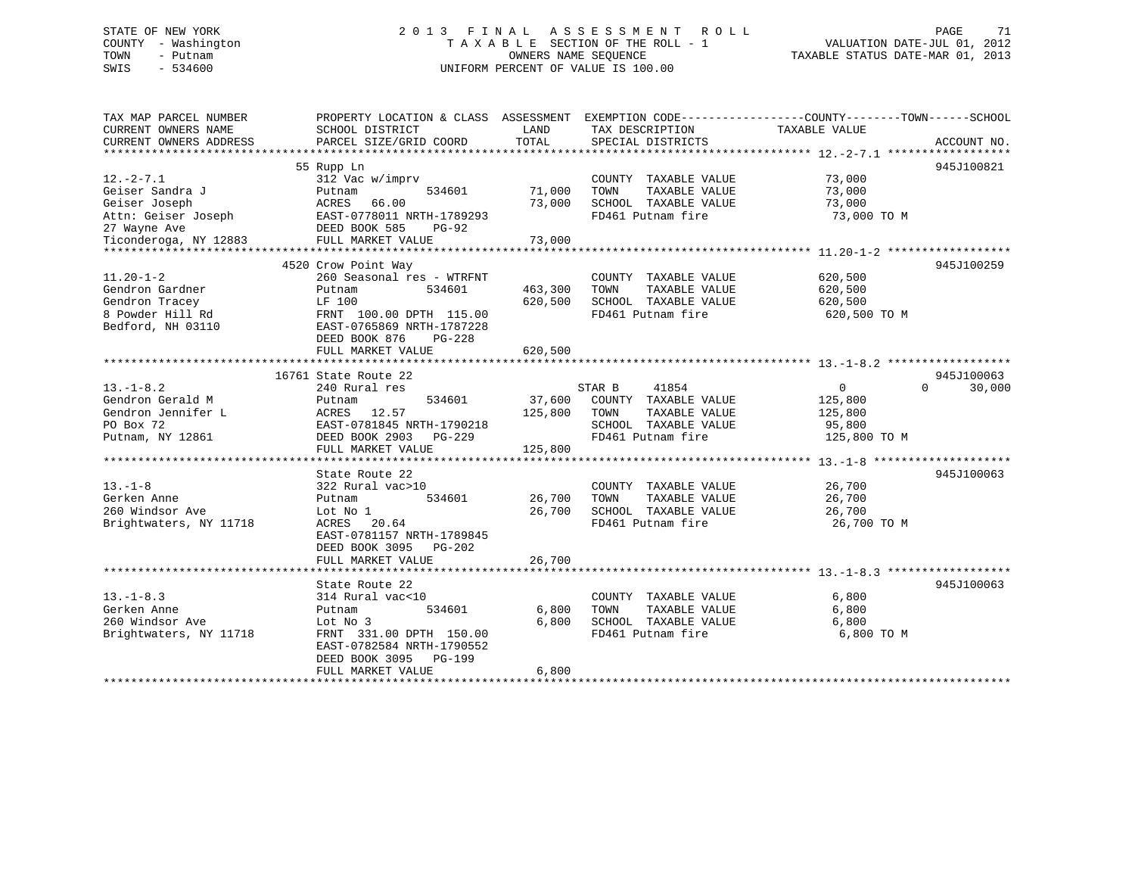## STATE OF NEW YORK 2 0 1 3 F I N A L A S S E S S M E N T R O L L PAGE 71 COUNTY - Washington T A X A B L E SECTION OF THE ROLL - 1 VALUATION DATE-JUL 01, 2012 TOWN - Putnam OWNERS NAME SEQUENCE TAXABLE STATUS DATE-MAR 01, 2013 SWIS - 534600 UNIFORM PERCENT OF VALUE IS 100.00

| TAX MAP PARCEL NUMBER  | PROPERTY LOCATION & CLASS ASSESSMENT EXEMPTION CODE----------------COUNTY-------TOWN------SCHOOL |         |                       |                |             |
|------------------------|--------------------------------------------------------------------------------------------------|---------|-----------------------|----------------|-------------|
| CURRENT OWNERS NAME    | SCHOOL DISTRICT                                                                                  | LAND    | TAX DESCRIPTION       | TAXABLE VALUE  |             |
| CURRENT OWNERS ADDRESS | PARCEL SIZE/GRID COORD                                                                           | TOTAL   | SPECIAL DISTRICTS     |                | ACCOUNT NO. |
|                        |                                                                                                  |         |                       |                |             |
|                        | 55 Rupp Ln                                                                                       |         |                       |                | 945J100821  |
| $12. - 2 - 7.1$        | 312 Vac w/imprv                                                                                  |         | COUNTY TAXABLE VALUE  | 73,000         |             |
| Geiser Sandra J        | 534601<br>Putnam                                                                                 | 71,000  | TAXABLE VALUE<br>TOWN | 73,000         |             |
| Geiser Joseph          | ACRES<br>66.00                                                                                   | 73,000  | SCHOOL TAXABLE VALUE  | 73,000         |             |
| Attn: Geiser Joseph    | EAST-0778011 NRTH-1789293                                                                        |         | FD461 Putnam fire     | 73,000 TO M    |             |
| 27 Wayne Ave           | DEED BOOK 585<br><b>PG-92</b>                                                                    |         |                       |                |             |
| Ticonderoga, NY 12883  | FULL MARKET VALUE                                                                                | 73,000  |                       |                |             |
|                        |                                                                                                  |         |                       |                |             |
|                        | 4520 Crow Point Way                                                                              |         |                       |                | 945J100259  |
| $11.20 - 1 - 2$        | 260 Seasonal res - WTRFNT                                                                        |         | COUNTY TAXABLE VALUE  | 620,500        |             |
| Gendron Gardner        | 534601<br>Putnam                                                                                 | 463,300 | TOWN<br>TAXABLE VALUE | 620,500        |             |
| Gendron Tracey         | LF 100                                                                                           | 620,500 | SCHOOL TAXABLE VALUE  | 620,500        |             |
| 8 Powder Hill Rd       | FRNT 100.00 DPTH 115.00                                                                          |         | FD461 Putnam fire     | 620,500 TO M   |             |
| Bedford, NH 03110      | EAST-0765869 NRTH-1787228                                                                        |         |                       |                |             |
|                        | DEED BOOK 876<br>$PG-228$                                                                        |         |                       |                |             |
|                        |                                                                                                  |         |                       |                |             |
|                        | FULL MARKET VALUE                                                                                | 620,500 |                       |                |             |
|                        | 16761 State Route 22                                                                             |         |                       |                | 945J100063  |
|                        |                                                                                                  |         |                       |                | $\Omega$    |
| $13.-1-8.2$            | 240 Rural res                                                                                    |         | STAR B<br>41854       | $\overline{0}$ | 30,000      |
| Gendron Gerald M       | 534601<br>Putnam                                                                                 | 37,600  | COUNTY TAXABLE VALUE  | 125,800        |             |
| Gendron Jennifer L     | ACRES<br>12.57                                                                                   | 125,800 | TAXABLE VALUE<br>TOWN | 125,800        |             |
| PO Box 72              | EAST-0781845 NRTH-1790218                                                                        |         | SCHOOL TAXABLE VALUE  | 95,800         |             |
| Putnam, NY 12861       | DEED BOOK 2903<br>PG-229                                                                         |         | FD461 Putnam fire     | 125,800 TO M   |             |
|                        | FULL MARKET VALUE                                                                                | 125,800 |                       |                |             |
|                        |                                                                                                  |         |                       |                |             |
|                        | State Route 22                                                                                   |         |                       |                | 945J100063  |
| $13. - 1 - 8$          | 322 Rural vac>10                                                                                 |         | COUNTY TAXABLE VALUE  | 26,700         |             |
| Gerken Anne            | Putnam<br>534601                                                                                 | 26,700  | TAXABLE VALUE<br>TOWN | 26,700         |             |
| 260 Windsor Ave        | Lot No 1                                                                                         | 26,700  | SCHOOL TAXABLE VALUE  | 26,700         |             |
| Brightwaters, NY 11718 | 20.64<br>ACRES                                                                                   |         | FD461 Putnam fire     | 26,700 TO M    |             |
|                        | EAST-0781157 NRTH-1789845                                                                        |         |                       |                |             |
|                        | DEED BOOK 3095<br>$PG-202$                                                                       |         |                       |                |             |
|                        | FULL MARKET VALUE                                                                                | 26,700  |                       |                |             |
|                        |                                                                                                  |         |                       |                |             |
|                        | State Route 22                                                                                   |         |                       |                | 945J100063  |
| $13. - 1 - 8.3$        | 314 Rural vac<10                                                                                 |         | COUNTY TAXABLE VALUE  | 6,800          |             |
| Gerken Anne            | 534601<br>Putnam                                                                                 | 6,800   | TAXABLE VALUE<br>TOWN | 6,800          |             |
| 260 Windsor Ave        | Lot No 3                                                                                         | 6,800   | SCHOOL TAXABLE VALUE  | 6,800          |             |
| Brightwaters, NY 11718 | FRNT 331.00 DPTH 150.00                                                                          |         | FD461 Putnam fire     | 6,800 TO M     |             |
|                        | EAST-0782584 NRTH-1790552                                                                        |         |                       |                |             |
|                        | DEED BOOK 3095<br>PG-199                                                                         |         |                       |                |             |
|                        | FULL MARKET VALUE                                                                                | 6,800   |                       |                |             |
|                        |                                                                                                  |         |                       |                |             |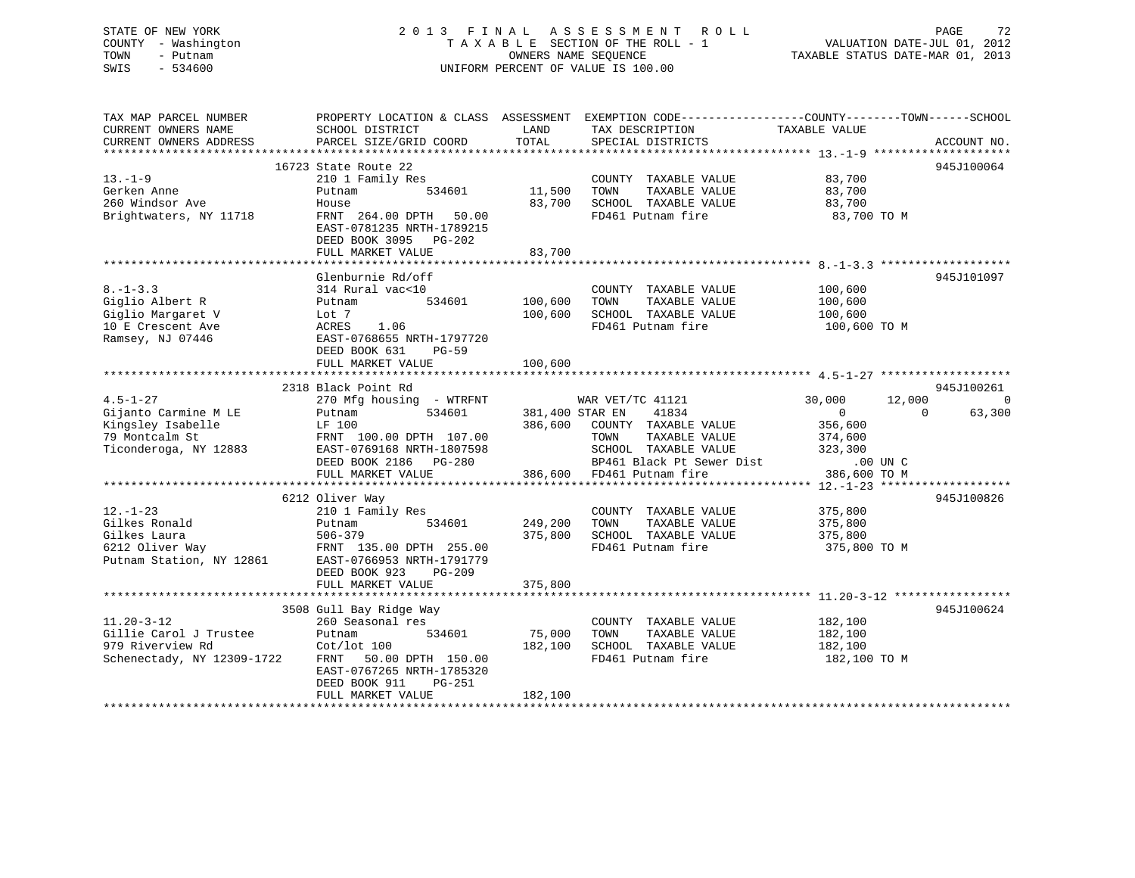## STATE OF NEW YORK 2 0 1 3 F I N A L A S S E S S M E N T R O L L PAGE 72 COUNTY - Washington T A X A B L E SECTION OF THE ROLL - 1 VALUATION DATE-JUL 01, 2012 TOWN - Putnam **CONNERS NAME SEQUENCE** TAXABLE STATUS DATE-MAR 01, 2013 SWIS - 534600 UNIFORM PERCENT OF VALUE IS 100.00

| TAX MAP PARCEL NUMBER<br>CURRENT OWNERS NAME<br>CURRENT OWNERS ADDRESS                                 | PROPERTY LOCATION & CLASS ASSESSMENT<br>SCHOOL DISTRICT<br>PARCEL SIZE/GRID COORD                                                                                                                    | LAND<br>TOTAL                                          | TAX DESCRIPTION<br>SPECIAL DISTRICTS                                                                | EXEMPTION CODE-----------------COUNTY-------TOWN------SCHOOL<br>TAXABLE VALUE           | ACCOUNT NO.                              |  |
|--------------------------------------------------------------------------------------------------------|------------------------------------------------------------------------------------------------------------------------------------------------------------------------------------------------------|--------------------------------------------------------|-----------------------------------------------------------------------------------------------------|-----------------------------------------------------------------------------------------|------------------------------------------|--|
| $13 - 1 - 9$<br>Gerken Anne<br>260 Windsor Ave<br>Brightwaters, NY 11718                               | 16723 State Route 22<br>210 1 Family Res<br>534601<br>Putnam<br>House<br>FRNT 264.00 DPTH<br>50.00<br>EAST-0781235 NRTH-1789215<br>DEED BOOK 3095 PG-202<br>FULL MARKET VALUE                        | 11,500<br>TOWN<br>83,700<br>83,700                     | COUNTY TAXABLE VALUE<br>TAXABLE VALUE<br>SCHOOL TAXABLE VALUE<br>FD461 Putnam fire                  | 83,700<br>83,700<br>83,700<br>83,700 TO M                                               | 945J100064                               |  |
| $8. - 1 - 3.3$<br>Giglio Albert R<br>Giglio Margaret V<br>10 E Crescent Ave<br>Ramsey, NJ 07446        | Glenburnie Rd/off<br>314 Rural vac<10<br>534601<br>Putnam<br>Lot 7<br>1.06<br>ACRES<br>EAST-0768655 NRTH-1797720<br>DEED BOOK 631<br>$PG-59$<br>FULL MARKET VALUE                                    | 100,600<br>TOWN<br>100,600<br>100,600                  | COUNTY TAXABLE VALUE<br>TAXABLE VALUE<br>SCHOOL TAXABLE VALUE<br>FD461 Putnam fire                  | 100,600<br>100,600<br>100,600<br>100,600 TO M                                           | 945J101097                               |  |
|                                                                                                        | 2318 Black Point Rd                                                                                                                                                                                  |                                                        |                                                                                                     |                                                                                         | 945J100261                               |  |
| $4.5 - 1 - 27$<br>Gijanto Carmine M LE<br>Kingsley Isabelle<br>79 Montcalm St<br>Ticonderoga, NY 12883 | 270 Mfg housing - WTRFNT<br>534601<br>Putnam<br>LF 100<br>FRNT 100.00 DPTH 107.00<br>EAST-0769168 NRTH-1807598<br>DEED BOOK 2186 PG-280<br>FULL MARKET VALUE                                         | WAR VET/TC 41121<br>381,400 STAR EN<br>386,600<br>TOWN | 41834<br>COUNTY TAXABLE VALUE<br>TAXABLE VALUE<br>SCHOOL TAXABLE VALUE<br>BP461 Black Pt Sewer Dist | 30,000<br>$\mathbf{0}$<br>356,600<br>374,600<br>323,300<br>$.00$ UN $C$<br>386,600 TO M | 12,000<br>$\Omega$<br>63,300<br>$\Omega$ |  |
| 386,600 FD461 Putnam fire                                                                              |                                                                                                                                                                                                      |                                                        |                                                                                                     |                                                                                         |                                          |  |
| $12. - 1 - 23$<br>Gilkes Ronald<br>Gilkes Laura<br>6212 Oliver Way<br>Putnam Station, NY 12861         | 6212 Oliver Way<br>210 1 Family Res<br>534601<br>Putnam<br>506-379<br>FRNT 135.00 DPTH 255.00<br>EAST-0766953 NRTH-1791779<br>DEED BOOK 923<br>$PG-209$<br>FULL MARKET VALUE                         | 249,200<br>TOWN<br>375,800<br>375,800                  | COUNTY TAXABLE VALUE<br>TAXABLE VALUE<br>SCHOOL TAXABLE VALUE<br>FD461 Putnam fire                  | 375,800<br>375,800<br>375,800<br>375,800 TO M                                           | 945J100826                               |  |
|                                                                                                        |                                                                                                                                                                                                      |                                                        |                                                                                                     |                                                                                         |                                          |  |
| $11.20 - 3 - 12$<br>Gillie Carol J Trustee<br>979 Riverview Rd<br>Schenectady, NY 12309-1722           | 3508 Gull Bay Ridge Way<br>260 Seasonal res<br>534601<br>Putnam<br>$\cot/\mathrm{lot}$ 100<br>50.00 DPTH 150.00<br>FRNT<br>EAST-0767265 NRTH-1785320<br>DEED BOOK 911<br>PG-251<br>FULL MARKET VALUE | 75,000<br>TOWN<br>182,100<br>182,100                   | COUNTY TAXABLE VALUE<br>TAXABLE VALUE<br>SCHOOL TAXABLE VALUE<br>FD461 Putnam fire                  | 182,100<br>182,100<br>182,100<br>182,100 TO M                                           | 945J100624                               |  |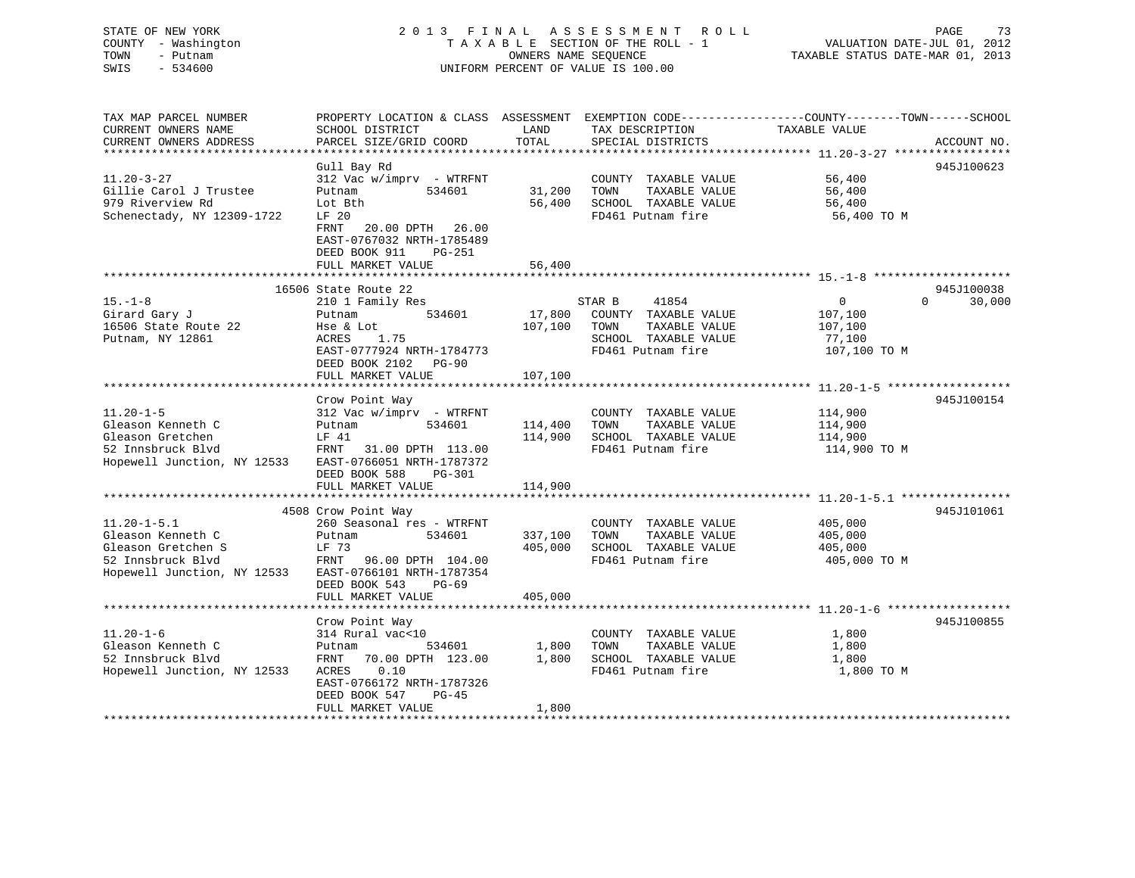## STATE OF NEW YORK 2 0 1 3 F I N A L A S S E S S M E N T R O L L PAGE 73 COUNTY - Washington T A X A B L E SECTION OF THE ROLL - 1 VALUATION DATE-JUL 01, 2012 TOWN - Putnam **CONNERS NAME SEQUENCE** TAXABLE STATUS DATE-MAR 01, 2013 SWIS - 534600 UNIFORM PERCENT OF VALUE IS 100.00

| TAX MAP PARCEL NUMBER<br>PROPERTY LOCATION & CLASS ASSESSMENT<br>EXEMPTION CODE-----------------COUNTY-------TOWN------SCHOOL<br>CURRENT OWNERS NAME<br>SCHOOL DISTRICT<br>LAND<br>TAX DESCRIPTION<br>TAXABLE VALUE<br>CURRENT OWNERS ADDRESS<br>PARCEL SIZE/GRID COORD<br>TOTAL<br>SPECIAL DISTRICTS | ACCOUNT NO.        |
|-------------------------------------------------------------------------------------------------------------------------------------------------------------------------------------------------------------------------------------------------------------------------------------------------------|--------------------|
|                                                                                                                                                                                                                                                                                                       |                    |
| Gull Bay Rd                                                                                                                                                                                                                                                                                           | 945J100623         |
| $11.20 - 3 - 27$<br>312 Vac w/imprv - WTRFNT<br>COUNTY TAXABLE VALUE<br>56,400                                                                                                                                                                                                                        |                    |
| Gillie Carol J Trustee<br>534601<br>31,200<br>TOWN<br>TAXABLE VALUE<br>56,400<br>Putnam                                                                                                                                                                                                               |                    |
| 979 Riverview Rd<br>SCHOOL TAXABLE VALUE<br>Lot Bth<br>56,400<br>56,400                                                                                                                                                                                                                               |                    |
| Schenectady, NY 12309-1722<br>FD461 Putnam fire<br>LF 20<br>56,400 TO M<br>20.00 DPTH 26.00<br>FRNT<br>EAST-0767032 NRTH-1785489<br>$PG-251$<br>DEED BOOK 911<br>FULL MARKET VALUE<br>56,400                                                                                                          |                    |
|                                                                                                                                                                                                                                                                                                       |                    |
| 16506 State Route 22                                                                                                                                                                                                                                                                                  | 945J100038         |
| $15. - 1 - 8$<br>210 1 Family Res<br>STAR B<br>41854<br>0                                                                                                                                                                                                                                             | $\Omega$<br>30,000 |
| 17,800<br>Girard Gary J<br>534601<br>COUNTY TAXABLE VALUE<br>Putnam<br>107,100                                                                                                                                                                                                                        |                    |
| 16506 State Route 22<br>107,100<br>TOWN<br>Hse & Lot<br>TAXABLE VALUE<br>107,100                                                                                                                                                                                                                      |                    |
| Putnam, NY 12861<br>1.75<br>SCHOOL TAXABLE VALUE<br>ACRES<br>77,100                                                                                                                                                                                                                                   |                    |
| EAST-0777924 NRTH-1784773<br>FD461 Putnam fire<br>107,100 TO M<br>DEED BOOK 2102 PG-90                                                                                                                                                                                                                |                    |
| 107,100<br>FULL MARKET VALUE                                                                                                                                                                                                                                                                          |                    |
|                                                                                                                                                                                                                                                                                                       |                    |
| Crow Point Way                                                                                                                                                                                                                                                                                        | 945J100154         |
| $11.20 - 1 - 5$<br>$312$ Vac w/imprv - WTRFNT<br>COUNTY TAXABLE VALUE<br>114,900                                                                                                                                                                                                                      |                    |
| Gleason Kenneth C<br>534601<br>114,400<br>TOWN<br>TAXABLE VALUE<br>114,900<br>Putnam                                                                                                                                                                                                                  |                    |
| 114,900<br>SCHOOL TAXABLE VALUE<br>Gleason Gretchen<br>LF 41<br>114,900                                                                                                                                                                                                                               |                    |
| FD461 Putnam fire<br>52 Innsbruck Blvd<br>FRNT<br>31.00 DPTH 113.00<br>114,900 TO M                                                                                                                                                                                                                   |                    |
| Hopewell Junction, NY 12533<br>EAST-0766051 NRTH-1787372                                                                                                                                                                                                                                              |                    |
| DEED BOOK 588<br><b>PG-301</b>                                                                                                                                                                                                                                                                        |                    |
| 114,900<br>FULL MARKET VALUE                                                                                                                                                                                                                                                                          |                    |
| 4508 Crow Point Way                                                                                                                                                                                                                                                                                   | 945J101061         |
| $11.20 - 1 - 5.1$<br>260 Seasonal res - WTRFNT<br>COUNTY TAXABLE VALUE<br>405,000                                                                                                                                                                                                                     |                    |
| Gleason Kenneth C<br>534601<br>337,100<br>TOWN<br>TAXABLE VALUE<br>405,000<br>Putnam                                                                                                                                                                                                                  |                    |
| Gleason Gretchen S<br>405,000<br>SCHOOL TAXABLE VALUE<br>LF 73<br>405,000                                                                                                                                                                                                                             |                    |
| 52 Innsbruck Blvd<br>FD461 Putnam fire<br>FRNT<br>96.00 DPTH 104.00<br>405,000 TO M                                                                                                                                                                                                                   |                    |
| Hopewell Junction, NY 12533<br>EAST-0766101 NRTH-1787354                                                                                                                                                                                                                                              |                    |
| DEED BOOK 543<br>$PG-69$                                                                                                                                                                                                                                                                              |                    |
| FULL MARKET VALUE<br>405,000                                                                                                                                                                                                                                                                          |                    |
|                                                                                                                                                                                                                                                                                                       |                    |
| Crow Point Way                                                                                                                                                                                                                                                                                        | 945J100855         |
| $11.20 - 1 - 6$<br>314 Rural vac<10<br>COUNTY TAXABLE VALUE<br>1,800                                                                                                                                                                                                                                  |                    |
| TOWN<br>TAXABLE VALUE<br>Gleason Kenneth C<br>534601<br>1,800<br>1,800<br>Putnam                                                                                                                                                                                                                      |                    |
| 52 Innsbruck Blvd<br>1,800<br>SCHOOL TAXABLE VALUE<br>70.00 DPTH 123.00<br>1,800<br>FRNT                                                                                                                                                                                                              |                    |
| 0.10<br>FD461 Putnam fire<br>Hopewell Junction, NY 12533<br>1,800 TO M<br>ACRES                                                                                                                                                                                                                       |                    |
| EAST-0766172 NRTH-1787326                                                                                                                                                                                                                                                                             |                    |
| DEED BOOK 547<br>$PG-45$<br>FULL MARKET VALUE                                                                                                                                                                                                                                                         |                    |
| 1,800                                                                                                                                                                                                                                                                                                 |                    |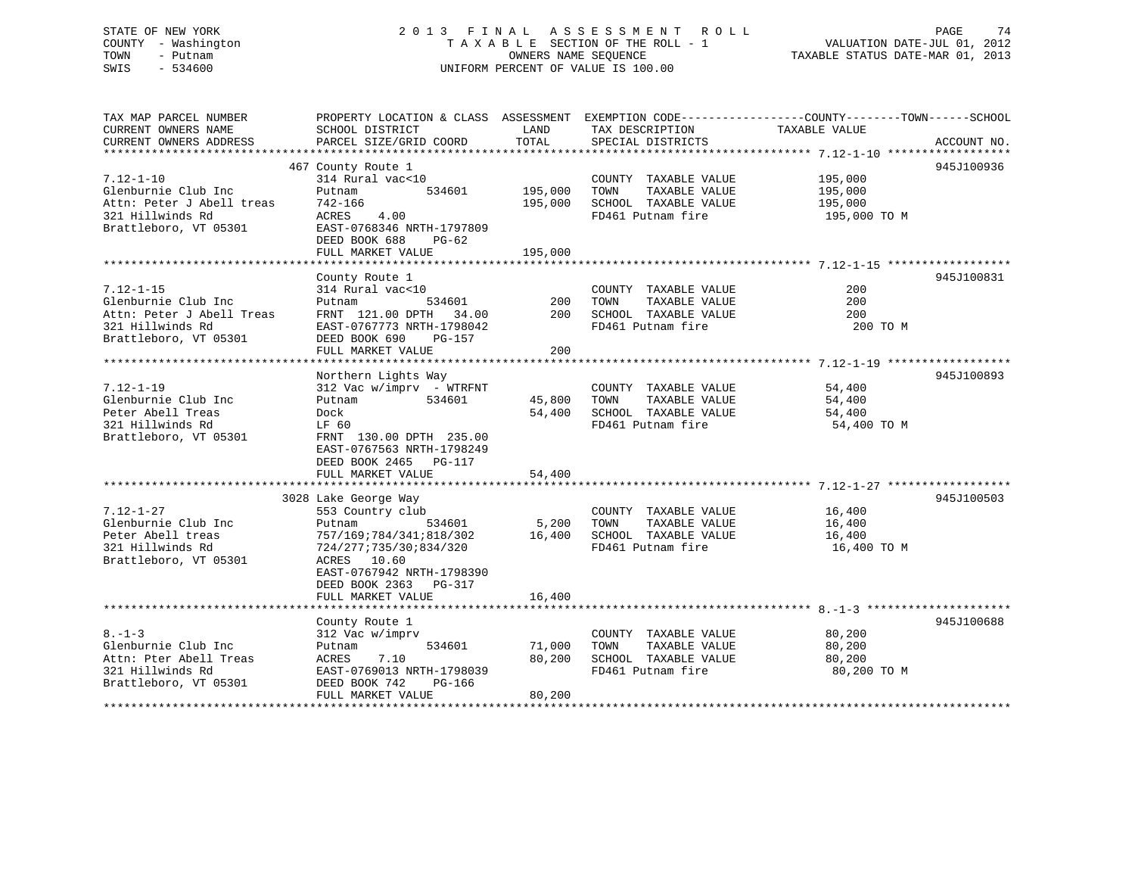# STATE OF NEW YORK 2013 FINAL ASSESSMENT ROLL PAGE 74 COUNTY - Washington  $T A X A B L E$  SECTION OF THE ROLL - 1<br>TOWN - Putnam data of the COUNTERS NAME SEQUENCE SWIS - 534600 UNIFORM PERCENT OF VALUE IS 100.00

TAXABLE STATUS DATE-MAR 01, 2013

| TAX MAP PARCEL NUMBER     | PROPERTY LOCATION & CLASS ASSESSMENT EXEMPTION CODE----------------COUNTY-------TOWN------SCHOOL |         |                       |               |             |
|---------------------------|--------------------------------------------------------------------------------------------------|---------|-----------------------|---------------|-------------|
| CURRENT OWNERS NAME       | SCHOOL DISTRICT                                                                                  | LAND    | TAX DESCRIPTION       | TAXABLE VALUE |             |
| CURRENT OWNERS ADDRESS    | PARCEL SIZE/GRID COORD                                                                           | TOTAL   | SPECIAL DISTRICTS     |               | ACCOUNT NO. |
|                           |                                                                                                  |         |                       |               |             |
|                           | 467 County Route 1                                                                               |         |                       |               | 945J100936  |
| $7.12 - 1 - 10$           | 314 Rural vac<10                                                                                 |         | COUNTY TAXABLE VALUE  | 195,000       |             |
| Glenburnie Club Inc       | 534601<br>Putnam                                                                                 | 195,000 | TAXABLE VALUE<br>TOWN | 195,000       |             |
| Attn: Peter J Abell treas | 742-166                                                                                          | 195,000 | SCHOOL TAXABLE VALUE  | 195,000       |             |
| 321 Hillwinds Rd          | ACRES 4.00                                                                                       |         | FD461 Putnam fire     | 195,000 TO M  |             |
| Brattleboro, VT 05301     | EAST-0768346 NRTH-1797809                                                                        |         |                       |               |             |
|                           | DEED BOOK 688<br>$PG-62$                                                                         |         |                       |               |             |
|                           | FULL MARKET VALUE                                                                                | 195,000 |                       |               |             |
|                           |                                                                                                  |         |                       |               |             |
|                           | County Route 1                                                                                   |         |                       |               | 945J100831  |
| $7.12 - 1 - 15$           | 314 Rural vac<10                                                                                 |         | COUNTY TAXABLE VALUE  | 200           |             |
| Glenburnie Club Inc       | 534601<br>Putnam                                                                                 | 200     | TOWN<br>TAXABLE VALUE | 200           |             |
| Attn: Peter J Abell Treas | FRNT 121.00 DPTH 34.00                                                                           | 200     | SCHOOL TAXABLE VALUE  | 200           |             |
| 321 Hillwinds Rd          | EAST-0767773 NRTH-1798042                                                                        |         | FD461 Putnam fire     | 200 TO M      |             |
| Brattleboro, VT 05301     |                                                                                                  |         |                       |               |             |
|                           | DEED BOOK 690<br>PG-157                                                                          |         |                       |               |             |
|                           | FULL MARKET VALUE                                                                                | 200     |                       |               |             |
|                           |                                                                                                  |         |                       |               |             |
|                           | Northern Lights Way                                                                              |         |                       |               | 945J100893  |
| $7.12 - 1 - 19$           | $312$ Vac w/imprv - WTRFNT                                                                       |         | COUNTY TAXABLE VALUE  | 54,400        |             |
| Glenburnie Club Inc       | 534601<br>Putnam                                                                                 | 45,800  | TAXABLE VALUE<br>TOWN | 54,400        |             |
| Peter Abell Treas         | Dock                                                                                             | 54,400  | SCHOOL TAXABLE VALUE  | 54,400        |             |
| 321 Hillwinds Rd          | LF 60                                                                                            |         | FD461 Putnam fire     | 54,400 TO M   |             |
| Brattleboro, VT 05301     | FRNT 130.00 DPTH 235.00                                                                          |         |                       |               |             |
|                           | EAST-0767563 NRTH-1798249                                                                        |         |                       |               |             |
|                           | DEED BOOK 2465 PG-117                                                                            |         |                       |               |             |
|                           | FULL MARKET VALUE                                                                                | 54,400  |                       |               |             |
|                           |                                                                                                  |         |                       |               |             |
|                           | 3028 Lake George Way                                                                             |         |                       |               | 945J100503  |
| $7.12 - 1 - 27$           | 553 Country club                                                                                 |         | COUNTY TAXABLE VALUE  | 16,400        |             |
| Glenburnie Club Inc       | Putnam<br>534601                                                                                 | 5,200   | TOWN<br>TAXABLE VALUE | 16,400        |             |
| Peter Abell treas         | 757/169;784/341;818/302                                                                          | 16,400  | SCHOOL TAXABLE VALUE  | 16,400        |             |
| 321 Hillwinds Rd          | 724/277;735/30;834/320                                                                           |         | FD461 Putnam fire     | 16,400 TO M   |             |
| Brattleboro, VT 05301     | ACRES 10.60                                                                                      |         |                       |               |             |
|                           | EAST-0767942 NRTH-1798390                                                                        |         |                       |               |             |
|                           | DEED BOOK 2363 PG-317                                                                            |         |                       |               |             |
|                           | FULL MARKET VALUE                                                                                | 16,400  |                       |               |             |
|                           |                                                                                                  |         |                       |               |             |
|                           | County Route 1                                                                                   |         |                       |               | 945J100688  |
| $8. - 1 - 3$              | 312 Vac w/imprv                                                                                  |         | COUNTY TAXABLE VALUE  | 80,200        |             |
| Glenburnie Club Inc       | 534601<br>Putnam                                                                                 | 71,000  | TAXABLE VALUE<br>TOWN | 80,200        |             |
| Attn: Pter Abell Treas    | ACRES<br>7.10                                                                                    | 80,200  | SCHOOL TAXABLE VALUE  | 80,200        |             |
| 321 Hillwinds Rd          | EAST-0769013 NRTH-1798039                                                                        |         | FD461 Putnam fire     | 80,200 TO M   |             |
| Brattleboro, VT 05301     | DEED BOOK 742<br>PG-166                                                                          |         |                       |               |             |
|                           | FULL MARKET VALUE                                                                                | 80,200  |                       |               |             |
|                           |                                                                                                  |         |                       |               |             |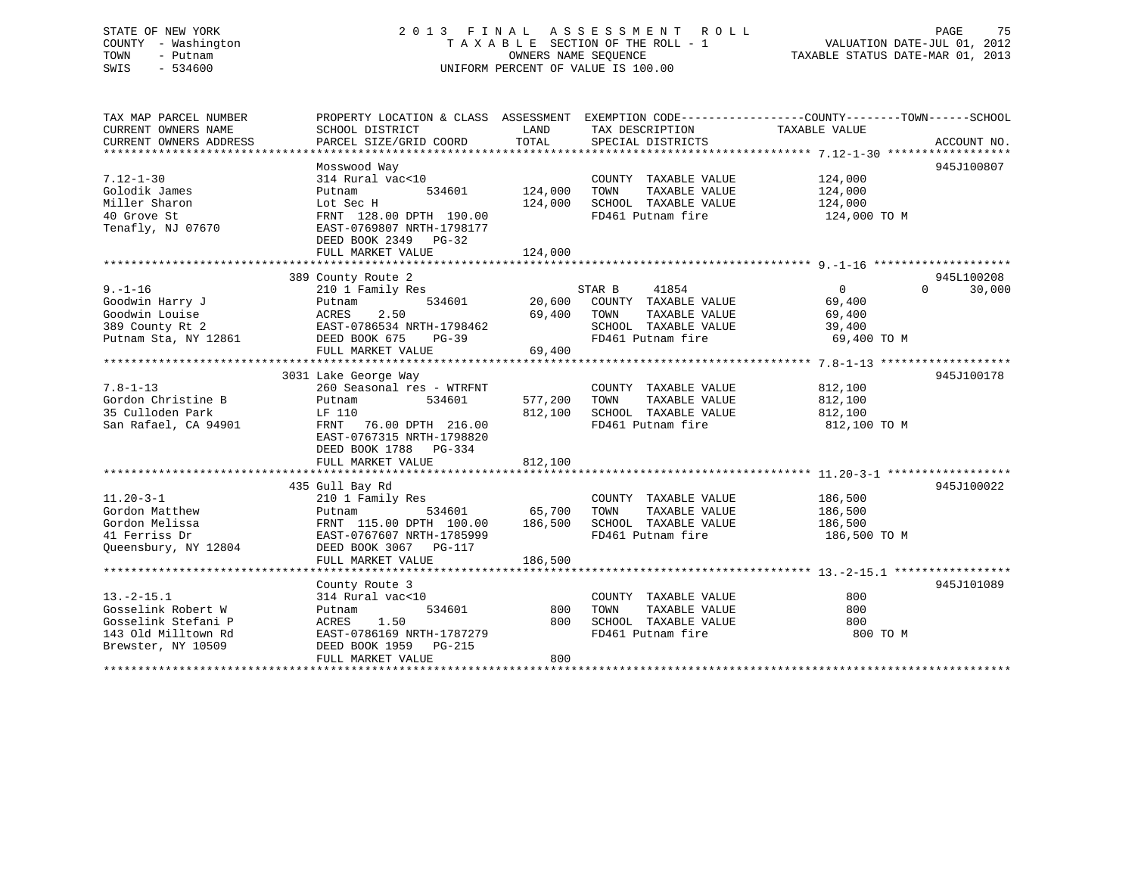## STATE OF NEW YORK 2 0 1 3 F I N A L A S S E S S M E N T R O L L PAGE 75 COUNTY - Washington T A X A B L E SECTION OF THE ROLL - 1 VALUATION DATE-JUL 01, 2012 TOWN - Putnam **CONNERS NAME SEQUENCE** TAXABLE STATUS DATE-MAR 01, 2013 SWIS - 534600 UNIFORM PERCENT OF VALUE IS 100.00

| TAX MAP PARCEL NUMBER  |                           |         |                       | PROPERTY LOCATION & CLASS ASSESSMENT EXEMPTION CODE----------------COUNTY-------TOWN------SCHOOL |  |
|------------------------|---------------------------|---------|-----------------------|--------------------------------------------------------------------------------------------------|--|
| CURRENT OWNERS NAME    | SCHOOL DISTRICT           | LAND    | TAX DESCRIPTION       | TAXABLE VALUE                                                                                    |  |
| CURRENT OWNERS ADDRESS | PARCEL SIZE/GRID COORD    | TOTAL   | SPECIAL DISTRICTS     | ACCOUNT NO.                                                                                      |  |
|                        |                           |         |                       |                                                                                                  |  |
|                        | Mosswood Way              |         |                       | 945J100807                                                                                       |  |
| $7.12 - 1 - 30$        | 314 Rural vac<10          |         | COUNTY TAXABLE VALUE  | 124,000                                                                                          |  |
| Golodik James          | 534601<br>Putnam          | 124,000 | TOWN<br>TAXABLE VALUE | 124,000                                                                                          |  |
| Miller Sharon          | Lot Sec H                 | 124,000 | SCHOOL TAXABLE VALUE  | 124,000                                                                                          |  |
| 40 Grove St            | FRNT 128.00 DPTH 190.00   |         | FD461 Putnam fire     | 124,000 TO M                                                                                     |  |
| Tenafly, NJ 07670      | EAST-0769807 NRTH-1798177 |         |                       |                                                                                                  |  |
|                        | DEED BOOK 2349 PG-32      |         |                       |                                                                                                  |  |
|                        | FULL MARKET VALUE         | 124,000 |                       |                                                                                                  |  |
|                        |                           |         |                       |                                                                                                  |  |
|                        | 389 County Route 2        |         |                       | 945L100208                                                                                       |  |
| $9. - 1 - 16$          | 210 1 Family Res          |         | STAR B<br>41854       | $\mathbf{0}$<br>$\Omega$<br>30,000                                                               |  |
| Goodwin Harry J        | 534601<br>Putnam          | 20,600  | COUNTY TAXABLE VALUE  | 69,400                                                                                           |  |
| Goodwin Louise         | 2.50<br>ACRES             | 69,400  | TOWN<br>TAXABLE VALUE | 69,400                                                                                           |  |
| 389 County Rt 2        | EAST-0786534 NRTH-1798462 |         | SCHOOL TAXABLE VALUE  | 39,400                                                                                           |  |
| Putnam Sta, NY 12861   | DEED BOOK 675<br>$PG-39$  |         | FD461 Putnam fire     | 69,400 TO M                                                                                      |  |
|                        | FULL MARKET VALUE         | 69,400  |                       |                                                                                                  |  |
|                        |                           |         |                       |                                                                                                  |  |
|                        | 3031 Lake George Way      |         |                       | 945J100178                                                                                       |  |
| $7.8 - 1 - 13$         | 260 Seasonal res - WTRFNT |         | COUNTY TAXABLE VALUE  | 812,100                                                                                          |  |
| Gordon Christine B     | Putnam<br>534601          | 577,200 | TOWN<br>TAXABLE VALUE | 812,100                                                                                          |  |
| 35 Culloden Park       | LF 110                    | 812,100 | SCHOOL TAXABLE VALUE  | 812,100                                                                                          |  |
| San Rafael, CA 94901   | 76.00 DPTH 216.00<br>FRNT |         | FD461 Putnam fire     | 812,100 TO M                                                                                     |  |
|                        | EAST-0767315 NRTH-1798820 |         |                       |                                                                                                  |  |
|                        | DEED BOOK 1788 PG-334     |         |                       |                                                                                                  |  |
|                        | FULL MARKET VALUE         | 812,100 |                       |                                                                                                  |  |
|                        |                           |         |                       |                                                                                                  |  |
|                        | 435 Gull Bay Rd           |         |                       | 945J100022                                                                                       |  |
| $11.20 - 3 - 1$        | 210 1 Family Res          |         | COUNTY TAXABLE VALUE  | 186,500                                                                                          |  |
| Gordon Matthew         | 534601<br>Putnam          | 65,700  | TOWN<br>TAXABLE VALUE | 186,500                                                                                          |  |
| Gordon Melissa         | FRNT 115.00 DPTH 100.00   | 186,500 | SCHOOL TAXABLE VALUE  | 186,500                                                                                          |  |
| 41 Ferriss Dr          | EAST-0767607 NRTH-1785999 |         | FD461 Putnam fire     | 186,500 TO M                                                                                     |  |
| Oueensbury, NY 12804   | DEED BOOK 3067 PG-117     |         |                       |                                                                                                  |  |
|                        | FULL MARKET VALUE         | 186,500 |                       |                                                                                                  |  |
|                        |                           |         |                       |                                                                                                  |  |
|                        | County Route 3            |         |                       | 945J101089                                                                                       |  |
| $13. -2 - 15.1$        | 314 Rural vac<10          |         | COUNTY TAXABLE VALUE  | 800                                                                                              |  |
| Gosselink Robert W     | 534601<br>Putnam          | 800     | TOWN<br>TAXABLE VALUE | 800                                                                                              |  |
| Gosselink Stefani P    | 1.50<br>ACRES             | 800     | SCHOOL TAXABLE VALUE  | 800                                                                                              |  |
| 143 Old Milltown Rd    | EAST-0786169 NRTH-1787279 |         | FD461 Putnam fire     | 800 TO M                                                                                         |  |
| Brewster, NY 10509     | DEED BOOK 1959 PG-215     |         |                       |                                                                                                  |  |
|                        | FULL MARKET VALUE         | 800     |                       |                                                                                                  |  |
|                        |                           |         |                       |                                                                                                  |  |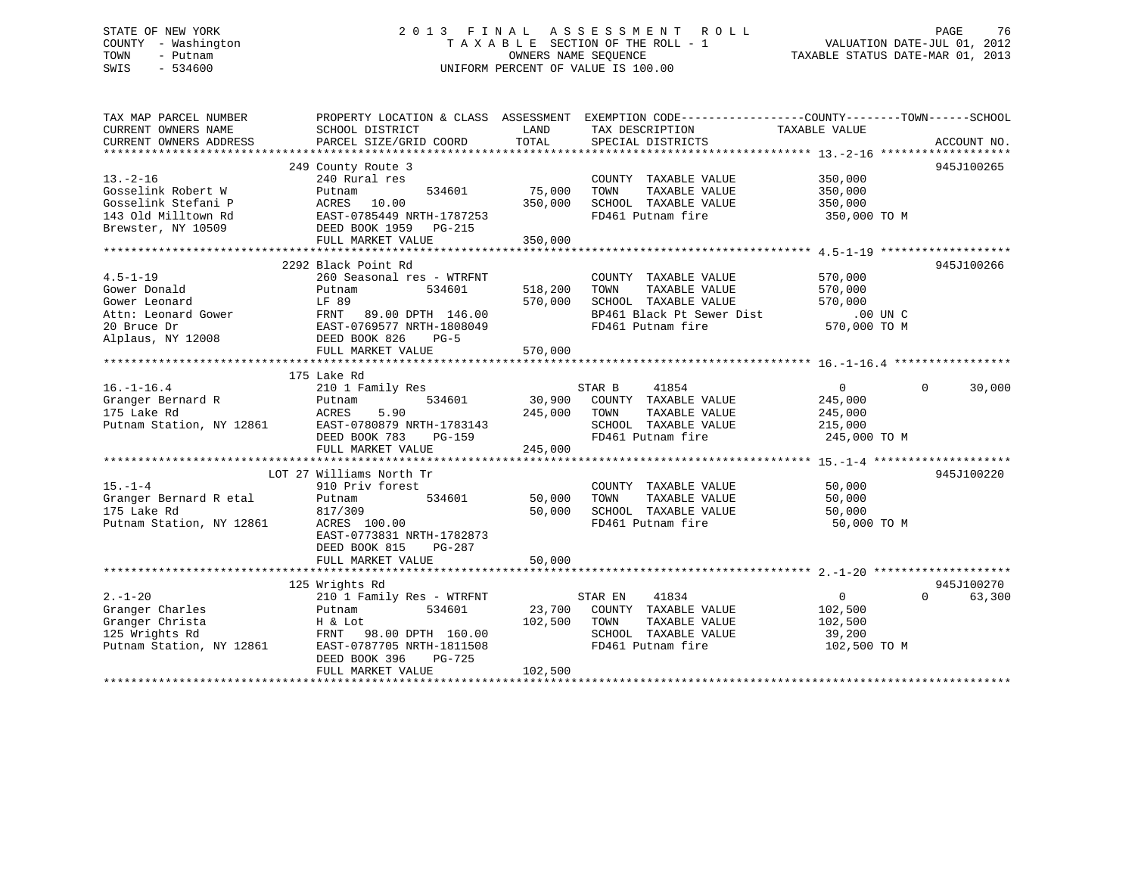## STATE OF NEW YORK 2 0 1 3 F I N A L A S S E S S M E N T R O L L PAGE 76 COUNTY - Washington T A X A B L E SECTION OF THE ROLL - 1 VALUATION DATE-JUL 01, 2012 TOWN - Putnam **CONNERS NAME SEQUENCE** TAXABLE STATUS DATE-MAR 01, 2013 SWIS - 534600 UNIFORM PERCENT OF VALUE IS 100.00

| TOTAL<br>CURRENT OWNERS ADDRESS<br>PARCEL SIZE/GRID COORD<br>SPECIAL DISTRICTS<br>ACCOUNT NO.<br>249 County Route 3<br>945J100265<br>$13. - 2 - 16$<br>240 Rural res<br>350,000<br>COUNTY TAXABLE VALUE<br>75,000<br>Gosselink Robert W<br>534601<br>TOWN<br>TAXABLE VALUE<br>350,000<br>Putnam<br>Gosselink Stefani P<br>ACRES<br>10.00<br>350,000<br>SCHOOL TAXABLE VALUE<br>350,000<br>143 Old Milltown Rd<br>EAST-0785449 NRTH-1787253<br>FD461 Putnam fire<br>350,000 TO M<br>Brewster, NY 10509<br>DEED BOOK 1959 PG-215<br>350,000<br>FULL MARKET VALUE |  |
|----------------------------------------------------------------------------------------------------------------------------------------------------------------------------------------------------------------------------------------------------------------------------------------------------------------------------------------------------------------------------------------------------------------------------------------------------------------------------------------------------------------------------------------------------------------|--|
|                                                                                                                                                                                                                                                                                                                                                                                                                                                                                                                                                                |  |
|                                                                                                                                                                                                                                                                                                                                                                                                                                                                                                                                                                |  |
|                                                                                                                                                                                                                                                                                                                                                                                                                                                                                                                                                                |  |
|                                                                                                                                                                                                                                                                                                                                                                                                                                                                                                                                                                |  |
|                                                                                                                                                                                                                                                                                                                                                                                                                                                                                                                                                                |  |
|                                                                                                                                                                                                                                                                                                                                                                                                                                                                                                                                                                |  |
|                                                                                                                                                                                                                                                                                                                                                                                                                                                                                                                                                                |  |
|                                                                                                                                                                                                                                                                                                                                                                                                                                                                                                                                                                |  |
|                                                                                                                                                                                                                                                                                                                                                                                                                                                                                                                                                                |  |
|                                                                                                                                                                                                                                                                                                                                                                                                                                                                                                                                                                |  |
| 2292 Black Point Rd<br>945J100266                                                                                                                                                                                                                                                                                                                                                                                                                                                                                                                              |  |
| $4.5 - 1 - 19$<br>260 Seasonal res - WTRFNT<br>570,000<br>COUNTY TAXABLE VALUE                                                                                                                                                                                                                                                                                                                                                                                                                                                                                 |  |
| Gower Donald<br>534601<br>518,200<br>TOWN<br>TAXABLE VALUE<br>570,000<br>Putnam                                                                                                                                                                                                                                                                                                                                                                                                                                                                                |  |
| Gower Leonard<br>LF 89<br>570,000<br>SCHOOL TAXABLE VALUE<br>570,000                                                                                                                                                                                                                                                                                                                                                                                                                                                                                           |  |
| BP461 Black Pt Sewer Dist<br>$.00$ UN $C$<br>Attn: Leonard Gower<br>FRNT<br>89.00 DPTH 146.00                                                                                                                                                                                                                                                                                                                                                                                                                                                                  |  |
| EAST-0769577 NRTH-1808049<br>FD461 Putnam fire<br>570,000 TO M<br>20 Bruce Dr                                                                                                                                                                                                                                                                                                                                                                                                                                                                                  |  |
| Alplaus, NY 12008<br>DEED BOOK 826<br>$PG-5$                                                                                                                                                                                                                                                                                                                                                                                                                                                                                                                   |  |
| FULL MARKET VALUE<br>570,000                                                                                                                                                                                                                                                                                                                                                                                                                                                                                                                                   |  |
|                                                                                                                                                                                                                                                                                                                                                                                                                                                                                                                                                                |  |
| 175 Lake Rd                                                                                                                                                                                                                                                                                                                                                                                                                                                                                                                                                    |  |
| $16. - 1 - 16.4$<br>210 1 Family Res<br>STAR B<br>41854<br>$\overline{0}$<br>$\Omega$<br>30,000                                                                                                                                                                                                                                                                                                                                                                                                                                                                |  |
| Granger Bernard R<br>30,900<br>Putnam<br>534601<br>COUNTY TAXABLE VALUE<br>245,000                                                                                                                                                                                                                                                                                                                                                                                                                                                                             |  |
| 175 Lake Rd<br>ACRES<br>5.90<br>245,000<br>TAXABLE VALUE<br>TOWN<br>245,000                                                                                                                                                                                                                                                                                                                                                                                                                                                                                    |  |
| Putnam Station, NY 12861<br>EAST-0780879 NRTH-1783143<br>SCHOOL TAXABLE VALUE                                                                                                                                                                                                                                                                                                                                                                                                                                                                                  |  |
| 215,000                                                                                                                                                                                                                                                                                                                                                                                                                                                                                                                                                        |  |
| FD461 Putnam fire<br>245,000 TO M<br>DEED BOOK 783<br>PG-159                                                                                                                                                                                                                                                                                                                                                                                                                                                                                                   |  |
| 245,000<br>FULL MARKET VALUE                                                                                                                                                                                                                                                                                                                                                                                                                                                                                                                                   |  |
|                                                                                                                                                                                                                                                                                                                                                                                                                                                                                                                                                                |  |
| 945J100220<br>LOT 27 Williams North Tr                                                                                                                                                                                                                                                                                                                                                                                                                                                                                                                         |  |
| $15. - 1 - 4$<br>910 Priv forest<br>COUNTY TAXABLE VALUE<br>50,000                                                                                                                                                                                                                                                                                                                                                                                                                                                                                             |  |
| Granger Bernard R etal<br>534601<br>50,000<br>TOWN<br>TAXABLE VALUE<br>Putnam<br>50,000                                                                                                                                                                                                                                                                                                                                                                                                                                                                        |  |
| 175 Lake Rd<br>50,000<br>SCHOOL TAXABLE VALUE<br>817/309<br>50,000                                                                                                                                                                                                                                                                                                                                                                                                                                                                                             |  |
| Putnam Station, NY 12861<br>FD461 Putnam fire<br>ACRES 100.00<br>50,000 TO M                                                                                                                                                                                                                                                                                                                                                                                                                                                                                   |  |
| EAST-0773831 NRTH-1782873                                                                                                                                                                                                                                                                                                                                                                                                                                                                                                                                      |  |
| DEED BOOK 815<br>PG-287                                                                                                                                                                                                                                                                                                                                                                                                                                                                                                                                        |  |
| 50,000<br>FULL MARKET VALUE                                                                                                                                                                                                                                                                                                                                                                                                                                                                                                                                    |  |
|                                                                                                                                                                                                                                                                                                                                                                                                                                                                                                                                                                |  |
| 945J100270<br>125 Wrights Rd                                                                                                                                                                                                                                                                                                                                                                                                                                                                                                                                   |  |
| $2. - 1 - 20$<br>41834<br>$\Omega$<br>$\Omega$<br>63,300<br>210 1 Family Res - WTRFNT<br>STAR EN                                                                                                                                                                                                                                                                                                                                                                                                                                                               |  |
| Granger Charles<br>534601<br>23,700<br>COUNTY TAXABLE VALUE<br>102,500<br>Putnam                                                                                                                                                                                                                                                                                                                                                                                                                                                                               |  |
| Granger Christa<br>102,500<br>TOWN<br>TAXABLE VALUE<br>102,500<br>H & Lot                                                                                                                                                                                                                                                                                                                                                                                                                                                                                      |  |
| 125 Wrights Rd<br>FRNT 98.00 DPTH 160.00<br>SCHOOL TAXABLE VALUE<br>39,200                                                                                                                                                                                                                                                                                                                                                                                                                                                                                     |  |
| Putnam Station, NY 12861<br>EAST-0787705 NRTH-1811508<br>FD461 Putnam fire<br>102,500 TO M                                                                                                                                                                                                                                                                                                                                                                                                                                                                     |  |
| DEED BOOK 396<br>PG-725                                                                                                                                                                                                                                                                                                                                                                                                                                                                                                                                        |  |
| 102,500<br>FULL MARKET VALUE                                                                                                                                                                                                                                                                                                                                                                                                                                                                                                                                   |  |
|                                                                                                                                                                                                                                                                                                                                                                                                                                                                                                                                                                |  |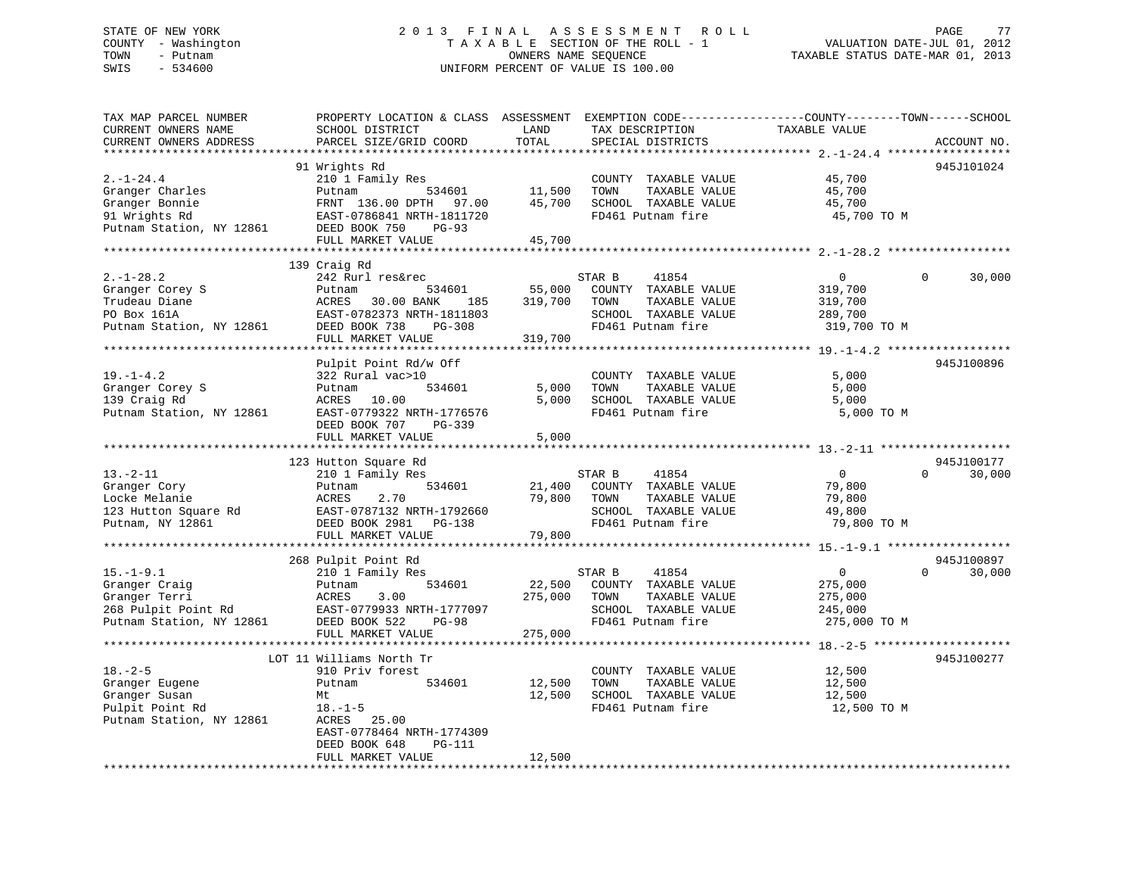## STATE OF NEW YORK 2 0 1 3 F I N A L A S S E S S M E N T R O L L PAGE 77 COUNTY - Washington T A X A B L E SECTION OF THE ROLL - 1 VALUATION DATE-JUL 01, 2012 TOWN - Putnam OWNERS NAME SEQUENCE TAXABLE STATUS DATE-MAR 01, 2013 SWIS - 534600 UNIFORM PERCENT OF VALUE IS 100.00

| TAX MAP PARCEL NUMBER<br>CURRENT OWNERS NAME<br>CURRENT OWNERS ADDRESS                               | PROPERTY LOCATION & CLASS ASSESSMENT<br>SCHOOL DISTRICT<br>PARCEL SIZE/GRID COORD                                                                            | LAND<br>TOTAL                | TAX DESCRIPTION<br>SPECIAL DISTRICTS                                                                          | EXEMPTION CODE-----------------COUNTY-------TOWN------SCHOOL<br>TAXABLE VALUE | ACCOUNT NO.                      |
|------------------------------------------------------------------------------------------------------|--------------------------------------------------------------------------------------------------------------------------------------------------------------|------------------------------|---------------------------------------------------------------------------------------------------------------|-------------------------------------------------------------------------------|----------------------------------|
| ****************                                                                                     |                                                                                                                                                              |                              |                                                                                                               |                                                                               |                                  |
| $2. -1 - 24.4$<br>Granger Charles<br>Granger Bonnie<br>91 Wrights Rd<br>Putnam Station, NY 12861     | 91 Wrights Rd<br>210 1 Family Res<br>Putnam<br>534601<br>FRNT 136.00 DPTH 97.00<br>EAST-0786841 NRTH-1811720<br>DEED BOOK 750<br>$PG-93$                     | 11,500<br>45,700             | COUNTY TAXABLE VALUE<br>TAXABLE VALUE<br>TOWN<br>SCHOOL TAXABLE VALUE<br>FD461 Putnam fire                    | 45,700<br>45,700<br>45,700<br>45,700 TO M                                     | 945J101024                       |
|                                                                                                      | FULL MARKET VALUE                                                                                                                                            | 45,700                       |                                                                                                               |                                                                               |                                  |
|                                                                                                      |                                                                                                                                                              |                              |                                                                                                               |                                                                               |                                  |
| $2. -1 - 28.2$<br>Granger Corey S<br>Trudeau Diane<br>PO Box 161A<br>Putnam Station, NY 12861        | 139 Craig Rd<br>242 Rurl res&rec<br>534601<br>Putnam<br>ACRES<br>30.00 BANK<br>185<br>EAST-0782373 NRTH-1811803<br>DEED BOOK 738<br>PG-308                   | 55,000<br>319,700            | 41854<br>STAR B<br>COUNTY TAXABLE VALUE<br>TAXABLE VALUE<br>TOWN<br>SCHOOL TAXABLE VALUE<br>FD461 Putnam fire | $\Omega$<br>319,700<br>319,700<br>289,700<br>319,700 TO M                     | $\Omega$<br>30,000               |
|                                                                                                      | FULL MARKET VALUE                                                                                                                                            | 319,700                      |                                                                                                               |                                                                               |                                  |
| $19. - 1 - 4.2$<br>Granger Corey S<br>139 Craig Rd<br>Putnam Station, NY 12861                       | Pulpit Point Rd/w Off<br>322 Rural vac>10<br>534601<br>Putnam<br>ACRES<br>10.00<br>EAST-0779322 NRTH-1776576<br>DEED BOOK 707<br>PG-339<br>FULL MARKET VALUE | 5,000<br>5,000<br>5,000      | COUNTY TAXABLE VALUE<br>TOWN<br>TAXABLE VALUE<br>SCHOOL TAXABLE VALUE<br>FD461 Putnam fire                    | 5,000<br>5,000<br>5,000<br>5,000 TO M                                         | 945J100896                       |
|                                                                                                      |                                                                                                                                                              |                              |                                                                                                               |                                                                               |                                  |
| $13.-2-11$<br>Granger Cory<br>Locke Melanie<br>123 Hutton Square Rd<br>Putnam, NY 12861              | 123 Hutton Square Rd<br>210 1 Family Res<br>534601<br>Putnam<br>2.70<br>ACRES<br>EAST-0787132 NRTH-1792660<br>DEED BOOK 2981<br><b>PG-138</b>                | 21,400<br>79,800             | STAR B<br>41854<br>COUNTY TAXABLE VALUE<br>TOWN<br>TAXABLE VALUE<br>SCHOOL TAXABLE VALUE<br>FD461 Putnam fire | $\overline{0}$<br>79,800<br>79,800<br>49,800<br>79,800 TO M                   | 945J100177<br>$\Omega$<br>30,000 |
|                                                                                                      | FULL MARKET VALUE                                                                                                                                            | 79,800                       |                                                                                                               |                                                                               |                                  |
|                                                                                                      |                                                                                                                                                              |                              |                                                                                                               |                                                                               |                                  |
| $15. - 1 - 9.1$<br>Granger Craig<br>Granger Terri<br>268 Pulpit Point Rd<br>Putnam Station, NY 12861 | 268 Pulpit Point Rd<br>210 1 Family Res<br>534601<br>Putnam<br>ACRES<br>3.00<br>EAST-0779933 NRTH-1777097<br>DEED BOOK 522<br>$PG-98$<br>FULL MARKET VALUE   | 22,500<br>275,000<br>275,000 | 41854<br>STAR B<br>COUNTY TAXABLE VALUE<br>TOWN<br>TAXABLE VALUE<br>SCHOOL TAXABLE VALUE<br>FD461 Putnam fire | $\overline{0}$<br>275,000<br>275,000<br>245,000<br>275,000 TO M               | 945J100897<br>$\Omega$<br>30,000 |
|                                                                                                      | ********************************                                                                                                                             |                              |                                                                                                               |                                                                               |                                  |
| $18. - 2 - 5$<br>Granger Eugene<br>Granger Susan<br>Pulpit Point Rd<br>Putnam Station, NY 12861      | LOT 11 Williams North Tr<br>910 Priv forest<br>534601<br>Putnam<br>Mt<br>$18. - 1 - 5$<br>ACRES 25.00<br>EAST-0778464 NRTH-1774309                           | 12,500<br>12,500             | COUNTY TAXABLE VALUE<br>TOWN<br>TAXABLE VALUE<br>SCHOOL TAXABLE VALUE<br>FD461 Putnam fire                    | 12,500<br>12,500<br>12,500<br>12,500 TO M                                     | 945J100277                       |
|                                                                                                      | DEED BOOK 648<br>$PG-111$<br>FULL MARKET VALUE                                                                                                               | 12,500                       |                                                                                                               |                                                                               |                                  |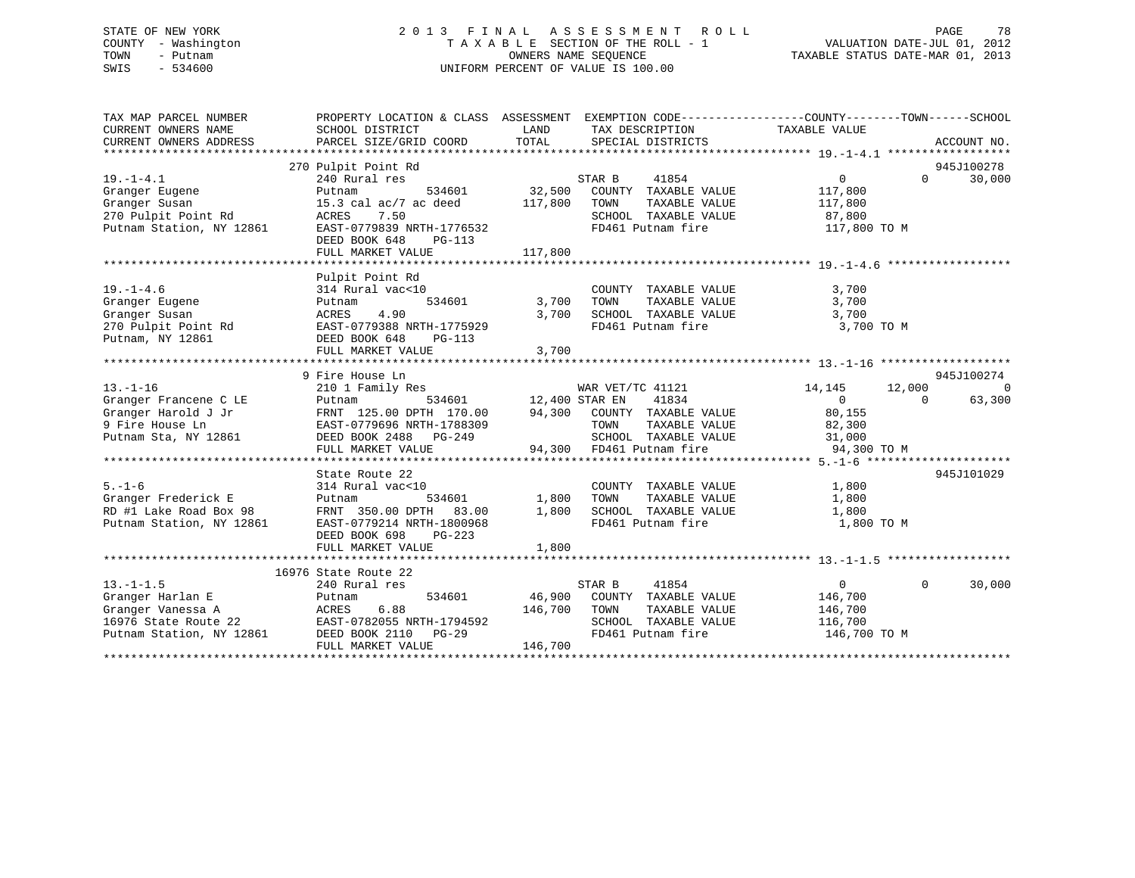## STATE OF NEW YORK 2 0 1 3 F I N A L A S S E S S M E N T R O L L PAGE 78 COUNTY - Washington T A X A B L E SECTION OF THE ROLL - 1 VALUATION DATE-JUL 01, 2012 TOWN - Putnam OWNERS NAME SEQUENCE TAXABLE STATUS DATE-MAR 01, 2013 SWIS - 534600 UNIFORM PERCENT OF VALUE IS 100.00

| TAX MAP PARCEL NUMBER                           | PROPERTY LOCATION & CLASS ASSESSMENT EXEMPTION CODE---------------COUNTY-------TOWN-----SCHOOL |                       |                             |                |          |             |
|-------------------------------------------------|------------------------------------------------------------------------------------------------|-----------------------|-----------------------------|----------------|----------|-------------|
| CURRENT OWNERS NAME                             | SCHOOL DISTRICT                                                                                | LAND                  | TAX DESCRIPTION             | TAXABLE VALUE  |          |             |
| CURRENT OWNERS ADDRESS                          | PARCEL SIZE/GRID COORD                                                                         | TOTAL                 | SPECIAL DISTRICTS           |                |          | ACCOUNT NO. |
|                                                 | 270 Pulpit Point Rd                                                                            |                       |                             |                |          | 945J100278  |
| $19. - 1 - 4.1$                                 | 240 Rural res                                                                                  |                       | STAR B<br>41854             | $\overline{0}$ | $\Omega$ | 30,000      |
| Granger Eugene                                  | Putnam<br>534601                                                                               | 32,500                | COUNTY TAXABLE VALUE        | 117,800        |          |             |
| Granger Susan                                   | 15.3 cal ac/7 ac deed                                                                          | 117,800               | TOWN<br>TAXABLE VALUE       | 117,800        |          |             |
|                                                 | ACRES<br>7.50                                                                                  |                       | SCHOOL TAXABLE VALUE        | 87,800         |          |             |
| 270 Pulpit Point Rd<br>Putnam Station, NY 12861 | EAST-0779839 NRTH-1776532                                                                      |                       | FD461 Putnam fire           | 117,800 TO M   |          |             |
|                                                 | DEED BOOK 648<br>PG-113                                                                        |                       |                             |                |          |             |
|                                                 | FULL MARKET VALUE                                                                              | 117,800               |                             |                |          |             |
|                                                 |                                                                                                |                       |                             |                |          |             |
|                                                 | Pulpit Point Rd                                                                                |                       |                             |                |          |             |
| $19. - 1 - 4.6$                                 | 314 Rural vac<10                                                                               |                       | COUNTY TAXABLE VALUE        | 3,700          |          |             |
| Granger Eugene                                  | 534601<br>Putnam                                                                               | 3,700                 | TOWN<br>TAXABLE VALUE       | 3,700          |          |             |
| Granger Susan                                   | ACRES<br>4.90                                                                                  | 3,700                 | SCHOOL TAXABLE VALUE        | 3,700          |          |             |
|                                                 | 270 Pulpit Point Rd EAST-0779388 NRTH-1775929                                                  |                       | FD461 Putnam fire           | 3,700 TO M     |          |             |
| Putnam, NY 12861                                | DEED BOOK 648<br>PG-113                                                                        |                       |                             |                |          |             |
|                                                 | FULL MARKET VALUE                                                                              | 3,700                 |                             |                |          |             |
|                                                 | 9 Fire House Ln                                                                                |                       |                             |                |          | 945J100274  |
| $13. - 1 - 16$                                  | 210 1 Family Res                                                                               |                       | WAR VET/TC 41121            | 14,145         | 12,000   | $\Omega$    |
| Granger Francene C LE                           | Putnam                                                                                         | 534601 12,400 STAR EN | 41834                       | $\overline{0}$ | $\Omega$ | 63,300      |
| Granger Harold J Jr                             | FRNT 125.00 DPTH 170.00                                                                        |                       | 94,300 COUNTY TAXABLE VALUE | 80,155         |          |             |
| 9 Fire House Ln                                 | FRNT 125.00 21.11<br>EAST-0779696 NRTH-1788309<br>CASO DG-249                                  |                       | TOWN<br>TAXABLE VALUE       | 82,300         |          |             |
| Putnam Sta, NY 12861                            | DEED BOOK 2488 PG-249                                                                          |                       | SCHOOL TAXABLE VALUE 31,000 |                |          |             |
|                                                 | FULL MARKET VALUE                                                                              |                       | 94,300 FD461 Putnam fire    | 94,300 TO M    |          |             |
|                                                 |                                                                                                |                       |                             |                |          |             |
|                                                 | State Route 22                                                                                 |                       |                             |                |          | 945J101029  |
| $5. - 1 - 6$                                    | 314 Rural vac<10                                                                               |                       | COUNTY TAXABLE VALUE        | 1,800          |          |             |
| Granger Frederick E                             | 534601<br>Putnam                                                                               | 1,800                 | TOWN<br>TAXABLE VALUE       | 1,800          |          |             |
| $RD$ #1 Lake Road Box 98                        | FRNT 350.00 DPTH 83.00                                                                         | 1,800                 | SCHOOL TAXABLE VALUE 1,800  |                |          |             |
| Putnam Station, NY 12861                        | EAST-0779214 NRTH-1800968                                                                      |                       | FD461 Putnam fire           | 1,800 TO M     |          |             |
|                                                 | DEED BOOK 698<br>PG-223                                                                        |                       |                             |                |          |             |
|                                                 | FULL MARKET VALUE                                                                              | 1,800                 |                             |                |          |             |
|                                                 | 16976 State Route 22                                                                           |                       |                             |                |          |             |
| $13. - 1 - 1.5$                                 | 240 Rural res                                                                                  |                       | 41854<br>STAR B             | $\overline{0}$ | $\Omega$ | 30,000      |
| Granger Harlan E                                | 534601<br>Putnam                                                                               |                       | 46,900 COUNTY TAXABLE VALUE | 146,700        |          |             |
| Granger Vanessa A                               | 6.88<br>ACRES                                                                                  | 146,700               | TOWN<br>TAXABLE VALUE       | 146,700        |          |             |
| 16976 State Route 22                            | EAST-0782055 NRTH-1794592                                                                      |                       | SCHOOL TAXABLE VALUE        | 116,700        |          |             |
| Putnam Station, NY 12861                        | DEED BOOK 2110 PG-29                                                                           |                       | FD461 Putnam fire           | 146,700 TO M   |          |             |
|                                                 | FULL MARKET VALUE                                                                              | 146,700               |                             |                |          |             |
|                                                 |                                                                                                |                       |                             |                |          |             |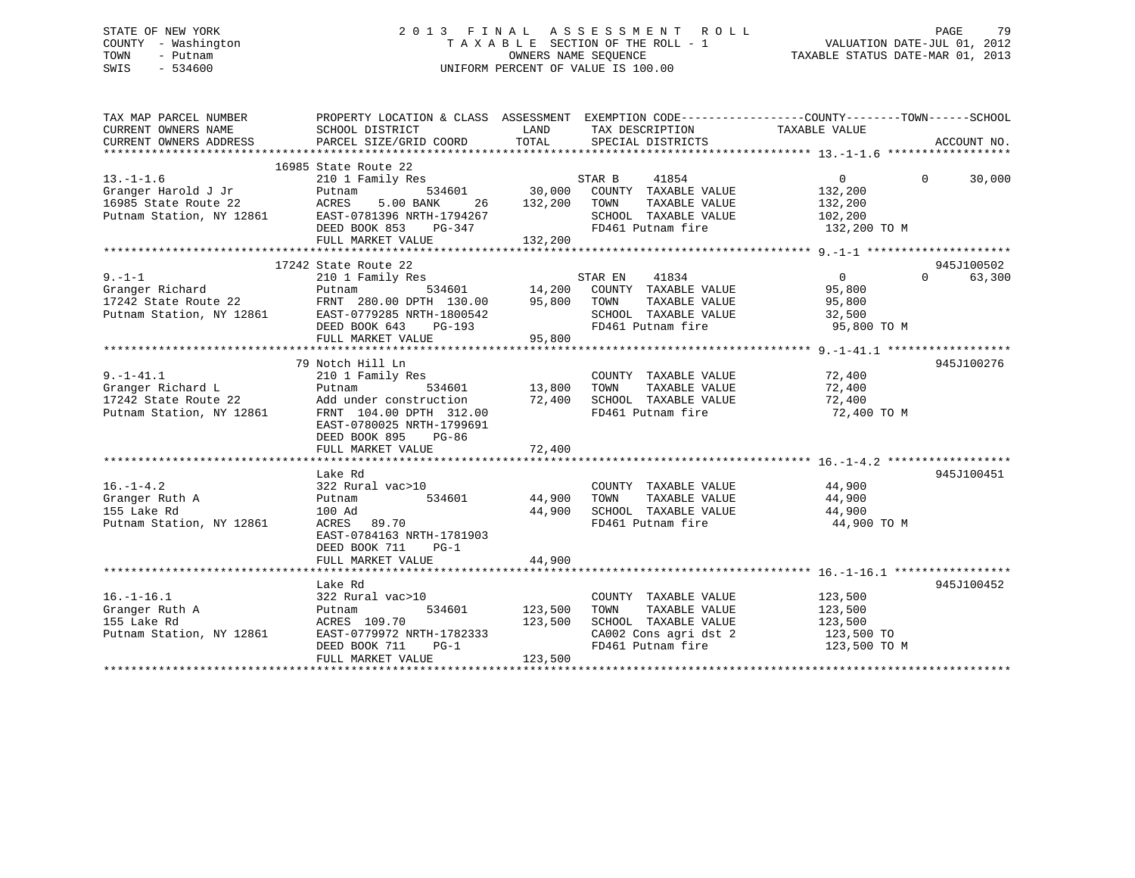## STATE OF NEW YORK 2 0 1 3 F I N A L A S S E S S M E N T R O L L PAGE 79 COUNTY - Washington T A X A B L E SECTION OF THE ROLL - 1 VALUATION DATE-JUL 01, 2012 TOWN - Putnam OWNERS NAME SEQUENCE TAXABLE STATUS DATE-MAR 01, 2013 SWIS - 534600 UNIFORM PERCENT OF VALUE IS 100.00

| TAX MAP PARCEL NUMBER<br>CURRENT OWNERS NAME<br>CURRENT OWNERS ADDRESS                                                                                                                                                                                                                                                                                                                                   | PROPERTY LOCATION & CLASS ASSESSMENT EXEMPTION CODE---------------COUNTY-------TOWN-----SCHOOL<br>SCHOOL DISTRICT<br>PARCEL SIZE/GRID COORD                                     | LAND<br>TOTAL                     | TAX DESCRIPTION TAXABLE VALUE<br>SPECIAL DISTRICTS                                                                                     |                                                  | ACCOUNT NO.        |
|----------------------------------------------------------------------------------------------------------------------------------------------------------------------------------------------------------------------------------------------------------------------------------------------------------------------------------------------------------------------------------------------------------|---------------------------------------------------------------------------------------------------------------------------------------------------------------------------------|-----------------------------------|----------------------------------------------------------------------------------------------------------------------------------------|--------------------------------------------------|--------------------|
| $13.-1-1.6$<br>Granger Harold J Jr Putnam<br>16985 State Route 22 ACRES<br>Putnam Station, NY 12861 EAST-0781396 NRTH-1794267                                                                                                                                                                                                                                                                            | 16985 State Route 22<br>210 1 Family Res<br>5.00 BANK<br>26<br>DEED BOOK 853<br>PG-347<br>FULL MARKET VALUE                                                                     | 132,200<br>132,200                | STAR B<br>41854<br>TAXABLE VALUE<br>TOWN<br>SCHOOL TAXABLE VALUE 102,200<br>FD461 Putnam fire                                          | $\Omega$<br>132,200<br>132,200<br>132,200 TO M   | $\Omega$<br>30,000 |
| $\begin{tabular}{lllllllllllll} \hline 9,-1-1 && 17242 \, \, \text{State Route Z2} && 2101 \, \, \text{Family Res} && 534601 && 14,200 & \, \text{COUNTY} && 1834 && 0 && 63,300 \\ & 2101 & \, \text{Family Res} && 534601 && 14,200 & \, \text{COUNTY} && \text{TXABLE VALUE} && 95,800 \\ \hline \text{I7242 State Route 22} && \text{FRNT} && 280.00 \, \, \text{DPTH} && 130.00 && 95,800 && \text$ | 17242 State Route 22                                                                                                                                                            |                                   |                                                                                                                                        |                                                  | 945J100502         |
| $9. - 1 - 41.1$<br>Granger Richard L<br>17242 State Route 22<br>Putnam Station, NY 12861                                                                                                                                                                                                                                                                                                                 | 79 Notch Hill Ln<br>210 1 Family Res<br>Putnam<br>Add under construction<br>FRNT 104.00 DPTH 312.00<br>EAST-0780025 NRTH-1799691<br>DEED BOOK 895<br>PG-86<br>FULL MARKET VALUE | 534601 13,800<br>72,400<br>72,400 | COUNTY TAXABLE VALUE<br>TOWN<br>TAXABLE VALUE<br>SCHOOL TAXABLE VALUE<br>FD461 Putnam fire                                             | 72,400<br>72,400<br>72,400<br>72,400 TO M        | 945J100276         |
| $16. - 1 - 4.2$<br>Granger Ruth A<br>155 Lake Rd<br>155 Lake Rd<br>Putnam Station, NY 12861                                                                                                                                                                                                                                                                                                              | Lake Rd<br>322 Rural vac>10<br>Putnam<br>534601<br>100 Ad<br>ACRES 89.70<br>EAST-0784163 NRTH-1781903<br>DEED BOOK 711<br>$PG-1$<br>FULL MARKET VALUE                           | 44,900                            | COUNTY TAXABLE VALUE 44,900<br>44,900 TOWN TAXABLE VALUE 44,900<br>44,900 SCHOOL TAXABLE VALUE 44,900<br>FD461 Putnam fire 44,900 TO M |                                                  | 945J100451         |
| $16. - 1 - 16.1$<br>16.-1-16.1 322 Rur<br>Granger Ruth A Putnam<br>155 Lake Rd ACRES<br>Putnam Station, NY 12861 EAST-07                                                                                                                                                                                                                                                                                 | Lake Rd<br>322 Rural vac>10<br>534601<br>ACRES 109.70<br>EAST-0779972 NRTH-1782333<br>DEED BOOK 711<br>$PG-1$<br>FULL MARKET VALUE                                              | 123,500<br>123,500<br>123,500     | COUNTY TAXABLE VALUE<br>TAXABLE VALUE<br>TOWN<br>SCHOOL TAXABLE VALUE 123,500<br>CA002 Cons agri dst 2<br>FD461 Putnam fire            | 123,500<br>123,500<br>123,500 TO<br>123,500 TO M | 945J100452         |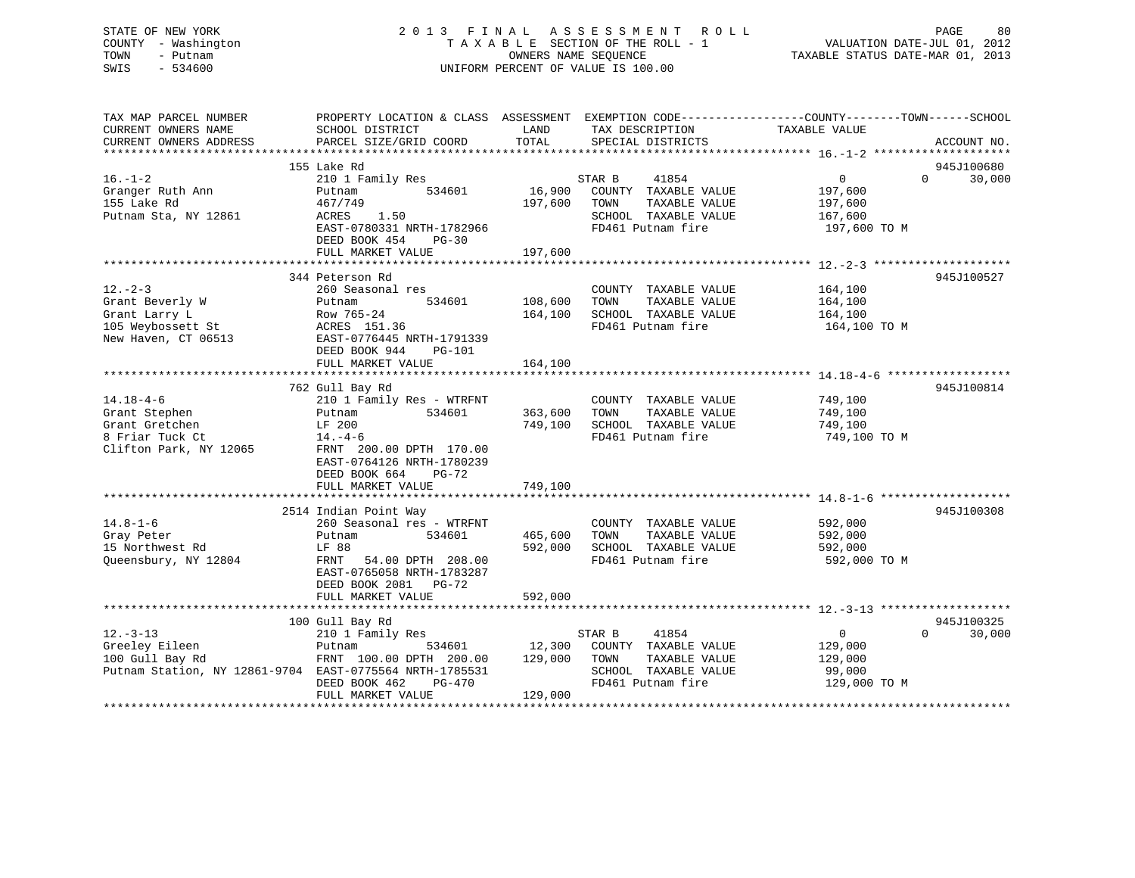# STATE OF NEW YORK 2 0 1 3 F I N A L A S S E S S M E N T R O L L PAGE 80COUNTY - Washington  $T A X A B L E$  SECTION OF THE ROLL - 1<br>TOWN - Putnam data of the COUNTERS NAME SEQUENCE SWIS - 534600 UNIFORM PERCENT OF VALUE IS 100.00

VALUATION DATE-JUL 01, 2012

TAXABLE STATUS DATE-MAR 01, 2013

| TAX MAP PARCEL NUMBER<br>CURRENT OWNERS NAME<br>CURRENT OWNERS ADDRESS | PROPERTY LOCATION & CLASS ASSESSMENT<br>SCHOOL DISTRICT<br>PARCEL SIZE/GRID COORD | LAND<br>TOTAL | TAX DESCRIPTION<br>SPECIAL DISTRICTS | EXEMPTION CODE-----------------COUNTY-------TOWN------SCHOOL<br>TAXABLE VALUE | ACCOUNT NO.        |
|------------------------------------------------------------------------|-----------------------------------------------------------------------------------|---------------|--------------------------------------|-------------------------------------------------------------------------------|--------------------|
|                                                                        |                                                                                   |               |                                      |                                                                               |                    |
|                                                                        | 155 Lake Rd                                                                       |               |                                      |                                                                               | 945J100680         |
| $16. - 1 - 2$                                                          | 210 1 Family Res                                                                  |               | 41854<br>STAR B                      | $\overline{0}$                                                                | 30,000<br>$\Omega$ |
| Granger Ruth Ann                                                       | 534601<br>Putnam                                                                  | 16,900        | COUNTY TAXABLE VALUE                 | 197,600                                                                       |                    |
| 155 Lake Rd                                                            | 467/749                                                                           | 197,600       | TAXABLE VALUE<br>TOWN                | 197,600                                                                       |                    |
| Putnam Sta, NY 12861                                                   | ACRES<br>1.50                                                                     |               | SCHOOL TAXABLE VALUE                 | 167,600                                                                       |                    |
|                                                                        | EAST-0780331 NRTH-1782966                                                         |               | FD461 Putnam fire                    | 197,600 TO M                                                                  |                    |
|                                                                        | DEED BOOK 454<br>$PG-30$                                                          |               |                                      |                                                                               |                    |
|                                                                        | FULL MARKET VALUE                                                                 | 197,600       |                                      |                                                                               |                    |
|                                                                        |                                                                                   |               |                                      |                                                                               |                    |
|                                                                        | 344 Peterson Rd                                                                   |               |                                      |                                                                               | 945J100527         |
| $12. - 2 - 3$                                                          | 260 Seasonal res                                                                  |               | COUNTY TAXABLE VALUE                 | 164,100                                                                       |                    |
| Grant Beverly W                                                        | 534601<br>Putnam                                                                  | 108,600       | TOWN<br>TAXABLE VALUE                | 164,100                                                                       |                    |
| Grant Larry L                                                          | Row 765-24                                                                        | 164,100       | SCHOOL TAXABLE VALUE                 | 164,100                                                                       |                    |
| 105 Weybossett St                                                      | ACRES 151.36                                                                      |               | FD461 Putnam fire                    | 164,100 TO M                                                                  |                    |
| New Haven, CT 06513                                                    | EAST-0776445 NRTH-1791339                                                         |               |                                      |                                                                               |                    |
|                                                                        | DEED BOOK 944<br>$PG-101$                                                         |               |                                      |                                                                               |                    |
|                                                                        | FULL MARKET VALUE                                                                 | 164,100       |                                      |                                                                               |                    |
|                                                                        |                                                                                   |               |                                      |                                                                               |                    |
|                                                                        | 762 Gull Bay Rd                                                                   |               |                                      |                                                                               | 945J100814         |
| $14.18 - 4 - 6$                                                        | 210 1 Family Res - WTRFNT                                                         |               | COUNTY TAXABLE VALUE                 | 749,100                                                                       |                    |
| Grant Stephen                                                          | 534601<br>Putnam                                                                  | 363,600       | TAXABLE VALUE<br>TOWN                | 749,100                                                                       |                    |
| Grant Gretchen                                                         | LF 200                                                                            | 749,100       | SCHOOL TAXABLE VALUE                 | 749,100                                                                       |                    |
| 8 Friar Tuck Ct                                                        | $14. -4-6$                                                                        |               | FD461 Putnam fire                    | 749,100 TO M                                                                  |                    |
| Clifton Park, NY 12065                                                 | FRNT 200.00 DPTH 170.00                                                           |               |                                      |                                                                               |                    |
|                                                                        | EAST-0764126 NRTH-1780239                                                         |               |                                      |                                                                               |                    |
|                                                                        | DEED BOOK 664<br>$PG-72$                                                          |               |                                      |                                                                               |                    |
|                                                                        | FULL MARKET VALUE                                                                 | 749,100       |                                      |                                                                               |                    |
|                                                                        |                                                                                   |               |                                      |                                                                               |                    |
|                                                                        | 2514 Indian Point Way                                                             |               |                                      |                                                                               | 945J100308         |
| $14.8 - 1 - 6$                                                         | 260 Seasonal res - WTRFNT                                                         |               | COUNTY TAXABLE VALUE                 | 592,000                                                                       |                    |
| Gray Peter                                                             | Putnam<br>534601                                                                  | 465,600       | TOWN<br>TAXABLE VALUE                | 592,000                                                                       |                    |
| 15 Northwest Rd                                                        | LF 88                                                                             | 592,000       | SCHOOL TAXABLE VALUE                 | 592,000                                                                       |                    |
| Queensbury, NY 12804                                                   | FRNT<br>54.00 DPTH 208.00                                                         |               | FD461 Putnam fire                    | 592,000 TO M                                                                  |                    |
|                                                                        | EAST-0765058 NRTH-1783287                                                         |               |                                      |                                                                               |                    |
|                                                                        | DEED BOOK 2081 PG-72                                                              |               |                                      |                                                                               |                    |
|                                                                        | FULL MARKET VALUE                                                                 | 592,000       |                                      |                                                                               |                    |
|                                                                        |                                                                                   |               |                                      |                                                                               |                    |
|                                                                        | 100 Gull Bay Rd                                                                   |               |                                      |                                                                               | 945J100325         |
| $12. - 3 - 13$                                                         | 210 1 Family Res                                                                  |               | STAR B<br>41854                      | 0                                                                             | $\Omega$<br>30,000 |
| Greeley Eileen                                                         | Putnam<br>534601                                                                  | 12,300        | COUNTY TAXABLE VALUE                 | 129,000                                                                       |                    |
| 100 Gull Bay Rd                                                        | FRNT 100.00 DPTH 200.00                                                           | 129,000       | TOWN<br>TAXABLE VALUE                | 129,000                                                                       |                    |
| Putnam Station, NY 12861-9704 EAST-0775564 NRTH-1785531                |                                                                                   |               | SCHOOL TAXABLE VALUE                 | 99,000                                                                        |                    |
|                                                                        | DEED BOOK 462<br>$PG-470$                                                         |               | FD461 Putnam fire                    | 129,000 TO M                                                                  |                    |
|                                                                        | FULL MARKET VALUE                                                                 | 129,000       |                                      |                                                                               |                    |
|                                                                        |                                                                                   |               |                                      |                                                                               |                    |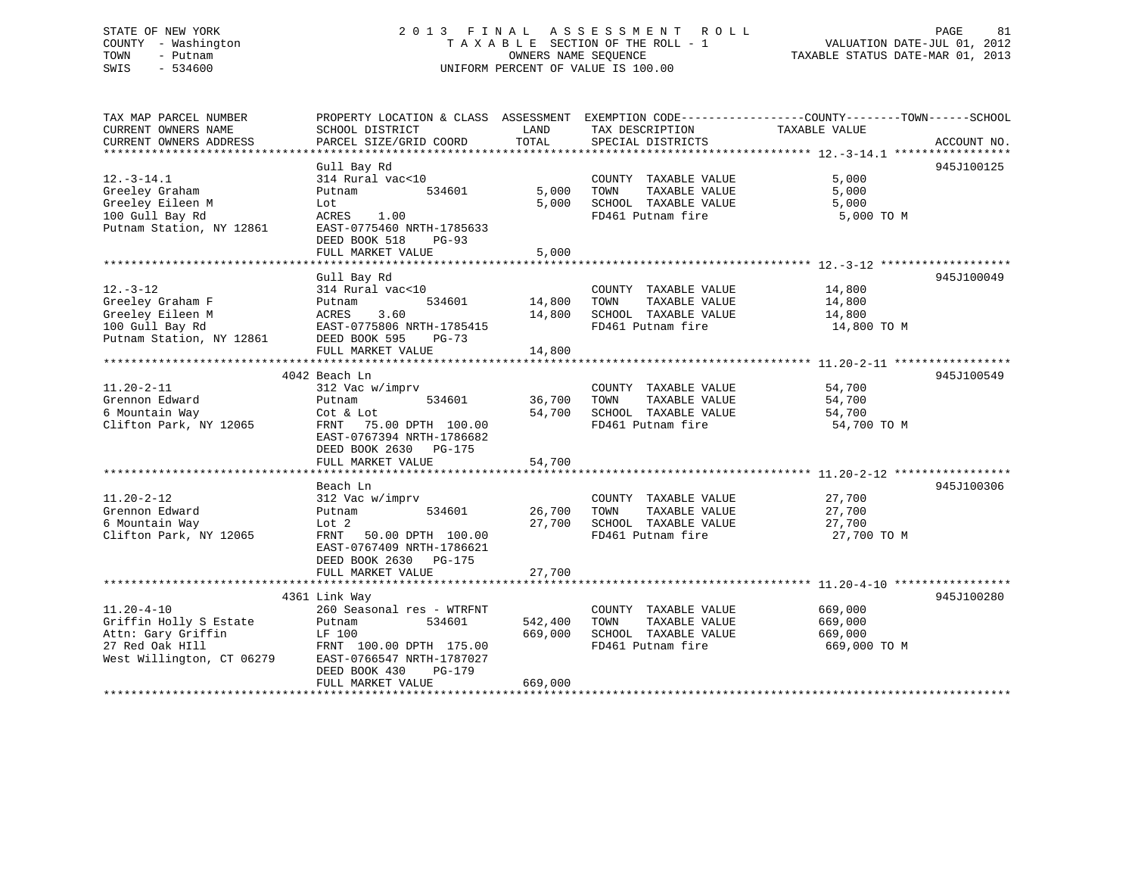## STATE OF NEW YORK 2 0 1 3 F I N A L A S S E S S M E N T R O L L PAGE 81 COUNTY - Washington T A X A B L E SECTION OF THE ROLL - 1 VALUATION DATE-JUL 01, 2012 TOWN - Putnam OWNERS NAME SEQUENCE TAXABLE STATUS DATE-MAR 01, 2013 SWIS - 534600 UNIFORM PERCENT OF VALUE IS 100.00

| TAX MAP PARCEL NUMBER<br>CURRENT OWNERS NAME<br>CURRENT OWNERS ADDRESS                                           | PROPERTY LOCATION & CLASS ASSESSMENT EXEMPTION CODE---------------COUNTY-------TOWN-----SCHOOL<br>SCHOOL DISTRICT<br>PARCEL SIZE/GRID COORD                                             | LAND<br>TOTAL                 | TAX DESCRIPTION<br>SPECIAL DISTRICTS                                                       | TAXABLE VALUE                                 | ACCOUNT NO. |
|------------------------------------------------------------------------------------------------------------------|-----------------------------------------------------------------------------------------------------------------------------------------------------------------------------------------|-------------------------------|--------------------------------------------------------------------------------------------|-----------------------------------------------|-------------|
|                                                                                                                  |                                                                                                                                                                                         |                               |                                                                                            |                                               |             |
| $12.-3-14.1$<br>Greeley Graham<br>Greeley Eileen M<br>100 Gull Bay Rd<br>Putnam Station, NY 12861                | Gull Bay Rd<br>314 Rural vac<10<br>534601<br>Putnam<br>Lot<br>ACRES<br>1.00<br>EAST-0775460 NRTH-1785633<br>DEED BOOK 518<br>$PG-93$<br>FULL MARKET VALUE                               | 5,000<br>5,000<br>5,000       | COUNTY TAXABLE VALUE<br>TOWN<br>TAXABLE VALUE<br>SCHOOL TAXABLE VALUE<br>FD461 Putnam fire | 5,000<br>5,000<br>5,000<br>5,000 TO M         | 945J100125  |
| $12. - 3 - 12$<br>Greeley Graham F<br>Greeley Eileen M<br>100 Gull Bay Rd<br>Putnam Station, NY 12861            | Gull Bay Rd<br>314 Rural vac<10<br>534601<br>Putnam<br>ACRES<br>3.60<br>EAST-0775806 NRTH-1785415<br>DEED BOOK 595<br>PG-73<br>FULL MARKET VALUE                                        | 14,800<br>14,800<br>14,800    | COUNTY TAXABLE VALUE<br>TAXABLE VALUE<br>TOWN<br>SCHOOL TAXABLE VALUE<br>FD461 Putnam fire | 14,800<br>14,800<br>14,800<br>14,800 TO M     | 945J100049  |
| $11.20 - 2 - 11$<br>Grennon Edward<br>6 Mountain Way<br>Clifton Park, NY 12065                                   | 4042 Beach Ln<br>312 Vac w/imprv<br>534601<br>Putnam<br>Cot & Lot<br>FRNT 75.00 DPTH 100.00<br>EAST-0767394 NRTH-1786682<br>DEED BOOK 2630 PG-175<br>FULL MARKET VALUE                  | 36,700<br>54,700<br>54,700    | COUNTY TAXABLE VALUE<br>TAXABLE VALUE<br>TOWN<br>SCHOOL TAXABLE VALUE<br>FD461 Putnam fire | 54,700<br>54,700<br>54,700<br>54,700 TO M     | 945J100549  |
| $11.20 - 2 - 12$<br>Grennon Edward<br>6 Mountain Way<br>Clifton Park, NY 12065                                   | Beach Ln<br>312 Vac w/imprv<br>534601<br>Putnam<br>Lot 2<br>FRNT 50.00 DPTH 100.00<br>EAST-0767409 NRTH-1786621<br>DEED BOOK 2630 PG-175<br>FULL MARKET VALUE                           | 26,700<br>27,700<br>27,700    | COUNTY TAXABLE VALUE<br>TOWN<br>TAXABLE VALUE<br>SCHOOL TAXABLE VALUE<br>FD461 Putnam fire | 27,700<br>27,700<br>27,700<br>27,700 TO M     | 945J100306  |
| $11.20 - 4 - 10$<br>Griffin Holly S Estate<br>Attn: Gary Griffin<br>27 Red Oak HIll<br>West Willington, CT 06279 | 4361 Link Way<br>260 Seasonal res - WTRFNT<br>Putnam<br>534601<br>LF 100<br>FRNT 100.00 DPTH 175.00<br>EAST-0766547 NRTH-1787027<br>DEED BOOK 430<br><b>PG-179</b><br>FULL MARKET VALUE | 542,400<br>669,000<br>669,000 | COUNTY TAXABLE VALUE<br>TAXABLE VALUE<br>TOWN<br>SCHOOL TAXABLE VALUE<br>FD461 Putnam fire | 669,000<br>669,000<br>669,000<br>669,000 TO M | 945J100280  |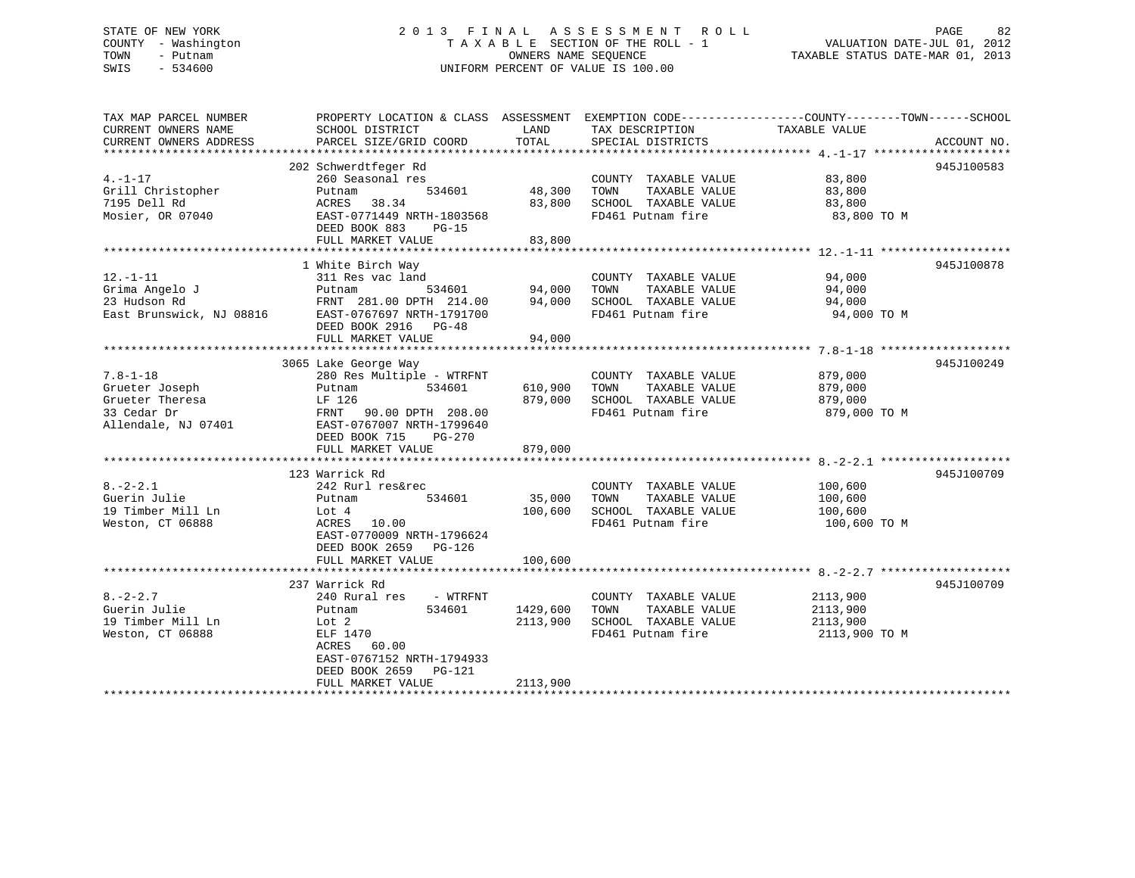## STATE OF NEW YORK 2 0 1 3 F I N A L A S S E S S M E N T R O L L PAGE 82 COUNTY - Washington T A X A B L E SECTION OF THE ROLL - 1 VALUATION DATE-JUL 01, 2012 TOWN - Putnam **CONNERS NAME SEQUENCE** TAXABLE STATUS DATE-MAR 01, 2013 SWIS - 534600 UNIFORM PERCENT OF VALUE IS 100.00

| TAX MAP PARCEL NUMBER<br>CURRENT OWNERS NAME<br>CURRENT OWNERS ADDRESS                    | PROPERTY LOCATION & CLASS ASSESSMENT EXEMPTION CODE---------------COUNTY-------TOWN-----SCHOOL<br>SCHOOL DISTRICT<br>PARCEL SIZE/GRID COORD                                                 | LAND<br><b>TOTAL</b>             | TAX DESCRIPTION<br>SPECIAL DISTRICTS                                                       | TAXABLE VALUE                                     | ACCOUNT NO. |
|-------------------------------------------------------------------------------------------|---------------------------------------------------------------------------------------------------------------------------------------------------------------------------------------------|----------------------------------|--------------------------------------------------------------------------------------------|---------------------------------------------------|-------------|
| $4. -1 - 17$<br>Grill Christopher<br>7195 Dell Rd<br>Mosier, OR 07040                     | 202 Schwerdtfeger Rd<br>260 Seasonal res<br>534601<br>Putnam<br>38.34<br>ACRES<br>EAST-0771449 NRTH-1803568<br>DEED BOOK 883<br>$PG-15$<br>FULL MARKET VALUE                                | 48,300<br>83,800<br>83,800       | COUNTY TAXABLE VALUE<br>TOWN<br>TAXABLE VALUE<br>SCHOOL TAXABLE VALUE<br>FD461 Putnam fire | 83,800<br>83,800<br>83,800<br>83,800 TO M         | 945J100583  |
| $12. - 1 - 11$<br>Grima Angelo J<br>23 Hudson Rd<br>East Brunswick, NJ 08816              | 1 White Birch Way<br>311 Res vac land<br>Putnam<br>534601<br>FRNT 281.00 DPTH 214.00<br>EAST-0767697 NRTH-1791700<br>DEED BOOK 2916 PG-48<br>FULL MARKET VALUE                              | 94,000<br>94,000<br>94,000       | COUNTY TAXABLE VALUE<br>TAXABLE VALUE<br>TOWN<br>SCHOOL TAXABLE VALUE<br>FD461 Putnam fire | 94,000<br>94,000<br>94,000<br>94,000 TO M         | 945J100878  |
| $7.8 - 1 - 18$<br>Grueter Joseph<br>Grueter Theresa<br>33 Cedar Dr<br>Allendale, NJ 07401 | 3065 Lake George Way<br>280 Res Multiple - WTRFNT<br>534601<br>Putnam<br>LF 126<br>90.00 DPTH 208.00<br>FRNT<br>EAST-0767007 NRTH-1799640<br>DEED BOOK 715<br>$PG-270$<br>FULL MARKET VALUE | 610,900<br>879,000<br>879,000    | COUNTY TAXABLE VALUE<br>TAXABLE VALUE<br>TOWN<br>SCHOOL TAXABLE VALUE<br>FD461 Putnam fire | 879,000<br>879,000<br>879,000<br>879,000 TO M     | 945J100249  |
| $8. - 2 - 2.1$<br>Guerin Julie<br>19 Timber Mill Ln<br>Weston, CT 06888                   | 123 Warrick Rd<br>242 Rurl res&rec<br>534601<br>Putnam<br>Lot 4<br>ACRES<br>10.00<br>EAST-0770009 NRTH-1796624<br>DEED BOOK 2659<br>$PG-126$<br>FULL MARKET VALUE                           | 35,000<br>100,600<br>100,600     | COUNTY TAXABLE VALUE<br>TAXABLE VALUE<br>TOWN<br>SCHOOL TAXABLE VALUE<br>FD461 Putnam fire | 100,600<br>100,600<br>100,600<br>100,600 TO M     | 945J100709  |
| $8. - 2 - 2.7$<br>Guerin Julie<br>19 Timber Mill Ln<br>Weston, CT 06888                   | 237 Warrick Rd<br>240 Rural res<br>- WTRFNT<br>534601<br>Putnam<br>Lot 2<br>ELF 1470<br>ACRES<br>60.00<br>EAST-0767152 NRTH-1794933<br>DEED BOOK 2659<br>PG-121<br>FULL MARKET VALUE        | 1429,600<br>2113,900<br>2113,900 | COUNTY TAXABLE VALUE<br>TAXABLE VALUE<br>TOWN<br>SCHOOL TAXABLE VALUE<br>FD461 Putnam fire | 2113,900<br>2113,900<br>2113,900<br>2113,900 TO M | 945J100709  |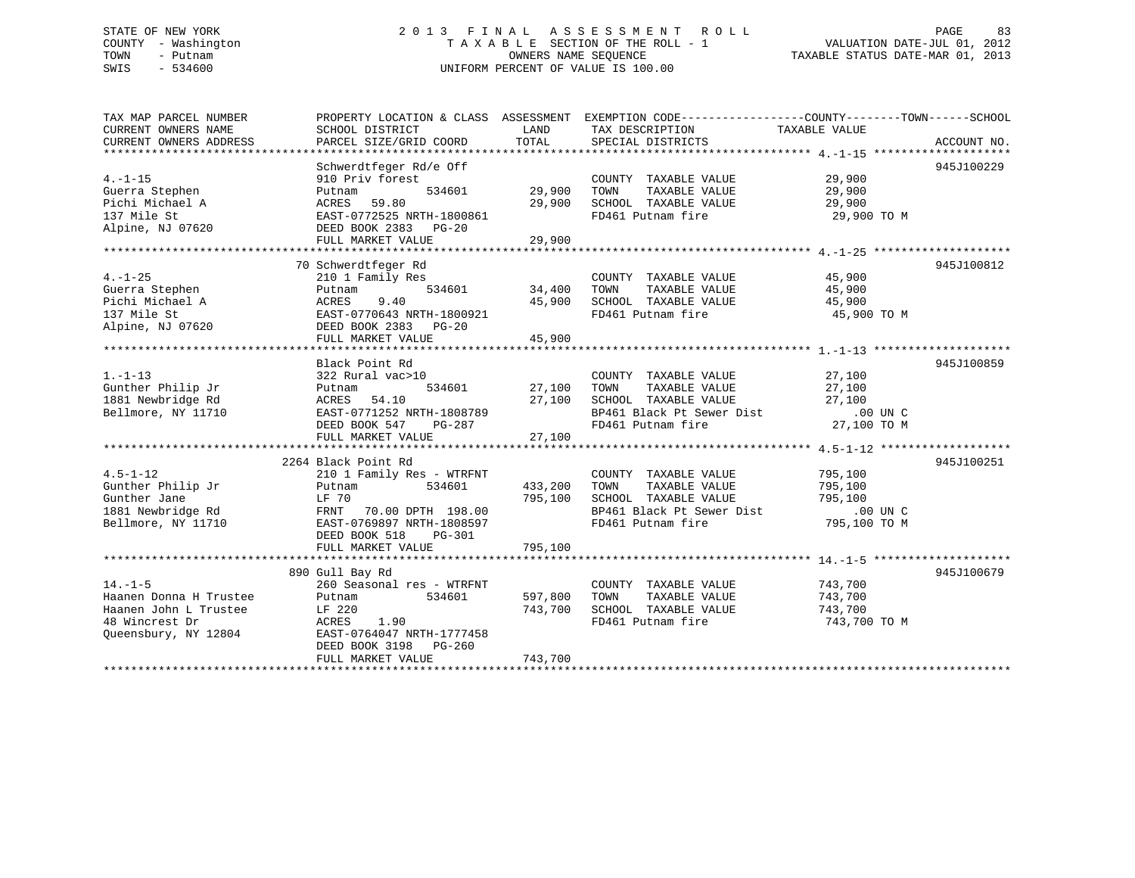## STATE OF NEW YORK 2 0 1 3 F I N A L A S S E S S M E N T R O L L PAGE 83 COUNTY - Washington T A X A B L E SECTION OF THE ROLL - 1 VALUATION DATE-JUL 01, 2012 TOWN - Putnam **CONNERS NAME SEQUENCE** TAXABLE STATUS DATE-MAR 01, 2013 SWIS - 534600 UNIFORM PERCENT OF VALUE IS 100.00

| TAX MAP PARCEL NUMBER                                                                                         | PROPERTY LOCATION & CLASS ASSESSMENT EXEMPTION CODE----------------COUNTY-------TOWN------SCHOOL |         |                                                                                                                            |                    |             |
|---------------------------------------------------------------------------------------------------------------|--------------------------------------------------------------------------------------------------|---------|----------------------------------------------------------------------------------------------------------------------------|--------------------|-------------|
| CURRENT OWNERS NAME                                                                                           | SCHOOL DISTRICT                                                                                  | LAND    | TAX DESCRIPTION TAXABLE VALUE                                                                                              |                    |             |
| CURRENT OWNERS ADDRESS                                                                                        | PARCEL SIZE/GRID COORD                                                                           | TOTAL   | SPECIAL DISTRICTS                                                                                                          |                    | ACCOUNT NO. |
|                                                                                                               |                                                                                                  |         |                                                                                                                            |                    |             |
|                                                                                                               | Schwerdtfeger Rd/e Off                                                                           |         |                                                                                                                            |                    | 945J100229  |
| $4. - 1 - 15$                                                                                                 | 910 Priv forest                                                                                  |         | COUNTY TAXABLE VALUE 19,900<br>TOWN TAXABLE VALUE 19,900                                                                   |                    |             |
| Guerra Stephen                                                                                                | 534601 29,900<br>Putnam                                                                          |         |                                                                                                                            |                    |             |
| Pichi Michael A                                                                                               | 59.80<br>ACRES                                                                                   | 29,900  | SCHOOL TAXABLE VALUE 29,900                                                                                                |                    |             |
| 137 Mile St                                                                                                   | EAST-0772525 NRTH-1800861                                                                        |         | FD461 Putnam fire                                                                                                          | 29,900 TO M        |             |
|                                                                                                               |                                                                                                  |         |                                                                                                                            |                    |             |
|                                                                                                               | FULL MARKET VALUE                                                                                | 29,900  |                                                                                                                            |                    |             |
|                                                                                                               |                                                                                                  |         |                                                                                                                            |                    |             |
|                                                                                                               | 70 Schwerdtfeger Rd                                                                              |         |                                                                                                                            |                    | 945J100812  |
| $4. -1 - 25$                                                                                                  | 210 1 Family Res                                                                                 |         |                                                                                                                            | 45,900             |             |
| Guerra Stephen                                                                                                | Putnam                                                                                           |         | COUNTY TAXABLE VALUE<br>TOWN      TAXABLE VALUE                                                                            | 45,900             |             |
|                                                                                                               |                                                                                                  | 45,900  | SCHOOL TAXABLE VALUE 45,900                                                                                                |                    |             |
|                                                                                                               | EAST-0770643 NRTH-1800921                                                                        |         | FD461 Putnam fire                                                                                                          | 45,900 TO M        |             |
| Pichi Michael A (ACRES 9.40<br>137 Mile St (BAST-0770643 NRTH-18009<br>Alpine, NJ 07620 (DEED BOOK 2383 PG-20 |                                                                                                  |         |                                                                                                                            |                    |             |
|                                                                                                               | FULL MARKET VALUE                                                                                | 45,900  |                                                                                                                            |                    |             |
|                                                                                                               |                                                                                                  |         |                                                                                                                            |                    |             |
|                                                                                                               | Black Point Rd                                                                                   |         |                                                                                                                            |                    | 945J100859  |
| $1. - 1 - 13$                                                                                                 | 322 Rural vac>10                                                                                 |         | COUNTY TAXABLE VALUE 27,100                                                                                                |                    |             |
| Gunther Philip Jr                                                                                             | Putnam<br>534601 27,100                                                                          |         |                                                                                                                            |                    |             |
|                                                                                                               |                                                                                                  | 27,100  | SCHOOL TAXABLE VALUE                                                                                                       | 27,100             |             |
| 1881 Newbridge Rd<br>Bellmore, NY 11710<br>EAST-0771252 N<br>EAST-0771252 N                                   |                                                                                                  |         |                                                                                                                            |                    |             |
|                                                                                                               | EAST-0771252 NRTH-1808789<br>DEED BOOK 547 PG-287                                                |         | BP461 Black Pt Sewer Dist 00 UN C<br>FD461 Putnam fire 27,100 TO M                                                         |                    |             |
|                                                                                                               |                                                                                                  |         |                                                                                                                            |                    |             |
|                                                                                                               |                                                                                                  |         |                                                                                                                            |                    |             |
|                                                                                                               | 2264 Black Point Rd                                                                              |         |                                                                                                                            |                    | 945J100251  |
| $4.5 - 1 - 12$                                                                                                |                                                                                                  |         |                                                                                                                            |                    |             |
|                                                                                                               | 210 1 Family Res - WTRFNT<br>Putnam 534601 433,20                                                | 433,200 | COUNTY TAXABLE VALUE                                                                                                       | 795,100<br>795,100 |             |
|                                                                                                               |                                                                                                  |         | TAXABLE VALUE<br>TOWN                                                                                                      |                    |             |
|                                                                                                               |                                                                                                  | 795,100 |                                                                                                                            |                    |             |
|                                                                                                               |                                                                                                  |         | CONN TAAABLE VALUE<br>SCHOOL TAXABLE VALUE 795,100<br>BP461 Black Pt Sewer Dist .00 UN C<br>FD461 Putnam fire 795,100 TO M |                    |             |
|                                                                                                               |                                                                                                  |         |                                                                                                                            |                    |             |
|                                                                                                               | DEED BOOK 518<br>PG-301                                                                          |         |                                                                                                                            |                    |             |
|                                                                                                               | FULL MARKET VALUE                                                                                | 795,100 |                                                                                                                            |                    |             |
|                                                                                                               |                                                                                                  |         |                                                                                                                            |                    |             |
|                                                                                                               | 890 Gull Bay Rd                                                                                  |         |                                                                                                                            |                    | 945J100679  |
| $14. - 1 - 5$                                                                                                 | 260 Seasonal res - WTRFNT                                                                        |         | COUNTY TAXABLE VALUE 743,700                                                                                               |                    |             |
| Haanen Donna H Trustee                                                                                        | Putnam<br>534601                                                                                 | 597,800 | TOWN<br>TAXABLE VALUE                                                                                                      | 743,700            |             |
| Haanen John L Trustee                                                                                         | LF 220<br>ACRES 1.90                                                                             | 743,700 | SCHOOL TAXABLE VALUE                                                                                                       | 743,700            |             |
| 48 Wincrest Dr                                                                                                |                                                                                                  |         | FD461 Putnam fire                                                                                                          | 743,700 TO M       |             |
| Queensbury, NY 12804 EAST-0764047 NRTH-1777458                                                                |                                                                                                  |         |                                                                                                                            |                    |             |
|                                                                                                               | DEED BOOK 3198 PG-260                                                                            |         |                                                                                                                            |                    |             |
|                                                                                                               | FULL MARKET VALUE                                                                                | 743,700 |                                                                                                                            |                    |             |
|                                                                                                               |                                                                                                  |         |                                                                                                                            |                    |             |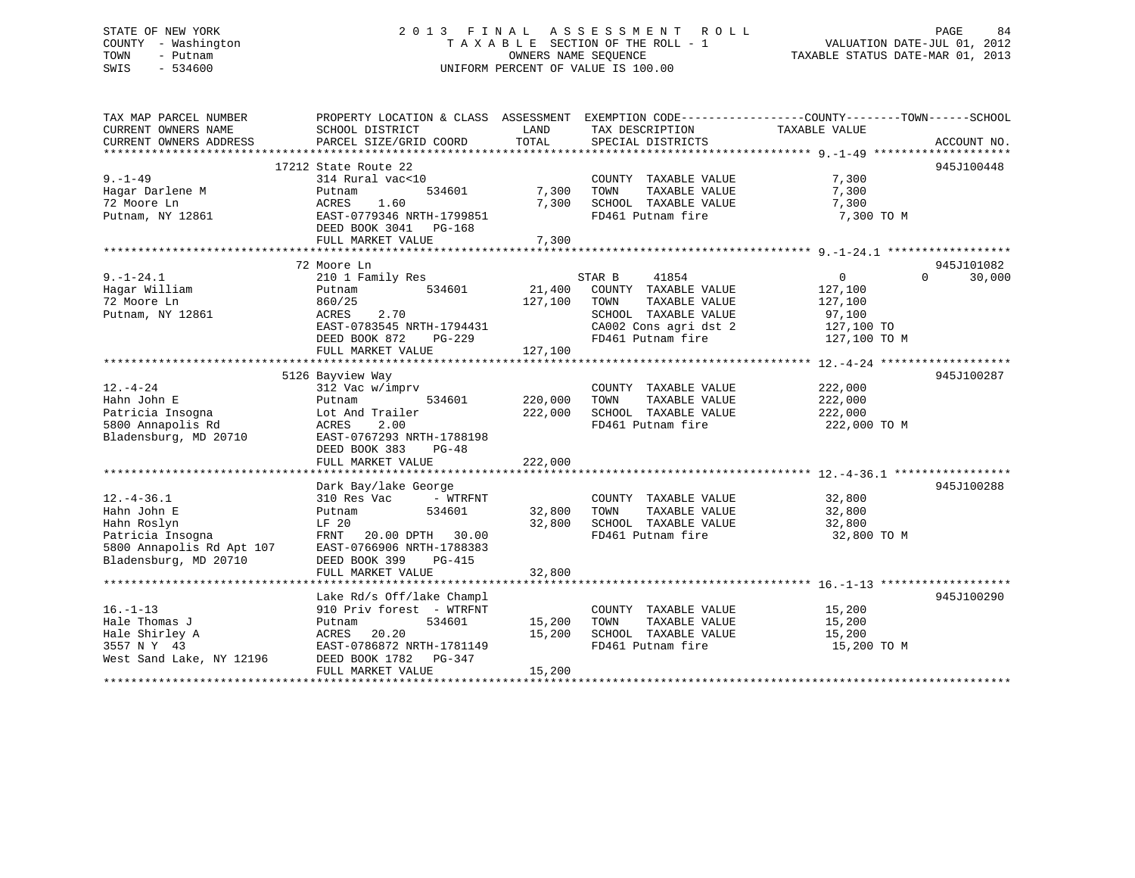## STATE OF NEW YORK 2 0 1 3 F I N A L A S S E S S M E N T R O L L PAGE 84 COUNTY - Washington T A X A B L E SECTION OF THE ROLL - 1 VALUATION DATE-JUL 01, 2012 TOWN - Putnam OWNERS NAME SEQUENCE TAXABLE STATUS DATE-MAR 01, 2013 SWIS - 534600 UNIFORM PERCENT OF VALUE IS 100.00

| TAX MAP PARCEL NUMBER<br>CURRENT OWNERS NAME                          | PROPERTY LOCATION & CLASS ASSESSMENT EXEMPTION CODE---------------COUNTY-------TOWN------SCHOOL<br>SCHOOL DISTRICT | LAND               | TAX DESCRIPTION                                       | TAXABLE VALUE |                    |
|-----------------------------------------------------------------------|--------------------------------------------------------------------------------------------------------------------|--------------------|-------------------------------------------------------|---------------|--------------------|
| CURRENT OWNERS ADDRESS                                                | PARCEL SIZE/GRID COORD                                                                                             | TOTAL              | SPECIAL DISTRICTS                                     |               | ACCOUNT NO.        |
|                                                                       | 17212 State Route 22                                                                                               |                    |                                                       |               | 945J100448         |
| $9. - 1 - 49$                                                         | 314 Rural vac<10                                                                                                   |                    | COUNTY TAXABLE VALUE                                  | 7,300         |                    |
| Hagar Darlene M                                                       | 534601<br>Putnam                                                                                                   | 7,300              | TAXABLE VALUE<br>TOWN                                 | 7,300         |                    |
| 72 Moore Ln                                                           | 1.60<br>ACRES                                                                                                      | 7,300              | SCHOOL TAXABLE VALUE                                  | 7,300         |                    |
| Putnam, NY 12861                                                      | EAST-0779346 NRTH-1799851                                                                                          |                    | FD461 Putnam fire                                     | 7,300 TO M    |                    |
|                                                                       | DEED BOOK 3041 PG-168                                                                                              |                    |                                                       |               |                    |
|                                                                       | FULL MARKET VALUE                                                                                                  | 7,300              |                                                       |               |                    |
|                                                                       |                                                                                                                    |                    |                                                       |               |                    |
|                                                                       | 72 Moore Ln                                                                                                        |                    |                                                       |               | 945J101082         |
| $9. - 1 - 24.1$                                                       | 210 1 Family Res                                                                                                   |                    | STAR B<br>41854                                       | 0             | $\Omega$<br>30,000 |
| Hagar William                                                         | 534601<br>Putnam                                                                                                   | 21,400             | COUNTY TAXABLE VALUE                                  | 127,100       |                    |
| 72 Moore Ln                                                           | 860/25                                                                                                             | 127,100            | TOWN<br>TAXABLE VALUE                                 | 127,100       |                    |
| Putnam, NY 12861                                                      | 2.70<br>ACRES                                                                                                      |                    | SCHOOL TAXABLE VALUE                                  | 97,100        |                    |
|                                                                       | EAST-0783545 NRTH-1794431                                                                                          |                    | CA002 Cons agri dst 2 127,100 TO                      |               |                    |
|                                                                       | DEED BOOK 872<br>PG-229                                                                                            |                    | FD461 Putnam fire                                     | 127,100 TO M  |                    |
|                                                                       | FULL MARKET VALUE                                                                                                  | 127,100            |                                                       |               |                    |
|                                                                       |                                                                                                                    |                    |                                                       |               |                    |
|                                                                       | 5126 Bayview Way                                                                                                   |                    |                                                       |               | 945J100287         |
| $12. - 4 - 24$                                                        | 312 Vac w/imprv                                                                                                    |                    | COUNTY TAXABLE VALUE                                  | 222,000       |                    |
| Hahn John E<br>Patricia Insogna                                       | 534601<br>Putnam<br>Lot And Trailer                                                                                | 220,000<br>222,000 | TAXABLE VALUE<br>TOWN<br>SCHOOL TAXABLE VALUE 222,000 | 222,000       |                    |
| 5800 Annapolis Rd                                                     | 2.00<br>ACRES                                                                                                      |                    | FD461 Putnam fire                                     | 222,000 TO M  |                    |
| Bladensburg, MD 20710                                                 | EAST-0767293 NRTH-1788198                                                                                          |                    |                                                       |               |                    |
|                                                                       | DEED BOOK 383<br>$PG-48$                                                                                           |                    |                                                       |               |                    |
|                                                                       | FULL MARKET VALUE                                                                                                  | 222,000            |                                                       |               |                    |
|                                                                       |                                                                                                                    |                    |                                                       |               |                    |
|                                                                       | Dark Bay/lake George                                                                                               |                    |                                                       |               | 945J100288         |
| $12. - 4 - 36.1$                                                      | 310 Res Vac<br>- WTRFNT                                                                                            |                    | COUNTY TAXABLE VALUE 32,800                           |               |                    |
| Hahn John E                                                           | 534601<br>Putnam                                                                                                   | 32,800             | TOWN<br>TAXABLE VALUE                                 | 32,800        |                    |
|                                                                       | LF 20                                                                                                              | 32,800             | SCHOOL TAXABLE VALUE<br>FD461 Putnam fire             | 32,800        |                    |
| Hahn Roslyn<br>Patricia Insogna<br>5800 Annapolis Rd Apt 107<br>10710 | FRNT 20.00 DPTH 30.00                                                                                              |                    |                                                       | 32,800 TO M   |                    |
|                                                                       | EAST-0766906 NRTH-1788383                                                                                          |                    |                                                       |               |                    |
|                                                                       | DEED BOOK 399<br><b>PG-415</b>                                                                                     |                    |                                                       |               |                    |
|                                                                       | FULL MARKET VALUE                                                                                                  | 32,800             |                                                       |               |                    |
|                                                                       |                                                                                                                    |                    |                                                       |               |                    |
|                                                                       | Lake Rd/s Off/lake Champl                                                                                          |                    |                                                       |               | 945J100290         |
| $16. - 1 - 13$                                                        | 910 Priv forest - WTRFNT                                                                                           |                    | COUNTY TAXABLE VALUE                                  | 15,200        |                    |
| Hale Thomas J                                                         | 534601<br>Putnam                                                                                                   | 15,200             | TOWN<br>TAXABLE VALUE                                 | 15,200        |                    |
| Hale Shirley A                                                        | 20.20<br>ACRES                                                                                                     | 15,200             | SCHOOL TAXABLE VALUE                                  | 15,200        |                    |
| 3557 N Y 43<br>West Sand Lake, NY 12196                               | EAST-0786872 NRTH-1781149<br>DEED BOOK 1782    PG-347                                                              |                    | FD461 Putnam fire                                     | 15,200 TO M   |                    |
|                                                                       | FULL MARKET VALUE                                                                                                  | 15,200             |                                                       |               |                    |
|                                                                       |                                                                                                                    |                    |                                                       |               |                    |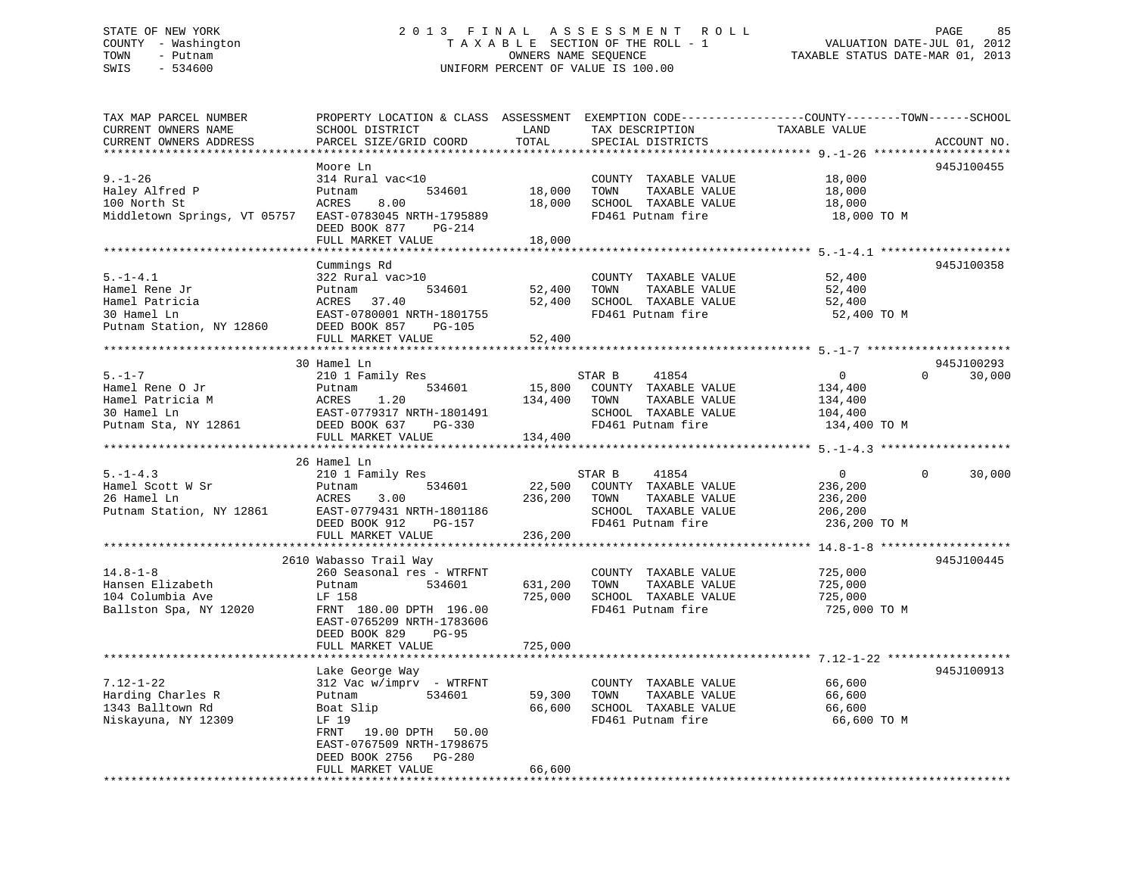## STATE OF NEW YORK 2 0 1 3 F I N A L A S S E S S M E N T R O L L PAGE 85 COUNTY - Washington T A X A B L E SECTION OF THE ROLL - 1 VALUATION DATE-JUL 01, 2012 TOWN - Putnam **CONNERS NAME SEQUENCE** TAXABLE STATUS DATE-MAR 01, 2013 SWIS - 534600 UNIFORM PERCENT OF VALUE IS 100.00

| TAX MAP PARCEL NUMBER        |                                               |         |                       | PROPERTY LOCATION & CLASS ASSESSMENT EXEMPTION CODE----------------COUNTY-------TOWN------SCHOOL |
|------------------------------|-----------------------------------------------|---------|-----------------------|--------------------------------------------------------------------------------------------------|
| CURRENT OWNERS NAME          | SCHOOL DISTRICT                               | LAND    | TAX DESCRIPTION       | TAXABLE VALUE                                                                                    |
| CURRENT OWNERS ADDRESS       | PARCEL SIZE/GRID COORD                        | TOTAL   | SPECIAL DISTRICTS     | ACCOUNT NO.                                                                                      |
|                              |                                               |         |                       |                                                                                                  |
|                              | Moore Ln                                      |         |                       | 945J100455                                                                                       |
| $9. - 1 - 26$                | 314 Rural vac<10                              |         | COUNTY TAXABLE VALUE  | 18,000                                                                                           |
| Haley Alfred P               | 534601<br>Putnam                              | 18,000  | TOWN<br>TAXABLE VALUE | 18,000                                                                                           |
| 100 North St                 | ACRES<br>8.00                                 | 18,000  | SCHOOL TAXABLE VALUE  | 18,000                                                                                           |
| Middletown Springs, VT 05757 | EAST-0783045 NRTH-1795889                     |         | FD461 Putnam fire     | 18,000 TO M                                                                                      |
|                              |                                               |         |                       |                                                                                                  |
|                              | DEED BOOK 877<br>PG-214                       |         |                       |                                                                                                  |
|                              | FULL MARKET VALUE                             | 18,000  |                       |                                                                                                  |
|                              |                                               |         |                       |                                                                                                  |
|                              | Cummings Rd                                   |         |                       | 945J100358                                                                                       |
| $5. - 1 - 4.1$               | 322 Rural vac>10                              |         | COUNTY TAXABLE VALUE  | 52,400                                                                                           |
| Hamel Rene Jr                | Putnam<br>534601                              | 52,400  | TOWN<br>TAXABLE VALUE | 52,400                                                                                           |
| Hamel Patricia               | ACRES<br>37.40                                | 52,400  | SCHOOL TAXABLE VALUE  | 52,400                                                                                           |
| 30 Hamel Ln                  | EAST-0780001 NRTH-1801755                     |         | FD461 Putnam fire     | 52,400 TO M                                                                                      |
| Putnam Station, NY 12860     | DEED BOOK 857<br>PG-105                       |         |                       |                                                                                                  |
|                              | FULL MARKET VALUE                             | 52,400  |                       |                                                                                                  |
|                              |                                               |         |                       |                                                                                                  |
|                              | 30 Hamel Ln                                   |         |                       | 945J100293                                                                                       |
| $5. - 1 - 7$                 | 210 1 Family Res                              |         | 41854<br>STAR B       | $\Omega$<br>$\overline{0}$<br>30,000                                                             |
| Hamel Rene O Jr              | 534601<br>Putnam                              | 15,800  | COUNTY TAXABLE VALUE  | 134,400                                                                                          |
| Hamel Patricia M             | ACRES<br>1.20                                 | 134,400 | TOWN<br>TAXABLE VALUE | 134,400                                                                                          |
|                              |                                               |         |                       |                                                                                                  |
| 30 Hamel Ln                  | EAST-0779317 NRTH-1801491                     |         | SCHOOL TAXABLE VALUE  | 104,400                                                                                          |
| Putnam Sta, NY 12861         | DEED BOOK 637<br>PG-330                       |         | FD461 Putnam fire     | 134,400 TO M                                                                                     |
|                              | FULL MARKET VALUE                             | 134,400 |                       |                                                                                                  |
|                              |                                               |         |                       |                                                                                                  |
|                              | 26 Hamel Ln                                   |         |                       |                                                                                                  |
| $5. - 1 - 4.3$               | 210 1 Family Res                              |         | STAR B<br>41854       | 30,000<br>$\overline{0}$<br>$\mathbf{0}$                                                         |
|                              |                                               |         |                       |                                                                                                  |
| Hamel Scott W Sr             | Putnam<br>534601                              | 22,500  | COUNTY TAXABLE VALUE  | 236,200                                                                                          |
| 26 Hamel Ln                  | ACRES<br>3.00                                 | 236,200 | TOWN<br>TAXABLE VALUE | 236,200                                                                                          |
| Putnam Station, NY 12861     | EAST-0779431 NRTH-1801186                     |         | SCHOOL TAXABLE VALUE  | 206,200                                                                                          |
|                              | DEED BOOK 912<br>PG-157                       |         | FD461 Putnam fire     | 236,200 TO M                                                                                     |
|                              | FULL MARKET VALUE                             | 236,200 |                       |                                                                                                  |
|                              |                                               |         |                       |                                                                                                  |
|                              | 2610 Wabasso Trail Way                        |         |                       | 945J100445                                                                                       |
|                              |                                               |         |                       |                                                                                                  |
| $14.8 - 1 - 8$               | 260 Seasonal res - WTRFNT                     |         | COUNTY TAXABLE VALUE  | 725,000                                                                                          |
| Hansen Elizabeth             | Putnam<br>534601                              | 631,200 | TAXABLE VALUE<br>TOWN | 725,000                                                                                          |
| 104 Columbia Ave             | LF 158                                        | 725,000 | SCHOOL TAXABLE VALUE  | 725,000                                                                                          |
| Ballston Spa, NY 12020       | FRNT 180.00 DPTH 196.00                       |         | FD461 Putnam fire     | 725,000 TO M                                                                                     |
|                              | EAST-0765209 NRTH-1783606                     |         |                       |                                                                                                  |
|                              | DEED BOOK 829<br>$PG-95$                      |         |                       |                                                                                                  |
|                              | FULL MARKET VALUE                             | 725,000 |                       |                                                                                                  |
|                              |                                               |         |                       |                                                                                                  |
|                              | Lake George Way                               |         |                       | 945J100913                                                                                       |
| $7.12 - 1 - 22$              | 312 Vac w/imprv - WTRFNT                      |         | COUNTY TAXABLE VALUE  | 66,600                                                                                           |
| Harding Charles R            | Putnam<br>534601                              | 59,300  | TOWN<br>TAXABLE VALUE | 66,600                                                                                           |
| 1343 Balltown Rd             | Boat Slip                                     | 66,600  | SCHOOL TAXABLE VALUE  | 66,600                                                                                           |
| Niskayuna, NY 12309          | LF 19                                         |         | FD461 Putnam fire     | 66,600 TO M                                                                                      |
|                              | FRNT 19.00 DPTH 50.00                         |         |                       |                                                                                                  |
|                              |                                               |         |                       |                                                                                                  |
|                              | EAST-0767509 NRTH-1798675                     |         |                       |                                                                                                  |
|                              | DEED BOOK 2756<br>PG-280<br>FULL MARKET VALUE | 66,600  |                       |                                                                                                  |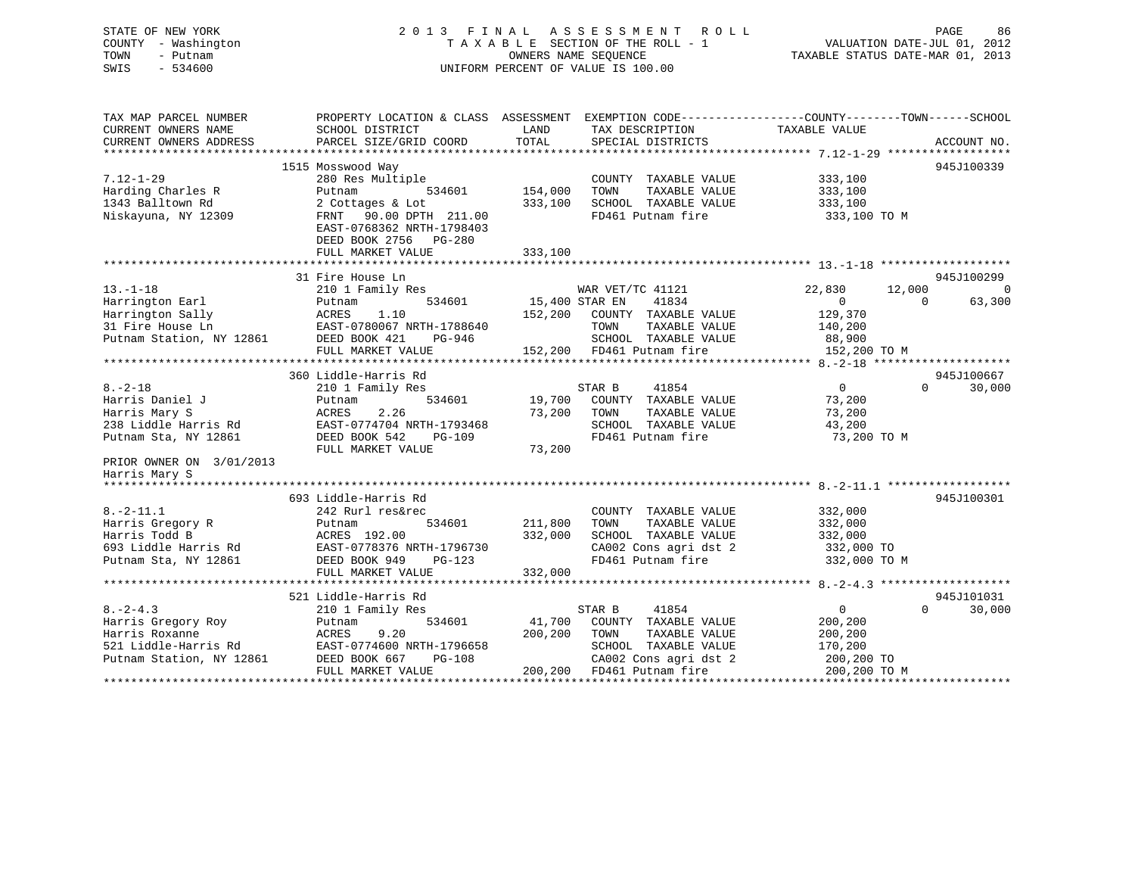## STATE OF NEW YORK 2 0 1 3 F I N A L A S S E S S M E N T R O L L PAGE 86 COUNTY - Washington T A X A B L E SECTION OF THE ROLL - 1 VALUATION DATE-JUL 01, 2012 TOWN - Putnam **CONNERS NAME SEQUENCE** TAXABLE STATUS DATE-MAR 01, 2013 SWIS - 534600 UNIFORM PERCENT OF VALUE IS 100.00

| TAX MAP PARCEL NUMBER<br>CURRENT OWNERS NAME<br>CURRENT OWNERS ADDRESS                                                                         | SCHOOL DISTRICT<br>PARCEL SIZE/GRID COORD                                                                                                                         | LAND<br>TOTAL                 | TAX DESCRIPTION TAXABLE VALUE<br>SPECIAL DISTRICTS                                                                                             | PROPERTY LOCATION & CLASS ASSESSMENT EXEMPTION CODE----------------COUNTY-------TOWN-----SCHOOL<br>ACCOUNT NO.                     |
|------------------------------------------------------------------------------------------------------------------------------------------------|-------------------------------------------------------------------------------------------------------------------------------------------------------------------|-------------------------------|------------------------------------------------------------------------------------------------------------------------------------------------|------------------------------------------------------------------------------------------------------------------------------------|
| $7.12 - 1 - 29$<br>Harding Charles R<br>1343 Balltown Rd<br>Niskayuna, NY 12309                                                                | 1515 Mosswood Way<br>280 Res Multiple<br>Putnam<br>534601<br>2 Cottages & Lot<br>FRNT 90.00 DPTH 211.00<br>EAST-0768362 NRTH-1798403<br>DEED BOOK 2756 PG-280     | 154,000<br>333,100            | COUNTY TAXABLE VALUE<br>TOWN<br>TAXABLE VALUE<br>SCHOOL TAXABLE VALUE<br>FD461 Putnam fire                                                     | 945J100339<br>333,100<br>333,100<br>333,100<br>333,100 TO M                                                                        |
|                                                                                                                                                | FULL MARKET VALUE                                                                                                                                                 | 333,100                       |                                                                                                                                                |                                                                                                                                    |
|                                                                                                                                                |                                                                                                                                                                   |                               |                                                                                                                                                |                                                                                                                                    |
| $13. - 1 - 18$<br>Harrington Earl<br>Harrington Sally<br>31 Fire House Ln<br>Putnam Station, NY 12861                                          | 31 Fire House Ln<br>210 1 Family Res<br>534601<br>Putnam<br>ACRES<br>1.10<br>EAST-0780067 NRTH-1788640<br>DEED BOOK 421<br>PG-946<br>FULL MARKET VALUE            | 15,400 STAR EN<br>152,200     | WAR VET/TC 41121<br>41834<br>COUNTY TAXABLE VALUE<br>TOWN<br>TAXABLE VALUE<br>SCHOOL TAXABLE VALUE<br>152,200 FD461 Putnam fire                | 945J100299<br>22,830<br>12,000<br>$\bigcirc$<br>63,300<br>$\mathbf{0}$<br>$\Omega$<br>129,370<br>140,200<br>88,900<br>152,200 TO M |
|                                                                                                                                                |                                                                                                                                                                   |                               |                                                                                                                                                |                                                                                                                                    |
|                                                                                                                                                | 360 Liddle-Harris Rd                                                                                                                                              |                               |                                                                                                                                                | 945J100667                                                                                                                         |
| $8. - 2 - 18$<br>Harris Daniel J<br>Harris Mary S<br>238 Liddle Harris Rd<br>Putnam Sta, NY 12861<br>PRIOR OWNER ON 3/01/2013<br>Harris Mary S | 210 1 Family Res<br>534601<br>Putnam<br>2.26<br>ACRES<br>EAST-0774704 NRTH-1793468<br>DEED BOOK 542<br><b>PG-109</b><br>FULL MARKET VALUE                         | 19,700<br>73,200<br>73,200    | 41854<br>STAR B<br>COUNTY TAXABLE VALUE<br>TOWN<br>TAXABLE VALUE<br>SCHOOL TAXABLE VALUE<br>FD461 Putnam fire                                  | $\overline{0}$<br>$\Omega$<br>30,000<br>73,200<br>73,200<br>43,200<br>73,200 TO M                                                  |
|                                                                                                                                                |                                                                                                                                                                   |                               |                                                                                                                                                |                                                                                                                                    |
| $8. - 2 - 11.1$<br>Harris Gregory R<br>Harris Todd B<br>693 Liddle Harris Rd<br>Putnam Sta, NY 12861                                           | 693 Liddle-Harris Rd<br>242 Rurl res&rec<br>534601<br>Putnam<br>ACRES 192.00<br>EAST-0778376 NRTH-1796730<br>DEED BOOK 949<br>$PG-123$<br>FULL MARKET VALUE       | 211,800<br>332,000<br>332,000 | COUNTY TAXABLE VALUE<br>TOWN<br>TAXABLE VALUE<br>SCHOOL TAXABLE VALUE<br>CA002 Cons agri dst 2<br>FD461 Putnam fire                            | 945J100301<br>332,000<br>332,000<br>332,000<br>332,000 TO<br>332,000 TO M                                                          |
|                                                                                                                                                |                                                                                                                                                                   |                               |                                                                                                                                                |                                                                                                                                    |
| $8. - 2 - 4.3$<br>Harris Gregory Roy<br>Harris Roxanne<br>521 Liddle-Harris Rd<br>Putnam Station, NY 12861                                     | 521 Liddle-Harris Rd<br>210 1 Family Res<br>534601<br>Putnam<br>ACRES<br>9.20<br>EAST-0774600 NRTH-1796658<br>DEED BOOK 667<br><b>PG-108</b><br>FULL MARKET VALUE | 41,700<br>200,200             | STAR B<br>41854<br>COUNTY TAXABLE VALUE<br>TOWN<br>TAXABLE VALUE<br>SCHOOL TAXABLE VALUE<br>CA002 Cons agri dst 2<br>200,200 FD461 Putnam fire | 945J101031<br>$\overline{0}$<br>$\Omega$<br>30,000<br>200,200<br>200,200<br>170,200<br>200,200 TO<br>200,200 TO M                  |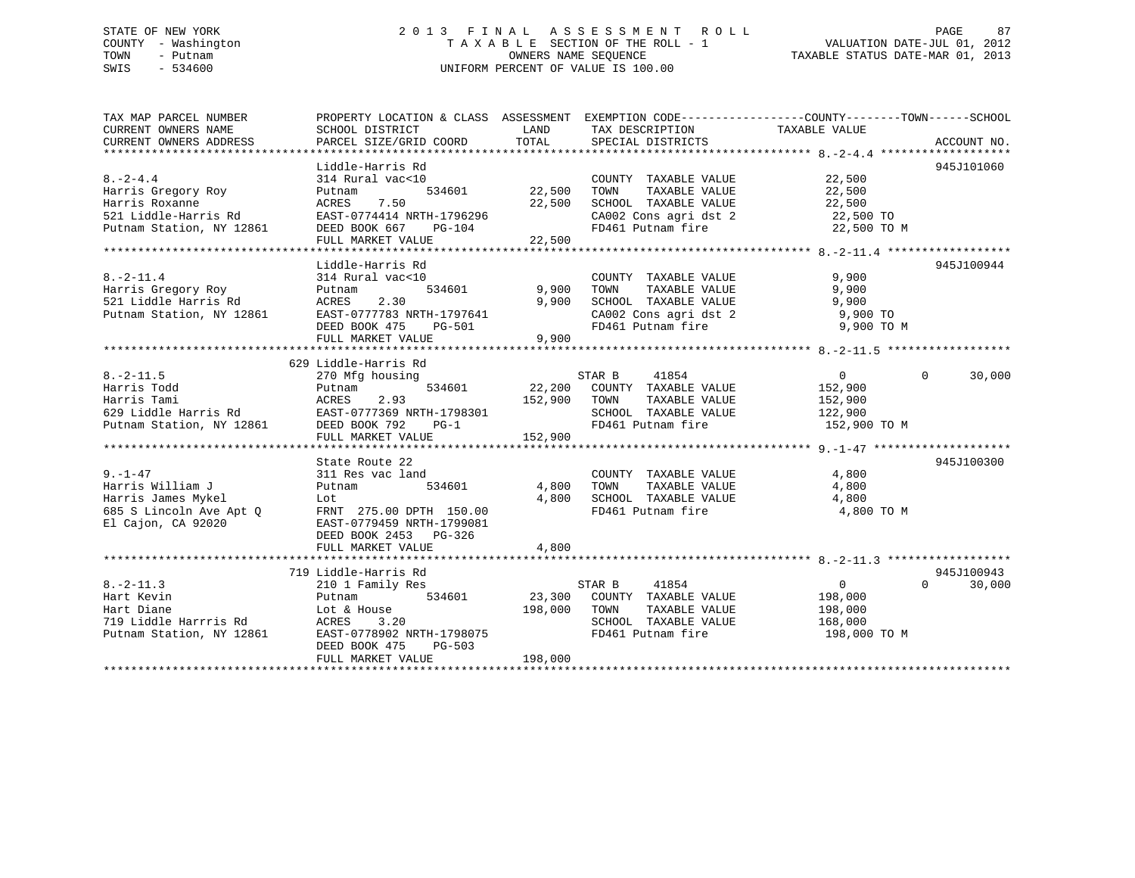## STATE OF NEW YORK 2 0 1 3 F I N A L A S S E S S M E N T R O L L PAGE 87 COUNTY - Washington T A X A B L E SECTION OF THE ROLL - 1 VALUATION DATE-JUL 01, 2012 TOWN - Putnam OWNERS NAME SEQUENCE TAXABLE STATUS DATE-MAR 01, 2013 SWIS - 534600 UNIFORM PERCENT OF VALUE IS 100.00

| TAX MAP PARCEL NUMBER                                                                                                                                                                                   | PROPERTY LOCATION & CLASS ASSESSMENT EXEMPTION CODE---------------COUNTY-------TOWN-----SCHOOL |         |                                                                                                                                                                |                       |                    |
|---------------------------------------------------------------------------------------------------------------------------------------------------------------------------------------------------------|------------------------------------------------------------------------------------------------|---------|----------------------------------------------------------------------------------------------------------------------------------------------------------------|-----------------------|--------------------|
| CURRENT OWNERS NAME                                                                                                                                                                                     | SCHOOL DISTRICT                                                                                |         | LAND TAX DESCRIPTION                                                                                                                                           | TAXABLE VALUE         |                    |
|                                                                                                                                                                                                         |                                                                                                |         |                                                                                                                                                                |                       |                    |
|                                                                                                                                                                                                         |                                                                                                |         |                                                                                                                                                                |                       |                    |
|                                                                                                                                                                                                         | Liddle-Harris Rd                                                                               |         |                                                                                                                                                                |                       | 945J101060         |
| $8. -2 - 4.4$                                                                                                                                                                                           | 314 Rural vac<10                                                                               |         | COUNTY TAXABLE VALUE $22,500$<br>TOWN TAXABLE VALUE $22,500$                                                                                                   |                       |                    |
|                                                                                                                                                                                                         |                                                                                                |         | TAXABLE VALUE                                                                                                                                                  | 22,500                |                    |
|                                                                                                                                                                                                         |                                                                                                |         | 22,500 SCHOOL TAXABLE VALUE 22,500                                                                                                                             |                       |                    |
|                                                                                                                                                                                                         |                                                                                                |         |                                                                                                                                                                |                       |                    |
| Harris Gregory Roy Futnam 534601 22,500<br>Harris Roxanne ACRES 7.50 22,500<br>521 Liddle-Harris Rd EAST-0774414 NRTH-1796296<br>Putnam Station, NY 12861 DEED BOOK 667 PG-104                          |                                                                                                |         | CA002 Cons agri dst 2 22,500 TO<br>FD461 Putnam fire 22,500 TO M                                                                                               |                       |                    |
|                                                                                                                                                                                                         | FULL MARKET VALUE                                                                              | 22,500  |                                                                                                                                                                |                       |                    |
|                                                                                                                                                                                                         |                                                                                                |         |                                                                                                                                                                |                       |                    |
|                                                                                                                                                                                                         | Liddle-Harris Rd                                                                               |         |                                                                                                                                                                |                       | 945J100944         |
|                                                                                                                                                                                                         |                                                                                                |         | COUNTY TAXABLE VALUE 9,900                                                                                                                                     |                       |                    |
|                                                                                                                                                                                                         |                                                                                                |         | $\begin{tabular}{lllllllllll} 9,900& {\tt TOWN} & {\tt TAXABLE VALUE} & & & & 9,900 \\ 9,900 & {\tt SCHOOL} & {\tt TAXABLE VALUE} & & & & 9,900 \end{tabular}$ |                       |                    |
|                                                                                                                                                                                                         |                                                                                                |         |                                                                                                                                                                |                       |                    |
|                                                                                                                                                                                                         |                                                                                                |         | CA002 Cons agri dst 2 $9,900$ TO                                                                                                                               |                       |                    |
|                                                                                                                                                                                                         |                                                                                                |         | FD461 Putnam fire                                                                                                                                              | 9,900 TO M            |                    |
| 8.-2-11.4<br>Harris Gregory Roy Putnam 534601 9,900<br>521 Liddle Harris Rd ACRES 2.30 9,900<br>Putnam Station, NY 12861 EAST-0777783 NRTH-1797641<br>DEED BOOK 475 PG-501<br>PUTNE VALUE 9,900         |                                                                                                |         |                                                                                                                                                                |                       |                    |
|                                                                                                                                                                                                         | 629 Liddle-Harris Rd                                                                           |         |                                                                                                                                                                |                       |                    |
| $8. -2 - 11.5$                                                                                                                                                                                          | 270 Mfg housing                                                                                |         | STAR B<br>41854                                                                                                                                                | $\overline{0}$        | $\Omega$<br>30,000 |
|                                                                                                                                                                                                         |                                                                                                |         |                                                                                                                                                                |                       |                    |
|                                                                                                                                                                                                         |                                                                                                |         | 534601 22,200 COUNTY TAXABLE VALUE<br>2.93 152,900 TOWN TAXABLE VALUE                                                                                          | 152,900<br>152,900    |                    |
|                                                                                                                                                                                                         |                                                                                                |         | SCHOOL TAXABLE VALUE 122,900                                                                                                                                   |                       |                    |
|                                                                                                                                                                                                         |                                                                                                |         | FD461 Putnam fire                                                                                                                                              | 152,900 TO M          |                    |
|                                                                                                                                                                                                         |                                                                                                |         |                                                                                                                                                                |                       |                    |
|                                                                                                                                                                                                         |                                                                                                |         |                                                                                                                                                                |                       |                    |
|                                                                                                                                                                                                         | State Route 22                                                                                 |         |                                                                                                                                                                |                       | 945J100300         |
| $9. - 1 - 47$                                                                                                                                                                                           | 311 Res vac land                                                                               |         | COUNTY TAXABLE VALUE 4,800                                                                                                                                     |                       |                    |
|                                                                                                                                                                                                         | 534601                                                                                         |         |                                                                                                                                                                |                       |                    |
|                                                                                                                                                                                                         |                                                                                                |         |                                                                                                                                                                |                       |                    |
|                                                                                                                                                                                                         |                                                                                                |         | 4,800 TOWN TAXABLE VALUE 4,800<br>4,800 SCHOOL TAXABLE VALUE 4,800<br>FD461 Putnam fire 4,800                                                                  | 4,800 TO M            |                    |
| Harris William J<br>Harris James Mykel<br>685 S Lincoln Ave Apt Q<br>El Cajon, CA 92020<br>El Cajon, CA 92020<br>EL Cajon, CA 92020<br>EL Cajon, CA 92020<br>CEED BOOK 2453<br>DEED BOOK 2453<br>PG-326 |                                                                                                |         |                                                                                                                                                                |                       |                    |
|                                                                                                                                                                                                         |                                                                                                |         |                                                                                                                                                                |                       |                    |
|                                                                                                                                                                                                         | FULL MARKET VALUE                                                                              | 4,800   |                                                                                                                                                                |                       |                    |
|                                                                                                                                                                                                         |                                                                                                |         |                                                                                                                                                                |                       |                    |
|                                                                                                                                                                                                         | 719 Liddle-Harris Rd                                                                           |         |                                                                                                                                                                |                       | 945J100943         |
| $8. -2 - 11.3$                                                                                                                                                                                          | 210 1 Family Res                                                                               |         | STAR B 41854                                                                                                                                                   | $\overline{0}$        | 30,000<br>$\Omega$ |
| Hart Kevin                                                                                                                                                                                              | 210 1 F<br>Putnam<br>534601                                                                    |         |                                                                                                                                                                | 198,000               |                    |
|                                                                                                                                                                                                         |                                                                                                |         | 23,300 COUNTY TAXABLE VALUE<br>198,000 TOWN TAXABLE VALUE                                                                                                      | TAXABLE VALUE 198,000 |                    |
|                                                                                                                                                                                                         |                                                                                                |         | SCHOOL TAXABLE VALUE                                                                                                                                           | 168,000               |                    |
| Hart Diane 198,000<br>Hart Diane 198,000<br>719 Liddle Harrris Rd 198,000<br>Putnam Station, NY 12861 EAST-0778902 NRTH-1798075                                                                         |                                                                                                |         | FD461 Putnam fire                                                                                                                                              | 198,000 TO M          |                    |
|                                                                                                                                                                                                         | PG-503<br>DEED BOOK 475                                                                        |         |                                                                                                                                                                |                       |                    |
|                                                                                                                                                                                                         | FULL MARKET VALUE                                                                              | 198,000 |                                                                                                                                                                |                       |                    |
|                                                                                                                                                                                                         |                                                                                                |         |                                                                                                                                                                |                       |                    |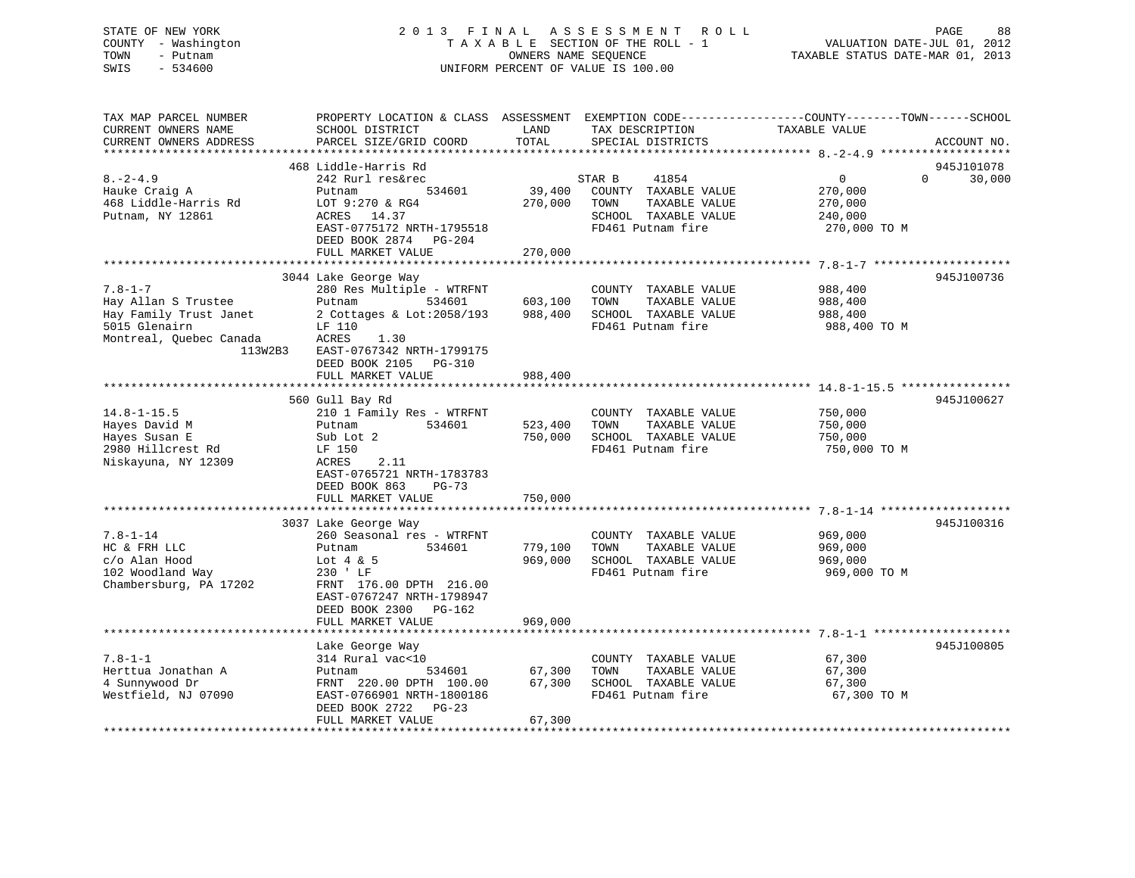## STATE OF NEW YORK 2 0 1 3 F I N A L A S S E S S M E N T R O L L PAGE 88 COUNTY - Washington T A X A B L E SECTION OF THE ROLL - 1 VALUATION DATE-JUL 01, 2012 TOWN - Putnam **CONNERS NAME SEQUENCE** TAXABLE STATUS DATE-MAR 01, 2013 SWIS - 534600 UNIFORM PERCENT OF VALUE IS 100.00

| TAX MAP PARCEL NUMBER<br>CURRENT OWNERS NAME<br>CURRENT OWNERS ADDRESS                                     | SCHOOL DISTRICT<br>PARCEL SIZE/GRID COORD                                                                                 | LAND<br>TOTAL      | TAX DESCRIPTION<br>SPECIAL DISTRICTS                                                       | PROPERTY LOCATION & CLASS ASSESSMENT EXEMPTION CODE----------------COUNTY-------TOWN-----SCHOOL<br>TAXABLE VALUE | ACCOUNT NO.          |
|------------------------------------------------------------------------------------------------------------|---------------------------------------------------------------------------------------------------------------------------|--------------------|--------------------------------------------------------------------------------------------|------------------------------------------------------------------------------------------------------------------|----------------------|
| **********************                                                                                     |                                                                                                                           |                    |                                                                                            |                                                                                                                  |                      |
| $8. - 2 - 4.9$                                                                                             | 468 Liddle-Harris Rd<br>242 Rurl res&rec<br>534601<br>Putnam                                                              | 39,400             | 41854<br>STAR B<br>COUNTY TAXABLE VALUE                                                    | 0<br>$\Omega$<br>270,000                                                                                         | 945J101078<br>30,000 |
| Hauke Craig A<br>468 Liddle-Harris Rd<br>Putnam, NY 12861                                                  | LOT 9:270 & RG4<br>ACRES 14.37<br>EAST-0775172 NRTH-1795518<br>DEED BOOK 2874<br>PG-204<br>FULL MARKET VALUE              | 270,000<br>270,000 | TAXABLE VALUE<br>TOWN<br>SCHOOL TAXABLE VALUE<br>FD461 Putnam fire                         | 270,000<br>240,000<br>270,000 TO M                                                                               |                      |
|                                                                                                            |                                                                                                                           |                    |                                                                                            |                                                                                                                  |                      |
|                                                                                                            | 3044 Lake George Way                                                                                                      |                    |                                                                                            |                                                                                                                  | 945J100736           |
| $7.8 - 1 - 7$<br>Hay Allan S Trustee<br>Hay Family Trust Janet<br>5015 Glenairn<br>Montreal, Ouebec Canada | 280 Res Multiple - WTRFNT<br>Putnam<br>534601<br>2 Cottages & Lot: $2058/193$<br>LF 110<br>ACRES<br>1.30                  | 603,100<br>988,400 | COUNTY TAXABLE VALUE<br>TOWN<br>TAXABLE VALUE<br>SCHOOL TAXABLE VALUE<br>FD461 Putnam fire | 988,400<br>988,400<br>988,400<br>988,400 TO M                                                                    |                      |
| 113W2B3                                                                                                    | EAST-0767342 NRTH-1799175<br>DEED BOOK 2105<br>PG-310<br>FULL MARKET VALUE                                                | 988,400            |                                                                                            |                                                                                                                  |                      |
|                                                                                                            | 560 Gull Bay Rd                                                                                                           |                    |                                                                                            |                                                                                                                  | 945J100627           |
| $14.8 - 1 - 15.5$<br>Hayes David M                                                                         | 210 1 Family Res - WTRFNT<br>534601<br>Putnam                                                                             | 523,400            | COUNTY TAXABLE VALUE<br>TOWN<br>TAXABLE VALUE                                              | 750,000<br>750,000                                                                                               |                      |
| Hayes Susan E<br>2980 Hillcrest Rd<br>Niskayuna, NY 12309                                                  | Sub Lot 2<br>LF 150<br>ACRES<br>2.11<br>EAST-0765721 NRTH-1783783<br>DEED BOOK 863<br>$PG-73$                             | 750,000            | SCHOOL TAXABLE VALUE<br>FD461 Putnam fire                                                  | 750,000<br>750,000 TO M                                                                                          |                      |
|                                                                                                            | FULL MARKET VALUE                                                                                                         | 750,000            |                                                                                            |                                                                                                                  |                      |
|                                                                                                            | 3037 Lake George Way                                                                                                      |                    |                                                                                            |                                                                                                                  | 945J100316           |
| $7.8 - 1 - 14$<br>HC & FRH LLC<br>c/o Alan Hood                                                            | 260 Seasonal res - WTRFNT<br>Putnam<br>534601<br>Lot $4 \& 5$                                                             | 779,100<br>969,000 | COUNTY TAXABLE VALUE<br>TAXABLE VALUE<br>TOWN<br>SCHOOL TAXABLE VALUE                      | 969,000<br>969,000<br>969,000                                                                                    |                      |
| 102 Woodland Way<br>Chambersburg, PA 17202                                                                 | 230 ' LF<br>FRNT 176.00 DPTH 216.00<br>EAST-0767247 NRTH-1798947<br>DEED BOOK 2300<br>PG-162<br>FULL MARKET VALUE         | 969,000            | FD461 Putnam fire                                                                          | 969,000 TO M                                                                                                     |                      |
|                                                                                                            |                                                                                                                           |                    |                                                                                            |                                                                                                                  |                      |
|                                                                                                            | Lake George Way                                                                                                           |                    |                                                                                            |                                                                                                                  | 945J100805           |
| $7.8 - 1 - 1$<br>Herttua Jonathan A<br>4 Sunnywood Dr<br>Westfield, NJ 07090                               | 314 Rural vac<10<br>534601<br>Putnam<br>FRNT 220.00 DPTH 100.00<br>EAST-0766901 NRTH-1800186<br>DEED BOOK 2722<br>$PG-23$ | 67,300<br>67,300   | COUNTY TAXABLE VALUE<br>TAXABLE VALUE<br>TOWN<br>SCHOOL TAXABLE VALUE<br>FD461 Putnam fire | 67,300<br>67,300<br>67,300<br>67,300 TO M                                                                        |                      |
|                                                                                                            | FULL MARKET VALUE                                                                                                         | 67,300             |                                                                                            |                                                                                                                  |                      |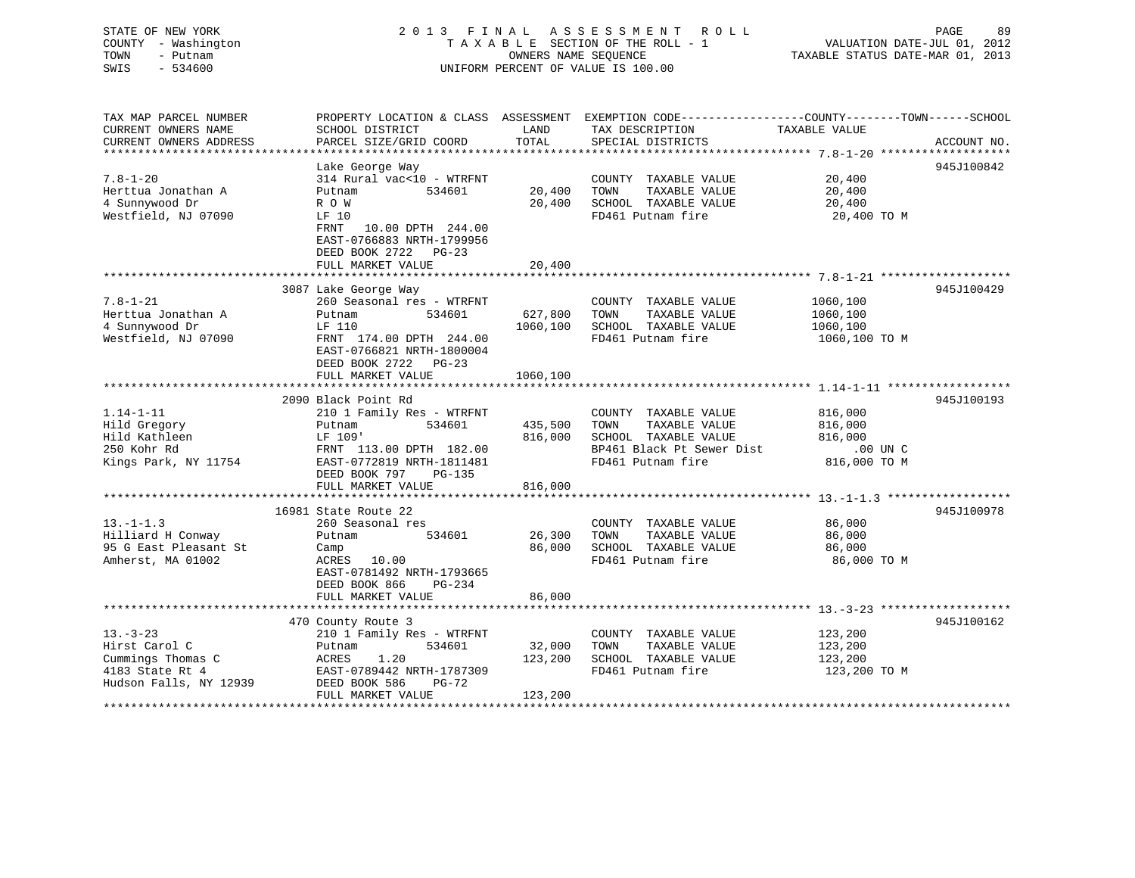# STATE OF NEW YORK 2 0 1 3 F I N A L A S S E S S M E N T R O L L PAGE 89COUNTY - Washington  $T A X A B L E$  SECTION OF THE ROLL - 1<br>TOWN - Putnam data of the COUNTERS NAME SEQUENCE SWIS - 534600 UNIFORM PERCENT OF VALUE IS 100.00

| TAX MAP PARCEL NUMBER  |                           |          | PROPERTY LOCATION & CLASS ASSESSMENT EXEMPTION CODE---------------COUNTY-------TOWN-----SCHOOL |               |             |
|------------------------|---------------------------|----------|------------------------------------------------------------------------------------------------|---------------|-------------|
| CURRENT OWNERS NAME    | SCHOOL DISTRICT           | LAND     | TAX DESCRIPTION                                                                                | TAXABLE VALUE |             |
| CURRENT OWNERS ADDRESS | PARCEL SIZE/GRID COORD    | TOTAL    | SPECIAL DISTRICTS                                                                              |               | ACCOUNT NO. |
|                        |                           |          |                                                                                                |               |             |
|                        | Lake George Way           |          |                                                                                                |               | 945J100842  |
| $7.8 - 1 - 20$         | 314 Rural vac<10 - WTRFNT |          | COUNTY TAXABLE VALUE                                                                           | 20,400        |             |
| Herttua Jonathan A     | 534601<br>Putnam          | 20,400   | TAXABLE VALUE<br>TOWN                                                                          | 20,400        |             |
| 4 Sunnywood Dr         | R O W                     | 20,400   | SCHOOL TAXABLE VALUE                                                                           | 20,400        |             |
| Westfield, NJ 07090    | LF 10                     |          | FD461 Putnam fire                                                                              | 20,400 TO M   |             |
|                        | FRNT<br>10.00 DPTH 244.00 |          |                                                                                                |               |             |
|                        | EAST-0766883 NRTH-1799956 |          |                                                                                                |               |             |
|                        | DEED BOOK 2722 PG-23      |          |                                                                                                |               |             |
|                        | FULL MARKET VALUE         | 20,400   |                                                                                                |               |             |
|                        |                           |          |                                                                                                |               |             |
|                        | 3087 Lake George Way      |          |                                                                                                |               | 945J100429  |
| $7.8 - 1 - 21$         | 260 Seasonal res - WTRFNT |          | COUNTY TAXABLE VALUE                                                                           | 1060,100      |             |
| Herttua Jonathan A     | Putnam<br>534601          | 627,800  | TAXABLE VALUE<br>TOWN                                                                          | 1060,100      |             |
| 4 Sunnywood Dr         | LF 110                    | 1060,100 | SCHOOL TAXABLE VALUE                                                                           | 1060,100      |             |
| Westfield, NJ 07090    | FRNT 174.00 DPTH 244.00   |          | FD461 Putnam fire                                                                              | 1060,100 TO M |             |
|                        | EAST-0766821 NRTH-1800004 |          |                                                                                                |               |             |
|                        | DEED BOOK 2722 PG-23      |          |                                                                                                |               |             |
|                        | FULL MARKET VALUE         | 1060,100 |                                                                                                |               |             |
|                        |                           |          |                                                                                                |               |             |
|                        | 2090 Black Point Rd       |          |                                                                                                |               | 945J100193  |
| $1.14 - 1 - 11$        | 210 1 Family Res - WTRFNT |          | COUNTY TAXABLE VALUE                                                                           | 816,000       |             |
| Hild Gregory           | 534601<br>Putnam          | 435,500  | TAXABLE VALUE<br>TOWN                                                                          | 816,000       |             |
| Hild Kathleen          | LF 109'                   | 816,000  | SCHOOL TAXABLE VALUE                                                                           | 816,000       |             |
| 250 Kohr Rd            | FRNT 113.00 DPTH 182.00   |          | BP461 Black Pt Sewer Dist                                                                      | .00 UN C      |             |
| Kings Park, NY 11754   | EAST-0772819 NRTH-1811481 |          | FD461 Putnam fire                                                                              | 816,000 TO M  |             |
|                        | DEED BOOK 797<br>PG-135   |          |                                                                                                |               |             |
|                        | FULL MARKET VALUE         | 816,000  |                                                                                                |               |             |
|                        |                           |          |                                                                                                |               |             |
|                        | 16981 State Route 22      |          |                                                                                                |               | 945J100978  |
| $13.-1-1.3$            | 260 Seasonal res          |          | COUNTY TAXABLE VALUE                                                                           | 86,000        |             |
| Hilliard H Conway      | 534601<br>Putnam          | 26,300   | TOWN<br>TAXABLE VALUE                                                                          | 86,000        |             |
| 95 G East Pleasant St  | Camp                      | 86,000   | SCHOOL TAXABLE VALUE                                                                           | 86,000        |             |
| Amherst, MA 01002      | ACRES 10.00               |          | FD461 Putnam fire                                                                              | 86,000 TO M   |             |
|                        | EAST-0781492 NRTH-1793665 |          |                                                                                                |               |             |
|                        |                           |          |                                                                                                |               |             |
|                        | DEED BOOK 866<br>PG-234   | 86,000   |                                                                                                |               |             |
|                        | FULL MARKET VALUE         |          |                                                                                                |               |             |
|                        |                           |          |                                                                                                |               | 945J100162  |
|                        | 470 County Route 3        |          |                                                                                                |               |             |
| $13. - 3 - 23$         | 210 1 Family Res - WTRFNT |          | COUNTY TAXABLE VALUE                                                                           | 123,200       |             |
| Hirst Carol C          | 534601<br>Putnam          | 32,000   | TAXABLE VALUE<br>TOWN                                                                          | 123,200       |             |
| Cummings Thomas C      | ACRES<br>1.20             | 123,200  | SCHOOL TAXABLE VALUE                                                                           | 123,200       |             |
| 4183 State Rt 4        | EAST-0789442 NRTH-1787309 |          | FD461 Putnam fire                                                                              | 123,200 TO M  |             |
| Hudson Falls, NY 12939 | DEED BOOK 586<br>PG-72    |          |                                                                                                |               |             |
|                        | FULL MARKET VALUE         | 123,200  |                                                                                                |               |             |
|                        |                           |          |                                                                                                |               |             |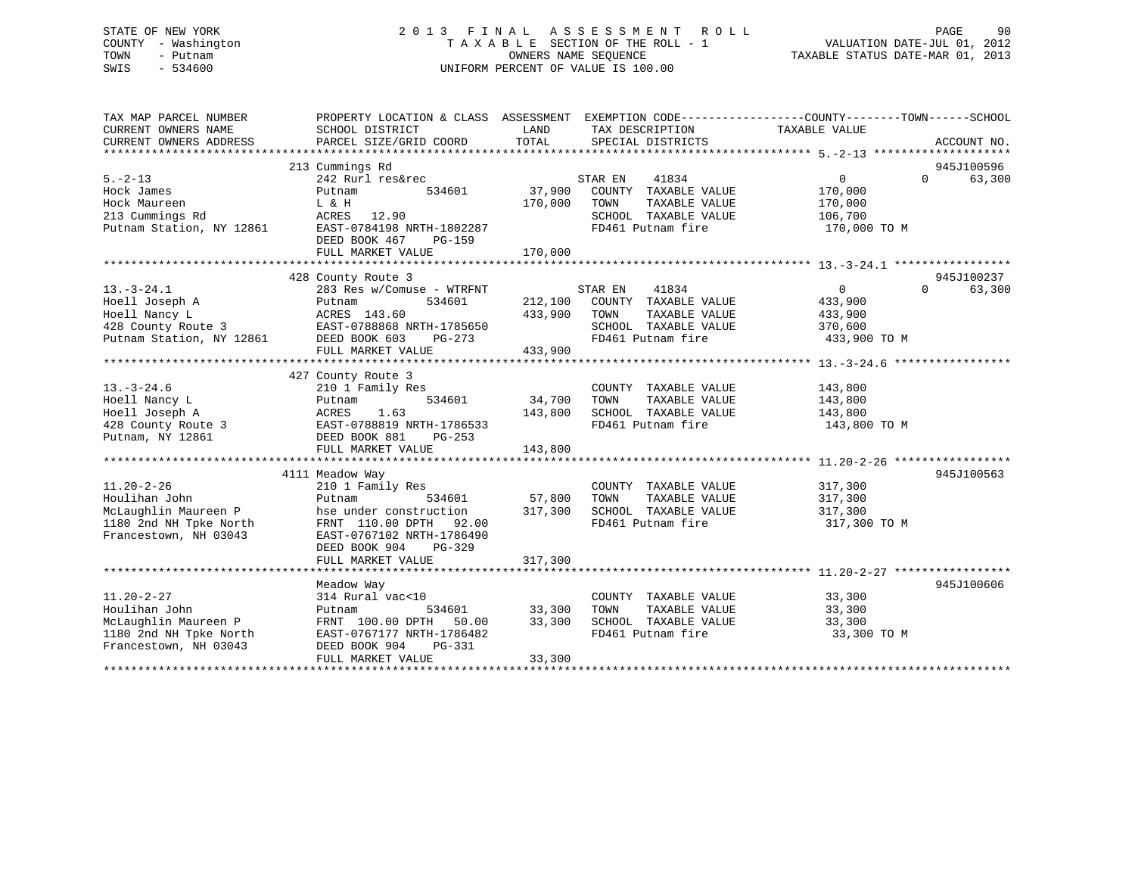## STATE OF NEW YORK 2 0 1 3 F I N A L A S S E S S M E N T R O L L PAGE 90 COUNTY - Washington T A X A B L E SECTION OF THE ROLL - 1 VALUATION DATE-JUL 01, 2012 TOWN - Putnam **CONNERS NAME SEQUENCE** TAXABLE STATUS DATE-MAR 01, 2013 SWIS - 534600 UNIFORM PERCENT OF VALUE IS 100.00

| TAX MAP PARCEL NUMBER<br>CURRENT OWNERS NAME<br>CURRENT OWNERS ADDRESS                                                                                                                                              | PROPERTY LOCATION & CLASS ASSESSMENT EXEMPTION CODE---------------COUNTY-------TOWN------SCHOOL<br>SCHOOL DISTRICT<br><b>EXAMPLE THE STATE OF STATE OF STATE</b><br>PARCEL SIZE/GRID COORD              | TOTAL                   | TAX DESCRIPTION TAXABLE VALUE SPECIAL DISTRICTS<br>SPECIAL DISTRICTS                                                                                                                                                                                  |                                                                               | ACCOUNT NO.                                   |
|---------------------------------------------------------------------------------------------------------------------------------------------------------------------------------------------------------------------|---------------------------------------------------------------------------------------------------------------------------------------------------------------------------------------------------------|-------------------------|-------------------------------------------------------------------------------------------------------------------------------------------------------------------------------------------------------------------------------------------------------|-------------------------------------------------------------------------------|-----------------------------------------------|
| $5. -2 - 13$<br>Hock James<br>170,000<br>213 Cummings Rd<br>213 Cummings Rd<br>213 Cummings Rd<br>213 Cummings Rd<br>213 Cummings Rd<br>212861<br>2285T-0784198 NRTH-1802287<br>27 DEED BOOK 467<br>27 Pd           | 213 Cummings Rd<br>242 Rurl res&rec<br>Putnam                                                                                                                                                           |                         | STAR EN<br>41834<br>$534601 \qquad 37,900 \qquad \text{COUNTY} \quad \text{TXABLE VALUE} \\ 170,000 \qquad \text{TOWN} \qquad \text{TAXABLE VALUE}$<br>SCHOOL TAXABLE VALUE 106,700<br>FD461 Putnam fire                                              | $\overline{0}$<br>170,000<br>170,000<br>170,000 TO M                          | 945J100596<br>$\Omega$ and $\Omega$<br>63,300 |
|                                                                                                                                                                                                                     |                                                                                                                                                                                                         |                         |                                                                                                                                                                                                                                                       |                                                                               |                                               |
|                                                                                                                                                                                                                     |                                                                                                                                                                                                         |                         |                                                                                                                                                                                                                                                       |                                                                               |                                               |
| $13. - 3 - 24.1$<br>Hoell Joseph A<br>Hoell Nancy L<br>Hoell Nancy L<br>433,900<br>428 County Route 3<br>EAST-0788868 NRTH-1785650<br>Putnam Station, NY 12861<br>DEED BOOK 603 PG-273                              | 428 County Route 3<br>283 Res w/Comuse - WTRFNT STAR EN 41834<br>Putnam 534601 212,100 COUNTY TAXABLE VALUE<br>Putnam<br>FULL MARKET VALUE                                                              | 433,900 TOWN<br>433,900 | SCHOOL TAXABLE VALUE<br>FD461 Putnam fire<br>FD461 Putnam fire                                                                                                                                                                                        | $\overline{0}$<br>433,900<br>TAXABLE VALUE 433,900<br>370,600<br>433,900 TO M | 945J100237<br>$\Omega$<br>63,300              |
|                                                                                                                                                                                                                     |                                                                                                                                                                                                         |                         |                                                                                                                                                                                                                                                       |                                                                               |                                               |
| $13. - 3 - 24.6$<br>13.-3-24.6 210 1 Family Res<br>Hoell Nancy L Putnam 534601 34,700<br>Hoell Joseph A ACRES 1.63 143,800<br>428 County Route 3 EAST-0788819 NRTH-1786533<br>Putnam, NY 12861 DEED BOOK 881 PG-253 | 427 County Route 3<br>210 1 Family Res<br>$534601$ $34,700$<br>1.63 $143,800$                                                                                                                           |                         | COUNTY TAXABLE VALUE<br>TOWN<br>TAXABLE VALUE<br>SCHOOL TAXABLE VALUE 143,800<br>FD461 Putnam fire                                                                                                                                                    | 143,800<br>143,800<br>143,800 TO M                                            |                                               |
|                                                                                                                                                                                                                     |                                                                                                                                                                                                         |                         |                                                                                                                                                                                                                                                       |                                                                               |                                               |
| $11.20 - 2 - 26$<br>Houlihan John<br>Houllhan John<br>McLaughlin Maureen P<br>1100011<br>1180 2nd NH Tpke North<br>Francestown, NH 03043                                                                            | 4111 Meadow Way<br>210 1 Family Res<br>Putnam 534601 57,800<br>Putnam 534001 57,000<br>hse under construction 317,300<br>FRNT 110.00 DPTH 92.00<br>EAST-0767102 NRTH-1786490<br>DEED BOOK 904<br>PG-329 |                         | COUNTY TAXABLE VALUE 317,300<br>$\begin{tabular}{lllllllllll} \textsc{TOWN} & \textsc{TXABLE} & \textsc{VALUE} & & 317\,,300 \\ \textsc{SCHOOL} & \textsc{TAXABLE} & \textsc{VALUE} & & 317\,,300 \\ \end{tabular}$<br>FD461 Putnam fire 317,300 TO M |                                                                               | 945J100563                                    |
|                                                                                                                                                                                                                     |                                                                                                                                                                                                         |                         |                                                                                                                                                                                                                                                       |                                                                               |                                               |
| $11.20 - 2 - 27$                                                                                                                                                                                                    | meadow Way<br>314 Rural vac<10                                                                                                                                                                          |                         |                                                                                                                                                                                                                                                       |                                                                               | 945J100606                                    |
| Houlihan John<br>Houlihan Jonn<br>McLaughlin Maureen P<br>1180 2nd NH Tpke North<br>NH 03043                                                                                                                        | 534601 33,300<br>Putnam<br>FRNT 100.00 DPTH 50.00 33,300<br>EAST-0767177 NRTH-1786482<br>DEED BOOK 904<br>PG-331<br>FULL MARKET VALUE                                                                   | 33,300                  | COUNTY TAXABLE VALUE 33,300<br>TOWN TAXABLE VALUE 33,300<br>TOWN<br>SCHOOL TAXABLE VALUE 33,300<br>FD461 Putnam fire                                                                                                                                  | 33,300 TO M                                                                   |                                               |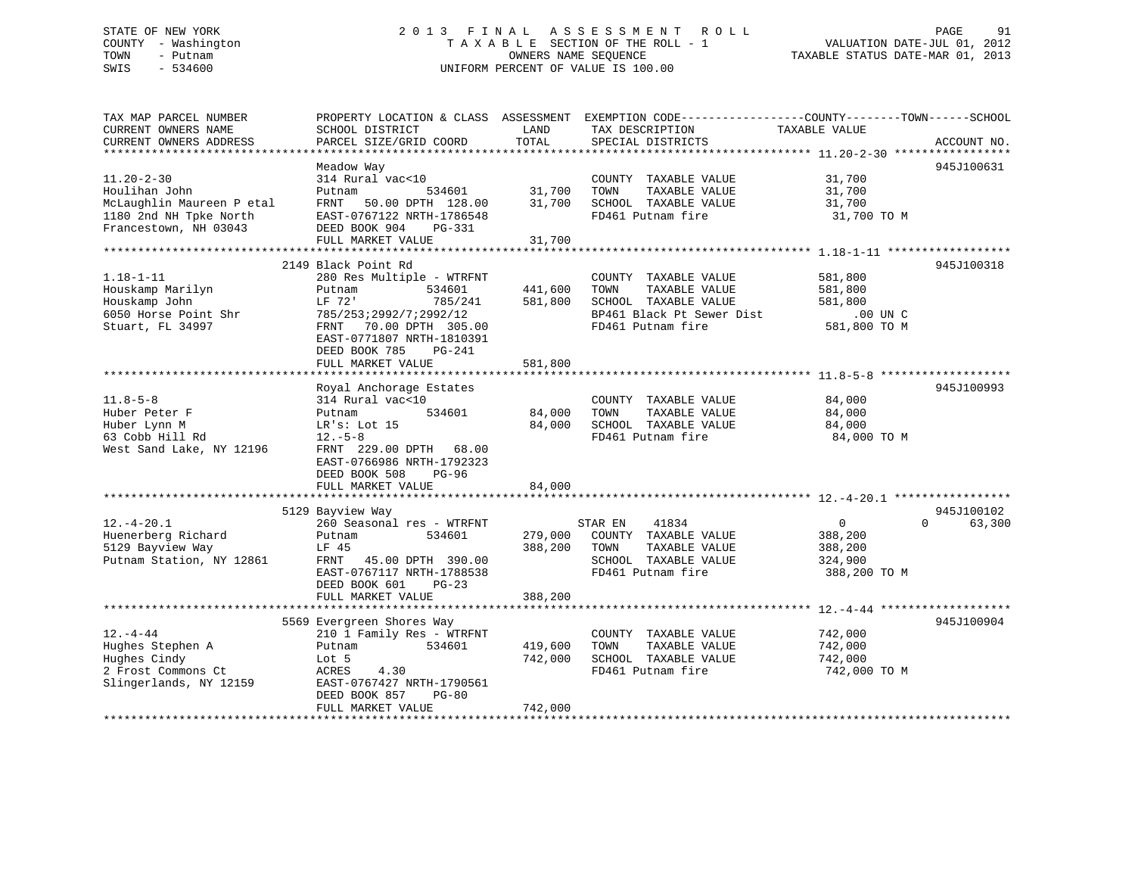## STATE OF NEW YORK 2 0 1 3 F I N A L A S S E S S M E N T R O L L PAGE 91 COUNTY - Washington T A X A B L E SECTION OF THE ROLL - 1 VALUATION DATE-JUL 01, 2012 TOWN - Putnam **CONNERS NAME SEQUENCE** TAXABLE STATUS DATE-MAR 01, 2013 SWIS - 534600 UNIFORM PERCENT OF VALUE IS 100.00

| TAX MAP PARCEL NUMBER<br>CURRENT OWNERS NAME<br>CURRENT OWNERS ADDRESS | PROPERTY LOCATION & CLASS ASSESSMENT<br>SCHOOL DISTRICT<br>PARCEL SIZE/GRID COORD | LAND<br>TOTAL | EXEMPTION CODE-----------------COUNTY-------TOWN------SCHOOL<br>TAX DESCRIPTION<br>SPECIAL DISTRICTS | TAXABLE VALUE           | ACCOUNT NO. |
|------------------------------------------------------------------------|-----------------------------------------------------------------------------------|---------------|------------------------------------------------------------------------------------------------------|-------------------------|-------------|
|                                                                        |                                                                                   |               |                                                                                                      |                         |             |
| $11.20 - 2 - 30$                                                       | Meadow Way<br>314 Rural vac<10                                                    |               | COUNTY TAXABLE VALUE                                                                                 | 31,700                  | 945J100631  |
| Houlihan John                                                          | Putnam<br>534601                                                                  | 31,700        | TOWN<br>TAXABLE VALUE                                                                                | 31,700                  |             |
| McLaughlin Maureen P etal                                              | FRNT<br>50.00 DPTH 128.00                                                         | 31,700        | SCHOOL TAXABLE VALUE                                                                                 | 31,700                  |             |
| 1180 2nd NH Tpke North                                                 | EAST-0767122 NRTH-1786548                                                         |               | FD461 Putnam fire                                                                                    | 31,700 TO M             |             |
| Francestown, NH 03043                                                  | DEED BOOK 904<br><b>PG-331</b>                                                    |               |                                                                                                      |                         |             |
|                                                                        | FULL MARKET VALUE                                                                 | 31,700        |                                                                                                      |                         |             |
|                                                                        |                                                                                   |               |                                                                                                      |                         |             |
|                                                                        | 2149 Black Point Rd                                                               |               |                                                                                                      |                         | 945J100318  |
| $1.18 - 1 - 11$                                                        | 280 Res Multiple - WTRFNT                                                         |               | COUNTY TAXABLE VALUE                                                                                 | 581,800                 |             |
| Houskamp Marilyn                                                       | 534601<br>Putnam                                                                  | 441,600       | TOWN<br>TAXABLE VALUE                                                                                | 581,800                 |             |
| Houskamp John                                                          | LF 72'<br>785/241                                                                 | 581,800       | SCHOOL TAXABLE VALUE                                                                                 | 581,800                 |             |
| 6050 Horse Point Shr                                                   | 785/253;2992/7;2992/12                                                            |               | BP461 Black Pt Sewer Dist                                                                            | $.00$ UN C              |             |
| Stuart, FL 34997                                                       | 70.00 DPTH 305.00<br>FRNT                                                         |               | FD461 Putnam fire                                                                                    | 581,800 TO M            |             |
|                                                                        | EAST-0771807 NRTH-1810391                                                         |               |                                                                                                      |                         |             |
|                                                                        | DEED BOOK 785<br>$PG-241$                                                         |               |                                                                                                      |                         |             |
|                                                                        | FULL MARKET VALUE                                                                 | 581,800       |                                                                                                      |                         |             |
|                                                                        | Royal Anchorage Estates                                                           |               |                                                                                                      |                         | 945J100993  |
| $11.8 - 5 - 8$                                                         | 314 Rural vac<10                                                                  |               | COUNTY TAXABLE VALUE                                                                                 | 84,000                  |             |
| Huber Peter F                                                          | 534601<br>Putnam                                                                  | 84,000        | TOWN<br>TAXABLE VALUE                                                                                | 84,000                  |             |
| Huber Lynn M                                                           | LR's: Lot 15                                                                      | 84,000        | SCHOOL TAXABLE VALUE                                                                                 | 84,000                  |             |
| 63 Cobb Hill Rd                                                        | $12.-5-8$                                                                         |               | FD461 Putnam fire                                                                                    | 84,000 TO M             |             |
| West Sand Lake, NY 12196                                               | FRNT 229.00 DPTH<br>68.00                                                         |               |                                                                                                      |                         |             |
|                                                                        | EAST-0766986 NRTH-1792323                                                         |               |                                                                                                      |                         |             |
|                                                                        | DEED BOOK 508<br>$PG-96$                                                          |               |                                                                                                      |                         |             |
|                                                                        | FULL MARKET VALUE                                                                 | 84,000        |                                                                                                      |                         |             |
|                                                                        |                                                                                   |               |                                                                                                      |                         |             |
|                                                                        | 5129 Bayview Way                                                                  |               |                                                                                                      |                         | 945J100102  |
| $12. - 4 - 20.1$                                                       | 260 Seasonal res - WTRFNT                                                         |               | 41834<br>STAR EN                                                                                     | $\mathbf 0$<br>$\Omega$ | 63,300      |
| Huenerberg Richard                                                     | 534601<br>Putnam                                                                  | 279,000       | COUNTY TAXABLE VALUE                                                                                 | 388,200                 |             |
| 5129 Bayview Way                                                       | LF 45                                                                             | 388,200       | TOWN<br>TAXABLE VALUE                                                                                | 388,200                 |             |
| Putnam Station, NY 12861                                               | 45.00 DPTH 390.00<br>FRNT                                                         |               | SCHOOL TAXABLE VALUE                                                                                 | 324,900                 |             |
|                                                                        | EAST-0767117 NRTH-1788538                                                         |               | FD461 Putnam fire                                                                                    | 388,200 TO M            |             |
|                                                                        | DEED BOOK 601<br>$PG-23$<br>FULL MARKET VALUE                                     | 388,200       |                                                                                                      |                         |             |
|                                                                        |                                                                                   |               |                                                                                                      |                         |             |
|                                                                        | 5569 Evergreen Shores Way                                                         |               |                                                                                                      |                         | 945J100904  |
| $12. - 4 - 44$                                                         | 210 1 Family Res - WTRFNT                                                         |               | COUNTY TAXABLE VALUE                                                                                 | 742,000                 |             |
| Hughes Stephen A                                                       | 534601<br>Putnam                                                                  | 419,600       | TOWN<br>TAXABLE VALUE                                                                                | 742,000                 |             |
| Hughes Cindy                                                           | Lot 5                                                                             | 742,000       | SCHOOL TAXABLE VALUE                                                                                 | 742,000                 |             |
| 2 Frost Commons Ct                                                     | 4.30<br>ACRES                                                                     |               | FD461 Putnam fire                                                                                    | 742,000 TO M            |             |
| Slingerlands, NY 12159                                                 | EAST-0767427 NRTH-1790561                                                         |               |                                                                                                      |                         |             |
|                                                                        | DEED BOOK 857<br>$PG-80$                                                          |               |                                                                                                      |                         |             |
|                                                                        | FULL MARKET VALUE                                                                 | 742,000       |                                                                                                      |                         |             |
|                                                                        |                                                                                   |               |                                                                                                      |                         |             |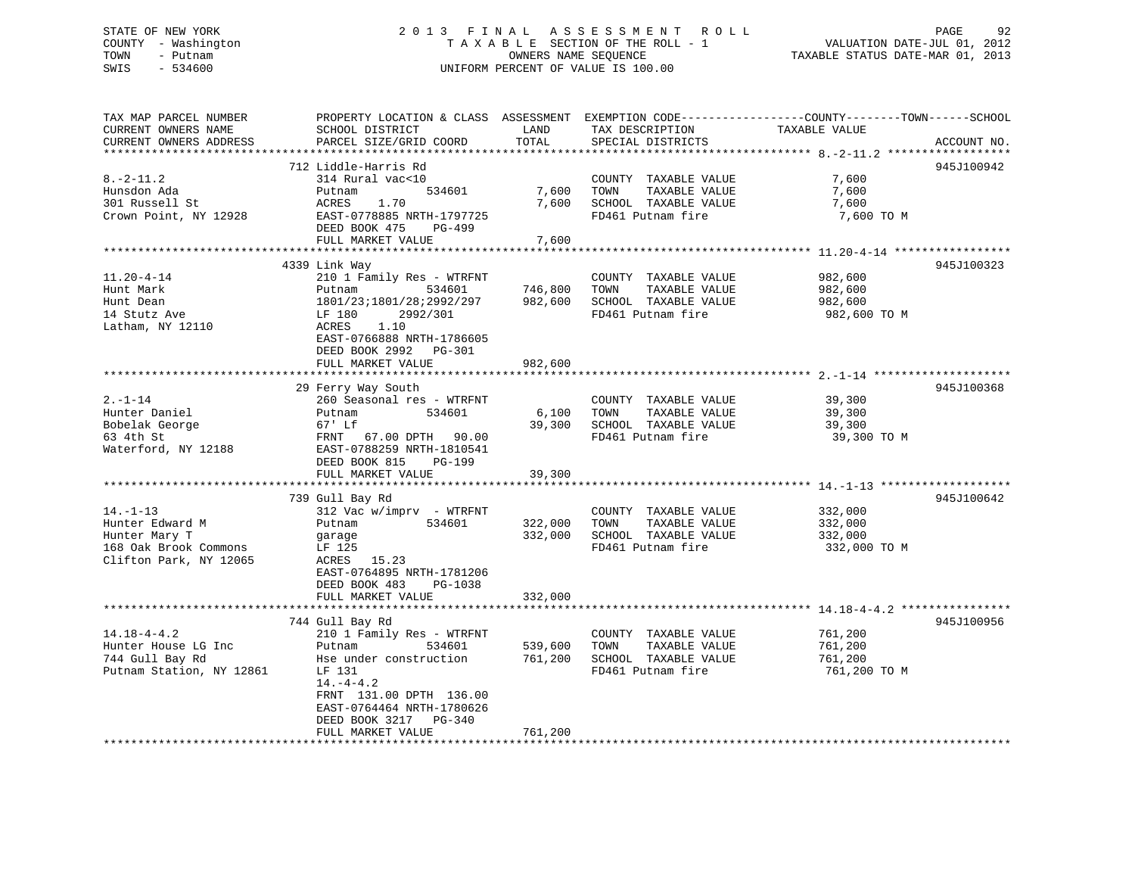## STATE OF NEW YORK 2 0 1 3 F I N A L A S S E S S M E N T R O L L PAGE 92 COUNTY - Washington T A X A B L E SECTION OF THE ROLL - 1 VALUATION DATE-JUL 01, 2012 TOWN - Putnam OWNERS NAME SEQUENCE TAXABLE STATUS DATE-MAR 01, 2013 SWIS - 534600 UNIFORM PERCENT OF VALUE IS 100.00

| TAX MAP PARCEL NUMBER<br>CURRENT OWNERS NAME | PROPERTY LOCATION & CLASS ASSESSMENT EXEMPTION CODE----------------COUNTY-------TOWN------SCHOOL<br>SCHOOL DISTRICT | LAND         | TAX DESCRIPTION                                       | TAXABLE VALUE           |             |
|----------------------------------------------|---------------------------------------------------------------------------------------------------------------------|--------------|-------------------------------------------------------|-------------------------|-------------|
| CURRENT OWNERS ADDRESS                       | PARCEL SIZE/GRID COORD                                                                                              | TOTAL        | SPECIAL DISTRICTS                                     |                         | ACCOUNT NO. |
|                                              |                                                                                                                     |              |                                                       |                         |             |
|                                              | 712 Liddle-Harris Rd                                                                                                |              |                                                       |                         | 945J100942  |
| $8. -2 - 11.2$                               | 314 Rural vac<10                                                                                                    |              | COUNTY TAXABLE VALUE                                  | 7,600                   |             |
| Hunsdon Ada                                  | ,<br>534601<br>Putnam                                                                                               |              | 7,600 TOWN<br>TAXABLE VALUE                           | 7,600                   |             |
| 301 Russell St                               | ACRES<br>1.70                                                                                                       | 7,600        | SCHOOL TAXABLE VALUE                                  | 7,600                   |             |
| Crown Point, NY 12928                        | EAST-0778885 NRTH-1797725                                                                                           |              | FD461 Putnam fire                                     | 7,600 TO M              |             |
|                                              | DEED BOOK 475<br>PG-499                                                                                             |              |                                                       |                         |             |
|                                              | FULL MARKET VALUE                                                                                                   | 7,600        |                                                       |                         |             |
|                                              |                                                                                                                     |              |                                                       |                         |             |
| $11.20 - 4 - 14$                             | 4339 Link Way<br>210 1 Family Res - WTRFNT                                                                          |              | COUNTY TAXABLE VALUE                                  | 982,600                 | 945J100323  |
| Hunt Mark                                    | 534601<br>Putnam                                                                                                    | 746,800 TOWN | TAXABLE VALUE                                         | 982,600                 |             |
| Hunt Dean                                    | 1801/23;1801/28;2992/297                                                                                            | 982,600      | SCHOOL TAXABLE VALUE                                  | 982,600                 |             |
|                                              | LF 180<br>2992/301                                                                                                  |              | FD461 Putnam fire                                     | 982,600 TO M            |             |
| 14 Stutz Ave<br>Latham, NY 12110             | ACRES<br>1.10                                                                                                       |              |                                                       |                         |             |
|                                              | EAST-0766888 NRTH-1786605                                                                                           |              |                                                       |                         |             |
|                                              | DEED BOOK 2992 PG-301                                                                                               |              |                                                       |                         |             |
|                                              | FULL MARKET VALUE                                                                                                   | 982,600      |                                                       |                         |             |
|                                              |                                                                                                                     |              |                                                       |                         |             |
|                                              | 29 Ferry Way South                                                                                                  |              |                                                       |                         | 945J100368  |
| $2. -1 - 14$                                 | 260 Seasonal res - WTRFNT                                                                                           |              | COUNTY TAXABLE VALUE                                  | 39,300                  |             |
| Hunter Daniel                                | 534601<br>Putnam                                                                                                    | 6,100 TOWN   | TAXABLE VALUE                                         | 39,300                  |             |
| Bobelak George                               | 67' Lf                                                                                                              | 39,300       | SCHOOL TAXABLE VALUE                                  | 39,300                  |             |
| 63 4th St                                    |                                                                                                                     |              | FD461 Putnam fire                                     | 39,300 TO M             |             |
| Waterford, NY 12188                          | EAST-0788259 NRTH-1810541                                                                                           |              |                                                       |                         |             |
|                                              | DEED BOOK 815<br><b>PG-199</b>                                                                                      |              |                                                       |                         |             |
|                                              | FULL MARKET VALUE                                                                                                   | 39,300       |                                                       |                         |             |
|                                              |                                                                                                                     |              |                                                       |                         |             |
| $14. - 1 - 13$                               | 739 Gull Bay Rd                                                                                                     |              |                                                       |                         | 945J100642  |
| Hunter Edward M                              | $312$ Vac w/imprv - WTRFNT<br>Putnam 534601                                                                         |              | COUNTY TAXABLE VALUE<br>322,000 TOWN<br>TAXABLE VALUE | 332,000<br>332,000      |             |
|                                              |                                                                                                                     |              | 332,000 SCHOOL TAXABLE VALUE                          |                         |             |
| Hunter Mary T<br>168 Oak Brook Commons       | garage<br>LF 125                                                                                                    |              | FD461 Putnam fire                                     | 332,000<br>332,000 TO M |             |
| Clifton Park, NY 12065                       | ACRES 15.23                                                                                                         |              |                                                       |                         |             |
|                                              | EAST-0764895 NRTH-1781206                                                                                           |              |                                                       |                         |             |
|                                              | DEED BOOK 483 PG-1038                                                                                               |              |                                                       |                         |             |
|                                              | FULL MARKET VALUE                                                                                                   | 332,000      |                                                       |                         |             |
|                                              |                                                                                                                     |              |                                                       |                         |             |
|                                              | 744 Gull Bay Rd                                                                                                     |              |                                                       |                         | 945J100956  |
| $14.18 - 4 - 4.2$                            | 210 1 Family Res - WTRFNT                                                                                           |              | COUNTY TAXABLE VALUE                                  | 761,200                 |             |
| Hunter House LG Inc                          | Putnam<br>534601                                                                                                    | 539,600      | TAXABLE VALUE<br>TOWN                                 | 761,200                 |             |
| 744 Gull Bay Rd                              | Hse under construction 761,200                                                                                      |              | SCHOOL TAXABLE VALUE                                  | 761,200                 |             |
| Putnam Station, NY 12861                     | LF 131                                                                                                              |              | FD461 Putnam fire                                     | 761,200 TO M            |             |
|                                              | $14. -4 - 4.2$                                                                                                      |              |                                                       |                         |             |
|                                              | FRNT 131.00 DPTH 136.00                                                                                             |              |                                                       |                         |             |
|                                              | EAST-0764464 NRTH-1780626                                                                                           |              |                                                       |                         |             |
|                                              | DEED BOOK 3217 PG-340                                                                                               |              |                                                       |                         |             |
|                                              | FULL MARKET VALUE                                                                                                   | 761,200      |                                                       |                         |             |
|                                              |                                                                                                                     |              |                                                       |                         |             |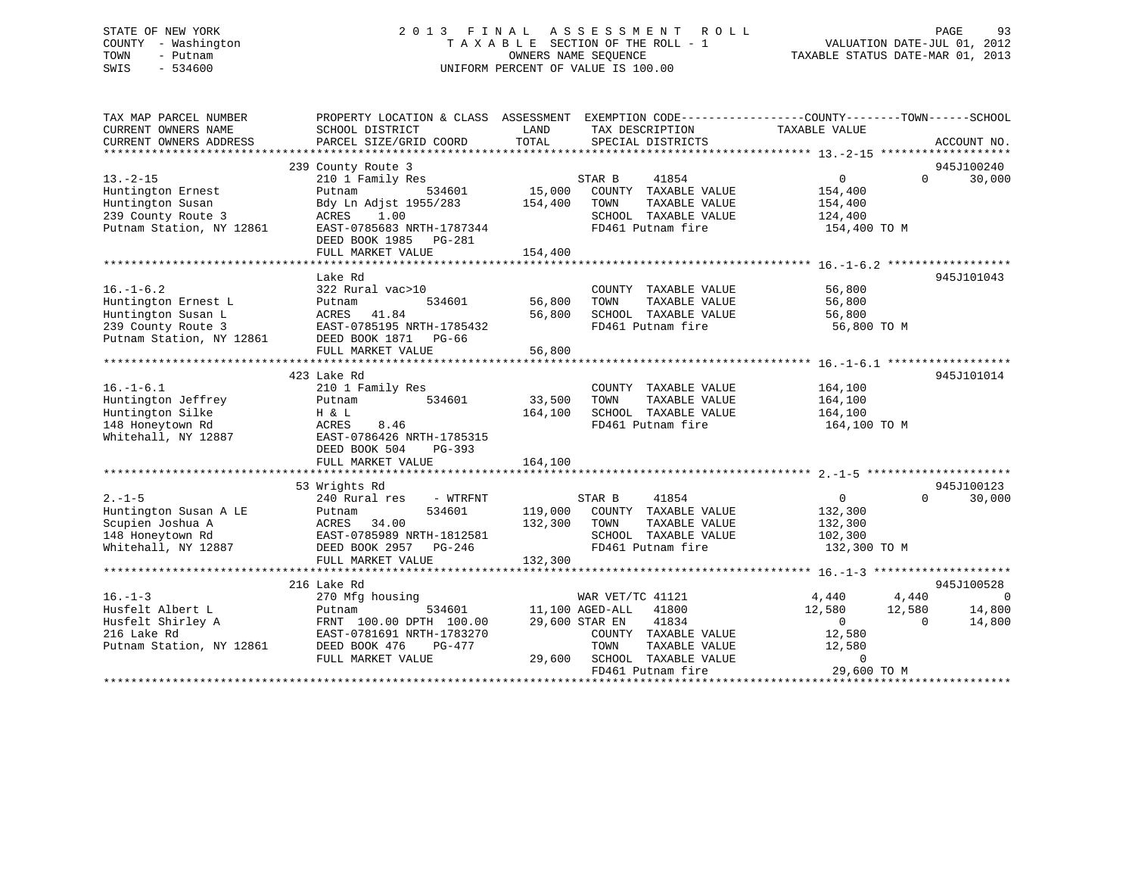## STATE OF NEW YORK 2 0 1 3 F I N A L A S S E S S M E N T R O L L PAGE 93 COUNTY - Washington T A X A B L E SECTION OF THE ROLL - 1 VALUATION DATE-JUL 01, 2012 TOWN - Putnam OWNERS NAME SEQUENCE TAXABLE STATUS DATE-MAR 01, 2013 SWIS - 534600 UNIFORM PERCENT OF VALUE IS 100.00

| TAX MAP PARCEL NUMBER<br>CURRENT OWNERS NAME<br>CURRENT OWNERS ADDRESS | PROPERTY LOCATION & CLASS ASSESSMENT EXEMPTION CODE---------------COUNTY-------TOWN-----SCHOOL<br>SCHOOL DISTRICT<br>PARCEL SIZE/GRID COORD | LAND<br>TOTAL   | TAX DESCRIPTION<br>SPECIAL DISTRICTS | TAXABLE VALUE    | ACCOUNT NO.        |
|------------------------------------------------------------------------|---------------------------------------------------------------------------------------------------------------------------------------------|-----------------|--------------------------------------|------------------|--------------------|
|                                                                        |                                                                                                                                             |                 |                                      |                  |                    |
|                                                                        | 239 County Route 3                                                                                                                          |                 |                                      |                  | 945J100240         |
| $13 - 2 - 15$                                                          | 210 1 Family Res                                                                                                                            |                 | STAR B<br>41854                      | $\overline{0}$   | 30,000<br>$\Omega$ |
| Huntington Ernest                                                      | 534601<br>Putnam                                                                                                                            | 15,000          | COUNTY TAXABLE VALUE                 | 154,400          |                    |
| Huntington Susan                                                       | Bdy Ln Adjst 1955/283                                                                                                                       | 154,400         | TAXABLE VALUE<br>TOWN                | 154,400          |                    |
| 239 County Route 3                                                     | 1.00<br>ACRES                                                                                                                               |                 | SCHOOL TAXABLE VALUE                 | 124,400          |                    |
| Putnam Station, NY 12861                                               | EAST-0785683 NRTH-1787344<br>DEED BOOK 1985 PG-281                                                                                          |                 | FD461 Putnam fire                    | 154,400 TO M     |                    |
|                                                                        | FULL MARKET VALUE                                                                                                                           | 154,400         |                                      |                  |                    |
|                                                                        |                                                                                                                                             |                 |                                      |                  |                    |
|                                                                        | Lake Rd                                                                                                                                     |                 |                                      |                  | 945J101043         |
| $16. - 1 - 6.2$                                                        | 322 Rural vac>10                                                                                                                            |                 | COUNTY TAXABLE VALUE                 | 56,800           |                    |
| Huntington Ernest L                                                    | 534601<br>Putnam                                                                                                                            | 56,800          | TOWN<br>TAXABLE VALUE                | 56,800           |                    |
| Huntington Susan L                                                     | ACRES 41.84                                                                                                                                 | 56,800          | SCHOOL TAXABLE VALUE                 | 56,800           |                    |
| 239 County Route 3                                                     | EAST-0785195 NRTH-1785432                                                                                                                   |                 | FD461 Putnam fire                    | 56,800 TO M      |                    |
| Putnam Station, NY 12861                                               | DEED BOOK 1871 PG-66                                                                                                                        |                 |                                      |                  |                    |
|                                                                        | FULL MARKET VALUE                                                                                                                           | 56,800          |                                      |                  |                    |
|                                                                        |                                                                                                                                             |                 |                                      |                  |                    |
|                                                                        | 423 Lake Rd                                                                                                                                 |                 |                                      |                  | 945J101014         |
| $16. - 1 - 6.1$                                                        | 210 1 Family Res                                                                                                                            |                 | COUNTY TAXABLE VALUE                 | 164,100          |                    |
| Huntington Jeffrey                                                     | 534601<br>Putnam                                                                                                                            | 33,500          | TAXABLE VALUE<br>TOWN                | 164,100          |                    |
| Huntington Silke                                                       | H & L                                                                                                                                       | 164,100         | SCHOOL TAXABLE VALUE                 | 164,100          |                    |
| 148 Honeytown Rd                                                       | ACRES<br>8.46                                                                                                                               |                 | FD461 Putnam fire                    | 164,100 TO M     |                    |
| Whitehall, NY 12887                                                    | EAST-0786426 NRTH-1785315                                                                                                                   |                 |                                      |                  |                    |
|                                                                        | DEED BOOK 504<br>PG-393                                                                                                                     |                 |                                      |                  |                    |
|                                                                        | FULL MARKET VALUE                                                                                                                           | 164,100         |                                      |                  |                    |
|                                                                        |                                                                                                                                             |                 |                                      |                  |                    |
|                                                                        | 53 Wrights Rd                                                                                                                               |                 |                                      |                  | 945J100123         |
| $2. - 1 - 5$                                                           | 240 Rural res<br>- WTRFNT                                                                                                                   |                 | STAR B<br>41854                      | $\overline{0}$   | $\Omega$<br>30,000 |
| Huntington Susan A LE                                                  | 534601<br>Putnam                                                                                                                            | 119,000         | COUNTY TAXABLE VALUE                 | 132,300          |                    |
| Scupien Joshua A                                                       | ACRES 34.00                                                                                                                                 | 132,300         | TAXABLE VALUE<br>TOWN                | 132,300          |                    |
| 148 Honeytown Rd                                                       | EAST-0785989 NRTH-1812581                                                                                                                   |                 | SCHOOL TAXABLE VALUE                 | 102,300          |                    |
| Whitehall, NY 12887                                                    | DEED BOOK 2957 PG-246                                                                                                                       |                 | FD461 Putnam fire                    | 132,300 TO M     |                    |
|                                                                        | FULL MARKET VALUE                                                                                                                           | 132,300         |                                      |                  |                    |
|                                                                        |                                                                                                                                             |                 |                                      |                  |                    |
|                                                                        | 216 Lake Rd                                                                                                                                 |                 |                                      |                  | 945J100528         |
| $16. - 1 - 3$                                                          | 270 Mfg housing                                                                                                                             |                 | WAR VET/TC 41121                     | 4,440<br>4,440   | $\Omega$           |
| Husfelt Albert L                                                       | 534601<br>Putnam                                                                                                                            | 11,100 AGED-ALL | 41800                                | 12,580<br>12,580 | 14,800             |
| Husfelt Shirley A                                                      | FRNT 100.00 DPTH 100.00                                                                                                                     | 29,600 STAR EN  | 41834                                | $\overline{0}$   | 14,800<br>$\Omega$ |
| 216 Lake Rd                                                            | EAST-0781691 NRTH-1783270                                                                                                                   |                 | COUNTY TAXABLE VALUE                 | 12,580           |                    |
| Putnam Station, NY 12861                                               | DEED BOOK 476<br>PG-477                                                                                                                     |                 | TOWN<br>TAXABLE VALUE                | 12,580           |                    |
|                                                                        | FULL MARKET VALUE                                                                                                                           | 29,600          | SCHOOL TAXABLE VALUE                 | $\Omega$         |                    |
|                                                                        |                                                                                                                                             |                 | FD461 Putnam fire                    | 29,600 TO M      |                    |
|                                                                        |                                                                                                                                             |                 |                                      |                  |                    |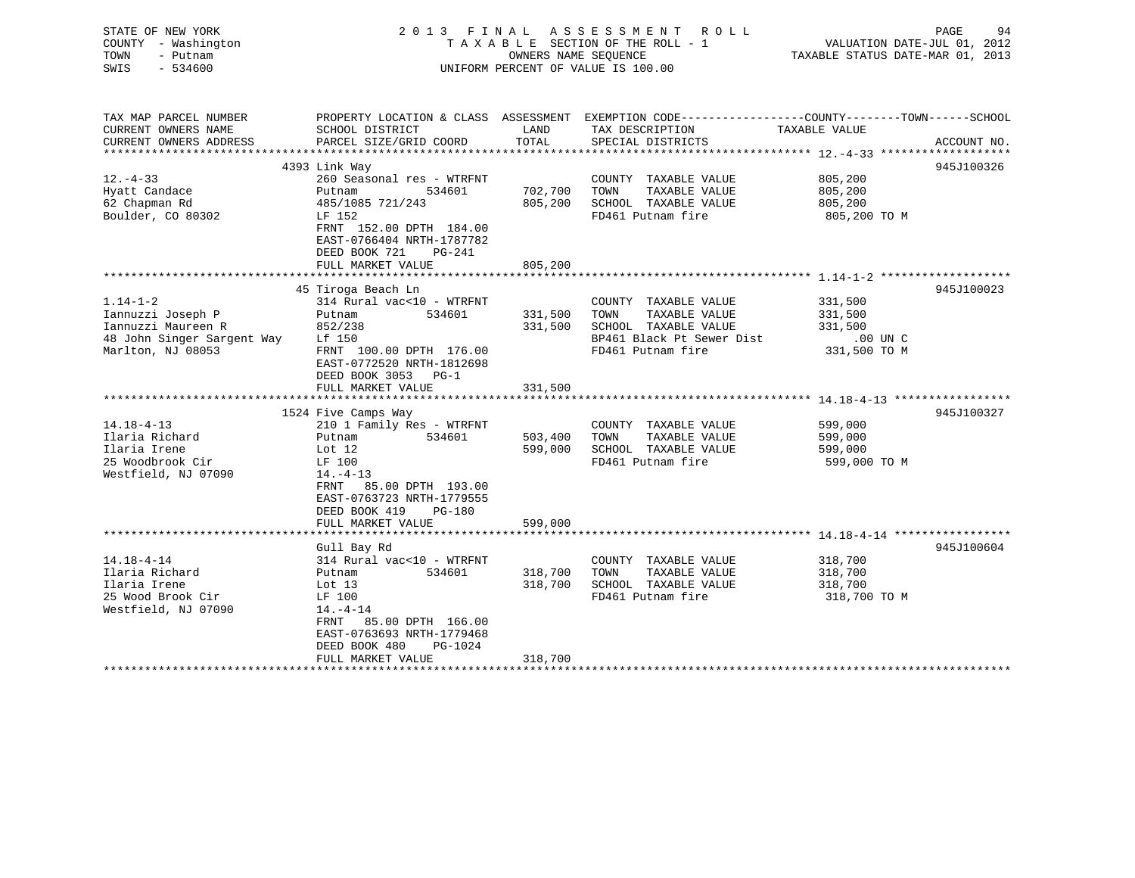| TAX MAP PARCEL NUMBER<br>PROPERTY LOCATION & CLASS ASSESSMENT EXEMPTION CODE----------------COUNTY-------TOWN------SCHOOL<br>CURRENT OWNERS NAME<br>LAND<br>TAX DESCRIPTION<br>SCHOOL DISTRICT<br>TAXABLE VALUE<br>CURRENT OWNERS ADDRESS<br>PARCEL SIZE/GRID COORD<br>TOTAL<br>SPECIAL DISTRICTS<br>ACCOUNT NO.<br>**********************<br>***************************<br>************<br>945J100326<br>4393 Link Way<br>$12. - 4 - 33$<br>260 Seasonal res - WTRFNT<br>805,200<br>COUNTY TAXABLE VALUE<br>TAXABLE VALUE<br>Hyatt Candace<br>Putnam<br>534601<br>702,700<br>TOWN<br>805,200<br>62 Chapman Rd<br>485/1085 721/243<br>805,200<br>SCHOOL TAXABLE VALUE<br>805,200<br>Boulder, CO 80302<br>LF 152<br>FD461 Putnam fire<br>805,200 TO M<br>FRNT 152.00 DPTH 184.00<br>EAST-0766404 NRTH-1787782<br>DEED BOOK 721<br>PG-241<br>FULL MARKET VALUE<br>805,200<br>********<br>******************** 1.14-1-2 ********************<br>45 Tiroga Beach Ln<br>945J100023<br>$1.14 - 1 - 2$<br>314 Rural vac<10 - WTRFNT<br>331,500<br>COUNTY TAXABLE VALUE<br>TAXABLE VALUE<br>Iannuzzi Joseph P<br>Putnam<br>534601<br>331,500<br>TOWN<br>331,500<br>331,500<br>Iannuzzi Maureen R<br>852/238<br>SCHOOL TAXABLE VALUE<br>331,500<br>48 John Singer Sargent Way<br>BP461 Black Pt Sewer Dist<br>Lf 150<br>$.00$ UN C<br>Marlton, NJ 08053<br>FD461 Putnam fire<br>FRNT 100.00 DPTH 176.00<br>331,500 TO M<br>EAST-0772520 NRTH-1812698<br>DEED BOOK 3053 PG-1<br>FULL MARKET VALUE<br>331,500<br>*************** 14.18-4-13 ******************<br>1524 Five Camps Way<br>945J100327<br>$14.18 - 4 - 13$<br>210 1 Family Res - WTRFNT<br>599,000<br>COUNTY TAXABLE VALUE<br>Ilaria Richard<br>TAXABLE VALUE<br>Putnam<br>534601<br>503,400<br>TOWN<br>599,000<br>SCHOOL TAXABLE VALUE<br>Ilaria Irene<br>Lot $12$<br>599,000<br>599,000<br>25 Woodbrook Cir<br>FD461 Putnam fire<br>599,000 TO M<br>LF 100<br>Westfield, NJ 07090<br>$14. - 4 - 13$<br>FRNT 85.00 DPTH 193.00<br>EAST-0763723 NRTH-1779555<br>DEED BOOK 419<br>PG-180<br>FULL MARKET VALUE<br>599,000<br>945J100604<br>Gull Bay Rd<br>$14.18 - 4 - 14$<br>314 Rural vac<10 - WTRFNT<br>COUNTY TAXABLE VALUE<br>318,700<br>TAXABLE VALUE<br>Ilaria Richard<br>Putnam<br>534601<br>318,700<br>TOWN<br>318,700<br>Ilaria Irene<br>Lot $13$<br>318,700<br>SCHOOL TAXABLE VALUE<br>318,700<br>25 Wood Brook Cir<br>LF 100<br>FD461 Putnam fire<br>318,700 TO M<br>Westfield, NJ 07090<br>$14. - 4 - 14$<br>85.00 DPTH 166.00<br>FRNT<br>EAST-0763693 NRTH-1779468<br>DEED BOOK 480<br>PG-1024<br>318,700<br>FULL MARKET VALUE | STATE OF NEW YORK<br>COUNTY - Washington<br>- Putnam<br>TOWN<br>$-534600$<br>SWIS | 2013 FINAL ASSESSMENT | OWNERS NAME SEQUENCE | R O L L<br>TAXABLE SECTION OF THE ROLL - 1<br>UNIFORM PERCENT OF VALUE IS 100.00 | VALUATION DATE-JUL 01, 2012<br>TAXABLE STATUS DATE-MAR 01, 2013 | PAGE<br>94 |
|-----------------------------------------------------------------------------------------------------------------------------------------------------------------------------------------------------------------------------------------------------------------------------------------------------------------------------------------------------------------------------------------------------------------------------------------------------------------------------------------------------------------------------------------------------------------------------------------------------------------------------------------------------------------------------------------------------------------------------------------------------------------------------------------------------------------------------------------------------------------------------------------------------------------------------------------------------------------------------------------------------------------------------------------------------------------------------------------------------------------------------------------------------------------------------------------------------------------------------------------------------------------------------------------------------------------------------------------------------------------------------------------------------------------------------------------------------------------------------------------------------------------------------------------------------------------------------------------------------------------------------------------------------------------------------------------------------------------------------------------------------------------------------------------------------------------------------------------------------------------------------------------------------------------------------------------------------------------------------------------------------------------------------------------------------------------------------------------------------------------------------------------------------------------------------------------------------------------------------------------------------------------------------------------------------------------------------------------------------------------------------------------------------------------------------------------------------------------------------------------------------------------------------------------------------------------------------------------------|-----------------------------------------------------------------------------------|-----------------------|----------------------|----------------------------------------------------------------------------------|-----------------------------------------------------------------|------------|
|                                                                                                                                                                                                                                                                                                                                                                                                                                                                                                                                                                                                                                                                                                                                                                                                                                                                                                                                                                                                                                                                                                                                                                                                                                                                                                                                                                                                                                                                                                                                                                                                                                                                                                                                                                                                                                                                                                                                                                                                                                                                                                                                                                                                                                                                                                                                                                                                                                                                                                                                                                                               |                                                                                   |                       |                      |                                                                                  |                                                                 |            |
|                                                                                                                                                                                                                                                                                                                                                                                                                                                                                                                                                                                                                                                                                                                                                                                                                                                                                                                                                                                                                                                                                                                                                                                                                                                                                                                                                                                                                                                                                                                                                                                                                                                                                                                                                                                                                                                                                                                                                                                                                                                                                                                                                                                                                                                                                                                                                                                                                                                                                                                                                                                               |                                                                                   |                       |                      |                                                                                  |                                                                 |            |
|                                                                                                                                                                                                                                                                                                                                                                                                                                                                                                                                                                                                                                                                                                                                                                                                                                                                                                                                                                                                                                                                                                                                                                                                                                                                                                                                                                                                                                                                                                                                                                                                                                                                                                                                                                                                                                                                                                                                                                                                                                                                                                                                                                                                                                                                                                                                                                                                                                                                                                                                                                                               |                                                                                   |                       |                      |                                                                                  |                                                                 |            |
|                                                                                                                                                                                                                                                                                                                                                                                                                                                                                                                                                                                                                                                                                                                                                                                                                                                                                                                                                                                                                                                                                                                                                                                                                                                                                                                                                                                                                                                                                                                                                                                                                                                                                                                                                                                                                                                                                                                                                                                                                                                                                                                                                                                                                                                                                                                                                                                                                                                                                                                                                                                               |                                                                                   |                       |                      |                                                                                  |                                                                 |            |
|                                                                                                                                                                                                                                                                                                                                                                                                                                                                                                                                                                                                                                                                                                                                                                                                                                                                                                                                                                                                                                                                                                                                                                                                                                                                                                                                                                                                                                                                                                                                                                                                                                                                                                                                                                                                                                                                                                                                                                                                                                                                                                                                                                                                                                                                                                                                                                                                                                                                                                                                                                                               |                                                                                   |                       |                      |                                                                                  |                                                                 |            |
|                                                                                                                                                                                                                                                                                                                                                                                                                                                                                                                                                                                                                                                                                                                                                                                                                                                                                                                                                                                                                                                                                                                                                                                                                                                                                                                                                                                                                                                                                                                                                                                                                                                                                                                                                                                                                                                                                                                                                                                                                                                                                                                                                                                                                                                                                                                                                                                                                                                                                                                                                                                               |                                                                                   |                       |                      |                                                                                  |                                                                 |            |
|                                                                                                                                                                                                                                                                                                                                                                                                                                                                                                                                                                                                                                                                                                                                                                                                                                                                                                                                                                                                                                                                                                                                                                                                                                                                                                                                                                                                                                                                                                                                                                                                                                                                                                                                                                                                                                                                                                                                                                                                                                                                                                                                                                                                                                                                                                                                                                                                                                                                                                                                                                                               |                                                                                   |                       |                      |                                                                                  |                                                                 |            |
|                                                                                                                                                                                                                                                                                                                                                                                                                                                                                                                                                                                                                                                                                                                                                                                                                                                                                                                                                                                                                                                                                                                                                                                                                                                                                                                                                                                                                                                                                                                                                                                                                                                                                                                                                                                                                                                                                                                                                                                                                                                                                                                                                                                                                                                                                                                                                                                                                                                                                                                                                                                               |                                                                                   |                       |                      |                                                                                  |                                                                 |            |
|                                                                                                                                                                                                                                                                                                                                                                                                                                                                                                                                                                                                                                                                                                                                                                                                                                                                                                                                                                                                                                                                                                                                                                                                                                                                                                                                                                                                                                                                                                                                                                                                                                                                                                                                                                                                                                                                                                                                                                                                                                                                                                                                                                                                                                                                                                                                                                                                                                                                                                                                                                                               |                                                                                   |                       |                      |                                                                                  |                                                                 |            |
|                                                                                                                                                                                                                                                                                                                                                                                                                                                                                                                                                                                                                                                                                                                                                                                                                                                                                                                                                                                                                                                                                                                                                                                                                                                                                                                                                                                                                                                                                                                                                                                                                                                                                                                                                                                                                                                                                                                                                                                                                                                                                                                                                                                                                                                                                                                                                                                                                                                                                                                                                                                               |                                                                                   |                       |                      |                                                                                  |                                                                 |            |
|                                                                                                                                                                                                                                                                                                                                                                                                                                                                                                                                                                                                                                                                                                                                                                                                                                                                                                                                                                                                                                                                                                                                                                                                                                                                                                                                                                                                                                                                                                                                                                                                                                                                                                                                                                                                                                                                                                                                                                                                                                                                                                                                                                                                                                                                                                                                                                                                                                                                                                                                                                                               |                                                                                   |                       |                      |                                                                                  |                                                                 |            |
|                                                                                                                                                                                                                                                                                                                                                                                                                                                                                                                                                                                                                                                                                                                                                                                                                                                                                                                                                                                                                                                                                                                                                                                                                                                                                                                                                                                                                                                                                                                                                                                                                                                                                                                                                                                                                                                                                                                                                                                                                                                                                                                                                                                                                                                                                                                                                                                                                                                                                                                                                                                               |                                                                                   |                       |                      |                                                                                  |                                                                 |            |
|                                                                                                                                                                                                                                                                                                                                                                                                                                                                                                                                                                                                                                                                                                                                                                                                                                                                                                                                                                                                                                                                                                                                                                                                                                                                                                                                                                                                                                                                                                                                                                                                                                                                                                                                                                                                                                                                                                                                                                                                                                                                                                                                                                                                                                                                                                                                                                                                                                                                                                                                                                                               |                                                                                   |                       |                      |                                                                                  |                                                                 |            |
|                                                                                                                                                                                                                                                                                                                                                                                                                                                                                                                                                                                                                                                                                                                                                                                                                                                                                                                                                                                                                                                                                                                                                                                                                                                                                                                                                                                                                                                                                                                                                                                                                                                                                                                                                                                                                                                                                                                                                                                                                                                                                                                                                                                                                                                                                                                                                                                                                                                                                                                                                                                               |                                                                                   |                       |                      |                                                                                  |                                                                 |            |
|                                                                                                                                                                                                                                                                                                                                                                                                                                                                                                                                                                                                                                                                                                                                                                                                                                                                                                                                                                                                                                                                                                                                                                                                                                                                                                                                                                                                                                                                                                                                                                                                                                                                                                                                                                                                                                                                                                                                                                                                                                                                                                                                                                                                                                                                                                                                                                                                                                                                                                                                                                                               |                                                                                   |                       |                      |                                                                                  |                                                                 |            |
|                                                                                                                                                                                                                                                                                                                                                                                                                                                                                                                                                                                                                                                                                                                                                                                                                                                                                                                                                                                                                                                                                                                                                                                                                                                                                                                                                                                                                                                                                                                                                                                                                                                                                                                                                                                                                                                                                                                                                                                                                                                                                                                                                                                                                                                                                                                                                                                                                                                                                                                                                                                               |                                                                                   |                       |                      |                                                                                  |                                                                 |            |
|                                                                                                                                                                                                                                                                                                                                                                                                                                                                                                                                                                                                                                                                                                                                                                                                                                                                                                                                                                                                                                                                                                                                                                                                                                                                                                                                                                                                                                                                                                                                                                                                                                                                                                                                                                                                                                                                                                                                                                                                                                                                                                                                                                                                                                                                                                                                                                                                                                                                                                                                                                                               |                                                                                   |                       |                      |                                                                                  |                                                                 |            |
|                                                                                                                                                                                                                                                                                                                                                                                                                                                                                                                                                                                                                                                                                                                                                                                                                                                                                                                                                                                                                                                                                                                                                                                                                                                                                                                                                                                                                                                                                                                                                                                                                                                                                                                                                                                                                                                                                                                                                                                                                                                                                                                                                                                                                                                                                                                                                                                                                                                                                                                                                                                               |                                                                                   |                       |                      |                                                                                  |                                                                 |            |
|                                                                                                                                                                                                                                                                                                                                                                                                                                                                                                                                                                                                                                                                                                                                                                                                                                                                                                                                                                                                                                                                                                                                                                                                                                                                                                                                                                                                                                                                                                                                                                                                                                                                                                                                                                                                                                                                                                                                                                                                                                                                                                                                                                                                                                                                                                                                                                                                                                                                                                                                                                                               |                                                                                   |                       |                      |                                                                                  |                                                                 |            |
|                                                                                                                                                                                                                                                                                                                                                                                                                                                                                                                                                                                                                                                                                                                                                                                                                                                                                                                                                                                                                                                                                                                                                                                                                                                                                                                                                                                                                                                                                                                                                                                                                                                                                                                                                                                                                                                                                                                                                                                                                                                                                                                                                                                                                                                                                                                                                                                                                                                                                                                                                                                               |                                                                                   |                       |                      |                                                                                  |                                                                 |            |
|                                                                                                                                                                                                                                                                                                                                                                                                                                                                                                                                                                                                                                                                                                                                                                                                                                                                                                                                                                                                                                                                                                                                                                                                                                                                                                                                                                                                                                                                                                                                                                                                                                                                                                                                                                                                                                                                                                                                                                                                                                                                                                                                                                                                                                                                                                                                                                                                                                                                                                                                                                                               |                                                                                   |                       |                      |                                                                                  |                                                                 |            |
|                                                                                                                                                                                                                                                                                                                                                                                                                                                                                                                                                                                                                                                                                                                                                                                                                                                                                                                                                                                                                                                                                                                                                                                                                                                                                                                                                                                                                                                                                                                                                                                                                                                                                                                                                                                                                                                                                                                                                                                                                                                                                                                                                                                                                                                                                                                                                                                                                                                                                                                                                                                               |                                                                                   |                       |                      |                                                                                  |                                                                 |            |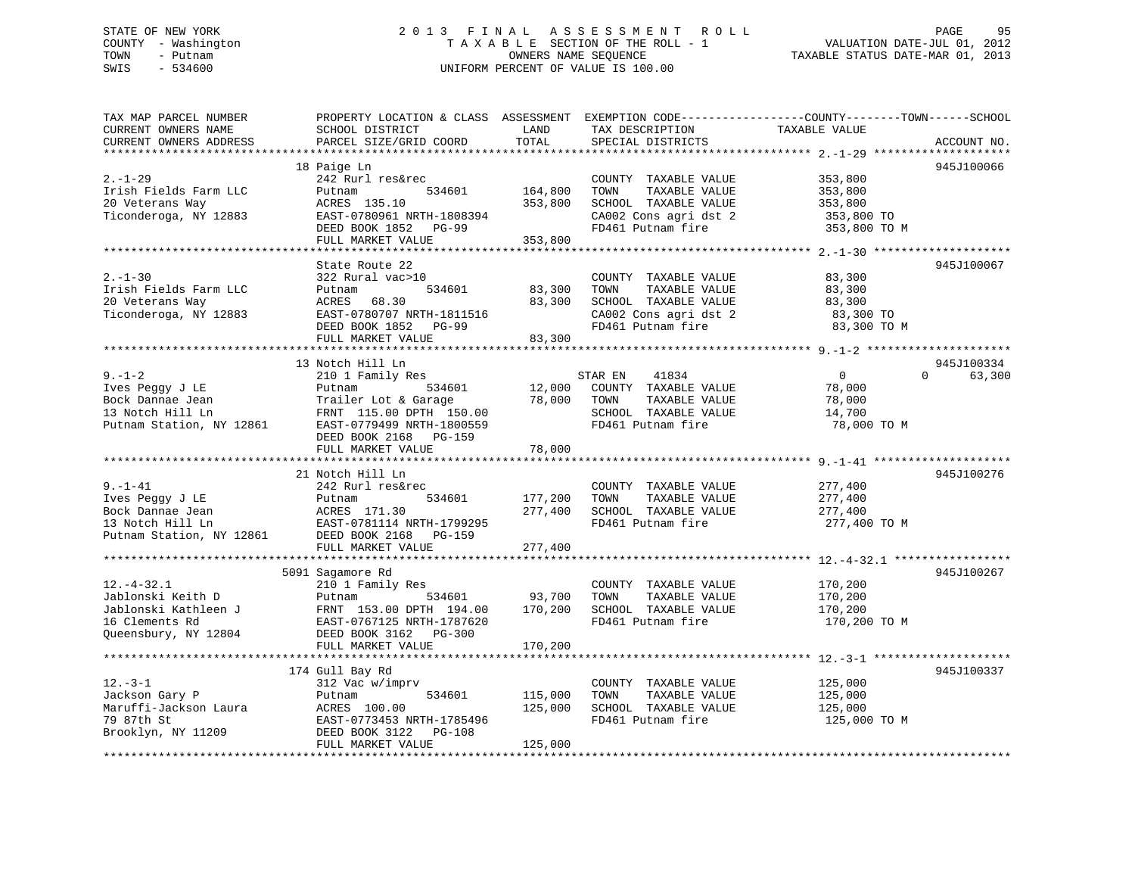## STATE OF NEW YORK 2 0 1 3 F I N A L A S S E S S M E N T R O L L PAGE 95 COUNTY - Washington T A X A B L E SECTION OF THE ROLL - 1 VALUATION DATE-JUL 01, 2012 TOWN - Putnam OWNERS NAME SEQUENCE TAXABLE STATUS DATE-MAR 01, 2013 SWIS - 534600 UNIFORM PERCENT OF VALUE IS 100.00

| TAX MAP PARCEL NUMBER<br>CURRENT OWNERS NAME<br>CURRENT OWNERS ADDRESS                               | PROPERTY LOCATION & CLASS ASSESSMENT<br>SCHOOL DISTRICT<br>PARCEL SIZE/GRID COORD                                                                            | LAND<br>TOTAL                 | EXEMPTION CODE-----------------COUNTY-------TOWN------SCHOOL<br>TAX DESCRIPTION<br>SPECIAL DISTRICTS                | TAXABLE VALUE                                                                                          | ACCOUNT NO.                      |
|------------------------------------------------------------------------------------------------------|--------------------------------------------------------------------------------------------------------------------------------------------------------------|-------------------------------|---------------------------------------------------------------------------------------------------------------------|--------------------------------------------------------------------------------------------------------|----------------------------------|
|                                                                                                      |                                                                                                                                                              |                               |                                                                                                                     |                                                                                                        |                                  |
| $2. - 1 - 29$<br>Irish Fields Farm LLC<br>20 Veterans Way<br>Ticonderoga, NY 12883                   | 18 Paige Ln<br>242 Rurl res&rec<br>534601<br>Putnam<br>ACRES 135.10<br>EAST-0780961 NRTH-1808394<br>DEED BOOK 1852 PG-99<br>FULL MARKET VALUE                | 164,800<br>353,800<br>353,800 | COUNTY TAXABLE VALUE<br>TOWN<br>TAXABLE VALUE<br>SCHOOL TAXABLE VALUE<br>CA002 Cons agri dst 2<br>FD461 Putnam fire | 353,800<br>353,800<br>353,800<br>353,800 TO<br>353,800 TO M                                            | 945J100066                       |
|                                                                                                      |                                                                                                                                                              |                               |                                                                                                                     |                                                                                                        |                                  |
| $2. - 1 - 30$<br>Irish Fields Farm LLC<br>20 Veterans Way<br>Ticonderoga, NY 12883                   | State Route 22<br>322 Rural vac>10<br>534601<br>Putnam<br>ACRES<br>68.30<br>EAST-0780707 NRTH-1811516<br>DEED BOOK 1852<br><b>PG-99</b><br>FULL MARKET VALUE | 83,300<br>83,300<br>83,300    | COUNTY TAXABLE VALUE<br>TAXABLE VALUE<br>TOWN<br>SCHOOL TAXABLE VALUE<br>CA002 Cons agri dst 2<br>FD461 Putnam fire | 83,300<br>83,300<br>83,300<br>83,300 TO<br>83,300 TO M                                                 | 945J100067                       |
|                                                                                                      |                                                                                                                                                              |                               |                                                                                                                     |                                                                                                        |                                  |
| $9. - 1 - 2$<br>Ives Peggy J LE<br>Bock Dannae Jean<br>13 Notch Hill Ln<br>Putnam Station, NY 12861  | 13 Notch Hill Ln<br>210 1 Family Res<br>534601<br>Putnam<br>Trailer Lot & Garage<br>FRNT 115.00 DPTH 150.00<br>EAST-0779499 NRTH-1800559                     | 12,000<br>78,000              | STAR EN<br>41834<br>COUNTY TAXABLE VALUE<br>TOWN<br>TAXABLE VALUE<br>SCHOOL TAXABLE VALUE<br>FD461 Putnam fire      | $\overline{0}$<br>78,000<br>78,000<br>14,700<br>78,000 TO M                                            | 945J100334<br>63,300<br>$\Omega$ |
|                                                                                                      | DEED BOOK 2168 PG-159<br>FULL MARKET VALUE                                                                                                                   | 78,000                        |                                                                                                                     |                                                                                                        |                                  |
|                                                                                                      | ***********************                                                                                                                                      |                               |                                                                                                                     |                                                                                                        |                                  |
| $9. - 1 - 41$<br>Ives Peggy J LE<br>Bock Dannae Jean<br>13 Notch Hill Ln<br>Putnam Station, NY 12861 | 21 Notch Hill Ln<br>242 Rurl res&rec<br>534601<br>Putnam<br>ACRES 171.30<br>EAST-0781114 NRTH-1799295<br>DEED BOOK 2168 PG-159<br>FULL MARKET VALUE          | 177,200<br>277,400<br>277,400 | COUNTY TAXABLE VALUE<br>TOWN<br>TAXABLE VALUE<br>SCHOOL TAXABLE VALUE<br>FD461 Putnam fire                          | 277,400<br>277,400<br>277,400<br>277,400 TO M<br>************************ 12.-4-32.1 ***************** | 945J100276                       |
|                                                                                                      | 5091 Sagamore Rd                                                                                                                                             |                               |                                                                                                                     |                                                                                                        | 945J100267                       |
| $12.-4-32.1$<br>Jablonski Keith D<br>Jablonski Kathleen J<br>16 Clements Rd<br>Queensbury, NY 12804  | 210 1 Family Res<br>534601<br>Putnam<br>FRNT 153.00 DPTH 194.00<br>EAST-0767125 NRTH-1787620<br>DEED BOOK 3162 PG-300                                        | 93,700<br>170,200             | COUNTY TAXABLE VALUE<br>TOWN<br>TAXABLE VALUE<br>SCHOOL TAXABLE VALUE<br>FD461 Putnam fire                          | 170,200<br>170,200<br>170,200<br>170,200 TO M                                                          |                                  |
|                                                                                                      | FULL MARKET VALUE                                                                                                                                            | 170,200                       |                                                                                                                     |                                                                                                        |                                  |
| $12. - 3 - 1$<br>Jackson Gary P<br>Maruffi-Jackson Laura<br>79 87th St<br>Brooklyn, NY 11209         | 174 Gull Bay Rd<br>312 Vac w/imprv<br>534601<br>Putnam<br>ACRES 100.00<br>EAST-0773453 NRTH-1785496<br>DEED BOOK 3122 PG-108<br>FULL MARKET VALUE            | 115,000<br>125,000<br>125,000 | COUNTY TAXABLE VALUE<br>TOWN<br>TAXABLE VALUE<br>SCHOOL TAXABLE VALUE<br>FD461 Putnam fire                          | 125,000<br>125,000<br>125,000<br>125,000 TO M                                                          | 945J100337                       |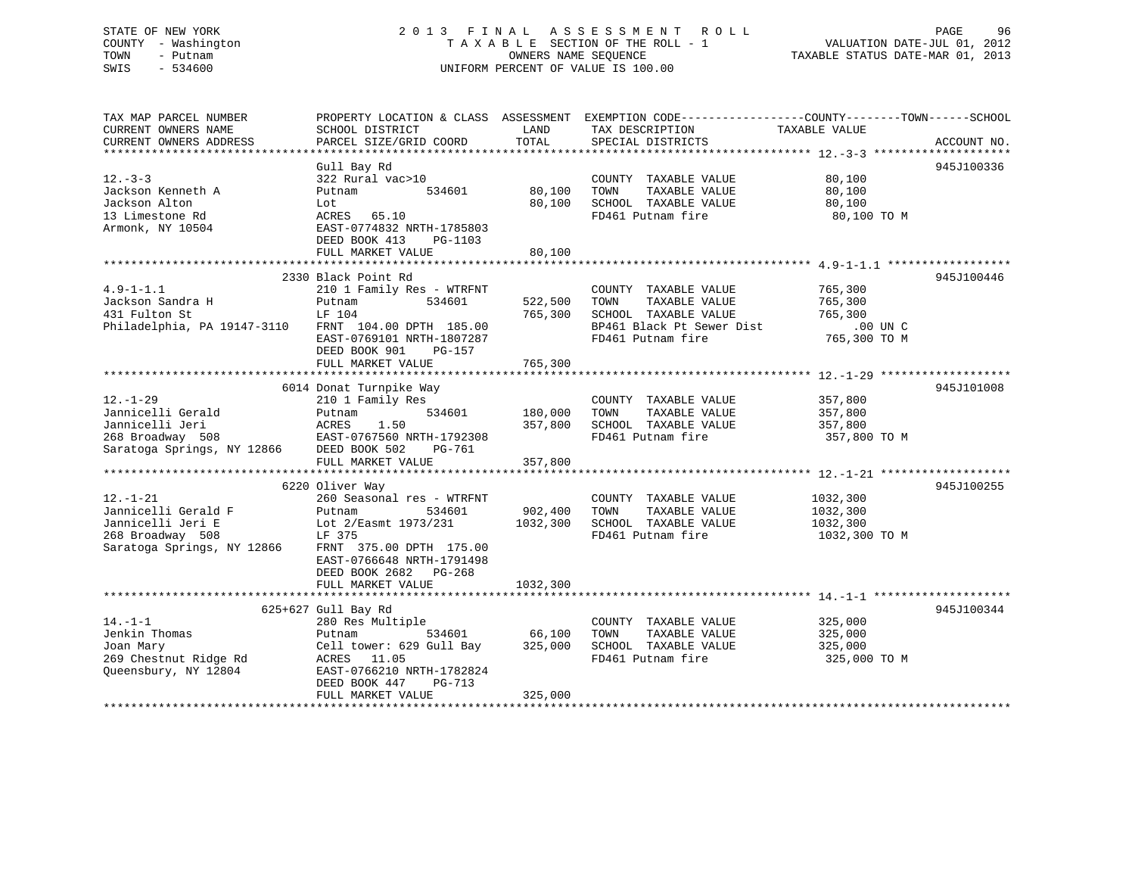## STATE OF NEW YORK 2 0 1 3 F I N A L A S S E S S M E N T R O L L PAGE 96 COUNTY - Washington T A X A B L E SECTION OF THE ROLL - 1 VALUATION DATE-JUL 01, 2012 TOWN - Putnam **CONNERS NAME SEQUENCE** TAXABLE STATUS DATE-MAR 01, 2013 SWIS - 534600 UNIFORM PERCENT OF VALUE IS 100.00

| TAX MAP PARCEL NUMBER<br>CURRENT OWNERS NAME<br>CURRENT OWNERS ADDRESS                                       | PROPERTY LOCATION & CLASS ASSESSMENT<br>SCHOOL DISTRICT<br>PARCEL SIZE/GRID COORD                                                                                | LAND<br>TOTAL                 | TAX DESCRIPTION<br>SPECIAL DISTRICTS                                                                                    | EXEMPTION CODE-----------------COUNTY-------TOWN------SCHOOL<br>TAXABLE VALUE | ACCOUNT NO. |
|--------------------------------------------------------------------------------------------------------------|------------------------------------------------------------------------------------------------------------------------------------------------------------------|-------------------------------|-------------------------------------------------------------------------------------------------------------------------|-------------------------------------------------------------------------------|-------------|
| *************************                                                                                    |                                                                                                                                                                  |                               |                                                                                                                         |                                                                               |             |
| $12 - 3 - 3$<br>Jackson Kenneth A<br>Jackson Alton<br>13 Limestone Rd<br>Armonk, NY 10504                    | Gull Bay Rd<br>322 Rural vac>10<br>534601<br>Putnam<br>Lot<br>ACRES 65.10<br>EAST-0774832 NRTH-1785803<br>DEED BOOK 413<br>PG-1103                               | 80,100<br>80,100              | COUNTY TAXABLE VALUE<br>TOWN<br>TAXABLE VALUE<br>SCHOOL TAXABLE VALUE<br>FD461 Putnam fire                              | 80,100<br>80,100<br>80,100<br>80,100 TO M                                     | 945J100336  |
|                                                                                                              | FULL MARKET VALUE                                                                                                                                                | 80,100                        |                                                                                                                         |                                                                               |             |
|                                                                                                              |                                                                                                                                                                  |                               |                                                                                                                         |                                                                               |             |
| $4.9 - 1 - 1.1$<br>Jackson Sandra H<br>431 Fulton St<br>Philadelphia, PA 19147-3110 FRNT 104.00 DPTH 185.00  | 2330 Black Point Rd<br>210 1 Family Res - WTRFNT<br>Putnam<br>534601<br>LF 104<br>EAST-0769101 NRTH-1807287<br>DEED BOOK 901<br>PG-157<br>FULL MARKET VALUE      | 522,500<br>765,300<br>765,300 | COUNTY TAXABLE VALUE<br>TAXABLE VALUE<br>TOWN<br>SCHOOL TAXABLE VALUE<br>BP461 Black Pt Sewer Dist<br>FD461 Putnam fire | 765,300<br>765,300<br>765,300<br>$.00$ UN $C$<br>765,300 TO M                 | 945J100446  |
|                                                                                                              |                                                                                                                                                                  |                               |                                                                                                                         |                                                                               |             |
| $12. - 1 - 29$<br>Jannicelli Gerald<br>Jannicelli Jeri<br>268 Broadway 508<br>Saratoga Springs, NY 12866     | 6014 Donat Turnpike Way<br>210 1 Family Res<br>Putnam<br>534601<br>ACRES<br>1.50<br>EAST-0767560 NRTH-1792308<br>DEED BOOK 502<br>PG-761                         | 180,000<br>357,800            | COUNTY TAXABLE VALUE<br>TOWN<br>TAXABLE VALUE<br>SCHOOL TAXABLE VALUE<br>FD461 Putnam fire                              | 357,800<br>357,800<br>357,800<br>357,800 TO M                                 | 945J101008  |
|                                                                                                              | FULL MARKET VALUE                                                                                                                                                | 357,800                       |                                                                                                                         |                                                                               |             |
|                                                                                                              |                                                                                                                                                                  |                               |                                                                                                                         |                                                                               |             |
|                                                                                                              | 6220 Oliver Way                                                                                                                                                  |                               |                                                                                                                         |                                                                               | 945J100255  |
| $12. - 1 - 21$<br>Jannicelli Gerald F<br>Jannicelli Jeri E<br>268 Broadway 508<br>Saratoga Springs, NY 12866 | 260 Seasonal res - WTRFNT<br>534601<br>Putnam<br>Lot 2/Easmt 1973/231<br>LF 375<br>FRNT 375.00 DPTH 175.00<br>EAST-0766648 NRTH-1791498<br>DEED BOOK 2682 PG-268 | 902,400<br>1032,300           | COUNTY TAXABLE VALUE<br>TOWN<br>TAXABLE VALUE<br>SCHOOL TAXABLE VALUE<br>FD461 Putnam fire                              | 1032,300<br>1032,300<br>1032,300<br>1032,300 TO M                             |             |
|                                                                                                              | FULL MARKET VALUE                                                                                                                                                | 1032,300                      |                                                                                                                         |                                                                               |             |
|                                                                                                              |                                                                                                                                                                  |                               |                                                                                                                         |                                                                               |             |
|                                                                                                              | 625+627 Gull Bay Rd                                                                                                                                              |                               |                                                                                                                         |                                                                               | 945J100344  |
| $14. - 1 - 1$<br>Jenkin Thomas<br>Joan Mary<br>269 Chestnut Ridge Rd<br>Queensbury, NY 12804                 | 280 Res Multiple<br>534601<br>Putnam<br>Cell tower: 629 Gull Bay<br>ACRES 11.05<br>EAST-0766210 NRTH-1782824<br>DEED BOOK 447<br>PG-713<br>FULL MARKET VALUE     | 66,100<br>325,000<br>325,000  | COUNTY TAXABLE VALUE<br>TAXABLE VALUE<br>TOWN<br>SCHOOL TAXABLE VALUE<br>FD461 Putnam fire                              | 325,000<br>325,000<br>325,000<br>325,000 TO M                                 |             |
|                                                                                                              |                                                                                                                                                                  |                               |                                                                                                                         |                                                                               |             |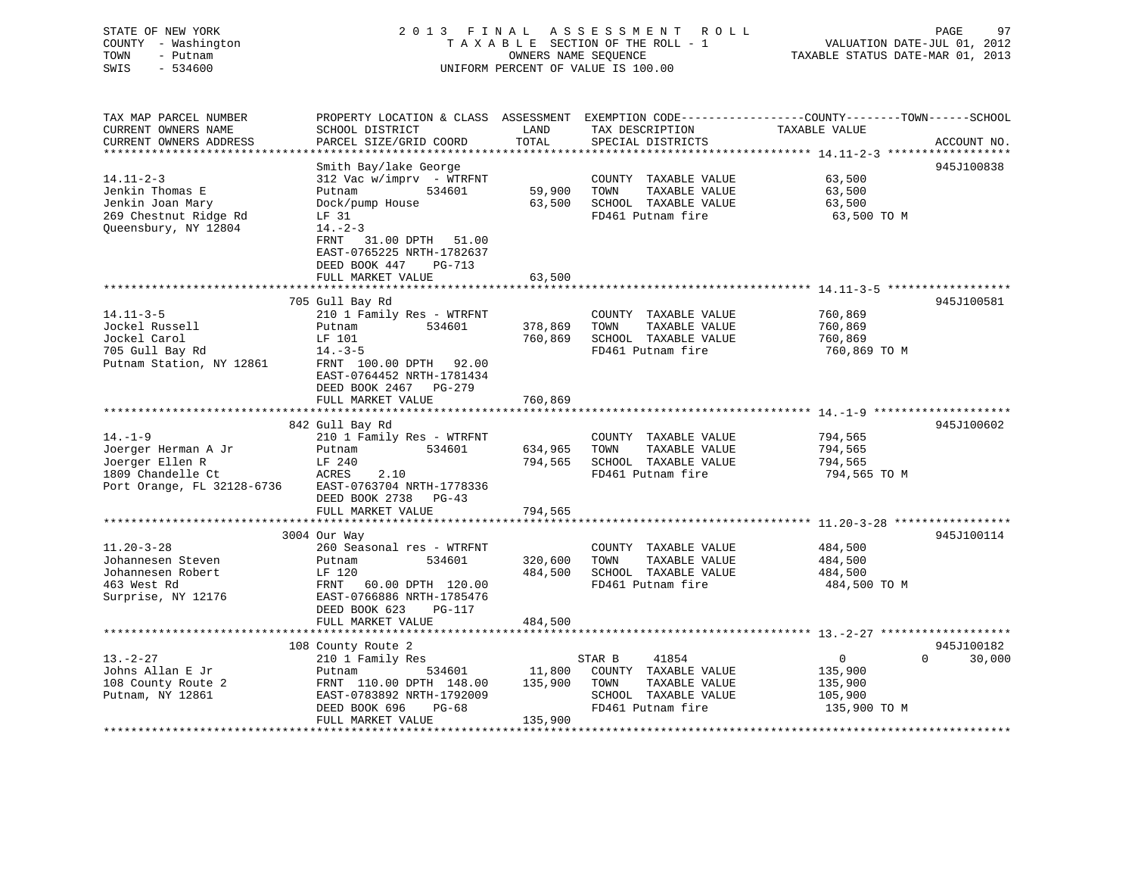| STATE OF NEW YORK   | 2013 FINAL ASSESSMENT ROLL         | -97<br>PAGE                      |
|---------------------|------------------------------------|----------------------------------|
| COUNTY - Washington | TAXABLE SECTION OF THE ROLL - 1    | VALUATION DATE-JUL 01, 2012      |
| TOWN<br>– Putnam    | OWNERS NAME SEOUENCE               | TAXABLE STATUS DATE-MAR 01, 2013 |
| SWIS<br>- 534600    | UNIFORM PERCENT OF VALUE IS 100.00 |                                  |
|                     |                                    |                                  |

| TAX MAP PARCEL NUMBER                | PROPERTY LOCATION & CLASS ASSESSMENT |               | EXEMPTION CODE-----------------COUNTY-------TOWN------SCHOOL |                |                    |
|--------------------------------------|--------------------------------------|---------------|--------------------------------------------------------------|----------------|--------------------|
| CURRENT OWNERS NAME                  | SCHOOL DISTRICT                      | LAND          | TAX DESCRIPTION                                              | TAXABLE VALUE  |                    |
| CURRENT OWNERS ADDRESS               | PARCEL SIZE/GRID COORD               | TOTAL         | SPECIAL DISTRICTS                                            |                | ACCOUNT NO.        |
|                                      |                                      |               |                                                              |                |                    |
|                                      | Smith Bay/lake George                |               |                                                              |                | 945J100838         |
| $14.11 - 2 - 3$                      | 312 Vac w/imprv - WTRFNT             |               | COUNTY TAXABLE VALUE                                         | 63,500         |                    |
| Jenkin Thomas E                      | 534601<br>Putnam                     | 59,900        | TAXABLE VALUE<br>TOWN                                        | 63,500         |                    |
| Jenkin Joan Mary                     | Dock/pump House                      | 63,500        | SCHOOL TAXABLE VALUE                                         | 63,500         |                    |
| 269 Chestnut Ridge Rd                | LF 31                                |               | FD461 Putnam fire                                            | 63,500 TO M    |                    |
| Oueensbury, NY 12804                 | $14. - 2 - 3$                        |               |                                                              |                |                    |
|                                      | FRNT<br>31.00 DPTH 51.00             |               |                                                              |                |                    |
|                                      | EAST-0765225 NRTH-1782637            |               |                                                              |                |                    |
|                                      | DEED BOOK 447<br>PG-713              |               |                                                              |                |                    |
|                                      | FULL MARKET VALUE                    | 63,500        |                                                              |                |                    |
|                                      | *****************************        | ************* |                                                              |                |                    |
|                                      | 705 Gull Bay Rd                      |               |                                                              |                | 945J100581         |
| $14.11 - 3 - 5$                      | 210 1 Family Res - WTRFNT            |               | COUNTY TAXABLE VALUE                                         | 760,869        |                    |
| Jockel Russell                       | 534601<br>Putnam                     | 378,869       | TOWN<br>TAXABLE VALUE                                        | 760,869        |                    |
| Jockel Carol                         | LF 101                               | 760,869       | SCHOOL TAXABLE VALUE                                         | 760,869        |                    |
| 705 Gull Bay Rd                      | $14.-3-5$                            |               | FD461 Putnam fire                                            | 760,869 ТО М   |                    |
| Putnam Station, NY 12861             | FRNT 100.00 DPTH 92.00               |               |                                                              |                |                    |
|                                      | EAST-0764452 NRTH-1781434            |               |                                                              |                |                    |
|                                      | DEED BOOK 2467 PG-279                |               |                                                              |                |                    |
|                                      | FULL MARKET VALUE                    | 760,869       |                                                              |                |                    |
|                                      |                                      |               |                                                              |                |                    |
| $14. - 1 - 9$                        | 842 Gull Bay Rd                      |               |                                                              |                | 945J100602         |
|                                      | 210 1 Family Res - WTRFNT<br>534601  |               | COUNTY TAXABLE VALUE<br>TOWN                                 | 794,565        |                    |
| Joerger Herman A Jr                  | Putnam                               | 634,965       | TAXABLE VALUE                                                | 794,565        |                    |
| Joerger Ellen R<br>1809 Chandelle Ct | LF 240<br>ACRES                      | 794,565       | SCHOOL TAXABLE VALUE<br>FD461 Putnam fire                    | 794,565        |                    |
|                                      | 2.10<br>EAST-0763704 NRTH-1778336    |               |                                                              | 794,565 TO M   |                    |
| Port Orange, FL 32128-6736           | DEED BOOK 2738<br>$PG-43$            |               |                                                              |                |                    |
|                                      | FULL MARKET VALUE                    | 794,565       |                                                              |                |                    |
|                                      |                                      |               |                                                              |                |                    |
|                                      | 3004 Our Way                         |               |                                                              |                | 945J100114         |
| $11.20 - 3 - 28$                     | 260 Seasonal res - WTRFNT            |               | COUNTY TAXABLE VALUE                                         | 484,500        |                    |
| Johannesen Steven                    | Putnam<br>534601                     | 320,600       | TOWN<br>TAXABLE VALUE                                        | 484,500        |                    |
| Johannesen Robert                    | LF 120                               | 484,500       | SCHOOL TAXABLE VALUE                                         | 484,500        |                    |
| 463 West Rd                          | FRNT 60.00 DPTH 120.00               |               | FD461 Putnam fire                                            | 484,500 TO M   |                    |
| Surprise, NY 12176                   | EAST-0766886 NRTH-1785476            |               |                                                              |                |                    |
|                                      | DEED BOOK 623<br>PG-117              |               |                                                              |                |                    |
|                                      | FULL MARKET VALUE                    | 484,500       |                                                              |                |                    |
|                                      |                                      |               |                                                              |                |                    |
|                                      | 108 County Route 2                   |               |                                                              |                | 945J100182         |
| $13. - 2 - 27$                       | 210 1 Family Res                     |               | STAR B<br>41854                                              | $\overline{0}$ | 30,000<br>$\Omega$ |
| Johns Allan E Jr                     | 534601<br>Putnam                     | 11,800        | COUNTY TAXABLE VALUE                                         | 135,900        |                    |
| 108 County Route 2                   | FRNT 110.00 DPTH 148.00              | 135,900       | TAXABLE VALUE<br>TOWN                                        | 135,900        |                    |
| Putnam, NY 12861                     | EAST-0783892 NRTH-1792009            |               | SCHOOL TAXABLE VALUE                                         | 105,900        |                    |
|                                      | DEED BOOK 696<br>$PG-68$             |               | FD461 Putnam fire                                            | 135,900 TO M   |                    |
|                                      | FULL MARKET VALUE                    | 135,900       |                                                              |                |                    |
|                                      |                                      |               |                                                              |                |                    |

PAGE 97<br>JUL 01, 2012<br>MAR 01, 2013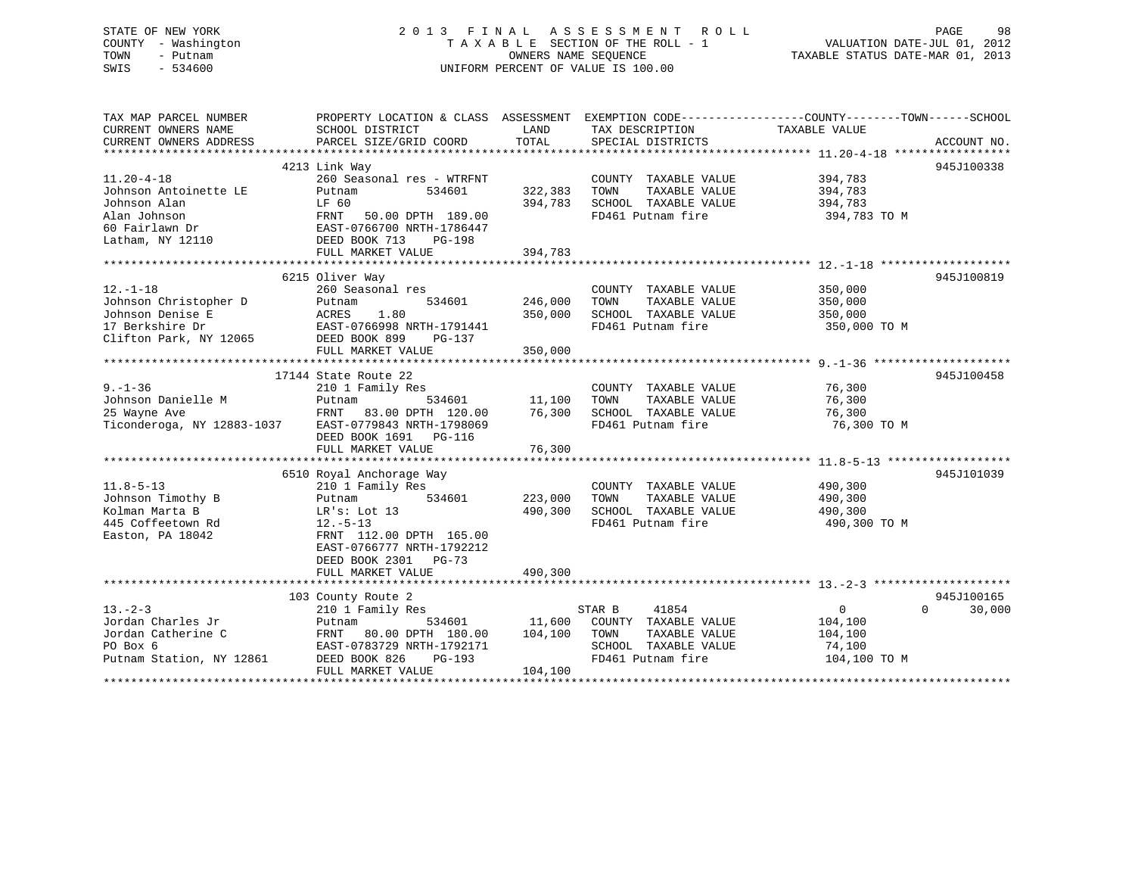## STATE OF NEW YORK 2 0 1 3 F I N A L A S S E S S M E N T R O L L PAGE 98 COUNTY - Washington T A X A B L E SECTION OF THE ROLL - 1 VALUATION DATE-JUL 01, 2012 TOWN - Putnam **CONNERS NAME SEQUENCE** TAXABLE STATUS DATE-MAR 01, 2013 SWIS - 534600 UNIFORM PERCENT OF VALUE IS 100.00

| TAX MAP PARCEL NUMBER                                | PROPERTY LOCATION & CLASS ASSESSMENT    |               |                              | EXEMPTION CODE-----------------COUNTY-------TOWN------SCHOOL |             |
|------------------------------------------------------|-----------------------------------------|---------------|------------------------------|--------------------------------------------------------------|-------------|
| CURRENT OWNERS NAME                                  | SCHOOL DISTRICT                         | LAND          | TAX DESCRIPTION              | TAXABLE VALUE                                                |             |
| CURRENT OWNERS ADDRESS                               | PARCEL SIZE/GRID COORD                  | TOTAL         | SPECIAL DISTRICTS            |                                                              | ACCOUNT NO. |
|                                                      |                                         |               |                              |                                                              |             |
|                                                      | 4213 Link Way                           |               |                              | 945J100338                                                   |             |
| $11.20 - 4 - 18$                                     | 260 Seasonal res - WTRFNT               |               | COUNTY TAXABLE VALUE         | 394,783                                                      |             |
| Johnson Antoinette LE                                | Putnam<br>534601                        | 322,383       | TOWN<br>TAXABLE VALUE        | 394,783                                                      |             |
| Johnson Alan                                         | LF 60                                   | 394,783       | SCHOOL TAXABLE VALUE         | 394,783                                                      |             |
| Alan Johnson                                         | FRNT<br>50.00 DPTH 189.00               |               | FD461 Putnam fire            | 394,783 TO M                                                 |             |
| 60 Fairlawn Dr                                       | EAST-0766700 NRTH-1786447               |               |                              |                                                              |             |
| Latham, NY 12110                                     | DEED BOOK 713<br>PG-198                 |               |                              |                                                              |             |
|                                                      | FULL MARKET VALUE                       | 394,783       |                              |                                                              |             |
|                                                      |                                         |               |                              |                                                              |             |
|                                                      | 6215 Oliver Way                         |               |                              | 945J100819                                                   |             |
| $12. - 1 - 18$                                       | 260 Seasonal res                        |               | COUNTY TAXABLE VALUE         | 350,000                                                      |             |
| Johnson Christopher D                                | 534601<br>Putnam                        | 246,000       | TOWN<br>TAXABLE VALUE        | 350,000                                                      |             |
| Johnson Denise E                                     |                                         | 350,000       | SCHOOL TAXABLE VALUE         | 350,000                                                      |             |
| 17 Berkshire Dr                                      | ACRES 1.80<br>EAST-0766998 NRTH-1791441 |               | FD461 Putnam fire            | 350,000 TO M                                                 |             |
| Clifton Park, NY 12065                               | DEED BOOK 899<br>PG-137                 |               |                              |                                                              |             |
|                                                      | FULL MARKET VALUE                       | 350,000       |                              |                                                              |             |
|                                                      |                                         |               |                              |                                                              |             |
|                                                      | 17144 State Route 22                    |               |                              | 945J100458                                                   |             |
| $9. - 1 - 36$                                        | 210 1 Family Res                        |               | COUNTY TAXABLE VALUE         | 76,300                                                       |             |
| Johnson Danielle M                                   |                                         | 534601 11,100 | TOWN<br>TAXABLE VALUE        | 76,300                                                       |             |
| 25 Wayne Ave                                         | Putnam 534601<br>FRNT 83.00 DPTH 120.00 | 76,300        | SCHOOL TAXABLE VALUE         | 76,300                                                       |             |
| Ticonderoga, NY 12883-1037 EAST-0779843 NRTH-1798069 |                                         |               | FD461 Putnam fire            | 76,300 TO M                                                  |             |
|                                                      | DEED BOOK 1691 PG-116                   |               |                              |                                                              |             |
|                                                      | FULL MARKET VALUE                       | 76,300        |                              |                                                              |             |
|                                                      |                                         |               |                              |                                                              |             |
|                                                      | 6510 Royal Anchorage Way                |               |                              | 945J101039                                                   |             |
| $11.8 - 5 - 13$                                      | 210 1 Family Res                        |               | COUNTY TAXABLE VALUE 490,300 |                                                              |             |
| Johnson Timothy B                                    | 534601<br>Putnam                        | 223,000       | TOWN<br>TAXABLE VALUE        | 490,300                                                      |             |
| Kolman Marta B                                       | LR's: Lot 13                            | 490,300       | SCHOOL TAXABLE VALUE         | 490,300                                                      |             |
| 445 Coffeetown Rd                                    | $12.-5-13$                              |               | FD461 Putnam fire            | 490,300 TO M                                                 |             |
| Easton, PA 18042                                     | FRNT 112.00 DPTH 165.00                 |               |                              |                                                              |             |
|                                                      | EAST-0766777 NRTH-1792212               |               |                              |                                                              |             |
|                                                      | DEED BOOK 2301<br>PG-73                 |               |                              |                                                              |             |
|                                                      | FULL MARKET VALUE                       | 490,300       |                              |                                                              |             |
|                                                      |                                         |               |                              |                                                              |             |
|                                                      | 103 County Route 2                      |               |                              |                                                              | 945J100165  |
| $13 - 2 - 3$                                         | 210 1 Family Res                        |               | 41854<br>STAR B              | $\Omega$<br>$\overline{0}$                                   | 30,000      |
| Jordan Charles Jr                                    | Putnam<br>534601                        | 11,600        | COUNTY TAXABLE VALUE         | 104,100                                                      |             |
| Jordan Catherine C                                   | FRNT 80.00 DPTH 180.00                  | 104,100       | TOWN<br>TAXABLE VALUE        | 104,100                                                      |             |
| PO Box 6                                             | EAST-0783729 NRTH-1792171               |               | SCHOOL TAXABLE VALUE         | 74,100                                                       |             |
| Putnam Station, NY 12861                             | DEED BOOK 826<br>$PG-193$               |               | FD461 Putnam fire            | 104,100 TO M                                                 |             |
|                                                      | FULL MARKET VALUE                       | 104,100       |                              |                                                              |             |
|                                                      |                                         |               |                              |                                                              |             |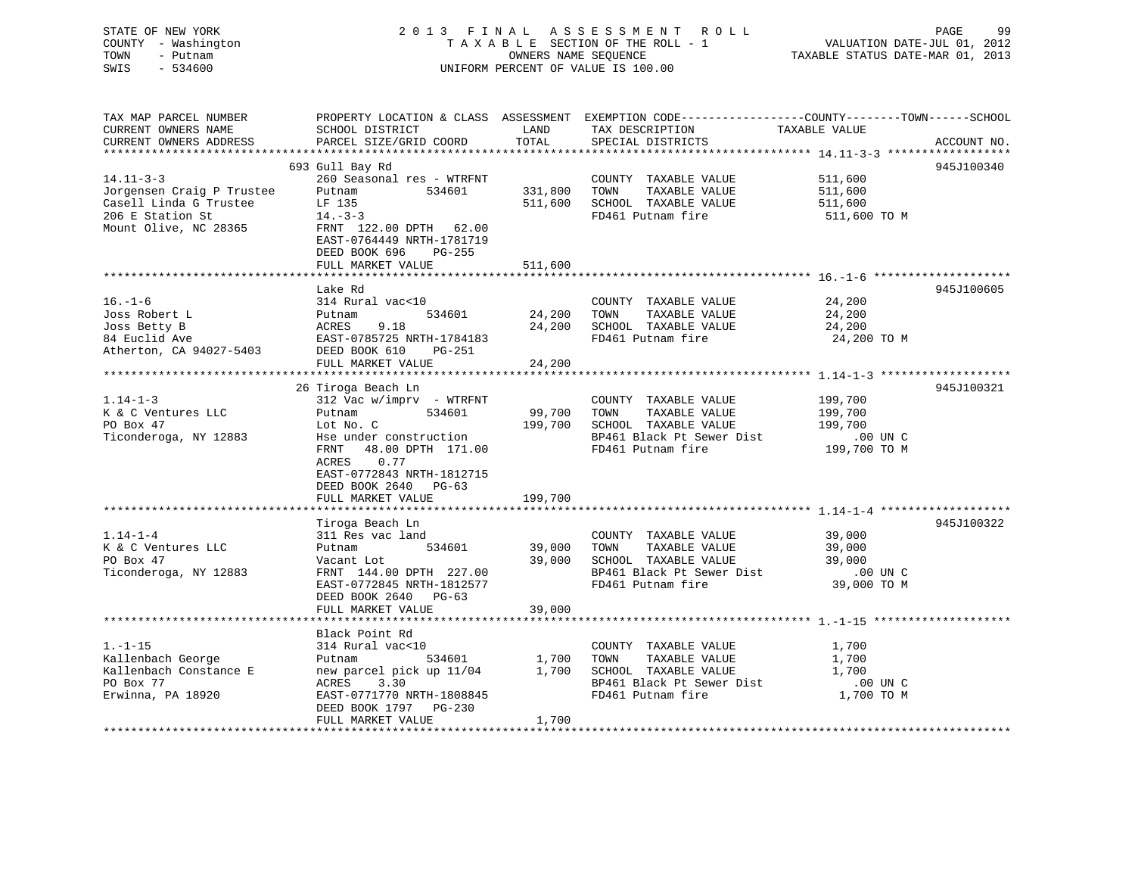## STATE OF NEW YORK 2 0 1 3 F I N A L A S S E S S M E N T R O L L PAGE 99 COUNTY - Washington T A X A B L E SECTION OF THE ROLL - 1 VALUATION DATE-JUL 01, 2012 TOWN - Putnam **CONNERS NAME SEQUENCE** TAXABLE STATUS DATE-MAR 01, 2013 SWIS - 534600 UNIFORM PERCENT OF VALUE IS 100.00

| TAX MAP PARCEL NUMBER<br>CURRENT OWNERS NAME<br>CURRENT OWNERS ADDRESS                                              | SCHOOL DISTRICT<br>PARCEL SIZE/GRID COORD                                                                                                                                                                | LAND<br>TOTAL                | TAX DESCRIPTION<br>SPECIAL DISTRICTS                                                                                    | PROPERTY LOCATION & CLASS ASSESSMENT EXEMPTION CODE----------------COUNTY-------TOWN------SCHOOL<br>TAXABLE VALUE<br>ACCOUNT NO. |
|---------------------------------------------------------------------------------------------------------------------|----------------------------------------------------------------------------------------------------------------------------------------------------------------------------------------------------------|------------------------------|-------------------------------------------------------------------------------------------------------------------------|----------------------------------------------------------------------------------------------------------------------------------|
|                                                                                                                     |                                                                                                                                                                                                          |                              |                                                                                                                         |                                                                                                                                  |
| $14.11 - 3 - 3$<br>Jorgensen Craig P Trustee<br>Casell Linda G Trustee<br>206 E Station St<br>Mount Olive, NC 28365 | 693 Gull Bay Rd<br>260 Seasonal res - WTRFNT<br>Putnam<br>534601<br>LF 135<br>$14. - 3 - 3$<br>FRNT 122.00 DPTH 62.00<br>EAST-0764449 NRTH-1781719<br>DEED BOOK 696<br>PG-255                            | 331,800<br>511,600           | COUNTY TAXABLE VALUE<br>TOWN<br>TAXABLE VALUE<br>SCHOOL TAXABLE VALUE<br>FD461 Putnam fire                              | 945J100340<br>511,600<br>511,600<br>511,600<br>511,600 TO M                                                                      |
|                                                                                                                     | FULL MARKET VALUE                                                                                                                                                                                        | 511,600                      |                                                                                                                         |                                                                                                                                  |
|                                                                                                                     |                                                                                                                                                                                                          |                              |                                                                                                                         |                                                                                                                                  |
| $16. - 1 - 6$<br>Joss Robert L<br>Joss Betty B<br>84 Euclid Ave<br>Atherton, CA 94027-5403                          | Lake Rd<br>314 Rural vac<10<br>534601<br>Putnam<br>ACRES<br>9.18<br>EAST-0785725 NRTH-1784183<br>DEED BOOK 610<br>PG-251<br>FULL MARKET VALUE                                                            | 24,200<br>24,200<br>24,200   | COUNTY TAXABLE VALUE<br>TAXABLE VALUE<br>TOWN<br>SCHOOL TAXABLE VALUE<br>FD461 Putnam fire                              | 945J100605<br>24,200<br>24,200<br>24,200<br>24,200 TO M                                                                          |
|                                                                                                                     | 26 Tiroga Beach Ln                                                                                                                                                                                       |                              |                                                                                                                         | 945J100321                                                                                                                       |
| $1.14 - 1 - 3$<br>K & C Ventures LLC<br>PO Box 47<br>Ticonderoga, NY 12883                                          | 312 Vac w/imprv - WTRFNT<br>534601<br>Putnam<br>Lot No. C<br>Hse under construction<br>FRNT 48.00 DPTH 171.00<br>ACRES<br>0.77<br>EAST-0772843 NRTH-1812715<br>DEED BOOK 2640 PG-63<br>FULL MARKET VALUE | 99,700<br>199,700<br>199,700 | COUNTY TAXABLE VALUE<br>TOWN<br>TAXABLE VALUE<br>SCHOOL TAXABLE VALUE<br>BP461 Black Pt Sewer Dist<br>FD461 Putnam fire | 199,700<br>199,700<br>199,700<br>$.00$ UN $C$<br>ں מט ∪0.<br>199,700 TO M                                                        |
|                                                                                                                     |                                                                                                                                                                                                          |                              |                                                                                                                         |                                                                                                                                  |
| $1.14 - 1 - 4$<br>K & C Ventures LLC<br>PO Box 47<br>Ticonderoga, NY 12883                                          | Tiroga Beach Ln<br>311 Res vac land<br>534601<br>Putnam<br>Vacant Lot<br>FRNT 144.00 DPTH 227.00<br>EAST-0772845 NRTH-1812577<br>DEED BOOK 2640 PG-63<br>FULL MARKET VALUE                               | 39,000<br>39,000<br>39,000   | COUNTY TAXABLE VALUE<br>TAXABLE VALUE<br>TOWN<br>SCHOOL TAXABLE VALUE<br>BP461 Black Pt Sewer Dist<br>FD461 Putnam fire | 945J100322<br>39,000<br>39,000<br>39,000<br>.00 UN C<br>39,000 TO M                                                              |
|                                                                                                                     |                                                                                                                                                                                                          |                              |                                                                                                                         |                                                                                                                                  |
| $1. - 1 - 15$<br>Kallenbach George<br>Kallenbach Constance E<br>PO Box 77<br>Erwinna, PA 18920                      | Black Point Rd<br>314 Rural vac<10<br>534601<br>Putnam<br>new parcel pick up 11/04<br>3.30<br>ACRES<br>EAST-0771770 NRTH-1808845<br>DEED BOOK 1797 PG-230<br>FULL MARKET VALUE                           | 1,700<br>1,700<br>1,700      | COUNTY TAXABLE VALUE<br>TAXABLE VALUE<br>TOWN<br>SCHOOL TAXABLE VALUE<br>BP461 Black Pt Sewer Dist<br>FD461 Putnam fire | 1,700<br>1,700<br>1,700<br>.00 UN C<br>1,700 TO M                                                                                |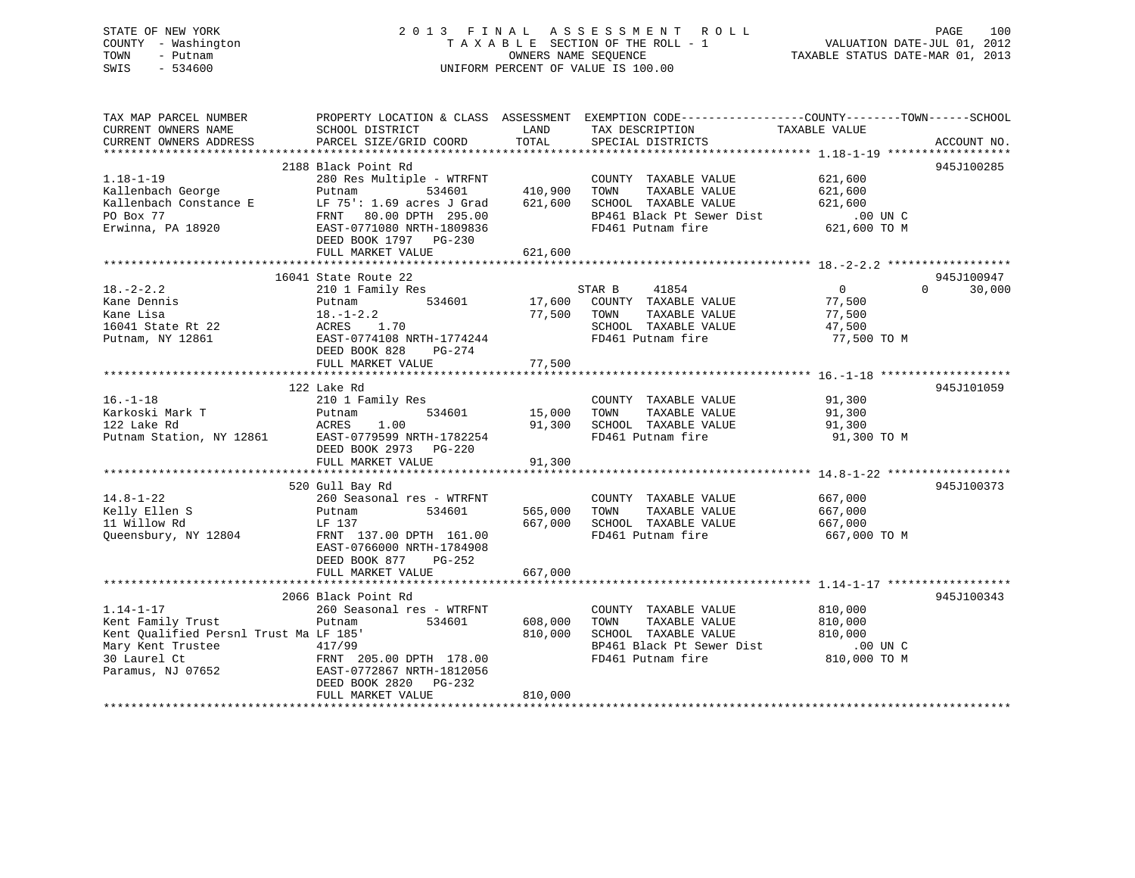## STATE OF NEW YORK 2 0 1 3 F I N A L A S S E S S M E N T R O L L PAGE 100 COUNTY - Washington T A X A B L E SECTION OF THE ROLL - 1 VALUATION DATE-JUL 01, 2012 TOWN - Putnam OWNERS NAME SEQUENCE TAXABLE STATUS DATE-MAR 01, 2013 SWIS - 534600 UNIFORM PERCENT OF VALUE IS 100.00

| TAX MAP PARCEL NUMBER                              |                                                      |             | PROPERTY LOCATION & CLASS ASSESSMENT EXEMPTION CODE---------------COUNTY-------TOWN------SCHOOL |                                 |                    |
|----------------------------------------------------|------------------------------------------------------|-------------|-------------------------------------------------------------------------------------------------|---------------------------------|--------------------|
| CURRENT OWNERS NAME                                | SCHOOL DISTRICT                                      | LAND        | TAX DESCRIPTION                                                                                 | TAXABLE VALUE                   |                    |
|                                                    |                                                      |             |                                                                                                 |                                 |                    |
|                                                    |                                                      |             |                                                                                                 |                                 |                    |
|                                                    | 2188 Black Point Rd                                  |             |                                                                                                 |                                 | 945J100285         |
|                                                    |                                                      |             |                                                                                                 | 621,600                         |                    |
|                                                    |                                                      |             |                                                                                                 | 621,600                         |                    |
|                                                    |                                                      |             |                                                                                                 | 621,600                         |                    |
|                                                    |                                                      |             |                                                                                                 |                                 |                    |
|                                                    |                                                      |             | BP461 Black Pt Sewer Dist .00 UN C<br>FD461 Putnam fire 621,600 TO M                            |                                 |                    |
|                                                    | DEED BOOK 1797 PG-230                                |             |                                                                                                 |                                 |                    |
|                                                    | FULL MARKET VALUE                                    | 621,600     |                                                                                                 |                                 |                    |
|                                                    |                                                      |             |                                                                                                 |                                 |                    |
|                                                    | 16041 State Route 22                                 |             |                                                                                                 |                                 | 945J100947         |
| $18. -2 - 2.2$                                     |                                                      |             |                                                                                                 | $\overline{0}$                  | $\Omega$<br>30,000 |
| Kane Dennis                                        | 210 1 Family Res                                     |             |                                                                                                 |                                 |                    |
|                                                    | Putnam                                               |             |                                                                                                 |                                 |                    |
| Kane Lisa                                          | $18. - 1 - 2.2$<br>⊥o.<br>ACRES<br>™AST-<br>1.70     | 77,500 TOWN | TAXABLE VALUE                                                                                   | 77,500<br>$\frac{77}{17}$ , 500 |                    |
| 16041 State Rt 22                                  |                                                      |             | SCHOOL TAXABLE VALUE                                                                            |                                 |                    |
| Putnam, NY 12861                                   | EAST-0774108 NRTH-1774244                            |             | FD461 Putnam fire                                                                               | 77,500 TO M                     |                    |
|                                                    | DEED BOOK 828 PG-274                                 |             |                                                                                                 |                                 |                    |
|                                                    | FULL MARKET VALUE                                    | 77,500      |                                                                                                 |                                 |                    |
|                                                    |                                                      |             |                                                                                                 |                                 |                    |
|                                                    | 122 Lake Rd                                          |             |                                                                                                 |                                 | 945J101059         |
| $16. - 1 - 18$                                     | 210 1 Family Res                                     |             | COUNTY TAXABLE VALUE                                                                            | 91,300                          |                    |
|                                                    |                                                      |             | TAXABLE VALUE 91,300                                                                            |                                 |                    |
| 16.-1-18<br>Karkoski Mark T<br>معامر 1920 RACRES   | 1.00                                                 |             | 91,300 SCHOOL TAXABLE VALUE                                                                     | 91,300                          |                    |
| Putnam Station, NY 12861 EAST-0779599 NRTH-1782254 |                                                      |             | FD461 Putnam fire                                                                               | 91,300 TO M                     |                    |
|                                                    | DEED BOOK 2973 PG-220                                |             |                                                                                                 |                                 |                    |
|                                                    | FULL MARKET VALUE                                    | 91,300      |                                                                                                 |                                 |                    |
|                                                    |                                                      |             |                                                                                                 |                                 |                    |
|                                                    | 520 Gull Bay Rd                                      |             |                                                                                                 |                                 | 945J100373         |
| $14.8 - 1 - 22$                                    | 260 Seasonal res - WTRFNT                            |             | COUNTY TAXABLE VALUE                                                                            |                                 |                    |
| Kelly Ellen S                                      | 534601 565,000 TOWN<br>Putnam                        |             | TAXABLE VALUE                                                                                   | 667,000<br>667,000              |                    |
| 11 Willow Rd                                       | LF 137                                               | 667,000     | SCHOOL TAXABLE VALUE                                                                            |                                 |                    |
|                                                    |                                                      |             | FD461 Putnam fire                                                                               | 667,000<br>667,000 TO M         |                    |
| Queensbury, NY 12804                               | FRNT 137.00 DPTH 161.00                              |             |                                                                                                 |                                 |                    |
|                                                    | EAST-0766000 NRTH-1784908                            |             |                                                                                                 |                                 |                    |
|                                                    | DEED BOOK 877 PG-252                                 |             |                                                                                                 |                                 |                    |
|                                                    | FULL MARKET VALUE                                    | 667,000     |                                                                                                 |                                 |                    |
|                                                    |                                                      |             |                                                                                                 |                                 |                    |
|                                                    | 2066 Black Point Rd                                  |             |                                                                                                 |                                 | 945J100343         |
| $1.14 - 1 - 17$                                    | 260 Seasonal res - WTRFNT                            |             | COUNTY TAXABLE VALUE                                                                            | 810,000                         |                    |
| Kent Family Trust                                  | 534601 608,000<br>Putnam                             |             | TOWN<br>TAXABLE VALUE                                                                           | 810,000                         |                    |
| Kent Oualified Persnl Trust Ma LF 185'             |                                                      | 810,000     | SCHOOL TAXABLE VALUE                                                                            | 810,000                         |                    |
| Mary Kent Trustee                                  | 417/99                                               |             | SCHOOL TAXABLE VALUE 010,000<br>BP461 Black Pt Sewer Dist 00 UN C                               |                                 |                    |
| 30 Laurel Ct                                       | FRNT 205.00 DPTH 178.00<br>EAST-0772867 NRTH-1812056 |             | FD461 Putnam fire                                                                               | 810,000 TO M                    |                    |
| Paramus, NJ 07652                                  |                                                      |             |                                                                                                 |                                 |                    |
|                                                    | DEED BOOK 2820 PG-232                                |             |                                                                                                 |                                 |                    |
|                                                    | FULL MARKET VALUE                                    | 810,000     |                                                                                                 |                                 |                    |
|                                                    |                                                      |             |                                                                                                 |                                 |                    |
|                                                    |                                                      |             |                                                                                                 |                                 |                    |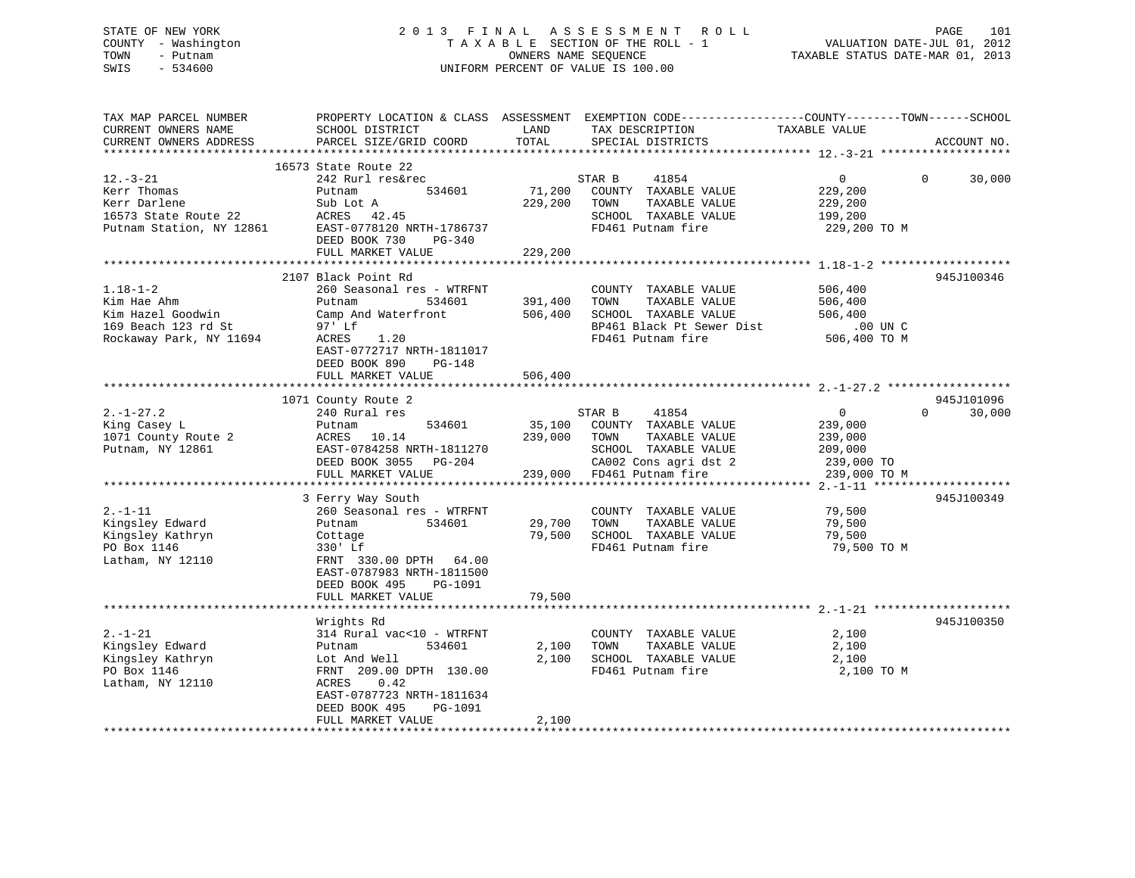## STATE OF NEW YORK 2 0 1 3 F I N A L A S S E S S M E N T R O L L PAGE 101 COUNTY - Washington T A X A B L E SECTION OF THE ROLL - 1 VALUATION DATE-JUL 01, 2012 TOWN - Putnam OWNERS NAME SEQUENCE TAXABLE STATUS DATE-MAR 01, 2013 SWIS - 534600 UNIFORM PERCENT OF VALUE IS 100.00

| TAX MAP PARCEL NUMBER<br>CURRENT OWNERS NAME<br>CURRENT OWNERS ADDRESS<br>*************************  | PROPERTY LOCATION & CLASS ASSESSMENT<br>SCHOOL DISTRICT<br>PARCEL SIZE/GRID COORD                                                                                                                     | LAND<br>TOTAL                 | EXEMPTION CODE-----------------COUNTY-------TOWN------SCHOOL<br>TAX DESCRIPTION<br>SPECIAL DISTRICTS                                   | TAXABLE VALUE                                                    | ACCOUNT NO.                           |
|------------------------------------------------------------------------------------------------------|-------------------------------------------------------------------------------------------------------------------------------------------------------------------------------------------------------|-------------------------------|----------------------------------------------------------------------------------------------------------------------------------------|------------------------------------------------------------------|---------------------------------------|
| $12.-3-21$<br>Kerr Thomas<br>Kerr Darlene<br>16573 State Route 22<br>Putnam Station, NY 12861        | 16573 State Route 22<br>242 Rurl res&rec<br>534601<br>Putnam<br>Sub Lot A<br>ACRES 42.45<br>EAST-0778120 NRTH-1786737<br>DEED BOOK 730<br>$PG-340$                                                    | 71,200<br>229,200             | STAR B<br>41854<br>COUNTY TAXABLE VALUE<br>TOWN<br>TAXABLE VALUE<br>SCHOOL TAXABLE VALUE<br>FD461 Putnam fire                          | $\overline{0}$<br>229,200<br>229,200<br>199,200<br>229,200 TO M  | 30,000<br>$\Omega$                    |
|                                                                                                      | FULL MARKET VALUE                                                                                                                                                                                     | 229,200                       |                                                                                                                                        |                                                                  |                                       |
| $1.18 - 1 - 2$<br>Kim Hae Ahm<br>Kim Hazel Goodwin<br>169 Beach 123 rd St<br>Rockaway Park, NY 11694 | 2107 Black Point Rd<br>260 Seasonal res - WTRFNT<br>Putnam<br>534601<br>Camp And Waterfront<br>97' Lf<br>1.20<br>ACRES<br>EAST-0772717 NRTH-1811017<br>DEED BOOK 890<br>PG-148<br>FULL MARKET VALUE   | 391,400<br>506,400<br>506,400 | COUNTY TAXABLE VALUE<br>TOWN<br>TAXABLE VALUE<br>SCHOOL TAXABLE VALUE<br>BP461 Black Pt Sewer Dist<br>FD461 Putnam fire                | 506,400<br>506,400<br>506,400<br>$.00$ UN $C$<br>506,400 TO M    | * * * * * * * * * * * *<br>945J100346 |
|                                                                                                      | *****************************                                                                                                                                                                         |                               |                                                                                                                                        |                                                                  |                                       |
| $2. - 1 - 27.2$<br>King Casey L<br>1071 County Route 2<br>Putnam, NY 12861                           | 1071 County Route 2<br>240 Rural res<br>534601<br>Putnam<br>ACRES<br>10.14<br>EAST-0784258 NRTH-1811270<br>DEED BOOK 3055<br>PG-204<br>FULL MARKET VALUE                                              | 35,100<br>239,000<br>239,000  | STAR B<br>41854<br>COUNTY TAXABLE VALUE<br>TOWN<br>TAXABLE VALUE<br>SCHOOL TAXABLE VALUE<br>CA002 Cons agri dst 2<br>FD461 Putnam fire | 0<br>239,000<br>239,000<br>209,000<br>239,000 TO<br>239,000 TO M | 945J101096<br>$\Omega$<br>30,000      |
|                                                                                                      |                                                                                                                                                                                                       |                               |                                                                                                                                        |                                                                  | 945J100349                            |
| $2. - 1 - 11$<br>Kingsley Edward<br>Kingsley Kathryn<br>PO Box 1146<br>Latham, NY 12110              | 3 Ferry Way South<br>260 Seasonal res - WTRFNT<br>534601<br>Putnam<br>Cottage<br>330' Lf<br>FRNT 330.00 DPTH<br>64.00<br>EAST-0787983 NRTH-1811500<br>DEED BOOK 495<br>PG-1091                        | 29,700<br>79,500              | COUNTY TAXABLE VALUE<br>TOWN<br>TAXABLE VALUE<br>SCHOOL TAXABLE VALUE<br>FD461 Putnam fire                                             | 79,500<br>79,500<br>79,500<br>79,500 TO M                        |                                       |
|                                                                                                      | FULL MARKET VALUE                                                                                                                                                                                     | 79,500                        |                                                                                                                                        |                                                                  |                                       |
|                                                                                                      |                                                                                                                                                                                                       |                               |                                                                                                                                        |                                                                  |                                       |
| $2. - 1 - 21$<br>Kingsley Edward<br>Kingsley Kathryn<br>PO Box 1146<br>Latham, NY 12110              | Wrights Rd<br>314 Rural vac<10 - WTRFNT<br>534601<br>Putnam<br>Lot And Well<br>FRNT 209.00 DPTH 130.00<br>0.42<br>ACRES<br>EAST-0787723 NRTH-1811634<br>DEED BOOK 495<br>PG-1091<br>FULL MARKET VALUE | 2,100<br>2,100<br>2,100       | COUNTY TAXABLE VALUE<br>TOWN<br>TAXABLE VALUE<br>SCHOOL TAXABLE VALUE<br>FD461 Putnam fire                                             | 2,100<br>2,100<br>2,100<br>2,100 TO M                            | 945J100350                            |
|                                                                                                      |                                                                                                                                                                                                       |                               |                                                                                                                                        |                                                                  |                                       |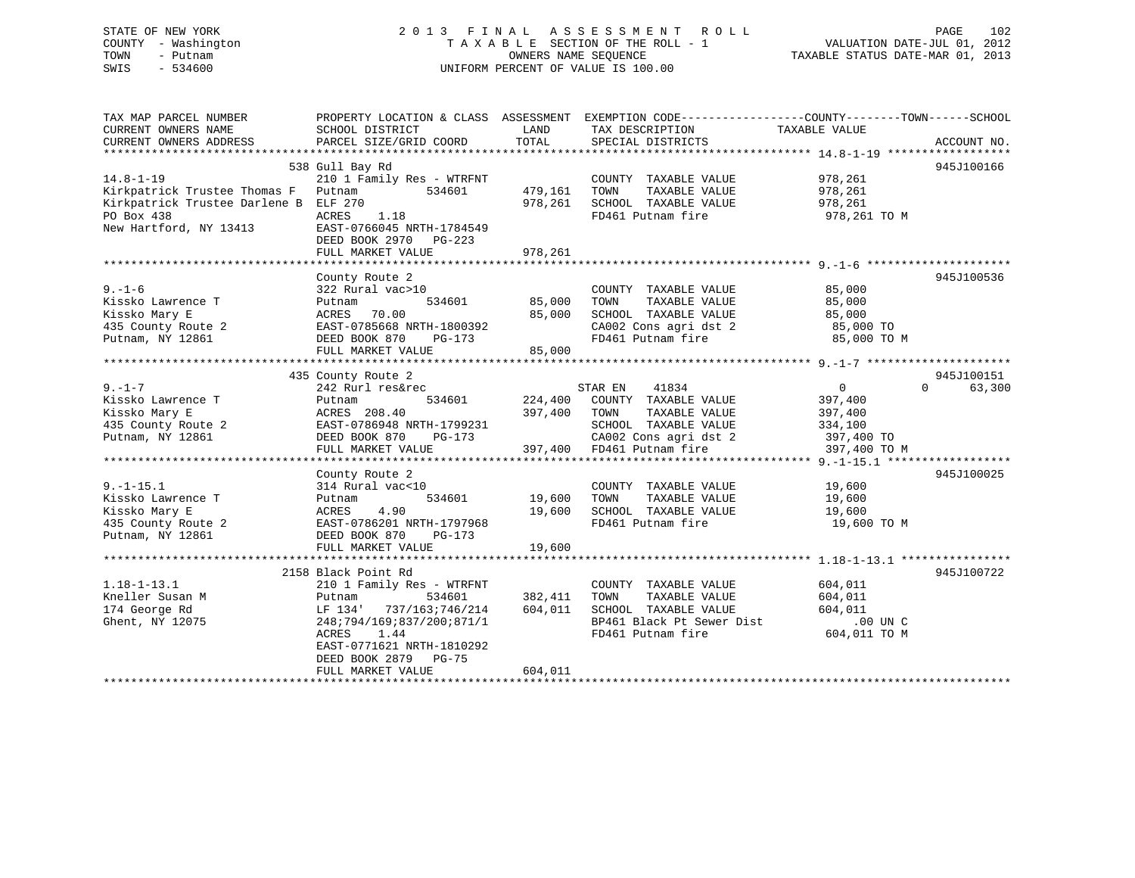## STATE OF NEW YORK 2 0 1 3 F I N A L A S S E S S M E N T R O L L PAGE 102 COUNTY - Washington T A X A B L E SECTION OF THE ROLL - 1 VALUATION DATE-JUL 01, 2012 TOWN - Putnam OWNERS NAME SEQUENCE TAXABLE STATUS DATE-MAR 01, 2013 SWIS - 534600 UNIFORM PERCENT OF VALUE IS 100.00

| TAX MAP PARCEL NUMBER<br>CURRENT OWNERS NAME | PROPERTY LOCATION & CLASS ASSESSMENT<br>SCHOOL DISTRICT | LAND    | EXEMPTION CODE-----------------COUNTY-------TOWN------SCHOOL<br>TAX DESCRIPTION | TAXABLE VALUE  |                    |
|----------------------------------------------|---------------------------------------------------------|---------|---------------------------------------------------------------------------------|----------------|--------------------|
| CURRENT OWNERS ADDRESS                       | PARCEL SIZE/GRID COORD                                  | TOTAL   | SPECIAL DISTRICTS                                                               |                | ACCOUNT NO.        |
|                                              |                                                         |         |                                                                                 |                |                    |
| $14.8 - 1 - 19$                              | 538 Gull Bay Rd<br>210 1 Family Res - WTRFNT            |         | COUNTY TAXABLE VALUE                                                            | 978,261        | 945J100166         |
| Kirkpatrick Trustee Thomas F                 | 534601<br>Putnam                                        | 479,161 | TOWN<br>TAXABLE VALUE                                                           | 978,261        |                    |
| Kirkpatrick Trustee Darlene B                | ELF 270                                                 | 978,261 | SCHOOL TAXABLE VALUE                                                            | 978,261        |                    |
| PO Box 438                                   | ACRES<br>1.18                                           |         | FD461 Putnam fire                                                               | 978,261 TO M   |                    |
| New Hartford, NY 13413                       | EAST-0766045 NRTH-1784549<br>DEED BOOK 2970 PG-223      |         |                                                                                 |                |                    |
|                                              | FULL MARKET VALUE                                       | 978,261 |                                                                                 |                |                    |
|                                              |                                                         |         |                                                                                 |                |                    |
|                                              | County Route 2                                          |         |                                                                                 |                | 945J100536         |
| $9. - 1 - 6$                                 | 322 Rural vac>10                                        |         | COUNTY TAXABLE VALUE                                                            | 85,000         |                    |
| Kissko Lawrence T                            | 534601<br>Putnam                                        | 85,000  | TOWN<br>TAXABLE VALUE                                                           | 85,000         |                    |
| Kissko Mary E                                | 70.00<br>ACRES                                          | 85,000  | SCHOOL TAXABLE VALUE                                                            | 85,000         |                    |
| 435 County Route 2                           | EAST-0785668 NRTH-1800392                               |         | CA002 Cons agri dst 2                                                           | 85,000 TO      |                    |
| Putnam, NY 12861                             | DEED BOOK 870<br>PG-173                                 |         | FD461 Putnam fire                                                               | 85,000 TO M    |                    |
|                                              | FULL MARKET VALUE                                       | 85,000  |                                                                                 |                |                    |
|                                              |                                                         |         |                                                                                 |                |                    |
|                                              | 435 County Route 2                                      |         |                                                                                 |                | 945J100151         |
| $9. - 1 - 7$                                 | 242 Rurl res&rec                                        |         | STAR EN<br>41834                                                                | $\overline{0}$ | $\Omega$<br>63,300 |
| Kissko Lawrence T                            | 534601<br>Putnam                                        | 224,400 | COUNTY TAXABLE VALUE                                                            | 397,400        |                    |
| Kissko Mary E                                | ACRES 208.40                                            | 397,400 | TOWN<br>TAXABLE VALUE                                                           | 397,400        |                    |
| 435 County Route 2                           | EAST-0786948 NRTH-1799231                               |         | SCHOOL TAXABLE VALUE                                                            | 334,100        |                    |
| Putnam, NY 12861                             | DEED BOOK 870<br>$PG-173$                               |         | CA002 Cons agri dst 2                                                           | 397,400 TO     |                    |
|                                              | FULL MARKET VALUE                                       | 397,400 | FD461 Putnam fire                                                               | 397,400 TO M   |                    |
|                                              |                                                         |         |                                                                                 |                |                    |
|                                              | County Route 2                                          |         |                                                                                 |                | 945J100025         |
| $9. - 1 - 15.1$                              | 314 Rural vac<10                                        |         | COUNTY TAXABLE VALUE                                                            | 19,600         |                    |
| Kissko Lawrence T                            | 534601<br>Putnam                                        | 19,600  | TAXABLE VALUE<br>TOWN                                                           | 19,600         |                    |
| Kissko Mary E                                | 4.90<br>ACRES                                           | 19,600  | SCHOOL TAXABLE VALUE                                                            | 19,600         |                    |
| 435 County Route 2                           | EAST-0786201 NRTH-1797968                               |         | FD461 Putnam fire                                                               | 19,600 TO M    |                    |
| Putnam, NY 12861                             | DEED BOOK 870<br>PG-173                                 |         |                                                                                 |                |                    |
|                                              | FULL MARKET VALUE                                       | 19,600  |                                                                                 |                |                    |
|                                              |                                                         |         |                                                                                 |                |                    |
|                                              | 2158 Black Point Rd                                     |         |                                                                                 |                | 945J100722         |
| $1.18 - 1 - 13.1$                            | 210 1 Family Res - WTRFNT                               |         | COUNTY TAXABLE VALUE                                                            | 604,011        |                    |
| Kneller Susan M                              | 534601<br>Putnam                                        | 382,411 | TAXABLE VALUE<br>TOWN                                                           | 604,011        |                    |
| 174 George Rd                                | 737/163;746/214<br>LF 134'                              | 604,011 | SCHOOL TAXABLE VALUE                                                            | 604,011        |                    |
| Ghent, NY 12075                              | 248;794/169;837/200;871/1                               |         | BP461 Black Pt Sewer Dist                                                       | .00 UN C       |                    |
|                                              | ACRES<br>1.44<br>EAST-0771621 NRTH-1810292              |         | FD461 Putnam fire                                                               | 604,011 TO M   |                    |
|                                              | DEED BOOK 2879 PG-75                                    | 604,011 |                                                                                 |                |                    |
|                                              | FULL MARKET VALUE                                       |         |                                                                                 |                |                    |
|                                              |                                                         |         |                                                                                 |                |                    |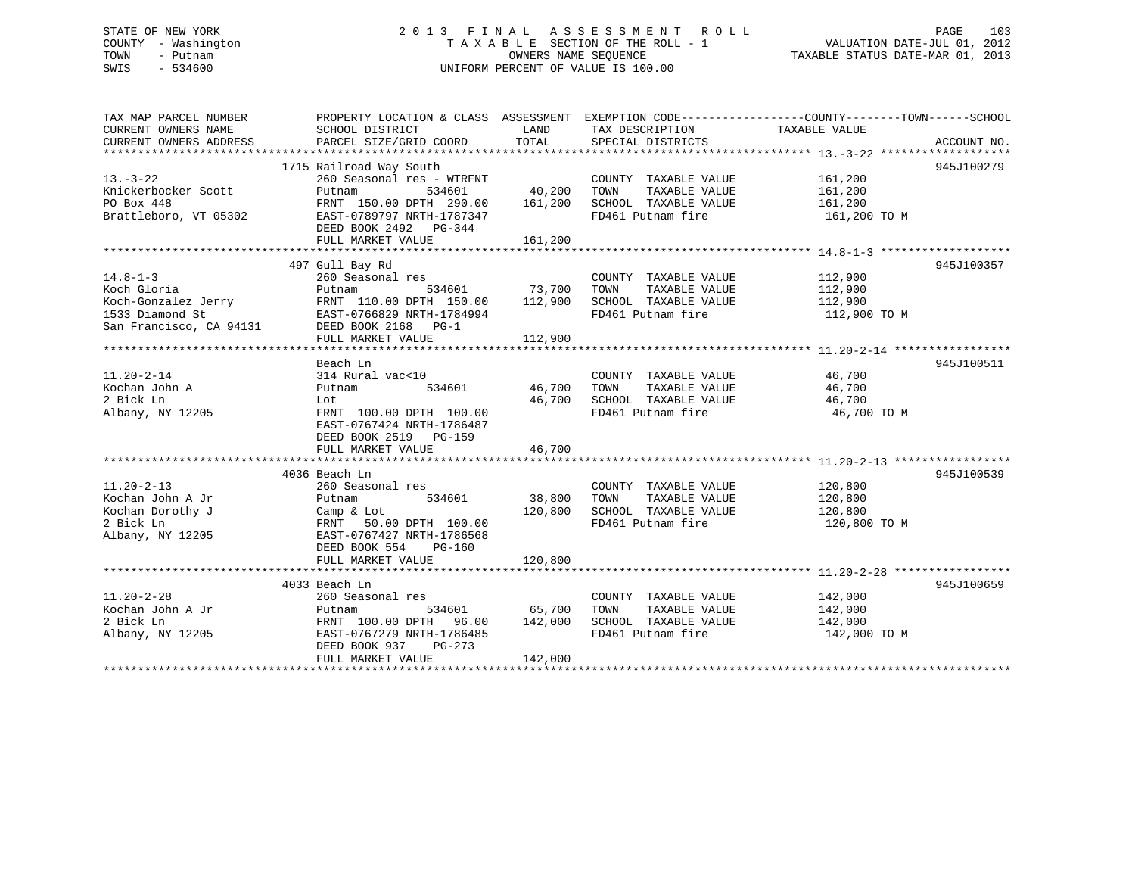## STATE OF NEW YORK 2 0 1 3 F I N A L A S S E S S M E N T R O L L PAGE 103 COUNTY - Washington T A X A B L E SECTION OF THE ROLL - 1 VALUATION DATE-JUL 01, 2012 TOWN - Putnam **CONNERS NAME SEQUENCE** TAXABLE STATUS DATE-MAR 01, 2013 SWIS - 534600 UNIFORM PERCENT OF VALUE IS 100.00

| TOTAL<br>CURRENT OWNERS ADDRESS<br>PARCEL SIZE/GRID COORD<br>SPECIAL DISTRICTS<br>ACCOUNT NO.<br>1715 Railroad Way South<br>945J100279<br>260 Seasonal res - WTRFNT<br>COUNTY TAXABLE VALUE<br>161,200<br>40,200<br>161,200<br>Knickerbocker Scott<br>Putnam<br>534601<br>TOWN<br>TAXABLE VALUE<br>161,200<br>161,200<br>PO Box 448<br>FRNT 150.00 DPTH 290.00<br>SCHOOL TAXABLE VALUE<br>Brattleboro, VT 05302<br>FD461 Putnam fire<br>EAST-0789797 NRTH-1787347<br>161,200 TO M<br>DEED BOOK 2492 PG-344<br>FULL MARKET VALUE<br>161,200<br>497 Gull Bay Rd<br>945J100357<br>COUNTY TAXABLE VALUE<br>112,900<br>260 Seasonal res<br>534601 73,700<br>TOWN<br>TAXABLE VALUE<br>112,900<br>Putnam<br>FRNT 110.00 DPTH 150.00 112,900<br>112,900<br>Koch-Gonzalez Jerry<br>SCHOOL TAXABLE VALUE<br>FD461 Putnam fire<br>EAST-0766829 NRTH-1784994<br>DEED BOOK 2168 PG-1<br>112,900 TO M<br>San Francisco, CA 94131<br>112,900<br>FULL MARKET VALUE<br>Beach Ln<br>945J100511<br>314 Rural vac<10<br>COUNTY TAXABLE VALUE<br>46,700<br>46,700<br>TAXABLE VALUE<br>Putnam<br>534601<br>TOWN<br>46,700<br>46,700<br>SCHOOL TAXABLE VALUE<br>46,700<br>Lot<br>FD461 Putnam fire<br>FRNT 100.00 DPTH 100.00<br>46,700 TO M<br>EAST-0767424 NRTH-1786487<br>DEED BOOK 2519 PG-159<br>46,700<br>FULL MARKET VALUE<br>945J100539<br>4036 Beach Ln<br>$11.20 - 2 - 13$<br>260 Seasonal res<br>COUNTY TAXABLE VALUE<br>120,800<br>38,800<br>Kochan John A Jr<br>534601<br>TOWN<br>TAXABLE VALUE<br>120,800<br>Putnam<br>Kochan Dorothy J<br>120,800<br>SCHOOL TAXABLE VALUE<br>120,800<br>Camp & Lot<br>2 Bick Ln<br>FD461 Putnam fire<br>120,800 TO M<br>FRNT 50.00 DPTH 100.00<br>Albany, NY 12205<br>EAST-0767427 NRTH-1786568<br>DEED BOOK 554<br>PG-160<br>120,800<br>FULL MARKET VALUE<br>945J100659<br>4033 Beach Ln<br>142,000<br>$11.20 - 2 - 28$<br>260 Seasonal res<br>COUNTY TAXABLE VALUE<br>Kochan John A Jr<br>534601<br>65,700<br>TOWN<br>TAXABLE VALUE<br>142,000<br>Putnam<br>2 Bick Ln<br>FRNT 100.00 DPTH 96.00 142,000<br>SCHOOL TAXABLE VALUE<br>142,000<br>Albany, NY 12205<br>FD461 Putnam fire<br>EAST-0767279 NRTH-1786485<br>142,000 TO M<br>DEED BOOK 937<br>PG-273<br>FULL MARKET VALUE<br>142,000 | TAX MAP PARCEL NUMBER<br>CURRENT OWNERS NAME | SCHOOL DISTRICT | LAND | TAX DESCRIPTION | PROPERTY LOCATION & CLASS ASSESSMENT EXEMPTION CODE----------------COUNTY-------TOWN------SCHOOL<br>TAXABLE VALUE |  |
|-----------------------------------------------------------------------------------------------------------------------------------------------------------------------------------------------------------------------------------------------------------------------------------------------------------------------------------------------------------------------------------------------------------------------------------------------------------------------------------------------------------------------------------------------------------------------------------------------------------------------------------------------------------------------------------------------------------------------------------------------------------------------------------------------------------------------------------------------------------------------------------------------------------------------------------------------------------------------------------------------------------------------------------------------------------------------------------------------------------------------------------------------------------------------------------------------------------------------------------------------------------------------------------------------------------------------------------------------------------------------------------------------------------------------------------------------------------------------------------------------------------------------------------------------------------------------------------------------------------------------------------------------------------------------------------------------------------------------------------------------------------------------------------------------------------------------------------------------------------------------------------------------------------------------------------------------------------------------------------------------------------------------------------------------------------------------------------------------------------------------------------------------------------------------------------------------------------------------|----------------------------------------------|-----------------|------|-----------------|-------------------------------------------------------------------------------------------------------------------|--|
|                                                                                                                                                                                                                                                                                                                                                                                                                                                                                                                                                                                                                                                                                                                                                                                                                                                                                                                                                                                                                                                                                                                                                                                                                                                                                                                                                                                                                                                                                                                                                                                                                                                                                                                                                                                                                                                                                                                                                                                                                                                                                                                                                                                                                       |                                              |                 |      |                 |                                                                                                                   |  |
|                                                                                                                                                                                                                                                                                                                                                                                                                                                                                                                                                                                                                                                                                                                                                                                                                                                                                                                                                                                                                                                                                                                                                                                                                                                                                                                                                                                                                                                                                                                                                                                                                                                                                                                                                                                                                                                                                                                                                                                                                                                                                                                                                                                                                       |                                              |                 |      |                 |                                                                                                                   |  |
|                                                                                                                                                                                                                                                                                                                                                                                                                                                                                                                                                                                                                                                                                                                                                                                                                                                                                                                                                                                                                                                                                                                                                                                                                                                                                                                                                                                                                                                                                                                                                                                                                                                                                                                                                                                                                                                                                                                                                                                                                                                                                                                                                                                                                       |                                              |                 |      |                 |                                                                                                                   |  |
|                                                                                                                                                                                                                                                                                                                                                                                                                                                                                                                                                                                                                                                                                                                                                                                                                                                                                                                                                                                                                                                                                                                                                                                                                                                                                                                                                                                                                                                                                                                                                                                                                                                                                                                                                                                                                                                                                                                                                                                                                                                                                                                                                                                                                       | $13. - 3 - 22$                               |                 |      |                 |                                                                                                                   |  |
|                                                                                                                                                                                                                                                                                                                                                                                                                                                                                                                                                                                                                                                                                                                                                                                                                                                                                                                                                                                                                                                                                                                                                                                                                                                                                                                                                                                                                                                                                                                                                                                                                                                                                                                                                                                                                                                                                                                                                                                                                                                                                                                                                                                                                       |                                              |                 |      |                 |                                                                                                                   |  |
|                                                                                                                                                                                                                                                                                                                                                                                                                                                                                                                                                                                                                                                                                                                                                                                                                                                                                                                                                                                                                                                                                                                                                                                                                                                                                                                                                                                                                                                                                                                                                                                                                                                                                                                                                                                                                                                                                                                                                                                                                                                                                                                                                                                                                       |                                              |                 |      |                 |                                                                                                                   |  |
|                                                                                                                                                                                                                                                                                                                                                                                                                                                                                                                                                                                                                                                                                                                                                                                                                                                                                                                                                                                                                                                                                                                                                                                                                                                                                                                                                                                                                                                                                                                                                                                                                                                                                                                                                                                                                                                                                                                                                                                                                                                                                                                                                                                                                       |                                              |                 |      |                 |                                                                                                                   |  |
|                                                                                                                                                                                                                                                                                                                                                                                                                                                                                                                                                                                                                                                                                                                                                                                                                                                                                                                                                                                                                                                                                                                                                                                                                                                                                                                                                                                                                                                                                                                                                                                                                                                                                                                                                                                                                                                                                                                                                                                                                                                                                                                                                                                                                       |                                              |                 |      |                 |                                                                                                                   |  |
|                                                                                                                                                                                                                                                                                                                                                                                                                                                                                                                                                                                                                                                                                                                                                                                                                                                                                                                                                                                                                                                                                                                                                                                                                                                                                                                                                                                                                                                                                                                                                                                                                                                                                                                                                                                                                                                                                                                                                                                                                                                                                                                                                                                                                       |                                              |                 |      |                 |                                                                                                                   |  |
|                                                                                                                                                                                                                                                                                                                                                                                                                                                                                                                                                                                                                                                                                                                                                                                                                                                                                                                                                                                                                                                                                                                                                                                                                                                                                                                                                                                                                                                                                                                                                                                                                                                                                                                                                                                                                                                                                                                                                                                                                                                                                                                                                                                                                       |                                              |                 |      |                 |                                                                                                                   |  |
|                                                                                                                                                                                                                                                                                                                                                                                                                                                                                                                                                                                                                                                                                                                                                                                                                                                                                                                                                                                                                                                                                                                                                                                                                                                                                                                                                                                                                                                                                                                                                                                                                                                                                                                                                                                                                                                                                                                                                                                                                                                                                                                                                                                                                       |                                              |                 |      |                 |                                                                                                                   |  |
|                                                                                                                                                                                                                                                                                                                                                                                                                                                                                                                                                                                                                                                                                                                                                                                                                                                                                                                                                                                                                                                                                                                                                                                                                                                                                                                                                                                                                                                                                                                                                                                                                                                                                                                                                                                                                                                                                                                                                                                                                                                                                                                                                                                                                       | $14.8 - 1 - 3$                               |                 |      |                 |                                                                                                                   |  |
|                                                                                                                                                                                                                                                                                                                                                                                                                                                                                                                                                                                                                                                                                                                                                                                                                                                                                                                                                                                                                                                                                                                                                                                                                                                                                                                                                                                                                                                                                                                                                                                                                                                                                                                                                                                                                                                                                                                                                                                                                                                                                                                                                                                                                       | Koch Gloria                                  |                 |      |                 |                                                                                                                   |  |
|                                                                                                                                                                                                                                                                                                                                                                                                                                                                                                                                                                                                                                                                                                                                                                                                                                                                                                                                                                                                                                                                                                                                                                                                                                                                                                                                                                                                                                                                                                                                                                                                                                                                                                                                                                                                                                                                                                                                                                                                                                                                                                                                                                                                                       |                                              |                 |      |                 |                                                                                                                   |  |
|                                                                                                                                                                                                                                                                                                                                                                                                                                                                                                                                                                                                                                                                                                                                                                                                                                                                                                                                                                                                                                                                                                                                                                                                                                                                                                                                                                                                                                                                                                                                                                                                                                                                                                                                                                                                                                                                                                                                                                                                                                                                                                                                                                                                                       | 1533 Diamond St                              |                 |      |                 |                                                                                                                   |  |
|                                                                                                                                                                                                                                                                                                                                                                                                                                                                                                                                                                                                                                                                                                                                                                                                                                                                                                                                                                                                                                                                                                                                                                                                                                                                                                                                                                                                                                                                                                                                                                                                                                                                                                                                                                                                                                                                                                                                                                                                                                                                                                                                                                                                                       |                                              |                 |      |                 |                                                                                                                   |  |
|                                                                                                                                                                                                                                                                                                                                                                                                                                                                                                                                                                                                                                                                                                                                                                                                                                                                                                                                                                                                                                                                                                                                                                                                                                                                                                                                                                                                                                                                                                                                                                                                                                                                                                                                                                                                                                                                                                                                                                                                                                                                                                                                                                                                                       |                                              |                 |      |                 |                                                                                                                   |  |
|                                                                                                                                                                                                                                                                                                                                                                                                                                                                                                                                                                                                                                                                                                                                                                                                                                                                                                                                                                                                                                                                                                                                                                                                                                                                                                                                                                                                                                                                                                                                                                                                                                                                                                                                                                                                                                                                                                                                                                                                                                                                                                                                                                                                                       |                                              |                 |      |                 |                                                                                                                   |  |
|                                                                                                                                                                                                                                                                                                                                                                                                                                                                                                                                                                                                                                                                                                                                                                                                                                                                                                                                                                                                                                                                                                                                                                                                                                                                                                                                                                                                                                                                                                                                                                                                                                                                                                                                                                                                                                                                                                                                                                                                                                                                                                                                                                                                                       |                                              |                 |      |                 |                                                                                                                   |  |
|                                                                                                                                                                                                                                                                                                                                                                                                                                                                                                                                                                                                                                                                                                                                                                                                                                                                                                                                                                                                                                                                                                                                                                                                                                                                                                                                                                                                                                                                                                                                                                                                                                                                                                                                                                                                                                                                                                                                                                                                                                                                                                                                                                                                                       | $11.20 - 2 - 14$                             |                 |      |                 |                                                                                                                   |  |
|                                                                                                                                                                                                                                                                                                                                                                                                                                                                                                                                                                                                                                                                                                                                                                                                                                                                                                                                                                                                                                                                                                                                                                                                                                                                                                                                                                                                                                                                                                                                                                                                                                                                                                                                                                                                                                                                                                                                                                                                                                                                                                                                                                                                                       | Kochan John A                                |                 |      |                 |                                                                                                                   |  |
|                                                                                                                                                                                                                                                                                                                                                                                                                                                                                                                                                                                                                                                                                                                                                                                                                                                                                                                                                                                                                                                                                                                                                                                                                                                                                                                                                                                                                                                                                                                                                                                                                                                                                                                                                                                                                                                                                                                                                                                                                                                                                                                                                                                                                       | 2 Bick Ln                                    |                 |      |                 |                                                                                                                   |  |
|                                                                                                                                                                                                                                                                                                                                                                                                                                                                                                                                                                                                                                                                                                                                                                                                                                                                                                                                                                                                                                                                                                                                                                                                                                                                                                                                                                                                                                                                                                                                                                                                                                                                                                                                                                                                                                                                                                                                                                                                                                                                                                                                                                                                                       | Albany, NY 12205                             |                 |      |                 |                                                                                                                   |  |
|                                                                                                                                                                                                                                                                                                                                                                                                                                                                                                                                                                                                                                                                                                                                                                                                                                                                                                                                                                                                                                                                                                                                                                                                                                                                                                                                                                                                                                                                                                                                                                                                                                                                                                                                                                                                                                                                                                                                                                                                                                                                                                                                                                                                                       |                                              |                 |      |                 |                                                                                                                   |  |
|                                                                                                                                                                                                                                                                                                                                                                                                                                                                                                                                                                                                                                                                                                                                                                                                                                                                                                                                                                                                                                                                                                                                                                                                                                                                                                                                                                                                                                                                                                                                                                                                                                                                                                                                                                                                                                                                                                                                                                                                                                                                                                                                                                                                                       |                                              |                 |      |                 |                                                                                                                   |  |
|                                                                                                                                                                                                                                                                                                                                                                                                                                                                                                                                                                                                                                                                                                                                                                                                                                                                                                                                                                                                                                                                                                                                                                                                                                                                                                                                                                                                                                                                                                                                                                                                                                                                                                                                                                                                                                                                                                                                                                                                                                                                                                                                                                                                                       |                                              |                 |      |                 |                                                                                                                   |  |
|                                                                                                                                                                                                                                                                                                                                                                                                                                                                                                                                                                                                                                                                                                                                                                                                                                                                                                                                                                                                                                                                                                                                                                                                                                                                                                                                                                                                                                                                                                                                                                                                                                                                                                                                                                                                                                                                                                                                                                                                                                                                                                                                                                                                                       |                                              |                 |      |                 |                                                                                                                   |  |
|                                                                                                                                                                                                                                                                                                                                                                                                                                                                                                                                                                                                                                                                                                                                                                                                                                                                                                                                                                                                                                                                                                                                                                                                                                                                                                                                                                                                                                                                                                                                                                                                                                                                                                                                                                                                                                                                                                                                                                                                                                                                                                                                                                                                                       |                                              |                 |      |                 |                                                                                                                   |  |
|                                                                                                                                                                                                                                                                                                                                                                                                                                                                                                                                                                                                                                                                                                                                                                                                                                                                                                                                                                                                                                                                                                                                                                                                                                                                                                                                                                                                                                                                                                                                                                                                                                                                                                                                                                                                                                                                                                                                                                                                                                                                                                                                                                                                                       |                                              |                 |      |                 |                                                                                                                   |  |
|                                                                                                                                                                                                                                                                                                                                                                                                                                                                                                                                                                                                                                                                                                                                                                                                                                                                                                                                                                                                                                                                                                                                                                                                                                                                                                                                                                                                                                                                                                                                                                                                                                                                                                                                                                                                                                                                                                                                                                                                                                                                                                                                                                                                                       |                                              |                 |      |                 |                                                                                                                   |  |
|                                                                                                                                                                                                                                                                                                                                                                                                                                                                                                                                                                                                                                                                                                                                                                                                                                                                                                                                                                                                                                                                                                                                                                                                                                                                                                                                                                                                                                                                                                                                                                                                                                                                                                                                                                                                                                                                                                                                                                                                                                                                                                                                                                                                                       |                                              |                 |      |                 |                                                                                                                   |  |
|                                                                                                                                                                                                                                                                                                                                                                                                                                                                                                                                                                                                                                                                                                                                                                                                                                                                                                                                                                                                                                                                                                                                                                                                                                                                                                                                                                                                                                                                                                                                                                                                                                                                                                                                                                                                                                                                                                                                                                                                                                                                                                                                                                                                                       |                                              |                 |      |                 |                                                                                                                   |  |
|                                                                                                                                                                                                                                                                                                                                                                                                                                                                                                                                                                                                                                                                                                                                                                                                                                                                                                                                                                                                                                                                                                                                                                                                                                                                                                                                                                                                                                                                                                                                                                                                                                                                                                                                                                                                                                                                                                                                                                                                                                                                                                                                                                                                                       |                                              |                 |      |                 |                                                                                                                   |  |
|                                                                                                                                                                                                                                                                                                                                                                                                                                                                                                                                                                                                                                                                                                                                                                                                                                                                                                                                                                                                                                                                                                                                                                                                                                                                                                                                                                                                                                                                                                                                                                                                                                                                                                                                                                                                                                                                                                                                                                                                                                                                                                                                                                                                                       |                                              |                 |      |                 |                                                                                                                   |  |
|                                                                                                                                                                                                                                                                                                                                                                                                                                                                                                                                                                                                                                                                                                                                                                                                                                                                                                                                                                                                                                                                                                                                                                                                                                                                                                                                                                                                                                                                                                                                                                                                                                                                                                                                                                                                                                                                                                                                                                                                                                                                                                                                                                                                                       |                                              |                 |      |                 |                                                                                                                   |  |
|                                                                                                                                                                                                                                                                                                                                                                                                                                                                                                                                                                                                                                                                                                                                                                                                                                                                                                                                                                                                                                                                                                                                                                                                                                                                                                                                                                                                                                                                                                                                                                                                                                                                                                                                                                                                                                                                                                                                                                                                                                                                                                                                                                                                                       |                                              |                 |      |                 |                                                                                                                   |  |
|                                                                                                                                                                                                                                                                                                                                                                                                                                                                                                                                                                                                                                                                                                                                                                                                                                                                                                                                                                                                                                                                                                                                                                                                                                                                                                                                                                                                                                                                                                                                                                                                                                                                                                                                                                                                                                                                                                                                                                                                                                                                                                                                                                                                                       |                                              |                 |      |                 |                                                                                                                   |  |
|                                                                                                                                                                                                                                                                                                                                                                                                                                                                                                                                                                                                                                                                                                                                                                                                                                                                                                                                                                                                                                                                                                                                                                                                                                                                                                                                                                                                                                                                                                                                                                                                                                                                                                                                                                                                                                                                                                                                                                                                                                                                                                                                                                                                                       |                                              |                 |      |                 |                                                                                                                   |  |
|                                                                                                                                                                                                                                                                                                                                                                                                                                                                                                                                                                                                                                                                                                                                                                                                                                                                                                                                                                                                                                                                                                                                                                                                                                                                                                                                                                                                                                                                                                                                                                                                                                                                                                                                                                                                                                                                                                                                                                                                                                                                                                                                                                                                                       |                                              |                 |      |                 |                                                                                                                   |  |
|                                                                                                                                                                                                                                                                                                                                                                                                                                                                                                                                                                                                                                                                                                                                                                                                                                                                                                                                                                                                                                                                                                                                                                                                                                                                                                                                                                                                                                                                                                                                                                                                                                                                                                                                                                                                                                                                                                                                                                                                                                                                                                                                                                                                                       |                                              |                 |      |                 |                                                                                                                   |  |
|                                                                                                                                                                                                                                                                                                                                                                                                                                                                                                                                                                                                                                                                                                                                                                                                                                                                                                                                                                                                                                                                                                                                                                                                                                                                                                                                                                                                                                                                                                                                                                                                                                                                                                                                                                                                                                                                                                                                                                                                                                                                                                                                                                                                                       |                                              |                 |      |                 |                                                                                                                   |  |
|                                                                                                                                                                                                                                                                                                                                                                                                                                                                                                                                                                                                                                                                                                                                                                                                                                                                                                                                                                                                                                                                                                                                                                                                                                                                                                                                                                                                                                                                                                                                                                                                                                                                                                                                                                                                                                                                                                                                                                                                                                                                                                                                                                                                                       |                                              |                 |      |                 |                                                                                                                   |  |
|                                                                                                                                                                                                                                                                                                                                                                                                                                                                                                                                                                                                                                                                                                                                                                                                                                                                                                                                                                                                                                                                                                                                                                                                                                                                                                                                                                                                                                                                                                                                                                                                                                                                                                                                                                                                                                                                                                                                                                                                                                                                                                                                                                                                                       |                                              |                 |      |                 |                                                                                                                   |  |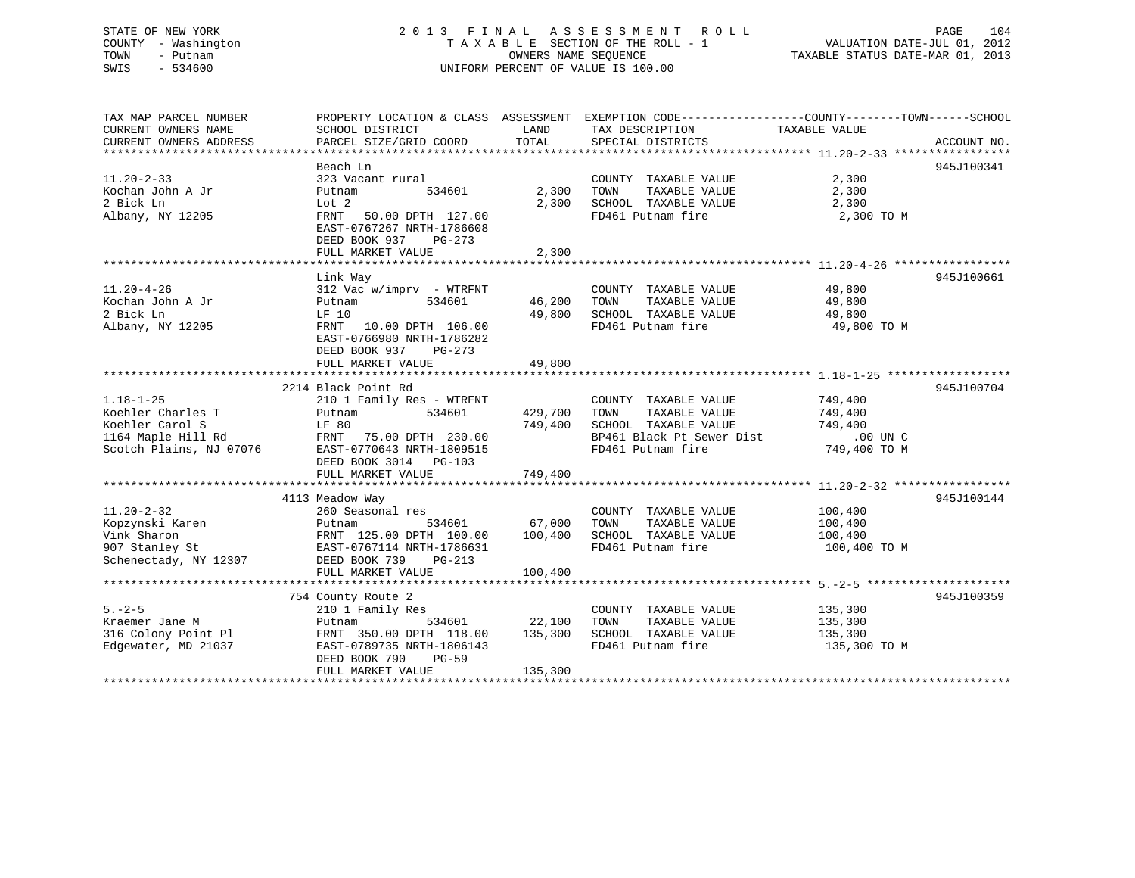## STATE OF NEW YORK 2 0 1 3 F I N A L A S S E S S M E N T R O L L PAGE 104 COUNTY - Washington T A X A B L E SECTION OF THE ROLL - 1 VALUATION DATE-JUL 01, 2012 TOWN - Putnam OWNERS NAME SEQUENCE TAXABLE STATUS DATE-MAR 01, 2013 SWIS - 534600 UNIFORM PERCENT OF VALUE IS 100.00

TAX MAP PARCEL NUMBER PROPERTY LOCATION & CLASS ASSESSMENT EXEMPTION CODE------------------COUNTY--------TOWN------SCHOOL

CURRENT OWNERS NAME SCHOOL DISTRICT LAND TAX DESCRIPTION TAXABLE VALUE CURRENT OWNERS ADDRESS PARCEL SIZE/GRID COORD TOTAL SPECIAL DISTRICTS ACCOUNT NO. \*\*\*\*\*\*\*\*\*\*\*\*\*\*\*\*\*\*\*\*\*\*\*\*\*\*\*\*\*\*\*\*\*\*\*\*\*\*\*\*\*\*\*\*\*\*\*\*\*\*\*\*\*\*\*\*\*\*\*\*\*\*\*\*\*\*\*\*\*\*\*\*\*\*\*\*\*\*\*\*\*\*\*\*\*\*\*\*\*\*\*\*\*\*\*\*\*\*\*\*\*\*\* 11.20-2-33 \*\*\*\*\*\*\*\*\*\*\*\*\*\*\*\*\* Beach Ln 945J10034111.20-2-33 323 Vacant rural COUNTY TAXABLE VALUE 2,300 Kochan John A Jr Putnam 534601 2,300 TOWN TAXABLE VALUE 2,300 2 Bick Ln Lot 2 2,300 SCHOOL TAXABLE VALUE 2,300 Albany, NY 12205 FRNT 50.00 DPTH 127.00 FD461 Putnam fire 2,300 TO M EAST-0767267 NRTH-1786608 DEED BOOK 937 PG-273FULL MARKET VALUE 2,300 \*\*\*\*\*\*\*\*\*\*\*\*\*\*\*\*\*\*\*\*\*\*\*\*\*\*\*\*\*\*\*\*\*\*\*\*\*\*\*\*\*\*\*\*\*\*\*\*\*\*\*\*\*\*\*\*\*\*\*\*\*\*\*\*\*\*\*\*\*\*\*\*\*\*\*\*\*\*\*\*\*\*\*\*\*\*\*\*\*\*\*\*\*\*\*\*\*\*\*\*\*\*\* 11.20-4-26 \*\*\*\*\*\*\*\*\*\*\*\*\*\*\*\*\* Link Way 945J100661 11.20-4-26 312 Vac w/imprv - WTRFNT COUNTY TAXABLE VALUE 49,800 Kochan John A Jr Putnam 534601 46,200 TOWN TAXABLE VALUE 49,800 2 Bick Ln LF 10 49,800 SCHOOL TAXABLE VALUE 49,800 Albany, NY 12205 FRNT 10.00 DPTH 106.00 FD461 Putnam fire 49,800 TO M EAST-0766980 NRTH-1786282EAST-0766980 NRTH-1786282 DEED BOOK 937 PG-273 FULL MARKET VALUE 49,800 \*\*\*\*\*\*\*\*\*\*\*\*\*\*\*\*\*\*\*\*\*\*\*\*\*\*\*\*\*\*\*\*\*\*\*\*\*\*\*\*\*\*\*\*\*\*\*\*\*\*\*\*\*\*\*\*\*\*\*\*\*\*\*\*\*\*\*\*\*\*\*\*\*\*\*\*\*\*\*\*\*\*\*\*\*\*\*\*\*\*\*\*\*\*\*\*\*\*\*\*\*\*\* 1.18-1-25 \*\*\*\*\*\*\*\*\*\*\*\*\*\*\*\*\*\* 2214 Black Point Rd 945J1007041.18-1-25 210 1 Family Res - WTRFNT COUNTY TAXABLE VALUE 749,400 Koehler Charles T Putnam 534601 429,700 TOWN TAXABLE VALUE 749,400 Koehler Carol S LF 80 749,400 SCHOOL TAXABLE VALUE 749,400 1164 Maple Hill Rd FRNT 75.00 DPTH 230.00 BP461 Black Pt Sewer Dist .00 UN C Scotch Plains, NJ 07076 EAST-0770643 NRTH-1809515 FD461 Putnam fire 749,400 TO M DEED BOOK 3014 PG-103 FULL MARKET VALUE 749,400 \*\*\*\*\*\*\*\*\*\*\*\*\*\*\*\*\*\*\*\*\*\*\*\*\*\*\*\*\*\*\*\*\*\*\*\*\*\*\*\*\*\*\*\*\*\*\*\*\*\*\*\*\*\*\*\*\*\*\*\*\*\*\*\*\*\*\*\*\*\*\*\*\*\*\*\*\*\*\*\*\*\*\*\*\*\*\*\*\*\*\*\*\*\*\*\*\*\*\*\*\*\*\* 11.20-2-32 \*\*\*\*\*\*\*\*\*\*\*\*\*\*\*\*\* 4113 Meadow Way 945J100144 11.20-2-32 260 Seasonal res COUNTY TAXABLE VALUE 100,400 Kopzynski Karen Putnam 534601 67,000 TOWN TAXABLE VALUE 100,400 Vink Sharon FRNT 125.00 DPTH 100.00 100,400 SCHOOL TAXABLE VALUE 100,400 907 Stanley St EAST-0767114 NRTH-1786631 FD461 Putnam fire 100,400 TO M Schenectady, NY 12307 DEED BOOK 739 PG-213 FULL MARKET VALUE 100,400 \*\*\*\*\*\*\*\*\*\*\*\*\*\*\*\*\*\*\*\*\*\*\*\*\*\*\*\*\*\*\*\*\*\*\*\*\*\*\*\*\*\*\*\*\*\*\*\*\*\*\*\*\*\*\*\*\*\*\*\*\*\*\*\*\*\*\*\*\*\*\*\*\*\*\*\*\*\*\*\*\*\*\*\*\*\*\*\*\*\*\*\*\*\*\*\*\*\*\*\*\*\*\* 5.-2-5 \*\*\*\*\*\*\*\*\*\*\*\*\*\*\*\*\*\*\*\*\* 754 County Route 2 945J100359 5.-2-5 210 1 Family Res COUNTY TAXABLE VALUE 135,300 Kraemer Jane M Putnam 534601 22,100 TOWN TAXABLE VALUE 135,300 316 Colony Point Pl FRNT 350.00 DPTH 118.00 135,300 SCHOOL TAXABLE VALUE 135,300 Edgewater, MD 21037 EAST-0789735 NRTH-1806143 FD461 Putnam fire 135,300 TO M DEED BOOK 790 PG-59FULL MARKET VALUE 135,300 \*\*\*\*\*\*\*\*\*\*\*\*\*\*\*\*\*\*\*\*\*\*\*\*\*\*\*\*\*\*\*\*\*\*\*\*\*\*\*\*\*\*\*\*\*\*\*\*\*\*\*\*\*\*\*\*\*\*\*\*\*\*\*\*\*\*\*\*\*\*\*\*\*\*\*\*\*\*\*\*\*\*\*\*\*\*\*\*\*\*\*\*\*\*\*\*\*\*\*\*\*\*\*\*\*\*\*\*\*\*\*\*\*\*\*\*\*\*\*\*\*\*\*\*\*\*\*\*\*\*\*\*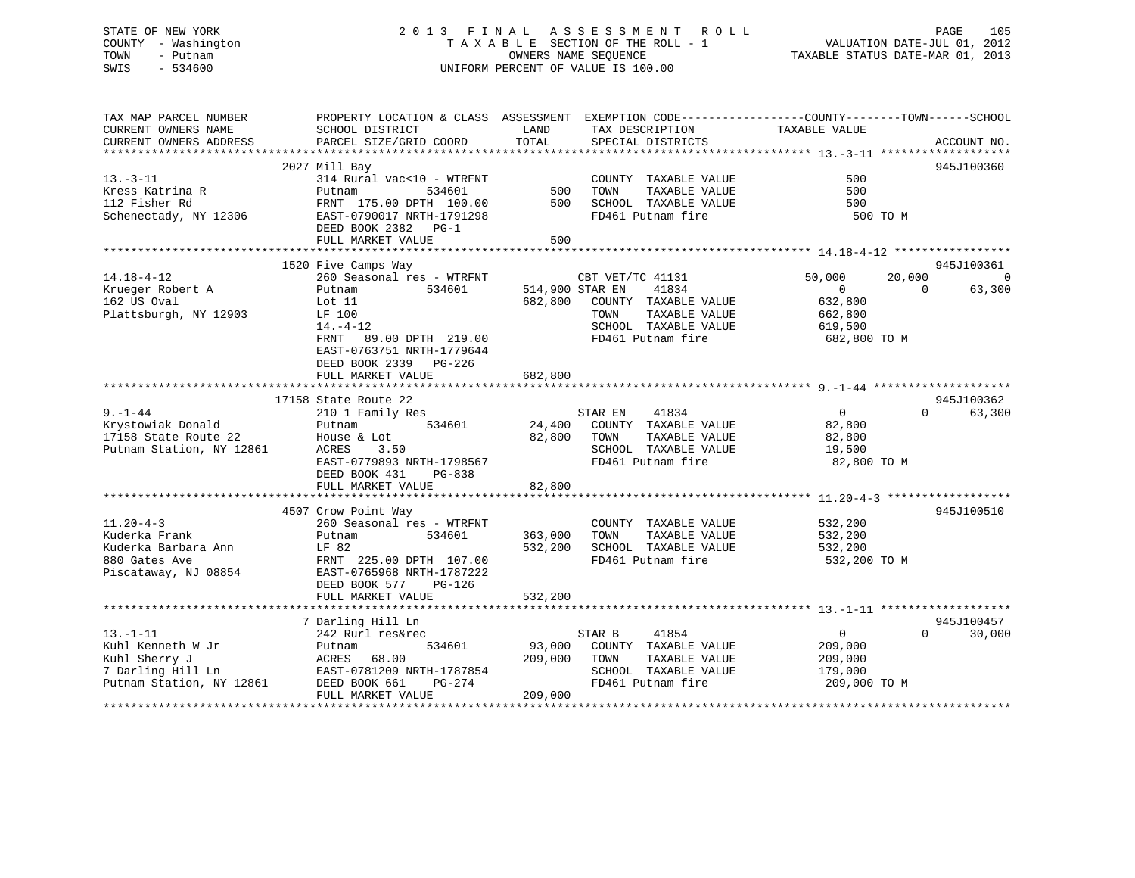## STATE OF NEW YORK 2 0 1 3 F I N A L A S S E S S M E N T R O L L PAGE 105 COUNTY - Washington T A X A B L E SECTION OF THE ROLL - 1 VALUATION DATE-JUL 01, 2012 TOWN - Putnam OWNERS NAME SEQUENCE TAXABLE STATUS DATE-MAR 01, 2013 SWIS - 534600 UNIFORM PERCENT OF VALUE IS 100.00

| TAX MAP PARCEL NUMBER                         |                                           | PROPERTY LOCATION & CLASS ASSESSMENT EXEMPTION CODE---------------COUNTY-------TOWN-----SCHOOL |                                      |
|-----------------------------------------------|-------------------------------------------|------------------------------------------------------------------------------------------------|--------------------------------------|
| CURRENT OWNERS NAME<br>CURRENT OWNERS ADDRESS | SCHOOL DISTRICT<br>PARCEL SIZE/GRID COORD | TAX DESCRIPTION<br>LAND<br>TOTAL<br>SPECIAL DISTRICTS                                          | TAXABLE VALUE<br>ACCOUNT NO.         |
|                                               |                                           |                                                                                                |                                      |
|                                               | 2027 Mill Bay                             |                                                                                                | 945J100360                           |
| $13 - 3 - 11$                                 | 314 Rural vac<10 - WTRFNT                 | COUNTY TAXABLE VALUE                                                                           | 500                                  |
| Kress Katrina R                               | Putnam<br>534601                          | 500<br>TOWN<br>TAXABLE VALUE                                                                   | 500                                  |
| 112 Fisher Rd                                 | FRNT 175.00 DPTH 100.00                   | 500<br>SCHOOL TAXABLE VALUE                                                                    | 500                                  |
| Schenectady, NY 12306                         | EAST-0790017 NRTH-1791298                 | FD461 Putnam fire                                                                              | 500 TO M                             |
|                                               | DEED BOOK 2382 PG-1                       |                                                                                                |                                      |
|                                               | FULL MARKET VALUE                         | 500                                                                                            |                                      |
|                                               |                                           |                                                                                                |                                      |
|                                               | 1520 Five Camps Way                       |                                                                                                | 945J100361                           |
| $14.18 - 4 - 12$                              | 260 Seasonal res - WTRFNT                 | CBT VET/TC 41131                                                                               | 50,000<br>20,000<br>$\overline{0}$   |
| Krueger Robert A                              | 534601<br>Putnam                          | 514,900 STAR EN<br>41834                                                                       | $\overline{0}$<br>$\Omega$<br>63,300 |
| 162 US Oval                                   | Lot 11                                    | 682,800 COUNTY TAXABLE VALUE                                                                   | 632,800                              |
| Plattsburgh, NY 12903                         | LF 100                                    | TOWN<br>TAXABLE VALUE                                                                          | 662,800                              |
|                                               | $14. - 4 - 12$                            | SCHOOL TAXABLE VALUE                                                                           | 619,500                              |
|                                               | 89.00 DPTH 219.00<br>FRNT                 | FD461 Putnam fire                                                                              | 682,800 TO M                         |
|                                               | EAST-0763751 NRTH-1779644                 |                                                                                                |                                      |
|                                               | DEED BOOK 2339 PG-226                     |                                                                                                |                                      |
|                                               | FULL MARKET VALUE                         | 682,800                                                                                        |                                      |
|                                               |                                           |                                                                                                |                                      |
|                                               | 17158 State Route 22                      |                                                                                                | 945J100362                           |
| $9. - 1 - 44$                                 | 210 1 Family Res                          | STAR EN<br>41834                                                                               | $\overline{0}$<br>$\Omega$<br>63,300 |
| Krystowiak Donald                             | 534601<br>Putnam                          | 24,400<br>COUNTY TAXABLE VALUE                                                                 | 82,800                               |
| 17158 State Route 22                          | House & Lot                               | 82,800<br>TOWN<br>TAXABLE VALUE                                                                | 82,800                               |
| Putnam Station, NY 12861                      | ACRES<br>3.50                             | SCHOOL TAXABLE VALUE                                                                           | 19,500                               |
|                                               | EAST-0779893 NRTH-1798567                 | FD461 Putnam fire                                                                              | 82,800 TO M                          |
|                                               | DEED BOOK 431<br>PG-838                   |                                                                                                |                                      |
|                                               | FULL MARKET VALUE                         | 82,800                                                                                         |                                      |
|                                               |                                           |                                                                                                |                                      |
|                                               | 4507 Crow Point Way                       |                                                                                                | 945J100510                           |
| $11.20 - 4 - 3$                               | 260 Seasonal res - WTRFNT                 | COUNTY TAXABLE VALUE                                                                           | 532,200                              |
| Kuderka Frank                                 | 534601<br>Putnam                          | 363,000<br>TAXABLE VALUE<br>TOWN                                                               | 532,200                              |
| Kuderka Barbara Ann                           | LF 82                                     | 532,200<br>SCHOOL TAXABLE VALUE                                                                | 532,200                              |
| 880 Gates Ave                                 | FRNT 225.00 DPTH 107.00                   | FD461 Putnam fire                                                                              | 532,200 TO M                         |
| Piscataway, NJ 08854                          | EAST-0765968 NRTH-1787222                 |                                                                                                |                                      |
|                                               | DEED BOOK 577<br>PG-126                   |                                                                                                |                                      |
|                                               | FULL MARKET VALUE                         | 532,200                                                                                        |                                      |
|                                               |                                           |                                                                                                |                                      |
|                                               | 7 Darling Hill Ln                         |                                                                                                | 945J100457                           |
| $13 - 1 - 11$                                 | 242 Rurl res&rec                          | STAR B<br>41854                                                                                | $\overline{0}$<br>$\Omega$<br>30,000 |
| Kuhl Kenneth W Jr                             | 534601                                    | 93,000<br>COUNTY TAXABLE VALUE                                                                 | 209,000                              |
| Kuhl Sherry J                                 | Putnam<br>68.00<br>ACRES                  | 209,000<br>TOWN<br>TAXABLE VALUE                                                               |                                      |
| 7 Darling Hill Ln                             |                                           |                                                                                                | 209,000                              |
|                                               | EAST-0781209 NRTH-1787854                 | SCHOOL TAXABLE VALUE                                                                           | 179,000                              |
| Putnam Station, NY 12861                      | DEED BOOK 661<br>PG-274                   | FD461 Putnam fire                                                                              | 209,000 TO M                         |
|                                               | FULL MARKET VALUE                         | 209,000                                                                                        |                                      |
|                                               |                                           |                                                                                                |                                      |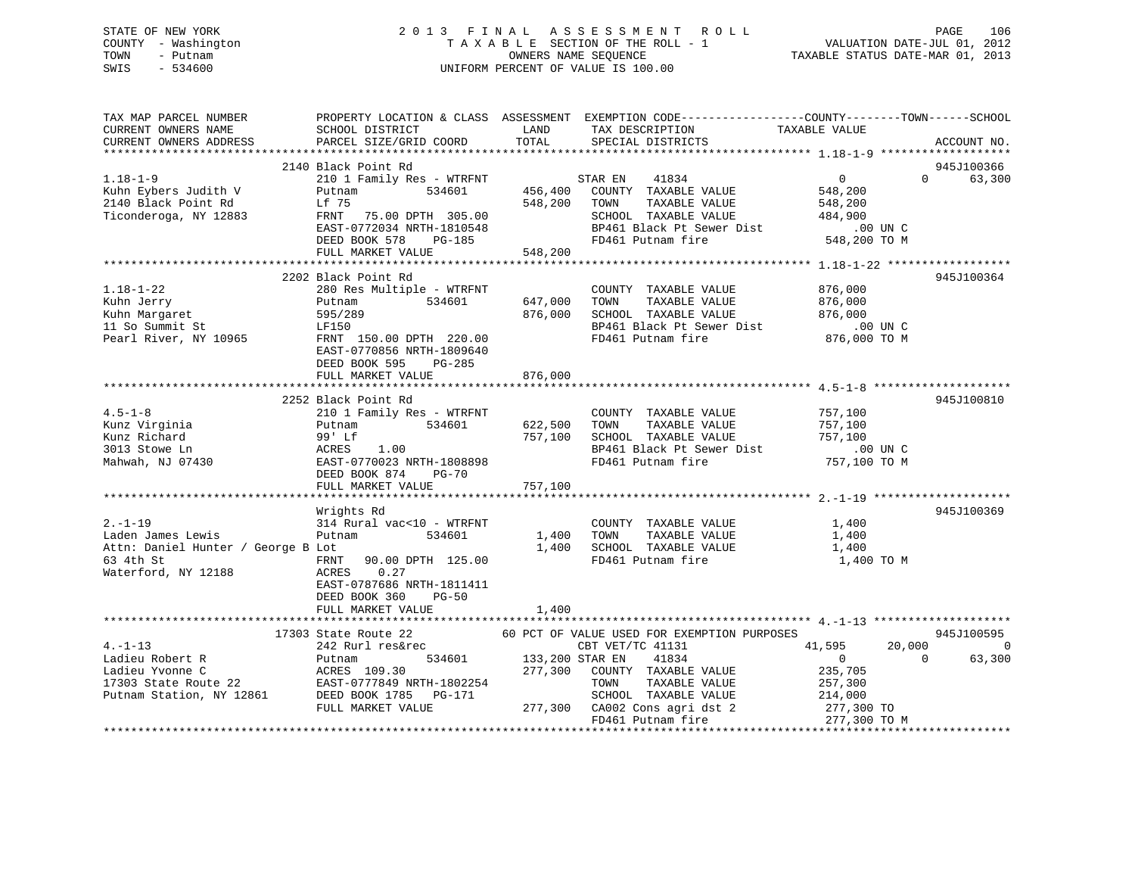## STATE OF NEW YORK 2 0 1 3 F I N A L A S S E S S M E N T R O L L PAGE 106 COUNTY - Washington T A X A B L E SECTION OF THE ROLL - 1 VALUATION DATE-JUL 01, 2012 TOWN - Putnam OWNERS NAME SEQUENCE TAXABLE STATUS DATE-MAR 01, 2013 SWIS - 534600 UNIFORM PERCENT OF VALUE IS 100.00

| TAX MAP PARCEL NUMBER<br>CURRENT OWNERS NAME                                                                 | <b>Example 12</b> LAND<br>SCHOOL DISTRICT<br>PARCEL SIZE/GRID COORD                                                                                                                                                                                               | TOTAL               | PROPERTY LOCATION & CLASS ASSESSMENT EXEMPTION CODE---------------COUNTY-------TOWN-----SCHOOL<br>TAX DESCRIPTION                                                                                                                                                                                                                                                                                                                                                                                                                                                     | TAXABLE VALUE                                                                         |                          |
|--------------------------------------------------------------------------------------------------------------|-------------------------------------------------------------------------------------------------------------------------------------------------------------------------------------------------------------------------------------------------------------------|---------------------|-----------------------------------------------------------------------------------------------------------------------------------------------------------------------------------------------------------------------------------------------------------------------------------------------------------------------------------------------------------------------------------------------------------------------------------------------------------------------------------------------------------------------------------------------------------------------|---------------------------------------------------------------------------------------|--------------------------|
| CURRENT OWNERS ADDRESS                                                                                       |                                                                                                                                                                                                                                                                   |                     | SPECIAL DISTRICTS                                                                                                                                                                                                                                                                                                                                                                                                                                                                                                                                                     |                                                                                       | ACCOUNT NO.              |
|                                                                                                              | 2140 Black Point Rd                                                                                                                                                                                                                                               |                     |                                                                                                                                                                                                                                                                                                                                                                                                                                                                                                                                                                       |                                                                                       | 945J100366               |
| $1.18 - 1 - 9$<br>Kuhn Eybers Judith V<br>2140 Black Point Rd<br>Ticonderoga, NY 12883                       | $\begin{tabular}{lllllllllll} 210&1 & Family & Res & - \textit{WTRFNT} & \textit{STAR EN} & 41834 \\ \textit{Putnam} & 534601 & 456,400 & \textit{COUNTY} & \textit{TAXABLE VALUE} \end{tabular}$<br>Lf 75<br>FRNT 75.00 DPTH 305.00<br>EAST-0772034 NRTH-1810548 | 548,200 TOWN        | STAR EN 41834<br>TAXABLE VALUE<br>SCHOOL TAXABLE VALUE 484,900<br>BP461 Black Pt Sewer Dist .00 UN C                                                                                                                                                                                                                                                                                                                                                                                                                                                                  | $\overline{0}$<br>548,200<br>548,200                                                  | 63,300<br>$\Omega$       |
|                                                                                                              | DEED BOOK 578<br>PG-185                                                                                                                                                                                                                                           |                     | FD461 Putnam fire                                                                                                                                                                                                                                                                                                                                                                                                                                                                                                                                                     | 548,200 TO M                                                                          |                          |
|                                                                                                              | FULL MARKET VALUE                                                                                                                                                                                                                                                 | 548,200             |                                                                                                                                                                                                                                                                                                                                                                                                                                                                                                                                                                       |                                                                                       |                          |
|                                                                                                              |                                                                                                                                                                                                                                                                   |                     |                                                                                                                                                                                                                                                                                                                                                                                                                                                                                                                                                                       |                                                                                       |                          |
|                                                                                                              | 2202 Black Point Rd                                                                                                                                                                                                                                               |                     |                                                                                                                                                                                                                                                                                                                                                                                                                                                                                                                                                                       |                                                                                       | 945J100364               |
| $1.18 - 1 - 22$<br>Kuhn Jerry<br>--<br>Kuhn Margaret<br>11 So Summit St<br>Pearl River, NY 10965             | 280 Res Multiple - WTRFNT<br>534601<br>Putnam<br>595/289<br>LF150<br>FRNT 150.00 DPTH 220.00<br>EAST-0770856 NRTH-1809640<br>DEED BOOK 595<br>PG-285                                                                                                              | 647,000<br>876,000  | COUNTY TAXABLE VALUE<br>TOWN<br>TAXABLE VALUE<br>SCHOOL TAXABLE VALUE<br>FD461 Putnam fire                                                                                                                                                                                                                                                                                                                                                                                                                                                                            | 876,000<br>876,000<br>876,000<br>876,000 TO M                                         |                          |
|                                                                                                              | FULL MARKET VALUE                                                                                                                                                                                                                                                 | 876,000             |                                                                                                                                                                                                                                                                                                                                                                                                                                                                                                                                                                       |                                                                                       |                          |
|                                                                                                              |                                                                                                                                                                                                                                                                   |                     |                                                                                                                                                                                                                                                                                                                                                                                                                                                                                                                                                                       |                                                                                       |                          |
| $4.5 - 1 - 8$<br>4.5-1-0<br>Kunz Virginia<br>Pichard<br>3013 Stowe Ln                                        | 2252 Black Point Rd<br>210 1 Family Res - WTRFNT<br>534601<br>Putnam<br>Putnam 534601<br>99' Lf<br>ACRES 1.00<br>EAST-0770023_NRTH-1808898                                                                                                                        | 622,500 TOWN        | COUNTY TAXABLE VALUE 757,100<br>TAXABLE VALUE<br>757,100 SCHOOL TAXABLE VALUE 757,100<br>BP461 Black Pt Sewer Dist                                                                                                                                                                                                                                                                                                                                                                                                                                                    | 757,100<br>$.00$ UN C                                                                 | 945J100810               |
| Mahwah, NJ 07430                                                                                             | DEED BOOK 874 PG-70<br>FULL MARKET VALUE                                                                                                                                                                                                                          | 757,100             | FD461 Putnam fire                                                                                                                                                                                                                                                                                                                                                                                                                                                                                                                                                     | 757,100 TO M                                                                          |                          |
|                                                                                                              |                                                                                                                                                                                                                                                                   |                     |                                                                                                                                                                                                                                                                                                                                                                                                                                                                                                                                                                       |                                                                                       |                          |
| $2. - 1 - 19$<br>Laden James Lewis<br>Attn: Daniel Hunter / George B Lot<br>63 4th St<br>Waterford, NY 12188 | Wrights Rd<br>314 Rural vac<10 - WTRFNT<br>Putnam<br>534601<br>FRNT<br>90.00 DPTH 125.00<br>0.27<br>ACRES<br>EAST-0787686 NRTH-1811411                                                                                                                            | 1,400 TOWN<br>1,400 | COUNTY TAXABLE VALUE<br>TAXABLE VALUE<br>SCHOOL TAXABLE VALUE<br>FD461 Putnam fire                                                                                                                                                                                                                                                                                                                                                                                                                                                                                    | 1,400<br>1,400<br>1,400<br>1,400 TO M                                                 | 945J100369               |
|                                                                                                              | DEED BOOK 360<br>$PG-50$<br>FULL MARKET VALUE                                                                                                                                                                                                                     | 1,400               |                                                                                                                                                                                                                                                                                                                                                                                                                                                                                                                                                                       |                                                                                       |                          |
|                                                                                                              |                                                                                                                                                                                                                                                                   |                     |                                                                                                                                                                                                                                                                                                                                                                                                                                                                                                                                                                       |                                                                                       | 945J100595               |
| $4. -1 - 13$                                                                                                 | EAST-0777849 NRTH-1802254<br>FULL MARKET VALUE                                                                                                                                                                                                                    |                     | $\begin{tabular}{lllllllllllll} \textbf{17303 State Route 22} & \textbf{60 PCT OF VALUE USB FOR EXEMPITION PURPOSES} \\ \textbf{242 Rurl res\&2} & \textbf{60 PCT OF VALUE USB FOR EXEMPITION PURPOSES} \\ \textbf{Putnam} & \textbf{534601} & \textbf{133,200 STR EN} & \textbf{41834} & \textbf{0} \\ \textbf{ACRES} & \textbf{109.30} & \textbf{277,300} & \textbf{COUNTY} & \textbf{TAXABLE VALUE} & \textbf{235,7} \end{tabular}$<br>TAXABLE VALUE<br>TOWN<br>SCHOOL TAXABLE VALUE<br>277,300 CA002 Cons agri dst 2 277,300 TO<br>FD461 Putnam fire 277,300 TO M | 20,000<br>41,595<br>$\overline{0}$<br>$\overline{0}$<br>235,705<br>257,300<br>214,000 | $\overline{0}$<br>63,300 |
|                                                                                                              |                                                                                                                                                                                                                                                                   |                     |                                                                                                                                                                                                                                                                                                                                                                                                                                                                                                                                                                       |                                                                                       |                          |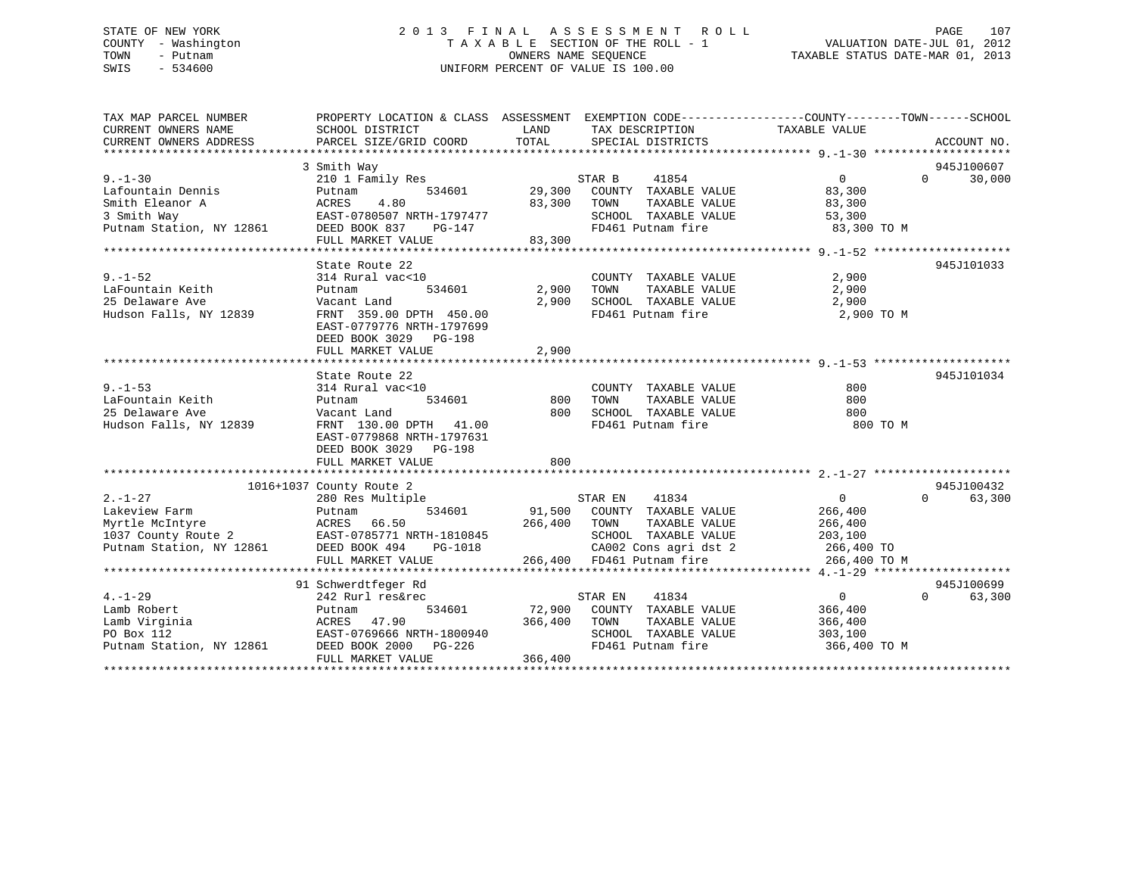## STATE OF NEW YORK 2 0 1 3 F I N A L A S S E S S M E N T R O L L PAGE 107 COUNTY - Washington T A X A B L E SECTION OF THE ROLL - 1 VALUATION DATE-JUL 01, 2012 TOWN - Putnam OWNERS NAME SEQUENCE TAXABLE STATUS DATE-MAR 01, 2013 SWIS - 534600 UNIFORM PERCENT OF VALUE IS 100.00

| TAX MAP PARCEL NUMBER    | PROPERTY LOCATION & CLASS ASSESSMENT EXEMPTION CODE---------------COUNTY-------TOWN-----SCHOOL |         |                                              |                |                        |
|--------------------------|------------------------------------------------------------------------------------------------|---------|----------------------------------------------|----------------|------------------------|
| CURRENT OWNERS NAME      | SCHOOL DISTRICT                                                                                | LAND    | TAX DESCRIPTION                              | TAXABLE VALUE  |                        |
| CURRENT OWNERS ADDRESS   | PARCEL SIZE/GRID COORD                                                                         | TOTAL   | SPECIAL DISTRICTS                            |                | ACCOUNT NO.            |
|                          |                                                                                                |         |                                              |                |                        |
|                          | 3 Smith Way                                                                                    |         |                                              |                | 945J100607             |
| $9. - 1 - 30$            | 210 1 Family Res                                                                               |         | STAR B<br>41854                              | $\overline{0}$ | 30,000<br>$\Omega$     |
| Lafountain Dennis        | 534601<br>Putnam                                                                               | 29,300  | COUNTY TAXABLE VALUE                         | 83,300         |                        |
| Smith Eleanor A          | 4.80<br>ACRES                                                                                  | 83,300  | TOWN<br>TAXABLE VALUE                        | 83,300         |                        |
| 3 Smith Way              | EAST-0780507 NRTH-1797477                                                                      |         | SCHOOL TAXABLE VALUE                         | 53,300         |                        |
| Putnam Station, NY 12861 | DEED BOOK 837 PG-147                                                                           |         | FD461 Putnam fire                            | 83,300 TO M    |                        |
|                          | FULL MARKET VALUE                                                                              | 83,300  |                                              |                |                        |
|                          |                                                                                                |         |                                              |                |                        |
|                          | State Route 22                                                                                 |         |                                              |                | 945J101033             |
| $9. - 1 - 52$            | 314 Rural vac<10                                                                               |         | COUNTY TAXABLE VALUE                         | 2,900          |                        |
| LaFountain Keith         | 534601<br>Putnam                                                                               | 2,900   | TOWN<br>TAXABLE VALUE                        | 2,900          |                        |
| 25 Delaware Ave          | Vacant Land                                                                                    | 2,900   | SCHOOL TAXABLE VALUE                         | 2,900          |                        |
| Hudson Falls, NY 12839   | FRNT 359.00 DPTH 450.00                                                                        |         | FD461 Putnam fire                            | 2,900 TO M     |                        |
|                          | EAST-0779776 NRTH-1797699                                                                      |         |                                              |                |                        |
|                          | DEED BOOK 3029 PG-198                                                                          |         |                                              |                |                        |
|                          | FULL MARKET VALUE                                                                              | 2,900   |                                              |                |                        |
|                          |                                                                                                |         |                                              |                |                        |
|                          | State Route 22                                                                                 |         |                                              |                | 945J101034             |
| $9. - 1 - 53$            | 314 Rural vac<10                                                                               |         | COUNTY TAXABLE VALUE                         | 800            |                        |
| LaFountain Keith         | 534601<br>Putnam                                                                               | 800     | TOWN<br>TAXABLE VALUE                        | 800            |                        |
| 25 Delaware Ave          | Vacant Land                                                                                    | 800     | SCHOOL TAXABLE VALUE                         | 800            |                        |
| Hudson Falls, NY 12839   | FRNT 130.00 DPTH 41.00                                                                         |         | FD461 Putnam fire                            | 800 TO M       |                        |
|                          | EAST-0779868 NRTH-1797631                                                                      |         |                                              |                |                        |
|                          | DEED BOOK 3029 PG-198                                                                          |         |                                              |                |                        |
|                          | FULL MARKET VALUE                                                                              | 800     |                                              |                |                        |
|                          |                                                                                                |         |                                              |                |                        |
| $2. - 1 - 27$            | 1016+1037 County Route 2                                                                       |         |                                              |                | 945J100432             |
|                          | 280 Res Multiple                                                                               |         | STAR EN<br>41834                             | $\Omega$       | 63,300<br>$\Omega$     |
| Lakeview Farm            | 534601<br>Putnam                                                                               |         | 91,500 COUNTY TAXABLE VALUE                  | 266,400        |                        |
| Myrtle McIntyre          | ACRES 66.50<br>EAST-0785771 NRTH-1810845                                                       | 266,400 | TOWN<br>TAXABLE VALUE                        | 266,400        |                        |
| 1037 County Route 2      |                                                                                                |         | SCHOOL TAXABLE VALUE                         | 203,100        |                        |
| Putnam Station, NY 12861 | DEED BOOK 494<br>PG-1018                                                                       |         | CA002 Cons agri dst 2                        | 266,400 TO     |                        |
|                          | FULL MARKET VALUE                                                                              |         | 266,400 FD461 Putnam fire                    | 266,400 TO M   |                        |
|                          |                                                                                                |         |                                              |                |                        |
| $4. - 1 - 29$            | 91 Schwerdtfeger Rd                                                                            |         | 41834                                        | $\overline{0}$ | 945J100699<br>$\Omega$ |
|                          | 242 Rurl res&rec                                                                               |         | STAR EN                                      |                | 63,300                 |
| Lamb Robert              | 534601<br>Putnam<br>47.90                                                                      | 366,400 | 72,900 COUNTY TAXABLE VALUE<br>TAXABLE VALUE | 366,400        |                        |
| Lamb Virginia            | ACRES                                                                                          |         | TOWN<br>SCHOOL TAXABLE VALUE                 | 366,400        |                        |
| PO Box 112               | EAST-0769666 NRTH-1800940<br>DEED BOOK 2000 PG-226                                             |         | FD461 Putnam fire                            | 303,100        |                        |
| Putnam Station, NY 12861 |                                                                                                | 366,400 |                                              | 366,400 TO M   |                        |
|                          | FULL MARKET VALUE                                                                              |         |                                              |                |                        |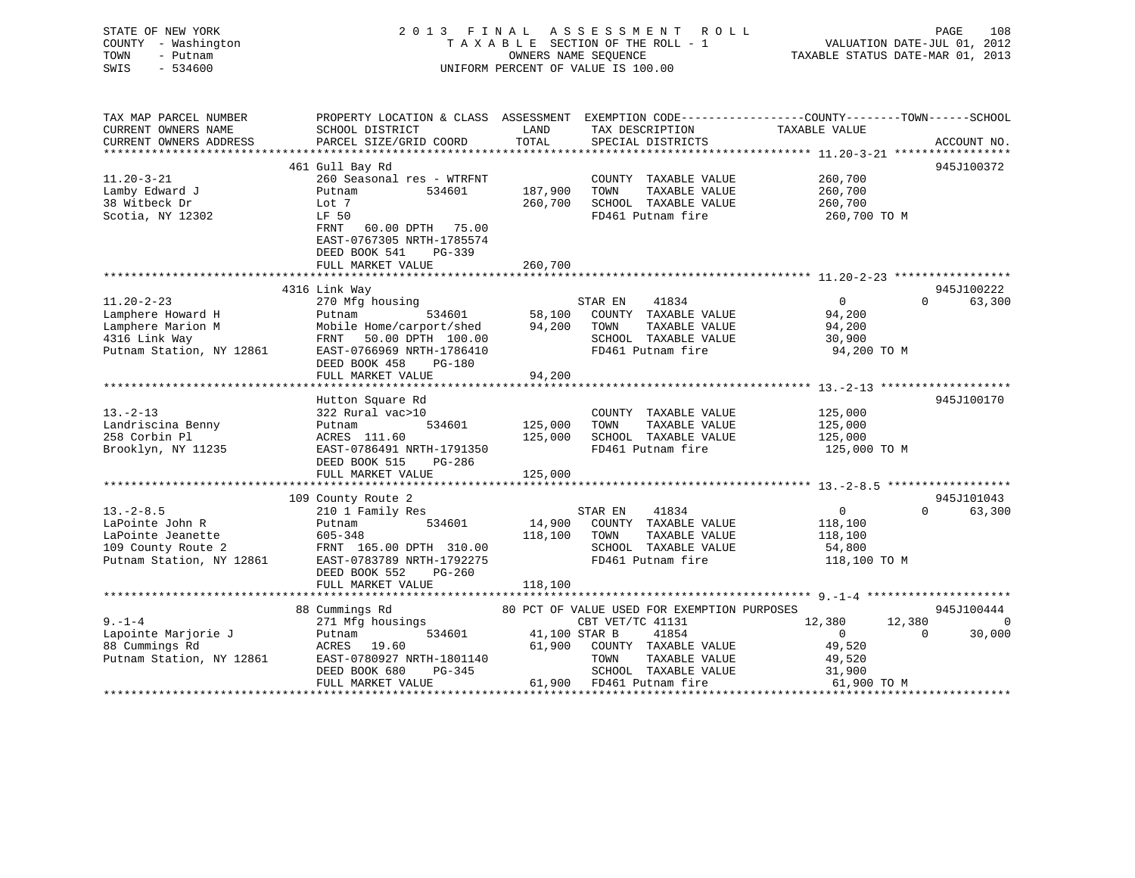## STATE OF NEW YORK 2 0 1 3 F I N A L A S S E S S M E N T R O L L PAGE 108 COUNTY - Washington T A X A B L E SECTION OF THE ROLL - 1 VALUATION DATE-JUL 01, 2012 TOWN - Putnam OWNERS NAME SEQUENCE TAXABLE STATUS DATE-MAR 01, 2013 SWIS - 534600 UNIFORM PERCENT OF VALUE IS 100.00

| TAX MAP PARCEL NUMBER<br>CURRENT OWNERS NAME<br>CURRENT OWNERS ADDRESS                                    | PROPERTY LOCATION & CLASS ASSESSMENT EXEMPTION CODE---------------COUNTY-------TOWN-----SCHOOL<br>SCHOOL DISTRICT<br>PARCEL SIZE/GRID COORD                                             | LAND<br>TOTAL                 | TAX DESCRIPTION<br>SPECIAL DISTRICTS                                                                                           | TAXABLE VALUE                                                             | ACCOUNT NO.                      |
|-----------------------------------------------------------------------------------------------------------|-----------------------------------------------------------------------------------------------------------------------------------------------------------------------------------------|-------------------------------|--------------------------------------------------------------------------------------------------------------------------------|---------------------------------------------------------------------------|----------------------------------|
|                                                                                                           | 461 Gull Bay Rd                                                                                                                                                                         |                               |                                                                                                                                |                                                                           | 945J100372                       |
| $11.20 - 3 - 21$<br>Lamby Edward J<br>38 Witbeck Dr<br>Scotia, NY 12302                                   | 260 Seasonal res - WTRFNT<br>534601<br>Putnam<br>Lot 7<br>LF 50<br>FRNT 60.00 DPTH 75.00<br>EAST-0767305 NRTH-1785574<br>DEED BOOK 541<br>$PG-339$<br>FULL MARKET VALUE                 | 187,900<br>260,700<br>260,700 | COUNTY TAXABLE VALUE<br>TOWN<br>TAXABLE VALUE<br>SCHOOL TAXABLE VALUE<br>FD461 Putnam fire                                     | 260,700<br>260,700<br>260,700<br>260,700 TO M                             |                                  |
|                                                                                                           |                                                                                                                                                                                         |                               |                                                                                                                                |                                                                           |                                  |
| $11.20 - 2 - 23$<br>Lamphere Howard H<br>Lamphere Marion M<br>4316 Link Way<br>Putnam Station, NY 12861   | 4316 Link Way<br>270 Mfg housing<br>534601<br>Putnam<br>Mobile Home/carport/shed<br>FRNT 50.00 DPTH 100.00<br>EAST-0766969 NRTH-1786410<br>DEED BOOK 458<br>PG-180<br>FULL MARKET VALUE | 94,200<br>94,200              | STAR EN<br>41834<br>58,100 COUNTY TAXABLE VALUE<br>TAXABLE VALUE<br>TOWN<br>SCHOOL TAXABLE VALUE<br>FD461 Putnam fire          | 0<br>94,200<br>94,200<br>30,900<br>94,200 TO M                            | 945J100222<br>$\Omega$<br>63,300 |
| $13. - 2 - 13$<br>Landriscina Benny<br>258 Corbin Pl<br>Brooklyn, NY 11235                                | Hutton Square Rd<br>322 Rural vac>10<br>534601<br>Putnam<br>ACRES 111.60<br>EAST-0786491 NRTH-1791350<br>DEED BOOK 515<br>PG-286<br>FULL MARKET VALUE                                   | 125,000<br>125,000<br>125,000 | COUNTY TAXABLE VALUE 125,000<br>TOWN<br>TAXABLE VALUE<br>SCHOOL TAXABLE VALUE<br>FD461 Putnam fire                             | 125,000<br>125,000<br>125,000 TO M                                        | 945J100170                       |
|                                                                                                           | 109 County Route 2                                                                                                                                                                      |                               |                                                                                                                                |                                                                           | 945J101043                       |
| $13. - 2 - 8.5$<br>LaPointe John R<br>LaPointe Jeanette<br>109 County Route 2<br>Putnam Station, NY 12861 | 210 1 Family Res<br>534601<br>Putnam<br>605-348<br>FRNT 165.00 DPTH 310.00<br>EAST-0783789 NRTH-1792275<br>DEED BOOK 552<br>PG-260<br>FULL MARKET VALUE                                 | 118,100 TOWN<br>118,100       | 41834<br>STAR EN<br>14,900 COUNTY TAXABLE VALUE<br>TAXABLE VALUE<br>SCHOOL TAXABLE VALUE<br>FD461 Putnam fire                  | $0 \qquad \qquad$<br>118,100<br>118,100<br>54,800<br>118,100 TO M         | 63,300<br>$\Omega$               |
|                                                                                                           | 88 Cummings Rd                                                                                                                                                                          |                               | 80 PCT OF VALUE USED FOR EXEMPTION PURPOSES                                                                                    |                                                                           | 945J100444                       |
| $9 - 1 - 4$<br>Lapointe Marjorie J<br>88 Cummings Rd<br>Putnam Station, NY 12861                          | 271 Mfg housings<br>534601<br>Putnam<br>ACRES 19.60<br>EAST-0780927 NRTH-1801140<br>DEED BOOK 680<br>PG-345<br>FULL MARKET VALUE                                                        | 41,100 STAR B<br>61,900       | CBT VET/TC 41131<br>41854<br>COUNTY TAXABLE VALUE<br>TAXABLE VALUE<br>TOWN<br>SCHOOL TAXABLE VALUE<br>61,900 FD461 Putnam fire | 12,380<br>12,380<br>$\Omega$<br>49,520<br>49,520<br>31,900<br>61,900 TO M | $\Omega$<br>30,000<br>$\Omega$   |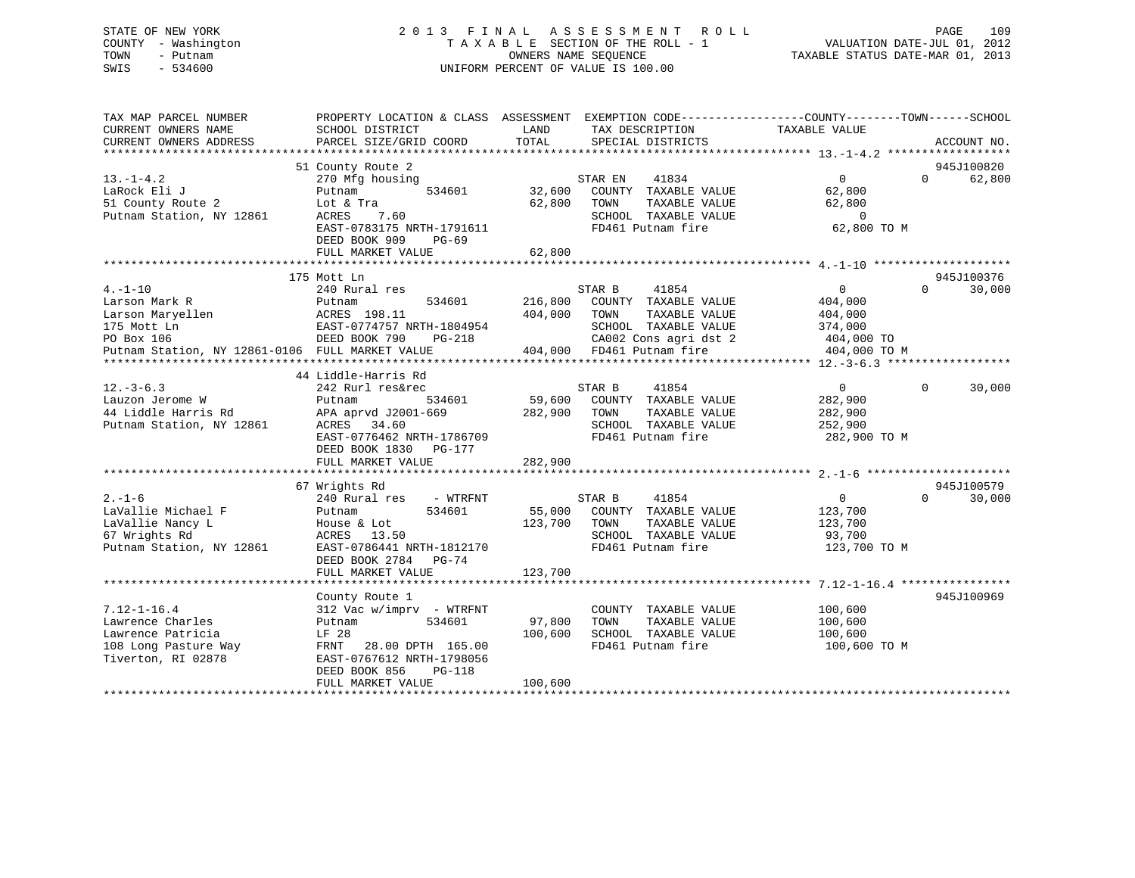## STATE OF NEW YORK 2 0 1 3 F I N A L A S S E S S M E N T R O L L PAGE 109 COUNTY - Washington T A X A B L E SECTION OF THE ROLL - 1 VALUATION DATE-JUL 01, 2012 TOWN - Putnam OWNERS NAME SEQUENCE TAXABLE STATUS DATE-MAR 01, 2013 SWIS - 534600 UNIFORM PERCENT OF VALUE IS 100.00

| SCHOOL DISTRICT<br>PARCEL SIZE/GRID COORD                                                                                                                            | LAND<br>TAX DESCRIPTION<br>TOTAL<br>SPECIAL DISTRICTS                                                                                         | TAXABLE VALUE<br>ACCOUNT NO.                                                                                                  |
|----------------------------------------------------------------------------------------------------------------------------------------------------------------------|-----------------------------------------------------------------------------------------------------------------------------------------------|-------------------------------------------------------------------------------------------------------------------------------|
| 51 County Route 2<br>270 Mfg housing<br>Putnam<br>534601<br>Lot & Tra<br>ACRES<br>7.60<br>EAST-0783175 NRTH-1791611<br>DEED BOOK 909<br>$PG-69$<br>FULL MARKET VALUE | STAR EN<br>41834<br>32,600<br>COUNTY TAXABLE VALUE<br>62,800<br>TOWN<br>TAXABLE VALUE<br>SCHOOL TAXABLE VALUE<br>FD461 Putnam fire<br>62,800  | 945J100820<br>0<br>$\Omega$<br>62,800<br>62,800<br>62,800<br>$\overline{0}$<br>62,800 TO M                                    |
|                                                                                                                                                                      |                                                                                                                                               | 945J100376                                                                                                                    |
| 240 Rural res<br>534601<br>Putnam<br>ACRES 198.11<br>EAST-0774757 NRTH-1804954<br>DEED BOOK 790<br><b>PG-218</b><br>Putnam Station, NY 12861-0106 FULL MARKET VALUE  | STAR B<br>41854<br>216,800<br>COUNTY TAXABLE VALUE<br>404,000<br>TOWN<br>TAXABLE VALUE<br>SCHOOL TAXABLE VALUE<br>CA002 Cons agri dst 2       | $\overline{0}$<br>$\Omega$<br>30,000<br>404,000<br>404,000<br>374,000<br>404,000 TO<br>404,000 TO M                           |
|                                                                                                                                                                      |                                                                                                                                               |                                                                                                                               |
| 242 Rurl res&rec<br>Putnam<br>534601<br>APA aprvd J2001-669<br>ACRES 34.60<br>EAST-0776462 NRTH-1786709<br>DEED BOOK 1830 PG-177<br>FULL MARKET VALUE                | STAR B<br>41854<br>59,600<br>COUNTY TAXABLE VALUE<br>282,900<br>TOWN<br>TAXABLE VALUE<br>SCHOOL TAXABLE VALUE<br>FD461 Putnam fire<br>282,900 | $\overline{0}$<br>$\Omega$<br>30,000<br>282,900<br>282,900<br>252,900<br>282,900 TO M                                         |
|                                                                                                                                                                      |                                                                                                                                               |                                                                                                                               |
| 240 Rural res<br>- WTRFNT<br>534601<br>Putnam<br>House & Lot<br>ACRES 13.50<br>EAST-0786441 NRTH-1812170<br>DEED BOOK 2784 PG-74<br>FULL MARKET VALUE                | 41854<br>STAR B<br>55,000<br>COUNTY TAXABLE VALUE<br>123,700<br>TOWN<br>TAXABLE VALUE<br>SCHOOL TAXABLE VALUE<br>FD461 Putnam fire<br>123,700 | 945J100579<br>$\overline{0}$<br>$\Omega$<br>30,000<br>123,700<br>123,700<br>93,700<br>123,700 TO M                            |
|                                                                                                                                                                      |                                                                                                                                               | 945J100969                                                                                                                    |
| 312 Vac w/imprv - WTRFNT<br>534601<br>Putnam<br>LF 28<br>FRNT<br>28.00 DPTH 165.00<br>EAST-0767612 NRTH-1798056<br>DEED BOOK 856<br>PG-118<br>FULL MARKET VALUE      | COUNTY TAXABLE VALUE<br>97,800<br>TAXABLE VALUE<br>TOWN<br>100,600<br>SCHOOL TAXABLE VALUE<br>FD461 Putnam fire<br>100,600                    | 100,600<br>100,600<br>100,600<br>100,600 ТО М                                                                                 |
|                                                                                                                                                                      | 175 Mott Ln<br>44 Liddle-Harris Rd<br>67 Wrights Rd<br>County Route 1                                                                         | PROPERTY LOCATION & CLASS ASSESSMENT EXEMPTION CODE----------------COUNTY-------TOWN------SCHOOL<br>404,000 FD461 Putnam fire |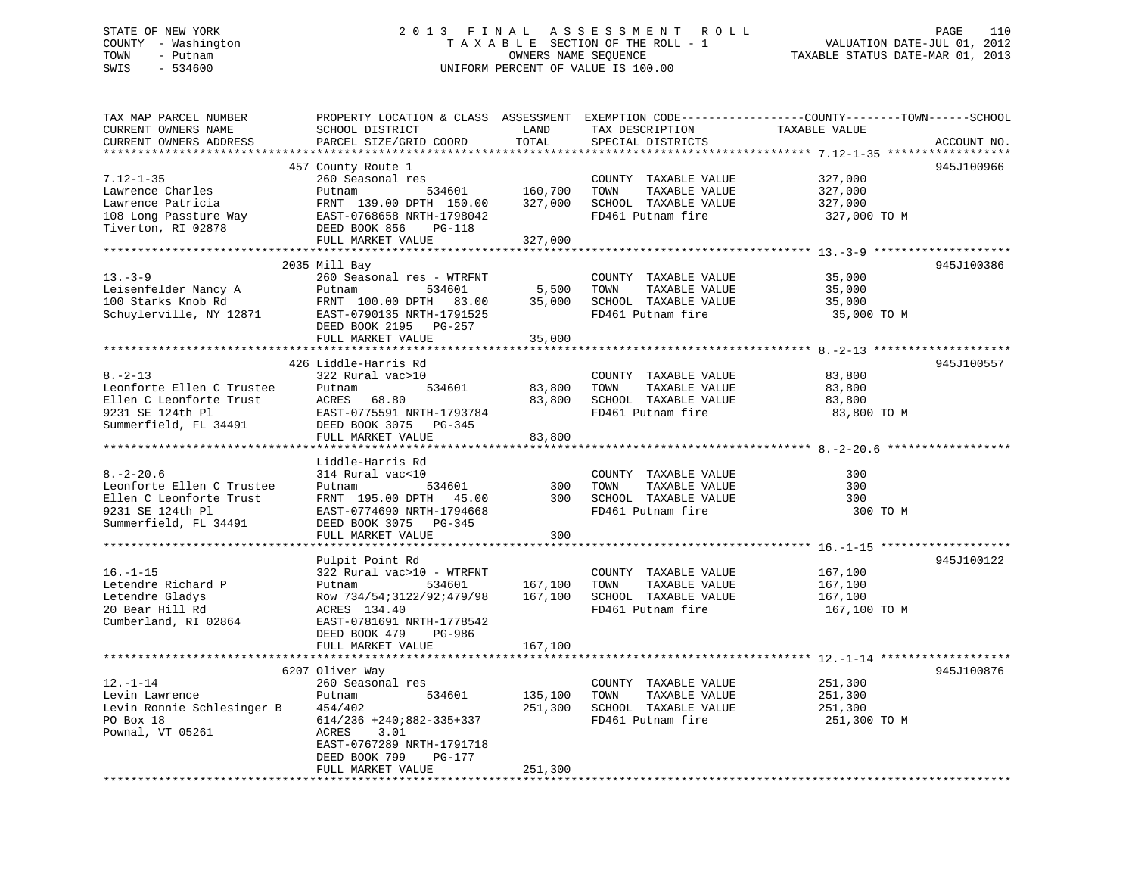## STATE OF NEW YORK 2 0 1 3 F I N A L A S S E S S M E N T R O L L PAGE 110 COUNTY - Washington T A X A B L E SECTION OF THE ROLL - 1 VALUATION DATE-JUL 01, 2012 TOWN - Putnam OWNERS NAME SEQUENCE TAXABLE STATUS DATE-MAR 01, 2013 SWIS - 534600 UNIFORM PERCENT OF VALUE IS 100.00

| CURRENT OWNERS NAME                                                                   | SCHOOL DISTRICT                              | LAND<br>TOTAL                                                                      | TAX DESCRIPTION             | PROPERTY LOCATION & CLASS ASSESSMENT EXEMPTION CODE---------------COUNTY-------TOWN-----SCHOOL<br>TAXABLE VALUE |             |
|---------------------------------------------------------------------------------------|----------------------------------------------|------------------------------------------------------------------------------------|-----------------------------|-----------------------------------------------------------------------------------------------------------------|-------------|
| CURRENT OWNERS ADDRESS                                                                | PARCEL SIZE/GRID COORD                       |                                                                                    | SPECIAL DISTRICTS           |                                                                                                                 | ACCOUNT NO. |
|                                                                                       | 457 County Route 1                           |                                                                                    |                             |                                                                                                                 | 945J100966  |
| $7.12 - 1 - 35$                                                                       | 260 Seasonal res                             |                                                                                    | COUNTY TAXABLE VALUE        | 327,000                                                                                                         |             |
| Lawrence Charles                                                                      | Putnam                                       | ;<br>534601                 160,700<br>"''    150.00            327,000<br>160,700 | TAXABLE VALUE<br>TOWN       | 327,000                                                                                                         |             |
| Lawrence Patricia                                                                     | FRNT 139.00 DPTH 150.00                      |                                                                                    | SCHOOL TAXABLE VALUE        | 327,000                                                                                                         |             |
|                                                                                       |                                              |                                                                                    | FD461 Putnam fire           |                                                                                                                 |             |
| 108 Long Passture Way<br>Tiverton, RI 02878                                           | EAST-0768658 NRTH-1798042                    |                                                                                    |                             | 327,000 TO M                                                                                                    |             |
|                                                                                       | DEED BOOK 856<br>PG-118                      |                                                                                    |                             |                                                                                                                 |             |
|                                                                                       | FULL MARKET VALUE                            | 327,000                                                                            |                             |                                                                                                                 |             |
|                                                                                       |                                              |                                                                                    |                             |                                                                                                                 |             |
| $13. - 3 - 9$                                                                         | 2035 Mill Bay                                |                                                                                    |                             |                                                                                                                 | 945J100386  |
|                                                                                       | 260 Seasonal res - WTRFNT                    |                                                                                    | COUNTY TAXABLE VALUE        | 35,000                                                                                                          |             |
| Leisenfelder Nancy A<br>100 Starks Knob Rd                                            | Putnam 534601                                |                                                                                    | TOWN<br>TAXABLE VALUE       | 35,000                                                                                                          |             |
|                                                                                       | FRNT 100.00 DPTH 83.00                       | $5,500$<br>35.000                                                                  | 35,000 SCHOOL TAXABLE VALUE | 35,000                                                                                                          |             |
| Schuylerville, NY 12871                                                               | EAST-0790135 NRTH-1791525                    |                                                                                    | FD461 Putnam fire           | 35,000 TO M                                                                                                     |             |
|                                                                                       | DEED BOOK 2195 PG-257                        |                                                                                    |                             |                                                                                                                 |             |
|                                                                                       | FULL MARKET VALUE                            | 35,000                                                                             |                             |                                                                                                                 |             |
|                                                                                       |                                              |                                                                                    |                             |                                                                                                                 |             |
|                                                                                       | 426 Liddle-Harris Rd                         |                                                                                    |                             |                                                                                                                 | 945J100557  |
| $8. - 2 - 13$                                                                         | 322 Rural vac>10                             |                                                                                    | COUNTY TAXABLE VALUE        | 83,800                                                                                                          |             |
| Leonforte Ellen C Trustee                                                             | 534601<br>Putnam                             | 83,800                                                                             | TAXABLE VALUE<br>TOWN       | 83,800                                                                                                          |             |
| Ellen C Leonforte Trust                                                               | ACRES<br>68.80                               | 83,800                                                                             | SCHOOL TAXABLE VALUE        | 83,800                                                                                                          |             |
| 9231 SE 124th Pl                                                                      | EAST-0775591 NRTH-1793784                    |                                                                                    | FD461 Putnam fire           | 83,800 TO M                                                                                                     |             |
| Summerfield, FL 34491                                                                 | DEED BOOK 3075 PG-345                        |                                                                                    |                             |                                                                                                                 |             |
|                                                                                       | FULL MARKET VALUE                            | 83,800                                                                             |                             |                                                                                                                 |             |
|                                                                                       |                                              |                                                                                    |                             |                                                                                                                 |             |
|                                                                                       | Liddle-Harris Rd                             |                                                                                    |                             |                                                                                                                 |             |
|                                                                                       |                                              |                                                                                    |                             |                                                                                                                 |             |
| $8. - 2 - 20.6$                                                                       | 314 Rural vac<10                             |                                                                                    | COUNTY TAXABLE VALUE        | 300                                                                                                             |             |
|                                                                                       | 534601<br>Putnam                             | 300                                                                                | TOWN<br>TAXABLE VALUE       | 300                                                                                                             |             |
|                                                                                       | FRNT 195.00 DPTH 45.00                       |                                                                                    | 300 SCHOOL TAXABLE VALUE    | 300                                                                                                             |             |
| 8.-2-20.0<br>Leonforte Ellen C Trustee<br>Ellen C Leonforte Trust<br>9231 SE 124th Pl | EAST-0774690 NRTH-1794668                    |                                                                                    | FD461 Putnam fire           | 300 TO M                                                                                                        |             |
| Summerfield, FL 34491                                                                 | DEED BOOK 3075 PG-345                        |                                                                                    |                             |                                                                                                                 |             |
|                                                                                       | FULL MARKET VALUE                            | 300                                                                                |                             |                                                                                                                 |             |
|                                                                                       |                                              |                                                                                    |                             |                                                                                                                 |             |
|                                                                                       | Pulpit Point Rd                              |                                                                                    |                             |                                                                                                                 | 945J100122  |
| $16. - 1 - 15$                                                                        | 322 Rural vac>10 - WTRFNT                    |                                                                                    |                             |                                                                                                                 |             |
|                                                                                       |                                              |                                                                                    | COUNTY TAXABLE VALUE        | 167,100                                                                                                         |             |
| Letendre Richard P                                                                    | Putnam<br>534601                             | 167,100                                                                            | TAXABLE VALUE<br>TOWN       | 167,100                                                                                                         |             |
| Letendre Gladys                                                                       | Row 734/54;3122/92;479/98                    | 167,100                                                                            | SCHOOL TAXABLE VALUE        | 167,100                                                                                                         |             |
| 20 Bear Hill Rd                                                                       | ACRES 134.40                                 |                                                                                    | FD461 Putnam fire           | 167,100 TO M                                                                                                    |             |
| Cumberland, RI 02864                                                                  | EAST-0781691 NRTH-1778542                    |                                                                                    |                             |                                                                                                                 |             |
|                                                                                       | DEED BOOK 479<br>PG-986                      |                                                                                    |                             |                                                                                                                 |             |
|                                                                                       | FULL MARKET VALUE                            | 167,100                                                                            |                             |                                                                                                                 |             |
|                                                                                       |                                              |                                                                                    |                             |                                                                                                                 |             |
|                                                                                       | 6207 Oliver Way                              |                                                                                    |                             |                                                                                                                 | 945J100876  |
| $12. - 1 - 14$                                                                        | 260 Seasonal res                             |                                                                                    | COUNTY TAXABLE VALUE        | 251,300                                                                                                         |             |
| Levin Lawrence                                                                        | 534601<br>Putnam                             | 135,100                                                                            | TOWN<br>TAXABLE VALUE       | 251,300                                                                                                         |             |
| Levin Ronnie Schlesinger B 454/402                                                    |                                              | 251,300                                                                            | SCHOOL TAXABLE VALUE        | 251,300                                                                                                         |             |
| PO Box 18                                                                             | $614/236$ +240;882-335+337                   |                                                                                    | FD461 Putnam fire           | 251,300 TO M                                                                                                    |             |
| Pownal, VT 05261                                                                      | ACRES<br>3.01                                |                                                                                    |                             |                                                                                                                 |             |
|                                                                                       | EAST-0767289 NRTH-1791718                    |                                                                                    |                             |                                                                                                                 |             |
|                                                                                       | DEED BOOK 799<br>PG-177<br>FULL MARKET VALUE | 251,300                                                                            |                             |                                                                                                                 |             |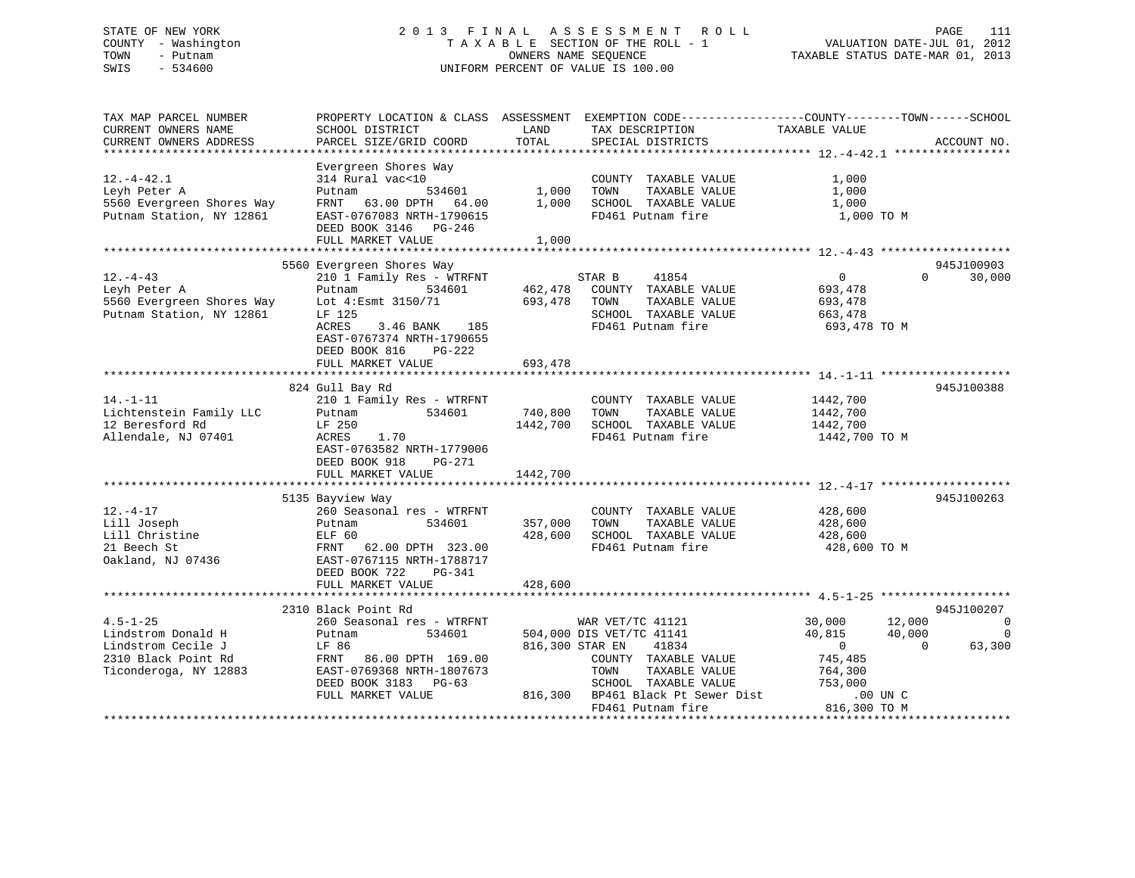## STATE OF NEW YORK 2 0 1 3 F I N A L A S S E S S M E N T R O L L PAGE 111 COUNTY - Washington T A X A B L E SECTION OF THE ROLL - 1 VALUATION DATE-JUL 01, 2012 TOWN - Putnam OWNERS NAME SEQUENCE TAXABLE STATUS DATE-MAR 01, 2013 SWIS - 534600 UNIFORM PERCENT OF VALUE IS 100.00

| TAX MAP PARCEL NUMBER<br>CURRENT OWNERS NAME<br>CURRENT OWNERS ADDRESS<br>*************************        | PROPERTY LOCATION & CLASS ASSESSMENT<br>SCHOOL DISTRICT<br>PARCEL SIZE/GRID COORD<br>*************************                                                                                   | LAND<br>TOTAL              | TAX DESCRIPTION<br>SPECIAL DISTRICTS                                                                                                                        | EXEMPTION CODE-----------------COUNTY-------TOWN------SCHOOL<br>TAXABLE VALUE                         | ACCOUNT NO.                                                          |
|------------------------------------------------------------------------------------------------------------|--------------------------------------------------------------------------------------------------------------------------------------------------------------------------------------------------|----------------------------|-------------------------------------------------------------------------------------------------------------------------------------------------------------|-------------------------------------------------------------------------------------------------------|----------------------------------------------------------------------|
| $12. - 4 - 42.1$<br>Leyh Peter A<br>5560 Evergreen Shores Way<br>Putnam Station, NY 12861                  | Evergreen Shores Way<br>314 Rural vac<10<br>534601<br>Putnam<br>FRNT<br>63.00 DPTH 64.00<br>EAST-0767083 NRTH-1790615<br>DEED BOOK 3146 PG-246<br>FULL MARKET VALUE                              | 1,000<br>1,000<br>1,000    | COUNTY TAXABLE VALUE<br>TOWN<br>TAXABLE VALUE<br>SCHOOL TAXABLE VALUE<br>FD461 Putnam fire                                                                  | 1,000<br>1,000<br>1,000<br>1,000 TO M                                                                 |                                                                      |
|                                                                                                            |                                                                                                                                                                                                  |                            |                                                                                                                                                             |                                                                                                       |                                                                      |
| $12. - 4 - 43$<br>Leyh Peter A<br>5560 Evergreen Shores Way<br>Putnam Station, NY 12861                    | 5560 Evergreen Shores Way<br>210 1 Family Res - WTRFNT<br>534601<br>Putnam<br>Lot 4: Esmt 3150/71<br>LF 125<br>3.46 BANK<br>ACRES<br>185<br>EAST-0767374 NRTH-1790655<br>DEED BOOK 816<br>PG-222 | 462,478<br>693,478         | STAR B<br>41854<br>COUNTY TAXABLE VALUE<br>TOWN<br>TAXABLE VALUE<br>SCHOOL TAXABLE VALUE<br>FD461 Putnam fire                                               | $\overline{0}$<br>693,478<br>693,478<br>663,478<br>693,478 TO M                                       | 945J100903<br>$\Omega$<br>30,000                                     |
|                                                                                                            | FULL MARKET VALUE                                                                                                                                                                                | 693,478                    |                                                                                                                                                             |                                                                                                       |                                                                      |
| $14. - 1 - 11$<br>Lichtenstein Family LLC<br>12 Beresford Rd<br>Allendale, NJ 07401                        | 824 Gull Bay Rd<br>210 1 Family Res - WTRFNT<br>534601<br>Putnam<br>LF 250<br>ACRES<br>1.70<br>EAST-0763582 NRTH-1779006                                                                         | 740,800<br>1442,700        | COUNTY TAXABLE VALUE<br>TAXABLE VALUE<br>TOWN<br>SCHOOL TAXABLE VALUE<br>FD461 Putnam fire                                                                  | 1442,700<br>1442,700<br>1442,700<br>1442,700 TO M                                                     | 945J100388                                                           |
|                                                                                                            | DEED BOOK 918<br>PG-271<br>FULL MARKET VALUE                                                                                                                                                     | 1442,700                   |                                                                                                                                                             |                                                                                                       |                                                                      |
|                                                                                                            |                                                                                                                                                                                                  |                            |                                                                                                                                                             |                                                                                                       |                                                                      |
| $12. - 4 - 17$<br>Lill Joseph<br>Lill Christine<br>21 Beech St<br>Oakland, NJ 07436                        | 5135 Bayview Way<br>260 Seasonal res - WTRFNT<br>534601<br>Putnam<br>ELF 60<br>FRNT 62.00 DPTH 323.00<br>EAST-0767115 NRTH-1788717<br>DEED BOOK 722<br>$PG-341$                                  | 357,000<br>428,600         | COUNTY TAXABLE VALUE<br>TAXABLE VALUE<br>TOWN<br>SCHOOL TAXABLE VALUE<br>FD461 Putnam fire                                                                  | 428,600<br>428,600<br>428,600<br>428,600 TO M                                                         | 945J100263                                                           |
|                                                                                                            | FULL MARKET VALUE                                                                                                                                                                                | 428,600                    |                                                                                                                                                             |                                                                                                       |                                                                      |
|                                                                                                            |                                                                                                                                                                                                  |                            |                                                                                                                                                             |                                                                                                       |                                                                      |
| $4.5 - 1 - 25$<br>Lindstrom Donald H<br>Lindstrom Cecile J<br>2310 Black Point Rd<br>Ticonderoga, NY 12883 | 2310 Black Point Rd<br>260 Seasonal res - WTRFNT<br>534601<br>Putnam<br>LF 86<br>FRNT<br>86.00 DPTH 169.00<br>EAST-0769368 NRTH-1807673<br>DEED BOOK 3183 PG-63<br>FULL MARKET VALUE             | 816,300 STAR EN<br>816,300 | WAR VET/TC 41121<br>504,000 DIS VET/TC 41141<br>41834<br>COUNTY TAXABLE VALUE<br>TOWN<br>TAXABLE VALUE<br>SCHOOL TAXABLE VALUE<br>BP461 Black Pt Sewer Dist | 12,000<br>30,000<br>40,815<br>40,000<br>$\overline{0}$<br>745,485<br>764,300<br>753,000<br>$.00$ UN C | 945J100207<br>$\overline{0}$<br>$\overline{0}$<br>63,300<br>$\Omega$ |
|                                                                                                            |                                                                                                                                                                                                  |                            | FD461 Putnam fire                                                                                                                                           | 816,300 TO M                                                                                          |                                                                      |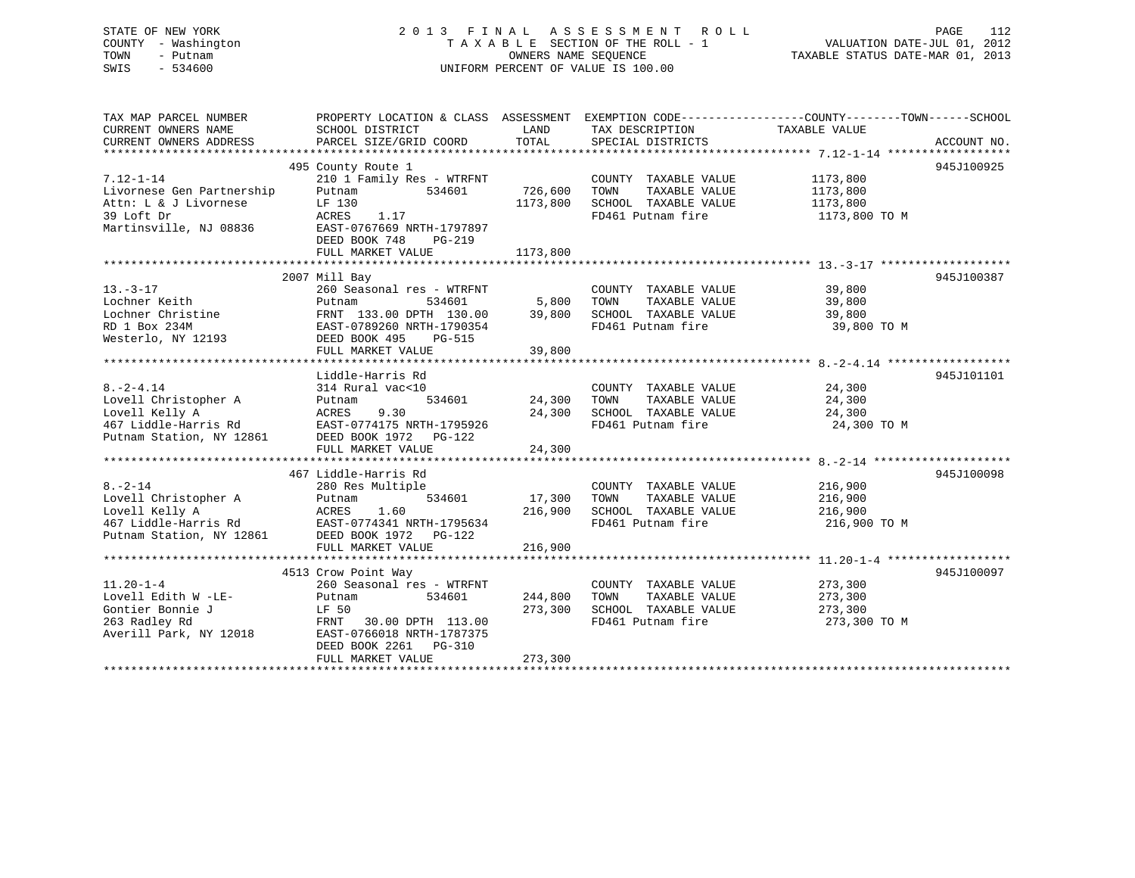## STATE OF NEW YORK 2 0 1 3 F I N A L A S S E S S M E N T R O L L PAGE 112 COUNTY - Washington T A X A B L E SECTION OF THE ROLL - 1 VALUATION DATE-JUL 01, 2012 TOWN - Putnam OWNERS NAME SEQUENCE TAXABLE STATUS DATE-MAR 01, 2013 SWIS - 534600 UNIFORM PERCENT OF VALUE IS 100.00

| TAX MAP PARCEL NUMBER<br>CURRENT OWNERS NAME<br>CURRENT OWNERS ADDRESS | PROPERTY LOCATION & CLASS ASSESSMENT EXEMPTION CODE---------------COUNTY-------TOWN------SCHOOL<br>SCHOOL DISTRICT<br>PARCEL SIZE/GRID COORD | LAND<br>TOTAL | TAX DESCRIPTION<br>SPECIAL DISTRICTS | TAXABLE VALUE | ACCOUNT NO. |
|------------------------------------------------------------------------|----------------------------------------------------------------------------------------------------------------------------------------------|---------------|--------------------------------------|---------------|-------------|
|                                                                        |                                                                                                                                              |               |                                      |               |             |
|                                                                        | 495 County Route 1                                                                                                                           |               |                                      |               | 945J100925  |
| $7.12 - 1 - 14$                                                        | 210 1 Family Res - WTRFNT                                                                                                                    |               | COUNTY TAXABLE VALUE                 | 1173,800      |             |
| Livornese Gen Partnership                                              | 534601<br>Putnam                                                                                                                             | 726,600       | TAXABLE VALUE<br>TOWN                | 1173,800      |             |
| Attn: L & J Livornese                                                  | LF 130                                                                                                                                       | 1173,800      | SCHOOL TAXABLE VALUE                 | 1173,800      |             |
| 39 Loft Dr                                                             | ACRES<br>1.17                                                                                                                                |               | FD461 Putnam fire                    | 1173,800 TO M |             |
| Martinsville, NJ 08836                                                 | EAST-0767669 NRTH-1797897                                                                                                                    |               |                                      |               |             |
|                                                                        | DEED BOOK 748<br>$PG-219$                                                                                                                    |               |                                      |               |             |
|                                                                        | FULL MARKET VALUE                                                                                                                            | 1173,800      |                                      |               |             |
|                                                                        |                                                                                                                                              |               |                                      |               |             |
|                                                                        |                                                                                                                                              |               |                                      |               | 945J100387  |
|                                                                        | 2007 Mill Bay                                                                                                                                |               |                                      |               |             |
| $13. - 3 - 17$                                                         | 260 Seasonal res - WTRFNT                                                                                                                    |               | COUNTY TAXABLE VALUE                 | 39,800        |             |
| Lochner Keith                                                          | 534601<br>Putnam                                                                                                                             | 5,800         | TOWN<br>TAXABLE VALUE                | 39,800        |             |
| Lochner Christine                                                      | FRNT 133.00 DPTH 130.00                                                                                                                      | 39,800        | SCHOOL TAXABLE VALUE                 | 39,800        |             |
| RD 1 Box 234M                                                          | EAST-0789260 NRTH-1790354                                                                                                                    |               | FD461 Putnam fire                    | 39,800 TO M   |             |
| Westerlo, NY 12193                                                     | DEED BOOK 495<br>PG-515                                                                                                                      |               |                                      |               |             |
|                                                                        | FULL MARKET VALUE                                                                                                                            | 39,800        |                                      |               |             |
|                                                                        |                                                                                                                                              |               |                                      |               |             |
|                                                                        | Liddle-Harris Rd                                                                                                                             |               |                                      |               | 945J101101  |
| $8. -2 - 4.14$                                                         | 314 Rural vac<10                                                                                                                             |               | COUNTY TAXABLE VALUE                 | 24,300        |             |
| Lovell Christopher A                                                   | 534601<br>Putnam                                                                                                                             | 24,300        | TOWN<br>TAXABLE VALUE                | 24,300        |             |
| Lovell Kelly A                                                         | 9.30<br>ACRES                                                                                                                                | 24,300        | SCHOOL TAXABLE VALUE                 | 24,300        |             |
| 467 Liddle-Harris Rd                                                   | EAST-0774175 NRTH-1795926                                                                                                                    |               | FD461 Putnam fire                    | 24,300 TO M   |             |
| Putnam Station, NY 12861                                               | DEED BOOK 1972 PG-122                                                                                                                        |               |                                      |               |             |
|                                                                        | FULL MARKET VALUE                                                                                                                            | 24,300        |                                      |               |             |
|                                                                        |                                                                                                                                              |               |                                      |               |             |
|                                                                        | 467 Liddle-Harris Rd                                                                                                                         |               |                                      |               | 945J100098  |
| $8. - 2 - 14$                                                          | 280 Res Multiple                                                                                                                             |               | COUNTY TAXABLE VALUE                 | 216,900       |             |
| Lovell Christopher A                                                   | 534601<br>Putnam                                                                                                                             | 17,300        | TOWN<br>TAXABLE VALUE                | 216,900       |             |
| Lovell Kelly A                                                         | 1.60<br>ACRES                                                                                                                                | 216,900       | SCHOOL TAXABLE VALUE                 | 216,900       |             |
| 467 Liddle-Harris Rd                                                   | EAST-0774341 NRTH-1795634                                                                                                                    |               | FD461 Putnam fire                    | 216,900 TO M  |             |
| Putnam Station, NY 12861                                               | DEED BOOK 1972 PG-122                                                                                                                        |               |                                      |               |             |
|                                                                        | FULL MARKET VALUE                                                                                                                            | 216,900       |                                      |               |             |
|                                                                        |                                                                                                                                              |               |                                      |               |             |
|                                                                        | 4513 Crow Point Way                                                                                                                          |               |                                      |               | 945J100097  |
| $11.20 - 1 - 4$                                                        | 260 Seasonal res - WTRFNT                                                                                                                    |               | COUNTY TAXABLE VALUE                 | 273,300       |             |
| Lovell Edith W -LE-                                                    | 534601<br>Putnam                                                                                                                             | 244,800       | TOWN<br>TAXABLE VALUE                | 273,300       |             |
| Gontier Bonnie J                                                       | LF 50                                                                                                                                        | 273,300       | SCHOOL TAXABLE VALUE                 | 273,300       |             |
| 263 Radley Rd                                                          | FRNT 30.00 DPTH 113.00                                                                                                                       |               | FD461 Putnam fire                    | 273,300 TO M  |             |
| Averill Park, NY 12018                                                 | EAST-0766018 NRTH-1787375                                                                                                                    |               |                                      |               |             |
|                                                                        | DEED BOOK 2261 PG-310                                                                                                                        |               |                                      |               |             |
|                                                                        | FULL MARKET VALUE                                                                                                                            | 273,300       |                                      |               |             |
|                                                                        |                                                                                                                                              |               |                                      |               |             |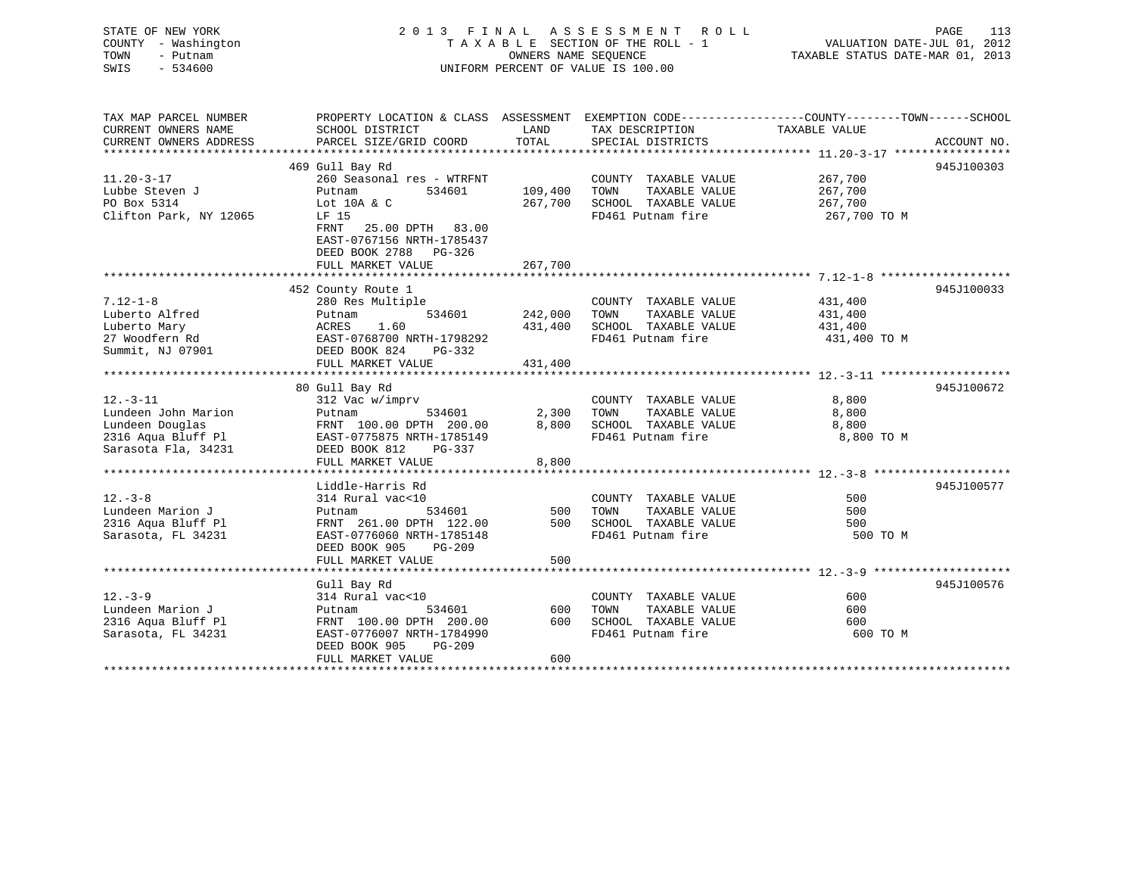STATE OF NEW YORK 2 0 1 3 F I N A L A S S E S S M E N T R O L L PAGE 113 COUNTY - Washington T A X A B L E SECTION OF THE ROLL - 1 VALUATION DATE-JUL 01, 2012 TOWN - Putnam OWNERS NAME SEQUENCE TAXABLE STATUS DATE-MAR 01, 2013 SWIS - 534600 UNIFORM PERCENT OF VALUE IS 100.00 TAX MAP PARCEL NUMBER PROPERTY LOCATION & CLASS ASSESSMENT EXEMPTION CODE------------------COUNTY--------TOWN------SCHOOL CURRENT OWNERS NAME SCHOOL DISTRICT LAND TAX DESCRIPTION TAXABLE VALUE CURRENT OWNERS ADDRESS PARCEL SIZE/GRID COORD TOTAL SPECIAL DISTRICTS ACCOUNT NO.

|                                              | 469 Gull Bay Rd                                                                      |         |                                |              | 945J100303 |
|----------------------------------------------|--------------------------------------------------------------------------------------|---------|--------------------------------|--------------|------------|
| $11.20 - 3 - 17$                             | 260 Seasonal res - WTRFNT                                                            |         | COUNTY TAXABLE VALUE           | 267,700      |            |
| Lubbe Steven J                               | 534601<br>Putnam                                                                     | 109,400 | TAXABLE VALUE<br>TOWN          | 267,700      |            |
| PO Box 5314                                  | Lot 10A & C                                                                          | 267,700 | SCHOOL TAXABLE VALUE 267,700   |              |            |
| Clifton Park, NY 12065                       | LF 15<br>FRNT 25.00 DPTH 83.00<br>EAST-0767156 NRTH-1785437<br>DEED BOOK 2788 PG-326 |         | FD461 Putnam fire              | 267,700 TO M |            |
|                                              |                                                                                      |         |                                |              |            |
|                                              |                                                                                      |         |                                |              |            |
|                                              | 452 County Route 1                                                                   |         |                                |              | 945J100033 |
| $7.12 - 1 - 8$                               | 280 Res Multiple                                                                     |         | COUNTY TAXABLE VALUE           | 431,400      |            |
| Luberto Alfred                               | 534601 242,000 TOWN<br>Putnam                                                        |         | TAXABLE VALUE                  | 431,400      |            |
| Luberto Mary                                 | ACRES<br>1.60                                                                        |         | 431,400 SCHOOL TAXABLE VALUE   | 431,400      |            |
| 27 Woodfern Rd                               | EAST-0768700 NRTH-1798292                                                            |         | FD461 Putnam fire 431,400 TO M |              |            |
| Summit, NJ 07901 DEED BOOK 824 PG-332        |                                                                                      |         |                                |              |            |
|                                              | FULL MARKET VALUE $431,400$                                                          |         |                                |              |            |
|                                              |                                                                                      |         |                                |              |            |
|                                              | 80 Gull Bay Rd                                                                       |         |                                |              | 945J100672 |
| $12. - 3 - 11$                               | 312 Vac w/imprv                                                                      |         | COUNTY TAXABLE VALUE           | 8,800        |            |
| Lundeen John Marion                          | 534601 2,300 TOWN<br>Putnam                                                          |         | TAXABLE VALUE                  | 8,800        |            |
| Lundeen Douglas                              | FRNT 100.00 DPTH 200.00                                                              |         | 8,800 SCHOOL TAXABLE VALUE     | 8,800        |            |
| 2316 Aqua Bluff Pl EAST-0775875 NRTH-1785149 |                                                                                      |         | FD461 Putnam fire 3,800 TO M   |              |            |
| Sarasota Fla, 34231                          | DEED BOOK 812<br>PG-337                                                              |         |                                |              |            |
|                                              | FULL MARKET VALUE                                                                    | 8,800   |                                |              |            |
|                                              |                                                                                      |         |                                |              |            |
|                                              | Liddle-Harris Rd                                                                     |         |                                |              | 945J100577 |
| $12. - 3 - 8$                                | 314 Rural vac<10<br>534601 500                                                       |         | COUNTY TAXABLE VALUE           | 500          |            |
| Lundeen Marion J                             | Putnam                                                                               |         | TAXABLE VALUE<br>TOWN          | 500          |            |
| 2316 Aqua Bluff Pl                           | FRNT 261.00 DPTH 122.00                                                              |         | 500 SCHOOL TAXABLE VALUE       | 500          |            |
| Sarasota, FL 34231                           | EAST-0776060 NRTH-1785148                                                            |         | FD461 Putnam fire              | 500 TO M     |            |
|                                              | DEED BOOK 905 PG-209                                                                 |         |                                |              |            |
|                                              | FULL MARKET VALUE                                                                    | 500     |                                |              |            |
|                                              |                                                                                      |         |                                |              |            |
|                                              | Gull Bay Rd                                                                          |         |                                |              | 945J100576 |
| $12. - 3 - 9$                                | 314 Rural vac<10                                                                     |         | COUNTY TAXABLE VALUE           | 600          |            |
| Lundeen Marion J                             | 534601<br>Putnam                                                                     | 600     | TAXABLE VALUE<br>TOWN          | 600          |            |
| 2316 Aqua Bluff Pl                           | FRNT 100.00 DPTH 200.00                                                              | 600     | SCHOOL TAXABLE VALUE           | 600          |            |
| Sarasota, FL 34231                           | EAST-0776007 NRTH-1784990                                                            |         | FD461 Putnam fire              | 600 TO M     |            |
|                                              | DEED BOOK 905<br><b>PG-209</b>                                                       |         |                                |              |            |
|                                              | FULL MARKET VALUE                                                                    | 600     |                                |              |            |
|                                              |                                                                                      |         |                                |              |            |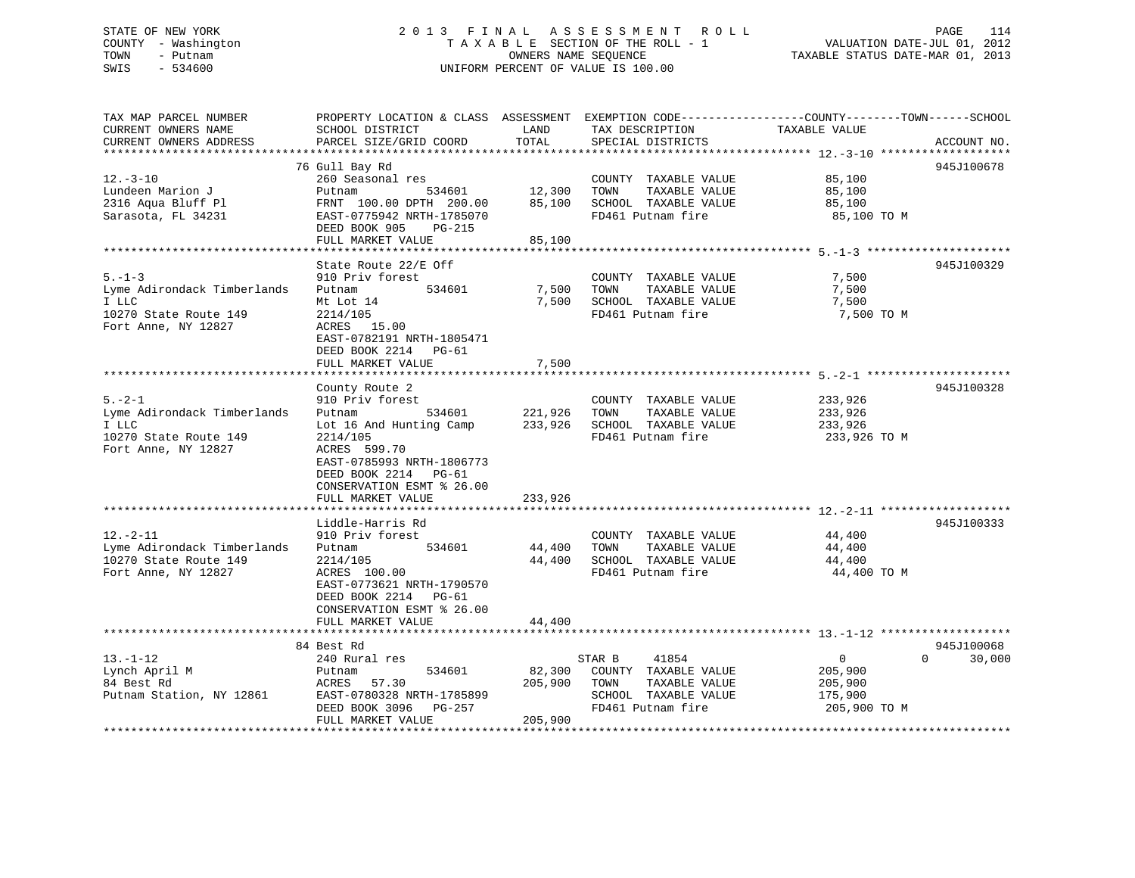## STATE OF NEW YORK 2 0 1 3 F I N A L A S S E S S M E N T R O L L PAGE 114 COUNTY - Washington T A X A B L E SECTION OF THE ROLL - 1 VALUATION DATE-JUL 01, 2012 TOWN - Putnam OWNERS NAME SEQUENCE TAXABLE STATUS DATE-MAR 01, 2013 SWIS - 534600 UNIFORM PERCENT OF VALUE IS 100.00

| TAX MAP PARCEL NUMBER<br>CURRENT OWNERS NAME<br>CURRENT OWNERS ADDRESS                               | PROPERTY LOCATION & CLASS ASSESSMENT<br>SCHOOL DISTRICT<br>PARCEL SIZE/GRID COORD                                                                                                                                   | LAND<br>TOTAL                 | TAX DESCRIPTION<br>SPECIAL DISTRICTS                                                       | EXEMPTION CODE-----------------COUNTY-------TOWN------SCHOOL<br>TAXABLE VALUE<br>ACCOUNT NO. |
|------------------------------------------------------------------------------------------------------|---------------------------------------------------------------------------------------------------------------------------------------------------------------------------------------------------------------------|-------------------------------|--------------------------------------------------------------------------------------------|----------------------------------------------------------------------------------------------|
|                                                                                                      |                                                                                                                                                                                                                     |                               |                                                                                            |                                                                                              |
| $12. - 3 - 10$<br>Lundeen Marion J<br>2316 Aqua Bluff Pl<br>Sarasota, FL 34231                       | 76 Gull Bay Rd<br>260 Seasonal res<br>534601<br>Putnam<br>FRNT 100.00 DPTH 200.00<br>EAST-0775942 NRTH-1785070<br>DEED BOOK 905<br><b>PG-215</b>                                                                    | 12,300<br>85,100              | COUNTY TAXABLE VALUE<br>TOWN<br>TAXABLE VALUE<br>SCHOOL TAXABLE VALUE<br>FD461 Putnam fire | 945J100678<br>85,100<br>85,100<br>85,100<br>85,100 TO M                                      |
|                                                                                                      | FULL MARKET VALUE                                                                                                                                                                                                   | 85,100                        |                                                                                            |                                                                                              |
|                                                                                                      | *****************                                                                                                                                                                                                   | * * * * * * * *               |                                                                                            | ***************** 5. -1-3 *********************                                              |
| $5. - 1 - 3$<br>Lyme Adirondack Timberlands<br>I LLC<br>10270 State Route 149<br>Fort Anne, NY 12827 | State Route 22/E Off<br>910 Priv forest<br>534601<br>Putnam<br>Mt Lot 14<br>2214/105<br>ACRES 15.00<br>EAST-0782191 NRTH-1805471<br>DEED BOOK 2214 PG-61                                                            | 7,500<br>7,500                | COUNTY TAXABLE VALUE<br>TOWN<br>TAXABLE VALUE<br>SCHOOL TAXABLE VALUE<br>FD461 Putnam fire | 945J100329<br>7,500<br>7,500<br>7,500<br>7,500 TO M                                          |
|                                                                                                      | FULL MARKET VALUE                                                                                                                                                                                                   | 7,500                         |                                                                                            |                                                                                              |
|                                                                                                      |                                                                                                                                                                                                                     |                               |                                                                                            |                                                                                              |
| $5. - 2 - 1$<br>Lyme Adirondack Timberlands<br>I LLC<br>10270 State Route 149<br>Fort Anne, NY 12827 | County Route 2<br>910 Priv forest<br>534601<br>Putnam<br>Lot 16 And Hunting Camp<br>2214/105<br>ACRES 599.70<br>EAST-0785993 NRTH-1806773<br>DEED BOOK 2214 PG-61<br>CONSERVATION ESMT % 26.00<br>FULL MARKET VALUE | 221,926<br>233,926<br>233,926 | COUNTY TAXABLE VALUE<br>TOWN<br>TAXABLE VALUE<br>SCHOOL TAXABLE VALUE<br>FD461 Putnam fire | 945J100328<br>233,926<br>233,926<br>233,926<br>233,926 TO M                                  |
|                                                                                                      |                                                                                                                                                                                                                     |                               |                                                                                            |                                                                                              |
| $12. - 2 - 11$<br>Lyme Adirondack Timberlands<br>10270 State Route 149<br>Fort Anne, NY 12827        | Liddle-Harris Rd<br>910 Priv forest<br>534601<br>Putnam<br>2214/105<br>ACRES 100.00<br>EAST-0773621 NRTH-1790570<br>DEED BOOK 2214 PG-61<br>CONSERVATION ESMT % 26.00                                               | 44,400<br>44,400              | COUNTY TAXABLE VALUE<br>TAXABLE VALUE<br>TOWN<br>SCHOOL TAXABLE VALUE<br>FD461 Putnam fire | 945J100333<br>44,400<br>44,400<br>44,400<br>44,400 TO M                                      |
|                                                                                                      | FULL MARKET VALUE                                                                                                                                                                                                   | 44,400                        |                                                                                            |                                                                                              |
| $13.-1-12$                                                                                           | 84 Best Rd<br>240 Rural res                                                                                                                                                                                         |                               | 41854<br>STAR B                                                                            | 945J100068<br>$\overline{0}$<br>$\Omega$<br>30,000                                           |
| Lynch April M<br>84 Best Rd<br>Putnam Station, NY 12861                                              | 534601<br>Putnam<br>57.30<br>ACRES<br>EAST-0780328 NRTH-1785899<br>DEED BOOK 3096<br>PG-257<br>FULL MARKET VALUE                                                                                                    | 82,300<br>205,900<br>205,900  | COUNTY TAXABLE VALUE<br>TAXABLE VALUE<br>TOWN<br>SCHOOL TAXABLE VALUE<br>FD461 Putnam fire | 205,900<br>205,900<br>175,900<br>205,900 TO M                                                |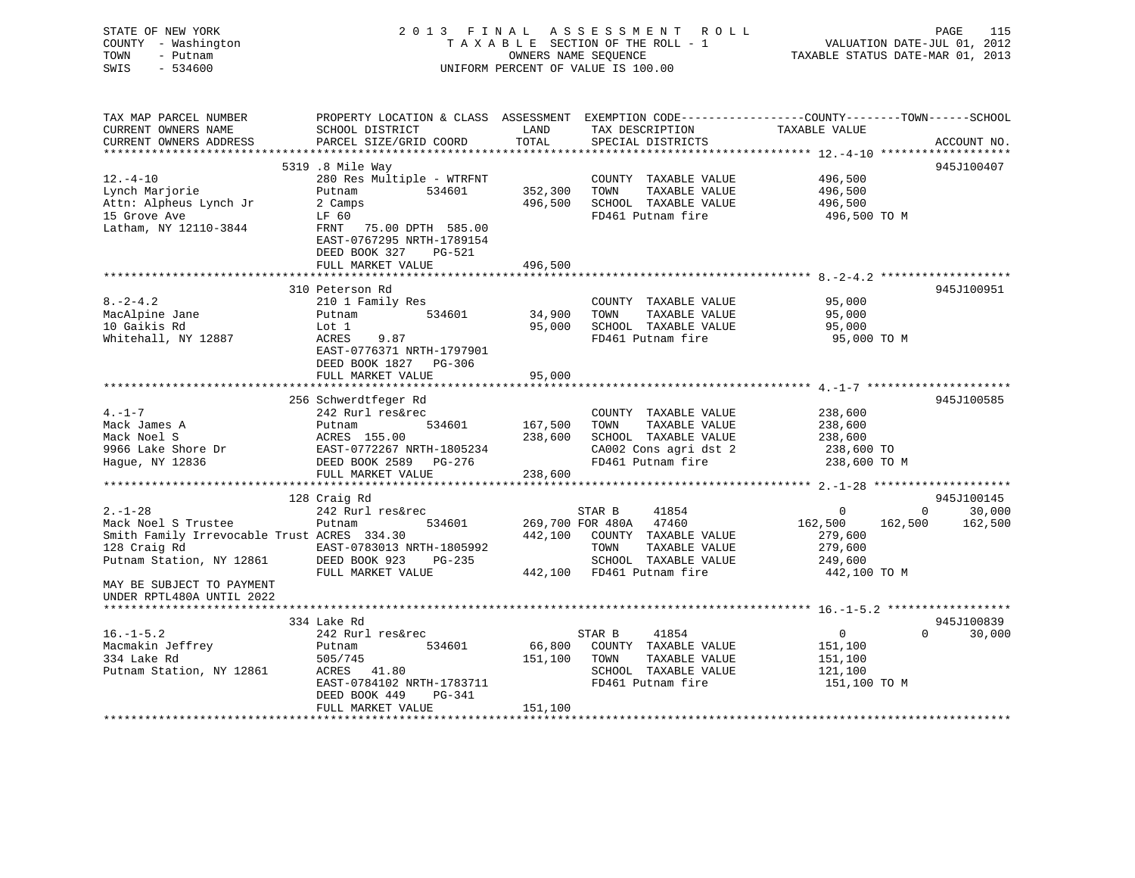| STATE OF NEW YORK<br>COUNTY - Washington<br>TOWN<br>- Putnam<br>SWIS<br>$-534600$ |                                                                                                                    |         | 2013 FINAL ASSESSMENT ROLL<br>TAXABLE SECTION OF THE ROLL - 1<br>OWNERS NAME SEQUENCE<br>UNIFORM PERCENT OF VALUE IS 100.00 | VALUATION DATE-JUL 01, 2012<br>TAXABLE STATUS DATE-MAR 01, 2013 | <b>PAGE</b>    | 115         |
|-----------------------------------------------------------------------------------|--------------------------------------------------------------------------------------------------------------------|---------|-----------------------------------------------------------------------------------------------------------------------------|-----------------------------------------------------------------|----------------|-------------|
| TAX MAP PARCEL NUMBER<br>CURRENT OWNERS NAME                                      | PROPERTY LOCATION & CLASS ASSESSMENT EXEMPTION CODE---------------COUNTY-------TOWN------SCHOOL<br>SCHOOL DISTRICT | LAND    | TAX DESCRIPTION                                                                                                             | TAXABLE VALUE                                                   |                |             |
| CURRENT OWNERS ADDRESS                                                            | PARCEL SIZE/GRID COORD                                                                                             | TOTAL   | SPECIAL DISTRICTS                                                                                                           |                                                                 |                | ACCOUNT NO. |
|                                                                                   |                                                                                                                    |         |                                                                                                                             |                                                                 |                |             |
|                                                                                   | 5319 .8 Mile Way                                                                                                   |         |                                                                                                                             |                                                                 |                | 945J100407  |
| $12. - 4 - 10$                                                                    | 280 Res Multiple - WTRFNT<br>Putnam<br>534601                                                                      |         | COUNTY TAXABLE VALUE<br>TAXABLE VALUE                                                                                       | 496,500<br>496,500                                              |                |             |
| Lynch Marjorie<br>Attn: Alpheus Lynch Jr                                          | 2 Camps                                                                                                            |         | 352,300 TOWN<br>496,500 SCHOOL TAXABLE VALUE                                                                                | 496,500                                                         |                |             |
| 15 Grove Ave                                                                      | LF 60                                                                                                              |         | FD461 Putnam fire                                                                                                           | 496,500 TO M                                                    |                |             |
| Latham, NY 12110-3844                                                             | FRNT 75.00 DPTH 585.00<br>EAST-0767295 NRTH-1789154<br>DEED BOOK 327 PG-521                                        |         |                                                                                                                             |                                                                 |                |             |
|                                                                                   | FULL MARKET VALUE                                                                                                  | 496,500 |                                                                                                                             |                                                                 |                |             |
|                                                                                   |                                                                                                                    |         |                                                                                                                             |                                                                 |                |             |
| $8. -2 - 4.2$                                                                     | 310 Peterson Rd                                                                                                    |         |                                                                                                                             | 95,000                                                          |                | 945J100951  |
| MacAlpine Jane                                                                    | 210 1 Family Res<br>Putnam<br>534601                                                                               | 34,900  | COUNTY TAXABLE VALUE<br>TOWN<br>TAXABLE VALUE                                                                               | 95,000                                                          |                |             |
| 10 Gaikis Rd                                                                      | Lot 1                                                                                                              | 95,000  | SCHOOL TAXABLE VALUE                                                                                                        | 95,000                                                          |                |             |
| Whitehall, NY 12887                                                               | ACRES<br>9.87                                                                                                      |         | FD461 Putnam fire                                                                                                           | 95,000 TO M                                                     |                |             |
|                                                                                   | EAST-0776371 NRTH-1797901<br>DEED BOOK 1827 PG-306<br>FULL MARKET VALUE                                            | 95,000  |                                                                                                                             |                                                                 |                |             |
|                                                                                   |                                                                                                                    |         |                                                                                                                             |                                                                 |                |             |
|                                                                                   | 256 Schwerdtfeger Rd                                                                                               |         |                                                                                                                             |                                                                 |                | 945J100585  |
| $4. -1 - 7$                                                                       | 242 Rurl res&rec                                                                                                   |         | COUNTY TAXABLE VALUE                                                                                                        | 238,600                                                         |                |             |
| Mack James A                                                                      | Putnam<br>534601                                                                                                   | 167,500 | TOWN<br>TAXABLE VALUE                                                                                                       | 238,600                                                         |                |             |
| Mack Noel S                                                                       | ACRES 155.00                                                                                                       | 238,600 | SCHOOL TAXABLE VALUE                                                                                                        | 238,600                                                         |                |             |
| 9966 Lake Shore Dr<br>Hague, NY 12836                                             | EAST-0772267 NRTH-1805234<br>DEED BOOK 2589 PG-276                                                                 |         | CA002 Cons agri dst 2<br>FD461 Putnam fire                                                                                  | 238,600 TO<br>238,600 TO M                                      |                |             |
|                                                                                   | FULL MARKET VALUE                                                                                                  | 238,600 |                                                                                                                             |                                                                 |                |             |
|                                                                                   |                                                                                                                    |         |                                                                                                                             |                                                                 |                |             |
|                                                                                   | 128 Craig Rd                                                                                                       |         |                                                                                                                             |                                                                 |                | 945J100145  |
| $2. - 1 - 28$                                                                     | 242 Rurl res&rec                                                                                                   |         | STAR B<br>41854                                                                                                             | 0                                                               | $\overline{0}$ | 30,000      |
| Mack Noel S Trustee                                                               | 534601<br>Putnam                                                                                                   |         | 269,700 FOR 480A 47460                                                                                                      | 162,500                                                         | 162,500        | 162,500     |
| Smith Family Irrevocable Trust ACRES 334.30                                       |                                                                                                                    |         | 442,100 COUNTY TAXABLE VALUE<br>TOWN                                                                                        | 279,600                                                         |                |             |
| 128 Craig Rd<br>Putnam Station, NY 12861                                          | EAST-0783013 NRTH-1805992<br>DEED BOOK 923 PG-235                                                                  |         | TAXABLE VALUE<br>SCHOOL TAXABLE VALUE                                                                                       | 279,600<br>249,600                                              |                |             |
|                                                                                   | FULL MARKET VALUE                                                                                                  |         | 442,100 FD461 Putnam fire                                                                                                   | 442,100 TO M                                                    |                |             |
| MAY BE SUBJECT TO PAYMENT<br>UNDER RPTL480A UNTIL 2022                            |                                                                                                                    |         |                                                                                                                             |                                                                 |                |             |
|                                                                                   | 334 Lake Rd                                                                                                        |         |                                                                                                                             |                                                                 |                | 945J100839  |
| $16. - 1 - 5.2$                                                                   | 242 Rurl res&rec                                                                                                   |         | 41854<br>STAR B                                                                                                             | $\overline{0}$                                                  | $\Omega$       | 30,000      |
| Macmakin Jeffrey                                                                  | Putnam<br>534601                                                                                                   |         | 66,800 COUNTY TAXABLE VALUE                                                                                                 | 151,100                                                         |                |             |
| 334 Lake Rd                                                                       | 505/745                                                                                                            | 151,100 | TOWN<br>TAXABLE VALUE                                                                                                       | 151,100                                                         |                |             |
| Putnam Station, NY 12861                                                          | ACRES 41.80                                                                                                        |         | SCHOOL TAXABLE VALUE                                                                                                        | 121,100                                                         |                |             |
|                                                                                   | EAST-0784102 NRTH-1783711<br>PG-341<br>DEED BOOK 449<br>FULL MARKET VALUE                                          | 151,100 | FD461 Putnam fire                                                                                                           | 151,100 TO M                                                    |                |             |
|                                                                                   |                                                                                                                    |         |                                                                                                                             |                                                                 |                |             |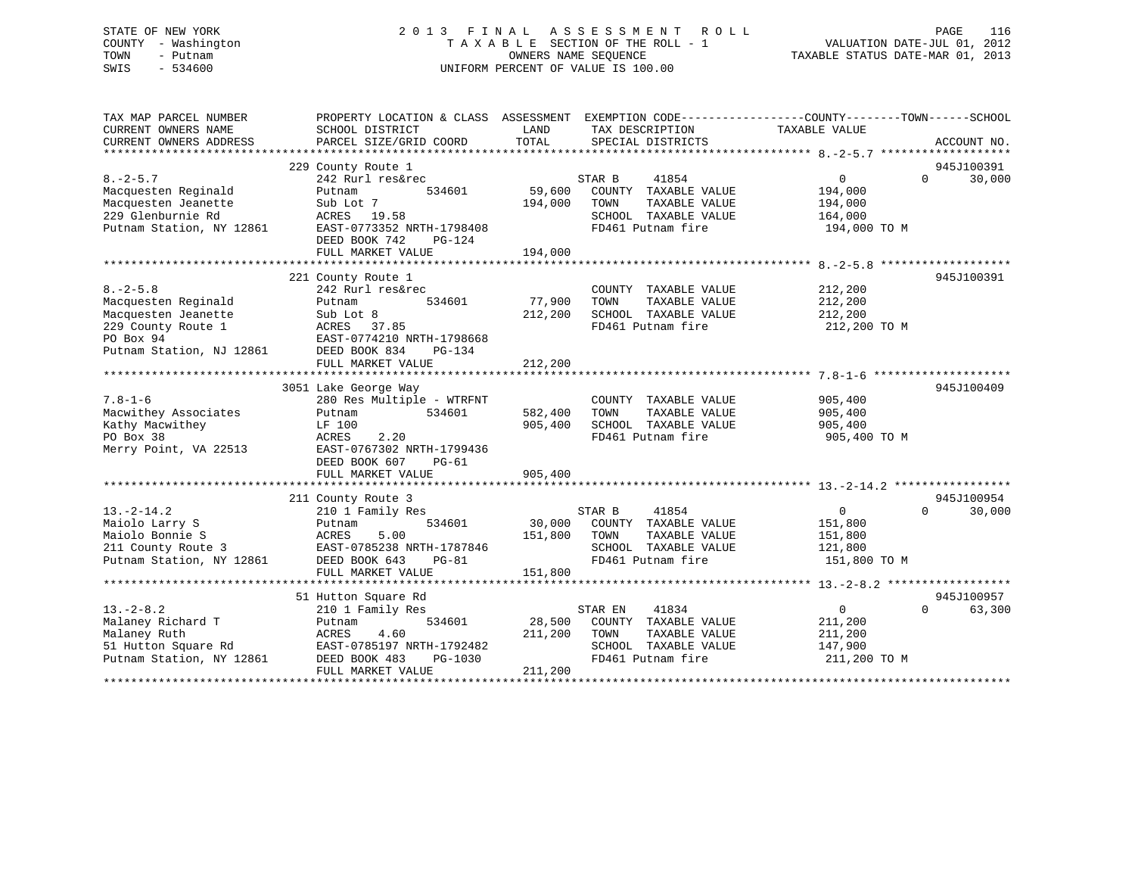## STATE OF NEW YORK 2 0 1 3 F I N A L A S S E S S M E N T R O L L PAGE 116 COUNTY - Washington T A X A B L E SECTION OF THE ROLL - 1 VALUATION DATE-JUL 01, 2012 TOWN - Putnam OWNERS NAME SEQUENCE TAXABLE STATUS DATE-MAR 01, 2013 SWIS - 534600 UNIFORM PERCENT OF VALUE IS 100.00

| CURRENT OWNERS NAME<br>SCHOOL DISTRICT<br>LAND<br>TAX DESCRIPTION<br>TAXABLE VALUE<br>TOTAL<br>CURRENT OWNERS ADDRESS<br>PARCEL SIZE/GRID COORD<br>SPECIAL DISTRICTS<br>ACCOUNT NO.<br>229 County Route 1<br>945J100391<br>30,000<br>$8. - 2 - 5.7$<br>242 Rurl res&rec<br>STAR B<br>41854<br>$\overline{0}$<br>$\Omega$<br>59,600<br>Macquesten Reginald<br>534601<br>COUNTY TAXABLE VALUE<br>194,000<br>Putnam<br>Macquesten Jeanette<br>194,000<br>TAXABLE VALUE<br>194,000<br>Sub Lot 7<br>TOWN<br>229 Glenburnie Rd<br>SCHOOL TAXABLE VALUE<br>ACRES 19.58<br>164,000<br>Putnam Station, NY 12861<br>EAST-0773352 NRTH-1798408<br>FD461 Putnam fire<br>194,000 TO M<br>DEED BOOK 742<br>PG-124 |  |
|-----------------------------------------------------------------------------------------------------------------------------------------------------------------------------------------------------------------------------------------------------------------------------------------------------------------------------------------------------------------------------------------------------------------------------------------------------------------------------------------------------------------------------------------------------------------------------------------------------------------------------------------------------------------------------------------------------|--|
|                                                                                                                                                                                                                                                                                                                                                                                                                                                                                                                                                                                                                                                                                                     |  |
|                                                                                                                                                                                                                                                                                                                                                                                                                                                                                                                                                                                                                                                                                                     |  |
|                                                                                                                                                                                                                                                                                                                                                                                                                                                                                                                                                                                                                                                                                                     |  |
|                                                                                                                                                                                                                                                                                                                                                                                                                                                                                                                                                                                                                                                                                                     |  |
|                                                                                                                                                                                                                                                                                                                                                                                                                                                                                                                                                                                                                                                                                                     |  |
|                                                                                                                                                                                                                                                                                                                                                                                                                                                                                                                                                                                                                                                                                                     |  |
|                                                                                                                                                                                                                                                                                                                                                                                                                                                                                                                                                                                                                                                                                                     |  |
|                                                                                                                                                                                                                                                                                                                                                                                                                                                                                                                                                                                                                                                                                                     |  |
|                                                                                                                                                                                                                                                                                                                                                                                                                                                                                                                                                                                                                                                                                                     |  |
|                                                                                                                                                                                                                                                                                                                                                                                                                                                                                                                                                                                                                                                                                                     |  |
| 194,000<br>FULL MARKET VALUE                                                                                                                                                                                                                                                                                                                                                                                                                                                                                                                                                                                                                                                                        |  |
|                                                                                                                                                                                                                                                                                                                                                                                                                                                                                                                                                                                                                                                                                                     |  |
| 945J100391<br>221 County Route 1                                                                                                                                                                                                                                                                                                                                                                                                                                                                                                                                                                                                                                                                    |  |
| $8. - 2 - 5.8$<br>242 Rurl res&rec<br>212,200<br>COUNTY TAXABLE VALUE                                                                                                                                                                                                                                                                                                                                                                                                                                                                                                                                                                                                                               |  |
| Macquesten Reginald<br>534601<br>77,900<br>TOWN<br>TAXABLE VALUE<br>212,200<br>Putnam                                                                                                                                                                                                                                                                                                                                                                                                                                                                                                                                                                                                               |  |
| Macquesten Jeanette<br>212,200<br>SCHOOL TAXABLE VALUE<br>212,200<br>Sub Lot 8                                                                                                                                                                                                                                                                                                                                                                                                                                                                                                                                                                                                                      |  |
| 229 County Route 1<br>ACRES<br>37.85<br>FD461 Putnam fire<br>212,200 TO M                                                                                                                                                                                                                                                                                                                                                                                                                                                                                                                                                                                                                           |  |
| PO Box 94<br>EAST-0774210 NRTH-1798668                                                                                                                                                                                                                                                                                                                                                                                                                                                                                                                                                                                                                                                              |  |
| Putnam Station, NJ 12861<br>DEED BOOK 834<br>PG-134                                                                                                                                                                                                                                                                                                                                                                                                                                                                                                                                                                                                                                                 |  |
| FULL MARKET VALUE<br>212,200                                                                                                                                                                                                                                                                                                                                                                                                                                                                                                                                                                                                                                                                        |  |
|                                                                                                                                                                                                                                                                                                                                                                                                                                                                                                                                                                                                                                                                                                     |  |
| 945J100409<br>3051 Lake George Way                                                                                                                                                                                                                                                                                                                                                                                                                                                                                                                                                                                                                                                                  |  |
| $7.8 - 1 - 6$<br>280 Res Multiple - WTRFNT<br>COUNTY TAXABLE VALUE<br>905,400                                                                                                                                                                                                                                                                                                                                                                                                                                                                                                                                                                                                                       |  |
| Macwithey Associates<br>582,400<br>534601<br>TOWN<br>TAXABLE VALUE<br>905,400<br>Putnam                                                                                                                                                                                                                                                                                                                                                                                                                                                                                                                                                                                                             |  |
| Kathy Macwithey<br>905,400<br>SCHOOL TAXABLE VALUE<br>LF 100<br>905,400                                                                                                                                                                                                                                                                                                                                                                                                                                                                                                                                                                                                                             |  |
| PO Box 38<br>2.20<br>FD461 Putnam fire<br>ACRES<br>905,400 TO M                                                                                                                                                                                                                                                                                                                                                                                                                                                                                                                                                                                                                                     |  |
| Merry Point, VA 22513<br>EAST-0767302 NRTH-1799436                                                                                                                                                                                                                                                                                                                                                                                                                                                                                                                                                                                                                                                  |  |
| DEED BOOK 607<br>$PG-61$                                                                                                                                                                                                                                                                                                                                                                                                                                                                                                                                                                                                                                                                            |  |
| FULL MARKET VALUE<br>905,400                                                                                                                                                                                                                                                                                                                                                                                                                                                                                                                                                                                                                                                                        |  |
|                                                                                                                                                                                                                                                                                                                                                                                                                                                                                                                                                                                                                                                                                                     |  |
| 945J100954<br>211 County Route 3                                                                                                                                                                                                                                                                                                                                                                                                                                                                                                                                                                                                                                                                    |  |
| $13.-2-14.2$<br>210 1 Family Res<br>STAR B<br>41854<br>$\overline{0}$<br>$\Omega$<br>30,000                                                                                                                                                                                                                                                                                                                                                                                                                                                                                                                                                                                                         |  |
| 534601<br>30,000<br>Maiolo Larry S<br>COUNTY TAXABLE VALUE<br>151,800<br>Putnam                                                                                                                                                                                                                                                                                                                                                                                                                                                                                                                                                                                                                     |  |
| Maiolo Bonnie S<br>5.00<br>151,800<br>ACRES<br>TOWN<br>TAXABLE VALUE<br>151,800                                                                                                                                                                                                                                                                                                                                                                                                                                                                                                                                                                                                                     |  |
| 211 County Route 3<br>EAST-0785238 NRTH-1787846<br>SCHOOL TAXABLE VALUE<br>121,800                                                                                                                                                                                                                                                                                                                                                                                                                                                                                                                                                                                                                  |  |
| FD461 Putnam fire<br>Putnam Station, NY 12861<br>DEED BOOK 643<br>$PG-81$<br>151,800 TO M                                                                                                                                                                                                                                                                                                                                                                                                                                                                                                                                                                                                           |  |
| 151,800<br>FULL MARKET VALUE                                                                                                                                                                                                                                                                                                                                                                                                                                                                                                                                                                                                                                                                        |  |
|                                                                                                                                                                                                                                                                                                                                                                                                                                                                                                                                                                                                                                                                                                     |  |
| 945J100957<br>51 Hutton Square Rd                                                                                                                                                                                                                                                                                                                                                                                                                                                                                                                                                                                                                                                                   |  |
| $\overline{0}$<br>$13.-2-8.2$<br>41834<br>$\Omega$<br>63,300<br>210 1 Family Res<br>STAR EN                                                                                                                                                                                                                                                                                                                                                                                                                                                                                                                                                                                                         |  |
| Malaney Richard T<br>534601<br>28,500<br>COUNTY TAXABLE VALUE<br>211,200<br>Putnam                                                                                                                                                                                                                                                                                                                                                                                                                                                                                                                                                                                                                  |  |
| Malaney Ruth<br>4.60<br>211,200<br>TOWN<br>TAXABLE VALUE<br>211,200<br>ACRES                                                                                                                                                                                                                                                                                                                                                                                                                                                                                                                                                                                                                        |  |
| 51 Hutton Square Rd<br>SCHOOL TAXABLE VALUE<br>EAST-0785197 NRTH-1792482<br>147,900                                                                                                                                                                                                                                                                                                                                                                                                                                                                                                                                                                                                                 |  |
| Putnam Station, NY 12861<br>FD461 Putnam fire<br>211,200 TO M<br>DEED BOOK 483<br>PG-1030                                                                                                                                                                                                                                                                                                                                                                                                                                                                                                                                                                                                           |  |
| FULL MARKET VALUE<br>211,200<br>* * * * * * * * * * * * * * * * *                                                                                                                                                                                                                                                                                                                                                                                                                                                                                                                                                                                                                                   |  |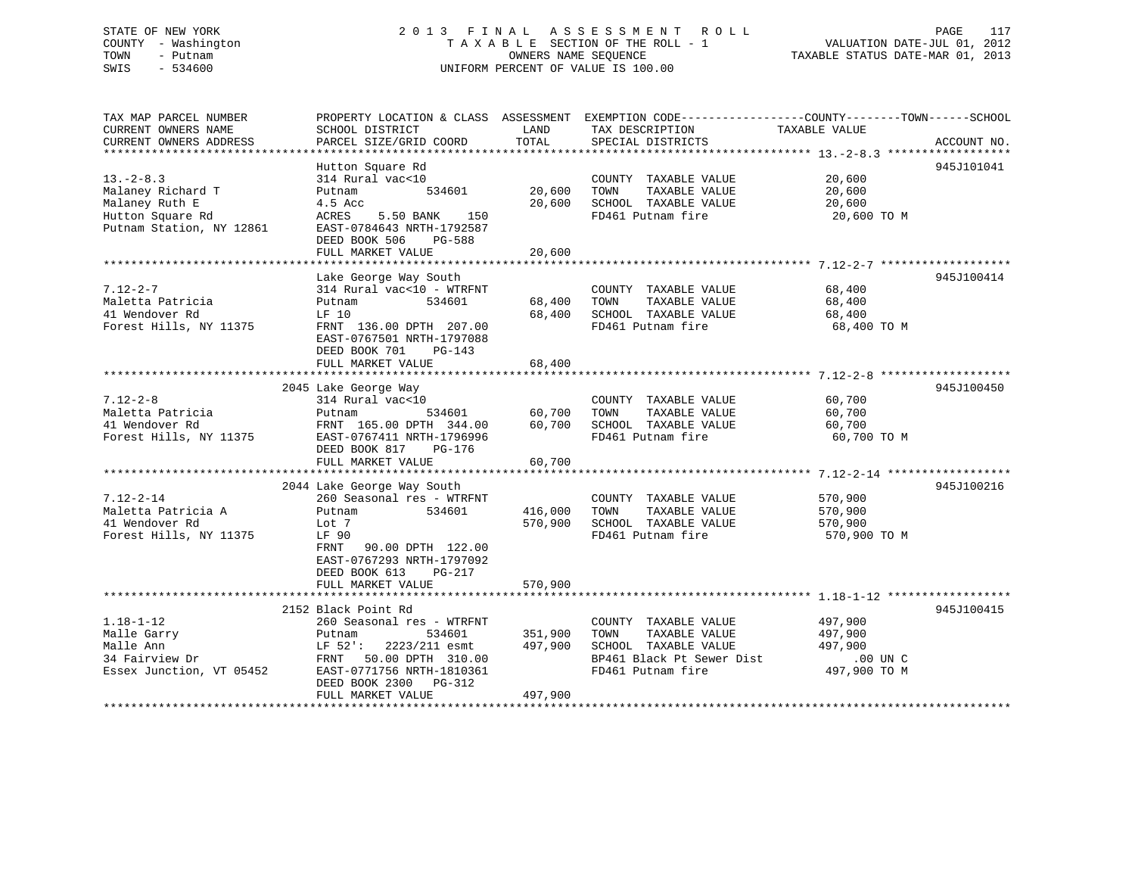# STATE OF NEW YORK 2 0 1 3 F I N A L A S S E S S M E N T R O L L PAGE 117COUNTY - Washington  $T A X A B L E$  SECTION OF THE ROLL - 1<br>TOWN - Putnam data of the COUNTERS NAME SEQUENCE SWIS - 534600 UNIFORM PERCENT OF VALUE IS 100.00

TAXABLE STATUS DATE-MAR 01, 2013

| TAX MAP PARCEL NUMBER<br>CURRENT OWNERS NAME<br>CURRENT OWNERS ADDRESS                                 | PROPERTY LOCATION & CLASS ASSESSMENT<br>SCHOOL DISTRICT<br>PARCEL SIZE/GRID COORD                                                                                                                     | LAND<br>TOTAL                 | EXEMPTION CODE----------------COUNTY-------TOWN------SCHOOL<br>TAX DESCRIPTION<br>SPECIAL DISTRICTS                     | TAXABLE VALUE                                                 | ACCOUNT NO. |
|--------------------------------------------------------------------------------------------------------|-------------------------------------------------------------------------------------------------------------------------------------------------------------------------------------------------------|-------------------------------|-------------------------------------------------------------------------------------------------------------------------|---------------------------------------------------------------|-------------|
| $13. - 2 - 8.3$<br>Malaney Richard T<br>Malaney Ruth E<br>Hutton Square Rd<br>Putnam Station, NY 12861 | Hutton Square Rd<br>314 Rural vac<10<br>534601<br>Putnam<br>4.5 Acc<br>ACRES<br>5.50 BANK<br>150<br>EAST-0784643 NRTH-1792587<br>DEED BOOK 506<br>PG-588<br>FULL MARKET VALUE                         | 20,600<br>20,600<br>20,600    | COUNTY TAXABLE VALUE<br>TAXABLE VALUE<br>TOWN<br>SCHOOL TAXABLE VALUE<br>FD461 Putnam fire                              | 20,600<br>20,600<br>20,600<br>20,600 TO M                     | 945J101041  |
| $7.12 - 2 - 7$<br>Maletta Patricia<br>41 Wendover Rd<br>Forest Hills, NY 11375                         | Lake George Way South<br>314 Rural vac<10 - WTRFNT<br>534601<br>Putnam<br>LF 10<br>FRNT 136.00 DPTH 207.00<br>EAST-0767501 NRTH-1797088<br>DEED BOOK 701<br>PG-143<br>FULL MARKET VALUE               | 68,400<br>68,400<br>68,400    | COUNTY TAXABLE VALUE<br>TOWN<br>TAXABLE VALUE<br>SCHOOL TAXABLE VALUE<br>FD461 Putnam fire                              | 68,400<br>68,400<br>68,400<br>68,400 TO M                     | 945J100414  |
| $7.12 - 2 - 8$<br>Maletta Patricia<br>41 Wendover Rd<br>Forest Hills, NY 11375                         | 2045 Lake George Way<br>314 Rural vac<10<br>534601<br>Putnam<br>FRNT 165.00 DPTH 344.00<br>EAST-0767411 NRTH-1796996<br>DEED BOOK 817<br>PG-176<br>FULL MARKET VALUE                                  | 60,700<br>60,700<br>60,700    | COUNTY TAXABLE VALUE<br>TOWN<br>TAXABLE VALUE<br>SCHOOL TAXABLE VALUE<br>FD461 Putnam fire                              | 60,700<br>60,700<br>60,700<br>60,700 TO M                     | 945J100450  |
| $7.12 - 2 - 14$<br>Maletta Patricia A<br>41 Wendover Rd<br>Forest Hills, NY 11375                      | 2044 Lake George Way South<br>260 Seasonal res - WTRFNT<br>534601<br>Putnam<br>Lot 7<br>LF 90<br>FRNT 90.00 DPTH 122.00<br>EAST-0767293 NRTH-1797092<br>DEED BOOK 613<br>PG-217<br>FULL MARKET VALUE  | 416,000<br>570,900<br>570,900 | COUNTY TAXABLE VALUE<br>TOWN<br>TAXABLE VALUE<br>SCHOOL TAXABLE VALUE<br>FD461 Putnam fire                              | 570,900<br>570,900<br>570,900<br>570,900 TO M                 | 945J100216  |
| $1.18 - 1 - 12$<br>Malle Garry<br>Malle Ann<br>34 Fairview Dr<br>Essex Junction, VT 05452              | 2152 Black Point Rd<br>260 Seasonal res - WTRFNT<br>Putnam<br>534601<br>2223/211 esmt<br>LF 52':<br>FRNT 50.00 DPTH 310.00<br>EAST-0771756 NRTH-1810361<br>DEED BOOK 2300 PG-312<br>FULL MARKET VALUE | 351,900<br>497,900<br>497,900 | COUNTY TAXABLE VALUE<br>TAXABLE VALUE<br>TOWN<br>SCHOOL TAXABLE VALUE<br>BP461 Black Pt Sewer Dist<br>FD461 Putnam fire | 497,900<br>497,900<br>497,900<br>$.00$ UN $C$<br>497,900 TO M | 945J100415  |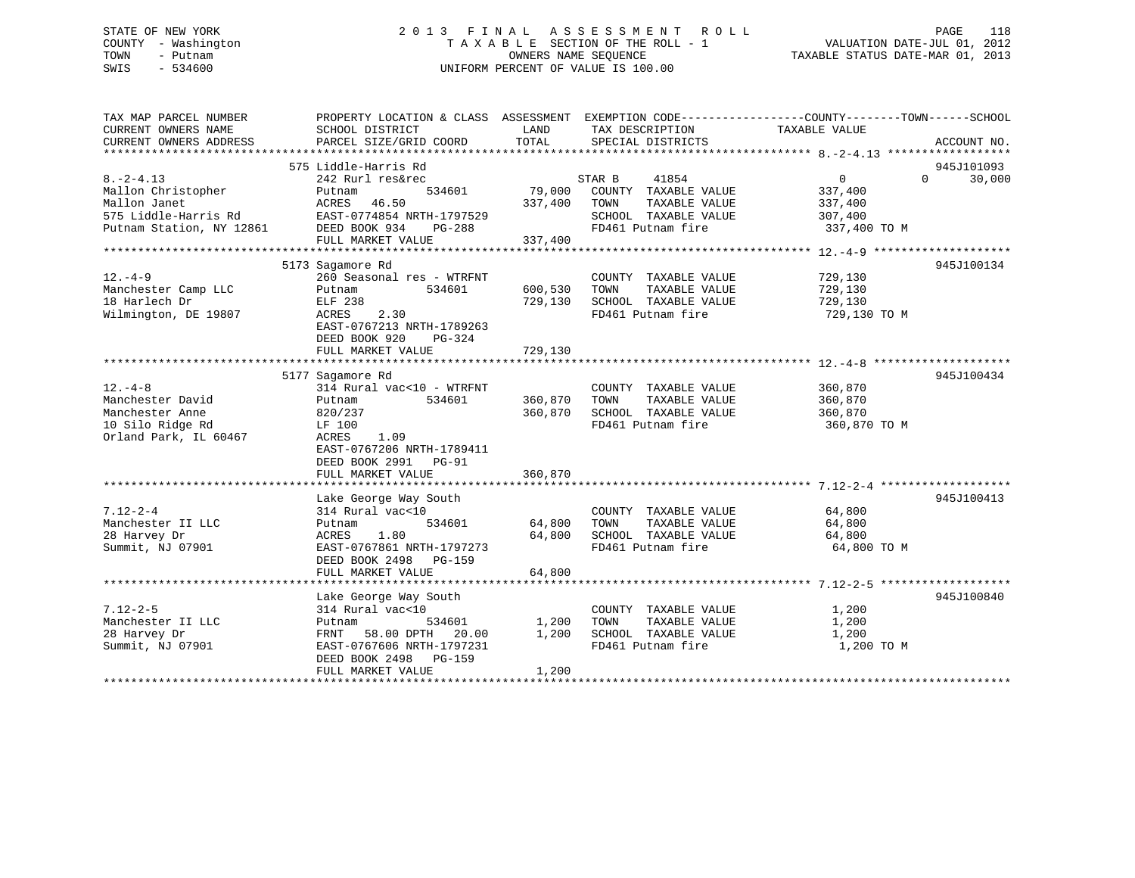## STATE OF NEW YORK 2 0 1 3 F I N A L A S S E S S M E N T R O L L PAGE 118 COUNTY - Washington T A X A B L E SECTION OF THE ROLL - 1 VALUATION DATE-JUL 01, 2012 TOWN - Putnam OWNERS NAME SEQUENCE TAXABLE STATUS DATE-MAR 01, 2013 SWIS - 534600 UNIFORM PERCENT OF VALUE IS 100.00

| TAX MAP PARCEL NUMBER<br>CURRENT OWNERS NAME | PROPERTY LOCATION & CLASS ASSESSMENT EXEMPTION CODE----------------COUNTY-------TOWN------SCHOOL<br>SCHOOL DISTRICT | LAND              | TAX DESCRIPTION                           | TAXABLE VALUE           |                    |
|----------------------------------------------|---------------------------------------------------------------------------------------------------------------------|-------------------|-------------------------------------------|-------------------------|--------------------|
| CURRENT OWNERS ADDRESS                       | PARCEL SIZE/GRID COORD                                                                                              | TOTAL             | SPECIAL DISTRICTS                         |                         | ACCOUNT NO.        |
|                                              |                                                                                                                     |                   |                                           |                         |                    |
|                                              | 575 Liddle-Harris Rd                                                                                                |                   |                                           |                         | 945J101093         |
| $8. -2 - 4.13$                               | 242 Rurl res&rec                                                                                                    |                   | STAR B<br>41854                           | $\overline{0}$          | 30,000<br>$\Omega$ |
| Mallon Christopher<br>Mallon Janet           | 534601<br>Putnam<br>ACRES<br>46.50                                                                                  | 79,000<br>337,400 | COUNTY TAXABLE VALUE<br>TAXABLE VALUE     | 337,400                 |                    |
| 575 Liddle-Harris Rd                         | EAST-0774854 NRTH-1797529                                                                                           |                   | TOWN<br>SCHOOL TAXABLE VALUE              | 337,400                 |                    |
|                                              |                                                                                                                     |                   | FD461 Putnam fire                         | 307,400                 |                    |
| Putnam Station, NY 12861                     | DEED BOOK 934<br>PG-288                                                                                             |                   |                                           | 337,400 TO M            |                    |
|                                              | FULL MARKET VALUE                                                                                                   | 337,400           |                                           |                         |                    |
|                                              |                                                                                                                     |                   |                                           |                         | 945J100134         |
|                                              | 5173 Sagamore Rd<br>260 Seasonal res - WTRFNT                                                                       |                   |                                           |                         |                    |
| $12. -4 - 9$                                 |                                                                                                                     |                   | COUNTY TAXABLE VALUE<br>TAXABLE VALUE     | 729,130<br>729,130      |                    |
| Manchester Camp LLC                          | Putnam<br>534601                                                                                                    | 600,530           | TOWN                                      |                         |                    |
| 18 Harlech Dr                                | ELF 238<br>2.30                                                                                                     | 729,130           | SCHOOL TAXABLE VALUE<br>FD461 Putnam fire | 729,130<br>729,130 TO M |                    |
| Wilmington, DE 19807                         | ACRES                                                                                                               |                   |                                           |                         |                    |
|                                              | EAST-0767213 NRTH-1789263                                                                                           |                   |                                           |                         |                    |
|                                              | DEED BOOK 920<br>PG-324                                                                                             |                   |                                           |                         |                    |
|                                              | FULL MARKET VALUE                                                                                                   | 729,130           |                                           |                         |                    |
|                                              |                                                                                                                     |                   |                                           |                         |                    |
|                                              | 5177 Sagamore Rd                                                                                                    |                   |                                           |                         | 945J100434         |
| $12. - 4 - 8$                                | 314 Rural vac<10 - WTRFNT                                                                                           |                   | COUNTY TAXABLE VALUE                      | 360,870                 |                    |
| Manchester David                             | 534601<br>Putnam                                                                                                    | 360,870           | TOWN<br>TAXABLE VALUE                     | 360,870                 |                    |
| Manchester Anne                              | 820/237                                                                                                             | 360,870           | SCHOOL TAXABLE VALUE                      | 360,870                 |                    |
| 10 Silo Ridge Rd                             | LF 100                                                                                                              |                   | FD461 Putnam fire                         | 360,870 TO M            |                    |
| Orland Park, IL 60467                        | <b>ACRES</b><br>1.09                                                                                                |                   |                                           |                         |                    |
|                                              | EAST-0767206 NRTH-1789411                                                                                           |                   |                                           |                         |                    |
|                                              | DEED BOOK 2991 PG-91                                                                                                |                   |                                           |                         |                    |
|                                              | FULL MARKET VALUE                                                                                                   | 360,870           |                                           |                         |                    |
|                                              |                                                                                                                     |                   |                                           |                         |                    |
|                                              | Lake George Way South                                                                                               |                   |                                           |                         | 945J100413         |
| $7.12 - 2 - 4$                               | 314 Rural vac<10                                                                                                    |                   | COUNTY TAXABLE VALUE                      | 64,800                  |                    |
| Manchester II LLC                            | 534601<br>Putnam                                                                                                    | 64,800            | TOWN<br>TAXABLE VALUE                     | 64,800                  |                    |
| 28 Harvey Dr                                 | 1.80<br>ACRES                                                                                                       | 64,800            | SCHOOL TAXABLE VALUE                      | 64,800                  |                    |
| Summit, NJ 07901                             | EAST-0767861 NRTH-1797273                                                                                           |                   | FD461 Putnam fire                         | 64,800 TO M             |                    |
|                                              | DEED BOOK 2498 PG-159                                                                                               |                   |                                           |                         |                    |
|                                              | FULL MARKET VALUE                                                                                                   | 64,800            |                                           |                         |                    |
|                                              |                                                                                                                     |                   |                                           |                         |                    |
|                                              | Lake George Way South                                                                                               |                   |                                           |                         | 945J100840         |
| $7.12 - 2 - 5$                               | 314 Rural vac<10                                                                                                    |                   | COUNTY TAXABLE VALUE                      | 1,200                   |                    |
| Manchester II LLC                            | Putnam<br>534601                                                                                                    | 1,200             | TAXABLE VALUE<br>TOWN                     | 1,200                   |                    |
| 28 Harvey Dr                                 | FRNT 58.00 DPTH 20.00                                                                                               | 1,200             | SCHOOL TAXABLE VALUE                      | 1,200                   |                    |
| Summit, NJ 07901                             | EAST-0767606 NRTH-1797231                                                                                           |                   | FD461 Putnam fire                         | 1,200 TO M              |                    |
|                                              | DEED BOOK 2498 PG-159                                                                                               |                   |                                           |                         |                    |
|                                              | FULL MARKET VALUE                                                                                                   | 1,200             |                                           |                         |                    |
|                                              |                                                                                                                     |                   |                                           |                         |                    |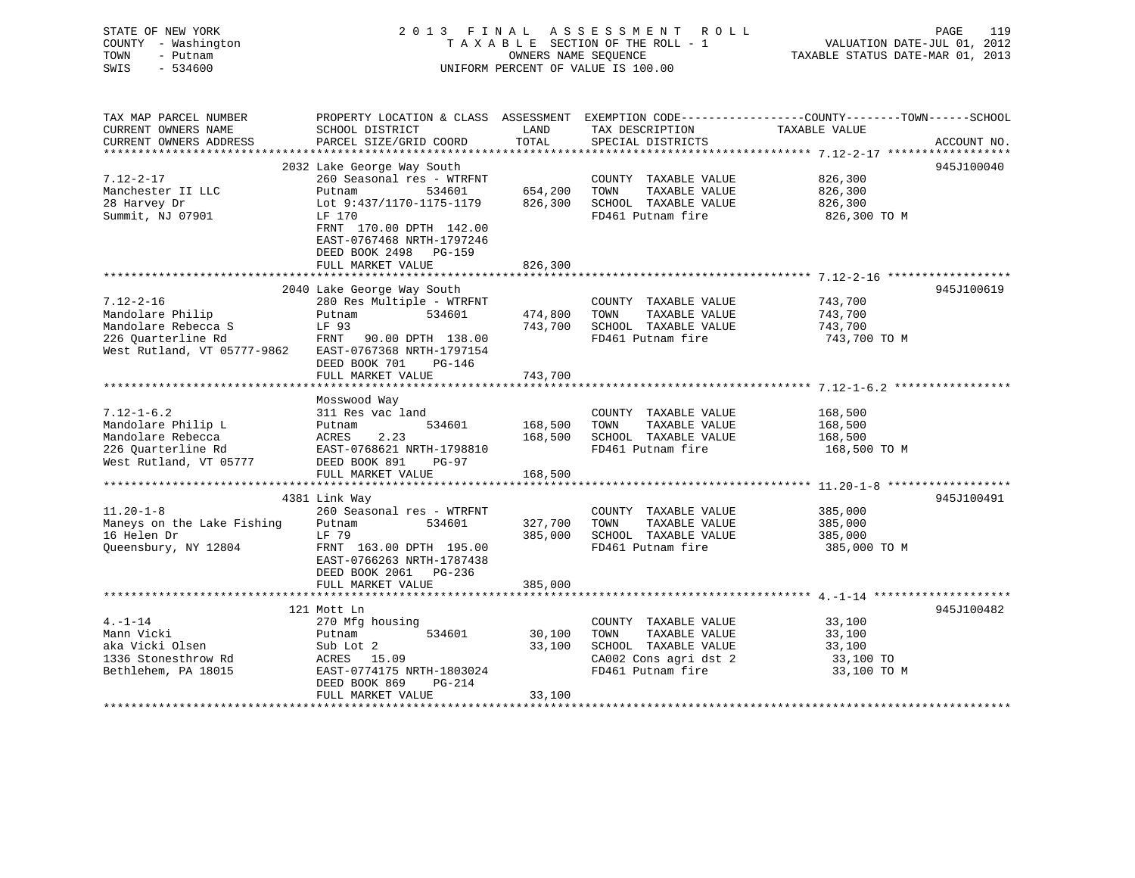## STATE OF NEW YORK 2 0 1 3 F I N A L A S S E S S M E N T R O L L PAGE 119 COUNTY - Washington T A X A B L E SECTION OF THE ROLL - 1 VALUATION DATE-JUL 01, 2012 TOWN - Putnam **CONNERS NAME SEQUENCE** TAXABLE STATUS DATE-MAR 01, 2013 SWIS - 534600 UNIFORM PERCENT OF VALUE IS 100.00

| TAX MAP PARCEL NUMBER       | PROPERTY LOCATION & CLASS ASSESSMENT EXEMPTION CODE---------------COUNTY-------TOWN------SCHOOL |         |                       |               |             |
|-----------------------------|-------------------------------------------------------------------------------------------------|---------|-----------------------|---------------|-------------|
| CURRENT OWNERS NAME         | SCHOOL DISTRICT                                                                                 | LAND    | TAX DESCRIPTION       | TAXABLE VALUE |             |
| CURRENT OWNERS ADDRESS      | PARCEL SIZE/GRID COORD                                                                          | TOTAL   | SPECIAL DISTRICTS     |               | ACCOUNT NO. |
|                             |                                                                                                 |         |                       |               |             |
|                             | 2032 Lake George Way South                                                                      |         |                       |               | 945J100040  |
| 7.12-2-17                   | 260 Seasonal res - WTRFNT                                                                       |         | COUNTY TAXABLE VALUE  | 826,300       |             |
| Manchester II LLC           | Putnam<br>534601                                                                                | 654,200 | TOWN<br>TAXABLE VALUE | 826,300       |             |
| 28 Harvey Dr                | Lot 9:437/1170-1175-1179                                                                        | 826,300 | SCHOOL TAXABLE VALUE  | 826,300       |             |
| Summit, NJ 07901            | LF 170<br>FRNT 170.00 DPTH 142.00                                                               |         | FD461 Putnam fire     | 826,300 TO M  |             |
|                             | EAST-0767468 NRTH-1797246                                                                       |         |                       |               |             |
|                             | DEED BOOK 2498<br>PG-159                                                                        |         |                       |               |             |
|                             |                                                                                                 |         |                       |               |             |
|                             | FULL MARKET VALUE                                                                               | 826,300 |                       |               |             |
|                             | 2040 Lake George Way South                                                                      |         |                       |               | 945J100619  |
| $7.12 - 2 - 16$             | 280 Res Multiple - WTRFNT                                                                       |         | COUNTY TAXABLE VALUE  | 743,700       |             |
| Mandolare Philip            | 534601<br>Putnam                                                                                | 474,800 | TOWN<br>TAXABLE VALUE | 743,700       |             |
| Mandolare Rebecca S         | LF 93                                                                                           | 743,700 | SCHOOL TAXABLE VALUE  | 743,700       |             |
| 226 Ouarterline Rd          | FRNT<br>90.00 DPTH 138.00                                                                       |         | FD461 Putnam fire     | 743,700 TO M  |             |
| West Rutland, VT 05777-9862 | EAST-0767368 NRTH-1797154                                                                       |         |                       |               |             |
|                             | DEED BOOK 701<br>$PG-146$                                                                       |         |                       |               |             |
|                             | FULL MARKET VALUE                                                                               | 743,700 |                       |               |             |
|                             |                                                                                                 |         |                       |               |             |
|                             | Mosswood Way                                                                                    |         |                       |               |             |
| $7.12 - 1 - 6.2$            | 311 Res vac land                                                                                |         | COUNTY TAXABLE VALUE  | 168,500       |             |
| Mandolare Philip L          | Putnam<br>534601                                                                                | 168,500 | TAXABLE VALUE<br>TOWN | 168,500       |             |
| Mandolare Rebecca           | ACRES<br>2.23                                                                                   | 168,500 | SCHOOL TAXABLE VALUE  | 168,500       |             |
| 226 Ouarterline Rd          | EAST-0768621 NRTH-1798810                                                                       |         | FD461 Putnam fire     | 168,500 TO M  |             |
| West Rutland, VT 05777      | DEED BOOK 891<br>PG-97                                                                          |         |                       |               |             |
|                             | FULL MARKET VALUE                                                                               | 168,500 |                       |               |             |
|                             |                                                                                                 |         |                       |               |             |
|                             | 4381 Link Way                                                                                   |         |                       |               | 945J100491  |
| $11.20 - 1 - 8$             | 260 Seasonal res - WTRFNT                                                                       |         | COUNTY TAXABLE VALUE  | 385,000       |             |
| Maneys on the Lake Fishing  | Putnam<br>534601                                                                                | 327,700 | TOWN<br>TAXABLE VALUE | 385,000       |             |
| 16 Helen Dr                 | LF 79                                                                                           | 385,000 | SCHOOL TAXABLE VALUE  | 385,000       |             |
| Queensbury, NY 12804        | FRNT 163.00 DPTH 195.00                                                                         |         | FD461 Putnam fire     | 385,000 TO M  |             |
|                             | EAST-0766263 NRTH-1787438                                                                       |         |                       |               |             |
|                             | DEED BOOK 2061 PG-236                                                                           |         |                       |               |             |
|                             | FULL MARKET VALUE                                                                               | 385,000 |                       |               |             |
|                             |                                                                                                 |         |                       |               |             |
|                             | 121 Mott Ln                                                                                     |         |                       |               | 945J100482  |
| $4. -1 - 14$                | 270 Mfg housing                                                                                 |         | COUNTY TAXABLE VALUE  | 33,100        |             |
| Mann Vicki                  | 534601<br>Putnam                                                                                | 30,100  | TOWN<br>TAXABLE VALUE | 33,100        |             |
| aka Vicki Olsen             | Sub Lot 2                                                                                       | 33,100  | SCHOOL TAXABLE VALUE  | 33,100        |             |
| 1336 Stonesthrow Rd         | ACRES<br>15.09                                                                                  |         | CA002 Cons agri dst 2 | 33,100 TO     |             |
| Bethlehem, PA 18015         | EAST-0774175 NRTH-1803024                                                                       |         | FD461 Putnam fire     | 33,100 TO M   |             |
|                             | DEED BOOK 869<br>PG-214                                                                         |         |                       |               |             |
|                             | FULL MARKET VALUE                                                                               | 33,100  |                       |               |             |
|                             |                                                                                                 |         |                       |               |             |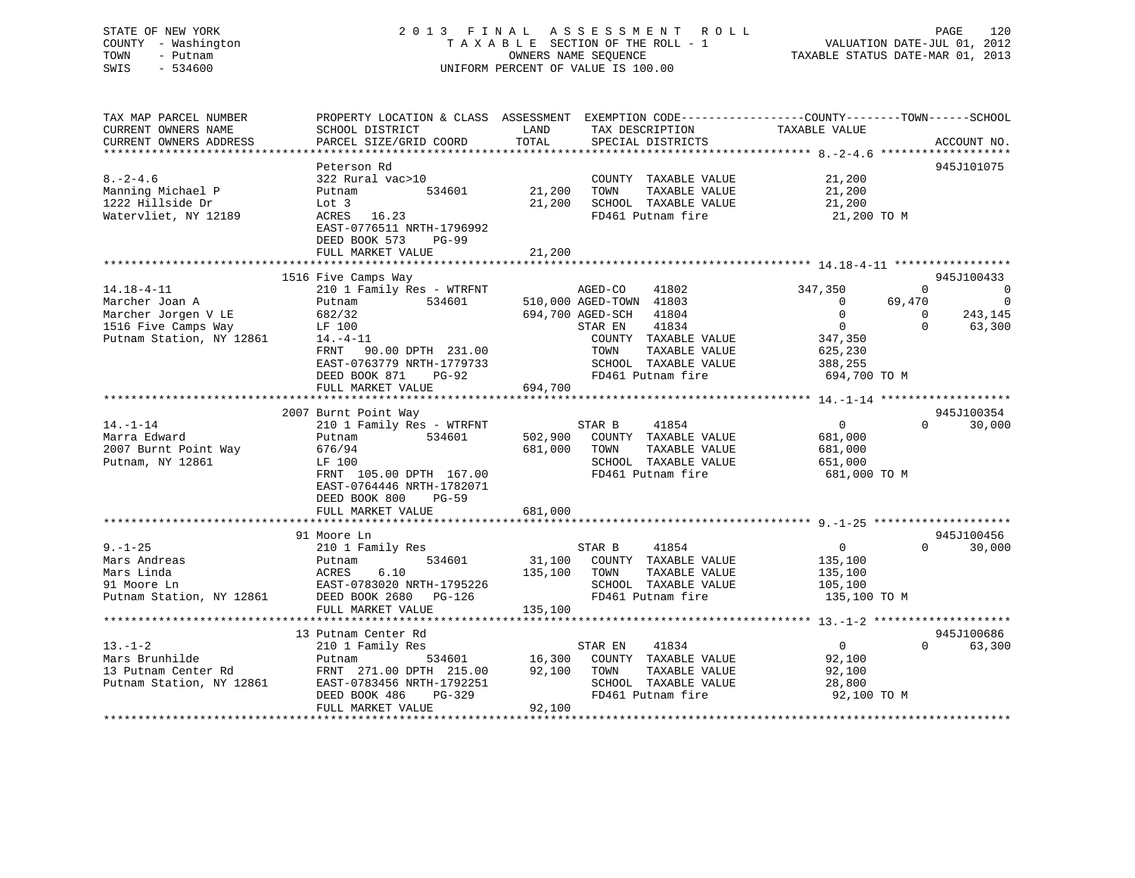## STATE OF NEW YORK 2 0 1 3 F I N A L A S S E S S M E N T R O L L PAGE 120 COUNTY - Washington T A X A B L E SECTION OF THE ROLL - 1 VALUATION DATE-JUL 01, 2012 TOWN - Putnam OWNERS NAME SEQUENCE TAXABLE STATUS DATE-MAR 01, 2013 SWIS - 534600 UNIFORM PERCENT OF VALUE IS 100.00

| TAX MAP PARCEL NUMBER<br>CURRENT OWNERS NAME<br>CURRENT OWNERS ADDRESS                                       | PROPERTY LOCATION & CLASS ASSESSMENT<br>SCHOOL DISTRICT<br>PARCEL SIZE/GRID COORD                                                                          | LAND<br>TOTAL                | EXEMPTION CODE-----------------COUNTY-------TOWN------SCHOOL<br>TAX DESCRIPTION<br>SPECIAL DISTRICTS                 | TAXABLE VALUE                                                           |                                                                                  |
|--------------------------------------------------------------------------------------------------------------|------------------------------------------------------------------------------------------------------------------------------------------------------------|------------------------------|----------------------------------------------------------------------------------------------------------------------|-------------------------------------------------------------------------|----------------------------------------------------------------------------------|
|                                                                                                              |                                                                                                                                                            |                              |                                                                                                                      |                                                                         | ACCOUNT NO.                                                                      |
| $8. - 2 - 4.6$<br>Manning Michael P<br>1222 Hillside Dr<br>Watervliet, NY 12189                              | Peterson Rd<br>322 Rural vac>10<br>534601<br>Putnam<br>Lot 3<br>ACRES 16.23                                                                                | 21,200<br>21,200             | COUNTY TAXABLE VALUE<br>TAXABLE VALUE<br>TOWN<br>SCHOOL TAXABLE VALUE<br>FD461 Putnam fire                           | 21,200<br>21,200<br>21,200<br>21,200 TO M                               | 945J101075                                                                       |
|                                                                                                              | EAST-0776511 NRTH-1796992<br>DEED BOOK 573<br>$PG-99$<br>FULL MARKET VALUE                                                                                 | 21,200                       |                                                                                                                      |                                                                         |                                                                                  |
|                                                                                                              | 1516 Five Camps Way                                                                                                                                        |                              |                                                                                                                      |                                                                         | 945J100433                                                                       |
| $14.18 - 4 - 11$<br>Marcher Joan A<br>Marcher Jorgen V LE<br>1516 Five Camps Way<br>Putnam Station, NY 12861 | 210 1 Family Res - WTRFNT<br>534601<br>Putnam<br>682/32<br>LF 100<br>$14.-4-11$                                                                            |                              | AGED-CO<br>41802<br>510,000 AGED-TOWN 41803<br>694,700 AGED-SCH<br>41804<br>41834<br>STAR EN<br>COUNTY TAXABLE VALUE | 347,350<br>69,470<br>$\Omega$<br>$\mathbf 0$<br>$\mathbf{0}$<br>347,350 | $\Omega$<br>$\Omega$<br>$\mathbf 0$<br>243,145<br>$\Omega$<br>$\Omega$<br>63,300 |
|                                                                                                              | FRNT 90.00 DPTH 231.00<br>EAST-0763779 NRTH-1779733<br>DEED BOOK 871<br>$PG-92$<br>FULL MARKET VALUE                                                       | 694,700                      | TOWN<br>TAXABLE VALUE<br>SCHOOL TAXABLE VALUE<br>FD461 Putnam fire                                                   | 625,230<br>388,255<br>694,700 TO M                                      |                                                                                  |
|                                                                                                              | 2007 Burnt Point Way                                                                                                                                       |                              |                                                                                                                      |                                                                         | 945J100354                                                                       |
| $14. - 1 - 14$<br>Marra Edward<br>2007 Burnt Point Way<br>Putnam, NY 12861                                   | 210 1 Family Res - WTRFNT<br>534601<br>Putnam<br>676/94<br>LF 100<br>FRNT 105.00 DPTH 167.00<br>EAST-0764446 NRTH-1782071<br>DEED BOOK 800<br><b>PG-59</b> | 502,900<br>681,000           | 41854<br>STAR B<br>COUNTY TAXABLE VALUE<br>TOWN<br>TAXABLE VALUE<br>SCHOOL TAXABLE VALUE<br>FD461 Putnam fire        | $\overline{0}$<br>681,000<br>681,000<br>651,000<br>681,000 TO M         | $\Omega$<br>30,000                                                               |
|                                                                                                              | FULL MARKET VALUE                                                                                                                                          | 681,000                      |                                                                                                                      |                                                                         |                                                                                  |
|                                                                                                              |                                                                                                                                                            |                              |                                                                                                                      |                                                                         |                                                                                  |
| $9 - 1 - 25$<br>Mars Andreas<br>Mars Linda<br>91 Moore Ln<br>Putnam Station, NY 12861                        | 91 Moore Ln<br>210 1 Family Res<br>534601<br>Putnam<br>ACRES<br>6.10<br>EAST-0783020 NRTH-1795226<br>DEED BOOK 2680 PG-126<br>FULL MARKET VALUE            | 31,100<br>135,100<br>135,100 | STAR B<br>41854<br>COUNTY TAXABLE VALUE<br>TOWN<br>TAXABLE VALUE<br>SCHOOL TAXABLE VALUE<br>FD461 Putnam fire        | $\overline{0}$<br>135,100<br>135,100<br>105,100<br>135,100 TO M         | 945J100456<br>30,000<br>$\Omega$                                                 |
|                                                                                                              |                                                                                                                                                            |                              |                                                                                                                      |                                                                         |                                                                                  |
| $13. - 1 - 2$<br>Mars Brunhilde<br>13 Putnam Center Rd<br>Putnam Station, NY 12861                           | 13 Putnam Center Rd<br>210 1 Family Res<br>534601<br>Putnam<br>FRNT 271.00 DPTH 215.00<br>EAST-0783456 NRTH-1792251<br>DEED BOOK 486<br>PG-329             | 16,300<br>92,100             | 41834<br>STAR EN<br>COUNTY TAXABLE VALUE<br>TOWN<br>TAXABLE VALUE<br>SCHOOL TAXABLE VALUE<br>FD461 Putnam fire       | $\overline{0}$<br>92,100<br>92,100<br>28,800<br>92,100 TO M             | 945J100686<br>63,300<br>$\Omega$                                                 |
|                                                                                                              | FULL MARKET VALUE                                                                                                                                          | 92,100                       |                                                                                                                      |                                                                         |                                                                                  |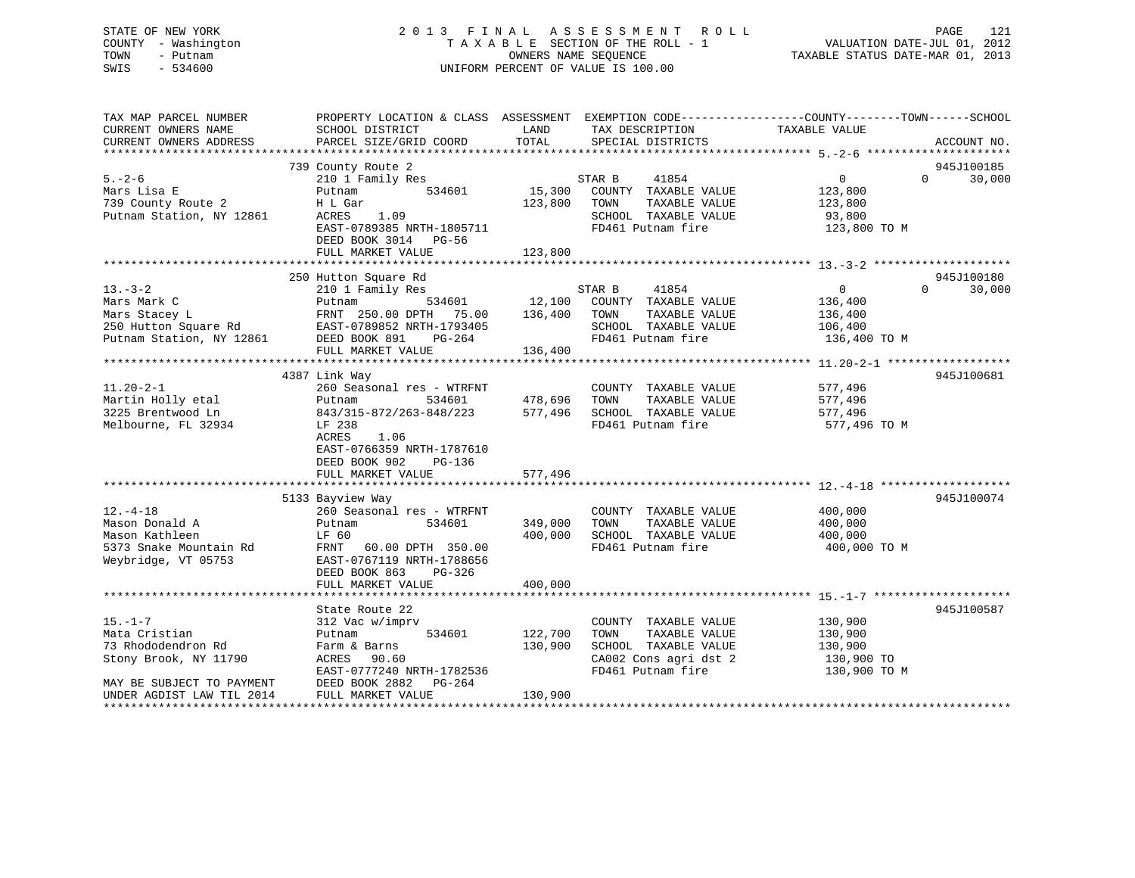## STATE OF NEW YORK 2 0 1 3 F I N A L A S S E S S M E N T R O L L PAGE 121 COUNTY - Washington T A X A B L E SECTION OF THE ROLL - 1 VALUATION DATE-JUL 01, 2012 TOWN - Putnam OWNERS NAME SEQUENCE TAXABLE STATUS DATE-MAR 01, 2013 SWIS - 534600 UNIFORM PERCENT OF VALUE IS 100.00

| TAX MAP PARCEL NUMBER<br>CURRENT OWNERS NAME                                  | PROPERTY LOCATION & CLASS ASSESSMENT EXEMPTION CODE----------------COUNTY-------TOWN------SCHOOL<br>SCHOOL DISTRICT | LAND               | TAX DESCRIPTION                               | TAXABLE VALUE           |          |                      |
|-------------------------------------------------------------------------------|---------------------------------------------------------------------------------------------------------------------|--------------------|-----------------------------------------------|-------------------------|----------|----------------------|
| CURRENT OWNERS ADDRESS                                                        | PARCEL SIZE/GRID COORD                                                                                              | TOTAL              | SPECIAL DISTRICTS                             |                         |          | ACCOUNT NO.          |
|                                                                               |                                                                                                                     |                    |                                               |                         |          |                      |
| $5. - 2 - 6$                                                                  | 739 County Route 2<br>210 1 Family Res                                                                              |                    | STAR B<br>41854                               | $\overline{0}$          | $\Omega$ | 945J100185<br>30,000 |
| Mars Lisa E                                                                   | 534601<br>Putnam                                                                                                    |                    | 15,300 COUNTY TAXABLE VALUE                   | 123,800                 |          |                      |
| 739 County Route 2                                                            | H L Gar                                                                                                             | 123,800            | TOWN<br>TAXABLE VALUE                         | 123,800                 |          |                      |
| Putnam Station, NY 12861                                                      | 1.09<br>ACRES                                                                                                       |                    | SCHOOL TAXABLE VALUE                          | 93,800                  |          |                      |
|                                                                               | EAST-0789385 NRTH-1805711                                                                                           |                    | FD461 Putnam fire                             | 123,800 TO M            |          |                      |
|                                                                               | DEED BOOK 3014 PG-56                                                                                                |                    |                                               |                         |          |                      |
|                                                                               | FULL MARKET VALUE                                                                                                   | 123,800            |                                               |                         |          |                      |
|                                                                               | 250 Hutton Square Rd                                                                                                |                    |                                               |                         |          | 945J100180           |
| $13. - 3 - 2$                                                                 | 210 1 Family Res                                                                                                    |                    | STAR B<br>41854                               | $\overline{0}$          | $\Omega$ | 30,000               |
| Mars Mark C                                                                   | Putnam                                                                                                              |                    | 534601 12,100 COUNTY TAXABLE VALUE            | 136,400                 |          |                      |
| Mars Stacey L                                                                 | FRNT 250.00 DPTH 75.00                                                                                              | 136,400            | TOWN<br>TAXABLE VALUE                         | 136,400                 |          |                      |
|                                                                               | EAST-0789852 NRTH-1793405                                                                                           |                    | SCHOOL TAXABLE VALUE                          | 106,400                 |          |                      |
| 250 Hutton Square Rd BAST-0789852 N<br>Putnam Station, NY 12861 DEED BOOK 891 | PG-264                                                                                                              |                    | FD461 Putnam fire                             | 136,400 TO M            |          |                      |
|                                                                               | FULL MARKET VALUE                                                                                                   | 136,400            |                                               |                         |          |                      |
|                                                                               |                                                                                                                     |                    |                                               |                         |          |                      |
|                                                                               | 4387 Link Way                                                                                                       |                    |                                               |                         |          | 945J100681           |
| $11.20 - 2 - 1$                                                               | 260 Seasonal res - WTRFNT                                                                                           |                    | COUNTY TAXABLE VALUE                          | 577,496                 |          |                      |
| Martin Holly etal                                                             | Putnam<br>534601                                                                                                    | 478,696            | TAXABLE VALUE<br>TOWN                         | 577,496                 |          |                      |
| 3225 Brentwood Ln                                                             | 843/315-872/263-848/223                                                                                             |                    | 577,496 SCHOOL TAXABLE VALUE                  | 577,496                 |          |                      |
| Melbourne, FL 32934                                                           | LF 238                                                                                                              |                    | FD461 Putnam fire                             | 577,496 TO M            |          |                      |
|                                                                               | ACRES<br>1.06                                                                                                       |                    |                                               |                         |          |                      |
|                                                                               | EAST-0766359 NRTH-1787610                                                                                           |                    |                                               |                         |          |                      |
|                                                                               | DEED BOOK 902<br>PG-136                                                                                             |                    |                                               |                         |          |                      |
|                                                                               | FULL MARKET VALUE                                                                                                   | 577,496            |                                               |                         |          |                      |
|                                                                               |                                                                                                                     |                    |                                               |                         |          |                      |
|                                                                               | 5133 Bayview Way                                                                                                    |                    |                                               |                         |          | 945J100074           |
| $12. - 4 - 18$<br>Mason Donald A                                              | 260 Seasonal res - WTRFNT<br>534601                                                                                 |                    | COUNTY TAXABLE VALUE<br>TOWN<br>TAXABLE VALUE | 400,000                 |          |                      |
| Mason Kathleen                                                                | Putnam<br>LF 60                                                                                                     | 349,000<br>400,000 | SCHOOL TAXABLE VALUE                          | 400,000                 |          |                      |
| 5373 Snake Mountain Rd                                                        | FRNT 60.00 DPTH 350.00                                                                                              |                    | FD461 Putnam fire                             | 400,000<br>400,000 TO M |          |                      |
| Weybridge, VT 05753                                                           | EAST-0767119 NRTH-1788656                                                                                           |                    |                                               |                         |          |                      |
|                                                                               | DEED BOOK 863<br>PG-326                                                                                             |                    |                                               |                         |          |                      |
|                                                                               | FULL MARKET VALUE                                                                                                   | 400,000            |                                               |                         |          |                      |
|                                                                               |                                                                                                                     |                    |                                               |                         |          |                      |
|                                                                               | State Route 22                                                                                                      |                    |                                               |                         |          | 945J100587           |
| $15. - 1 - 7$                                                                 | 312 Vac w/imprv                                                                                                     |                    | COUNTY TAXABLE VALUE                          | 130,900                 |          |                      |
| Mata Cristian                                                                 | 534601<br>Putnam                                                                                                    | 122,700            | TAXABLE VALUE<br>TOWN                         | 130,900                 |          |                      |
| 73 Rhododendron Rd                                                            | Farm & Barns                                                                                                        | 130,900            | SCHOOL TAXABLE VALUE                          | 130,900                 |          |                      |
| Stony Brook, NY 11790                                                         | ACRES<br>90.60                                                                                                      |                    | CA002 Cons agri dst 2                         | 130,900 TO              |          |                      |
|                                                                               | EAST-0777240 NRTH-1782536                                                                                           |                    | FD461 Putnam fire                             | 130,900 TO M            |          |                      |
| MAY BE SUBJECT TO PAYMENT                                                     | DEED BOOK 2882<br>PG-264                                                                                            |                    |                                               |                         |          |                      |
| UNDER AGDIST LAW TIL 2014                                                     | FULL MARKET VALUE                                                                                                   | 130,900            |                                               |                         |          |                      |
|                                                                               |                                                                                                                     |                    |                                               |                         |          |                      |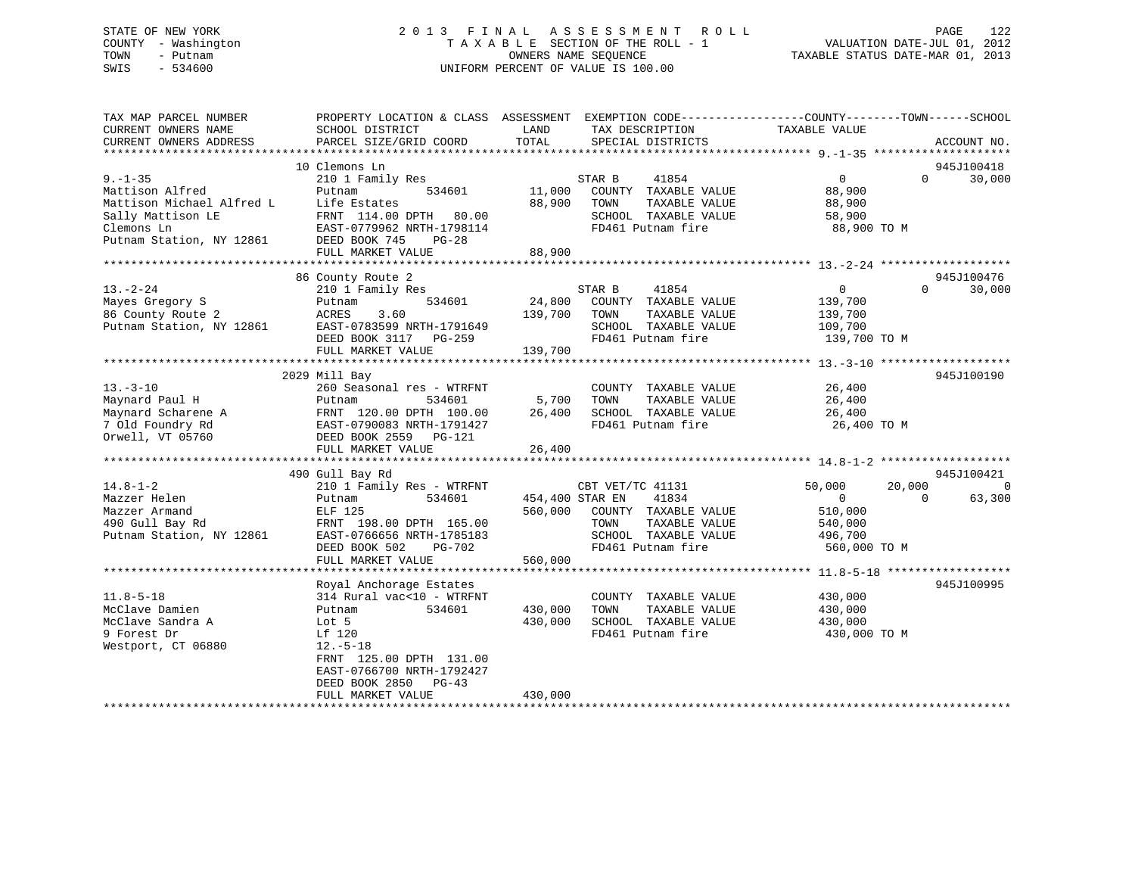## STATE OF NEW YORK 2 0 1 3 F I N A L A S S E S S M E N T R O L L PAGE 122 COUNTY - Washington T A X A B L E SECTION OF THE ROLL - 1 VALUATION DATE-JUL 01, 2012 TOWN - Putnam OWNERS NAME SEQUENCE TAXABLE STATUS DATE-MAR 01, 2013 SWIS - 534600 UNIFORM PERCENT OF VALUE IS 100.00

| TAX MAP PARCEL NUMBER<br>CURRENT OWNERS NAME                                                                                 | PROPERTY LOCATION & CLASS ASSESSMENT<br>SCHOOL DISTRICT                                                                                                                                            | LAND                         | EXEMPTION CODE-----------------COUNTY-------TOWN------SCHOOL<br>TAX DESCRIPTION                                         | TAXABLE VALUE                                                                       |                                  |
|------------------------------------------------------------------------------------------------------------------------------|----------------------------------------------------------------------------------------------------------------------------------------------------------------------------------------------------|------------------------------|-------------------------------------------------------------------------------------------------------------------------|-------------------------------------------------------------------------------------|----------------------------------|
| CURRENT OWNERS ADDRESS                                                                                                       | PARCEL SIZE/GRID COORD                                                                                                                                                                             | TOTAL                        | SPECIAL DISTRICTS                                                                                                       |                                                                                     | ACCOUNT NO.                      |
|                                                                                                                              | 10 Clemons Ln                                                                                                                                                                                      |                              |                                                                                                                         |                                                                                     | 945J100418                       |
| $9. - 1 - 35$<br>Mattison Alfred<br>Mattison Michael Alfred L<br>Sally Mattison LE<br>Clemons Ln<br>Putnam Station, NY 12861 | 210 1 Family Res<br>Putnam<br>534601<br>Life Estates<br>FRNT 114.00 DPTH 80.00<br>EAST-0779962 NRTH-1798114<br>DEED BOOK 745<br>$PG-28$<br>FULL MARKET VALUE                                       | 11,000<br>88,900<br>88,900   | 41854<br>STAR B<br>COUNTY TAXABLE VALUE<br>TOWN<br>TAXABLE VALUE<br>SCHOOL TAXABLE VALUE<br>FD461 Putnam fire           | $\overline{0}$<br>88,900<br>88,900<br>58,900<br>88,900 TO M                         | $\Omega$<br>30,000               |
|                                                                                                                              |                                                                                                                                                                                                    |                              |                                                                                                                         |                                                                                     |                                  |
| $13 - 2 - 24$<br>Mayes Gregory S<br>86 County Route 2<br>Putnam Station, NY 12861                                            | 86 County Route 2<br>210 1 Family Res<br>534601<br>Putnam<br>ACRES<br>3.60<br>EAST-0783599 NRTH-1791649<br>DEED BOOK 3117<br>PG-259<br>FULL MARKET VALUE                                           | 24,800<br>139,700<br>139,700 | STAR B<br>41854<br>COUNTY TAXABLE VALUE<br>TOWN<br>TAXABLE VALUE<br>SCHOOL TAXABLE VALUE<br>FD461 Putnam fire           | $\overline{0}$<br>139,700<br>139,700<br>109,700<br>139,700 TO M                     | 945J100476<br>$\Omega$<br>30,000 |
|                                                                                                                              | 2029 Mill Bay                                                                                                                                                                                      |                              |                                                                                                                         |                                                                                     | 945J100190                       |
| $13 - 3 - 10$<br>Maynard Paul H<br>Maynard Scharene A<br>7 Old Foundry Rd<br>Orwell, VT 05760                                | 260 Seasonal res - WTRFNT<br>534601<br>Putnam<br>FRNT 120.00 DPTH 100.00<br>EAST-0790083 NRTH-1791427<br>DEED BOOK 2559 PG-121                                                                     | 5,700<br>26,400              | COUNTY TAXABLE VALUE<br>TOWN<br>TAXABLE VALUE<br>SCHOOL TAXABLE VALUE<br>FD461 Putnam fire                              | 26,400<br>26,400<br>26,400<br>26,400 TO M                                           |                                  |
|                                                                                                                              | FULL MARKET VALUE                                                                                                                                                                                  | 26,400                       |                                                                                                                         |                                                                                     |                                  |
|                                                                                                                              |                                                                                                                                                                                                    |                              |                                                                                                                         |                                                                                     |                                  |
|                                                                                                                              | 490 Gull Bay Rd                                                                                                                                                                                    |                              |                                                                                                                         |                                                                                     | 945J100421                       |
| $14.8 - 1 - 2$<br>Mazzer Helen<br>Mazzer Armand<br>490 Gull Bay Rd<br>Putnam Station, NY 12861                               | 210 1 Family Res - WTRFNT<br>534601<br>Putnam<br>ELF 125<br>FRNT 198.00 DPTH 165.00<br>EAST-0766656 NRTH-1785183<br>DEED BOOK 502<br>$PG-702$                                                      | 454,400 STAR EN<br>560,000   | CBT VET/TC 41131<br>41834<br>COUNTY TAXABLE VALUE<br>TOWN<br>TAXABLE VALUE<br>SCHOOL TAXABLE VALUE<br>FD461 Putnam fire | 20,000<br>50,000<br>$\overline{0}$<br>510,000<br>540,000<br>496,700<br>560,000 TO M | $\Omega$<br>$\Omega$<br>63,300   |
|                                                                                                                              | FULL MARKET VALUE                                                                                                                                                                                  | 560,000                      |                                                                                                                         |                                                                                     |                                  |
| $11.8 - 5 - 18$<br>McClave Damien<br>McClave Sandra A<br>9 Forest Dr<br>Westport, CT 06880                                   | Royal Anchorage Estates<br>314 Rural vac<10 - WTRFNT<br>Putnam<br>534601<br>Lot 5<br>Lf 120<br>$12. - 5 - 18$<br>FRNT 125.00 DPTH 131.00<br>EAST-0766700 NRTH-1792427<br>DEED BOOK 2850<br>$PG-43$ | 430,000<br>430,000           | COUNTY TAXABLE VALUE<br>TOWN<br>TAXABLE VALUE<br>SCHOOL TAXABLE VALUE<br>FD461 Putnam fire                              | 430,000<br>430,000<br>430,000<br>430,000 TO M                                       | 945J100995                       |
|                                                                                                                              | FULL MARKET VALUE                                                                                                                                                                                  | 430,000                      |                                                                                                                         |                                                                                     |                                  |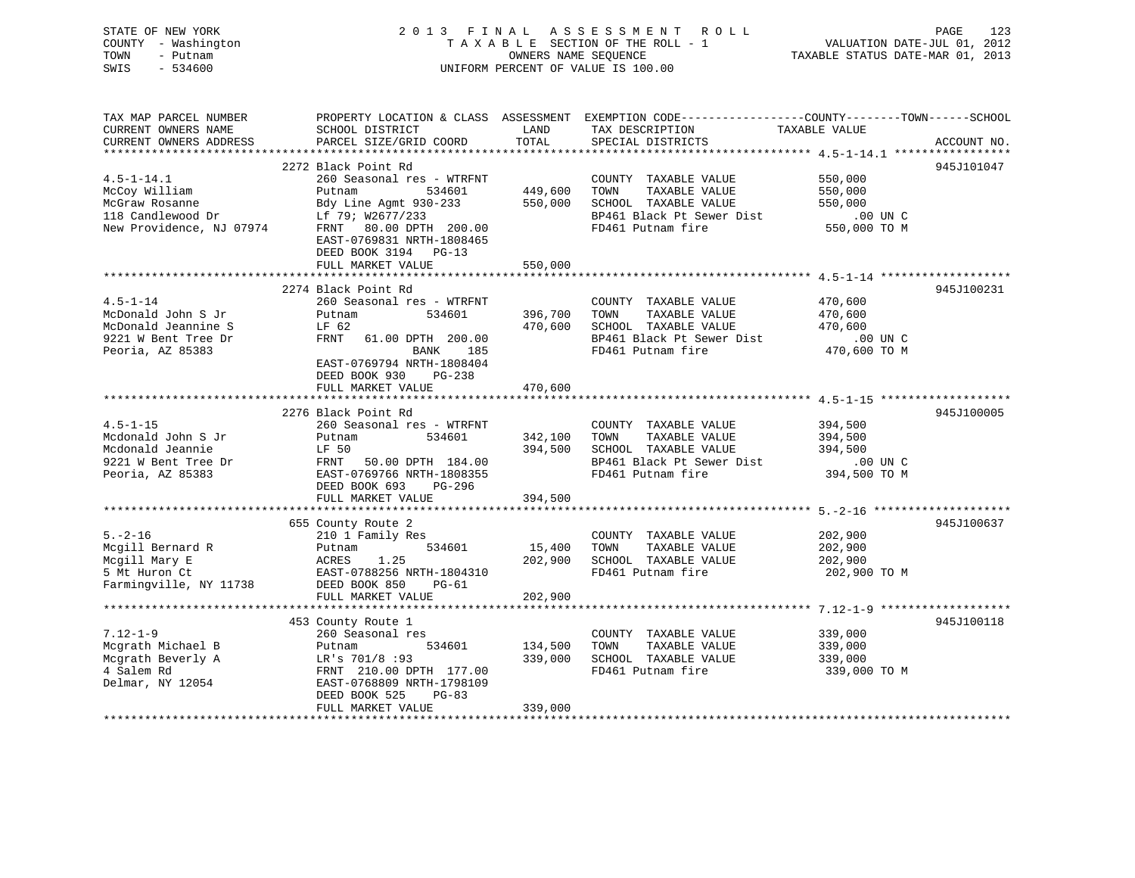| STATE OF NEW YORK<br>COUNTY - Washington<br>TOWN<br>- Putnam<br>SWIS<br>$-534600$ |                                           | OWNERS NAME SEOUENCE | 2013 FINAL ASSESSMENT<br>ROLL<br>TAXABLE SECTION OF THE ROLL - 1<br>UNIFORM PERCENT OF VALUE IS 100.00 | PAGE<br>123<br>VALUATION DATE-JUL 01, 2012<br>TAXABLE STATUS DATE-MAR 01, 2013                                                  |
|-----------------------------------------------------------------------------------|-------------------------------------------|----------------------|--------------------------------------------------------------------------------------------------------|---------------------------------------------------------------------------------------------------------------------------------|
| TAX MAP PARCEL NUMBER<br>CURRENT OWNERS NAME<br>CURRENT OWNERS ADDRESS            | SCHOOL DISTRICT<br>PARCEL SIZE/GRID COORD | LAND<br>TOTAL        | TAX DESCRIPTION<br>SPECIAL DISTRICTS                                                                   | PROPERTY LOCATION & CLASS ASSESSMENT EXEMPTION CODE----------------COUNTY-------TOWN-----SCHOOL<br>TAXABLE VALUE<br>ACCOUNT NO. |
|                                                                                   |                                           |                      |                                                                                                        |                                                                                                                                 |
|                                                                                   | 2272 Black Point Rd                       |                      |                                                                                                        | 945J101047                                                                                                                      |
| $4.5 - 1 - 14.1$                                                                  | 260 Seasonal res - WTRFNT                 |                      | COUNTY TAXABLE VALUE                                                                                   | 550,000                                                                                                                         |
| McCoy William                                                                     | Putnam<br>534601                          | 449,600              | TOWN<br>TAXABLE VALUE                                                                                  | 550,000                                                                                                                         |
| McGraw Rosanne                                                                    | Bdy Line Agmt 930-233                     | 550,000              | SCHOOL TAXABLE VALUE                                                                                   | 550,000                                                                                                                         |
| 118 Candlewood Dr                                                                 | Lf 79; W2677/233                          |                      | BP461 Black Pt Sewer Dist                                                                              | .00 UN C                                                                                                                        |
| New Providence, NJ 07974                                                          | FRNT 80.00 DPTH 200.00                    |                      | FD461 Putnam fire                                                                                      | 550,000 TO M                                                                                                                    |
|                                                                                   | EAST-0769831 NRTH-1808465                 |                      |                                                                                                        |                                                                                                                                 |
|                                                                                   | DEED BOOK 3194 PG-13                      |                      |                                                                                                        |                                                                                                                                 |
|                                                                                   | FULL MARKET VALUE                         | 550,000              |                                                                                                        |                                                                                                                                 |
|                                                                                   | 2274 Black Point Rd                       |                      |                                                                                                        | 945J100231                                                                                                                      |
| $4.5 - 1 - 14$                                                                    | 260 Seasonal res - WTRFNT                 |                      | COUNTY TAXABLE VALUE                                                                                   | 470,600                                                                                                                         |
| McDonald John S Jr                                                                | 534601<br>Putnam                          | 396,700              | TAXABLE VALUE<br>TOWN                                                                                  | 470,600                                                                                                                         |
| McDonald Jeannine S                                                               | LF 62                                     | 470,600              | SCHOOL TAXABLE VALUE                                                                                   | 470,600                                                                                                                         |
| 9221 W Bent Tree Dr                                                               | FRNT<br>61.00 DPTH 200.00                 |                      | BP461 Black Pt Sewer Dist                                                                              | .00 UN C                                                                                                                        |
| Peoria, AZ 85383                                                                  | 185<br>BANK                               |                      | FD461 Putnam fire                                                                                      | 470,600 TO M                                                                                                                    |
|                                                                                   | EAST-0769794 NRTH-1808404                 |                      |                                                                                                        |                                                                                                                                 |
|                                                                                   | DEED BOOK 930<br>PG-238                   |                      |                                                                                                        |                                                                                                                                 |
|                                                                                   | FULL MARKET VALUE                         | 470,600              |                                                                                                        |                                                                                                                                 |
|                                                                                   |                                           |                      |                                                                                                        | ************************************ 4.5-1-15 *******************                                                               |
|                                                                                   | 2276 Black Point Rd                       |                      |                                                                                                        | 945J100005                                                                                                                      |
| $4.5 - 1 - 15$                                                                    | 260 Seasonal res - WTRFNT                 |                      | COUNTY TAXABLE VALUE                                                                                   | 394,500                                                                                                                         |
| Mcdonald John S Jr                                                                | 534601<br>Putnam                          | 342,100              | TOWN<br>TAXABLE VALUE                                                                                  | 394,500                                                                                                                         |
| Mcdonald Jeannie                                                                  | LF 50                                     | 394,500              | SCHOOL TAXABLE VALUE                                                                                   | 394,500                                                                                                                         |
| 9221 W Bent Tree Dr                                                               | FRNT 50.00 DPTH 184.00                    |                      | BP461 Black Pt Sewer Dist                                                                              | .00 UN C                                                                                                                        |
| Peoria, AZ 85383                                                                  | EAST-0769766 NRTH-1808355                 |                      | FD461 Putnam fire                                                                                      | 394,500 TO M                                                                                                                    |
|                                                                                   | DEED BOOK 693<br>PG-296                   |                      |                                                                                                        |                                                                                                                                 |
|                                                                                   | FULL MARKET VALUE                         | 394,500              |                                                                                                        |                                                                                                                                 |
|                                                                                   |                                           |                      |                                                                                                        |                                                                                                                                 |
|                                                                                   | 655 County Route 2                        |                      |                                                                                                        | 945J100637                                                                                                                      |
| $5. - 2 - 16$                                                                     | 210 1 Family Res                          |                      | COUNTY TAXABLE VALUE                                                                                   | 202,900                                                                                                                         |
| Mcgill Bernard R                                                                  | 534601<br>Putnam                          | 15,400               | TOWN<br>TAXABLE VALUE                                                                                  | 202,900                                                                                                                         |
| Mcgill Mary E                                                                     | ACRES<br>1.25                             | 202,900              | SCHOOL TAXABLE VALUE                                                                                   | 202,900                                                                                                                         |
| 5 Mt Huron Ct                                                                     | EAST-0788256 NRTH-1804310                 |                      | FD461 Putnam fire                                                                                      | 202,900 TO M                                                                                                                    |
| Farmingville, NY 11738                                                            | DEED BOOK 850<br>PG-61                    |                      |                                                                                                        |                                                                                                                                 |
|                                                                                   | FULL MARKET VALUE                         | 202,900              |                                                                                                        |                                                                                                                                 |
|                                                                                   |                                           |                      |                                                                                                        |                                                                                                                                 |
|                                                                                   | 453 County Route 1                        |                      |                                                                                                        | 945J100118                                                                                                                      |
| $7.12 - 1 - 9$                                                                    | 260 Seasonal res                          |                      | COUNTY TAXABLE VALUE                                                                                   | 339,000                                                                                                                         |
| Mcgrath Michael B                                                                 | Putnam<br>534601                          | 134,500              | TAXABLE VALUE<br>TOWN                                                                                  | 339,000                                                                                                                         |
| Mcgrath Beverly A                                                                 | LR's 701/8 :93                            | 339,000              | SCHOOL TAXABLE VALUE                                                                                   | 339,000                                                                                                                         |
| 4 Salem Rd                                                                        | FRNT 210.00 DPTH 177.00                   |                      | FD461 Putnam fire                                                                                      | 339,000 TO M                                                                                                                    |
| Delmar, NY 12054                                                                  | EAST-0768809 NRTH-1798109<br>$PG-83$      |                      |                                                                                                        |                                                                                                                                 |
|                                                                                   | DEED BOOK 525<br>FULL MARKET VALUE        | 339,000              |                                                                                                        |                                                                                                                                 |
|                                                                                   |                                           |                      |                                                                                                        |                                                                                                                                 |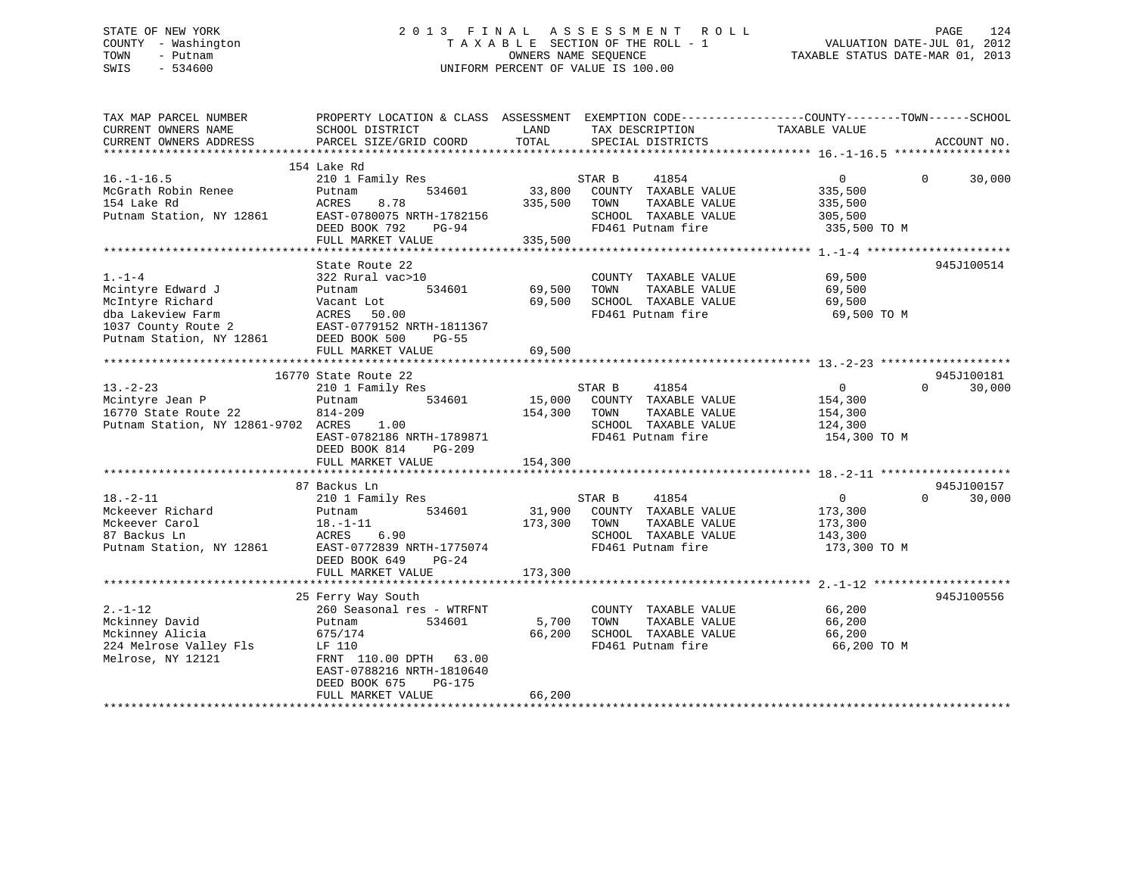## STATE OF NEW YORK 2 0 1 3 F I N A L A S S E S S M E N T R O L L PAGE 124 COUNTY - Washington T A X A B L E SECTION OF THE ROLL - 1 VALUATION DATE-JUL 01, 2012 TOWN - Putnam OWNERS NAME SEQUENCE TAXABLE STATUS DATE-MAR 01, 2013 SWIS - 534600 UNIFORM PERCENT OF VALUE IS 100.00

| TAX MAP PARCEL NUMBER<br>CURRENT OWNERS NAME                                                                                                                                                        | PROPERTY LOCATION & CLASS ASSESSMENT EXEMPTION CODE----------------COUNTY-------TOWN-----SCHOOL<br>SCHOOL DISTRICT                                                                                                                                                                                                 | LAND                                              | TAX DESCRIPTION                                                                                                                                                                                                                | TAXABLE VALUE                                                                                                                      |                      |                                              |
|-----------------------------------------------------------------------------------------------------------------------------------------------------------------------------------------------------|--------------------------------------------------------------------------------------------------------------------------------------------------------------------------------------------------------------------------------------------------------------------------------------------------------------------|---------------------------------------------------|--------------------------------------------------------------------------------------------------------------------------------------------------------------------------------------------------------------------------------|------------------------------------------------------------------------------------------------------------------------------------|----------------------|----------------------------------------------|
| CURRENT OWNERS ADDRESS                                                                                                                                                                              | PARCEL SIZE/GRID COORD                                                                                                                                                                                                                                                                                             | TOTAL                                             | SPECIAL DISTRICTS                                                                                                                                                                                                              |                                                                                                                                    |                      | ACCOUNT NO.                                  |
|                                                                                                                                                                                                     | 154 Lake Rd                                                                                                                                                                                                                                                                                                        |                                                   |                                                                                                                                                                                                                                |                                                                                                                                    |                      |                                              |
| $16. - 1 - 16.5$<br>McGrath Robin Renee<br>154 Lake Rd<br>Putnam Station, NY 12861                                                                                                                  | 210 1 Family Res<br>534601<br>Putnam<br>8.78<br>ACRES<br>EAST-0780075 NRTH-1782156<br>DEED BOOK 792<br>$PG-94$<br>FULL MARKET VALUE                                                                                                                                                                                | 33,800<br>335,500<br>335,500                      | STAR B<br>41854<br>COUNTY TAXABLE VALUE<br>TOWN<br>TAXABLE VALUE<br>SCHOOL TAXABLE VALUE<br>FD461 Putnam fire                                                                                                                  | $\overline{0}$<br>335,500<br>335,500<br>305,500<br>335,500 TO M                                                                    | $\Omega$             | 30,000                                       |
|                                                                                                                                                                                                     |                                                                                                                                                                                                                                                                                                                    |                                                   |                                                                                                                                                                                                                                |                                                                                                                                    |                      |                                              |
| $1. - 1 - 4$<br>Mcintyre Edward J<br>McIntyre Richard<br>dba Lakeview Farm<br>1037 County Route 2<br>Putnam Station, NY 12861                                                                       | State Route 22<br>322 Rural vac>10<br>534601<br>Putnam<br>Vacant Lot<br>ACRES<br>50.00<br>EAST-0779152 NRTH-1811367<br>DEED BOOK 500<br>$PG-55$<br>FULL MARKET VALUE                                                                                                                                               | 69,500<br>69,500<br>69,500                        | COUNTY TAXABLE VALUE<br>TOWN<br>TAXABLE VALUE<br>SCHOOL TAXABLE VALUE<br>FD461 Putnam fire                                                                                                                                     | 69,500<br>69,500<br>69,500<br>69,500 TO M                                                                                          |                      | 945J100514                                   |
|                                                                                                                                                                                                     |                                                                                                                                                                                                                                                                                                                    |                                                   |                                                                                                                                                                                                                                |                                                                                                                                    |                      |                                              |
| $13 - 2 - 23$<br>Mcintyre Jean P<br>16770 State Route 22<br>Putnam Station, NY 12861-9702 ACRES<br>$18. - 2 - 11$<br>Mckeever Richard<br>Mckeever Carol<br>87 Backus Ln<br>Putnam Station, NY 12861 | 16770 State Route 22<br>210 1 Family Res<br>534601<br>Putnam<br>814-209<br>1.00<br>EAST-0782186 NRTH-1789871<br>DEED BOOK 814<br>$PG-209$<br>FULL MARKET VALUE<br>87 Backus Ln<br>210 1 Family Res<br>534601<br>Putnam<br>$18. - 1 - 11$<br>ACRES<br>6.90<br>EAST-0772839 NRTH-1775074<br>DEED BOOK 649<br>$PG-24$ | 15,000<br>154,300<br>154,300<br>31,900<br>173,300 | STAR B<br>41854<br>COUNTY TAXABLE VALUE<br>TOWN<br>TAXABLE VALUE<br>SCHOOL TAXABLE VALUE<br>FD461 Putnam fire<br>STAR B<br>41854<br>COUNTY TAXABLE VALUE<br>TOWN<br>TAXABLE VALUE<br>SCHOOL TAXABLE VALUE<br>FD461 Putnam fire | $\overline{0}$<br>154,300<br>154,300<br>124,300<br>154,300 TO M<br>$\overline{0}$<br>173,300<br>173,300<br>143,300<br>173,300 TO M | $\Omega$<br>$\Omega$ | 945J100181<br>30,000<br>945J100157<br>30,000 |
|                                                                                                                                                                                                     | FULL MARKET VALUE                                                                                                                                                                                                                                                                                                  | 173,300                                           |                                                                                                                                                                                                                                |                                                                                                                                    |                      |                                              |
| $2. - 1 - 12$<br>Mckinney David<br>Mckinney Alicia<br>224 Melrose Valley Fls<br>Melrose, NY 12121                                                                                                   | 25 Ferry Way South<br>260 Seasonal res - WTRFNT<br>534601<br>Putnam<br>675/174<br>LF 110<br>FRNT 110.00 DPTH 63.00<br>EAST-0788216 NRTH-1810640<br>PG-175<br>DEED BOOK 675                                                                                                                                         | 5,700<br>66,200                                   | COUNTY TAXABLE VALUE<br>TOWN<br>TAXABLE VALUE<br>SCHOOL TAXABLE VALUE<br>FD461 Putnam fire                                                                                                                                     | 66,200<br>66,200<br>66,200<br>66,200 TO M                                                                                          |                      | 945J100556                                   |
|                                                                                                                                                                                                     | FULL MARKET VALUE                                                                                                                                                                                                                                                                                                  | 66,200                                            |                                                                                                                                                                                                                                |                                                                                                                                    |                      |                                              |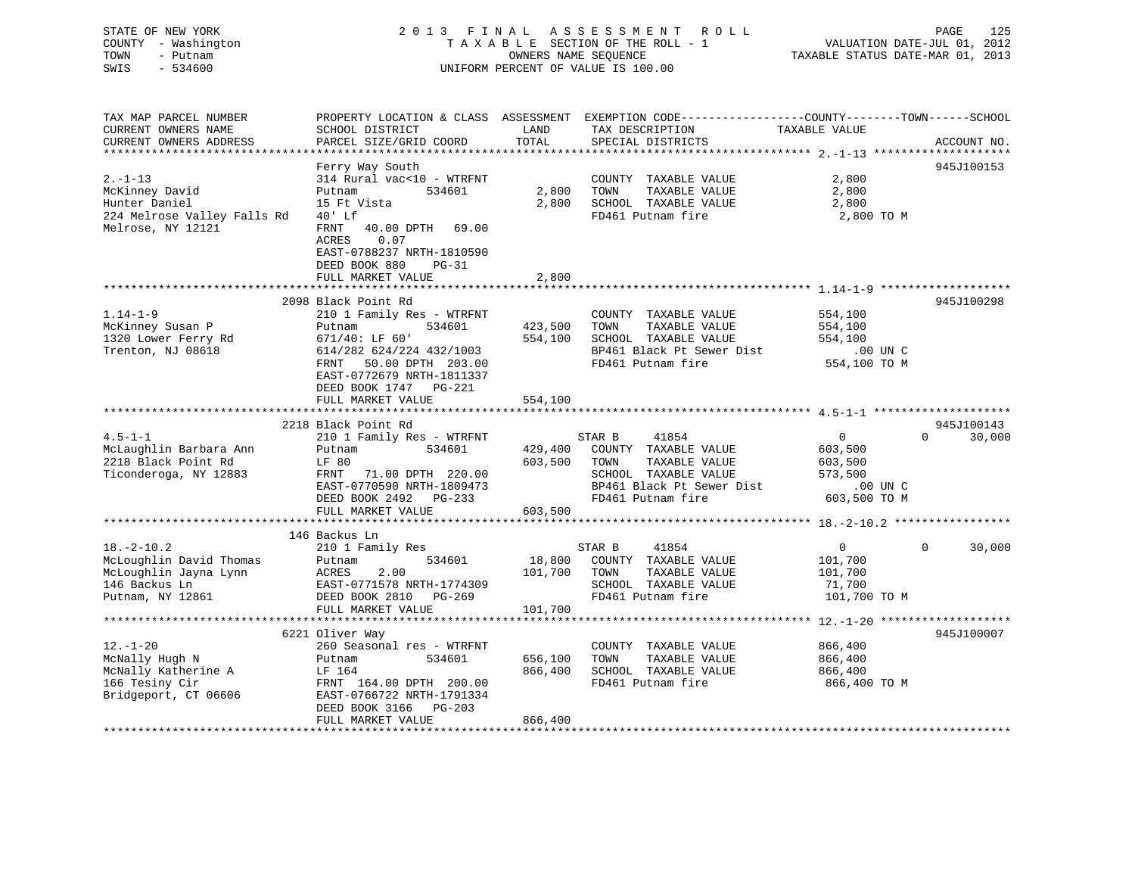| STATE OF NEW YORK<br>COUNTY - Washington<br>- Putnam<br>TOWN<br>SWIS<br>$-534600$ |                                                                                                                         |               | 2013 FINAL ASSESSMENT ROLL<br>TAXABLE SECTION OF THE ROLL - 1<br>OWNERS NAME SEQUENCE<br>UNIFORM PERCENT OF VALUE IS 100.00             | TAXABLE STATUS DATE-MAR 01, 2013 | PAGE<br>125<br>VALUATION DATE-JUL 01, 2012 |
|-----------------------------------------------------------------------------------|-------------------------------------------------------------------------------------------------------------------------|---------------|-----------------------------------------------------------------------------------------------------------------------------------------|----------------------------------|--------------------------------------------|
| TAX MAP PARCEL NUMBER<br>CURRENT OWNERS NAME<br>CURRENT OWNERS ADDRESS            | SCHOOL DISTRICT<br>PARCEL SIZE/GRID COORD                                                                               | LAND<br>TOTAL | PROPERTY LOCATION & CLASS ASSESSMENT EXEMPTION CODE---------------COUNTY-------TOWN------SCHOOL<br>TAX DESCRIPTION<br>SPECIAL DISTRICTS | TAXABLE VALUE                    | ACCOUNT NO.                                |
|                                                                                   | Ferry Way South                                                                                                         |               |                                                                                                                                         |                                  | 945J100153                                 |
| $2. -1 - 13$                                                                      | 314 Rural vac<10 - WTRFNT                                                                                               |               | COUNTY TAXABLE VALUE                                                                                                                    | 2,800                            |                                            |
| McKinney David                                                                    | Putnam<br>534601                                                                                                        | 2,800         | TOWN<br>TAXABLE VALUE                                                                                                                   | 2,800                            |                                            |
| Hunter Daniel                                                                     | 15 Ft Vista                                                                                                             | 2,800         | SCHOOL TAXABLE VALUE                                                                                                                    | 2,800                            |                                            |
| 224 Melrose Valley Falls Rd                                                       | $40'$ Lf                                                                                                                |               | FD461 Putnam fire                                                                                                                       | 2,800 TO M                       |                                            |
| Melrose, NY 12121                                                                 | 40.00 DPTH 69.00<br>FRNT<br>ACRES<br>0.07<br>EAST-0788237 NRTH-1810590<br>DEED BOOK 880<br>$PG-31$<br>FULL MARKET VALUE | 2,800         |                                                                                                                                         |                                  |                                            |
|                                                                                   |                                                                                                                         |               |                                                                                                                                         |                                  |                                            |
|                                                                                   | 2098 Black Point Rd                                                                                                     |               |                                                                                                                                         |                                  | 945J100298                                 |
| $1.14 - 1 - 9$                                                                    | 210 1 Family Res - WTRFNT                                                                                               |               | COUNTY TAXABLE VALUE                                                                                                                    | 554,100                          |                                            |
| McKinney Susan P                                                                  | 534601<br>Putnam                                                                                                        | 423,500       | TAXABLE VALUE<br>TOWN                                                                                                                   | 554,100                          |                                            |
| 1320 Lower Ferry Rd                                                               | $671/40:$ LF $60'$                                                                                                      | 554,100       | SCHOOL TAXABLE VALUE                                                                                                                    | 554,100                          |                                            |
| Trenton, NJ 08618                                                                 | 614/282 624/224 432/1003<br>FRNT 50.00 DPTH 203.00<br>EAST-0772679 NRTH-1811337<br>DEED BOOK 1747 PG-221                |               | BP461 Black Pt Sewer Dist<br>FD461 Putnam fire                                                                                          | .00 UN C<br>554,100 TO M         |                                            |
|                                                                                   | FULL MARKET VALUE                                                                                                       | 554,100       |                                                                                                                                         |                                  |                                            |
|                                                                                   |                                                                                                                         |               |                                                                                                                                         |                                  |                                            |
|                                                                                   | 2218 Black Point Rd                                                                                                     |               |                                                                                                                                         |                                  | 945J100143                                 |
| $4.5 - 1 - 1$                                                                     | 210 1 Family Res - WTRFNT                                                                                               |               | 41854<br>STAR B                                                                                                                         | $\overline{0}$                   | 30,000<br>$\Omega$                         |
| McLaughlin Barbara Ann                                                            | 534601<br>Putnam                                                                                                        | 429,400       | COUNTY TAXABLE VALUE                                                                                                                    | 603,500                          |                                            |
| 2218 Black Point Rd                                                               | LF 80                                                                                                                   | 603,500       | TOWN<br>TAXABLE VALUE                                                                                                                   | 603,500                          |                                            |
| Ticonderoga, NY 12883                                                             | FRNT 71.00 DPTH 220.00                                                                                                  |               | SCHOOL TAXABLE VALUE                                                                                                                    | 573,500                          |                                            |
|                                                                                   | EAST-0770590 NRTH-1809473                                                                                               |               | BP461 Black Pt Sewer Dist                                                                                                               | .00 UN C                         |                                            |
|                                                                                   | DEED BOOK 2492 PG-233                                                                                                   |               | FD461 Putnam fire                                                                                                                       | 603,500 TO M                     |                                            |
|                                                                                   | FULL MARKET VALUE                                                                                                       | 603,500       |                                                                                                                                         |                                  |                                            |
|                                                                                   | 146 Backus Ln                                                                                                           |               |                                                                                                                                         |                                  |                                            |
| $18. - 2 - 10.2$                                                                  | 210 1 Family Res                                                                                                        |               | STAR B<br>41854                                                                                                                         | $\Omega$                         | $\Omega$<br>30,000                         |
| McLoughlin David Thomas                                                           | 534601<br>Putnam                                                                                                        | 18,800        | COUNTY TAXABLE VALUE                                                                                                                    | 101,700                          |                                            |
| McLoughlin Jayna Lynn                                                             | ACRES<br>2.00                                                                                                           | 101,700       | TOWN<br>TAXABLE VALUE                                                                                                                   | 101,700                          |                                            |
| 146 Backus Ln                                                                     | EAST-0771578 NRTH-1774309                                                                                               |               | SCHOOL TAXABLE VALUE                                                                                                                    | 71,700                           |                                            |
| Putnam, NY 12861                                                                  | DEED BOOK 2810 PG-269                                                                                                   |               | FD461 Putnam fire                                                                                                                       | 101,700 TO M                     |                                            |
|                                                                                   | FULL MARKET VALUE                                                                                                       | 101,700       |                                                                                                                                         |                                  |                                            |
|                                                                                   |                                                                                                                         |               |                                                                                                                                         |                                  |                                            |
|                                                                                   | 6221 Oliver Way                                                                                                         |               |                                                                                                                                         |                                  | 945J100007                                 |
| $12. - 1 - 20$                                                                    | 260 Seasonal res - WTRFNT                                                                                               |               | COUNTY TAXABLE VALUE                                                                                                                    | 866,400                          |                                            |
| McNally Hugh N                                                                    | Putnam<br>534601                                                                                                        | 656,100       | TAXABLE VALUE<br>TOWN                                                                                                                   | 866,400                          |                                            |
| McNally Katherine A                                                               | LF 164                                                                                                                  | 866,400       | SCHOOL TAXABLE VALUE                                                                                                                    | 866,400                          |                                            |
| 166 Tesiny Cir<br>Bridgeport, CT 06606                                            | FRNT 164.00 DPTH 200.00<br>EAST-0766722 NRTH-1791334<br>DEED BOOK 3166<br>$PG-203$                                      |               | FD461 Putnam fire                                                                                                                       | 866,400 ТО М                     |                                            |
|                                                                                   | FULL MARKET VALUE                                                                                                       | 866,400       |                                                                                                                                         |                                  |                                            |
|                                                                                   |                                                                                                                         |               |                                                                                                                                         |                                  |                                            |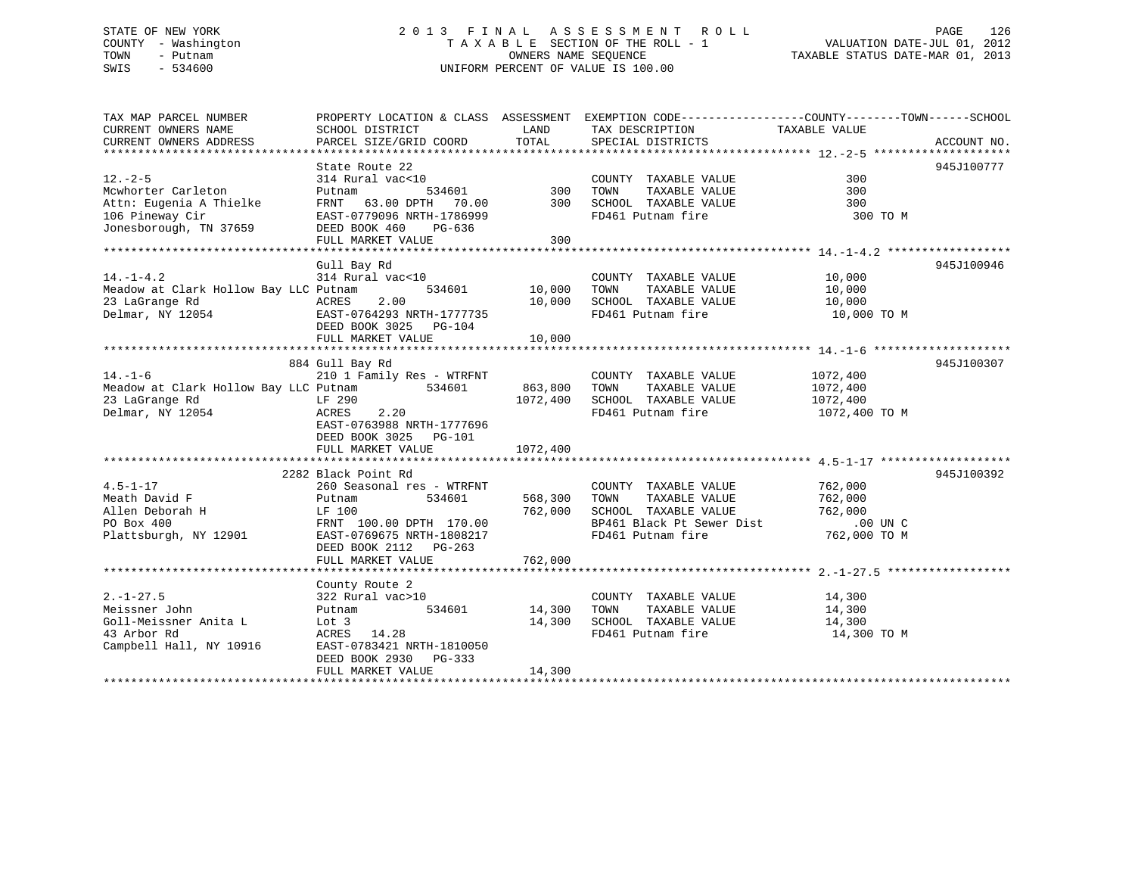## STATE OF NEW YORK 2 0 1 3 F I N A L A S S E S S M E N T R O L L PAGE 126 COUNTY - Washington T A X A B L E SECTION OF THE ROLL - 1 VALUATION DATE-JUL 01, 2012 TOWN - Putnam OWNERS NAME SEQUENCE TAXABLE STATUS DATE-MAR 01, 2013 SWIS - 534600 UNIFORM PERCENT OF VALUE IS 100.00

| TAX MAP PARCEL NUMBER                                                   |                                                                                             |                    | PROPERTY LOCATION & CLASS ASSESSMENT EXEMPTION CODE---------------COUNTY-------TOWN-----SCHOOL |                  |             |
|-------------------------------------------------------------------------|---------------------------------------------------------------------------------------------|--------------------|------------------------------------------------------------------------------------------------|------------------|-------------|
| CURRENT OWNERS NAME<br>CURRENT OWNERS ADDRESS                           | SCHOOL DISTRICT<br>PARCEL SIZE/GRID COORD                                                   | LAND<br>TOTAL      | TAX DESCRIPTION<br>SPECIAL DISTRICTS                                                           | TAXABLE VALUE    | ACCOUNT NO. |
|                                                                         |                                                                                             |                    |                                                                                                |                  |             |
|                                                                         | State Route 22                                                                              |                    |                                                                                                |                  | 945J100777  |
| $12. - 2 - 5$                                                           | 314 Rural vac<10                                                                            |                    | COUNTY TAXABLE VALUE                                                                           | 300              |             |
| Mcwhorter Carleton                                                      | Putnam                                                                                      | 534601 300         | TOWN<br>TAXABLE VALUE                                                                          | 300              |             |
| Attn: Eugenia A Thielke                                                 |                                                                                             |                    |                                                                                                | 300              |             |
| 106 Pineway Cir                                                         | FRNT 63.00 DPTH 70.00<br>EAST-0779096 NRTH-1786999                                          |                    | 300 SCHOOL TAXABLE VALUE<br>FD461 Putnam fire                                                  | 300 TO M         |             |
| Jonesborough, TN 37659                                                  | DEED BOOK 460<br>PG-636                                                                     |                    |                                                                                                |                  |             |
|                                                                         | FULL MARKET VALUE                                                                           | 300                |                                                                                                |                  |             |
|                                                                         |                                                                                             |                    |                                                                                                |                  |             |
|                                                                         | Gull Bay Rd                                                                                 |                    |                                                                                                |                  | 945J100946  |
| $14. - 1 - 4.2$                                                         | 314 Rural vac<10                                                                            |                    | COUNTY TAXABLE VALUE                                                                           | 10,000           |             |
| Meadow at Clark Hollow Bay LLC Putnam                                   |                                                                                             | 534601 10,000      | TOWN<br>TAXABLE VALUE                                                                          | 10,000           |             |
| 23 LaGrange Rd                                                          | 2.00<br>ACRES                                                                               | 10,000             | SCHOOL TAXABLE VALUE                                                                           | 10,000           |             |
| Delmar, NY 12054 CAST-0764293 NRTH-1777735                              |                                                                                             |                    | FD461 Putnam fire                                                                              | 10,000 TO M      |             |
|                                                                         | DEED BOOK 3025 PG-104                                                                       |                    |                                                                                                |                  |             |
|                                                                         | FULL MARKET VALUE                                                                           | 10,000             |                                                                                                |                  |             |
|                                                                         |                                                                                             |                    |                                                                                                |                  |             |
| $14. - 1 - 6$                                                           | 884 Gull Bay Rd<br>210 1 Family Res - WTRFNT                                                |                    | COUNTY TAXABLE VALUE                                                                           | 1072,400         | 945J100307  |
| Meadow at Clark Hollow Bay LLC Putnam 534601 863,800 TOWN TAXABLE VALUE |                                                                                             |                    |                                                                                                | 1072,400         |             |
| 23 LaGrange Rd                                                          | LF 290                                                                                      |                    | 1072,400 SCHOOL TAXABLE VALUE                                                                  | 1072,400         |             |
| Delmar, NY 12054                                                        | 2.20<br>ACRES                                                                               |                    | FD461 Putnam fire                                                                              | 1072,400 TO M    |             |
|                                                                         | EAST-0763988 NRTH-1777696                                                                   |                    |                                                                                                |                  |             |
|                                                                         | DEED BOOK 3025<br>PG-101                                                                    |                    |                                                                                                |                  |             |
|                                                                         | FULL MARKET VALUE                                                                           | 1072,400           |                                                                                                |                  |             |
|                                                                         |                                                                                             |                    |                                                                                                |                  |             |
|                                                                         | 2282 Black Point Rd                                                                         |                    |                                                                                                |                  | 945J100392  |
| $4.5 - 1 - 17$                                                          | 260 Seasonal res - WTRFNT                                                                   |                    | COUNTY TAXABLE VALUE 762,000                                                                   |                  |             |
| Meath David F                                                           | 534601<br>Putnam                                                                            | 568,300 TOWN       | TAXABLE VALUE                                                                                  | 762,000          |             |
| Allen Deborah H                                                         |                                                                                             |                    |                                                                                                | 762,000          |             |
| PO Box 400                                                              | LF 100<br>FRNT 100.00 DPTH 170.00 762,000 SCHOOL TAXABLE VALUE<br>BP461 Black Pt Sewer Dist |                    | BP461 Black Pt Sewer Dist .00 UN C                                                             |                  |             |
| Plattsburgh, NY 12901                                                   | EAST-0769675 NRTH-1808217                                                                   |                    | FD461 Putnam fire                                                                              | 762,000 TO M     |             |
|                                                                         | DEED BOOK 2112 PG-263                                                                       |                    |                                                                                                |                  |             |
|                                                                         | FULL MARKET VALUE                                                                           | 762,000            |                                                                                                |                  |             |
|                                                                         |                                                                                             |                    |                                                                                                |                  |             |
|                                                                         | County Route 2                                                                              |                    |                                                                                                |                  |             |
| $2. - 1 - 27.5$                                                         | 322 Rural vac>10                                                                            |                    | COUNTY TAXABLE VALUE                                                                           | 14,300<br>14,300 |             |
| Meissner John                                                           | Putnam                                                                                      | 534601 14,300 TOWN | TAXABLE VALUE                                                                                  |                  |             |
| Goll-Meissner Anita L                                                   | Lot 3                                                                                       | 14,300             | SCHOOL TAXABLE VALUE                                                                           | 14,300           |             |
| 43 Arbor Rd                                                             | ACRES 14.28                                                                                 |                    | FD461 Putnam fire                                                                              | 14,300 TO M      |             |
| Campbell Hall, NY 10916                                                 | EAST-0783421 NRTH-1810050                                                                   |                    |                                                                                                |                  |             |
|                                                                         | DEED BOOK 2930 PG-333                                                                       | 14,300             |                                                                                                |                  |             |
|                                                                         | FULL MARKET VALUE                                                                           |                    |                                                                                                |                  |             |
|                                                                         |                                                                                             |                    |                                                                                                |                  |             |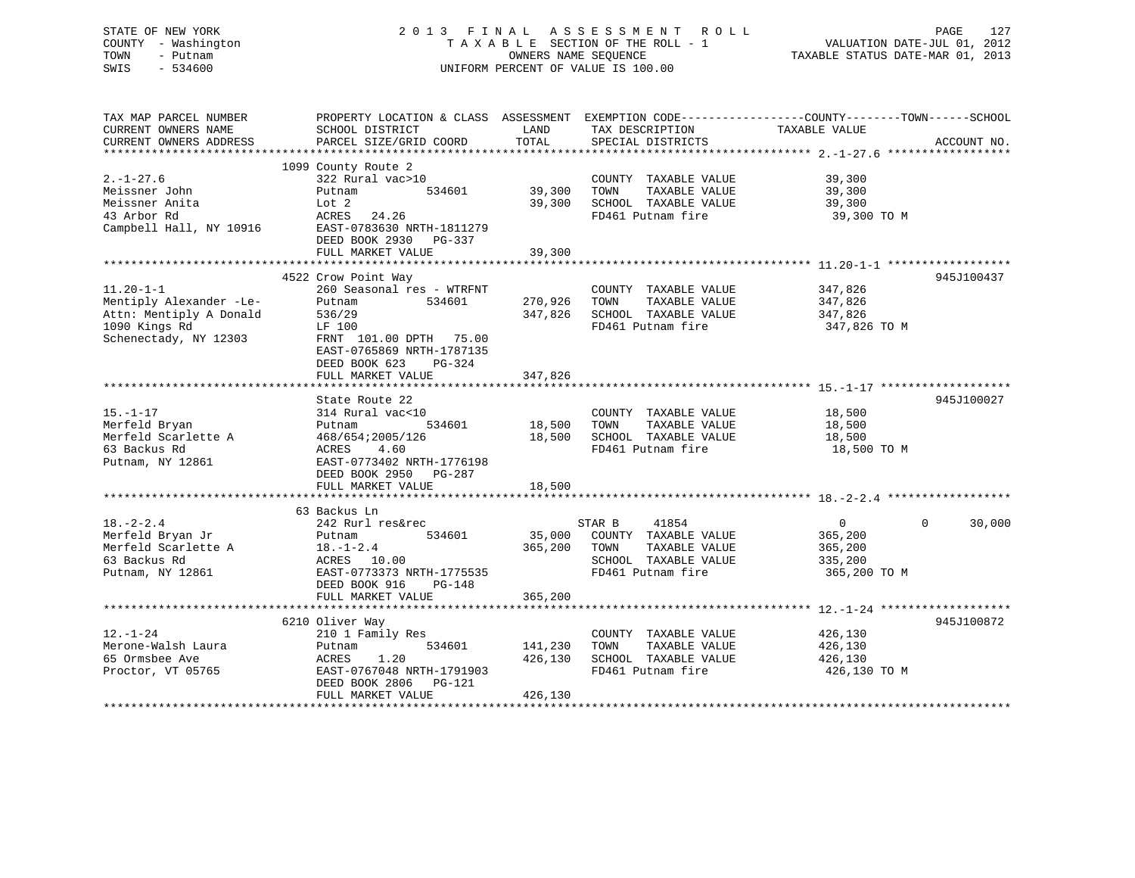## STATE OF NEW YORK 2 0 1 3 F I N A L A S S E S S M E N T R O L L PAGE 127 COUNTY - Washington T A X A B L E SECTION OF THE ROLL - 1 VALUATION DATE-JUL 01, 2012 TOWN - Putnam **CONNERS NAME SEQUENCE** TAXABLE STATUS DATE-MAR 01, 2013 SWIS - 534600 UNIFORM PERCENT OF VALUE IS 100.00

| TAX MAP PARCEL NUMBER<br>CURRENT OWNERS NAME<br>CURRENT OWNERS ADDRESS                                          | PROPERTY LOCATION & CLASS ASSESSMENT EXEMPTION CODE----------------COUNTY-------TOWN------SCHOOL<br>SCHOOL DISTRICT<br>PARCEL SIZE/GRID COORD                        | LAND<br>TOTAL                 | TAX DESCRIPTION<br>SPECIAL DISTRICTS                                                                          | TAXABLE VALUE                                      | ACCOUNT NO.        |
|-----------------------------------------------------------------------------------------------------------------|----------------------------------------------------------------------------------------------------------------------------------------------------------------------|-------------------------------|---------------------------------------------------------------------------------------------------------------|----------------------------------------------------|--------------------|
| $2. - 1 - 27.6$<br>Meissner John<br>Meissner Anita<br>43 Arbor Rd<br>Campbell Hall, NY 10916                    | 1099 County Route 2<br>322 Rural vac>10<br>534601<br>Putnam<br>Lot 2<br>ACRES<br>24.26<br>EAST-0783630 NRTH-1811279<br>DEED BOOK 2930<br>PG-337<br>FULL MARKET VALUE | 39,300<br>39,300<br>39,300    | COUNTY TAXABLE VALUE<br>TOWN<br>TAXABLE VALUE<br>SCHOOL TAXABLE VALUE<br>FD461 Putnam fire                    | 39,300<br>39,300<br>39,300<br>39,300 TO M          |                    |
|                                                                                                                 | 4522 Crow Point Way                                                                                                                                                  |                               |                                                                                                               |                                                    | 945J100437         |
| $11.20 - 1 - 1$<br>Mentiply Alexander -Le-<br>Attn: Mentiply A Donald<br>1090 Kings Rd<br>Schenectady, NY 12303 | 260 Seasonal res - WTRFNT<br>Putnam<br>534601<br>536/29<br>LF 100<br>FRNT 101.00 DPTH 75.00<br>EAST-0765869 NRTH-1787135<br>DEED BOOK 623<br>$PG-324$                | 270,926<br>347,826            | COUNTY TAXABLE VALUE<br>TOWN<br>TAXABLE VALUE<br>SCHOOL TAXABLE VALUE<br>FD461 Putnam fire                    | 347,826<br>347,826<br>347,826<br>347,826 TO M      |                    |
|                                                                                                                 | FULL MARKET VALUE                                                                                                                                                    | 347,826                       |                                                                                                               |                                                    |                    |
|                                                                                                                 |                                                                                                                                                                      |                               |                                                                                                               |                                                    |                    |
| $15. - 1 - 17$<br>Merfeld Bryan<br>Merfeld Scarlette A<br>63 Backus Rd<br>Putnam, NY 12861                      | State Route 22<br>314 Rural vac<10<br>534601<br>Putnam<br>468/654;2005/126<br>4.60<br>ACRES<br>EAST-0773402 NRTH-1776198<br>DEED BOOK 2950 PG-287                    | 18,500<br>18,500              | COUNTY TAXABLE VALUE<br>TAXABLE VALUE<br>TOWN<br>SCHOOL TAXABLE VALUE<br>FD461 Putnam fire                    | 18,500<br>18,500<br>18,500<br>18,500 TO M          | 945J100027         |
|                                                                                                                 | FULL MARKET VALUE                                                                                                                                                    | 18,500                        |                                                                                                               |                                                    |                    |
|                                                                                                                 | 63 Backus Ln                                                                                                                                                         |                               |                                                                                                               |                                                    |                    |
| $18. - 2 - 2.4$<br>Merfeld Bryan Jr<br>Merfeld Scarlette A<br>63 Backus Rd<br>Putnam, NY 12861                  | 242 Rurl res&rec<br>534601<br>Putnam<br>$18. - 1 - 2.4$<br>ACRES 10.00<br>EAST-0773373 NRTH-1775535<br>DEED BOOK 916<br>$PG-148$<br>FULL MARKET VALUE                | 35,000<br>365,200<br>365,200  | 41854<br>STAR B<br>COUNTY TAXABLE VALUE<br>TOWN<br>TAXABLE VALUE<br>SCHOOL TAXABLE VALUE<br>FD461 Putnam fire | 0<br>365,200<br>365,200<br>335,200<br>365,200 TO M | $\Omega$<br>30,000 |
|                                                                                                                 |                                                                                                                                                                      |                               |                                                                                                               |                                                    |                    |
| $12. - 1 - 24$<br>Merone-Walsh Laura<br>65 Ormsbee Ave<br>Proctor, VT 05765                                     | 6210 Oliver Way<br>210 1 Family Res<br>534601<br>Putnam<br>1.20<br>ACRES<br>EAST-0767048 NRTH-1791903<br>DEED BOOK 2806<br>PG-121<br>FULL MARKET VALUE               | 141,230<br>426,130<br>426,130 | COUNTY TAXABLE VALUE<br>TOWN<br>TAXABLE VALUE<br>SCHOOL TAXABLE VALUE<br>FD461 Putnam fire                    | 426,130<br>426,130<br>426,130<br>426,130 TO M      | 945J100872         |
|                                                                                                                 |                                                                                                                                                                      |                               |                                                                                                               |                                                    |                    |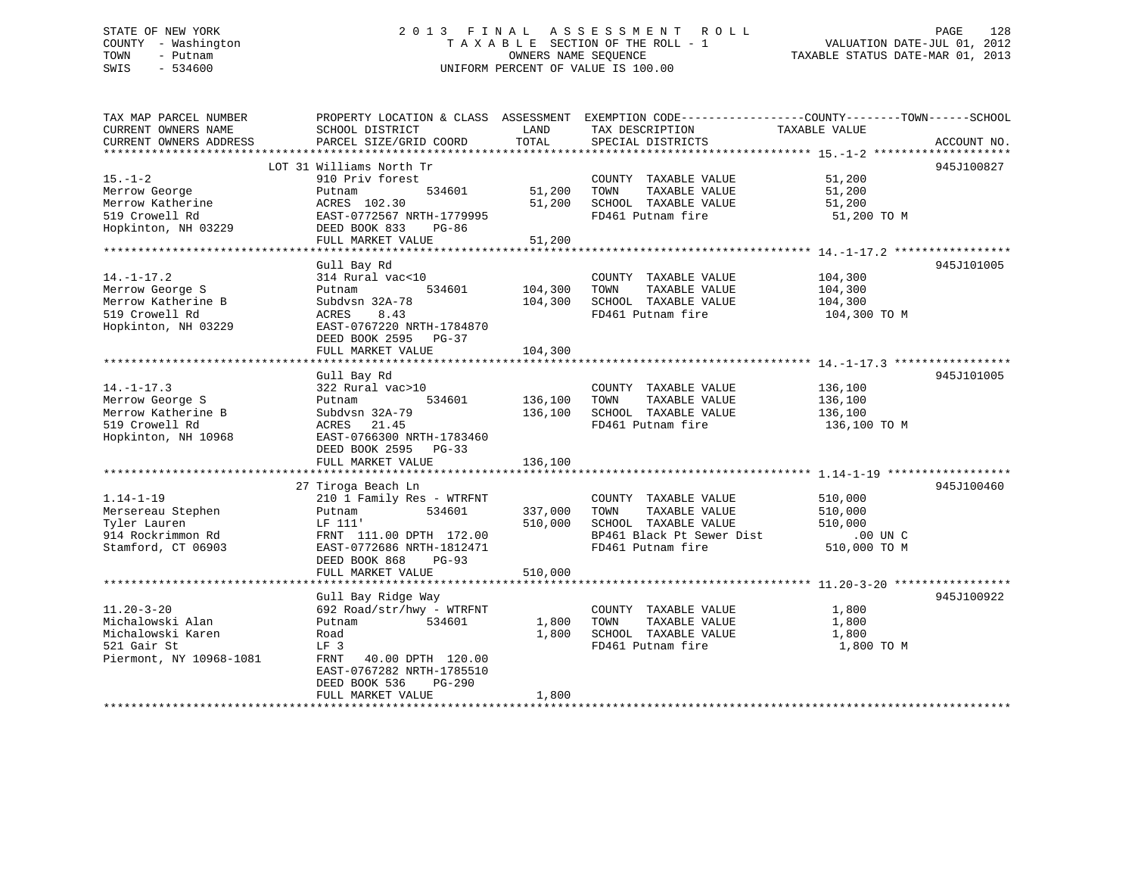## STATE OF NEW YORK 2 0 1 3 F I N A L A S S E S S M E N T R O L L PAGE 128 COUNTY - Washington T A X A B L E SECTION OF THE ROLL - 1 VALUATION DATE-JUL 01, 2012 TOWN - Putnam **CONNERS NAME SEQUENCE** TAXABLE STATUS DATE-MAR 01, 2013 SWIS - 534600 UNIFORM PERCENT OF VALUE IS 100.00

| TAX MAP PARCEL NUMBER   |                           |         |                           | PROPERTY LOCATION & CLASS ASSESSMENT EXEMPTION CODE---------------COUNTY-------TOWN------SCHOOL |
|-------------------------|---------------------------|---------|---------------------------|-------------------------------------------------------------------------------------------------|
| CURRENT OWNERS NAME     | SCHOOL DISTRICT           | LAND    | TAX DESCRIPTION           | TAXABLE VALUE                                                                                   |
| CURRENT OWNERS ADDRESS  | PARCEL SIZE/GRID COORD    | TOTAL   | SPECIAL DISTRICTS         | ACCOUNT NO.                                                                                     |
|                         |                           |         |                           |                                                                                                 |
|                         | LOT 31 Williams North Tr  |         |                           | 945J100827                                                                                      |
| $15. - 1 - 2$           | 910 Priv forest           |         | COUNTY TAXABLE VALUE      | 51,200                                                                                          |
| Merrow George           | 534601<br>Putnam          | 51,200  | TOWN<br>TAXABLE VALUE     | 51,200                                                                                          |
| Merrow Katherine        | ACRES 102.30              | 51,200  | SCHOOL TAXABLE VALUE      | 51,200                                                                                          |
| 519 Crowell Rd          | EAST-0772567 NRTH-1779995 |         | FD461 Putnam fire         | 51,200 TO M                                                                                     |
| Hopkinton, NH 03229     | DEED BOOK 833<br>PG-86    |         |                           |                                                                                                 |
|                         | FULL MARKET VALUE         | 51,200  |                           |                                                                                                 |
|                         |                           |         |                           |                                                                                                 |
|                         | Gull Bay Rd               |         |                           | 945J101005                                                                                      |
| $14. - 1 - 17.2$        | 314 Rural vac<10          |         | COUNTY TAXABLE VALUE      | 104,300                                                                                         |
| Merrow George S         | 534601<br>Putnam          | 104,300 | TOWN<br>TAXABLE VALUE     | 104,300                                                                                         |
| Merrow Katherine B      | Subdysn 32A-78            | 104,300 | SCHOOL TAXABLE VALUE      | 104,300                                                                                         |
| 519 Crowell Rd          | ACRES<br>8.43             |         | FD461 Putnam fire         | 104,300 TO M                                                                                    |
| Hopkinton, NH 03229     | EAST-0767220 NRTH-1784870 |         |                           |                                                                                                 |
|                         | DEED BOOK 2595 PG-37      |         |                           |                                                                                                 |
|                         | FULL MARKET VALUE         | 104,300 |                           |                                                                                                 |
|                         |                           |         |                           |                                                                                                 |
|                         | Gull Bay Rd               |         |                           | 945J101005                                                                                      |
| $14. - 1 - 17.3$        | 322 Rural vac>10          |         | COUNTY TAXABLE VALUE      | 136,100                                                                                         |
| Merrow George S         | 534601<br>Putnam          | 136,100 | TOWN<br>TAXABLE VALUE     | 136,100                                                                                         |
| Merrow Katherine B      | Subdysn 32A-79            | 136,100 | SCHOOL TAXABLE VALUE      | 136,100                                                                                         |
| 519 Crowell Rd          | ACRES 21.45               |         | FD461 Putnam fire         | 136,100 TO M                                                                                    |
| Hopkinton, NH 10968     | EAST-0766300 NRTH-1783460 |         |                           |                                                                                                 |
|                         | DEED BOOK 2595 PG-33      |         |                           |                                                                                                 |
|                         | FULL MARKET VALUE         | 136,100 |                           |                                                                                                 |
|                         |                           |         |                           |                                                                                                 |
|                         | 27 Tiroga Beach Ln        |         |                           | 945J100460                                                                                      |
| $1.14 - 1 - 19$         | 210 1 Family Res - WTRFNT |         | COUNTY TAXABLE VALUE      | 510,000                                                                                         |
| Mersereau Stephen       | 534601<br>Putnam          | 337,000 | TOWN<br>TAXABLE VALUE     | 510,000                                                                                         |
| Tyler Lauren            | LF 111'                   | 510,000 | SCHOOL TAXABLE VALUE      | 510,000                                                                                         |
| 914 Rockrimmon Rd       | FRNT 111.00 DPTH 172.00   |         | BP461 Black Pt Sewer Dist | $.00$ UN $C$                                                                                    |
| Stamford, CT 06903      | EAST-0772686 NRTH-1812471 |         | FD461 Putnam fire         | 510,000 TO M                                                                                    |
|                         | DEED BOOK 868<br>PG-93    |         |                           |                                                                                                 |
|                         | FULL MARKET VALUE         | 510,000 |                           |                                                                                                 |
|                         | Gull Bay Ridge Way        |         |                           | 945J100922                                                                                      |
| $11.20 - 3 - 20$        | 692 Road/str/hwy - WTRFNT |         | COUNTY TAXABLE VALUE      | 1,800                                                                                           |
| Michalowski Alan        | 534601<br>Putnam          | 1,800   | TOWN<br>TAXABLE VALUE     | 1,800                                                                                           |
| Michalowski Karen       | Road                      | 1,800   | SCHOOL TAXABLE VALUE      | 1,800                                                                                           |
| 521 Gair St             | LF 3                      |         | FD461 Putnam fire         | 1,800 TO M                                                                                      |
| Piermont, NY 10968-1081 | FRNT<br>40.00 DPTH 120.00 |         |                           |                                                                                                 |
|                         | EAST-0767282 NRTH-1785510 |         |                           |                                                                                                 |
|                         | DEED BOOK 536<br>$PG-290$ |         |                           |                                                                                                 |
|                         | FULL MARKET VALUE         | 1,800   |                           |                                                                                                 |
|                         |                           |         |                           |                                                                                                 |
|                         |                           |         |                           |                                                                                                 |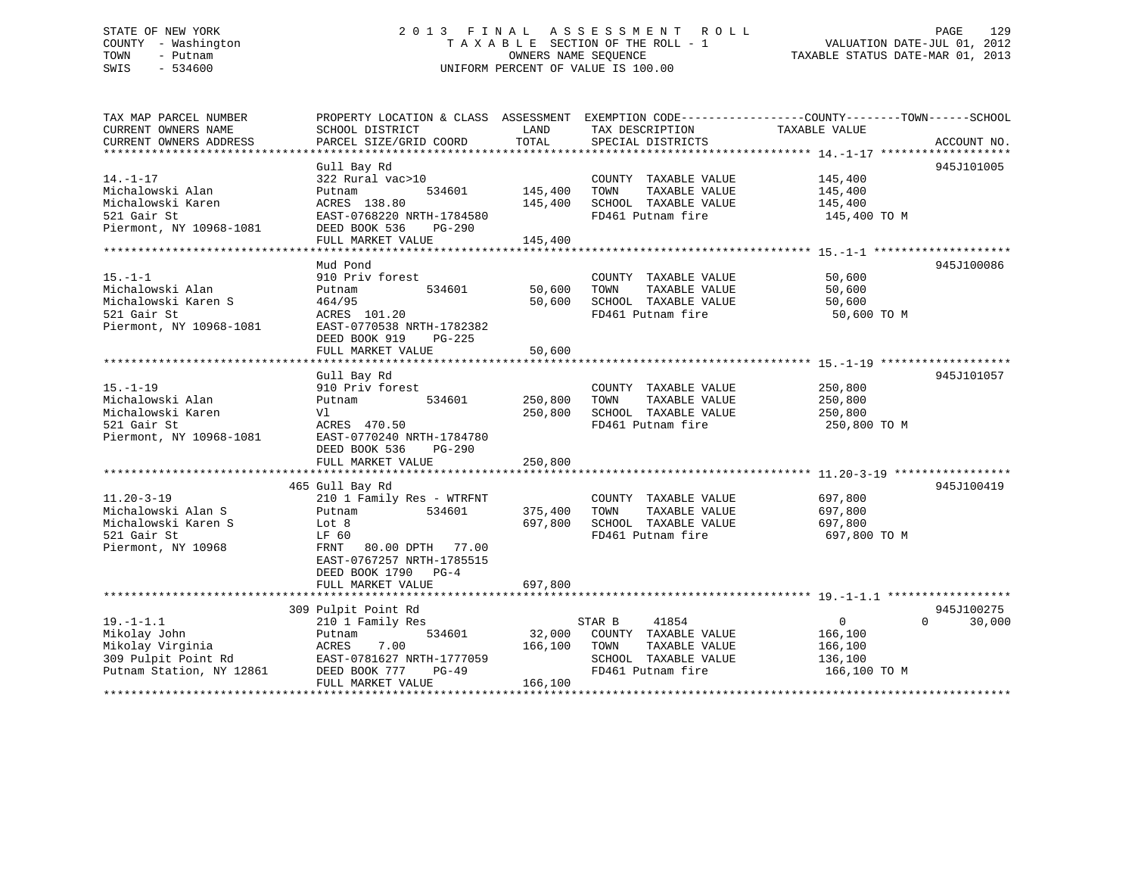# STATE OF NEW YORK 2013 FINAL ASSESSMENT ROLL PAGE 129 COUNTY - Washington  $T A X A B L E$  SECTION OF THE ROLL - 1<br>TOWN - Putnam data of the COUNTERS NAME SEQUENCE SWIS - 534600 UNIFORM PERCENT OF VALUE IS 100.00

TAXABLE STATUS DATE-MAR 01, 2013

| TAX MAP PARCEL NUMBER<br>CURRENT OWNERS NAME | SCHOOL DISTRICT                                       | LAND    | TAX DESCRIPTION                           | PROPERTY LOCATION & CLASS ASSESSMENT EXEMPTION CODE--------------COUNTY-------TOWN-----SCHOOL<br>TAXABLE VALUE |             |
|----------------------------------------------|-------------------------------------------------------|---------|-------------------------------------------|----------------------------------------------------------------------------------------------------------------|-------------|
| CURRENT OWNERS ADDRESS                       | PARCEL SIZE/GRID COORD                                | TOTAL   | SPECIAL DISTRICTS                         |                                                                                                                | ACCOUNT NO. |
|                                              |                                                       |         |                                           |                                                                                                                |             |
|                                              | Gull Bay Rd                                           |         |                                           |                                                                                                                | 945J101005  |
| $14. - 1 - 17$                               | 322 Rural vac>10                                      |         | COUNTY TAXABLE VALUE                      | 145,400                                                                                                        |             |
| Michalowski Alan                             | Putnam<br>534601                                      | 145,400 | TOWN<br>TAXABLE VALUE                     | 145,400                                                                                                        |             |
| Michalowski Karen                            | ACRES 138.80                                          | 145,400 | SCHOOL TAXABLE VALUE                      | 145,400                                                                                                        |             |
| 521 Gair St                                  | EAST-0768220 NRTH-1784580                             |         | FD461 Putnam fire                         | 145,400 TO M                                                                                                   |             |
| Piermont, NY 10968-1081                      | DEED BOOK 536<br>PG-290                               |         |                                           |                                                                                                                |             |
|                                              | FULL MARKET VALUE                                     | 145,400 |                                           |                                                                                                                |             |
|                                              | Mud Pond                                              |         |                                           |                                                                                                                | 945J100086  |
| $15. - 1 - 1$                                | 910 Priv forest                                       |         | COUNTY TAXABLE VALUE                      | 50,600                                                                                                         |             |
| Michalowski Alan                             | 534601<br>Putnam                                      | 50,600  | TOWN<br>TAXABLE VALUE                     | 50,600                                                                                                         |             |
| Michalowski Karen S                          | 464/95                                                | 50,600  | SCHOOL TAXABLE VALUE                      | 50,600                                                                                                         |             |
| 521 Gair St                                  | ACRES 101.20                                          |         | FD461 Putnam fire                         | 50,600 TO M                                                                                                    |             |
| Piermont, NY 10968-1081                      | EAST-0770538 NRTH-1782382                             |         |                                           |                                                                                                                |             |
|                                              | DEED BOOK 919<br>$PG-225$                             |         |                                           |                                                                                                                |             |
|                                              | FULL MARKET VALUE                                     | 50,600  |                                           |                                                                                                                |             |
|                                              |                                                       |         |                                           |                                                                                                                |             |
|                                              | Gull Bay Rd                                           |         |                                           |                                                                                                                | 945J101057  |
| $15. - 1 - 19$                               | 910 Priv forest                                       |         | COUNTY TAXABLE VALUE                      | 250,800                                                                                                        |             |
| Michalowski Alan                             | 534601<br>Putnam                                      | 250,800 | TAXABLE VALUE<br>TOWN                     | 250,800                                                                                                        |             |
| Michalowski Karen                            | Vl                                                    | 250,800 | SCHOOL TAXABLE VALUE                      | 250,800                                                                                                        |             |
| 521 Gair St                                  | ACRES 470.50                                          |         | FD461 Putnam fire                         | 250,800 TO M                                                                                                   |             |
| Piermont, NY 10968-1081                      | EAST-0770240 NRTH-1784780                             |         |                                           |                                                                                                                |             |
|                                              | DEED BOOK 536<br>$PG-290$                             | 250,800 |                                           |                                                                                                                |             |
|                                              | FULL MARKET VALUE                                     |         |                                           |                                                                                                                |             |
|                                              | 465 Gull Bay Rd                                       |         |                                           |                                                                                                                | 945J100419  |
| $11.20 - 3 - 19$                             | 210 1 Family Res - WTRFNT                             |         | COUNTY TAXABLE VALUE                      | 697,800                                                                                                        |             |
| Michalowski Alan S                           | 534601<br>Putnam                                      | 375,400 | TOWN<br>TAXABLE VALUE                     | 697,800                                                                                                        |             |
| Michalowski Karen S                          | Lot 8                                                 | 697,800 | SCHOOL TAXABLE VALUE                      | 697,800                                                                                                        |             |
| 521 Gair St                                  | LF 60                                                 |         | FD461 Putnam fire                         | 697,800 TO M                                                                                                   |             |
| Piermont, NY 10968                           | FRNT 80.00 DPTH 77.00                                 |         |                                           |                                                                                                                |             |
|                                              | EAST-0767257 NRTH-1785515                             |         |                                           |                                                                                                                |             |
|                                              | DEED BOOK 1790 PG-4                                   |         |                                           |                                                                                                                |             |
|                                              | FULL MARKET VALUE                                     | 697,800 |                                           |                                                                                                                |             |
|                                              |                                                       |         |                                           |                                                                                                                |             |
|                                              | 309 Pulpit Point Rd                                   |         |                                           |                                                                                                                | 945J100275  |
| $19. - 1 - 1.1$                              | 210 1 Family Res                                      |         | 41854<br>STAR B                           | $\overline{0}$<br>$\Omega$                                                                                     | 30,000      |
| Mikolay John                                 | 534601<br>Putnam                                      | 32,000  | COUNTY TAXABLE VALUE                      | 166,100                                                                                                        |             |
| Mikolay Virginia<br>309 Pulpit Point Rd      | 7.00<br>ACRES                                         | 166,100 | TOWN<br>TAXABLE VALUE                     | 166,100                                                                                                        |             |
| Putnam Station, NY 12861                     | EAST-0781627 NRTH-1777059<br>DEED BOOK 777<br>$PG-49$ |         | SCHOOL TAXABLE VALUE<br>FD461 Putnam fire | 136,100<br>166,100 TO M                                                                                        |             |
|                                              | FULL MARKET VALUE                                     | 166,100 |                                           |                                                                                                                |             |
| *******************                          |                                                       |         |                                           |                                                                                                                |             |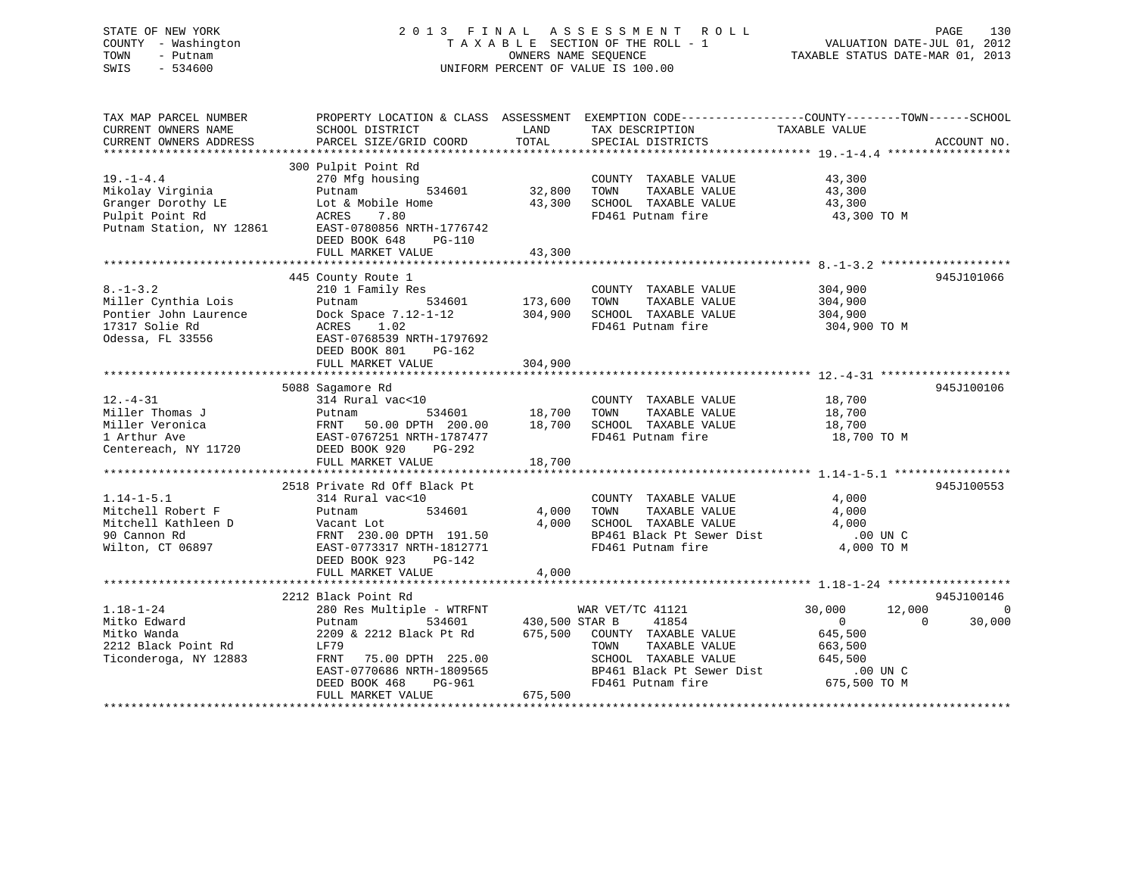## STATE OF NEW YORK 2 0 1 3 F I N A L A S S E S S M E N T R O L L PAGE 130 COUNTY - Washington T A X A B L E SECTION OF THE ROLL - 1 VALUATION DATE-JUL 01, 2012 TOWN - Putnam OWNERS NAME SEQUENCE TAXABLE STATUS DATE-MAR 01, 2013 SWIS - 534600 UNIFORM PERCENT OF VALUE IS 100.00

| TAX MAP PARCEL NUMBER<br>CURRENT OWNERS NAME<br>CURRENT OWNERS ADDRESS                                   | SCHOOL DISTRICT<br>PARCEL SIZE/GRID COORD                                                                                                                                                                               | LAND<br>TOTAL                        | PROPERTY LOCATION & CLASS ASSESSMENT EXEMPTION CODE----------------COUNTY-------TOWN------SCHOOL<br>TAX DESCRIPTION TAXABLE VALUE<br>SPECIAL DISTRICTS |                                                                                                             | ACCOUNT NO.        |
|----------------------------------------------------------------------------------------------------------|-------------------------------------------------------------------------------------------------------------------------------------------------------------------------------------------------------------------------|--------------------------------------|--------------------------------------------------------------------------------------------------------------------------------------------------------|-------------------------------------------------------------------------------------------------------------|--------------------|
| $19. - 1 - 4.4$<br>Mikolay Virginia<br>Granger Dorothy LE<br>Pulpit Point Rd<br>Putnam Station, NY 12861 | 300 Pulpit Point Rd<br>270 Mfg housing<br>Putnam<br>534601<br>Lot & Mobile Home<br>7.80<br>ACRES<br>EAST-0780856 NRTH-1776742<br>DEED BOOK 648<br>PG-110<br>FULL MARKET VALUE                                           | 32,800<br>43,300<br>43,300           | COUNTY TAXABLE VALUE<br>TOWN<br>TAXABLE VALUE<br>SCHOOL TAXABLE VALUE<br>FD461 Putnam fire                                                             | 43,300<br>43,300<br>43,300<br>43,300 TO M                                                                   |                    |
|                                                                                                          |                                                                                                                                                                                                                         |                                      |                                                                                                                                                        |                                                                                                             |                    |
| $8. - 1 - 3.2$<br>Miller Cynthia Lois<br>Pontier John Laurence<br>17317 Solie Rd<br>Odessa, FL 33556     | 445 County Route 1<br>210 1 Family Res<br>Putnam<br>Dock Space 7.12-1-12<br>1.02<br>ACRES<br>EAST-0768539 NRTH-1797692<br>DEED BOOK 801<br>PG-162<br>FULL MARKET VALUE                                                  | 534601 173,600<br>304,900<br>304,900 | COUNTY TAXABLE VALUE<br>TOWN<br>TAXABLE VALUE<br>SCHOOL TAXABLE VALUE<br>FD461 Putnam fire                                                             | 304,900<br>304,900<br>304,900<br>304,900 TO M                                                               | 945J101066         |
|                                                                                                          |                                                                                                                                                                                                                         |                                      |                                                                                                                                                        |                                                                                                             |                    |
| $12. - 4 - 31$<br>Miller Thomas J<br>Miller Veronica<br>1 Arthur Ave<br>Centereach, NY 11720             | 5088 Sagamore Rd<br>314 Rural vac<10<br>534601<br>Putnam<br>FRNT 50.00 DPTH 200.00<br>EAST-0767251 NRTH-1787477<br>DEED BOOK 920<br>$PG-292$<br>FULL MARKET VALUE                                                       | 18,700<br>18.700<br>18,700           | COUNTY TAXABLE VALUE<br>TAXABLE VALUE<br>TOWN<br>18,700 SCHOOL TAXABLE VALUE<br>FD461 Putnam fire                                                      | 18,700<br>18,700<br>18,700<br>18,700 TO M                                                                   | 945J100106         |
|                                                                                                          | 2518 Private Rd Off Black Pt                                                                                                                                                                                            |                                      |                                                                                                                                                        |                                                                                                             | 945J100553         |
| $1.14 - 1 - 5.1$<br>Mitchell Robert F<br>Mitchell Kathleen D<br>90 Cannon Rd<br>Wilton, CT 06897         | 314 Rural vac<10<br>534601<br>Putnam<br>Vacant Lot<br>FRNT 230.00 DPTH 191.50<br>EAST-0773317 NRTH-1812771<br>DEED BOOK 923<br>PG-142                                                                                   | 4,000<br>4,000                       | COUNTY TAXABLE VALUE<br>TOWN<br>TAXABLE VALUE<br>SCHOOL TAXABLE VALUE<br>BP461 Black Pt Sewer Dist .00 UN C<br>FD461 Putnam fire                       | 4,000<br>4,000<br>4,000<br>4,000 TO M                                                                       |                    |
|                                                                                                          | FULL MARKET VALUE                                                                                                                                                                                                       | 4,000                                |                                                                                                                                                        |                                                                                                             |                    |
|                                                                                                          | 2212 Black Point Rd                                                                                                                                                                                                     |                                      |                                                                                                                                                        |                                                                                                             | 945J100146         |
| $1.18 - 1 - 24$<br>Mitko Edward<br>Mitko Wanda<br>2212 Black Point Rd<br>Ticonderoga, NY 12883           | 280 Res Multiple - WTRFNT<br>534601<br>Putnam<br>2209 & 2212 Black Pt Rd 675,500 COUNTY TAXABLE VALUE<br>LF79<br>FRNT<br>75.00 DPTH 225.00<br>EAST-0770686 NRTH-1809565<br>PG-961<br>DEED BOOK 468<br>FULL MARKET VALUE | 430,500 STAR B<br>675,500            | WAR VET/TC 41121<br>41854<br>TAXABLE VALUE<br>TOWN<br>SCHOOL TAXABLE VALUE<br>BP461 Black Pt Sewer Dist<br>FD461 Putnam fire                           | 30,000<br>12,000<br>$\overline{0}$<br>$\Omega$<br>645,500<br>663,500<br>645,500<br>.00 UN C<br>675,500 TO M | $\Omega$<br>30,000 |
|                                                                                                          |                                                                                                                                                                                                                         |                                      |                                                                                                                                                        |                                                                                                             |                    |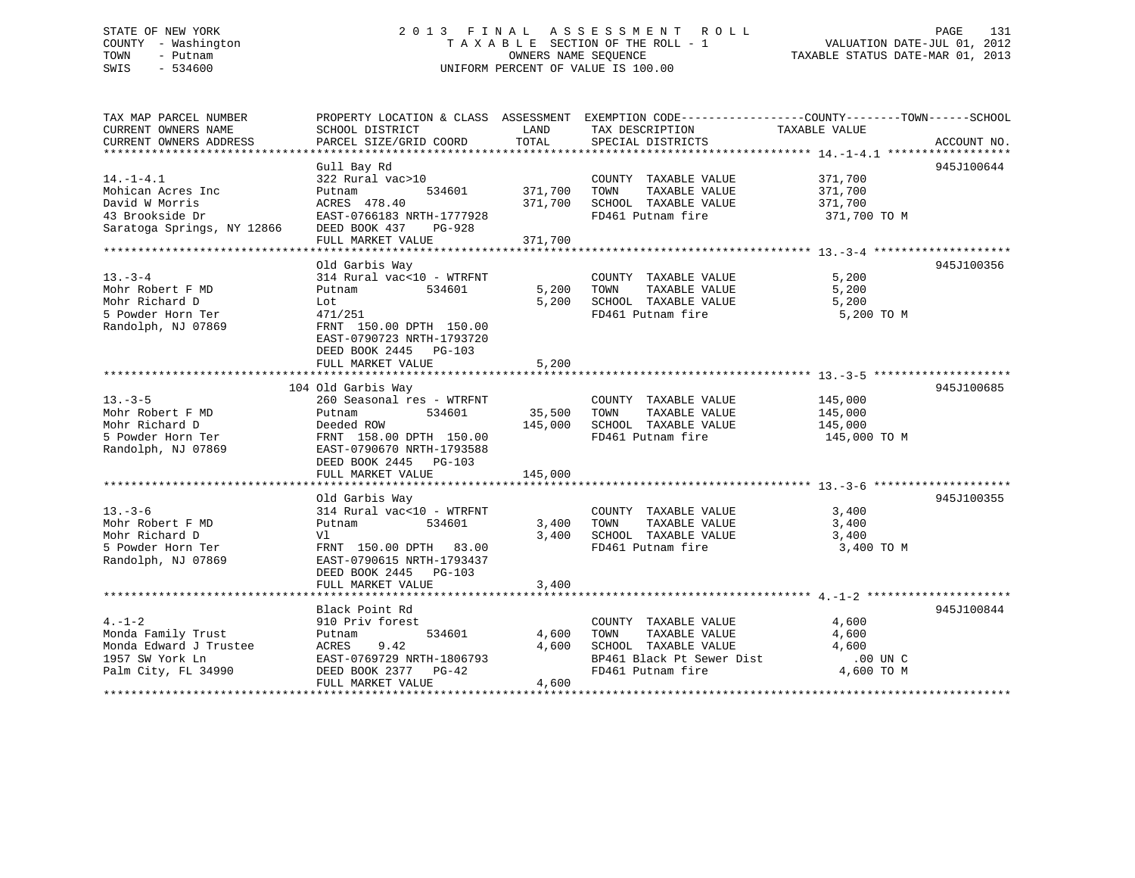## STATE OF NEW YORK 2 0 1 3 F I N A L A S S E S S M E N T R O L L PAGE 131 COUNTY - Washington T A X A B L E SECTION OF THE ROLL - 1 VALUATION DATE-JUL 01, 2012 TOWN - Putnam OWNERS NAME SEQUENCE TAXABLE STATUS DATE-MAR 01, 2013 SWIS - 534600 UNIFORM PERCENT OF VALUE IS 100.00

| TAX MAP PARCEL NUMBER<br>CURRENT OWNERS NAME<br>CURRENT OWNERS ADDRESS                                                                                                                                                                                     | SCHOOL DISTRICT<br>PARCEL SIZE/GRID COORD                                                                                                                             | TOTAL   | PROPERTY LOCATION & CLASS ASSESSMENT EXEMPTION CODE---------------COUNTY-------TOWN------SCHOOL<br>LAND TAX DESCRIPTION<br>SPECIAL DISTRICTS                                                                                                                                                 | TAXABLE VALUE           | ACCOUNT NO. |
|------------------------------------------------------------------------------------------------------------------------------------------------------------------------------------------------------------------------------------------------------------|-----------------------------------------------------------------------------------------------------------------------------------------------------------------------|---------|----------------------------------------------------------------------------------------------------------------------------------------------------------------------------------------------------------------------------------------------------------------------------------------------|-------------------------|-------------|
| $14. -1 - 4.1$                                                                                                                                                                                                                                             | Gull Bay Rd<br>$322$ Rural vac > 10<br>FULL MARKET VALUE                                                                                                              | 371,700 | COUNTY TAXABLE VALUE 371,700<br>534601 371,700 TOWN TAXABLE VALUE 371,700<br>178.40 371,700 SCHOOL TAXABLE VALUE 371,700<br>FD461 Putnam fire 371,700 TO M                                                                                                                                   |                         | 945J100644  |
| $13 - 3 - 4$<br>Mohr Robert F MD<br>Mohr Richard D<br>5 Powder Horn Ter<br>Randolph, NJ 07869                                                                                                                                                              | Old Garbis Way<br>Lot<br>471/251<br>FRNT 150.00 DPTH 150.00<br>EAST-0790723 NRTH-1793720<br>DEED BOOK 2445 PG-103<br>FULL MARKET VALUE                                | 5,200   | $\begin{tabular}{lllllllll} \multicolumn{2}{c}{\textbf{COUNTY}} & \textbf{TAXABLE VALUE} & & & & 5,200 \\ \multicolumn{2}{c}{\textbf{TAYABLE VALUE}} & & & 5,200 \\ \multicolumn{2}{c}{\textbf{TAYABLE VALUE}} & & & \end{tabular}$<br>5,200 SCHOOL TAXABLE VALUE 5,200<br>FD461 Putnam fire | 5,200 TO M              | 945J100356  |
| $13. - 3 - 5$<br>Mohr Robert F MD<br>Mohr Richard D<br>5 Powder Horn Ter FRNT 158.00 DPTH 150.00 145,000 SCHOOL TAXABLE VALUE<br>Randolph, NJ 07869 EAST-0790670 NRTH-1793588<br>FRNT 158.00 DPTH 150.00 145,000 SCHOOL TAXABLE VALUE<br>FD461 Putnam fire | 104 Old Garbis Way<br>260 Seasonal res - WTRFNT<br>Putnam<br>DEED BOOK 2445 PG-103<br>FULL MARKET VALUE                                                               | 145,000 | COUNTY TAXABLE VALUE 145,000<br>534601 35,500 TOWN TAXABLE VALUE 145,000                                                                                                                                                                                                                     | 145,000<br>145,000 TO M | 945J100685  |
| $13. -3 - 6$<br>Mohr Robert F MD<br>Mohr Richard D<br>5 Powder Horn Ter<br>Randolph, NJ 07869                                                                                                                                                              | Old Garbis Way<br>$314$ Rural vac< $10$ - WTRFNT<br>Putnam<br>V1<br>FRNT 150.00 DPTH 83.00<br>EAST-0790615 NRTH-1793437<br>DEED BOOK 2445 PG-103<br>FULL MARKET VALUE | 3,400   | COUNTY TAXABLE VALUE<br>534601 3,400 TOWN TAXABLE VALUE 3,400<br>$3,400$ SCHOOL TAXABLE VALUE $3,400$<br>FD461 Putnam fire $3,400$                                                                                                                                                           | 3,400<br>3,400 TO M     | 945J100355  |
| $4. - 1 - 2$<br>Monda Family Trust<br>Palm City, FL 34990 DEED BOOK 2377 PG-42                                                                                                                                                                             | Black Point Rd<br>910 Priv forest<br>Putnam 534601<br>FULL MARKET VALUE                                                                                               | 4,600   | COUNTY TAXABLE VALUE 4,600<br>TOWN TAXABLE VALUE 4,600<br>4,600 TOWN<br>$4,600$ SCHOOL TAXABLE VALUE $4,600$<br>BP461 Black Pt Sewer Dist 00 UN C<br>FD461 Putnam fire 4,600 TO M                                                                                                            |                         | 945J100844  |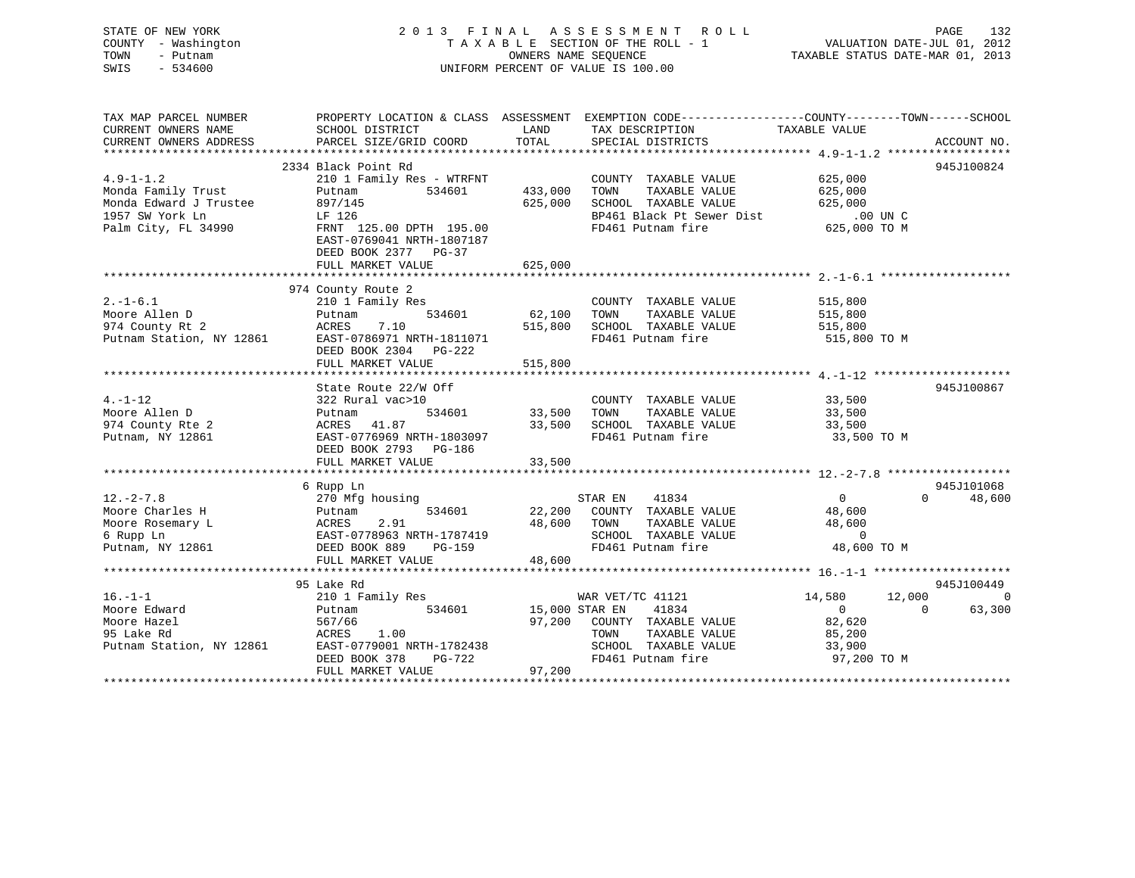| STATE OF NEW YORK<br>COUNTY - Washington<br>TOWN<br>- Putnam<br>SWIS - 534600                             |                                                                                                                                                                                                                      |                              | 2013 FINAL ASSESSMENT ROLL PAGE 132<br>TAXABLE SECTION OF THE ROLL - 1 VALUATION DATE-JUL 01, 2012<br>OWNERS NAME SEQUENCE TAXABLE STATUS DATE-MAR 01, 2013<br>UNIFORM PERCENT OF VALUE IS 100.00 |                                 |             |
|-----------------------------------------------------------------------------------------------------------|----------------------------------------------------------------------------------------------------------------------------------------------------------------------------------------------------------------------|------------------------------|---------------------------------------------------------------------------------------------------------------------------------------------------------------------------------------------------|---------------------------------|-------------|
| CURRENT OWNERS NAME                                                                                       | TAX MAP PARCEL NUMBER THE PROPERTY LOCATION & CLASS ASSESSMENT EXEMPTION CODE--------------COUNTY-------TOWN------SCHOOL<br>SCHOOL DISTRICT<br>CURRENT OWNERS ADDRESS FARCEL SIZE/GRID COORD TOTAL SPECIAL DISTRICTS |                              | LAND TAX DESCRIPTION TAXABLE VALUE                                                                                                                                                                |                                 | ACCOUNT NO. |
| $4.9 - 1 - 1.2$<br>Monda Family Trust<br>Monda Edward J Trustee<br>1957 SW York Ln<br>Palm City, FL 34990 | 2334 Black Point Rd<br>Putnam<br>897/145<br>LF 126<br>FRNT 125.00 DPTH 195.00<br>EAST-0769041 NRTH-1807187<br>DEED BOOK 2377 PG-37<br>FULL MARKET VALUE                                                              | 625,000                      | COUNTY TAXABLE VALUE<br>TAXABLE VALUE<br>433,000 IOWN IAAABLE VALUE 625,000<br>625,000 SCHOOL TAXABLE VALUE 625,000<br>BP461 Black Pt Sewer Dist 625,000 UN C<br>FD461 Putnam fire 625,000 TO M   | 625,000<br>625,000              | 945J100824  |
|                                                                                                           |                                                                                                                                                                                                                      |                              |                                                                                                                                                                                                   |                                 |             |
| 2.-1-6.1<br>Moore Allen D<br>974 County Rt 2<br>Putnam Station, NY 12861                                  | 974 County Route 2<br>210 1 Family Res<br>Putnam<br>ACRES 7.10<br>EAST-0786971 NRTH-1811071<br>DEED BOOK 2304 PG-222<br>FULL MARKET VALUE                                                                            | 515,800                      | COUNTY TAXABLE VALUE<br>TAXABLE VALUE 515,800<br>515,800 SCHOOL TAXABLE VALUE 515,800<br>FD461 Putnam fire 515,800 TO M                                                                           | 515,800                         |             |
|                                                                                                           |                                                                                                                                                                                                                      |                              |                                                                                                                                                                                                   |                                 |             |
| $4. - 1 - 12$<br>Moore Allen D<br>974 County Rte 2<br>Putnam, NY 12861                                    | State Route 22/W Off<br>322 Rural vac>10<br>Putnam<br>ACRES 41.87 33,500 SCHOOL TAXABLE VALUE<br>EAST-0776969 NRTH-1803097<br>DEED BOOK 2793 PG-186<br>FULL MARKET VALUE                                             | 534601 33,500 TOWN<br>33,500 | COUNTY TAXABLE VALUE<br>TAXABLE VALUE 33,500<br>FD461 Putnam fire                                                                                                                                 | 33,500<br>33,500<br>33,500 TO M | 945J100867  |

|                          | 6 Rupp Ln                 |                                   |                  | 945J101068               |
|--------------------------|---------------------------|-----------------------------------|------------------|--------------------------|
| $12. - 2 - 7.8$          | 270 Mfg housing           | 41834<br>STAR EN                  | $\mathbf{0}$     | 48,600                   |
| Moore Charles H          | 534601<br>Putnam          | 22,200<br>COUNTY<br>TAXABLE VALUE | 48,600           |                          |
| Moore Rosemary L         | 2.91<br>ACRES             | 48,600<br>TOWN<br>TAXABLE VALUE   | 48,600           |                          |
| 6 Rupp Ln                | EAST-0778963 NRTH-1787419 | SCHOOL<br>TAXABLE VALUE           |                  |                          |
| Putnam, NY 12861         | DEED BOOK 889<br>PG-159   | FD461 Putnam fire                 | 48,600 TO M      |                          |
|                          | FULL MARKET VALUE         | 48,600                            |                  |                          |
|                          |                           |                                   |                  |                          |
|                          | 95 Lake Rd                |                                   |                  | 945J100449               |
| $16. - 1 - 1$            | 210 1 Family Res          | WAR VET/TC 41121                  | 12,000<br>14,580 | $\overline{\phantom{0}}$ |
| Moore Edward             | 534601<br>Putnam          | 15,000 STAR EN<br>41834           | $\Omega$         | 63,300                   |
| Moore Hazel              | 567/66                    | 97,200<br>COUNTY<br>TAXABLE VALUE | 82,620           |                          |
| 95 Lake Rd               | 1.00<br>ACRES             | TAXABLE VALUE<br>TOWN             | 85,200           |                          |
| Putnam Station, NY 12861 | EAST-0779001 NRTH-1782438 | SCHOOL<br>TAXABLE VALUE           | 33,900           |                          |
|                          | DEED BOOK 378<br>PG-722   | FD461 Putnam fire                 | 97,200 TO M      |                          |
|                          | FULL MARKET VALUE         | 97,200                            |                  |                          |

\*\*\*\*\*\*\*\*\*\*\*\*\*\*\*\*\*\*\*\*\*\*\*\*\*\*\*\*\*\*\*\*\*\*\*\*\*\*\*\*\*\*\*\*\*\*\*\*\*\*\*\*\*\*\*\*\*\*\*\*\*\*\*\*\*\*\*\*\*\*\*\*\*\*\*\*\*\*\*\*\*\*\*\*\*\*\*\*\*\*\*\*\*\*\*\*\*\*\*\*\*\*\*\*\*\*\*\*\*\*\*\*\*\*\*\*\*\*\*\*\*\*\*\*\*\*\*\*\*\*\*\*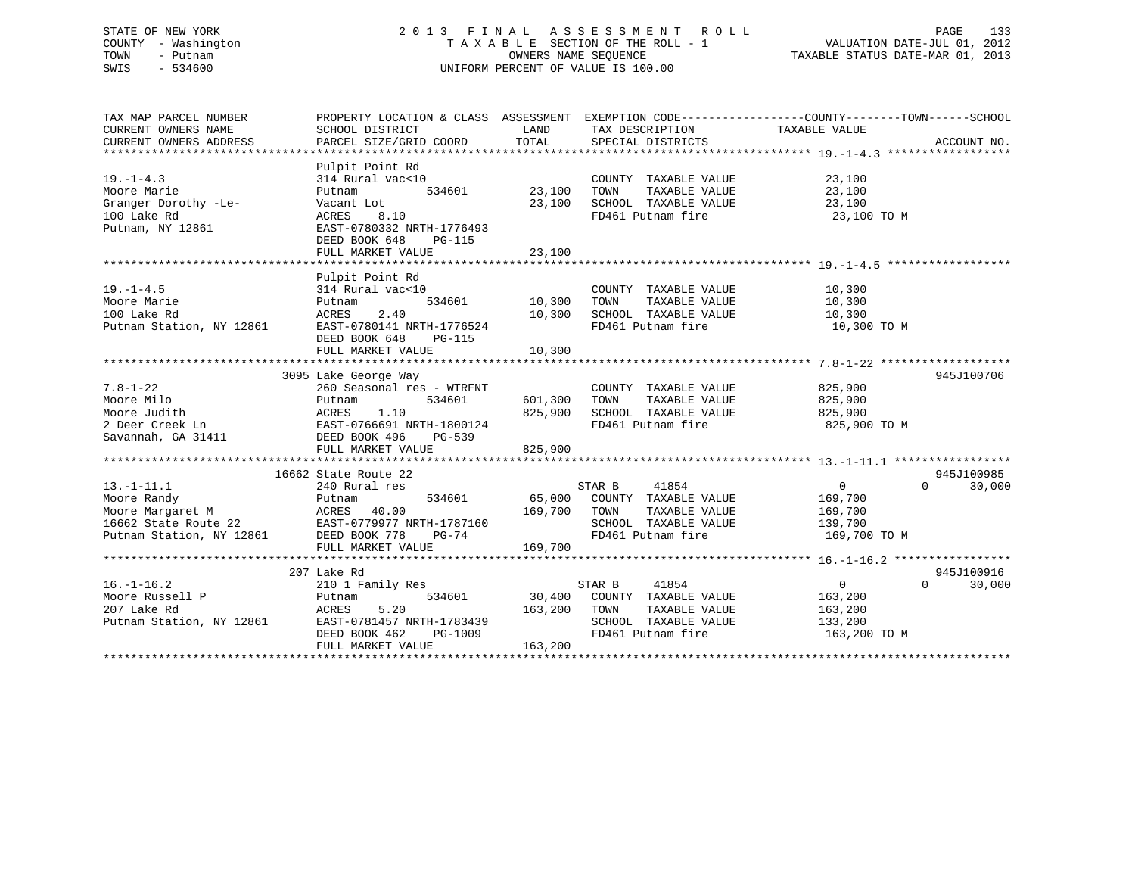## STATE OF NEW YORK 2 0 1 3 F I N A L A S S E S S M E N T R O L L PAGE 133 COUNTY - Washington T A X A B L E SECTION OF THE ROLL - 1 VALUATION DATE-JUL 01, 2012 TOWN - Putnam OWNERS NAME SEQUENCE TAXABLE STATUS DATE-MAR 01, 2013 SWIS - 534600 UNIFORM PERCENT OF VALUE IS 100.00

| TAX MAP PARCEL NUMBER<br>CURRENT OWNERS NAME<br>CURRENT OWNERS ADDRESS                                                                            | SCHOOL DISTRICT<br>PARCEL SIZE/GRID COORD                                                                                                                     | LAND<br>TOTAL                                    | TAX DESCRIPTION TAXABLE VALUE<br>SPECIAL DISTRICTS                                                                   | PROPERTY LOCATION & CLASS ASSESSMENT EXEMPTION CODE----------------COUNTY-------TOWN-----SCHOOL<br>ACCOUNT NO. |
|---------------------------------------------------------------------------------------------------------------------------------------------------|---------------------------------------------------------------------------------------------------------------------------------------------------------------|--------------------------------------------------|----------------------------------------------------------------------------------------------------------------------|----------------------------------------------------------------------------------------------------------------|
| $19. - 1 - 4.3$<br>Moore Marie<br>Granger Dorothy -Le-<br>100 Lake Rd<br>Putnam, NY 12861                                                         | Pulpit Point Rd<br>314 Rural vac<10<br>Putnam<br>Vacant Lot<br>8.10<br>ACRES<br>EAST-0780332 NRTH-1776493<br>DEED BOOK 648<br>PG-115<br>FULL MARKET VALUE     | 534601 23,100<br>23,100<br>23,100                | COUNTY TAXABLE VALUE<br>TAXABLE VALUE<br>TOWN<br>SCHOOL TAXABLE VALUE<br>FD461 Putnam fire                           | 23,100<br>23,100<br>23,100<br>23,100 TO M                                                                      |
| $19. - 1 - 4.5$<br>Moore Marie<br>100 Lake Rd<br>Putnam Station, NY 12861                                                                         | Pulpit Point Rd<br>314 Rural vac<10<br>534601<br>Putnam<br>2.40<br>ACRES<br>EAST-0780141 NRTH-1776524<br>DEED BOOK 648<br>PG-115                              | 10,300<br>10,300<br>$\perp \cup$ , $\cup \sim$ . | COUNTY TAXABLE VALUE<br>TOWN<br>TAXABLE VALUE<br>SCHOOL TAXABLE VALUE<br>FD461 Putnam fire                           | 10,300<br>10,300<br>10,300<br>10,300 TO M                                                                      |
| $7.8 - 1 - 22$<br>Moore Milo<br>Moore Judith<br>2 Deer Creek Ln<br>Savannah, GA 31411                                                             | 3095 Lake George Way<br>260 Seasonal res - WTRFNT<br>Putnam 534601<br>ACRES 1.10<br>EAST-0766691 NRTH-1800124<br>DEED BOOK 496<br>PG-539<br>FULL MARKET VALUE | 601,300<br>825,900<br>825,900                    | COUNTY TAXABLE VALUE<br>TOWN<br>TAXABLE VALUE<br>SCHOOL TAXABLE VALUE<br>FD461 Putnam fire                           | 945J100706<br>825,900<br>825,900<br>825,900<br>825,900 TO M                                                    |
| $13.-1-11.1$<br>Moore Randy<br>Noore Margaret M<br>16662 State Route 22 EAST-0779977 NRTH-1787160<br>Putnam Station, NY 12861 DEED BOOK 778 PG-74 | 16662 State Route 22<br>240 Rural res<br>534601<br>Putnam<br>FULL MARKET VALUE                                                                                | 169,700 TOWN<br>169,700                          | STAR B<br>41854<br>65,000 COUNTY TAXABLE VALUE<br>TAXABLE VALUE<br>SCHOOL TAXABLE VALUE<br>FD461 Putnam fire         | 945J100985<br>30,000<br>$\Omega$<br>$\Omega$<br>169,700<br>169,700<br>139,700<br>169,700 TO M                  |
| $16. - 1 - 16.2$<br>Moore Russell P<br>207 Lake Rd<br>Putnam Station, NY 12861                                                                    | 207 Lake Rd<br>210 1 Family Res<br>534601<br>Putnam<br>5.20<br>ACRES<br>EAST-0781457 NRTH-1783439<br>DEED BOOK 462<br>PG-1009<br>FULL MARKET VALUE            | 163,200<br>163,200                               | STAR B<br>41854<br>30,400 COUNTY TAXABLE VALUE<br>TOWN<br>TAXABLE VALUE<br>SCHOOL TAXABLE VALUE<br>FD461 Putnam fire | 945J100916<br>$\overline{0}$<br>$\Omega$<br>30,000<br>163,200<br>163,200<br>133,200<br>163,200 TO M            |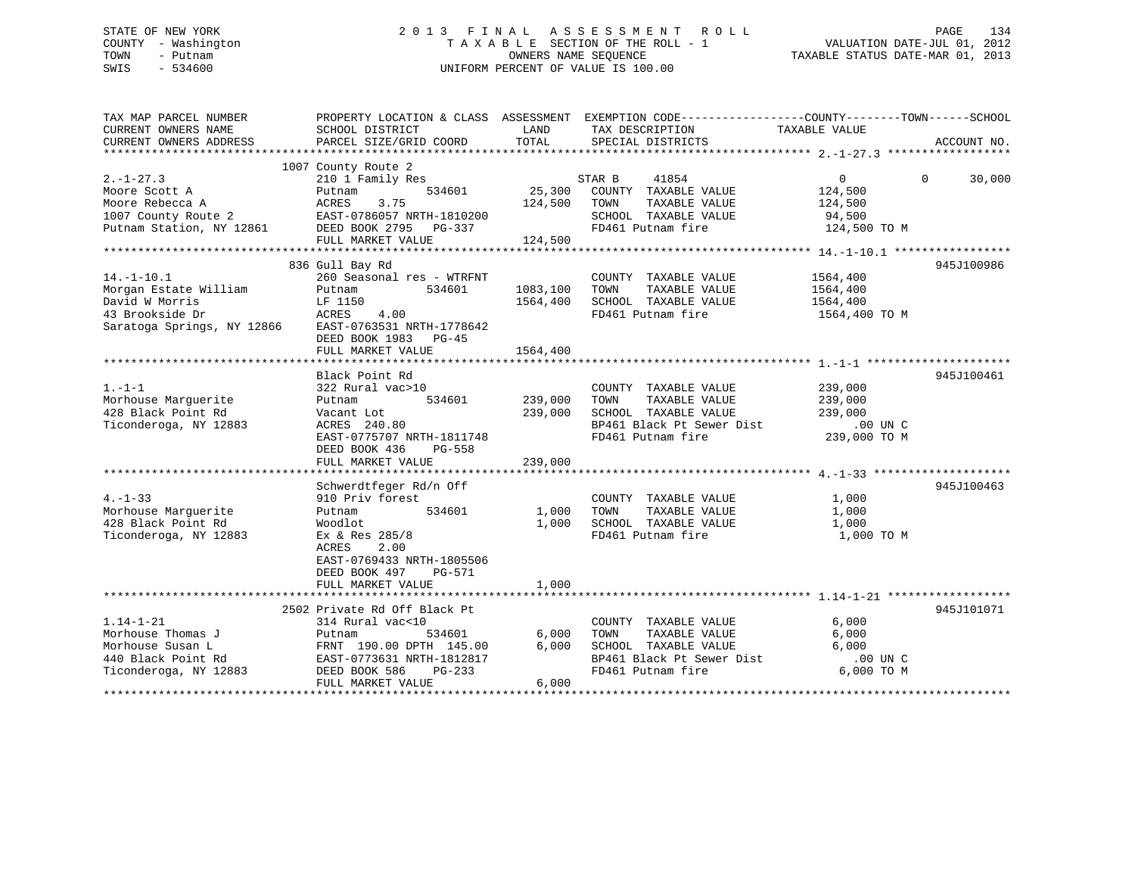## STATE OF NEW YORK 2 0 1 3 F I N A L A S S E S S M E N T R O L L PAGE 134 COUNTY - Washington T A X A B L E SECTION OF THE ROLL - 1 VALUATION DATE-JUL 01, 2012 TOWN - Putnam OWNERS NAME SEQUENCE TAXABLE STATUS DATE-MAR 01, 2013 SWIS - 534600 UNIFORM PERCENT OF VALUE IS 100.00

| TAX MAP PARCEL NUMBER                                              |                              |          | PROPERTY LOCATION & CLASS ASSESSMENT EXEMPTION CODE--------------COUNTY-------TOWN-----SCHOOL |                          |                    |
|--------------------------------------------------------------------|------------------------------|----------|-----------------------------------------------------------------------------------------------|--------------------------|--------------------|
| CURRENT OWNERS NAME                                                | SCHOOL DISTRICT              | LAND     | TAX DESCRIPTION                                                                               | TAXABLE VALUE            |                    |
| CURRENT OWNERS ADDRESS                                             | PARCEL SIZE/GRID COORD       | TOTAL    | SPECIAL DISTRICTS                                                                             |                          | ACCOUNT NO.        |
|                                                                    |                              |          |                                                                                               |                          |                    |
|                                                                    | 1007 County Route 2          |          |                                                                                               |                          |                    |
| $2. - 1 - 27.3$                                                    | 210 1 Family Res             |          | STAR B<br>41854                                                                               | $\overline{0}$           | $\Omega$<br>30,000 |
|                                                                    | 534601                       | 25,300   | COUNTY TAXABLE VALUE                                                                          | 124,500                  |                    |
| Moore Scott A                                                      | Putnam<br>3.75               | 124,500  | TAXABLE VALUE                                                                                 |                          |                    |
| Moore Rebecca A<br>1007 County Route 2<br>Putnam Station, NY 12861 | ACRES                        |          | TOWN                                                                                          | 124,500                  |                    |
|                                                                    | EAST-0786057 NRTH-1810200    |          | SCHOOL TAXABLE VALUE                                                                          | 94,500<br>124,500 TO M   |                    |
|                                                                    | DEED BOOK 2795 PG-337        |          | FD461 Putnam fire                                                                             |                          |                    |
|                                                                    | FULL MARKET VALUE            | 124,500  |                                                                                               |                          |                    |
|                                                                    |                              |          |                                                                                               |                          |                    |
|                                                                    | 836 Gull Bay Rd              |          |                                                                                               |                          | 945J100986         |
| $14. - 1 - 10.1$                                                   | 260 Seasonal res - WTRFNT    |          | COUNTY TAXABLE VALUE                                                                          | 1564,400                 |                    |
| Morgan Estate William                                              | 534601<br>Putnam             | 1083,100 | TOWN<br>TAXABLE VALUE                                                                         | 1564,400                 |                    |
| David W Morris                                                     | LF 1150                      | 1564,400 | SCHOOL TAXABLE VALUE                                                                          | 1564,400                 |                    |
| LF 115<br>ACRES<br>43 Brookside Dr                                 | 4.00                         |          | FD461 Putnam fire                                                                             | 1564,400 TO M            |                    |
| Saratoga Springs, NY 12866 EAST-0763531 NRTH-1778642               |                              |          |                                                                                               |                          |                    |
|                                                                    | DEED BOOK 1983 PG-45         |          |                                                                                               |                          |                    |
|                                                                    | FULL MARKET VALUE            | 1564,400 |                                                                                               |                          |                    |
|                                                                    |                              |          |                                                                                               |                          |                    |
|                                                                    | Black Point Rd               |          |                                                                                               |                          | 945J100461         |
|                                                                    |                              |          |                                                                                               |                          |                    |
| $1. - 1 - 1$                                                       | 322 Rural vac>10             |          | COUNTY TAXABLE VALUE                                                                          | 239,000                  |                    |
| Morhouse Marquerite                                                | 534601<br>Putnam             | 239,000  | TOWN<br>TAXABLE VALUE                                                                         | 239,000                  |                    |
| 428 Black Point Rd                                                 | Vacant Lot                   | 239,000  | SCHOOL TAXABLE VALUE                                                                          | 239,000                  |                    |
| Ticonderoga, NY 12883                                              | ACRES 240.80                 |          | BP461 Black Pt Sewer Dist<br>ED461 Dutnam fire                                                | .00 UN C<br>239,000 TO M |                    |
|                                                                    | EAST-0775707 NRTH-1811748    |          | FD461 Putnam fire                                                                             |                          |                    |
|                                                                    | DEED BOOK 436<br>PG-558      |          |                                                                                               |                          |                    |
|                                                                    | FULL MARKET VALUE            | 239,000  |                                                                                               |                          |                    |
|                                                                    |                              |          |                                                                                               |                          |                    |
|                                                                    | Schwerdtfeger Rd/n Off       |          |                                                                                               |                          | 945J100463         |
| $4. -1 - 33$                                                       | 910 Priv forest              |          | COUNTY TAXABLE VALUE                                                                          | 1,000                    |                    |
| Morhouse Marquerite                                                | 534601<br>Putnam             | 1,000    | TAXABLE VALUE<br>TOWN                                                                         | 1,000                    |                    |
| 428 Black Point Rd                                                 | Woodlot                      | 1,000    | SCHOOL TAXABLE VALUE                                                                          | 1,000                    |                    |
| Ticonderoga, NY 12883                                              | Ex & Res 285/8               |          | FD461 Putnam fire                                                                             | 1,000 TO M               |                    |
|                                                                    | ACRES<br>2.00                |          |                                                                                               |                          |                    |
|                                                                    | EAST-0769433 NRTH-1805506    |          |                                                                                               |                          |                    |
|                                                                    |                              |          |                                                                                               |                          |                    |
|                                                                    | DEED BOOK 497<br>PG-571      |          |                                                                                               |                          |                    |
|                                                                    | FULL MARKET VALUE            | 1,000    |                                                                                               |                          |                    |
|                                                                    |                              |          |                                                                                               |                          |                    |
|                                                                    | 2502 Private Rd Off Black Pt |          |                                                                                               |                          | 945J101071         |
| $1.14 - 1 - 21$                                                    | 314 Rural vac<10             |          | COUNTY TAXABLE VALUE                                                                          | 6,000                    |                    |
| Morhouse Thomas J                                                  | Putnam<br>534601             | 6,000    | TAXABLE VALUE<br>TOWN                                                                         | 6,000                    |                    |
| Morhouse Susan L                                                   | FRNT 190.00 DPTH 145.00      | 6,000    | SCHOOL TAXABLE VALUE                                                                          | 6,000                    |                    |
| 440 Black Point Rd                                                 | EAST-0773631 NRTH-1812817    |          | BP461 Black Pt Sewer Dist                                                                     | $.00$ UN C               |                    |
| Ticonderoga, NY 12883                                              | DEED BOOK 586<br>PG-233      |          | FD461 Putnam fire                                                                             | 6,000 TO M               |                    |
|                                                                    | FULL MARKET VALUE            | 6.000    |                                                                                               |                          |                    |
|                                                                    |                              |          |                                                                                               |                          |                    |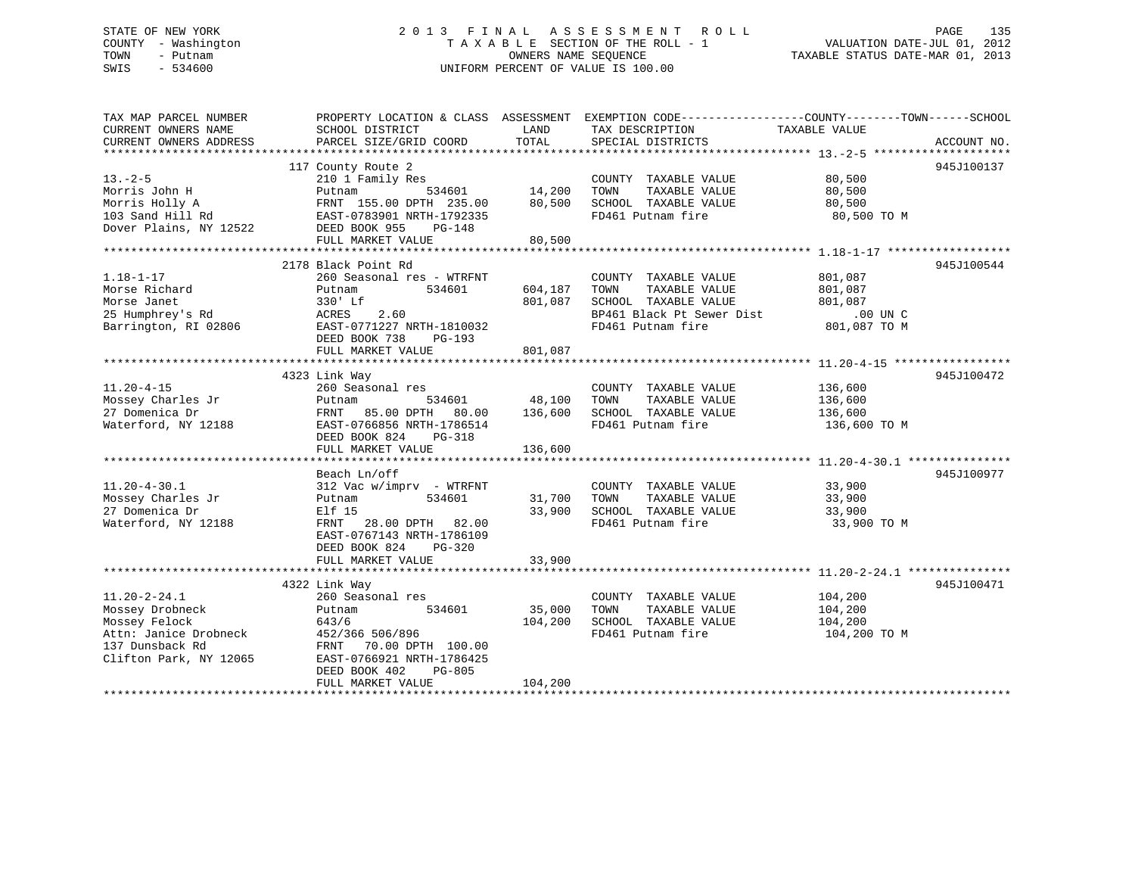## STATE OF NEW YORK 2 0 1 3 F I N A L A S S E S S M E N T R O L L PAGE 135 COUNTY - Washington T A X A B L E SECTION OF THE ROLL - 1 VALUATION DATE-JUL 01, 2012 TOWN - Putnam **CONNERS NAME SEQUENCE** TAXABLE STATUS DATE-MAR 01, 2013 SWIS - 534600 UNIFORM PERCENT OF VALUE IS 100.00

| TAX MAP PARCEL NUMBER<br>CURRENT OWNERS NAME<br>CURRENT OWNERS ADDRESS                      | PROPERTY LOCATION & CLASS ASSESSMENT EXEMPTION CODE---------------COUNTY-------TOWN-----SCHOOL<br>SCHOOL DISTRICT<br>PARCEL SIZE/GRID COORD                                                                                                                                        | LAND<br>TOTAL                | TAX DESCRIPTION<br>SPECIAL DISTRICTS                                                                                    | TAXABLE VALUE                                             | ACCOUNT NO. |
|---------------------------------------------------------------------------------------------|------------------------------------------------------------------------------------------------------------------------------------------------------------------------------------------------------------------------------------------------------------------------------------|------------------------------|-------------------------------------------------------------------------------------------------------------------------|-----------------------------------------------------------|-------------|
| $13. - 2 - 5$<br>Morris John H<br>Dover Plains, NY 12522 DEED BOOK 955                      | 117 County Route 2<br>210 1 Family Res<br>Putnam<br>FRNT 155.00 DPTH 235.00 80,500<br>PG-148<br>FULL MARKET VALUE                                                                                                                                                                  | 534601 14,200<br>80,500      | COUNTY TAXABLE VALUE<br>TAXABLE VALUE 80,500<br>TOWN<br>SCHOOL TAXABLE VALUE<br>FD461 Putnam fire                       | 80,500<br>80,500<br>80,500 TO M                           | 945J100137  |
| $1.18 - 1 - 17$<br>Morse Richard<br>Morse Janet<br>25 Humphrey's Rd<br>Barrington, RI 02806 | 2178 Black Point Rd<br>260 Seasonal res - WTRFNT<br>Putnam<br>534601<br>330' Lf<br>ACRES 2.60<br>EAST-0771227 NRTH-1810032<br>DEED BOOK 738<br>PG-193                                                                                                                              | 604,187<br>801,087           | COUNTY TAXABLE VALUE<br>TAXABLE VALUE<br>TOWN<br>SCHOOL TAXABLE VALUE<br>BP461 Black Pt Sewer Dist<br>FD461 Putnam fire | 801,087<br>801,087<br>801,087<br>00 UN C.<br>801,087 TO M | 945J100544  |
| $11.20 - 4 - 15$<br>Waterford, NY 12188                                                     | 4323 Link Way<br>260 Seasonal res<br>534601 48,100<br>EAST-0766856 NRTH-1786514<br>DEED BOOK 824<br>PG-318<br>FULL MARKET VALUE                                                                                                                                                    | 136,600                      | COUNTY TAXABLE VALUE 136,600<br>TOWN<br>TAXABLE VALUE<br>SCHOOL TAXABLE VALUE<br>FD461 Putnam fire                      | 136,600<br>136,600<br>136,600 TO M                        | 945J100472  |
| $11.20 - 4 - 30.1$<br>Mossey Charles Jr<br>27 Domenica Dr<br>Waterford, NY 12188            | Beach Ln/off<br>312 Vac w/imprv - WTRFNT<br>534601 31,700<br>Putnam<br>Elf 15<br>FRNT 28.00 DPTH 82.00<br>EAST-0767143 NRTH-1786109<br>DEED BOOK 824<br>PG-320<br>FULL MARKET VALUE                                                                                                | 33,900<br>33,900             | COUNTY TAXABLE VALUE 33,900<br>TAXABLE VALUE 33,900<br>TOWN<br>SCHOOL TAXABLE VALUE<br>FD461 Putnam fire                | 33,900<br>33,900 TO M                                     | 945J100977  |
| $11.20 - 2 - 24.1$<br>Mossey Drobneck<br>Mossey Felock<br>Clifton Park, NY 12065            | 4322 Link Way<br>260 Seasonal res<br>534601<br>Putnam<br>643/6<br>Attn: Janice Drobneck 452/366 506/896<br>137 Dunsback Rd FRNT 70.00 DPTH 100.00<br>Clifton Park, NY 12065 EAST-0766921 NRTH-1786425<br>EAST-0766921 NRTH-1786425<br>DEED BOOK 402<br>PG-805<br>FULL MARKET VALUE | 35,000<br>104,200<br>104,200 | COUNTY TAXABLE VALUE<br>TOWN<br>TAXABLE VALUE<br>SCHOOL TAXABLE VALUE<br>FD461 Putnam fire                              | 104,200<br>104,200<br>104,200<br>104,200 TO M             | 945J100471  |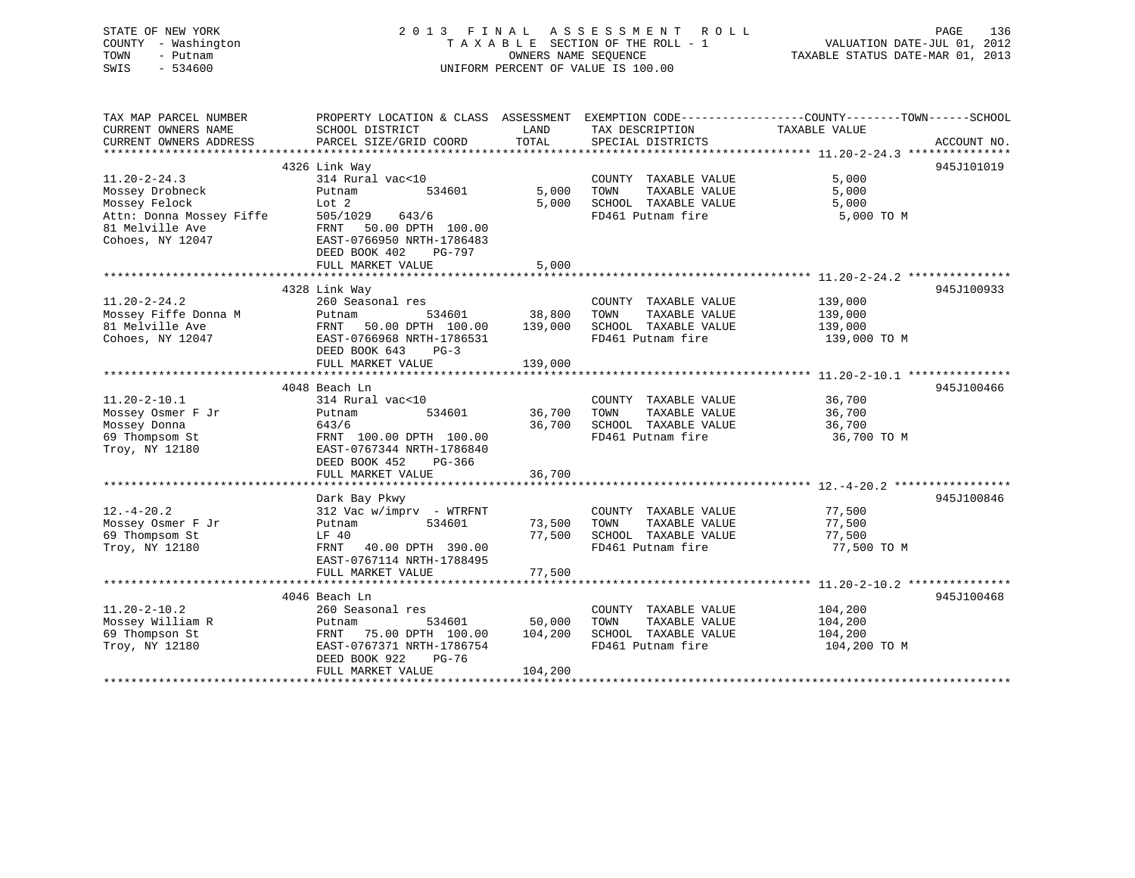| STATE OF NEW YORK<br>COUNTY - Washington<br>TOWN<br>- Putnam<br>SWIS<br>$-534600$ |                                                        | OWNERS NAME SEQUENCE | 2013 FINAL ASSESSMENT<br>ROLL<br>TAXABLE SECTION OF THE ROLL - 1<br>UNIFORM PERCENT OF VALUE IS 100.00 | VALUATION DATE-JUL 01, 2012<br>TAXABLE STATUS DATE-MAR 01, 2013 | PAGE<br>136 |
|-----------------------------------------------------------------------------------|--------------------------------------------------------|----------------------|--------------------------------------------------------------------------------------------------------|-----------------------------------------------------------------|-------------|
| TAX MAP PARCEL NUMBER                                                             |                                                        |                      | PROPERTY LOCATION & CLASS ASSESSMENT EXEMPTION CODE----------------COUNTY-------TOWN-----SCHOOL        |                                                                 |             |
| CURRENT OWNERS NAME<br>CURRENT OWNERS ADDRESS                                     | SCHOOL DISTRICT<br>PARCEL SIZE/GRID COORD              | LAND<br>TOTAL        | TAX DESCRIPTION<br>SPECIAL DISTRICTS                                                                   | TAXABLE VALUE                                                   |             |
|                                                                                   |                                                        |                      |                                                                                                        |                                                                 | ACCOUNT NO. |
|                                                                                   | 4326 Link Way                                          |                      |                                                                                                        |                                                                 | 945J101019  |
| $11.20 - 2 - 24.3$                                                                | 314 Rural vac<10                                       |                      | COUNTY TAXABLE VALUE                                                                                   | 5,000                                                           |             |
| Mossey Drobneck                                                                   | Putnam<br>534601                                       | 5,000                | TAXABLE VALUE<br>TOWN                                                                                  | 5,000                                                           |             |
| Mossey Felock                                                                     | Lot 2                                                  | 5,000                | SCHOOL TAXABLE VALUE                                                                                   | 5,000                                                           |             |
| Attn: Donna Mossey Fiffe                                                          | 505/1029<br>643/6                                      |                      | FD461 Putnam fire                                                                                      | 5,000 TO M                                                      |             |
| 81 Melville Ave                                                                   | FRNT 50.00 DPTH 100.00                                 |                      |                                                                                                        |                                                                 |             |
| Cohoes, NY 12047                                                                  | EAST-0766950 NRTH-1786483<br>DEED BOOK 402<br>PG-797   |                      |                                                                                                        |                                                                 |             |
|                                                                                   | FULL MARKET VALUE                                      | 5,000                |                                                                                                        |                                                                 |             |
|                                                                                   | **************************************                 |                      |                                                                                                        |                                                                 |             |
|                                                                                   | 4328 Link Way                                          |                      |                                                                                                        |                                                                 | 945J100933  |
| $11.20 - 2 - 24.2$                                                                | 260 Seasonal res                                       |                      | COUNTY TAXABLE VALUE                                                                                   | 139,000                                                         |             |
| Mossey Fiffe Donna M                                                              | Putnam<br>534601                                       | 38,800               | TOWN<br>TAXABLE VALUE                                                                                  | 139,000                                                         |             |
| 81 Melville Ave                                                                   | FRNT 50.00 DPTH 100.00                                 | 139,000              | SCHOOL TAXABLE VALUE                                                                                   | 139,000                                                         |             |
| Cohoes, NY 12047                                                                  | EAST-0766968 NRTH-1786531                              |                      | FD461 Putnam fire                                                                                      | 139,000 TO M                                                    |             |
|                                                                                   | DEED BOOK 643<br>$PG-3$                                |                      |                                                                                                        |                                                                 |             |
|                                                                                   | FULL MARKET VALUE                                      | 139,000              |                                                                                                        |                                                                 |             |
|                                                                                   | 4048 Beach Ln                                          |                      |                                                                                                        |                                                                 | 945J100466  |
| $11.20 - 2 - 10.1$                                                                | 314 Rural vac<10                                       |                      | COUNTY TAXABLE VALUE                                                                                   | 36,700                                                          |             |
| Mossey Osmer F Jr                                                                 | 534601<br>Putnam                                       | 36,700               | TOWN<br>TAXABLE VALUE                                                                                  | 36,700                                                          |             |
| Mossey Donna                                                                      | 643/6                                                  | 36,700               | SCHOOL TAXABLE VALUE                                                                                   | 36,700                                                          |             |
| 69 Thompsom St                                                                    | FRNT 100.00 DPTH 100.00                                |                      | FD461 Putnam fire                                                                                      | 36,700 TO M                                                     |             |
| Troy, NY 12180                                                                    | EAST-0767344 NRTH-1786840                              |                      |                                                                                                        |                                                                 |             |
|                                                                                   | DEED BOOK 452<br>PG-366                                |                      |                                                                                                        |                                                                 |             |
|                                                                                   | FULL MARKET VALUE                                      | 36,700               |                                                                                                        |                                                                 |             |
|                                                                                   |                                                        |                      |                                                                                                        |                                                                 |             |
| $12.-4-20.2$                                                                      | Dark Bay Pkwy<br>$312$ Vac w/imprv - WTRFNT            |                      | COUNTY TAXABLE VALUE                                                                                   | 77,500                                                          | 945J100846  |
| Mossey Osmer F Jr                                                                 | 534601<br>Putnam                                       | 73,500               | TAXABLE VALUE<br>TOWN                                                                                  | 77,500                                                          |             |
| 69 Thompsom St                                                                    | LF 40                                                  | 77,500               | SCHOOL TAXABLE VALUE                                                                                   | 77,500                                                          |             |
| Troy, NY 12180                                                                    | FRNT<br>40.00 DPTH 390.00                              |                      | FD461 Putnam fire                                                                                      | 77,500 TO M                                                     |             |
|                                                                                   | EAST-0767114 NRTH-1788495                              |                      |                                                                                                        |                                                                 |             |
|                                                                                   | FULL MARKET VALUE                                      | 77,500               |                                                                                                        |                                                                 |             |
|                                                                                   |                                                        |                      |                                                                                                        |                                                                 |             |
|                                                                                   | 4046 Beach Ln                                          |                      |                                                                                                        |                                                                 | 945J100468  |
| $11.20 - 2 - 10.2$                                                                | 260 Seasonal res                                       |                      | COUNTY TAXABLE VALUE                                                                                   | 104,200                                                         |             |
| Mossey William R                                                                  | 534601<br>Putnam                                       | 50,000               | TOWN<br>TAXABLE VALUE                                                                                  | 104,200                                                         |             |
| 69 Thompson St<br>Troy, NY 12180                                                  | FRNT<br>75.00 DPTH 100.00<br>EAST-0767371 NRTH-1786754 | 104,200              | SCHOOL TAXABLE VALUE<br>FD461 Putnam fire                                                              | 104,200<br>104,200 TO M                                         |             |
|                                                                                   | DEED BOOK 922<br>$PG-76$                               |                      |                                                                                                        |                                                                 |             |
|                                                                                   | FULL MARKET VALUE                                      | 104,200              |                                                                                                        |                                                                 |             |
|                                                                                   |                                                        |                      |                                                                                                        |                                                                 |             |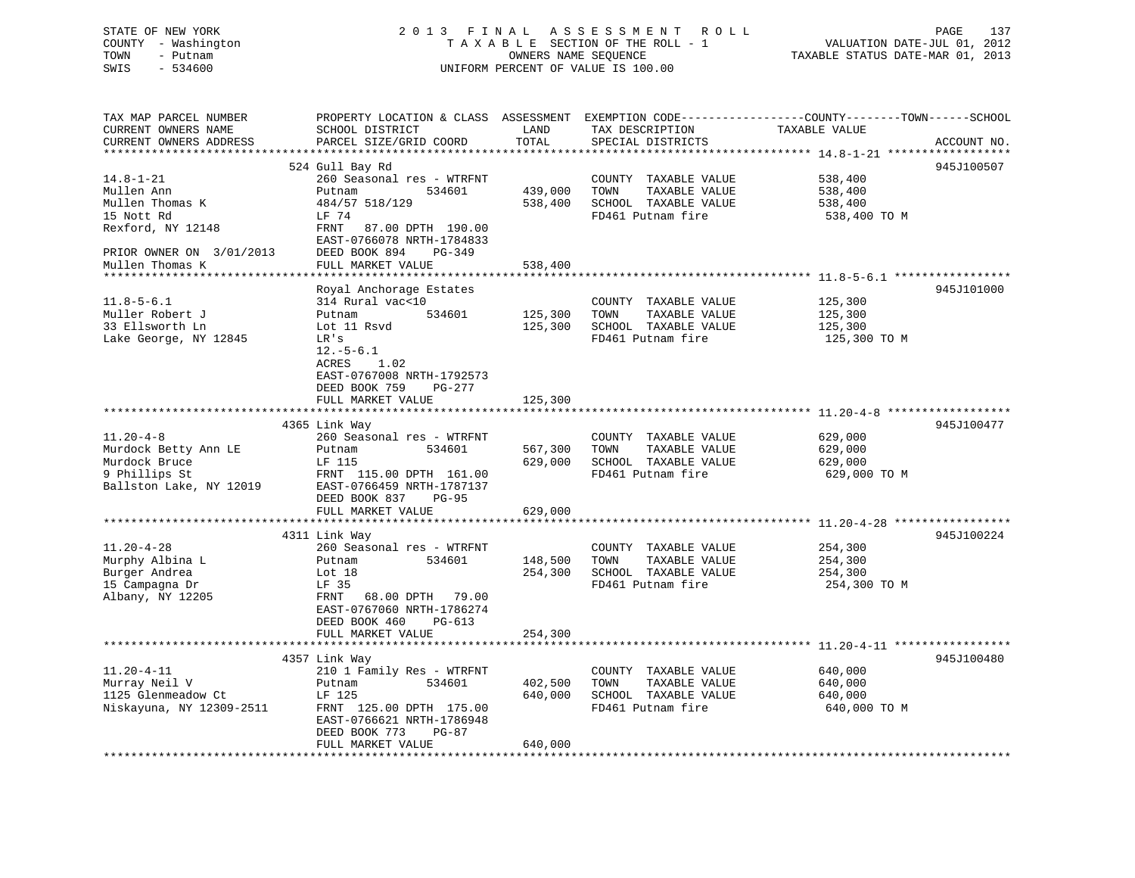## STATE OF NEW YORK 2 0 1 3 F I N A L A S S E S S M E N T R O L L PAGE 137 COUNTY - Washington T A X A B L E SECTION OF THE ROLL - 1 VALUATION DATE-JUL 01, 2012 TOWN - Putnam OWNERS NAME SEQUENCE TAXABLE STATUS DATE-MAR 01, 2013 SWIS - 534600 UNIFORM PERCENT OF VALUE IS 100.00

| TAX MAP PARCEL NUMBER<br>CURRENT OWNERS NAME                                                         | PROPERTY LOCATION & CLASS ASSESSMENT<br>SCHOOL DISTRICT                                                                                                                      | LAND               | TAX DESCRIPTION                                                                            | EXEMPTION CODE-----------------COUNTY-------TOWN------SCHOOL<br>TAXABLE VALUE |             |
|------------------------------------------------------------------------------------------------------|------------------------------------------------------------------------------------------------------------------------------------------------------------------------------|--------------------|--------------------------------------------------------------------------------------------|-------------------------------------------------------------------------------|-------------|
| CURRENT OWNERS ADDRESS<br>******************                                                         | PARCEL SIZE/GRID COORD<br>*******************************                                                                                                                    | TOTAL              | SPECIAL DISTRICTS                                                                          |                                                                               | ACCOUNT NO. |
| $14.8 - 1 - 21$<br>Mullen Ann<br>Mullen Thomas K<br>15 Nott Rd<br>Rexford, NY 12148                  | 524 Gull Bay Rd<br>260 Seasonal res - WTRFNT<br>Putnam<br>534601<br>484/57 518/129<br>LF 74<br>FRNT<br>87.00 DPTH 190.00                                                     | 439,000<br>538,400 | COUNTY TAXABLE VALUE<br>TOWN<br>TAXABLE VALUE<br>SCHOOL TAXABLE VALUE<br>FD461 Putnam fire | 538,400<br>538,400<br>538,400<br>538,400 TO M                                 | 945J100507  |
| PRIOR OWNER ON 3/01/2013<br>Mullen Thomas K                                                          | EAST-0766078 NRTH-1784833<br>DEED BOOK 894<br>PG-349<br>FULL MARKET VALUE<br>*********************                                                                           | 538,400            |                                                                                            |                                                                               |             |
| $11.8 - 5 - 6.1$<br>Muller Robert J<br>33 Ellsworth Ln<br>Lake George, NY 12845                      | Royal Anchorage Estates<br>314 Rural vac<10<br>534601<br>Putnam<br>Lot 11 Rsvd<br>LR's<br>$12.-5-6.1$<br>ACRES<br>1.02                                                       | 125,300<br>125,300 | COUNTY TAXABLE VALUE<br>TOWN<br>TAXABLE VALUE<br>SCHOOL TAXABLE VALUE<br>FD461 Putnam fire | 125,300<br>125,300<br>125,300<br>125,300 TO M                                 | 945J101000  |
|                                                                                                      | EAST-0767008 NRTH-1792573<br>DEED BOOK 759<br>$PG-277$<br>FULL MARKET VALUE                                                                                                  | 125,300            |                                                                                            | **************************** 11.20-4-8 ****                                   |             |
| $11.20 - 4 - 8$<br>Murdock Betty Ann LE<br>Murdock Bruce<br>9 Phillips St<br>Ballston Lake, NY 12019 | 4365 Link Way<br>260 Seasonal res - WTRFNT<br>534601<br>Putnam<br>LF 115<br>FRNT 115.00 DPTH 161.00<br>EAST-0766459 NRTH-1787137                                             | 567,300<br>629,000 | COUNTY TAXABLE VALUE<br>TAXABLE VALUE<br>TOWN<br>SCHOOL TAXABLE VALUE<br>FD461 Putnam fire | 629,000<br>629,000<br>629,000<br>629,000 TO M                                 | 945J100477  |
|                                                                                                      | DEED BOOK 837<br>$PG-95$<br>FULL MARKET VALUE<br>************************                                                                                                    | 629,000            |                                                                                            |                                                                               |             |
| $11.20 - 4 - 28$<br>Murphy Albina L<br>Burger Andrea<br>15 Campagna Dr<br>Albany, NY 12205           | 4311 Link Way<br>260 Seasonal res - WTRFNT<br>Putnam<br>534601<br>Lot $18$<br>LF 35<br>FRNT<br>68.00 DPTH<br>79.00<br>EAST-0767060 NRTH-1786274<br>DEED BOOK 460<br>$PG-613$ | 148,500<br>254,300 | COUNTY TAXABLE VALUE<br>TOWN<br>TAXABLE VALUE<br>SCHOOL TAXABLE VALUE<br>FD461 Putnam fire | 254,300<br>254,300<br>254,300<br>254,300 TO M                                 | 945J100224  |
|                                                                                                      | FULL MARKET VALUE<br>4357 Link Way                                                                                                                                           | 254,300            |                                                                                            |                                                                               | 945J100480  |
| $11.20 - 4 - 11$<br>Murray Neil V<br>1125 Glenmeadow Ct<br>Niskayuna, NY 12309-2511                  | 210 1 Family Res - WTRFNT<br>534601<br>Putnam<br>LF 125<br>FRNT 125.00 DPTH 175.00<br>EAST-0766621 NRTH-1786948<br>DEED BOOK 773<br>PG-87                                    | 402,500<br>640,000 | COUNTY TAXABLE VALUE<br>TOWN<br>TAXABLE VALUE<br>SCHOOL TAXABLE VALUE<br>FD461 Putnam fire | 640,000<br>640,000<br>640,000<br>640,000 TO M                                 |             |
| ********************                                                                                 | FULL MARKET VALUE                                                                                                                                                            | 640,000            |                                                                                            |                                                                               |             |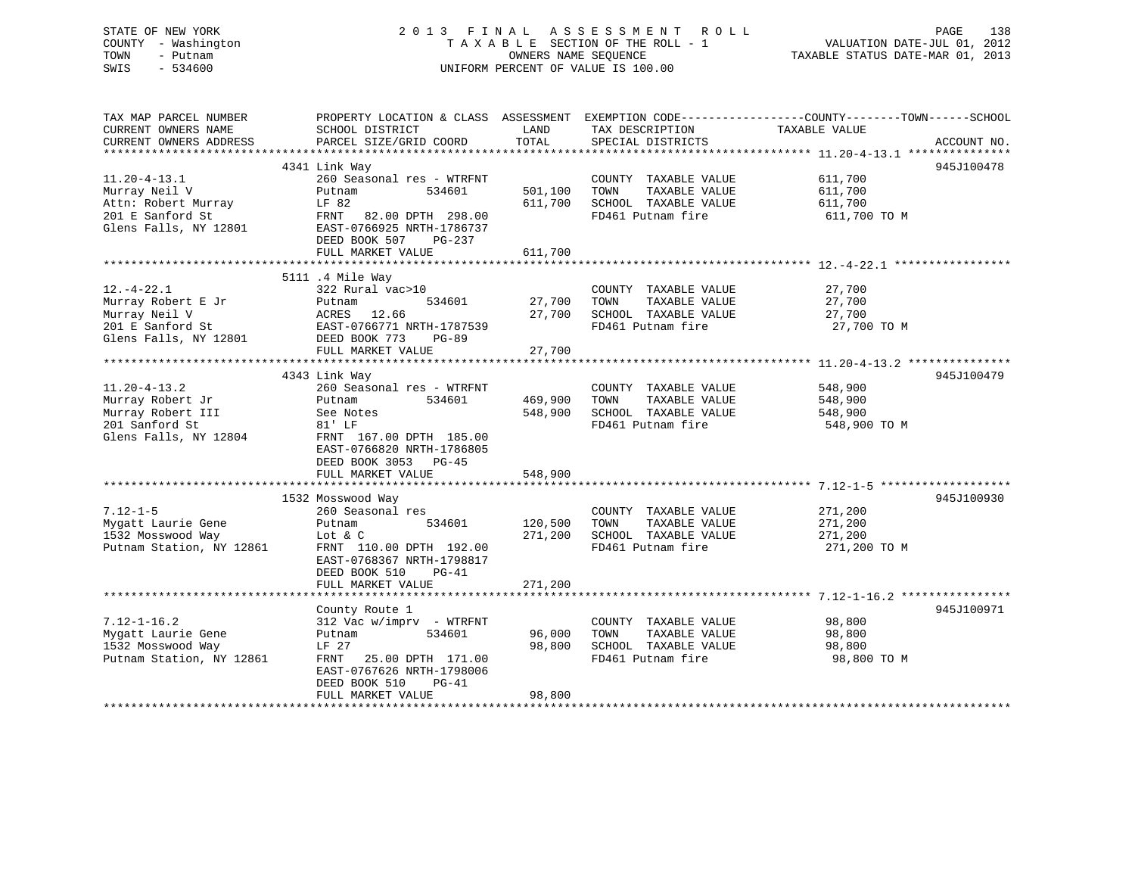| STATE OF NEW YORK<br>COUNTY - Washington<br>TOWN<br>- Putnam<br>SWIS<br>$-534600$ | 2013 FINAL                                    | OWNERS NAME SEQUENCE           | ASSESSMENT ROLL<br>TAXABLE SECTION OF THE ROLL - 1<br>UNIFORM PERCENT OF VALUE IS 100.00 | 138<br>PAGE<br>VALUATION DATE-JUL 01, 2012<br>TAXABLE STATUS DATE-MAR 01, 2013                   |
|-----------------------------------------------------------------------------------|-----------------------------------------------|--------------------------------|------------------------------------------------------------------------------------------|--------------------------------------------------------------------------------------------------|
| TAX MAP PARCEL NUMBER                                                             |                                               |                                |                                                                                          | PROPERTY LOCATION & CLASS ASSESSMENT EXEMPTION CODE----------------COUNTY-------TOWN------SCHOOL |
| CURRENT OWNERS NAME<br>CURRENT OWNERS ADDRESS                                     | SCHOOL DISTRICT<br>PARCEL SIZE/GRID COORD     | LAND<br>TOTAL                  | TAX DESCRIPTION<br>SPECIAL DISTRICTS                                                     | TAXABLE VALUE<br>ACCOUNT NO.                                                                     |
|                                                                                   |                                               |                                |                                                                                          |                                                                                                  |
|                                                                                   | 4341 Link Way                                 |                                |                                                                                          | 945J100478                                                                                       |
| $11.20 - 4 - 13.1$                                                                | 260 Seasonal res - WTRFNT                     |                                | COUNTY TAXABLE VALUE                                                                     | 611,700                                                                                          |
| Murray Neil V                                                                     | Putnam<br>534601                              | 501,100                        | TOWN<br>TAXABLE VALUE                                                                    | 611,700                                                                                          |
| Attn: Robert Murray                                                               | LF 82                                         | 611,700                        | SCHOOL TAXABLE VALUE                                                                     | 611,700                                                                                          |
| 201 E Sanford St                                                                  | 82.00 DPTH 298.00<br>FRNT                     |                                | FD461 Putnam fire                                                                        | 611,700 TO M                                                                                     |
| Glens Falls, NY 12801                                                             | EAST-0766925 NRTH-1786737                     |                                |                                                                                          |                                                                                                  |
|                                                                                   | DEED BOOK 507 PG-237                          |                                |                                                                                          |                                                                                                  |
|                                                                                   | FULL MARKET VALUE<br>************************ | 611,700<br>******************* |                                                                                          |                                                                                                  |
|                                                                                   |                                               |                                |                                                                                          |                                                                                                  |
| $12. - 4 - 22.1$                                                                  | 5111 .4 Mile Way                              |                                |                                                                                          |                                                                                                  |
|                                                                                   | 322 Rural vac>10<br>534601                    | 27,700                         | COUNTY TAXABLE VALUE<br>TAXABLE VALUE                                                    | 27,700<br>27,700                                                                                 |
| Murray Robert E Jr<br>Murray Neil V                                               | Putnam<br>ACRES 12.66                         | 27,700                         | TOWN<br>SCHOOL TAXABLE VALUE                                                             | 27,700                                                                                           |
| 201 E Sanford St                                                                  | EAST-0766771 NRTH-1787539                     |                                | FD461 Putnam fire                                                                        | 27,700 TO M                                                                                      |
| Glens Falls, NY 12801                                                             | DEED BOOK 773<br><b>PG-89</b>                 |                                |                                                                                          |                                                                                                  |
|                                                                                   | FULL MARKET VALUE                             | 27,700                         |                                                                                          |                                                                                                  |
|                                                                                   |                                               |                                |                                                                                          |                                                                                                  |
|                                                                                   | 4343 Link Way                                 |                                |                                                                                          | 945J100479                                                                                       |
| $11.20 - 4 - 13.2$                                                                | 260 Seasonal res - WTRFNT                     |                                | COUNTY TAXABLE VALUE                                                                     | 548,900                                                                                          |
| Murray Robert Jr                                                                  | Putnam<br>534601                              | 469,900                        | TAXABLE VALUE<br>TOWN                                                                    | 548,900                                                                                          |
| Murray Robert III                                                                 | See Notes                                     | 548,900                        | SCHOOL TAXABLE VALUE                                                                     | 548,900                                                                                          |
| 201 Sanford St                                                                    | 81' LF                                        |                                | FD461 Putnam fire                                                                        | 548,900 TO M                                                                                     |
| Glens Falls, NY 12804                                                             | FRNT 167.00 DPTH 185.00                       |                                |                                                                                          |                                                                                                  |
|                                                                                   | EAST-0766820 NRTH-1786805                     |                                |                                                                                          |                                                                                                  |
|                                                                                   | DEED BOOK 3053 PG-45                          |                                |                                                                                          |                                                                                                  |
|                                                                                   | FULL MARKET VALUE                             | 548,900                        |                                                                                          |                                                                                                  |
|                                                                                   |                                               |                                |                                                                                          |                                                                                                  |
|                                                                                   | 1532 Mosswood Way                             |                                |                                                                                          | 945J100930                                                                                       |
| $7.12 - 1 - 5$                                                                    | 260 Seasonal res                              |                                | COUNTY TAXABLE VALUE                                                                     | 271,200                                                                                          |
| Mygatt Laurie Gene                                                                | Putnam<br>534601                              | 120,500                        | TOWN<br>TAXABLE VALUE                                                                    | 271,200                                                                                          |
| 1532 Mosswood Way                                                                 | Lot & C                                       | 271,200                        | SCHOOL TAXABLE VALUE                                                                     | 271,200                                                                                          |
| Putnam Station, NY 12861                                                          | FRNT 110.00 DPTH 192.00                       |                                | FD461 Putnam fire                                                                        | 271,200 TO M                                                                                     |
|                                                                                   | EAST-0768367 NRTH-1798817                     |                                |                                                                                          |                                                                                                  |
|                                                                                   | DEED BOOK 510<br>$PG-41$                      |                                |                                                                                          |                                                                                                  |
|                                                                                   | FULL MARKET VALUE                             | 271,200                        |                                                                                          |                                                                                                  |
|                                                                                   |                                               |                                |                                                                                          |                                                                                                  |
|                                                                                   | County Route 1                                |                                |                                                                                          | 945J100971                                                                                       |
| $7.12 - 1 - 16.2$                                                                 | 312 Vac w/imprv - WTRFNT                      |                                | COUNTY TAXABLE VALUE                                                                     | 98,800                                                                                           |
| Mygatt Laurie Gene                                                                | Putnam<br>534601                              | 96,000                         | TOWN<br>TAXABLE VALUE                                                                    | 98,800                                                                                           |
| 1532 Mosswood Way                                                                 | LF 27                                         | 98,800                         | SCHOOL TAXABLE VALUE                                                                     | 98,800                                                                                           |
| Putnam Station, NY 12861                                                          | FRNT<br>25.00 DPTH 171.00                     |                                | FD461 Putnam fire                                                                        | 98,800 TO M                                                                                      |
|                                                                                   | EAST-0767626 NRTH-1798006                     |                                |                                                                                          |                                                                                                  |
|                                                                                   | DEED BOOK 510<br>$PG-41$                      |                                |                                                                                          |                                                                                                  |
| ***********************                                                           | FULL MARKET VALUE                             | 98,800                         |                                                                                          |                                                                                                  |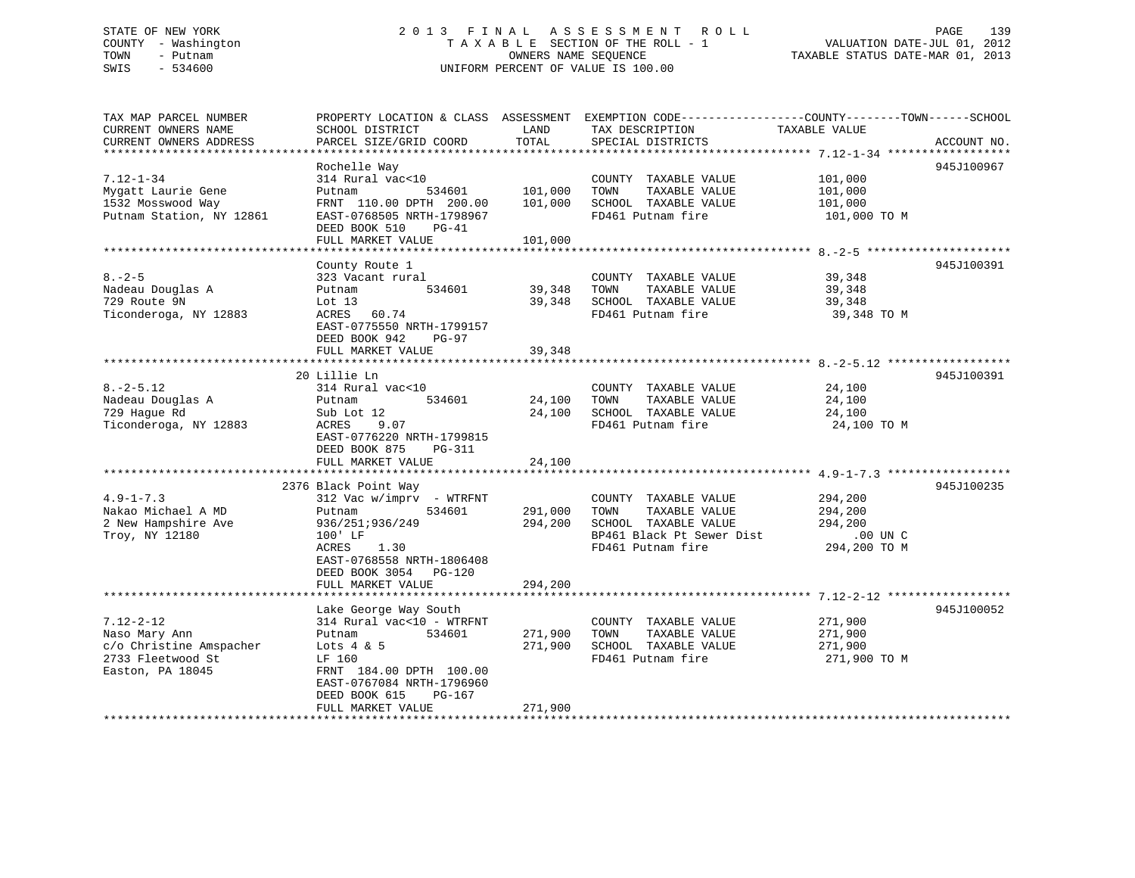# STATE OF NEW YORK 2013 FINAL ASSESSMENT ROLL PAGE 139 COUNTY - Washington  $T A X A B L E$  SECTION OF THE ROLL - 1<br>TOWN - Putnam data of the counters NAME SEQUENCE SWIS - 534600 UNIFORM PERCENT OF VALUE IS 100.00

TAXABLE STATUS DATE-MAR 01, 2013

| TAX MAP PARCEL NUMBER    | PROPERTY LOCATION & CLASS ASSESSMENT |           | EXEMPTION CODE-----------------COUNTY-------TOWN------SCHOOL |                          |             |
|--------------------------|--------------------------------------|-----------|--------------------------------------------------------------|--------------------------|-------------|
| CURRENT OWNERS NAME      | SCHOOL DISTRICT                      | LAND      | TAX DESCRIPTION                                              | TAXABLE VALUE            |             |
| CURRENT OWNERS ADDRESS   | PARCEL SIZE/GRID COORD               | TOTAL     | SPECIAL DISTRICTS                                            |                          | ACCOUNT NO. |
| *********************    | ***********************              |           |                                                              |                          |             |
|                          | Rochelle Way                         |           |                                                              |                          | 945J100967  |
| $7.12 - 1 - 34$          | 314 Rural vac<10                     |           | COUNTY TAXABLE VALUE                                         | 101,000                  |             |
| Mygatt Laurie Gene       | 534601<br>Putnam                     | 101,000   | TOWN<br>TAXABLE VALUE                                        | 101,000                  |             |
| 1532 Mosswood Way        | FRNT 110.00 DPTH 200.00              | 101,000   | SCHOOL TAXABLE VALUE                                         | 101,000                  |             |
| Putnam Station, NY 12861 | EAST-0768505 NRTH-1798967            |           | FD461 Putnam fire                                            | 101,000 TO M             |             |
|                          | DEED BOOK 510<br>$PG-41$             |           |                                                              |                          |             |
|                          | FULL MARKET VALUE                    | 101,000   |                                                              |                          |             |
|                          | ******************                   | ********* |                                                              | ***************** 8.-2-5 |             |
|                          | County Route 1                       |           |                                                              |                          | 945J100391  |
| $8. - 2 - 5$             | 323 Vacant rural                     |           | COUNTY TAXABLE VALUE                                         | 39,348                   |             |
| Nadeau Douglas A         | 534601<br>Putnam                     | 39,348    | TOWN<br>TAXABLE VALUE                                        | 39,348                   |             |
| 729 Route 9N             | Lot $13$                             | 39,348    | SCHOOL TAXABLE VALUE                                         | 39,348                   |             |
| Ticonderoga, NY 12883    | ACRES 60.74                          |           | FD461 Putnam fire                                            | 39,348 TO M              |             |
|                          | EAST-0775550 NRTH-1799157            |           |                                                              |                          |             |
|                          | DEED BOOK 942<br>PG-97               |           |                                                              |                          |             |
|                          | FULL MARKET VALUE                    | 39,348    |                                                              |                          |             |
|                          |                                      |           |                                                              |                          |             |
|                          | 20 Lillie Ln                         |           |                                                              |                          | 945J100391  |
| $8. - 2 - 5.12$          | 314 Rural vac<10                     |           |                                                              |                          |             |
|                          |                                      |           | COUNTY TAXABLE VALUE                                         | 24,100                   |             |
| Nadeau Douglas A         | 534601<br>Putnam                     | 24,100    | TAXABLE VALUE<br>TOWN                                        | 24,100                   |             |
| 729 Hague Rd             | Sub Lot 12                           | 24,100    | SCHOOL TAXABLE VALUE                                         | 24,100                   |             |
| Ticonderoga, NY 12883    | ACRES<br>9.07                        |           | FD461 Putnam fire                                            | 24,100 TO M              |             |
|                          | EAST-0776220 NRTH-1799815            |           |                                                              |                          |             |
|                          | DEED BOOK 875<br>PG-311              |           |                                                              |                          |             |
|                          | FULL MARKET VALUE                    | 24,100    |                                                              |                          |             |
|                          | **********************               |           |                                                              |                          |             |
|                          | 2376 Black Point Way                 |           |                                                              |                          | 945J100235  |
| $4.9 - 1 - 7.3$          | $312$ Vac w/imprv - WTRFNT           |           | COUNTY TAXABLE VALUE                                         | 294,200                  |             |
| Nakao Michael A MD       | 534601<br>Putnam                     | 291,000   | TOWN<br>TAXABLE VALUE                                        | 294,200                  |             |
| 2 New Hampshire Ave      | 936/251;936/249                      | 294,200   | SCHOOL TAXABLE VALUE                                         | 294,200                  |             |
| Troy, NY 12180           | $100'$ LF                            |           | BP461 Black Pt Sewer Dist                                    | .00 UN C                 |             |
|                          | 1.30<br>ACRES                        |           | FD461 Putnam fire                                            | 294,200 TO M             |             |
|                          | EAST-0768558 NRTH-1806408            |           |                                                              |                          |             |
|                          | DEED BOOK 3054 PG-120                |           |                                                              |                          |             |
|                          | FULL MARKET VALUE                    | 294,200   |                                                              |                          |             |
|                          |                                      |           |                                                              |                          |             |
|                          | Lake George Way South                |           |                                                              |                          | 945J100052  |
| $7.12 - 2 - 12$          | 314 Rural vac<10 - WTRFNT            |           | COUNTY TAXABLE VALUE                                         | 271,900                  |             |
| Naso Mary Ann            | 534601<br>Putnam                     | 271,900   | TOWN<br>TAXABLE VALUE                                        | 271,900                  |             |
| c/o Christine Amspacher  | Lots $4 & 5$                         | 271,900   | SCHOOL TAXABLE VALUE                                         | 271,900                  |             |
| 2733 Fleetwood St        | LF 160                               |           | FD461 Putnam fire                                            | 271,900 TO M             |             |
| Easton, PA 18045         | FRNT 184.00 DPTH 100.00              |           |                                                              |                          |             |
|                          | EAST-0767084 NRTH-1796960            |           |                                                              |                          |             |
|                          | DEED BOOK 615<br>PG-167              |           |                                                              |                          |             |
|                          | FULL MARKET VALUE                    | 271,900   |                                                              |                          |             |
|                          |                                      |           |                                                              |                          |             |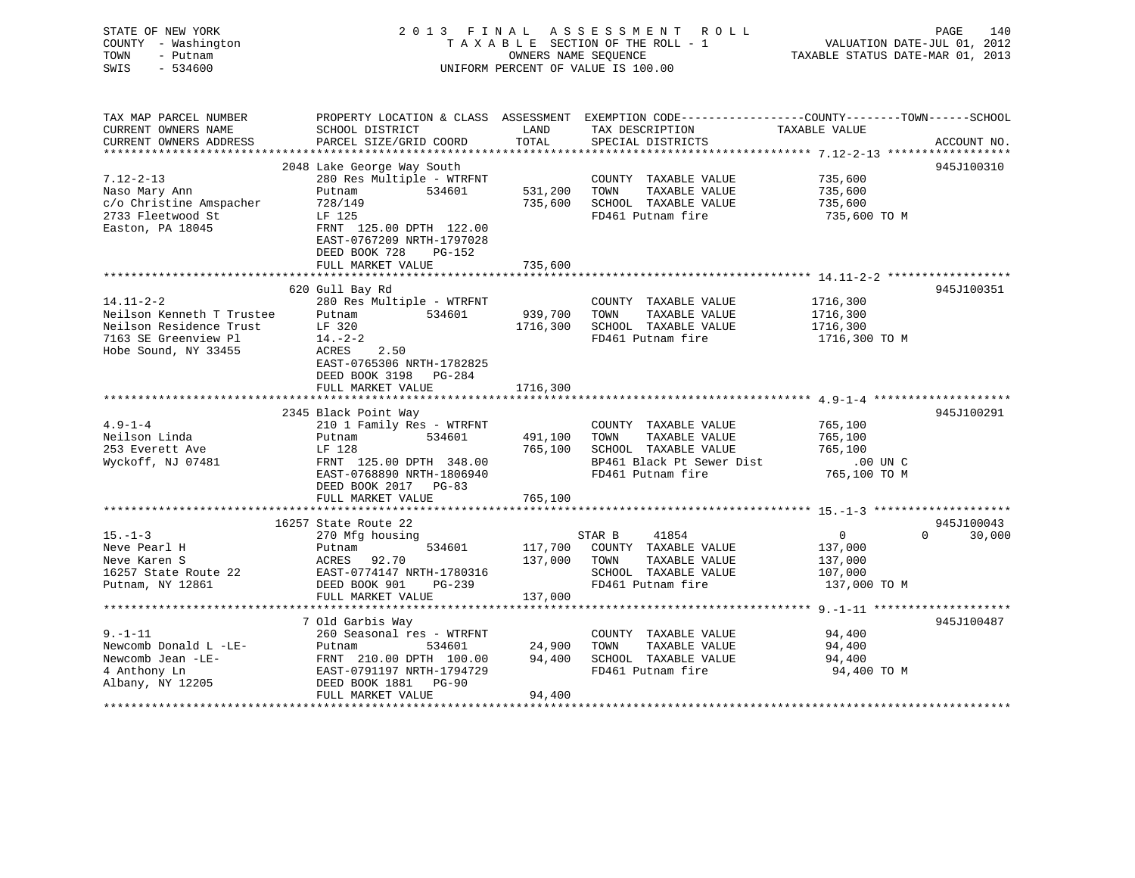## STATE OF NEW YORK 2 0 1 3 F I N A L A S S E S S M E N T R O L L PAGE 140 COUNTY - Washington T A X A B L E SECTION OF THE ROLL - 1 VALUATION DATE-JUL 01, 2012 TOWN - Putnam **CONNERS NAME SEQUENCE** TAXABLE STATUS DATE-MAR 01, 2013 SWIS - 534600 UNIFORM PERCENT OF VALUE IS 100.00

| TAX MAP PARCEL NUMBER<br>CURRENT OWNERS NAME<br>CURRENT OWNERS ADDRESS                               | PROPERTY LOCATION & CLASS ASSESSMENT<br>SCHOOL DISTRICT<br>PARCEL SIZE/GRID COORD                                                                                                                        | LAND<br>TOTAL                 | TAX DESCRIPTION<br>SPECIAL DISTRICTS                                                       | EXEMPTION CODE----------------COUNTY-------TOWN------SCHOOL<br>TAXABLE VALUE | ACCOUNT NO.        |
|------------------------------------------------------------------------------------------------------|----------------------------------------------------------------------------------------------------------------------------------------------------------------------------------------------------------|-------------------------------|--------------------------------------------------------------------------------------------|------------------------------------------------------------------------------|--------------------|
| $7.12 - 2 - 13$<br>Naso Mary Ann<br>c/o Christine Amspacher<br>2733 Fleetwood St<br>Easton, PA 18045 | 2048 Lake George Way South<br>280 Res Multiple - WTRFNT<br>534601<br>Putnam<br>728/149<br>LF 125<br>FRNT 125.00 DPTH 122.00<br>EAST-0767209 NRTH-1797028<br>DEED BOOK 728<br>PG-152<br>FULL MARKET VALUE | 531,200<br>735,600<br>735,600 | COUNTY TAXABLE VALUE<br>TAXABLE VALUE<br>TOWN<br>SCHOOL TAXABLE VALUE<br>FD461 Putnam fire | 735,600<br>735,600<br>735,600<br>735,600 TO M                                | 945J100310         |
| $14.11 - 2 - 2$                                                                                      | 620 Gull Bay Rd<br>280 Res Multiple - WTRFNT                                                                                                                                                             |                               | COUNTY TAXABLE VALUE                                                                       | 1716,300                                                                     | 945J100351         |
| Neilson Kenneth T Trustee<br>Neilson Residence Trust<br>7163 SE Greenview Pl<br>Hobe Sound, NY 33455 | 534601<br>Putnam<br>LF 320<br>$14. - 2 - 2$<br>ACRES<br>2.50<br>EAST-0765306 NRTH-1782825                                                                                                                | 939,700<br>1716,300           | TOWN<br>TAXABLE VALUE<br>SCHOOL TAXABLE VALUE<br>FD461 Putnam fire                         | 1716,300<br>1716,300<br>1716,300 TO M                                        |                    |
|                                                                                                      | DEED BOOK 3198 PG-284<br>FULL MARKET VALUE                                                                                                                                                               | 1716,300                      |                                                                                            |                                                                              |                    |
|                                                                                                      | 2345 Black Point Way                                                                                                                                                                                     |                               |                                                                                            |                                                                              | 945J100291         |
| $4.9 - 1 - 4$                                                                                        | 210 1 Family Res - WTRFNT                                                                                                                                                                                |                               | COUNTY TAXABLE VALUE                                                                       | 765,100                                                                      |                    |
| Neilson Linda                                                                                        | 534601<br>Putnam                                                                                                                                                                                         | 491,100                       | TOWN<br>TAXABLE VALUE                                                                      | 765,100                                                                      |                    |
| 253 Everett Ave                                                                                      | LF 128                                                                                                                                                                                                   | 765,100                       | SCHOOL TAXABLE VALUE                                                                       | 765,100                                                                      |                    |
| Wyckoff, NJ 07481                                                                                    | FRNT 125.00 DPTH 348.00<br>EAST-0768890 NRTH-1806940<br>DEED BOOK 2017 PG-83                                                                                                                             |                               | BP461 Black Pt Sewer Dist<br>FD461 Putnam fire                                             | .00 UN C<br>765,100 TO M                                                     |                    |
|                                                                                                      | FULL MARKET VALUE                                                                                                                                                                                        | 765,100                       |                                                                                            |                                                                              |                    |
|                                                                                                      | 16257 State Route 22                                                                                                                                                                                     |                               |                                                                                            |                                                                              | 945J100043         |
| $15. - 1 - 3$                                                                                        | 270 Mfg housing                                                                                                                                                                                          |                               | STAR B<br>41854                                                                            | $\mathbf{0}$                                                                 | 30,000<br>$\Omega$ |
| Neve Pearl H                                                                                         | 534601<br>Putnam                                                                                                                                                                                         | 117,700                       | COUNTY TAXABLE VALUE                                                                       | 137,000                                                                      |                    |
| Neve Karen S<br>16257 State Route 22                                                                 | 92.70<br>ACRES<br>EAST-0774147 NRTH-1780316                                                                                                                                                              | 137,000                       | TOWN<br>TAXABLE VALUE<br>SCHOOL TAXABLE VALUE                                              | 137,000                                                                      |                    |
| Putnam, NY 12861                                                                                     | DEED BOOK 901<br>PG-239                                                                                                                                                                                  |                               | FD461 Putnam fire                                                                          | 107,000<br>137,000 TO M                                                      |                    |
|                                                                                                      | FULL MARKET VALUE                                                                                                                                                                                        | 137,000                       |                                                                                            |                                                                              |                    |
|                                                                                                      |                                                                                                                                                                                                          |                               |                                                                                            |                                                                              |                    |
|                                                                                                      | 7 Old Garbis Way                                                                                                                                                                                         |                               |                                                                                            |                                                                              | 945J100487         |
| $9. - 1 - 11$                                                                                        | 260 Seasonal res - WTRFNT                                                                                                                                                                                |                               | COUNTY TAXABLE VALUE                                                                       | 94,400                                                                       |                    |
| Newcomb Donald L -LE-                                                                                | Putnam<br>534601                                                                                                                                                                                         | 24,900                        | TAXABLE VALUE<br>TOWN                                                                      | 94,400                                                                       |                    |
| Newcomb Jean -LE-                                                                                    | FRNT 210.00 DPTH 100.00                                                                                                                                                                                  | 94,400                        | SCHOOL TAXABLE VALUE                                                                       | 94,400                                                                       |                    |
| 4 Anthony Ln                                                                                         | EAST-0791197 NRTH-1794729                                                                                                                                                                                |                               | FD461 Putnam fire                                                                          | 94,400 TO M                                                                  |                    |
| Albany, NY 12205                                                                                     | DEED BOOK 1881<br>$PG-90$                                                                                                                                                                                |                               |                                                                                            |                                                                              |                    |
|                                                                                                      | FULL MARKET VALUE                                                                                                                                                                                        | 94,400                        |                                                                                            |                                                                              |                    |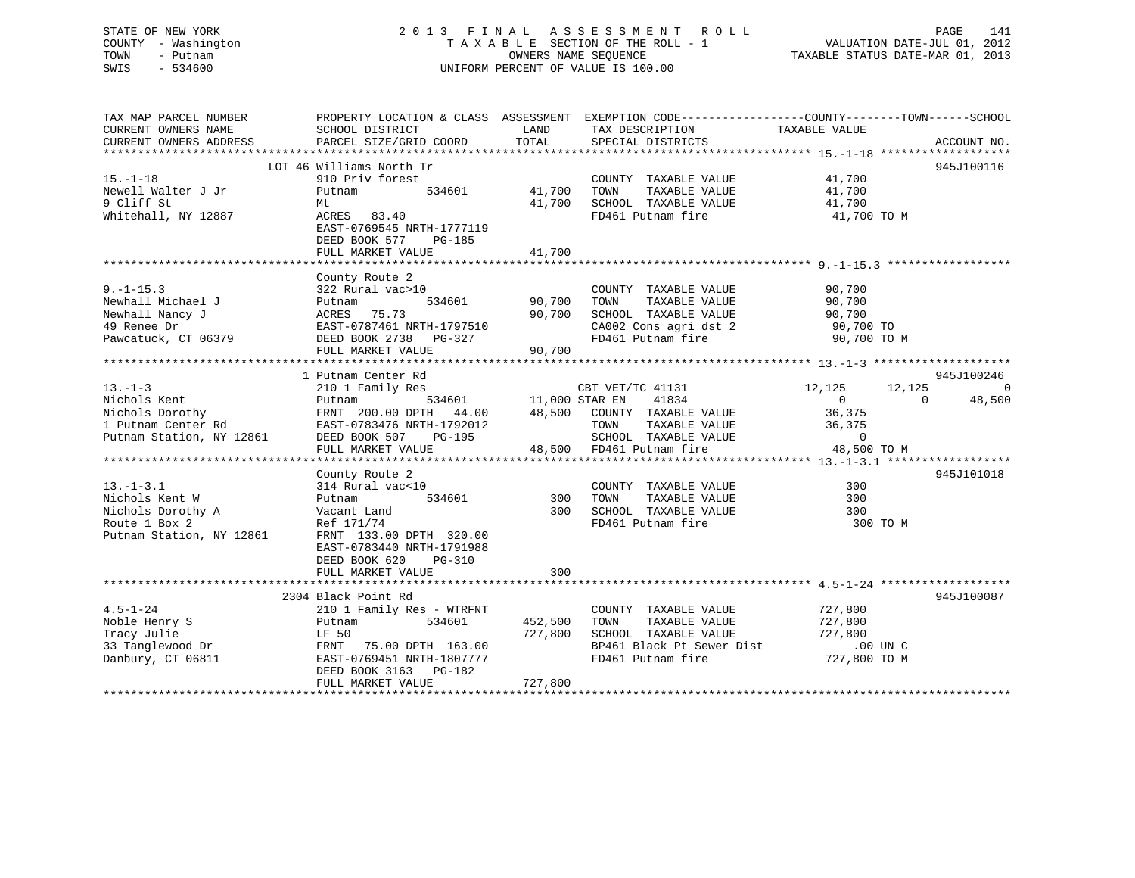## STATE OF NEW YORK 2 0 1 3 F I N A L A S S E S S M E N T R O L L PAGE 141 COUNTY - Washington T A X A B L E SECTION OF THE ROLL - 1 VALUATION DATE-JUL 01, 2012 TOWN - Putnam OWNERS NAME SEQUENCE TAXABLE STATUS DATE-MAR 01, 2013 SWIS - 534600 UNIFORM PERCENT OF VALUE IS 100.00

| TAX MAP PARCEL NUMBER<br>CURRENT OWNERS NAME              | PROPERTY LOCATION & CLASS ASSESSMENT EXEMPTION CODE---------------COUNTY-------TOWN-----SCHOOL<br>SCHOOL DISTRICT                                                                                                                                                                                                                                                                                                                                           |         | LAND TAX DESCRIPTION TAXABLE VALUE<br>COORD TOTAL SPECIAL DISTRICTS                                                               |             |                          |
|-----------------------------------------------------------|-------------------------------------------------------------------------------------------------------------------------------------------------------------------------------------------------------------------------------------------------------------------------------------------------------------------------------------------------------------------------------------------------------------------------------------------------------------|---------|-----------------------------------------------------------------------------------------------------------------------------------|-------------|--------------------------|
| CURRENT OWNERS ADDRESS                                    | PARCEL SIZE/GRID COORD                                                                                                                                                                                                                                                                                                                                                                                                                                      |         | TOTAL SPECIAL DISTRICTS                                                                                                           |             | ACCOUNT NO.              |
|                                                           |                                                                                                                                                                                                                                                                                                                                                                                                                                                             |         |                                                                                                                                   |             |                          |
| $15. - 1 - 18$                                            | LOT 46 Williams North Tr                                                                                                                                                                                                                                                                                                                                                                                                                                    |         |                                                                                                                                   |             | 945J100116               |
| Newell Walter J Jr                                        | 910 Priv forest<br>534601 41,700 TOWN<br>Putnam                                                                                                                                                                                                                                                                                                                                                                                                             |         |                                                                                                                                   |             |                          |
| 9 Cliff St                                                |                                                                                                                                                                                                                                                                                                                                                                                                                                                             |         |                                                                                                                                   |             |                          |
| Whitehall, NY 12887                                       | Mt<br>ACRES 83.40                                                                                                                                                                                                                                                                                                                                                                                                                                           |         | COUNTY TAXABLE VALUE 41,700<br>41,700 TOWN TAXABLE VALUE 41,700<br>41,700 SCHOOL TAXABLE VALUE 41,700<br>FD461 Putnam fire 41,700 | 41,700 TO M |                          |
|                                                           | EAST-0769545 NRTH-1777119                                                                                                                                                                                                                                                                                                                                                                                                                                   |         | FD461 Putnam fire                                                                                                                 |             |                          |
|                                                           | DEED BOOK 577 PG-185<br>FULL MARKET VALUE                                                                                                                                                                                                                                                                                                                                                                                                                   | 41,700  |                                                                                                                                   |             |                          |
|                                                           |                                                                                                                                                                                                                                                                                                                                                                                                                                                             |         |                                                                                                                                   |             |                          |
|                                                           |                                                                                                                                                                                                                                                                                                                                                                                                                                                             |         |                                                                                                                                   |             |                          |
|                                                           | County Route 2<br>322 Rural vac>10                                                                                                                                                                                                                                                                                                                                                                                                                          |         |                                                                                                                                   |             |                          |
|                                                           | 2 2001/11<br>al vac>10 34601 90,700 TOWN                                                                                                                                                                                                                                                                                                                                                                                                                    |         |                                                                                                                                   |             |                          |
|                                                           |                                                                                                                                                                                                                                                                                                                                                                                                                                                             |         |                                                                                                                                   |             |                          |
|                                                           |                                                                                                                                                                                                                                                                                                                                                                                                                                                             |         |                                                                                                                                   |             |                          |
|                                                           |                                                                                                                                                                                                                                                                                                                                                                                                                                                             |         |                                                                                                                                   |             |                          |
|                                                           |                                                                                                                                                                                                                                                                                                                                                                                                                                                             |         |                                                                                                                                   |             |                          |
|                                                           |                                                                                                                                                                                                                                                                                                                                                                                                                                                             |         |                                                                                                                                   |             |                          |
|                                                           | $\begin{tabular}{lllllllllllll} \textbf{13.-1--3} & & \textbf{1} & \textbf{Putnam Center Rd} & & \textbf{210 1 Family Res} \\ & & \textbf{210 1 Family Res} & & \textbf{CBT VET/TC 41131} & & \textbf{12,125} & \textbf{12,1} \\ \textbf{Nichols Kent} & & \textbf{Putnam 534601} & & \textbf{11,000 STAR EN 41834} & & \textbf{0} \\ \textbf{Nichols Dorothy} & & \textbf{FRNT 200.00 DPTH 44.00} & & \textbf{48,500 COUNTY TAX$                           |         |                                                                                                                                   |             | 945J100246               |
|                                                           |                                                                                                                                                                                                                                                                                                                                                                                                                                                             |         |                                                                                                                                   |             | $\overline{0}$           |
|                                                           |                                                                                                                                                                                                                                                                                                                                                                                                                                                             |         | CBT VET/TC 41131 12,125 12,125<br>STAR EN 41834 0 0 48                                                                            |             | 48,500<br>$\overline{0}$ |
|                                                           |                                                                                                                                                                                                                                                                                                                                                                                                                                                             |         |                                                                                                                                   |             |                          |
|                                                           |                                                                                                                                                                                                                                                                                                                                                                                                                                                             |         |                                                                                                                                   |             |                          |
|                                                           |                                                                                                                                                                                                                                                                                                                                                                                                                                                             |         |                                                                                                                                   |             |                          |
|                                                           |                                                                                                                                                                                                                                                                                                                                                                                                                                                             |         |                                                                                                                                   |             |                          |
|                                                           |                                                                                                                                                                                                                                                                                                                                                                                                                                                             |         |                                                                                                                                   |             |                          |
|                                                           | County Route 2                                                                                                                                                                                                                                                                                                                                                                                                                                              |         |                                                                                                                                   |             | 945J101018               |
|                                                           |                                                                                                                                                                                                                                                                                                                                                                                                                                                             |         |                                                                                                                                   |             |                          |
| 13.-1-3.1<br>Nichols Kent W                               | $\begin{tabular}{llll} 314~\text{Rural} & \text{vac} & 10 & & & \text{COUNI} \\ \text{Putnam} & 534601 & & 300 & \text{TOWN} \\ \end{tabular}$<br>314 Rur<br>Putnam                                                                                                                                                                                                                                                                                         |         |                                                                                                                                   |             |                          |
|                                                           |                                                                                                                                                                                                                                                                                                                                                                                                                                                             |         |                                                                                                                                   |             |                          |
| Nichols Dorothy A Vacant Land<br>Route 1 Box 2 Ref 171/74 |                                                                                                                                                                                                                                                                                                                                                                                                                                                             |         | 300 SCHOOL TAXABLE VALUE 300<br>FD461 Putnam fire 300                                                                             | 300 TO M    |                          |
| Putnam Station, NY 12861                                  | FRNT 133.00 DPTH 320.00                                                                                                                                                                                                                                                                                                                                                                                                                                     |         |                                                                                                                                   |             |                          |
|                                                           | EAST-0783440 NRTH-1791988                                                                                                                                                                                                                                                                                                                                                                                                                                   |         |                                                                                                                                   |             |                          |
|                                                           | DEED BOOK 620 PG-310                                                                                                                                                                                                                                                                                                                                                                                                                                        |         |                                                                                                                                   |             |                          |
|                                                           | FULL MARKET VALUE                                                                                                                                                                                                                                                                                                                                                                                                                                           | 300     |                                                                                                                                   |             |                          |
|                                                           |                                                                                                                                                                                                                                                                                                                                                                                                                                                             |         |                                                                                                                                   |             |                          |
|                                                           | 2304 Black Point Rd                                                                                                                                                                                                                                                                                                                                                                                                                                         |         |                                                                                                                                   |             | 945J100087               |
|                                                           |                                                                                                                                                                                                                                                                                                                                                                                                                                                             |         | COUNTY TAXABLE VALUE 727,800                                                                                                      |             |                          |
|                                                           |                                                                                                                                                                                                                                                                                                                                                                                                                                                             |         | TAXABLE VALUE 727,800                                                                                                             |             |                          |
|                                                           | $\begin{tabular}{lcccccc} \textbf{4.5--1-24} & \textbf{2304 Black Point R} & \textbf{2101 Family Res - WTRFNT} & \textbf{COUNTY TAXABLE VALUE} \\ \textbf{Noble Henry S} & \textbf{Putnam} & \textbf{534601} & \textbf{452,500 TOWN TAXABLE VALUE} \\ \textbf{Tracy Julie} & \textbf{LF 50} & \textbf{FENT} & \textbf{75.00 DPTH} & \textbf{163.00} & \textbf{534601} & \textbf{B24500 L} & \textbf{TAXABLE VALUE} \\ \textbf{33 Tanglewood Dr} & \textbf{$ |         | TOWN IRANELLE VALUE 727,800<br>SCHOOL TAXABLE VALUE 727,800 UN C<br>BP461 Black Pt Sewer Dist 727,800 TO M                        |             |                          |
|                                                           |                                                                                                                                                                                                                                                                                                                                                                                                                                                             |         |                                                                                                                                   |             |                          |
|                                                           |                                                                                                                                                                                                                                                                                                                                                                                                                                                             |         | FD461 Putnam fire                                                                                                                 |             |                          |
|                                                           |                                                                                                                                                                                                                                                                                                                                                                                                                                                             |         |                                                                                                                                   |             |                          |
|                                                           | FULL MARKET VALUE                                                                                                                                                                                                                                                                                                                                                                                                                                           | 727,800 |                                                                                                                                   |             |                          |
|                                                           |                                                                                                                                                                                                                                                                                                                                                                                                                                                             |         |                                                                                                                                   |             |                          |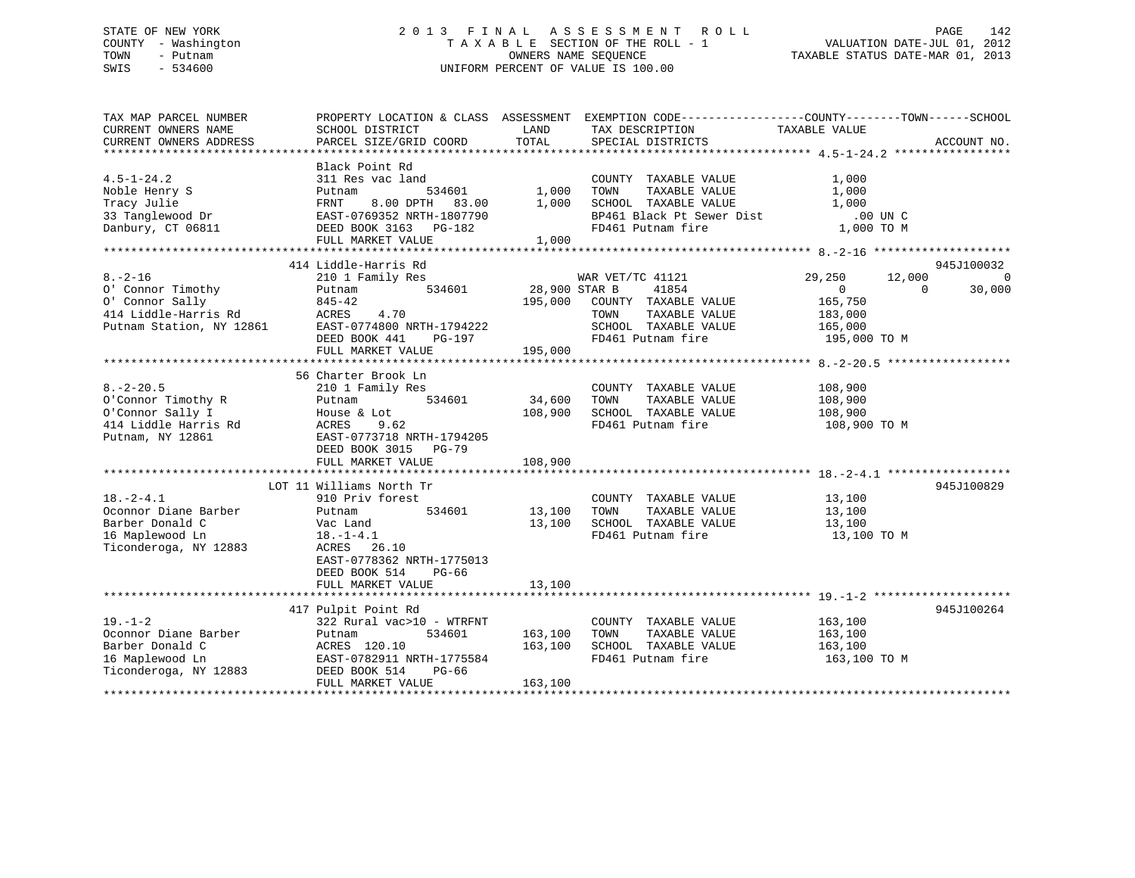## STATE OF NEW YORK 2 0 1 3 F I N A L A S S E S S M E N T R O L L PAGE 142 COUNTY - Washington T A X A B L E SECTION OF THE ROLL - 1 VALUATION DATE-JUL 01, 2012 TOWN - Putnam OWNERS NAME SEQUENCE TAXABLE STATUS DATE-MAR 01, 2013 SWIS - 534600 UNIFORM PERCENT OF VALUE IS 100.00

| TAX MAP PARCEL NUMBER    |                           |                                | PROPERTY LOCATION & CLASS ASSESSMENT EXEMPTION CODE---------------COUNTY-------TOWN-----SCHOOL |                  |                    |
|--------------------------|---------------------------|--------------------------------|------------------------------------------------------------------------------------------------|------------------|--------------------|
| CURRENT OWNERS NAME      | SCHOOL DISTRICT           | LAND                           | TAX DESCRIPTION                                                                                | TAXABLE VALUE    |                    |
|                          |                           |                                |                                                                                                |                  |                    |
|                          |                           |                                |                                                                                                |                  |                    |
|                          | Black Point Rd            |                                |                                                                                                |                  |                    |
| $4.5 - 1 - 24.2$         | 311 Res vac land          |                                | COUNTY TAXABLE VALUE                                                                           | 1,000            |                    |
| Noble Henry S            | Putnam                    | 534601 1,000<br>TH 83.00 1,000 | TOWN<br>TAXABLE VALUE                                                                          | 1,000            |                    |
| Tracy Julie              | 8.00 DPTH 83.00<br>FRNT   |                                | SCHOOL TAXABLE VALUE                                                                           | 1,000            |                    |
| 33 Tanglewood Dr         | EAST-0769352 NRTH-1807790 |                                | BP461 Black Pt Sewer Dist .00 UN C                                                             |                  |                    |
| Danbury, CT 06811        | DEED BOOK 3163 PG-182     |                                | FD461 Putnam fire                                                                              | 1,000 TO M       |                    |
|                          | FULL MARKET VALUE         | 1,000                          |                                                                                                |                  |                    |
|                          |                           |                                |                                                                                                |                  |                    |
|                          | 414 Liddle-Harris Rd      |                                |                                                                                                |                  | 945J100032         |
| $8. - 2 - 16$            | 210 1 Family Res          |                                | WAR VET/TC 41121                                                                               | 29,250<br>12,000 | $\Omega$           |
| 0' Connor Timothy        | 534601<br>Putnam          | 28,900 STAR B                  | 41854                                                                                          | $\overline{0}$   | 30,000<br>$\Omega$ |
| 0' Connor Sally          | 845-42                    |                                | 195,000 COUNTY TAXABLE VALUE                                                                   | 165,750          |                    |
| 414 Liddle-Harris Rd     | ACRES<br>4.70             |                                | TOWN<br>TAXABLE VALUE                                                                          | 183,000          |                    |
| Putnam Station, NY 12861 | EAST-0774800 NRTH-1794222 |                                | SCHOOL TAXABLE VALUE 165,000                                                                   |                  |                    |
|                          | DEED BOOK 441<br>PG-197   |                                | FD461 Putnam fire                                                                              | 195,000 TO M     |                    |
|                          | FULL MARKET VALUE         | 195,000                        |                                                                                                |                  |                    |
|                          |                           |                                |                                                                                                |                  |                    |
|                          | 56 Charter Brook Ln       |                                |                                                                                                |                  |                    |
| $8. - 2 - 20.5$          |                           |                                |                                                                                                |                  |                    |
|                          | 210 1 Family Res          |                                | COUNTY TAXABLE VALUE                                                                           | 108,900          |                    |
| O'Connor Timothy R       | Putnam<br>534601          | 34,600                         | TAXABLE VALUE<br>TOWN                                                                          | 108,900          |                    |
| O'Connor Sally I         | House & Lot               | 108,900                        | SCHOOL TAXABLE VALUE                                                                           | 108,900          |                    |
| 414 Liddle Harris Rd     | ACRES<br>9.62             |                                | FD461 Putnam fire                                                                              | 108,900 TO M     |                    |
| Putnam, NY 12861         | EAST-0773718 NRTH-1794205 |                                |                                                                                                |                  |                    |
|                          | DEED BOOK 3015 PG-79      |                                |                                                                                                |                  |                    |
|                          | FULL MARKET VALUE         | 108,900                        |                                                                                                |                  |                    |
|                          |                           |                                |                                                                                                |                  |                    |
|                          | LOT 11 Williams North Tr  |                                |                                                                                                |                  | 945J100829         |
| $18. - 2 - 4.1$          | 910 Priv forest           |                                | COUNTY TAXABLE VALUE                                                                           | 13,100           |                    |
| Oconnor Diane Barber     | 534601<br>Putnam          | 13,100                         | TAXABLE VALUE<br>TOWN                                                                          | 13,100           |                    |
| Barber Donald C          | Vac Land                  | 13,100                         | SCHOOL TAXABLE VALUE                                                                           | 13,100           |                    |
| 16 Maplewood Ln          | $18. - 1 - 4.1$           |                                | FD461 Putnam fire                                                                              | 13,100 TO M      |                    |
| Ticonderoga, NY 12883    | ACRES<br>26.10            |                                |                                                                                                |                  |                    |
|                          | EAST-0778362 NRTH-1775013 |                                |                                                                                                |                  |                    |
|                          | DEED BOOK 514<br>PG-66    |                                |                                                                                                |                  |                    |
|                          | FULL MARKET VALUE         | 13,100                         |                                                                                                |                  |                    |
|                          |                           |                                |                                                                                                |                  |                    |
|                          | 417 Pulpit Point Rd       |                                |                                                                                                |                  | 945J100264         |
| $19. - 1 - 2$            | 322 Rural vac>10 - WTRFNT |                                | COUNTY TAXABLE VALUE                                                                           | 163,100          |                    |
| Oconnor Diane Barber     | 534601<br>Putnam          | 163,100                        | TAXABLE VALUE<br>TOWN                                                                          | 163,100          |                    |
| Barber Donald C          | ACRES 120.10              | 163,100                        | SCHOOL TAXABLE VALUE                                                                           | 163,100          |                    |
| 16 Maplewood Ln          | EAST-0782911 NRTH-1775584 |                                | FD461 Putnam fire                                                                              | 163,100 TO M     |                    |
| Ticonderoga, NY 12883    | DEED BOOK 514<br>PG-66    |                                |                                                                                                |                  |                    |
|                          | FULL MARKET VALUE         | 163,100                        |                                                                                                |                  |                    |
|                          |                           |                                |                                                                                                |                  |                    |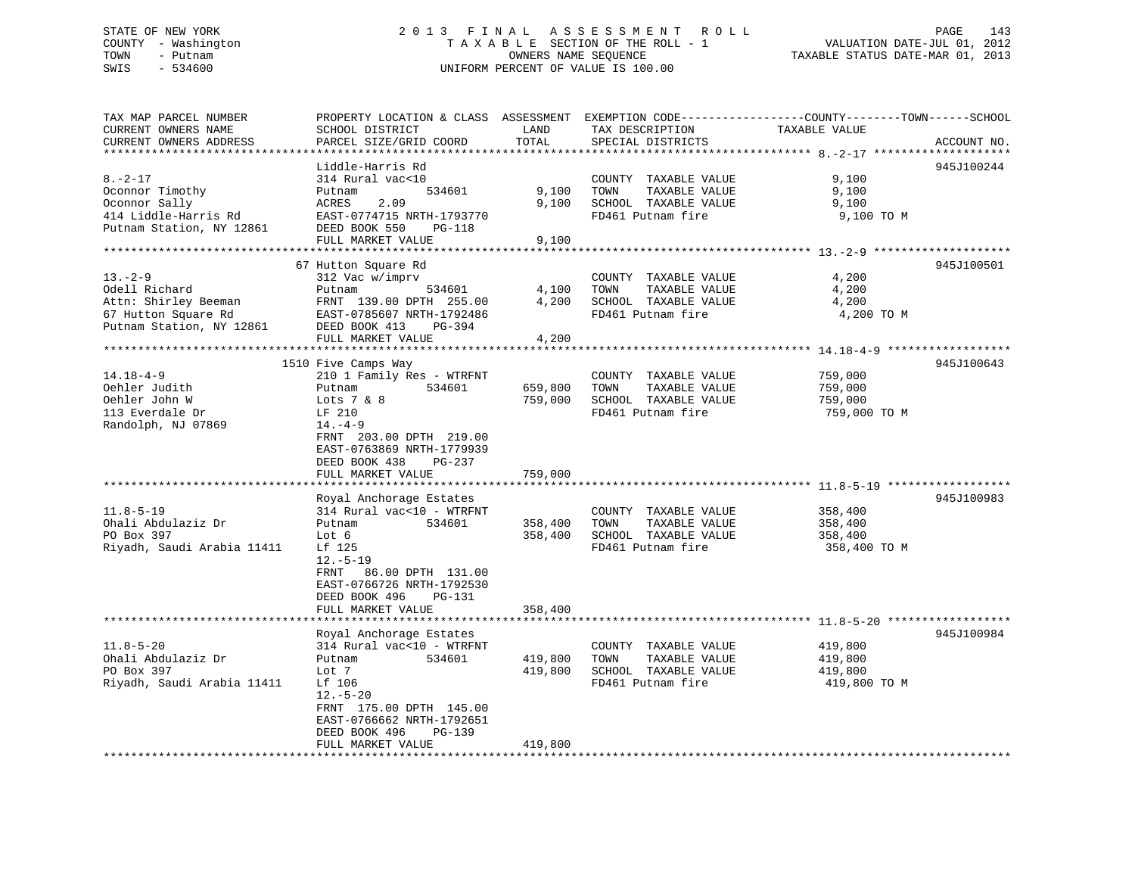## STATE OF NEW YORK 2 0 1 3 F I N A L A S S E S S M E N T R O L L PAGE 143 COUNTY - Washington T A X A B L E SECTION OF THE ROLL - 1 VALUATION DATE-JUL 01, 2012 TOWN - Putnam OWNERS NAME SEQUENCE TAXABLE STATUS DATE-MAR 01, 2013 SWIS - 534600 UNIFORM PERCENT OF VALUE IS 100.00

| TAX MAP PARCEL NUMBER            |                                         |                    |                                               | PROPERTY LOCATION & CLASS ASSESSMENT EXEMPTION CODE----------------COUNTY-------TOWN------SCHOOL |             |
|----------------------------------|-----------------------------------------|--------------------|-----------------------------------------------|--------------------------------------------------------------------------------------------------|-------------|
| CURRENT OWNERS NAME              | SCHOOL DISTRICT                         | LAND               | TAX DESCRIPTION                               | TAXABLE VALUE                                                                                    |             |
| CURRENT OWNERS ADDRESS           | PARCEL SIZE/GRID COORD                  | TOTAL              | SPECIAL DISTRICTS                             |                                                                                                  | ACCOUNT NO. |
|                                  |                                         |                    |                                               |                                                                                                  |             |
| $8. - 2 - 17$                    | Liddle-Harris Rd<br>314 Rural vac<10    |                    |                                               | 9,100                                                                                            | 945J100244  |
| Oconnor Timothy                  | 534601<br>Putnam                        | 9,100              | COUNTY TAXABLE VALUE<br>TOWN<br>TAXABLE VALUE | 9,100                                                                                            |             |
| Oconnor Sally                    | 2.09<br>ACRES                           | 9,100              | SCHOOL TAXABLE VALUE                          | 9,100                                                                                            |             |
| 414 Liddle-Harris Rd             | EAST-0774715 NRTH-1793770               |                    | FD461 Putnam fire                             | 9,100 TO M                                                                                       |             |
| Putnam Station, NY 12861         | DEED BOOK 550<br><b>PG-118</b>          |                    |                                               |                                                                                                  |             |
|                                  | FULL MARKET VALUE                       | 9,100              |                                               |                                                                                                  |             |
|                                  | ****************************            |                    |                                               |                                                                                                  |             |
|                                  | 67 Hutton Square Rd                     |                    |                                               |                                                                                                  | 945J100501  |
| $13 - 2 - 9$                     | 312 Vac w/imprv                         |                    | COUNTY TAXABLE VALUE                          | 4,200                                                                                            |             |
| Odell Richard                    | 534601<br>Putnam                        | 4,100              | TAXABLE VALUE<br>TOWN                         | 4,200                                                                                            |             |
| Attn: Shirley Beeman             | FRNT 139.00 DPTH 255.00                 | 4,200              | SCHOOL TAXABLE VALUE                          | 4,200                                                                                            |             |
| 67 Hutton Square Rd              | EAST-0785607 NRTH-1792486               |                    | FD461 Putnam fire                             | 4,200 TO M                                                                                       |             |
| Putnam Station, NY 12861         | DEED BOOK 413<br>PG-394                 |                    |                                               |                                                                                                  |             |
|                                  | FULL MARKET VALUE                       | 4,200              |                                               |                                                                                                  |             |
|                                  |                                         |                    |                                               |                                                                                                  |             |
|                                  | 1510 Five Camps Way                     |                    |                                               |                                                                                                  | 945J100643  |
| $14.18 - 4 - 9$                  | 210 1 Family Res - WTRFNT               |                    | COUNTY TAXABLE VALUE                          | 759,000                                                                                          |             |
| Oehler Judith                    | 534601<br>Putnam                        | 659,800            | TOWN<br>TAXABLE VALUE                         | 759,000                                                                                          |             |
| Oehler John W                    | Lots $7 & 8$                            | 759,000            | SCHOOL TAXABLE VALUE                          | 759,000                                                                                          |             |
| 113 Everdale Dr                  | LF 210                                  |                    | FD461 Putnam fire                             | 759,000 TO M                                                                                     |             |
| Randolph, NJ 07869               | $14. -4 - 9$<br>FRNT 203.00 DPTH 219.00 |                    |                                               |                                                                                                  |             |
|                                  | EAST-0763869 NRTH-1779939               |                    |                                               |                                                                                                  |             |
|                                  | DEED BOOK 438<br>$PG-237$               |                    |                                               |                                                                                                  |             |
|                                  | FULL MARKET VALUE                       | 759,000            |                                               |                                                                                                  |             |
|                                  |                                         |                    |                                               |                                                                                                  |             |
|                                  | Royal Anchorage Estates                 |                    |                                               |                                                                                                  | 945J100983  |
| $11.8 - 5 - 19$                  | 314 Rural vac<10 - WTRFNT               |                    | COUNTY TAXABLE VALUE                          | 358,400                                                                                          |             |
| Ohali Abdulaziz Dr               | Putnam<br>534601                        | 358,400            | TAXABLE VALUE<br>TOWN                         | 358,400                                                                                          |             |
| PO Box 397                       | Lot 6                                   | 358,400            | SCHOOL TAXABLE VALUE                          | 358,400                                                                                          |             |
| Riyadh, Saudi Arabia 11411       | Lf 125                                  |                    | FD461 Putnam fire                             | 358,400 TO M                                                                                     |             |
|                                  | $12.-5-19$                              |                    |                                               |                                                                                                  |             |
|                                  | FRNT<br>86.00 DPTH 131.00               |                    |                                               |                                                                                                  |             |
|                                  | EAST-0766726 NRTH-1792530               |                    |                                               |                                                                                                  |             |
|                                  | DEED BOOK 496<br>$PG-131$               |                    |                                               |                                                                                                  |             |
|                                  | FULL MARKET VALUE                       | 358,400            |                                               |                                                                                                  |             |
|                                  |                                         |                    |                                               |                                                                                                  |             |
|                                  | Royal Anchorage Estates                 |                    |                                               |                                                                                                  | 945J100984  |
| $11.8 - 5 - 20$                  | 314 Rural vac<10 - WTRFNT               |                    | COUNTY TAXABLE VALUE                          | 419,800                                                                                          |             |
| Ohali Abdulaziz Dr<br>PO Box 397 | Putnam<br>534601<br>Lot 7               | 419,800<br>419,800 | TOWN<br>TAXABLE VALUE<br>SCHOOL TAXABLE VALUE | 419,800<br>419,800                                                                               |             |
| Riyadh, Saudi Arabia 11411       | Lf 106                                  |                    | FD461 Putnam fire                             | 419,800 TO M                                                                                     |             |
|                                  | $12. - 5 - 20$                          |                    |                                               |                                                                                                  |             |
|                                  | FRNT 175.00 DPTH 145.00                 |                    |                                               |                                                                                                  |             |
|                                  | EAST-0766662 NRTH-1792651               |                    |                                               |                                                                                                  |             |
|                                  | DEED BOOK 496<br>PG-139                 |                    |                                               |                                                                                                  |             |
|                                  | FULL MARKET VALUE                       | 419,800            |                                               |                                                                                                  |             |
|                                  | **************************              |                    |                                               |                                                                                                  |             |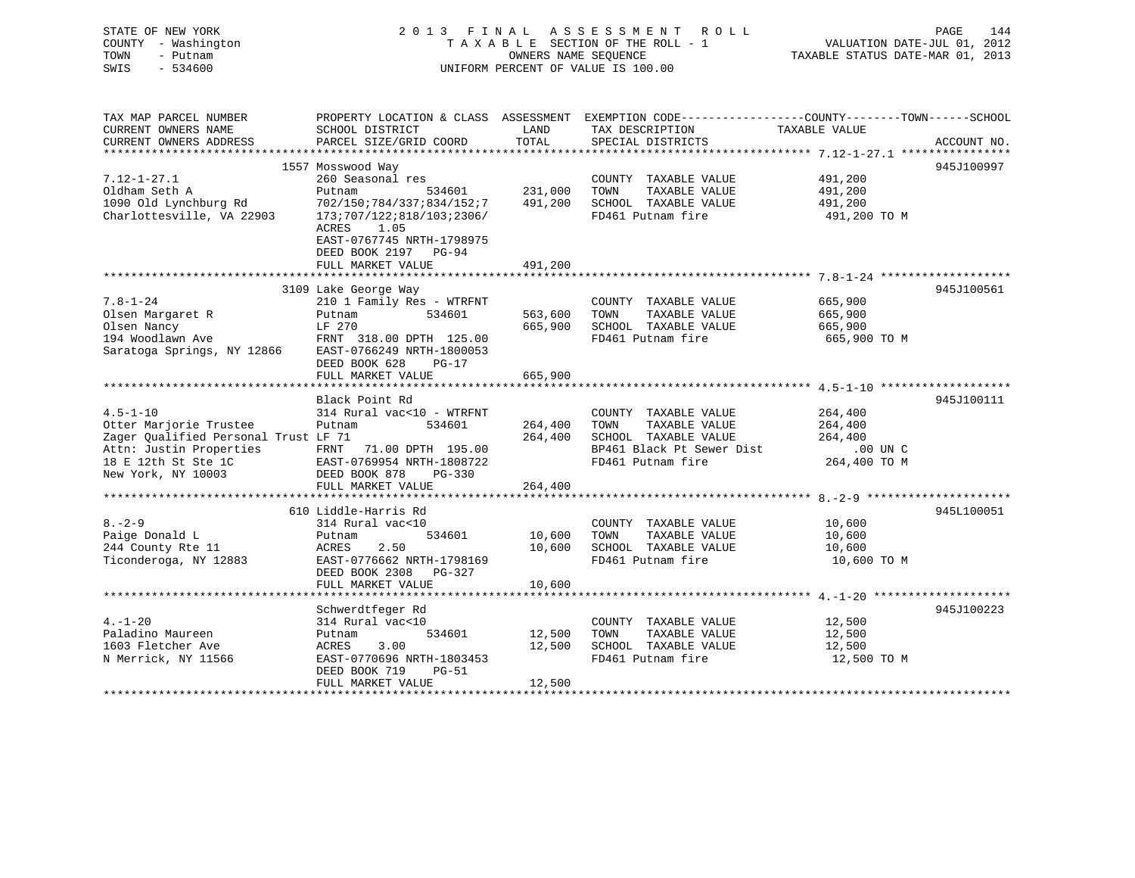| STATE OF NEW YORK                    | 2 0 1 3<br>FINAL                                  |                                 | A S S E S S M E N T<br>R O L L                                                                   |                                  | PAGE<br>144                 |
|--------------------------------------|---------------------------------------------------|---------------------------------|--------------------------------------------------------------------------------------------------|----------------------------------|-----------------------------|
| COUNTY - Washington                  |                                                   | TAXABLE SECTION OF THE ROLL - 1 |                                                                                                  |                                  | VALUATION DATE-JUL 01, 2012 |
| TOWN<br>- Putnam                     | OWNERS NAME SEQUENCE                              |                                 |                                                                                                  | TAXABLE STATUS DATE-MAR 01, 2013 |                             |
| $-534600$<br>SWIS                    | UNIFORM PERCENT OF VALUE IS 100.00                |                                 |                                                                                                  |                                  |                             |
|                                      |                                                   |                                 |                                                                                                  |                                  |                             |
| TAX MAP PARCEL NUMBER                |                                                   |                                 | PROPERTY LOCATION & CLASS ASSESSMENT EXEMPTION CODE----------------COUNTY-------TOWN------SCHOOL |                                  |                             |
| CURRENT OWNERS NAME                  | SCHOOL DISTRICT                                   | LAND                            | TAX DESCRIPTION                                                                                  | TAXABLE VALUE                    |                             |
| CURRENT OWNERS ADDRESS               | PARCEL SIZE/GRID COORD                            | TOTAL                           | SPECIAL DISTRICTS                                                                                |                                  | ACCOUNT NO.                 |
| ***********************              |                                                   |                                 |                                                                                                  |                                  |                             |
|                                      | 1557 Mosswood Way                                 |                                 |                                                                                                  |                                  | 945J100997                  |
| $7.12 - 1 - 27.1$                    | 260 Seasonal res                                  |                                 | COUNTY TAXABLE VALUE                                                                             | 491,200                          |                             |
| Oldham Seth A                        | 534601<br>Putnam                                  | 231,000                         | TOWN<br>TAXABLE VALUE                                                                            | 491,200                          |                             |
| 1090 Old Lynchburg Rd                | 702/150;784/337;834/152;7                         | 491,200                         | SCHOOL TAXABLE VALUE                                                                             | 491,200                          |                             |
| Charlottesville, VA 22903            | 173;707/122;818/103;2306/                         |                                 | FD461 Putnam fire                                                                                | 491,200 TO M                     |                             |
|                                      | ACRES<br>1.05                                     |                                 |                                                                                                  |                                  |                             |
|                                      | EAST-0767745 NRTH-1798975                         |                                 |                                                                                                  |                                  |                             |
|                                      | DEED BOOK 2197 PG-94                              |                                 |                                                                                                  |                                  |                             |
|                                      | FULL MARKET VALUE                                 | 491,200                         |                                                                                                  |                                  |                             |
|                                      |                                                   |                                 |                                                                                                  |                                  | 945J100561                  |
| $7.8 - 1 - 24$                       | 3109 Lake George Way<br>210 1 Family Res - WTRFNT |                                 | COUNTY TAXABLE VALUE                                                                             | 665,900                          |                             |
| Olsen Margaret R                     | 534601<br>Putnam                                  | 563,600                         | TOWN<br>TAXABLE VALUE                                                                            | 665,900                          |                             |
| Olsen Nancy                          | LF 270                                            | 665,900                         | SCHOOL TAXABLE VALUE                                                                             | 665,900                          |                             |
| 194 Woodlawn Ave                     | FRNT 318.00 DPTH 125.00                           |                                 | FD461 Putnam fire                                                                                | 665,900 TO M                     |                             |
| Saratoga Springs, NY 12866           | EAST-0766249 NRTH-1800053                         |                                 |                                                                                                  |                                  |                             |
|                                      | DEED BOOK 628<br>$PG-17$                          |                                 |                                                                                                  |                                  |                             |
|                                      | FULL MARKET VALUE                                 | 665,900                         |                                                                                                  |                                  |                             |
|                                      |                                                   |                                 |                                                                                                  |                                  |                             |
|                                      | Black Point Rd                                    |                                 |                                                                                                  |                                  | 945J100111                  |
| $4.5 - 1 - 10$                       | 314 Rural vac<10 - WTRFNT                         |                                 | COUNTY TAXABLE VALUE                                                                             | 264,400                          |                             |
| Otter Marjorie Trustee               | Putnam<br>534601                                  | 264,400                         | TOWN<br>TAXABLE VALUE                                                                            | 264,400                          |                             |
| Zager Qualified Personal Trust LF 71 |                                                   | 264,400                         | SCHOOL TAXABLE VALUE                                                                             | 264,400                          |                             |
| Attn: Justin Properties              | FRNT 71.00 DPTH 195.00                            |                                 | BP461 Black Pt Sewer Dist                                                                        | .00 UN C                         |                             |
| 18 E 12th St Ste 1C                  | EAST-0769954 NRTH-1808722                         |                                 | FD461 Putnam fire                                                                                | 264,400 TO M                     |                             |
| New York, NY 10003                   | DEED BOOK 878<br>PG-330                           |                                 |                                                                                                  |                                  |                             |
|                                      | FULL MARKET VALUE                                 | 264,400                         |                                                                                                  |                                  |                             |
|                                      |                                                   |                                 |                                                                                                  |                                  |                             |
|                                      | 610 Liddle-Harris Rd                              |                                 |                                                                                                  |                                  | 945L100051                  |
| $8 - 2 - 9$                          | 314 Rural vac<10                                  |                                 | COUNTY TAXABLE VALUE                                                                             | 10,600                           |                             |
| Paige Donald L                       | 534601<br>Putnam                                  | 10,600                          | TAXABLE VALUE<br>TOWN                                                                            | 10,600                           |                             |
| 244 County Rte 11                    | ACRES<br>2.50                                     | 10,600                          | SCHOOL TAXABLE VALUE                                                                             | 10,600                           |                             |
| Ticonderoga, NY 12883                | EAST-0776662 NRTH-1798169                         |                                 | FD461 Putnam fire                                                                                | 10,600 TO M                      |                             |
|                                      | DEED BOOK 2308 PG-327                             |                                 |                                                                                                  |                                  |                             |
|                                      | FULL MARKET VALUE                                 | 10,600                          |                                                                                                  |                                  |                             |
|                                      |                                                   |                                 |                                                                                                  |                                  |                             |
|                                      | Schwerdtfeger Rd                                  |                                 |                                                                                                  |                                  | 945J100223                  |
| $4. - 1 - 20$                        | 314 Rural vac<10                                  |                                 | COUNTY TAXABLE VALUE                                                                             | 12,500                           |                             |
| Paladino Maureen                     | 534601<br>Putnam                                  | 12,500                          | TAXABLE VALUE<br>TOWN                                                                            | 12,500                           |                             |
| 1603 Fletcher Ave                    | 3.00<br>ACRES                                     | 12,500                          | SCHOOL TAXABLE VALUE                                                                             | 12,500                           |                             |
| N Merrick, NY 11566                  | EAST-0770696 NRTH-1803453                         |                                 | FD461 Putnam fire                                                                                | 12,500 TO M                      |                             |
|                                      | DEED BOOK 719<br>PG-51                            |                                 |                                                                                                  |                                  |                             |
|                                      | FULL MARKET VALUE                                 | 12,500                          |                                                                                                  |                                  |                             |
|                                      |                                                   |                                 |                                                                                                  |                                  |                             |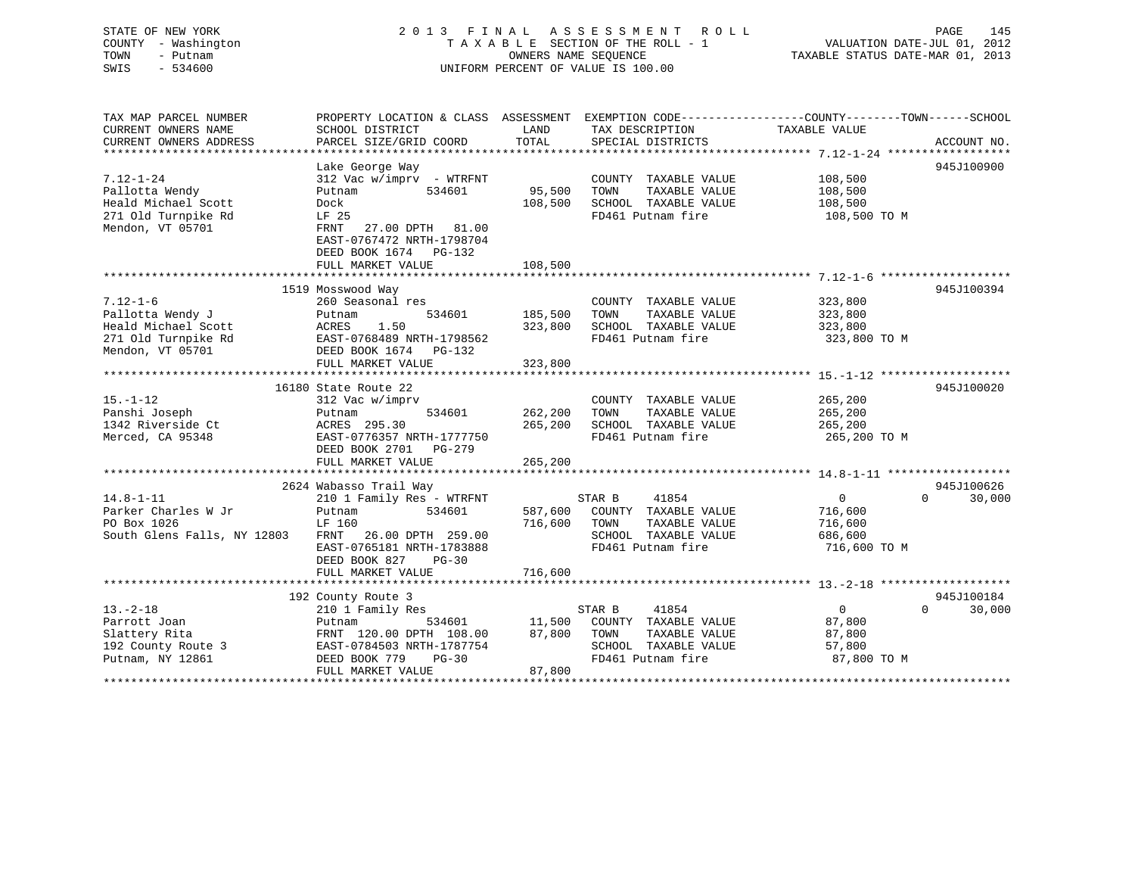# STATE OF NEW YORK 2 0 1 3 F I N A L A S S E S S M E N T R O L L PAGE 145 COUNTY - Washington T A X A B L E SECTION OF THE ROLL - 1 VALUATION DATE-JUL 01, 2012 TOWN - Putnam OWNERS NAME SEQUENCE TAXABLE STATUS DATE-MAR 01, 2013 SWIS - 534600 UNIFORM PERCENT OF VALUE IS 100.00

| TAX MAP PARCEL NUMBER<br>CURRENT OWNERS NAME<br>CURRENT OWNERS ADDRESS                               | PROPERTY LOCATION & CLASS ASSESSMENT<br>SCHOOL DISTRICT<br>PARCEL SIZE/GRID COORD                                                                                                       | LAND<br>TOTAL                 | TAX DESCRIPTION<br>SPECIAL DISTRICTS                                                                                  | EXEMPTION CODE-----------------COUNTY-------TOWN------SCHOOL<br>TAXABLE VALUE | ACCOUNT NO.                      |
|------------------------------------------------------------------------------------------------------|-----------------------------------------------------------------------------------------------------------------------------------------------------------------------------------------|-------------------------------|-----------------------------------------------------------------------------------------------------------------------|-------------------------------------------------------------------------------|----------------------------------|
| $7.12 - 1 - 24$<br>Pallotta Wendy<br>Heald Michael Scott<br>271 Old Turnpike Rd<br>Mendon, VT 05701  | Lake George Way<br>312 Vac w/imprv - WTRFNT<br>534601<br>Putnam<br>Dock<br>LF 25<br>FRNT<br>27.00 DPTH 81.00<br>EAST-0767472 NRTH-1798704<br>DEED BOOK 1674 PG-132<br>FULL MARKET VALUE | 95,500<br>108,500<br>108,500  | COUNTY TAXABLE VALUE<br>TAXABLE VALUE<br>TOWN<br>SCHOOL TAXABLE VALUE<br>FD461 Putnam fire                            | 108,500<br>108,500<br>108,500<br>108,500 TO M                                 | 945J100900                       |
|                                                                                                      |                                                                                                                                                                                         |                               |                                                                                                                       |                                                                               |                                  |
| $7.12 - 1 - 6$<br>Pallotta Wendy J<br>Heald Michael Scott<br>271 Old Turnpike Rd<br>Mendon, VT 05701 | 1519 Mosswood Way<br>260 Seasonal res<br>534601<br>Putnam<br>1.50<br>ACRES<br>EAST-0768489 NRTH-1798562<br>DEED BOOK 1674 PG-132<br>FULL MARKET VALUE                                   | 185,500<br>323,800<br>323,800 | COUNTY TAXABLE VALUE<br>TAXABLE VALUE<br>TOWN<br>SCHOOL TAXABLE VALUE<br>FD461 Putnam fire                            | 323,800<br>323,800<br>323,800<br>323,800 TO M                                 | 945J100394                       |
|                                                                                                      |                                                                                                                                                                                         |                               |                                                                                                                       |                                                                               |                                  |
| $15. - 1 - 12$<br>Panshi Joseph<br>1342 Riverside Ct<br>Merced, CA 95348                             | 16180 State Route 22<br>312 Vac w/imprv<br>534601<br>Putnam<br>ACRES 295.30<br>EAST-0776357 NRTH-1777750<br>DEED BOOK 2701<br>$PG-279$<br>FULL MARKET VALUE                             | 262,200<br>265,200<br>265,200 | COUNTY TAXABLE VALUE<br>TOWN<br>TAXABLE VALUE<br>SCHOOL TAXABLE VALUE<br>FD461 Putnam fire                            | 265,200<br>265,200<br>265,200<br>265,200 TO M                                 | 945J100020                       |
|                                                                                                      | 2624 Wabasso Trail Way                                                                                                                                                                  |                               |                                                                                                                       |                                                                               | 945J100626                       |
| $14.8 - 1 - 11$<br>Parker Charles W Jr<br>PO Box 1026<br>South Glens Falls, NY 12803                 | 210 1 Family Res - WTRFNT<br>534601<br>Putnam<br>LF 160<br>FRNT 26.00 DPTH 259.00<br>EAST-0765181 NRTH-1783888<br>DEED BOOK 827<br>$PG-30$<br>FULL MARKET VALUE                         | 716,600<br>716,600            | 41854<br>STAR B<br>587,600 COUNTY TAXABLE VALUE<br>TAXABLE VALUE<br>TOWN<br>SCHOOL TAXABLE VALUE<br>FD461 Putnam fire | $0 \qquad \qquad$<br>716,600<br>716,600<br>686,600<br>716,600 TO M            | $\Omega$<br>30,000               |
|                                                                                                      |                                                                                                                                                                                         |                               |                                                                                                                       |                                                                               |                                  |
| $13. - 2 - 18$<br>Parrott Joan<br>Slattery Rita<br>192 County Route 3<br>Putnam, NY 12861            | 192 County Route 3<br>210 1 Family Res<br>Putnam<br>534601<br>FRNT 120.00 DPTH 108.00<br>EAST-0784503 NRTH-1787754<br>DEED BOOK 779<br>$PG-30$<br>FULL MARKET VALUE                     | 11,500<br>87,800<br>87,800    | STAR B<br>41854<br>COUNTY TAXABLE VALUE<br>TOWN<br>TAXABLE VALUE<br>SCHOOL TAXABLE VALUE<br>FD461 Putnam fire         | 0<br>87,800<br>87,800<br>57,800<br>87,800 TO M                                | 945J100184<br>$\Omega$<br>30,000 |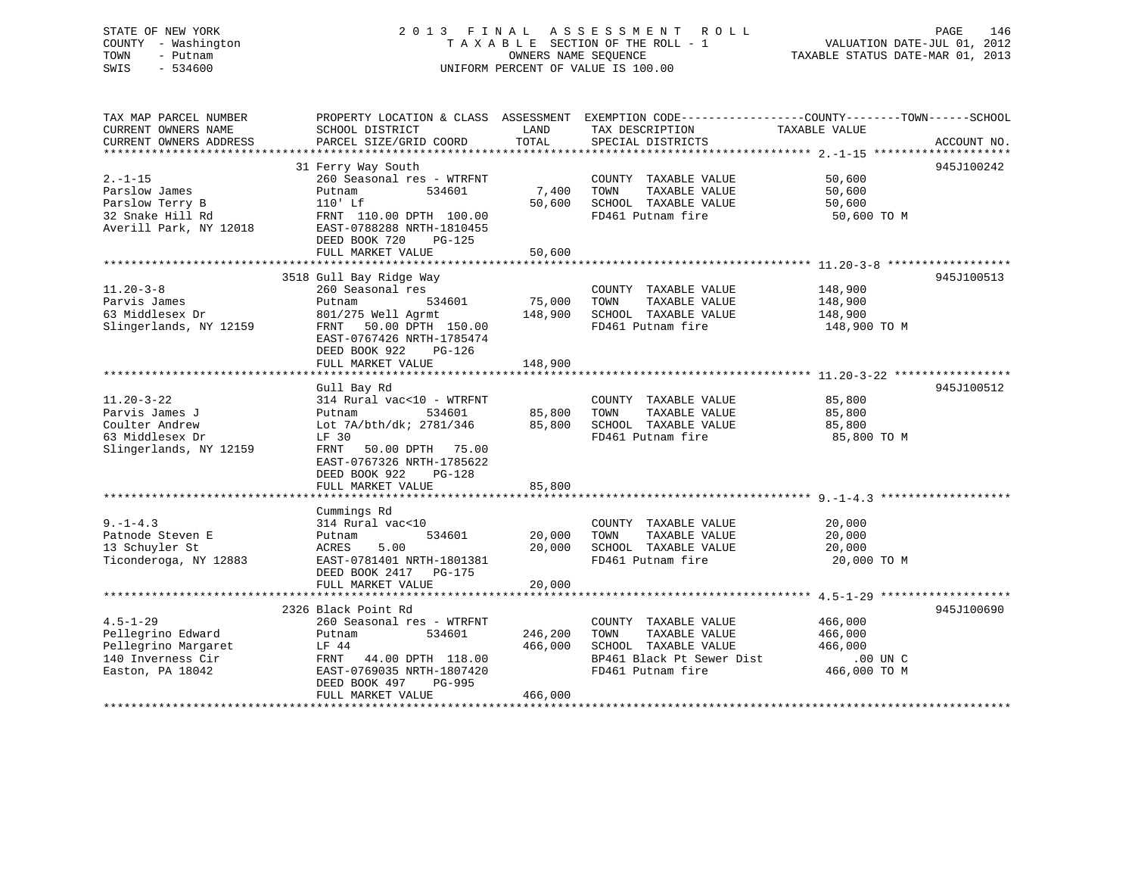# STATE OF NEW YORK 2 0 1 3 F I N A L A S S E S S M E N T R O L L PAGE 146 COUNTY - Washington T A X A B L E SECTION OF THE ROLL - 1 VALUATION DATE-JUL 01, 2012 TOWN - Putnam OWNERS NAME SEQUENCE TAXABLE STATUS DATE-MAR 01, 2013 SWIS - 534600 UNIFORM PERCENT OF VALUE IS 100.00

| TAX MAP PARCEL NUMBER                                         | PROPERTY LOCATION & CLASS ASSESSMENT EXEMPTION CODE---------------COUNTY-------TOWN-----SCHOOL      |               |                                                              |                  |             |
|---------------------------------------------------------------|-----------------------------------------------------------------------------------------------------|---------------|--------------------------------------------------------------|------------------|-------------|
| CURRENT OWNERS NAME<br>CURRENT OWNERS ADDRESS                 | SCHOOL DISTRICT<br>PARCEL SIZE/GRID COORD                                                           | LAND<br>TOTAL | TAX DESCRIPTION<br>SPECIAL DISTRICTS                         | TAXABLE VALUE    | ACCOUNT NO. |
|                                                               |                                                                                                     |               |                                                              |                  |             |
| $2. -1 - 15$<br>Parslow James                                 | 31 Ferry Way South<br>260 Seasonal res - WTRFNT<br>Putnam<br>534601                                 | 7,400 TOWN    | COUNTY TAXABLE VALUE<br>TAXABLE VALUE                        | 50,600<br>50,600 | 945J100242  |
| Parslow Terry B<br>32 Snake Hill Rd<br>Averill Park, NY 12018 | $110'$ Lf<br>FRNT 110.00 DPTH 100.00<br>EAST-0788288 NRTH-1810455<br>DEED BOOK 720<br>PG-125        |               | 50,600 SCHOOL TAXABLE VALUE<br>FD461 Putnam fire 50,600 TO M | 50,600           |             |
|                                                               | FULL MARKET VALUE                                                                                   | 50,600        |                                                              |                  |             |
|                                                               |                                                                                                     |               |                                                              |                  |             |
|                                                               | 3518 Gull Bay Ridge Way                                                                             |               |                                                              |                  | 945J100513  |
| $11.20 - 3 - 8$                                               | 260 Seasonal res                                                                                    |               | COUNTY TAXABLE VALUE                                         | 148,900          |             |
| Parvis James<br>53 Middlesex Dr                               | 534601<br>Putnam                                                                                    | 75,000 TOWN   | TAXABLE VALUE                                                | 148,900          |             |
| Slingerlands, NY 12159                                        | 801/275 Well Agrmt                                                                                  |               | 148,900 SCHOOL TAXABLE VALUE<br>FD461 Putnam fire            | 148,900          |             |
|                                                               | FRNT 50.00 DPTH 150.00<br>EAST-0767426 NRTH-1785474<br>DEED BOOK 922<br>PG-126<br>FULL MARKET VALUE | 148,900       | FD461 Putnam fire                                            | 148,900 TO M     |             |
|                                                               |                                                                                                     |               |                                                              |                  |             |
|                                                               | Gull Bay Rd                                                                                         |               |                                                              |                  | 945J100512  |
| $11.20 - 3 - 22$                                              | 314 Rural vac<10 - WTRFNT                                                                           |               | COUNTY TAXABLE VALUE                                         | 85,800           |             |
| Parvis James J                                                | vac<10 - WTRFNT COUNTY<br>534601 - 85,800 TOWN<br>Putnam                                            |               | TAXABLE VALUE                                                | 85,800           |             |
| Coulter Andrew                                                | Lot 7A/bth/dk; 2781/346 85,800 SCHOOL TAXABLE VALUE                                                 |               |                                                              | 85,800           |             |
| 63 Middlesex Dr                                               | LF 30                                                                                               |               | FD461 Putnam fire                                            | 85,800 TO M      |             |
| Slingerlands, NY 12159                                        | FRNT<br>50.00 DPTH 75.00<br>EAST-0767326 NRTH-1785622<br>DEED BOOK 922<br>PG-128                    |               |                                                              |                  |             |
|                                                               | FULL MARKET VALUE                                                                                   | 85,800        |                                                              |                  |             |
|                                                               |                                                                                                     |               |                                                              |                  |             |
|                                                               | Cummings Rd                                                                                         |               |                                                              |                  |             |
| $9. -1 - 4.3$                                                 | 314 Rural vac<10                                                                                    |               | COUNTY TAXABLE VALUE                                         | 20,000           |             |
| Patnode Steven E                                              | 534601<br>Putnam                                                                                    | 20,000        | TAXABLE VALUE<br>TOWN                                        | 20,000           |             |
| 13 Schuyler St                                                | 5.00<br>ACRES                                                                                       | 20,000        | SCHOOL TAXABLE VALUE                                         | 20,000           |             |
| Ticonderoga, NY 12883                                         | EAST-0781401 NRTH-1801381<br>DEED BOOK 2417 PG-175<br>FULL MARKET VALUE                             | 20,000        | FD461 Putnam fire                                            | 20,000 TO M      |             |
|                                                               |                                                                                                     |               |                                                              |                  |             |
|                                                               | 2326 Black Point Rd                                                                                 |               |                                                              |                  | 945J100690  |
| $4.5 - 1 - 29$                                                | 260 Seasonal res - WTRFNT                                                                           |               | COUNTY TAXABLE VALUE                                         | 466,000          |             |
| Pellegrino Edward                                             | 534601<br>Putnam                                                                                    | 246,200       | TOWN<br>TAXABLE VALUE                                        | 466,000          |             |
| Pellegrino Margaret                                           | LF 44                                                                                               | 466,000       | SCHOOL TAXABLE VALUE                                         | 466,000          |             |
| 140 Inverness Cir                                             | FRNT 44.00 DPTH 118.00                                                                              |               | BP461 Black Pt Sewer Dist .00 UN C                           |                  |             |
| Easton, PA 18042                                              | EAST-0769035 NRTH-1807420<br>DEED BOOK 497<br>PG-995<br>FULL MARKET VALUE                           | 466,000       | FD461 Putnam fire                                            | 466,000 TO M     |             |
|                                                               |                                                                                                     |               |                                                              |                  |             |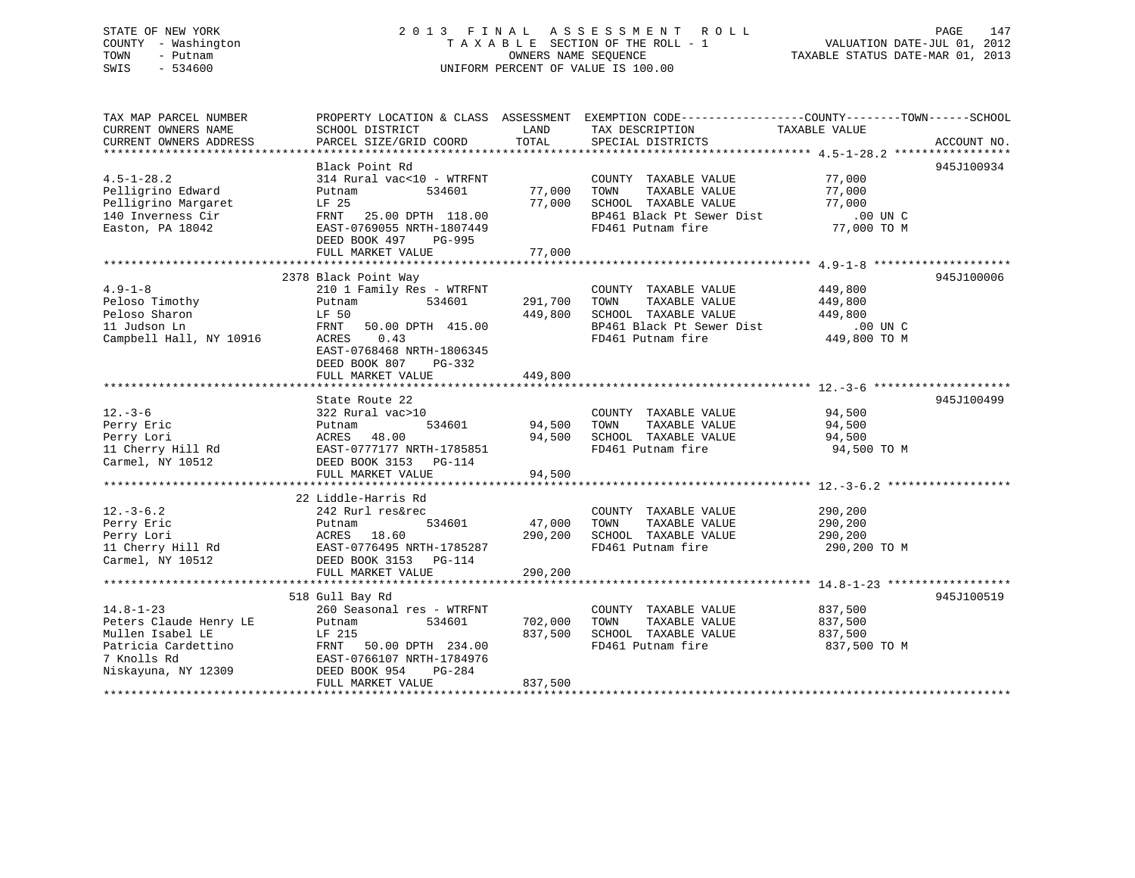# STATE OF NEW YORK 2 0 1 3 F I N A L A S S E S S M E N T R O L L PAGE 147 COUNTY - Washington T A X A B L E SECTION OF THE ROLL - 1 VALUATION DATE-JUL 01, 2012 TOWN - Putnam OWNERS NAME SEQUENCE TAXABLE STATUS DATE-MAR 01, 2013 SWIS - 534600 UNIFORM PERCENT OF VALUE IS 100.00

| 945J100934<br>Black Point Rd<br>$4.5 - 1 - 28.2$<br>314 Rural vac<10 - WTRFNT<br>77,000<br>COUNTY TAXABLE VALUE<br>Pelligrino Edward<br>77,000 TOWN<br>TAXABLE VALUE<br>77,000<br>534601<br>Putnam<br>77,000 SCHOOL TAXABLE VALUE<br>Pelligrino Margaret<br>LF 25<br>77,000<br>BP461 Black Pt Sewer Dist<br>$.00$ UN $C$<br>140 Inverness Cir<br>FRNT 25.00 DPTH 118.00<br>77,000 TO M<br>FD461 Putnam fire<br>Easton, PA 18042<br>EAST-0769055 NRTH-1807449<br>DEED BOOK 497 PG-995<br>77,000<br>FULL MARKET VALUE<br>945J100006<br>2378 Black Point Way<br>$4.9 - 1 - 8$<br>COUNTY TAXABLE VALUE 449,800<br>210 1 Family Res - WTRFNT<br>291,700 TOWN<br>Peloso Timothy<br>534601<br>TAXABLE VALUE<br>449,800<br>Putnam<br>449,800<br>449,800 SCHOOL TAXABLE VALUE<br>Peloso Sharon<br>LF 50<br>BP461 Black Pt Sewer Dist .00 UN C<br>ED461 Black Pt Sewer Dist .00 UN C<br>11 Judson Ln<br>FRNT<br>50.00 DPTH 415.00<br>Campbell Hall, NY 10916<br>0.43<br>ACRES<br>EAST-0768468 NRTH-1806345<br>DEED BOOK 807 PG-332<br>FULL MARKET VALUE<br>449,800<br>State Route 22<br>$12. - 3 - 6$<br>94,500<br>COUNTY TAXABLE VALUE<br>322 Rural vac>10<br>94,500 $\frac{C_{\text{Coulomb}}}{TOWN}$<br>534601<br>Perry Eric<br>TAXABLE VALUE<br>94,500<br>Putnam<br>Perry Lori<br>11 Cherry Hill Rd<br>Carmel, NY 10512<br>ACRES 48.00<br>94,500 SCHOOL TAXABLE VALUE 94,500<br>EAST-0777177 NRTH-1785851<br>FD461 Putnam fire<br>94,500 TO M<br>DEED BOOK 3153 PG-114<br>94,500<br>FULL MARKET VALUE<br>22 Liddle-Harris Rd<br>$12. - 3 - 6.2$<br>242 Rurl res&rec<br>COUNTY TAXABLE VALUE<br>290,200<br>534601<br>47,000<br>TOWN<br>TAXABLE VALUE<br>290,200<br>290,200 SCHOOL TAXABLE VALUE<br>290,200<br>FD461 Putnam fire<br>290,200 TO M<br>DEED BOOK 3153 PG-114<br>Carmel, NY 10512<br>290,200<br>FULL MARKET VALUE<br>518 Gull Bay Rd<br>945J100519<br>$14.8 - 1 - 23$<br>260 Seasonal res - WTRFNT<br>COUNTY TAXABLE VALUE<br>837,500<br>Peters Claude Henry LE<br>702,000<br>TAXABLE VALUE<br>534601<br>TOWN<br>837,500<br>Putnam<br>837,500<br>Mullen Isabel LE<br>LF 215<br>837,500<br>SCHOOL TAXABLE VALUE<br>Patricia Cardettino<br>FRNT 50.00 DPTH 234.00<br>FD461 Putnam fire<br>837,500 TO M<br>7 Knolls Rd<br>EAST-0766107 NRTH-1784976<br>Niskayuna, NY 12309<br>DEED BOOK 954<br>PG-284<br>FULL MARKET VALUE<br>837,500 | TAX MAP PARCEL NUMBER<br>CURRENT OWNERS NAME | SCHOOL DISTRICT        | LAND  | PROPERTY LOCATION & CLASS ASSESSMENT EXEMPTION CODE--------------COUNTY-------TOWN-----SCHOOL<br>TAX DESCRIPTION | TAXABLE VALUE |             |
|----------------------------------------------------------------------------------------------------------------------------------------------------------------------------------------------------------------------------------------------------------------------------------------------------------------------------------------------------------------------------------------------------------------------------------------------------------------------------------------------------------------------------------------------------------------------------------------------------------------------------------------------------------------------------------------------------------------------------------------------------------------------------------------------------------------------------------------------------------------------------------------------------------------------------------------------------------------------------------------------------------------------------------------------------------------------------------------------------------------------------------------------------------------------------------------------------------------------------------------------------------------------------------------------------------------------------------------------------------------------------------------------------------------------------------------------------------------------------------------------------------------------------------------------------------------------------------------------------------------------------------------------------------------------------------------------------------------------------------------------------------------------------------------------------------------------------------------------------------------------------------------------------------------------------------------------------------------------------------------------------------------------------------------------------------------------------------------------------------------------------------------------------------------------------------------------------------------------------------------------------------------------------------------------------------------------------------------|----------------------------------------------|------------------------|-------|------------------------------------------------------------------------------------------------------------------|---------------|-------------|
|                                                                                                                                                                                                                                                                                                                                                                                                                                                                                                                                                                                                                                                                                                                                                                                                                                                                                                                                                                                                                                                                                                                                                                                                                                                                                                                                                                                                                                                                                                                                                                                                                                                                                                                                                                                                                                                                                                                                                                                                                                                                                                                                                                                                                                                                                                                                        | CURRENT OWNERS ADDRESS                       | PARCEL SIZE/GRID COORD | TOTAL | SPECIAL DISTRICTS                                                                                                |               | ACCOUNT NO. |
|                                                                                                                                                                                                                                                                                                                                                                                                                                                                                                                                                                                                                                                                                                                                                                                                                                                                                                                                                                                                                                                                                                                                                                                                                                                                                                                                                                                                                                                                                                                                                                                                                                                                                                                                                                                                                                                                                                                                                                                                                                                                                                                                                                                                                                                                                                                                        |                                              |                        |       |                                                                                                                  |               |             |
|                                                                                                                                                                                                                                                                                                                                                                                                                                                                                                                                                                                                                                                                                                                                                                                                                                                                                                                                                                                                                                                                                                                                                                                                                                                                                                                                                                                                                                                                                                                                                                                                                                                                                                                                                                                                                                                                                                                                                                                                                                                                                                                                                                                                                                                                                                                                        |                                              |                        |       |                                                                                                                  |               |             |
|                                                                                                                                                                                                                                                                                                                                                                                                                                                                                                                                                                                                                                                                                                                                                                                                                                                                                                                                                                                                                                                                                                                                                                                                                                                                                                                                                                                                                                                                                                                                                                                                                                                                                                                                                                                                                                                                                                                                                                                                                                                                                                                                                                                                                                                                                                                                        |                                              |                        |       |                                                                                                                  |               |             |
|                                                                                                                                                                                                                                                                                                                                                                                                                                                                                                                                                                                                                                                                                                                                                                                                                                                                                                                                                                                                                                                                                                                                                                                                                                                                                                                                                                                                                                                                                                                                                                                                                                                                                                                                                                                                                                                                                                                                                                                                                                                                                                                                                                                                                                                                                                                                        |                                              |                        |       |                                                                                                                  |               |             |
|                                                                                                                                                                                                                                                                                                                                                                                                                                                                                                                                                                                                                                                                                                                                                                                                                                                                                                                                                                                                                                                                                                                                                                                                                                                                                                                                                                                                                                                                                                                                                                                                                                                                                                                                                                                                                                                                                                                                                                                                                                                                                                                                                                                                                                                                                                                                        |                                              |                        |       |                                                                                                                  |               | 945J100499  |
|                                                                                                                                                                                                                                                                                                                                                                                                                                                                                                                                                                                                                                                                                                                                                                                                                                                                                                                                                                                                                                                                                                                                                                                                                                                                                                                                                                                                                                                                                                                                                                                                                                                                                                                                                                                                                                                                                                                                                                                                                                                                                                                                                                                                                                                                                                                                        |                                              |                        |       |                                                                                                                  |               |             |
|                                                                                                                                                                                                                                                                                                                                                                                                                                                                                                                                                                                                                                                                                                                                                                                                                                                                                                                                                                                                                                                                                                                                                                                                                                                                                                                                                                                                                                                                                                                                                                                                                                                                                                                                                                                                                                                                                                                                                                                                                                                                                                                                                                                                                                                                                                                                        |                                              |                        |       |                                                                                                                  |               |             |
|                                                                                                                                                                                                                                                                                                                                                                                                                                                                                                                                                                                                                                                                                                                                                                                                                                                                                                                                                                                                                                                                                                                                                                                                                                                                                                                                                                                                                                                                                                                                                                                                                                                                                                                                                                                                                                                                                                                                                                                                                                                                                                                                                                                                                                                                                                                                        |                                              |                        |       |                                                                                                                  |               |             |
|                                                                                                                                                                                                                                                                                                                                                                                                                                                                                                                                                                                                                                                                                                                                                                                                                                                                                                                                                                                                                                                                                                                                                                                                                                                                                                                                                                                                                                                                                                                                                                                                                                                                                                                                                                                                                                                                                                                                                                                                                                                                                                                                                                                                                                                                                                                                        |                                              |                        |       |                                                                                                                  |               |             |
|                                                                                                                                                                                                                                                                                                                                                                                                                                                                                                                                                                                                                                                                                                                                                                                                                                                                                                                                                                                                                                                                                                                                                                                                                                                                                                                                                                                                                                                                                                                                                                                                                                                                                                                                                                                                                                                                                                                                                                                                                                                                                                                                                                                                                                                                                                                                        |                                              |                        |       |                                                                                                                  |               |             |
|                                                                                                                                                                                                                                                                                                                                                                                                                                                                                                                                                                                                                                                                                                                                                                                                                                                                                                                                                                                                                                                                                                                                                                                                                                                                                                                                                                                                                                                                                                                                                                                                                                                                                                                                                                                                                                                                                                                                                                                                                                                                                                                                                                                                                                                                                                                                        |                                              |                        |       |                                                                                                                  |               |             |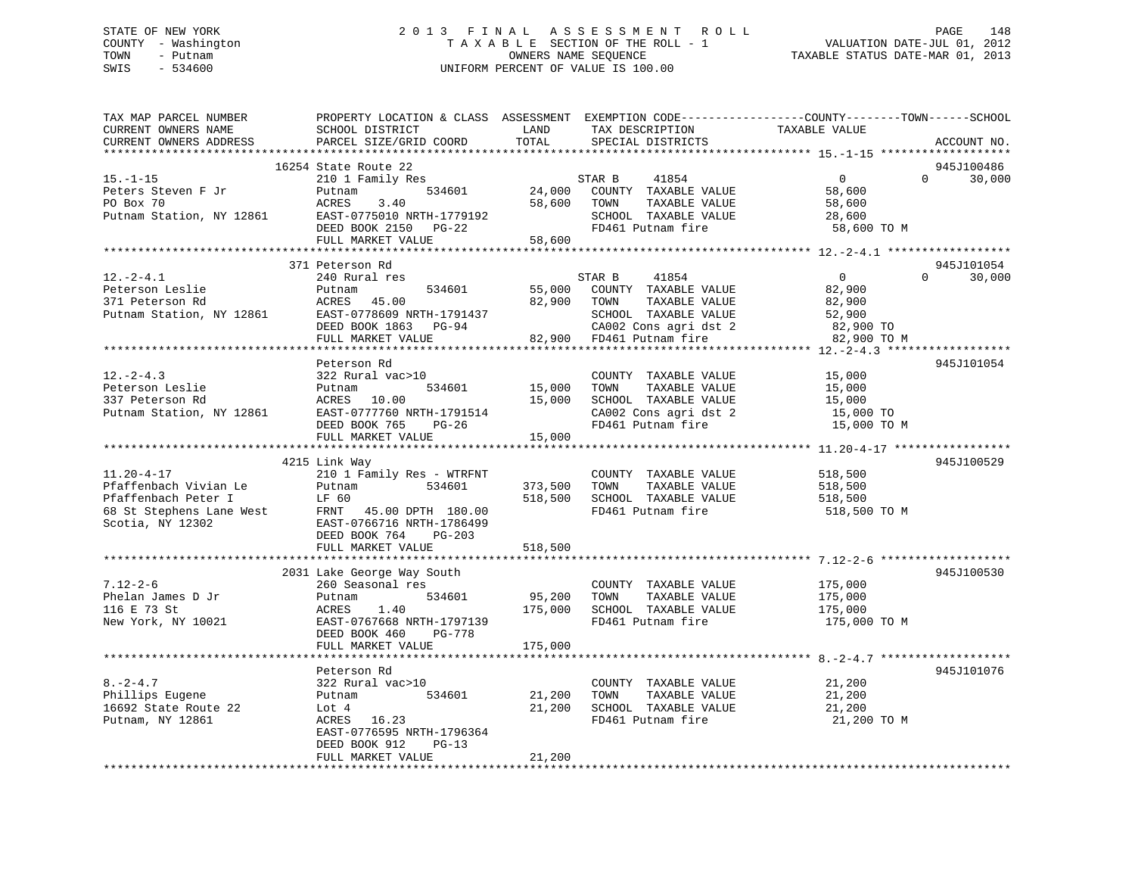# STATE OF NEW YORK 2 0 1 3 F I N A L A S S E S S M E N T R O L L PAGE 148 COUNTY - Washington T A X A B L E SECTION OF THE ROLL - 1 VALUATION DATE-JUL 01, 2012 TOWN - Putnam OWNERS NAME SEQUENCE TAXABLE STATUS DATE-MAR 01, 2013 SWIS - 534600 UNIFORM PERCENT OF VALUE IS 100.00UNIFORM PERCENT OF VALUE IS 100.00

| TAX MAP PARCEL NUMBER<br>CURRENT OWNERS NAME<br>CURRENT OWNERS ADDRESS               | PROPERTY LOCATION & CLASS ASSESSMENT<br>SCHOOL DISTRICT<br>PARCEL SIZE/GRID COORD                                                                                       | LAND<br>TOTAL                | TAX DESCRIPTION<br>SPECIAL DISTRICTS                                                                                                  | EXEMPTION CODE-----------------COUNTY-------TOWN------SCHOOL<br>TAXABLE VALUE | ACCOUNT NO.                      |
|--------------------------------------------------------------------------------------|-------------------------------------------------------------------------------------------------------------------------------------------------------------------------|------------------------------|---------------------------------------------------------------------------------------------------------------------------------------|-------------------------------------------------------------------------------|----------------------------------|
|                                                                                      | **************************                                                                                                                                              |                              |                                                                                                                                       |                                                                               |                                  |
| $15. - 1 - 15$<br>Peters Steven F Jr<br>PO Box 70<br>Putnam Station, NY 12861        | 16254 State Route 22<br>210 1 Family Res<br>534601<br>Putnam<br>ACRES<br>3.40<br>EAST-0775010 NRTH-1779192<br>DEED BOOK 2150 PG-22<br>FULL MARKET VALUE                 | 24,000<br>58,600<br>58,600   | 41854<br>STAR B<br>COUNTY TAXABLE VALUE<br>TAXABLE VALUE<br>TOWN<br>SCHOOL TAXABLE VALUE<br>FD461 Putnam fire                         | $\overline{0}$<br>58,600<br>58,600<br>28,600<br>58,600 TO M                   | 945J100486<br>$\Omega$<br>30,000 |
|                                                                                      |                                                                                                                                                                         |                              |                                                                                                                                       |                                                                               |                                  |
| $12.-2-4.1$<br>Peterson Leslie<br>371 Peterson Rd<br>Putnam Station, NY 12861        | 371 Peterson Rd<br>240 Rural res<br>534601<br>Putnam<br>ACRES<br>45.00<br>EAST-0778609 NRTH-1791437<br>DEED BOOK 1863 PG-94<br>FULL MARKET VALUE                        | 55,000<br>82,900 TOWN        | STAR B<br>41854<br>COUNTY TAXABLE VALUE<br>TAXABLE VALUE<br>SCHOOL TAXABLE VALUE<br>CA002 Cons agri dst 2<br>82,900 FD461 Putnam fire | $\overline{0}$<br>82,900<br>82,900<br>52,900<br>82,900 TO<br>82,900 TO M      | 945J101054<br>30,000<br>$\Omega$ |
|                                                                                      |                                                                                                                                                                         |                              |                                                                                                                                       |                                                                               |                                  |
| $12. - 2 - 4.3$<br>Peterson Leslie<br>337 Peterson Rd<br>Putnam Station, NY 12861    | Peterson Rd<br>322 Rural vac>10<br>534601<br>Putnam<br>ACRES 10.00<br>EAST-0777760 NRTH-1791514<br>DEED BOOK 765<br>PG-26<br>FULL MARKET VALUE                          | 15,000<br>15,000<br>15,000   | COUNTY TAXABLE VALUE<br>TOWN<br>TAXABLE VALUE<br>SCHOOL TAXABLE VALUE<br>CA002 Cons agri dst 2<br>FD461 Putnam fire                   | 15,000<br>15,000<br>15,000<br>15,000 TO<br>15,000 TO M                        | 945J101054                       |
|                                                                                      |                                                                                                                                                                         |                              |                                                                                                                                       |                                                                               |                                  |
| $11.20 - 4 - 17$<br>Pfaffenbach Vivian Le<br>Pfaffenbach Peter I<br>Scotia, NY 12302 | 4215 Link Way<br>210 1 Family Res - WTRFNT<br>534601<br>Putnam<br>LF 60<br>FRNT 45.00 DPTH 180.00<br>EAST-0766716 NRTH-1786499<br>DEED BOOK 764<br>$PG-203$             | 373,500<br>518,500           | COUNTY TAXABLE VALUE<br>TAXABLE VALUE<br>TOWN<br>SCHOOL TAXABLE VALUE<br>FD461 Putnam fire                                            | 518,500<br>518,500<br>518,500<br>518,500 TO M                                 | 945J100529                       |
|                                                                                      | FULL MARKET VALUE                                                                                                                                                       | 518,500                      |                                                                                                                                       |                                                                               |                                  |
| $7.12 - 2 - 6$<br>Phelan James D Jr<br>116 E 73 St<br>New York, NY 10021             | 2031 Lake George Way South<br>260 Seasonal res<br>534601<br>Putnam<br>1.40<br>ACRES<br>EAST-0767668 NRTH-1797139<br>DEED BOOK 460<br><b>PG-778</b><br>FULL MARKET VALUE | 95,200<br>175,000<br>175,000 | COUNTY TAXABLE VALUE<br>TAXABLE VALUE<br>TOWN<br>SCHOOL TAXABLE VALUE<br>FD461 Putnam fire                                            | 175,000<br>175,000<br>175,000<br>175,000 TO M                                 | 945J100530                       |
|                                                                                      |                                                                                                                                                                         |                              |                                                                                                                                       |                                                                               |                                  |
| $8. -2 - 4.7$<br>Phillips Eugene<br>16692 State Route 22<br>Putnam, NY 12861         | Peterson Rd<br>322 Rural vac>10<br>534601<br>Putnam<br>Lot 4<br>ACRES 16.23<br>EAST-0776595 NRTH-1796364<br>DEED BOOK 912<br>$PG-13$<br>FULL MARKET VALUE               | 21,200<br>21,200<br>21,200   | COUNTY TAXABLE VALUE<br>TOWN<br>TAXABLE VALUE<br>SCHOOL TAXABLE VALUE<br>FD461 Putnam fire                                            | 21,200<br>21,200<br>21,200<br>21,200 TO M                                     | 945J101076                       |
| <b>++++++++++++++++++++++++++</b>                                                    |                                                                                                                                                                         |                              |                                                                                                                                       |                                                                               |                                  |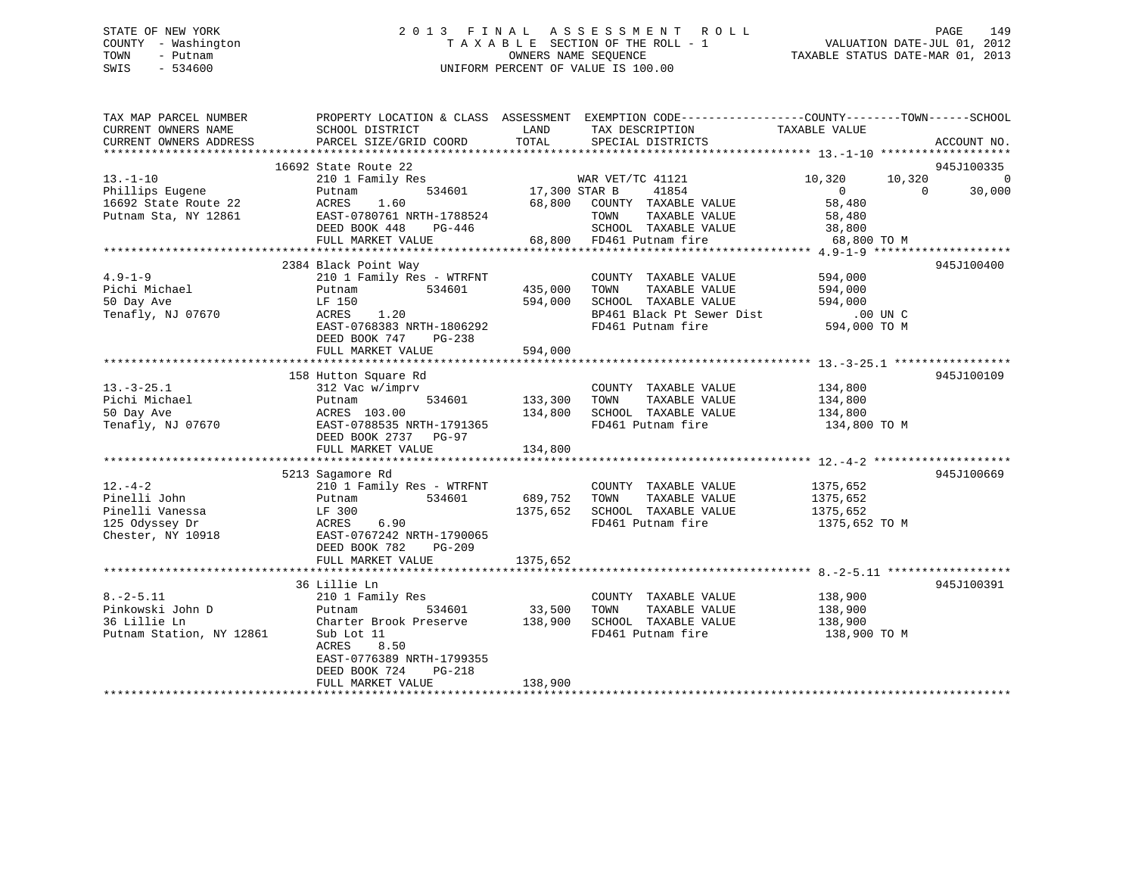# STATE OF NEW YORK 2 0 1 3 F I N A L A S S E S S M E N T R O L L PAGE 149 COUNTY - Washington T A X A B L E SECTION OF THE ROLL - 1 VALUATION DATE-JUL 01, 2012 TOWN - Putnam OWNERS NAME SEQUENCE TAXABLE STATUS DATE-MAR 01, 2013 SWIS - 534600 UNIFORM PERCENT OF VALUE IS 100.00

| TAX MAP PARCEL NUMBER<br>CURRENT OWNERS NAME                                    | SCHOOL DISTRICT                                                                                                                                                                                                    | LAND                                 | PROPERTY LOCATION & CLASS ASSESSMENT EXEMPTION CODE---------------COUNTY-------TOWN-----SCHOOL<br>TAX DESCRIPTION | TAXABLE VALUE                                     |                                                      |
|---------------------------------------------------------------------------------|--------------------------------------------------------------------------------------------------------------------------------------------------------------------------------------------------------------------|--------------------------------------|-------------------------------------------------------------------------------------------------------------------|---------------------------------------------------|------------------------------------------------------|
| CURRENT OWNERS ADDRESS                                                          | PARCEL SIZE/GRID COORD                                                                                                                                                                                             | TOTAL                                | SPECIAL DISTRICTS                                                                                                 |                                                   | ACCOUNT NO.                                          |
|                                                                                 | 16692 State Route 22                                                                                                                                                                                               |                                      |                                                                                                                   |                                                   | 945J100335                                           |
| $13.-1-10$<br>Phillips Eugene                                                   | 210 1 Family Res<br>534601<br>Putnam                                                                                                                                                                               | 17,300 STAR B                        | WAR VET/TC 41121<br>41854                                                                                         | 10,320<br>$\overline{0}$                          | 10,320<br>$\overline{0}$<br>30,000<br>$\overline{0}$ |
| 16692 State Route 22<br>Putnam Sta, NY 12861                                    | ACRES 1.60 68,800 COUNTY TAXABLE VALUE 58,480<br>EAST-0780761 NRTH-1788524 TOWN TAXABLE VALUE 58,480<br>DEED BOOK 448 PG-446 SCHOOL TAXABLE VALUE 38,800<br>FULL MARKET VALUE 68,800 FD461 Putnam fire 68,800 TO M |                                      |                                                                                                                   |                                                   |                                                      |
|                                                                                 |                                                                                                                                                                                                                    |                                      |                                                                                                                   |                                                   |                                                      |
|                                                                                 |                                                                                                                                                                                                                    |                                      |                                                                                                                   |                                                   |                                                      |
| $4.9 - 1 - 9$<br>Pichi Michael<br>EQ Day Ave<br>50 Day Ave<br>Tenafly, NJ 07670 | 2384 Black Point Way<br>210 1 Family Res - WTRFNT<br>534601<br>Putnam<br>LF 150<br>1.20<br>ACRES                                                                                                                   | 435,000<br>594,000                   | COUNTY TAXABLE VALUE 594,000<br>TOWN<br>TAXABLE VALUE<br>SCHOOL TAXABLE VALUE                                     | 594,000<br>594,000                                | 945J100400                                           |
|                                                                                 | $\frac{1}{2}$ EAST-0768383 NRTH-1806292<br>DEED BOOK 747 PG-238<br>FULL MARKET VALUE                                                                                                                               | 594,000                              | BP461 Black Pt Sewer Dist .00 UN C<br>FD461 Putnam fire 594,000 TO M                                              |                                                   |                                                      |
|                                                                                 |                                                                                                                                                                                                                    |                                      |                                                                                                                   |                                                   |                                                      |
| $13. - 3 - 25.1$<br>Pichi Michael<br>50 Day Ave<br>50 Day Ave                   | 158 Hutton Square Rd<br>312 Vac w/imprv<br>Putnam<br>Putnam<br>ACRES 103.00<br>Tenafly, NJ 07670 EAST-0788535 NRTH-1791365<br>DEED BOOK 2737 PG-97<br>FULL MARKET VALUE                                            | 534601 133,300<br>134,800<br>134,800 | COUNTY TAXABLE VALUE 134,800<br>TAXABLE VALUE<br>TOWN<br>SCHOOL TAXABLE VALUE<br>FD461 Putnam fire                | 134,800<br>134,800<br>134,800 TO M                | 945J100109                                           |
|                                                                                 |                                                                                                                                                                                                                    |                                      |                                                                                                                   |                                                   |                                                      |
| $12. - 4 - 2$                                                                   | 5213 Sagamore Rd<br>210 1 Family Res - WTRFNT<br>534601 689,752 TOWN<br>Chester, NY 10918 EAST-0767242 NRTH-1790065<br>DEED BOOK 782<br>PG-209<br>FULL MARKET VALUE                                                | 1375,652<br>1375,652                 | COUNTY TAXABLE VALUE<br>TAXABLE VALUE<br>SCHOOL TAXABLE VALUE<br>FD461 Putnam fire                                | 1375,652<br>1375,652<br>1375,652<br>1375,652 TO M | 945J100669                                           |
|                                                                                 |                                                                                                                                                                                                                    |                                      |                                                                                                                   |                                                   |                                                      |
| $8. - 2 - 5.11$<br>Pinkowski John D<br>36 Lillie Ln<br>Putnam Station, NY 12861 | 36 Lillie Ln<br>210 1 Family Res<br>Putnam<br>Charter Brook Preserve 138,900<br>Sub Lot 11<br>ACRES<br>8.50<br>EAST-0776389 NRTH-1799355<br>DEED BOOK 724                                                          | 534601 33,500 TOWN                   | COUNTY TAXABLE VALUE 138,900<br>TOWN TAXABLE VALUE 138,900<br>SCHOOL TAXABLE VALUE<br>FD461 Putnam fire           | 138,900<br>138,900 TO M                           | 945J100391                                           |
|                                                                                 | PG-218<br>FULL MARKET VALUE                                                                                                                                                                                        | 138,900                              |                                                                                                                   |                                                   |                                                      |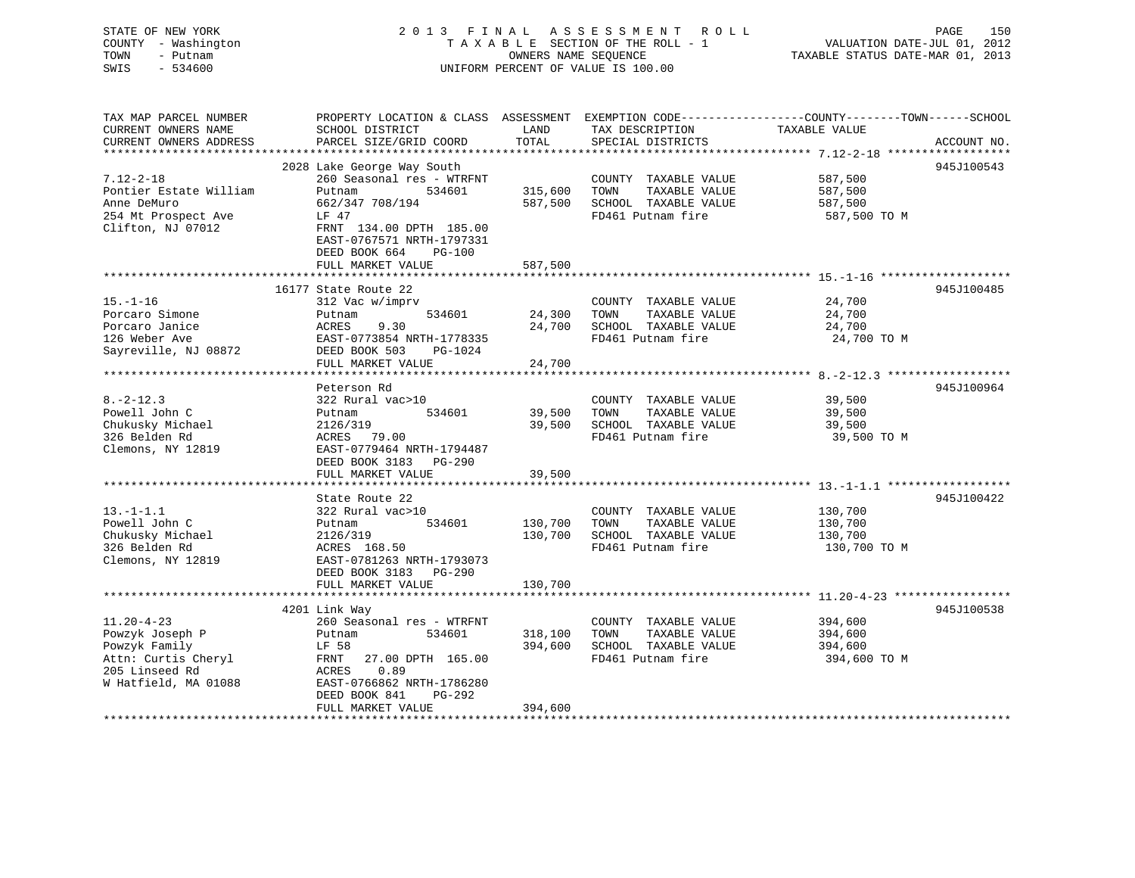# STATE OF NEW YORK 2 0 1 3 F I N A L A S S E S S M E N T R O L L PAGE 150 COUNTY - Washington T A X A B L E SECTION OF THE ROLL - 1 VALUATION DATE-JUL 01, 2012 TOWN - Putnam OWNERS NAME SEQUENCE TAXABLE STATUS DATE-MAR 01, 2013 SWIS - 534600 UNIFORM PERCENT OF VALUE IS 100.00

| TAX MAP PARCEL NUMBER  | PROPERTY LOCATION & CLASS ASSESSMENT |         | EXEMPTION CODE-----------------COUNTY-------TOWN------SCHOOL |               |             |
|------------------------|--------------------------------------|---------|--------------------------------------------------------------|---------------|-------------|
| CURRENT OWNERS NAME    | SCHOOL DISTRICT                      | LAND    | TAX DESCRIPTION                                              | TAXABLE VALUE |             |
| CURRENT OWNERS ADDRESS | PARCEL SIZE/GRID COORD               | TOTAL   | SPECIAL DISTRICTS                                            |               | ACCOUNT NO. |
|                        |                                      |         |                                                              |               |             |
|                        | 2028 Lake George Way South           |         |                                                              |               | 945J100543  |
| $7.12 - 2 - 18$        | 260 Seasonal res - WTRFNT            |         | COUNTY TAXABLE VALUE                                         | 587,500       |             |
| Pontier Estate William | Putnam<br>534601                     | 315,600 | TOWN<br>TAXABLE VALUE                                        | 587,500       |             |
| Anne DeMuro            | 662/347 708/194                      | 587,500 | SCHOOL TAXABLE VALUE                                         | 587,500       |             |
| 254 Mt Prospect Ave    | LF 47                                |         | FD461 Putnam fire                                            | 587,500 TO M  |             |
| Clifton, NJ 07012      | FRNT 134.00 DPTH 185.00              |         |                                                              |               |             |
|                        | EAST-0767571 NRTH-1797331            |         |                                                              |               |             |
|                        | DEED BOOK 664<br><b>PG-100</b>       |         |                                                              |               |             |
|                        | FULL MARKET VALUE                    | 587,500 |                                                              |               |             |
|                        |                                      |         |                                                              |               |             |
|                        | 16177 State Route 22                 |         |                                                              |               | 945J100485  |
| $15. - 1 - 16$         | 312 Vac w/imprv                      |         | COUNTY TAXABLE VALUE                                         | 24,700        |             |
| Porcaro Simone         | 534601<br>Putnam                     | 24,300  | TOWN<br>TAXABLE VALUE                                        | 24,700        |             |
| Porcaro Janice         | 9.30<br>ACRES                        | 24,700  | SCHOOL TAXABLE VALUE                                         | 24,700        |             |
| 126 Weber Ave          | EAST-0773854 NRTH-1778335            |         | FD461 Putnam fire                                            | 24,700 TO M   |             |
| Sayreville, NJ 08872   | DEED BOOK 503<br>PG-1024             |         |                                                              |               |             |
|                        | FULL MARKET VALUE                    | 24,700  |                                                              |               |             |
|                        |                                      |         |                                                              |               |             |
|                        | Peterson Rd                          |         |                                                              |               | 945J100964  |
| $8. - 2 - 12.3$        | 322 Rural vac>10                     |         | COUNTY TAXABLE VALUE                                         | 39,500        |             |
| Powell John C          | 534601<br>Putnam                     | 39,500  | TAXABLE VALUE<br>TOWN                                        | 39,500        |             |
| Chukusky Michael       | 2126/319                             | 39,500  | SCHOOL TAXABLE VALUE                                         | 39,500        |             |
| 326 Belden Rd          | ACRES 79.00                          |         | FD461 Putnam fire                                            | 39,500 TO M   |             |
| Clemons, NY 12819      | EAST-0779464 NRTH-1794487            |         |                                                              |               |             |
|                        | DEED BOOK 3183 PG-290                |         |                                                              |               |             |
|                        | FULL MARKET VALUE                    | 39,500  |                                                              |               |             |
|                        |                                      |         |                                                              |               |             |
|                        | State Route 22                       |         |                                                              |               | 945J100422  |
| $13. - 1 - 1.1$        | 322 Rural vac>10                     |         | COUNTY TAXABLE VALUE                                         | 130,700       |             |
| Powell John C          | 534601<br>Putnam                     | 130,700 | TAXABLE VALUE<br>TOWN                                        | 130,700       |             |
| Chukusky Michael       | 2126/319                             | 130,700 | SCHOOL TAXABLE VALUE                                         | 130,700       |             |
| 326 Belden Rd          | ACRES 168.50<br>EAST-0781263         |         | FD461 Putnam fire                                            | 130,700 TO M  |             |
| Clemons, NY 12819      | EAST-0781263 NRTH-1793073            |         |                                                              |               |             |
|                        | DEED BOOK 3183 PG-290                |         |                                                              |               |             |
|                        | FULL MARKET VALUE                    | 130,700 |                                                              |               |             |
|                        |                                      |         |                                                              |               |             |
|                        | 4201 Link Way                        |         |                                                              |               | 945J100538  |
| $11.20 - 4 - 23$       | 260 Seasonal res - WTRFNT            |         | COUNTY TAXABLE VALUE 394,600                                 |               |             |
| Powzyk Joseph P        | 534601<br>Putnam                     | 318,100 | TOWN<br>TAXABLE VALUE                                        | 394,600       |             |
| Powzyk Family          | LF 58                                | 394,600 | SCHOOL TAXABLE VALUE                                         | 394,600       |             |
| Attn: Curtis Cheryl    | FRNT 27.00 DPTH 165.00               |         | FD461 Putnam fire                                            | 394,600 TO M  |             |
| 205 Linseed Rd         | 0.89<br>ACRES                        |         |                                                              |               |             |
| W Hatfield, MA 01088   | EAST-0766862 NRTH-1786280            |         |                                                              |               |             |
|                        | DEED BOOK 841<br>PG-292              |         |                                                              |               |             |
|                        | FULL MARKET VALUE                    | 394,600 |                                                              |               |             |
|                        |                                      |         |                                                              |               |             |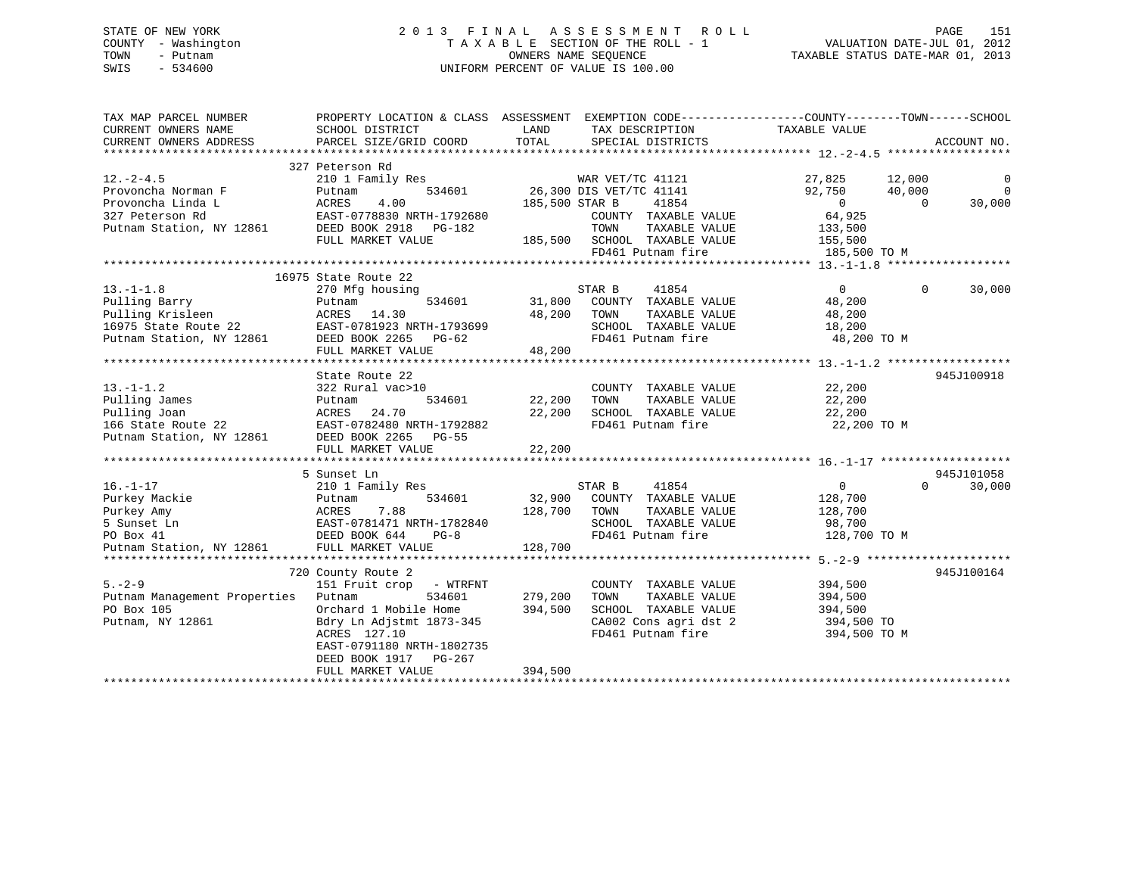# STATE OF NEW YORK 2 0 1 3 F I N A L A S S E S S M E N T R O L L PAGE 151 COUNTY - Washington T A X A B L E SECTION OF THE ROLL - 1 VALUATION DATE-JUL 01, 2012 TOWN - Putnam **CONNERS NAME SEQUENCE** TAXABLE STATUS DATE-MAR 01, 2013 SWIS - 534600 UNIFORM PERCENT OF VALUE IS 100.00

| TAX MAP PARCEL NUMBER<br>CURRENT OWNERS NAME | PROPERTY LOCATION & CLASS ASSESSMENT<br>SCHOOL DISTRICT | LAND           | TAX DESCRIPTION                                      | EXEMPTION CODE-----------------COUNTY--------TOWN------SCHOOL<br>TAXABLE VALUE |                    |
|----------------------------------------------|---------------------------------------------------------|----------------|------------------------------------------------------|--------------------------------------------------------------------------------|--------------------|
| CURRENT OWNERS ADDRESS                       | PARCEL SIZE/GRID COORD                                  | TOTAL          | SPECIAL DISTRICTS                                    |                                                                                | ACCOUNT NO.        |
|                                              |                                                         |                |                                                      |                                                                                |                    |
| $12.-2-4.5$                                  | 327 Peterson Rd<br>210 1 Family Res                     |                | WAR VET/IC 711-1<br>26,300 DIS VET/TC 41141<br>41854 | 27,825<br>12,000                                                               | 0                  |
| Provoncha Norman F                           | 534601<br>Putnam                                        |                |                                                      | 92,750<br>40,000                                                               | $\mathbf 0$        |
| Provoncha Linda L                            | ACRES<br>4.00                                           | 185,500 STAR B |                                                      | $\Omega$                                                                       | 30,000<br>$\Omega$ |
| 327 Peterson Rd                              | EAST-0778830 NRTH-1792680                               |                | COUNTY TAXABLE VALUE                                 | 64,925                                                                         |                    |
| Putnam Station, NY 12861                     | DEED BOOK 2918 PG-182                                   |                | TOWN<br>TAXABLE VALUE                                | 133,500                                                                        |                    |
|                                              | FULL MARKET VALUE                                       |                | 185,500 SCHOOL TAXABLE VALUE                         | 155,500                                                                        |                    |
|                                              |                                                         |                | FD461 Putnam fire                                    | 185,500 TO M                                                                   |                    |
|                                              |                                                         |                |                                                      |                                                                                |                    |
|                                              | 16975 State Route 22                                    |                |                                                      |                                                                                |                    |
| $13.-1-1.8$                                  | 270 Mfg housing                                         |                | STAR B<br>41854                                      | $\overline{0}$                                                                 | 30,000<br>$\Omega$ |
| Pulling Barry                                | 534601<br>Putnam                                        | 31,800         | COUNTY TAXABLE VALUE                                 | 48,200                                                                         |                    |
| Pulling Krisleen                             | ACRES 14.30                                             | 48,200         | TOWN<br>TAXABLE VALUE                                | 48,200                                                                         |                    |
| 16975 State Route 22                         |                                                         |                | SCHOOL TAXABLE VALUE                                 | 18,200                                                                         |                    |
| Putnam Station, NY 12861                     |                                                         |                | FD461 Putnam fire                                    | 48,200 TO M                                                                    |                    |
|                                              | FULL MARKET VALUE                                       | 48,200         |                                                      |                                                                                |                    |
|                                              |                                                         |                |                                                      |                                                                                |                    |
|                                              | State Route 22                                          |                |                                                      |                                                                                | 945J100918         |
| $13. - 1 - 1.2$                              | 322 Rural vac>10                                        |                | COUNTY TAXABLE VALUE                                 | 22,200                                                                         |                    |
| Pulling James                                | 534601<br>Putnam                                        | 22,200         | TOWN<br>TAXABLE VALUE                                | 22,200                                                                         |                    |
| Pulling Joan                                 | ACRES<br>24.70                                          | 22,200         | SCHOOL TAXABLE VALUE                                 | 22,200                                                                         |                    |
| 166 State Route 22                           | EAST-0782480 NRTH-1792882                               |                | FD461 Putnam fire                                    | 22,200 TO M                                                                    |                    |
| Putnam Station, NY 12861                     | DEED BOOK 2265 PG-55                                    |                |                                                      |                                                                                |                    |
|                                              | FULL MARKET VALUE                                       | 22,200         |                                                      |                                                                                |                    |
|                                              |                                                         |                |                                                      |                                                                                |                    |
|                                              | 5 Sunset Ln                                             |                |                                                      |                                                                                | 945J101058         |
| $16. - 1 - 17$                               | 210 1 Family Res                                        |                | STAR B<br>41854                                      | 0                                                                              | $\Omega$<br>30,000 |
| Purkey Mackie                                | 534601<br>Putnam                                        | 32,900         | COUNTY TAXABLE VALUE                                 | 128,700                                                                        |                    |
| Purkey Amy                                   | 7.88<br>ACRES                                           | 128,700        | TOWN<br>TAXABLE VALUE                                | 128,700                                                                        |                    |
| 5 Sunset Ln                                  | EAST-0781471 NRTH-1782840                               |                | SCHOOL TAXABLE VALUE                                 | 98,700                                                                         |                    |
| PO Box 41                                    | DEED BOOK 644<br>$PG-8$                                 |                | FD461 Putnam fire                                    | 128,700 TO M                                                                   |                    |
| Putnam Station, NY 12861                     | DEED BOOK 644 I<br>FULL MARKET VALUE                    | 128,700        |                                                      |                                                                                |                    |
|                                              |                                                         |                |                                                      |                                                                                |                    |
|                                              | 720 County Route 2                                      |                |                                                      |                                                                                | 945J100164         |
| $5. - 2 - 9$                                 | 151 Fruit crop - WTRFNT                                 |                | COUNTY TAXABLE VALUE                                 | 394,500                                                                        |                    |
|                                              |                                                         |                |                                                      |                                                                                |                    |
| Putnam Management Properties                 | Putnam<br>534601                                        | 279,200        | TOWN<br>TAXABLE VALUE                                | 394,500                                                                        |                    |
| PO Box 105                                   | Orchard 1 Mobile Home                                   | 394,500        | SCHOOL TAXABLE VALUE                                 | 394,500                                                                        |                    |
| Putnam, NY 12861                             | Bdry Ln Adjstmt 1873-345                                |                | CA002 Cons agri dst 2                                | 394,500 TO                                                                     |                    |
|                                              | ACRES 127.10                                            |                | FD461 Putnam fire                                    | 394,500 TO M                                                                   |                    |
|                                              | EAST-0791180 NRTH-1802735                               |                |                                                      |                                                                                |                    |
|                                              | DEED BOOK 1917 PG-267                                   |                |                                                      |                                                                                |                    |
|                                              | FULL MARKET VALUE                                       | 394,500        |                                                      |                                                                                |                    |
|                                              |                                                         |                |                                                      |                                                                                |                    |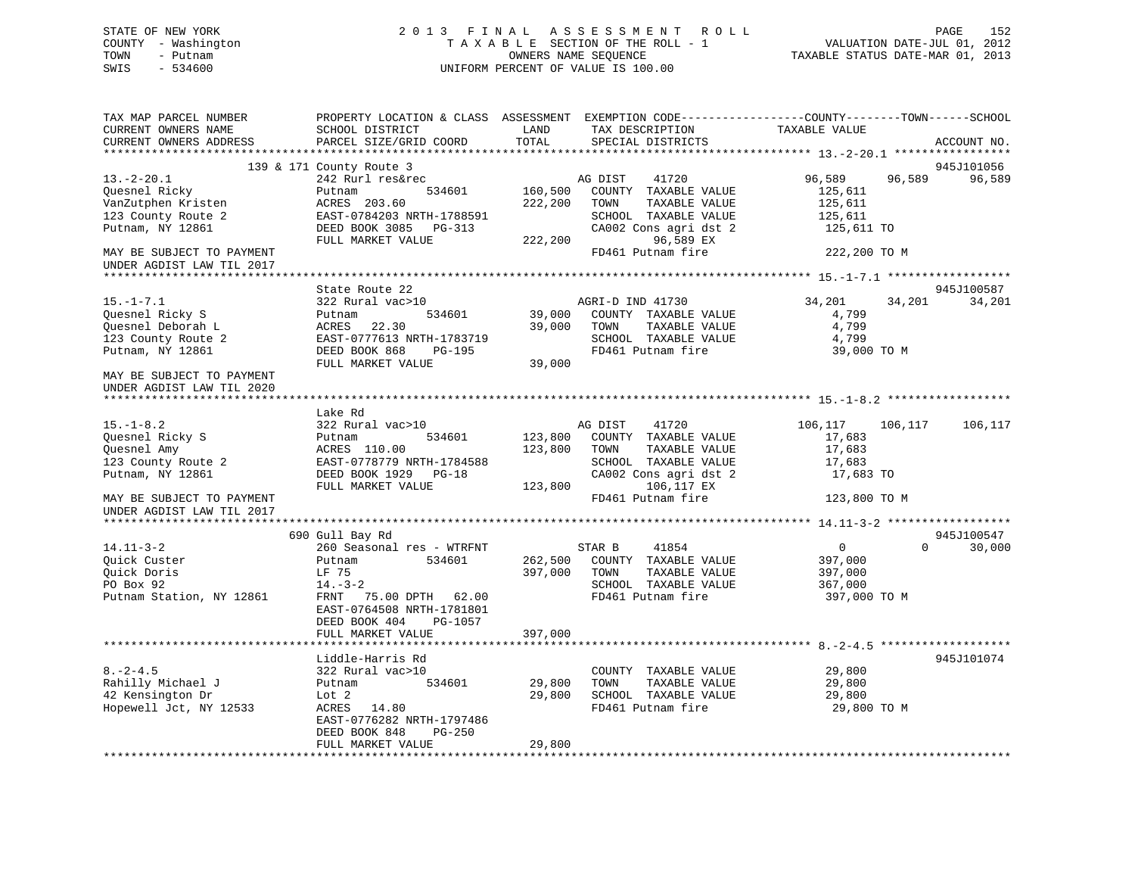# STATE OF NEW YORK 2 0 1 3 F I N A L A S S E S S M E N T R O L L PAGE 152 COUNTY - Washington T A X A B L E SECTION OF THE ROLL - 1 VALUATION DATE-JUL 01, 2012 TOWN - Putnam OWNERS NAME SEQUENCE TAXABLE STATUS DATE-MAR 01, 2013 SWIS - 534600 UNIFORM PERCENT OF VALUE IS 100.00

| TAX MAP PARCEL NUMBER<br>CURRENT OWNERS NAME<br>CURRENT OWNERS ADDRESS                                                     | PROPERTY LOCATION & CLASS ASSESSMENT EXEMPTION CODE---------------COUNTY-------TOWN-----SCHOOL<br>SCHOOL DISTRICT<br>PARCEL SIZE/GRID COORD                              | LAND<br>TOTAL                 | TAX DESCRIPTION<br>SPECIAL DISTRICTS                                                                                                                 | TAXABLE VALUE                                                                   | ACCOUNT NO.          |
|----------------------------------------------------------------------------------------------------------------------------|--------------------------------------------------------------------------------------------------------------------------------------------------------------------------|-------------------------------|------------------------------------------------------------------------------------------------------------------------------------------------------|---------------------------------------------------------------------------------|----------------------|
|                                                                                                                            |                                                                                                                                                                          |                               |                                                                                                                                                      |                                                                                 |                      |
| $13.-2-20.1$<br>Quesnel Ricky<br>VanZutphen Kristen<br>123 County Route 2<br>Putnam, NY 12861<br>MAY BE SUBJECT TO PAYMENT | 139 & 171 County Route 3<br>242 Rurl res&rec<br>534601<br>Putnam<br>ACRES 203.60<br>EAST-0784203 NRTH-1788591<br>DEED BOOK 3085 PG-313<br>FULL MARKET VALUE              | 160,500<br>222,200<br>222,200 | 41720<br>AG DIST<br>COUNTY TAXABLE VALUE<br>TOWN<br>TAXABLE VALUE<br>SCHOOL TAXABLE VALUE<br>CA002 Cons agri dst 2<br>96,589 EX<br>FD461 Putnam fire | 96,589<br>96,589<br>125,611<br>125,611<br>125,611<br>125,611 TO<br>222,200 TO M | 945J101056<br>96,589 |
| UNDER AGDIST LAW TIL 2017                                                                                                  |                                                                                                                                                                          |                               |                                                                                                                                                      |                                                                                 |                      |
| $15. - 1 - 7.1$<br>Quesnel Ricky S<br>Quesnel Deborah L<br>123 County Route 2<br>Putnam, NY 12861                          | State Route 22<br>322 Rural vac>10<br>534601<br>Putnam<br>ACRES 22.30<br>EAST-0777613 NRTH-1783719<br>DEED BOOK 868<br>PG-195<br>FULL MARKET VALUE                       | 39,000<br>39,000              | AGRI-D IND 41730<br>39,000 COUNTY TAXABLE VALUE<br>TAXABLE VALUE<br>TOWN<br>SCHOOL TAXABLE VALUE<br>FD461 Putnam fire                                | 34,201<br>34,201<br>4,799<br>4,799<br>4,799<br>39,000 TO M                      | 945J100587<br>34,201 |
| MAY BE SUBJECT TO PAYMENT<br>UNDER AGDIST LAW TIL 2020                                                                     |                                                                                                                                                                          |                               |                                                                                                                                                      |                                                                                 |                      |
|                                                                                                                            |                                                                                                                                                                          |                               |                                                                                                                                                      |                                                                                 |                      |
| $15. - 1 - 8.2$<br>Quesnel Ricky S<br>Quesnel Amy<br>123 County Route 2<br>Putnam, NY 12861                                | Lake Rd<br>322 Rural vac>10<br>Putnam<br>534601<br>ACRES 110.00<br>EAST-0778779 NRTH-1784588<br>DEED BOOK 1929 PG-18<br>FULL MARKET VALUE                                | 123,800<br>123,800<br>123,800 | AG DIST<br>41720<br>COUNTY TAXABLE VALUE<br>TAXABLE VALUE<br>TOWN<br>SCHOOL TAXABLE VALUE<br>CA002 Cons agri dst 2<br>106,117 EX                     | 106,117 106,117<br>17,683<br>17,683<br>17,683<br>17,683 TO                      | 106,117              |
| MAY BE SUBJECT TO PAYMENT<br>UNDER AGDIST LAW TIL 2017                                                                     |                                                                                                                                                                          |                               | FD461 Putnam fire                                                                                                                                    | 123,800 TO M                                                                    |                      |
|                                                                                                                            |                                                                                                                                                                          |                               |                                                                                                                                                      |                                                                                 |                      |
| $14.11 - 3 - 2$<br>Quick Custer<br>Ouick Doris<br>PO Box 92<br>Putnam Station, NY 12861                                    | 690 Gull Bay Rd<br>260 Seasonal res - WTRFNT<br>534601<br>Putnam<br>LF 75<br>$14.-3-2$<br>FRNT 75.00 DPTH 62.00<br>EAST-0764508 NRTH-1781801<br>DEED BOOK 404<br>PG-1057 | 397,000 TOWN<br>397,000       | 41854<br>STAR B<br>262,500 COUNTY TAXABLE VALUE<br>TAXABLE VALUE<br>SCHOOL TAXABLE VALUE<br>FD461 Putnam fire                                        | 0<br>$\Omega$<br>397,000<br>397,000<br>367,000<br>397,000 TO M                  | 945J100547<br>30,000 |
|                                                                                                                            | FULL MARKET VALUE                                                                                                                                                        |                               |                                                                                                                                                      |                                                                                 |                      |
| $8. - 2 - 4.5$<br>Rahilly Michael J<br>42 Kensington Dr<br>Hopewell Jct, NY 12533                                          | Liddle-Harris Rd<br>322 Rural vac>10<br>534601<br>Putnam<br>Lot 2<br>ACRES 14.80<br>EAST-0776282 NRTH-1797486<br>DEED BOOK 848<br>PG-250<br>FULL MARKET VALUE            | 29,800<br>29,800<br>29,800    | COUNTY TAXABLE VALUE<br>TAXABLE VALUE<br>TOWN<br>SCHOOL TAXABLE VALUE<br>FD461 Putnam fire                                                           | 29,800<br>29,800<br>29,800<br>29,800 TO M                                       | 945J101074           |
|                                                                                                                            |                                                                                                                                                                          |                               |                                                                                                                                                      |                                                                                 |                      |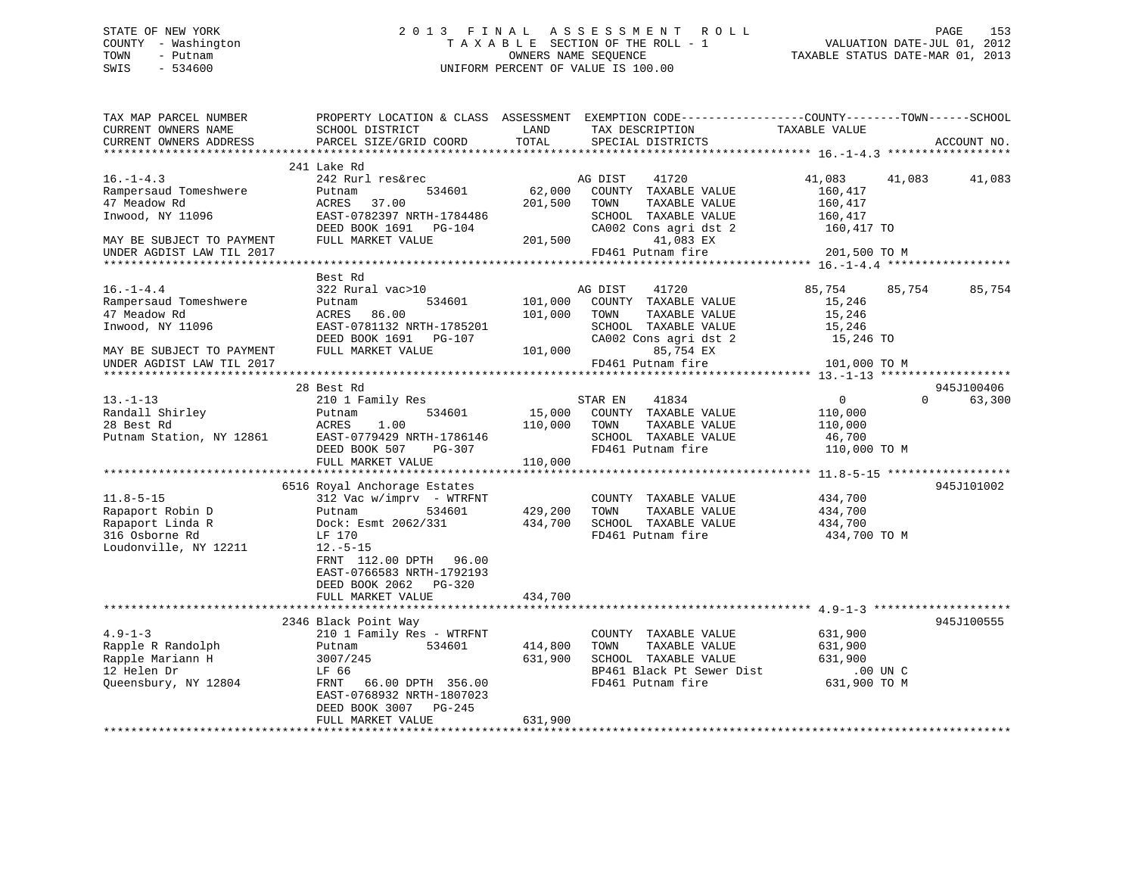# STATE OF NEW YORK 2 0 1 3 F I N A L A S S E S S M E N T R O L L PAGE 153 COUNTY - Washington T A X A B L E SECTION OF THE ROLL - 1 VALUATION DATE-JUL 01, 2012 TOWN - Putnam **CONNERS NAME SEQUENCE** TAXABLE STATUS DATE-MAR 01, 2013 SWIS - 534600 UNIFORM PERCENT OF VALUE IS 100.00

| TAX MAP PARCEL NUMBER<br>CURRENT OWNERS NAME<br>CURRENT OWNERS ADDRESS | SCHOOL DISTRICT<br>PARCEL SIZE/GRID COORD         | LAND<br>TOTAL | PROPERTY LOCATION & CLASS ASSESSMENT EXEMPTION CODE----------------COUNTY-------TOWN------SCHOOL<br>TAX DESCRIPTION<br>SPECIAL DISTRICTS | TAXABLE VALUE    | ACCOUNT NO.        |
|------------------------------------------------------------------------|---------------------------------------------------|---------------|------------------------------------------------------------------------------------------------------------------------------------------|------------------|--------------------|
|                                                                        |                                                   |               |                                                                                                                                          |                  |                    |
| $16. - 1 - 4.3$                                                        | 241 Lake Rd<br>242 Rurl res&rec                   |               | 41720<br>AG DIST                                                                                                                         | 41,083<br>41,083 | 41,083             |
| Rampersaud Tomeshwere                                                  | Putnam<br>534601                                  | 62,000        | COUNTY TAXABLE VALUE                                                                                                                     | 160,417          |                    |
| 47 Meadow Rd                                                           | ACRES<br>37.00                                    | 201,500       | TAXABLE VALUE<br>TOWN                                                                                                                    | 160,417          |                    |
| Inwood, NY 11096                                                       | EAST-0782397 NRTH-1784486                         |               | SCHOOL TAXABLE VALUE                                                                                                                     | 160,417          |                    |
|                                                                        | DEED BOOK 1691    PG-104                          |               | CA002 Cons agri dst 2                                                                                                                    | 160,417 TO       |                    |
| MAY BE SUBJECT TO PAYMENT                                              | FULL MARKET VALUE                                 | 201,500       | 41,083 EX                                                                                                                                |                  |                    |
| UNDER AGDIST LAW TIL 2017                                              |                                                   |               | FD461 Putnam fire                                                                                                                        | 201,500 TO M     |                    |
|                                                                        | Best Rd                                           |               |                                                                                                                                          |                  |                    |
| $16. - 1 - 4.4$                                                        | 322 Rural vac>10                                  |               | AG DIST<br>41720                                                                                                                         | 85,754<br>85,754 | 85,754             |
| Rampersaud Tomeshwere                                                  | 534601<br>Putnam                                  | 101,000       | COUNTY TAXABLE VALUE                                                                                                                     | 15,246           |                    |
| 47 Meadow Rd                                                           | ACRES 86.00                                       | 101,000       | TOWN<br>TAXABLE VALUE                                                                                                                    | 15,246           |                    |
| Inwood, NY 11096                                                       | EAST-0781132 NRTH-1785201                         |               | SCHOOL TAXABLE VALUE                                                                                                                     | 15,246           |                    |
|                                                                        | DEED BOOK 1691<br>PG-107                          |               | CA002 Cons agri dst 2                                                                                                                    | 15,246 TO        |                    |
| MAY BE SUBJECT TO PAYMENT                                              | FULL MARKET VALUE                                 | 101,000       | 85,754 EX                                                                                                                                |                  |                    |
| UNDER AGDIST LAW TIL 2017                                              |                                                   |               | FD461 Putnam fire                                                                                                                        | 101,000 TO M     |                    |
|                                                                        |                                                   |               |                                                                                                                                          |                  |                    |
|                                                                        | 28 Best Rd                                        |               |                                                                                                                                          |                  | 945J100406         |
| $13. - 1 - 13$                                                         | 210 1 Family Res                                  |               | STAR EN<br>41834                                                                                                                         | $\Omega$         | $\Omega$<br>63,300 |
| Randall Shirley                                                        | 534601<br>Putnam                                  | 15,000        | COUNTY TAXABLE VALUE                                                                                                                     | 110,000          |                    |
| 28 Best Rd                                                             | ACRES<br>1.00                                     | 110,000       | TOWN<br>TAXABLE VALUE                                                                                                                    | 110,000          |                    |
| Putnam Station, NY 12861                                               | EAST-0779429 NRTH-1786146                         |               | SCHOOL TAXABLE VALUE                                                                                                                     | 46,700           |                    |
|                                                                        | DEED BOOK 507<br>PG-307<br>FULL MARKET VALUE      | 110,000       | FD461 Putnam fire                                                                                                                        | 110,000 TO M     |                    |
|                                                                        |                                                   |               |                                                                                                                                          |                  |                    |
|                                                                        | 6516 Royal Anchorage Estates                      |               |                                                                                                                                          |                  | 945J101002         |
| $11.8 - 5 - 15$                                                        | $312$ Vac w/imprv - WTRFNT                        |               | COUNTY TAXABLE VALUE                                                                                                                     | 434,700          |                    |
| Rapaport Robin D                                                       | Putnam<br>534601                                  | 429,200       | TAXABLE VALUE<br>TOWN                                                                                                                    | 434,700          |                    |
| Rapaport Linda R                                                       | Dock: Esmt 2062/331                               | 434,700       | SCHOOL TAXABLE VALUE                                                                                                                     | 434,700          |                    |
| 316 Osborne Rd                                                         | LF 170                                            |               | FD461 Putnam fire                                                                                                                        | 434,700 TO M     |                    |
| Loudonville, NY 12211                                                  | $12.-5-15$                                        |               |                                                                                                                                          |                  |                    |
|                                                                        | FRNT 112.00 DPTH 96.00                            |               |                                                                                                                                          |                  |                    |
|                                                                        | EAST-0766583 NRTH-1792193                         |               |                                                                                                                                          |                  |                    |
|                                                                        | DEED BOOK 2062<br>$PG-320$                        |               |                                                                                                                                          |                  |                    |
|                                                                        | FULL MARKET VALUE                                 | 434,700       |                                                                                                                                          |                  |                    |
|                                                                        |                                                   |               |                                                                                                                                          |                  |                    |
| $4.9 - 1 - 3$                                                          | 2346 Black Point Way<br>210 1 Family Res - WTRFNT |               | COUNTY TAXABLE VALUE                                                                                                                     | 631,900          | 945J100555         |
| Rapple R Randolph                                                      | 534601<br>Putnam                                  | 414,800       | TOWN<br>TAXABLE VALUE                                                                                                                    | 631,900          |                    |
| Rapple Mariann H                                                       | 3007/245                                          | 631,900       | SCHOOL TAXABLE VALUE                                                                                                                     | 631,900          |                    |
| 12 Helen Dr                                                            | LF 66                                             |               | BP461 Black Pt Sewer Dist                                                                                                                | .00 UN C         |                    |
| Queensbury, NY 12804                                                   | 66.00 DPTH 356.00<br>FRNT                         |               | FD461 Putnam fire                                                                                                                        | 631,900 TO M     |                    |
|                                                                        | EAST-0768932 NRTH-1807023                         |               |                                                                                                                                          |                  |                    |
|                                                                        | DEED BOOK 3007<br>PG-245                          |               |                                                                                                                                          |                  |                    |
|                                                                        | FULL MARKET VALUE                                 | 631,900       |                                                                                                                                          |                  |                    |
|                                                                        |                                                   |               |                                                                                                                                          |                  |                    |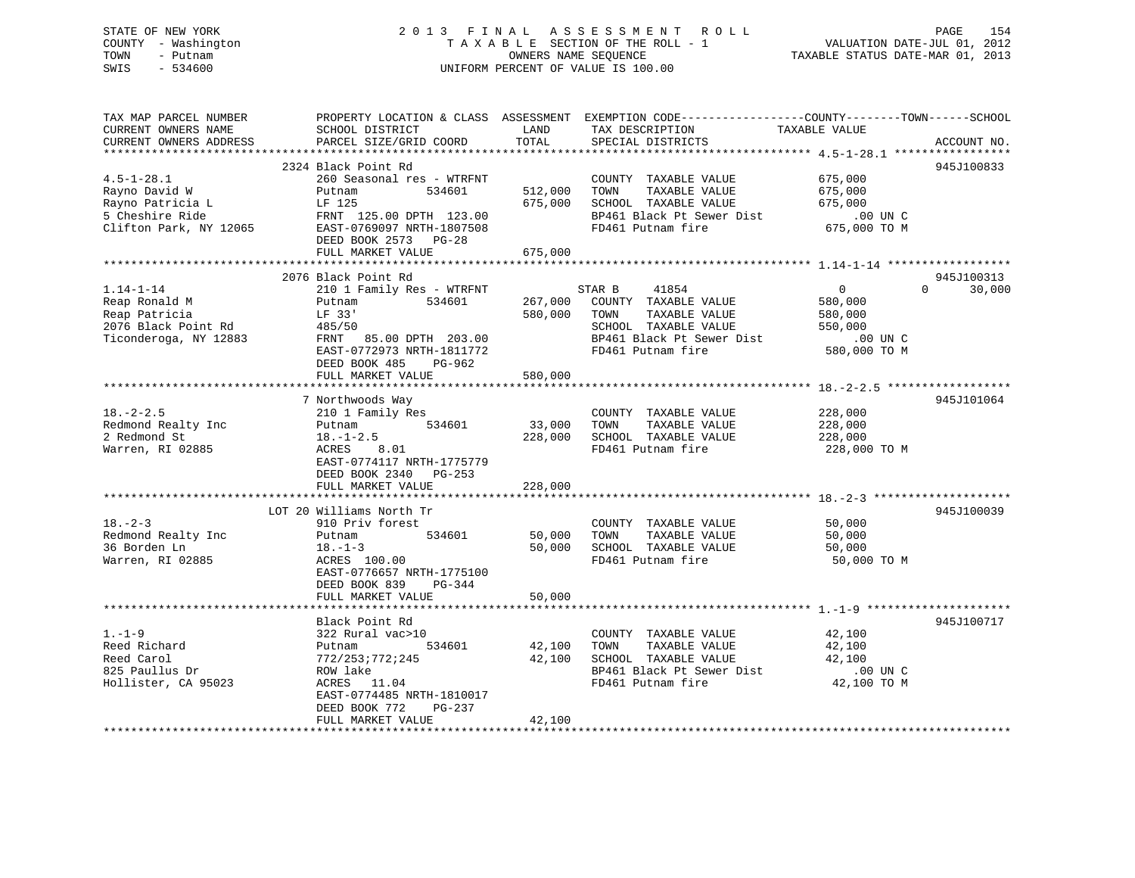# STATE OF NEW YORK 2 0 1 3 F I N A L A S S E S S M E N T R O L L PAGE 154 COUNTY - Washington T A X A B L E SECTION OF THE ROLL - 1 VALUATION DATE-JUL 01, 2012 TOWN - Putnam OWNERS NAME SEQUENCE TAXABLE STATUS DATE-MAR 01, 2013 SWIS - 534600 UNIFORM PERCENT OF VALUE IS 100.00

| TAX MAP PARCEL NUMBER<br>CURRENT OWNERS NAME<br>CURRENT OWNERS ADDRESS                            | PROPERTY LOCATION & CLASS ASSESSMENT<br>SCHOOL DISTRICT<br>PARCEL SIZE/GRID COORD                                                                        | LAND<br>TOTAL                | EXEMPTION CODE-----------------COUNTY-------TOWN------SCHOOL<br>TAX DESCRIPTION<br>SPECIAL DISTRICTS                                       | TAXABLE VALUE                                                                               | ACCOUNT NO. |
|---------------------------------------------------------------------------------------------------|----------------------------------------------------------------------------------------------------------------------------------------------------------|------------------------------|--------------------------------------------------------------------------------------------------------------------------------------------|---------------------------------------------------------------------------------------------|-------------|
| *************************                                                                         |                                                                                                                                                          |                              |                                                                                                                                            |                                                                                             |             |
| $4.5 - 1 - 28.1$<br>Rayno David W<br>Rayno Patricia L                                             | 2324 Black Point Rd<br>260 Seasonal res - WTRFNT<br>Putnam<br>534601<br>LF 125                                                                           | 512,000<br>675,000           | COUNTY TAXABLE VALUE<br>TAXABLE VALUE<br>TOWN<br>SCHOOL TAXABLE VALUE                                                                      | 675,000<br>675,000<br>675,000                                                               | 945J100833  |
| 5 Cheshire Ride<br>Clifton Park, NY 12065                                                         | FRNT 125.00 DPTH 123.00<br>EAST-0769097 NRTH-1807508<br>DEED BOOK 2573 PG-28                                                                             | 675,000                      | BP461 Black Pt Sewer Dist<br>FD461 Putnam fire                                                                                             | .00 UN C<br>675,000 TO M                                                                    |             |
|                                                                                                   | FULL MARKET VALUE                                                                                                                                        |                              |                                                                                                                                            |                                                                                             |             |
|                                                                                                   | 2076 Black Point Rd                                                                                                                                      |                              |                                                                                                                                            |                                                                                             | 945J100313  |
| $1.14 - 1 - 14$<br>Reap Ronald M<br>Reap Patricia<br>2076 Black Point Rd<br>Ticonderoga, NY 12883 | 210 1 Family Res - WTRFNT<br>534601<br>Putnam<br>LF 33'<br>485/50<br>FRNT 85.00 DPTH 203.00<br>EAST-0772973 NRTH-1811772<br>DEED BOOK 485<br>$PG-962$    | 267,000<br>580,000           | STAR B<br>41854<br>COUNTY TAXABLE VALUE<br>TOWN<br>TAXABLE VALUE<br>SCHOOL TAXABLE VALUE<br>BP461 Black Pt Sewer Dist<br>FD461 Putnam fire | $\overline{0}$<br>$\Omega$<br>580,000<br>580,000<br>550,000<br>$.00$ UN $C$<br>580,000 TO M | 30,000      |
|                                                                                                   | FULL MARKET VALUE                                                                                                                                        | 580,000                      |                                                                                                                                            |                                                                                             |             |
|                                                                                                   | 7 Northwoods Way                                                                                                                                         |                              |                                                                                                                                            |                                                                                             | 945J101064  |
| $18. - 2 - 2.5$<br>Redmond Realty Inc<br>2 Redmond St<br>Warren, RI 02885                         | 210 1 Family Res<br>534601<br>Putnam<br>$18. - 1 - 2.5$<br>ACRES<br>8.01<br>EAST-0774117 NRTH-1775779<br>DEED BOOK 2340<br>$PG-253$<br>FULL MARKET VALUE | 33,000<br>228,000<br>228,000 | COUNTY TAXABLE VALUE<br>TOWN<br>TAXABLE VALUE<br>SCHOOL TAXABLE VALUE<br>FD461 Putnam fire                                                 | 228,000<br>228,000<br>228,000<br>228,000 TO M                                               |             |
|                                                                                                   |                                                                                                                                                          |                              |                                                                                                                                            |                                                                                             |             |
|                                                                                                   | LOT 20 Williams North Tr                                                                                                                                 |                              |                                                                                                                                            |                                                                                             | 945J100039  |
| $18. - 2 - 3$<br>Redmond Realty Inc<br>36 Borden Ln<br>Warren, RI 02885                           | 910 Priv forest<br>534601<br>Putnam<br>$18. - 1 - 3$<br>ACRES 100.00<br>EAST-0776657 NRTH-1775100<br>DEED BOOK 839<br>$PG-344$                           | 50,000<br>50,000             | COUNTY TAXABLE VALUE<br>TAXABLE VALUE<br>TOWN<br>SCHOOL TAXABLE VALUE<br>FD461 Putnam fire                                                 | 50,000<br>50,000<br>50,000<br>50,000 TO M                                                   |             |
|                                                                                                   | FULL MARKET VALUE                                                                                                                                        | 50,000                       |                                                                                                                                            |                                                                                             |             |
|                                                                                                   |                                                                                                                                                          |                              |                                                                                                                                            |                                                                                             |             |
| $1. - 1 - 9$                                                                                      | Black Point Rd<br>322 Rural vac>10                                                                                                                       |                              | COUNTY TAXABLE VALUE                                                                                                                       | 42,100                                                                                      | 945J100717  |
| Reed Richard<br>Reed Carol<br>825 Paullus Dr<br>Hollister, CA 95023                               | 534601<br>Putnam<br>772/253;772;245<br>ROW lake<br>ACRES 11.04<br>EAST-0774485 NRTH-1810017<br>DEED BOOK 772<br>PG-237                                   | 42,100<br>42,100             | TOWN<br>TAXABLE VALUE<br>SCHOOL TAXABLE VALUE<br>BP461 Black Pt Sewer Dist<br>FD461 Putnam fire                                            | 42,100<br>42,100<br>.00 UN C<br>42,100 TO M                                                 |             |
|                                                                                                   | FULL MARKET VALUE                                                                                                                                        | 42,100                       |                                                                                                                                            |                                                                                             |             |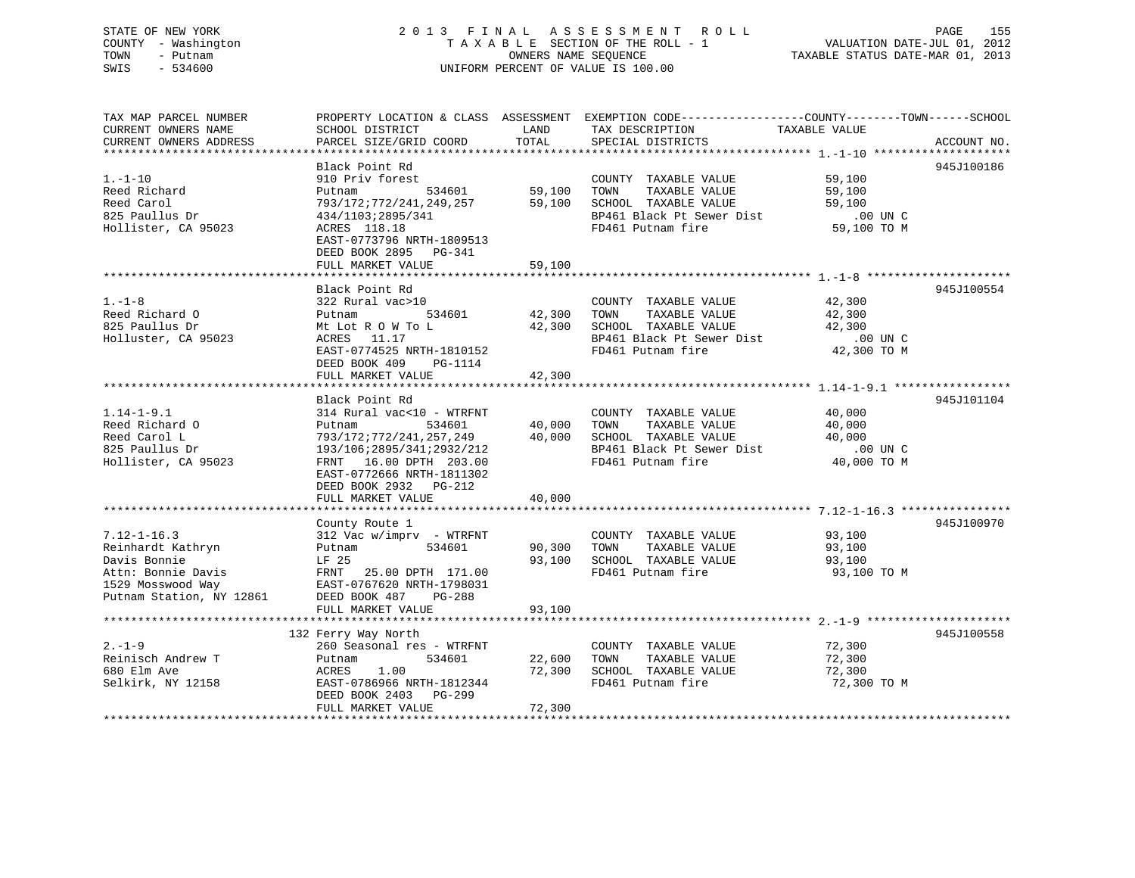# STATE OF NEW YORK 2 0 1 3 F I N A L A S S E S S M E N T R O L L PAGE 155 COUNTY - Washington T A X A B L E SECTION OF THE ROLL - 1 VALUATION DATE-JUL 01, 2012 TOWN - Putnam **CONNERS NAME SEQUENCE** TAXABLE STATUS DATE-MAR 01, 2013 SWIS - 534600 UNIFORM PERCENT OF VALUE IS 100.00

| TAX MAP PARCEL NUMBER    |                                |                    | PROPERTY LOCATION & CLASS ASSESSMENT EXEMPTION CODE----------------COUNTY-------TOWN-----SCHOOL |               |             |
|--------------------------|--------------------------------|--------------------|-------------------------------------------------------------------------------------------------|---------------|-------------|
| CURRENT OWNERS NAME      | SCHOOL DISTRICT                | LAND               | TAX DESCRIPTION                                                                                 | TAXABLE VALUE |             |
| CURRENT OWNERS ADDRESS   | PARCEL SIZE/GRID COORD         | TOTAL              | SPECIAL DISTRICTS                                                                               |               | ACCOUNT NO. |
|                          |                                |                    |                                                                                                 |               |             |
|                          | Black Point Rd                 |                    |                                                                                                 |               | 945J100186  |
| $1. - 1 - 10$            | 910 Priv forest                |                    | COUNTY TAXABLE VALUE                                                                            | 59,100        |             |
| Reed Richard             | Putnam                         | .<br>534601 59,100 | TOWN<br>TAXABLE VALUE                                                                           | 59,100        |             |
| Reed Carol               | 793/172;772/241,249,257 59,100 |                    |                                                                                                 |               |             |
| 825 Paullus Dr           | 434/1103;2895/341              |                    |                                                                                                 |               |             |
| Hollister, CA 95023      | ACRES 118.18                   |                    | TOWN IAAADDE VALUE<br>SCHOOL TAXABLE VALUE 59,100<br>BP461 Black Pt Sewer Dist .00 UN C         |               |             |
|                          | EAST-0773796 NRTH-1809513      |                    |                                                                                                 |               |             |
|                          | DEED BOOK 2895 PG-341          |                    |                                                                                                 |               |             |
|                          | FULL MARKET VALUE              | 59,100             |                                                                                                 |               |             |
|                          |                                |                    |                                                                                                 |               |             |
|                          | Black Point Rd                 |                    |                                                                                                 |               | 945J100554  |
| $1. - 1 - 8$             | 322 Rural vac>10               |                    | COUNTY TAXABLE VALUE                                                                            | 42,300        |             |
| Reed Richard O           | 534601<br>Putnam               | 42,300             | TAXABLE VALUE<br>TOWN                                                                           | 42,300        |             |
| 825 Paullus Dr           | Mt Lot R O W To L              | 42,300             | SCHOOL TAXABLE VALUE                                                                            | 42,300        |             |
| Holluster, CA 95023      | ACRES<br>11.17                 |                    | BP461 Black Pt Sewer Dist                                                                       | .00 UN C      |             |
|                          | EAST-0774525 NRTH-1810152      |                    | FD461 Putnam fire                                                                               | 42,300 TO M   |             |
|                          | DEED BOOK 409<br>PG-1114       |                    |                                                                                                 |               |             |
|                          | FULL MARKET VALUE              | 42,300             |                                                                                                 |               |             |
|                          |                                |                    |                                                                                                 |               |             |
|                          | Black Point Rd                 |                    |                                                                                                 |               | 945J101104  |
| $1.14 - 1 - 9.1$         | 314 Rural vac<10 - WTRFNT      |                    | COUNTY TAXABLE VALUE                                                                            | 40,000        |             |
| Reed Richard O           | Putnam<br>534601               | 40,000             | TOWN<br>TAXABLE VALUE                                                                           | 40,000        |             |
| Reed Carol L             | 793/172;772/241,257,249        | 40,000             | SCHOOL TAXABLE VALUE                                                                            | 40,000        |             |
| 825 Paullus Dr           | 193/106;2895/341;2932/212      |                    | BP461 Black Pt Sewer Dist 00 UN C<br>FD461 Putnam fire 40,000 TO M                              |               |             |
| Hollister, CA 95023      | FRNT 16.00 DPTH 203.00         |                    |                                                                                                 |               |             |
|                          | EAST-0772666 NRTH-1811302      |                    |                                                                                                 |               |             |
|                          | DEED BOOK 2932 PG-212          |                    |                                                                                                 |               |             |
|                          | FULL MARKET VALUE              | 40,000             |                                                                                                 |               |             |
|                          |                                |                    |                                                                                                 |               |             |
|                          | County Route 1                 |                    |                                                                                                 |               | 945J100970  |
| $7.12 - 1 - 16.3$        | $312$ Vac w/imprv - WTRFNT     |                    | COUNTY TAXABLE VALUE                                                                            | 93,100        |             |
| Reinhardt Kathryn        | 534601<br>Putnam               | 90,300             | TAXABLE VALUE<br>TOWN                                                                           | 93,100        |             |
| Davis Bonnie             | LF 25                          | 93,100             | SCHOOL TAXABLE VALUE                                                                            | 93,100        |             |
| Attn: Bonnie Davis       | FRNT 25.00 DPTH 171.00         |                    | FD461 Putnam fire                                                                               | 93,100 TO M   |             |
| 1529 Mosswood Way        | EAST-0767620 NRTH-1798031      |                    |                                                                                                 |               |             |
| Putnam Station, NY 12861 | DEED BOOK 487<br>PG-288        |                    |                                                                                                 |               |             |
|                          | FULL MARKET VALUE              | 93,100             |                                                                                                 |               |             |
|                          |                                |                    |                                                                                                 |               |             |
|                          | 132 Ferry Way North            |                    |                                                                                                 |               | 945J100558  |
| $2. - 1 - 9$             | 260 Seasonal res - WTRFNT      |                    | COUNTY TAXABLE VALUE                                                                            | 72,300        |             |
| Reinisch Andrew T        | 534601<br>Putnam               | 22,600             | TAXABLE VALUE<br>TOWN                                                                           | 72,300        |             |
| 680 Elm Ave              | 1.00<br>ACRES                  | 72,300             | SCHOOL TAXABLE VALUE                                                                            | 72,300        |             |
| Selkirk, NY 12158        | EAST-0786966 NRTH-1812344      |                    | FD461 Putnam fire                                                                               | 72,300 TO M   |             |
|                          | DEED BOOK 2403 PG-299          |                    |                                                                                                 |               |             |
|                          | FULL MARKET VALUE              | 72,300             |                                                                                                 |               |             |
|                          |                                |                    |                                                                                                 |               |             |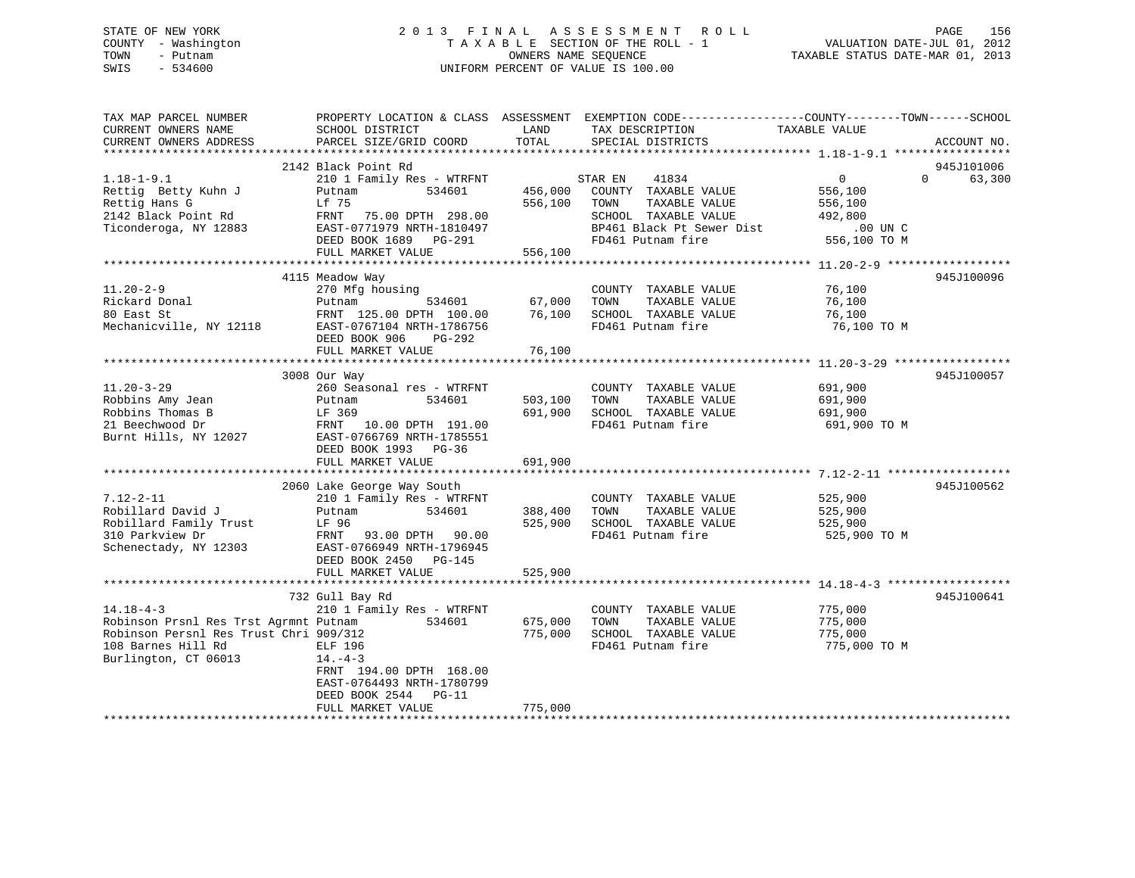# STATE OF NEW YORK 2 0 1 3 F I N A L A S S E S S M E N T R O L L PAGE 156 COUNTY - Washington T A X A B L E SECTION OF THE ROLL - 1 VALUATION DATE-JUL 01, 2012 TOWN - Putnam OWNERS NAME SEQUENCE TAXABLE STATUS DATE-MAR 01, 2013 SWIS - 534600 UNIFORM PERCENT OF VALUE IS 100.00

| TAX MAP PARCEL NUMBER<br>CURRENT OWNERS NAME<br>CURRENT OWNERS ADDRESS                                                                           | PROPERTY LOCATION & CLASS ASSESSMENT<br>SCHOOL DISTRICT<br>PARCEL SIZE/GRID COORD                                                                                                  | LAND<br>TOTAL                 | EXEMPTION CODE-----------------COUNTY-------TOWN------SCHOOL<br>TAX DESCRIPTION<br>SPECIAL DISTRICTS                                        | TAXABLE VALUE                                                               | ACCOUNT NO.                      |
|--------------------------------------------------------------------------------------------------------------------------------------------------|------------------------------------------------------------------------------------------------------------------------------------------------------------------------------------|-------------------------------|---------------------------------------------------------------------------------------------------------------------------------------------|-----------------------------------------------------------------------------|----------------------------------|
|                                                                                                                                                  |                                                                                                                                                                                    |                               |                                                                                                                                             |                                                                             |                                  |
| $1.18 - 1 - 9.1$<br>Rettig Betty Kuhn J<br>Rettig Hans G<br>2142 Black Point Rd<br>Ticonderoga, NY 12883                                         | 2142 Black Point Rd<br>210 1 Family Res - WTRFNT<br>534601<br>Putnam<br>Lf 75<br>FRNT 75.00 DPTH 298.00<br>EAST-0771979 NRTH-1810497<br>DEED BOOK 1689 PG-291<br>FULL MARKET VALUE | 456,000<br>556,100<br>556,100 | 41834<br>STAR EN<br>COUNTY TAXABLE VALUE<br>TOWN<br>TAXABLE VALUE<br>SCHOOL TAXABLE VALUE<br>BP461 Black Pt Sewer Dist<br>FD461 Putnam fire | $\overline{0}$<br>556,100<br>556,100<br>492,800<br>.00 UN C<br>556,100 TO M | 945J101006<br>63,300<br>$\Omega$ |
|                                                                                                                                                  |                                                                                                                                                                                    |                               |                                                                                                                                             |                                                                             |                                  |
| $11.20 - 2 - 9$<br>Rickard Donal<br>80 East St<br>Mechanicville, NY 12118                                                                        | 4115 Meadow Way<br>270 Mfg housing<br>534601<br>Putnam<br>FRNT 125.00 DPTH 100.00<br>EAST-0767104 NRTH-1786756<br>DEED BOOK 906<br>PG-292                                          | 67,000<br>76,100              | COUNTY TAXABLE VALUE<br>TOWN<br>TAXABLE VALUE<br>SCHOOL TAXABLE VALUE<br>FD461 Putnam fire                                                  | 76,100<br>76,100<br>76,100<br>76,100 TO M                                   | 945J100096                       |
|                                                                                                                                                  | FULL MARKET VALUE                                                                                                                                                                  | 76,100                        |                                                                                                                                             |                                                                             |                                  |
|                                                                                                                                                  |                                                                                                                                                                                    |                               |                                                                                                                                             |                                                                             |                                  |
| $11.20 - 3 - 29$<br>Robbins Amy Jean<br>Robbins Thomas B<br>21 Beechwood Dr<br>Burnt Hills, NY 12027                                             | 3008 Our Way<br>260 Seasonal res - WTRFNT<br>Putnam<br>534601<br>LF 369<br>FRNT<br>10.00 DPTH 191.00<br>EAST-0766769 NRTH-1785551<br>DEED BOOK 1993 PG-36<br>FULL MARKET VALUE     | 503,100<br>691,900<br>691,900 | COUNTY TAXABLE VALUE<br>TOWN<br>TAXABLE VALUE<br>SCHOOL TAXABLE VALUE<br>FD461 Putnam fire                                                  | 691,900<br>691,900<br>691,900<br>691,900 TO M                               | 945J100057                       |
|                                                                                                                                                  |                                                                                                                                                                                    |                               |                                                                                                                                             |                                                                             |                                  |
| $7.12 - 2 - 11$<br>Robillard David J<br>Robillard Family Trust<br>310 Parkview Dr<br>Schenectady, NY 12303                                       | 2060 Lake George Way South<br>210 1 Family Res - WTRFNT<br>534601<br>Putnam<br>LF 96<br>FRNT 93.00 DPTH 90.00<br>EAST-0766949 NRTH-1796945<br>DEED BOOK 2450 PG-145                | 388,400<br>525,900            | COUNTY TAXABLE VALUE<br>TOWN<br>TAXABLE VALUE<br>SCHOOL TAXABLE VALUE<br>FD461 Putnam fire                                                  | 525,900<br>525,900<br>525,900<br>525,900 TO M                               | 945J100562                       |
|                                                                                                                                                  | FULL MARKET VALUE                                                                                                                                                                  | 525,900                       |                                                                                                                                             |                                                                             |                                  |
| $14.18 - 4 - 3$<br>Robinson Prsnl Res Trst Agrmnt Putnam<br>Robinson Persnl Res Trust Chri 909/312<br>108 Barnes Hill Rd<br>Burlington, CT 06013 | 732 Gull Bay Rd<br>210 1 Family Res - WTRFNT<br>534601<br>ELF 196<br>$14. -4 - 3$<br>FRNT 194.00 DPTH 168.00<br>EAST-0764493 NRTH-1780799<br>DEED BOOK 2544 PG-11                  | 675,000<br>775,000            | COUNTY TAXABLE VALUE<br>TOWN<br>TAXABLE VALUE<br>SCHOOL TAXABLE VALUE<br>FD461 Putnam fire                                                  | 775,000<br>775,000<br>775,000<br>775,000 TO M                               | 945J100641                       |
|                                                                                                                                                  | FULL MARKET VALUE                                                                                                                                                                  | 775,000                       |                                                                                                                                             |                                                                             |                                  |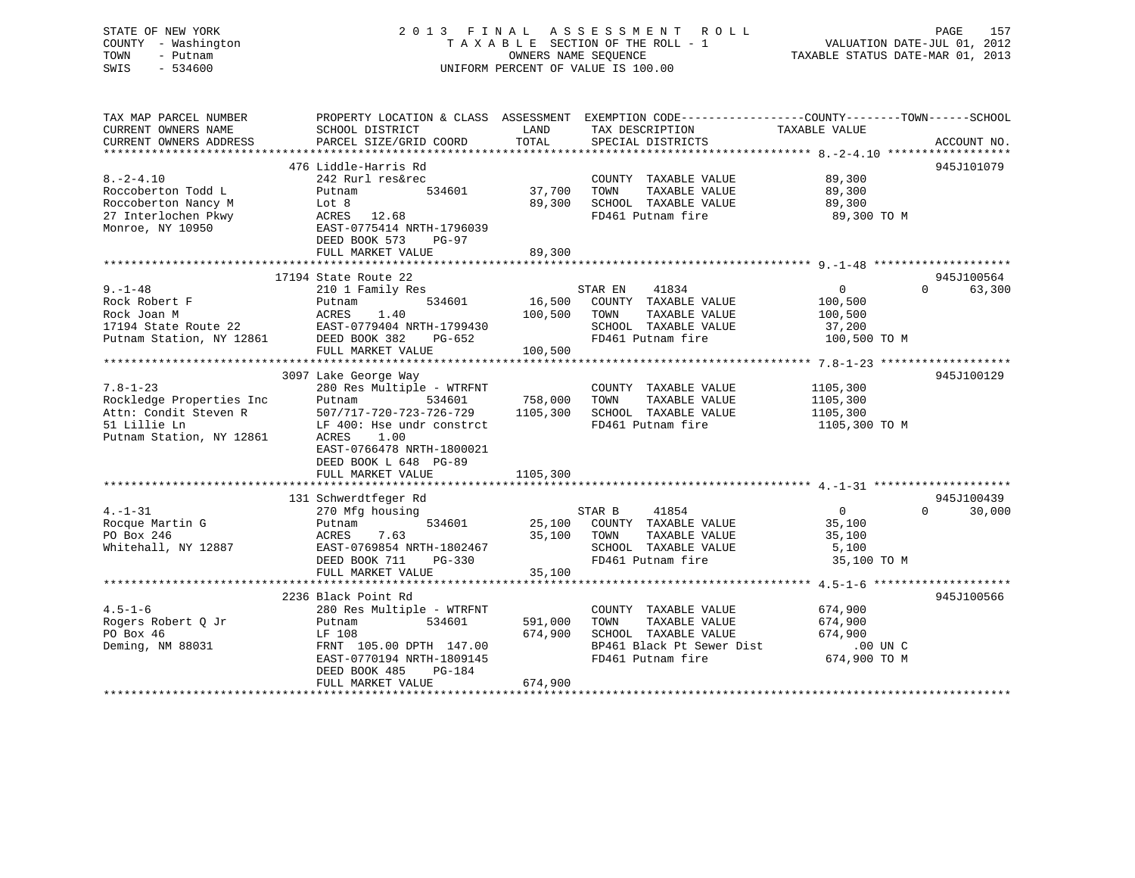# STATE OF NEW YORK 2 0 1 3 F I N A L A S S E S S M E N T R O L L PAGE 157 COUNTY - Washington T A X A B L E SECTION OF THE ROLL - 1 VALUATION DATE-JUL 01, 2012 TOWN - Putnam **CONNERS NAME SEQUENCE** TAXABLE STATUS DATE-MAR 01, 2013 SWIS - 534600 UNIFORM PERCENT OF VALUE IS 100.00

| TAX MAP PARCEL NUMBER<br>CURRENT OWNERS NAME<br>CURRENT OWNERS ADDRESS                                          | PROPERTY LOCATION & CLASS ASSESSMENT<br>SCHOOL DISTRICT<br>PARCEL SIZE/GRID COORD                                                                                                                                         | LAND<br>TOTAL                   | EXEMPTION CODE-----------------COUNTY-------TOWN------SCHOOL<br>TAX DESCRIPTION TAXABLE VALUE<br>SPECIAL DISTRICTS      |                                                                | ACCOUNT NO.                      |
|-----------------------------------------------------------------------------------------------------------------|---------------------------------------------------------------------------------------------------------------------------------------------------------------------------------------------------------------------------|---------------------------------|-------------------------------------------------------------------------------------------------------------------------|----------------------------------------------------------------|----------------------------------|
| $8. - 2 - 4.10$<br>Roccoberton Todd L<br>Roccoberton Nancy M<br>27 Interlochen Pkwy<br>Monroe, NY 10950         | 476 Liddle-Harris Rd<br>242 Rurl res&rec<br>534601<br>Putnam<br>Lot 8<br>ACRES 12.68<br>EAST-0775414 NRTH-1796039<br>DEED BOOK 573<br><b>PG-97</b><br>FULL MARKET VALUE                                                   | 37,700<br>89,300<br>89,300      | COUNTY TAXABLE VALUE<br>TOWN<br>TAXABLE VALUE<br>SCHOOL TAXABLE VALUE<br>FD461 Putnam fire                              | 89,300<br>89,300<br>89,300<br>89,300 TO M                      | 945J101079                       |
| $9. - 1 - 48$<br>Rock Robert F<br>Rock Joan M                                                                   | 17194 State Route 22<br>210 1 Family Res<br>534601<br>Putnam<br>1.40<br>ACRES<br>FULL MARKET VALUE                                                                                                                        | 16,500<br>100,500<br>100,500    | 41834<br>STAR EN<br>COUNTY TAXABLE VALUE<br>TOWN<br>TAXABLE VALUE<br>SCHOOL TAXABLE VALUE<br>FD461 Putnam fire          | $\overline{0}$<br>100,500<br>100,500<br>37,200<br>100,500 TO M | 945J100564<br>$\Omega$<br>63,300 |
| $7.8 - 1 - 23$<br>Rockledge Properties Inc<br>Attn: Condit Steven R<br>51 Lillie Ln<br>Putnam Station, NY 12861 | 3097 Lake George Way<br>280 Res Multiple - WTRFNT<br>Putnam<br>534601<br>507/717-720-723-726-729<br>LF 400: Hse undr constrct<br>1.00<br>ACRES<br>EAST-0766478 NRTH-1800021<br>DEED BOOK L 648 PG-89<br>FULL MARKET VALUE | 758,000<br>1105,300<br>1105,300 | COUNTY TAXABLE VALUE<br>TAXABLE VALUE<br>TOWN<br>SCHOOL TAXABLE VALUE<br>FD461 Putnam fire                              | 1105,300<br>1105,300<br>1105,300<br>1105,300 TO M              | 945J100129                       |
| $4. - 1 - 31$<br>Rocque Martin G<br>PO Box 246<br>Whitehall, NY 12887                                           | 131 Schwerdtfeger Rd<br>270 Mfg housing<br>534601<br>Putnam<br>7.63<br>ACRES<br>EAST-0769854 NRTH-1802467<br>DEED BOOK 711<br>PG-330<br>FULL MARKET VALUE                                                                 | 35,100<br>35,100                | STAR B<br>41854<br>25,100 COUNTY TAXABLE VALUE<br>TOWN<br>TAXABLE VALUE<br>SCHOOL TAXABLE VALUE<br>FD461 Putnam fire    | $\overline{0}$<br>35,100<br>35,100<br>5,100<br>35,100 TO M     | 945J100439<br>$\Omega$<br>30,000 |
| $4.5 - 1 - 6$<br>Rogers Robert O Jr<br>PO Box 46<br>Deming, NM 88031                                            | 2236 Black Point Rd<br>280 Res Multiple - WTRFNT<br>534601<br>Putnam<br>LF 108<br>FRNT 105.00 DPTH 147.00<br>EAST-0770194 NRTH-1809145<br>DEED BOOK 485<br>PG-184<br>FULL MARKET VALUE                                    | 591,000<br>674,900<br>674,900   | COUNTY TAXABLE VALUE<br>TAXABLE VALUE<br>TOWN<br>SCHOOL TAXABLE VALUE<br>BP461 Black Pt Sewer Dist<br>FD461 Putnam fire | 674,900<br>674,900<br>674,900<br>$.00$ UN C<br>$674,900$ TO M  | 945J100566                       |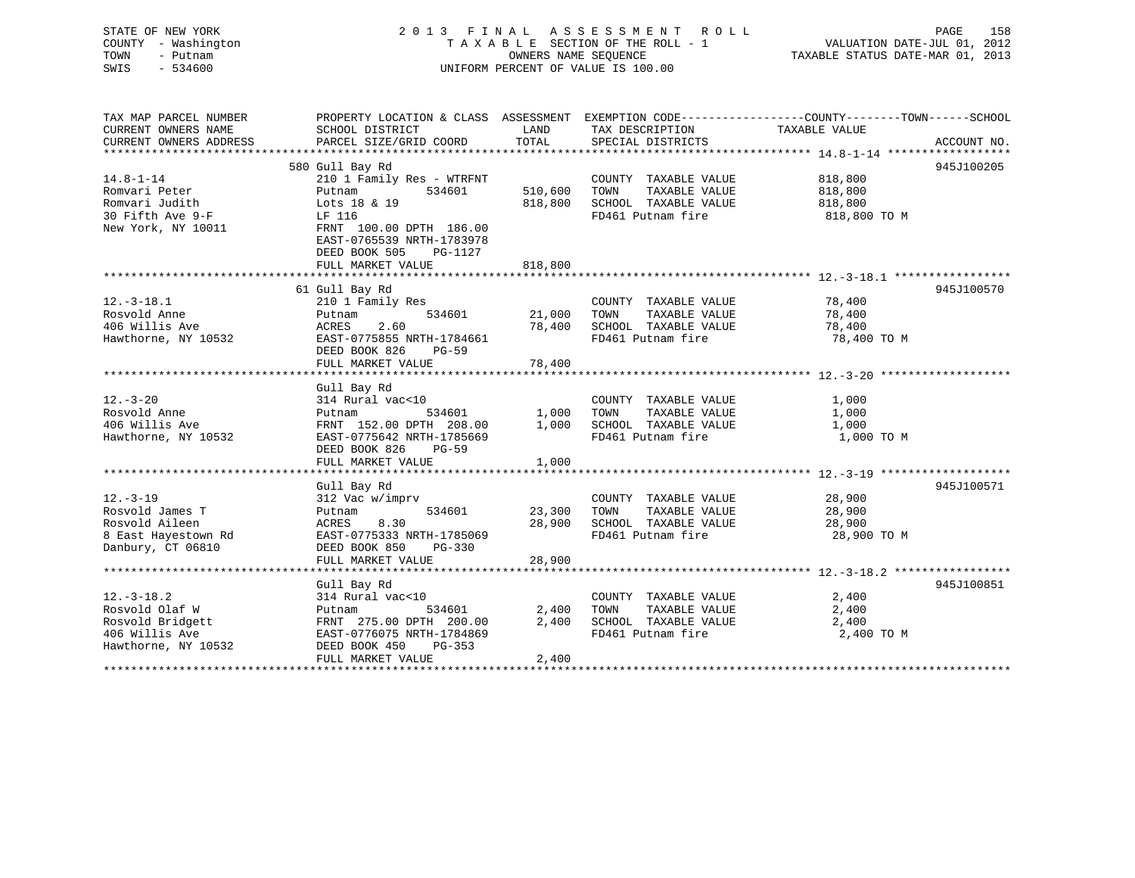| STATE OF NEW YORK<br>COUNTY - Washington<br>TOWN<br>- Putnam<br>SWIS<br>$-534600$                                                       |                                                                                                                                                                                |                                 | 2013 FINAL ASSESSMENT ROLL<br>TAXABLE SECTION OF THE ROLL - 1<br>OWNERS NAME SEQUENCE<br>UNIFORM PERCENT OF VALUE IS 100.00 | PAGE<br>$\begin{array}{cccc}\n\texttt{Y} & \texttt{X} & \texttt{Y} & \texttt{Y} & \texttt{X} & \texttt{Y} & \texttt{Y} & \texttt{Y} & \texttt{Y} & \texttt{Y} & \texttt{Y} & \texttt{Y} & \texttt{Y} & \texttt{Y} & \texttt{Y} & \texttt{Y} & \texttt{Y} & \texttt{Y} & \texttt{Y} & \texttt{Y} & \texttt{Y} & \texttt{Y} & \texttt{Y} & \texttt{Y} & \texttt{Y} & \texttt{Y} & \texttt{Y} & \texttt{Y} & \texttt{Y} & \texttt{Y} & \text$<br>TAXABLE STATUS DATE-MAR 01, 2013 | 158 |
|-----------------------------------------------------------------------------------------------------------------------------------------|--------------------------------------------------------------------------------------------------------------------------------------------------------------------------------|---------------------------------|-----------------------------------------------------------------------------------------------------------------------------|--------------------------------------------------------------------------------------------------------------------------------------------------------------------------------------------------------------------------------------------------------------------------------------------------------------------------------------------------------------------------------------------------------------------------------------------------------------------------------|-----|
| TAX MAP PARCEL NUMBER<br>CURRENT OWNERS NAME                                                                                            | SCHOOL DISTRICT                                                                                                                                                                | LAND                            | TAX DESCRIPTION                                                                                                             | PROPERTY LOCATION & CLASS ASSESSMENT EXEMPTION CODE----------------COUNTY-------TOWN------SCHOOL<br>TAXABLE VALUE                                                                                                                                                                                                                                                                                                                                                              |     |
| CURRENT OWNERS ADDRESS                                                                                                                  | PARCEL SIZE/GRID COORD TOTAL SPECIAL DISTRICTS                                                                                                                                 |                                 |                                                                                                                             | ACCOUNT NO.                                                                                                                                                                                                                                                                                                                                                                                                                                                                    |     |
|                                                                                                                                         |                                                                                                                                                                                |                                 |                                                                                                                             |                                                                                                                                                                                                                                                                                                                                                                                                                                                                                |     |
| $14.8 - 1 - 14$<br>Romvari Peter and a service and the Roman State Services<br>Romvari Judith<br>30 Fifth Ave 9-F<br>New York, NY 10011 | 580 Gull Bay Rd<br>210 1 Family Res - WTRFNT<br>Putnam<br>534601<br>Lots 18 & 19<br>LF 116<br>FRNT 100.00 DPTH 186.00<br>EAST-0765539 NRTH-1783978<br>DEED BOOK 505<br>PG-1127 | 510,600 TOWN                    | COUNTY TAXABLE VALUE<br>TAXABLE VALUE<br>818,800 SCHOOL TAXABLE VALUE<br>FD461 Putnam fire                                  | 945J100205<br>818,800<br>818,800<br>818,800<br>818,800 TO M                                                                                                                                                                                                                                                                                                                                                                                                                    |     |
|                                                                                                                                         | FULL MARKET VALUE                                                                                                                                                              | 818,800                         |                                                                                                                             |                                                                                                                                                                                                                                                                                                                                                                                                                                                                                |     |
|                                                                                                                                         |                                                                                                                                                                                |                                 |                                                                                                                             |                                                                                                                                                                                                                                                                                                                                                                                                                                                                                |     |
| $12.-3-18.1$<br>Rosvold Anne<br>406 Willis Ave<br>Hawthorne, NY 10532                                                                   | 61 Gull Bay Rd<br>210 1 Family Res<br>534601<br>Putnam<br>2.60<br>ACRES<br>EAST-0775855 NRTH-1784661<br>DEED BOOK 826<br>$PG-59$<br>FULL MARKET VALUE                          | 21,000 TOWN<br>78,400<br>78,400 | COUNTY TAXABLE VALUE<br>TAXABLE VALUE<br>SCHOOL TAXABLE VALUE<br>FD461 Putnam fire                                          | 945J100570<br>78,400<br>78,400<br>78,400<br>78,400 TO M                                                                                                                                                                                                                                                                                                                                                                                                                        |     |
|                                                                                                                                         |                                                                                                                                                                                |                                 |                                                                                                                             |                                                                                                                                                                                                                                                                                                                                                                                                                                                                                |     |
| $12. - 3 - 20$<br>Rosvold Anne<br>406 Willis Ave<br>Hawthorne, NY 10532                                                                 | Gull Bay Rd<br>314 Rural vac<10<br>534601<br>Putnam<br>FRNT 152.00 DPTH 208.00<br>EAST-0775642 NRTH-1785669                                                                    | 1,000<br>1,000                  | COUNTY TAXABLE VALUE<br>TOWN<br>TAXABLE VALUE<br>SCHOOL TAXABLE VALUE<br>FD461 Putnam fire                                  | 1,000<br>1,000<br>1,000<br>1,000 TO M                                                                                                                                                                                                                                                                                                                                                                                                                                          |     |

|                     | DEED BOOK 826<br>PG-59<br>FULL MARKET VALUE | 1,000                             |             |
|---------------------|---------------------------------------------|-----------------------------------|-------------|
|                     | Gull Bay Rd                                 |                                   | 945J100571  |
| $12.-3-19$          | 312 Vac w/imprv                             | COUNTY<br>TAXABLE VALUE           | 28,900      |
| Rosvold James T     | 534601<br>Putnam                            | 23,300<br>TOWN<br>TAXABLE VALUE   | 28,900      |
| Rosvold Aileen      | ACRES 8.30                                  | 28,900<br>SCHOOL<br>TAXABLE VALUE | 28,900      |
| 8 East Hayestown Rd | EAST-0775333 NRTH-1785069                   | FD461 Putnam fire                 | 28,900 TO M |
| Danbury, CT 06810   | DEED BOOK 850<br>PG-330                     |                                   |             |
|                     | FULL MARKET VALUE                           | 28,900                            |             |
|                     |                                             |                                   |             |
|                     | Gull Bay Rd                                 |                                   | 945J100851  |
| $12.-3-18.2$        | 314 Rural vac<10                            | COUNTY<br>TAXABLE VALUE           | 2,400       |
| Rosvold Olaf W      | 534601<br>Putnam                            | 2,400<br>TOWN<br>TAXABLE VALUE    | 2,400       |
| Rosvold Bridgett    | FRNT 275.00 DPTH 200.00                     | 2,400<br>SCHOOL<br>TAXABLE VALUE  | 2,400       |
| 406 Willis Ave      | EAST-0776075 NRTH-1784869                   | FD461 Putnam fire                 | 2,400 TO M  |
| Hawthorne, NY 10532 | PG-353<br>DEED BOOK 450                     |                                   |             |
|                     | FULL MARKET VALUE                           | 2,400                             |             |
|                     |                                             |                                   |             |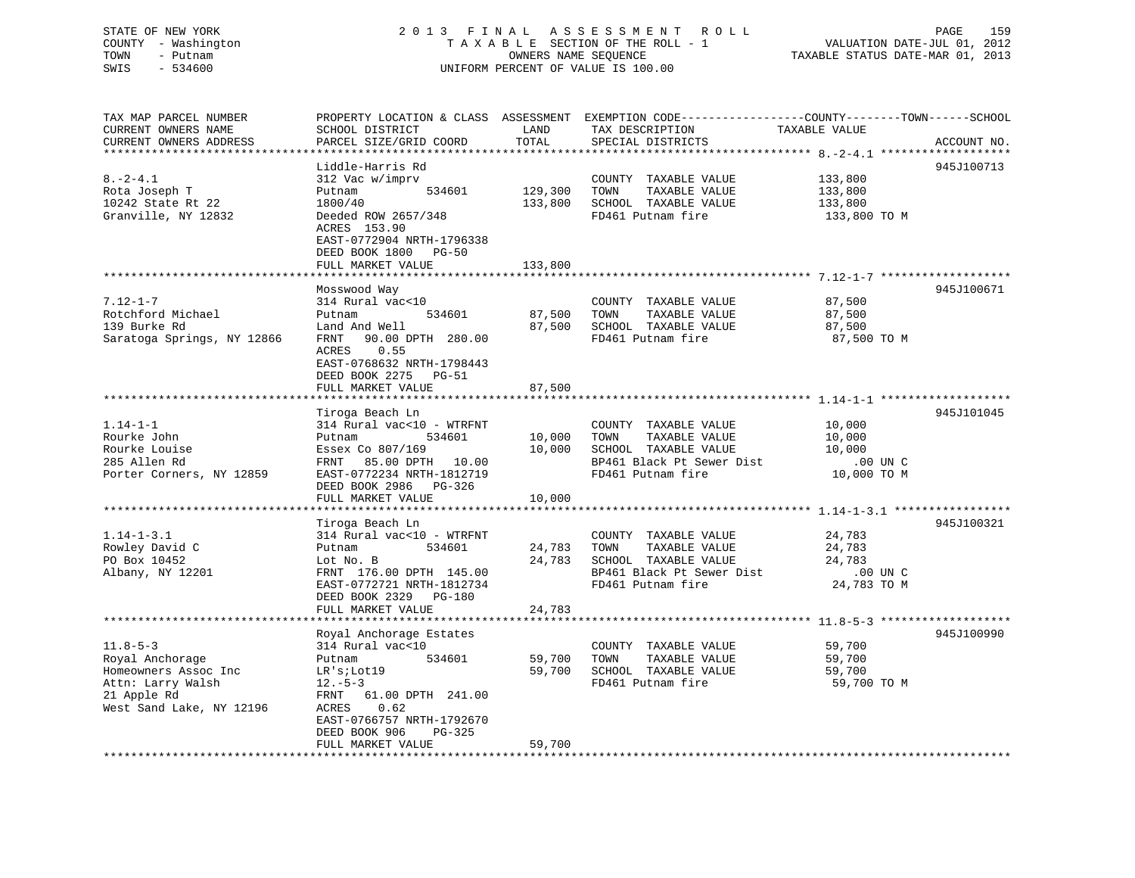# STATE OF NEW YORK 2 0 1 3 F I N A L A S S E S S M E N T R O L L PAGE 159 COUNTY - Washington T A X A B L E SECTION OF THE ROLL - 1 VALUATION DATE-JUL 01, 2012 TOWN - Putnam OWNERS NAME SEQUENCE TAXABLE STATUS DATE-MAR 01, 2013 SWIS - 534600 UNIFORM PERCENT OF VALUE IS 100.00

| TAX MAP PARCEL NUMBER      | PROPERTY LOCATION & CLASS ASSESSMENT EXEMPTION CODE----------------COUNTY-------TOWN------SCHOOL |              |                             |               |             |
|----------------------------|--------------------------------------------------------------------------------------------------|--------------|-----------------------------|---------------|-------------|
| CURRENT OWNERS NAME        | SCHOOL DISTRICT                                                                                  | LAND         | TAX DESCRIPTION             | TAXABLE VALUE |             |
| CURRENT OWNERS ADDRESS     | PARCEL SIZE/GRID COORD                                                                           | TOTAL        | SPECIAL DISTRICTS           |               | ACCOUNT NO. |
|                            |                                                                                                  |              |                             |               |             |
|                            | Liddle-Harris Rd                                                                                 |              |                             |               | 945J100713  |
| $8. - 2 - 4.1$             | 312 Vac w/imprv                                                                                  |              | COUNTY TAXABLE VALUE        | 133,800       |             |
| Rota Joseph T              | Putnam<br>534601                                                                                 | 129,300      | TOWN<br>TAXABLE VALUE       | 133,800       |             |
| 10242 State Rt 22          | 1800/40                                                                                          | 133,800      | SCHOOL TAXABLE VALUE        | 133,800       |             |
| Granville, NY 12832        | Deeded ROW 2657/348                                                                              |              | FD461 Putnam fire           | 133,800 TO M  |             |
|                            | ACRES 153.90                                                                                     |              |                             |               |             |
|                            | EAST-0772904 NRTH-1796338                                                                        |              |                             |               |             |
|                            | DEED BOOK 1800 PG-50                                                                             |              |                             |               |             |
|                            | FULL MARKET VALUE                                                                                | 133,800      |                             |               |             |
|                            |                                                                                                  |              |                             |               |             |
|                            | Mosswood Way                                                                                     |              |                             |               | 945J100671  |
| $7.12 - 1 - 7$             | 314 Rural vac<10                                                                                 |              | COUNTY TAXABLE VALUE        | 87,500        |             |
| Rotchford Michael          | 534601<br>Putnam                                                                                 | 87,500       | TAXABLE VALUE<br>TOWN       | 87,500        |             |
| 139 Burke Rd               | Land And Well                                                                                    | 87,500       | SCHOOL TAXABLE VALUE        | 87,500        |             |
| Saratoga Springs, NY 12866 | 90.00 DPTH 280.00<br>FRNT                                                                        |              | FD461 Putnam fire           | 87,500 TO M   |             |
|                            | 0.55<br>ACRES                                                                                    |              |                             |               |             |
|                            | EAST-0768632 NRTH-1798443                                                                        |              |                             |               |             |
|                            | DEED BOOK 2275 PG-51                                                                             |              |                             |               |             |
|                            | FULL MARKET VALUE                                                                                | 87,500       |                             |               |             |
|                            | ****************************                                                                     | ************ |                             |               |             |
|                            | Tiroga Beach Ln                                                                                  |              |                             |               | 945J101045  |
| $1.14 - 1 - 1$             | 314 Rural vac<10 - WTRFNT                                                                        |              | COUNTY TAXABLE VALUE        | 10,000        |             |
| Rourke John                | 534601<br>Putnam                                                                                 | 10,000       | TAXABLE VALUE<br>TOWN       | 10,000        |             |
| Rourke Louise              | Essex Co 807/169                                                                                 | 10,000       | SCHOOL TAXABLE VALUE        | 10,000        |             |
| 285 Allen Rd               | FRNT 85.00 DPTH 10.00                                                                            |              | BP461 Black Pt Sewer Dist   | $.00$ UN C    |             |
|                            |                                                                                                  |              |                             |               |             |
| Porter Corners, NY 12859   | EAST-0772234 NRTH-1812719                                                                        |              | FD461 Putnam fire           | 10,000 TO M   |             |
|                            | DEED BOOK 2986 PG-326                                                                            |              |                             |               |             |
|                            | FULL MARKET VALUE                                                                                | 10,000       |                             |               |             |
|                            |                                                                                                  |              |                             |               | 945J100321  |
|                            | Tiroga Beach Ln                                                                                  |              |                             |               |             |
| $1.14 - 1 - 3.1$           | 314 Rural vac<10 - WTRFNT                                                                        |              | COUNTY TAXABLE VALUE        | 24,783        |             |
| Rowley David C             | 534601<br>Putnam                                                                                 | 24,783       | TAXABLE VALUE<br>TOWN       | 24,783        |             |
| PO Box 10452               | Lot No. B                                                                                        |              | 24,783 SCHOOL TAXABLE VALUE | 24,783        |             |
| Albany, NY 12201           | FRNT 176.00 DPTH 145.00                                                                          |              | BP461 Black Pt Sewer Dist   | .00 UN C      |             |
|                            | EAST-0772721 NRTH-1812734                                                                        |              | FD461 Putnam fire           | 24,783 TO M   |             |
|                            | DEED BOOK 2329 PG-180                                                                            |              |                             |               |             |
|                            | FULL MARKET VALUE                                                                                | 24,783       |                             |               |             |
|                            |                                                                                                  |              |                             |               |             |
|                            | Royal Anchorage Estates                                                                          |              |                             |               | 945J100990  |
| $11.8 - 5 - 3$             | 314 Rural vac<10                                                                                 |              | COUNTY TAXABLE VALUE        | 59,700        |             |
| Royal Anchorage            | 534601<br>Putnam                                                                                 | 59,700       | TOWN<br>TAXABLE VALUE       | 59,700        |             |
| Homeowners Assoc Inc       | LR's;Lot19                                                                                       | 59,700       | SCHOOL TAXABLE VALUE        | 59,700        |             |
| Attn: Larry Walsh          | $12.-5-3$                                                                                        |              | FD461 Putnam fire           | 59,700 TO M   |             |
| 21 Apple Rd                | FRNT 61.00 DPTH 241.00                                                                           |              |                             |               |             |
| West Sand Lake, NY 12196   | 0.62<br>ACRES                                                                                    |              |                             |               |             |
|                            | EAST-0766757 NRTH-1792670                                                                        |              |                             |               |             |
|                            | DEED BOOK 906<br>PG-325                                                                          |              |                             |               |             |
|                            | FULL MARKET VALUE                                                                                | 59,700       |                             |               |             |
|                            |                                                                                                  |              |                             |               |             |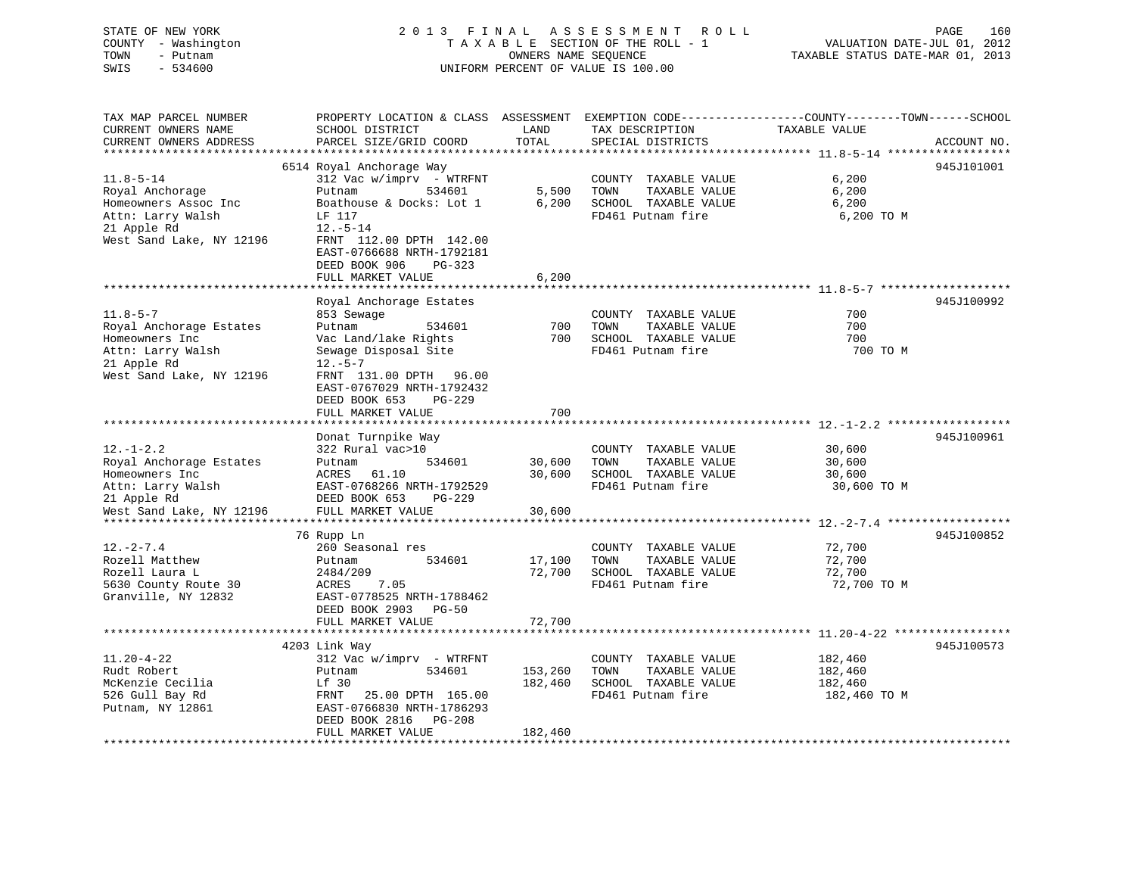STATE OF NEW YORK 2013 FINAL ASSESSMENT ROLL COUNTY - Washington  $T A X A B L E$  SECTION OF THE ROLL - 1<br>TOWN - Putnam data of the COUNTERS NAME SEQUENCE TOWN - Putnam OWNERS NAME SEQUENCE TAXABLE STATUS DATE-MAR 01, 2013 SWIS - 534600 UNIFORM PERCENT OF VALUE IS 100.00

|                             | PAGE | 160 |
|-----------------------------|------|-----|
| VALUATION DATE-JUL 01, 2012 |      |     |

| TAX MAP PARCEL NUMBER<br>CURRENT OWNERS NAME | SCHOOL DISTRICT                            | LAND           | TAX DESCRIPTION                           | PROPERTY LOCATION & CLASS ASSESSMENT EXEMPTION CODE---------------COUNTY-------TOWN------SCHOOL<br>TAXABLE VALUE |
|----------------------------------------------|--------------------------------------------|----------------|-------------------------------------------|------------------------------------------------------------------------------------------------------------------|
| CURRENT OWNERS ADDRESS                       | PARCEL SIZE/GRID COORD                     | TOTAL          | SPECIAL DISTRICTS                         | ACCOUNT NO.                                                                                                      |
|                                              |                                            |                |                                           |                                                                                                                  |
|                                              | 6514 Royal Anchorage Way                   |                |                                           | 945J101001                                                                                                       |
| $11.8 - 5 - 14$                              | $312$ Vac w/imprv - WTRFNT                 |                | COUNTY TAXABLE VALUE                      | 6,200                                                                                                            |
| Royal Anchorage                              | 534601<br>Putnam                           | 5,500<br>6,200 | TAXABLE VALUE<br>TOWN                     | 6,200<br>6,200                                                                                                   |
| Homeowners Assoc Inc<br>Attn: Larry Walsh    | Boathouse & Docks: Lot 1<br>LF 117         |                | SCHOOL TAXABLE VALUE<br>FD461 Putnam fire | 6,200 TO M                                                                                                       |
| 21 Apple Rd                                  | $12.-5-14$                                 |                |                                           |                                                                                                                  |
| West Sand Lake, NY 12196                     | FRNT 112.00 DPTH 142.00                    |                |                                           |                                                                                                                  |
|                                              | EAST-0766688 NRTH-1792181                  |                |                                           |                                                                                                                  |
|                                              | DEED BOOK 906<br>$PG-323$                  |                |                                           |                                                                                                                  |
|                                              | FULL MARKET VALUE                          | 6,200          |                                           |                                                                                                                  |
|                                              |                                            |                |                                           |                                                                                                                  |
|                                              | Royal Anchorage Estates                    |                |                                           | 945J100992                                                                                                       |
| $11.8 - 5 - 7$                               | 853 Sewage                                 |                | COUNTY TAXABLE VALUE                      | 700                                                                                                              |
| Royal Anchorage Estates                      | Putnam<br>534601                           | 700            | TOWN<br>TAXABLE VALUE                     | 700                                                                                                              |
| Homeowners Inc                               | Vac Land/lake Rights                       | 700            | SCHOOL TAXABLE VALUE                      | 700                                                                                                              |
| Attn: Larry Walsh                            | Sewage Disposal Site                       |                | FD461 Putnam fire                         | 700 TO M                                                                                                         |
| 21 Apple Rd                                  | $12.-5-7$                                  |                |                                           |                                                                                                                  |
| West Sand Lake, NY 12196                     | FRNT 131.00 DPTH 96.00                     |                |                                           |                                                                                                                  |
|                                              | EAST-0767029 NRTH-1792432                  |                |                                           |                                                                                                                  |
|                                              | DEED BOOK 653<br>$PG-229$                  |                |                                           |                                                                                                                  |
|                                              | FULL MARKET VALUE                          | 700            |                                           |                                                                                                                  |
|                                              |                                            |                |                                           |                                                                                                                  |
|                                              | Donat Turnpike Way                         |                |                                           | 945J100961                                                                                                       |
| $12. - 1 - 2.2$                              | 322 Rural vac>10                           |                | COUNTY TAXABLE VALUE                      | 30,600                                                                                                           |
| Royal Anchorage Estates                      | 534601<br>Putnam                           | 30,600         | TAXABLE VALUE<br>TOWN                     | 30,600                                                                                                           |
| Homeowners Inc                               | ACRES 61.10                                | 30,600         | SCHOOL TAXABLE VALUE                      | 30,600                                                                                                           |
| Attn: Larry Walsh                            | EAST-0768266 NRTH-1792529<br>DEED BOOK 653 |                | FD461 Putnam fire                         | 30,600 TO M                                                                                                      |
| 21 Apple Rd<br>West Sand Lake, NY 12196      | PG-229<br>FULL MARKET VALUE                | 30,600         |                                           |                                                                                                                  |
|                                              |                                            |                |                                           |                                                                                                                  |
|                                              | 76 Rupp Ln                                 |                |                                           | 945J100852                                                                                                       |
| $12. - 2 - 7.4$                              | 260 Seasonal res                           |                | COUNTY TAXABLE VALUE                      | 72,700                                                                                                           |
| Rozell Matthew                               | Putnam<br>534601                           | 17,100         | TAXABLE VALUE<br>TOWN                     | 72,700                                                                                                           |
| Rozell Laura L                               | 2484/209                                   | 72,700         | SCHOOL TAXABLE VALUE                      | 72,700                                                                                                           |
| 5630 County Route 30                         | 7.05<br>ACRES                              |                | FD461 Putnam fire                         | 72,700 TO M                                                                                                      |
| Granville, NY 12832                          | EAST-0778525 NRTH-1788462                  |                |                                           |                                                                                                                  |
|                                              | DEED BOOK 2903 PG-50                       |                |                                           |                                                                                                                  |
|                                              | FULL MARKET VALUE                          | 72,700         |                                           |                                                                                                                  |
|                                              |                                            | ************   |                                           |                                                                                                                  |
|                                              | 4203 Link Way                              |                |                                           | 945J100573                                                                                                       |
| $11.20 - 4 - 22$                             | 312 Vac w/imprv - WTRFNT                   |                | COUNTY TAXABLE VALUE                      | 182,460                                                                                                          |
| Rudt Robert                                  | 534601<br>Putnam                           | 153,260        | TOWN<br>TAXABLE VALUE                     | 182,460                                                                                                          |
| McKenzie Cecilia                             | Lf 30                                      | 182,460        | SCHOOL TAXABLE VALUE                      | 182,460                                                                                                          |
| 526 Gull Bay Rd                              | FRNT<br>25.00 DPTH 165.00                  |                | FD461 Putnam fire                         | 182,460 TO M                                                                                                     |
| Putnam, NY 12861                             | EAST-0766830 NRTH-1786293                  |                |                                           |                                                                                                                  |
|                                              | DEED BOOK 2816 PG-208                      |                |                                           |                                                                                                                  |
|                                              | FULL MARKET VALUE                          | 182,460        |                                           |                                                                                                                  |
|                                              |                                            |                |                                           |                                                                                                                  |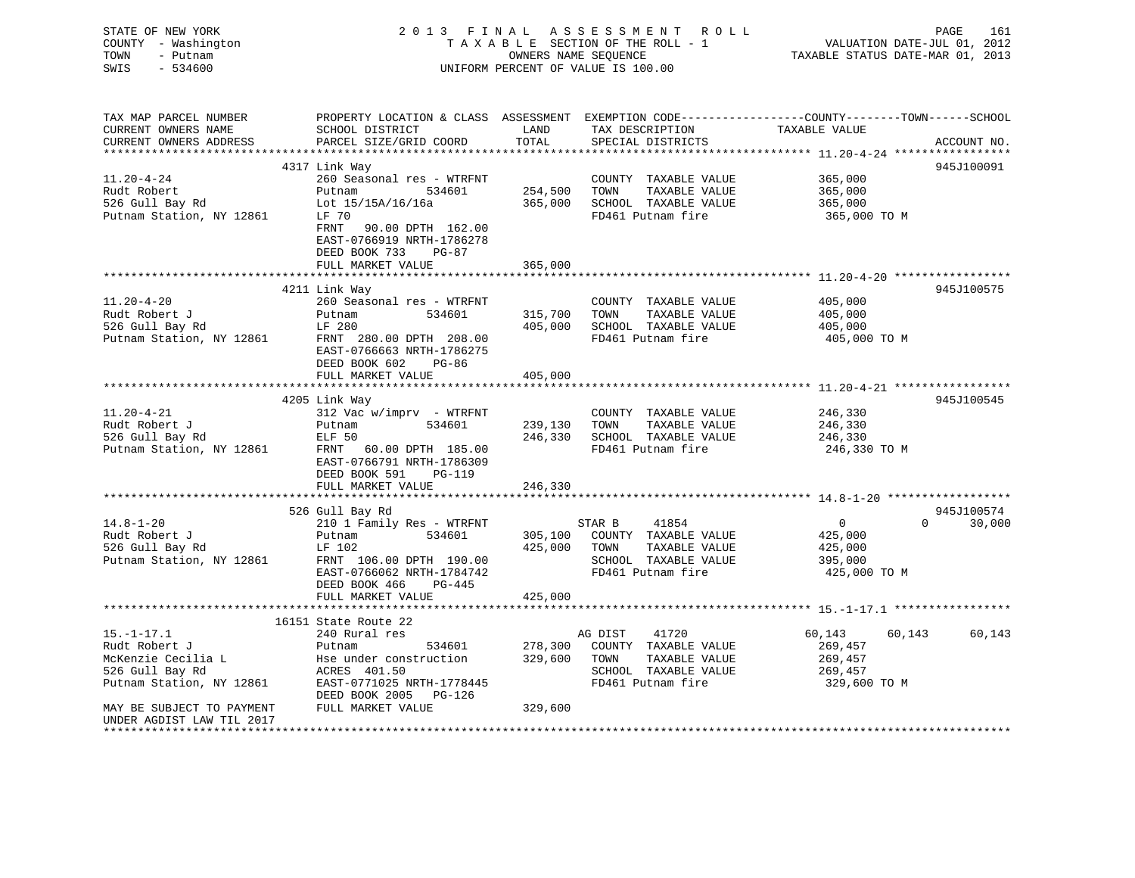| STATE OF NEW YORK<br>COUNTY - Washington<br>TOWN<br>- Putnam<br>SWIS<br>$-534600$                      | 2013 FINAL                                                                                                                                                      | A S S E S S M E N T<br>TAXABLE SECTION OF THE ROLL - 1<br>OWNERS NAME SEQUENCE<br>UNIFORM PERCENT OF VALUE IS 100.00 | VALUATION DATE-JUL 01, 2012<br>TAXABLE STATUS DATE-MAR 01, 2013                                                | PAGE<br>161                                                       |                    |
|--------------------------------------------------------------------------------------------------------|-----------------------------------------------------------------------------------------------------------------------------------------------------------------|----------------------------------------------------------------------------------------------------------------------|----------------------------------------------------------------------------------------------------------------|-------------------------------------------------------------------|--------------------|
| TAX MAP PARCEL NUMBER<br>CURRENT OWNERS NAME<br>CURRENT OWNERS ADDRESS                                 | PROPERTY LOCATION & CLASS ASSESSMENT EXEMPTION CODE---------------COUNTY-------TOWN------SCHOOL<br>SCHOOL DISTRICT<br>PARCEL SIZE/GRID COORD                    | LAND<br>TOTAL                                                                                                        | TAX DESCRIPTION<br>SPECIAL DISTRICTS                                                                           | TAXABLE VALUE                                                     | ACCOUNT NO.        |
|                                                                                                        | 4317 Link Way                                                                                                                                                   |                                                                                                                      |                                                                                                                |                                                                   | 945J100091         |
| $11.20 - 4 - 24$<br>Rudt Robert<br>526 Gull Bay Rd<br>Putnam Station, NY 12861                         | 260 Seasonal res - WTRFNT<br>Putnam<br>534601<br>Lot 15/15A/16/16a<br>LF 70<br>FRNT 90.00 DPTH 162.00<br>EAST-0766919 NRTH-1786278                              | 254,500<br>365,000                                                                                                   | COUNTY TAXABLE VALUE<br>TOWN<br>TAXABLE VALUE<br>SCHOOL TAXABLE VALUE<br>FD461 Putnam fire                     | 365,000<br>365,000<br>365,000<br>365,000 TO M                     |                    |
|                                                                                                        | DEED BOOK 733<br>PG-87                                                                                                                                          |                                                                                                                      |                                                                                                                |                                                                   |                    |
|                                                                                                        | FULL MARKET VALUE                                                                                                                                               | 365,000                                                                                                              |                                                                                                                |                                                                   |                    |
| $11.20 - 4 - 20$<br>Rudt Robert J<br>526 Gull Bay Rd<br>Putnam Station, NY 12861                       | 4211 Link Way<br>260 Seasonal res - WTRFNT<br>Putnam<br>534601<br>LF 280<br>FRNT 280.00 DPTH 208.00<br>EAST-0766663 NRTH-1786275                                | 315,700<br>405,000                                                                                                   | COUNTY TAXABLE VALUE<br>TOWN<br>TAXABLE VALUE<br>SCHOOL TAXABLE VALUE<br>FD461 Putnam fire                     | 405,000<br>405,000<br>405,000<br>405,000 TO M                     | 945J100575         |
|                                                                                                        | DEED BOOK 602<br>PG-86                                                                                                                                          |                                                                                                                      |                                                                                                                |                                                                   |                    |
|                                                                                                        | FULL MARKET VALUE                                                                                                                                               | 405,000                                                                                                              |                                                                                                                |                                                                   |                    |
| $11.20 - 4 - 21$<br>Rudt Robert J<br>526 Gull Bay Rd<br>Putnam Station, NY 12861                       | 4205 Link Way<br>312 Vac w/imprv - WTRFNT<br>534601<br>Putnam<br>ELF 50<br>FRNT 60.00 DPTH 185.00<br>EAST-0766791 NRTH-1786309<br>DEED BOOK 591<br>PG-119       | 239,130<br>246,330                                                                                                   | COUNTY TAXABLE VALUE<br>TOWN<br>TAXABLE VALUE<br>SCHOOL TAXABLE VALUE<br>FD461 Putnam fire                     | 246,330<br>246,330<br>246,330<br>246,330 TO M                     | 945J100545         |
|                                                                                                        | FULL MARKET VALUE<br>********************                                                                                                                       | 246,330                                                                                                              |                                                                                                                |                                                                   |                    |
|                                                                                                        | 526 Gull Bay Rd                                                                                                                                                 |                                                                                                                      |                                                                                                                |                                                                   | 945J100574         |
| $14.8 - 1 - 20$<br>Rudt Robert J<br>526 Gull Bay Rd<br>Putnam Station, NY 12861                        | 210 1 Family Res - WTRFNT<br>534601<br>Putnam<br>LF 102<br>FRNT 106.00 DPTH 190.00<br>EAST-0766062 NRTH-1784742<br>DEED BOOK 466<br>PG-445<br>FULL MARKET VALUE | 305,100<br>425,000<br>425,000                                                                                        | STAR B<br>41854<br>COUNTY TAXABLE VALUE<br>TOWN<br>TAXABLE VALUE<br>SCHOOL TAXABLE VALUE<br>FD461 Putnam fire  | $\overline{0}$<br>425,000<br>425,000<br>395,000<br>425,000 TO M   | 30,000<br>$\Omega$ |
|                                                                                                        |                                                                                                                                                                 |                                                                                                                      |                                                                                                                | ******************** 15.-1-17.1 *****************                 |                    |
| $15. - 1 - 17.1$<br>Rudt Robert J<br>McKenzie Cecilia L<br>526 Gull Bay Rd<br>Putnam Station, NY 12861 | 16151 State Route 22<br>240 Rural res<br>Putnam<br>534601<br>Hse under construction<br>ACRES 401.50<br>EAST-0771025 NRTH-1778445<br>DEED BOOK 2005 PG-126       | 278,300<br>329,600                                                                                                   | 41720<br>AG DIST<br>COUNTY TAXABLE VALUE<br>TOWN<br>TAXABLE VALUE<br>SCHOOL TAXABLE VALUE<br>FD461 Putnam fire | 60,143<br>60,143<br>269,457<br>269,457<br>269,457<br>329,600 TO M | 60,143             |
| MAY BE SUBJECT TO PAYMENT<br>UNDER AGDIST LAW TIL 2017                                                 | FULL MARKET VALUE                                                                                                                                               | 329,600                                                                                                              |                                                                                                                |                                                                   |                    |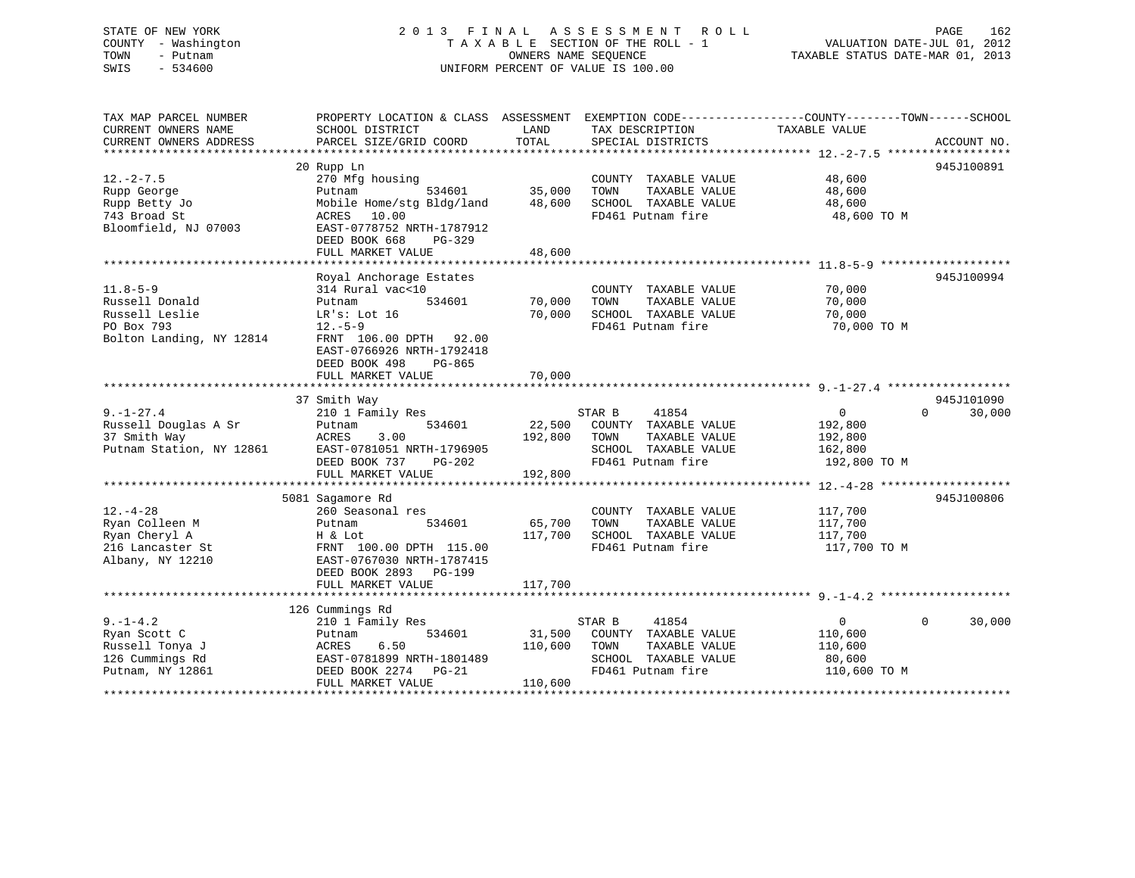# STATE OF NEW YORK 2 0 1 3 F I N A L A S S E S S M E N T R O L L PAGE 162 COUNTY - Washington T A X A B L E SECTION OF THE ROLL - 1 VALUATION DATE-JUL 01, 2012 TOWN - Putnam OWNERS NAME SEQUENCE TAXABLE STATUS DATE-MAR 01, 2013 SWIS - 534600 UNIFORM PERCENT OF VALUE IS 100.00

| TAX MAP PARCEL NUMBER<br>CURRENT OWNERS NAME<br>CURRENT OWNERS ADDRESS                       | PROPERTY LOCATION & CLASS ASSESSMENT<br>SCHOOL DISTRICT<br>PARCEL SIZE/GRID COORD                                                                                              | LAND<br>TOTAL                | TAX DESCRIPTION<br>SPECIAL DISTRICTS                                                                          | EXEMPTION CODE-----------------COUNTY-------TOWN------SCHOOL<br>TAXABLE VALUE | ACCOUNT NO.                      |
|----------------------------------------------------------------------------------------------|--------------------------------------------------------------------------------------------------------------------------------------------------------------------------------|------------------------------|---------------------------------------------------------------------------------------------------------------|-------------------------------------------------------------------------------|----------------------------------|
|                                                                                              |                                                                                                                                                                                |                              |                                                                                                               |                                                                               |                                  |
| $12. - 2 - 7.5$<br>Rupp George<br>Rupp Betty Jo<br>743 Broad St<br>Bloomfield, NJ 07003      | 20 Rupp Ln<br>270 Mfg housing<br>Putnam<br>534601<br>Mobile Home/stg Bldg/land<br>ACRES<br>10.00<br>EAST-0778752 NRTH-1787912<br>DEED BOOK 668<br>PG-329<br>FULL MARKET VALUE  | 35,000<br>48,600<br>48,600   | COUNTY TAXABLE VALUE<br>TOWN<br>TAXABLE VALUE<br>SCHOOL TAXABLE VALUE<br>FD461 Putnam fire                    | 48,600<br>48,600<br>48,600<br>48,600 TO M                                     | 945J100891                       |
|                                                                                              |                                                                                                                                                                                |                              |                                                                                                               |                                                                               |                                  |
| $11.8 - 5 - 9$<br>Russell Donald<br>Russell Leslie<br>PO Box 793<br>Bolton Landing, NY 12814 | Royal Anchorage Estates<br>314 Rural vac<10<br>534601<br>Putnam<br>LR's: Lot 16<br>$12.-5-9$<br>FRNT 106.00 DPTH 92.00<br>EAST-0766926 NRTH-1792418<br>DEED BOOK 498<br>PG-865 | 70,000<br>70,000             | COUNTY TAXABLE VALUE<br>TOWN<br>TAXABLE VALUE<br>SCHOOL TAXABLE VALUE<br>FD461 Putnam fire                    | 70,000<br>70,000<br>70,000<br>70,000 TO M                                     | 945J100994                       |
|                                                                                              | FULL MARKET VALUE                                                                                                                                                              | 70,000                       |                                                                                                               |                                                                               |                                  |
| $9. - 1 - 27.4$<br>Russell Douglas A Sr<br>37 Smith Way<br>Putnam Station, NY 12861          | 37 Smith Way<br>210 1 Family Res<br>534601<br>Putnam<br>ACRES<br>3.00<br>EAST-0781051 NRTH-1796905<br>DEED BOOK 737<br>PG-202<br>FULL MARKET VALUE                             | 22,500<br>192,800<br>192,800 | 41854<br>STAR B<br>COUNTY TAXABLE VALUE<br>TOWN<br>TAXABLE VALUE<br>SCHOOL TAXABLE VALUE<br>FD461 Putnam fire | $\overline{0}$<br>192,800<br>192,800<br>162,800<br>192,800 TO M               | 945J101090<br>$\Omega$<br>30,000 |
|                                                                                              |                                                                                                                                                                                |                              |                                                                                                               |                                                                               |                                  |
| $12. - 4 - 28$<br>Ryan Colleen M<br>Ryan Cheryl A<br>216 Lancaster St<br>Albany, NY 12210    | 5081 Sagamore Rd<br>260 Seasonal res<br>534601<br>Putnam<br>H & Lot<br>FRNT 100.00 DPTH 115.00<br>EAST-0767030 NRTH-1787415<br>DEED BOOK 2893 PG-199<br>FULL MARKET VALUE      | 65,700<br>117,700<br>117,700 | COUNTY TAXABLE VALUE<br>TAXABLE VALUE<br>TOWN<br>SCHOOL TAXABLE VALUE<br>FD461 Putnam fire                    | 117,700<br>117,700<br>117,700<br>117,700 TO M                                 | 945J100806                       |
|                                                                                              |                                                                                                                                                                                |                              |                                                                                                               |                                                                               |                                  |
| $9. - 1 - 4.2$<br>Ryan Scott C<br>Russell Tonya J<br>126 Cummings Rd<br>Putnam, NY 12861     | 126 Cummings Rd<br>210 1 Family Res<br>534601<br>Putnam<br>ACRES<br>6.50<br>EAST-0781899 NRTH-1801489<br>DEED BOOK 2274<br>$PG-21$<br>FULL MARKET VALUE                        | 31,500<br>110,600<br>110,600 | 41854<br>STAR B<br>COUNTY TAXABLE VALUE<br>TOWN<br>TAXABLE VALUE<br>SCHOOL TAXABLE VALUE<br>FD461 Putnam fire | $\mathbf{0}$<br>110,600<br>110,600<br>80,600<br>110,600 TO M                  | $\Omega$<br>30,000               |
|                                                                                              |                                                                                                                                                                                |                              |                                                                                                               |                                                                               |                                  |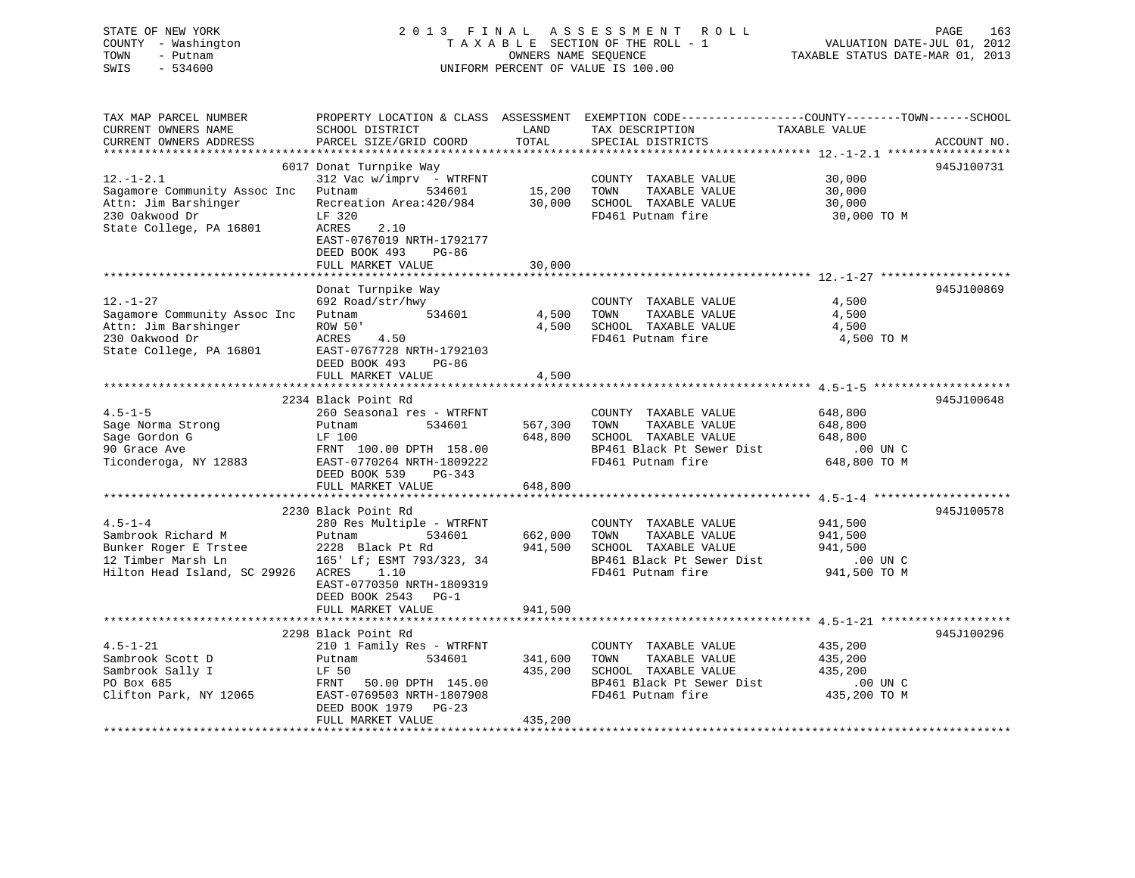# STATE OF NEW YORK 2 0 1 3 F I N A L A S S E S S M E N T R O L L PAGE 163 COUNTY - Washington T A X A B L E SECTION OF THE ROLL - 1 VALUATION DATE-JUL 01, 2012 TOWN - Putnam OWNERS NAME SEQUENCE TAXABLE STATUS DATE-MAR 01, 2013 SWIS - 534600 UNIFORM PERCENT OF VALUE IS 100.00

| TAX MAP PARCEL NUMBER<br>CURRENT OWNERS NAME                                                                         | PROPERTY LOCATION & CLASS ASSESSMENT<br>SCHOOL DISTRICT                                                                                                                                | LAND                          | EXEMPTION CODE-----------------COUNTY-------TOWN------SCHOOL<br>TAX DESCRIPTION                                                                                               | TAXABLE VALUE                                                 |             |
|----------------------------------------------------------------------------------------------------------------------|----------------------------------------------------------------------------------------------------------------------------------------------------------------------------------------|-------------------------------|-------------------------------------------------------------------------------------------------------------------------------------------------------------------------------|---------------------------------------------------------------|-------------|
| CURRENT OWNERS ADDRESS                                                                                               | PARCEL SIZE/GRID COORD                                                                                                                                                                 | TOTAL                         | SPECIAL DISTRICTS                                                                                                                                                             |                                                               | ACCOUNT NO. |
| $12. - 1 - 2.1$<br>Sagamore Community Assoc Inc<br>Attn: Jim Barshinger<br>230 Oakwood Dr<br>State College, PA 16801 | 6017 Donat Turnpike Way<br>$312$ Vac w/imprv - WTRFNT<br>Putnam<br>534601<br>Recreation Area: 420/984<br>LF 320<br><b>ACRES</b><br>2.10                                                | 15,200<br>30,000              | COUNTY TAXABLE VALUE<br>TAXABLE VALUE<br>TOWN<br>SCHOOL TAXABLE VALUE<br>FD461 Putnam fire                                                                                    | 30,000<br>30,000<br>30,000<br>30,000 TO M                     | 945J100731  |
|                                                                                                                      | EAST-0767019 NRTH-1792177<br>DEED BOOK 493<br>$PG-86$<br>FULL MARKET VALUE                                                                                                             | 30,000                        |                                                                                                                                                                               |                                                               |             |
|                                                                                                                      |                                                                                                                                                                                        |                               |                                                                                                                                                                               |                                                               | 945J100869  |
| $12. - 1 - 27$<br>Sagamore Community Assoc Inc<br>Attn: Jim Barshinger<br>230 Oakwood Dr<br>State College, PA 16801  | Donat Turnpike Way<br>692 Road/str/hwy<br>Putnam<br>534601<br>ROW 50'<br>ACRES<br>4.50<br>EAST-0767728 NRTH-1792103<br>DEED BOOK 493<br>$PG-86$<br>FULL MARKET VALUE                   | 4,500<br>4,500<br>4,500       | COUNTY TAXABLE VALUE<br>TAXABLE VALUE<br>TOWN<br>SCHOOL TAXABLE VALUE<br>FD461 Putnam fire                                                                                    | 4,500<br>4,500<br>4,500<br>4,500 TO M                         |             |
|                                                                                                                      |                                                                                                                                                                                        | *********                     |                                                                                                                                                                               | ***************************** 4.5-1-5.******************      |             |
| $4.5 - 1 - 5$<br>Sage Norma Strong<br>Sage Gordon G<br>90 Grace Ave<br>Ticonderoga, NY 12883                         | 2234 Black Point Rd<br>260 Seasonal res - WTRFNT<br>534601<br>Putnam<br>LF 100<br>FRNT 100.00 DPTH 158.00<br>EAST-0770264 NRTH-1809222<br>DEED BOOK 539<br>PG-343<br>FULL MARKET VALUE | 567,300<br>648,800<br>648,800 | COUNTY TAXABLE VALUE<br>TOWN<br>TAXABLE VALUE<br>SCHOOL TAXABLE VALUE<br>BP461 Black Pt Sewer Dist<br>FD461 Putnam fire<br>********************************** 4.5-1-4 ******* | 648,800<br>648,800<br>648,800<br>$.00$ UN $C$<br>648,800 TO M | 945J100648  |
|                                                                                                                      | 2230 Black Point Rd                                                                                                                                                                    |                               |                                                                                                                                                                               |                                                               | 945J100578  |
| $4.5 - 1 - 4$<br>Sambrook Richard M<br>Bunker Roger E Trstee<br>12 Timber Marsh Ln<br>Hilton Head Island, SC 29926   | 280 Res Multiple - WTRFNT<br>Putnam<br>534601<br>2228 Black Pt Rd<br>165' Lf; ESMT 793/323, 34<br>ACRES<br>1.10<br>EAST-0770350 NRTH-1809319<br>DEED BOOK 2543<br>$PG-1$               | 662,000<br>941,500            | COUNTY TAXABLE VALUE<br>TAXABLE VALUE<br>TOWN<br>SCHOOL TAXABLE VALUE<br>BP461 Black Pt Sewer Dist<br>FD461 Putnam fire                                                       | 941,500<br>941,500<br>941,500<br>.00 UN C<br>941,500 TO M     |             |
|                                                                                                                      | FULL MARKET VALUE                                                                                                                                                                      | 941,500                       |                                                                                                                                                                               |                                                               |             |
|                                                                                                                      | 2298 Black Point Rd                                                                                                                                                                    |                               |                                                                                                                                                                               |                                                               | 945J100296  |
| $4.5 - 1 - 21$<br>Sambrook Scott D<br>Sambrook Sally I<br>PO Box 685<br>Clifton Park, NY 12065                       | 210 1 Family Res - WTRFNT<br>Putnam<br>534601<br>LF 50<br>FRNT<br>50.00 DPTH 145.00<br>EAST-0769503 NRTH-1807908<br>DEED BOOK 1979<br>$PG-23$                                          | 341,600<br>435,200            | COUNTY TAXABLE VALUE<br>TAXABLE VALUE<br>TOWN<br>SCHOOL TAXABLE VALUE<br>BP461 Black Pt Sewer Dist<br>FD461 Putnam fire                                                       | 435,200<br>435,200<br>435,200<br>$.00$ UN $C$<br>435,200 TO M |             |
|                                                                                                                      | FULL MARKET VALUE                                                                                                                                                                      | 435,200                       |                                                                                                                                                                               |                                                               |             |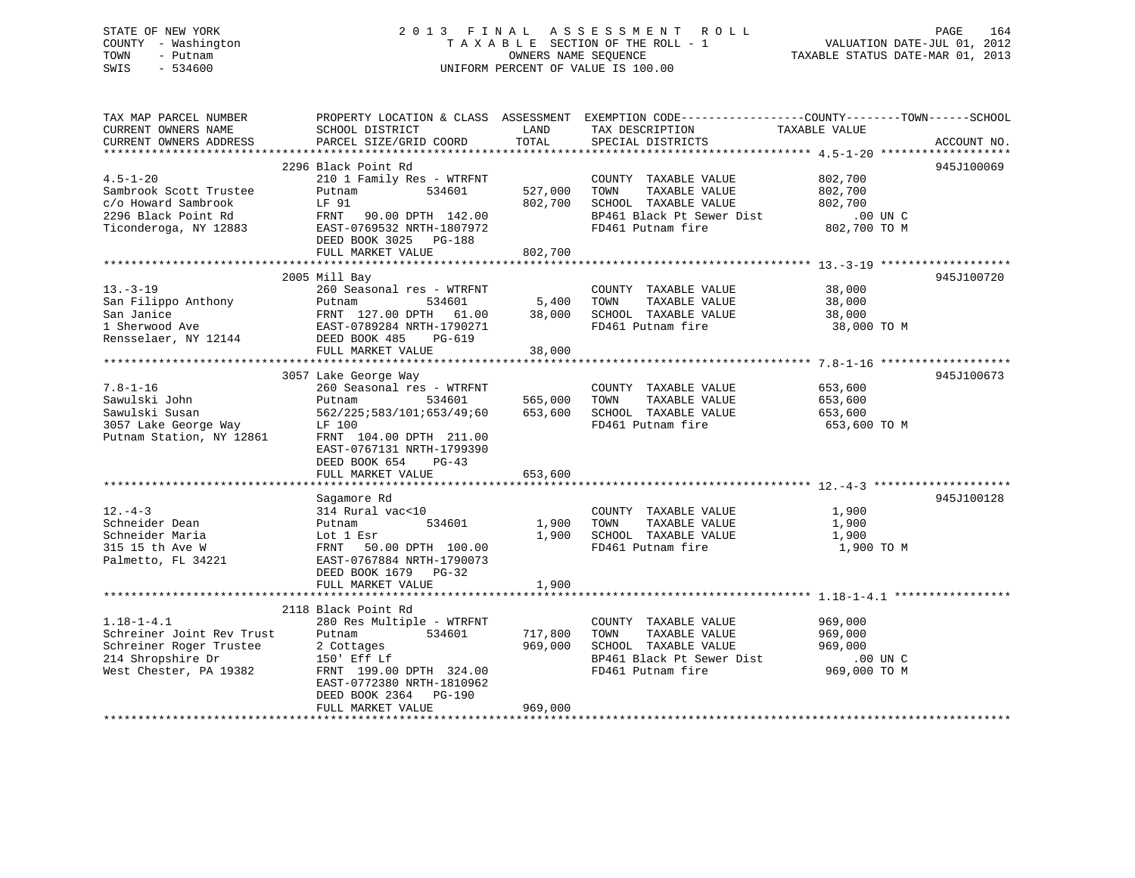# STATE OF NEW YORK 2 0 1 3 F I N A L A S S E S S M E N T R O L L PAGE 164 COUNTY - Washington T A X A B L E SECTION OF THE ROLL - 1 VALUATION DATE-JUL 01, 2012 TOWN - Putnam **CONNERS NAME SEQUENCE** TAXABLE STATUS DATE-MAR 01, 2013 SWIS - 534600 UNIFORM PERCENT OF VALUE IS 100.00

| TAX MAP PARCEL NUMBER                        |                                                                                             |                | PROPERTY LOCATION & CLASS ASSESSMENT EXEMPTION CODE----------------COUNTY-------TOWN------SCHOOL |               |             |
|----------------------------------------------|---------------------------------------------------------------------------------------------|----------------|--------------------------------------------------------------------------------------------------|---------------|-------------|
| CURRENT OWNERS NAME                          | SCHOOL DISTRICT                                                                             | LAND           | TAX DESCRIPTION                                                                                  | TAXABLE VALUE |             |
| CURRENT OWNERS ADDRESS                       | PARCEL SIZE/GRID COORD                                                                      | TOTAL          | SPECIAL DISTRICTS                                                                                |               | ACCOUNT NO. |
|                                              | 2296 Black Point Rd                                                                         |                |                                                                                                  |               | 945J100069  |
| $4.5 - 1 - 20$                               | 210 1 Family Res - WTRFNT                                                                   |                | COUNTY TAXABLE VALUE                                                                             | 802,700       |             |
| Sambrook Scott Trustee                       | 534601<br>Putnam                                                                            | 527,000        | TOWN<br>TAXABLE VALUE                                                                            | 802,700       |             |
| c/o Howard Sambrook                          | LF 91                                                                                       | 802,700        | SCHOOL TAXABLE VALUE                                                                             | 802,700       |             |
|                                              | FRNT 90.00 DPTH 142.00                                                                      |                | BP461 Black Pt Sewer Dist                                                                        | .00 UN C      |             |
| 2296 Black Point Rd<br>Ticonderoga, NY 12883 | EAST-0769532 NRTH-1807972                                                                   |                | FD461 Putnam fire                                                                                | 802,700 TO M  |             |
|                                              | DEED BOOK 3025 PG-188                                                                       |                |                                                                                                  |               |             |
|                                              | FULL MARKET VALUE                                                                           | 802,700        |                                                                                                  |               |             |
|                                              |                                                                                             |                |                                                                                                  |               |             |
|                                              | 2005 Mill Bay                                                                               |                |                                                                                                  |               | 945J100720  |
| $13. - 3 - 19$                               | 260 Seasonal res - WTRFNT                                                                   |                | COUNTY TAXABLE VALUE                                                                             | 38,000        |             |
|                                              |                                                                                             | 5,400          | TAXABLE VALUE<br>TOWN                                                                            | 38,000        |             |
|                                              |                                                                                             | 38,000         | SCHOOL TAXABLE VALUE                                                                             | 38,000        |             |
|                                              | San Filippo Anthony<br>San Janice<br>San Janice<br>1 Sherwood Ave EAST-0789284 NRTH-1790271 |                | FD461 Putnam fire                                                                                | 38,000 TO M   |             |
| Rensselaer, NY 12144                         | DEED BOOK 485 PG-619                                                                        |                |                                                                                                  |               |             |
|                                              | FULL MARKET VALUE                                                                           | 38,000         |                                                                                                  |               |             |
|                                              |                                                                                             |                |                                                                                                  |               |             |
|                                              | 3057 Lake George Way                                                                        |                |                                                                                                  |               | 945J100673  |
| $7.8 - 1 - 16$                               | 260 Seasonal res - WTRFNT                                                                   |                | COUNTY TAXABLE VALUE                                                                             | 653,600       |             |
| Sawulski John                                | Putnam                                                                                      | 534601 565,000 | TOWN<br>TAXABLE VALUE                                                                            | 653,600       |             |
| Sawulski Susan                               | 562/225;583/101;653/49;60 653,600                                                           |                | SCHOOL TAXABLE VALUE                                                                             | 653,600       |             |
| 3057 Lake George Way                         | LF 100                                                                                      |                | FD461 Putnam fire                                                                                | 653,600 TO M  |             |
| Putnam Station, NY 12861                     | FRNT 104.00 DPTH 211.00                                                                     |                |                                                                                                  |               |             |
|                                              | EAST-0767131 NRTH-1799390<br>DEED BOOK 654 PG-43                                            |                |                                                                                                  |               |             |
|                                              | FULL MARKET VALUE                                                                           | 653,600        |                                                                                                  |               |             |
|                                              |                                                                                             |                |                                                                                                  |               |             |
|                                              | Sagamore Rd                                                                                 |                |                                                                                                  |               | 945J100128  |
| $12. - 4 - 3$                                | 314 Rural vac<10                                                                            |                | COUNTY TAXABLE VALUE                                                                             | 1,900         |             |
| Schneider Dean                               | 534601                                                                                      | 1,900          | TOWN<br>TAXABLE VALUE                                                                            | 1,900         |             |
| Schneider Maria                              |                                                                                             | 1,900          | SCHOOL TAXABLE VALUE                                                                             | 1,900         |             |
| 315 15 th Ave W                              |                                                                                             |                | FD461 Putnam fire                                                                                | 1,900 TO M    |             |
| Palmetto, FL 34221                           | Putnam<br>Lot 1 Esr<br>FRNT 50.00 DPTH 100.00<br>EAST-0767884 NRTH-1790073                  |                |                                                                                                  |               |             |
|                                              | DEED BOOK 1679 PG-32                                                                        |                |                                                                                                  |               |             |
|                                              | FULL MARKET VALUE                                                                           | 1,900          |                                                                                                  |               |             |
|                                              |                                                                                             |                |                                                                                                  |               |             |
|                                              | 2118 Black Point Rd                                                                         |                |                                                                                                  |               |             |
| $1.18 - 1 - 4.1$                             | 280 Res Multiple - WTRFNT                                                                   |                | COUNTY TAXABLE VALUE 969,000                                                                     |               |             |
| Schreiner Joint Rev Trust                    | Putnam<br>534601                                                                            | 717,800        | TOWN<br>TAXABLE VALUE                                                                            | 969,000       |             |
| Schreiner Roger Trustee                      | 2 Cottages                                                                                  | 969,000        | SCHOOL TAXABLE VALUE                                                                             | 969,000       |             |
| 214 Shropshire Dr                            | 150' Eff Lf                                                                                 |                | BP461 Black Pt Sewer Dist                                                                        | .00 UN C      |             |
| West Chester, PA 19382                       | FRNT 199.00 DPTH 324.00                                                                     |                | FD461 Putnam fire                                                                                | 969,000 TO M  |             |
|                                              | EAST-0772380 NRTH-1810962                                                                   |                |                                                                                                  |               |             |
|                                              | DEED BOOK 2364 PG-190                                                                       |                |                                                                                                  |               |             |
|                                              | FULL MARKET VALUE                                                                           | 969,000        |                                                                                                  |               |             |
|                                              |                                                                                             |                |                                                                                                  |               |             |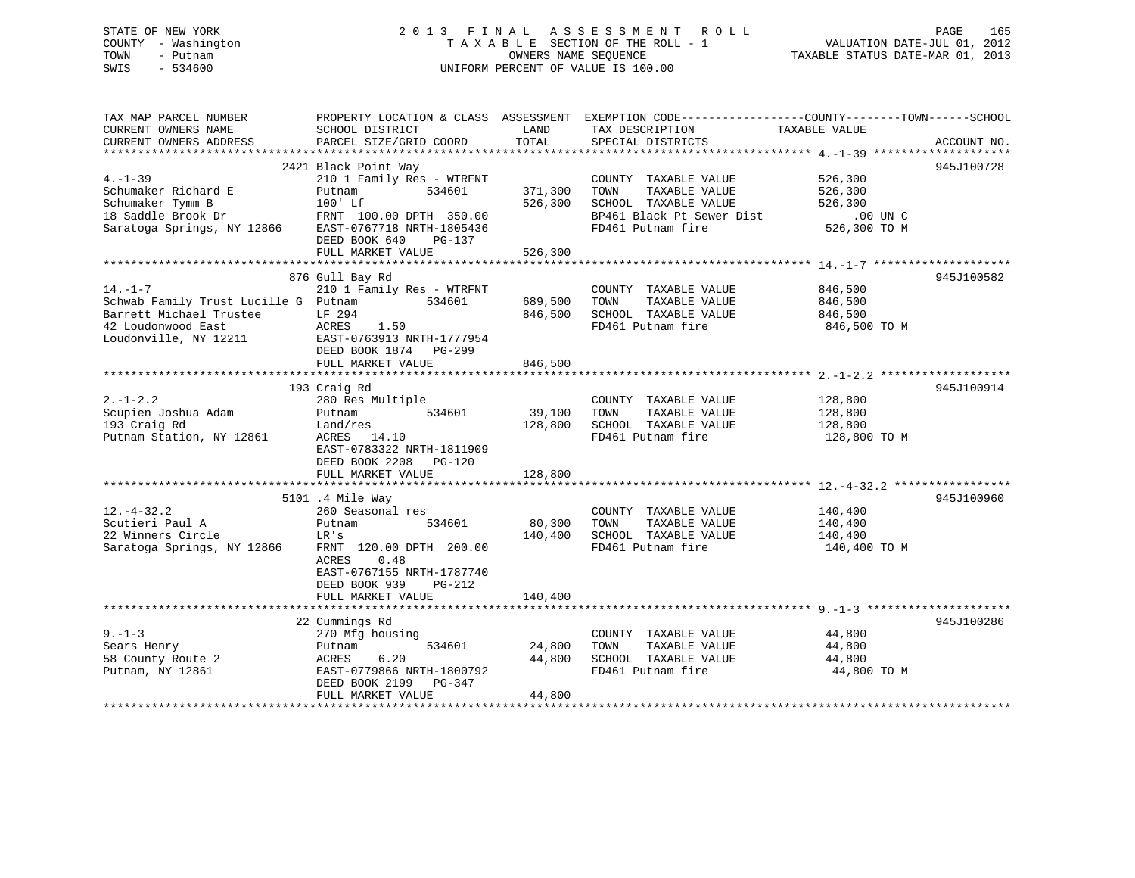# STATE OF NEW YORK 2 0 1 3 F I N A L A S S E S S M E N T R O L L PAGE 165 COUNTY - Washington T A X A B L E SECTION OF THE ROLL - 1 VALUATION DATE-JUL 01, 2012 TOWN - Putnam **CONNERS NAME SEQUENCE** TAXABLE STATUS DATE-MAR 01, 2013 SWIS - 534600 UNIFORM PERCENT OF VALUE IS 100.00

| TAX MAP PARCEL NUMBER<br>CURRENT OWNERS NAME<br>CURRENT OWNERS ADDRESS                             | SCHOOL DISTRICT<br>PARCEL SIZE/GRID COORD | LAND<br>TOTAL | TAX DESCRIPTION<br>SPECIAL DISTRICTS      | PROPERTY LOCATION & CLASS ASSESSMENT EXEMPTION CODE----------------COUNTY-------TOWN------SCHOOL<br>TAXABLE VALUE | ACCOUNT NO. |
|----------------------------------------------------------------------------------------------------|-------------------------------------------|---------------|-------------------------------------------|-------------------------------------------------------------------------------------------------------------------|-------------|
|                                                                                                    |                                           |               |                                           |                                                                                                                   |             |
|                                                                                                    | 2421 Black Point Way                      |               |                                           |                                                                                                                   | 945J100728  |
| $4. -1 - 39$                                                                                       | 210 1 Family Res - WTRFNT                 |               | COUNTY TAXABLE VALUE                      | 526,300                                                                                                           |             |
| Schumaker Richard E                                                                                | 534601<br>Putnam                          | 371,300       | TOWN<br>TAXABLE VALUE                     | 526,300                                                                                                           |             |
| Schumaker Tymm B                                                                                   | $100'$ Lf                                 | 526,300       | SCHOOL TAXABLE VALUE                      | 526,300                                                                                                           |             |
| 18 Saddle Brook Dr FRNT 100.00 DPTH 350.00<br>Saratoga Springs, NY 12866 EAST-0767718 NRTH-1805436 |                                           |               | BP461 Black Pt Sewer Dist                 | $.00$ UN $C$                                                                                                      |             |
|                                                                                                    |                                           |               | FD461 Putnam fire                         | 526,300 TO M                                                                                                      |             |
|                                                                                                    | DEED BOOK 640<br>PG-137                   |               |                                           |                                                                                                                   |             |
|                                                                                                    | FULL MARKET VALUE                         | 526,300       |                                           |                                                                                                                   |             |
|                                                                                                    |                                           |               |                                           |                                                                                                                   |             |
|                                                                                                    | 876 Gull Bay Rd                           |               |                                           |                                                                                                                   | 945J100582  |
| $14. - 1 - 7$                                                                                      | 210 1 Family Res - WTRFNT                 |               | COUNTY TAXABLE VALUE                      | 846,500                                                                                                           |             |
| Schwab Family Trust Lucille G Putnam<br>Barrett Michael Trustee                                    | 534601<br>LF 294                          | 689,500       | TOWN<br>TAXABLE VALUE                     | 846,500                                                                                                           |             |
| 42 Loudonwood East                                                                                 | ACRES<br>1.50                             | 846,500       | SCHOOL TAXABLE VALUE<br>FD461 Putnam fire | 846,500<br>846,500 TO M                                                                                           |             |
| Loudonville, NY 12211                                                                              | EAST-0763913 NRTH-1777954                 |               |                                           |                                                                                                                   |             |
|                                                                                                    | DEED BOOK 1874 PG-299                     |               |                                           |                                                                                                                   |             |
|                                                                                                    | FULL MARKET VALUE                         | 846,500       |                                           |                                                                                                                   |             |
|                                                                                                    |                                           |               |                                           |                                                                                                                   |             |
|                                                                                                    | 193 Craig Rd                              |               |                                           |                                                                                                                   | 945J100914  |
| $2. - 1 - 2.2$                                                                                     | 280 Res Multiple                          |               | COUNTY TAXABLE VALUE                      | 128,800                                                                                                           |             |
| Scupien Joshua Adam                                                                                | 534601<br>Putnam                          | 39,100        | TOWN<br>TAXABLE VALUE                     | 128,800                                                                                                           |             |
| 193 Craig Rd                                                                                       | Land/res                                  | 128,800       | SCHOOL TAXABLE VALUE                      | 128,800                                                                                                           |             |
| Putnam Station, NY 12861                                                                           | ACRES 14.10                               |               | FD461 Putnam fire                         | 128,800 TO M                                                                                                      |             |
|                                                                                                    | EAST-0783322 NRTH-1811909                 |               |                                           |                                                                                                                   |             |
|                                                                                                    | DEED BOOK 2208 PG-120                     |               |                                           |                                                                                                                   |             |
|                                                                                                    | FULL MARKET VALUE                         | 128,800       |                                           |                                                                                                                   |             |
|                                                                                                    |                                           |               |                                           |                                                                                                                   |             |
|                                                                                                    | 5101 .4 Mile Way                          |               |                                           |                                                                                                                   | 945J100960  |
| $12.-4-32.2$                                                                                       | 260 Seasonal res                          |               | COUNTY TAXABLE VALUE                      | 140,400                                                                                                           |             |
| Scutieri Paul A                                                                                    | 534601<br>Putnam                          | 80,300        | TOWN<br>TAXABLE VALUE                     | 140,400                                                                                                           |             |
| 22 Winners Circle                                                                                  | LR's                                      | 140,400       | SCHOOL TAXABLE VALUE                      | 140,400                                                                                                           |             |
| Saratoga Springs, NY 12866                                                                         | FRNT 120.00 DPTH 200.00                   |               | FD461 Putnam fire                         | 140,400 TO M                                                                                                      |             |
|                                                                                                    | ACRES<br>0.48                             |               |                                           |                                                                                                                   |             |
|                                                                                                    | EAST-0767155 NRTH-1787740                 |               |                                           |                                                                                                                   |             |
|                                                                                                    | DEED BOOK 939<br>PG-212                   |               |                                           |                                                                                                                   |             |
|                                                                                                    | FULL MARKET VALUE                         | 140,400       |                                           |                                                                                                                   |             |
|                                                                                                    |                                           |               |                                           |                                                                                                                   |             |
|                                                                                                    | 22 Cummings Rd                            |               |                                           |                                                                                                                   | 945J100286  |
| $9 - 1 - 3$                                                                                        | 270 Mfg housing                           |               | COUNTY TAXABLE VALUE                      | 44,800                                                                                                            |             |
| Sears Henry                                                                                        | 534601<br>Putnam                          | 24,800        | TOWN<br>TAXABLE VALUE                     | 44,800                                                                                                            |             |
| 58 County Route 2                                                                                  | ACRES<br>6.20                             | 44,800        | SCHOOL TAXABLE VALUE                      | 44,800                                                                                                            |             |
| Putnam, NY 12861                                                                                   | EAST-0779866 NRTH-1800792                 |               | FD461 Putnam fire                         | 44,800 TO M                                                                                                       |             |
|                                                                                                    | DEED BOOK 2199<br>PG-347                  |               |                                           |                                                                                                                   |             |
|                                                                                                    | FULL MARKET VALUE                         | 44,800        |                                           |                                                                                                                   |             |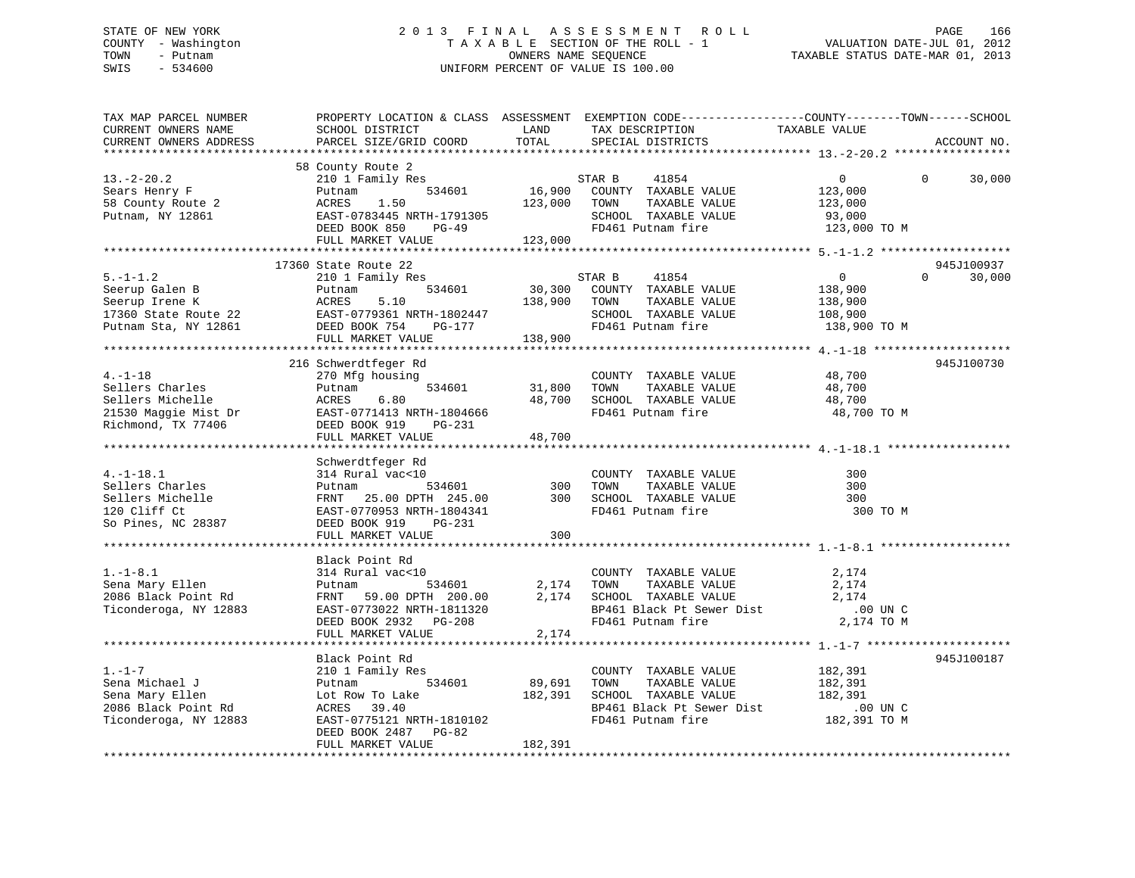# STATE OF NEW YORK 2 0 1 3 F I N A L A S S E S S M E N T R O L L PAGE 166 COUNTY - Washington T A X A B L E SECTION OF THE ROLL - 1 VALUATION DATE-JUL 01, 2012 TOWN - Putnam OWNERS NAME SEQUENCE TAXABLE STATUS DATE-MAR 01, 2013 SWIS - 534600 UNIFORM PERCENT OF VALUE IS 100.00

| TAX MAP PARCEL NUMBER<br>CURRENT OWNERS NAME<br>CURRENT OWNERS ADDRESS                                                                                                                                                                               | PROPERTY LOCATION & CLASS ASSESSMENT EXEMPTION CODE----------------COUNTY-------TOWN-----SCHOOL<br>SCHOOL DISTRICT<br>PARCEL SIZE/GRID COORD | LAND<br>TOTAL     | TAX DESCRIPTION<br>SPECIAL DISTRICTS                                              | TAXABLE VALUE                 | ACCOUNT NO.                     |
|------------------------------------------------------------------------------------------------------------------------------------------------------------------------------------------------------------------------------------------------------|----------------------------------------------------------------------------------------------------------------------------------------------|-------------------|-----------------------------------------------------------------------------------|-------------------------------|---------------------------------|
| $13.-2-20.2$                                                                                                                                                                                                                                         | 58 County Route 2<br>210 1 Family Res                                                                                                        |                   |                                                                                   | $\overline{0}$                | $\Omega$<br>30,000              |
| Sears Henry F<br>58 County Route 2<br>Putnam, NY 12861                                                                                                                                                                                               | Putnam<br>ACRES<br>1.50<br>EAST-0783445 NRTH-1791305                                                                                         |                   | 123,000 TOWN TAXABLE VALUE<br>SCHOOL TAXABLE VALUE                                | 123,000<br>123,000<br>93,000  |                                 |
|                                                                                                                                                                                                                                                      | PG-49<br>DEED BOOK 850<br>FULL MARKET VALUE                                                                                                  | 123,000           | FD461 Putnam fire                                                                 | 123,000 TO M                  |                                 |
|                                                                                                                                                                                                                                                      | 17360 State Route 22                                                                                                                         |                   |                                                                                   |                               | 945J100937                      |
| $5. - 1 - 1.2$                                                                                                                                                                                                                                       | 210 1 Family Res                                                                                                                             |                   | STAR B<br>41854                                                                   | $\overline{0}$                | 30,000<br>$\Omega$ and $\Omega$ |
| 5.-1-1.2<br>Seerup Galen B<br>Seerup Irene K<br>17360 State Route 22<br>Putnam Sta, NY 12861<br>Putnam Sta, NY 12861<br>Putnam Sta, NY 12861<br>Putnam Sta, NY 12861<br>Putnam Sta, NY 12861<br>PULL MARKET VALUE<br>PULL MARKET VALUE<br>PULL MARKE |                                                                                                                                              |                   | 30,300 COUNTY TAXABLE VALUE<br>138,900 TOWN TAXABLE VALUE<br>SCHOOL TAXABLE VALUE | 138,900<br>138,900<br>108,900 |                                 |
|                                                                                                                                                                                                                                                      |                                                                                                                                              |                   | FD461 Putnam fire 138,900 TO M                                                    |                               |                                 |
|                                                                                                                                                                                                                                                      |                                                                                                                                              |                   |                                                                                   |                               |                                 |
|                                                                                                                                                                                                                                                      | 216 Schwerdtfeger Rd                                                                                                                         |                   |                                                                                   |                               | 945J100730                      |
| $4. -1 - 18$                                                                                                                                                                                                                                         | 270 Mfg housing<br>534601                                                                                                                    | 31,800            | COUNTY TAXABLE VALUE<br>TAXABLE VALUE<br>TOWN                                     | 48,700<br>48,700              |                                 |
|                                                                                                                                                                                                                                                      |                                                                                                                                              | 48,700            |                                                                                   | 48,700                        |                                 |
| Sellers Charles<br>Sellers Michelle<br>21530 Maggie Mist Dr<br>21530 Maggie Mist Dr<br>21530 Maggie Mist Dr<br>22530 Maggie Mist Dr<br>22530 Maggie Mist Dr<br>22530 Maggie Mist Dr<br>22530 Maggie Mist Dr<br>22530 Maggie Mist Dr<br>22530 Maggi   |                                                                                                                                              | 48,700            | SCHOOL TAXABLE VALUE<br>FD461 Putnam fire                                         | 48,700 TO M                   |                                 |
|                                                                                                                                                                                                                                                      |                                                                                                                                              |                   |                                                                                   |                               |                                 |
|                                                                                                                                                                                                                                                      | Schwerdtfeger Rd                                                                                                                             |                   |                                                                                   |                               |                                 |
| $4. -1 - 18.1$<br>Sellers Charles<br>Sellers Michelle<br>120 Cliff Ct                                                                                                                                                                                | 。<br>0<br>534601<br>314 Rural vac<10<br>Putnam<br>FRNT 25.00 DPTH 245.00 300 SCHOOL TAXABLE VALUE<br>EAST-0770953 NRTH-1804341               | $300$             | COUNTY TAXABLE VALUE<br>TOWN<br>TAXABLE VALUE<br>FD461 Putnam fire                | 300<br>300<br>300<br>300 TO M |                                 |
| So Pines, NC 28387                                                                                                                                                                                                                                   | DEED BOOK 919 PG-231                                                                                                                         |                   |                                                                                   |                               |                                 |
|                                                                                                                                                                                                                                                      | FULL MARKET VALUE                                                                                                                            | 300               |                                                                                   |                               |                                 |
|                                                                                                                                                                                                                                                      | Black Point Rd                                                                                                                               |                   |                                                                                   |                               |                                 |
| $1.-1-8.1$<br>Sena Mary Ellen<br>2086 Black Point Rd                                                                                                                                                                                                 | 314 Rural vac<10<br>Putnam 59.00 bPTH 200.00                                                                                                 |                   | COUNTY TAXABLE VALUE<br>2,174 TOWN TAXABLE VALUE<br>2,174 SCHOOL TAXABLE VALUE    | 2,174<br>2,174<br>2,174       |                                 |
| Ticonderoga, NY 12883                                                                                                                                                                                                                                | EAST-0773022 NRTH-1811320<br>DEED BOOK 2932 PG-208<br>FULL MARKET VALUE                                                                      | 2,174             | BP461 Black Pt Sewer Dist<br>FD461 Putnam fire                                    | .00 UN C<br>2,174 TO M        |                                 |
|                                                                                                                                                                                                                                                      |                                                                                                                                              |                   |                                                                                   |                               |                                 |
|                                                                                                                                                                                                                                                      | Black Point Rd                                                                                                                               |                   |                                                                                   |                               | 945J100187                      |
| $1. - 1 - 7$<br>Sena Michael J<br>Sena Mary Ellen                                                                                                                                                                                                    | 210 1 Family Res<br>534601<br>Putnam<br>Lot Row To Lake                                                                                      | 89,691<br>182,391 | COUNTY TAXABLE VALUE<br>TAXABLE VALUE<br>TOWN<br>SCHOOL TAXABLE VALUE             | 182,391<br>182,391<br>182,391 |                                 |
| Sena Mary British<br>2086 Black Point Rd<br>Ticonderoga, NY 12883                                                                                                                                                                                    | ACRES 39.40<br>EAST-0775121 NRTH-1810102<br>DEED BOOK 2487 PG-82                                                                             |                   | BP461 Black Pt Sewer Dist<br>FD461 Putnam fire                                    | .00 UN C<br>182,391 TO M      |                                 |
|                                                                                                                                                                                                                                                      | FULL MARKET VALUE                                                                                                                            | 182,391           |                                                                                   |                               |                                 |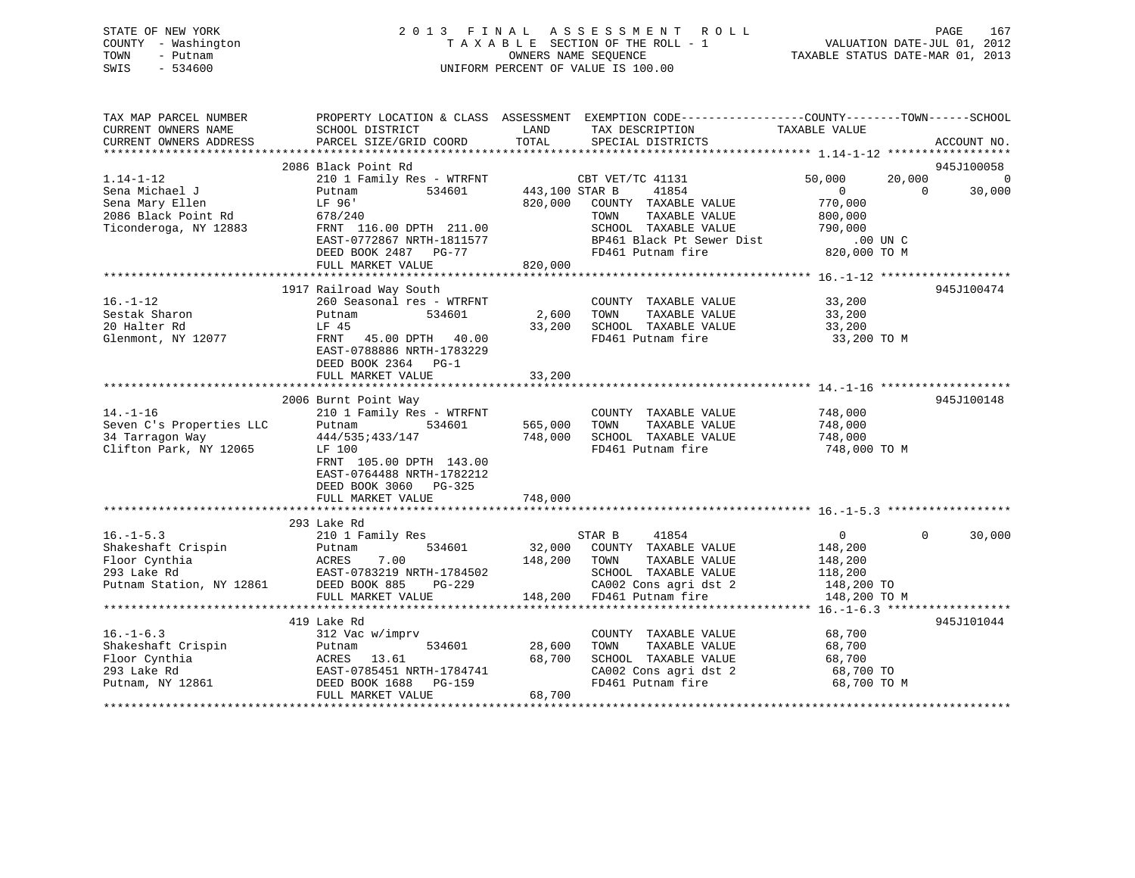# STATE OF NEW YORK 2 0 1 3 F I N A L A S S E S S M E N T R O L L PAGE 167 COUNTY - Washington T A X A B L E SECTION OF THE ROLL - 1 VALUATION DATE-JUL 01, 2012 TOWN - Putnam OWNERS NAME SEQUENCE TAXABLE STATUS DATE-MAR 01, 2013 SWIS - 534600 UNIFORM PERCENT OF VALUE IS 100.00

| TAX MAP PARCEL NUMBER<br>CURRENT OWNERS NAME | SCHOOL DISTRICT                                                                                                                                                                      | LAND           | PROPERTY LOCATION & CLASS ASSESSMENT EXEMPTION CODE----------------COUNTY-------TOWN------SCHOOL<br>TAX DESCRIPTION | TAXABLE VALUE           |                          |
|----------------------------------------------|--------------------------------------------------------------------------------------------------------------------------------------------------------------------------------------|----------------|---------------------------------------------------------------------------------------------------------------------|-------------------------|--------------------------|
| CURRENT OWNERS ADDRESS                       | PARCEL SIZE/GRID COORD                                                                                                                                                               | TOTAL          | SPECIAL DISTRICTS                                                                                                   |                         | ACCOUNT NO.              |
|                                              | 2086 Black Point Rd                                                                                                                                                                  |                |                                                                                                                     |                         | 945J100058               |
| $1.14 - 1 - 12$                              | 210 1 Family Res - WTRFNT CBT VET/TC 41131                                                                                                                                           |                |                                                                                                                     | 50,000                  | 20,000<br>$\overline{0}$ |
| Sena Michael J                               | 534601<br>Putnam                                                                                                                                                                     | 443,100 STAR B | 41854                                                                                                               | $\overline{0}$          | $\Omega$<br>30,000       |
| Sena Mary Ellen                              | LF 96'                                                                                                                                                                               |                | 820,000 COUNTY TAXABLE VALUE                                                                                        | 770,000                 |                          |
| 2086 Black Point Rd                          | 678/240                                                                                                                                                                              |                | TOWN<br>TAXABLE VALUE                                                                                               | 800,000                 |                          |
| Ticonderoga, NY 12883                        | FRNT 116.00 DPTH 211.00                                                                                                                                                              |                | SCHOOL TAXABLE VALUE                                                                                                | 790,000                 |                          |
|                                              | EAST-0772867 NRTH-1811577                                                                                                                                                            |                | BP461 Black Pt Sewer Dist .00 UN C                                                                                  |                         |                          |
|                                              | DEED BOOK 2487 PG-77                                                                                                                                                                 |                | FD461 Putnam fire                                                                                                   | 820,000 TO M            |                          |
|                                              | FULL MARKET VALUE                                                                                                                                                                    | 820,000        |                                                                                                                     |                         |                          |
|                                              |                                                                                                                                                                                      |                |                                                                                                                     |                         |                          |
|                                              | 1917 Railroad Way South                                                                                                                                                              |                |                                                                                                                     |                         | 945J100474               |
| $16. - 1 - 12$                               | 260 Seasonal res - WTRFNT                                                                                                                                                            |                | COUNTY TAXABLE VALUE<br>TOWN TAXABLE VALUE                                                                          | 33,200<br>33,200        |                          |
| Sestak Sharon                                | 534601<br>Putnam                                                                                                                                                                     | 2,600 TOWN     |                                                                                                                     |                         |                          |
| 20 Halter Rd<br>Glenmont, NY 12077           | LF 45                                                                                                                                                                                | 33,200         | SCHOOL TAXABLE VALUE                                                                                                | 33,200                  |                          |
|                                              | FRNT 45.00 DPTH 40.00                                                                                                                                                                |                | FD461 Putnam fire                                                                                                   | 33,200 TO M             |                          |
|                                              | EAST-0788886 NRTH-1783229                                                                                                                                                            |                |                                                                                                                     |                         |                          |
|                                              | DEED BOOK 2364 PG-1                                                                                                                                                                  |                |                                                                                                                     |                         |                          |
|                                              | FULL MARKET VALUE                                                                                                                                                                    | 33,200         |                                                                                                                     |                         |                          |
|                                              |                                                                                                                                                                                      |                |                                                                                                                     |                         |                          |
| $14. - 1 - 16$                               | 2006 Burnt Point Way                                                                                                                                                                 |                |                                                                                                                     |                         | 945J100148               |
| Seven C's Properties LLC                     | 210 1 Family Res - WTRFNT                                                                                                                                                            | 534601 565,000 | COUNTY TAXABLE VALUE<br>TAXABLE VALUE<br>TOWN                                                                       | 748,000<br>748,000      |                          |
| 34 Tarragon Way                              | Putnam 444525                                                                                                                                                                        | 748,000        | SCHOOL TAXABLE VALUE                                                                                                |                         |                          |
| Clifton Park, NY 12065                       | 444/535;433/147<br>LF 100                                                                                                                                                            |                | FD461 Putnam fire                                                                                                   | 748,000<br>748,000 TO M |                          |
|                                              | FRNT 105.00 DPTH 143.00                                                                                                                                                              |                |                                                                                                                     |                         |                          |
|                                              | EAST-0764488 NRTH-1782212                                                                                                                                                            |                |                                                                                                                     |                         |                          |
|                                              | DEED BOOK 3060 PG-325                                                                                                                                                                |                |                                                                                                                     |                         |                          |
|                                              | FULL MARKET VALUE                                                                                                                                                                    | 748,000        |                                                                                                                     |                         |                          |
|                                              |                                                                                                                                                                                      |                |                                                                                                                     |                         |                          |
|                                              | 293 Lake Rd                                                                                                                                                                          |                |                                                                                                                     |                         |                          |
| $16. - 1 - 5.3$                              | 210 1 Family Res                                                                                                                                                                     |                | STAR B<br>41854                                                                                                     | $0 \qquad \qquad$       | $\Omega$<br>30,000       |
|                                              |                                                                                                                                                                                      |                | 32,000 COUNTY TAXABLE VALUE                                                                                         | 148,200                 |                          |
|                                              | Example 210 1 Family Restant Crispin<br>Floor Cynthia (ACRES 7.00<br>293 Lake Rd (BAST-0783219 NRTH-1784502                                                                          | 148,200 TOWN   | TAXABLE VALUE                                                                                                       | 148,200                 |                          |
|                                              | wain-1/84502<br>PG-229<br>LUF                                                                                                                                                        |                | SCHOOL TAXABLE VALUE                                                                                                | 118,200                 |                          |
| Putnam Station, NY 12861 DEED BOOK 885       |                                                                                                                                                                                      |                | CA002 Cons agri dst 2 148,200 TO                                                                                    |                         |                          |
|                                              | FULL MARKET VALUE                                                                                                                                                                    |                | 148,200 FD461 Putnam fire                                                                                           | 148,200 TO M            |                          |
|                                              |                                                                                                                                                                                      |                |                                                                                                                     |                         |                          |
|                                              | 419 Lake Rd                                                                                                                                                                          |                |                                                                                                                     |                         | 945J101044               |
| $16. - 1 - 6.3$                              | 312 Vac w/imprv                                                                                                                                                                      |                | COUNTY TAXABLE VALUE                                                                                                | 68,700                  |                          |
|                                              |                                                                                                                                                                                      | 28,600         | TAXABLE VALUE<br>TOWN                                                                                               | 68,700                  |                          |
|                                              |                                                                                                                                                                                      | 68,700         | SCHOOL TAXABLE VALUE                                                                                                | 68,700                  |                          |
|                                              |                                                                                                                                                                                      |                | CA002 Cons agri dst 2 68,700 TO<br>FD461 Putnam fire 68,700 TO                                                      |                         |                          |
|                                              | Shakeshaft Crispin Putnam 534601 28,60<br>Floor Cynthia ACRES 13.61 68,70<br>293 Lake Rd EAST-0785451 NRTH-1784741<br>Putnam, NY 12861 DEED BOOK 1688 PG-159<br>THE MONTE SHOW CO.70 |                |                                                                                                                     | 68,700 TO M             |                          |
|                                              | FULL MARKET VALUE                                                                                                                                                                    | 68,700         |                                                                                                                     |                         |                          |
|                                              |                                                                                                                                                                                      |                |                                                                                                                     |                         |                          |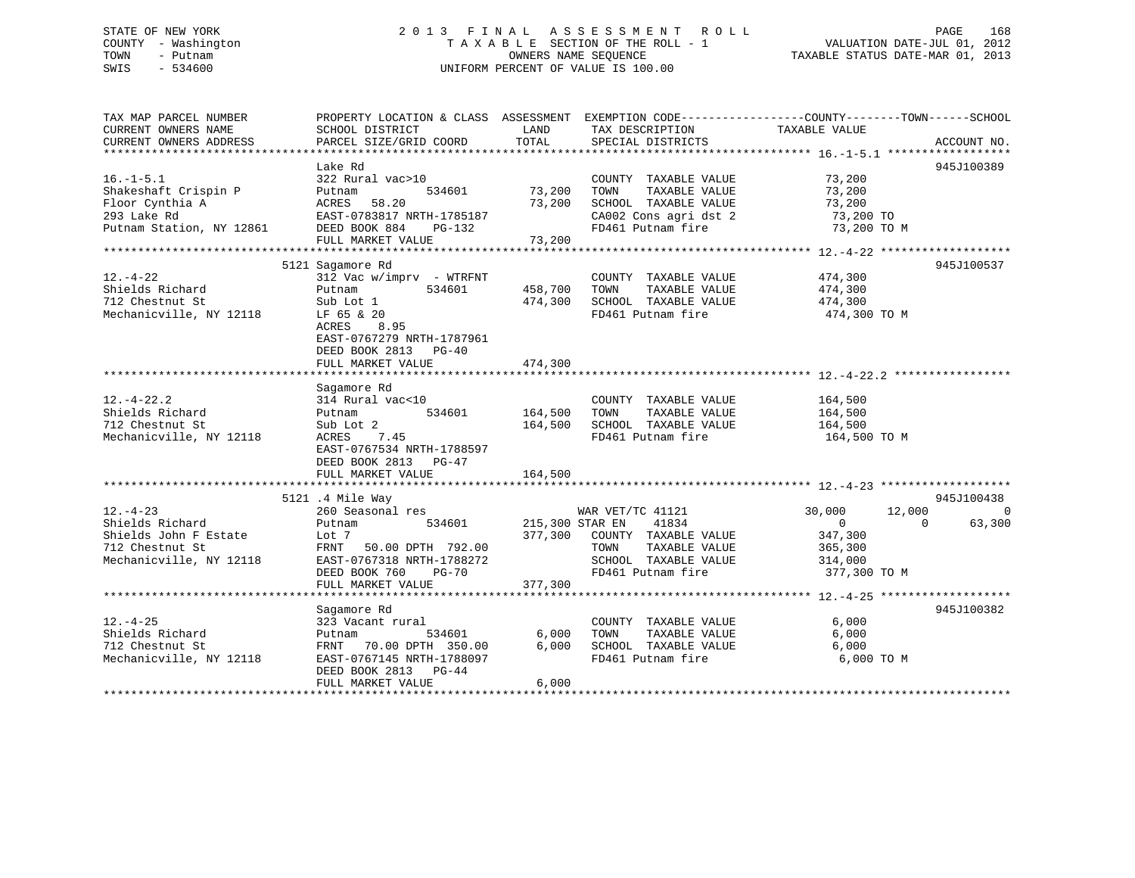# STATE OF NEW YORK 2 0 1 3 F I N A L A S S E S S M E N T R O L L PAGE 168 COUNTY - Washington T A X A B L E SECTION OF THE ROLL - 1 VALUATION DATE-JUL 01, 2012 TOWN - Putnam **CONNERS NAME SEQUENCE** TAXABLE STATUS DATE-MAR 01, 2013 SWIS - 534600 UNIFORM PERCENT OF VALUE IS 100.00

| TAX MAP PARCEL NUMBER    |                                                      |                 |                                               | PROPERTY LOCATION & CLASS ASSESSMENT EXEMPTION CODE--------------COUNTY-------TOWN-----SCHOOL |             |
|--------------------------|------------------------------------------------------|-----------------|-----------------------------------------------|-----------------------------------------------------------------------------------------------|-------------|
| CURRENT OWNERS NAME      | SCHOOL DISTRICT                                      | LAND            | TAX DESCRIPTION                               | TAXABLE VALUE                                                                                 |             |
| CURRENT OWNERS ADDRESS   | PARCEL SIZE/GRID COORD                               | TOTAL           | SPECIAL DISTRICTS                             |                                                                                               | ACCOUNT NO. |
|                          |                                                      |                 |                                               |                                                                                               | 945J100389  |
| $16. - 1 - 5.1$          | Lake Rd<br>322 Rural vac>10                          |                 |                                               | 73,200                                                                                        |             |
| Shakeshaft Crispin P     | 534601                                               | 73,200          | COUNTY TAXABLE VALUE<br>TOWN<br>TAXABLE VALUE | 73,200                                                                                        |             |
| Floor Cynthia A          | Putnam<br>ACRES<br>58.20                             | 73,200          | SCHOOL TAXABLE VALUE                          | 73,200                                                                                        |             |
| 293 Lake Rd              |                                                      |                 | CA002 Cons agri dst 2                         |                                                                                               |             |
| Putnam Station, NY 12861 | EAST-0783817 NRTH-1785187<br>DEED BOOK 884<br>PG-132 |                 | FD461 Putnam fire                             | 73,200 TO<br>73,200 TO M                                                                      |             |
|                          | FULL MARKET VALUE                                    | 73,200          |                                               |                                                                                               |             |
|                          |                                                      |                 |                                               |                                                                                               |             |
|                          | 5121 Sagamore Rd                                     |                 |                                               |                                                                                               | 945J100537  |
| $12. - 4 - 22$           | 312 Vac w/imprv - WTRFNT                             |                 | COUNTY TAXABLE VALUE                          | 474,300                                                                                       |             |
| Shields Richard          | 534601<br>Putnam                                     | 458,700         | TAXABLE VALUE<br>TOWN                         | 474,300                                                                                       |             |
| 712 Chestnut St          | Sub Lot 1                                            | 474,300         | SCHOOL TAXABLE VALUE                          | 474,300                                                                                       |             |
| Mechanicville, NY 12118  | LF 65 & 20                                           |                 | FD461 Putnam fire                             | 474,300 TO M                                                                                  |             |
|                          | ACRES 8.95                                           |                 |                                               |                                                                                               |             |
|                          | EAST-0767279 NRTH-1787961                            |                 |                                               |                                                                                               |             |
|                          | DEED BOOK 2813<br>PG-40                              |                 |                                               |                                                                                               |             |
|                          | FULL MARKET VALUE                                    | 474,300         |                                               |                                                                                               |             |
|                          |                                                      |                 |                                               |                                                                                               |             |
|                          | Sagamore Rd                                          |                 |                                               |                                                                                               |             |
| $12. - 4 - 22.2$         | 314 Rural vac<10                                     |                 | COUNTY TAXABLE VALUE                          | 164,500                                                                                       |             |
| Shields Richard          | 534601<br>Putnam                                     | 164,500         | TOWN<br>TAXABLE VALUE                         | 164,500                                                                                       |             |
| 712 Chestnut St          | Sub Lot 2                                            | 164,500         | SCHOOL TAXABLE VALUE                          | 164,500                                                                                       |             |
| Mechanicville, NY 12118  | 7.45<br>ACRES                                        |                 | FD461 Putnam fire                             | 164,500 TO M                                                                                  |             |
|                          | EAST-0767534 NRTH-1788597                            |                 |                                               |                                                                                               |             |
|                          | DEED BOOK 2813 PG-47                                 |                 |                                               |                                                                                               |             |
|                          | FULL MARKET VALUE                                    | 164,500         |                                               |                                                                                               |             |
|                          |                                                      |                 |                                               |                                                                                               |             |
|                          | 5121 .4 Mile Way                                     |                 |                                               |                                                                                               | 945J100438  |
| $12. - 4 - 23$           | 260 Seasonal res                                     |                 | WAR VET/TC 41121                              | 12,000<br>30,000                                                                              | $\Omega$    |
| Shields Richard          | 534601<br>Putnam                                     | 215,300 STAR EN | 41834                                         | $\mathbf 0$<br>$\Omega$                                                                       | 63,300      |
| Shields John F Estate    | Lot 7                                                |                 | 377,300 COUNTY TAXABLE VALUE                  | 347,300                                                                                       |             |
| 712 Chestnut St          | FRNT<br>50.00 DPTH 792.00                            |                 | TAXABLE VALUE<br>TOWN                         | 365,300                                                                                       |             |
| Mechanicville, NY 12118  | EAST-0767318 NRTH-1788272                            |                 | SCHOOL TAXABLE VALUE                          | 314,000                                                                                       |             |
|                          | DEED BOOK 760<br>$PG-70$                             |                 | FD461 Putnam fire                             | 377,300 TO M                                                                                  |             |
|                          | FULL MARKET VALUE                                    | 377,300         |                                               |                                                                                               |             |
|                          |                                                      |                 |                                               |                                                                                               |             |
|                          | Sagamore Rd                                          |                 |                                               |                                                                                               | 945J100382  |
| $12. - 4 - 25$           | 323 Vacant rural                                     |                 | COUNTY TAXABLE VALUE                          | 6,000                                                                                         |             |
| Shields Richard          | Putnam<br>534601                                     | 6,000           | TOWN<br>TAXABLE VALUE                         | 6,000                                                                                         |             |
| 712 Chestnut St          | FRNT 70.00 DPTH 350.00                               | 6,000           | SCHOOL TAXABLE VALUE                          | 6,000                                                                                         |             |
| Mechanicville, NY 12118  | EAST-0767145 NRTH-1788097                            |                 | FD461 Putnam fire                             | 6,000 TO M                                                                                    |             |
|                          | DEED BOOK 2813 PG-44                                 |                 |                                               |                                                                                               |             |
|                          | FULL MARKET VALUE                                    | 6,000           |                                               |                                                                                               |             |
|                          |                                                      |                 |                                               |                                                                                               |             |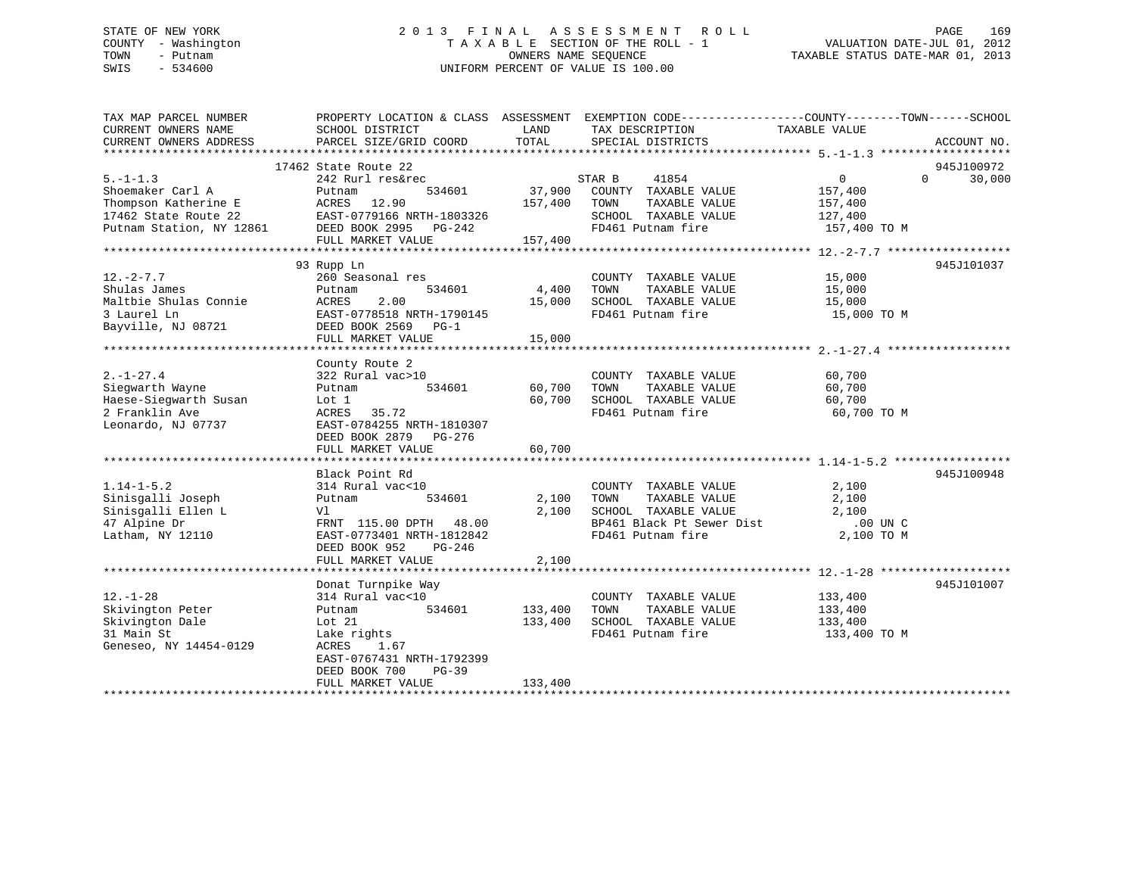# STATE OF NEW YORK 2 0 1 3 F I N A L A S S E S S M E N T R O L L PAGE 169 COUNTY - Washington T A X A B L E SECTION OF THE ROLL - 1 VALUATION DATE-JUL 01, 2012 TOWN - Putnam OWNERS NAME SEQUENCE TAXABLE STATUS DATE-MAR 01, 2013 SWIS - 534600 UNIFORM PERCENT OF VALUE IS 100.00

| TAX MAP PARCEL NUMBER<br>CURRENT OWNERS NAME<br>CURRENT OWNERS ADDRESS                                         | PROPERTY LOCATION & CLASS ASSESSMENT EXEMPTION CODE---------------COUNTY-------TOWN------SCHOOL<br>SCHOOL DISTRICT<br>PARCEL SIZE/GRID COORD                                         | LAND<br>TOTAL                 | TAX DESCRIPTION<br>SPECIAL DISTRICTS                                                                                    | TAXABLE VALUE                                                  | ACCOUNT NO.          |
|----------------------------------------------------------------------------------------------------------------|--------------------------------------------------------------------------------------------------------------------------------------------------------------------------------------|-------------------------------|-------------------------------------------------------------------------------------------------------------------------|----------------------------------------------------------------|----------------------|
| $5. - 1 - 1.3$<br>Shoemaker Carl A<br>Thompson Katherine E<br>17462 State Route 22<br>Putnam Station, NY 12861 | 17462 State Route 22<br>242 Rurl res&rec<br>534601<br>Putnam<br>ACRES<br>12.90<br>EAST-0779166 NRTH-1803326<br>DEED BOOK 2995 PG-242<br>FULL MARKET VALUE                            | 37,900<br>157,400<br>157,400  | STAR B<br>41854<br>COUNTY TAXABLE VALUE<br>TOWN<br>TAXABLE VALUE<br>SCHOOL TAXABLE VALUE<br>FD461 Putnam fire           | 0<br>$\Omega$<br>157,400<br>157,400<br>127,400<br>157,400 TO M | 945J100972<br>30,000 |
| $12. - 2 - 7.7$<br>Shulas James<br>Maltbie Shulas Connie<br>3 Laurel Ln<br>Bayville, NJ 08721                  | 93 Rupp Ln<br>260 Seasonal res<br>534601<br>Putnam<br>2.00<br>ACRES<br>EAST-0778518 NRTH-1790145<br>DEED BOOK 2569 PG-1<br>FULL MARKET VALUE                                         | 4,400<br>15,000<br>15,000     | COUNTY TAXABLE VALUE<br>TAXABLE VALUE<br>TOWN<br>SCHOOL TAXABLE VALUE<br>FD461 Putnam fire                              | 15,000<br>15,000<br>15,000<br>15,000 TO M                      | 945J101037           |
| $2. - 1 - 27.4$<br>Sieqwarth Wayne<br>Haese-Sieqwarth Susan<br>2 Franklin Ave<br>Leonardo, NJ 07737            | County Route 2<br>322 Rural vac>10<br>534601<br>Putnam<br>Lot 1<br>35.72<br>ACRES<br>EAST-0784255 NRTH-1810307<br>DEED BOOK 2879<br>PG-276<br>FULL MARKET VALUE                      | 60,700<br>60,700<br>60,700    | COUNTY TAXABLE VALUE<br>TAXABLE VALUE<br>TOWN<br>SCHOOL TAXABLE VALUE<br>FD461 Putnam fire                              | 60,700<br>60,700<br>60,700<br>60,700 TO M                      |                      |
| $1.14 - 1 - 5.2$<br>Sinisgalli Joseph<br>Sinisgalli Ellen L<br>47 Alpine Dr<br>Latham, NY 12110                | Black Point Rd<br>314 Rural vac<10<br>534601<br>Putnam<br>Vl<br>FRNT 115.00 DPTH 48.00<br>EAST-0773401 NRTH-1812842<br>DEED BOOK 952<br>$PG-246$<br>FULL MARKET VALUE                | 2,100<br>2,100<br>2,100       | COUNTY TAXABLE VALUE<br>TAXABLE VALUE<br>TOWN<br>SCHOOL TAXABLE VALUE<br>BP461 Black Pt Sewer Dist<br>FD461 Putnam fire | 2,100<br>2,100<br>2,100<br>$.00$ UN $C$<br>2,100 TO M          | 945J100948           |
| $12. - 1 - 28$<br>Skivington Peter<br>Skivington Dale<br>31 Main St<br>Geneseo, NY 14454-0129                  | Donat Turnpike Way<br>314 Rural vac<10<br>534601<br>Putnam<br>Lot $21$<br>Lake rights<br>ACRES<br>1.67<br>EAST-0767431 NRTH-1792399<br>DEED BOOK 700<br>$PG-39$<br>FULL MARKET VALUE | 133,400<br>133,400<br>133,400 | COUNTY TAXABLE VALUE<br>TAXABLE VALUE<br>TOWN<br>SCHOOL TAXABLE VALUE<br>FD461 Putnam fire                              | 133,400<br>133,400<br>133,400<br>133,400 TO M                  | 945J101007           |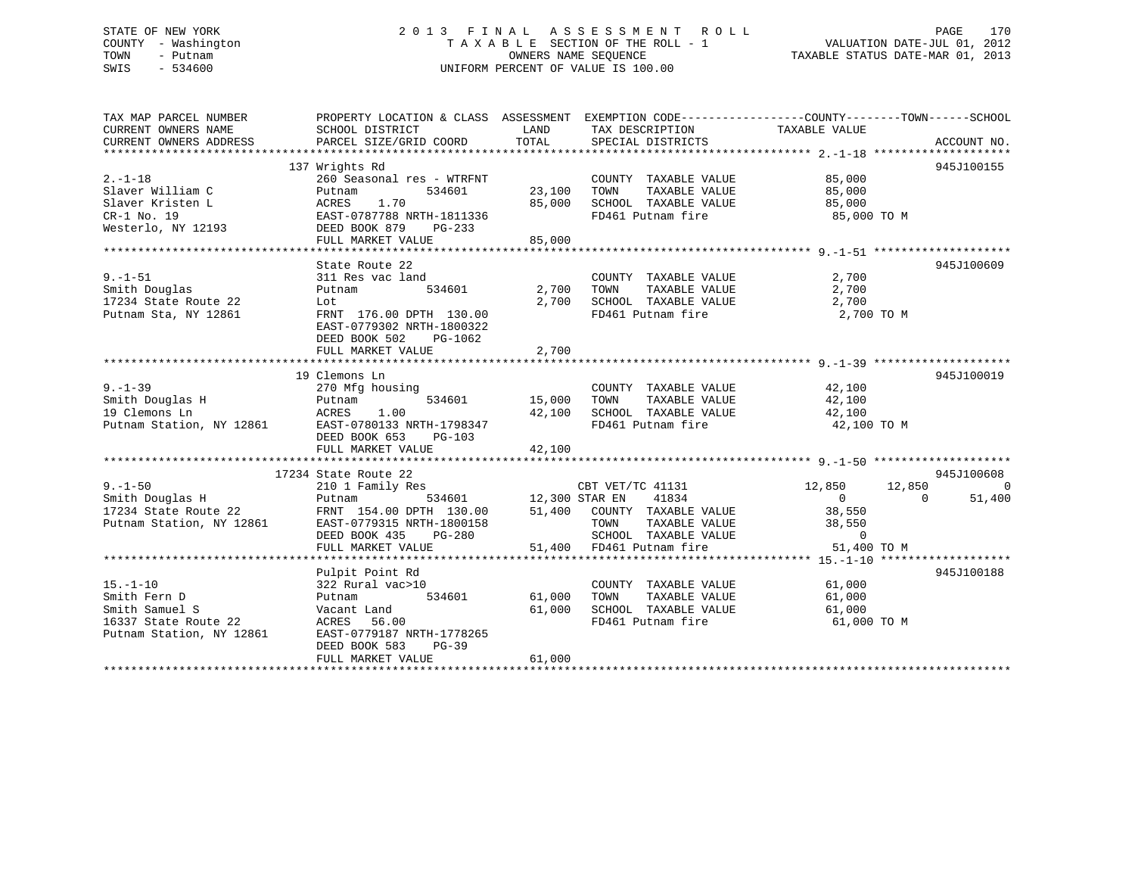# STATE OF NEW YORK 2 0 1 3 F I N A L A S S E S S M E N T R O L L PAGE 170 COUNTY - Washington T A X A B L E SECTION OF THE ROLL - 1 VALUATION DATE-JUL 01, 2012 TOWN - Putnam OWNERS NAME SEQUENCE TAXABLE STATUS DATE-MAR 01, 2013 SWIS - 534600 UNIFORM PERCENT OF VALUE IS 100.00

| TAX MAP PARCEL NUMBER<br>CURRENT OWNERS NAME<br>CURRENT OWNERS ADDRESS                               | PROPERTY LOCATION & CLASS ASSESSMENT EXEMPTION CODE----------------COUNTY-------TOWN-----SCHOOL<br>SCHOOL DISTRICT<br>PARCEL SIZE/GRID COORD       | LAND<br>TOTAL              | TAX DESCRIPTION<br>SPECIAL DISTRICTS                                                              | TAXABLE VALUE                                        | ACCOUNT NO.                      |
|------------------------------------------------------------------------------------------------------|----------------------------------------------------------------------------------------------------------------------------------------------------|----------------------------|---------------------------------------------------------------------------------------------------|------------------------------------------------------|----------------------------------|
|                                                                                                      |                                                                                                                                                    |                            |                                                                                                   |                                                      |                                  |
| $2. -1 - 18$<br>Slaver William C                                                                     | 137 Wrights Rd<br>260 Seasonal res - WTRFNT<br>534601<br>Putnam                                                                                    | 23,100                     | COUNTY TAXABLE VALUE<br>TAXABLE VALUE<br>TOWN                                                     | 85,000<br>85,000                                     | 945J100155                       |
| Slaver Kristen L<br>$CR-1$ No. 19                                                                    | 1.70<br>ACRES<br>EAST-0787788 NRTH-1811336                                                                                                         | 85,000                     | SCHOOL TAXABLE VALUE<br>FD461 Putnam fire                                                         | 85,000<br>85,000 TO M                                |                                  |
| Westerlo, NY 12193                                                                                   | DEED BOOK 879<br>PG-233<br>FULL MARKET VALUE                                                                                                       | 85,000                     |                                                                                                   |                                                      |                                  |
|                                                                                                      |                                                                                                                                                    |                            |                                                                                                   |                                                      |                                  |
| $9. - 1 - 51$<br>Smith Douglas                                                                       | State Route 22<br>311 Res vac land<br>534601<br>Putnam                                                                                             | 2,700                      | COUNTY TAXABLE VALUE<br>TOWN<br>TAXABLE VALUE                                                     | 2,700<br>2,700                                       | 945J100609                       |
| 17234 State Route 22<br>Putnam Sta, NY 12861                                                         | Lot<br>FRNT 176.00 DPTH 130.00<br>EAST-0779302 NRTH-1800322<br>DEED BOOK 502<br>PG-1062                                                            | 2,700                      | SCHOOL TAXABLE VALUE 2,700<br>FD461 Putnam fire 2,700 TO M                                        |                                                      |                                  |
|                                                                                                      | FULL MARKET VALUE                                                                                                                                  | 2,700                      |                                                                                                   |                                                      |                                  |
|                                                                                                      |                                                                                                                                                    |                            |                                                                                                   |                                                      |                                  |
| $9. - 1 - 39$<br>Smith Douglas H<br>19 Clemons Ln<br>Putnam Station, NY 12861                        | 19 Clemons Ln<br>270 Mfg housing<br>534601<br>Putnam<br>ACRES 1.00<br>37 12861 EAST-0780133 NRTH-1798347<br>5 1007 653 PG-103<br>FULL MARKET VALUE | 15,000<br>42,100<br>42,100 | COUNTY TAXABLE VALUE<br>TAXABLE VALUE<br>TOWN<br>SCHOOL TAXABLE VALUE 42,100<br>FD461 Putnam fire | 42,100<br>42,100<br>42,100 TO M                      | 945J100019                       |
|                                                                                                      |                                                                                                                                                    |                            |                                                                                                   |                                                      |                                  |
| $9. - 1 - 50$                                                                                        | 17234 State Route 22<br>210 1 Family Res                                                                                                           | 534601 12,300 STAR EN      | CBT VET/TC 41131                                                                                  | 12,850                                               | 945J100608<br>$\Omega$<br>12,850 |
| Smith Douglas H<br>17234 State Route 22<br>Putnam Station, NY 12861                                  | Putnam<br>FRNT 154.00 DPTH 130.00<br>EAST-0779315 NRTH-1800158<br>DEED BOOK 435<br>PG-280                                                          |                            | 41834<br>51,400 COUNTY TAXABLE VALUE<br>TAXABLE VALUE<br>TOWN<br>SCHOOL TAXABLE VALUE             | $\overline{0}$<br>38,550<br>38,550<br>$\overline{0}$ | 51,400<br>$\Omega$               |
|                                                                                                      | FULL MARKET VALUE                                                                                                                                  |                            | 51,400 FD461 Putnam fire                                                                          | 51,400 TO M                                          |                                  |
|                                                                                                      |                                                                                                                                                    |                            |                                                                                                   |                                                      |                                  |
| $15. - 1 - 10$<br>Smith Fern D<br>Smith Samuel S<br>16337 State Route 22<br>Putnam Station, NY 12861 | Pulpit Point Rd<br>322 Rural vac>10<br>534601<br>Putnam<br>Vacant Land<br>ACRES<br>56.00<br>EAST-0779187 NRTH-1778265<br>DEED BOOK 583<br>$PG-39$  | 61,000<br>61,000           | COUNTY TAXABLE VALUE<br>TOWN<br>TAXABLE VALUE<br>SCHOOL TAXABLE VALUE<br>FD461 Putnam fire        | 61,000<br>61,000<br>61,000<br>61,000 TO M            | 945J100188                       |
|                                                                                                      | FULL MARKET VALUE                                                                                                                                  | 61,000                     |                                                                                                   |                                                      |                                  |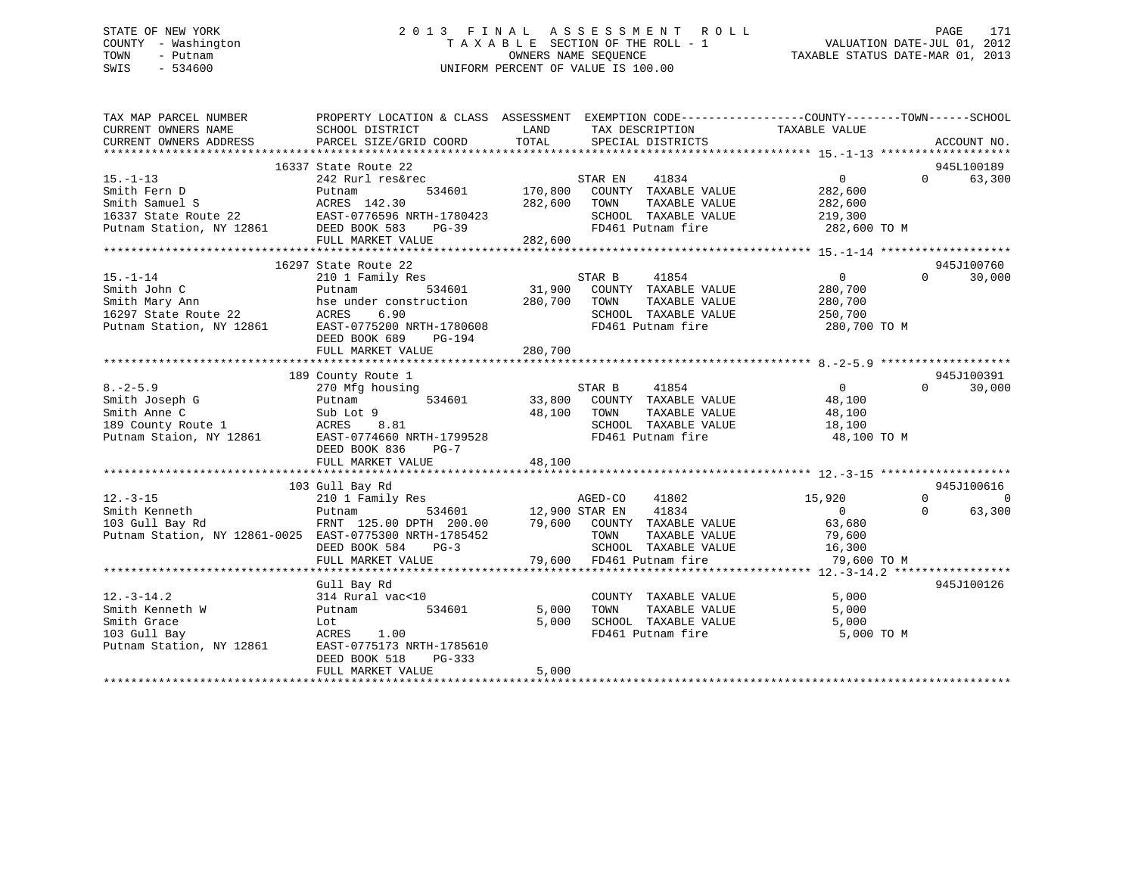# STATE OF NEW YORK 2 0 1 3 F I N A L A S S E S S M E N T R O L L PAGE 171 COUNTY - Washington T A X A B L E SECTION OF THE ROLL - 1 VALUATION DATE-JUL 01, 2012 TOWN - Putnam OWNERS NAME SEQUENCE TAXABLE STATUS DATE-MAR 01, 2013 SWIS - 534600 UNIFORM PERCENT OF VALUE IS 100.00

| TAX MAP PARCEL NUMBER<br>CURRENT OWNERS NAME                                              | PROPERTY LOCATION & CLASS ASSESSMENT<br>SCHOOL DISTRICT | LAND          | EXEMPTION CODE-----------------COUNTY-------TOWN------SCHOOL<br>TAX DESCRIPTION                                                               | TAXABLE VALUE  |             |          |
|-------------------------------------------------------------------------------------------|---------------------------------------------------------|---------------|-----------------------------------------------------------------------------------------------------------------------------------------------|----------------|-------------|----------|
| CURRENT OWNERS ADDRESS                                                                    | PARCEL SIZE/GRID COORD                                  | TOTAL         | SPECIAL DISTRICTS                                                                                                                             |                | ACCOUNT NO. |          |
|                                                                                           |                                                         |               |                                                                                                                                               |                |             |          |
|                                                                                           | 16337 State Route 22                                    |               |                                                                                                                                               |                | 945L100189  |          |
| $15. - 1 - 13$                                                                            | 242 Rurl res&rec                                        |               | STAR EN 41834                                                                                                                                 | $\overline{0}$ | $\Omega$    | 63,300   |
| Smith Fern D                                                                              | 534601<br>Putnam                                        | 170,800       | COUNTY TAXABLE VALUE                                                                                                                          | 282,600        |             |          |
|                                                                                           |                                                         | 282,600       | TOWN<br>TAXABLE VALUE                                                                                                                         | 282,600        |             |          |
|                                                                                           |                                                         |               | SCHOOL TAXABLE VALUE                                                                                                                          | 219,300        |             |          |
| Smith Samuel S<br>16337 State Route 22<br>Putnam Station, NY 12861<br>DEED BOOK 583 PG-39 |                                                         |               | FD461 Putnam fire                                                                                                                             | 282,600 TO M   |             |          |
|                                                                                           | FULL MARKET VALUE                                       | 282,600       |                                                                                                                                               |                |             |          |
|                                                                                           | 16297 State Route 22                                    |               |                                                                                                                                               |                | 945J100760  |          |
| $15. - 1 - 14$                                                                            | 210 1 Family Res                                        |               | STAR B<br>41854                                                                                                                               | $\overline{0}$ | $\Omega$    | 30,000   |
|                                                                                           | Putnam                                                  | 534601 31,900 | COUNTY TAXABLE VALUE                                                                                                                          | 280,700        |             |          |
| Smith John C<br>Smith Mary Ann<br>16007                                                   |                                                         | 280,700       | TAXABLE VALUE<br>TOWN                                                                                                                         | 280,700        |             |          |
| $16297$ State Route 22                                                                    | hse under construction                                  |               |                                                                                                                                               |                |             |          |
|                                                                                           | 6.90<br>ACRES                                           |               | SCHOOL TAXABLE VALUE                                                                                                                          | 250,700        |             |          |
| Putnam Station, NY 12861                                                                  | EAST-0775200 NRTH-1780608                               |               | FD461 Putnam fire                                                                                                                             | 280,700 TO M   |             |          |
|                                                                                           | DEED BOOK 689<br>PG-194                                 |               |                                                                                                                                               |                |             |          |
|                                                                                           | FULL MARKET VALUE                                       | 280,700       |                                                                                                                                               |                |             |          |
|                                                                                           | 189 County Route 1                                      |               |                                                                                                                                               |                | 945J100391  |          |
| $8. - 2 - 5.9$                                                                            | 270 Mfg housing                                         |               |                                                                                                                                               | $\overline{0}$ | $\Omega$    | 30,000   |
|                                                                                           | 534601                                                  |               | $33,800 \begin{array}{l} \text{STAR B} \\ \text{COUNTY} \\ \text{TAXABLE VALUE} \\ \text{TAYANE} \\ \text{TAYATE} \\ \text{VATE} \end{array}$ | 48,100         |             |          |
|                                                                                           |                                                         | 48,100        | TOWN<br>TAXABLE VALUE                                                                                                                         | 48,100         |             |          |
|                                                                                           |                                                         |               | SCHOOL TAXABLE VALUE                                                                                                                          | 18,100         |             |          |
| Putnam Staion, NY 12861 EAST-0774660 NRTH-1799528                                         |                                                         |               | FD461 Putnam fire                                                                                                                             | 48,100 TO M    |             |          |
|                                                                                           | DEED BOOK 836<br>$PG-7$                                 |               |                                                                                                                                               |                |             |          |
|                                                                                           | FULL MARKET VALUE                                       | 48,100        |                                                                                                                                               |                |             |          |
|                                                                                           |                                                         |               |                                                                                                                                               |                |             |          |
|                                                                                           | 103 Gull Bay Rd                                         |               |                                                                                                                                               |                | 945J100616  |          |
| $12. - 3 - 15$                                                                            | 210 1 Family Res                                        |               | AGED-CO 41802                                                                                                                                 | 15,920         | $\Omega$    | $\Omega$ |
| Smith Kenneth                                                                             | Putnam                                                  |               | 534601 12,900 STAR EN 41834                                                                                                                   | $\overline{0}$ | $\Omega$    | 63,300   |
| 103 Gull Bay Rd                                                                           | FRNT 125.00 DPTH 200.00                                 |               | 79,600 COUNTY TAXABLE VALUE                                                                                                                   | 63,680         |             |          |
| Putnam Station, NY 12861-0025 EAST-0775300 NRTH-1785452                                   |                                                         |               | TAXABLE VALUE<br>TOWN                                                                                                                         | 79,600         |             |          |
|                                                                                           | DEED BOOK 584<br>$PG-3$                                 |               | SCHOOL TAXABLE VALUE                                                                                                                          | 16,300         |             |          |
|                                                                                           | FULL MARKET VALUE                                       |               | 79,600 FD461 Putnam fire                                                                                                                      | 79,600 TO M    |             |          |
|                                                                                           |                                                         |               |                                                                                                                                               |                |             |          |
|                                                                                           | Gull Bay Rd                                             |               |                                                                                                                                               |                | 945J100126  |          |
| $12.-3-14.2$                                                                              | 314 Rural vac<10                                        |               | COUNTY TAXABLE VALUE                                                                                                                          | 5,000          |             |          |
| Smith Kenneth W                                                                           | 534601<br>Putnam                                        | 5,000         | TAXABLE VALUE<br>TOWN                                                                                                                         | 5,000          |             |          |
| Smith Grace                                                                               | Lot                                                     | 5,000         | SCHOOL TAXABLE VALUE                                                                                                                          | 5,000          |             |          |
| 103 Gull Bay                                                                              | ACRES 1.00                                              |               | FD461 Putnam fire                                                                                                                             | 5,000 TO M     |             |          |
| Putnam Station, NY 12861                                                                  | EAST-0775173 NRTH-1785610                               |               |                                                                                                                                               |                |             |          |
|                                                                                           |                                                         |               |                                                                                                                                               |                |             |          |
|                                                                                           | DEED BOOK 518<br>PG-333                                 | 5,000         |                                                                                                                                               |                |             |          |
|                                                                                           | FULL MARKET VALUE                                       |               |                                                                                                                                               |                |             |          |
|                                                                                           |                                                         |               |                                                                                                                                               |                |             |          |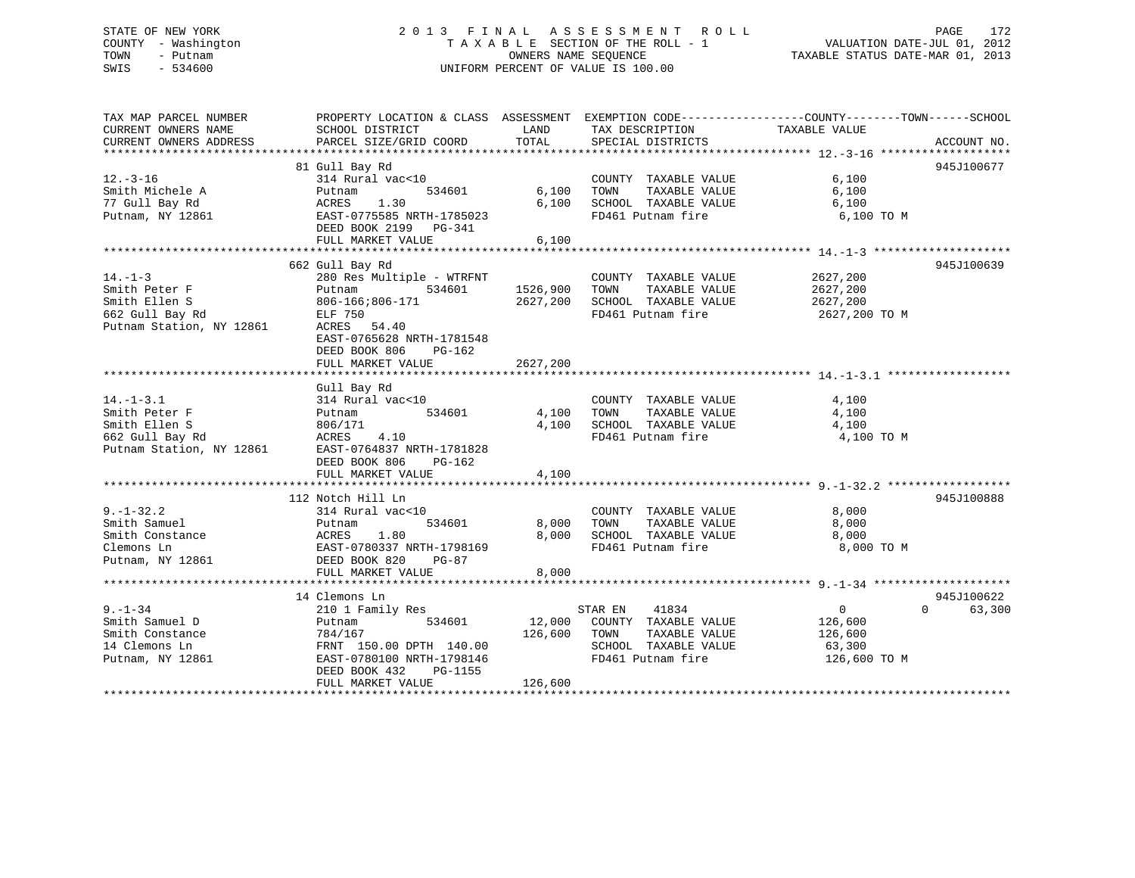# STATE OF NEW YORK 2 0 1 3 F I N A L A S S E S S M E N T R O L L PAGE 172 COUNTY - Washington T A X A B L E SECTION OF THE ROLL - 1 VALUATION DATE-JUL 01, 2012 TOWN - Putnam **CONNERS NAME SEQUENCE** TAXABLE STATUS DATE-MAR 01, 2013 SWIS - 534600 UNIFORM PERCENT OF VALUE IS 100.00

| TAX MAP PARCEL NUMBER<br>CURRENT OWNERS NAME<br>CURRENT OWNERS ADDRESS                           | PROPERTY LOCATION & CLASS ASSESSMENT EXEMPTION CODE---------------COUNTY-------TOWN-----SCHOOL<br>SCHOOL DISTRICT<br>PARCEL SIZE/GRID COORD                               | LAND<br>TOTAL                    | TAX DESCRIPTION<br>SPECIAL DISTRICTS                                                                           | TAXABLE VALUE                                                  | ACCOUNT NO.        |
|--------------------------------------------------------------------------------------------------|---------------------------------------------------------------------------------------------------------------------------------------------------------------------------|----------------------------------|----------------------------------------------------------------------------------------------------------------|----------------------------------------------------------------|--------------------|
|                                                                                                  |                                                                                                                                                                           |                                  |                                                                                                                |                                                                |                    |
| $12. - 3 - 16$<br>Smith Michele A<br>77 Gull Bay Rd<br>Putnam, NY 12861                          | 81 Gull Bay Rd<br>314 Rural vac<10<br>534601<br>Putnam<br>ACRES<br>1.30<br>EAST-0775585 NRTH-1785023<br>DEED BOOK 2199 PG-341<br>FULL MARKET VALUE                        | 6,100<br>6,100<br>6,100          | COUNTY TAXABLE VALUE<br>TAXABLE VALUE<br>TOWN<br>SCHOOL TAXABLE VALUE<br>FD461 Putnam fire                     | 6,100<br>6,100<br>6,100<br>6,100 TO M                          | 945J100677         |
|                                                                                                  | 662 Gull Bay Rd                                                                                                                                                           |                                  |                                                                                                                |                                                                | 945J100639         |
| $14. - 1 - 3$<br>Smith Peter F<br>Smith Ellen S<br>662 Gull Bay Rd<br>Putnam Station, NY 12861   | 280 Res Multiple - WTRFNT<br>534601<br>Putnam<br>806-166;806-171<br>ELF 750<br>ACRES 54.40<br>EAST-0765628 NRTH-1781548<br>DEED BOOK 806<br>$PG-162$<br>FULL MARKET VALUE | 1526,900<br>2627,200<br>2627,200 | COUNTY TAXABLE VALUE<br>TOWN<br>TAXABLE VALUE<br>SCHOOL TAXABLE VALUE<br>FD461 Putnam fire                     | 2627,200<br>2627,200<br>2627,200<br>2627,200 TO M              |                    |
|                                                                                                  | Gull Bay Rd                                                                                                                                                               |                                  |                                                                                                                |                                                                |                    |
| $14. - 1 - 3.1$<br>Smith Peter F<br>Smith Ellen S<br>662 Gull Bay Rd<br>Putnam Station, NY 12861 | 314 Rural vac<10<br>534601<br>Putnam<br>806/171<br>4.10<br>ACRES<br>EAST-0764837 NRTH-1781828<br>DEED BOOK 806<br>$PG-162$<br>FULL MARKET VALUE                           | 4,100<br>4,100<br>4,100          | COUNTY TAXABLE VALUE<br>TOWN<br>TAXABLE VALUE<br>SCHOOL TAXABLE VALUE<br>FD461 Putnam fire                     | 4,100<br>4,100<br>4,100<br>4,100 TO M                          |                    |
|                                                                                                  |                                                                                                                                                                           |                                  |                                                                                                                |                                                                |                    |
| $9. - 1 - 32.2$<br>Smith Samuel<br>Smith Constance<br>Clemons Ln<br>Putnam, NY 12861             | 112 Notch Hill Ln<br>314 Rural vac<10<br>534601<br>Putnam<br>ACRES<br>1.80<br>EAST-0780337 NRTH-1798169<br>DEED BOOK 820<br>$PG-87$<br>FULL MARKET VALUE                  | 8,000<br>8,000<br>8,000          | COUNTY TAXABLE VALUE<br>TAXABLE VALUE<br>TOWN<br>SCHOOL TAXABLE VALUE<br>FD461 Putnam fire                     | 8,000<br>8,000<br>8,000<br>8,000 TO M                          | 945J100888         |
|                                                                                                  | 14 Clemons Ln                                                                                                                                                             |                                  |                                                                                                                |                                                                | 945J100622         |
| $9. - 1 - 34$<br>Smith Samuel D<br>Smith Constance<br>14 Clemons Ln<br>Putnam, NY 12861          | 210 1 Family Res<br>534601<br>Putnam<br>784/167<br>FRNT 150.00 DPTH 140.00<br>EAST-0780100 NRTH-1798146<br>DEED BOOK 432<br>PG-1155<br>FULL MARKET VALUE                  | 12,000<br>126,600<br>126,600     | 41834<br>STAR EN<br>COUNTY TAXABLE VALUE<br>TOWN<br>TAXABLE VALUE<br>SCHOOL TAXABLE VALUE<br>FD461 Putnam fire | $\overline{0}$<br>126,600<br>126,600<br>63,300<br>126,600 TO M | $\Omega$<br>63,300 |
|                                                                                                  |                                                                                                                                                                           |                                  |                                                                                                                |                                                                |                    |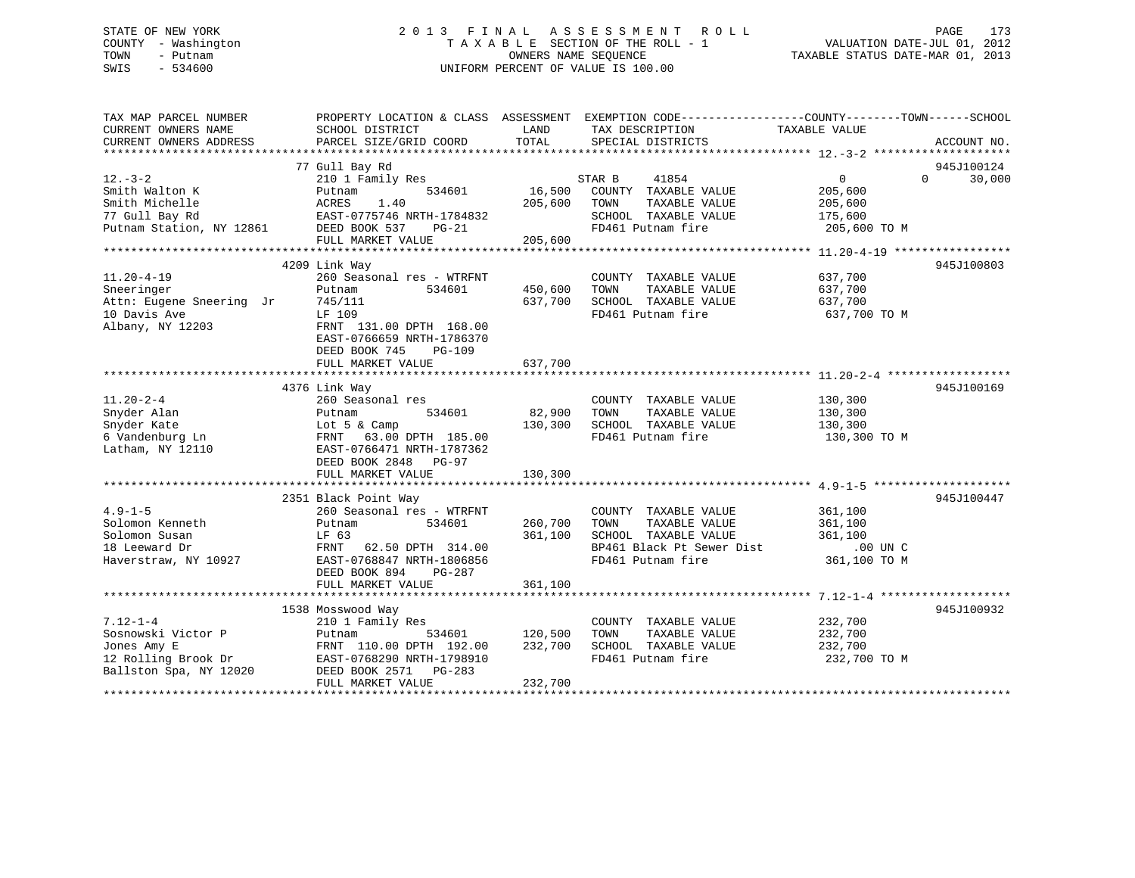# STATE OF NEW YORK 2 0 1 3 F I N A L A S S E S S M E N T R O L L PAGE 173 COUNTY - Washington T A X A B L E SECTION OF THE ROLL - 1 VALUATION DATE-JUL 01, 2012 TOWN - Putnam **CONNERS NAME SEQUENCE** TAXABLE STATUS DATE-MAR 01, 2013 SWIS - 534600 UNIFORM PERCENT OF VALUE IS 100.00

| TAX MAP PARCEL NUMBER<br>CURRENT OWNERS NAME                                                         | PROPERTY LOCATION & CLASS ASSESSMENT<br>SCHOOL DISTRICT                                                                                                                               | LAND                          | TAX DESCRIPTION                                                                                                         | EXEMPTION CODE-----------------COUNTY-------TOWN------SCHOOL<br>TAXABLE VALUE |                      |
|------------------------------------------------------------------------------------------------------|---------------------------------------------------------------------------------------------------------------------------------------------------------------------------------------|-------------------------------|-------------------------------------------------------------------------------------------------------------------------|-------------------------------------------------------------------------------|----------------------|
| CURRENT OWNERS ADDRESS                                                                               | PARCEL SIZE/GRID COORD                                                                                                                                                                | TOTAL                         | SPECIAL DISTRICTS                                                                                                       |                                                                               | ACCOUNT NO.          |
| $12. - 3 - 2$<br>Smith Walton K<br>Smith Michelle<br>77 Gull Bay Rd                                  | 77 Gull Bay Rd<br>210 1 Family Res<br>534601<br>Putnam<br>1.40<br>ACRES<br>EAST-0775746 NRTH-1784832                                                                                  | 16,500<br>205,600             | 41854<br>STAR B<br>COUNTY TAXABLE VALUE<br>TOWN<br>TAXABLE VALUE<br>SCHOOL TAXABLE VALUE                                | $\Omega$<br>$0 \qquad \qquad$<br>205,600<br>205,600<br>175,600                | 945J100124<br>30,000 |
| Putnam Station, NY 12861                                                                             | DEED BOOK 537<br>$PG-21$<br>FULL MARKET VALUE                                                                                                                                         | 205,600                       | FD461 Putnam fire                                                                                                       | 205,600 TO M                                                                  |                      |
| $11.20 - 4 - 19$<br>Sneeringer<br>Attn: Eugene Sneering Jr                                           | 4209 Link Way<br>260 Seasonal res - WTRFNT<br>Putnam<br>534601<br>745/111                                                                                                             | 450,600<br>637,700            | COUNTY TAXABLE VALUE<br>TAXABLE VALUE<br>TOWN<br>SCHOOL TAXABLE VALUE                                                   | 637,700<br>637,700<br>637,700                                                 | 945J100803           |
| 10 Davis Ave<br>Albany, NY 12203                                                                     | LF 109<br>FRNT 131.00 DPTH 168.00<br>EAST-0766659 NRTH-1786370<br>DEED BOOK 745<br>$PG-109$<br>FULL MARKET VALUE                                                                      | 637,700                       | FD461 Putnam fire                                                                                                       | 637,700 TO M                                                                  |                      |
|                                                                                                      | 4376 Link Way                                                                                                                                                                         |                               |                                                                                                                         |                                                                               | 945J100169           |
| $11.20 - 2 - 4$<br>Snyder Alan<br>Snyder Kate<br>6 Vandenburg Ln<br>Latham, NY 12110                 | 260 Seasonal res<br>534601<br>Putnam<br>Lot 5 & Camp<br>FRNT 63 00<br>FRNT 63.00 DPTH 185.00<br>EAST-0766471 NRTH-1787362<br>DEED BOOK 2848 PG-97                                     | 82,900<br>130,300             | COUNTY TAXABLE VALUE<br>TOWN<br>TAXABLE VALUE<br>SCHOOL TAXABLE VALUE<br>FD461 Putnam fire                              | 130,300<br>130,300<br>130,300<br>130,300 TO M                                 |                      |
|                                                                                                      | FULL MARKET VALUE                                                                                                                                                                     | 130,300                       |                                                                                                                         |                                                                               |                      |
| $4.9 - 1 - 5$<br>Solomon Kenneth<br>Solomon Susan<br>18 Leeward Dr<br>Haverstraw, NY 10927           | 2351 Black Point Way<br>260 Seasonal res - WTRFNT<br>534601<br>Putnam<br>LF 63<br>FRNT 62.50 DPTH 314.00<br>EAST-0768847 NRTH-1806856<br>DEED BOOK 894<br>PG-287<br>FULL MARKET VALUE | 260,700<br>361,100<br>361,100 | COUNTY TAXABLE VALUE<br>TOWN<br>TAXABLE VALUE<br>SCHOOL TAXABLE VALUE<br>BP461 Black Pt Sewer Dist<br>FD461 Putnam fire | 361,100<br>361,100<br>361,100<br>.00 UN C<br>361,100 TO M                     | 945J100447           |
|                                                                                                      | 1538 Mosswood Way                                                                                                                                                                     |                               |                                                                                                                         |                                                                               | 945J100932           |
| $7.12 - 1 - 4$<br>Sosnowski Victor P<br>Jones Amy E<br>12 Rolling Brook Dr<br>Ballston Spa, NY 12020 | 210 1 Family Res<br>534601<br>Putnam<br>FRNT 110.00 DPTH 192.00<br>EAST-0768290 NRTH-1798910<br>DEED BOOK 2571<br>PG-283<br>FULL MARKET VALUE                                         | 120,500<br>232,700<br>232,700 | COUNTY TAXABLE VALUE<br>TAXABLE VALUE<br>TOWN<br>SCHOOL TAXABLE VALUE<br>FD461 Putnam fire                              | 232,700<br>232,700<br>232,700<br>232,700 TO M                                 |                      |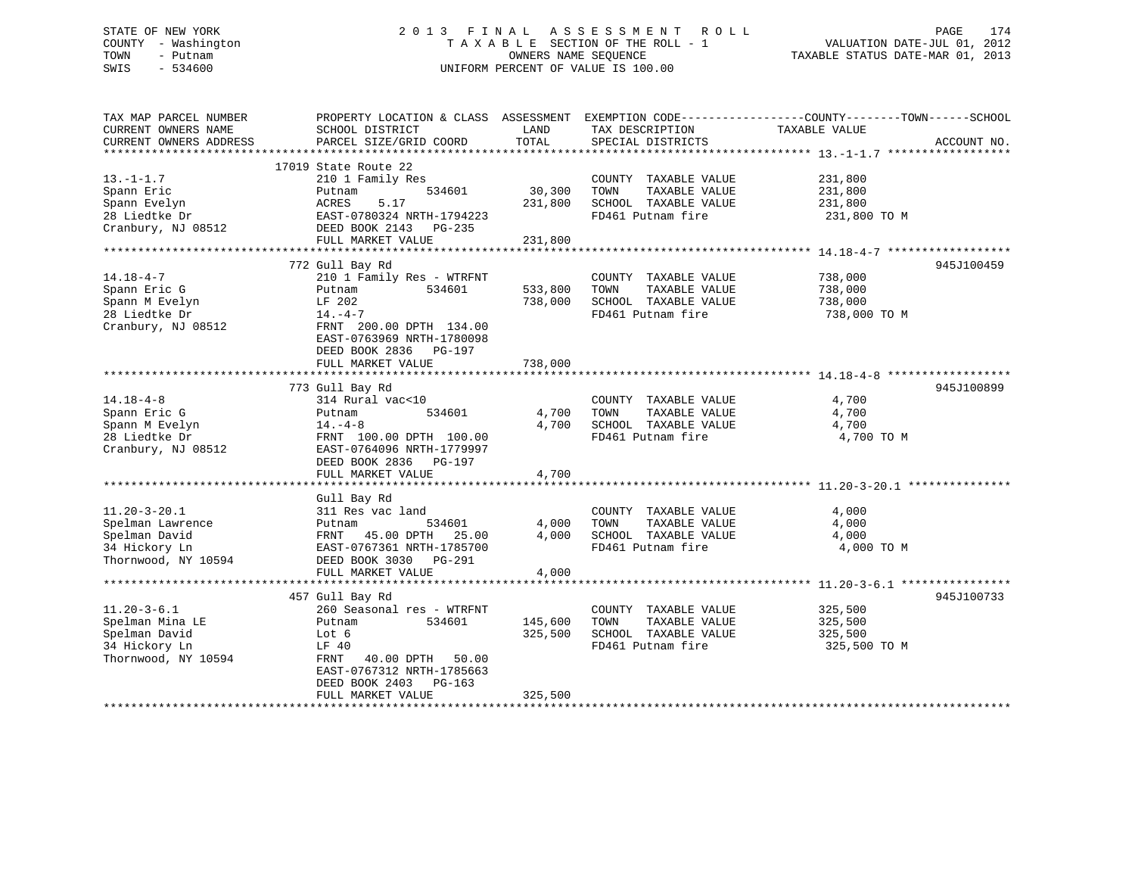# STATE OF NEW YORK 2 0 1 3 F I N A L A S S E S S M E N T R O L L PAGE 174 COUNTY - Washington T A X A B L E SECTION OF THE ROLL - 1 VALUATION DATE-JUL 01, 2012 TOWN - Putnam OWNERS NAME SEQUENCE TAXABLE STATUS DATE-MAR 01, 2013 SWIS - 534600 UNIFORM PERCENT OF VALUE IS 100.00

| TAX MAP PARCEL NUMBER<br>CURRENT OWNERS NAME<br>CURRENT OWNERS ADDRESS | PROPERTY LOCATION & CLASS ASSESSMENT<br>SCHOOL DISTRICT<br>PARCEL SIZE/GRID COORD | LAND<br>TOTAL | TAX DESCRIPTION<br>SPECIAL DISTRICTS | EXEMPTION CODE-----------------COUNTY-------TOWN------SCHOOL<br>TAXABLE VALUE | ACCOUNT NO. |
|------------------------------------------------------------------------|-----------------------------------------------------------------------------------|---------------|--------------------------------------|-------------------------------------------------------------------------------|-------------|
|                                                                        |                                                                                   |               |                                      |                                                                               |             |
|                                                                        | 17019 State Route 22                                                              |               |                                      |                                                                               |             |
| $13.-1-1.7$                                                            | 210 1 Family Res                                                                  |               | COUNTY TAXABLE VALUE                 | 231,800                                                                       |             |
| Spann Eric                                                             | 534601<br>Putnam                                                                  | 30,300        | TOWN<br>TAXABLE VALUE                | 231,800                                                                       |             |
| Spann Evelyn                                                           | ACRES<br>5.17                                                                     | 231,800       | SCHOOL TAXABLE VALUE                 | 231,800                                                                       |             |
| 28 Liedtke Dr                                                          | EAST-0780324 NRTH-1794223                                                         |               | FD461 Putnam fire                    | 231,800 TO M                                                                  |             |
| Cranbury, NJ 08512                                                     | DEED BOOK 2143 PG-235                                                             |               |                                      |                                                                               |             |
|                                                                        | FULL MARKET VALUE                                                                 | 231,800       |                                      |                                                                               |             |
|                                                                        |                                                                                   |               |                                      |                                                                               |             |
|                                                                        | 772 Gull Bay Rd                                                                   |               |                                      |                                                                               | 945J100459  |
| $14.18 - 4 - 7$                                                        | 210 1 Family Res - WTRFNT                                                         |               | COUNTY TAXABLE VALUE                 | 738,000                                                                       |             |
| Spann Eric G                                                           | 534601<br>Putnam                                                                  | 533,800       | TAXABLE VALUE<br>TOWN                | 738,000                                                                       |             |
| Spann M Evelyn                                                         | LF 202                                                                            | 738,000       | SCHOOL TAXABLE VALUE                 | 738,000                                                                       |             |
| 28 Liedtke Dr                                                          | $14. -4-7$                                                                        |               | FD461 Putnam fire                    | 738,000 TO M                                                                  |             |
| Cranbury, NJ 08512                                                     | FRNT 200.00 DPTH 134.00                                                           |               |                                      |                                                                               |             |
|                                                                        | EAST-0763969 NRTH-1780098                                                         |               |                                      |                                                                               |             |
|                                                                        | DEED BOOK 2836 PG-197                                                             |               |                                      |                                                                               |             |
|                                                                        | FULL MARKET VALUE                                                                 | 738,000       |                                      |                                                                               |             |
|                                                                        |                                                                                   |               |                                      |                                                                               |             |
|                                                                        | 773 Gull Bay Rd                                                                   |               |                                      |                                                                               | 945J100899  |
| $14.18 - 4 - 8$                                                        | 314 Rural vac<10                                                                  |               | COUNTY TAXABLE VALUE                 | 4,700                                                                         |             |
| Spann Eric G                                                           | Putnam<br>534601                                                                  | 4,700         | TOWN<br>TAXABLE VALUE                | 4,700                                                                         |             |
| Spann M Evelyn                                                         | $14. -4 - 8$                                                                      | 4,700         | SCHOOL TAXABLE VALUE                 | 4,700                                                                         |             |
| 28 Liedtke Dr                                                          | FRNT 100.00 DPTH 100.00                                                           |               | FD461 Putnam fire                    | 4,700 TO M                                                                    |             |
| Cranbury, NJ 08512                                                     | EAST-0764096 NRTH-1779997                                                         |               |                                      |                                                                               |             |
|                                                                        | DEED BOOK 2836 PG-197                                                             |               |                                      |                                                                               |             |
|                                                                        | FULL MARKET VALUE                                                                 | 4,700         |                                      |                                                                               |             |
|                                                                        |                                                                                   |               |                                      |                                                                               |             |
|                                                                        | Gull Bay Rd                                                                       |               |                                      |                                                                               |             |
| $11.20 - 3 - 20.1$                                                     | 311 Res vac land                                                                  |               | COUNTY TAXABLE VALUE                 | 4,000                                                                         |             |
| Spelman Lawrence                                                       | Putnam<br>534601                                                                  | 4,000         | TOWN<br>TAXABLE VALUE                | 4,000                                                                         |             |
| Spelman David                                                          | FRNT 45.00 DPTH 25.00                                                             | 4,000         | SCHOOL TAXABLE VALUE                 | 4,000                                                                         |             |
| 34 Hickory Ln                                                          | EAST-0767361 NRTH-1785700                                                         |               | FD461 Putnam fire                    | 4,000 TO M                                                                    |             |
| Thornwood, NY 10594                                                    |                                                                                   |               |                                      |                                                                               |             |
|                                                                        | DEED BOOK 3030 PG-291                                                             |               |                                      |                                                                               |             |
|                                                                        | FULL MARKET VALUE                                                                 | 4,000         |                                      |                                                                               |             |
|                                                                        |                                                                                   |               |                                      |                                                                               |             |
|                                                                        | 457 Gull Bay Rd                                                                   |               |                                      |                                                                               | 945J100733  |
| $11.20 - 3 - 6.1$                                                      | 260 Seasonal res - WTRFNT                                                         |               | COUNTY TAXABLE VALUE                 | 325,500                                                                       |             |
| Spelman Mina LE                                                        | 534601<br>Putnam                                                                  | 145,600       | TOWN<br>TAXABLE VALUE                | 325,500                                                                       |             |
| Spelman David                                                          | Lot 6                                                                             | 325,500       | SCHOOL TAXABLE VALUE                 | 325,500                                                                       |             |
| 34 Hickory Ln                                                          | LF 40                                                                             |               | FD461 Putnam fire                    | 325,500 TO M                                                                  |             |
| Thornwood, NY 10594                                                    | FRNT<br>40.00 DPTH 50.00                                                          |               |                                      |                                                                               |             |
|                                                                        | EAST-0767312 NRTH-1785663                                                         |               |                                      |                                                                               |             |
|                                                                        | DEED BOOK 2403<br>PG-163                                                          |               |                                      |                                                                               |             |
|                                                                        | FULL MARKET VALUE                                                                 | 325,500       |                                      |                                                                               |             |
|                                                                        |                                                                                   |               |                                      |                                                                               |             |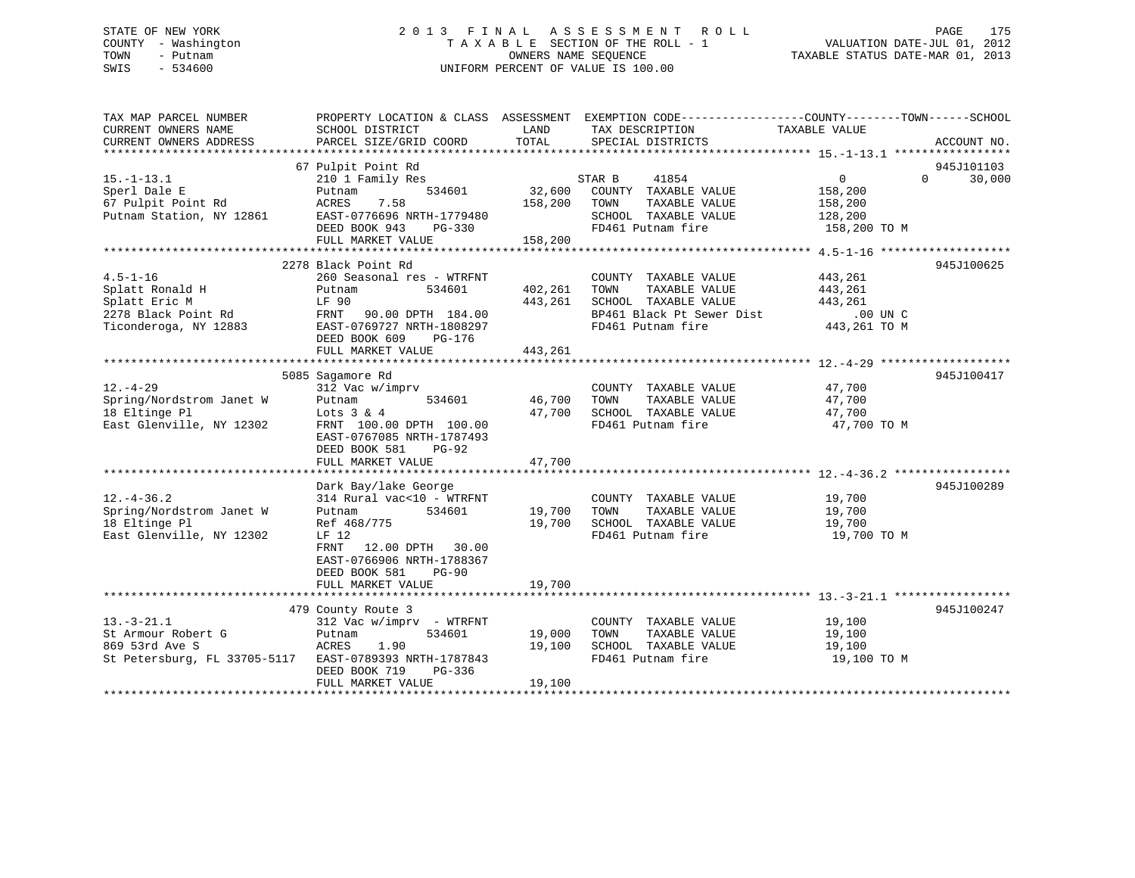# STATE OF NEW YORK 2 0 1 3 F I N A L A S S E S S M E N T R O L L PAGE 175 COUNTY - Washington T A X A B L E SECTION OF THE ROLL - 1 VALUATION DATE-JUL 01, 2012 TOWN - Putnam OWNERS NAME SEQUENCE TAXABLE STATUS DATE-MAR 01, 2013 SWIS - 534600 UNIFORM PERCENT OF VALUE IS 100.00

| TAX MAP PARCEL NUMBER<br>CURRENT OWNERS NAME<br>CURRENT OWNERS ADDRESS                             | SCHOOL DISTRICT<br>PARCEL SIZE/GRID COORD                                                                                                                                                               | LAND<br>TOTAL                 | PROPERTY LOCATION & CLASS ASSESSMENT EXEMPTION CODE----------------COUNTY-------TOWN------SCHOOL<br>TAX DESCRIPTION<br>SPECIAL DISTRICTS | TAXABLE VALUE                                                   | ACCOUNT NO.                      |
|----------------------------------------------------------------------------------------------------|---------------------------------------------------------------------------------------------------------------------------------------------------------------------------------------------------------|-------------------------------|------------------------------------------------------------------------------------------------------------------------------------------|-----------------------------------------------------------------|----------------------------------|
| $15. - 1 - 13.1$<br>Sperl Dale E<br>67 Pulpit Point Rd<br>Putnam Station, NY 12861                 | 67 Pulpit Point Rd<br>210 1 Family Res<br>534601<br>Putnam<br>7.58<br>ACRES<br>EAST-0776696 NRTH-1779480<br>DEED BOOK 943<br>PG-330<br>FULL MARKET VALUE                                                | 32,600<br>158,200<br>158,200  | STAR B<br>41854<br>COUNTY TAXABLE VALUE<br>TOWN<br>TAXABLE VALUE<br>SCHOOL TAXABLE VALUE<br>FD461 Putnam fire                            | $\overline{0}$<br>158,200<br>158,200<br>128,200<br>158,200 TO M | 945J101103<br>30,000<br>$\Omega$ |
| $4.5 - 1 - 16$<br>Splatt Ronald H<br>Splatt Eric M<br>2278 Black Point Rd<br>Ticonderoga, NY 12883 | 2278 Black Point Rd<br>260 Seasonal res - WTRFNT<br>Putnam<br>534601<br>LF 90<br>90.00 DPTH 184.00<br>FRNT<br>EAST-0769727 NRTH-1808297<br>DEED BOOK 609<br>PG-176<br>FULL MARKET VALUE                 | 402,261<br>443,261<br>443,261 | COUNTY TAXABLE VALUE<br>TAXABLE VALUE<br>TOWN<br>SCHOOL TAXABLE VALUE<br>BP461 Black Pt Sewer Dist<br>FD461 Putnam fire                  | 443,261<br>443,261<br>443,261<br>$.00$ UN $C$<br>443,261 TO M   | 945J100625                       |
| $12. - 4 - 29$<br>Spring/Nordstrom Janet W<br>18 Eltinge Pl<br>East Glenville, NY 12302            | 5085 Sagamore Rd<br>312 Vac w/imprv<br>Putnam<br>534601<br>Lots $3 & 4$<br>FRNT 100.00 DPTH 100.00<br>EAST-0767085 NRTH-1787493<br>DEED BOOK 581<br>$PG-92$<br>FULL MARKET VALUE                        | 46,700<br>47,700<br>47,700    | COUNTY TAXABLE VALUE<br>TAXABLE VALUE<br>TOWN<br>SCHOOL TAXABLE VALUE<br>FD461 Putnam fire                                               | 47,700<br>47,700<br>47,700<br>47,700 TO M                       | 945J100417                       |
| $12. - 4 - 36.2$<br>Spring/Nordstrom Janet W<br>18 Eltinge Pl<br>East Glenville, NY 12302          | Dark Bay/lake George<br>314 Rural vac<10 - WTRFNT<br>534601<br>Putnam<br>Ref 468/775<br>LF 12<br>12.00 DPTH 30.00<br>FRNT<br>EAST-0766906 NRTH-1788367<br>DEED BOOK 581<br>$PG-90$<br>FULL MARKET VALUE | 19,700<br>19,700<br>19,700    | COUNTY TAXABLE VALUE<br>TAXABLE VALUE<br>TOWN<br>SCHOOL TAXABLE VALUE<br>FD461 Putnam fire                                               | 19,700<br>19,700<br>19,700<br>19,700 TO M                       | 945J100289                       |
| $13. - 3 - 21.1$<br>St Armour Robert G<br>869 53rd Ave S                                           | 479 County Route 3<br>312 Vac w/imprv - WTRFNT<br>534601<br>Putnam<br>ACRES<br>1.90<br>St Petersburg, FL 33705-5117 EAST-0789393 NRTH-1787843<br>DEED BOOK 719<br>PG-336<br>FULL MARKET VALUE           | 19,000<br>19,100<br>19,100    | COUNTY TAXABLE VALUE<br>TOWN<br>TAXABLE VALUE<br>SCHOOL TAXABLE VALUE<br>FD461 Putnam fire                                               | 19,100<br>19,100<br>19,100<br>19,100 TO M                       | 945J100247                       |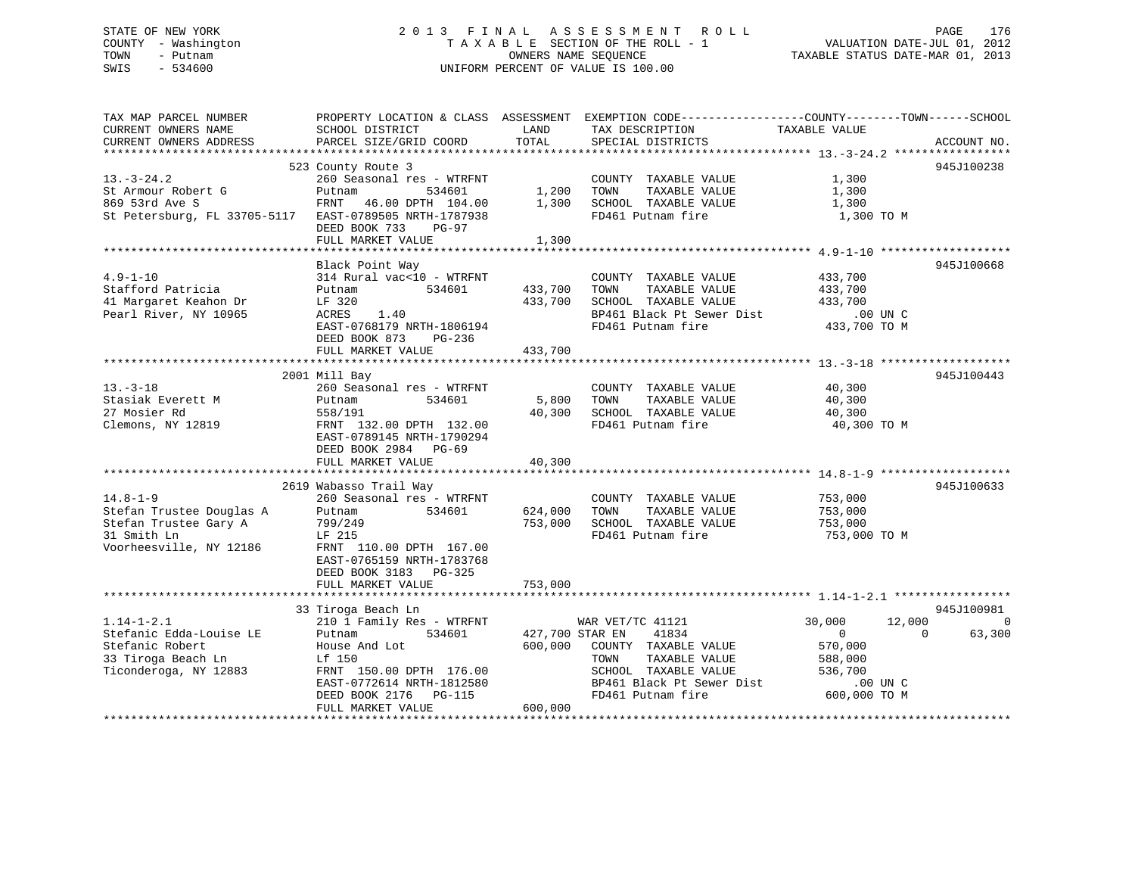# STATE OF NEW YORK 2 0 1 3 F I N A L A S S E S S M E N T R O L L PAGE 176 COUNTY - Washington T A X A B L E SECTION OF THE ROLL - 1 VALUATION DATE-JUL 01, 2012 TOWN - Putnam **CONNERS NAME SEQUENCE** TAXABLE STATUS DATE-MAR 01, 2013 SWIS - 534600 UNIFORM PERCENT OF VALUE IS 100.00

| TAX MAP PARCEL NUMBER<br>CURRENT OWNERS NAME<br>CURRENT OWNERS ADDRESS                                        | PROPERTY LOCATION & CLASS ASSESSMENT<br>SCHOOL DISTRICT<br>PARCEL SIZE/GRID COORD                                                                         | LAND<br>TOTAL              | EXEMPTION CODE-----------------COUNTY-------TOWN------SCHOOL<br>TAX DESCRIPTION<br>SPECIAL DISTRICTS                             | TAXABLE VALUE                                                                       | ACCOUNT NO.            |
|---------------------------------------------------------------------------------------------------------------|-----------------------------------------------------------------------------------------------------------------------------------------------------------|----------------------------|----------------------------------------------------------------------------------------------------------------------------------|-------------------------------------------------------------------------------------|------------------------|
|                                                                                                               |                                                                                                                                                           |                            |                                                                                                                                  |                                                                                     |                        |
| $13. - 3 - 24.2$<br>St Armour Robert G<br>869 53rd Ave S                                                      | 523 County Route 3<br>260 Seasonal res - WTRFNT<br>Putnam<br>534601<br>46.00 DPTH 104.00<br>FRNT                                                          | 1,200<br>1,300             | COUNTY TAXABLE VALUE<br>TOWN<br>TAXABLE VALUE<br>SCHOOL TAXABLE VALUE                                                            | 1,300<br>1,300<br>1,300                                                             | 945J100238             |
| St Petersburg, FL 33705-5117                                                                                  | EAST-0789505 NRTH-1787938<br>DEED BOOK 733<br>$PG-97$<br>FULL MARKET VALUE                                                                                | 1,300                      | FD461 Putnam fire                                                                                                                | 1,300 TO M                                                                          |                        |
|                                                                                                               |                                                                                                                                                           |                            |                                                                                                                                  |                                                                                     |                        |
| $4.9 - 1 - 10$<br>Stafford Patricia<br>41 Margaret Keahon Dr<br>Pearl River, NY 10965                         | Black Point Way<br>314 Rural vac<10 - WTRFNT<br>534601<br>Putnam<br>LF 320<br>ACRES<br>1.40<br>EAST-0768179 NRTH-1806194<br>DEED BOOK 873<br>PG-236       | 433,700<br>433,700         | COUNTY TAXABLE VALUE<br>TAXABLE VALUE<br>TOWN<br>SCHOOL TAXABLE VALUE<br>BP461 Black Pt Sewer Dist<br>FD461 Putnam fire          | 433,700<br>433,700<br>433,700<br>$.00$ UN $C$<br>433,700 TO M                       | 945J100668             |
|                                                                                                               | FULL MARKET VALUE                                                                                                                                         | 433,700                    |                                                                                                                                  |                                                                                     |                        |
|                                                                                                               |                                                                                                                                                           |                            |                                                                                                                                  |                                                                                     |                        |
| $13. - 3 - 18$<br>Stasiak Everett M<br>27 Mosier Rd<br>Clemons, NY 12819                                      | 2001 Mill Bay<br>260 Seasonal res - WTRFNT<br>534601<br>Putnam<br>558/191<br>FRNT 132.00 DPTH 132.00<br>EAST-0789145 NRTH-1790294<br>DEED BOOK 2984 PG-69 | 5,800<br>40,300            | COUNTY TAXABLE VALUE<br>TOWN<br>TAXABLE VALUE<br>SCHOOL TAXABLE VALUE<br>FD461 Putnam fire                                       | 40,300<br>40,300<br>40,300<br>40,300 TO M                                           | 945J100443             |
|                                                                                                               | FULL MARKET VALUE                                                                                                                                         | 40,300                     |                                                                                                                                  |                                                                                     |                        |
|                                                                                                               | 2619 Wabasso Trail Way                                                                                                                                    |                            |                                                                                                                                  |                                                                                     | 945J100633             |
| $14.8 - 1 - 9$<br>Stefan Trustee Douglas A<br>Stefan Trustee Gary A<br>31 Smith Ln<br>Voorheesville, NY 12186 | 260 Seasonal res - WTRFNT<br>534601<br>Putnam<br>799/249<br>LF 215<br>FRNT 110.00 DPTH 167.00<br>EAST-0765159 NRTH-1783768<br>DEED BOOK 3183 PG-325       | 624,000<br>753,000         | COUNTY TAXABLE VALUE<br>TOWN<br>TAXABLE VALUE<br>SCHOOL TAXABLE VALUE<br>FD461 Putnam fire                                       | 753,000<br>753,000<br>753,000<br>753,000 ТО М                                       |                        |
|                                                                                                               | FULL MARKET VALUE                                                                                                                                         | 753,000                    |                                                                                                                                  |                                                                                     |                        |
|                                                                                                               |                                                                                                                                                           |                            |                                                                                                                                  |                                                                                     |                        |
| $1.14 - 1 - 2.1$                                                                                              | 33 Tiroga Beach Ln<br>210 1 Family Res - WTRFNT                                                                                                           |                            | WAR VET/TC 41121                                                                                                                 | 12,000<br>30,000                                                                    | 945J100981<br>$\Omega$ |
| Stefanic Edda-Louise LE<br>Stefanic Robert<br>33 Tiroga Beach Ln<br>Ticonderoga, NY 12883                     | 534601<br>Putnam<br>House And Lot<br>Lf 150<br>FRNT 150.00 DPTH 176.00<br>EAST-0772614 NRTH-1812580<br>DEED BOOK 2176<br>PG-115                           | 427,700 STAR EN<br>600,000 | 41834<br>COUNTY TAXABLE VALUE<br>TAXABLE VALUE<br>TOWN<br>SCHOOL TAXABLE VALUE<br>BP461 Black Pt Sewer Dist<br>FD461 Putnam fire | $\Omega$<br>$\Omega$<br>570,000<br>588,000<br>536,700<br>$.00$ UN C<br>600,000 TO M | 63,300                 |
|                                                                                                               | FULL MARKET VALUE                                                                                                                                         | 600,000                    |                                                                                                                                  |                                                                                     |                        |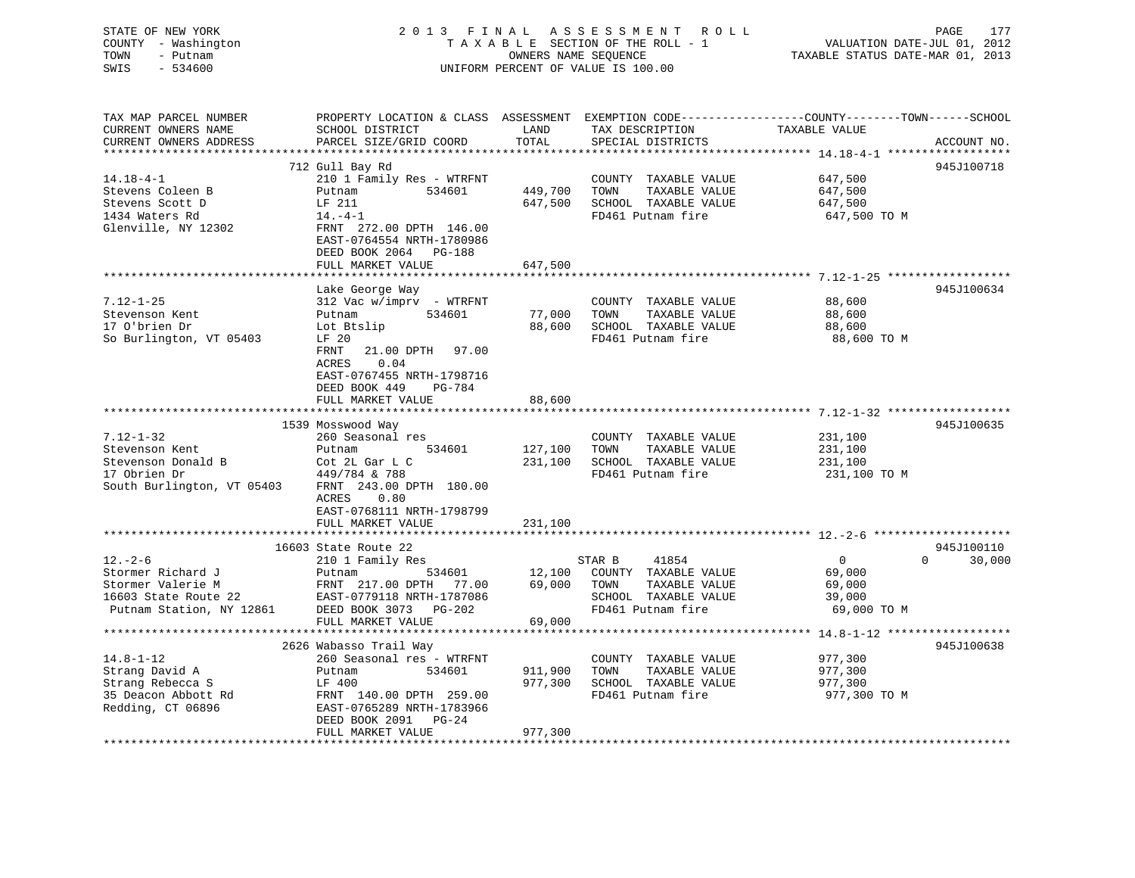| STATE OF NEW YORK<br>COUNTY - Washington<br>TOWN<br>- Putnam<br>SWIS<br>$-534600$ |                                                                                                   |                 | 2013 FINAL ASSESSMENT ROLL<br>TAXABLE SECTION OF THE ROLL - 1<br>OWNERS NAME SEQUENCE<br>UNIFORM PERCENT OF VALUE IS 100.00 | PAGE<br>177<br>VALUATION DATE-JUL 01, 2012<br>TAXABLE STATUS DATE-MAR 01, 2013                 |
|-----------------------------------------------------------------------------------|---------------------------------------------------------------------------------------------------|-----------------|-----------------------------------------------------------------------------------------------------------------------------|------------------------------------------------------------------------------------------------|
| TAX MAP PARCEL NUMBER                                                             |                                                                                                   |                 |                                                                                                                             | PROPERTY LOCATION & CLASS ASSESSMENT EXEMPTION CODE---------------COUNTY-------TOWN-----SCHOOL |
| CURRENT OWNERS NAME<br>CURRENT OWNERS ADDRESS                                     | SCHOOL DISTRICT<br>PARCEL SIZE/GRID COORD                                                         | LAND<br>TOTAL   | TAX DESCRIPTION<br>SPECIAL DISTRICTS                                                                                        | TAXABLE VALUE<br>ACCOUNT NO.                                                                   |
| ***********************                                                           |                                                                                                   |                 |                                                                                                                             |                                                                                                |
|                                                                                   | 712 Gull Bay Rd                                                                                   |                 |                                                                                                                             | 945J100718                                                                                     |
| $14.18 - 4 - 1$                                                                   | 210 1 Family Res - WTRFNT                                                                         |                 | COUNTY TAXABLE VALUE                                                                                                        | 647,500                                                                                        |
| Stevens Coleen B                                                                  | 534601<br>Putnam                                                                                  | 449,700         | TOWN<br>TAXABLE VALUE                                                                                                       | 647,500                                                                                        |
| Stevens Scott D<br>1434 Waters Rd                                                 | LF 211<br>$14. -4 - 1$                                                                            | 647,500         | SCHOOL TAXABLE VALUE<br>FD461 Putnam fire                                                                                   | 647,500                                                                                        |
| Glenville, NY 12302                                                               | FRNT 272.00 DPTH 146.00<br>EAST-0764554 NRTH-1780986<br>DEED BOOK 2064 PG-188                     |                 |                                                                                                                             | 647,500 TO M                                                                                   |
|                                                                                   | FULL MARKET VALUE                                                                                 | 647,500         |                                                                                                                             |                                                                                                |
|                                                                                   |                                                                                                   |                 |                                                                                                                             | *********** 7.12-1-25 ******************                                                       |
| $7.12 - 1 - 25$                                                                   | Lake George Way<br>312 Vac w/imprv - WTRFNT                                                       |                 | COUNTY TAXABLE VALUE                                                                                                        | 945J100634<br>88,600                                                                           |
| Stevenson Kent                                                                    | Putnam<br>534601                                                                                  | 77,000          | TOWN<br>TAXABLE VALUE                                                                                                       | 88,600                                                                                         |
| 17 O'brien Dr                                                                     | Lot Btslip                                                                                        | 88,600          | SCHOOL TAXABLE VALUE                                                                                                        | 88,600                                                                                         |
| So Burlington, VT 05403                                                           | LF 20                                                                                             |                 | FD461 Putnam fire                                                                                                           | 88,600 TO M                                                                                    |
|                                                                                   | FRNT<br>21.00 DPTH 97.00<br>ACRES<br>0.04<br>EAST-0767455 NRTH-1798716<br>DEED BOOK 449<br>PG-784 |                 |                                                                                                                             |                                                                                                |
|                                                                                   | FULL MARKET VALUE                                                                                 | 88,600          |                                                                                                                             |                                                                                                |
|                                                                                   | 1539 Mosswood Way                                                                                 |                 |                                                                                                                             | 945J100635                                                                                     |
| 7.12-1-32                                                                         | 260 Seasonal res                                                                                  |                 | COUNTY TAXABLE VALUE                                                                                                        | 231,100                                                                                        |
| Stevenson Kent                                                                    | Putnam<br>534601                                                                                  | 127,100         | TOWN<br>TAXABLE VALUE                                                                                                       | 231,100                                                                                        |
| Stevenson Donald B                                                                | Cot 2L Gar L C                                                                                    | 231,100         | SCHOOL TAXABLE VALUE                                                                                                        | 231,100                                                                                        |
| 17 Obrien Dr                                                                      | 449/784 & 788                                                                                     |                 | FD461 Putnam fire                                                                                                           | 231,100 TO M                                                                                   |
| South Burlington, VT 05403                                                        | FRNT 243.00 DPTH 180.00<br>ACRES<br>0.80<br>EAST-0768111 NRTH-1798799<br>FULL MARKET VALUE        | 231,100         |                                                                                                                             |                                                                                                |
|                                                                                   |                                                                                                   |                 |                                                                                                                             |                                                                                                |
|                                                                                   | 16603 State Route 22                                                                              |                 |                                                                                                                             | 945J100110                                                                                     |
| $12. - 2 - 6$                                                                     | 210 1 Family Res                                                                                  |                 | STAR B<br>41854                                                                                                             | 30,000<br>$\overline{0}$<br>$\Omega$                                                           |
| Stormer Richard J                                                                 | 534601<br>Putnam                                                                                  | 12,100          | COUNTY TAXABLE VALUE                                                                                                        | 69,000                                                                                         |
| Stormer Valerie M                                                                 | FRNT 217.00 DPTH 77.00                                                                            | 69,000          | TOWN<br>TAXABLE VALUE                                                                                                       | 69,000                                                                                         |
| 16603 State Route 22                                                              | EAST-0779118 NRTH-1787086                                                                         |                 | SCHOOL TAXABLE VALUE                                                                                                        | 39,000                                                                                         |
| Putnam Station, NY 12861                                                          | DEED BOOK 3073 PG-202<br>FULL MARKET VALUE                                                        | 69,000          | FD461 Putnam fire                                                                                                           | 69,000 TO M                                                                                    |
|                                                                                   |                                                                                                   | * * * * * * * * |                                                                                                                             | ************************* 14.8-1-12 *******************                                        |
|                                                                                   | 2626 Wabasso Trail Way                                                                            |                 |                                                                                                                             | 945J100638                                                                                     |
| $14.8 - 1 - 12$                                                                   | 260 Seasonal res - WTRFNT                                                                         |                 | COUNTY TAXABLE VALUE                                                                                                        | 977,300                                                                                        |
| Strang David A                                                                    | 534601<br>Putnam                                                                                  | 911,900         | TOWN<br>TAXABLE VALUE                                                                                                       | 977,300                                                                                        |
| Strang Rebecca S                                                                  | LF 400                                                                                            | 977,300         | SCHOOL TAXABLE VALUE                                                                                                        | 977,300                                                                                        |
| 35 Deacon Abbott Rd                                                               | FRNT 140.00 DPTH 259.00                                                                           |                 | FD461 Putnam fire                                                                                                           | 977,300 TO M                                                                                   |
| Redding, CT 06896                                                                 | EAST-0765289 NRTH-1783966<br>DEED BOOK 2091 PG-24<br>FULL MARKET VALUE                            | 977,300         |                                                                                                                             |                                                                                                |
|                                                                                   |                                                                                                   | *************** |                                                                                                                             |                                                                                                |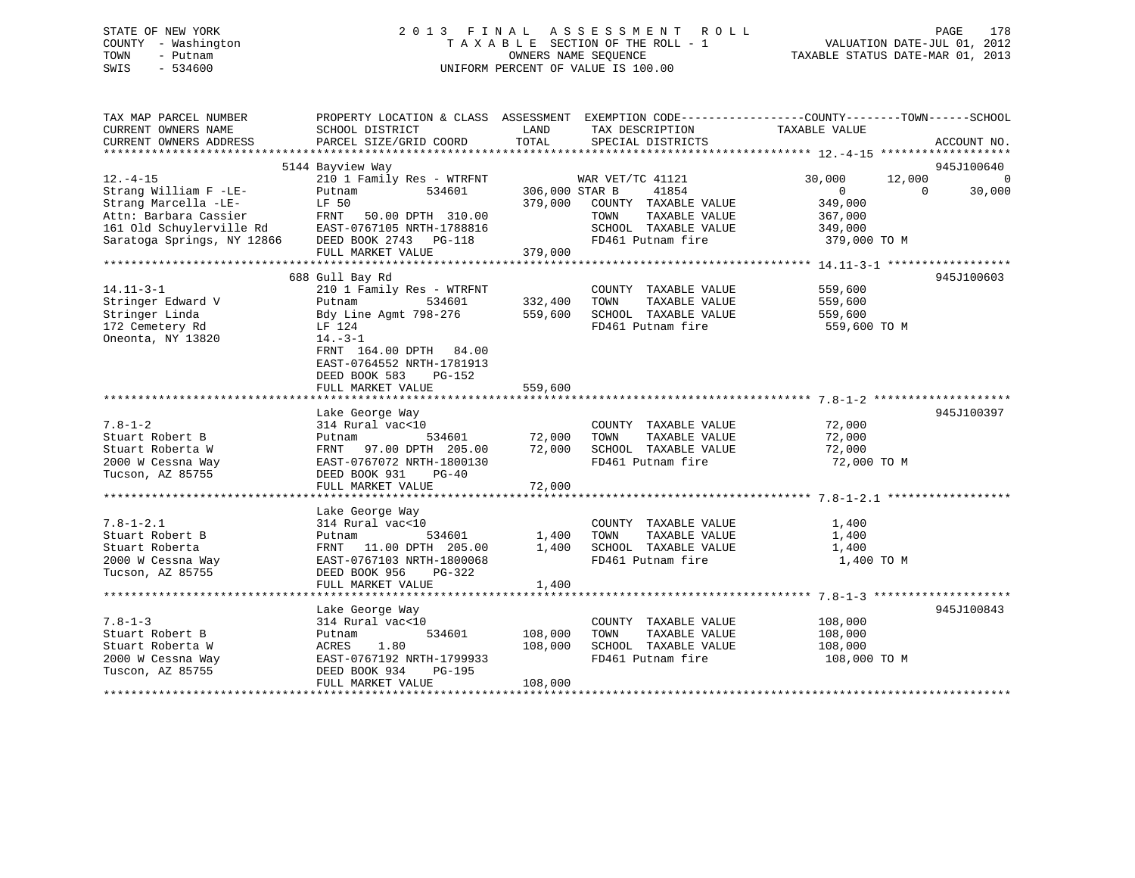# STATE OF NEW YORK 2 0 1 3 F I N A L A S S E S S M E N T R O L L PAGE 178 COUNTY - Washington T A X A B L E SECTION OF THE ROLL - 1 VALUATION DATE-JUL 01, 2012 TOWN - Putnam OWNERS NAME SEQUENCE TAXABLE STATUS DATE-MAR 01, 2013 SWIS - 534600 UNIFORM PERCENT OF VALUE IS 100.00

| TAX MAP PARCEL NUMBER                         | PROPERTY LOCATION & CLASS ASSESSMENT EXEMPTION CODE---------------COUNTY-------TOWN------SCHOOL                                                              |                |                                                           |                |          |                |
|-----------------------------------------------|--------------------------------------------------------------------------------------------------------------------------------------------------------------|----------------|-----------------------------------------------------------|----------------|----------|----------------|
| CURRENT OWNERS NAME<br>CURRENT OWNERS ADDRESS | SCHOOL DISTRICT<br>PARCEL SIZE/GRID COORD                                                                                                                    | LAND<br>TOTAL  | TAX DESCRIPTION<br>SPECIAL DISTRICTS                      | TAXABLE VALUE  |          | ACCOUNT NO.    |
|                                               |                                                                                                                                                              |                |                                                           |                |          |                |
|                                               | 5144 Bayview Way                                                                                                                                             |                |                                                           |                |          | 945J100640     |
| $12. -4 - 15$                                 | 210 1 Family Res - WTRFNT WAR VET/TC 41121                                                                                                                   |                |                                                           | 30,000         | 12,000   | $\overline{0}$ |
| Strang William F -LE-                         | 534601<br>Putnam                                                                                                                                             | 306,000 STAR B | 41854                                                     | $\overline{0}$ | $\Omega$ | 30,000         |
| Strang Marcella -LE-                          | LF 50                                                                                                                                                        |                | 379,000 COUNTY TAXABLE VALUE                              | 349,000        |          |                |
|                                               |                                                                                                                                                              |                | TOWN<br>TAXABLE VALUE                                     | 367,000        |          |                |
|                                               | Statistical Text of Text of Text of Text Subset of Text Subset of Text Subset of Text Subset of Text Subset Saratoga Springs, NY 12866 DEED BOOK 2743 PG-118 |                | SCHOOL TAXABLE VALUE 349,000<br>FD461 Putnam fire 379,000 |                |          |                |
|                                               |                                                                                                                                                              |                |                                                           | 379,000 TO M   |          |                |
|                                               | FULL MARKET VALUE                                                                                                                                            | 379,000        |                                                           |                |          |                |
|                                               | 688 Gull Bay Rd                                                                                                                                              |                |                                                           |                |          | 945J100603     |
| $14.11 - 3 - 1$                               | 210 1 Family Res - WTRFNT                                                                                                                                    |                | COUNTY TAXABLE VALUE 559,600                              |                |          |                |
| Stringer Edward V                             | Putnam                                                                                                                                                       | 534601 332,400 | TAXABLE VALUE 559,600<br>TOWN                             |                |          |                |
| Stringer Linda                                | Bdy Line Agmt 798-276 559,600                                                                                                                                |                | SCHOOL TAXABLE VALUE 559,600                              |                |          |                |
| 172 Cemetery Rd                               | LF 124                                                                                                                                                       |                | FD461 Putnam fire                                         | 559,600 TO M   |          |                |
| Oneonta, NY 13820                             | $14.-3-1$                                                                                                                                                    |                |                                                           |                |          |                |
|                                               | FRNT 164.00 DPTH 84.00                                                                                                                                       |                |                                                           |                |          |                |
|                                               | EAST-0764552 NRTH-1781913                                                                                                                                    |                |                                                           |                |          |                |
|                                               | DEED BOOK 583 PG-152                                                                                                                                         |                |                                                           |                |          |                |
|                                               | FULL MARKET VALUE                                                                                                                                            | 559,600        |                                                           |                |          |                |
|                                               |                                                                                                                                                              |                |                                                           |                |          |                |
|                                               | Lake George Way                                                                                                                                              |                |                                                           |                |          | 945J100397     |
| $7.8 - 1 - 2$                                 | 314 Rural $\text{vac}$ <10 COUNTY<br>Putnam 534601 72,000 TOWN                                                                                               |                | COUNTY TAXABLE VALUE                                      | 72,000         |          |                |
| Stuart Robert B                               |                                                                                                                                                              |                | TAXABLE VALUE                                             | 72,000         |          |                |
| Stuart Roberta W                              | FRNT 97.00 DPTH 205.00 72,000 SCHOOL TAXABLE VALUE 72,000                                                                                                    |                |                                                           |                |          |                |
| 2000 W Cessna Way                             | EAST-0767072 NRTH-1800130                                                                                                                                    |                | FD461 Putnam fire                                         | 72,000 TO M    |          |                |
| Tucson, AZ 85755                              | DEED BOOK 931<br>$PG-40$                                                                                                                                     |                |                                                           |                |          |                |
|                                               | FULL MARKET VALUE                                                                                                                                            | 72,000         |                                                           |                |          |                |
|                                               | Lake George Way                                                                                                                                              |                |                                                           |                |          |                |
| $7.8 - 1 - 2.1$                               | 314 Rural vac<10                                                                                                                                             |                | COUNTY TAXABLE VALUE                                      | 1,400          |          |                |
|                                               |                                                                                                                                                              |                |                                                           | 1,400          |          |                |
|                                               |                                                                                                                                                              |                |                                                           | 1,400          |          |                |
|                                               |                                                                                                                                                              |                |                                                           | 1,400 TO M     |          |                |
| Tucson, AZ 85755                              | DEED BOOK 956<br>PG-322                                                                                                                                      |                |                                                           |                |          |                |
|                                               | FULL MARKET VALUE                                                                                                                                            | 1,400          |                                                           |                |          |                |
|                                               |                                                                                                                                                              |                |                                                           |                |          |                |
|                                               | Lake George Way                                                                                                                                              |                |                                                           |                |          | 945J100843     |
| $7.8 - 1 - 3$                                 | 314 Rural vac<10                                                                                                                                             |                | COUNTY TAXABLE VALUE                                      | 108,000        |          |                |
| Stuart Robert B                               | 534601<br>Putnam                                                                                                                                             | 108,000        | TAXABLE VALUE<br>TOWN                                     | 108,000        |          |                |
| Stuart Roberta W                              | 1.80<br>ACRES                                                                                                                                                | 108,000        | SCHOOL TAXABLE VALUE 108,000                              |                |          |                |
| Tuscon, AZ 85755                              |                                                                                                                                                              |                | FD461 Putnam fire                                         | 108,000 TO M   |          |                |
|                                               | DEED BOOK 934<br>FULL MARKET VALUE                                                                                                                           | 108,000        |                                                           |                |          |                |
|                                               |                                                                                                                                                              |                |                                                           |                |          |                |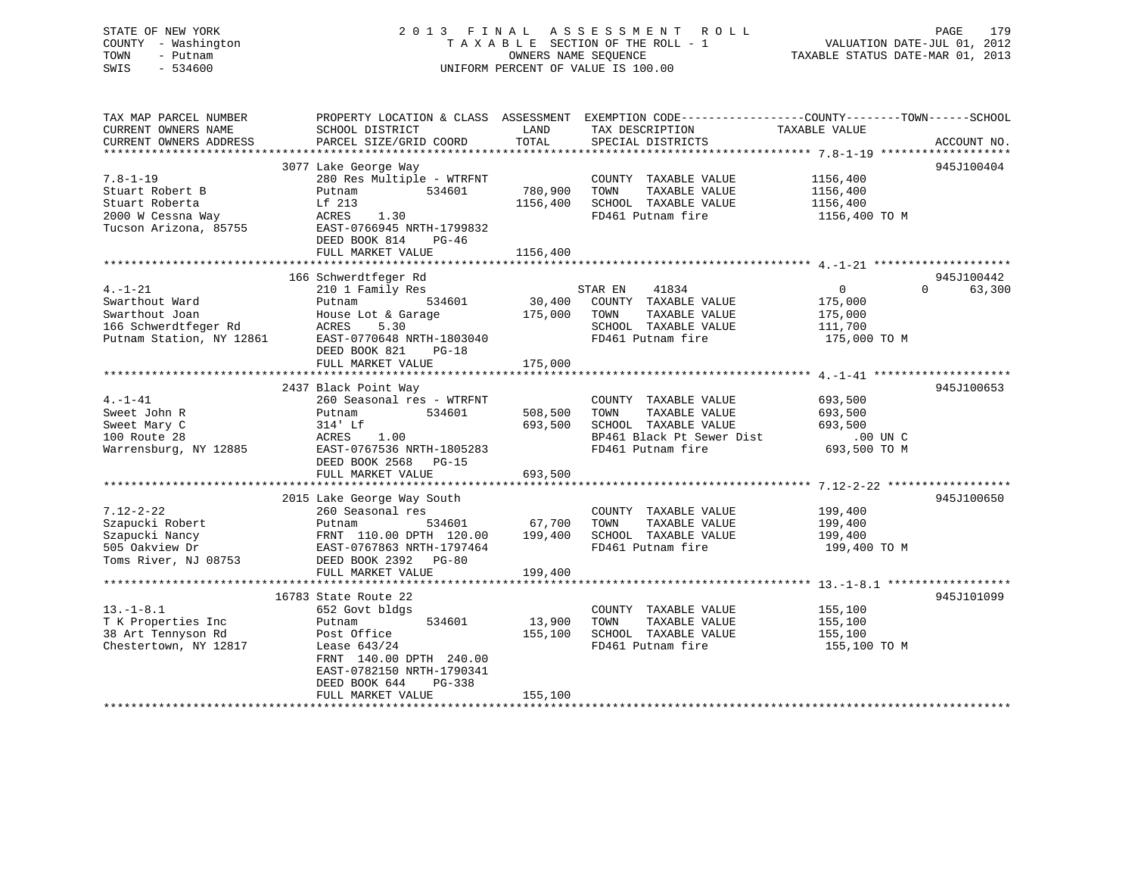# STATE OF NEW YORK 2 0 1 3 F I N A L A S S E S S M E N T R O L L PAGE 179 COUNTY - Washington T A X A B L E SECTION OF THE ROLL - 1 VALUATION DATE-JUL 01, 2012 TOWN - Putnam **CONNERS NAME SEQUENCE** TAXABLE STATUS DATE-MAR 01, 2013 SWIS - 534600 UNIFORM PERCENT OF VALUE IS 100.00

| TAX MAP PARCEL NUMBER<br>CURRENT OWNERS NAME<br>CURRENT OWNERS ADDRESS                                | PROPERTY LOCATION & CLASS ASSESSMENT EXEMPTION CODE---------------COUNTY-------TOWN------SCHOOL<br>SCHOOL DISTRICT<br>PARCEL SIZE/GRID COORD                                                          | LAND<br>TOTAL                   | TAX DESCRIPTION<br>SPECIAL DISTRICTS                                                                                    | TAXABLE VALUE                                                               | ACCOUNT NO.          |
|-------------------------------------------------------------------------------------------------------|-------------------------------------------------------------------------------------------------------------------------------------------------------------------------------------------------------|---------------------------------|-------------------------------------------------------------------------------------------------------------------------|-----------------------------------------------------------------------------|----------------------|
| $7.8 - 1 - 19$<br>Stuart Robert B<br>Stuart Roberta<br>2000 W Cessna Way<br>Tucson Arizona, 85755     | 3077 Lake George Way<br>280 Res Multiple - WTRFNT<br>534601<br>Putnam<br>Lf 213<br>ACRES<br>1.30<br>EAST-0766945 NRTH-1799832<br>DEED BOOK 814<br>$PG-46$<br>FULL MARKET VALUE                        | 780,900<br>1156,400<br>1156,400 | COUNTY TAXABLE VALUE<br>TAXABLE VALUE<br>TOWN<br>SCHOOL TAXABLE VALUE<br>FD461 Putnam fire                              | 1156,400<br>1156,400<br>1156,400<br>1156,400 TO M                           | 945J100404           |
| $4. - 1 - 21$<br>Swarthout Ward<br>Swarthout Joan<br>166 Schwerdtfeger Rd<br>Putnam Station, NY 12861 | 166 Schwerdtfeger Rd<br>210 1 Family Res<br>534601<br>Putnam<br>House Lot & Garage<br>ACRES<br>5.30<br>EAST-0770648 NRTH-1803040<br>DEED BOOK 821<br>$PG-18$<br>FULL MARKET VALUE                     | 30,400<br>175,000<br>175,000    | 41834<br>STAR EN<br>COUNTY TAXABLE VALUE<br>TOWN<br>TAXABLE VALUE<br>SCHOOL TAXABLE VALUE<br>FD461 Putnam fire          | $\overline{0}$<br>$\Omega$<br>175,000<br>175,000<br>111,700<br>175,000 TO M | 945J100442<br>63,300 |
| $4. -1 - 41$<br>Sweet John R<br>Sweet Mary C<br>100 Route 28<br>Warrensburg, NY 12885                 | 2437 Black Point Way<br>260 Seasonal res - WTRFNT<br>534601<br>Putnam<br>314' Lf<br>1.00<br>ACRES<br>EAST-0767536 NRTH-1805283<br>DEED BOOK 2568<br>PG-15<br>FULL MARKET VALUE                        | 508,500<br>693,500<br>693,500   | COUNTY TAXABLE VALUE<br>TOWN<br>TAXABLE VALUE<br>SCHOOL TAXABLE VALUE<br>BP461 Black Pt Sewer Dist<br>FD461 Putnam fire | 693,500<br>693,500<br>693,500<br>.00 UN C<br>693,500 TO M                   | 945J100653           |
| $7.12 - 2 - 22$<br>Szapucki Robert<br>Szapucki Nancy<br>505 Oakview Dr<br>Toms River, NJ 08753        | 2015 Lake George Way South<br>260 Seasonal res<br>534601<br>Putnam<br>FRNT 110.00 DPTH 120.00<br>EAST-0767863 NRTH-1797464<br>DEED BOOK 2392<br>$PG-80$<br>FULL MARKET VALUE                          | 67,700<br>199,400<br>199,400    | COUNTY TAXABLE VALUE<br>TOWN<br>TAXABLE VALUE<br>SCHOOL TAXABLE VALUE<br>FD461 Putnam fire                              | 199,400<br>199,400<br>199,400<br>199,400 TO M                               | 945J100650           |
| $13.-1-8.1$<br>T K Properties Inc<br>38 Art Tennyson Rd<br>Chestertown, NY 12817                      | 16783 State Route 22<br>652 Govt bldgs<br>534601<br>Putnam<br>Post Office<br>Lease $643/24$<br>FRNT 140.00 DPTH 240.00<br>EAST-0782150 NRTH-1790341<br>DEED BOOK 644<br>$PG-338$<br>FULL MARKET VALUE | 13,900<br>155,100<br>155,100    | COUNTY TAXABLE VALUE<br>TOWN<br>TAXABLE VALUE<br>SCHOOL TAXABLE VALUE<br>FD461 Putnam fire                              | 155,100<br>155,100<br>155,100<br>155,100 TO M                               | 945J101099           |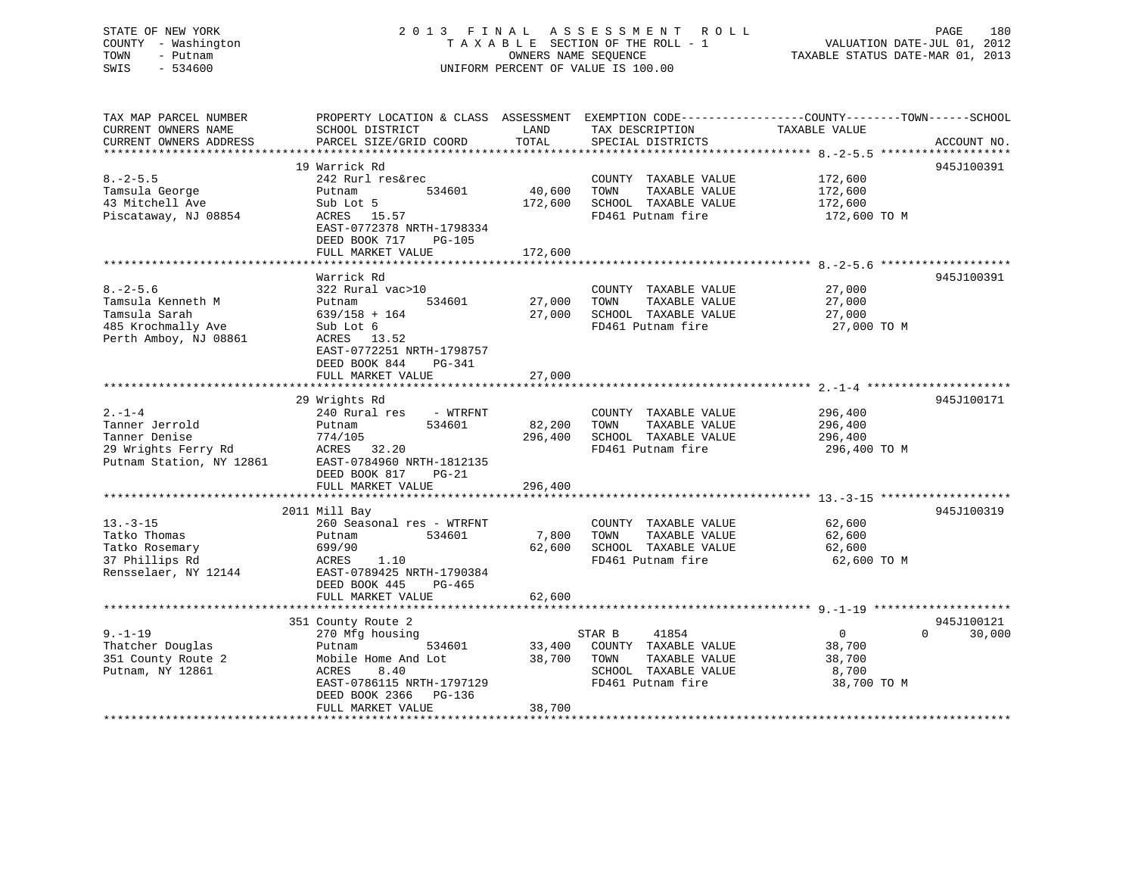# STATE OF NEW YORK 2 0 1 3 F I N A L A S S E S S M E N T R O L L PAGE 180 COUNTY - Washington T A X A B L E SECTION OF THE ROLL - 1 VALUATION DATE-JUL 01, 2012 TOWN - Putnam **CONNERS NAME SEQUENCE** TAXABLE STATUS DATE-MAR 01, 2013 SWIS - 534600 UNIFORM PERCENT OF VALUE IS 100.00

| TAX MAP PARCEL NUMBER<br>CURRENT OWNERS NAME                                                       | SCHOOL DISTRICT                                                                                                            | LAND<br>TOTAL     | TAX DESCRIPTION                                                                            | PROPERTY LOCATION & CLASS ASSESSMENT EXEMPTION CODE----------------COUNTY-------TOWN------SCHOOL<br>TAXABLE VALUE |             |
|----------------------------------------------------------------------------------------------------|----------------------------------------------------------------------------------------------------------------------------|-------------------|--------------------------------------------------------------------------------------------|-------------------------------------------------------------------------------------------------------------------|-------------|
| CURRENT OWNERS ADDRESS                                                                             | PARCEL SIZE/GRID COORD                                                                                                     |                   | SPECIAL DISTRICTS                                                                          |                                                                                                                   | ACCOUNT NO. |
|                                                                                                    | 19 Warrick Rd                                                                                                              |                   |                                                                                            |                                                                                                                   | 945J100391  |
| $8. - 2 - 5.5$<br>Tamsula George<br>43 Mitchell Ave<br>Piscataway, NJ 08854                        | 242 Rurl res&rec<br>534601<br>Putnam<br>Sub Lot 5<br>ACRES 15.57                                                           | 40,600<br>172,600 | COUNTY TAXABLE VALUE<br>TOWN<br>TAXABLE VALUE<br>SCHOOL TAXABLE VALUE<br>FD461 Putnam fire | 172,600<br>172,600<br>172,600<br>172,600 TO M                                                                     |             |
|                                                                                                    | EAST-0772378 NRTH-1798334<br>DEED BOOK 717<br>PG-105<br>FULL MARKET VALUE                                                  | 172,600           |                                                                                            |                                                                                                                   |             |
|                                                                                                    |                                                                                                                            |                   |                                                                                            |                                                                                                                   |             |
| $8. - 2 - 5.6$<br>Tamsula Kenneth M<br>Tamsula Sarah<br>485 Krochmally Ave                         | Warrick Rd<br>322 Rural vac>10<br>534601<br>Putnam<br>$639/158 + 164$<br>Sub Lot 6                                         | 27,000<br>27,000  | COUNTY TAXABLE VALUE<br>TOWN<br>TAXABLE VALUE<br>SCHOOL TAXABLE VALUE<br>FD461 Putnam fire | 27,000<br>27,000<br>27,000<br>27,000 TO M                                                                         | 945J100391  |
| Perth Amboy, NJ 08861                                                                              | ACRES 13.52<br>EAST-0772251 NRTH-1798757<br>DEED BOOK 844<br>$PG-341$<br>FULL MARKET VALUE                                 | 27,000            |                                                                                            |                                                                                                                   |             |
|                                                                                                    | 29 Wrights Rd                                                                                                              |                   |                                                                                            |                                                                                                                   | 945J100171  |
| $2. - 1 - 4$<br>Tanner Jerrold<br>Tanner Denise<br>29 Wrights Ferry Rd<br>Putnam Station, NY 12861 | 240 Rural res<br>- WTRFNT<br>534601<br>Putnam<br>774/105<br>32.20<br>ACRES<br>EAST-0784960 NRTH-1812135                    | 82,200<br>296,400 | COUNTY TAXABLE VALUE<br>TAXABLE VALUE<br>TOWN<br>SCHOOL TAXABLE VALUE<br>FD461 Putnam fire | 296,400<br>296,400<br>296,400<br>296,400 TO M                                                                     |             |
|                                                                                                    | DEED BOOK 817<br>$PG-21$<br>FULL MARKET VALUE                                                                              | 296,400           |                                                                                            |                                                                                                                   |             |
|                                                                                                    |                                                                                                                            |                   |                                                                                            |                                                                                                                   |             |
|                                                                                                    | 2011 Mill Bay                                                                                                              |                   |                                                                                            |                                                                                                                   | 945J100319  |
| $13. - 3 - 15$                                                                                     | 260 Seasonal res - WTRFNT                                                                                                  |                   | COUNTY TAXABLE VALUE                                                                       | 62,600                                                                                                            |             |
| Tatko Thomas<br>Tatko Rosemary                                                                     | 534601<br>Putnam<br>699/90                                                                                                 | 7,800<br>62,600   | TOWN<br>TAXABLE VALUE<br>SCHOOL TAXABLE VALUE                                              | 62,600<br>62,600                                                                                                  |             |
| 37 Phillips Rd                                                                                     | ACRES<br>1.10                                                                                                              |                   | FD461 Putnam fire                                                                          | 62,600 TO M                                                                                                       |             |
| Rensselaer, NY 12144                                                                               | EAST-0789425 NRTH-1790384<br>DEED BOOK 445<br>PG-465<br>FULL MARKET VALUE                                                  |                   |                                                                                            |                                                                                                                   |             |
|                                                                                                    | **********************************                                                                                         | 62,600            |                                                                                            |                                                                                                                   |             |
|                                                                                                    | 351 County Route 2                                                                                                         |                   |                                                                                            |                                                                                                                   | 945J100121  |
| $9. - 1 - 19$                                                                                      | 270 Mfg housing                                                                                                            |                   | STAR B<br>41854                                                                            | $\overline{0}$<br>$\Omega$                                                                                        | 30,000      |
| Thatcher Douglas<br>351 County Route 2<br>Putnam, NY 12861                                         | 534601<br>Putnam<br>Mobile Home And Lot<br><b>ACRES</b><br>8.40<br>EAST-0786115 NRTH-1797129<br>DEED BOOK 2366<br>$PG-136$ | 33,400<br>38,700  | COUNTY TAXABLE VALUE<br>TOWN<br>TAXABLE VALUE<br>SCHOOL TAXABLE VALUE<br>FD461 Putnam fire | 38,700<br>38,700<br>8,700<br>38,700 TO M                                                                          |             |
|                                                                                                    | FULL MARKET VALUE                                                                                                          | 38,700            |                                                                                            |                                                                                                                   |             |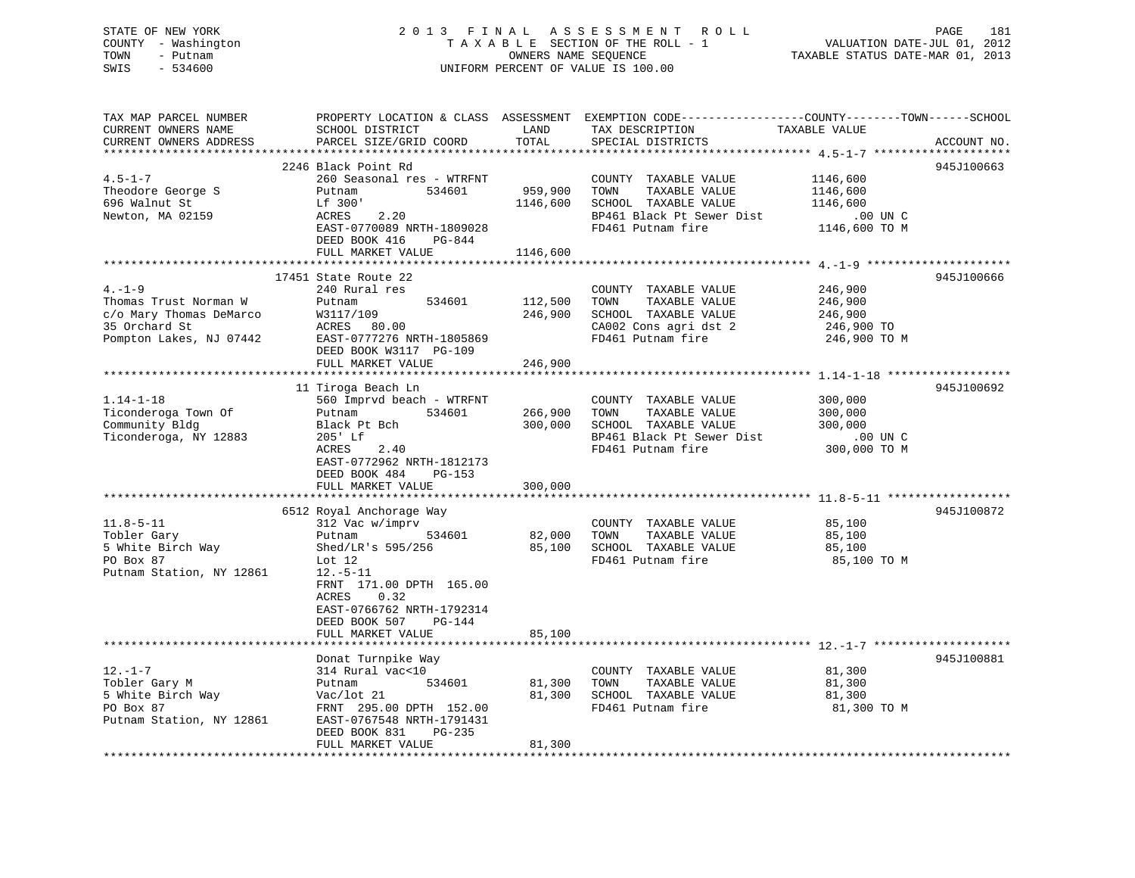# STATE OF NEW YORK 2 0 1 3 F I N A L A S S E S S M E N T R O L L PAGE 181 COUNTY - Washington T A X A B L E SECTION OF THE ROLL - 1 VALUATION DATE-JUL 01, 2012 TOWN - Putnam **CONNERS NAME SEQUENCE** TAXABLE STATUS DATE-MAR 01, 2013 SWIS - 534600 UNIFORM PERCENT OF VALUE IS 100.00

| TAX MAP PARCEL NUMBER<br>CURRENT OWNERS NAME<br>CURRENT OWNERS ADDRESS                                      | SCHOOL DISTRICT<br>PARCEL SIZE/GRID COORD                                                                                                                                                                                               | LAND<br>TOTAL                   | PROPERTY LOCATION & CLASS ASSESSMENT EXEMPTION CODE----------------COUNTY-------TOWN------SCHOOL<br>TAX DESCRIPTION<br>SPECIAL DISTRICTS | TAXABLE VALUE                                                 | ACCOUNT NO. |
|-------------------------------------------------------------------------------------------------------------|-----------------------------------------------------------------------------------------------------------------------------------------------------------------------------------------------------------------------------------------|---------------------------------|------------------------------------------------------------------------------------------------------------------------------------------|---------------------------------------------------------------|-------------|
| *************************<br>$4.5 - 1 - 7$<br>Theodore George S<br>696 Walnut St<br>Newton, MA 02159        | 2246 Black Point Rd<br>260 Seasonal res - WTRFNT<br>534601<br>Putnam<br>Lf 300'<br>2.20<br>ACRES<br>EAST-0770089 NRTH-1809028<br>DEED BOOK 416<br>PG-844<br>FULL MARKET VALUE                                                           | 959,900<br>1146,600<br>1146,600 | COUNTY TAXABLE VALUE<br>TOWN<br>TAXABLE VALUE<br>SCHOOL TAXABLE VALUE<br>BP461 Black Pt Sewer Dist<br>FD461 Putnam fire                  | 1146,600<br>1146,600<br>1146,600<br>.00 UN C<br>1146,600 TO M | 945J100663  |
| $4. -1 - 9$<br>Thomas Trust Norman W<br>c/o Mary Thomas DeMarco<br>35 Orchard St<br>Pompton Lakes, NJ 07442 | 17451 State Route 22<br>240 Rural res<br>534601<br>Putnam<br>W3117/109<br>ACRES 80.00<br>EAST-0777276 NRTH-1805869<br>DEED BOOK W3117 PG-109<br>FULL MARKET VALUE                                                                       | 112,500<br>246,900<br>246,900   | COUNTY TAXABLE VALUE<br>TAXABLE VALUE<br>TOWN<br>SCHOOL TAXABLE VALUE<br>CA002 Cons agri dst 2<br>FD461 Putnam fire                      | 246,900<br>246,900<br>246,900<br>246,900 TO<br>246,900 TO M   | 945J100666  |
| $1.14 - 1 - 18$<br>Ticonderoga Town Of<br>Community Bldg<br>Ticonderoga, NY 12883                           | 11 Tiroga Beach Ln<br>560 Imprvd beach - WTRFNT<br>534601<br>Putnam<br>Black Pt Bch<br>205' Lf<br>2.40<br>ACRES<br>EAST-0772962 NRTH-1812173<br>DEED BOOK 484<br>PG-153<br>FULL MARKET VALUE                                            | 266,900<br>300,000<br>300,000   | COUNTY TAXABLE VALUE<br>TOWN<br>TAXABLE VALUE<br>SCHOOL TAXABLE VALUE<br>BP461 Black Pt Sewer Dist<br>FD461 Putnam fire                  | 300,000<br>300,000<br>300,000<br>$.00$ UN C<br>300,000 TO M   | 945J100692  |
| $11.8 - 5 - 11$<br>Tobler Gary<br>5 White Birch Way<br>PO Box 87<br>Putnam Station, NY 12861                | 6512 Royal Anchorage Way<br>312 Vac w/imprv<br>Putnam<br>534601<br>Shed/LR's 595/256<br>Lot $12$<br>$12.-5-11$<br>FRNT 171.00 DPTH 165.00<br>0.32<br>ACRES<br>EAST-0766762 NRTH-1792314<br>DEED BOOK 507<br>PG-144<br>FULL MARKET VALUE | 82,000<br>85,100<br>85,100      | COUNTY TAXABLE VALUE<br>TAXABLE VALUE<br>TOWN<br>SCHOOL TAXABLE VALUE<br>FD461 Putnam fire                                               | 85,100<br>85,100<br>85,100<br>85,100 TO M                     | 945J100872  |
| $12. - 1 - 7$<br>Tobler Gary M<br>5 White Birch Way<br>PO Box 87<br>Putnam Station, NY 12861                | Donat Turnpike Way<br>314 Rural vac<10<br>534601<br>Putnam<br>Vac/lot 21<br>FRNT 295.00 DPTH 152.00<br>EAST-0767548 NRTH-1791431<br>DEED BOOK 831<br>$PG-235$<br>FULL MARKET VALUE                                                      | 81,300<br>81,300<br>81,300      | COUNTY TAXABLE VALUE<br>TOWN<br>TAXABLE VALUE<br>SCHOOL TAXABLE VALUE<br>FD461 Putnam fire                                               | 81,300<br>81,300<br>81,300<br>81,300 TO M                     | 945J100881  |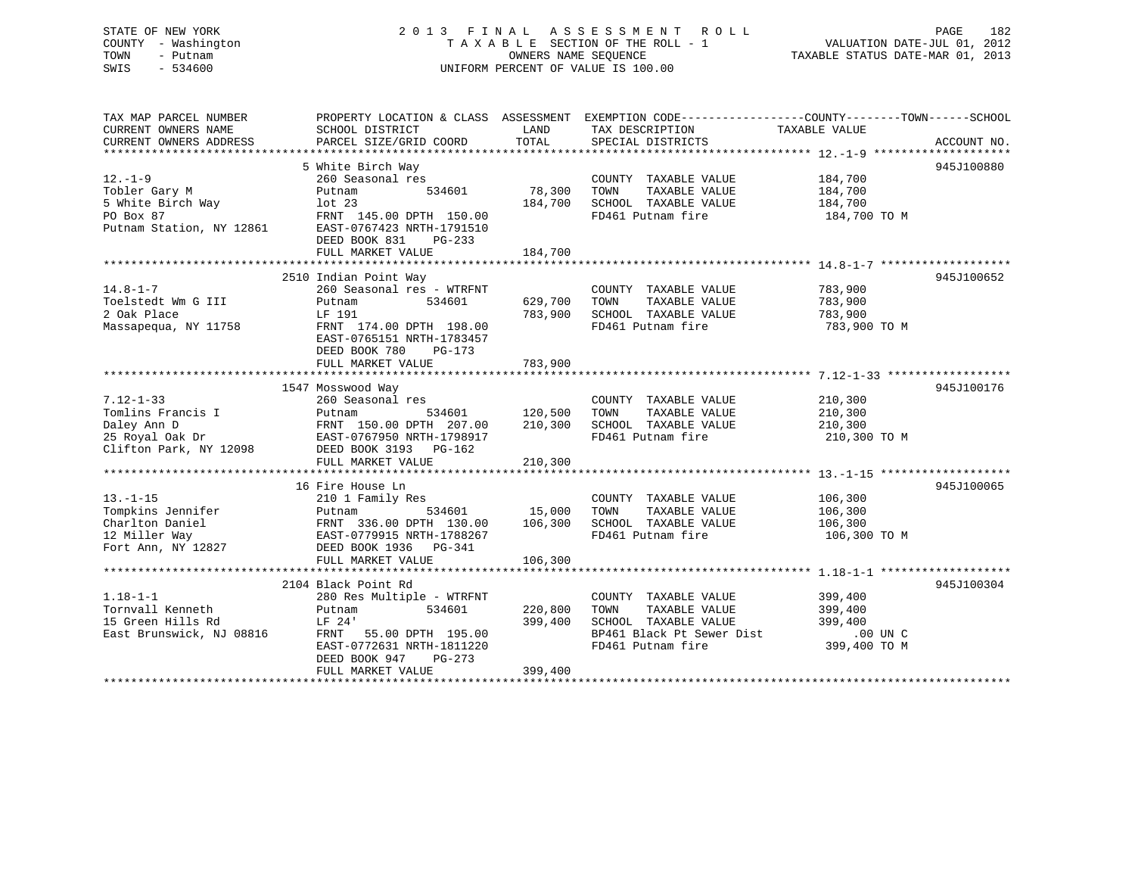# STATE OF NEW YORK 2 0 1 3 F I N A L A S S E S S M E N T R O L L PAGE 182 COUNTY - Washington T A X A B L E SECTION OF THE ROLL - 1 VALUATION DATE-JUL 01, 2012 TOWN - Putnam **CONNERS NAME SEQUENCE** TAXABLE STATUS DATE-MAR 01, 2013 SWIS - 534600 UNIFORM PERCENT OF VALUE IS 100.00

| TAX MAP PARCEL NUMBER<br>CURRENT OWNERS NAME<br>CURRENT OWNERS ADDRESS | SCHOOL DISTRICT<br>PARCEL SIZE/GRID COORD            | LAND<br>TOTAL | TAX DESCRIPTION<br>SPECIAL DISTRICTS          | PROPERTY LOCATION & CLASS ASSESSMENT EXEMPTION CODE----------------COUNTY-------TOWN------SCHOOL<br>TAXABLE VALUE | ACCOUNT NO. |
|------------------------------------------------------------------------|------------------------------------------------------|---------------|-----------------------------------------------|-------------------------------------------------------------------------------------------------------------------|-------------|
|                                                                        |                                                      |               |                                               |                                                                                                                   |             |
|                                                                        | 5 White Birch Way                                    |               |                                               |                                                                                                                   | 945J100880  |
| $12. - 1 - 9$                                                          | 260 Seasonal res                                     |               | COUNTY TAXABLE VALUE                          | 184,700                                                                                                           |             |
| Tobler Gary M                                                          | 534601<br>Putnam                                     | 78,300        | TAXABLE VALUE<br>TOWN                         | 184,700                                                                                                           |             |
| 5 White Birch Way                                                      | lot 23                                               | 184,700       | SCHOOL TAXABLE VALUE                          | 184,700                                                                                                           |             |
| PO Box 87                                                              | FRNT 145.00 DPTH 150.00                              |               | FD461 Putnam fire                             | 184,700 TO M                                                                                                      |             |
| Putnam Station, NY 12861                                               | EAST-0767423 NRTH-1791510                            |               |                                               |                                                                                                                   |             |
|                                                                        | DEED BOOK 831<br>$PG-233$                            |               |                                               |                                                                                                                   |             |
|                                                                        | FULL MARKET VALUE                                    | 184,700       |                                               |                                                                                                                   |             |
|                                                                        |                                                      |               |                                               |                                                                                                                   | 945J100652  |
| $14.8 - 1 - 7$                                                         | 2510 Indian Point Way<br>260 Seasonal res - WTRFNT   |               |                                               |                                                                                                                   |             |
| Toelstedt Wm G III                                                     | 534601<br>Putnam                                     | 629,700       | COUNTY TAXABLE VALUE<br>TOWN<br>TAXABLE VALUE | 783,900<br>783,900                                                                                                |             |
| 2 Oak Place                                                            | LF 191                                               | 783,900       | SCHOOL TAXABLE VALUE                          |                                                                                                                   |             |
|                                                                        |                                                      |               |                                               | 783,900                                                                                                           |             |
| Massapequa, NY 11758                                                   | FRNT 174.00 DPTH 198.00                              |               | FD461 Putnam fire                             | 783,900 TO M                                                                                                      |             |
|                                                                        | EAST-0765151 NRTH-1783457<br>DEED BOOK 780<br>PG-173 |               |                                               |                                                                                                                   |             |
|                                                                        | FULL MARKET VALUE                                    | 783,900       |                                               |                                                                                                                   |             |
|                                                                        |                                                      |               |                                               |                                                                                                                   |             |
|                                                                        | 1547 Mosswood Way                                    |               |                                               |                                                                                                                   | 945J100176  |
| $7.12 - 1 - 33$                                                        | 260 Seasonal res                                     |               | COUNTY TAXABLE VALUE                          | 210,300                                                                                                           |             |
| Tomlins Francis I                                                      | 534601<br>Putnam                                     | 120,500       | TOWN<br>TAXABLE VALUE                         | 210,300                                                                                                           |             |
| Daley Ann D                                                            | FRNT 150.00 DPTH 207.00                              | 210,300       | SCHOOL TAXABLE VALUE                          | 210,300                                                                                                           |             |
| 25 Royal Oak Dr                                                        | EAST-0767950 NRTH-1798917                            |               | FD461 Putnam fire                             | 210,300 TO M                                                                                                      |             |
| Clifton Park, NY 12098                                                 | DEED BOOK 3193 PG-162                                |               |                                               |                                                                                                                   |             |
|                                                                        | FULL MARKET VALUE                                    | 210,300       |                                               |                                                                                                                   |             |
|                                                                        |                                                      |               |                                               |                                                                                                                   |             |
|                                                                        | 16 Fire House Ln                                     |               |                                               |                                                                                                                   | 945J100065  |
| $13. - 1 - 15$                                                         | 210 1 Family Res                                     |               | COUNTY TAXABLE VALUE                          | 106,300                                                                                                           |             |
| Tompkins Jennifer                                                      | Putnam<br>534601                                     | 15,000        | TOWN<br>TAXABLE VALUE                         | 106,300                                                                                                           |             |
| Charlton Daniel                                                        | FRNT 336.00 DPTH 130.00                              | 106,300       | SCHOOL TAXABLE VALUE                          | 106,300                                                                                                           |             |
| 12 Miller Way                                                          | EAST-0779915 NRTH-1788267                            |               | FD461 Putnam fire                             | 106,300 TO M                                                                                                      |             |
| Fort Ann, NY 12827                                                     | DEED BOOK 1936 PG-341                                |               |                                               |                                                                                                                   |             |
|                                                                        | FULL MARKET VALUE                                    | 106,300       |                                               |                                                                                                                   |             |
|                                                                        |                                                      |               |                                               |                                                                                                                   |             |
|                                                                        | 2104 Black Point Rd                                  |               |                                               |                                                                                                                   | 945J100304  |
| $1.18 - 1 - 1$                                                         | 280 Res Multiple - WTRFNT                            |               | COUNTY TAXABLE VALUE                          | 399,400                                                                                                           |             |
| Tornvall Kenneth                                                       | 534601<br>Putnam                                     | 220,800       | TOWN<br>TAXABLE VALUE                         | 399,400                                                                                                           |             |
| 15 Green Hills Rd                                                      | LF 24'                                               | 399,400       | SCHOOL TAXABLE VALUE                          | 399,400                                                                                                           |             |
| East Brunswick, NJ 08816                                               | FRNT 55.00 DPTH 195.00                               |               | BP461 Black Pt Sewer Dist                     | $.00$ UN $C$                                                                                                      |             |
|                                                                        | EAST-0772631 NRTH-1811220                            |               | FD461 Putnam fire                             | 399,400 TO M                                                                                                      |             |
|                                                                        | DEED BOOK 947<br>PG-273                              |               |                                               |                                                                                                                   |             |
|                                                                        | FULL MARKET VALUE                                    | 399,400       |                                               |                                                                                                                   |             |
|                                                                        |                                                      |               |                                               |                                                                                                                   |             |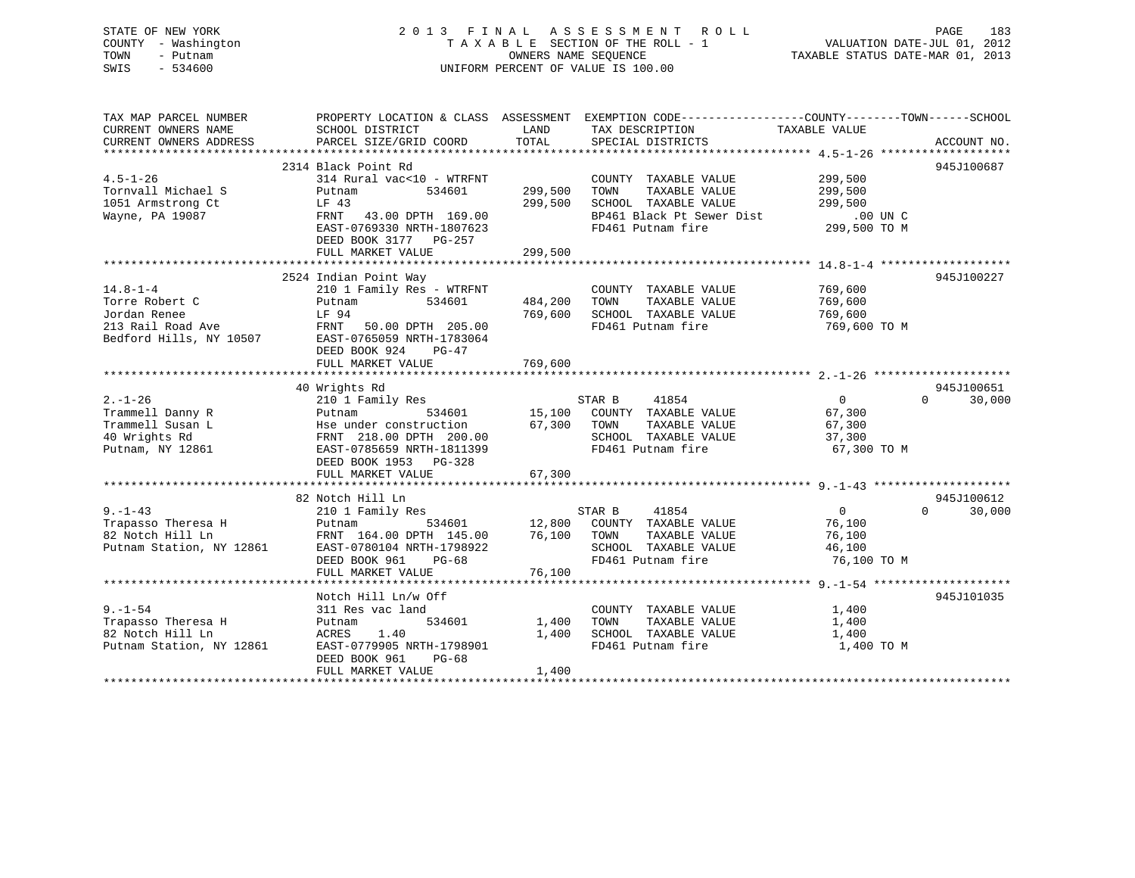# STATE OF NEW YORK 2 0 1 3 F I N A L A S S E S S M E N T R O L L PAGE 183 COUNTY - Washington T A X A B L E SECTION OF THE ROLL - 1 VALUATION DATE-JUL 01, 2012 TOWN - Putnam **CONNERS NAME SEQUENCE** TAXABLE STATUS DATE-MAR 01, 2013 SWIS - 534600 UNIFORM PERCENT OF VALUE IS 100.00

| TAX MAP PARCEL NUMBER    | PROPERTY LOCATION & CLASS ASSESSMENT EXEMPTION CODE----------------COUNTY-------TOWN------SCHOOL |               |                             |                |                             |
|--------------------------|--------------------------------------------------------------------------------------------------|---------------|-----------------------------|----------------|-----------------------------|
| CURRENT OWNERS NAME      | SCHOOL DISTRICT                                                                                  | LAND          | TAX DESCRIPTION             | TAXABLE VALUE  |                             |
| CURRENT OWNERS ADDRESS   | PARCEL SIZE/GRID COORD                                                                           | TOTAL         | SPECIAL DISTRICTS           |                | ACCOUNT NO.                 |
|                          |                                                                                                  |               |                             |                |                             |
|                          | 2314 Black Point Rd                                                                              |               |                             |                | 945J100687                  |
| $4.5 - 1 - 26$           | 314 Rural vac<10 - WTRFNT                                                                        |               | COUNTY TAXABLE VALUE        | 299,500        |                             |
| Tornvall Michael S       | Putnam<br>534601                                                                                 | 299,500       | TOWN<br>TAXABLE VALUE       | 299,500        |                             |
| 1051 Armstrong Ct        | LF 43                                                                                            | 299,500       | SCHOOL TAXABLE VALUE        | 299,500        |                             |
| Wayne, PA 19087          | FRNT 43.00 DPTH 169.00                                                                           |               | BP461 Black Pt Sewer Dist   | .00 UN C       |                             |
|                          | EAST-0769330 NRTH-1807623                                                                        |               | FD461 Putnam fire           | 299,500 TO M   |                             |
|                          | DEED BOOK 3177 PG-257                                                                            |               |                             |                |                             |
|                          |                                                                                                  |               |                             |                |                             |
|                          | FULL MARKET VALUE                                                                                | 299,500       |                             |                |                             |
|                          |                                                                                                  |               |                             |                |                             |
|                          | 2524 Indian Point Way                                                                            |               |                             |                | 945J100227                  |
| $14.8 - 1 - 4$           | 210 1 Family Res - WTRFNT                                                                        |               | COUNTY TAXABLE VALUE        | 769,600        |                             |
| Torre Robert C           | 534601<br>Putnam                                                                                 | 484,200       | TOWN<br>TAXABLE VALUE       | 769,600        |                             |
| Jordan Renee             | LF 94                                                                                            | 769,600       | SCHOOL TAXABLE VALUE        | 769,600        |                             |
| 213 Rail Road Ave        | FRNT 50.00 DPTH 205.00                                                                           |               | FD461 Putnam fire           | 769,600 TO M   |                             |
| Bedford Hills, NY 10507  | EAST-0765059 NRTH-1783064                                                                        |               |                             |                |                             |
|                          | DEED BOOK 924<br>$PG-47$                                                                         |               |                             |                |                             |
|                          | FULL MARKET VALUE                                                                                | 769,600       |                             |                |                             |
|                          |                                                                                                  |               |                             |                |                             |
|                          | 40 Wrights Rd                                                                                    |               |                             |                | 945J100651                  |
| $2. - 1 - 26$            | 210 1 Family Res                                                                                 |               | 41854<br>STAR B             | $\overline{0}$ | $\Omega$<br>30,000          |
| Trammell Danny R         | 534601<br>Putnam                                                                                 |               | 15,100 COUNTY TAXABLE VALUE | 67,300         |                             |
| Trammell Susan L         | Hse under construction                                                                           | 67,300        | TOWN<br>TAXABLE VALUE       | 67,300         |                             |
| 40 Wrights Rd            | FRNT 218.00 DPTH 200.00                                                                          |               | SCHOOL TAXABLE VALUE        | 37,300         |                             |
| Putnam, NY 12861         | EAST-0785659 NRTH-1811399                                                                        |               | FD461 Putnam fire           | 67,300 TO M    |                             |
|                          | DEED BOOK 1953 PG-328                                                                            |               |                             |                |                             |
|                          | FULL MARKET VALUE                                                                                | 67,300        |                             |                |                             |
|                          |                                                                                                  |               |                             |                |                             |
|                          | 82 Notch Hill Ln                                                                                 |               |                             |                | 945J100612                  |
| $9. - 1 - 43$            | 210 1 Family Res                                                                                 |               | 41854<br>STAR B             | $\overline{0}$ | $0 \qquad \qquad$<br>30,000 |
| Trapasso Theresa H       | Putnam                                                                                           | 534601 12,800 | COUNTY TAXABLE VALUE        | 76,100         |                             |
| 82 Notch Hill Ln         | FRNT 164.00 DPTH 145.00                                                                          | 76,100        | TOWN<br>TAXABLE VALUE       | 76,100         |                             |
| Putnam Station, NY 12861 | EAST-0780104 NRTH-1798922                                                                        |               | SCHOOL TAXABLE VALUE        | 46,100         |                             |
|                          | DEED BOOK 961<br>$PG-68$                                                                         |               | FD461 Putnam fire           | 76,100 TO M    |                             |
|                          |                                                                                                  | 76,100        |                             |                |                             |
|                          | FULL MARKET VALUE                                                                                |               |                             |                |                             |
|                          |                                                                                                  |               |                             |                |                             |
|                          | Notch Hill Ln/w Off                                                                              |               |                             |                | 945J101035                  |
| $9. - 1 - 54$            | 311 Res vac land                                                                                 |               | COUNTY TAXABLE VALUE        | 1,400          |                             |
| Trapasso Theresa H       | 534601<br>Putnam                                                                                 | 1,400         | TOWN<br>TAXABLE VALUE       | 1,400          |                             |
| 82 Notch Hill Ln         | ACRES<br>1.40                                                                                    | 1,400         | SCHOOL TAXABLE VALUE        | 1,400          |                             |
| Putnam Station, NY 12861 | EAST-0779905 NRTH-1798901                                                                        |               | FD461 Putnam fire           | 1,400 TO M     |                             |
|                          | DEED BOOK 961<br>$PG-68$                                                                         |               |                             |                |                             |
|                          | FULL MARKET VALUE                                                                                | 1,400         |                             |                |                             |
|                          |                                                                                                  |               |                             |                |                             |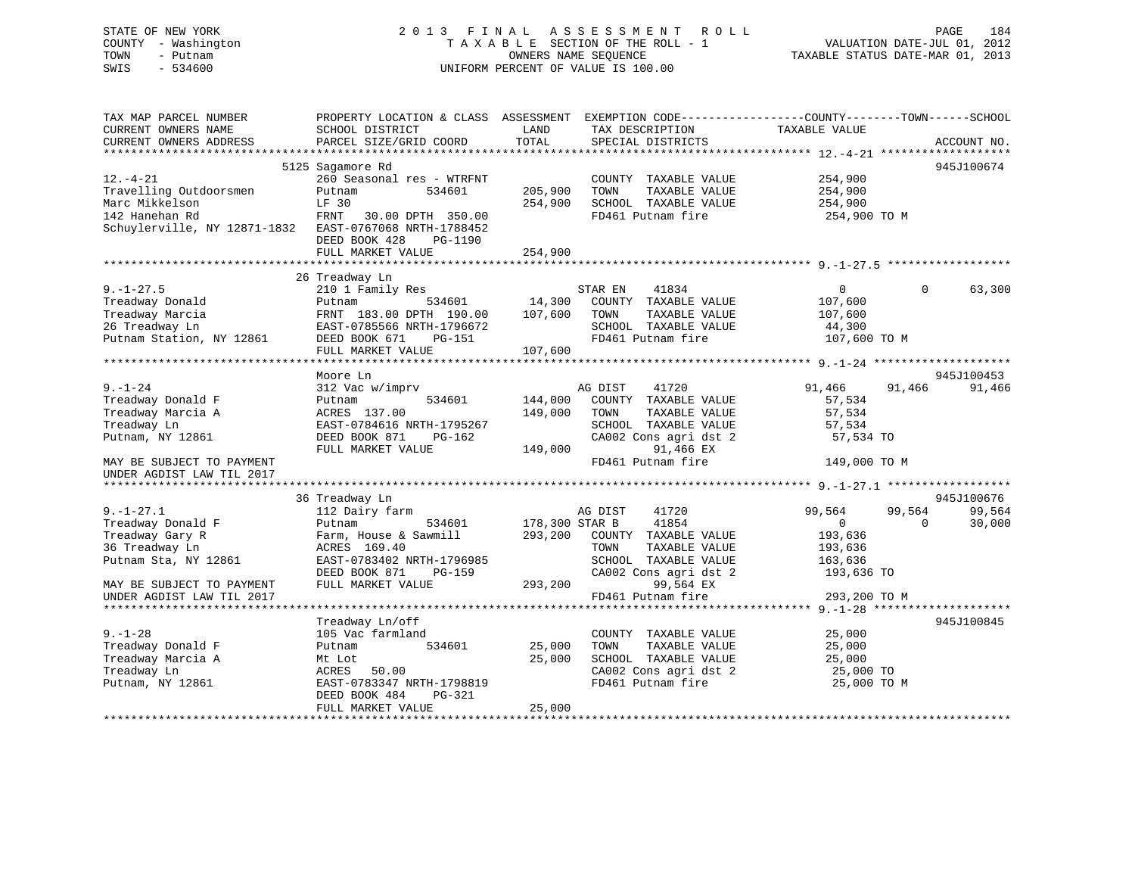STATE OF NEW YORK 2 0 1 3 F I N A L A S S E S S M E N T R O L L PAGE 184 COUNTY - Washington T A X A B L E SECTION OF THE ROLL - 1 VALUATION DATE-JUL 01, 2012 TOWN - Putnam OWNERS NAME SEQUENCE TAXABLE STATUS DATE-MAR 01, 2013 SWIS - 534600 UNIFORM PERCENT OF VALUE IS 100.00 TAX MAP PARCEL NUMBER PROPERTY LOCATION & CLASS ASSESSMENT EXEMPTION CODE------------------COUNTY--------TOWN------SCHOOL CURRENT OWNERS NAME SCHOOL DISTRICT THE LAND TAX DESCRIPTION TAXABLE VALUE CURRENT OWNERS ADDRESS PARCEL SIZE/GRID COORD TOTAL SPECIAL DISTRICTS ACCOUNT NO. \*\*\*\*\*\*\*\*\*\*\*\*\*\*\*\*\*\*\*\*\*\*\*\*\*\*\*\*\*\*\*\*\*\*\*\*\*\*\*\*\*\*\*\*\*\*\*\*\*\*\*\*\*\*\*\*\*\*\*\*\*\*\*\*\*\*\*\*\*\*\*\*\*\*\*\*\*\*\*\*\*\*\*\*\*\*\*\*\*\*\*\*\*\*\*\*\*\*\*\*\*\*\* 12.-4-21 \*\*\*\*\*\*\*\*\*\*\*\*\*\*\*\*\*\*\* 5125 Sagamore Rd 945J100674 12.-4-21 260 Seasonal res - WTRFNT COUNTY TAXABLE VALUE 254,900 Travelling Outdoorsmen Putnam 534601 205,900 TOWN TAXABLE VALUE 254,900 Marc Mikkelson LF 30 254,900 SCHOOL TAXABLE VALUE 254,900 142 Hanehan Rd FRNT 30.00 DPTH 350.00 FD461 Putnam fire 254,900 TO M Schuylerville, NY 12871-1832 EAST-0767068 NRTH-1788452 DEED BOOK 428 PG-1190FULL MARKET VALUE 254,900

|                           | 26 Treadway Ln                       |                                            |                                            |
|---------------------------|--------------------------------------|--------------------------------------------|--------------------------------------------|
| $9. - 1 - 27.5$           | 210 1 Family Res                     | STAR EN<br>41834                           | 63,300<br>$0 \qquad \qquad$<br>$\Omega$    |
| Treadway Donald           | Putnam                               | 534601 14,300 COUNTY TAXABLE VALUE 107,600 |                                            |
| Treadway Marcia           | FRNT 183.00 DPTH 190.00 107,600 TOWN | TAXABLE VALUE 107,600                      |                                            |
| 26 Treadway Ln            | EAST-0785566 NRTH-1796672            | SCHOOL TAXABLE VALUE 44,300                |                                            |
| Putnam Station, NY 12861  | DEED BOOK 671 PG-151                 | FD461 Putnam fire 107,600 TO M             |                                            |
|                           | FULL MARKET VALUE                    | 107,600                                    |                                            |
|                           |                                      |                                            |                                            |
|                           | Moore Ln                             |                                            | 945J100453                                 |
| $9. - 1 - 24$             | 312 Vac w/imprv                      | AG DIST<br>41720                           | 91,466<br>91,466<br>91,466                 |
| Treadway Donald F         | 534601 144,000<br>Putnam             | COUNTY TAXABLE VALUE                       | 57,534                                     |
| Treadway Marcia A         | ACRES 137.00                         | 149,000<br>TOWN<br>TAXABLE VALUE           | 57,534                                     |
| Treadway Ln               | EAST-0784616 NRTH-1795267            | SCHOOL TAXABLE VALUE                       | 57,534                                     |
| Putnam, NY 12861          | DEED BOOK 871 PG-162                 | CA002 Cons agri dst 2                      | 57,534 TO                                  |
|                           | FULL MARKET VALUE                    | 149,000<br>91,466 EX                       |                                            |
| MAY BE SUBJECT TO PAYMENT |                                      | FD461 Putnam fire                          | 149,000 TO M                               |
| UNDER AGDIST LAW TIL 2017 |                                      |                                            |                                            |
|                           |                                      |                                            |                                            |
|                           | 36 Treadway Ln                       |                                            | 945J100676                                 |
| $9. - 1 - 27.1$           | 112 Dairy farm                       | AG DIST<br>41720                           | 99,564<br>99,564<br>99,564                 |
| Treadway Donald F         | Putnam                               | 534601 178,300 STAR B 41854                | $\overline{0}$<br>30,000<br>$\overline{0}$ |
| Treadway Gary R           | Farm, House & Sawmill                | 293,200 COUNTY TAXABLE VALUE               | 193,636                                    |
| 36 Treadway Ln            | ACRES 169.40                         | TOWN<br>TAXABLE VALUE                      | 193,636                                    |
| Putnam Sta, NY 12861      | EAST-0783402 NRTH-1796985            | SCHOOL TAXABLE VALUE                       | 163,636                                    |
|                           | DEED BOOK 871<br>PG-159              | CA002 Cons agri dst 2                      | 193,636 TO                                 |
| MAY BE SUBJECT TO PAYMENT | FULL MARKET VALUE                    | 293,200<br>99,564 EX                       |                                            |
| UNDER AGDIST LAW TIL 2017 |                                      | FD461 Putnam fire                          | 293,200 TO M                               |
|                           |                                      |                                            |                                            |
|                           | Treadway Ln/off                      |                                            | 945J100845                                 |
| $9. - 1 - 28$             | 105 Vac farmland                     | COUNTY TAXABLE VALUE                       | 25,000                                     |
| Treadway Donald F         | 534601 25,000<br>Putnam              | TAXABLE VALUE<br>TOWN                      | 25,000                                     |
| Treadway Marcia A         | Mt Lot                               | 25,000<br>SCHOOL TAXABLE VALUE             | 25,000                                     |
| Treadway Ln               | ACRES 50.00                          | CA002 Cons agri dst 2                      | лица и 25,000 то                           |
| Putnam, NY 12861          | EAST-0783347 NRTH-1798819            | FD461 Putnam fire                          | 25,000 TO M                                |
|                           | DEED BOOK 484<br>$PG-321$            |                                            |                                            |
|                           | FULL MARKET VALUE                    | 25,000                                     |                                            |
|                           |                                      |                                            |                                            |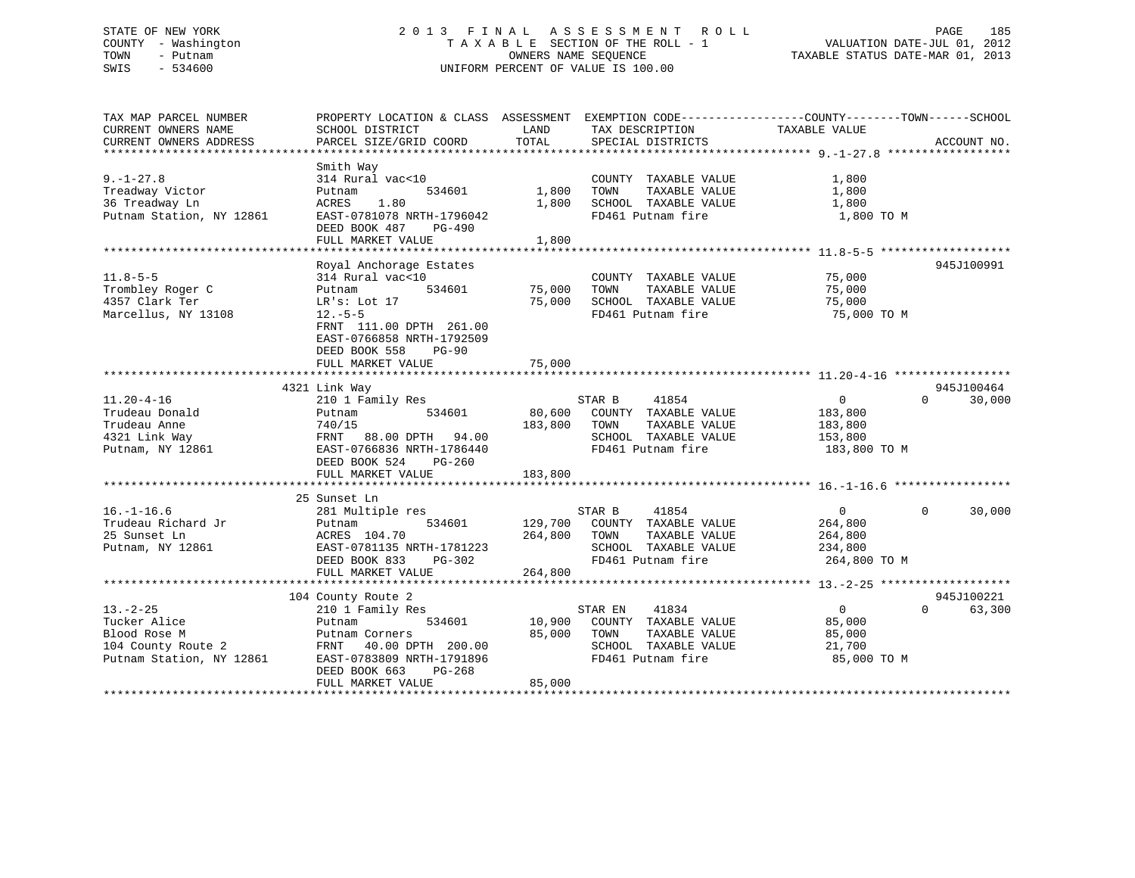# STATE OF NEW YORK 2 0 1 3 F I N A L A S S E S S M E N T R O L L PAGE 185 COUNTY - Washington T A X A B L E SECTION OF THE ROLL - 1 VALUATION DATE-JUL 01, 2012 TOWN - Putnam OWNERS NAME SEQUENCE TAXABLE STATUS DATE-MAR 01, 2013 SWIS - 534600 UNIFORM PERCENT OF VALUE IS 100.00

| TAX MAP PARCEL NUMBER<br>CURRENT OWNERS NAME<br>CURRENT OWNERS ADDRESS                                         | PROPERTY LOCATION & CLASS ASSESSMENT EXEMPTION CODE----------------COUNTY-------TOWN------SCHOOL<br>SCHOOL DISTRICT<br>PARCEL SIZE/GRID COORD                                                              | LAND<br>TOTAL              | TAX DESCRIPTION<br>SPECIAL DISTRICTS                                                                                  | TAXABLE VALUE                                                      | ACCOUNT NO.                      |
|----------------------------------------------------------------------------------------------------------------|------------------------------------------------------------------------------------------------------------------------------------------------------------------------------------------------------------|----------------------------|-----------------------------------------------------------------------------------------------------------------------|--------------------------------------------------------------------|----------------------------------|
| $9. - 1 - 27.8$<br>Treadway Victor<br>36 Treadway Ln<br>Putnam Station, NY 12861                               | Smith Way<br>314 Rural vac<10<br>534601<br>Putnam<br>1.80<br>ACRES<br>EAST-0781078 NRTH-1796042<br>DEED BOOK 487<br>PG-490<br>FULL MARKET VALUE                                                            | 1,800<br>1,800<br>1,800    | COUNTY TAXABLE VALUE<br>TOWN<br>TAXABLE VALUE<br>SCHOOL TAXABLE VALUE<br>FD461 Putnam fire                            | 1,800<br>1,800<br>1,800<br>1,800 TO M                              |                                  |
| $11.8 - 5 - 5$<br>Trombley Roger C<br>4357 Clark Ter<br>Marcellus, NY 13108                                    | Royal Anchorage Estates<br>314 Rural vac<10<br>534601<br>Putnam<br>LR's: Lot 17<br>$12.-5-5$<br>FRNT 111.00 DPTH 261.00<br>EAST-0766858 NRTH-1792509<br>DEED BOOK 558<br><b>PG-90</b><br>FULL MARKET VALUE | 75,000<br>75,000<br>75,000 | COUNTY TAXABLE VALUE<br>TAXABLE VALUE<br>TOWN<br>SCHOOL TAXABLE VALUE<br>FD461 Putnam fire                            | 75,000<br>75,000<br>75,000<br>75,000 TO M                          | 945J100991                       |
| $11.20 - 4 - 16$<br>Trudeau Donald<br>Trudeau Anne<br>4321 Link Way<br>Putnam, NY 12861                        | 4321 Link Way<br>210 1 Family Res<br>534601<br>Putnam<br>740/15<br>FRNT 88.00 DPTH 94.00<br>EAST-0766836 NRTH-1786440<br>DEED BOOK 524<br>PG-260<br>FULL MARKET VALUE                                      | 183,800<br>183,800         | STAR B<br>41854<br>80,600 COUNTY TAXABLE VALUE<br>TOWN<br>TAXABLE VALUE<br>SCHOOL TAXABLE VALUE<br>FD461 Putnam fire  | $0 \qquad \qquad$<br>183,800<br>183,800<br>153,800<br>183,800 TO M | 945J100464<br>30,000<br>$\Omega$ |
| $16. - 1 - 16.6$<br>Trudeau Richard Jr<br>25 Sunset Ln<br>Putnam, NY 12861                                     | 25 Sunset Ln<br>281 Multiple res<br>534601<br>Putnam<br>ACRES 104.70<br>EAST-0781135 NRTH-1781223<br>DEED BOOK 833<br>PG-302<br>FULL MARKET VALUE                                                          | 264,800<br>264,800         | STAR B<br>41854<br>129,700 COUNTY TAXABLE VALUE<br>TAXABLE VALUE<br>TOWN<br>SCHOOL TAXABLE VALUE<br>FD461 Putnam fire | $\overline{0}$<br>264,800<br>264,800<br>234,800<br>264,800 TO M    | $\Omega$<br>30,000               |
| $13. - 2 - 25$<br>Tucker Alice<br>Blood Rose M<br>Blood Ruse<br>104 County Route 2<br>Putnam Station, NY 12861 | 104 County Route 2<br>210 1 Family Res<br>Putnam<br>534601<br>Putnam Corners<br>FRNT 40.00 DPTH 200.00<br>EAST-0783809 NRTH-1791896<br>DEED BOOK 663<br>PG-268<br>FULL MARKET VALUE                        | 10,900<br>85,000<br>85,000 | 41834<br>STAR EN<br>COUNTY TAXABLE VALUE<br>TAXABLE VALUE<br>TOWN<br>SCHOOL TAXABLE VALUE<br>FD461 Putnam fire        | $\overline{0}$<br>85,000<br>85,000<br>21,700<br>85,000 TO M        | 945J100221<br>$\Omega$<br>63,300 |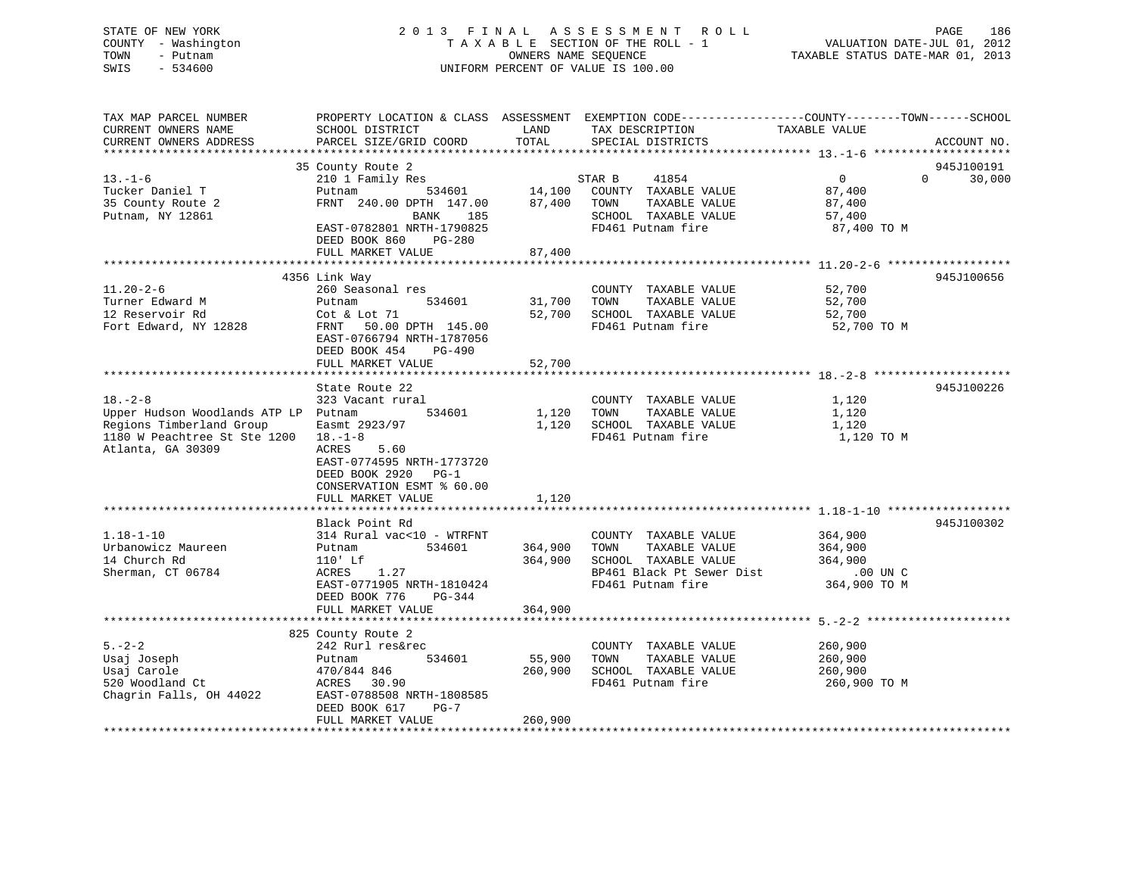# STATE OF NEW YORK 2 0 1 3 F I N A L A S S E S S M E N T R O L L PAGE 186 COUNTY - Washington T A X A B L E SECTION OF THE ROLL - 1 VALUATION DATE-JUL 01, 2012 TOWN - Putnam **CONNERS NAME SEQUENCE** TAXABLE STATUS DATE-MAR 01, 2013 SWIS - 534600 UNIFORM PERCENT OF VALUE IS 100.00

| TAX MAP PARCEL NUMBER<br>CURRENT OWNERS NAME<br>CURRENT OWNERS ADDRESS                                                                 | PROPERTY LOCATION & CLASS ASSESSMENT EXEMPTION CODE---------------COUNTY-------TOWN------SCHOOL<br>SCHOOL DISTRICT<br>PARCEL SIZE/GRID COORD | LAND<br>TOTAL      | TAX DESCRIPTION<br>SPECIAL DISTRICTS                                                                                    | TAXABLE VALUE                                                           | ACCOUNT NO.          |
|----------------------------------------------------------------------------------------------------------------------------------------|----------------------------------------------------------------------------------------------------------------------------------------------|--------------------|-------------------------------------------------------------------------------------------------------------------------|-------------------------------------------------------------------------|----------------------|
|                                                                                                                                        |                                                                                                                                              |                    |                                                                                                                         |                                                                         |                      |
| $13. - 1 - 6$<br>Tucker Daniel T<br>35 County Route 2<br>Putnam, NY 12861                                                              | 35 County Route 2<br>210 1 Family Res<br>Putnam<br>534601<br>FRNT 240.00 DPTH 147.00<br>BANK<br>185<br>EAST-0782801 NRTH-1790825             | 14,100<br>87,400   | STAR B<br>41854<br>COUNTY TAXABLE VALUE<br>TOWN<br>TAXABLE VALUE<br>SCHOOL TAXABLE VALUE<br>FD461 Putnam fire           | $\Omega$<br>$\overline{0}$<br>87,400<br>87,400<br>57,400<br>87,400 TO M | 945J100191<br>30,000 |
|                                                                                                                                        | DEED BOOK 860<br>PG-280                                                                                                                      |                    |                                                                                                                         |                                                                         |                      |
|                                                                                                                                        | FULL MARKET VALUE                                                                                                                            | 87,400             |                                                                                                                         |                                                                         |                      |
|                                                                                                                                        | 4356 Link Way                                                                                                                                |                    |                                                                                                                         |                                                                         | 945J100656           |
| $11.20 - 2 - 6$<br>Turner Edward M<br>12 Reservoir Rd<br>Fort Edward, NY 12828                                                         | 260 Seasonal res<br>534601<br>Putnam<br>Cot & Lot 71<br>FRNT 50.00 DPTH 145.00<br>EAST-0766794 NRTH-1787056<br>DEED BOOK 454<br>PG-490       | 31,700<br>52,700   | COUNTY TAXABLE VALUE<br>TOWN<br>TAXABLE VALUE<br>SCHOOL TAXABLE VALUE<br>FD461 Putnam fire                              | 52,700<br>52,700<br>52,700<br>52,700 TO M                               |                      |
|                                                                                                                                        | FULL MARKET VALUE                                                                                                                            | 52,700             |                                                                                                                         |                                                                         |                      |
| $18. - 2 - 8$<br>Upper Hudson Woodlands ATP LP Putnam<br>Regions Timberland Group<br>1180 W Peachtree St Ste 1200<br>Atlanta, GA 30309 | State Route 22<br>323 Vacant rural<br>534601<br>Easmt 2923/97<br>$18. - 1 - 8$<br><b>ACRES</b><br>5.60                                       | 1,120<br>1,120     | COUNTY TAXABLE VALUE<br>TAXABLE VALUE<br>TOWN<br>SCHOOL TAXABLE VALUE<br>FD461 Putnam fire                              | 1,120<br>1,120<br>1,120<br>1,120 TO M                                   | 945J100226           |
|                                                                                                                                        | EAST-0774595 NRTH-1773720<br>DEED BOOK 2920 PG-1<br>CONSERVATION ESMT % 60.00<br>FULL MARKET VALUE                                           | 1,120              |                                                                                                                         |                                                                         |                      |
|                                                                                                                                        | Black Point Rd                                                                                                                               |                    |                                                                                                                         |                                                                         | 945J100302           |
| $1.18 - 1 - 10$<br>Urbanowicz Maureen<br>14 Church Rd<br>Sherman, CT 06784                                                             | 314 Rural vac<10 - WTRFNT<br>534601<br>Putnam<br>$110'$ Lf<br>1.27<br>ACRES<br>EAST-0771905 NRTH-1810424                                     | 364,900<br>364,900 | COUNTY TAXABLE VALUE<br>TOWN<br>TAXABLE VALUE<br>SCHOOL TAXABLE VALUE<br>BP461 Black Pt Sewer Dist<br>FD461 Putnam fire | 364,900<br>364,900<br>364,900<br>.00 UN C<br>364,900 TO M               |                      |
|                                                                                                                                        | DEED BOOK 776<br>PG-344<br>FULL MARKET VALUE                                                                                                 | 364,900            |                                                                                                                         |                                                                         |                      |
|                                                                                                                                        |                                                                                                                                              |                    |                                                                                                                         |                                                                         |                      |
| $5. - 2 - 2$<br>Usaj Joseph<br>Usaj Carole<br>520 Woodland Ct<br>Chagrin Falls, OH 44022                                               | 825 County Route 2<br>242 Rurl res&rec<br>534601<br>Putnam<br>470/844 846<br>ACRES<br>30.90<br>EAST-0788508 NRTH-1808585                     | 55,900<br>260,900  | COUNTY TAXABLE VALUE<br>TOWN<br>TAXABLE VALUE<br>SCHOOL TAXABLE VALUE<br>FD461 Putnam fire                              | 260,900<br>260,900<br>260,900<br>260,900 TO M                           |                      |
|                                                                                                                                        | DEED BOOK 617<br>$PG-7$<br>FULL MARKET VALUE                                                                                                 | 260,900            |                                                                                                                         |                                                                         |                      |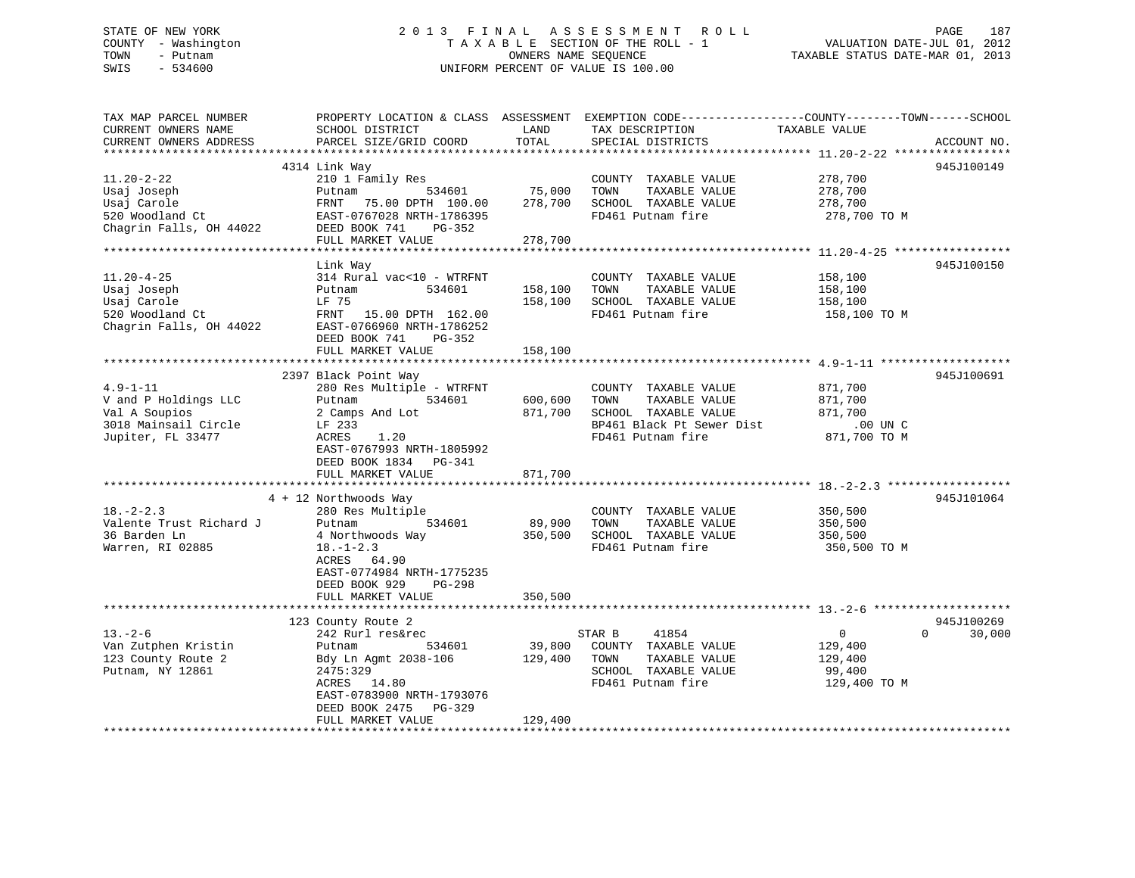# STATE OF NEW YORK 2 0 1 3 F I N A L A S S E S S M E N T R O L L PAGE 187 COUNTY - Washington T A X A B L E SECTION OF THE ROLL - 1 VALUATION DATE-JUL 01, 2012 TOWN - Putnam **CONNERS NAME SEQUENCE** TAXABLE STATUS DATE-MAR 01, 2013 SWIS - 534600 UNIFORM PERCENT OF VALUE IS 100.00

| TAX MAP PARCEL NUMBER<br>CURRENT OWNERS NAME<br>CURRENT OWNERS ADDRESS                               | PROPERTY LOCATION & CLASS ASSESSMENT<br>SCHOOL DISTRICT<br>PARCEL SIZE/GRID COORD                                                                                                                   | LAND<br>TOTAL                 | TAX DESCRIPTION<br>SPECIAL DISTRICTS                                                                                    | EXEMPTION CODE-----------------COUNTY-------TOWN------SCHOOL<br>TAXABLE VALUE<br>ACCOUNT NO. |  |
|------------------------------------------------------------------------------------------------------|-----------------------------------------------------------------------------------------------------------------------------------------------------------------------------------------------------|-------------------------------|-------------------------------------------------------------------------------------------------------------------------|----------------------------------------------------------------------------------------------|--|
|                                                                                                      |                                                                                                                                                                                                     |                               |                                                                                                                         |                                                                                              |  |
| $11.20 - 2 - 22$<br>Usaj Joseph<br>Usaj Carole<br>520 Woodland Ct<br>Chagrin Falls, OH 44022         | 4314 Link Way<br>210 1 Family Res<br>534601<br>Putnam<br>FRNT<br>75.00 DPTH 100.00<br>EAST-0767028 NRTH-1786395<br>DEED BOOK 741<br>PG-352                                                          | 75,000<br>278,700             | COUNTY TAXABLE VALUE<br>TOWN<br>TAXABLE VALUE<br>SCHOOL TAXABLE VALUE<br>FD461 Putnam fire                              | 945J100149<br>278,700<br>278,700<br>278,700<br>278,700 TO M                                  |  |
|                                                                                                      | FULL MARKET VALUE                                                                                                                                                                                   | 278,700                       |                                                                                                                         |                                                                                              |  |
|                                                                                                      | ************************                                                                                                                                                                            | **********                    |                                                                                                                         | ********************* 11.20-4-25 ******************                                          |  |
| $11.20 - 4 - 25$<br>Usaj Joseph<br>Usaj Carole<br>520 Woodland Ct<br>Chagrin Falls, OH 44022         | Link Way<br>314 Rural vac<10 - WTRFNT<br>534601<br>Putnam<br>LF 75<br>FRNT<br>15.00 DPTH 162.00<br>EAST-0766960 NRTH-1786252<br>DEED BOOK 741<br>$PG-352$<br>FULL MARKET VALUE                      | 158,100<br>158,100<br>158,100 | COUNTY TAXABLE VALUE<br>TOWN<br>TAXABLE VALUE<br>SCHOOL TAXABLE VALUE<br>FD461 Putnam fire                              | 945J100150<br>158,100<br>158,100<br>158,100<br>158,100 TO M                                  |  |
|                                                                                                      |                                                                                                                                                                                                     |                               |                                                                                                                         |                                                                                              |  |
| $4.9 - 1 - 11$<br>V and P Holdings LLC<br>Val A Soupios<br>3018 Mainsail Circle<br>Jupiter, FL 33477 | 2397 Black Point Way<br>280 Res Multiple - WTRFNT<br>Putnam<br>534601<br>2 Camps And Lot<br>LF 233<br>ACRES<br>1.20<br>EAST-0767993 NRTH-1805992<br>DEED BOOK 1834<br>$PG-341$<br>FULL MARKET VALUE | 600,600<br>871,700<br>871,700 | COUNTY TAXABLE VALUE<br>TOWN<br>TAXABLE VALUE<br>SCHOOL TAXABLE VALUE<br>BP461 Black Pt Sewer Dist<br>FD461 Putnam fire | 945J100691<br>871,700<br>871,700<br>871,700<br>.00 UN C<br>871,700 TO M                      |  |
|                                                                                                      | 4 + 12 Northwoods Way                                                                                                                                                                               |                               |                                                                                                                         | 945J101064                                                                                   |  |
| $18. - 2 - 2.3$<br>Valente Trust Richard J<br>36 Barden Ln<br>Warren, RI 02885                       | 280 Res Multiple<br>Putnam<br>534601<br>4 Northwoods Way<br>$18. - 1 - 2.3$<br>64.90<br>ACRES<br>EAST-0774984 NRTH-1775235<br>DEED BOOK 929<br>$PG-298$                                             | 89,900<br>350,500             | COUNTY TAXABLE VALUE<br>TAXABLE VALUE<br>TOWN<br>SCHOOL TAXABLE VALUE<br>FD461 Putnam fire                              | 350,500<br>350,500<br>350,500<br>350,500 TO M                                                |  |
|                                                                                                      | FULL MARKET VALUE                                                                                                                                                                                   | 350,500                       |                                                                                                                         |                                                                                              |  |
| $13. - 2 - 6$<br>Van Zutphen Kristin<br>123 County Route 2<br>Putnam, NY 12861                       | 123 County Route 2<br>242 Rurl res&rec<br>534601<br>Putnam<br>Bdy Ln Agmt 2038-106<br>2475:329<br>ACRES 14.80<br>EAST-0783900 NRTH-1793076                                                          | 39,800<br>129,400             | STAR B<br>41854<br>COUNTY TAXABLE VALUE<br>TOWN<br>TAXABLE VALUE<br>SCHOOL TAXABLE VALUE<br>FD461 Putnam fire           | 945J100269<br>0<br>$\Omega$<br>30,000<br>129,400<br>129,400<br>99,400<br>129,400 TO M        |  |
|                                                                                                      | DEED BOOK 2475<br>$PG-329$<br>FULL MARKET VALUE                                                                                                                                                     | 129,400                       |                                                                                                                         |                                                                                              |  |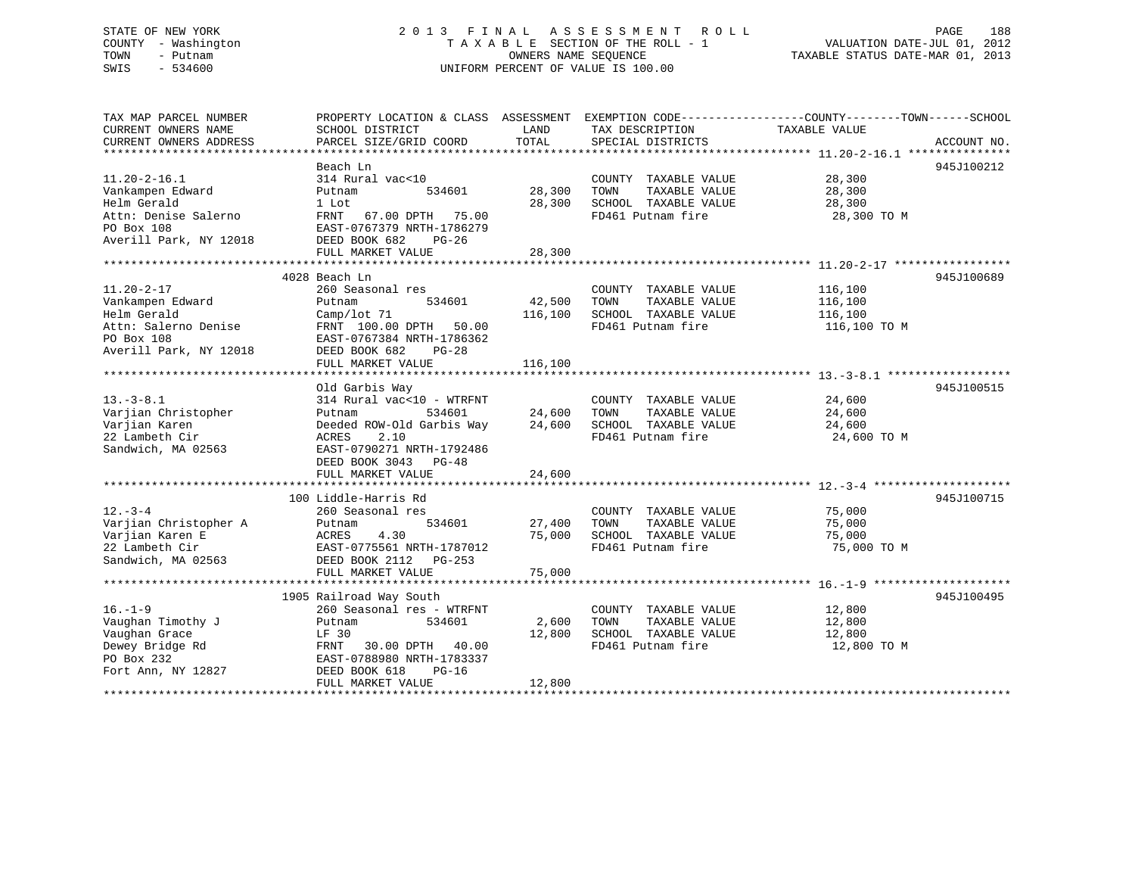# STATE OF NEW YORK 2 0 1 3 F I N A L A S S E S S M E N T R O L L PAGE 188 COUNTY - Washington T A X A B L E SECTION OF THE ROLL - 1 VALUATION DATE-JUL 01, 2012 TOWN - Putnam OWNERS NAME SEQUENCE TAXABLE STATUS DATE-MAR 01, 2013 SWIS - 534600 UNIFORM PERCENT OF VALUE IS 100.00

| TAX MAP PARCEL NUMBER  | PROPERTY LOCATION & CLASS ASSESSMENT |         | EXEMPTION CODE-----------------COUNTY-------TOWN------SCHOOL |               |             |
|------------------------|--------------------------------------|---------|--------------------------------------------------------------|---------------|-------------|
| CURRENT OWNERS NAME    | SCHOOL DISTRICT                      | LAND    | TAX DESCRIPTION                                              | TAXABLE VALUE |             |
| CURRENT OWNERS ADDRESS | PARCEL SIZE/GRID COORD               | TOTAL   | SPECIAL DISTRICTS                                            |               | ACCOUNT NO. |
|                        |                                      |         |                                                              |               |             |
|                        | Beach Ln                             |         |                                                              |               | 945J100212  |
| $11.20 - 2 - 16.1$     | 314 Rural vac<10                     |         | COUNTY TAXABLE VALUE                                         | 28,300        |             |
| Vankampen Edward       | 534601<br>Putnam                     | 28,300  | TOWN<br>TAXABLE VALUE                                        | 28,300        |             |
| Helm Gerald            | 1 Lot                                | 28,300  | SCHOOL TAXABLE VALUE                                         | 28,300        |             |
| Attn: Denise Salerno   | FRNT 67.00 DPTH 75.00                |         | FD461 Putnam fire                                            | 28,300 TO M   |             |
| PO Box 108             | EAST-0767379 NRTH-1786279            |         |                                                              |               |             |
| Averill Park, NY 12018 | DEED BOOK 682<br>PG-26               |         |                                                              |               |             |
|                        | FULL MARKET VALUE                    | 28,300  |                                                              |               |             |
|                        |                                      |         |                                                              |               |             |
|                        | 4028 Beach Ln                        |         |                                                              |               | 945J100689  |
| $11.20 - 2 - 17$       | 260 Seasonal res                     |         | COUNTY TAXABLE VALUE                                         | 116,100       |             |
| Vankampen Edward       | 534601<br>Putnam                     | 42,500  | TOWN<br>TAXABLE VALUE                                        | 116,100       |             |
| Helm Gerald            | Camp/lot 71                          | 116,100 | SCHOOL TAXABLE VALUE                                         | 116,100       |             |
| Attn: Salerno Denise   | 50.00<br>FRNT 100.00 DPTH            |         | FD461 Putnam fire                                            | 116,100 TO M  |             |
| PO Box 108             | EAST-0767384 NRTH-1786362            |         |                                                              |               |             |
| Averill Park, NY 12018 | DEED BOOK 682<br>$PG-28$             |         |                                                              |               |             |
|                        | FULL MARKET VALUE                    | 116,100 |                                                              |               |             |
|                        |                                      |         |                                                              |               |             |
|                        | Old Garbis Way                       |         |                                                              |               | 945J100515  |
| $13. - 3 - 8.1$        | 314 Rural vac<10 - WTRFNT            |         | COUNTY TAXABLE VALUE                                         | 24,600        |             |
| Varjian Christopher    | 534601<br>Putnam                     | 24,600  | TAXABLE VALUE<br>TOWN                                        | 24,600        |             |
| Varjian Karen          | Deeded ROW-Old Garbis Way            | 24,600  | SCHOOL TAXABLE VALUE                                         | 24,600        |             |
| 22 Lambeth Cir         | 2.10<br>ACRES                        |         | FD461 Putnam fire                                            | 24,600 TO M   |             |
| Sandwich, MA 02563     | EAST-0790271 NRTH-1792486            |         |                                                              |               |             |
|                        | DEED BOOK 3043<br>$PG-48$            |         |                                                              |               |             |
|                        | FULL MARKET VALUE                    | 24,600  |                                                              |               |             |
|                        |                                      |         |                                                              |               |             |
|                        | 100 Liddle-Harris Rd                 |         |                                                              |               | 945J100715  |
| $12. - 3 - 4$          | 260 Seasonal res                     |         | COUNTY TAXABLE VALUE                                         | 75,000        |             |
| Varjian Christopher A  | 534601<br>Putnam                     | 27,400  | TAXABLE VALUE<br>TOWN                                        | 75,000        |             |
| Varjian Karen E        | ACRES<br>4.30                        | 75,000  | SCHOOL TAXABLE VALUE                                         | 75,000        |             |
| 22 Lambeth Cir         | EAST-0775561 NRTH-1787012            |         | FD461 Putnam fire                                            | 75,000 TO M   |             |
| Sandwich, MA 02563     | DEED BOOK 2112 PG-253                |         |                                                              |               |             |
|                        | FULL MARKET VALUE                    | 75,000  |                                                              |               |             |
|                        |                                      |         |                                                              |               |             |
|                        | 1905 Railroad Way South              |         |                                                              |               | 945J100495  |
| $16. - 1 - 9$          | 260 Seasonal res - WTRFNT            |         | COUNTY TAXABLE VALUE                                         | 12,800        |             |
| Vaughan Timothy J      | 534601<br>Putnam                     | 2,600   | TAXABLE VALUE<br>TOWN                                        | 12,800        |             |
| Vaughan Grace          | LF 30                                | 12,800  | SCHOOL TAXABLE VALUE                                         | 12,800        |             |
| Dewey Bridge Rd        | 30.00 DPTH 40.00<br>FRNT             |         | FD461 Putnam fire                                            | 12,800 TO M   |             |
| PO Box 232             | EAST-0788980 NRTH-1783337            |         |                                                              |               |             |
| Fort Ann, NY 12827     | DEED BOOK 618<br>$PG-16$             |         |                                                              |               |             |
|                        | FULL MARKET VALUE                    | 12,800  |                                                              |               |             |
|                        |                                      |         |                                                              |               |             |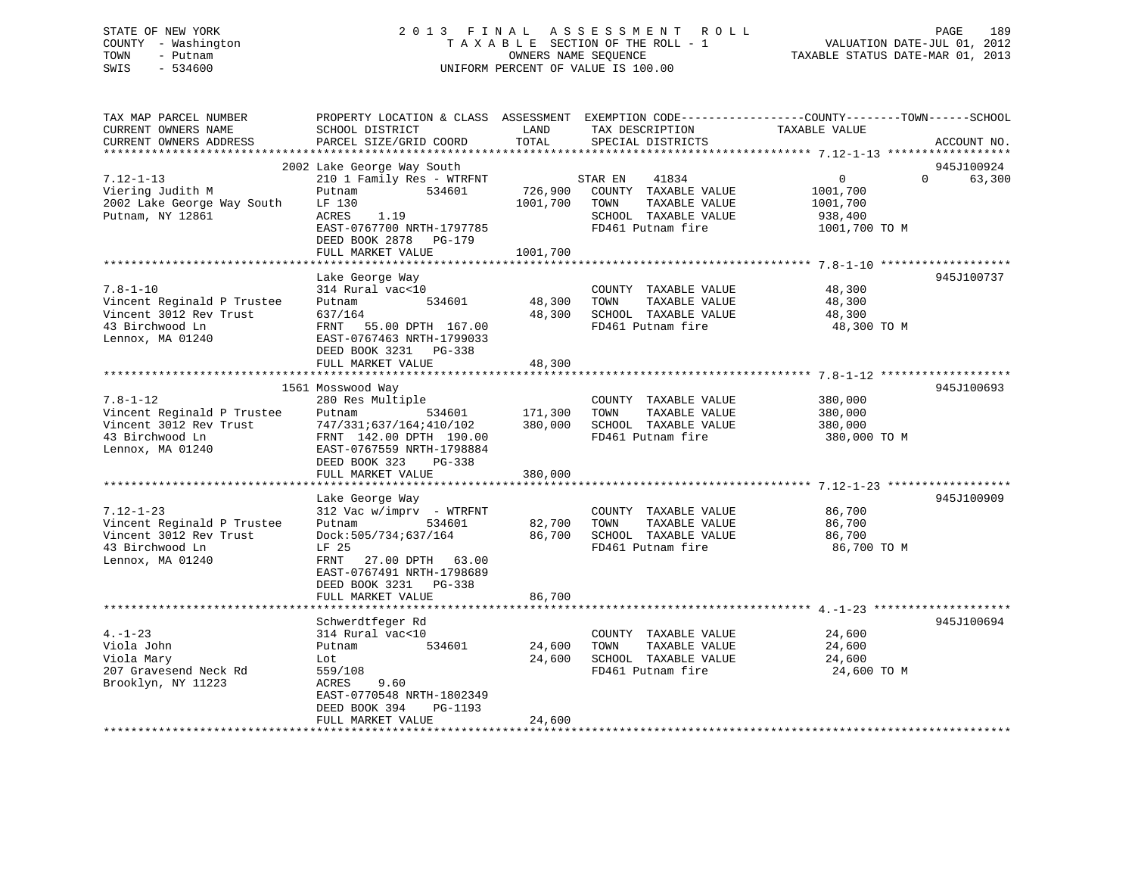# STATE OF NEW YORK 2 0 1 3 F I N A L A S S E S S M E N T R O L L PAGE 189 COUNTY - Washington T A X A B L E SECTION OF THE ROLL - 1 VALUATION DATE-JUL 01, 2012 TOWN - Putnam **CONNERS NAME SEQUENCE** TAXABLE STATUS DATE-MAR 01, 2013 SWIS - 534600 UNIFORM PERCENT OF VALUE IS 100.00

| TAX MAP PARCEL NUMBER<br>CURRENT OWNERS NAME                                                                   | PROPERTY LOCATION & CLASS ASSESSMENT<br>SCHOOL DISTRICT                                                                                                                                        | LAND                          | TAX DESCRIPTION                                                                                                | EXEMPTION CODE-----------------COUNTY-------TOWN------SCHOOL<br>TAXABLE VALUE  |             |
|----------------------------------------------------------------------------------------------------------------|------------------------------------------------------------------------------------------------------------------------------------------------------------------------------------------------|-------------------------------|----------------------------------------------------------------------------------------------------------------|--------------------------------------------------------------------------------|-------------|
| CURRENT OWNERS ADDRESS<br>*************************                                                            | PARCEL SIZE/GRID COORD<br>************************                                                                                                                                             | TOTAL                         | SPECIAL DISTRICTS                                                                                              |                                                                                | ACCOUNT NO. |
|                                                                                                                | 2002 Lake George Way South                                                                                                                                                                     |                               |                                                                                                                |                                                                                | 945J100924  |
| $7.12 - 1 - 13$<br>Viering Judith M<br>2002 Lake George Way South<br>Putnam, NY 12861                          | 210 1 Family Res - WTRFNT<br>Putnam<br>534601<br>LF 130<br>ACRES<br>1.19<br>EAST-0767700 NRTH-1797785<br>DEED BOOK 2878<br>PG-179                                                              | 726,900<br>1001,700           | 41834<br>STAR EN<br>COUNTY TAXABLE VALUE<br>TOWN<br>TAXABLE VALUE<br>SCHOOL TAXABLE VALUE<br>FD461 Putnam fire | $\overline{0}$<br>$\Omega$<br>1001,700<br>1001,700<br>938,400<br>1001,700 TO M | 63,300      |
|                                                                                                                | FULL MARKET VALUE                                                                                                                                                                              | 1001,700                      |                                                                                                                |                                                                                |             |
|                                                                                                                |                                                                                                                                                                                                |                               |                                                                                                                |                                                                                |             |
| $7.8 - 1 - 10$<br>Vincent Reginald P Trustee<br>Vincent 3012 Rev Trust<br>43 Birchwood Ln<br>Lennox, MA 01240  | Lake George Way<br>314 Rural vac<10<br>534601<br>Putnam<br>637/164<br>FRNT<br>55.00 DPTH 167.00<br>EAST-0767463 NRTH-1799033<br>DEED BOOK 3231 PG-338                                          | 48,300<br>48,300              | COUNTY TAXABLE VALUE<br>TOWN<br>TAXABLE VALUE<br>SCHOOL TAXABLE VALUE<br>FD461 Putnam fire                     | 48,300<br>48,300<br>48,300<br>48,300 TO M                                      | 945J100737  |
|                                                                                                                | FULL MARKET VALUE                                                                                                                                                                              | 48,300                        |                                                                                                                |                                                                                |             |
|                                                                                                                |                                                                                                                                                                                                |                               |                                                                                                                |                                                                                |             |
| $7.8 - 1 - 12$<br>Vincent Reginald P Trustee<br>Vincent 3012 Rev Trust<br>43 Birchwood Ln<br>Lennox, MA 01240  | 1561 Mosswood Way<br>280 Res Multiple<br>Putnam<br>534601<br>747/331;637/164;410/102<br>FRNT 142.00 DPTH 190.00<br>EAST-0767559 NRTH-1798884<br>DEED BOOK 323<br>$PG-338$<br>FULL MARKET VALUE | 171,300<br>380,000<br>380,000 | COUNTY TAXABLE VALUE<br>TAXABLE VALUE<br>TOWN<br>SCHOOL TAXABLE VALUE<br>FD461 Putnam fire                     | 380,000<br>380,000<br>380,000<br>380,000 TO M                                  | 945J100693  |
|                                                                                                                |                                                                                                                                                                                                |                               |                                                                                                                |                                                                                |             |
| $7.12 - 1 - 23$<br>Vincent Reginald P Trustee<br>Vincent 3012 Rev Trust<br>43 Birchwood Ln<br>Lennox, MA 01240 | Lake George Way<br>312 Vac w/imprv - WTRFNT<br>534601<br>Putnam<br>Dock:505/734;637/164<br>LF 25<br>FRNT<br>27.00 DPTH 63.00<br>EAST-0767491 NRTH-1798689<br>DEED BOOK 3231<br>PG-338          | 82,700<br>86,700              | COUNTY TAXABLE VALUE<br>TOWN<br>TAXABLE VALUE<br>SCHOOL TAXABLE VALUE<br>FD461 Putnam fire                     | 86,700<br>86,700<br>86,700<br>86,700 TO M                                      | 945J100909  |
|                                                                                                                | FULL MARKET VALUE                                                                                                                                                                              | 86,700                        |                                                                                                                |                                                                                |             |
|                                                                                                                |                                                                                                                                                                                                |                               |                                                                                                                |                                                                                |             |
| $4. - 1 - 23$<br>Viola John<br>Viola Mary<br>207 Gravesend Neck Rd<br>Brooklyn, NY 11223                       | Schwerdtfeger Rd<br>314 Rural vac<10<br>534601<br>Putnam<br>Lot<br>559/108<br>9.60<br>ACRES<br>EAST-0770548 NRTH-1802349<br>DEED BOOK 394<br>PG-1193                                           | 24,600<br>24,600              | COUNTY TAXABLE VALUE<br>TOWN<br>TAXABLE VALUE<br>SCHOOL TAXABLE VALUE<br>FD461 Putnam fire                     | 24,600<br>24,600<br>24,600<br>24,600 TO M                                      | 945J100694  |
| *************************                                                                                      | FULL MARKET VALUE<br>**************************                                                                                                                                                | 24,600                        |                                                                                                                |                                                                                |             |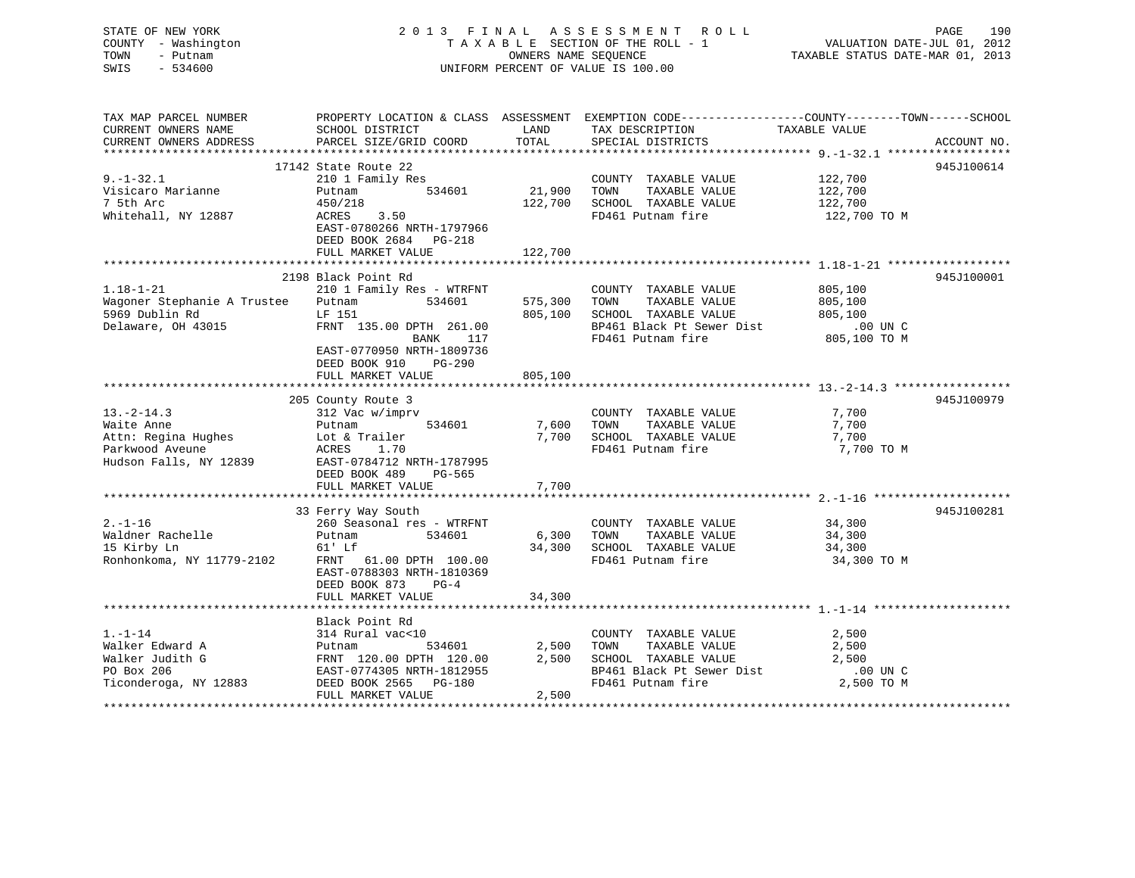| STATE OF NEW YORK<br>COUNTY - Washington<br>TOWN<br>- Putnam<br>SWIS<br>$-534600$              | 2013 FINAL ASSESSMENT ROLL<br>TAXABLE SECTION OF THE ROLL - 1<br>UNIFORM PERCENT OF VALUE IS 100.00                                                                                  | PAGE<br>190<br>rage<br>701, VALUATION DATE-JUL 01, 2012<br>712 TAXABLE STATUS DATE-MAR 01, 2013 |                                                                                                                                 |                                                                                                                 |
|------------------------------------------------------------------------------------------------|--------------------------------------------------------------------------------------------------------------------------------------------------------------------------------------|-------------------------------------------------------------------------------------------------|---------------------------------------------------------------------------------------------------------------------------------|-----------------------------------------------------------------------------------------------------------------|
| TAX MAP PARCEL NUMBER<br>CURRENT OWNERS NAME<br>CURRENT OWNERS ADDRESS                         | SCHOOL DISTRICT<br>PARCEL SIZE/GRID COORD                                                                                                                                            | LAND<br>TOTAL                                                                                   | TAX DESCRIPTION TAXABLE VALUE<br>SPECIAL DISTRICTS                                                                              | PROPERTY LOCATION & CLASS ASSESSMENT EXEMPTION CODE----------------COUNTY-------TOWN------SCHOOL<br>ACCOUNT NO. |
|                                                                                                | 17142 State Route 22                                                                                                                                                                 |                                                                                                 |                                                                                                                                 | 945J100614                                                                                                      |
| $9. - 1 - 32.1$<br>Visicaro Marianne<br>7 5th Arc<br>Whitehall, NY 12887                       | 210 1 Family Res<br>534601<br>Putnam<br>450/218<br>3.50<br>ACRES<br>EAST-0780266 NRTH-1797966<br>DEED BOOK 2684 PG-218                                                               | 21,900<br>122,700                                                                               | COUNTY TAXABLE VALUE<br>TOWN<br>TAXABLE VALUE<br>SCHOOL TAXABLE VALUE<br>FD461 Putnam fire                                      | 122,700<br>122,700<br>122,700<br>122,700 TO M                                                                   |
|                                                                                                | FULL MARKET VALUE                                                                                                                                                                    | 122,700                                                                                         |                                                                                                                                 |                                                                                                                 |
| $1.18 - 1 - 21$<br>Wagoner Stephanie A Trustee Putnam<br>5969 Dublin Rd<br>Delaware, OH 43015  | 2198 Black Point Rd<br>210 1 Family Res - WTRFNT<br>534601<br>LF 151<br>FRNT 135.00 DPTH 261.00<br>BANK<br>117<br>EAST-0770950 NRTH-1809736                                          | 575,300                                                                                         | COUNTY TAXABLE VALUE<br>TAXABLE VALUE<br>TOWN<br>805,100 SCHOOL TAXABLE VALUE<br>BP461 Black Pt Sewer Dist<br>FD461 Putnam fire | 945J100001<br>805,100<br>805,100<br>805,100<br>00 UN C.<br>805,100 TO M                                         |
|                                                                                                | DEED BOOK 910<br>PG-290<br>FULL MARKET VALUE                                                                                                                                         | 805,100                                                                                         |                                                                                                                                 |                                                                                                                 |
|                                                                                                |                                                                                                                                                                                      |                                                                                                 |                                                                                                                                 |                                                                                                                 |
| $13.-2-14.3$<br>Waite Anne<br>Attn: Regina Hughes<br>Parkwood Aveune<br>Hudson Falls, NY 12839 | 205 County Route 3<br>312 Vac w/imprv<br>534601<br>Putnam<br>Lot & Trailer<br>1.70<br>ACRES<br>EAST-0784712 NRTH-1787995<br>DEED BOOK 489<br>PG-565<br>FULL MARKET VALUE             | 7,600<br>7,700                                                                                  | COUNTY TAXABLE VALUE<br>TOWN<br>TAXABLE VALUE<br>7,700 SCHOOL TAXABLE VALUE<br>FD461 Putnam fire                                | 945J100979<br>7,700<br>7,700<br>7,700<br>7,700 TO M                                                             |
|                                                                                                |                                                                                                                                                                                      |                                                                                                 |                                                                                                                                 |                                                                                                                 |
| $2. - 1 - 16$<br>Waldner Rachelle<br>15 Kirby Ln<br>Ronhonkoma, NY 11779-2102                  | 33 Ferry Way South<br>260 Seasonal res - WTRFNT<br>Putnam<br>534601<br>61' Lf<br>FRNT 61.00 DPTH 100.00<br>EAST-0788303 NRTH-1810369<br>DEED BOOK 873<br>$PG-4$<br>FULL MARKET VALUE | 34,300                                                                                          | COUNTY TAXABLE VALUE<br>6,300 TOWN<br>TAXABLE VALUE<br>34,300 SCHOOL TAXABLE VALUE<br>FD461 Putnam fire                         | 945J100281<br>34,300<br>34,300<br>34,300<br>34,300 TO M                                                         |
|                                                                                                |                                                                                                                                                                                      |                                                                                                 |                                                                                                                                 |                                                                                                                 |
| $1. - 1 - 14$<br>Walker Edward A<br>Walker Judith G<br>PO Box 206<br>Ticonderoga, NY 12883     | Black Point Rd<br>314 Rural vac<10<br>534601<br>Putnam<br>FRNT 120.00 DPTH 120.00<br>EAST-0774305 NRTH-1812955<br>DEED BOOK 2565 PG-180<br>FULL MARKET VALUE                         | 2,500<br>2,500<br>2,500                                                                         | COUNTY TAXABLE VALUE<br>TOWN<br>TAXABLE VALUE<br>SCHOOL TAXABLE VALUE<br>BP461 Black Pt Sewer Dist<br>FD461 Putnam fire         | 2,500<br>2,500<br>2,500<br>.00 UN C<br>2,500 TO M                                                               |
|                                                                                                |                                                                                                                                                                                      |                                                                                                 |                                                                                                                                 |                                                                                                                 |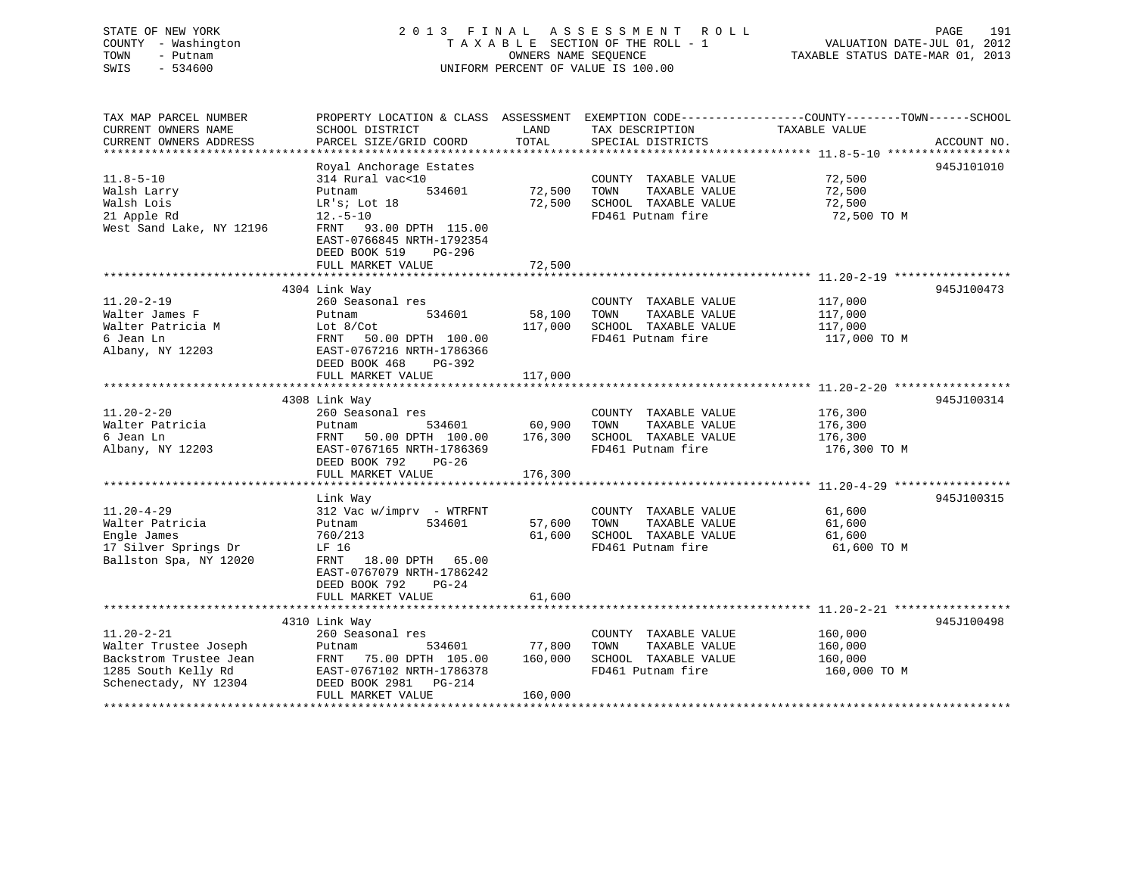|      | STATE OF NEW YORK   | 2013 FINAL ASSESSMENT ROLL         | 191<br>PAGE                      |
|------|---------------------|------------------------------------|----------------------------------|
|      | COUNTY - Washington | TAXABLE SECTION OF THE ROLL - 1    | VALUATION DATE-JUL 01, 2012      |
| TOWN | - Putnam            | OWNERS NAME SEOUENCE               | TAXABLE STATUS DATE-MAR 01, 2013 |
| SWIS | - 534600            | UNIFORM PERCENT OF VALUE IS 100.00 |                                  |
|      |                     |                                    |                                  |
|      |                     |                                    |                                  |

| TAX MAP PARCEL NUMBER    | PROPERTY LOCATION & CLASS ASSESSMENT EXEMPTION CODE---------------COUNTY-------TOWN-----SCHOOL |         |                             |                       |             |
|--------------------------|------------------------------------------------------------------------------------------------|---------|-----------------------------|-----------------------|-------------|
| CURRENT OWNERS NAME      | SCHOOL DISTRICT                                                                                | LAND    | TAX DESCRIPTION             | TAXABLE VALUE         |             |
| CURRENT OWNERS ADDRESS   | PARCEL SIZE/GRID COORD                                                                         | TOTAL   | SPECIAL DISTRICTS           |                       | ACCOUNT NO. |
|                          |                                                                                                |         |                             |                       |             |
|                          | Royal Anchorage Estates                                                                        |         |                             |                       | 945J101010  |
| $11.8 - 5 - 10$          | 314 Rural vac<10                                                                               |         | COUNTY TAXABLE VALUE        | 72,500                |             |
| Walsh Larry              | 534601<br>Putnam                                                                               | 72,500  | TOWN<br>TAXABLE VALUE       | 72,500                |             |
| Walsh Lois               | LR's; Lot 18                                                                                   |         | 72,500 SCHOOL TAXABLE VALUE | 72,500                |             |
| 21 Apple Rd              | $12.-5-10$                                                                                     |         | FD461 Putnam fire           | 72,500 TO M           |             |
| West Sand Lake, NY 12196 | FRNT 93.00 DPTH 115.00                                                                         |         |                             |                       |             |
|                          | EAST-0766845 NRTH-1792354                                                                      |         |                             |                       |             |
|                          | DEED BOOK 519 PG-296                                                                           |         |                             |                       |             |
|                          | FULL MARKET VALUE                                                                              | 72,500  |                             |                       |             |
|                          |                                                                                                |         |                             |                       |             |
|                          | 4304 Link Way                                                                                  |         |                             |                       | 945J100473  |
| $11.20 - 2 - 19$         | 260 Seasonal res                                                                               |         | COUNTY TAXABLE VALUE        | 117,000               |             |
| Walter James F           | 534601<br>Putnam                                                                               | 58,100  | TOWN<br>TAXABLE VALUE       | 117,000               |             |
| Walter Patricia M        | Lot $8/Cot$                                                                                    | 117,000 | SCHOOL TAXABLE VALUE        | 117,000               |             |
| 6 Jean Ln                | FRNT<br>50.00 DPTH 100.00                                                                      |         | FD461 Putnam fire           | 117,000 TO M          |             |
| Albany, NY 12203         | EAST-0767216 NRTH-1786366                                                                      |         |                             |                       |             |
|                          | DEED BOOK 468<br>PG-392                                                                        |         |                             |                       |             |
|                          | FULL MARKET VALUE                                                                              | 117,000 |                             |                       |             |
|                          |                                                                                                |         |                             |                       |             |
|                          | 4308 Link Way                                                                                  |         |                             |                       | 945J100314  |
| $11.20 - 2 - 20$         | 260 Seasonal res                                                                               |         | COUNTY TAXABLE VALUE        | 176,300               |             |
| Walter Patricia          | 534601<br>Putnam                                                                               | 60,900  | TAXABLE VALUE<br>TOWN       | 176,300               |             |
| 6 Jean Ln                | 50.00 DPTH 100.00<br>FRNT                                                                      | 176,300 | SCHOOL TAXABLE VALUE        | $\frac{1}{176}$ , 300 |             |
| Albany, NY 12203         | EAST-0767165 NRTH-1786369                                                                      |         | FD461 Putnam fire           | 176,300 TO M          |             |
|                          | DEED BOOK 792 PG-26                                                                            |         |                             |                       |             |
|                          | FULL MARKET VALUE                                                                              | 176,300 |                             |                       |             |
|                          |                                                                                                |         |                             |                       |             |
|                          | Link Way                                                                                       |         |                             |                       | 945J100315  |
| $11.20 - 4 - 29$         | 312 Vac w/imprv - WTRFNT                                                                       |         | COUNTY TAXABLE VALUE        | 61,600                |             |
| Walter Patricia          | 534601<br>Putnam                                                                               | 57,600  | TAXABLE VALUE<br>TOWN       | 61,600                |             |
| Engle James              | 760/213                                                                                        | 61,600  | SCHOOL TAXABLE VALUE        | 61,600                |             |
| 17 Silver Springs Dr     | LF 16                                                                                          |         | FD461 Putnam fire           | 61,600 TO M           |             |
| Ballston Spa, NY 12020   | FRNT 18.00 DPTH 65.00                                                                          |         |                             |                       |             |
|                          | EAST-0767079 NRTH-1786242                                                                      |         |                             |                       |             |
|                          | DEED BOOK 792<br>$PG-24$                                                                       |         |                             |                       |             |
|                          | FULL MARKET VALUE                                                                              | 61,600  |                             |                       |             |
|                          |                                                                                                |         |                             |                       |             |
|                          | 4310 Link Way                                                                                  |         |                             |                       | 945J100498  |
| $11.20 - 2 - 21$         | 260 Seasonal res                                                                               |         | COUNTY TAXABLE VALUE        | 160,000               |             |
| Walter Trustee Joseph    | Putnam<br>534601                                                                               | 77,800  | TAXABLE VALUE<br>TOWN       | 160,000               |             |
| Backstrom Trustee Jean   | FRNT 75.00 DPTH 105.00                                                                         | 160,000 | SCHOOL TAXABLE VALUE        | 160,000               |             |
| 1285 South Kelly Rd      | EAST-0767102 NRTH-1786378                                                                      |         | FD461 Putnam fire           | 160,000 TO M          |             |
| Schenectady, NY 12304    | DEED BOOK 2981 PG-214                                                                          |         |                             |                       |             |
|                          | FULL MARKET VALUE                                                                              | 160,000 |                             |                       |             |
|                          |                                                                                                |         |                             |                       |             |

 $\begin{array}{c} 191 \\ 2012 \end{array}$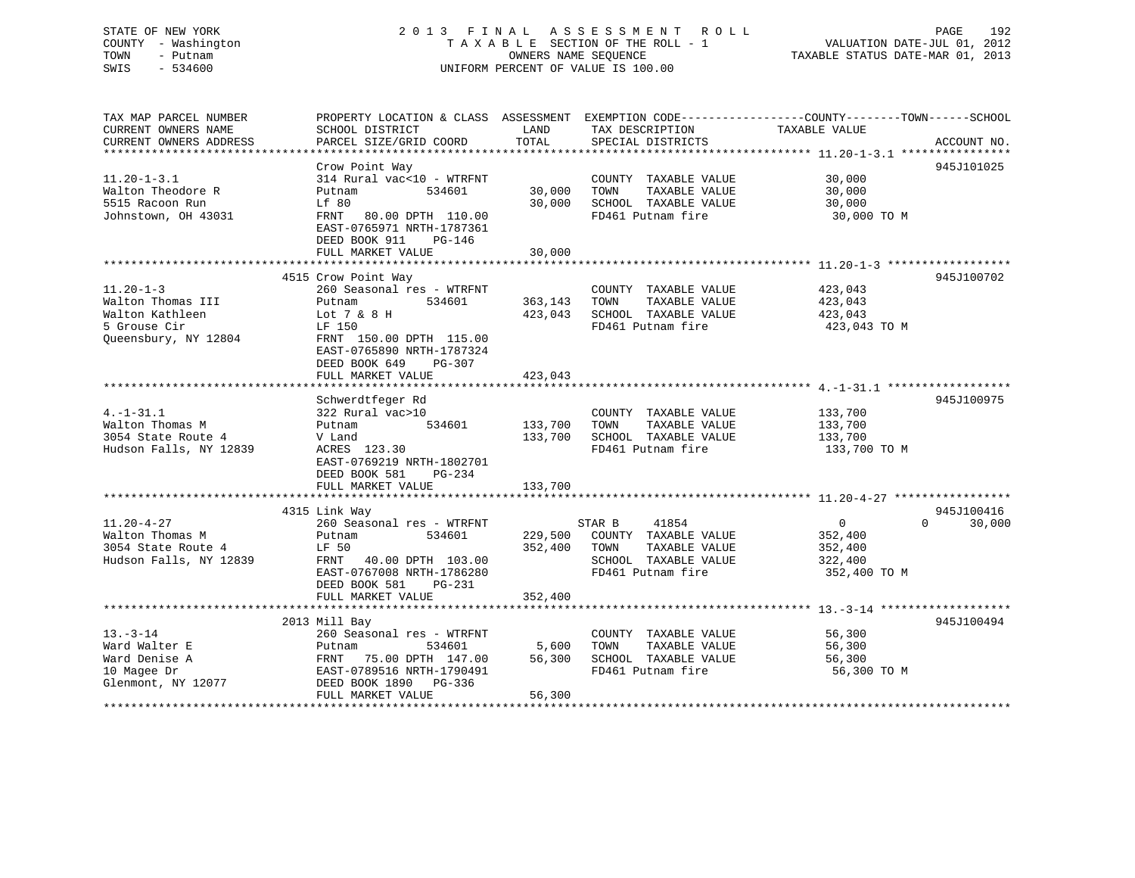# STATE OF NEW YORK 2 0 1 3 F I N A L A S S E S S M E N T R O L L PAGE 192 COUNTY - Washington T A X A B L E SECTION OF THE ROLL - 1 VALUATION DATE-JUL 01, 2012 TOWN - Putnam **CONNERS NAME SEQUENCE** TAXABLE STATUS DATE-MAR 01, 2013 SWIS - 534600 UNIFORM PERCENT OF VALUE IS 100.00

| TAX MAP PARCEL NUMBER  |                           |         |                       | PROPERTY LOCATION & CLASS ASSESSMENT EXEMPTION CODE---------------COUNTY-------TOWN------SCHOOL |             |
|------------------------|---------------------------|---------|-----------------------|-------------------------------------------------------------------------------------------------|-------------|
| CURRENT OWNERS NAME    | SCHOOL DISTRICT           | LAND    | TAX DESCRIPTION       | TAXABLE VALUE                                                                                   |             |
| CURRENT OWNERS ADDRESS | PARCEL SIZE/GRID COORD    | TOTAL   | SPECIAL DISTRICTS     |                                                                                                 | ACCOUNT NO. |
|                        |                           |         |                       |                                                                                                 |             |
|                        | Crow Point Way            |         |                       |                                                                                                 | 945J101025  |
| $11.20 - 1 - 3.1$      | 314 Rural vac<10 - WTRFNT |         | COUNTY TAXABLE VALUE  | 30,000                                                                                          |             |
| Walton Theodore R      | 534601<br>Putnam          | 30,000  | TAXABLE VALUE<br>TOWN | 30,000                                                                                          |             |
| 5515 Racoon Run        | Lf 80                     | 30,000  | SCHOOL TAXABLE VALUE  | 30,000                                                                                          |             |
| Johnstown, OH 43031    | 80.00 DPTH 110.00<br>FRNT |         | FD461 Putnam fire     | 30,000 TO M                                                                                     |             |
|                        | EAST-0765971 NRTH-1787361 |         |                       |                                                                                                 |             |
|                        | DEED BOOK 911<br>PG-146   |         |                       |                                                                                                 |             |
|                        | FULL MARKET VALUE         | 30,000  |                       |                                                                                                 |             |
|                        |                           |         |                       |                                                                                                 |             |
|                        | 4515 Crow Point Way       |         |                       |                                                                                                 | 945J100702  |
| $11.20 - 1 - 3$        | 260 Seasonal res - WTRFNT |         | COUNTY TAXABLE VALUE  | 423,043                                                                                         |             |
| Walton Thomas III      | 534601<br>Putnam          | 363,143 | TOWN<br>TAXABLE VALUE | 423,043                                                                                         |             |
| Walton Kathleen        | Lot 7 & 8 H               | 423,043 | SCHOOL TAXABLE VALUE  | 423,043                                                                                         |             |
| 5 Grouse Cir           | LF 150                    |         | FD461 Putnam fire     | 423,043 TO M                                                                                    |             |
| Queensbury, NY 12804   | FRNT 150.00 DPTH 115.00   |         |                       |                                                                                                 |             |
|                        | EAST-0765890 NRTH-1787324 |         |                       |                                                                                                 |             |
|                        | DEED BOOK 649<br>PG-307   |         |                       |                                                                                                 |             |
|                        | FULL MARKET VALUE         | 423,043 |                       |                                                                                                 |             |
|                        |                           |         |                       |                                                                                                 |             |
|                        | Schwerdtfeger Rd          |         |                       |                                                                                                 | 945J100975  |
| $4. -1 - 31.1$         | 322 Rural vac>10          |         | COUNTY TAXABLE VALUE  | 133,700                                                                                         |             |
| Walton Thomas M        | 534601<br>Putnam          | 133,700 | TAXABLE VALUE<br>TOWN | 133,700                                                                                         |             |
| 3054 State Route 4     | V Land                    | 133,700 | SCHOOL TAXABLE VALUE  | 133,700                                                                                         |             |
| Hudson Falls, NY 12839 | ACRES 123.30              |         | FD461 Putnam fire     | 133,700 TO M                                                                                    |             |
|                        | EAST-0769219 NRTH-1802701 |         |                       |                                                                                                 |             |
|                        | DEED BOOK 581<br>PG-234   |         |                       |                                                                                                 |             |
|                        | FULL MARKET VALUE         | 133,700 |                       |                                                                                                 |             |
|                        |                           |         |                       |                                                                                                 |             |
|                        | 4315 Link Way             |         |                       |                                                                                                 | 945J100416  |
| $11.20 - 4 - 27$       | 260 Seasonal res - WTRFNT |         | 41854<br>STAR B       | $\Omega$<br>$\Omega$                                                                            | 30,000      |
| Walton Thomas M        | 534601<br>Putnam          | 229,500 | COUNTY TAXABLE VALUE  | 352,400                                                                                         |             |
| 3054 State Route 4     | LF 50                     | 352,400 | TOWN<br>TAXABLE VALUE | 352,400                                                                                         |             |
| Hudson Falls, NY 12839 | FRNT 40.00 DPTH 103.00    |         | SCHOOL TAXABLE VALUE  | 322,400                                                                                         |             |
|                        | EAST-0767008 NRTH-1786280 |         | FD461 Putnam fire     | 352,400 TO M                                                                                    |             |
|                        | DEED BOOK 581<br>$PG-231$ |         |                       |                                                                                                 |             |
|                        | FULL MARKET VALUE         | 352,400 |                       |                                                                                                 |             |
|                        |                           |         |                       |                                                                                                 |             |
|                        | 2013 Mill Bay             |         |                       |                                                                                                 | 945J100494  |
| $13.-3-14$             | 260 Seasonal res - WTRFNT |         | COUNTY TAXABLE VALUE  | 56,300                                                                                          |             |
| Ward Walter E          | 534601<br>Putnam          | 5,600   | TOWN<br>TAXABLE VALUE | 56,300                                                                                          |             |
| Ward Denise A          | 75.00 DPTH 147.00<br>FRNT | 56,300  | SCHOOL TAXABLE VALUE  | 56,300                                                                                          |             |
| 10 Magee Dr            | EAST-0789516 NRTH-1790491 |         | FD461 Putnam fire     | 56,300 TO M                                                                                     |             |
| Glenmont, NY 12077     | DEED BOOK 1890 PG-336     |         |                       |                                                                                                 |             |
|                        | FULL MARKET VALUE         | 56,300  |                       |                                                                                                 |             |
|                        |                           |         |                       |                                                                                                 |             |
|                        |                           |         |                       |                                                                                                 |             |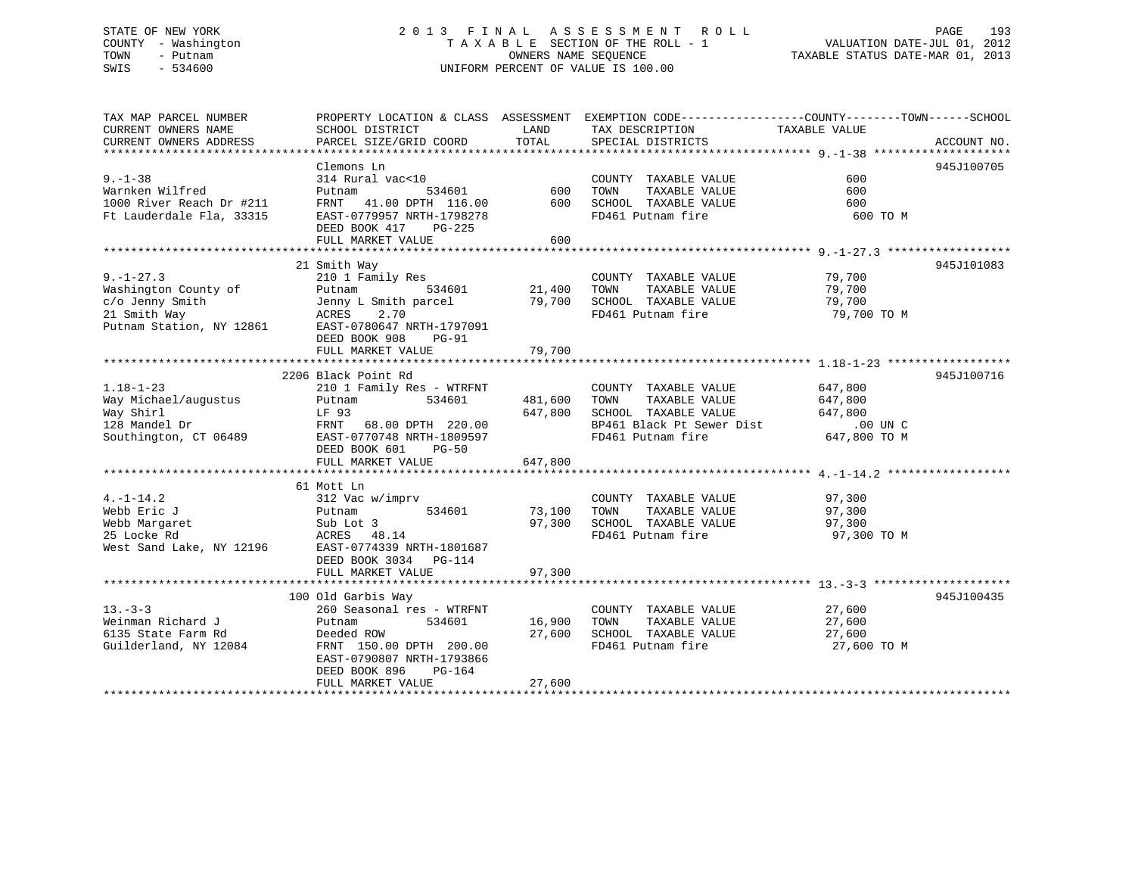# STATE OF NEW YORK 2 0 1 3 F I N A L A S S E S S M E N T R O L L PAGE 193 COUNTY - Washington T A X A B L E SECTION OF THE ROLL - 1 VALUATION DATE-JUL 01, 2012 TOWN - Putnam OWNERS NAME SEQUENCE TAXABLE STATUS DATE-MAR 01, 2013 SWIS - 534600 UNIFORM PERCENT OF VALUE IS 100.00

| TAX MAP PARCEL NUMBER<br>CURRENT OWNERS NAME<br>CURRENT OWNERS ADDRESS                  | SCHOOL DISTRICT<br>PARCEL SIZE/GRID COORD                                                                                                                                                                                                                                                                                                  | LAND<br>TOTAL                 | PROPERTY LOCATION & CLASS ASSESSMENT EXEMPTION CODE---------------COUNTY-------TOWN-----SCHOOL<br>TAX DESCRIPTION<br>SPECIAL DISTRICTS                                              | TAXABLE VALUE                   | ACCOUNT NO. |
|-----------------------------------------------------------------------------------------|--------------------------------------------------------------------------------------------------------------------------------------------------------------------------------------------------------------------------------------------------------------------------------------------------------------------------------------------|-------------------------------|-------------------------------------------------------------------------------------------------------------------------------------------------------------------------------------|---------------------------------|-------------|
| $9 - 1 - 38$<br>Warnken Wilfred<br>1000 River Reach Dr #211<br>Ft Lauderdale Fla, 33315 | Clemons Ln<br>DEED BOOK 417 PG-225<br>FULL MARKET VALUE                                                                                                                                                                                                                                                                                    | 600                           | COUNTY TAXABLE VALUE<br>TAXABLE VALUE                                                                                                                                               | 600<br>600<br>600<br>600 TO M   | 945J100705  |
|                                                                                         | 21 Smith Way<br>COUNTY TAXABLE VALUE (21.400 TOWN TAXABLE VALUE PUT)<br>C/O Jenny Smith (21.400 TOWN TAXABLE VALUE 79,700 C/O Jenny Smith (21.400 TOWN TAXABLE VALUE 79,700 C/O Jenny Smith (21.400 TOWN TAXABLE VALUE 79,700 C/O Jenny Smith (2<br>DEED BOOK 908 PG-91                                                                    |                               |                                                                                                                                                                                     | 79,700 TO M                     | 945J101083  |
| $1.18 - 1 - 23$                                                                         | 2206 Black Point Rd<br>210 1 Family Res - WTRFNT<br>DEED BOOK 601<br>$PG-50$<br>FULL MARKET VALUE                                                                                                                                                                                                                                          | 481,600<br>647,800<br>647,800 | COUNTY TAXABLE VALUE<br>TAXABLE VALUE<br>TOWN<br>SCHOOL TAXABLE VALUE<br>DP461 Black Pt Sewer Dist .00 UN C<br>FD461 Putnam fire 647,800 TO M<br>FD461 Putnam fire                  | 647,800<br>647,800<br>647,800   | 945J100716  |
|                                                                                         | 61 Mott Ln<br>$\begin{tabular}{lllllllllll} 4.-1-14.2 & 312\text{Vac w/imprv} & \\ \text{Webb Eric J} & \text{Putnam} & 534601 & \\ \text{Webb Margaret} & \text{Sub Lot 3} & \\ 25\text{ Locke Rd} & \text{ACRES} & 48.14 & \\ \text{West Sand Lake, NY 12196} & \text{EAST-0774339 NRTH-1801687} \end{tabular}$<br>DEED BOOK 3034 PG-114 |                               | COUNTY TAXABLE VALUE 97,300<br>TOWN TAXABLE VALUE 97,300<br>W/1mprv<br>534601 73,100 TOWN TAXABLE VALUE<br>97,300 SCHOOL TAXABLE VALUE 97,300<br>97,300 97,300<br>FD461 Putnam fire | 97,300 TO M                     |             |
| $13 - 3 - 3$<br>Weinman Richard J<br>6135 State Farm Rd<br>Guilderland, NY 12084        | 100 Old Garbis Way<br>260 Seasonal res - WTRFNT<br>534601<br>Putnam<br>Deeded ROW<br>FRNT 150.00 DPTH 200.00<br>EAST-0790807 NRTH-1793866<br>DEED BOOK 896<br>PG-164<br>FULL MARKET VALUE $27,600$                                                                                                                                         | 16,900<br>27,600              | COUNTY TAXABLE VALUE 27,600<br>TOWN      TAXABLE  VALUE<br>SCHOOL   TAXABLE  VALUE<br>FD461 Putnam fire                                                                             | 27,600<br>27,600<br>27,600 TO M | 945J100435  |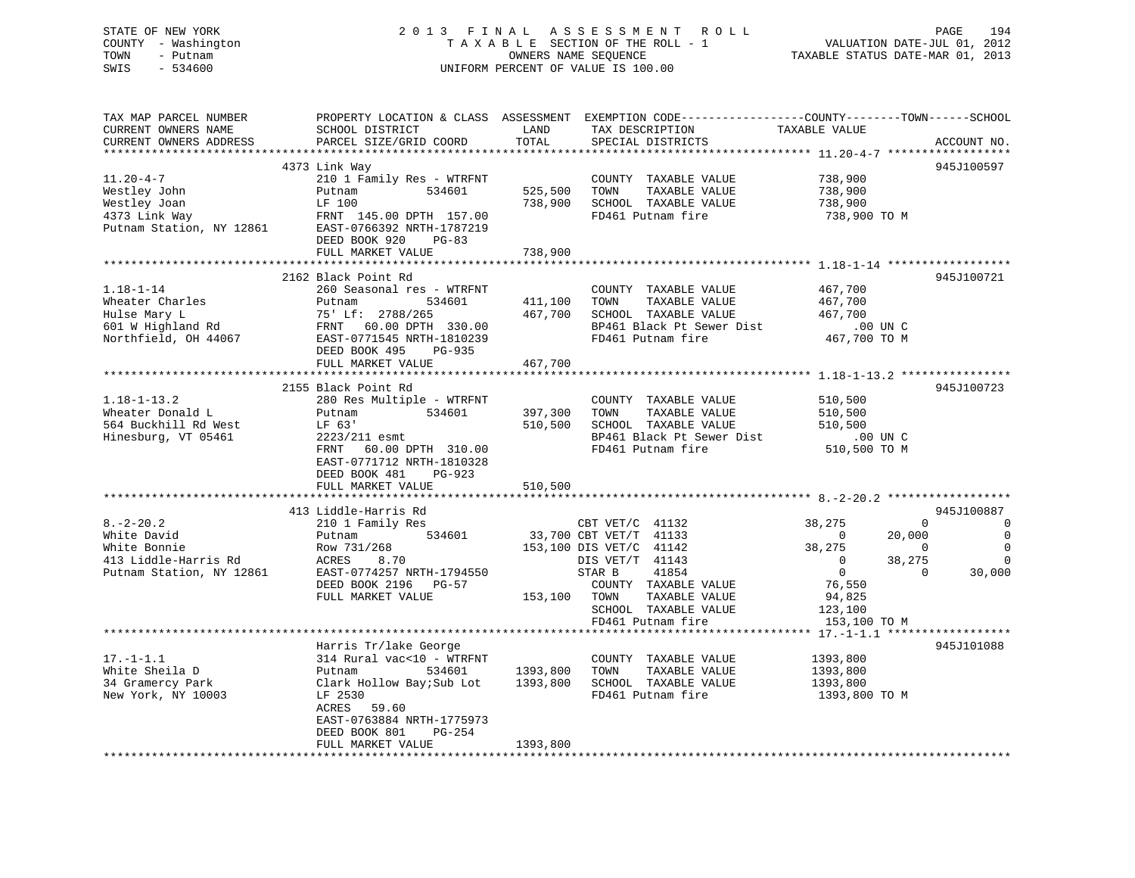# STATE OF NEW YORK 2 0 1 3 F I N A L A S S E S S M E N T R O L L PAGE 194 COUNTY - Washington T A X A B L E SECTION OF THE ROLL - 1 VALUATION DATE-JUL 01, 2012 TOWN - Putnam OWNERS NAME SEQUENCE TAXABLE STATUS DATE-MAR 01, 2013 SWIS - 534600 UNIFORM PERCENT OF VALUE IS 100.00

| TAX MAP PARCEL NUMBER<br>CURRENT OWNERS NAME<br>CURRENT OWNERS ADDRESS                             | SCHOOL DISTRICT<br>PARCEL SIZE/GRID COORD                                                                                                                                                                     | LAND<br>TOTAL                    | PROPERTY LOCATION & CLASS ASSESSMENT EXEMPTION CODE----------------COUNTY-------TOWN------SCHOOL<br>TAX DESCRIPTION<br>SPECIAL DISTRICTS                                                         | TAXABLE VALUE                                                                                                                                                           | ACCOUNT NO.                                                               |
|----------------------------------------------------------------------------------------------------|---------------------------------------------------------------------------------------------------------------------------------------------------------------------------------------------------------------|----------------------------------|--------------------------------------------------------------------------------------------------------------------------------------------------------------------------------------------------|-------------------------------------------------------------------------------------------------------------------------------------------------------------------------|---------------------------------------------------------------------------|
| $11.20 - 4 - 7$<br>Westley John<br>Westley Joan<br>4373 Link Way<br>Putnam Station, NY 12861       | 4373 Link Way<br>210 1 Family Res - WTRFNT<br>534601<br>Putnam<br>LF 100<br>FRNT 145.00 DPTH 157.00<br>EAST-0766392 NRTH-1787219<br>DEED BOOK 920<br>$PG-83$<br>FULL MARKET VALUE                             | 525,500<br>738,900<br>738,900    | COUNTY TAXABLE VALUE<br>TOWN<br>TAXABLE VALUE<br>SCHOOL TAXABLE VALUE<br>FD461 Putnam fire                                                                                                       | 738,900<br>738,900<br>738,900<br>738,900 TO M                                                                                                                           | 945J100597                                                                |
| $1.18 - 1 - 14$<br>Wheater Charles<br>Hulse Mary L<br>601 W Highland Rd<br>Northfield, OH 44067    | 2162 Black Point Rd<br>260 Seasonal res - WTRFNT<br>Putnam<br>534601<br>75' Lf: 2788/265<br>FRNT 60.00 DPTH 330.00<br>EAST-0771545 NRTH-1810239<br>DEED BOOK 495<br>PG-935<br>FULL MARKET VALUE               | 411,100<br>467,700<br>467,700    | COUNTY TAXABLE VALUE<br>TAXABLE VALUE<br>TOWN<br>SCHOOL TAXABLE VALUE<br>BP461 Black Pt Sewer Dist<br>FD461 Putnam fire                                                                          | 467,700<br>467,700<br>467,700<br>$.00$ UN C<br>467,700 TO M                                                                                                             | 945J100721                                                                |
| $1.18 - 1 - 13.2$<br>Wheater Donald L<br>564 Buckhill Rd West<br>Hinesburg, VT 05461               | 2155 Black Point Rd<br>280 Res Multiple - WTRFNT<br>534601<br>Putnam<br>LF 63'<br>2223/211 esmt<br>60.00 DPTH 310.00<br>FRNT<br>EAST-0771712 NRTH-1810328<br>DEED BOOK 481<br>PG-923<br>FULL MARKET VALUE     | 397,300<br>510,500<br>510,500    | COUNTY TAXABLE VALUE<br>TOWN<br>TAXABLE VALUE<br>SCHOOL TAXABLE VALUE<br>BP461 Black Pt Sewer Dist<br>FD461 Putnam fire                                                                          | 510,500<br>510,500<br>510,500<br>$.00$ UN C<br>510,500 TO M                                                                                                             | 945J100723                                                                |
| $8. - 2 - 20.2$<br>White David<br>White Bonnie<br>413 Liddle-Harris Rd<br>Putnam Station, NY 12861 | 413 Liddle-Harris Rd<br>210 1 Family Res<br>534601<br>Putnam<br>Row 731/268<br>ACRES<br>8.70<br>EAST-0774257 NRTH-1794550<br>DEED BOOK 2196 PG-57<br>FULL MARKET VALUE                                        | 153,100 TOWN                     | CBT VET/C 41132<br>33,700 CBT VET/T 41133<br>153,100 DIS VET/C 41142<br>DIS VET/T 41143<br>STAR B<br>41854<br>COUNTY TAXABLE VALUE<br>TAXABLE VALUE<br>SCHOOL TAXABLE VALUE<br>FD461 Putnam fire | 38,275<br>$\Omega$<br>$\overline{0}$<br>20,000<br>38,275<br>$\Omega$<br>38,275<br>$\Omega$<br>$\overline{0}$<br>$\Omega$<br>76,550<br>94,825<br>123,100<br>153,100 TO M | 945J100887<br>0<br>$\mathbf 0$<br>$\mathbf 0$<br>$\overline{0}$<br>30,000 |
| $17. - 1 - 1.1$<br>White Sheila D<br>34 Gramercy Park<br>New York, NY 10003                        | Harris Tr/lake George<br>314 Rural vac<10 - WTRFNT<br>Putnam<br>534601<br>Clark Hollow Bay; Sub Lot<br>LF 2530<br>ACRES<br>59.60<br>EAST-0763884 NRTH-1775973<br>DEED BOOK 801<br>PG-254<br>FULL MARKET VALUE | 1393,800<br>1393,800<br>1393,800 | COUNTY TAXABLE VALUE<br>TOWN<br>TAXABLE VALUE<br>SCHOOL TAXABLE VALUE<br>FD461 Putnam fire                                                                                                       | 1393,800<br>1393,800<br>1393,800<br>1393,800 TO M                                                                                                                       | 945J101088                                                                |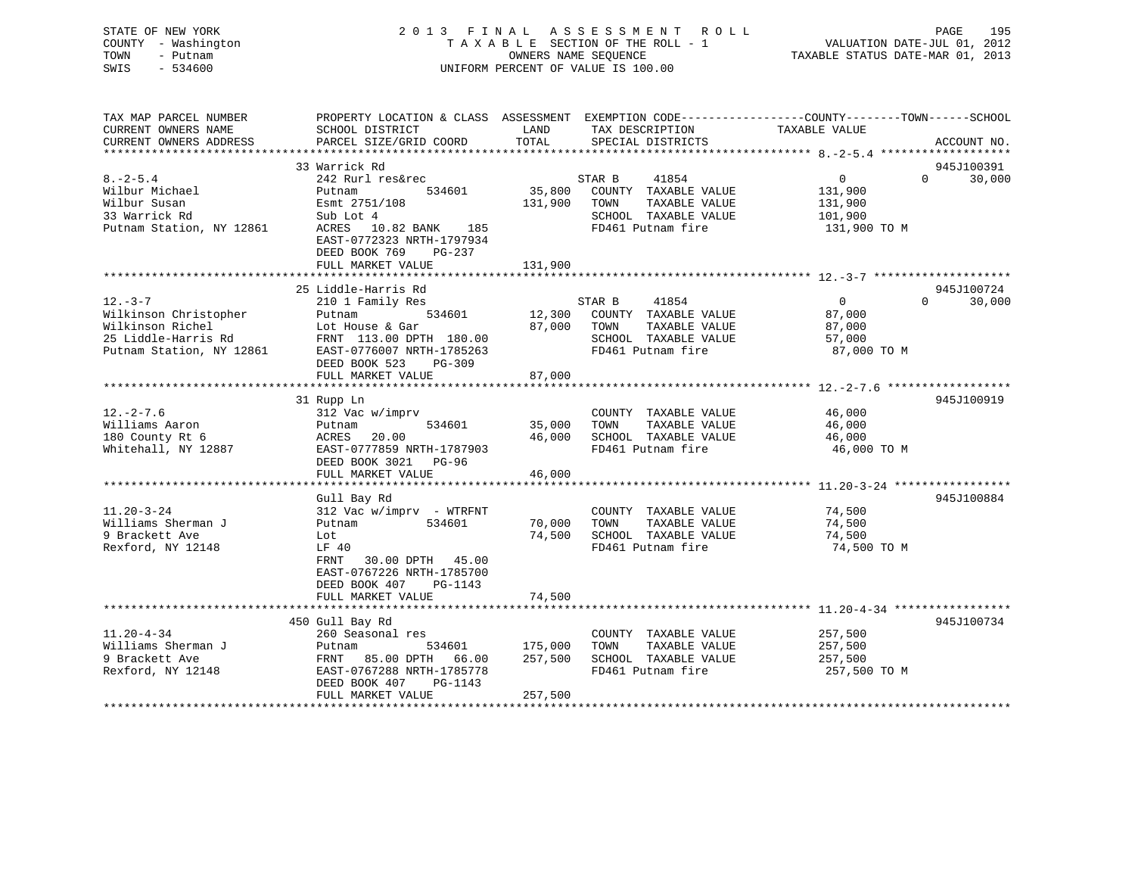# STATE OF NEW YORK 2 0 1 3 F I N A L A S S E S S M E N T R O L L PAGE 195 COUNTY - Washington T A X A B L E SECTION OF THE ROLL - 1 VALUATION DATE-JUL 01, 2012 TOWN - Putnam **CONNERS NAME SEQUENCE** TAXABLE STATUS DATE-MAR 01, 2013 SWIS - 534600 UNIFORM PERCENT OF VALUE IS 100.00

| TAX MAP PARCEL NUMBER    | PROPERTY LOCATION & CLASS ASSESSMENT EXEMPTION CODE----------------COUNTY-------TOWN------SCHOOL |         |                                           |                |                    |
|--------------------------|--------------------------------------------------------------------------------------------------|---------|-------------------------------------------|----------------|--------------------|
| CURRENT OWNERS NAME      | SCHOOL DISTRICT                                                                                  | LAND    | TAX DESCRIPTION                           | TAXABLE VALUE  |                    |
| CURRENT OWNERS ADDRESS   | PARCEL SIZE/GRID COORD                                                                           | TOTAL   | SPECIAL DISTRICTS                         |                | ACCOUNT NO.        |
|                          |                                                                                                  |         |                                           |                |                    |
|                          | 33 Warrick Rd                                                                                    |         |                                           |                | 945J100391         |
| $8. - 2 - 5.4$           | 242 Rurl res&rec                                                                                 |         | STAR B<br>41854                           | $\overline{0}$ | $\Omega$<br>30,000 |
| Wilbur Michael           | 534601<br>Putnam                                                                                 | 35,800  | COUNTY TAXABLE VALUE                      | 131,900        |                    |
| Wilbur Susan             | Esmt 2751/108                                                                                    | 131,900 | TOWN<br>TAXABLE VALUE                     | 131,900        |                    |
| 33 Warrick Rd            | Sub Lot 4                                                                                        |         | SCHOOL TAXABLE VALUE                      | 101,900        |                    |
| Putnam Station, NY 12861 | ACRES 10.82 BANK 185                                                                             |         | FD461 Putnam fire                         | 131,900 TO M   |                    |
|                          | EAST-0772323 NRTH-1797934                                                                        |         |                                           |                |                    |
|                          | DEED BOOK 769<br>PG-237                                                                          |         |                                           |                |                    |
|                          | FULL MARKET VALUE                                                                                | 131,900 |                                           |                |                    |
|                          |                                                                                                  |         |                                           |                |                    |
|                          | 25 Liddle-Harris Rd                                                                              |         |                                           |                | 945J100724         |
| $12. - 3 - 7$            | 210 1 Family Res                                                                                 |         | STAR B<br>41854                           | $\overline{0}$ | $\Omega$<br>30,000 |
| Wilkinson Christopher    | 534601<br>Putnam                                                                                 | 12,300  | COUNTY TAXABLE VALUE                      | 87,000         |                    |
| Wilkinson Richel         | Lot House & Gar                                                                                  | 87,000  | TAXABLE VALUE<br>TOWN                     | 87,000         |                    |
| 25 Liddle-Harris Rd      | FRNT 113.00 DPTH 180.00                                                                          |         | SCHOOL TAXABLE VALUE                      | 57,000         |                    |
| Putnam Station, NY 12861 | EAST-0776007 NRTH-1785263                                                                        |         | FD461 Putnam fire                         | 87,000 TO M    |                    |
|                          | DEED BOOK 523<br>$PG-309$                                                                        |         |                                           |                |                    |
|                          | FULL MARKET VALUE                                                                                | 87,000  |                                           |                |                    |
|                          |                                                                                                  |         |                                           |                |                    |
|                          | 31 Rupp Ln                                                                                       |         |                                           |                | 945J100919         |
| $12. - 2 - 7.6$          | 312 Vac w/imprv                                                                                  |         | COUNTY TAXABLE VALUE                      | 46,000         |                    |
| Williams Aaron           | 534601<br>Putnam                                                                                 | 35,000  | TAXABLE VALUE<br>TOWN                     | 46,000         |                    |
| 180 County Rt 6          | 20.00<br>ACRES                                                                                   | 46,000  | SCHOOL TAXABLE VALUE                      | 46,000         |                    |
| Whitehall, NY 12887      | EAST-0777859 NRTH-1787903                                                                        |         | FD461 Putnam fire                         | 46,000 TO M    |                    |
|                          | DEED BOOK 3021 PG-96                                                                             |         |                                           |                |                    |
|                          | FULL MARKET VALUE                                                                                | 46,000  |                                           |                |                    |
|                          |                                                                                                  |         |                                           |                |                    |
|                          | Gull Bay Rd                                                                                      |         |                                           |                | 945J100884         |
| $11.20 - 3 - 24$         | $312$ Vac w/imprv - WTRFNT                                                                       |         | COUNTY TAXABLE VALUE                      | 74,500         |                    |
| Williams Sherman J       | 534601<br>Putnam                                                                                 | 70,000  | TOWN<br>TAXABLE VALUE                     | 74,500         |                    |
| 9 Brackett Ave           | Lot                                                                                              | 74,500  | SCHOOL TAXABLE VALUE<br>FD461 Putnam fire | 74,500         |                    |
| Rexford, NY 12148        | LF 40<br>FRNT                                                                                    |         |                                           | 74,500 TO M    |                    |
|                          | 30.00 DPTH 45.00                                                                                 |         |                                           |                |                    |
|                          | EAST-0767226 NRTH-1785700<br>DEED BOOK 407<br>PG-1143                                            |         |                                           |                |                    |
|                          | FULL MARKET VALUE                                                                                | 74,500  |                                           |                |                    |
|                          |                                                                                                  |         |                                           |                |                    |
|                          | 450 Gull Bay Rd                                                                                  |         |                                           |                | 945J100734         |
| $11.20 - 4 - 34$         | 260 Seasonal res                                                                                 |         | COUNTY TAXABLE VALUE                      | 257,500        |                    |
| Williams Sherman J       | 534601<br>Putnam                                                                                 | 175,000 | TAXABLE VALUE<br>TOWN                     | 257,500        |                    |
| 9 Brackett Ave           | FRNT 85.00 DPTH<br>66.00                                                                         | 257,500 | SCHOOL TAXABLE VALUE                      | 257,500        |                    |
| Rexford, NY 12148        | EAST-0767288 NRTH-1785778                                                                        |         | FD461 Putnam fire                         | 257,500 TO M   |                    |
|                          | DEED BOOK 407<br>PG-1143                                                                         |         |                                           |                |                    |
|                          | FULL MARKET VALUE                                                                                | 257,500 |                                           |                |                    |
|                          |                                                                                                  |         |                                           |                |                    |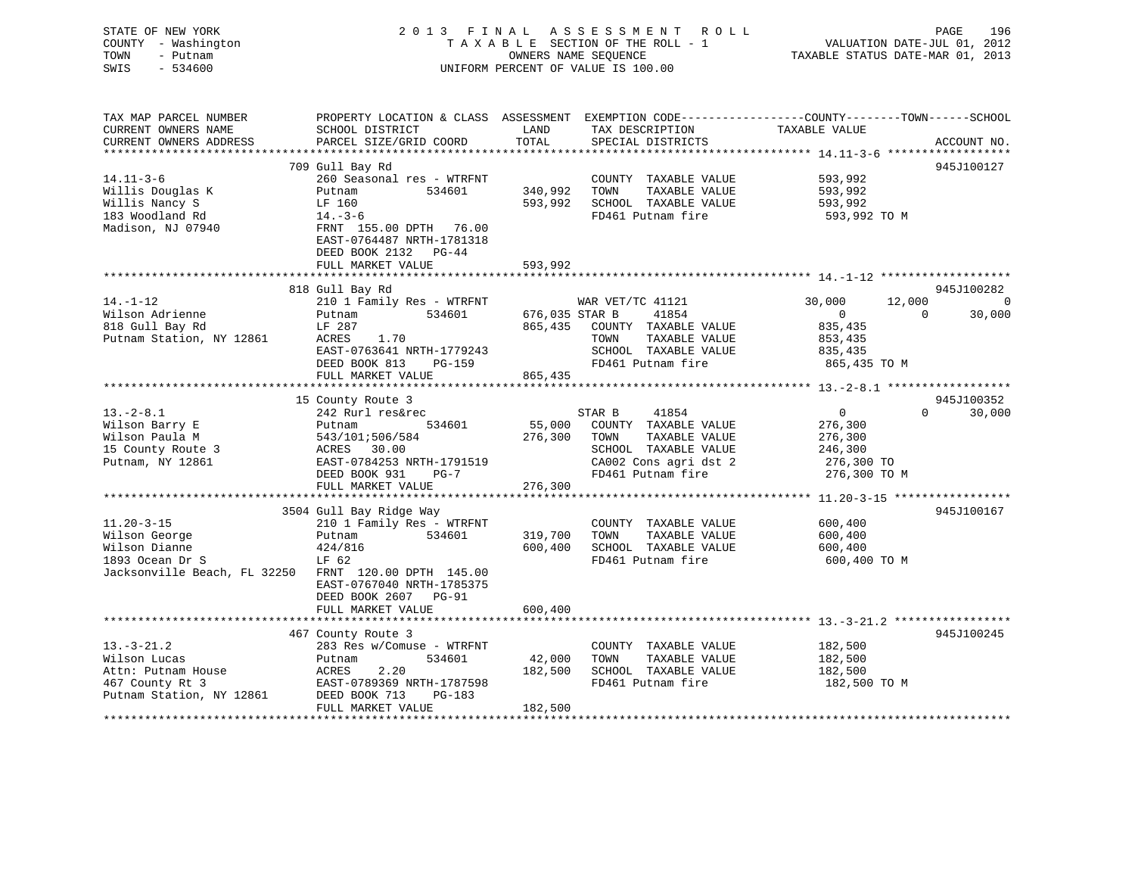| STATE OF NEW YORK<br>COUNTY - Washington<br>TOWN<br>- Putnam<br>SWIS<br>$-534600$                                             |                                                                                                                                                        | OWNERS NAME SEQUENCE | 2013 FINAL ASSESSMENT ROLL<br>TAXABLE SECTION OF THE ROLL - 1<br>UNIFORM PERCENT OF VALUE IS 100.00 | VALUATION DATE-JUL 01, 2012<br>TAXABLE STATUS DATE-MAR 01, 2013 | PAGE<br>196                            |
|-------------------------------------------------------------------------------------------------------------------------------|--------------------------------------------------------------------------------------------------------------------------------------------------------|----------------------|-----------------------------------------------------------------------------------------------------|-----------------------------------------------------------------|----------------------------------------|
| TAX MAP PARCEL NUMBER<br>CURRENT OWNERS NAME<br>CURRENT OWNERS ADDRESS<br>***********************                             | PROPERTY LOCATION & CLASS ASSESSMENT EXEMPTION CODE---------------COUNTY-------TOWN------SCHOOL<br>SCHOOL DISTRICT<br>PARCEL SIZE/GRID COORD           | LAND<br>TOTAL        | TAX DESCRIPTION TAXABLE VALUE<br>SPECIAL DISTRICTS                                                  |                                                                 | ACCOUNT NO.                            |
|                                                                                                                               | 709 Gull Bay Rd                                                                                                                                        |                      |                                                                                                     |                                                                 | 945J100127                             |
| $14.11 - 3 - 6$<br>Willis Douglas K<br>Willis Nancy S<br>183 Woodland Rd<br>Madison, NJ 07940                                 | 260 Seasonal res - WTRFNT<br>Putnam<br>534601<br>LF 160<br>$14. -3 - 6$<br>FRNT 155.00 DPTH 76.00<br>EAST-0764487 NRTH-1781318<br>DEED BOOK 2132 PG-44 | 340,992              | COUNTY TAXABLE VALUE<br>TOWN<br>TAXABLE VALUE<br>593,992 SCHOOL TAXABLE VALUE<br>FD461 Putnam fire  | 593,992<br>593,992<br>593,992<br>593,992 TO M                   |                                        |
|                                                                                                                               | FULL MARKET VALUE                                                                                                                                      | 593,992              |                                                                                                     |                                                                 |                                        |
|                                                                                                                               |                                                                                                                                                        |                      |                                                                                                     |                                                                 |                                        |
| $14. - 1 - 12$                                                                                                                | 818 Gull Bay Rd<br>210 1 Family Res - WTRFNT WAR VET/TC 41121                                                                                          |                      |                                                                                                     |                                                                 | 945J100282                             |
| Wilson Adrienne<br>818 Gull Bay Rd<br>Putnam Station, NY 12861                                                                | 534601 676,035 STAR B<br>Putnam<br>LF 287<br>1.70<br>ACRES<br>EAST-0763641 NRTH-1779243                                                                |                      | 41854<br>865,435 COUNTY TAXABLE VALUE<br>TAXABLE VALUE<br>TOWN<br>SCHOOL TAXABLE VALUE              | 30,000<br>$\overline{0}$<br>835,435<br>853,435<br>835,435       | $12,000$ 0<br>30,000<br>$\overline{0}$ |
|                                                                                                                               | DEED BOOK 813 PG-159<br>FULL MARKET VALUE                                                                                                              | 865,435              | FD461 Putnam fire                                                                                   | 865,435 TO M                                                    |                                        |
|                                                                                                                               |                                                                                                                                                        |                      |                                                                                                     |                                                                 |                                        |
|                                                                                                                               | 15 County Route 3                                                                                                                                      |                      |                                                                                                     |                                                                 | 945J100352                             |
| $13.-2-8.1$                                                                                                                   | 242 Rurl res&rec                                                                                                                                       |                      | STAR B<br>41854                                                                                     | $\overline{0}$                                                  | 30,000<br>$\Omega$                     |
| Wilson Barry E                                                                                                                | 534601<br>Putnam<br>543/101:506/584<br>ACRES 30.00<br>- 2704253 NRTH                                                                                   |                      | 55,000 COUNTY TAXABLE VALUE                                                                         | 276,300                                                         |                                        |
| Wilson Paula M<br>Wilson Fault<br>15 County Route 3<br>Dutnam, NY 12861                                                       |                                                                                                                                                        | 276,300              | TOWN<br>TAXABLE VALUE                                                                               | 276,300                                                         |                                        |
|                                                                                                                               | EAST-0784253 NRTH-1791519                                                                                                                              |                      | SCHOOL TAXABLE VALUE<br>CA002 Cons agri dst 2                                                       | 246,300<br>276,300 TO                                           |                                        |
|                                                                                                                               | DEED BOOK 931<br>$PG-7$                                                                                                                                |                      | FD461 Putnam fire                                                                                   | 276,300 TO M                                                    |                                        |
|                                                                                                                               | FULL MARKET VALUE                                                                                                                                      | 276,300              |                                                                                                     |                                                                 |                                        |
|                                                                                                                               | ****************************                                                                                                                           | ******************** |                                                                                                     |                                                                 |                                        |
|                                                                                                                               | 3504 Gull Bay Ridge Way                                                                                                                                |                      |                                                                                                     |                                                                 | 945J100167                             |
| $11.20 - 3 - 15$<br>riison George<br>Wilson Dianne<br>1893 Ocean Dr S<br>Jacksonville Beach, FL 32250 FRNT 120.00 DPTH 145.00 | 210 1 Family Res - WTRFNT<br>534601<br>Putnam<br>424/816<br>LF 62                                                                                      | 319,700<br>600,400   | COUNTY TAXABLE VALUE<br>TAXABLE VALUE<br>TOWN<br>SCHOOL TAXABLE VALUE<br>FD461 Putnam fire          | 600,400<br>600,400<br>600,400<br>600,400 TO M                   |                                        |
|                                                                                                                               | EAST-0767040 NRTH-1785375<br>DEED BOOK 2607 PG-91<br>FULL MARKET VALUE                                                                                 | 600,400              |                                                                                                     |                                                                 |                                        |
|                                                                                                                               |                                                                                                                                                        |                      |                                                                                                     |                                                                 |                                        |
| $13.-3-21.2$<br>Wilson Lucas<br>Attn: Putnam House<br>467 County Rt 3<br>Putnam Station, NY 12861                             | 467 County Route 3<br>283 Res w/Comuse - WTRFNT<br>Putnam<br>534601<br>2.20<br>ACRES<br>EAST-0789369 NRTH-1787598<br>DEED BOOK 713<br>PG-183           | 42,000<br>182,500    | COUNTY TAXABLE VALUE<br>TOWN<br>TAXABLE VALUE<br>SCHOOL TAXABLE VALUE<br>FD461 Putnam fire          | 182,500<br>182,500<br>182,500<br>182,500 TO M                   | 945J100245                             |
|                                                                                                                               |                                                                                                                                                        |                      |                                                                                                     |                                                                 |                                        |

FULL MARKET VALUE 182,500 \*\*\*\*\*\*\*\*\*\*\*\*\*\*\*\*\*\*\*\*\*\*\*\*\*\*\*\*\*\*\*\*\*\*\*\*\*\*\*\*\*\*\*\*\*\*\*\*\*\*\*\*\*\*\*\*\*\*\*\*\*\*\*\*\*\*\*\*\*\*\*\*\*\*\*\*\*\*\*\*\*\*\*\*\*\*\*\*\*\*\*\*\*\*\*\*\*\*\*\*\*\*\*\*\*\*\*\*\*\*\*\*\*\*\*\*\*\*\*\*\*\*\*\*\*\*\*\*\*\*\*\*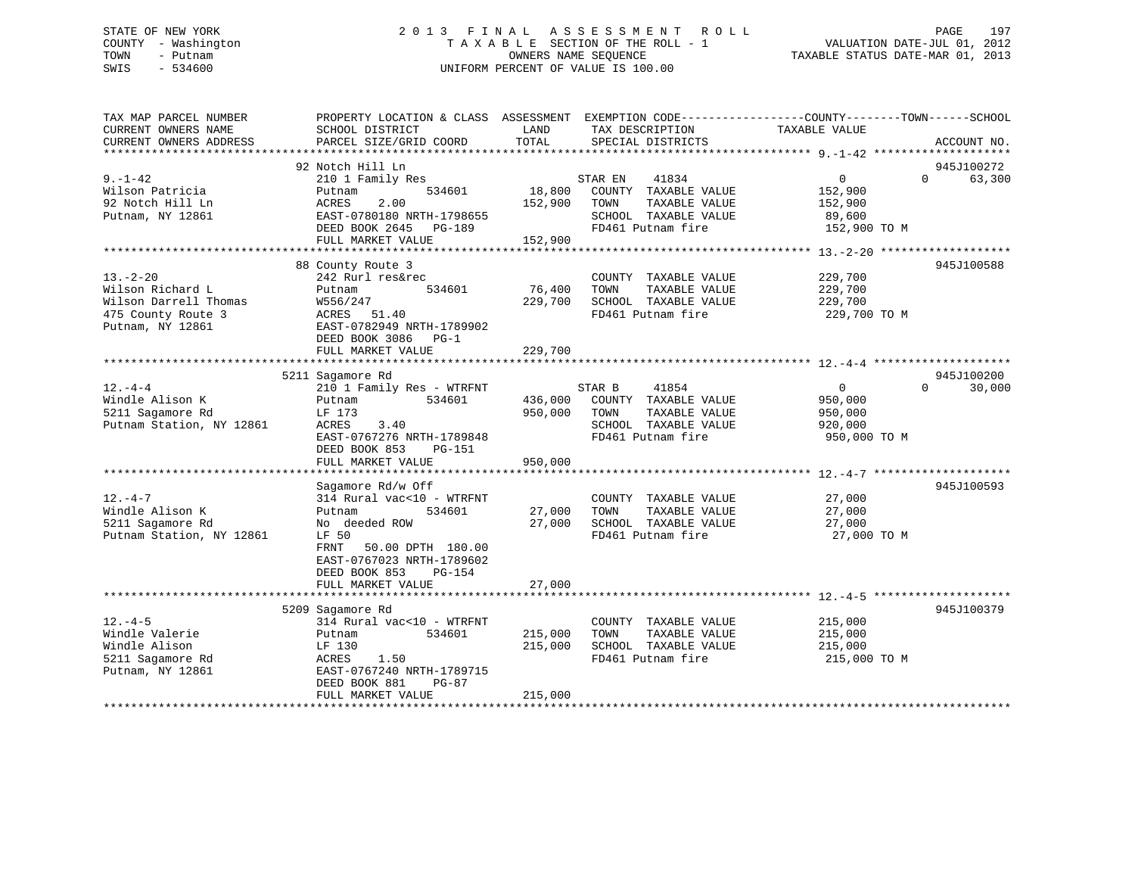# STATE OF NEW YORK 2 0 1 3 F I N A L A S S E S S M E N T R O L L PAGE 197 COUNTY - Washington T A X A B L E SECTION OF THE ROLL - 1 VALUATION DATE-JUL 01, 2012 TOWN - Putnam OWNERS NAME SEQUENCE TAXABLE STATUS DATE-MAR 01, 2013 SWIS - 534600 UNIFORM PERCENT OF VALUE IS 100.00

| TAX MAP PARCEL NUMBER<br>CURRENT OWNERS NAME<br>CURRENT OWNERS ADDRESS                               | SCHOOL DISTRICT<br>PARCEL SIZE/GRID COORD                                                                                                                                                              | LAND<br>TAX DESCRIPTION<br>TOTAL<br>SPECIAL DISTRICTS                                                                                       | PROPERTY LOCATION & CLASS ASSESSMENT EXEMPTION CODE----------------COUNTY-------TOWN------SCHOOL<br>TAXABLE VALUE<br>ACCOUNT NO. |
|------------------------------------------------------------------------------------------------------|--------------------------------------------------------------------------------------------------------------------------------------------------------------------------------------------------------|---------------------------------------------------------------------------------------------------------------------------------------------|----------------------------------------------------------------------------------------------------------------------------------|
| $9. - 1 - 42$<br>Wilson Patricia<br>92 Notch Hill Ln<br>Putnam, NY 12861                             | 92 Notch Hill Ln<br>210 1 Family Res<br>534601<br>Putnam<br>2.00<br>ACRES<br>EAST-0780180 NRTH-1798655<br>DEED BOOK 2645 PG-189<br>FULL MARKET VALUE                                                   | 41834<br>STAR EN<br>18,800 COUNTY TAXABLE VALUE<br>152,900 TOWN<br>TAXABLE VALUE<br>SCHOOL TAXABLE VALUE<br>FD461 Putnam fire<br>152,900    | 945J100272<br>$\overline{0}$<br>63,300<br>$\Omega$<br>152,900<br>152,900<br>89,600<br>152,900 TO M                               |
| $13 - 2 - 20$<br>Wilson Richard L<br>Wilson Darrell Thomas<br>475 County Route 3<br>Putnam, NY 12861 | 88 County Route 3<br>242 Rurl res&rec<br>534601<br>Putnam<br>W556/247<br>ACRES 51.40<br>EAST-0782949 NRTH-1789902<br>DEED BOOK 3086 PG-1<br>FULL MARKET VALUE                                          | COUNTY TAXABLE VALUE<br>76,400<br>TAXABLE VALUE<br>TOWN<br>229,700<br>SCHOOL TAXABLE VALUE<br>FD461 Putnam fire<br>229,700                  | 945J100588<br>229,700<br>229,700<br>229,700<br>229,700 TO M                                                                      |
| $12. - 4 - 4$<br>Windle Alison K<br>5211 Sagamore Rd<br>Putnam Station, NY 12861                     | 5211 Sagamore Rd<br>210 1 Family Res - WTRFNT<br>534601<br>Putnam<br>LF 173<br>ACRES<br>3.40<br>EAST-0767276 NRTH-1789848<br>DEED BOOK 853<br>PG-151<br>FULL MARKET VALUE                              | STAR B<br>41854<br>436,000 COUNTY TAXABLE VALUE<br>950,000<br>TOWN<br>TAXABLE VALUE<br>SCHOOL TAXABLE VALUE<br>FD461 Putnam fire<br>950,000 | 945J100200<br>0<br>$\Omega$<br>30,000<br>950,000<br>950,000<br>920,000<br>950,000 TO M                                           |
| $12. - 4 - 7$<br>Windle Alison K<br>5211 Sagamore Rd<br>Putnam Station, NY 12861                     | Sagamore Rd/w Off<br>314 Rural vac<10 - WTRFNT<br>534601<br>Putnam<br>No deeded ROW<br>LF 50<br>FRNT<br>50.00 DPTH 180.00<br>EAST-0767023 NRTH-1789602<br>DEED BOOK 853<br>PG-154<br>FULL MARKET VALUE | COUNTY TAXABLE VALUE<br>27,000<br>TOWN<br>TAXABLE VALUE<br>27,000 SCHOOL TAXABLE VALUE<br>FD461 Putnam fire<br>27,000                       | 945J100593<br>27,000<br>27,000<br>27,000<br>27,000 TO M                                                                          |
| $12. -4-5$<br>Windle Valerie<br>Windle Alison<br>5211 Sagamore Rd<br>Putnam, NY 12861                | 5209 Sagamore Rd<br>314 Rural vac<10 - WTRFNT<br>534601<br>Putnam<br>LF 130<br>ACRES<br>1.50<br>EAST-0767240 NRTH-1789715<br>DEED BOOK 881<br>$PG-87$<br>FULL MARKET VALUE                             | COUNTY TAXABLE VALUE<br>TOWN<br>TAXABLE VALUE<br>215,000<br>215,000<br>SCHOOL TAXABLE VALUE<br>FD461 Putnam fire<br>215,000                 | 945J100379<br>215,000<br>215,000<br>215,000<br>215,000 TO M                                                                      |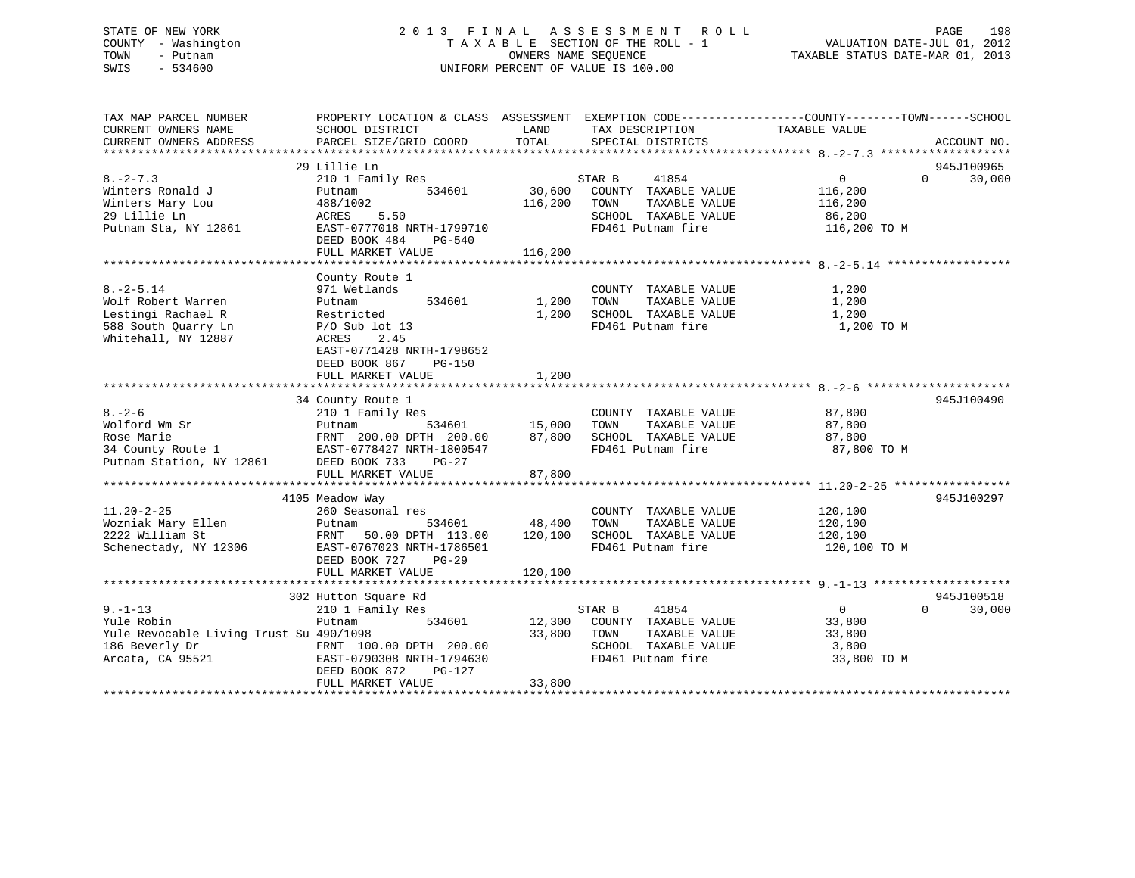# STATE OF NEW YORK 2 0 1 3 F I N A L A S S E S S M E N T R O L L PAGE 198 COUNTY - Washington T A X A B L E SECTION OF THE ROLL - 1 VALUATION DATE-JUL 01, 2012 TOWN - Putnam OWNERS NAME SEQUENCE TAXABLE STATUS DATE-MAR 01, 2013 SWIS - 534600 UNIFORM PERCENT OF VALUE IS 100.00

| TAX MAP PARCEL NUMBER<br>CURRENT OWNERS NAME<br>CURRENT OWNERS ADDRESS                                       | PROPERTY LOCATION & CLASS ASSESSMENT EXEMPTION CODE----------------COUNTY-------TOWN------SCHOOL<br>SCHOOL DISTRICT<br>PARCEL SIZE/GRID COORD                                      | LAND<br>TOTAL                | TAX DESCRIPTION<br>SPECIAL DISTRICTS                                                                          | TAXABLE VALUE                                              | ACCOUNT NO.                      |
|--------------------------------------------------------------------------------------------------------------|------------------------------------------------------------------------------------------------------------------------------------------------------------------------------------|------------------------------|---------------------------------------------------------------------------------------------------------------|------------------------------------------------------------|----------------------------------|
| $8. - 2 - 7.3$<br>Winters Ronald J<br>Winters Mary Lou<br>29 Lillie Ln<br>Putnam Sta, NY 12861               | 29 Lillie Ln<br>210 1 Family Res<br>534601<br>Putnam<br>488/1002<br>ACRES<br>5.50<br>EAST-0777018 NRTH-1799710<br>DEED BOOK 484<br>PG-540<br>FULL MARKET VALUE                     | 30,600<br>116,200<br>116,200 | STAR B<br>41854<br>COUNTY TAXABLE VALUE<br>TAXABLE VALUE<br>TOWN<br>SCHOOL TAXABLE VALUE<br>FD461 Putnam fire | $\Omega$<br>116,200<br>116,200<br>86,200<br>116,200 TO M   | 945J100965<br>30,000<br>$\Omega$ |
| $8. - 2 - 5.14$<br>Wolf Robert Warren<br>Lestingi Rachael R<br>588 South Ouarry Ln<br>Whitehall, NY 12887    | County Route 1<br>971 Wetlands<br>534601<br>Putnam<br>Restricted<br>$P/O$ Sub lot 13<br>ACRES<br>2.45<br>EAST-0771428 NRTH-1798652<br>DEED BOOK 867<br>PG-150<br>FULL MARKET VALUE | 1,200<br>1,200<br>1,200      | COUNTY TAXABLE VALUE<br>TAXABLE VALUE<br>TOWN<br>SCHOOL TAXABLE VALUE<br>FD461 Putnam fire                    | 1,200<br>1,200<br>1,200<br>1,200 TO M                      |                                  |
| $8 - 2 - 6$<br>Wolford Wm Sr<br>Rose Marie<br>34 County Route 1<br>Putnam Station, NY 12861                  | 34 County Route 1<br>210 1 Family Res<br>534601<br>Putnam<br>FRNT 200.00 DPTH 200.00<br>EAST-0778427 NRTH-1800547<br>DEED BOOK 733<br>$PG-27$<br>FULL MARKET VALUE                 | 15,000<br>87,800<br>87,800   | COUNTY TAXABLE VALUE<br>TAXABLE VALUE<br>TOWN<br>SCHOOL TAXABLE VALUE<br>FD461 Putnam fire                    | 87,800<br>87,800<br>87,800<br>87,800 TO M                  | 945J100490                       |
| $11.20 - 2 - 25$<br>Wozniak Mary Ellen<br>2222 William St<br>Schenectady, NY 12306                           | 4105 Meadow Way<br>260 Seasonal res<br>Putnam<br>534601<br>FRNT<br>50.00 DPTH 113.00<br>EAST-0767023 NRTH-1786501<br>DEED BOOK 727<br>PG-29<br>FULL MARKET VALUE                   | 48,400<br>120,100<br>120,100 | COUNTY TAXABLE VALUE<br>TAXABLE VALUE<br>TOWN<br>SCHOOL TAXABLE VALUE<br>FD461 Putnam fire                    | 120,100<br>120,100<br>120,100<br>120,100 TO M              | 945J100297                       |
| $9. - 1 - 13$<br>Yule Robin<br>Yule Revocable Living Trust Su 490/1098<br>186 Beverly Dr<br>Arcata, CA 95521 | 302 Hutton Square Rd<br>210 1 Family Res<br>534601<br>Putnam<br>FRNT 100.00 DPTH 200.00<br>EAST-0790308 NRTH-1794630<br>DEED BOOK 872<br>PG-127<br>FULL MARKET VALUE               | 12,300<br>33,800<br>33,800   | STAR B<br>41854<br>COUNTY TAXABLE VALUE<br>TAXABLE VALUE<br>TOWN<br>SCHOOL TAXABLE VALUE<br>FD461 Putnam fire | $\overline{0}$<br>33,800<br>33,800<br>3,800<br>33,800 TO M | 945J100518<br>$\Omega$<br>30,000 |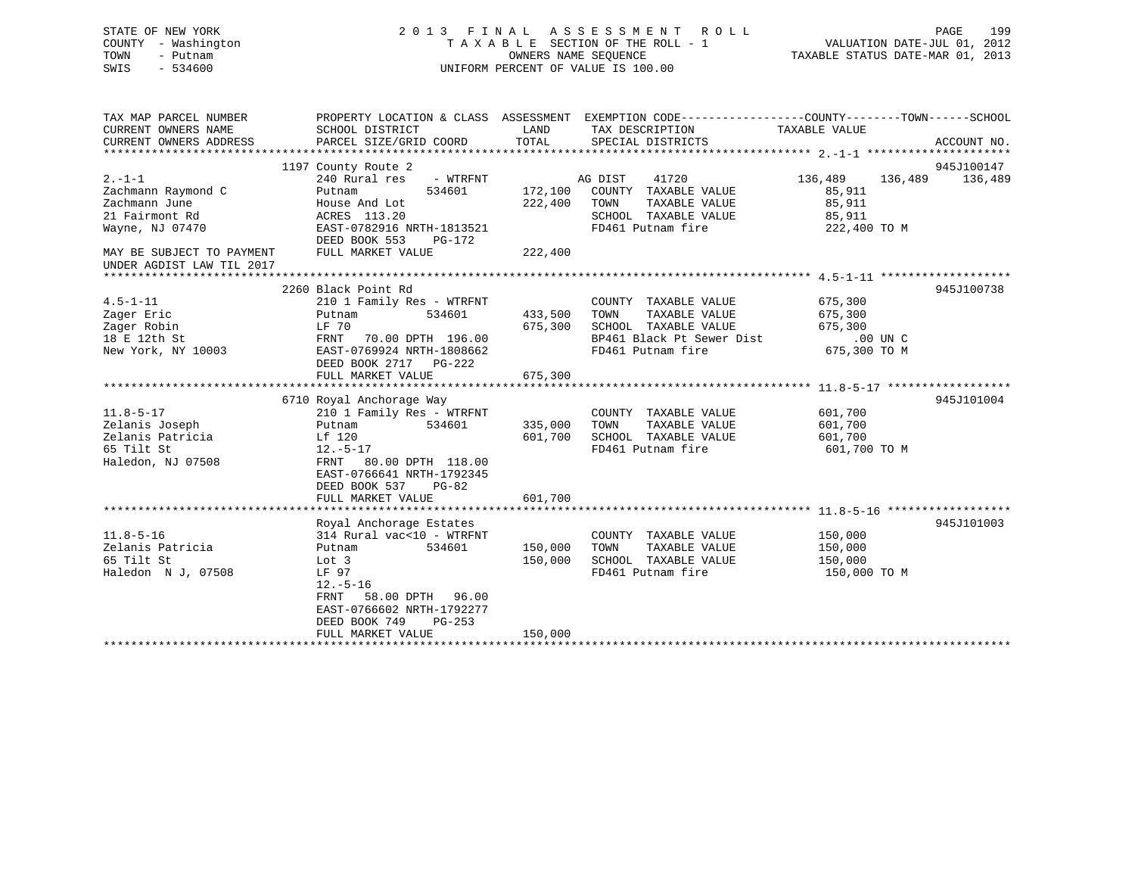| STATE OF NEW YORK<br>COUNTY - Washington<br>TOWN<br>- Putnam<br>SWIS<br>$-534600$ | A S S E S S M E N T<br>2013 FINAL<br>R O L L<br>TAXABLE SECTION OF THE ROLL - 1<br>OWNERS NAME SEQUENCE<br>UNIFORM PERCENT OF VALUE IS 100.00 |         |                                                                                                                    | PAGE<br>199<br>VALUATION DATE-JUL 01, 2012<br>TAXABLE STATUS DATE-MAR 01, 2013 |                       |  |
|-----------------------------------------------------------------------------------|-----------------------------------------------------------------------------------------------------------------------------------------------|---------|--------------------------------------------------------------------------------------------------------------------|--------------------------------------------------------------------------------|-----------------------|--|
| TAX MAP PARCEL NUMBER<br>CURRENT OWNERS NAME                                      | SCHOOL DISTRICT                                                                                                                               | LAND    | PROPERTY LOCATION & CLASS ASSESSMENT EXEMPTION CODE----------------COUNTY-------TOWN-----SCHOOL<br>TAX DESCRIPTION | TAXABLE VALUE                                                                  |                       |  |
| CURRENT OWNERS ADDRESS                                                            | PARCEL SIZE/GRID COORD                                                                                                                        | TOTAL   | SPECIAL DISTRICTS                                                                                                  |                                                                                | ACCOUNT NO.           |  |
|                                                                                   |                                                                                                                                               |         |                                                                                                                    |                                                                                |                       |  |
| $2. -1 - 1$                                                                       | 1197 County Route 2<br>240 Rural res<br>- WTRFNT                                                                                              |         | 41720<br>AG DIST                                                                                                   | 136,489<br>136,489                                                             | 945J100147<br>136,489 |  |
| Zachmann Raymond C                                                                | 534601<br>Putnam                                                                                                                              | 172,100 | COUNTY TAXABLE VALUE                                                                                               | 85,911                                                                         |                       |  |
| Zachmann June                                                                     | House And Lot                                                                                                                                 | 222,400 | TAXABLE VALUE<br>TOWN                                                                                              | 85,911                                                                         |                       |  |
| 21 Fairmont Rd                                                                    | ACRES 113.20                                                                                                                                  |         | SCHOOL TAXABLE VALUE                                                                                               | 85,911                                                                         |                       |  |
| Wayne, NJ 07470                                                                   | EAST-0782916 NRTH-1813521                                                                                                                     |         | FD461 Putnam fire                                                                                                  | 222,400 TO M                                                                   |                       |  |
|                                                                                   | DEED BOOK 553<br>PG-172                                                                                                                       |         |                                                                                                                    |                                                                                |                       |  |
| MAY BE SUBJECT TO PAYMENT<br>UNDER AGDIST LAW TIL 2017                            | FULL MARKET VALUE                                                                                                                             | 222,400 |                                                                                                                    |                                                                                |                       |  |
|                                                                                   |                                                                                                                                               |         |                                                                                                                    |                                                                                |                       |  |
|                                                                                   | 2260 Black Point Rd                                                                                                                           |         |                                                                                                                    |                                                                                | 945J100738            |  |
| $4.5 - 1 - 11$                                                                    | 210 1 Family Res - WTRFNT                                                                                                                     |         | COUNTY TAXABLE VALUE                                                                                               | 675,300                                                                        |                       |  |
| Zager Eric                                                                        | Putnam<br>534601                                                                                                                              | 433,500 | TOWN<br>TAXABLE VALUE                                                                                              | 675,300                                                                        |                       |  |
| Zager Robin                                                                       | LF 70                                                                                                                                         | 675,300 | SCHOOL TAXABLE VALUE                                                                                               | 675,300                                                                        |                       |  |
| 18 E 12th St                                                                      | 70.00 DPTH 196.00<br>FRNT                                                                                                                     |         | BP461 Black Pt Sewer Dist                                                                                          | .00 UN C                                                                       |                       |  |
| New York, NY 10003                                                                | EAST-0769924 NRTH-1808662<br>DEED BOOK 2717 PG-222                                                                                            |         | FD461 Putnam fire                                                                                                  | 675,300 TO M                                                                   |                       |  |
|                                                                                   | FULL MARKET VALUE                                                                                                                             | 675,300 |                                                                                                                    |                                                                                |                       |  |
|                                                                                   |                                                                                                                                               |         |                                                                                                                    |                                                                                |                       |  |
|                                                                                   | 6710 Royal Anchorage Way                                                                                                                      |         |                                                                                                                    |                                                                                | 945J101004            |  |
| $11.8 - 5 - 17$                                                                   | 210 1 Family Res - WTRFNT                                                                                                                     |         | COUNTY TAXABLE VALUE                                                                                               | 601,700                                                                        |                       |  |
| Zelanis Joseph                                                                    | Putnam<br>534601                                                                                                                              | 335,000 | TOWN<br>TAXABLE VALUE                                                                                              | 601,700                                                                        |                       |  |
| Zelanis Patricia                                                                  | Lf 120                                                                                                                                        | 601,700 | SCHOOL TAXABLE VALUE                                                                                               | 601,700                                                                        |                       |  |
| 65 Tilt St                                                                        | $12.-5-17$                                                                                                                                    |         | FD461 Putnam fire                                                                                                  | 601,700 TO M                                                                   |                       |  |
| Haledon, NJ 07508                                                                 | FRNT<br>80.00 DPTH 118.00                                                                                                                     |         |                                                                                                                    |                                                                                |                       |  |
|                                                                                   | EAST-0766641 NRTH-1792345<br>DEED BOOK 537<br>$PG-82$                                                                                         |         |                                                                                                                    |                                                                                |                       |  |
|                                                                                   | FULL MARKET VALUE                                                                                                                             | 601,700 |                                                                                                                    |                                                                                |                       |  |
|                                                                                   |                                                                                                                                               |         |                                                                                                                    |                                                                                |                       |  |
|                                                                                   | Royal Anchorage Estates                                                                                                                       |         |                                                                                                                    |                                                                                | 945J101003            |  |
| $11.8 - 5 - 16$                                                                   | 314 Rural vac<10 - WTRFNT                                                                                                                     |         | COUNTY TAXABLE VALUE                                                                                               | 150,000                                                                        |                       |  |
| Zelanis Patricia                                                                  | 534601<br>Putnam                                                                                                                              | 150,000 | TAXABLE VALUE<br>TOWN                                                                                              | 150,000                                                                        |                       |  |
| 65 Tilt St                                                                        | Lot 3                                                                                                                                         | 150,000 | SCHOOL TAXABLE VALUE                                                                                               | 150,000                                                                        |                       |  |
| Haledon N J, 07508                                                                | LF 97                                                                                                                                         |         | FD461 Putnam fire                                                                                                  | 150,000 TO M                                                                   |                       |  |
|                                                                                   | $12.-5-16$                                                                                                                                    |         |                                                                                                                    |                                                                                |                       |  |
|                                                                                   | 58.00 DPTH<br>96.00<br>FRNT<br>EAST-0766602 NRTH-1792277                                                                                      |         |                                                                                                                    |                                                                                |                       |  |
|                                                                                   | DEED BOOK 749<br>PG-253                                                                                                                       |         |                                                                                                                    |                                                                                |                       |  |
|                                                                                   | FULL MARKET VALUE                                                                                                                             | 150,000 |                                                                                                                    |                                                                                |                       |  |
|                                                                                   | ***************************                                                                                                                   |         |                                                                                                                    |                                                                                |                       |  |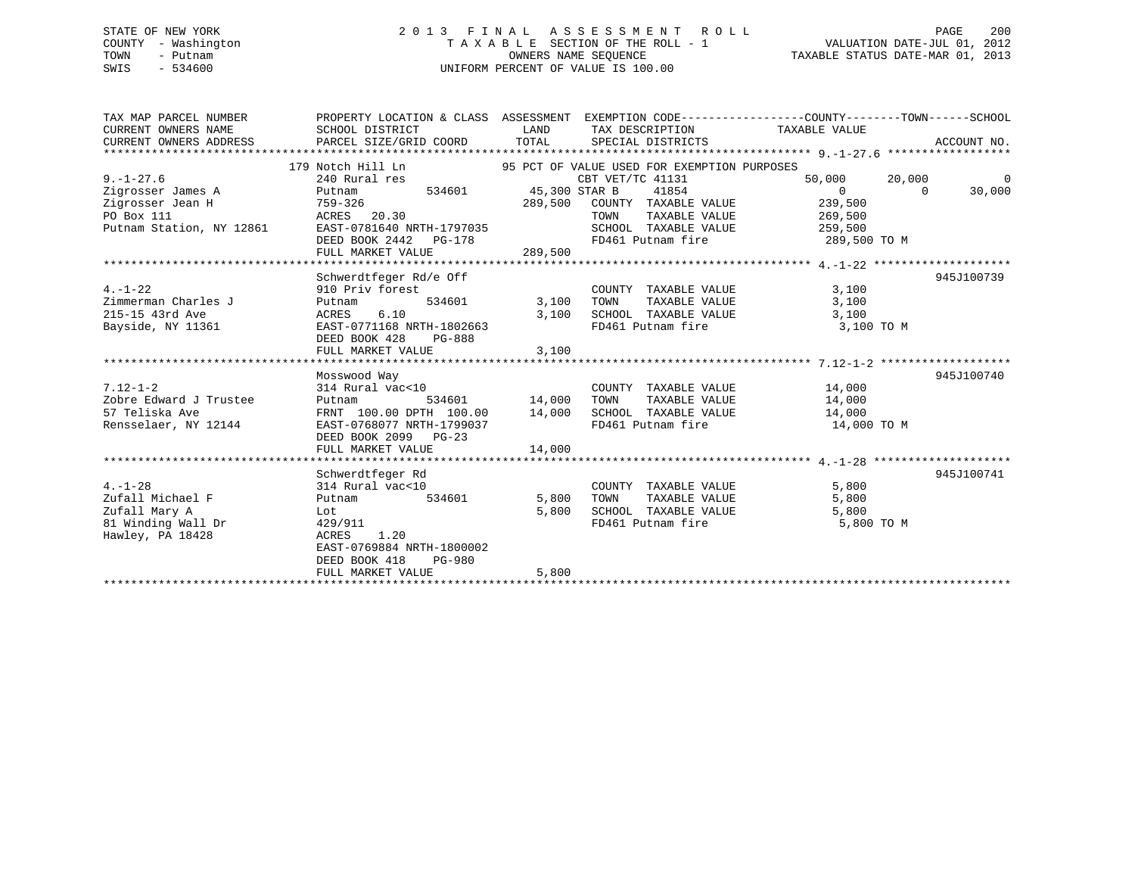### STATE OF NEW YORK 2 0 1 3 F I N A L A S S E S S M E N T R O L L PAGE 200COUNTY - Washington T A X A B L E SECTION OF THE ROLL - 1 TOWN - Putnam OWNERS NAME SEQUENCE TAXABLE STATUS DATE-MAR 01, 2013 SWIS - 534600 UNIFORM PERCENT OF VALUE IS 100.00

| TAX MAP PARCEL NUMBER    |                                                                                                                                                                                                                                            |                                                               | PROPERTY LOCATION & CLASS ASSESSMENT EXEMPTION CODE----------------COUNTY-------TOWN-----SCHOOL                                                         |                          |
|--------------------------|--------------------------------------------------------------------------------------------------------------------------------------------------------------------------------------------------------------------------------------------|---------------------------------------------------------------|---------------------------------------------------------------------------------------------------------------------------------------------------------|--------------------------|
| CURRENT OWNERS NAME      | SCHOOL DISTRICT                                                                                                                                                                                                                            | <b>EXAMPLE THE STATE OF STATE OF STATE</b><br>TAX DESCRIPTION | TAXABLE VALUE                                                                                                                                           |                          |
| CURRENT OWNERS ADDRESS   |                                                                                                                                                                                                                                            |                                                               |                                                                                                                                                         |                          |
|                          |                                                                                                                                                                                                                                            |                                                               | CURRENT OWNERS ADDRESS PARCEL SIZE/GRID COORD TOTAL SPECIAL DISTRICTS CORRENT OWNERS ADDRESS PARCEL SIZE/GRID COORD TOTAL SPECIAL DISTRICTS ACCOUNT NO. |                          |
|                          | 179 Notch Hill Ln<br>240 Rural res<br>240 Rural res<br>240 Rural res<br>240 Rural res<br>240 Rural res<br>240 Rural res<br>240 Rural res<br>240 Rural res<br>240 Rural res<br>240 Rural res<br>240 Rural res<br>240 Rural res<br>240 Rural |                                                               |                                                                                                                                                         |                          |
| $9. - 1 - 27.6$          |                                                                                                                                                                                                                                            |                                                               | 50,000                                                                                                                                                  | $\overline{0}$<br>20,000 |
| Zigrosser James A        | Putnam                                                                                                                                                                                                                                     | 534601 45,300 STAR B                                          | 41854<br>$\overline{0}$                                                                                                                                 | $\Omega$<br>30,000       |
| Zigrosser Jean H         | 759-326                                                                                                                                                                                                                                    | 289,500 COUNTY TAXABLE VALUE                                  | 239,500                                                                                                                                                 |                          |
| PO Box 111               | ACRES 20.30                                                                                                                                                                                                                                | TOWN                                                          | 269,500<br>259,500<br>TAXABLE VALUE                                                                                                                     |                          |
| Putnam Station, NY 12861 | EAST-0781640 NRTH-1797035                                                                                                                                                                                                                  | SCHOOL TAXABLE VALUE                                          |                                                                                                                                                         |                          |
|                          | DEED BOOK 2442 PG-178                                                                                                                                                                                                                      |                                                               | FD461 Putnam fire<br>289,500 TO M                                                                                                                       |                          |
|                          | FULL MARKET VALUE                                                                                                                                                                                                                          | 289,500                                                       |                                                                                                                                                         |                          |
|                          |                                                                                                                                                                                                                                            |                                                               |                                                                                                                                                         |                          |
|                          | Schwerdtfeger Rd/e Off                                                                                                                                                                                                                     |                                                               |                                                                                                                                                         | 945J100739               |
| $4. - 1 - 22$            | 910 Priv forest                                                                                                                                                                                                                            | COUNTY TAXABLE VALUE<br>COUNT 534601 3,100 TOWN               | 3,100                                                                                                                                                   |                          |
| Zimmerman Charles J      | Putnam                                                                                                                                                                                                                                     |                                                               | 3,100<br>TAXABLE VALUE                                                                                                                                  |                          |
| 215-15 43rd Ave          | 6.10<br>ACRES                                                                                                                                                                                                                              | 3,100 SCHOOL TAXABLE VALUE                                    | 3,100                                                                                                                                                   |                          |
| Bayside, NY 11361        | EAST-0771168 NRTH-1802663                                                                                                                                                                                                                  | FD461 Putnam fire                                             | 3,100 TO M                                                                                                                                              |                          |
|                          | DEED BOOK 428<br>PG-888                                                                                                                                                                                                                    |                                                               |                                                                                                                                                         |                          |
|                          | FULL MARKET VALUE                                                                                                                                                                                                                          | 3,100                                                         |                                                                                                                                                         |                          |
|                          | Mosswood Way                                                                                                                                                                                                                               |                                                               |                                                                                                                                                         | 945J100740               |
| $7.12 - 1 - 2$           | 314 Rural vac<10                                                                                                                                                                                                                           | COUNTY TAXABLE VALUE                                          | 14,000                                                                                                                                                  |                          |
| Zobre Edward J Trustee   | Putnam                                                                                                                                                                                                                                     | 534601 14,000 TOWN                                            | TAXABLE VALUE<br>14,000                                                                                                                                 |                          |
| 57 Teliska Ave           | FRNT 100.00 DPTH 100.00 14,000 SCHOOL TAXABLE VALUE                                                                                                                                                                                        |                                                               | 14,000                                                                                                                                                  |                          |
| Rensselaer, NY 12144     | EAST-0768077 NRTH-1799037                                                                                                                                                                                                                  | FD461 Putnam fire                                             | 14,000 TO M                                                                                                                                             |                          |
|                          | DEED BOOK 2099 PG-23                                                                                                                                                                                                                       |                                                               |                                                                                                                                                         |                          |
|                          |                                                                                                                                                                                                                                            |                                                               |                                                                                                                                                         |                          |
|                          |                                                                                                                                                                                                                                            |                                                               |                                                                                                                                                         |                          |
|                          | Schwerdtfeger Rd                                                                                                                                                                                                                           |                                                               |                                                                                                                                                         | 945J100741               |
| $4. - 1 - 28$            | 314 Rural vac<10                                                                                                                                                                                                                           | COUNTY TAXABLE VALUE                                          | 5,800                                                                                                                                                   |                          |
| Zufall Michael F         | 534601<br>Putnam                                                                                                                                                                                                                           | 5,800<br>TOWN                                                 | 5,800<br>TAXABLE VALUE                                                                                                                                  |                          |
| Zufall Mary A            | Lot                                                                                                                                                                                                                                        | SCHOOL TAXABLE VALUE<br>5,800                                 | 5,800                                                                                                                                                   |                          |
| 81 Winding Wall Dr       | 429/911                                                                                                                                                                                                                                    | FD461 Putnam fire                                             | 5,800 TO M                                                                                                                                              |                          |
| Hawley, PA 18428         | ACRES<br>1.20                                                                                                                                                                                                                              |                                                               |                                                                                                                                                         |                          |
|                          | EAST-0769884 NRTH-1800002                                                                                                                                                                                                                  |                                                               |                                                                                                                                                         |                          |

\*\*\*\*\*\*\*\*\*\*\*\*\*\*\*\*\*\*\*\*\*\*\*\*\*\*\*\*\*\*\*\*\*\*\*\*\*\*\*\*\*\*\*\*\*\*\*\*\*\*\*\*\*\*\*\*\*\*\*\*\*\*\*\*\*\*\*\*\*\*\*\*\*\*\*\*\*\*\*\*\*\*\*\*\*\*\*\*\*\*\*\*\*\*\*\*\*\*\*\*\*\*\*\*\*\*\*\*\*\*\*\*\*\*\*\*\*\*\*\*\*\*\*\*\*\*\*\*\*\*\*\*

FULL MARKET VALUE 5,800

DEED BOOK 418 PG-980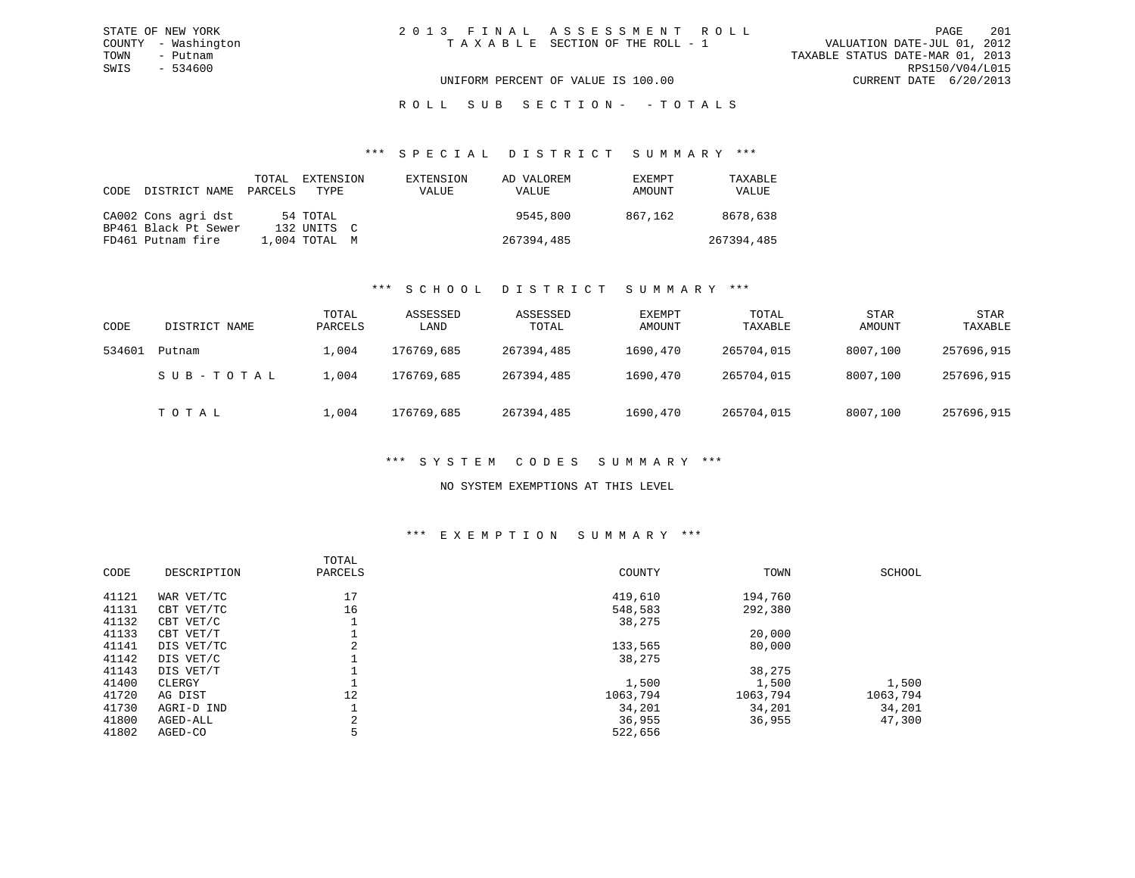### R O L L S U B S E C T I O N - - T O T A L S

#### \*\*\* S P E C I A L D I S T R I C T S U M M A R Y \*\*\*

| CODE | DISTRICT NAME        | TOTAL<br>PARCELS | EXTENSION<br>TYPE | EXTENSION<br>VALUE | AD VALOREM<br><b>VALUE</b> | <b>EXEMPT</b><br>AMOUNT | TAXABLE<br>VALUE |
|------|----------------------|------------------|-------------------|--------------------|----------------------------|-------------------------|------------------|
|      | CA002 Cons agri dst  |                  | 54 TOTAL          |                    | 9545,800                   | 867,162                 | 8678,638         |
|      | BP461 Black Pt Sewer |                  | 132 UNITS C       |                    |                            |                         |                  |
|      | FD461 Putnam fire    |                  | 1,004 TOTAL M     |                    | 267394,485                 |                         | 267394,485       |

#### \*\*\* S C H O O L D I S T R I C T S U M M A R Y \*\*\*

| CODE   | DISTRICT NAME | TOTAL<br>PARCELS | ASSESSED<br>LAND | ASSESSED<br>TOTAL | EXEMPT<br>AMOUNT | TOTAL<br>TAXABLE | <b>STAR</b><br>AMOUNT | <b>STAR</b><br>TAXABLE |
|--------|---------------|------------------|------------------|-------------------|------------------|------------------|-----------------------|------------------------|
| 534601 | Putnam        | $\pm$ ,004       | 176769,685       | 267394,485        | 1690,470         | 265704,015       | 8007,100              | 257696,915             |
|        | SUB-TOTAL     | 1,004            | 176769,685       | 267394,485        | 1690,470         | 265704,015       | 8007,100              | 257696,915             |
|        | TOTAL         | 1,004            | 176769,685       | 267394,485        | 1690,470         | 265704,015       | 8007,100              | 257696,915             |

### \*\*\* S Y S T E M C O D E S S U M M A R Y \*\*\*

### NO SYSTEM EXEMPTIONS AT THIS LEVEL

#### \*\*\* E X E M P T I O N S U M M A R Y \*\*\*

| CODE  | DESCRIPTION | TOTAL<br>PARCELS | COUNTY   | TOWN     | SCHOOL   |
|-------|-------------|------------------|----------|----------|----------|
| 41121 | WAR VET/TC  | 17               | 419,610  | 194,760  |          |
| 41131 | CBT VET/TC  | 16               | 548,583  | 292,380  |          |
| 41132 | CBT VET/C   |                  | 38,275   |          |          |
| 41133 | CBT VET/T   |                  |          | 20,000   |          |
| 41141 | DIS VET/TC  |                  | 133,565  | 80,000   |          |
| 41142 | DIS VET/C   |                  | 38,275   |          |          |
| 41143 | DIS VET/T   |                  |          | 38,275   |          |
| 41400 | CLERGY      |                  | 1,500    | 1,500    | 1,500    |
| 41720 | AG DIST     | 12               | 1063,794 | 1063,794 | 1063,794 |
| 41730 | AGRI-D IND  |                  | 34,201   | 34,201   | 34,201   |
| 41800 | AGED-ALL    |                  | 36,955   | 36,955   | 47,300   |
| 41802 | AGED-CO     | 5                | 522,656  |          |          |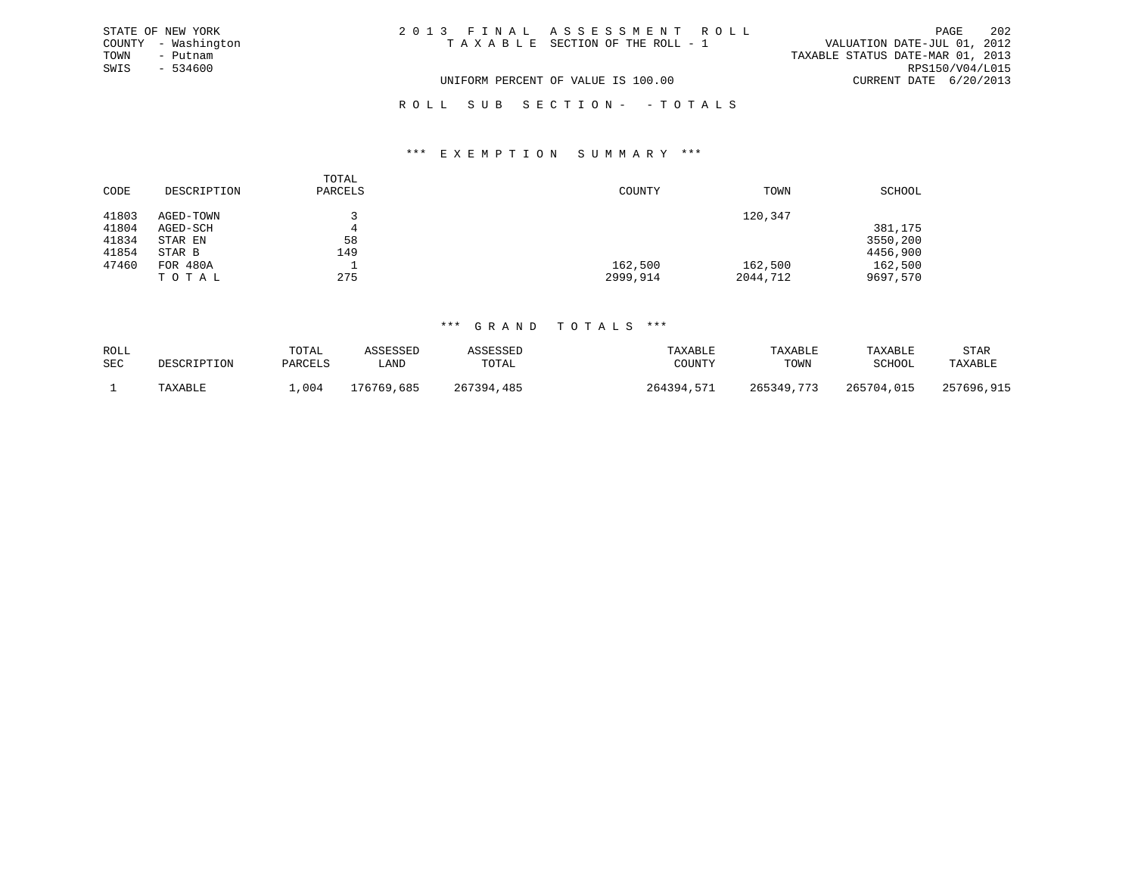| STATE OF NEW YORK |                     | 2013 FINAL ASSESSMENT ROLL         | PAGE                             | 202 |
|-------------------|---------------------|------------------------------------|----------------------------------|-----|
|                   | COUNTY - Washington | TAXABLE SECTION OF THE ROLL - 1    | VALUATION DATE-JUL 01, 2012      |     |
| TOWN              | - Putnam            |                                    | TAXABLE STATUS DATE-MAR 01, 2013 |     |
| SWIS              | $-534600$           |                                    | RPS150/V04/L015                  |     |
|                   |                     | UNIFORM PERCENT OF VALUE IS 100.00 | CURRENT DATE 6/20/2013           |     |
|                   |                     | ROLL SUB SECTION- -TOTALS          |                                  |     |

#### \*\*\* E X E M P T I O N S U M M A R Y \*\*\*

| CODE  | DESCRIPTION | TOTAL<br>PARCELS | COUNTY   | TOWN     | SCHOOL   |
|-------|-------------|------------------|----------|----------|----------|
| 41803 | AGED-TOWN   |                  |          | 120,347  |          |
| 41804 | AGED-SCH    | 4                |          |          | 381,175  |
| 41834 | STAR EN     | 58               |          |          | 3550,200 |
| 41854 | STAR B      | 149              |          |          | 4456,900 |
| 47460 | FOR 480A    | <b>.</b>         | 162,500  | 162,500  | 162,500  |
|       | TOTAL       | 275              | 2999,914 | 2044,712 | 9697,570 |

| ROLL<br>SEC | DESCRIPTION | TOTAL<br>PARCELS | <i>SSESSED</i><br>∟AND | ASSESSED<br>TOTAL | TAXABLE<br>COUNTY | TAXABLE<br>TOWN | TAXABLE<br>SCHOOL | STAR<br>TAXABLE |
|-------------|-------------|------------------|------------------------|-------------------|-------------------|-----------------|-------------------|-----------------|
|             | TAXABLE     | .004             | L76769.<br>685         | 267394,485        | 264394<br>577     | 265349,773      | 265704,015        | 257696,915      |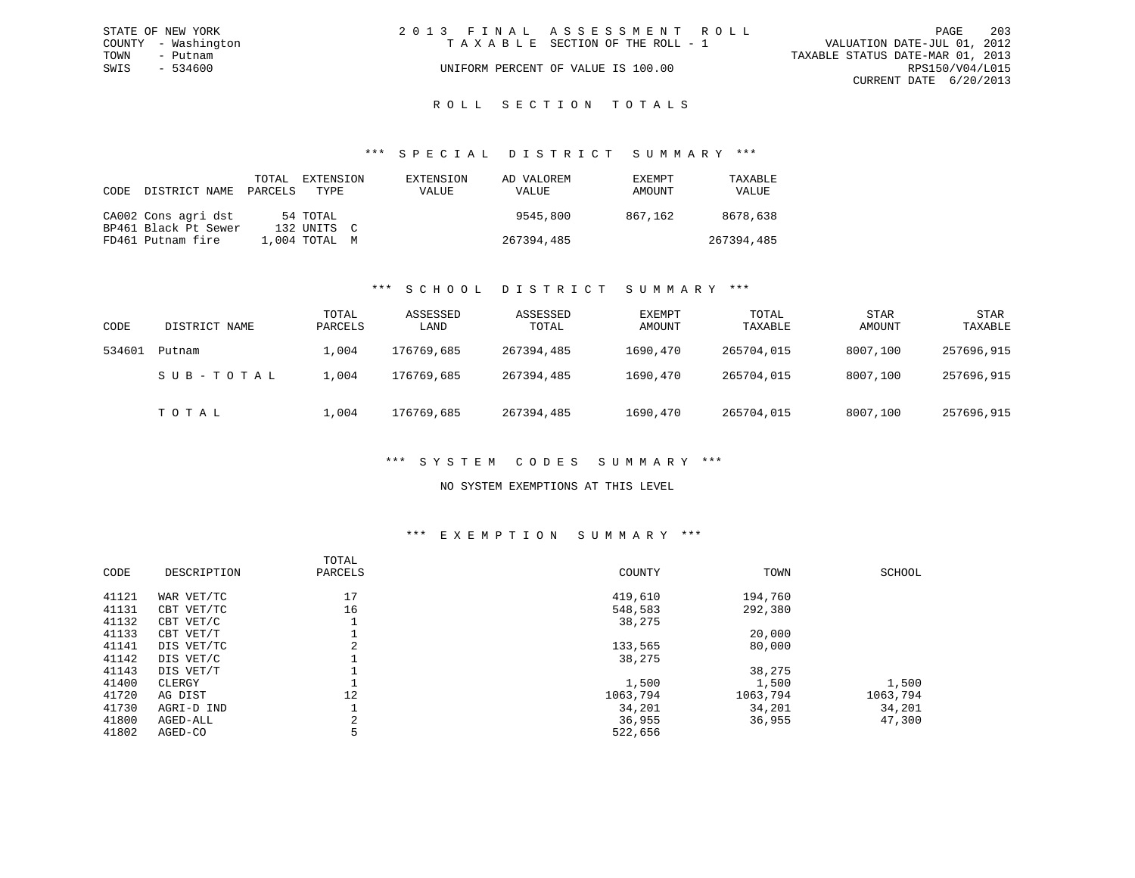| STATE OF NEW YORK   | 2013 FINAL ASSESSMENT ROLL         | 203<br>PAGE                      |
|---------------------|------------------------------------|----------------------------------|
| COUNTY - Washington | TAXABLE SECTION OF THE ROLL - 1    | VALUATION DATE-JUL 01, 2012      |
| TOWN<br>– Putnam    |                                    | TAXABLE STATUS DATE-MAR 01, 2013 |
| SWIS<br>- 534600    | UNIFORM PERCENT OF VALUE IS 100.00 | RPS150/V04/L015                  |
|                     |                                    | CURRENT DATE 6/20/2013           |
|                     |                                    |                                  |

### ROLL SECTION TOTALS

#### \*\*\* S P E C I A L D I S T R I C T S U M M A R Y \*\*\*

| CODE | DISTRICT NAME        | TOTAL<br>PARCELS | EXTENSION<br>TYPE | EXTENSION<br>VALUE | AD VALOREM<br>VALUE | EXEMPT<br>AMOUNT | TAXABLE<br>VALUE |
|------|----------------------|------------------|-------------------|--------------------|---------------------|------------------|------------------|
|      | CA002 Cons agri dst  |                  | 54 TOTAL          |                    | 9545,800            | 867.162          | 8678,638         |
|      | BP461 Black Pt Sewer |                  | 132 INITS C       |                    |                     |                  |                  |
|      | FD461 Putnam fire    |                  | $1.004$ TOTAL $M$ |                    | 267394,485          |                  | 267394,485       |

#### \*\*\* S C H O O L D I S T R I C T S U M M A R Y \*\*\*

| CODE   | DISTRICT NAME | TOTAL<br>PARCELS | ASSESSED<br>LAND | ASSESSED<br>TOTAL | EXEMPT<br>AMOUNT | TOTAL<br>TAXABLE | <b>STAR</b><br>AMOUNT | STAR<br>TAXABLE |
|--------|---------------|------------------|------------------|-------------------|------------------|------------------|-----------------------|-----------------|
| 534601 | Putnam        | $\perp$ ,004     | 176769,685       | 267394,485        | 1690,470         | 265704,015       | 8007,100              | 257696,915      |
|        | SUB-TOTAL     | .,004            | 176769,685       | 267394,485        | 1690,470         | 265704,015       | 8007,100              | 257696,915      |
|        | тотаь         | 1,004            | 176769,685       | 267394,485        | 1690,470         | 265704,015       | 8007,100              | 257696,915      |

#### \*\*\* S Y S T E M C O D E S S U M M A R Y \*\*\*

#### NO SYSTEM EXEMPTIONS AT THIS LEVEL

#### \*\*\* E X E M P T I O N S U M M A R Y \*\*\*

| CODE  | DESCRIPTION | TOTAL<br>PARCELS | COUNTY   | TOWN     | SCHOOL   |
|-------|-------------|------------------|----------|----------|----------|
| 41121 | WAR VET/TC  | 17               | 419,610  | 194,760  |          |
| 41131 | CBT VET/TC  | 16               | 548,583  | 292,380  |          |
| 41132 | CBT VET/C   |                  | 38,275   |          |          |
| 41133 | CBT VET/T   |                  |          | 20,000   |          |
| 41141 | DIS VET/TC  | 2                | 133,565  | 80,000   |          |
| 41142 | DIS VET/C   |                  | 38,275   |          |          |
| 41143 | DIS VET/T   |                  |          | 38,275   |          |
| 41400 | CLERGY      |                  | 1,500    | 1,500    | 1,500    |
| 41720 | AG DIST     | 12               | 1063,794 | 1063,794 | 1063,794 |
| 41730 | AGRI-D IND  |                  | 34,201   | 34,201   | 34,201   |
| 41800 | AGED-ALL    | 2                | 36,955   | 36,955   | 47,300   |
| 41802 | AGED-CO     | 5                | 522,656  |          |          |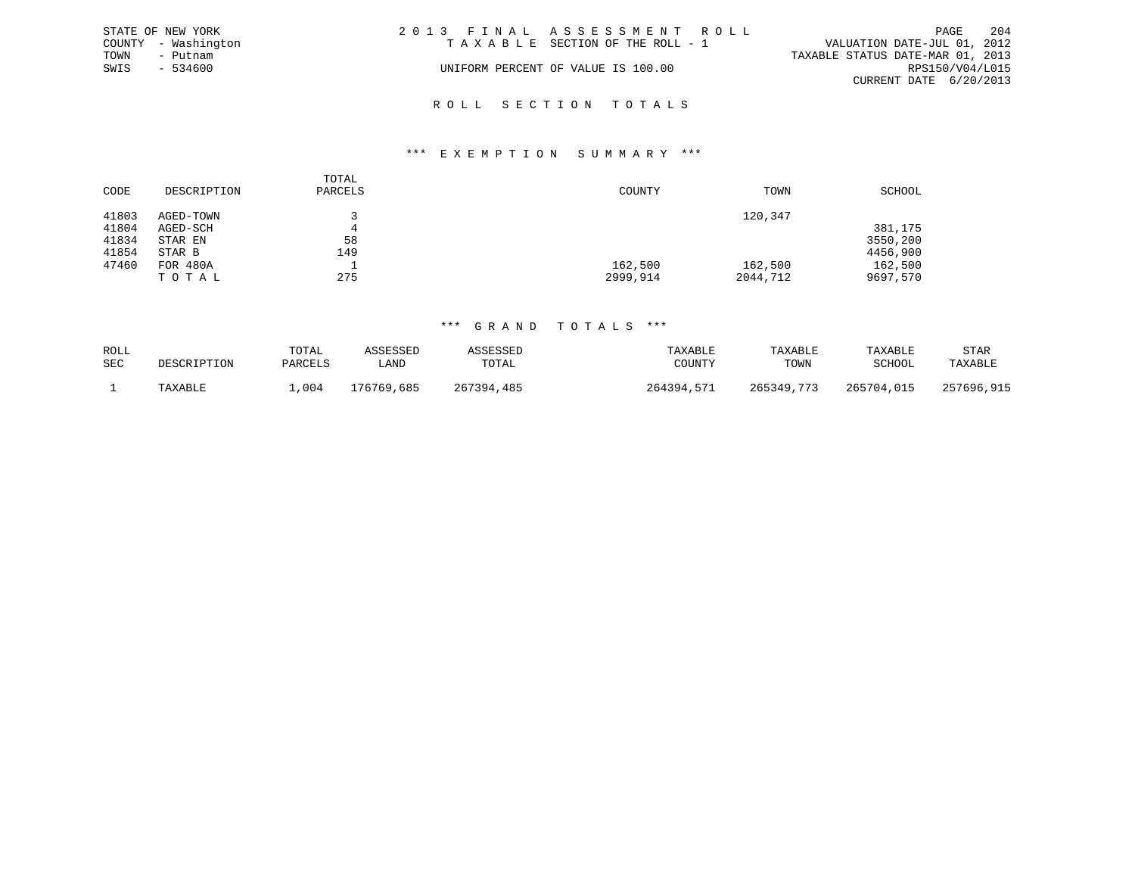|      | STATE OF NEW YORK   | 2013 FINAL ASSESSMENT ROLL |                                    |                                  |                        | PAGE | 204 |
|------|---------------------|----------------------------|------------------------------------|----------------------------------|------------------------|------|-----|
|      | COUNTY - Washington |                            | TAXABLE SECTION OF THE ROLL - 1    | VALUATION DATE-JUL 01, 2012      |                        |      |     |
| TOWN | - Putnam            |                            |                                    | TAXABLE STATUS DATE-MAR 01, 2013 |                        |      |     |
| SWIS | - 534600            |                            | UNIFORM PERCENT OF VALUE IS 100.00 |                                  | RPS150/V04/L015        |      |     |
|      |                     |                            |                                    |                                  | CURRENT DATE 6/20/2013 |      |     |
|      |                     |                            |                                    |                                  |                        |      |     |

## R O L L S E C T I O N T O T A L S

#### \*\*\* E X E M P T I O N S U M M A R Y \*\*\*

|       |             | TOTAL   |          |          |          |
|-------|-------------|---------|----------|----------|----------|
| CODE  | DESCRIPTION | PARCELS | COUNTY   | TOWN     | SCHOOL   |
| 41803 | AGED-TOWN   |         |          | 120,347  |          |
| 41804 | AGED-SCH    | 4       |          |          | 381,175  |
| 41834 | STAR EN     | 58      |          |          | 3550,200 |
| 41854 | STAR B      | 149     |          |          | 4456,900 |
| 47460 | FOR 480A    |         | 162,500  | 162,500  | 162,500  |
|       | TOTAL       | 275     | 2999,914 | 2044,712 | 9697,570 |

| ROLL<br>SEC | DESCRIPTION | TOTAL<br>PARCELS | \SSESSED<br>LAND | SESSEL<br>TOTAL | TAXABLE<br>COUNTY | TAXABLE<br>TOWN | TAXABLE<br>SCHOOL | <b>STAR</b><br>TAXABLE |
|-------------|-------------|------------------|------------------|-----------------|-------------------|-----------------|-------------------|------------------------|
|             | TAXABLE     | ,004             | 176769,685       | 267394<br>.485  | .571<br>264394    | 265349 773      | 265704,015        | 257696,915             |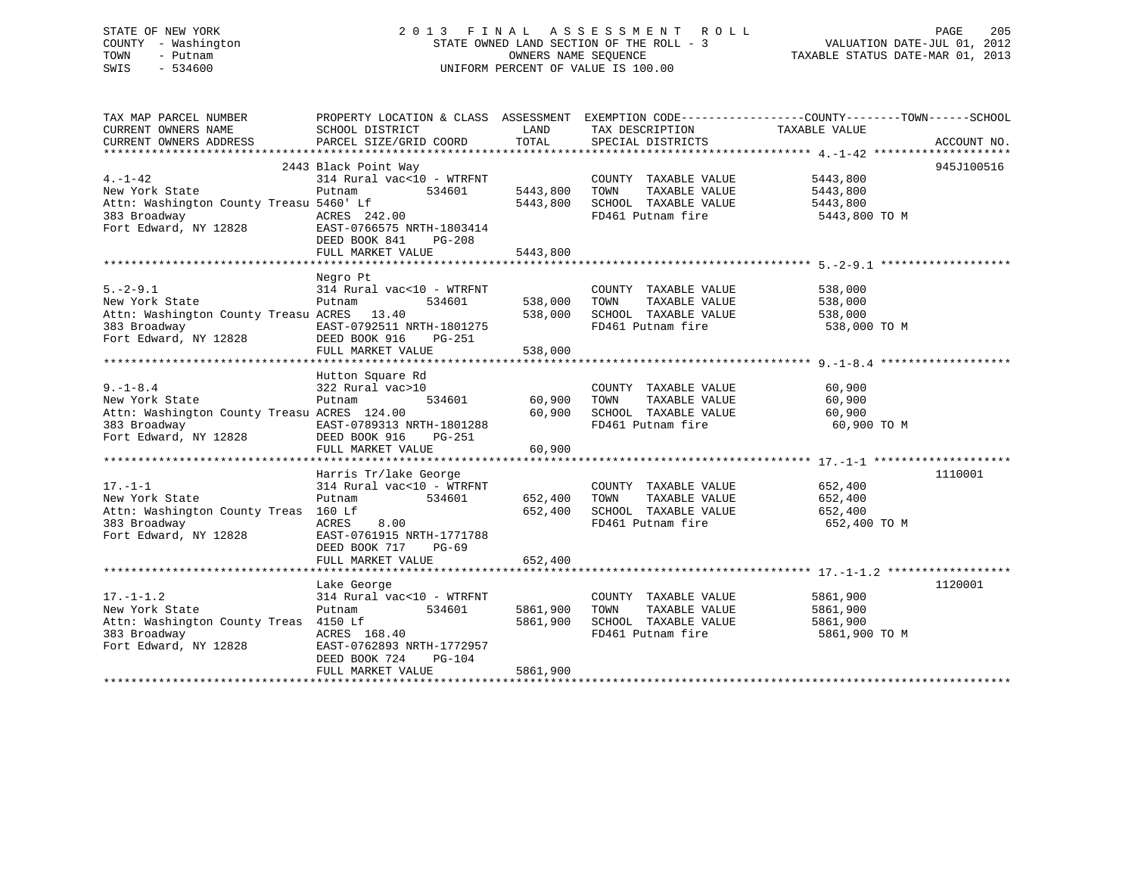| STATE OF NEW YORK   | 2013 FINAL ASSESSMENT ROLL               | 205<br>PAGE                      |
|---------------------|------------------------------------------|----------------------------------|
| COUNTY - Washington | STATE OWNED LAND SECTION OF THE ROLL - 3 | VALUATION DATE-JUL 01, 2012      |
| TOWN<br>- Putnam    | OWNERS NAME SEOUENCE                     | TAXABLE STATUS DATE-MAR 01, 2013 |
| SWIS<br>- 534600    | UNIFORM PERCENT OF VALUE IS 100.00       |                                  |
|                     |                                          |                                  |

| TAX MAP PARCEL NUMBER<br>CURRENT OWNERS NAME                                                                                                                                                       | SCHOOL DISTRICT                                                                                                                | LAND                              | TAX DESCRIPTION                                                                                            | PROPERTY LOCATION & CLASS ASSESSMENT EXEMPTION CODE--------------COUNTY-------TOWN-----SCHOOL<br>TAXABLE VALUE |            |
|----------------------------------------------------------------------------------------------------------------------------------------------------------------------------------------------------|--------------------------------------------------------------------------------------------------------------------------------|-----------------------------------|------------------------------------------------------------------------------------------------------------|----------------------------------------------------------------------------------------------------------------|------------|
| CURRENT OWNERS ADDRESS FORCEL SIZE/GRID COORD TOTAL SPECIAL DISTRICTS THE CONNEXT OWNERS ADDRESS PARCEL SIZE/GRID COORD TOTAL SPECIAL DISTRICTS ACCOUNT NO.                                        |                                                                                                                                |                                   |                                                                                                            |                                                                                                                |            |
|                                                                                                                                                                                                    |                                                                                                                                |                                   |                                                                                                            |                                                                                                                |            |
| $4. -1 - 42$<br>New York State<br>Attn: Washington County Treasu 5460' Lf<br>383 Broadway<br>Fort Edward, NY 12828<br>EAST-0766575 NRTH-1803414<br>DEED BOOK 841 PG-208                            | 2443 Black Point Way<br>314 Rural vac<10 - WTRFNT<br>534601<br>Putnam<br>5460' Lt<br>ACRES 242.00<br>FULL MARKET VALUE         | 5443,800<br>5443,800<br>5443,800  | COUNTY TAXABLE VALUE<br>TAXABLE VALUE<br>TOWN<br>SCHOOL TAXABLE VALUE<br>FD461 Putnam fire 5443,800 TO M   | 5443,800<br>5443,800<br>5443,800                                                                               | 945J100516 |
| $5. - 2 - 9.1$<br>New York State                                                                                                                                                                   | Negro Pt<br>314 Rural vac<10 - WTRFNT<br>Putnam                                                                                |                                   | COUNTY TAXABLE VALUE<br>534601 538,000 TOWN TAXABLE VALUE                                                  | 538,000<br>538,000<br>538,000 TO M                                                                             |            |
| $9. - 1 - 8.4$<br>New York State<br>Attn: Washington County Treasu ACRES 124.00                                                                                                                    | Hutton Square Rd<br>91 July 1912<br>322 Rural vac>10<br>Putner<br>FULL MARKET VALUE                                            | 534601 60,900<br>60,900<br>60,900 | COUNTY TAXABLE VALUE<br>TAXABLE VALUE<br>TOWN<br>SCHOOL TAXABLE VALUE<br>FD461 Putnam fire                 | 60,900<br>60,900<br>60,900<br>60,900 TO M                                                                      |            |
|                                                                                                                                                                                                    | Harris Tr/lake George                                                                                                          |                                   |                                                                                                            |                                                                                                                | 1110001    |
| $17. - 1 - 1$<br>New York State<br>Attn: Washington County Treas 160 Lf<br>383 Broadway<br>Fort Edward, NY 12828                                                                                   | $314$ Rural vac<10 - WTRFNT<br>Putnam 534601 652,400 TOWN<br>ACRES<br>8.00<br>EAST-0761915 NRTH-1771788<br>DEED BOOK 717 PG-69 |                                   | COUNTY TAXABLE VALUE 652,400<br>TAXABLE VALUE 652,400<br>652,400 SCHOOL TAXABLE VALUE<br>FD461 Putnam fire | 652,400<br>652,400 TO M                                                                                        |            |
|                                                                                                                                                                                                    | FULL MARKET VALUE                                                                                                              | 652,400                           |                                                                                                            |                                                                                                                |            |
| $17. - 1 - 1.2$<br>New York State<br>Attn: Washington County Treas 4150 Lf<br>383 Broadway                           ACRES   168.40<br>Fort Edward, NY 12828             EAST-0762893 NRTH-1772957 | Lake George<br>314 Rural vac<10 - WTRFNT<br>Putnam 534601<br>4150 LI<br>ACRES 168.40                                           | 5861,900<br>5861,900              | COUNTY TAXABLE VALUE<br>TAXABLE VALUE<br>TOWN<br>SCHOOL TAXABLE VALUE<br>FD461 Putnam fire                 | 5861,900<br>5861,900<br>5861,900<br>5861,900 TO M                                                              | 1120001    |
|                                                                                                                                                                                                    | DEED BOOK 724<br>PG-104<br>FULL MARKET VALUE                                                                                   | 5861,900                          |                                                                                                            |                                                                                                                |            |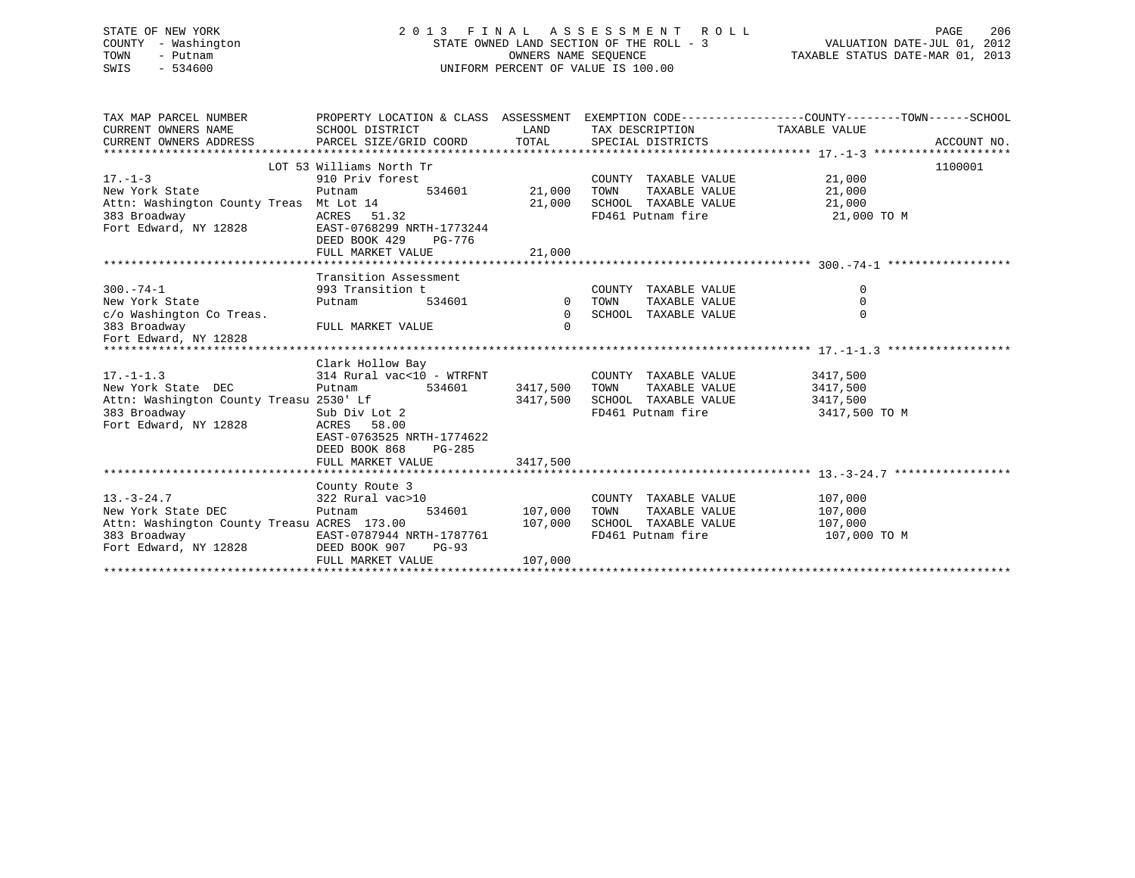| STATE OF NEW YORK   | 2013 FINAL ASSESSMENT ROLL               | 206<br>PAGE                      |
|---------------------|------------------------------------------|----------------------------------|
| COUNTY - Washington | STATE OWNED LAND SECTION OF THE ROLL - 3 | VALUATION DATE-JUL 01, 2012      |
| TOWN<br>– Putnam    | OWNERS NAME SEOUENCE                     | TAXABLE STATUS DATE-MAR 01, 2013 |
| SWIS<br>$-534600$   | UNIFORM PERCENT OF VALUE IS 100.00       |                                  |
|                     |                                          |                                  |

| TAX MAP PARCEL NUMBER                       | PROPERTY LOCATION & CLASS ASSESSMENT EXEMPTION CODE---------------COUNTY-------TOWN------SCHOOL |                        |                               |                       |             |
|---------------------------------------------|-------------------------------------------------------------------------------------------------|------------------------|-------------------------------|-----------------------|-------------|
| CURRENT OWNERS NAME                         | SCHOOL DISTRICT                                                                                 | <b>Example 12</b> LAND | TAX DESCRIPTION TAXABLE VALUE |                       |             |
| CURRENT OWNERS ADDRESS                      | PARCEL SIZE/GRID COORD                                                                          |                        | TOTAL SPECIAL DISTRICTS       |                       | ACCOUNT NO. |
|                                             |                                                                                                 |                        |                               |                       |             |
|                                             | LOT 53 Williams North Tr                                                                        |                        |                               |                       | 1100001     |
| $17. - 1 - 3$                               | 910 Priv forest                                                                                 |                        | COUNTY TAXABLE VALUE          | 21,000                |             |
| New York State                              | 534601<br>Putnam                                                                                | 21,000                 | TAXABLE VALUE<br>TOWN         | 21,000                |             |
| Attn: Washington County Treas Mt Lot 14     |                                                                                                 | 21,000                 | SCHOOL TAXABLE VALUE          | 21,000                |             |
| 383 Broadway                                | ACRES 51.32                                                                                     |                        | FD461 Putnam fire             | 21,000 TO M           |             |
| Fort Edward, NY 12828                       | EAST-0768299 NRTH-1773244                                                                       |                        |                               |                       |             |
|                                             | DEED BOOK 429<br>PG-776                                                                         |                        |                               |                       |             |
|                                             | FULL MARKET VALUE                                                                               | 21,000                 |                               |                       |             |
|                                             |                                                                                                 |                        |                               |                       |             |
|                                             | Transition Assessment                                                                           |                        |                               |                       |             |
| $300. - 74 - 1$                             | 993 Transition t                                                                                |                        | COUNTY TAXABLE VALUE          | 0                     |             |
| New York State                              | Putnam                                                                                          | 534601 0 TOWN          | TAXABLE VALUE                 | $\mathbf 0$           |             |
| c/o Washington Co Treas.                    |                                                                                                 | $\Omega$               | SCHOOL TAXABLE VALUE          | $\Omega$              |             |
| 383 Broadway                                | FULL MARKET VALUE                                                                               | $\Omega$               |                               |                       |             |
| Fort Edward, NY 12828                       |                                                                                                 |                        |                               |                       |             |
|                                             |                                                                                                 |                        |                               |                       |             |
|                                             | Clark Hollow Bay                                                                                |                        |                               |                       |             |
| $17. - 1 - 1.3$                             | 314 Rural vac<10 - WTRFNT                                                                       |                        | COUNTY TAXABLE VALUE          | 3417,500              |             |
| New York State DEC                          | Putnam 534601 3417,500                                                                          |                        | TOWN<br>TAXABLE VALUE         | 3417,500              |             |
|                                             |                                                                                                 | 3417,500               | SCHOOL TAXABLE VALUE          | 3417,500              |             |
|                                             |                                                                                                 |                        | FD461 Putnam fire             | 3417,500 TO M         |             |
| Fort Edward, NY 12828                       | ACRES 58.00                                                                                     |                        |                               |                       |             |
|                                             | EAST-0763525 NRTH-1774622                                                                       |                        |                               |                       |             |
|                                             | DEED BOOK 868<br>PG-285                                                                         |                        |                               |                       |             |
|                                             | FULL MARKET VALUE                                                                               | 3417,500               |                               |                       |             |
|                                             |                                                                                                 |                        |                               |                       |             |
|                                             | County Route 3                                                                                  |                        |                               |                       |             |
| $13. - 3 - 24.7$                            | 322 Rural vac>10                                                                                |                        | COUNTY TAXABLE VALUE          | 107,000               |             |
| New York State DEC                          | Putnam                                                                                          | 534601 107,000         | TOWN                          | TAXABLE VALUE 107,000 |             |
| Attn: Washington County Treasu ACRES 173.00 | 107,000                                                                                         |                        | SCHOOL TAXABLE VALUE          | 107,000               |             |
| 383 Broadway                                | EAST-0787944 NRTH-1787761                                                                       |                        | FD461 Putnam fire             | 107,000 TO M          |             |
| Fort Edward, NY 12828                       | DEED BOOK 907<br>PG-93                                                                          |                        |                               |                       |             |
|                                             | FULL MARKET VALUE                                                                               | 107,000                |                               |                       |             |
|                                             |                                                                                                 |                        |                               |                       |             |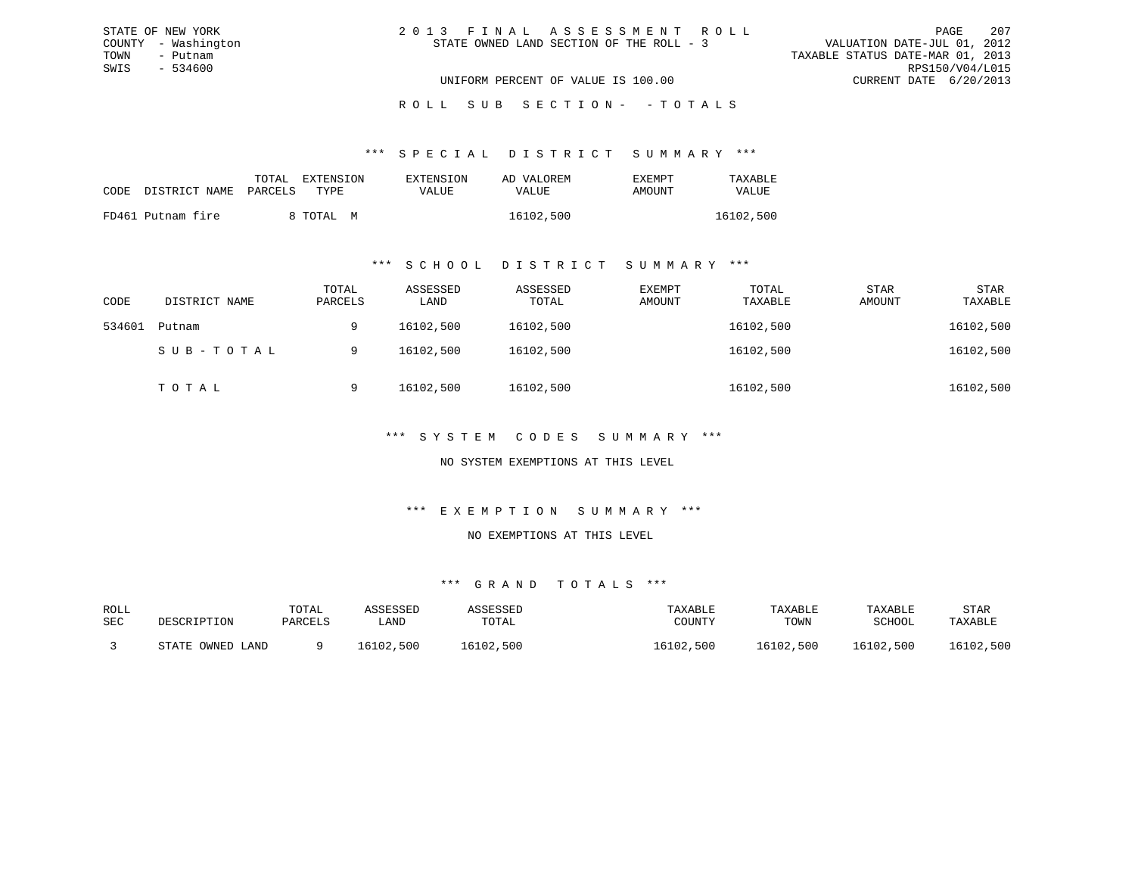| 2013 FINAL ASSESSMENT ROLL               |  |                                  | PAGE                   | 207             |
|------------------------------------------|--|----------------------------------|------------------------|-----------------|
| STATE OWNED LAND SECTION OF THE ROLL - 3 |  | VALUATION DATE-JUL 01, 2012      |                        |                 |
|                                          |  | TAXABLE STATUS DATE-MAR 01, 2013 |                        |                 |
|                                          |  |                                  |                        | RPS150/V04/L015 |
| UNIFORM PERCENT OF VALUE IS 100.00       |  |                                  | CURRENT DATE 6/20/2013 |                 |

#### \*\*\* S P E C I A L D I S T R I C T S U M M A R Y \*\*\*

| CODE | DISTRICT NAME PARCELS | TOTAL | EXTENSION<br>TYPR. | EXTENSION<br>VALUE | AD VALOREM<br>VALUE | EXEMPT<br>AMOUNT | TAXABLE<br>VALUE |
|------|-----------------------|-------|--------------------|--------------------|---------------------|------------------|------------------|
|      | FD461 Putnam fire     |       | 8 TOTAL M          |                    | 16102,500           |                  | 16102,500        |

STATE OF NEW YORK COUNTY - Washington TOWN - Putnam SWIS - 534600

#### \*\*\* S C H O O L D I S T R I C T S U M M A R Y \*\*\*

| CODE   | DISTRICT NAME | TOTAL<br>PARCELS | ASSESSED<br>LAND | ASSESSED<br>TOTAL | EXEMPT<br>AMOUNT | TOTAL<br>TAXABLE | <b>STAR</b><br>AMOUNT | <b>STAR</b><br>TAXABLE |
|--------|---------------|------------------|------------------|-------------------|------------------|------------------|-----------------------|------------------------|
| 534601 | Putnam        | 9                | 16102,500        | 16102,500         |                  | 16102,500        |                       | 16102,500              |
|        | SUB-TOTAL     | 9                | 16102,500        | 16102,500         |                  | 16102,500        |                       | 16102,500              |
|        | TOTAL         | 9                | 16102,500        | 16102,500         |                  | 16102,500        |                       | 16102,500              |

### \*\*\* S Y S T E M C O D E S S U M M A R Y \*\*\*

### NO SYSTEM EXEMPTIONS AT THIS LEVEL

#### \*\*\* E X E M P T I O N S U M M A R Y \*\*\*

#### NO EXEMPTIONS AT THIS LEVEL

| ROLL |                  | TOTAL   | ASSESSED  | ASSESSED  | TAXABLE   | TAXABLE   | TAXABLE   | STAR      |
|------|------------------|---------|-----------|-----------|-----------|-----------|-----------|-----------|
| SEC  | DESCRIPTION      | PARCELS | LAND      | TOTAL     | COUNTY    | TOWN      | SCHOOL    | TAXABLE   |
|      | STATE OWNED LAND |         | 16102,500 | 16102,500 | 16102,500 | 16102,500 | 16102,500 | 16102,500 |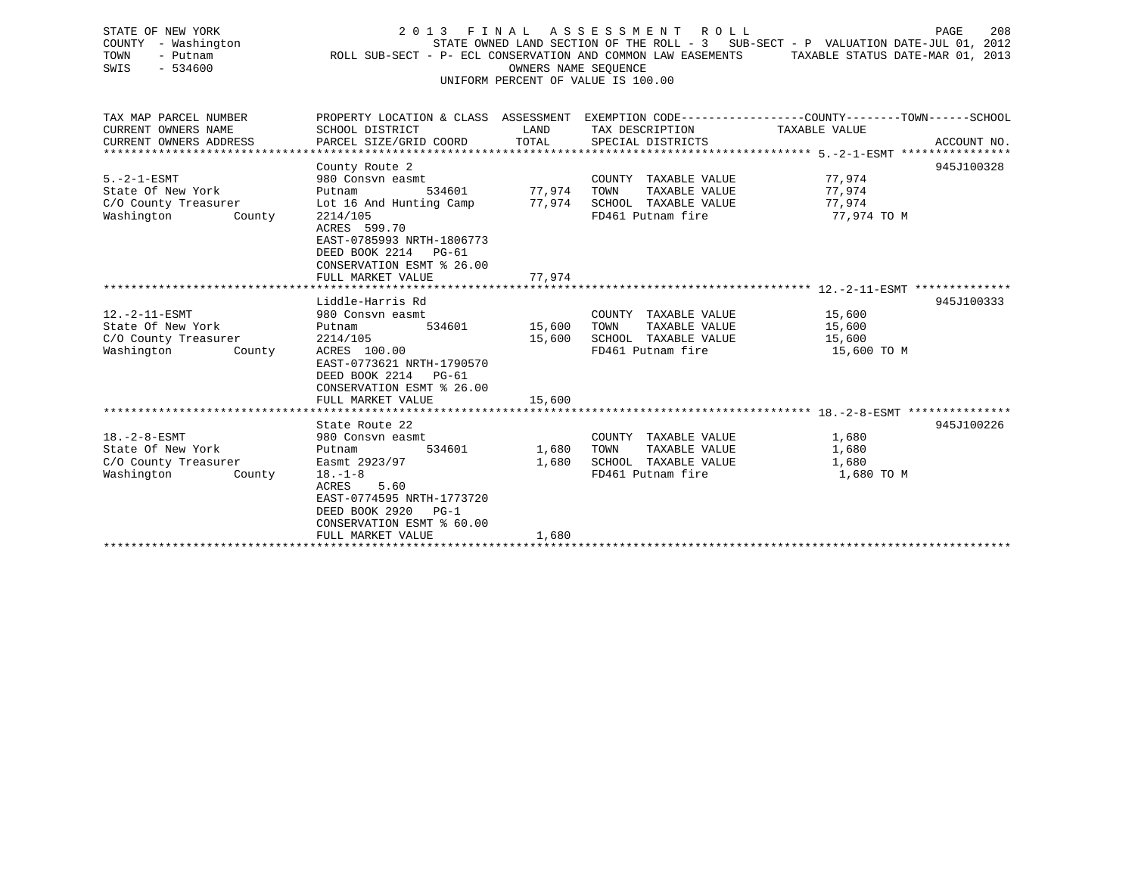| STATE OF NEW YORK<br>COUNTY - Washington<br>TOWN<br>- Putnam<br>SWIS<br>$-534600$         | 2 0 1 3<br>ROLL SUB-SECT - P- ECL CONSERVATION AND COMMON LAW EASEMENTS                                                                                                                         | FINAL<br>OWNERS NAME SEQUENCE | A S S E S S M E N T<br>ROLL ROLL<br>UNIFORM PERCENT OF VALUE IS 100.00                     | PAGE<br>208<br>STATE OWNED LAND SECTION OF THE ROLL - 3 SUB-SECT - P VALUATION DATE-JUL 01, 2012<br>TAXABLE STATUS DATE-MAR 01, 2013 |
|-------------------------------------------------------------------------------------------|-------------------------------------------------------------------------------------------------------------------------------------------------------------------------------------------------|-------------------------------|--------------------------------------------------------------------------------------------|--------------------------------------------------------------------------------------------------------------------------------------|
| TAX MAP PARCEL NUMBER<br>CURRENT OWNERS NAME<br>CURRENT OWNERS ADDRESS                    | SCHOOL DISTRICT<br>PARCEL SIZE/GRID COORD                                                                                                                                                       | LAND<br>TOTAL                 | TAX DESCRIPTION<br>SPECIAL DISTRICTS                                                       | PROPERTY LOCATION & CLASS ASSESSMENT EXEMPTION CODE---------------COUNTY-------TOWN------SCHOOL<br>TAXABLE VALUE<br>ACCOUNT NO.      |
| $5. -2 - 1 - ESMT$<br>State Of New York<br>C/O County Treasurer<br>Washington<br>County   | County Route 2<br>980 Consvn easmt<br>534601<br>Putnam<br>Lot 16 And Hunting Camp<br>2214/105<br>ACRES 599.70<br>EAST-0785993 NRTH-1806773<br>DEED BOOK 2214 PG-61<br>CONSERVATION ESMT % 26.00 | 77,974<br>77.974              | COUNTY TAXABLE VALUE<br>TAXABLE VALUE<br>TOWN<br>SCHOOL TAXABLE VALUE<br>FD461 Putnam fire | 945J100328<br>77,974<br>77,974<br>77,974<br>77,974 TO M                                                                              |
|                                                                                           | FULL MARKET VALUE                                                                                                                                                                               | 77,974                        |                                                                                            |                                                                                                                                      |
| $12.-2-11-ESMT$<br>State Of New York<br>C/O County Treasurer<br>Washington<br>County      | Liddle-Harris Rd<br>980 Consyn easmt<br>Putnam<br>534601<br>2214/105<br>ACRES 100.00<br>EAST-0773621 NRTH-1790570<br>DEED BOOK 2214<br>$PG-61$<br>CONSERVATION ESMT % 26.00                     | 15,600<br>15,600              | COUNTY TAXABLE VALUE<br>TAXABLE VALUE<br>TOWN<br>SCHOOL TAXABLE VALUE<br>FD461 Putnam fire | 945J100333<br>15,600<br>15,600<br>15,600<br>15,600 TO M                                                                              |
|                                                                                           | FULL MARKET VALUE                                                                                                                                                                               | 15,600                        |                                                                                            |                                                                                                                                      |
| $18. - 2 - 8 - ESMT$<br>State Of New York<br>C/O County Treasurer<br>Washington<br>County | State Route 22<br>980 Consyn easmt<br>Putnam<br>534601<br>Easmt 2923/97<br>$18. - 1 - 8$<br>5.60<br>ACRES<br>EAST-0774595 NRTH-1773720<br>DEED BOOK 2920<br>$PG-1$<br>CONSERVATION ESMT % 60.00 | 1,680<br>1,680                | COUNTY TAXABLE VALUE<br>TAXABLE VALUE<br>TOWN<br>SCHOOL TAXABLE VALUE<br>FD461 Putnam fire | 945J100226<br>1,680<br>1,680<br>1,680<br>1,680 TO M                                                                                  |

FULL MARKET VALUE 1,680 \*\*\*\*\*\*\*\*\*\*\*\*\*\*\*\*\*\*\*\*\*\*\*\*\*\*\*\*\*\*\*\*\*\*\*\*\*\*\*\*\*\*\*\*\*\*\*\*\*\*\*\*\*\*\*\*\*\*\*\*\*\*\*\*\*\*\*\*\*\*\*\*\*\*\*\*\*\*\*\*\*\*\*\*\*\*\*\*\*\*\*\*\*\*\*\*\*\*\*\*\*\*\*\*\*\*\*\*\*\*\*\*\*\*\*\*\*\*\*\*\*\*\*\*\*\*\*\*\*\*\*\*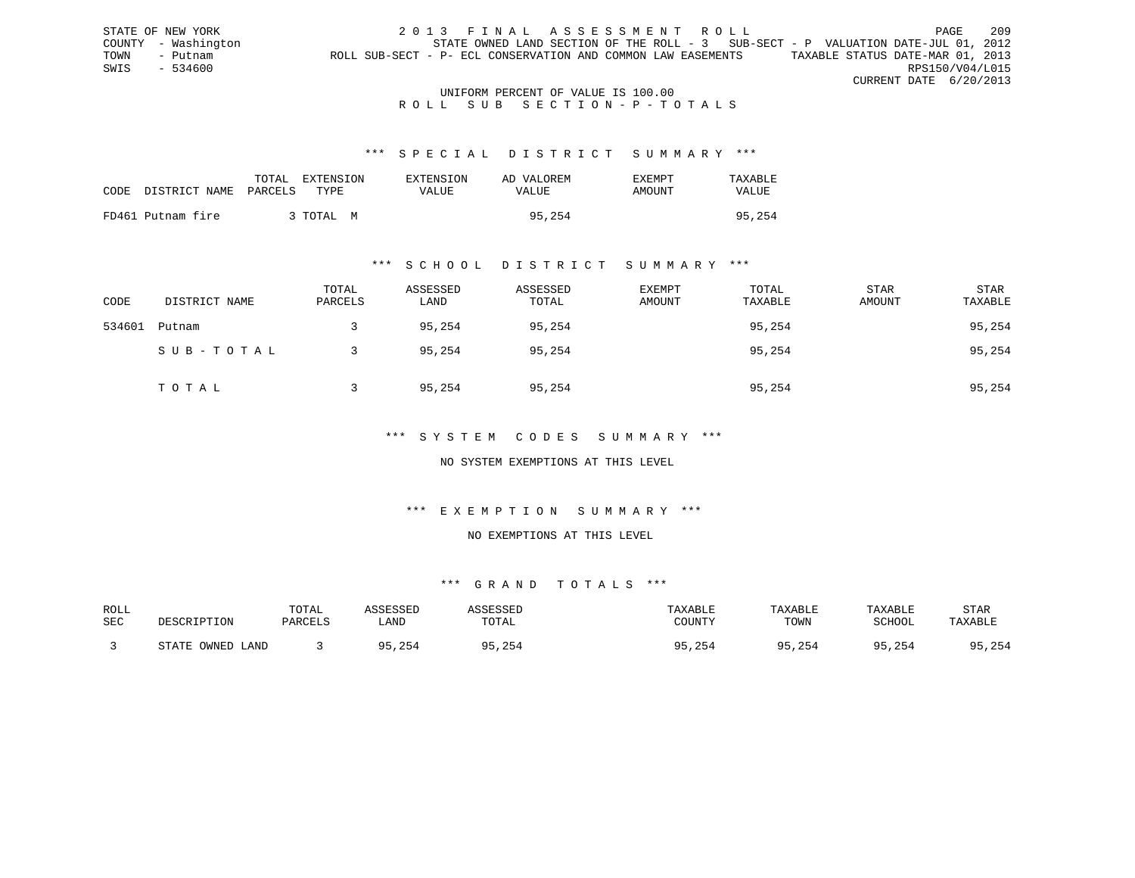STATE OF NEW YORK 2013 FINAL ASSESSMENT ROLL PAGE 209 COUNTY - Washington STATE OWNED LAND SECTION OF THE ROLL - 3 SUB-SECT - P VALUATION DATE-JUL 01, 2012 TOWN - Putnam ROLL SUB-SECT - P- ECL CONSERVATION AND COMMON LAW EASEMENTS TAXABLE STATUS DATE-MAR 01, 2013 SWIS - 534600 RPS150/V04/L015 CURRENT DATE 6/20/2013

#### UNIFORM PERCENT OF VALUE IS 100.00 ROLL SUB SECTION-P-TOTALS

#### \*\*\* S P E C I A L D I S T R I C T S U M M A R Y \*\*\*

| CODE | DISTRICT NAME PARCELS | TOTAL<br>EXTENSION<br>TYPE. | EXTENSION<br>VALUE | AD VALOREM<br>VALUE | EXEMPT<br>AMOUNT | TAXARI.E<br><b>VALUE</b> |
|------|-----------------------|-----------------------------|--------------------|---------------------|------------------|--------------------------|
|      | FD461 Putnam fire     | 3 TOTAL                     | M                  | 95,254              |                  | 95,254                   |

#### \*\*\* S C H O O L D I S T R I C T S U M M A R Y \*\*\*

| CODE   | DISTRICT NAME | TOTAL<br>PARCELS | ASSESSED<br>LAND | ASSESSED<br>TOTAL | EXEMPT<br>AMOUNT | TOTAL<br>TAXABLE | STAR<br>AMOUNT | STAR<br>TAXABLE |
|--------|---------------|------------------|------------------|-------------------|------------------|------------------|----------------|-----------------|
| 534601 | Putnam        |                  | 95,254           | 95,254            |                  | 95,254           |                | 95,254          |
|        | SUB-TOTAL     |                  | 95,254           | 95,254            |                  | 95,254           |                | 95,254          |
|        | TOTAL         |                  | 95,254           | 95,254            |                  | 95,254           |                | 95,254          |

### \*\*\* S Y S T E M C O D E S S U M M A R Y \*\*\*

#### NO SYSTEM EXEMPTIONS AT THIS LEVEL

#### \*\*\* E X E M P T I O N S U M M A R Y \*\*\*

### NO EXEMPTIONS AT THIS LEVEL

| ROLL |                  | TOTAL   | ASSESSED | ASSESSED | TAXABLE      | TAXABLE | TAXABLE      | <b>STAR</b> |
|------|------------------|---------|----------|----------|--------------|---------|--------------|-------------|
| SEC  | DESCRIPTION      | PARCELS | LAND     | TOTAL    | COUNTY       | TOWN    | SCHOOL       | TAXABLE     |
|      | STATE OWNED LAND |         | 95,254   | 5,254    | 95,254<br>QE | 95,254  | 95,254<br>QE | 95,254      |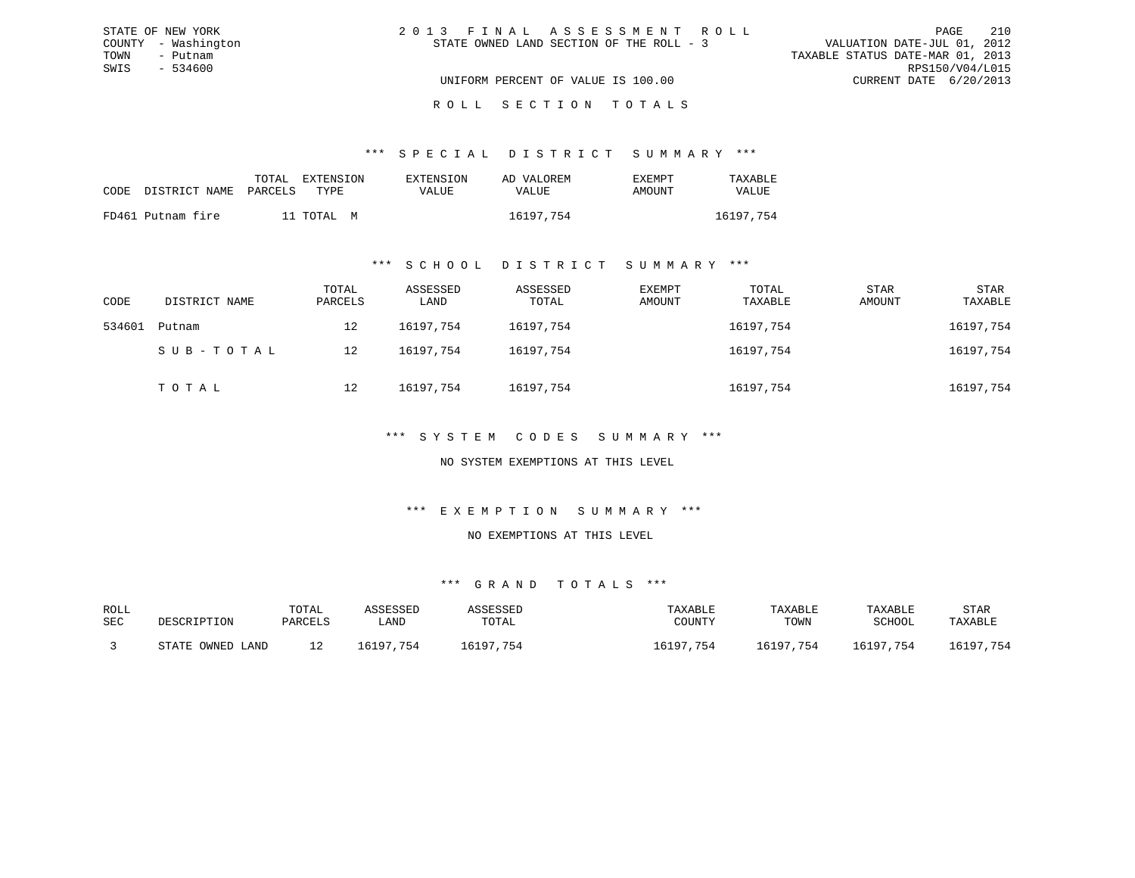| STATE OF NEW YORK   | 2013 FINAL ASSESSMENT ROLL               | 210<br>PAGE                      |
|---------------------|------------------------------------------|----------------------------------|
| COUNTY - Washington | STATE OWNED LAND SECTION OF THE ROLL - 3 | VALUATION DATE-JUL 01, 2012      |
| TOWN<br>- Putnam    |                                          | TAXABLE STATUS DATE-MAR 01, 2013 |
| SWIS<br>- 534600    |                                          | RPS150/V04/L015                  |
|                     | UNIFORM PERCENT OF VALUE IS 100.00       | CURRENT DATE 6/20/2013           |
|                     |                                          |                                  |

#### R O L L S E C T I O N T O T A L S

#### \*\*\* S P E C I A L D I S T R I C T S U M M A R Y \*\*\*

|                            | TOTAL | <b>EXTENSION</b> | <b>EXTENSION</b> | AD VALOREM | EXEMPT | TAXABLE      |
|----------------------------|-------|------------------|------------------|------------|--------|--------------|
| CODE DISTRICT NAME PARCELS |       | TYPE.            | VALUE            | VALUE      | AMOUNT | <b>VALUE</b> |
| FD461 Putnam fire          |       | 11 TOTAL M       |                  | 16197,754  |        | 16197.754    |

#### \*\*\* S C H O O L D I S T R I C T S U M M A R Y \*\*\*

| CODE   | DISTRICT NAME | TOTAL<br>PARCELS | ASSESSED<br>LAND | ASSESSED<br>TOTAL | EXEMPT<br>AMOUNT | TOTAL<br>TAXABLE | STAR<br>AMOUNT | STAR<br>TAXABLE |
|--------|---------------|------------------|------------------|-------------------|------------------|------------------|----------------|-----------------|
| 534601 | Putnam        | 12               | 16197.754        | 16197.754         |                  | 16197,754        |                | 16197,754       |
|        | SUB-TOTAL     | 12               | 16197.754        | 16197,754         |                  | 16197,754        |                | 16197,754       |
|        | TOTAL         | 12               | 16197,754        | 16197,754         |                  | 16197,754        |                | 16197,754       |

#### \*\*\* S Y S T E M C O D E S S U M M A R Y \*\*\*

#### NO SYSTEM EXEMPTIONS AT THIS LEVEL

#### \*\*\* E X E M P T I O N S U M M A R Y \*\*\*

#### NO EXEMPTIONS AT THIS LEVEL

| ROLL |                  | TOTAL   | ASSESSED  | ASSESSED  | TAXABLE   | TAXABLE   | TAXABLE   | STAR      |
|------|------------------|---------|-----------|-----------|-----------|-----------|-----------|-----------|
| SEC  | DESCRIPTION      | PARCELS | LAND      | TOTAL     | COUNTY    | TOWN      | SCHOOL    | TAXABLE   |
|      | STATE OWNED LAND |         | 16197.754 | 16197,754 | 16197,754 | 16197,754 | 16197,754 | 16197,754 |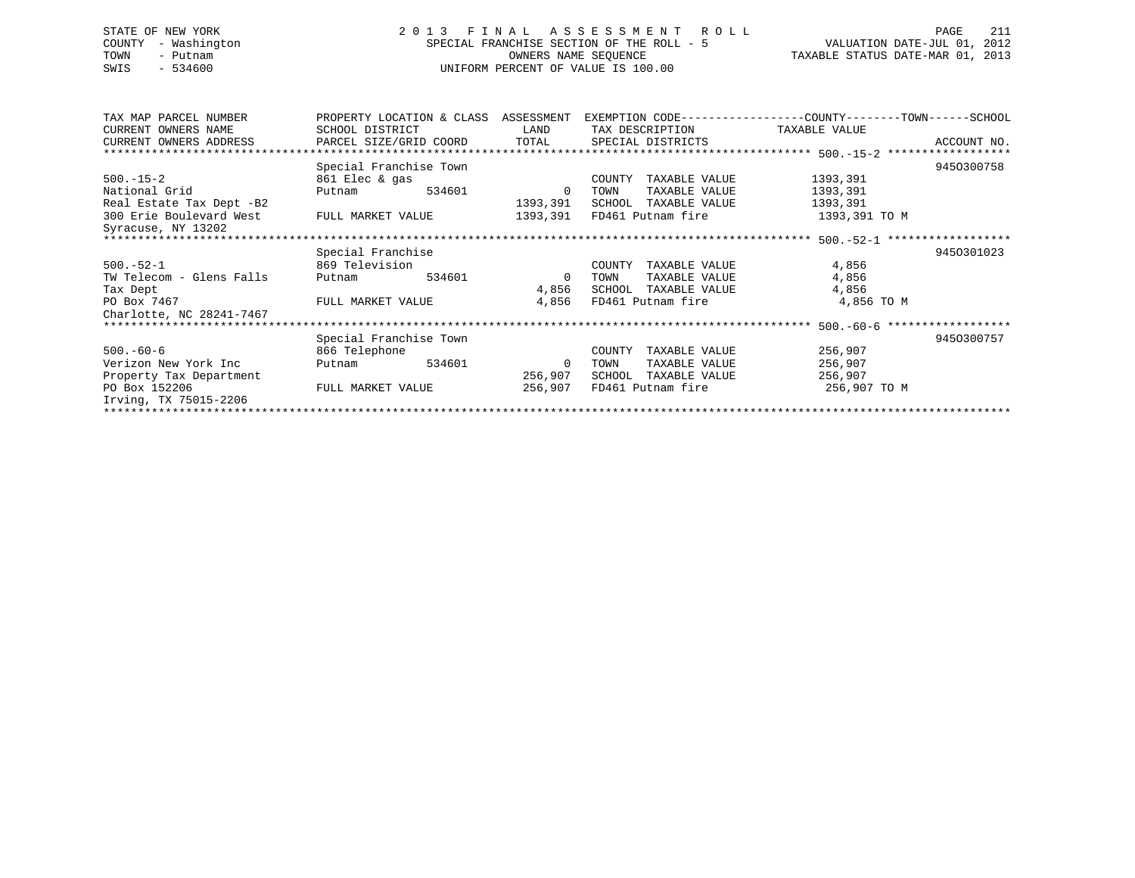# STATE OF NEW YORK 2 0 1 3 F I N A L A S S E S S M E N T R O L L PAGE 211 COUNTY - Washington SPECIAL FRANCHISE SECTION OF THE ROLL - 5 VALUATION DATE-JUL 01, 2012 TOWN - Putnam OWNERS NAME SEQUENCE TAXABLE STATUS DATE-MAR 01, 2013 SWIS - 534600 UNIFORM PERCENT OF VALUE IS 100.00

| TAX MAP PARCEL NUMBER    | PROPERTY LOCATION & CLASS ASSESSMENT |        |          |        |                      | EXEMPTION CODE-----------------COUNTY-------TOWN------SCHOOL |             |
|--------------------------|--------------------------------------|--------|----------|--------|----------------------|--------------------------------------------------------------|-------------|
| CURRENT OWNERS NAME      | SCHOOL DISTRICT                      |        | LAND     |        | TAX DESCRIPTION      | TAXABLE VALUE                                                |             |
| CURRENT OWNERS ADDRESS   | PARCEL SIZE/GRID COORD               |        | TOTAL    |        | SPECIAL DISTRICTS    |                                                              | ACCOUNT NO. |
|                          |                                      |        |          |        |                      |                                                              |             |
|                          | Special Franchise Town               |        |          |        |                      |                                                              | 9450300758  |
| $500. -15 - 2$           | 861 Elec & gas                       |        |          | COUNTY | TAXABLE VALUE        | 1393,391                                                     |             |
| National Grid            | Putnam                               | 534601 | $\Omega$ | TOWN   | TAXABLE VALUE        | 1393,391                                                     |             |
| Real Estate Tax Dept -B2 |                                      |        | 1393,391 |        | SCHOOL TAXABLE VALUE | 1393,391                                                     |             |
| 300 Erie Boulevard West  | FULL MARKET VALUE                    |        | 1393,391 |        | FD461 Putnam fire    | 1393,391 TO M                                                |             |
| Syracuse, NY 13202       |                                      |        |          |        |                      |                                                              |             |
|                          |                                      |        |          |        |                      |                                                              |             |
|                          | Special Franchise                    |        |          |        |                      |                                                              | 9450301023  |
| $500.-52-1$              | 869 Television                       |        |          | COUNTY | TAXABLE VALUE        | 4,856                                                        |             |
| TW Telecom - Glens Falls | Putnam                               | 534601 | $\Omega$ | TOWN   | TAXABLE VALUE        | 4,856                                                        |             |
| Tax Dept                 |                                      |        | 4,856    |        | SCHOOL TAXABLE VALUE | 4,856                                                        |             |
| PO Box 7467              | FULL MARKET VALUE                    |        | 4,856    |        | FD461 Putnam fire    | 4,856 TO M                                                   |             |
| Charlotte, NC 28241-7467 |                                      |        |          |        |                      |                                                              |             |
|                          |                                      |        |          |        |                      |                                                              |             |
|                          | Special Franchise Town               |        |          |        |                      |                                                              | 9450300757  |
| $500. -60 - 6$           | 866 Telephone                        |        |          | COUNTY | TAXABLE VALUE        | 256,907                                                      |             |
| Verizon New York Inc     | Putnam                               | 534601 | 0        | TOWN   | TAXABLE VALUE        | 256,907                                                      |             |
| Property Tax Department  |                                      |        | 256,907  | SCHOOL | TAXABLE VALUE        | 256,907                                                      |             |
| PO Box 152206            | FULL MARKET VALUE                    |        | 256,907  |        | FD461 Putnam fire    | 256,907 TO M                                                 |             |
| Irving, TX 75015-2206    |                                      |        |          |        |                      |                                                              |             |
|                          |                                      |        |          |        |                      |                                                              |             |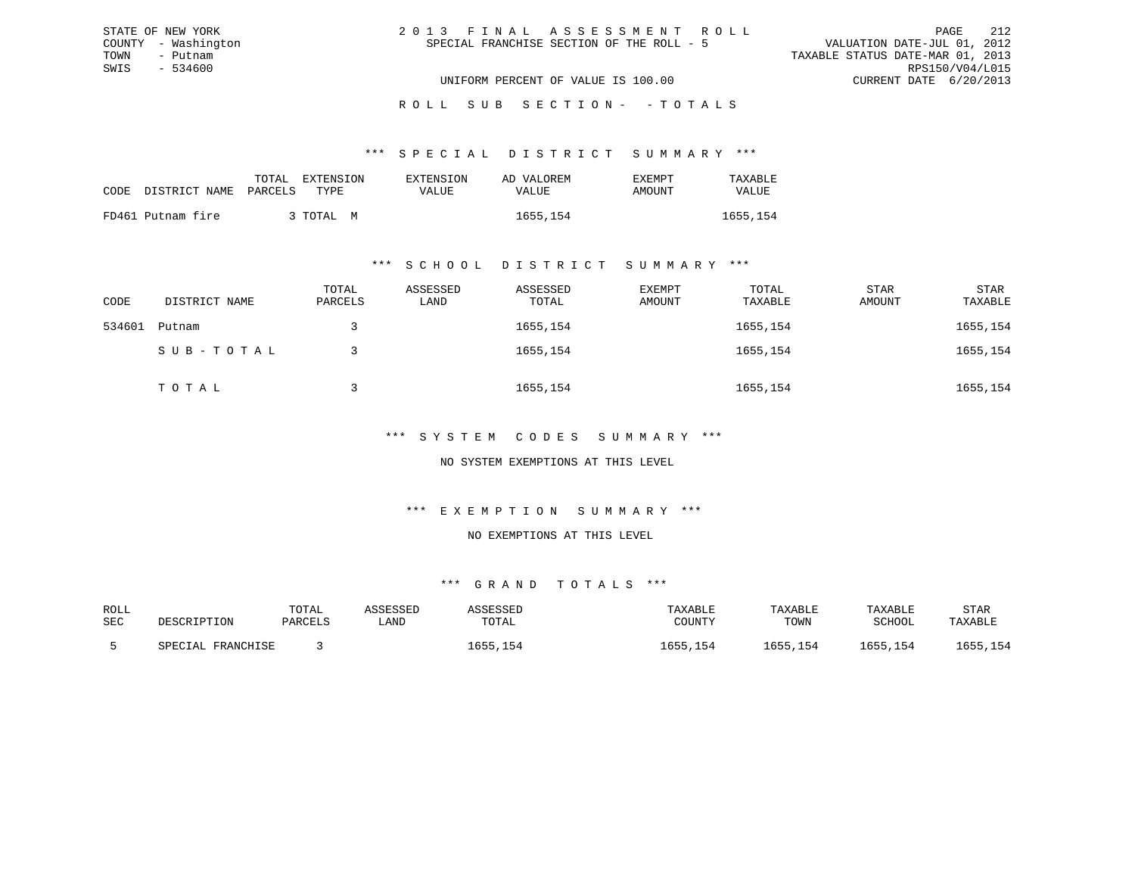| 2013 FINAL ASSESSMENT ROLL                | - 212<br>PAGE                    |
|-------------------------------------------|----------------------------------|
| SPECIAL FRANCHISE SECTION OF THE ROLL - 5 | VALUATION DATE-JUL 01, 2012      |
|                                           | TAXABLE STATUS DATE-MAR 01, 2013 |
|                                           | RPS150/V04/L015                  |
| UNIFORM PERCENT OF VALUE IS 100.00        | CURRENT DATE 6/20/2013           |

ROLL SUB SECTION - - TOTALS

\*\*\* S P E C I A L D I S T R I C T S U M M A R Y \*\*\*

|                            | TOTAL<br>EXTENSION | <b>EXTENSION</b> | AD VALOREM | EXEMPT | TAXABLE  |
|----------------------------|--------------------|------------------|------------|--------|----------|
| CODE DISTRICT NAME PARCELS | TYPE.              | VALUE.           | VALUE      | AMOUNT | VALUE    |
| FD461 Putnam fire          | ; TOTAL M          |                  | 1655,154   |        | 1655,154 |

STATE OF NEW YORK COUNTY - Washington TOWN - Putnam SWIS - 534600

#### \*\*\* S C H O O L D I S T R I C T S U M M A R Y \*\*\*

| CODE   | DISTRICT NAME | TOTAL<br>PARCELS | ASSESSED<br>LAND | ASSESSED<br>TOTAL | EXEMPT<br>AMOUNT | TOTAL<br>TAXABLE | STAR<br>AMOUNT | <b>STAR</b><br>TAXABLE |
|--------|---------------|------------------|------------------|-------------------|------------------|------------------|----------------|------------------------|
| 534601 | Putnam        |                  |                  | 1655,154          |                  | 1655,154         |                | 1655,154               |
|        | SUB-TOTAL     |                  |                  | 1655,154          |                  | 1655,154         |                | 1655,154               |
|        | TOTAL         |                  |                  | 1655,154          |                  | 1655,154         |                | 1655,154               |

### \*\*\* S Y S T E M C O D E S S U M M A R Y \*\*\*

NO SYSTEM EXEMPTIONS AT THIS LEVEL

#### \*\*\* E X E M P T I O N S U M M A R Y \*\*\*

NO EXEMPTIONS AT THIS LEVEL

| ROLL |                   | TOTAL   | ASSESSED | ASSESSED | TAXABLE      | TAXABLE  | TAXABLE  | STAR     |
|------|-------------------|---------|----------|----------|--------------|----------|----------|----------|
| SEC  | DESCRIPTION       | PARCELS | LAND     | TOTAL    | COUNTY       | TOWN     | SCHOOL   | TAXABLE  |
|      | SPECIAL FRANCHISE |         |          | 1655,154 | ⊥655<br>,154 | 1655,154 | 1655,154 | 1655,154 |
|      |                   |         |          |          |              |          |          |          |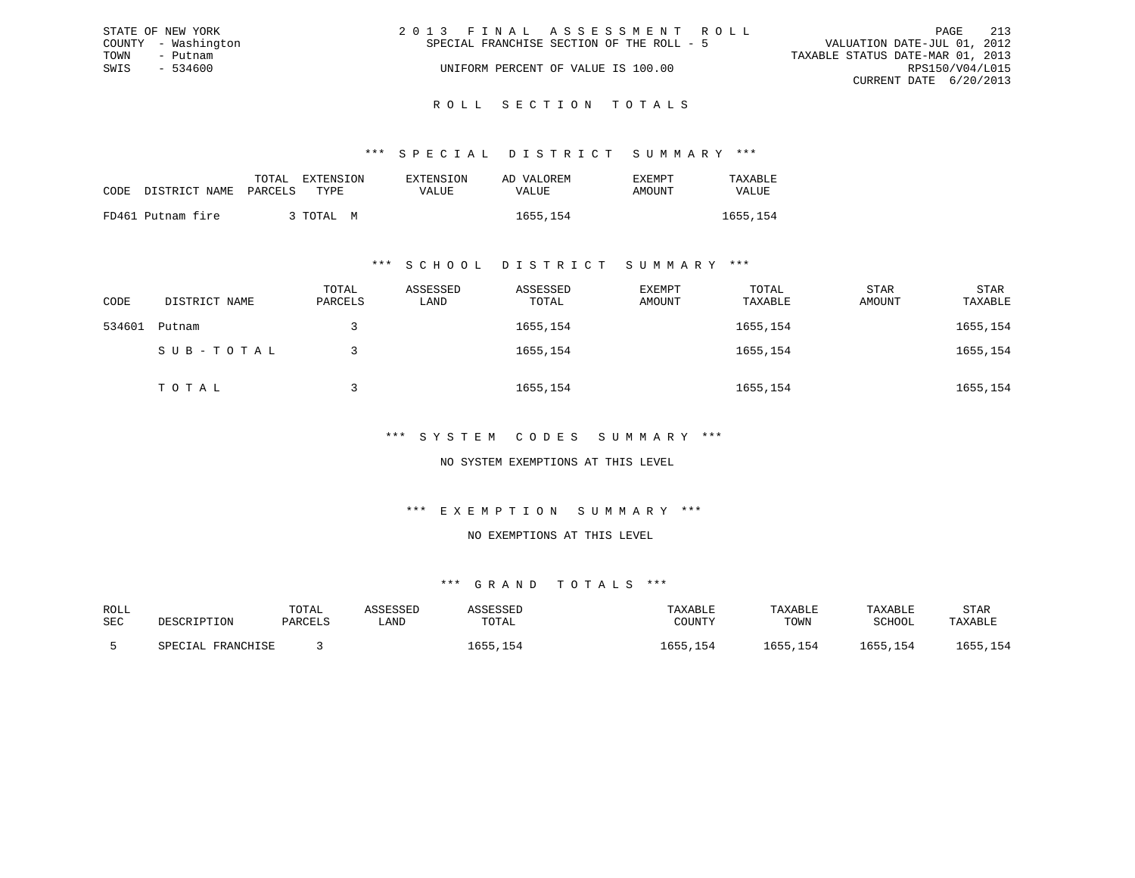|      | STATE OF NEW YORK   | 2013 FINAL ASSESSMENT ROLL                |                                  | PAGE | 213 |
|------|---------------------|-------------------------------------------|----------------------------------|------|-----|
|      | COUNTY - Washington | SPECIAL FRANCHISE SECTION OF THE ROLL - 5 | VALUATION DATE-JUL 01, 2012      |      |     |
| TOWN | - Putnam            |                                           | TAXABLE STATUS DATE-MAR 01, 2013 |      |     |
| SWIS | $-534600$           | UNIFORM PERCENT OF VALUE IS 100.00        | RPS150/V04/L015                  |      |     |
|      |                     |                                           | CURRENT DATE 6/20/2013           |      |     |
|      |                     |                                           |                                  |      |     |

ROLL SECTION TOTALS

\*\*\* S P E C I A L D I S T R I C T S U M M A R Y \*\*\*

| CODE | DISTRICT NAME PARCELS | TOTAL | EXTENSION<br>TYPE. | <b>EXTENSION</b><br>VALUE | AD VALOREM<br>VALUE | EXEMPT<br>AMOUNT | TAXABLE<br>VALUE |
|------|-----------------------|-------|--------------------|---------------------------|---------------------|------------------|------------------|
|      | FD461 Putnam fire     |       | 3 TOTAL M          |                           | 1655, 154           |                  | 1655,154         |

#### \*\*\* S C H O O L D I S T R I C T S U M M A R Y \*\*\*

| CODE   | DISTRICT NAME | TOTAL<br>PARCELS | ASSESSED<br>LAND | ASSESSED<br>TOTAL | EXEMPT<br>AMOUNT | TOTAL<br>TAXABLE | STAR<br>AMOUNT | STAR<br>TAXABLE |
|--------|---------------|------------------|------------------|-------------------|------------------|------------------|----------------|-----------------|
| 534601 | Putnam        |                  |                  | 1655,154          |                  | 1655,154         |                | 1655,154        |
|        | SUB-TOTAL     |                  |                  | 1655,154          |                  | 1655,154         |                | 1655,154        |
|        | TOTAL         |                  |                  | 1655,154          |                  | 1655,154         |                | 1655,154        |

### \*\*\* S Y S T E M C O D E S S U M M A R Y \*\*\*

NO SYSTEM EXEMPTIONS AT THIS LEVEL

#### \*\*\* E X E M P T I O N S U M M A R Y \*\*\*

NO EXEMPTIONS AT THIS LEVEL

| ROLL |                   | TOTAL   | ASSESSED | ASSESSED | TAXABLE  | TAXABLE  | TAXABLE  | STAR     |
|------|-------------------|---------|----------|----------|----------|----------|----------|----------|
| SEC  | DESCRIPTION       | PARCELS | LAND     | TOTAL    | COUNTY   | TOWN     | SCHOOL   | TAXABLE  |
|      | SPECIAL FRANCHISE |         |          | .655,154 | 1655,154 | 1655,154 | 1655,154 | 1655,154 |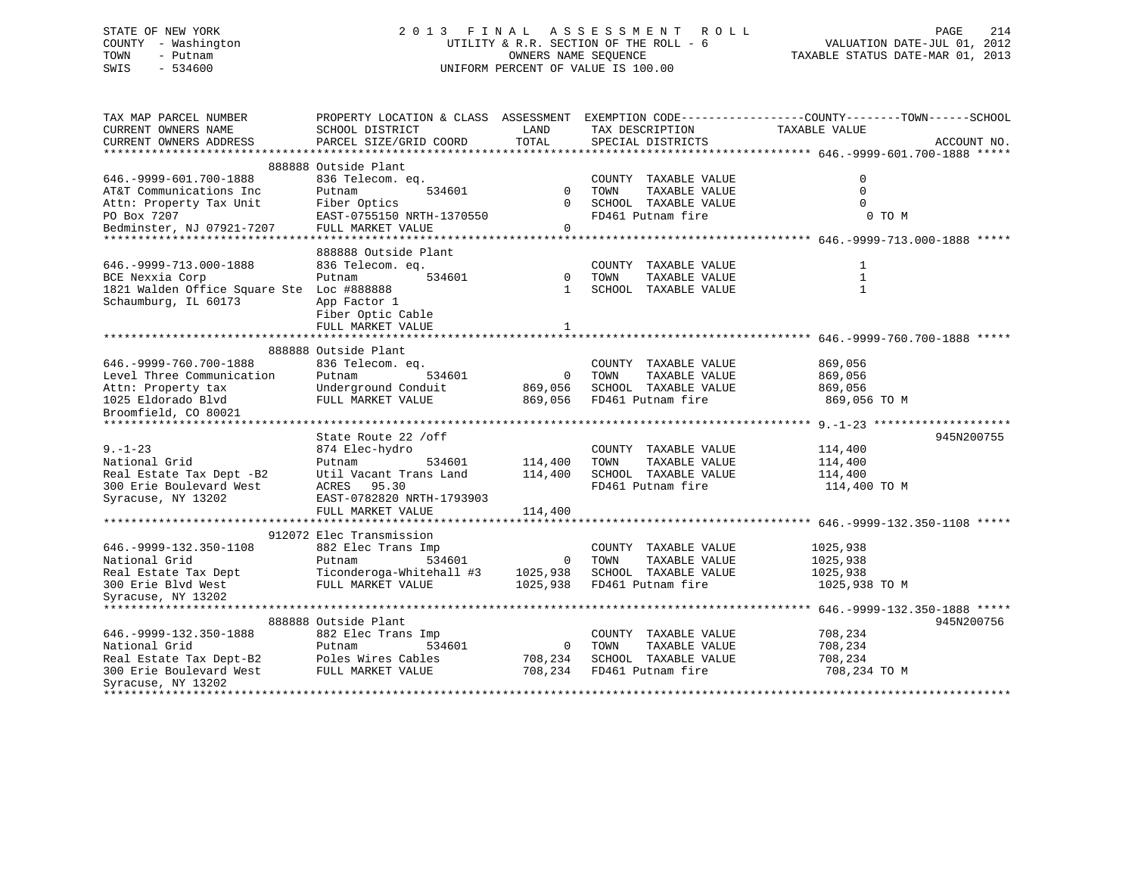# STATE OF NEW YORK 2 0 1 3 F I N A L A S S E S S M E N T R O L L PAGE 214 COUNTY - Washington UTILITY & R.R. SECTION OF THE ROLL - 6 VALUATION DATE-JUL 01, 2012 TOWN - Putnam OWNERS NAME SEQUENCE TAXABLE STATUS DATE-MAR 01, 2013 SWIS - 534600 UNIFORM PERCENT OF VALUE IS 100.00

| TAX MAP PARCEL NUMBER                                                                   |                                          |                |                         | PROPERTY LOCATION & CLASS ASSESSMENT EXEMPTION CODE----------------COUNTY-------TOWN-----SCHOOL |
|-----------------------------------------------------------------------------------------|------------------------------------------|----------------|-------------------------|-------------------------------------------------------------------------------------------------|
| CURRENT OWNERS NAME                                                                     | SCHOOL DISTRICT                          | LAND           | TAX DESCRIPTION         | TAXABLE VALUE                                                                                   |
| CURRENT OWNERS ADDRESS                                                                  | PARCEL SIZE/GRID COORD                   | TOTAL          | SPECIAL DISTRICTS       | ACCOUNT NO.                                                                                     |
|                                                                                         |                                          |                |                         |                                                                                                 |
|                                                                                         | 888888 Outside Plant                     |                |                         |                                                                                                 |
| 646. - 9999 - 601. 700 - 1888                                                           | 836 Telecom. eq.                         |                | COUNTY TAXABLE VALUE    | $\mathbf 0$                                                                                     |
| AT&T Communications Inc                                                                 | Putnam<br>534601                         | $\Omega$       | TOWN<br>TAXABLE VALUE   | $\Omega$                                                                                        |
| Attn: Property Tax Unit                                                                 | Fiber Optics                             | $\Omega$       | SCHOOL TAXABLE VALUE    | $\Omega$                                                                                        |
| PO Box 7207                                                                             | EAST-0755150 NRTH-1370550                |                | FD461 Putnam fire       | 0 TO M                                                                                          |
| Bedminster, NJ 07921-7207                                                               | FULL MARKET VALUE                        | $\Omega$       |                         |                                                                                                 |
|                                                                                         |                                          |                |                         |                                                                                                 |
|                                                                                         | 888888 Outside Plant                     |                |                         |                                                                                                 |
| 646. - 9999 - 713.000 - 1888                                                            | 836 Telecom. eq.                         |                | COUNTY TAXABLE VALUE    | $\mathbf{1}$                                                                                    |
| BCE Nexxia Corp                                                                         | Putnam<br>534601                         | $\overline{0}$ | TOWN<br>TAXABLE VALUE   | 1                                                                                               |
| 1821 Walden Office Square Ste Loc #888888                                               |                                          | $\mathbf{1}$   | SCHOOL TAXABLE VALUE    | $\mathbf{1}$                                                                                    |
| Schaumburg, IL 60173                                                                    | App Factor 1                             |                |                         |                                                                                                 |
|                                                                                         | Fiber Optic Cable                        |                |                         |                                                                                                 |
|                                                                                         | FULL MARKET VALUE                        | $\mathbf{1}$   |                         |                                                                                                 |
|                                                                                         |                                          |                |                         |                                                                                                 |
|                                                                                         | 888888 Outside Plant                     |                |                         |                                                                                                 |
| 646. - 9999 - 760. 700 - 1888                                                           | 836 Telecom. eq.                         |                | COUNTY TAXABLE VALUE    | 869,056                                                                                         |
| Level Three Communication                                                               | 534601<br>Putnam                         | $\overline{0}$ | TOWN<br>TAXABLE VALUE   | 869,056                                                                                         |
| Attn: Property tax                                                                      | Underground Conduit                      | 869,056        | SCHOOL TAXABLE VALUE    | 869,056                                                                                         |
|                                                                                         | FULL MARKET VALUE                        | 869,056        | FD461 Putnam fire       | 869,056 TO M                                                                                    |
| Attn: Property tax<br>1025 Eldorado Blvd<br>Broomfield, CO 80021                        |                                          |                |                         |                                                                                                 |
|                                                                                         |                                          |                |                         |                                                                                                 |
|                                                                                         | State Route 22 / off                     |                |                         | 945N200755                                                                                      |
| $9. - 1 - 23$                                                                           | 874 Elec-hydro                           |                | COUNTY TAXABLE VALUE    | 114,400                                                                                         |
| National Grid                                                                           | Putnam<br>534601                         | 114,400        | TAXABLE VALUE<br>TOWN   | 114,400                                                                                         |
| Real Estate Tax Dept -B2                                                                | Util Vacant Trans Land                   | 114,400        | SCHOOL TAXABLE VALUE    | 114,400                                                                                         |
| 300 Erie Boulevard West                                                                 |                                          |                | FD461 Putnam fire       |                                                                                                 |
|                                                                                         | ACRES 95.30<br>EAST-0782820 NRTH-1793903 |                |                         | 114,400 TO M                                                                                    |
| Syracuse, NY 13202                                                                      | FULL MARKET VALUE                        |                |                         |                                                                                                 |
|                                                                                         |                                          | 114,400        |                         |                                                                                                 |
|                                                                                         | 912072 Elec Transmission                 |                |                         |                                                                                                 |
| 646. - 9999 - 132. 350 - 1108                                                           | 882 Elec Trans Imp                       |                | COUNTY TAXABLE VALUE    | 1025,938                                                                                        |
|                                                                                         | 534601                                   |                | TOWN                    |                                                                                                 |
| National Grid                                                                           | Putnam                                   | $\overline{0}$ | TAXABLE VALUE           | 1025,938                                                                                        |
| Real Estate Tax Dept                                                                    | Ticonderoga-Whitehall #3                 | 1025,938       | SCHOOL TAXABLE VALUE    | 1025,938                                                                                        |
| 300 Erie Blvd West                                                                      | FULL MARKET VALUE                        | 1025,938       | FD461 Putnam fire       | 1025,938 TO M                                                                                   |
| Syracuse, NY 13202                                                                      |                                          |                |                         |                                                                                                 |
|                                                                                         | 888888 Outside Plant                     |                |                         |                                                                                                 |
|                                                                                         |                                          |                |                         | 945N200756                                                                                      |
| 646. - 9999 - 132. 350 - 1888<br>National Grid                                          | 882 Elec Trans Imp                       |                | COUNTY TAXABLE VALUE    | 708,234                                                                                         |
|                                                                                         | Putnam<br>534601                         |                | 0 TOWN<br>TAXABLE VALUE | 708,234                                                                                         |
| Real Estate Tax Dept-B2 Poles Wires Cables<br>300 Erie Boulevard West FULL MARKET VALUE |                                          | 708,234        | SCHOOL TAXABLE VALUE    | 708,234                                                                                         |
|                                                                                         |                                          | 708,234        | FD461 Putnam fire       | 708,234 TO M                                                                                    |
| Syracuse, NY 13202                                                                      |                                          |                |                         |                                                                                                 |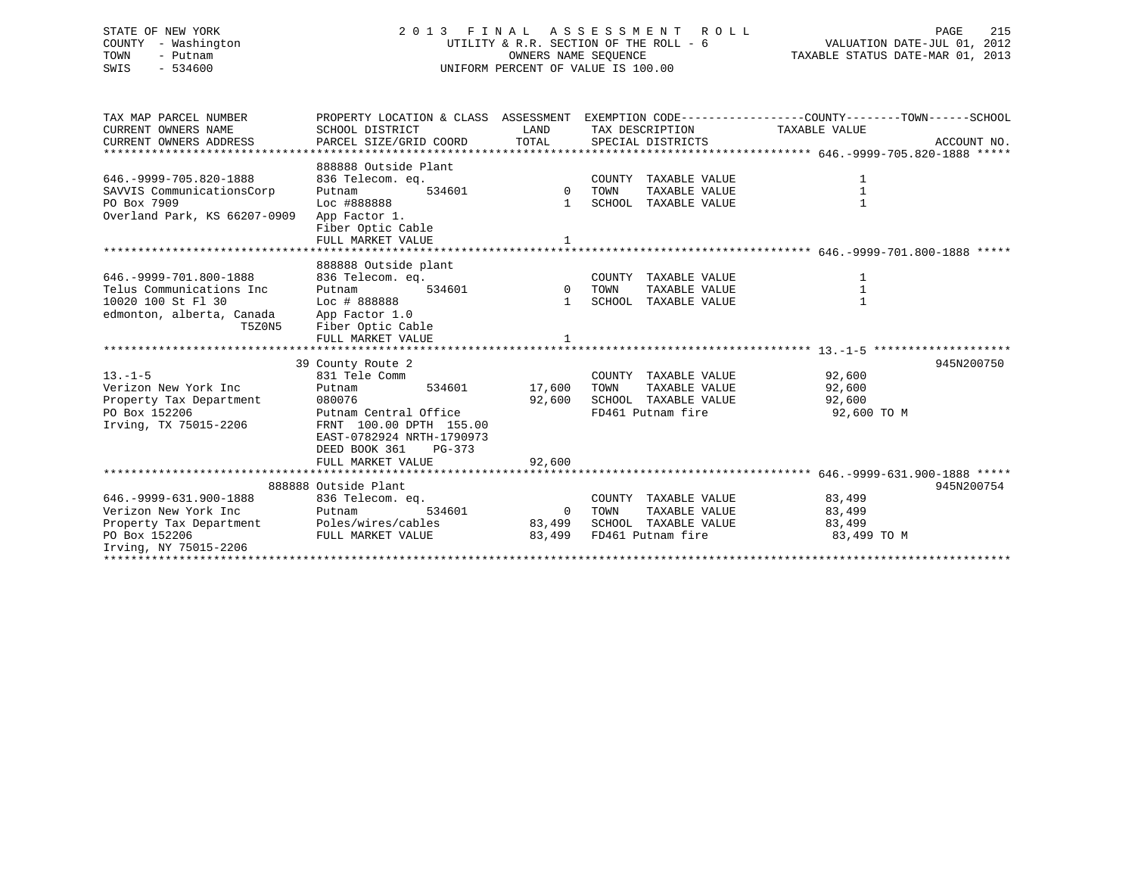# STATE OF NEW YORK 2 0 1 3 F I N A L A S S E S S M E N T R O L L PAGE 215 COUNTY - Washington UTILITY & R.R. SECTION OF THE ROLL - 6 VALUATION DATE-JUL 01, 2012 TOWN - Putnam OWNERS NAME SEQUENCE TAXABLE STATUS DATE-MAR 01, 2013 SWIS - 534600 UNIFORM PERCENT OF VALUE IS 100.00

| TAX MAP PARCEL NUMBER<br>CURRENT OWNERS NAME<br>CURRENT OWNERS ADDRESS | PROPERTY LOCATION & CLASS ASSESSMENT EXEMPTION CODE----------------COUNTY-------TOWN-----SCHOOL<br>SCHOOL DISTRICT<br>PARCEL SIZE/GRID COORD | LAND<br>TOTAL                                                                                                                                                                                              |      | TAX DESCRIPTION<br>SPECIAL DISTRICTS | TAXABLE VALUE | ACCOUNT NO. |
|------------------------------------------------------------------------|----------------------------------------------------------------------------------------------------------------------------------------------|------------------------------------------------------------------------------------------------------------------------------------------------------------------------------------------------------------|------|--------------------------------------|---------------|-------------|
|                                                                        | 888888 Outside Plant                                                                                                                         |                                                                                                                                                                                                            |      |                                      |               |             |
| 646. - 9999 - 705.820 - 1888                                           | 836 Telecom. eq.                                                                                                                             |                                                                                                                                                                                                            |      | COUNTY TAXABLE VALUE                 | 1             |             |
| SAVVIS CommunicationsCorp                                              | 534601<br>Putnam                                                                                                                             | 0 TOWN                                                                                                                                                                                                     |      | TAXABLE VALUE                        | $\mathbf{1}$  |             |
| PO Box 7909                                                            | Loc #888888                                                                                                                                  |                                                                                                                                                                                                            |      | 1 SCHOOL TAXABLE VALUE               | $\mathbf{1}$  |             |
| Overland Park, KS 66207-0909                                           | App Factor 1.                                                                                                                                |                                                                                                                                                                                                            |      |                                      |               |             |
|                                                                        | Fiber Optic Cable                                                                                                                            |                                                                                                                                                                                                            |      |                                      |               |             |
|                                                                        | FULL MARKET VALUE                                                                                                                            |                                                                                                                                                                                                            |      |                                      |               |             |
|                                                                        |                                                                                                                                              |                                                                                                                                                                                                            |      |                                      |               |             |
|                                                                        | 888888 Outside plant                                                                                                                         |                                                                                                                                                                                                            |      |                                      |               |             |
| 646. - 9999 - 701.800 - 1888                                           | 836 Telecom. eq.                                                                                                                             |                                                                                                                                                                                                            |      | COUNTY TAXABLE VALUE                 | 1             |             |
| Telus Communications Inc                                               | 534601<br>Putnam                                                                                                                             | $\begin{array}{cc}\n & \text{C} & \text{C} & \text{C} \\ \text{C} & \text{D} & \text{D} & \text{D} \\ \text{D} & \text{D} & \text{D} & \text{D} \\ \text{D} & \text{D} & \text{D} & \text{D}\n\end{array}$ |      | TAXABLE VALUE                        | $\mathbf{1}$  |             |
| 10020 100 St Fl 30                                                     | Loc # 888888                                                                                                                                 |                                                                                                                                                                                                            |      | 1 SCHOOL TAXABLE VALUE               | $\mathbf{1}$  |             |
| edmonton, alberta, Canada                                              | App Factor 1.0                                                                                                                               |                                                                                                                                                                                                            |      |                                      |               |             |
| T5Z0N5                                                                 | Fiber Optic Cable                                                                                                                            |                                                                                                                                                                                                            |      |                                      |               |             |
|                                                                        | FULL MARKET VALUE                                                                                                                            |                                                                                                                                                                                                            |      |                                      |               |             |
|                                                                        |                                                                                                                                              |                                                                                                                                                                                                            |      |                                      |               |             |
|                                                                        | 39 County Route 2                                                                                                                            |                                                                                                                                                                                                            |      |                                      |               | 945N200750  |
| $13. - 1 - 5$                                                          | 831 Tele Comm                                                                                                                                |                                                                                                                                                                                                            |      | COUNTY TAXABLE VALUE                 | 92,600        |             |
| Verizon New York Inc                                                   | 534601<br>Putnam                                                                                                                             | 17,600                                                                                                                                                                                                     | TOWN | TAXABLE VALUE                        | 92,600        |             |
| Property Tax Department                                                | 080076                                                                                                                                       | 92,600                                                                                                                                                                                                     |      | SCHOOL TAXABLE VALUE                 | 92,600        |             |
| PO Box 152206                                                          | Putnam Central Office                                                                                                                        |                                                                                                                                                                                                            |      | FD461 Putnam fire                    | 92,600 TO M   |             |
| Irving, TX 75015-2206                                                  | FRNT 100.00 DPTH 155.00                                                                                                                      |                                                                                                                                                                                                            |      |                                      |               |             |
|                                                                        | EAST-0782924 NRTH-1790973                                                                                                                    |                                                                                                                                                                                                            |      |                                      |               |             |
|                                                                        | DEED BOOK 361<br>$PG-373$                                                                                                                    |                                                                                                                                                                                                            |      |                                      |               |             |
|                                                                        | FULL MARKET VALUE                                                                                                                            | 92,600                                                                                                                                                                                                     |      |                                      |               |             |
|                                                                        | 888888 Outside Plant                                                                                                                         |                                                                                                                                                                                                            |      |                                      |               | 945N200754  |
| 646. - 9999 - 631. 900 - 1888                                          | 836 Telecom. eq.                                                                                                                             |                                                                                                                                                                                                            |      | COUNTY TAXABLE VALUE                 | 83,499        |             |
| Verizon New York Inc                                                   | 534601<br>Putnam                                                                                                                             | 0 TOWN                                                                                                                                                                                                     |      | TAXABLE VALUE                        | 83,499        |             |
| Property Tax Department                                                | Poles/wires/cables                                                                                                                           | 83,499                                                                                                                                                                                                     |      | SCHOOL TAXABLE VALUE                 | 83,499        |             |
| PO Box 152206                                                          | FULL MARKET VALUE                                                                                                                            | 83,499                                                                                                                                                                                                     |      | FD461 Putnam fire                    | 83,499 TO M   |             |
| Irving, NY 75015-2206                                                  |                                                                                                                                              |                                                                                                                                                                                                            |      |                                      |               |             |
|                                                                        |                                                                                                                                              |                                                                                                                                                                                                            |      |                                      |               |             |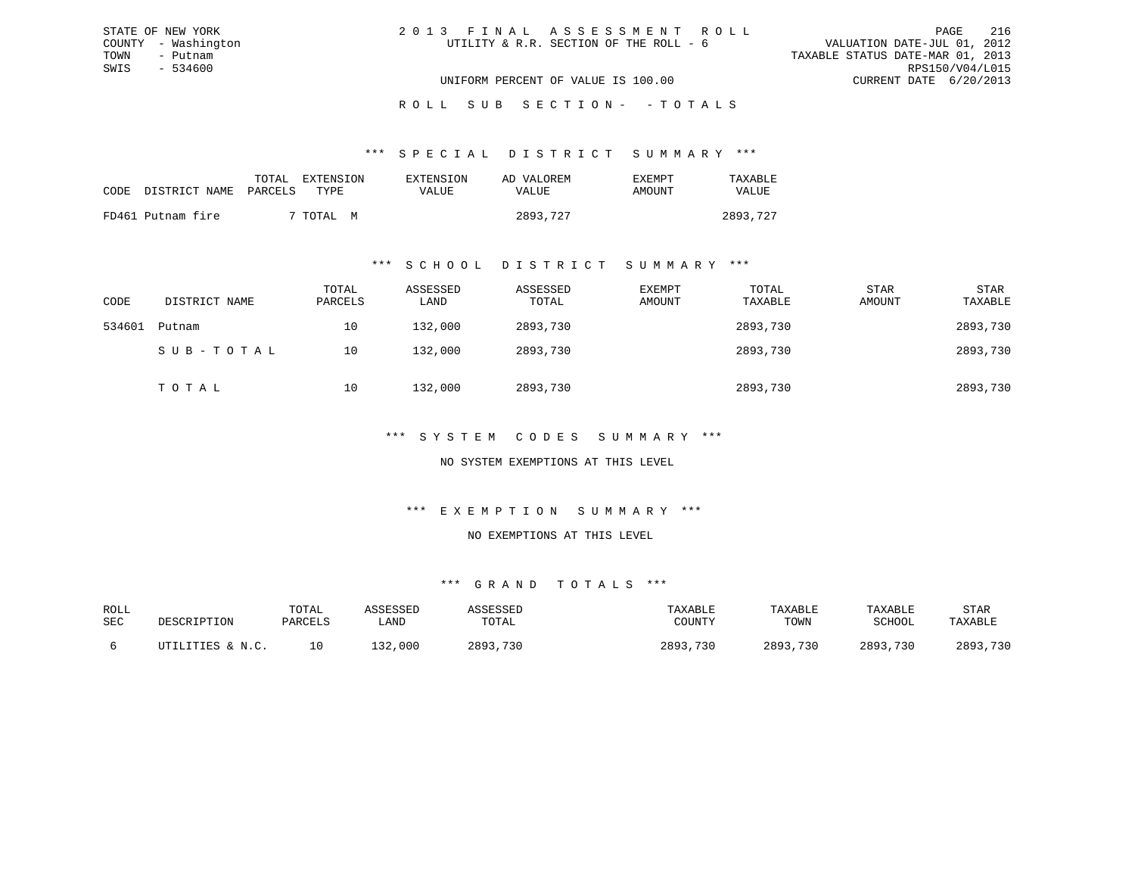| 2013 FINAL ASSESSMENT ROLL             |                                  | PAGE                        | 216 |
|----------------------------------------|----------------------------------|-----------------------------|-----|
| UTILITY & R.R. SECTION OF THE ROLL - 6 |                                  | VALUATION DATE-JUL 01, 2012 |     |
|                                        | TAXABLE STATUS DATE-MAR 01, 2013 |                             |     |
|                                        |                                  | RPS150/V04/L015             |     |
| UNIFORM PERCENT OF VALUE IS 100.00     |                                  | CURRENT DATE 6/20/2013      |     |

ROLL SUB SECTION - - TOTALS

\*\*\* S P E C I A L D I S T R I C T S U M M A R Y \*\*\*

|      |                   | TOTAL   | EXTENSION | EXTENSION | AD VALOREM | <b>EXEMPT</b> | TAXABLE      |
|------|-------------------|---------|-----------|-----------|------------|---------------|--------------|
| CODE | DISTRICT NAME     | PARCELS | TYPR.     | VALUE     | VALUE      | AMOUNT        | <b>VALUE</b> |
|      | FD461 Putnam fire |         | ' TOTAL M |           | 2893,727   |               | 2893,727     |

STATE OF NEW YORK COUNTY - Washington TOWN - Putnam SWIS - 534600

#### \*\*\* S C H O O L D I S T R I C T S U M M A R Y \*\*\*

| CODE   | DISTRICT NAME | TOTAL<br>PARCELS | ASSESSED<br>LAND | ASSESSED<br>TOTAL | EXEMPT<br>AMOUNT | TOTAL<br>TAXABLE | <b>STAR</b><br>AMOUNT | STAR<br>TAXABLE |
|--------|---------------|------------------|------------------|-------------------|------------------|------------------|-----------------------|-----------------|
| 534601 | Putnam        | 10               | 132,000          | 2893,730          |                  | 2893,730         |                       | 2893,730        |
|        | SUB-TOTAL     | 10               | 132,000          | 2893,730          |                  | 2893,730         |                       | 2893,730        |
|        | TOTAL         | 10               | 132,000          | 2893,730          |                  | 2893,730         |                       | 2893,730        |

\*\*\* S Y S T E M C O D E S S U M M A R Y \*\*\*

NO SYSTEM EXEMPTIONS AT THIS LEVEL

\*\*\* E X E M P T I O N S U M M A R Y \*\*\*

NO EXEMPTIONS AT THIS LEVEL

| ROLL |                  | TOTAL   | ASSESSED | ASSESSED | TAXABLE  | TAXABLE  | TAXABLE       | STAR     |
|------|------------------|---------|----------|----------|----------|----------|---------------|----------|
| SEC  | DESCRIPTION      | PARCELS | LAND     | TOTAL    | COUNTY   | TOWN     | <b>SCHOOL</b> | TAXABLE  |
|      | UTILITIES & N.C. |         | 132,000  | 2893,730 | 2893,730 | 2893,730 | 2893,730      | 2893,730 |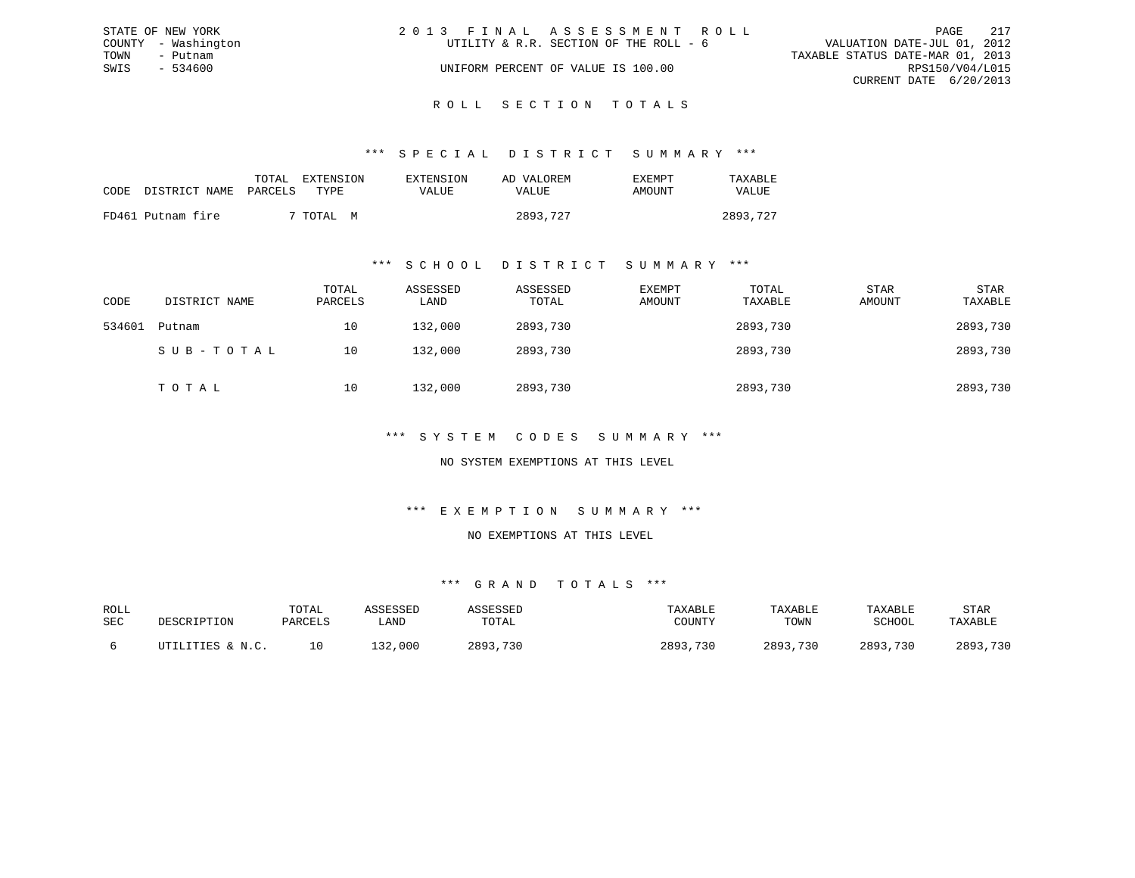|      | STATE OF NEW YORK   | 2013 FINAL ASSESSMENT ROLL             |                                  | PAGE                   | 217 |
|------|---------------------|----------------------------------------|----------------------------------|------------------------|-----|
|      | COUNTY - Washington | UTILITY & R.R. SECTION OF THE ROLL - 6 | VALUATION DATE-JUL 01, 2012      |                        |     |
| TOWN | - Putnam            |                                        | TAXABLE STATUS DATE-MAR 01, 2013 |                        |     |
| SWIS | - 534600            | UNIFORM PERCENT OF VALUE IS 100.00     |                                  | RPS150/V04/L015        |     |
|      |                     |                                        |                                  | CURRENT DATE 6/20/2013 |     |
|      |                     |                                        |                                  |                        |     |

# ROLL SECTION TOTALS

#### \*\*\* S P E C I A L D I S T R I C T S U M M A R Y \*\*\*

| CODE | DISTRICT NAME PARCELS TYPE | TOTAL | EXTENSION | EXTENSION<br>VALUE | AD VALOREM<br>VALUE | F.XFMPT<br>AMOUNT | TAXABLE<br>VALUE |
|------|----------------------------|-------|-----------|--------------------|---------------------|-------------------|------------------|
|      | FD461 Putnam fire          |       | ' TOTAL M |                    | 2893,727            |                   | 2893,727         |

#### \*\*\* S C H O O L D I S T R I C T S U M M A R Y \*\*\*

| CODE   | DISTRICT NAME | TOTAL<br>PARCELS | ASSESSED<br>LAND | ASSESSED<br>TOTAL | EXEMPT<br>AMOUNT | TOTAL<br>TAXABLE | STAR<br>AMOUNT | STAR<br>TAXABLE |
|--------|---------------|------------------|------------------|-------------------|------------------|------------------|----------------|-----------------|
| 534601 | Putnam        | 10               | 132,000          | 2893,730          |                  | 2893,730         |                | 2893,730        |
|        | SUB-TOTAL     | 10               | 132,000          | 2893,730          |                  | 2893,730         |                | 2893,730        |
|        | TOTAL         | 10               | 132,000          | 2893,730          |                  | 2893,730         |                | 2893,730        |

#### \*\*\* S Y S T E M C O D E S S U M M A R Y \*\*\*

#### NO SYSTEM EXEMPTIONS AT THIS LEVEL

#### \*\*\* E X E M P T I O N S U M M A R Y \*\*\*

#### NO EXEMPTIONS AT THIS LEVEL

| ROLL |                  | TOTAL   | ASSESSED | ASSESSED | TAXABLE  | TAXABLE  | TAXABLE       | <b>STAR</b> |
|------|------------------|---------|----------|----------|----------|----------|---------------|-------------|
| SEC  | DESCRIPTION      | PARCELS | LAND     | TOTAL    | COUNTY   | TOWN     | <b>SCHOOL</b> | TAXABLE     |
|      | UTILITIES & N.C. | 10      | 132,000  | 2893,730 | 2893,730 | 2893,730 | 2893,730      | 2893,730    |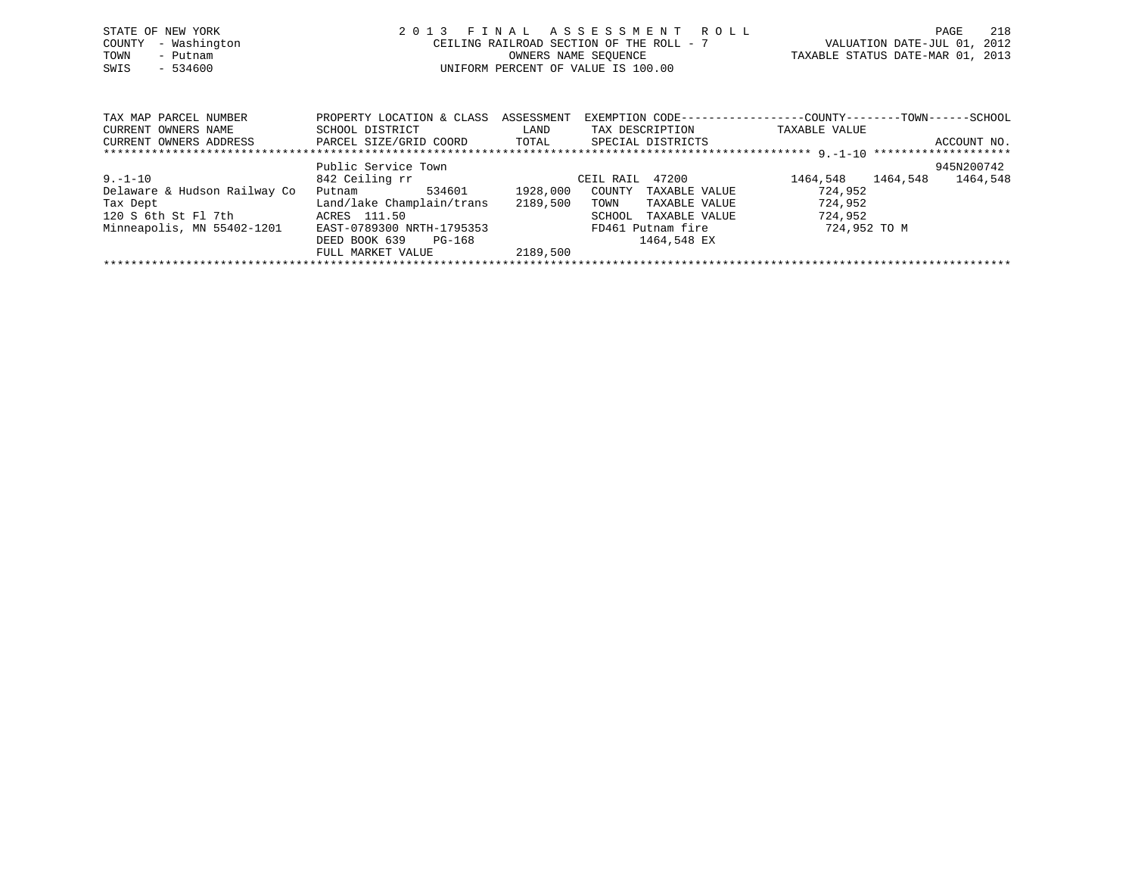| STATE OF NEW YORK<br>- Washington<br>COUNTY<br>TOWN<br>- Putnam<br>SWIS<br>$-534600$ | 2 0 1 3                                                                                                   | FINAL<br>CEILING RAILROAD SECTION OF THE ROLL - 7<br>OWNERS NAME SEOUENCE<br>UNIFORM PERCENT OF VALUE IS 100.00 |                                             | ASSESSMENT ROLL                                 | TAXABLE STATUS DATE-MAR 01, 2013                                              | 218<br>PAGE<br>VALUATION DATE-JUL 01, 2012 |
|--------------------------------------------------------------------------------------|-----------------------------------------------------------------------------------------------------------|-----------------------------------------------------------------------------------------------------------------|---------------------------------------------|-------------------------------------------------|-------------------------------------------------------------------------------|--------------------------------------------|
| TAX MAP PARCEL NUMBER<br>CURRENT OWNERS NAME<br>CURRENT OWNERS ADDRESS               | PROPERTY LOCATION & CLASS ASSESSMENT<br>SCHOOL DISTRICT<br>PARCEL SIZE/GRID COORD TOTAL SPECIAL DISTRICTS | LAND                                                                                                            |                                             | TAX DESCRIPTION                                 | EXEMPTION CODE-----------------COUNTY-------TOWN------SCHOOL<br>TAXABLE VALUE | ACCOUNT NO.                                |
| $9. - 1 - 10$<br>Delaware & Hudson Railway Co<br>Tax Dept<br>120 S 6th St Fl 7th     | Public Service Town<br>842 Ceiling rr<br>534601<br>Putnam<br>Land/lake Champlain/trans<br>ACRES 111.50    | 1928,000<br>2189,500                                                                                            | CEIL RAIL 47200<br>COUNTY<br>TOWN<br>SCHOOL | TAXABLE VALUE<br>TAXABLE VALUE<br>TAXABLE VALUE | 1464,548 1464,548<br>724,952<br>724,952<br>724,952                            | 945N200742<br>1464,548                     |

\*\*\*\*\*\*\*\*\*\*\*\*\*\*\*\*\*\*\*\*\*\*\*\*\*\*\*\*\*\*\*\*\*\*\*\*\*\*\*\*\*\*\*\*\*\*\*\*\*\*\*\*\*\*\*\*\*\*\*\*\*\*\*\*\*\*\*\*\*\*\*\*\*\*\*\*\*\*\*\*\*\*\*\*\*\*\*\*\*\*\*\*\*\*\*\*\*\*\*\*\*\*\*\*\*\*\*\*\*\*\*\*\*\*\*\*\*\*\*\*\*\*\*\*\*\*\*\*\*\*\*\*

Tax Dept Land/lake Champlain/trans 2189,500 TOWN TAXABLE VALUE 724,952 120 S 6th St Fl 7th ACRES 111.50 SCHOOL TAXABLE VALUE 724,952 Minneapolis, MN 55402-1201 EAST-0789300 NRTH-1795353 FD461 Putnam fire 724,952 TO M DEED BOOK 639 PG-168 1464,548 EX

FULL MARKET VALUE 2189,500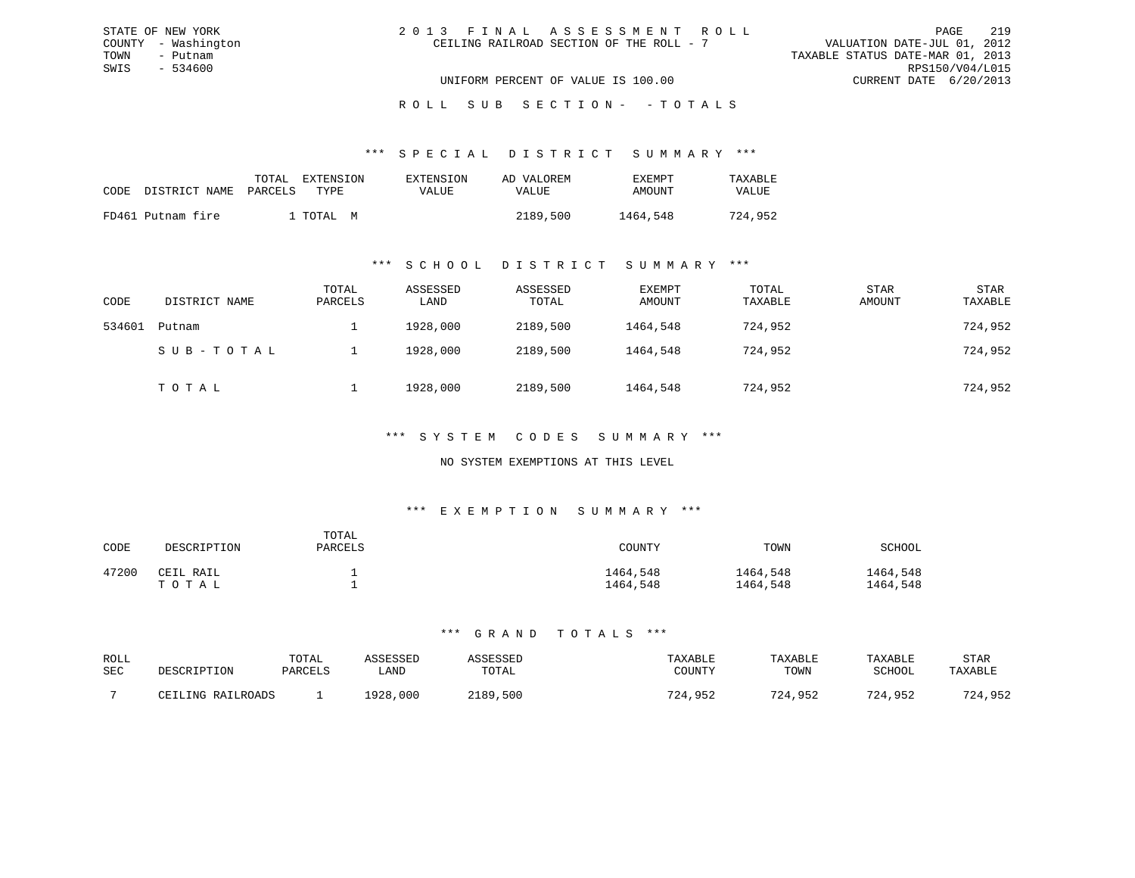| 2013 FINAL ASSESSMENT ROLL               |                                  | PAGE                        | 219 |
|------------------------------------------|----------------------------------|-----------------------------|-----|
| CEILING RAILROAD SECTION OF THE ROLL - 7 |                                  | VALUATION DATE-JUL 01, 2012 |     |
|                                          | TAXABLE STATUS DATE-MAR 01, 2013 |                             |     |
|                                          |                                  | RPS150/V04/L015             |     |
| UNIFORM PERCENT OF VALUE IS 100.00       |                                  | CURRENT DATE 6/20/2013      |     |

ROLL SUB SECTION - - TOTALS

#### \*\*\* S P E C I A L D I S T R I C T S U M M A R Y \*\*\*

|      |                       | TOTAL | <b>EXTENSION</b> | EXTENSION    | AD VALOREM | EXEMPT   | TAXABLE      |
|------|-----------------------|-------|------------------|--------------|------------|----------|--------------|
| CODE | DISTRICT NAME PARCELS |       | TYPE             | <b>VALUE</b> | VALUE      | AMOUNT   | <b>VALUE</b> |
|      | FD461 Putnam fire     |       | l TOTAL M        |              | 2189,500   | 1464,548 | 724,952      |

STATE OF NEW YORK COUNTY - Washington TOWN - Putnam SWIS - 534600

#### \*\*\* S C H O O L D I S T R I C T S U M M A R Y \*\*\*

| CODE   | DISTRICT NAME | TOTAL<br>PARCELS | ASSESSED<br>LAND | ASSESSED<br>TOTAL | EXEMPT<br>AMOUNT | TOTAL<br>TAXABLE | STAR<br>AMOUNT | STAR<br>TAXABLE |
|--------|---------------|------------------|------------------|-------------------|------------------|------------------|----------------|-----------------|
| 534601 | Putnam        |                  | 1928,000         | 2189,500          | 1464,548         | 724,952          |                | 724,952         |
|        | SUB-TOTAL     |                  | 1928,000         | 2189,500          | 1464,548         | 724,952          |                | 724,952         |
|        | TOTAL         |                  | 1928,000         | 2189,500          | 1464,548         | 724,952          |                | 724,952         |

#### \*\*\* S Y S T E M C O D E S S U M M A R Y \*\*\*

#### NO SYSTEM EXEMPTIONS AT THIS LEVEL

#### \*\*\* E X E M P T I O N S U M M A R Y \*\*\*

| CODE  | DESCRIPTION        | TOTAL<br>PARCELS | COUNTY               | TOWN                 | SCHOOL               |
|-------|--------------------|------------------|----------------------|----------------------|----------------------|
| 47200 | CEIL RAIL<br>TOTAL |                  | 1464,548<br>1464,548 | 1464,548<br>1464,548 | 1464,548<br>1464,548 |

| ROLL<br>SEC | DESCRIPTION       | TOTAL<br>PARCELS | ASSESSED<br>LAND | ASSESSEL<br>TOTAL | TAXABLE<br>COUNTY | TAXABLE<br>TOWN | TAXABLE<br>SCHOOL | STAR<br>TAXABLE |
|-------------|-------------------|------------------|------------------|-------------------|-------------------|-----------------|-------------------|-----------------|
|             | CEILING RAILROADS |                  | 1928,000         | 2189,500          | 724,952           | 724,952         | 724,952           | 724,952         |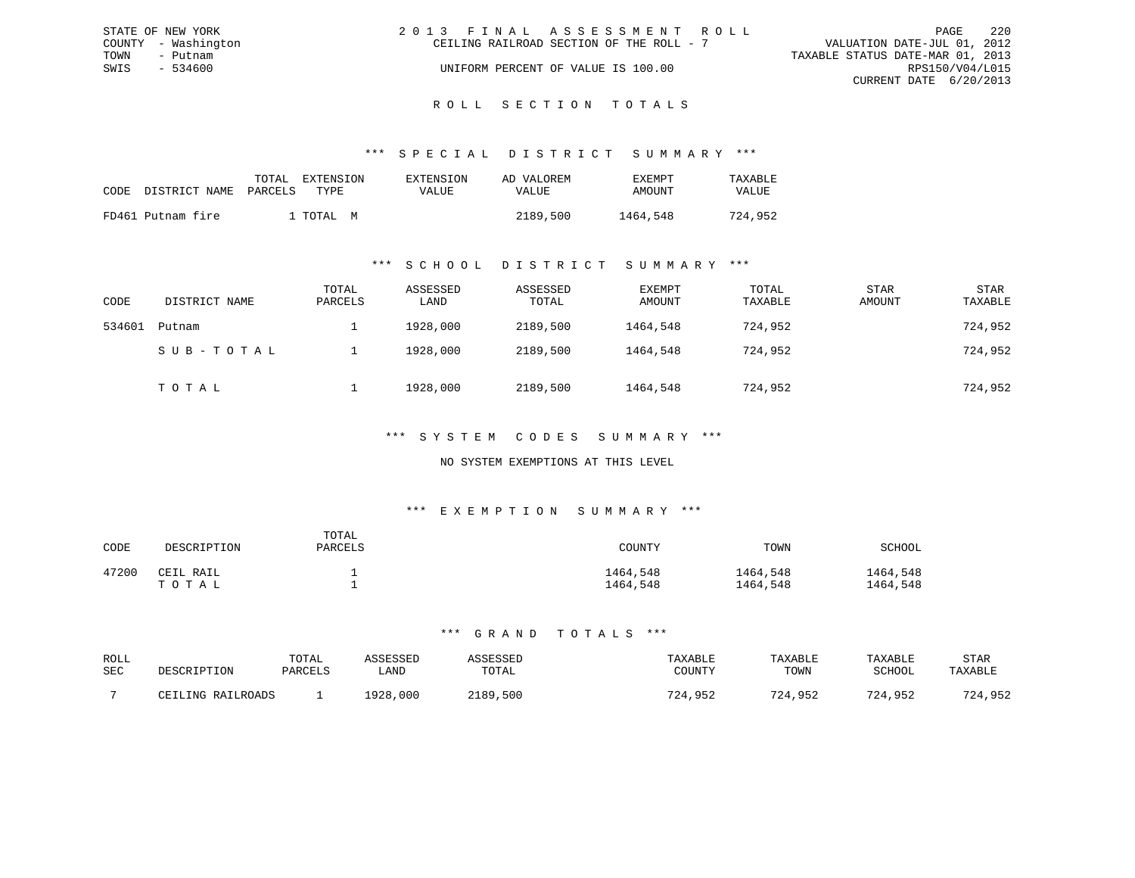|      | STATE OF NEW YORK   | 2013 FINAL ASSESSMENT ROLL               |  |                                  | PAGE                   | 2.2.0 |
|------|---------------------|------------------------------------------|--|----------------------------------|------------------------|-------|
|      | COUNTY - Washington | CEILING RAILROAD SECTION OF THE ROLL - 7 |  | VALUATION DATE-JUL 01, 2012      |                        |       |
| TOWN | - Putnam            |                                          |  | TAXABLE STATUS DATE-MAR 01, 2013 |                        |       |
| SWIS | $-534600$           | UNIFORM PERCENT OF VALUE IS 100.00       |  |                                  | RPS150/V04/L015        |       |
|      |                     |                                          |  |                                  | CURRENT DATE 6/20/2013 |       |
|      |                     |                                          |  |                                  |                        |       |

# ROLL SECTION TOTALS

#### \*\*\* S P E C I A L D I S T R I C T S U M M A R Y \*\*\*

| CODE | DISTRICT NAME PARCELS | TOTAL | EXTENSION<br>TYPE. | EXTENSION<br><b>VALUE</b> | AD VALOREM<br>VALUE | EXEMPT<br>AMOUNT | TAXABLE<br><b>VALUE</b> |
|------|-----------------------|-------|--------------------|---------------------------|---------------------|------------------|-------------------------|
|      | FD461 Putnam fire     |       | I TOTAI, M         |                           | 2189,500            | 1464,548         | 724,952                 |

#### \*\*\* S C H O O L D I S T R I C T S U M M A R Y \*\*\*

| CODE   | DISTRICT NAME | TOTAL<br>PARCELS | ASSESSED<br>LAND | ASSESSED<br>TOTAL | EXEMPT<br>AMOUNT | TOTAL<br>TAXABLE | STAR<br>AMOUNT | STAR<br>TAXABLE |
|--------|---------------|------------------|------------------|-------------------|------------------|------------------|----------------|-----------------|
| 534601 | Putnam        |                  | 1928,000         | 2189,500          | 1464,548         | 724,952          |                | 724,952         |
|        | SUB-TOTAL     |                  | 1928,000         | 2189,500          | 1464,548         | 724,952          |                | 724,952         |
|        | TOTAL         |                  | 1928,000         | 2189,500          | 1464,548         | 724,952          |                | 724,952         |

#### \*\*\* S Y S T E M C O D E S S U M M A R Y \*\*\*

#### NO SYSTEM EXEMPTIONS AT THIS LEVEL

#### \*\*\* E X E M P T I O N S U M M A R Y \*\*\*

| CODE  | DESCRIPTION        | TOTAL<br>PARCELS | COUNTY               | TOWN                 | SCHOOL               |
|-------|--------------------|------------------|----------------------|----------------------|----------------------|
| 47200 | CEIL RAIL<br>TOTAL |                  | 1464,548<br>1464,548 | 1464,548<br>1464,548 | 1464,548<br>1464,548 |

| ROLL<br>SEC | DESCRIPTION       | TOTAL<br>PARCELS | \SSESSED<br>∟AND | SSESSED<br>TOTAL | TAXABLE<br>COUNTY | TAXABLE<br>TOWN | TAXABLE<br>SCHOOL | STAR<br>TAXABLE |
|-------------|-------------------|------------------|------------------|------------------|-------------------|-----------------|-------------------|-----------------|
|             | CEILING RAILROADS |                  | 1928,000         | 2189,500         | 724,952           | 724,952         | 724,952           | 724,952         |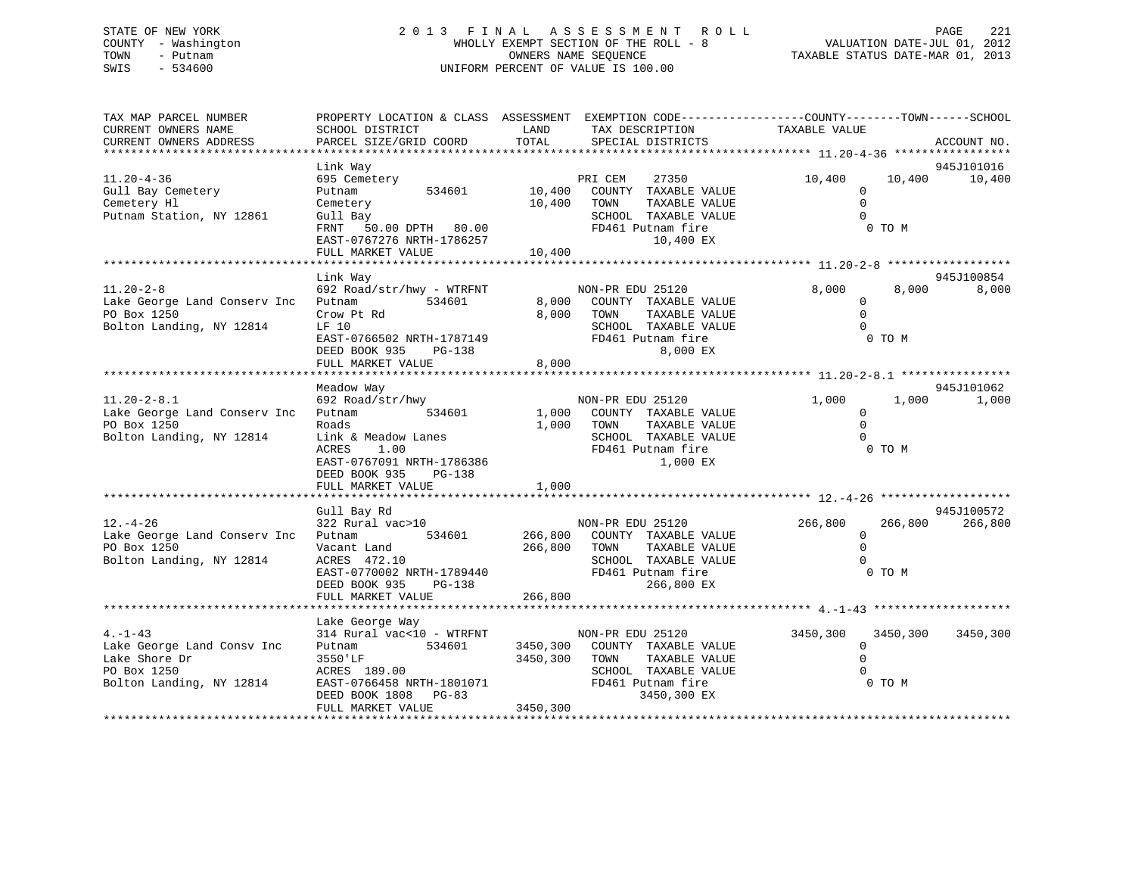# STATE OF NEW YORK 2 0 1 3 F I N A L A S S E S S M E N T R O L L PAGE 221 COUNTY - Washington WHOLLY EXEMPT SECTION OF THE ROLL - 8 VALUATION DATE-JUL 01, 2012 TOWN - Putnam OWNERS NAME SEQUENCE TAXABLE STATUS DATE-MAR 01, 2013 SWIS - 534600 UNIFORM PERCENT OF VALUE IS 100.00UNIFORM PERCENT OF VALUE IS 100.00

| TAX MAP PARCEL NUMBER<br>CURRENT OWNERS NAME<br>CURRENT OWNERS ADDRESS                                 | PROPERTY LOCATION & CLASS ASSESSMENT EXEMPTION CODE----------------COUNTY-------TOWN------SCHOOL<br>SCHOOL DISTRICT<br>PARCEL SIZE/GRID COORD                                 | LAND<br>TOTAL           | TAX DESCRIPTION<br>SPECIAL DISTRICTS                                                                                                   | TAXABLE VALUE                                    |                    | ACCOUNT NO.           |
|--------------------------------------------------------------------------------------------------------|-------------------------------------------------------------------------------------------------------------------------------------------------------------------------------|-------------------------|----------------------------------------------------------------------------------------------------------------------------------------|--------------------------------------------------|--------------------|-----------------------|
|                                                                                                        | Link Way                                                                                                                                                                      |                         |                                                                                                                                        |                                                  |                    | 945J101016            |
| $11.20 - 4 - 36$<br>Gull Bay Cemetery<br>Cemetery Hl<br>Putnam Station, NY 12861                       | 695 Cemetery<br>534601<br>Putnam<br>Cemetery<br>Gull Bay<br>FRNT 50.00 DPTH 80.00<br>EAST-0767276 NRTH-1786257<br>FULL MARKET VALUE                                           | 10,400 TOWN<br>10,400   | PRI CEM<br>27350<br>10,400 COUNTY TAXABLE VALUE<br>TAXABLE VALUE<br>SCHOOL TAXABLE VALUE<br>FD461 Putnam fire<br>10,400 EX             | 10,400<br>$\Omega$<br>$\Omega$<br>$\Omega$       | 10,400<br>0 TO M   | 10,400                |
|                                                                                                        |                                                                                                                                                                               |                         |                                                                                                                                        |                                                  |                    |                       |
| $11.20 - 2 - 8$<br>Lake George Land Conserv Inc<br>PO Box 1250<br>Bolton Landing, NY 12814             | Link Way<br>692 Road/str/hwy - WTRFNT<br>Putnam<br>534601<br>Crow Pt Rd<br>LF 10<br>EAST-0766502 NRTH-1787149<br>DEED BOOK 935 PG-138<br>FULL MARKET VALUE                    | 8,000<br>8,000          | NON-PR EDU 25120<br>8,000 COUNTY TAXABLE VALUE<br>TOWN<br>TAXABLE VALUE<br>SCHOOL TAXABLE VALUE<br>FD461 Putnam fire<br>8,000 EX       | 8,000<br>$\mathbf{0}$<br>$\mathbf 0$<br>$\Omega$ | 8,000<br>0 TO M    | 945J100854<br>8,000   |
|                                                                                                        |                                                                                                                                                                               |                         |                                                                                                                                        |                                                  |                    |                       |
| $11.20 - 2 - 8.1$<br>Lake George Land Conserv Inc<br>PO Box 1250<br>Bolton Landing, NY 12814           | Meadow Way<br>692 Road/str/hwy<br>Putnam 534601<br>Roads<br>Link & Meadow Lanes<br>1.00<br>ACRES<br>EAST-0767091 NRTH-1786386<br>DEED BOOK 935 PG-138<br>FULL MARKET VALUE    | 1,000                   | NON-PR EDU 25120<br>1,000 COUNTY TAXABLE VALUE<br>1,000 TOWN<br>TAXABLE VALUE<br>SCHOOL TAXABLE VALUE<br>FD461 Putnam fire<br>1,000 EX | 1,000<br>$\mathbf{0}$<br>$\mathbf 0$<br>$\Omega$ | 1,000<br>0 TO M    | 945J101062<br>1,000   |
|                                                                                                        |                                                                                                                                                                               |                         |                                                                                                                                        |                                                  |                    |                       |
| $12. - 4 - 26$<br>Lake George Land Conserv Inc<br>PO Box 1250<br>Bolton Landing, NY 12814              | Gull Bay Rd<br>322 Rural vac>10<br>Putnam<br>Vacant Land<br>ACRES 472.10<br>EAST-0770002 NRTH-1789440<br>DEED BOOK 935 DG-138<br>DEED BOOK 935<br>PG-138<br>FULL MARKET VALUE | 266,800 TOWN<br>266,800 | NON-PR EDU 25120<br>534601 266,800 COUNTY TAXABLE VALUE<br>TAXABLE VALUE<br>SCHOOL TAXABLE VALUE<br>FD461 Putnam fire<br>266,800 EX    | 266,800<br>$\Omega$<br>$\Omega$<br>$\cap$        | 266,800<br>0 TO M  | 945J100572<br>266,800 |
|                                                                                                        |                                                                                                                                                                               |                         |                                                                                                                                        |                                                  |                    |                       |
| $4. -1 - 43$<br>Lake George Land Consv Inc<br>Lake Shore Dr<br>PO Box 1250<br>Bolton Landing, NY 12814 | Lake George Way<br>314 Rural vac<10 - WTRFNT<br>Putnam 534601<br>3550'LF<br>ACRES 189.00<br>EAST-0766458 NRTH-1801071<br>DEED BOOK 1808 PG-83                                 | 3450,300                | NON-PR EDU 25120<br>3450,300 COUNTY TAXABLE VALUE<br>TAXABLE VALUE<br>TOWN<br>SCHOOL TAXABLE VALUE<br>FD461 Putnam fire<br>3450,300 EX | 3450,300<br>$\Omega$<br>$\Omega$<br>$\Omega$     | 3450,300<br>0 TO M | 3450,300              |
|                                                                                                        | FULL MARKET VALUE                                                                                                                                                             | 3450,300                |                                                                                                                                        |                                                  |                    |                       |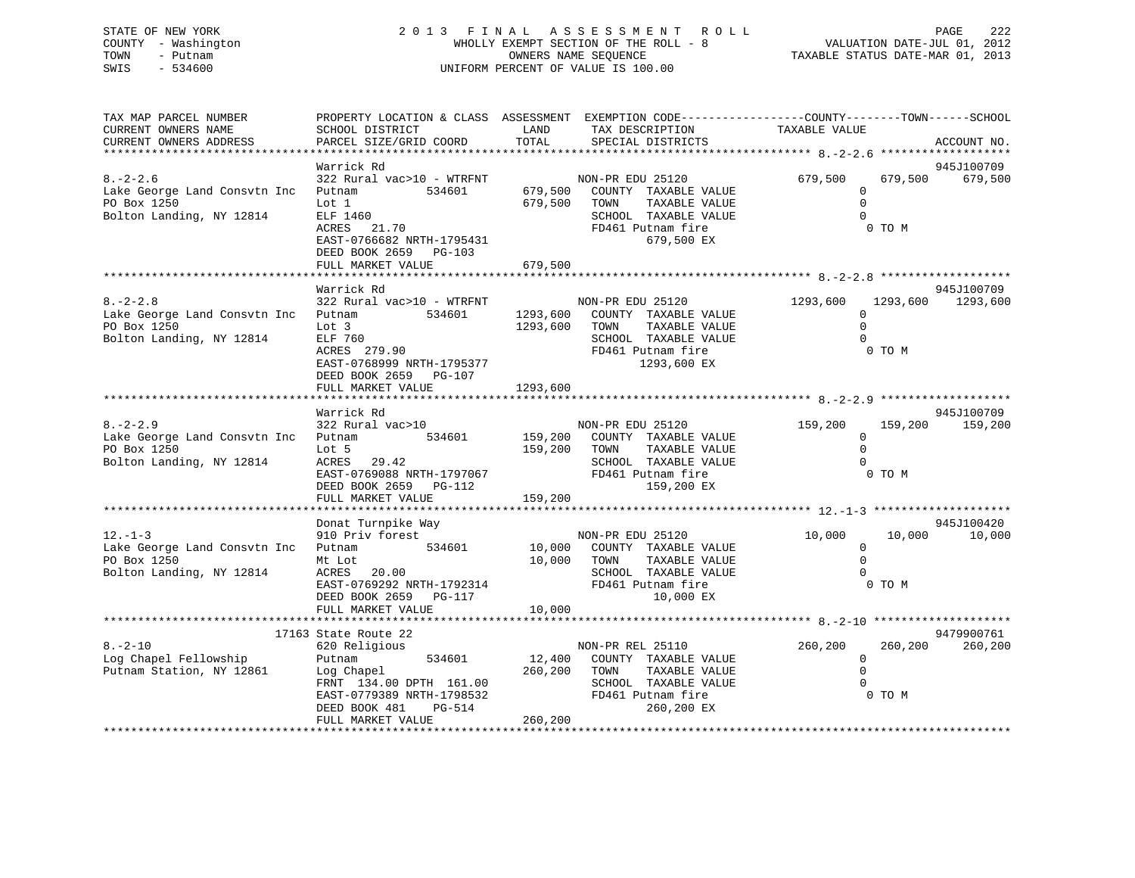# STATE OF NEW YORK 2 0 1 3 F I N A L A S S E S S M E N T R O L L PAGE 222 COUNTY - Washington WHOLLY EXEMPT SECTION OF THE ROLL - 8 VALUATION DATE-JUL 01, 2012 TOWN - Putnam OWNERS NAME SEQUENCE TAXABLE STATUS DATE-MAR 01, 2013 SWIS - 534600 UNIFORM PERCENT OF VALUE IS 100.00

| TAX MAP PARCEL NUMBER<br>CURRENT OWNERS NAME<br>CURRENT OWNERS ADDRESS                           | SCHOOL DISTRICT<br>PARCEL SIZE/GRID COORD                                                                                                                               | LAND<br>TOTAL                | PROPERTY LOCATION & CLASS ASSESSMENT EXEMPTION CODE----------------COUNTY-------TOWN------SCHOOL<br>TAX DESCRIPTION<br>SPECIAL DISTRICTS | TAXABLE VALUE                                  |                   | ACCOUNT NO.                     |
|--------------------------------------------------------------------------------------------------|-------------------------------------------------------------------------------------------------------------------------------------------------------------------------|------------------------------|------------------------------------------------------------------------------------------------------------------------------------------|------------------------------------------------|-------------------|---------------------------------|
|                                                                                                  |                                                                                                                                                                         |                              |                                                                                                                                          |                                                |                   |                                 |
| $8. - 2 - 2.6$<br>Lake George Land Consvtn Inc Putnam<br>PO Box 1250<br>Bolton Landing, NY 12814 | Warrick Rd<br>322 Rural vac>10 - WTRFNT NON-PR EDU 25120<br>Lot 1<br>ELF 1460<br>ACRES 21.70<br>EAST-0766682 NRTH-1795431<br>DEED BOOK 2659 PG-103<br>FULL MARKET VALUE | 679,500<br>679,500           | 534601 679,500 COUNTY TAXABLE VALUE<br>TOWN<br>TAXABLE VALUE<br>SCHOOL TAXABLE VALUE<br>FD461 Putnam fire<br>679,500 EX                  | 679,500<br>$\Omega$<br>$\mathbf 0$<br>$\Omega$ | 679,500<br>0 TO M | 945J100709<br>679,500           |
|                                                                                                  |                                                                                                                                                                         |                              |                                                                                                                                          |                                                |                   |                                 |
| $8. - 2 - 2.8$<br>Lake George Land Consvtn Inc Putnam<br>PO Box 1250<br>Bolton Landing, NY 12814 | Warrick Rd<br>322 Rural vac>10 - WTRFNT<br>534601<br>Lot 3<br>ELF 760<br>ACRES 279.90<br>EAST-0768999 NRTH-1795377<br>DEED BOOK 2659 PG-107                             | 1293,600 TOWN                | NON-PR EDU 25120<br>1293,600 COUNTY TAXABLE VALUE<br>TAXABLE VALUE<br>SCHOOL TAXABLE VALUE<br>FD461 Putnam fire<br>1293,600 EX           | 1293,600<br>$\Omega$                           | 0 TO M            | 945J100709<br>1293,600 1293,600 |
|                                                                                                  | FULL MARKET VALUE                                                                                                                                                       | 1293,600                     |                                                                                                                                          |                                                |                   |                                 |
|                                                                                                  | Warrick Rd                                                                                                                                                              |                              |                                                                                                                                          |                                                |                   | 945J100709                      |
| $8. - 2 - 2.9$<br>Lake George Land Consvtn Inc Putnam<br>PO Box 1250<br>Bolton Landing, NY 12814 | 322 Rural vac>10<br>534601<br>Lot 5<br>ACRES 29.42<br>ACRES 29.42<br>EAST-0769088 NRTH-1797067 FD461 Putnam fire<br>159.200 EX<br>DEED BOOK 2659 PG-112                 | 159,200 TOWN                 | NON-PR EDU 25120<br>159,200 COUNTY TAXABLE VALUE<br>TAXABLE VALUE<br>SCHOOL TAXABLE VALUE<br>159,200 EX                                  | 159,200<br>$\mathbf{0}$<br>$\Omega$            | 0 TO M            | 159,200 159,200                 |
|                                                                                                  | FULL MARKET VALUE                                                                                                                                                       | 159,200                      |                                                                                                                                          |                                                |                   |                                 |
|                                                                                                  | Donat Turnpike Way                                                                                                                                                      |                              |                                                                                                                                          |                                                |                   | 945J100420                      |
| $12. - 1 - 3$<br>Lake George Land Consvtn Inc Putnam<br>PO Box 1250<br>Bolton Landing, NY 12814  | Mt Lot<br>ACRES 20.00<br>EAST-0769292 NRTH-1792314<br>DEED BOOK 2659 PG-117<br>FULL MARKET VALUE                                                                        | 10,000                       | 534601 10,000 COUNTY TAXABLE VALUE<br>10,000 TOWN<br>TAXABLE VALUE<br>SCHOOL TAXABLE VALUE<br>FD461 Putnam fire<br>10,000 EX             | 10,000<br>$\Omega$<br>$\Omega$<br>$\cap$       | 10,000<br>0 TO M  | 10,000                          |
|                                                                                                  |                                                                                                                                                                         |                              |                                                                                                                                          |                                                |                   |                                 |
|                                                                                                  | 17163 State Route 22                                                                                                                                                    |                              |                                                                                                                                          |                                                |                   | 9479900761                      |
| $8. - 2 - 10$<br>Log Chapel Fellowship<br>Putnam Station, NY 12861                               | 620 Religious<br>534601<br>Putnam<br>Log Chapel<br>FRNT 134.00 DPTH 161.00<br>EAST-0779389 NRTH-1798532<br>DEED BOOK 481<br>PG-514<br>FULL MARKET VALUE                 | 12,400<br>260,200<br>260,200 | NON-PR REL 25110<br>COUNTY TAXABLE VALUE<br>TAXABLE VALUE<br>TOWN<br>SCHOOL TAXABLE VALUE<br>FD461 Putnam fire<br>260,200 EX             | 260,200<br>$\Omega$<br>$\Omega$                | 260,200<br>0 TO M | 260,200                         |
|                                                                                                  |                                                                                                                                                                         |                              |                                                                                                                                          |                                                |                   |                                 |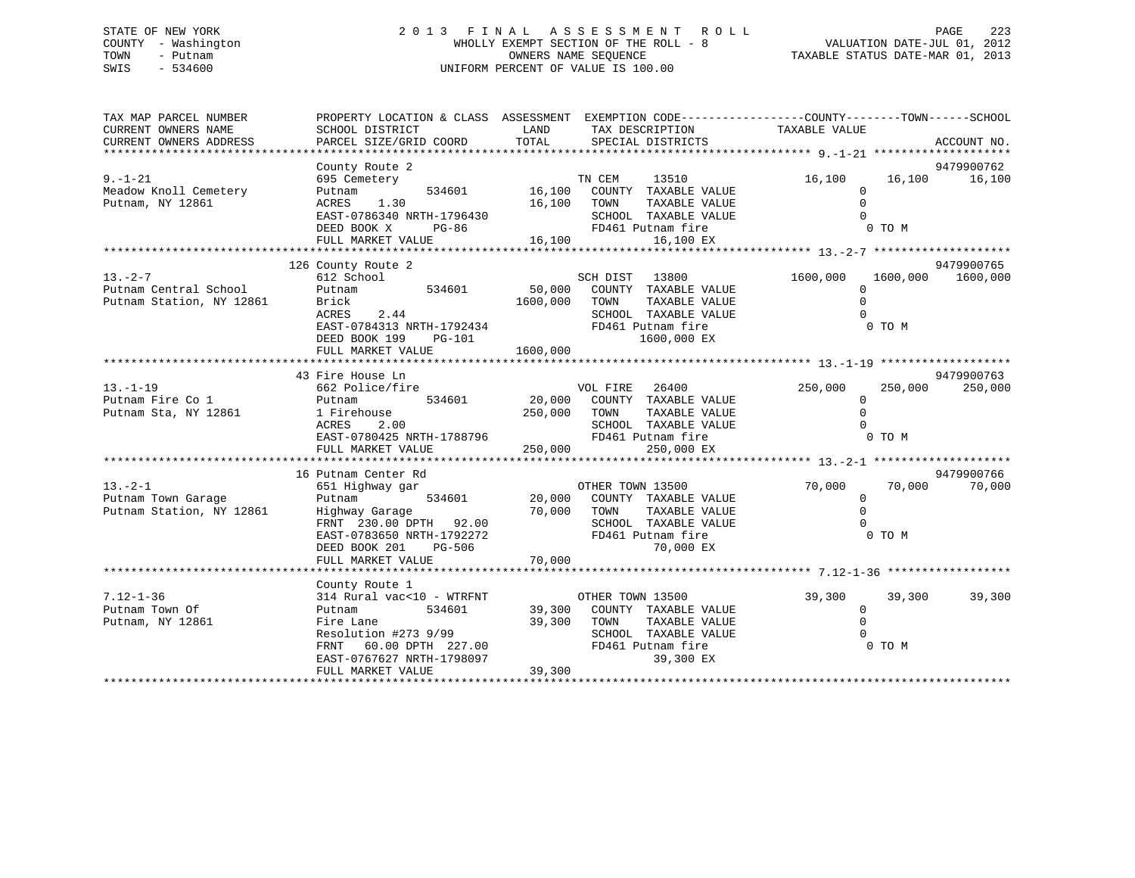# STATE OF NEW YORK 2 0 1 3 F I N A L A S S E S S M E N T R O L L PAGE 223 COUNTY - Washington WHOLLY EXEMPT SECTION OF THE ROLL - 8 VALUATION DATE-JUL 01, 2012 TOWN - Putnam OWNERS NAME SEQUENCE TAXABLE STATUS DATE-MAR 01, 2013 SWIS - 534600 UNIFORM PERCENT OF VALUE IS 100.00

| TAX MAP PARCEL NUMBER<br>CURRENT OWNERS NAME<br>CURRENT OWNERS ADDRESS                                                                                                                                                                                       | PROPERTY LOCATION & CLASS ASSESSMENT EXEMPTION CODE----------------COUNTY-------TOWN------SCHOOL<br>SCHOOL DISTRICT<br>PARCEL SIZE/GRID COORD                      | <b>LAND</b><br>TOTAL | TAX DESCRIPTION TAXABLE VALUE<br>SPECIAL DISTRICTS                          |              | ACCOUNT NO.             |
|--------------------------------------------------------------------------------------------------------------------------------------------------------------------------------------------------------------------------------------------------------------|--------------------------------------------------------------------------------------------------------------------------------------------------------------------|----------------------|-----------------------------------------------------------------------------|--------------|-------------------------|
|                                                                                                                                                                                                                                                              |                                                                                                                                                                    |                      |                                                                             |              |                         |
|                                                                                                                                                                                                                                                              | County Route 2                                                                                                                                                     |                      |                                                                             |              | 9479900762              |
| $9. - 1 - 21$                                                                                                                                                                                                                                                | 695 Cemetery                                                                                                                                                       |                      |                                                                             | 16,100       | 16,100   16,100         |
| Meadow Knoll Cemetery                                                                                                                                                                                                                                        | Putnam                                                                                                                                                             |                      |                                                                             | $\Omega$     |                         |
| Putnam, NY 12861                                                                                                                                                                                                                                             | ACRES 1.30                                                                                                                                                         | 16,100 TOWN          | TAXABLE VALUE                                                               | $\Omega$     |                         |
|                                                                                                                                                                                                                                                              | EAST-0786340 NRTH-1796430<br>NRTH-1796430<br>PG-86                                                                                                                 |                      | SCHOOL TAXABLE VALUE                                                        |              |                         |
|                                                                                                                                                                                                                                                              | DEED BOOK X                                                                                                                                                        |                      | FD461 Putnam fire                                                           | JE UN O TO M |                         |
|                                                                                                                                                                                                                                                              |                                                                                                                                                                    |                      |                                                                             |              |                         |
|                                                                                                                                                                                                                                                              |                                                                                                                                                                    |                      |                                                                             |              |                         |
|                                                                                                                                                                                                                                                              | 126 County Route 2                                                                                                                                                 |                      |                                                                             |              | 9479900765              |
| $\begin{array}{cccccccc} \texttt{13.-2--7} & \texttt{612 School} & \texttt{534601} & \texttt{SCH DIST} & \texttt{13800} \\ \texttt{Putnam Central School} & \texttt{Putnam} & \texttt{534601} & \texttt{50,000} & \texttt{COUNTY TAXABLE VALUE} \end{array}$ |                                                                                                                                                                    |                      |                                                                             | 1600,000     | 1600,000 1600,000       |
|                                                                                                                                                                                                                                                              |                                                                                                                                                                    |                      |                                                                             | 0            |                         |
| Putnam Station, NY 12861                                                                                                                                                                                                                                     | Brick 1600,000<br>ACRES 2.44 1600,000                                                                                                                              |                      | TOWN<br>TAXABLE VALUE                                                       | $\mathbf 0$  |                         |
|                                                                                                                                                                                                                                                              |                                                                                                                                                                    |                      | SCHOOL TAXABLE VALUE                                                        | $\Omega$     |                         |
|                                                                                                                                                                                                                                                              | EAST-0784313 NRTH-1792434 FD461 Putnam fire                                                                                                                        |                      |                                                                             |              | 0 TO M                  |
|                                                                                                                                                                                                                                                              | DEED BOOK 199 PG-101                                                                                                                                               |                      | 1600,000 EX                                                                 |              |                         |
|                                                                                                                                                                                                                                                              |                                                                                                                                                                    |                      |                                                                             |              |                         |
|                                                                                                                                                                                                                                                              |                                                                                                                                                                    |                      |                                                                             |              |                         |
|                                                                                                                                                                                                                                                              | 43 Fire House Ln                                                                                                                                                   |                      |                                                                             |              | 9479900763              |
| $13. - 1 - 19$                                                                                                                                                                                                                                               | 662 Police/fire                                                                                                                                                    |                      | VOL FIRE 26400 250,000                                                      |              | 250,000<br>250,000      |
| Putnam Fire Co 1<br>Putnam Sta, NY 12861                                                                                                                                                                                                                     | 534601<br>Putnam                                                                                                                                                   |                      |                                                                             | $\mathbf{0}$ |                         |
|                                                                                                                                                                                                                                                              | 1 Firehouse                                                                                                                                                        |                      | VOL FIRE 26400<br>20,000 COUNTY TAXABLE VALUE<br>250,000 TOWN TAXABLE VALUE | $\Omega$     |                         |
|                                                                                                                                                                                                                                                              | 2.00                                                                                                                                                               |                      |                                                                             |              |                         |
|                                                                                                                                                                                                                                                              |                                                                                                                                                                    |                      |                                                                             |              |                         |
|                                                                                                                                                                                                                                                              |                                                                                                                                                                    |                      |                                                                             |              |                         |
|                                                                                                                                                                                                                                                              |                                                                                                                                                                    |                      |                                                                             |              |                         |
|                                                                                                                                                                                                                                                              | 16 Putnam Center Rd                                                                                                                                                |                      |                                                                             |              | 9479900766              |
| $13. - 2 - 1$<br>13.-2-1<br>Putnam Town Garage                                                                                                                                                                                                               | 651 Highway gar                                                                                                                                                    |                      | OTHER TOWN 13500                                                            |              | 70,000 70,000<br>70,000 |
|                                                                                                                                                                                                                                                              | Putnam 534601 20,000 COUNTY TAXABLE VALUE                                                                                                                          |                      |                                                                             | $\mathbf{0}$ |                         |
|                                                                                                                                                                                                                                                              |                                                                                                                                                                    |                      | TAXABLE VALUE                                                               | $\Omega$     |                         |
| Putnam Town Garage Putnam Putnam Station, NY 12861 Futnam Station, NY 12861 FRNT 230.00 DPTH 92.00<br>FRNT 230.00 DPTH 92.00 FCHOOL TAXABLE VA FRNT 230.00 DPTH 92.00 SCHOOL TAXABLE VA EAST-0783650 NRTH-1792272 FD461 Putnam fi                            |                                                                                                                                                                    |                      | SCHOOL TAXABLE VALUE                                                        | $\Omega$     |                         |
|                                                                                                                                                                                                                                                              |                                                                                                                                                                    |                      |                                                                             | 0 TO M       |                         |
|                                                                                                                                                                                                                                                              |                                                                                                                                                                    |                      |                                                                             |              |                         |
|                                                                                                                                                                                                                                                              |                                                                                                                                                                    |                      |                                                                             |              |                         |
|                                                                                                                                                                                                                                                              |                                                                                                                                                                    |                      |                                                                             |              |                         |
|                                                                                                                                                                                                                                                              | County Route 1<br>314 Rural vac<10 - WTRFNT OTHER TOWN 13500                                                                                                       |                      |                                                                             |              |                         |
| $7.12 - 1 - 36$                                                                                                                                                                                                                                              |                                                                                                                                                                    |                      |                                                                             | 39,300       | 39,300<br>39,300        |
| Putnam Town Of                                                                                                                                                                                                                                               |                                                                                                                                                                    |                      | 534601 39,300 COUNTY TAXABLE VALUE                                          | $\mathbf{0}$ |                         |
| Putnam, NY 12861                                                                                                                                                                                                                                             |                                                                                                                                                                    |                      |                                                                             | $\mathbf 0$  |                         |
|                                                                                                                                                                                                                                                              | COUNTY TAXABLE VALUE<br>Resolution #273 9/99<br>FRNT 60.00 DPTH 227.00<br>EAST-0767627 NRTH-1798097<br>FULL MARKET VALUE<br>FULL MARKET VALUE<br>FULL MARKET VALUE |                      |                                                                             | $\Omega$     |                         |
|                                                                                                                                                                                                                                                              |                                                                                                                                                                    |                      |                                                                             |              | 0 TO M                  |
|                                                                                                                                                                                                                                                              |                                                                                                                                                                    | 39,300               |                                                                             |              |                         |
|                                                                                                                                                                                                                                                              |                                                                                                                                                                    |                      |                                                                             |              |                         |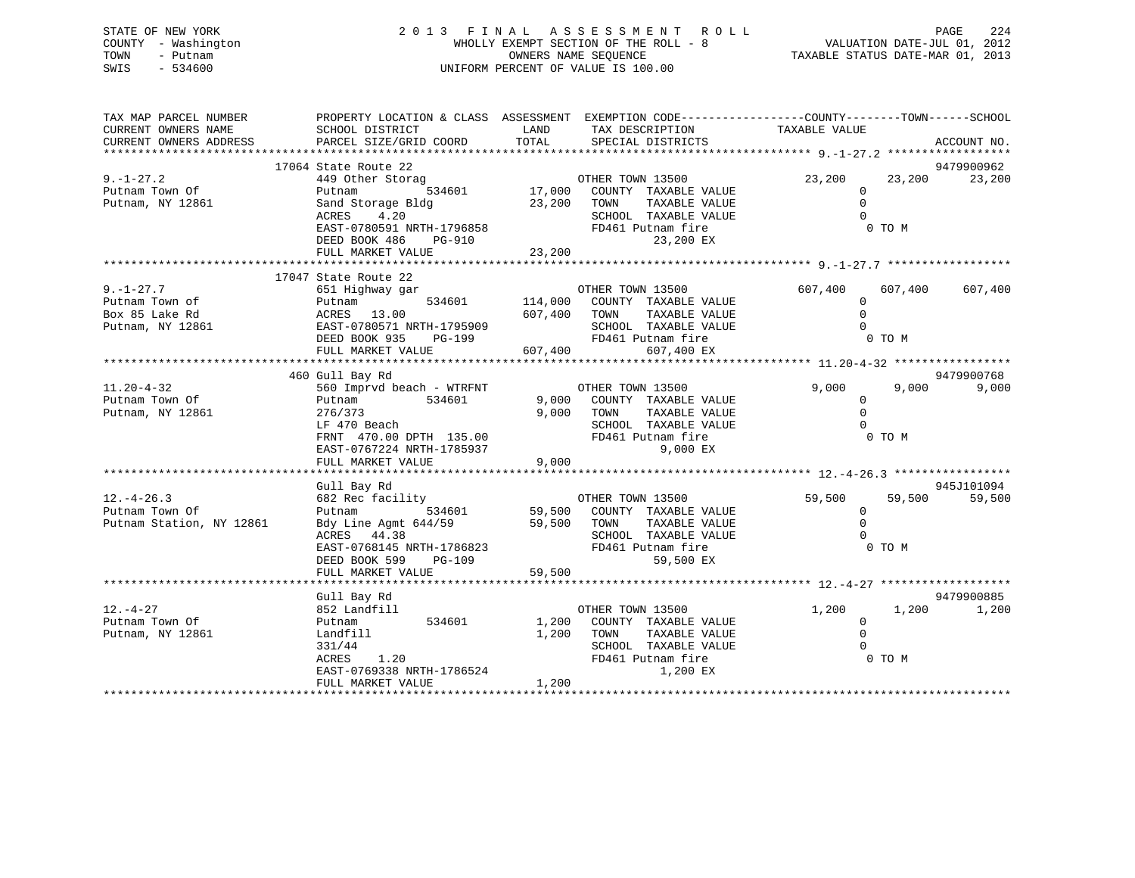STATE OF NEW YORK 2 0 1 3 F I N A L A S S E S S M E N T R O L L PAGE 224 COUNTY - Washington WHOLLY EXEMPT SECTION OF THE ROLL - 8 VALUATION DATE-JUL 01, 2012 TOWN - Putnam OWNERS NAME SEQUENCE TAXABLE STATUS DATE-MAR 01, 2013 SWIS - 534600 UNIFORM PERCENT OF VALUE IS 100.00 TAX MAP PARCEL NUMBER PROPERTY LOCATION & CLASS ASSESSMENT EXEMPTION CODE------------------COUNTY--------TOWN------SCHOOL CURRENT OWNERS NAME SCHOOL DISTRICT LAND TAX DESCRIPTION TAXABLE VALUE

| CURRENT OWNERS ADDRESS                                                  | PARCEL SIZE/GRID COORD                                                                                                                                | TOTAL                   | SPECIAL DISTRICTS                                                                                                                              |                                                  |                   | ACCOUNT NO.          |
|-------------------------------------------------------------------------|-------------------------------------------------------------------------------------------------------------------------------------------------------|-------------------------|------------------------------------------------------------------------------------------------------------------------------------------------|--------------------------------------------------|-------------------|----------------------|
|                                                                         | 17064 State Route 22                                                                                                                                  |                         |                                                                                                                                                |                                                  |                   | 9479900962           |
| $9. - 1 - 27.2$<br>Putnam Town Of<br>Putnam, NY 12861                   | 449 Other Storag<br>Putnam<br>Sand Storage Bldg<br>ACRES 4.20<br>EAST-0780591 NRTH-1796858<br>DEED BOOK 486<br>PG-910                                 | 23,200                  | OTHER TOWN 13500<br>,<br>534601 17,000 COUNTY TAXABLE VALUE<br>TAXABLE VALUE<br>TOWN<br>SCHOOL TAXABLE VALUE<br>FD461 Putnam fire<br>23,200 EX | 23,200<br>$\mathbf 0$<br>$\mathbf 0$<br>$\Omega$ | 23,200<br>0 TO M  | 23,200               |
|                                                                         | FULL MARKET VALUE                                                                                                                                     | 23,200                  |                                                                                                                                                |                                                  |                   |                      |
|                                                                         | 17047 State Route 22                                                                                                                                  |                         |                                                                                                                                                |                                                  |                   |                      |
| $9. - 1 - 27.7$<br>Putnam Town of<br>Box 85 Lake Rd<br>Putnam, NY 12861 | 651 Highway gar<br>534601<br>Putnam<br>ACRES 13.00<br>EAST-0780571 NRTH-1795909<br>DEED BOOK 935<br>PG-199<br>FULL MARKET VALUE                       | 607,400                 | OTHER TOWN 13500<br>114,000 COUNTY TAXABLE VALUE<br>607,400 TOWN<br>TAXABLE VALUE<br>SCHOOL TAXABLE VALUE<br>FD461 Putnam fire<br>607,400 EX   | 607,400<br>$\mathbf 0$<br>$\Omega$<br>$\Omega$   | 607,400<br>0 TO M | 607,400              |
|                                                                         |                                                                                                                                                       |                         |                                                                                                                                                |                                                  |                   |                      |
|                                                                         | 460 Gull Bay Rd                                                                                                                                       |                         |                                                                                                                                                |                                                  |                   | 9479900768           |
| $11.20 - 4 - 32$<br>Putnam Town Of<br>Putnam, NY 12861                  | 560 Imprvd beach - WTRFNT<br>Putnam<br>534601<br>276/373<br>LF 470 Beach<br>FRNT 470.00 DPTH 135.00<br>EAST-0767224 NRTH-1785937<br>FULL MARKET VALUE | 9,000<br>9.000<br>9,000 | OTHER TOWN 13500<br>COUNTY TAXABLE VALUE<br>TAXABLE VALUE<br>TOWN<br>SCHOOL TAXABLE VALUE<br>FD461 Putnam fire<br>9,000 EX                     | 9,000<br>0<br>$\Omega$                           | 9,000<br>0 TO M   | 9,000                |
|                                                                         |                                                                                                                                                       |                         |                                                                                                                                                |                                                  |                   |                      |
| $12. - 4 - 26.3$<br>Putnam Town Of<br>Putnam Station, NY 12861          | Gull Bay Rd<br>682 Rec facility<br>534601<br>Putnam<br>Bdy Line Agmt 644/59<br>ACRES 44.38<br>EAST-0768145 NRTH-1786823<br>DEED BOOK 599<br>PG-109    | 59,500 TOWN             | OTHER TOWN 13500<br>59,500 COUNTY TAXABLE VALUE<br>TAXABLE VALUE<br>TAXABLE VALUE<br>SCHOOL TAXABLE VALUE<br>FD461 Putnam fire<br>59,500 EX    | 59,500<br>$\mathbf 0$<br>$\Omega$<br>$\Omega$    | 59,500<br>0 TO M  | 945J101094<br>59,500 |
|                                                                         | FULL MARKET VALUE                                                                                                                                     | 59,500                  |                                                                                                                                                |                                                  |                   |                      |
| $12. - 4 - 27$<br>Putnam Town Of                                        | Gull Bay Rd<br>852 Landfill<br>534601<br>Putnam                                                                                                       | 1,200                   | OTHER TOWN 13500<br>COUNTY TAXABLE VALUE                                                                                                       | 1,200<br>$\Omega$                                | 1,200             | 9479900885<br>1,200  |
| Putnam, NY 12861                                                        | Landfill<br>331/44<br><b>ACRES</b><br>1.20<br>EAST-0769338 NRTH-1786524<br>FULL MARKET VALUE                                                          | 1,200<br>1,200          | TOWN<br>TAXABLE VALUE<br>SCHOOL TAXABLE VALUE<br>FD461 Putnam fire<br>1,200 EX                                                                 | $\mathbf 0$<br>$\Omega$                          | 0 TO M            |                      |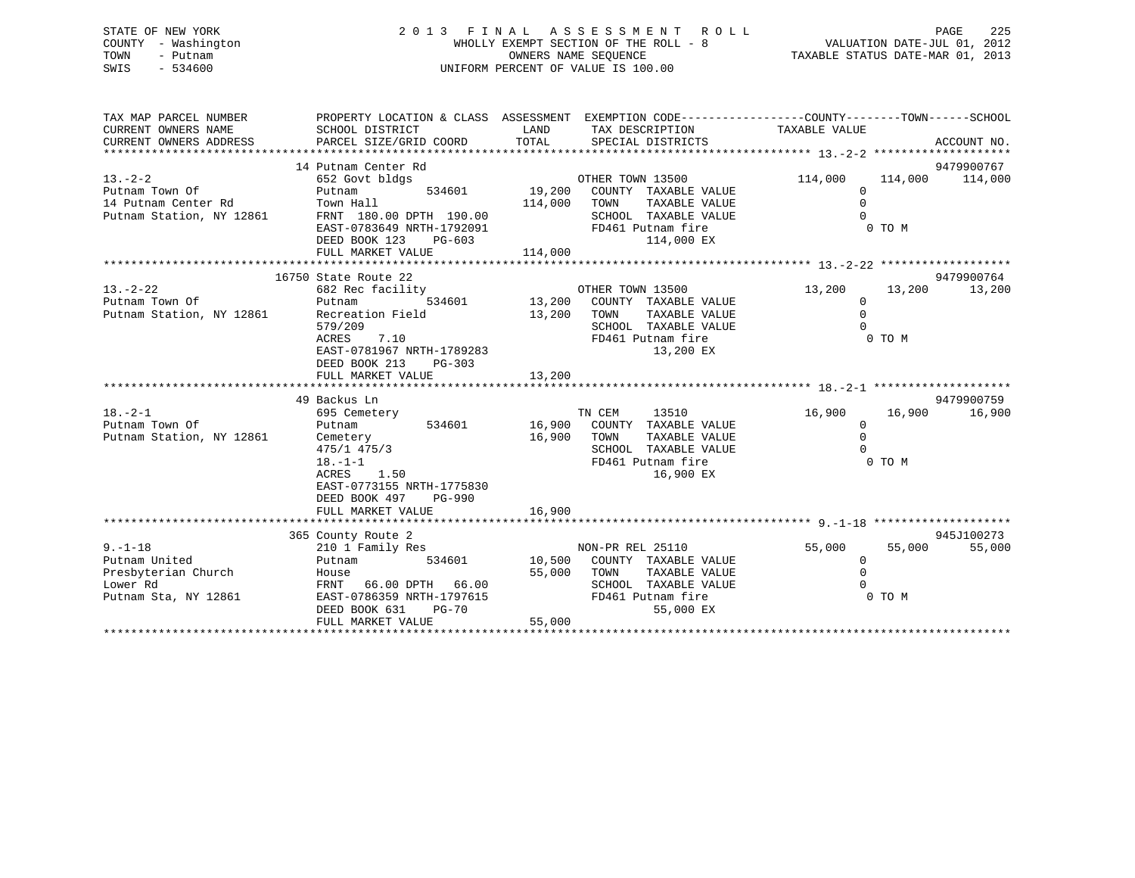# STATE OF NEW YORK 2 0 1 3 F I N A L A S S E S S M E N T R O L L PAGE 225 COUNTY - Washington WHOLLY EXEMPT SECTION OF THE ROLL - 8 VALUATION DATE-JUL 01, 2012 TOWN - Putnam OWNERS NAME SEQUENCE TAXABLE STATUS DATE-MAR 01, 2013 SWIS - 534600 UNIFORM PERCENT OF VALUE IS 100.00

| TAX MAP PARCEL NUMBER                           | PROPERTY LOCATION & CLASS ASSESSMENT EXEMPTION CODE---------------COUNTY-------TOWN-----SCHOOL |             |                                    |                    |        |                      |
|-------------------------------------------------|------------------------------------------------------------------------------------------------|-------------|------------------------------------|--------------------|--------|----------------------|
| CURRENT OWNERS NAME                             | SCHOOL DISTRICT                                                                                |             | LAND TAX DESCRIPTION               | TAXABLE VALUE      |        |                      |
| CURRENT OWNERS ADDRESS                          |                                                                                                |             |                                    |                    |        |                      |
|                                                 |                                                                                                |             |                                    |                    |        |                      |
|                                                 | 14 Putnam Center Rd                                                                            |             |                                    |                    |        | 9479900767           |
| $13. - 2 - 2$                                   | 652 Govt bldgs                                                                                 |             | OTHER TOWN 13500                   | 114,000            |        | 114,000 114,000      |
| Putnam Town Of                                  | Putnam                                                                                         |             | 534601 19,200 COUNTY TAXABLE VALUE | $\Omega$           |        |                      |
|                                                 | Town Hall                                                                                      | 114,000     | TOWN<br>TAXABLE VALUE              | $\Omega$           |        |                      |
| 14 Putnam Center Rd<br>Putnam Station, NY 12861 | FRNT 180.00 DPTH 190.00                                                                        |             | SCHOOL TAXABLE VALUE               | $\Omega$           |        |                      |
|                                                 | EAST-0783649 NRTH-1792091                                                                      |             | FD461 Putnam fire                  |                    | 0 TO M |                      |
|                                                 | DEED BOOK 123<br>PG-603                                                                        |             | 114,000 EX                         |                    |        |                      |
|                                                 | FULL MARKET VALUE                                                                              | 114,000     |                                    |                    |        |                      |
|                                                 |                                                                                                |             |                                    |                    |        |                      |
|                                                 | 16750 State Route 22                                                                           |             |                                    |                    |        | 9479900764           |
| $13. - 2 - 22$                                  | 682 Rec facility                                                                               |             | OTHER TOWN 13500                   | 13,200             | 13,200 | 13,200               |
| Putnam Town Of                                  | Putnam                                                                                         |             | 534601 13,200 COUNTY TAXABLE VALUE | $\Omega$           |        |                      |
| Putnam Station, NY 12861                        | Recreation Field                                                                               | 13,200 TOWN | TAXABLE VALUE                      | $\mathbf 0$        |        |                      |
|                                                 | 579/209                                                                                        |             | SCHOOL TAXABLE VALUE               | $\Omega$           |        |                      |
|                                                 | ACRES 7.10                                                                                     |             | FD461 Putnam fire                  |                    | 0 TO M |                      |
|                                                 | EAST-0781967 NRTH-1789283                                                                      |             | 13,200 EX                          |                    |        |                      |
|                                                 | DEED BOOK 213<br>PG-303                                                                        |             |                                    |                    |        |                      |
|                                                 | FULL MARKET VALUE                                                                              | 13,200      |                                    |                    |        |                      |
|                                                 |                                                                                                |             |                                    |                    |        |                      |
| $18. - 2 - 1$                                   | 49 Backus Ln                                                                                   |             | TN CEM<br>13510                    |                    | 16,900 | 9479900759<br>16,900 |
| Putnam Town Of                                  | 695 Cemetery<br>534601<br>Putnam                                                               |             | 16,900 COUNTY TAXABLE VALUE        | 16,900<br>$\Omega$ |        |                      |
| Putnam Station, NY 12861                        | Cemetery                                                                                       | 16,900 TOWN | TAXABLE VALUE                      | $\Omega$           |        |                      |
|                                                 | $475/1$ $475/3$                                                                                |             | SCHOOL TAXABLE VALUE               | $\Omega$           |        |                      |
|                                                 | $18. - 1 - 1$                                                                                  |             | FD461 Putnam fire                  |                    | 0 TO M |                      |
|                                                 | ACRES 1.50                                                                                     |             | 16,900 EX                          |                    |        |                      |
|                                                 | EAST-0773155 NRTH-1775830                                                                      |             |                                    |                    |        |                      |
|                                                 | DEED BOOK 497<br>PG-990                                                                        |             |                                    |                    |        |                      |
|                                                 | FULL MARKET VALUE                                                                              | 16,900      |                                    |                    |        |                      |
|                                                 |                                                                                                |             |                                    |                    |        |                      |
|                                                 | 365 County Route 2                                                                             |             |                                    |                    |        | 945J100273           |
| $9. - 1 - 18$                                   | 210 1 Family Res                                                                               |             | NON-PR REL 25110                   | 55,000             | 55,000 | 55,000               |
| Putnam United                                   | 534601<br>Putnam                                                                               |             | 10,500 COUNTY TAXABLE VALUE        | 0                  |        |                      |
| Presbyterian Church                             | House                                                                                          | 55,000      | TOWN<br>TAXABLE VALUE              | $\mathbf 0$        |        |                      |
| Lower Rd                                        | FRNT<br>66.00 DPTH 66.00                                                                       |             | SCHOOL TAXABLE VALUE               |                    |        |                      |
| Putnam Sta, NY 12861                            | EAST-0786359 NRTH-1797615                                                                      |             | FD461 Putnam fire                  |                    | 0 TO M |                      |
|                                                 | DEED BOOK 631<br>$PG-70$                                                                       |             | 55,000 EX                          |                    |        |                      |
|                                                 | FULL MARKET VALUE                                                                              | 55,000      |                                    |                    |        |                      |
|                                                 |                                                                                                |             |                                    |                    |        |                      |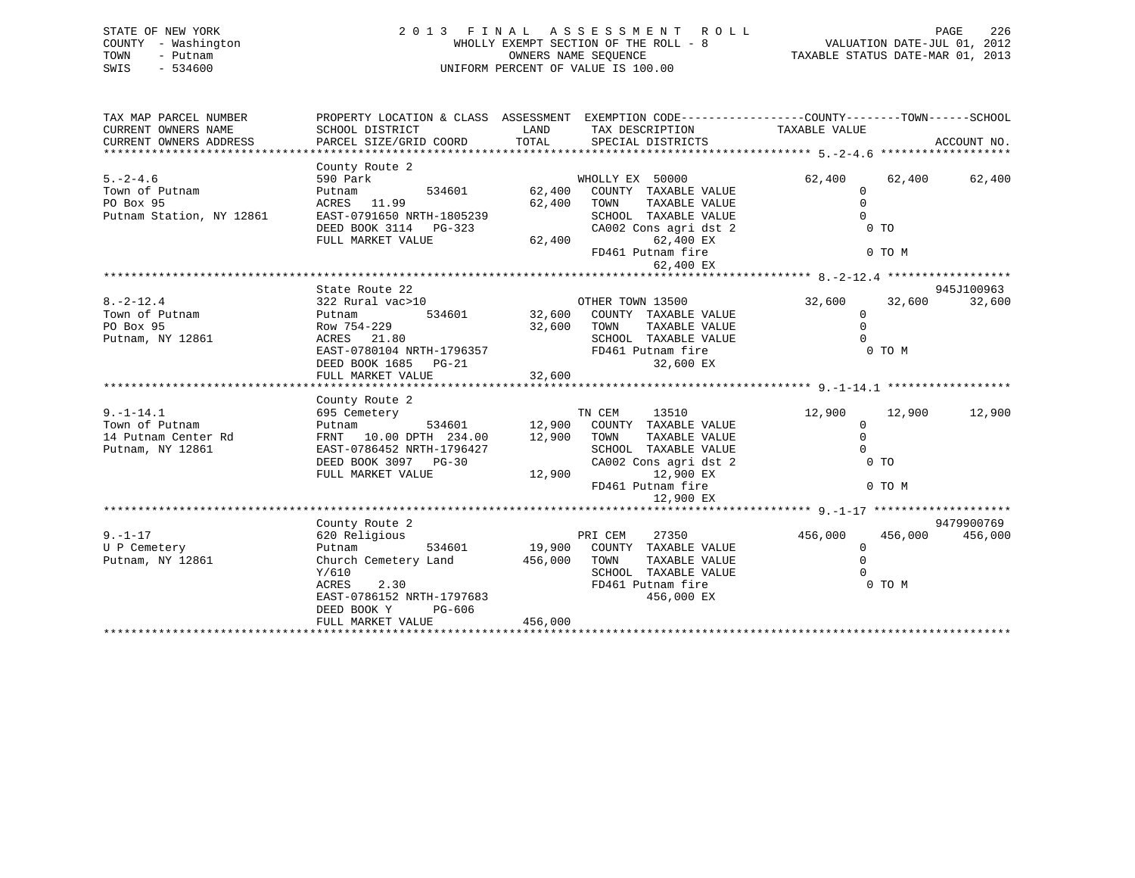# STATE OF NEW YORK 2 0 1 3 F I N A L A S S E S S M E N T R O L L PAGE 226 COUNTY - Washington WHOLLY EXEMPT SECTION OF THE ROLL - 8 VALUATION DATE-JUL 01, 2012 TOWN - Putnam OWNERS NAME SEQUENCE TAXABLE STATUS DATE-MAR 01, 2013 SWIS - 534600 UNIFORM PERCENT OF VALUE IS 100.00

| TAX MAP PARCEL NUMBER<br>CURRENT OWNERS NAME<br>CURRENT OWNERS NAME<br>CURRENT OWNERS ADDRESS | SCHOOL DISTRICT<br>PARCEL SIZE/GRID COORD TOTAL SPECIAL DISTRICTS                          | LAND                      | PROPERTY LOCATION & CLASS ASSESSMENT EXEMPTION CODE---------------COUNTY-------TOWN------SCHOOL<br>TAX DESCRIPTION TAXABLE VALUE |                                                                                                                       |         | ACCOUNT NO. |
|-----------------------------------------------------------------------------------------------|--------------------------------------------------------------------------------------------|---------------------------|----------------------------------------------------------------------------------------------------------------------------------|-----------------------------------------------------------------------------------------------------------------------|---------|-------------|
|                                                                                               | County Route 2                                                                             |                           |                                                                                                                                  |                                                                                                                       |         |             |
| $5. -2 - 4.6$                                                                                 | 590 Park                                                                                   |                           |                                                                                                                                  | 62,400                                                                                                                | 62,400  | 62,400      |
| Town of Putnam                                                                                | Putnam                                                                                     |                           | WHOLLY EX 50000<br>534601 62,400 COUNTY TAXABLE VALUE                                                                            | $\mathbf 0$                                                                                                           |         |             |
| PO Box 95                                                                                     | ACRES 11.99                                                                                | 62,400 TOWN               | TAXABLE VALUE                                                                                                                    | $\Omega$                                                                                                              |         |             |
| Putnam Station, NY 12861                                                                      | EAST-0791650 NRTH-1805239                                                                  |                           | SCHOOL TAXABLE VALUE                                                                                                             | $\Omega$                                                                                                              |         |             |
|                                                                                               | DEED BOOK 3114 PG-323                                                                      |                           | CA002 Cons agri dst 2                                                                                                            |                                                                                                                       | $0$ TO  |             |
|                                                                                               | FULL MARKET VALUE                                                                          | CA002 Cc                  | 62,400 EX                                                                                                                        |                                                                                                                       |         |             |
|                                                                                               |                                                                                            |                           | FD461 Putnam fire                                                                                                                |                                                                                                                       | 0 TO M  |             |
|                                                                                               |                                                                                            |                           | 62,400 EX                                                                                                                        |                                                                                                                       |         |             |
|                                                                                               |                                                                                            |                           |                                                                                                                                  |                                                                                                                       |         |             |
|                                                                                               | State Route 22                                                                             |                           |                                                                                                                                  |                                                                                                                       |         | 945J100963  |
| $8. -2 - 12.4$                                                                                | 322 Rural vac>10                                                                           |                           | OTHER TOWN 13500                                                                                                                 | 32,600                                                                                                                | 32,600  | 32,600      |
| Town of Putnam                                                                                | Putnam                                                                                     |                           | 534601 32,600 COUNTY TAXABLE VALUE                                                                                               | $\Omega$                                                                                                              |         |             |
| PO Box 95                                                                                     | Row 754-229                                                                                |                           | TAXABLE VALUE                                                                                                                    | $\mathbf 0$                                                                                                           |         |             |
| Putnam, NY 12861                                                                              | $ACRES$ 21.80                                                                              | 32,600      TOWN<br>SCHOC | SCHOOL TAXABLE VALUE                                                                                                             | $\cap$                                                                                                                |         |             |
|                                                                                               | EAST-0780104 NRTH-1796357                                                                  |                           | FD461 Putnam fire                                                                                                                |                                                                                                                       | 0 TO M  |             |
|                                                                                               | DEED BOOK 1685 PG-21                                                                       |                           | 32,600 EX                                                                                                                        |                                                                                                                       |         |             |
|                                                                                               | FULL MARKET VALUE                                                                          | 32,600                    |                                                                                                                                  |                                                                                                                       |         |             |
|                                                                                               |                                                                                            |                           |                                                                                                                                  |                                                                                                                       |         |             |
|                                                                                               | County Route 2                                                                             |                           |                                                                                                                                  |                                                                                                                       |         |             |
| $9. - 1 - 14.1$                                                                               | 695 Cemetery                                                                               |                           | TN CEM<br>13510                                                                                                                  | 12,900                                                                                                                | 12,900  | 12,900      |
| Town of Putnam                                                                                | Putnam 534601 12,900 COUNTY TAXABLE VALUE FRNT 10.00 DPTH 234.00 12,900 TOWN TAXABLE VALUE |                           |                                                                                                                                  | $\mathbf{0}$                                                                                                          |         |             |
| 14 Putnam Center Rd                                                                           |                                                                                            |                           |                                                                                                                                  | $\mathbf{0}$                                                                                                          |         |             |
| Putnam, NY 12861                                                                              | EAST-0786452 NRTH-1796427                                                                  |                           | SCHOOL TAXABLE VALUE                                                                                                             | $\Omega$                                                                                                              |         |             |
|                                                                                               | DEED BOOK 3097 PG-30                                                                       |                           | CA002 Cons agri dst 2                                                                                                            | <b>CONTINUES OF THE OF THE OF THE OF THE OF THE OF THE OF THE OF THE OF THE OF THE OF THE OF THE OF THE OF THE OF</b> |         |             |
|                                                                                               | FULL MARKET VALUE                                                                          | 12,900                    | 12,900 EX                                                                                                                        |                                                                                                                       |         |             |
|                                                                                               |                                                                                            |                           | FD461 Putnam fire                                                                                                                |                                                                                                                       | 0 TO M  |             |
|                                                                                               |                                                                                            |                           | 12,900 EX                                                                                                                        |                                                                                                                       |         |             |
|                                                                                               |                                                                                            |                           |                                                                                                                                  |                                                                                                                       |         |             |
|                                                                                               | County Route 2                                                                             |                           |                                                                                                                                  |                                                                                                                       |         | 9479900769  |
| $9. - 1 - 17$                                                                                 | 620 Religious                                                                              | PRI CEM                   | 27350                                                                                                                            | 456,000                                                                                                               | 456,000 | 456,000     |
| U P Cemetery                                                                                  | Putnam                                                                                     |                           | 534601 19,900 COUNTY TAXABLE VALUE                                                                                               | $\overline{0}$                                                                                                        |         |             |
| Putnam, NY 12861                                                                              | Church Cemetery Land 456,000 TOWN                                                          |                           | TAXABLE VALUE                                                                                                                    | $\overline{0}$                                                                                                        |         |             |
|                                                                                               | Y/610                                                                                      |                           | SCHOOL TAXABLE VALUE                                                                                                             |                                                                                                                       |         |             |
|                                                                                               | ACRES<br>2.30                                                                              |                           | FD461 Putnam fire                                                                                                                |                                                                                                                       | 0 TO M  |             |
|                                                                                               | EAST-0786152 NRTH-1797683                                                                  |                           | 456,000 EX                                                                                                                       |                                                                                                                       |         |             |
|                                                                                               | DEED BOOK Y<br>PG-606                                                                      |                           |                                                                                                                                  |                                                                                                                       |         |             |
|                                                                                               | FULL MARKET VALUE                                                                          | 456,000                   |                                                                                                                                  |                                                                                                                       |         |             |
|                                                                                               |                                                                                            |                           |                                                                                                                                  |                                                                                                                       |         |             |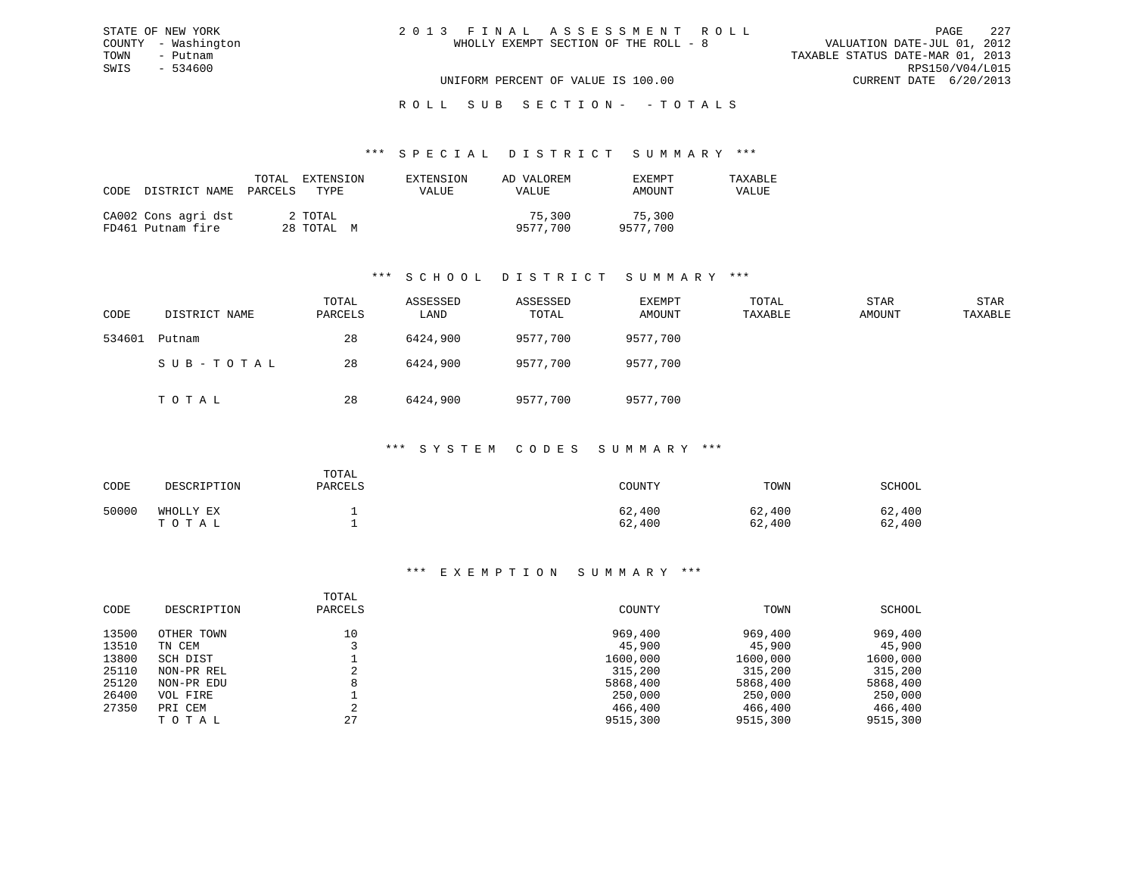# ROLL SUB SECTION - - TOTALS

#### \*\*\* S P E C I A L D I S T R I C T S U M M A R Y \*\*\*

| CODE DISTRICT NAME<br>PARCELS            |                       | VALUE | VALUE              | AMOUNT             | VALUE |
|------------------------------------------|-----------------------|-------|--------------------|--------------------|-------|
| CA002 Cons agri dst<br>FD461 Putnam fire | 2 TOTAL<br>28 TOTAL M |       | 75,300<br>9577.700 | 75,300<br>9577,700 |       |

### \*\*\* S C H O O L D I S T R I C T S U M M A R Y \*\*\*

| CODE   | DISTRICT NAME | TOTAL<br>PARCELS | ASSESSED<br>LAND | ASSESSED<br>TOTAL | EXEMPT<br>AMOUNT | TOTAL<br>TAXABLE | STAR<br>AMOUNT | STAR<br>TAXABLE |
|--------|---------------|------------------|------------------|-------------------|------------------|------------------|----------------|-----------------|
| 534601 | Putnam        | 28               | 6424,900         | 9577,700          | 9577,700         |                  |                |                 |
|        | SUB-TOTAL     | 28               | 6424,900         | 9577,700          | 9577,700         |                  |                |                 |
|        | TOTAL         | 28               | 6424,900         | 9577,700          | 9577,700         |                  |                |                 |

#### \*\*\* S Y S T E M C O D E S S U M M A R Y \*\*\*

| CODE  | DESCRIPTION        | TOTAL<br>PARCELS | COUNTY           | TOWN             | SCHOOL           |
|-------|--------------------|------------------|------------------|------------------|------------------|
| 50000 | WHOLLY EX<br>TOTAL |                  | 62,400<br>62,400 | 62,400<br>62,400 | 62,400<br>62,400 |

| CODE  | DESCRIPTION | TOTAL<br>PARCELS | COUNTY   | TOWN     | SCHOOL   |
|-------|-------------|------------------|----------|----------|----------|
|       |             |                  |          |          |          |
| 13500 | OTHER TOWN  | 10               | 969,400  | 969,400  | 969,400  |
| 13510 | TN CEM      |                  | 45,900   | 45,900   | 45,900   |
| 13800 | SCH DIST    |                  | 1600,000 | 1600,000 | 1600,000 |
| 25110 | NON-PR REL  |                  | 315,200  | 315,200  | 315,200  |
| 25120 | NON-PR EDU  | 8                | 5868,400 | 5868,400 | 5868,400 |
| 26400 | VOL FIRE    |                  | 250,000  | 250,000  | 250,000  |
| 27350 | PRI CEM     | $\sim$           | 466,400  | 466,400  | 466,400  |
|       | TOTAL       | 27               | 9515,300 | 9515,300 | 9515,300 |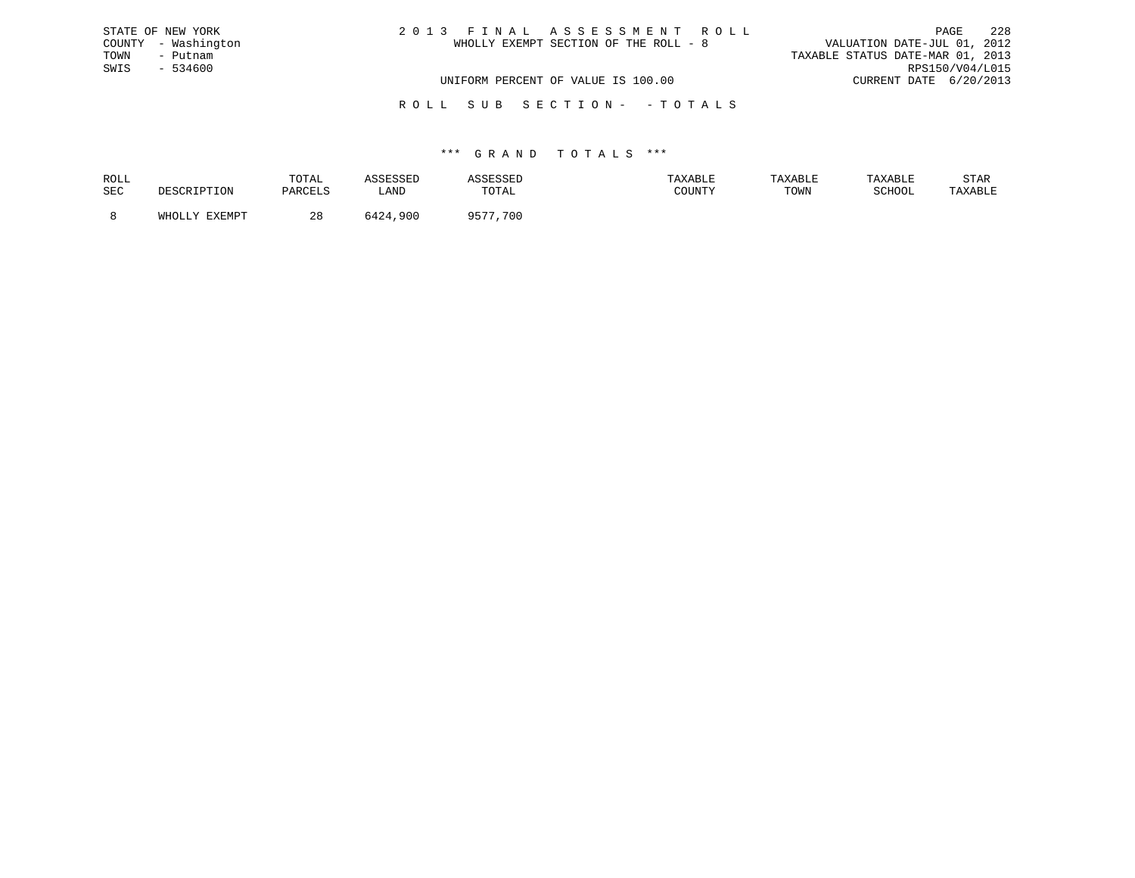| STATE OF NEW YORK   | 2013 FINAL ASSESSMENT ROLL            | 228<br>PAGE                      |
|---------------------|---------------------------------------|----------------------------------|
| COUNTY - Washington | WHOLLY EXEMPT SECTION OF THE ROLL - 8 | VALUATION DATE-JUL 01, 2012      |
| TOWN<br>- Putnam    |                                       | TAXABLE STATUS DATE-MAR 01, 2013 |
| SWIS<br>$-534600$   |                                       | RPS150/V04/L015                  |
|                     | UNIFORM PERCENT OF VALUE IS 100.00    | CURRENT DATE 6/20/2013           |
|                     |                                       |                                  |

R O L L S U B S E C T I O N - - T O T A L S

| ROLL       | TOTAL         |      |                        |        | TAXABLE | TAXARI.F          | STAR    |
|------------|---------------|------|------------------------|--------|---------|-------------------|---------|
| <b>SEC</b> | <b>DARCEL</b> | LAND | <b>TOTAL</b>           | COUNTY | TOWN    | $\alpha$ $\alpha$ | TAXABLE |
|            | 40            | 900  | 0E <sub>0</sub><br>700 |        |         |                   |         |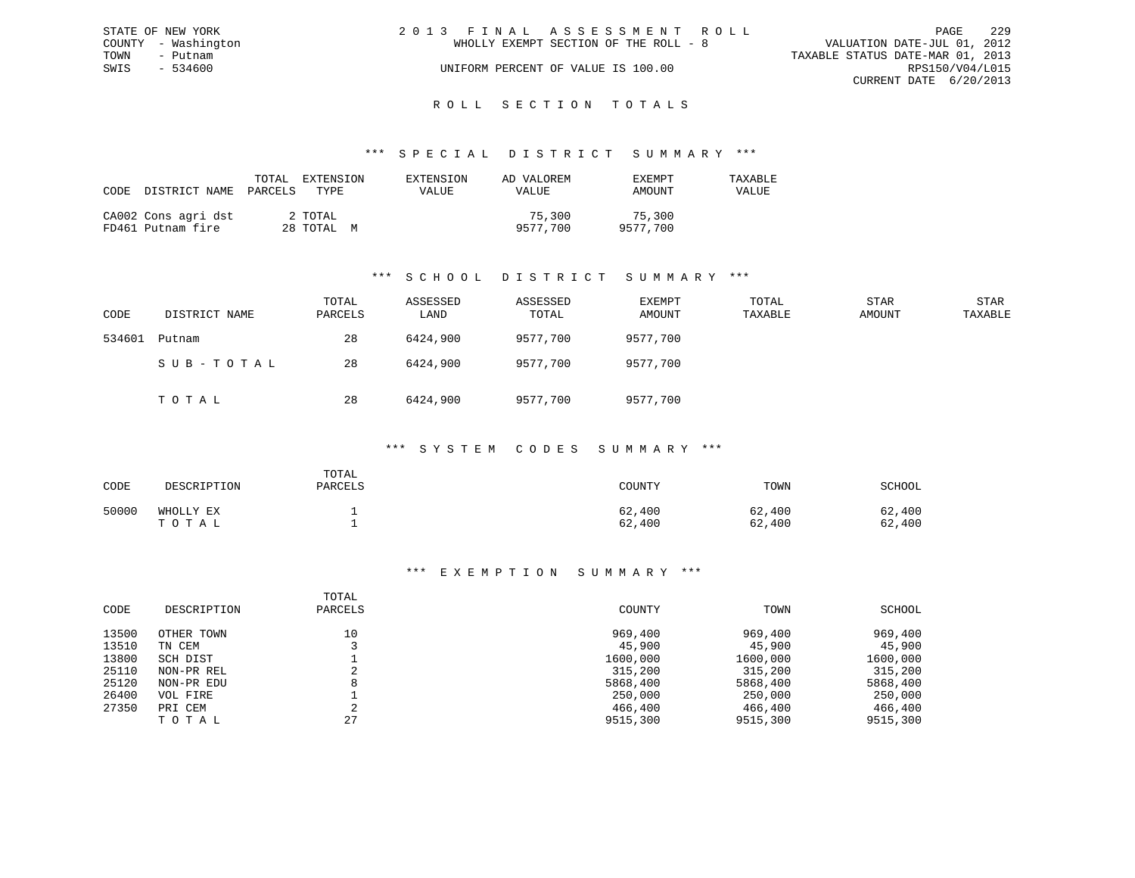|      | STATE OF NEW YORK   | 2013 FINAL ASSESSMENT ROLL                                           | PAGE            | 229 |
|------|---------------------|----------------------------------------------------------------------|-----------------|-----|
|      | COUNTY - Washington | VALUATION DATE-JUL 01, 2012<br>WHOLLY EXEMPT SECTION OF THE ROLL - 8 |                 |     |
| TOWN | - Putnam            | TAXABLE STATUS DATE-MAR 01, 2013                                     |                 |     |
| SWIS | - 534600            | UNIFORM PERCENT OF VALUE IS 100.00                                   | RPS150/V04/L015 |     |
|      |                     | CURRENT DATE 6/20/2013                                               |                 |     |
|      |                     |                                                                      |                 |     |

#### R O L L S E C T I O N T O T A L S

#### \*\*\* S P E C I A L D I S T R I C T S U M M A R Y \*\*\*

| CODE | DISTRICT NAME PARCELS                    | TOTAL | EXTENSION<br>TYPE     | EXTENSION<br>VALUE | AD VALOREM<br>VALUE | EXEMPT<br>AMOUNT   | TAXABLE<br>VALUE |
|------|------------------------------------------|-------|-----------------------|--------------------|---------------------|--------------------|------------------|
|      | CA002 Cons agri dst<br>FD461 Putnam fire |       | 2 TOTAL<br>28 TOTAL M |                    | 75,300<br>9577,700  | 75,300<br>9577.700 |                  |

### \*\*\* S C H O O L D I S T R I C T S U M M A R Y \*\*\*

| CODE   | DISTRICT NAME | TOTAL<br>PARCELS | ASSESSED<br>LAND | ASSESSED<br>TOTAL | EXEMPT<br>AMOUNT | TOTAL<br>TAXABLE | STAR<br>AMOUNT | STAR<br>TAXABLE |
|--------|---------------|------------------|------------------|-------------------|------------------|------------------|----------------|-----------------|
| 534601 | Putnam        | 28               | 6424,900         | 9577,700          | 9577,700         |                  |                |                 |
|        | SUB-TOTAL     | 28               | 6424,900         | 9577,700          | 9577,700         |                  |                |                 |
|        | TOTAL         | 28               | 6424,900         | 9577,700          | 9577,700         |                  |                |                 |

#### \*\*\* S Y S T E M C O D E S S U M M A R Y \*\*\*

| CODE  | DESCRIPTION        | TOTAL<br>PARCELS | COUNTY           | TOWN             | SCHOOL           |
|-------|--------------------|------------------|------------------|------------------|------------------|
| 50000 | WHOLLY EX<br>TOTAL |                  | 62,400<br>62,400 | 62,400<br>62,400 | 62,400<br>62,400 |

| CODE  | DESCRIPTION | TOTAL<br>PARCELS | COUNTY   | TOWN     | SCHOOL   |
|-------|-------------|------------------|----------|----------|----------|
| 13500 | OTHER TOWN  | 10               | 969,400  | 969,400  | 969,400  |
| 13510 | TN CEM      |                  | 45,900   | 45,900   | 45,900   |
| 13800 | SCH DIST    |                  | 1600,000 | 1600,000 | 1600,000 |
| 25110 | NON-PR REL  |                  | 315,200  | 315,200  | 315,200  |
| 25120 | NON-PR EDU  | 8                | 5868,400 | 5868,400 | 5868,400 |
| 26400 | VOL FIRE    |                  | 250,000  | 250,000  | 250,000  |
| 27350 | PRI CEM     | ⌒                | 466,400  | 466,400  | 466,400  |
|       | TOTAL       | 27               | 9515,300 | 9515,300 | 9515,300 |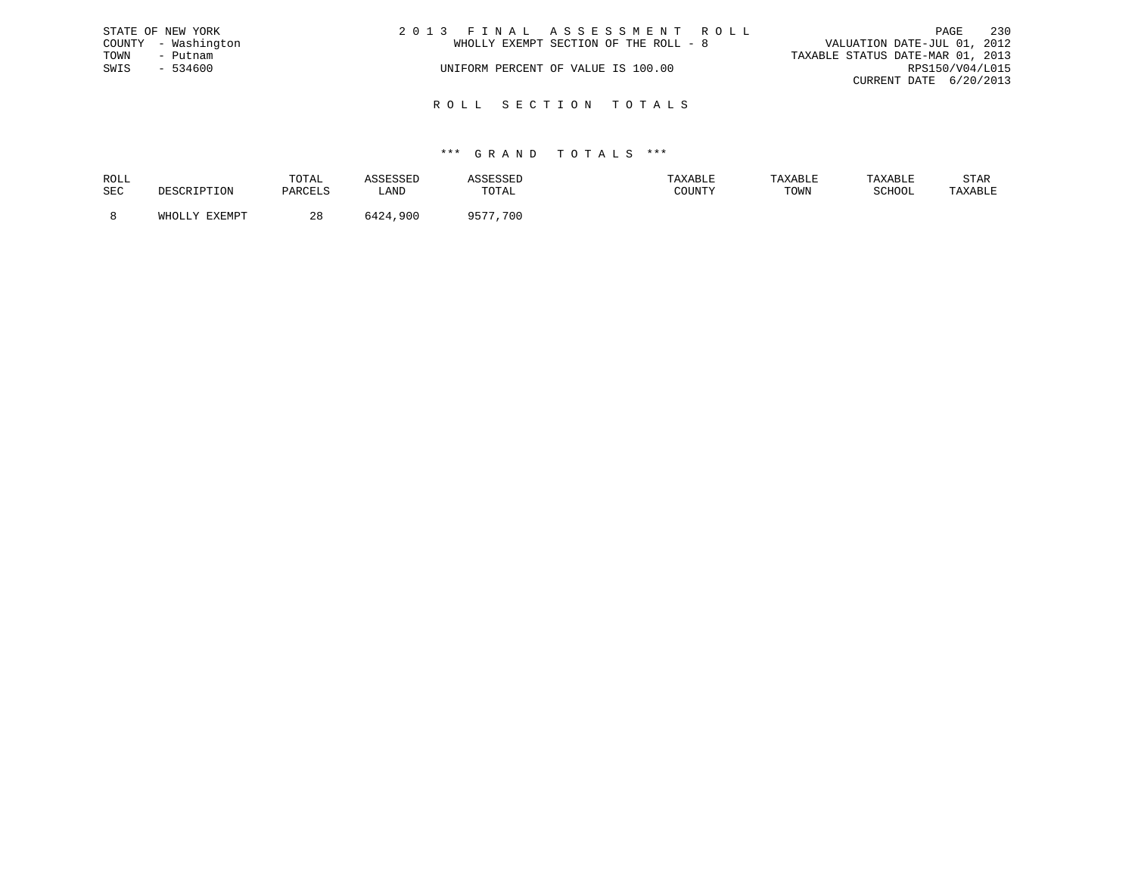|      | STATE OF NEW YORK   | 2013 FINAL ASSESSMENT ROLL            | PAGE                             | 230             |
|------|---------------------|---------------------------------------|----------------------------------|-----------------|
|      | COUNTY - Washington | WHOLLY EXEMPT SECTION OF THE ROLL - 8 | VALUATION DATE-JUL 01, 2012      |                 |
| TOWN | – Putnam            |                                       | TAXABLE STATUS DATE-MAR 01, 2013 |                 |
| SWIS | - 534600            | UNIFORM PERCENT OF VALUE IS 100.00    |                                  | RPS150/V04/L015 |
|      |                     |                                       | CURRENT DATE 6/20/2013           |                 |
|      |                     |                                       |                                  |                 |

R O L L S E C T I O N T O T A L S

| ROLL |        | TOTAL     |      | .     | <b>AXABLF</b> | "ABL. |        | STAR    |
|------|--------|-----------|------|-------|---------------|-------|--------|---------|
| SEC  |        |           | ∟AND | TOTAL | CCTNTM        | TOWN  | SCHOOL | 'AXABLE |
|      |        |           |      |       |               |       |        |         |
|      | FYFMDT | റ റ<br>20 | .900 | 700   |               |       |        |         |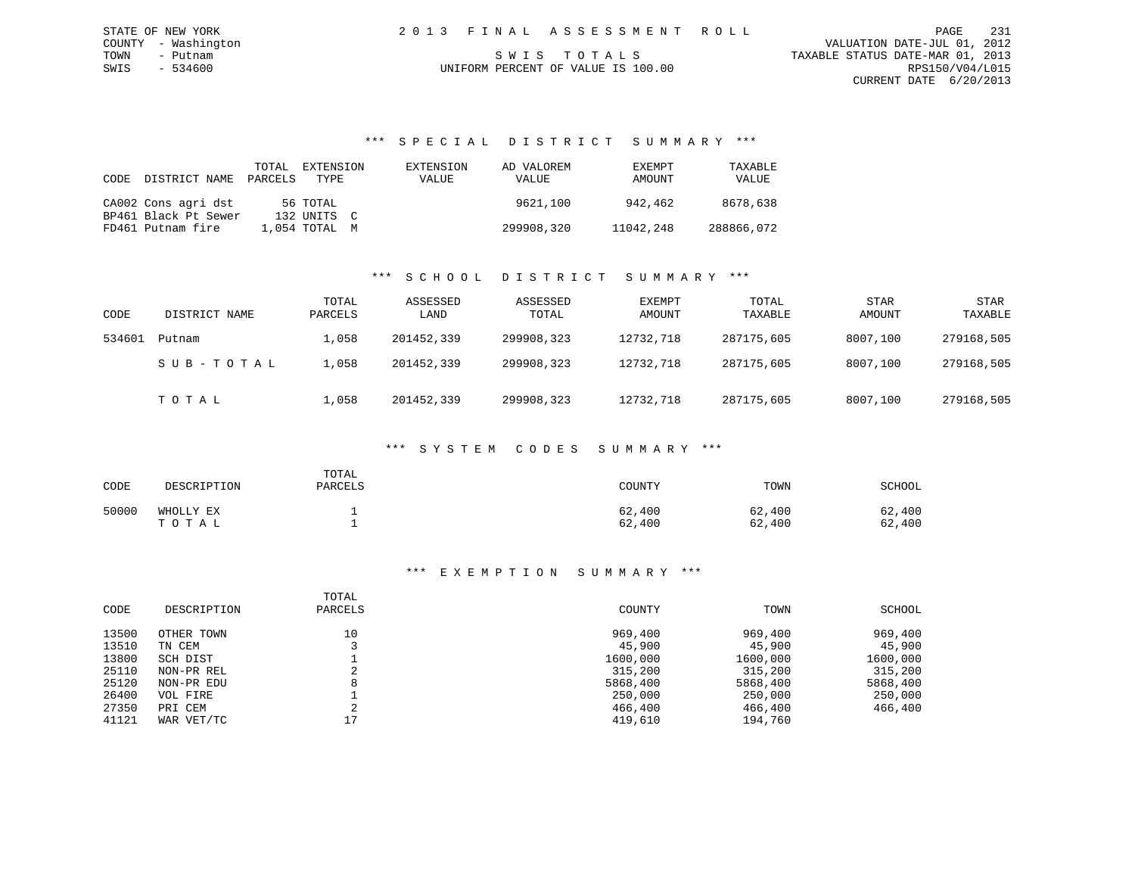### \*\*\* S P E C I A L D I S T R I C T S U M M A R Y \*\*\*

| CODE | DISTRICT NAME        | TOTAL<br>PARCELS | EXTENSION<br>TYPE | EXTENSION<br>VALUE | AD VALOREM<br>VALUE | EXEMPT<br>AMOUNT | TAXABLE<br>VALUE |
|------|----------------------|------------------|-------------------|--------------------|---------------------|------------------|------------------|
|      | CA002 Cons agri dst  |                  | 56 TOTAL          |                    | 9621,100            | 942,462          | 8678,638         |
|      | BP461 Black Pt Sewer |                  | 132 UNITS C       |                    |                     |                  |                  |
|      | FD461 Putnam fire    |                  | 1,054 TOTAL M     |                    | 299908,320          | 11042,248        | 288866,072       |

## \*\*\* S C H O O L D I S T R I C T S U M M A R Y \*\*\*

| CODE   | DISTRICT NAME | TOTAL<br>PARCELS | ASSESSED<br>LAND | ASSESSED<br>TOTAL | EXEMPT<br>AMOUNT | TOTAL<br>TAXABLE | <b>STAR</b><br>AMOUNT | <b>STAR</b><br>TAXABLE |
|--------|---------------|------------------|------------------|-------------------|------------------|------------------|-----------------------|------------------------|
| 534601 | Putnam        | L,058            | 201452,339       | 299908,323        | 12732,718        | 287175,605       | 8007,100              | 279168,505             |
|        | SUB-TOTAL     | .,058            | 201452,339       | 299908,323        | 12732,718        | 287175,605       | 8007,100              | 279168,505             |
|        | тотаь         | $\perp$ ,058     | 201452,339       | 299908,323        | 12732,718        | 287175,605       | 8007,100              | 279168,505             |

#### \*\*\* S Y S T E M C O D E S S U M M A R Y \*\*\*

| CODE  | DESCRIPTION        | TOTAL<br>PARCELS | COUNTY           | TOWN             | SCHOOL           |
|-------|--------------------|------------------|------------------|------------------|------------------|
| 50000 | WHOLLY EX<br>TOTAL |                  | 62,400<br>62,400 | 62,400<br>62,400 | 62,400<br>62,400 |

|       |             | TOTAL   |          |          |          |
|-------|-------------|---------|----------|----------|----------|
| CODE  | DESCRIPTION | PARCELS | COUNTY   | TOWN     | SCHOOL   |
| 13500 | OTHER TOWN  | 10      | 969,400  | 969,400  | 969,400  |
| 13510 | TN CEM      |         | 45,900   | 45,900   | 45,900   |
| 13800 | SCH DIST    |         | 1600,000 | 1600,000 | 1600,000 |
| 25110 | NON-PR REL  |         | 315,200  | 315,200  | 315,200  |
| 25120 | NON-PR EDU  | 8       | 5868,400 | 5868,400 | 5868,400 |
| 26400 | VOL FIRE    |         | 250,000  | 250,000  | 250,000  |
| 27350 | PRI CEM     | $\sim$  | 466,400  | 466,400  | 466,400  |
| 41121 | WAR VET/TC  | 17      | 419,610  | 194,760  |          |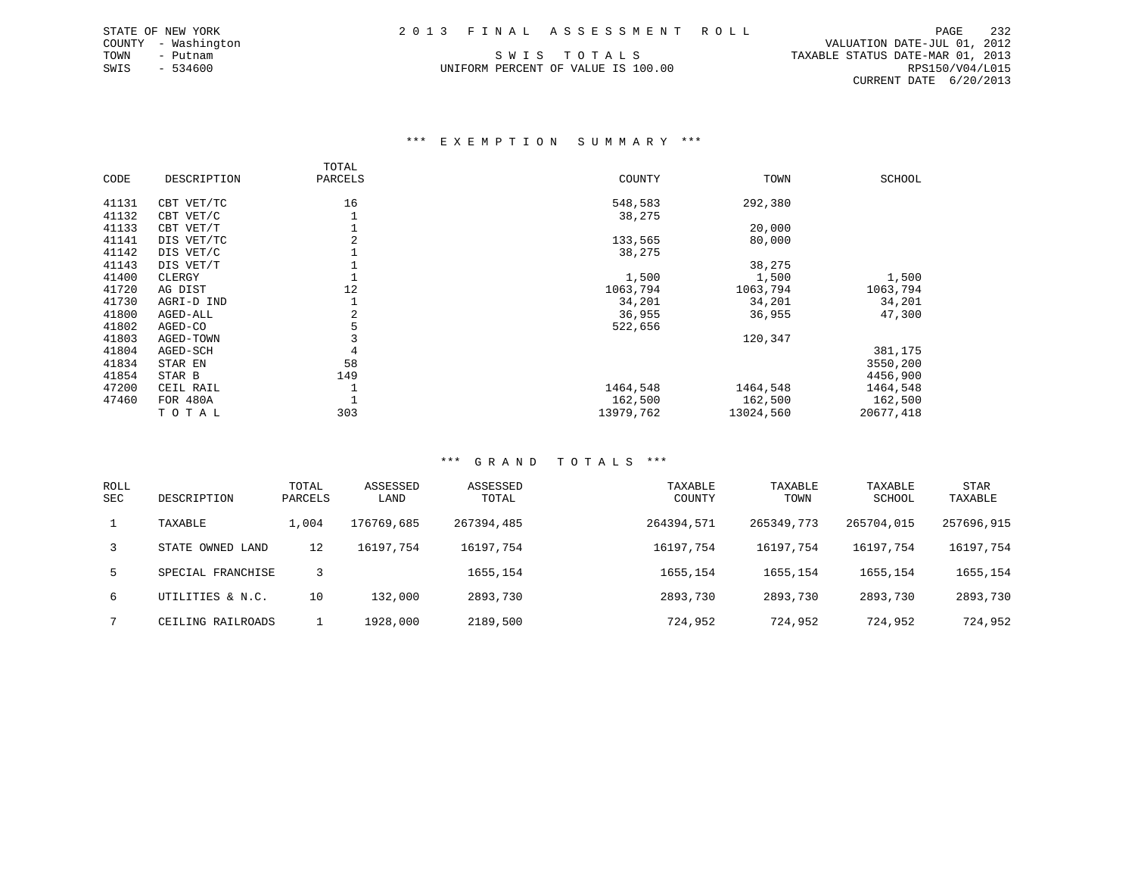SWIS - 534600 UNIFORM PERCENT OF VALUE IS 100.00 RPS150/V04/L015

 COUNTY - Washington VALUATION DATE-JUL 01, 2012 TOWN - Putnam SWIS TOTALS TRANSBLE STATUS DATE-MAR 01, 2013 CURRENT DATE 6/20/2013

#### \*\*\* E X E M P T I O N S U M M A R Y \*\*\*

|       |             | TOTAL   |           |           |           |
|-------|-------------|---------|-----------|-----------|-----------|
| CODE  | DESCRIPTION | PARCELS | COUNTY    | TOWN      | SCHOOL    |
| 41131 | CBT VET/TC  | 16      | 548,583   | 292,380   |           |
| 41132 | CBT VET/C   |         | 38,275    |           |           |
| 41133 | CBT VET/T   |         |           | 20,000    |           |
| 41141 | DIS VET/TC  | 2       | 133,565   | 80,000    |           |
| 41142 | DIS VET/C   |         | 38,275    |           |           |
| 41143 | DIS VET/T   |         |           | 38,275    |           |
| 41400 | CLERGY      |         | 1,500     | 1,500     | 1,500     |
| 41720 | AG DIST     | 12      | 1063,794  | 1063,794  | 1063,794  |
| 41730 | AGRI-D IND  |         | 34,201    | 34,201    | 34,201    |
| 41800 | AGED-ALL    | 2       | 36,955    | 36,955    | 47,300    |
| 41802 | AGED-CO     | 5       | 522,656   |           |           |
| 41803 | AGED-TOWN   |         |           | 120,347   |           |
| 41804 | AGED-SCH    | 4       |           |           | 381,175   |
| 41834 | STAR EN     | 58      |           |           | 3550,200  |
| 41854 | STAR B      | 149     |           |           | 4456,900  |
| 47200 | CEIL RAIL   |         | 1464,548  | 1464,548  | 1464,548  |
| 47460 | FOR 480A    |         | 162,500   | 162,500   | 162,500   |
|       | TOTAL       | 303     | 13979,762 | 13024,560 | 20677,418 |

| <b>ROLL</b><br>SEC | DESCRIPTION       | TOTAL<br>PARCELS | ASSESSED<br>LAND | ASSESSED<br>TOTAL | TAXABLE<br>COUNTY | TAXABLE<br>TOWN | TAXABLE<br>SCHOOL | <b>STAR</b><br>TAXABLE |
|--------------------|-------------------|------------------|------------------|-------------------|-------------------|-----------------|-------------------|------------------------|
|                    | TAXABLE           | 1,004            | 176769,685       | 267394,485        | 264394,571        | 265349,773      | 265704,015        | 257696,915             |
| 3                  | STATE OWNED LAND  | 12               | 16197,754        | 16197,754         | 16197,754         | 16197,754       | 16197,754         | 16197,754              |
| 5.                 | SPECIAL FRANCHISE | २                |                  | 1655,154          | 1655, 154         | 1655,154        | 1655, 154         | 1655,154               |
| б.                 | UTILITIES & N.C.  | 10               | 132,000          | 2893,730          | 2893,730          | 2893,730        | 2893,730          | 2893,730               |
|                    | CEILING RAILROADS |                  | 1928,000         | 2189,500          | 724,952           | 724,952         | 724,952           | 724,952                |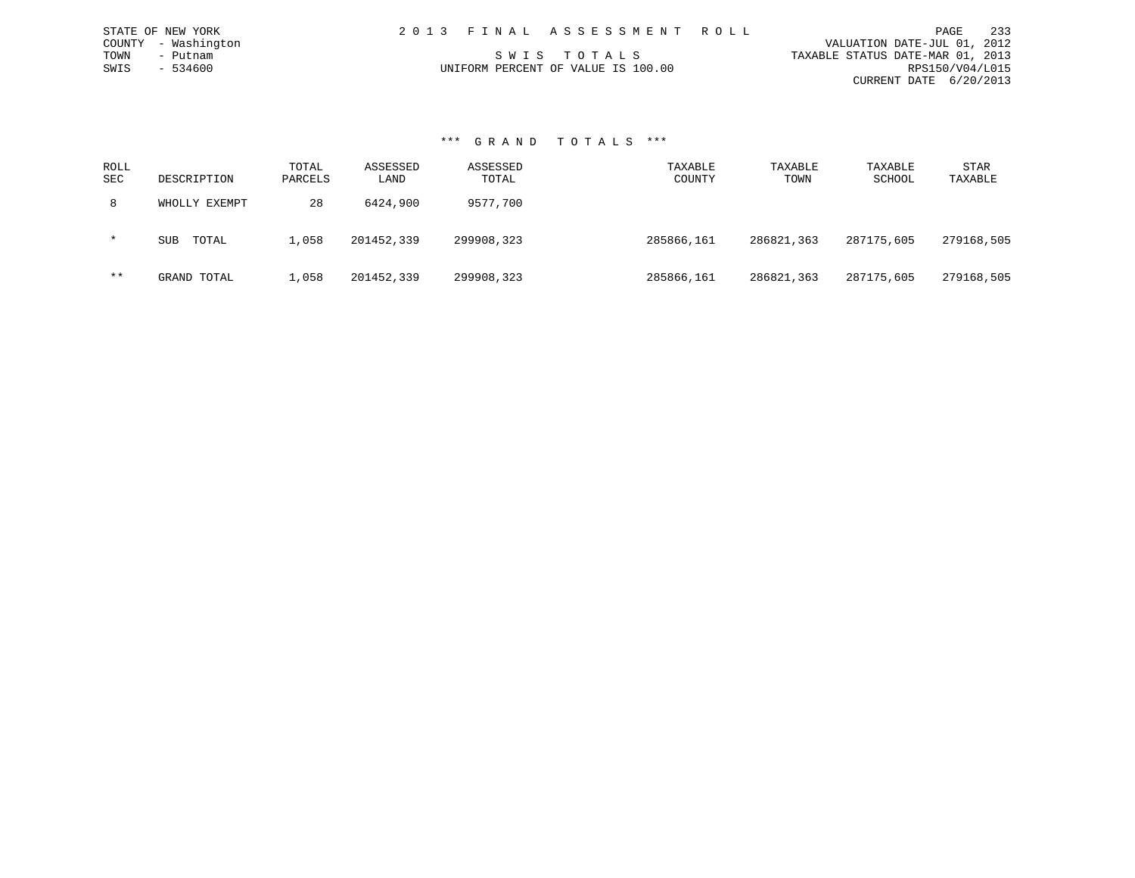| 2013 FINAL ASSESSMENT ROLL         | 233<br>PAGE                      |
|------------------------------------|----------------------------------|
|                                    | VALUATION DATE-JUL 01, 2012      |
| SWIS TOTALS                        | TAXABLE STATUS DATE-MAR 01, 2013 |
| UNIFORM PERCENT OF VALUE IS 100.00 | RPS150/V04/L015                  |
|                                    | CURRENT DATE 6/20/2013           |

#### \*\*\* G R A N D T O T A L S \*\*\*

STATE OF NEW YORK COUNTY - Washington TOWN - Putnam  $SWIS$  - 534600

| ROLL<br><b>SEC</b> | DESCRIPTION         | TOTAL<br>PARCELS | ASSESSED<br>LAND | ASSESSED<br>TOTAL | TAXABLE<br>COUNTY | TAXABLE<br>TOWN | TAXABLE<br>SCHOOL | STAR<br>TAXABLE |
|--------------------|---------------------|------------------|------------------|-------------------|-------------------|-----------------|-------------------|-----------------|
| 8                  | WHOLLY EXEMPT       | 28               | 6424,900         | 9577,700          |                   |                 |                   |                 |
| $\star$            | TOTAL<br><b>SUB</b> | 1,058            | 201452,339       | 299908,323        | 285866,161        | 286821,363      | 287175,605        | 279168,505      |
| $***$              | GRAND TOTAL         | 1,058            | 201452,339       | 299908,323        | 285866,161        | 286821,363      | 287175,605        | 279168,505      |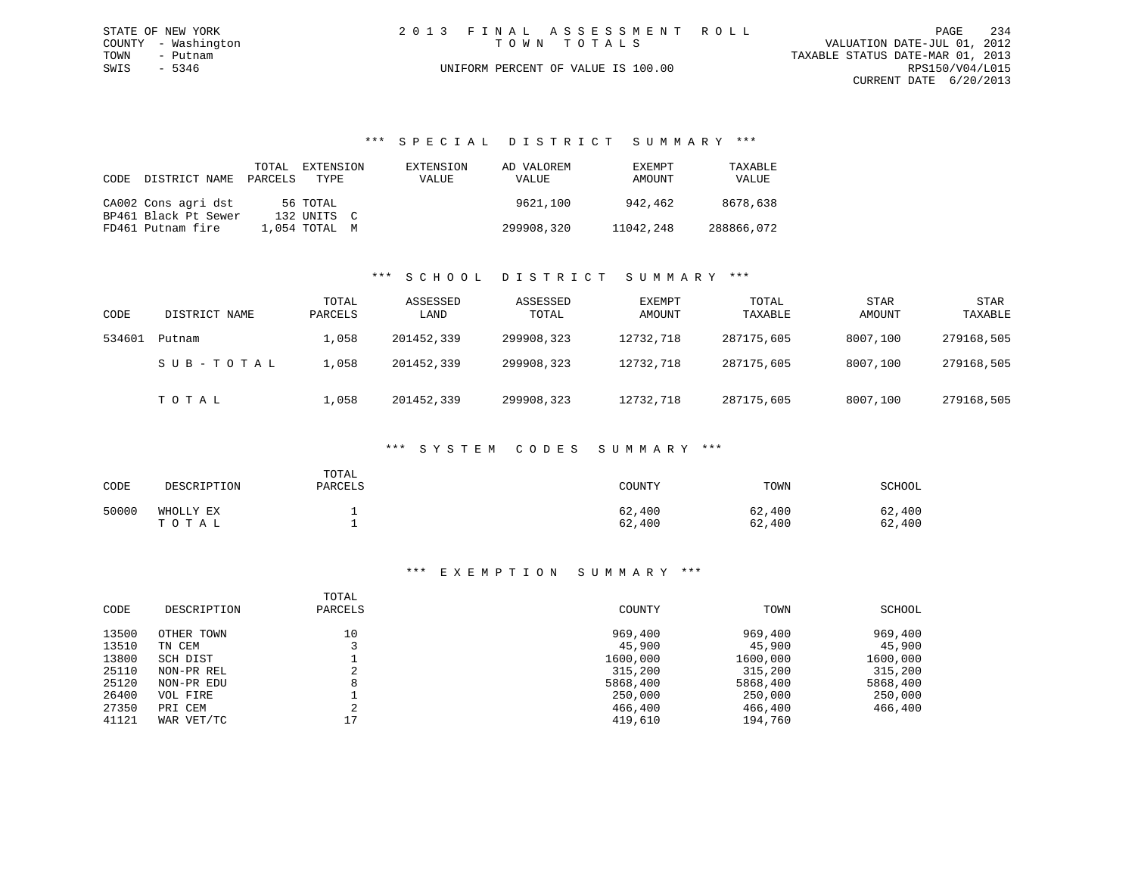|      | STATE OF NEW YORK   |  | 2013 FINAL ASSESSMENT ROLL         |                                  | PAGE            | 234 |
|------|---------------------|--|------------------------------------|----------------------------------|-----------------|-----|
|      | COUNTY - Washington |  | TOWN TOTALS                        | VALUATION DATE-JUL 01, 2012      |                 |     |
| TOWN | - Putnam            |  |                                    | TAXABLE STATUS DATE-MAR 01, 2013 |                 |     |
| SWIS | - 5346              |  | UNIFORM PERCENT OF VALUE IS 100.00 |                                  | RPS150/V04/L015 |     |
|      |                     |  |                                    | CURRENT DATE 6/20/2013           |                 |     |

\*\*\* S P E C I A L D I S T R I C T S U M M A R Y \*\*\*

| CODE | DISTRICT NAME        | TOTAL<br>PARCELS | EXTENSION<br>TYPE | EXTENSION<br>VALUE | AD VALOREM<br>VALUE | EXEMPT<br>AMOUNT | TAXABLE<br>VALUE |
|------|----------------------|------------------|-------------------|--------------------|---------------------|------------------|------------------|
|      | CA002 Cons agri dst  |                  | 56 TOTAL          |                    | 9621,100            | 942,462          | 8678,638         |
|      | BP461 Black Pt Sewer |                  | 132 UNITS C       |                    |                     |                  |                  |
|      | FD461 Putnam fire    |                  | 1,054 TOTAL M     |                    | 299908,320          | 11042,248        | 288866,072       |

### \*\*\* S C H O O L D I S T R I C T S U M M A R Y \*\*\*

| CODE   | DISTRICT NAME | TOTAL<br>PARCELS | ASSESSED<br>LAND | ASSESSED<br>TOTAL | EXEMPT<br>AMOUNT | TOTAL<br>TAXABLE | STAR<br>AMOUNT | STAR<br>TAXABLE |
|--------|---------------|------------------|------------------|-------------------|------------------|------------------|----------------|-----------------|
| 534601 | Putnam        | ⊥,058            | 201452,339       | 299908,323        | 12732,718        | 287175,605       | 8007,100       | 279168,505      |
|        | SUB-TOTAL     | 1,058            | 201452,339       | 299908,323        | 12732,718        | 287175,605       | 8007,100       | 279168,505      |
|        | TOTAL         | $\bot$ ,058      | 201452,339       | 299908,323        | 12732,718        | 287175,605       | 8007,100       | 279168,505      |

#### \*\*\* S Y S T E M C O D E S S U M M A R Y \*\*\*

| CODE  | DESCRIPTION        | TOTAL<br>PARCELS | COUNTY           | TOWN             | SCHOOL           |
|-------|--------------------|------------------|------------------|------------------|------------------|
| 50000 | WHOLLY EX<br>TOTAL |                  | 62,400<br>62,400 | 62,400<br>62,400 | 62,400<br>62,400 |

| CODE  | DESCRIPTION | TOTAL<br>PARCELS | COUNTY   | TOWN     | SCHOOL   |
|-------|-------------|------------------|----------|----------|----------|
|       |             |                  |          |          |          |
| 13500 | OTHER TOWN  | 10               | 969,400  | 969,400  | 969,400  |
| 13510 | TN CEM      |                  | 45,900   | 45,900   | 45,900   |
| 13800 | SCH DIST    |                  | 1600,000 | 1600,000 | 1600,000 |
| 25110 | NON-PR REL  |                  | 315,200  | 315,200  | 315,200  |
| 25120 | NON-PR EDU  | 8                | 5868,400 | 5868,400 | 5868,400 |
| 26400 | VOL FIRE    |                  | 250,000  | 250,000  | 250,000  |
| 27350 | PRI CEM     | ⌒                | 466,400  | 466,400  | 466,400  |
| 41121 | WAR VET/TC  | 17               | 419,610  | 194,760  |          |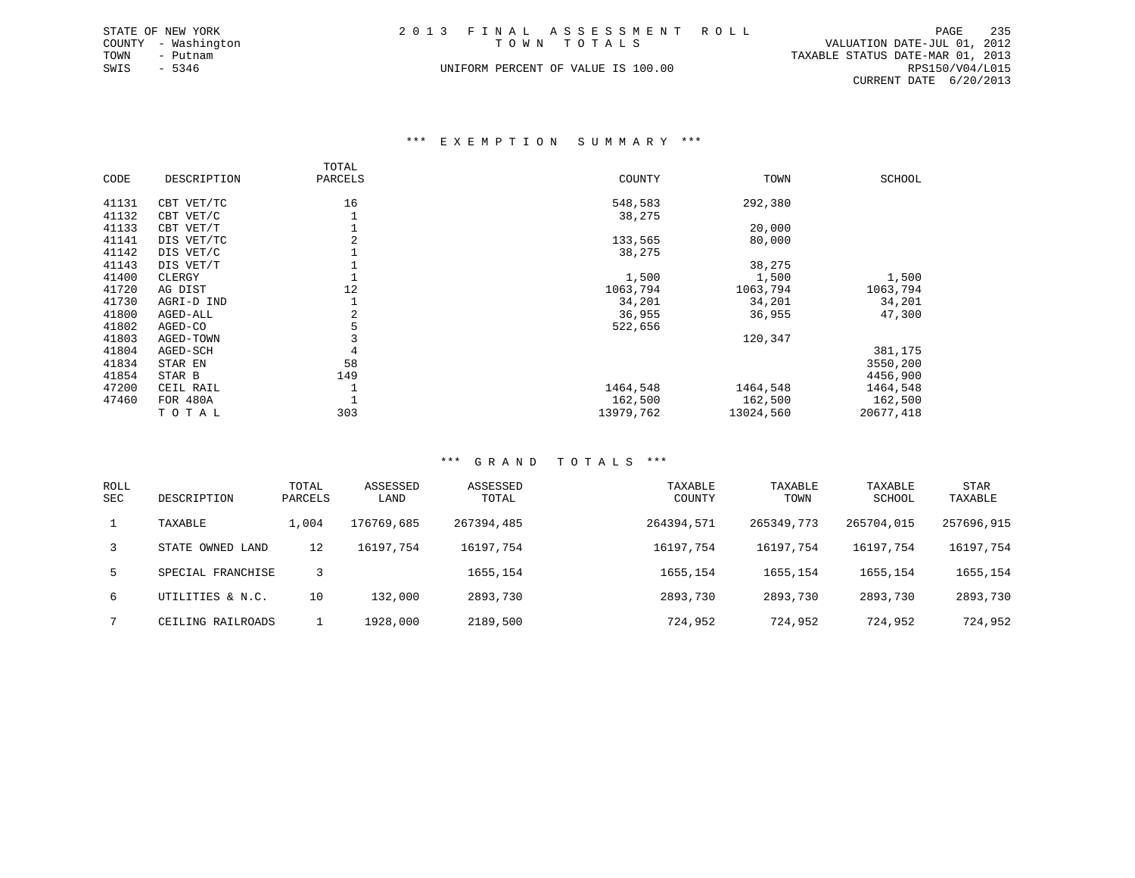| STATE OF NEW YORK   | 2013 FINAL ASSESSMENT ROLL         |                                  | PAGE | 235 |
|---------------------|------------------------------------|----------------------------------|------|-----|
| COUNTY - Washington | TOWN TOTALS                        | VALUATION DATE-JUL 01, 2012      |      |     |
| TOWN<br>- Putnam    |                                    | TAXABLE STATUS DATE-MAR 01, 2013 |      |     |
| SWIS<br>- 5346      | UNIFORM PERCENT OF VALUE IS 100.00 | RPS150/V04/L015                  |      |     |
|                     |                                    | CURRENT DATE 6/20/2013           |      |     |

#### \*\*\* E X E M P T I O N S U M M A R Y \*\*\*

|       |             | TOTAL   |           |           |               |
|-------|-------------|---------|-----------|-----------|---------------|
| CODE  | DESCRIPTION | PARCELS | COUNTY    | TOWN      | <b>SCHOOL</b> |
|       |             |         |           |           |               |
| 41131 | CBT VET/TC  | 16      | 548,583   | 292,380   |               |
| 41132 | CBT VET/C   |         | 38,275    |           |               |
| 41133 | CBT VET/T   |         |           | 20,000    |               |
| 41141 | DIS VET/TC  | 2       | 133,565   | 80,000    |               |
| 41142 | DIS VET/C   |         | 38,275    |           |               |
| 41143 | DIS VET/T   |         |           | 38,275    |               |
| 41400 | CLERGY      |         | 1,500     | 1,500     | 1,500         |
| 41720 | AG DIST     | 12      | 1063,794  | 1063,794  | 1063,794      |
| 41730 | AGRI-D IND  |         | 34,201    | 34,201    | 34,201        |
| 41800 | AGED-ALL    | 2       | 36,955    | 36,955    | 47,300        |
| 41802 | AGED-CO     |         | 522,656   |           |               |
| 41803 | AGED-TOWN   |         |           | 120,347   |               |
| 41804 | AGED-SCH    |         |           |           | 381,175       |
| 41834 | STAR EN     | 58      |           |           | 3550,200      |
| 41854 | STAR B      | 149     |           |           | 4456,900      |
| 47200 | CEIL RAIL   |         | 1464,548  | 1464,548  | 1464,548      |
| 47460 | FOR 480A    |         | 162,500   | 162,500   | 162,500       |
|       | TOTAL       | 303     | 13979,762 | 13024,560 | 20677,418     |
|       |             |         |           |           |               |

| <b>ROLL</b><br>SEC | DESCRIPTION       | TOTAL<br>PARCELS | ASSESSED<br>LAND | ASSESSED<br>TOTAL | TAXABLE<br>COUNTY | TAXABLE<br>TOWN | TAXABLE<br>SCHOOL | <b>STAR</b><br>TAXABLE |
|--------------------|-------------------|------------------|------------------|-------------------|-------------------|-----------------|-------------------|------------------------|
|                    | TAXABLE           | 1,004            | 176769,685       | 267394,485        | 264394,571        | 265349,773      | 265704,015        | 257696,915             |
| 3                  | STATE OWNED LAND  | 12               | 16197,754        | 16197,754         | 16197,754         | 16197,754       | 16197,754         | 16197,754              |
| 5.                 | SPECIAL FRANCHISE | २                |                  | 1655,154          | 1655, 154         | 1655,154        | 1655, 154         | 1655,154               |
| б.                 | UTILITIES & N.C.  | 10               | 132,000          | 2893,730          | 2893,730          | 2893,730        | 2893,730          | 2893,730               |
|                    | CEILING RAILROADS |                  | 1928,000         | 2189,500          | 724,952           | 724,952         | 724,952           | 724,952                |